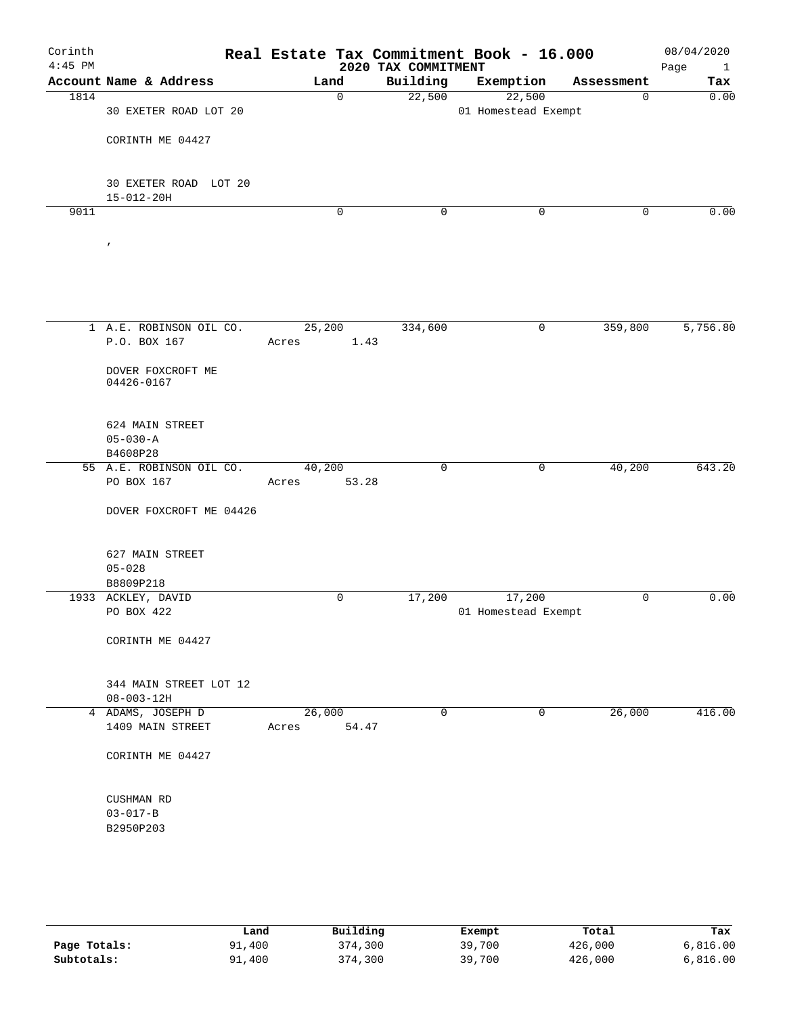| Corinth<br>$4:45$ PM |                                            | Real Estate Tax Commitment Book - 16.000 | 2020 TAX COMMITMENT |                               |             | 08/04/2020<br>Page<br>$\mathbf{1}$ |
|----------------------|--------------------------------------------|------------------------------------------|---------------------|-------------------------------|-------------|------------------------------------|
|                      | Account Name & Address                     | Land                                     | Building            | Exemption                     | Assessment  | Tax                                |
| 1814                 | 30 EXETER ROAD LOT 20                      | $\mathbf 0$                              | 22,500              | 22,500<br>01 Homestead Exempt | $\mathbf 0$ | 0.00                               |
|                      | CORINTH ME 04427                           |                                          |                     |                               |             |                                    |
|                      | 30 EXETER ROAD LOT 20<br>$15 - 012 - 20H$  |                                          |                     |                               |             |                                    |
| 9011                 |                                            | $\mathbf 0$                              | $\mathbf 0$         | $\mathbf 0$                   | 0           | 0.00                               |
|                      | $\pmb{\prime}$                             |                                          |                     |                               |             |                                    |
|                      | 1 A.E. ROBINSON OIL CO.                    | 25,200                                   | 334,600             | 0                             | 359,800     | 5,756.80                           |
|                      | P.O. BOX 167                               | 1.43<br>Acres                            |                     |                               |             |                                    |
|                      | DOVER FOXCROFT ME<br>04426-0167            |                                          |                     |                               |             |                                    |
|                      | 624 MAIN STREET<br>$05 - 030 - A$          |                                          |                     |                               |             |                                    |
|                      | B4608P28                                   |                                          |                     |                               |             |                                    |
|                      | 55 A.E. ROBINSON OIL CO.<br>PO BOX 167     | 40,200<br>53.28<br>Acres                 | $\mathbf 0$         | 0                             | 40,200      | 643.20                             |
|                      | DOVER FOXCROFT ME 04426                    |                                          |                     |                               |             |                                    |
|                      | 627 MAIN STREET<br>$05 - 028$              |                                          |                     |                               |             |                                    |
|                      | B8809P218                                  |                                          |                     |                               |             |                                    |
|                      | 1933 ACKLEY, DAVID                         | 0                                        | 17,200              | 17,200                        | 0           | 0.00                               |
|                      | PO BOX 422                                 |                                          |                     | 01 Homestead Exempt           |             |                                    |
|                      | CORINTH ME 04427                           |                                          |                     |                               |             |                                    |
|                      | 344 MAIN STREET LOT 12<br>$08 - 003 - 12H$ |                                          |                     |                               |             |                                    |
|                      | 4 ADAMS, JOSEPH D<br>1409 MAIN STREET      | 26,000<br>54.47<br>Acres                 | 0                   | 0                             | 26,000      | 416.00                             |
|                      | CORINTH ME 04427                           |                                          |                     |                               |             |                                    |
|                      | CUSHMAN RD                                 |                                          |                     |                               |             |                                    |
|                      | $03 - 017 - B$                             |                                          |                     |                               |             |                                    |
|                      | B2950P203                                  |                                          |                     |                               |             |                                    |
|                      |                                            |                                          |                     |                               |             |                                    |

|              | Land   | Building | Exempt | Total   | Tax      |
|--------------|--------|----------|--------|---------|----------|
| Page Totals: | 91,400 | 374,300  | 39,700 | 426,000 | 6,816.00 |
| Subtotals:   | 91,400 | 374,300  | 39,700 | 426,000 | 6,816.00 |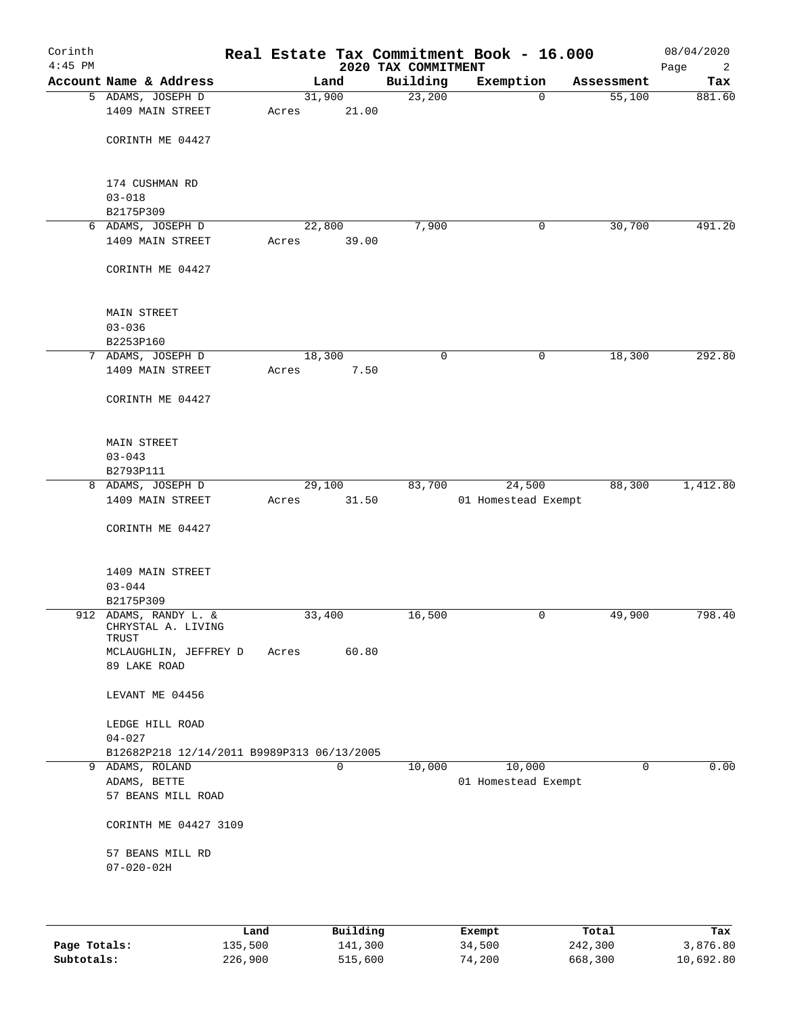| Corinth<br>$4:45$ PM |                                                          |         |       |          |                                 | Real Estate Tax Commitment Book - 16.000 |            | 08/04/2020       |
|----------------------|----------------------------------------------------------|---------|-------|----------|---------------------------------|------------------------------------------|------------|------------------|
|                      | Account Name & Address                                   |         |       | Land     | 2020 TAX COMMITMENT<br>Building | Exemption                                | Assessment | Page<br>2<br>Tax |
|                      | 5 ADAMS, JOSEPH D                                        |         |       | 31,900   | 23,200                          | $\mathbf 0$                              | 55,100     | 881.60           |
|                      | 1409 MAIN STREET                                         |         | Acres | 21.00    |                                 |                                          |            |                  |
|                      | CORINTH ME 04427                                         |         |       |          |                                 |                                          |            |                  |
|                      |                                                          |         |       |          |                                 |                                          |            |                  |
|                      | 174 CUSHMAN RD<br>$03 - 018$                             |         |       |          |                                 |                                          |            |                  |
|                      | B2175P309                                                |         |       |          |                                 |                                          |            |                  |
|                      | 6 ADAMS, JOSEPH D                                        |         |       | 22,800   | 7,900                           | 0                                        | 30,700     | 491.20           |
|                      | 1409 MAIN STREET                                         |         | Acres | 39.00    |                                 |                                          |            |                  |
|                      | CORINTH ME 04427                                         |         |       |          |                                 |                                          |            |                  |
|                      | MAIN STREET                                              |         |       |          |                                 |                                          |            |                  |
|                      | $03 - 036$                                               |         |       |          |                                 |                                          |            |                  |
|                      | B2253P160                                                |         |       |          |                                 |                                          |            |                  |
|                      | 7 ADAMS, JOSEPH D                                        |         |       | 18,300   | 0                               | 0                                        | 18,300     | 292.80           |
|                      | 1409 MAIN STREET                                         |         | Acres | 7.50     |                                 |                                          |            |                  |
|                      | CORINTH ME 04427                                         |         |       |          |                                 |                                          |            |                  |
|                      | MAIN STREET                                              |         |       |          |                                 |                                          |            |                  |
|                      | $03 - 043$                                               |         |       |          |                                 |                                          |            |                  |
|                      | B2793P111                                                |         |       |          |                                 |                                          |            |                  |
|                      | 8 ADAMS, JOSEPH D                                        |         |       | 29,100   | 83,700                          | 24,500                                   | 88,300     | 1,412.80         |
|                      | 1409 MAIN STREET                                         |         | Acres | 31.50    |                                 | 01 Homestead Exempt                      |            |                  |
|                      | CORINTH ME 04427                                         |         |       |          |                                 |                                          |            |                  |
|                      | 1409 MAIN STREET                                         |         |       |          |                                 |                                          |            |                  |
|                      | $03 - 044$                                               |         |       |          |                                 |                                          |            |                  |
|                      | B2175P309                                                |         |       |          |                                 |                                          |            |                  |
|                      | 912 ADAMS, RANDY L. &                                    |         |       | 33,400   | 16,500                          | 0                                        | 49,900     | 798.40           |
|                      | CHRYSTAL A. LIVING<br>TRUST                              |         |       |          |                                 |                                          |            |                  |
|                      | MCLAUGHLIN, JEFFREY D                                    |         | Acres | 60.80    |                                 |                                          |            |                  |
|                      | 89 LAKE ROAD                                             |         |       |          |                                 |                                          |            |                  |
|                      | LEVANT ME 04456                                          |         |       |          |                                 |                                          |            |                  |
|                      | LEDGE HILL ROAD                                          |         |       |          |                                 |                                          |            |                  |
|                      | $04 - 027$<br>B12682P218 12/14/2011 B9989P313 06/13/2005 |         |       |          |                                 |                                          |            |                  |
| 9                    | ADAMS, ROLAND                                            |         |       | 0        | 10,000                          | 10,000                                   | 0          | 0.00             |
|                      | ADAMS, BETTE                                             |         |       |          |                                 | 01 Homestead Exempt                      |            |                  |
|                      | 57 BEANS MILL ROAD                                       |         |       |          |                                 |                                          |            |                  |
|                      | CORINTH ME 04427 3109                                    |         |       |          |                                 |                                          |            |                  |
|                      | 57 BEANS MILL RD                                         |         |       |          |                                 |                                          |            |                  |
|                      | $07 - 020 - 02H$                                         |         |       |          |                                 |                                          |            |                  |
|                      |                                                          |         |       |          |                                 |                                          |            |                  |
|                      |                                                          | Land    |       | Building |                                 | Exempt                                   | Total      | Tax              |
| Page Totals:         |                                                          | 135,500 |       | 141,300  |                                 | 34,500                                   | 242,300    | 3,876.80         |

**Subtotals:** 226,900 515,600 74,200 668,300 10,692.80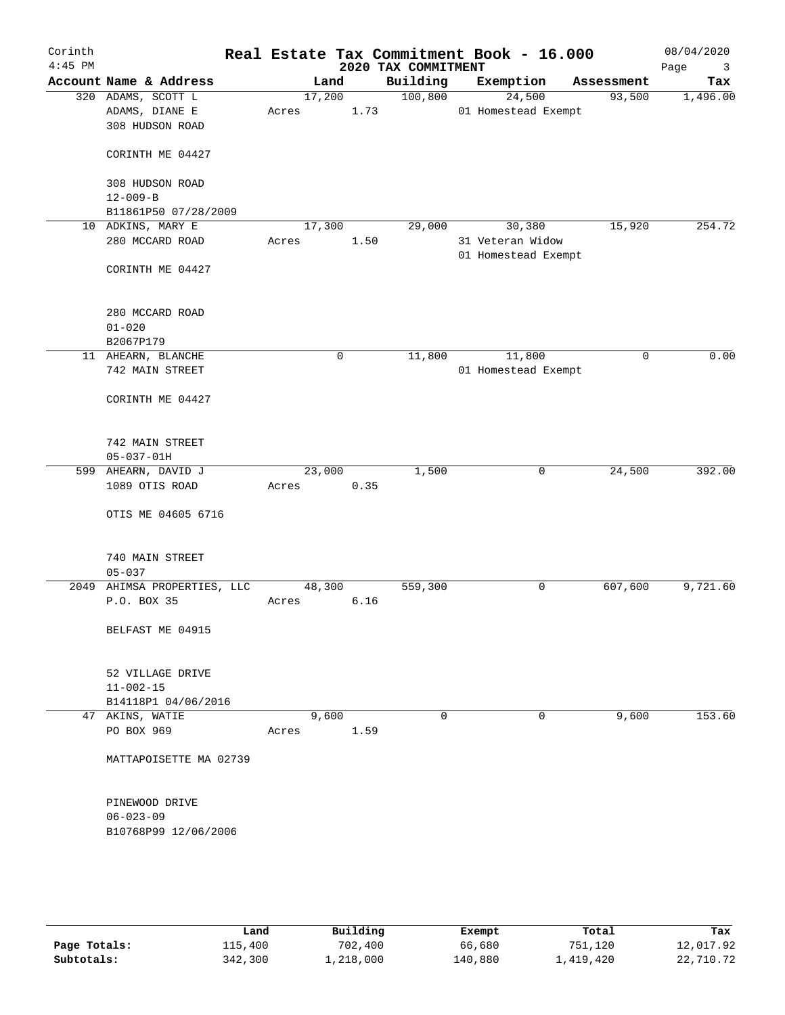| Corinth<br>$4:45$ PM |                                        |        |        |      | 2020 TAX COMMITMENT | Real Estate Tax Commitment Book - 16.000 |            | 08/04/2020<br>Page<br>3 |
|----------------------|----------------------------------------|--------|--------|------|---------------------|------------------------------------------|------------|-------------------------|
|                      | Account Name & Address                 |        | Land   |      | Building            | Exemption                                | Assessment | Tax                     |
|                      | 320 ADAMS, SCOTT L                     |        | 17,200 |      | 100,800             | 24,500                                   | 93,500     | 1,496.00                |
|                      | ADAMS, DIANE E                         | Acres  |        | 1.73 |                     | 01 Homestead Exempt                      |            |                         |
|                      | 308 HUDSON ROAD                        |        |        |      |                     |                                          |            |                         |
|                      | CORINTH ME 04427                       |        |        |      |                     |                                          |            |                         |
|                      | 308 HUDSON ROAD                        |        |        |      |                     |                                          |            |                         |
|                      | $12 - 009 - B$                         |        |        |      |                     |                                          |            |                         |
|                      | B11861P50 07/28/2009                   |        |        |      |                     |                                          |            |                         |
|                      | 10 ADKINS, MARY E                      | 17,300 |        |      | 29,000              | 30,380                                   | 15,920     | 254.72                  |
|                      | 280 MCCARD ROAD                        | Acres  |        | 1.50 |                     | 31 Veteran Widow<br>01 Homestead Exempt  |            |                         |
|                      | CORINTH ME 04427                       |        |        |      |                     |                                          |            |                         |
|                      | 280 MCCARD ROAD                        |        |        |      |                     |                                          |            |                         |
|                      | $01 - 020$                             |        |        |      |                     |                                          |            |                         |
|                      | B2067P179                              |        |        |      |                     |                                          |            |                         |
|                      | 11 AHEARN, BLANCHE                     |        | 0      |      | 11,800              | 11,800                                   | 0          | 0.00                    |
|                      | 742 MAIN STREET                        |        |        |      |                     | 01 Homestead Exempt                      |            |                         |
|                      | CORINTH ME 04427                       |        |        |      |                     |                                          |            |                         |
|                      | 742 MAIN STREET                        |        |        |      |                     |                                          |            |                         |
|                      | $05 - 037 - 01H$                       |        |        |      |                     |                                          |            |                         |
|                      | 599 AHEARN, DAVID J                    | 23,000 |        |      | 1,500               | 0                                        | 24,500     | 392.00                  |
|                      | 1089 OTIS ROAD                         | Acres  |        | 0.35 |                     |                                          |            |                         |
|                      | OTIS ME 04605 6716                     |        |        |      |                     |                                          |            |                         |
|                      | 740 MAIN STREET                        |        |        |      |                     |                                          |            |                         |
|                      | $05 - 037$                             |        |        |      |                     |                                          |            |                         |
|                      | 2049 AHIMSA PROPERTIES, LLC            | 48,300 |        |      | 559,300             | 0                                        | 607,600    | 9,721.60                |
|                      | P.O. BOX 35                            | Acres  |        | 6.16 |                     |                                          |            |                         |
|                      | BELFAST ME 04915                       |        |        |      |                     |                                          |            |                         |
|                      |                                        |        |        |      |                     |                                          |            |                         |
|                      | 52 VILLAGE DRIVE                       |        |        |      |                     |                                          |            |                         |
|                      | $11 - 002 - 15$<br>B14118P1 04/06/2016 |        |        |      |                     |                                          |            |                         |
|                      | 47 AKINS, WATIE                        |        | 9,600  |      | 0                   | 0                                        | 9,600      | 153.60                  |
|                      | PO BOX 969                             | Acres  |        | 1.59 |                     |                                          |            |                         |
|                      | MATTAPOISETTE MA 02739                 |        |        |      |                     |                                          |            |                         |
|                      |                                        |        |        |      |                     |                                          |            |                         |
|                      | PINEWOOD DRIVE                         |        |        |      |                     |                                          |            |                         |
|                      | $06 - 023 - 09$                        |        |        |      |                     |                                          |            |                         |
|                      | B10768P99 12/06/2006                   |        |        |      |                     |                                          |            |                         |
|                      |                                        |        |        |      |                     |                                          |            |                         |
|                      |                                        |        |        |      |                     |                                          |            |                         |
|                      |                                        |        |        |      |                     |                                          |            |                         |

|              | Land    | Building  | Exempt  | Total     | Tax       |
|--------------|---------|-----------|---------|-----------|-----------|
| Page Totals: | 115,400 | 702,400   | 66,680  | 751,120   | 12,017.92 |
| Subtotals:   | 342,300 | 1,218,000 | 140,880 | 1,419,420 | 22,710.72 |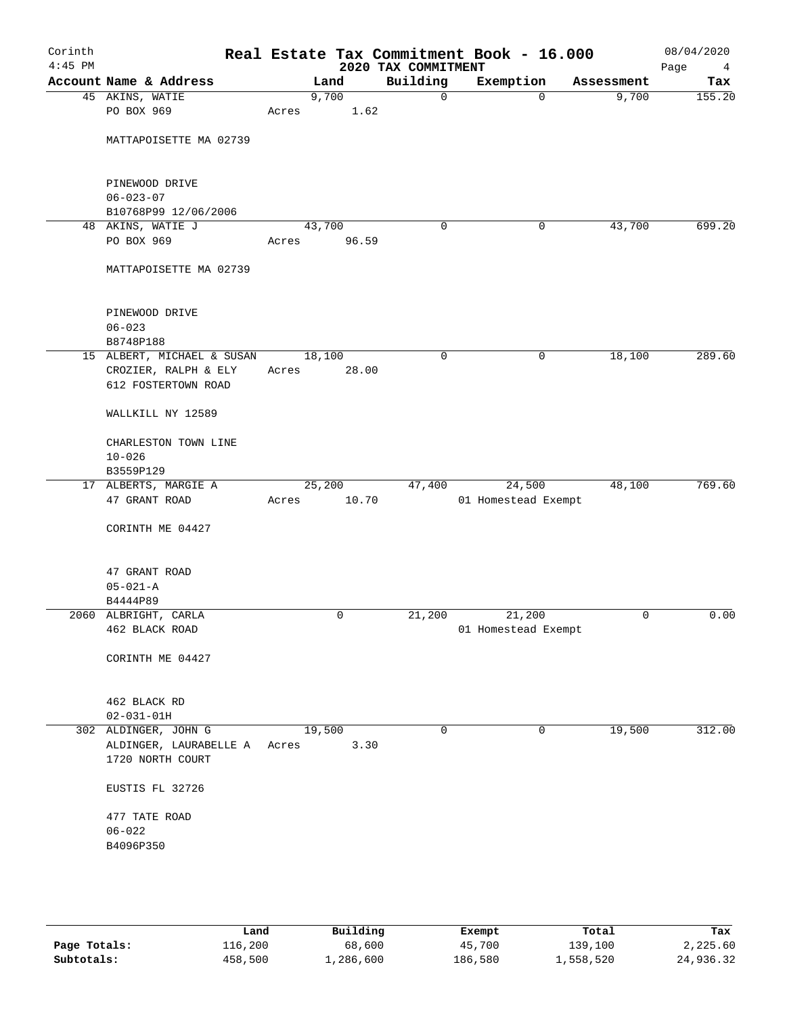| Corinth<br>$4:45$ PM |                                            |        |       | 2020 TAX COMMITMENT | Real Estate Tax Commitment Book - 16.000 |            | 08/04/2020<br>Page<br>4 |
|----------------------|--------------------------------------------|--------|-------|---------------------|------------------------------------------|------------|-------------------------|
|                      | Account Name & Address                     |        | Land  | Building            | Exemption                                | Assessment | Tax                     |
|                      | 45 AKINS, WATIE                            | 9,700  |       | $\mathbf 0$         | $\mathbf 0$                              | 9,700      | 155.20                  |
|                      | PO BOX 969                                 | Acres  | 1.62  |                     |                                          |            |                         |
|                      | MATTAPOISETTE MA 02739                     |        |       |                     |                                          |            |                         |
|                      |                                            |        |       |                     |                                          |            |                         |
|                      | PINEWOOD DRIVE                             |        |       |                     |                                          |            |                         |
|                      | $06 - 023 - 07$                            |        |       |                     |                                          |            |                         |
|                      | B10768P99 12/06/2006<br>48 AKINS, WATIE J  | 43,700 |       | 0                   | 0                                        | 43,700     | 699.20                  |
|                      | PO BOX 969                                 | Acres  | 96.59 |                     |                                          |            |                         |
|                      |                                            |        |       |                     |                                          |            |                         |
|                      | MATTAPOISETTE MA 02739                     |        |       |                     |                                          |            |                         |
|                      | PINEWOOD DRIVE                             |        |       |                     |                                          |            |                         |
|                      | $06 - 023$                                 |        |       |                     |                                          |            |                         |
|                      | B8748P188                                  |        |       |                     |                                          |            |                         |
|                      | 15 ALBERT, MICHAEL & SUSAN                 | 18,100 |       | $\mathbf 0$         | $\mathsf{O}$                             | 18,100     | 289.60                  |
|                      | CROZIER, RALPH & ELY                       | Acres  | 28.00 |                     |                                          |            |                         |
|                      | 612 FOSTERTOWN ROAD                        |        |       |                     |                                          |            |                         |
|                      | WALLKILL NY 12589                          |        |       |                     |                                          |            |                         |
|                      | CHARLESTON TOWN LINE                       |        |       |                     |                                          |            |                         |
|                      | $10 - 026$                                 |        |       |                     |                                          |            |                         |
|                      | B3559P129                                  |        |       |                     |                                          |            |                         |
|                      | 17 ALBERTS, MARGIE A                       | 25,200 |       | 47,400              | 24,500                                   | 48,100     | 769.60                  |
|                      | 47 GRANT ROAD                              | Acres  | 10.70 |                     | 01 Homestead Exempt                      |            |                         |
|                      | CORINTH ME 04427                           |        |       |                     |                                          |            |                         |
|                      | 47 GRANT ROAD                              |        |       |                     |                                          |            |                         |
|                      | $05 - 021 - A$                             |        |       |                     |                                          |            |                         |
|                      | B4444P89                                   |        |       |                     |                                          |            |                         |
|                      | 2060 ALBRIGHT, CARLA                       |        | 0     | 21,200              | 21,200                                   | 0          | 0.00                    |
|                      | 462 BLACK ROAD                             |        |       |                     | 01 Homestead Exempt                      |            |                         |
|                      | CORINTH ME 04427                           |        |       |                     |                                          |            |                         |
|                      |                                            |        |       |                     |                                          |            |                         |
|                      | 462 BLACK RD                               |        |       |                     |                                          |            |                         |
|                      | $02 - 031 - 01H$                           |        |       |                     |                                          |            |                         |
|                      | 302 ALDINGER, JOHN G                       | 19,500 |       | $\mathbf 0$         | 0                                        | 19,500     | 312.00                  |
|                      | ALDINGER, LAURABELLE A<br>1720 NORTH COURT | Acres  | 3.30  |                     |                                          |            |                         |
|                      | EUSTIS FL 32726                            |        |       |                     |                                          |            |                         |
|                      | 477 TATE ROAD                              |        |       |                     |                                          |            |                         |
|                      | $06 - 022$                                 |        |       |                     |                                          |            |                         |
|                      | B4096P350                                  |        |       |                     |                                          |            |                         |
|                      |                                            |        |       |                     |                                          |            |                         |
|                      |                                            |        |       |                     |                                          |            |                         |

|              | Land    | Building  | Exempt  | Total     | Tax       |
|--------------|---------|-----------|---------|-----------|-----------|
| Page Totals: | 116,200 | 68,600    | 45,700  | 139,100   | 2,225.60  |
| Subtotals:   | 458,500 | 1,286,600 | 186,580 | 1,558,520 | 24,936.32 |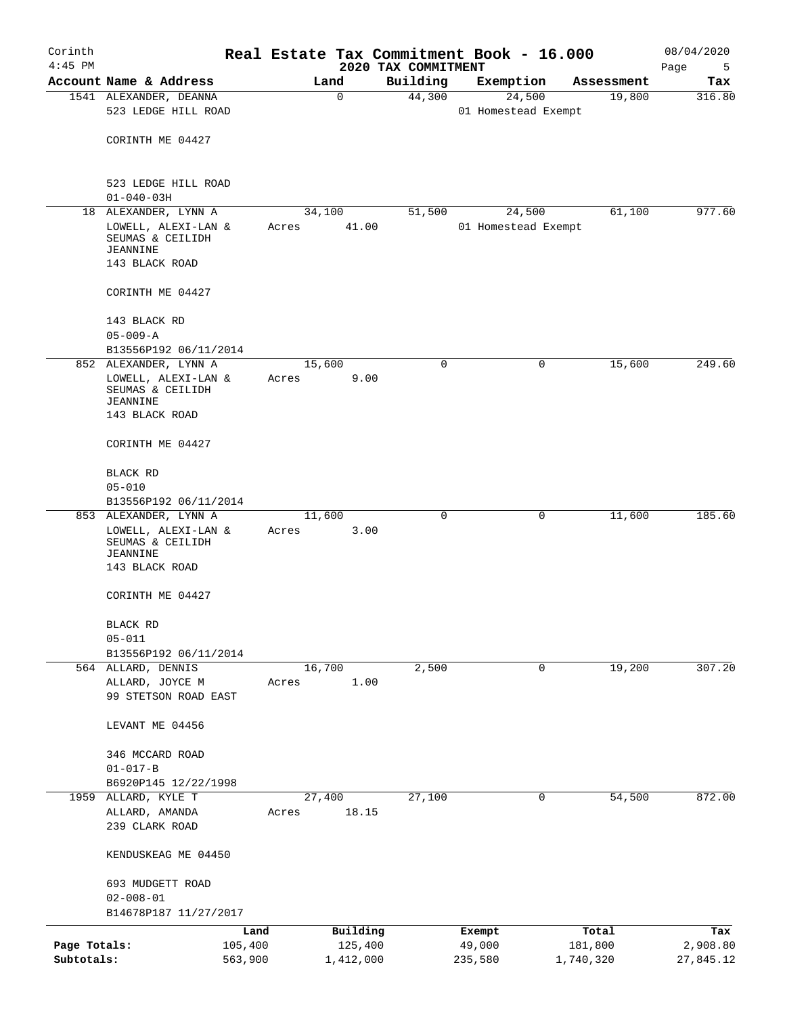| Corinth      |                                                                       |         |       |                |                     | Real Estate Tax Commitment Book - 16.000 |                      | 08/04/2020    |
|--------------|-----------------------------------------------------------------------|---------|-------|----------------|---------------------|------------------------------------------|----------------------|---------------|
| $4:45$ PM    |                                                                       |         |       |                | 2020 TAX COMMITMENT |                                          |                      | Page<br>5     |
|              | Account Name & Address<br>1541 ALEXANDER, DEANNA                      |         |       | Land<br>0      | Building<br>44,300  | Exemption<br>24,500                      | Assessment<br>19,800 | Tax<br>316.80 |
|              | 523 LEDGE HILL ROAD                                                   |         |       |                |                     | 01 Homestead Exempt                      |                      |               |
|              | CORINTH ME 04427                                                      |         |       |                |                     |                                          |                      |               |
|              | 523 LEDGE HILL ROAD<br>$01 - 040 - 03H$                               |         |       |                |                     |                                          |                      |               |
|              | 18 ALEXANDER, LYNN A                                                  |         |       | 34, 100        | 51,500              | 24,500                                   | 61,100               | 977.60        |
|              | LOWELL, ALEXI-LAN &<br>SEUMAS & CEILIDH<br>JEANNINE<br>143 BLACK ROAD |         | Acres | 41.00          |                     | 01 Homestead Exempt                      |                      |               |
|              | CORINTH ME 04427                                                      |         |       |                |                     |                                          |                      |               |
|              | 143 BLACK RD<br>$05 - 009 - A$                                        |         |       |                |                     |                                          |                      |               |
|              | B13556P192 06/11/2014                                                 |         |       |                |                     |                                          |                      |               |
|              | 852 ALEXANDER, LYNN A                                                 |         |       | 15,600         | 0                   | 0                                        | 15,600               | 249.60        |
|              | LOWELL, ALEXI-LAN &<br>SEUMAS & CEILIDH<br>JEANNINE<br>143 BLACK ROAD |         | Acres | 9.00           |                     |                                          |                      |               |
|              | CORINTH ME 04427                                                      |         |       |                |                     |                                          |                      |               |
|              |                                                                       |         |       |                |                     |                                          |                      |               |
|              | BLACK RD                                                              |         |       |                |                     |                                          |                      |               |
|              | $05 - 010$<br>B13556P192 06/11/2014                                   |         |       |                |                     |                                          |                      |               |
|              | 853 ALEXANDER, LYNN A                                                 |         |       | 11,600         | $\Omega$            | 0                                        | 11,600               | 185.60        |
|              | LOWELL, ALEXI-LAN &<br>SEUMAS & CEILIDH<br>JEANNINE<br>143 BLACK ROAD |         | Acres | 3.00           |                     |                                          |                      |               |
|              |                                                                       |         |       |                |                     |                                          |                      |               |
|              | CORINTH ME 04427                                                      |         |       |                |                     |                                          |                      |               |
|              | BLACK RD                                                              |         |       |                |                     |                                          |                      |               |
|              | $05 - 011$                                                            |         |       |                |                     |                                          |                      |               |
|              | B13556P192 06/11/2014                                                 |         |       |                |                     |                                          |                      |               |
| 564          | ALLARD, DENNIS<br>ALLARD, JOYCE M<br>99 STETSON ROAD EAST             |         | Acres | 16,700<br>1.00 | 2,500               | 0                                        | 19,200               | 307.20        |
|              | LEVANT ME 04456                                                       |         |       |                |                     |                                          |                      |               |
|              | 346 MCCARD ROAD                                                       |         |       |                |                     |                                          |                      |               |
|              | $01 - 017 - B$                                                        |         |       |                |                     |                                          |                      |               |
|              | B6920P145 12/22/1998                                                  |         |       |                |                     |                                          |                      |               |
| 1959         | ALLARD, KYLE T                                                        |         |       | 27,400         | 27,100              |                                          | 54,500<br>0          | 872.00        |
|              | ALLARD, AMANDA                                                        |         | Acres | 18.15          |                     |                                          |                      |               |
|              | 239 CLARK ROAD                                                        |         |       |                |                     |                                          |                      |               |
|              | KENDUSKEAG ME 04450                                                   |         |       |                |                     |                                          |                      |               |
|              | 693 MUDGETT ROAD                                                      |         |       |                |                     |                                          |                      |               |
|              | $02 - 008 - 01$                                                       |         |       |                |                     |                                          |                      |               |
|              | B14678P187 11/27/2017                                                 |         |       |                |                     |                                          |                      |               |
|              |                                                                       | Land    |       | Building       |                     | Exempt                                   | Total                | Tax           |
| Page Totals: |                                                                       | 105,400 |       | 125,400        |                     | 49,000                                   | 181,800              | 2,908.80      |
| Subtotals:   |                                                                       | 563,900 |       | 1,412,000      |                     | 235,580                                  | 1,740,320            | 27,845.12     |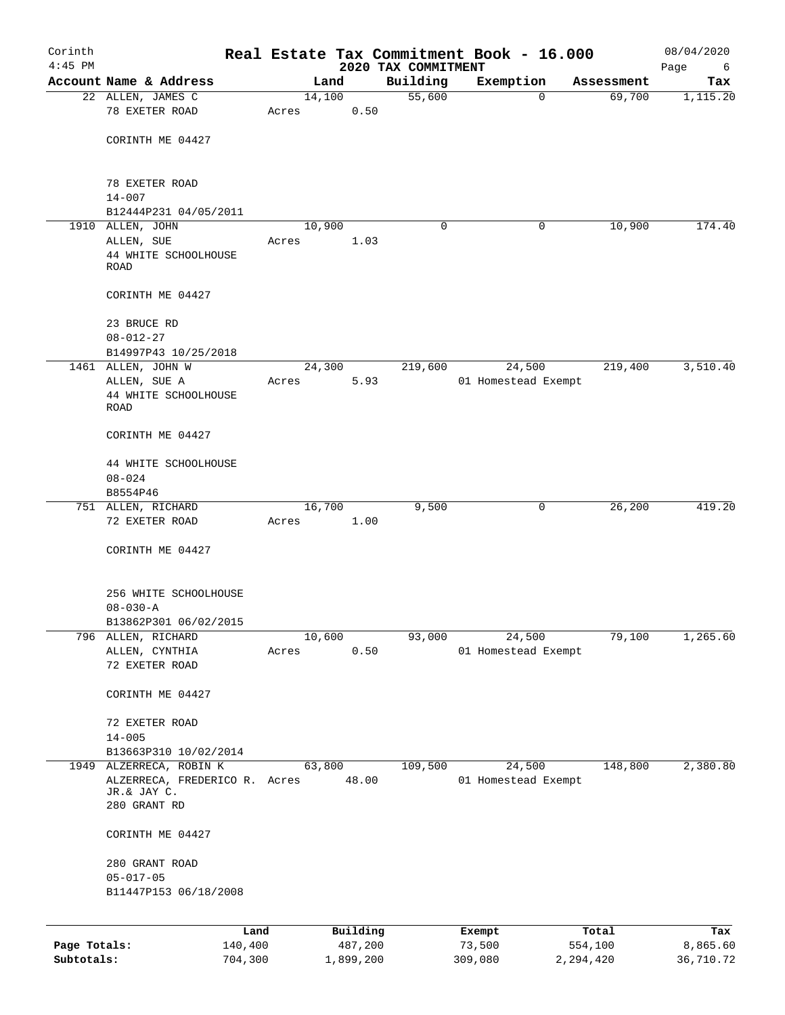| Corinth      |                                                                         |         |       |        |           |                                 | Real Estate Tax Commitment Book - 16.000 |           |            | 08/04/2020       |
|--------------|-------------------------------------------------------------------------|---------|-------|--------|-----------|---------------------------------|------------------------------------------|-----------|------------|------------------|
| $4:45$ PM    | Account Name & Address                                                  |         |       | Land   |           | 2020 TAX COMMITMENT<br>Building | Exemption                                |           | Assessment | Page<br>6<br>Tax |
|              | 22 ALLEN, JAMES C                                                       |         |       | 14,100 |           | 55,600                          |                                          | $\Omega$  | 69,700     | 1,115.20         |
|              | 78 EXETER ROAD                                                          |         | Acres |        | 0.50      |                                 |                                          |           |            |                  |
|              | CORINTH ME 04427                                                        |         |       |        |           |                                 |                                          |           |            |                  |
|              | 78 EXETER ROAD<br>$14 - 007$                                            |         |       |        |           |                                 |                                          |           |            |                  |
|              | B12444P231 04/05/2011                                                   |         |       |        |           |                                 |                                          |           |            |                  |
|              | 1910 ALLEN, JOHN                                                        |         |       | 10,900 |           | $\Omega$                        |                                          | 0         | 10,900     | 174.40           |
|              | ALLEN, SUE<br>44 WHITE SCHOOLHOUSE<br><b>ROAD</b>                       |         | Acres |        | 1.03      |                                 |                                          |           |            |                  |
|              | CORINTH ME 04427                                                        |         |       |        |           |                                 |                                          |           |            |                  |
|              | 23 BRUCE RD<br>$08 - 012 - 27$                                          |         |       |        |           |                                 |                                          |           |            |                  |
|              | B14997P43 10/25/2018                                                    |         |       |        |           |                                 |                                          |           |            |                  |
|              | 1461 ALLEN, JOHN W                                                      |         |       | 24,300 |           | 219,600                         | 24,500                                   |           | 219,400    | 3,510.40         |
|              | ALLEN, SUE A<br>44 WHITE SCHOOLHOUSE<br><b>ROAD</b>                     |         | Acres |        | 5.93      |                                 | 01 Homestead Exempt                      |           |            |                  |
|              | CORINTH ME 04427                                                        |         |       |        |           |                                 |                                          |           |            |                  |
|              | 44 WHITE SCHOOLHOUSE<br>$08 - 024$                                      |         |       |        |           |                                 |                                          |           |            |                  |
|              | B8554P46                                                                |         |       |        |           |                                 |                                          |           |            |                  |
|              | 751 ALLEN, RICHARD                                                      |         |       | 16,700 |           | 9,500                           |                                          | 0         | 26,200     | 419.20           |
|              | 72 EXETER ROAD                                                          |         | Acres |        | 1.00      |                                 |                                          |           |            |                  |
|              | CORINTH ME 04427                                                        |         |       |        |           |                                 |                                          |           |            |                  |
|              | 256 WHITE SCHOOLHOUSE                                                   |         |       |        |           |                                 |                                          |           |            |                  |
|              | $08 - 030 - A$<br>B13862P301 06/02/2015                                 |         |       |        |           |                                 |                                          |           |            |                  |
| 796          | ALLEN, RICHARD                                                          |         |       | 10,600 |           | 93,000                          | 24,500                                   |           | 79,100     | 1,265.60         |
|              | ALLEN, CYNTHIA<br>72 EXETER ROAD                                        |         | Acres |        | 0.50      |                                 | 01 Homestead Exempt                      |           |            |                  |
|              | CORINTH ME 04427                                                        |         |       |        |           |                                 |                                          |           |            |                  |
|              | 72 EXETER ROAD<br>$14 - 005$                                            |         |       |        |           |                                 |                                          |           |            |                  |
|              | B13663P310 10/02/2014                                                   |         |       |        |           |                                 |                                          |           |            |                  |
|              | 1949 ALZERRECA, ROBIN K<br>ALZERRECA, FREDERICO R. Acres<br>JR.& JAY C. |         |       | 63,800 | 48.00     | 109,500                         | 24,500<br>01 Homestead Exempt            |           | 148,800    | 2,380.80         |
|              | 280 GRANT RD                                                            |         |       |        |           |                                 |                                          |           |            |                  |
|              | CORINTH ME 04427                                                        |         |       |        |           |                                 |                                          |           |            |                  |
|              | 280 GRANT ROAD<br>$05 - 017 - 05$<br>B11447P153 06/18/2008              |         |       |        |           |                                 |                                          |           |            |                  |
|              |                                                                         | Land    |       |        | Building  |                                 | Exempt                                   |           | Total      | Tax              |
| Page Totals: |                                                                         | 140,400 |       |        | 487,200   |                                 | 73,500                                   |           | 554,100    | 8,865.60         |
| Subtotals:   |                                                                         | 704,300 |       |        | 1,899,200 |                                 | 309,080                                  | 2,294,420 |            | 36,710.72        |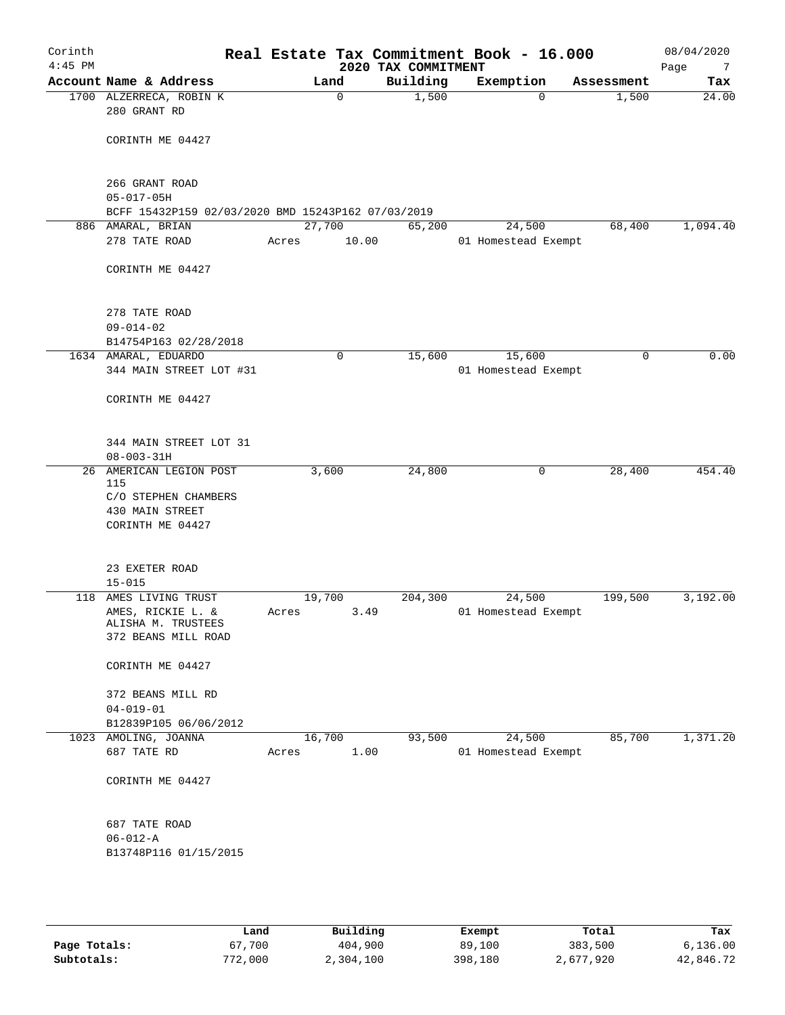| Corinth<br>$4:45$ PM |                                                    |       |                | 2020 TAX COMMITMENT | Real Estate Tax Commitment Book - 16.000 |            | 08/04/2020<br>Page<br>7 |
|----------------------|----------------------------------------------------|-------|----------------|---------------------|------------------------------------------|------------|-------------------------|
|                      | Account Name & Address                             |       | Land           | Building            | Exemption                                | Assessment | Tax                     |
|                      | 1700 ALZERRECA, ROBIN K<br>280 GRANT RD            |       | $\mathbf 0$    | 1,500               | 0                                        | 1,500      | $\overline{24.00}$      |
|                      | CORINTH ME 04427                                   |       |                |                     |                                          |            |                         |
|                      |                                                    |       |                |                     |                                          |            |                         |
|                      | 266 GRANT ROAD<br>$05 - 017 - 05H$                 |       |                |                     |                                          |            |                         |
|                      | BCFF 15432P159 02/03/2020 BMD 15243P162 07/03/2019 |       |                |                     |                                          |            |                         |
|                      | 886 AMARAL, BRIAN                                  |       | 27,700         | 65,200              | 24,500                                   | 68,400     | 1,094.40                |
|                      | 278 TATE ROAD                                      | Acres | 10.00          |                     | 01 Homestead Exempt                      |            |                         |
|                      | CORINTH ME 04427                                   |       |                |                     |                                          |            |                         |
|                      | 278 TATE ROAD                                      |       |                |                     |                                          |            |                         |
|                      | $09 - 014 - 02$                                    |       |                |                     |                                          |            |                         |
|                      | B14754P163 02/28/2018                              |       |                |                     |                                          |            |                         |
|                      | 1634 AMARAL, EDUARDO                               |       | 0              | 15,600              | 15,600                                   | 0          | 0.00                    |
|                      | 344 MAIN STREET LOT #31                            |       |                |                     | 01 Homestead Exempt                      |            |                         |
|                      | CORINTH ME 04427                                   |       |                |                     |                                          |            |                         |
|                      | 344 MAIN STREET LOT 31                             |       |                |                     |                                          |            |                         |
|                      | $08 - 003 - 31H$                                   |       |                |                     |                                          |            |                         |
|                      | 26 AMERICAN LEGION POST<br>115                     |       | 3,600          | 24,800              | 0                                        | 28,400     | 454.40                  |
|                      | C/O STEPHEN CHAMBERS                               |       |                |                     |                                          |            |                         |
|                      | 430 MAIN STREET                                    |       |                |                     |                                          |            |                         |
|                      | CORINTH ME 04427                                   |       |                |                     |                                          |            |                         |
|                      |                                                    |       |                |                     |                                          |            |                         |
|                      | 23 EXETER ROAD                                     |       |                |                     |                                          |            |                         |
|                      | $15 - 015$                                         |       |                |                     |                                          |            |                         |
| 118                  | AMES LIVING TRUST                                  |       | 19,700         | 204,300             | 24,500                                   | 199,500    | 3,192.00                |
|                      | AMES, RICKIE L. &                                  | Acres | 3.49           |                     | 01 Homestead Exempt                      |            |                         |
|                      | ALISHA M. TRUSTEES                                 |       |                |                     |                                          |            |                         |
|                      | 372 BEANS MILL ROAD                                |       |                |                     |                                          |            |                         |
|                      | CORINTH ME 04427                                   |       |                |                     |                                          |            |                         |
|                      | 372 BEANS MILL RD                                  |       |                |                     |                                          |            |                         |
|                      | $04 - 019 - 01$                                    |       |                |                     |                                          |            |                         |
|                      | B12839P105 06/06/2012                              |       |                |                     |                                          |            |                         |
|                      | 1023 AMOLING, JOANNA<br>687 TATE RD                | Acres | 16,700<br>1.00 | 93,500              | 24,500<br>01 Homestead Exempt            | 85,700     | 1,371.20                |
|                      | CORINTH ME 04427                                   |       |                |                     |                                          |            |                         |
|                      | 687 TATE ROAD                                      |       |                |                     |                                          |            |                         |
|                      | $06 - 012 - A$                                     |       |                |                     |                                          |            |                         |
|                      | B13748P116 01/15/2015                              |       |                |                     |                                          |            |                         |
|                      |                                                    |       |                |                     |                                          |            |                         |
|                      |                                                    |       |                |                     |                                          |            |                         |

|              | Land    | Building  | Exempt  | Total     | Tax       |
|--------------|---------|-----------|---------|-----------|-----------|
| Page Totals: | 67,700  | 404,900   | 89,100  | 383,500   | 6.136.00  |
| Subtotals:   | 772,000 | 2,304,100 | 398,180 | 2,677,920 | 42,846.72 |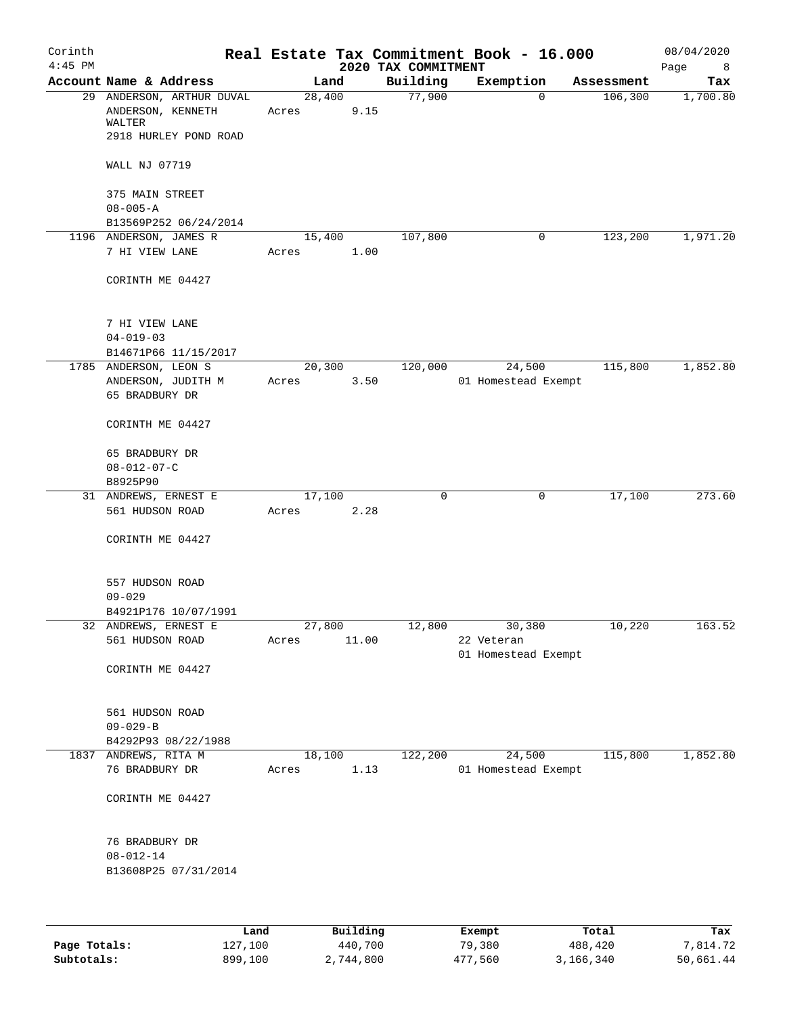| Corinth<br>$4:45$ PM |                                                                                   |                 |       | 2020 TAX COMMITMENT | Real Estate Tax Commitment Book - 16.000 |            | 08/04/2020<br>Page<br>- 8 |
|----------------------|-----------------------------------------------------------------------------------|-----------------|-------|---------------------|------------------------------------------|------------|---------------------------|
|                      | Account Name & Address                                                            | Land            |       | Building            | Exemption                                | Assessment | Tax                       |
|                      | 29 ANDERSON, ARTHUR DUVAL<br>ANDERSON, KENNETH<br>WALTER<br>2918 HURLEY POND ROAD | 28,400<br>Acres | 9.15  | 77,900              | 0                                        | 106,300    | 1,700.80                  |
|                      | WALL NJ 07719                                                                     |                 |       |                     |                                          |            |                           |
|                      | 375 MAIN STREET                                                                   |                 |       |                     |                                          |            |                           |
|                      | $08 - 005 - A$                                                                    |                 |       |                     |                                          |            |                           |
|                      | B13569P252 06/24/2014                                                             |                 |       |                     |                                          |            |                           |
|                      | 1196 ANDERSON, JAMES R<br>7 HI VIEW LANE                                          | 15,400<br>Acres | 1.00  | 107,800             | 0                                        | 123,200    | 1,971.20                  |
|                      | CORINTH ME 04427                                                                  |                 |       |                     |                                          |            |                           |
|                      | 7 HI VIEW LANE                                                                    |                 |       |                     |                                          |            |                           |
|                      | $04 - 019 - 03$                                                                   |                 |       |                     |                                          |            |                           |
|                      | B14671P66 11/15/2017                                                              | 20,300          |       | 120,000             |                                          |            | 1,852.80                  |
|                      | 1785 ANDERSON, LEON S<br>ANDERSON, JUDITH M<br>65 BRADBURY DR                     | Acres           | 3.50  |                     | 24,500<br>01 Homestead Exempt            | 115,800    |                           |
|                      | CORINTH ME 04427                                                                  |                 |       |                     |                                          |            |                           |
|                      | 65 BRADBURY DR                                                                    |                 |       |                     |                                          |            |                           |
|                      | $08 - 012 - 07 - C$                                                               |                 |       |                     |                                          |            |                           |
|                      | B8925P90                                                                          |                 |       |                     |                                          |            |                           |
|                      | 31 ANDREWS, ERNEST E<br>561 HUDSON ROAD                                           | 17,100<br>Acres | 2.28  | 0                   | 0                                        | 17,100     | 273.60                    |
|                      | CORINTH ME 04427                                                                  |                 |       |                     |                                          |            |                           |
|                      | 557 HUDSON ROAD<br>$09 - 029$                                                     |                 |       |                     |                                          |            |                           |
|                      | B4921P176 10/07/1991                                                              |                 |       |                     |                                          |            |                           |
|                      | 32 ANDREWS, ERNEST E                                                              | 27,800          |       | 12,800              | 30,380                                   | 10,220     | 163.52                    |
|                      | 561 HUDSON ROAD<br>CORINTH ME 04427                                               | Acres           | 11.00 |                     | 22 Veteran<br>01 Homestead Exempt        |            |                           |
|                      | 561 HUDSON ROAD<br>$09 - 029 - B$                                                 |                 |       |                     |                                          |            |                           |
|                      | B4292P93 08/22/1988                                                               |                 |       |                     |                                          |            |                           |
|                      | 1837 ANDREWS, RITA M                                                              | 18,100          |       | 122,200             | 24,500                                   | 115,800    | 1,852.80                  |
|                      | 76 BRADBURY DR                                                                    | Acres           | 1.13  |                     | 01 Homestead Exempt                      |            |                           |
|                      | CORINTH ME 04427                                                                  |                 |       |                     |                                          |            |                           |
|                      | 76 BRADBURY DR<br>$08 - 012 - 14$<br>B13608P25 07/31/2014                         |                 |       |                     |                                          |            |                           |
|                      |                                                                                   |                 |       |                     |                                          |            |                           |

|              | Land    | Building  | Exempt  | Total     | Tax       |
|--------------|---------|-----------|---------|-----------|-----------|
| Page Totals: | 127,100 | 440,700   | 79,380  | 488,420   | 7,814.72  |
| Subtotals:   | 899,100 | 2,744,800 | 477,560 | 3,166,340 | 50,661.44 |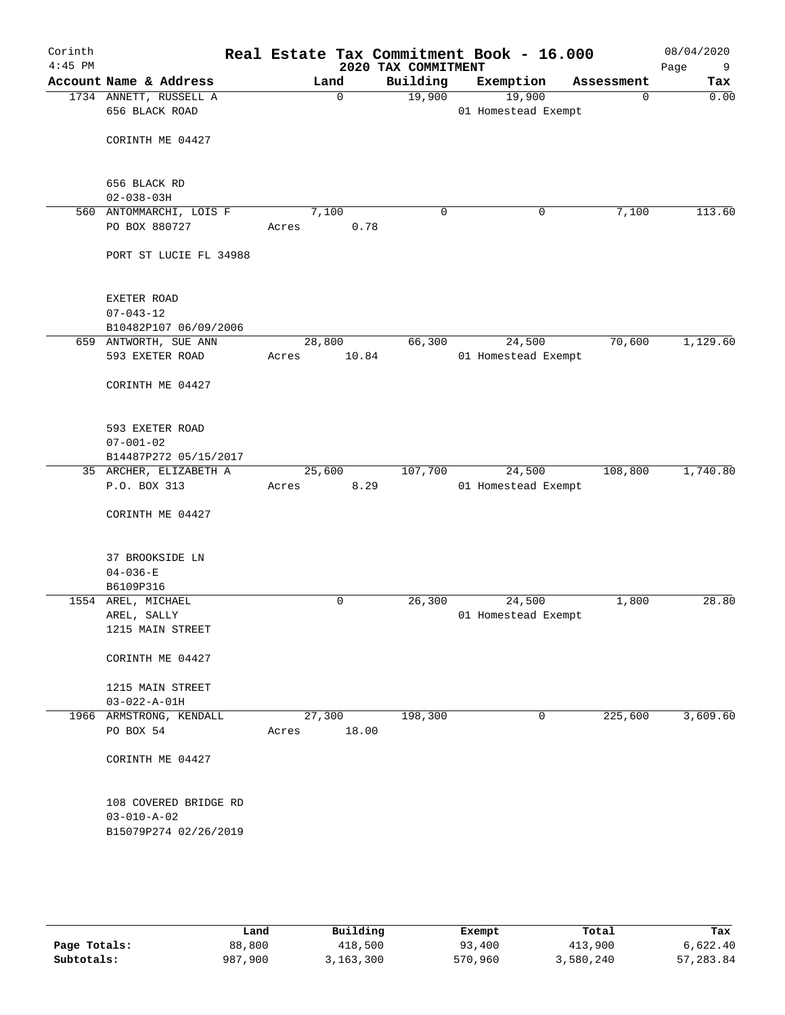| Corinth<br>$4:45$ PM |                                                                       |                        | 2020 TAX COMMITMENT | Real Estate Tax Commitment Book - 16.000 |             | 08/04/2020<br>Page<br>- 9 |
|----------------------|-----------------------------------------------------------------------|------------------------|---------------------|------------------------------------------|-------------|---------------------------|
|                      | Account Name & Address                                                | Land                   | Building            | Exemption                                | Assessment  | Tax                       |
|                      | 1734 ANNETT, RUSSELL A<br>656 BLACK ROAD                              | $\Omega$               | 19,900              | 19,900<br>01 Homestead Exempt            | $\mathbf 0$ | 0.00                      |
|                      | CORINTH ME 04427                                                      |                        |                     |                                          |             |                           |
|                      | 656 BLACK RD                                                          |                        |                     |                                          |             |                           |
|                      | $02 - 038 - 03H$                                                      |                        |                     |                                          |             |                           |
|                      | 560 ANTOMMARCHI, LOIS F<br>PO BOX 880727                              | 7,100<br>0.78<br>Acres | $\mathbf 0$         | 0                                        | 7,100       | 113.60                    |
|                      | PORT ST LUCIE FL 34988                                                |                        |                     |                                          |             |                           |
|                      | EXETER ROAD<br>$07 - 043 - 12$                                        |                        |                     |                                          |             |                           |
|                      | B10482P107 06/09/2006                                                 |                        |                     |                                          |             |                           |
|                      | 659 ANTWORTH, SUE ANN                                                 | 28,800                 | 66,300              | 24,500                                   | 70,600      | 1,129.60                  |
|                      | 593 EXETER ROAD                                                       | 10.84<br>Acres         |                     | 01 Homestead Exempt                      |             |                           |
|                      | CORINTH ME 04427                                                      |                        |                     |                                          |             |                           |
|                      | 593 EXETER ROAD<br>$07 - 001 - 02$                                    |                        |                     |                                          |             |                           |
|                      | B14487P272 05/15/2017                                                 |                        |                     |                                          |             |                           |
|                      | 35 ARCHER, ELIZABETH A                                                | 25,600                 | 107,700             | 24,500                                   | 108,800     | 1,740.80                  |
|                      | P.O. BOX 313                                                          | 8.29<br>Acres          |                     | 01 Homestead Exempt                      |             |                           |
|                      | CORINTH ME 04427                                                      |                        |                     |                                          |             |                           |
|                      | 37 BROOKSIDE LN                                                       |                        |                     |                                          |             |                           |
|                      | $04 - 036 - E$<br>B6109P316                                           |                        |                     |                                          |             |                           |
|                      | 1554 AREL, MICHAEL                                                    | 0                      | 26,300              | 24,500                                   | 1,800       | 28.80                     |
|                      | AREL, SALLY                                                           |                        |                     | 01 Homestead Exempt                      |             |                           |
|                      | 1215 MAIN STREET                                                      |                        |                     |                                          |             |                           |
|                      | CORINTH ME 04427                                                      |                        |                     |                                          |             |                           |
|                      | 1215 MAIN STREET                                                      |                        |                     |                                          |             |                           |
|                      | $03 - 022 - A - 01H$                                                  |                        |                     |                                          |             |                           |
|                      | 1966 ARMSTRONG, KENDALL                                               | 27,300                 | 198,300             | 0                                        | 225,600     | 3,609.60                  |
|                      | PO BOX 54                                                             | 18.00<br>Acres         |                     |                                          |             |                           |
|                      | CORINTH ME 04427                                                      |                        |                     |                                          |             |                           |
|                      | 108 COVERED BRIDGE RD<br>$03 - 010 - A - 02$<br>B15079P274 02/26/2019 |                        |                     |                                          |             |                           |
|                      |                                                                       |                        |                     |                                          |             |                           |

|              | Land    | Building | Exempt  | Total     | Tax       |
|--------------|---------|----------|---------|-----------|-----------|
| Page Totals: | 88,800  | 418,500  | 93,400  | 413,900   | 6,622.40  |
| Subtotals:   | 987,900 | ,163,300 | 570,960 | 3,580,240 | 57,283.84 |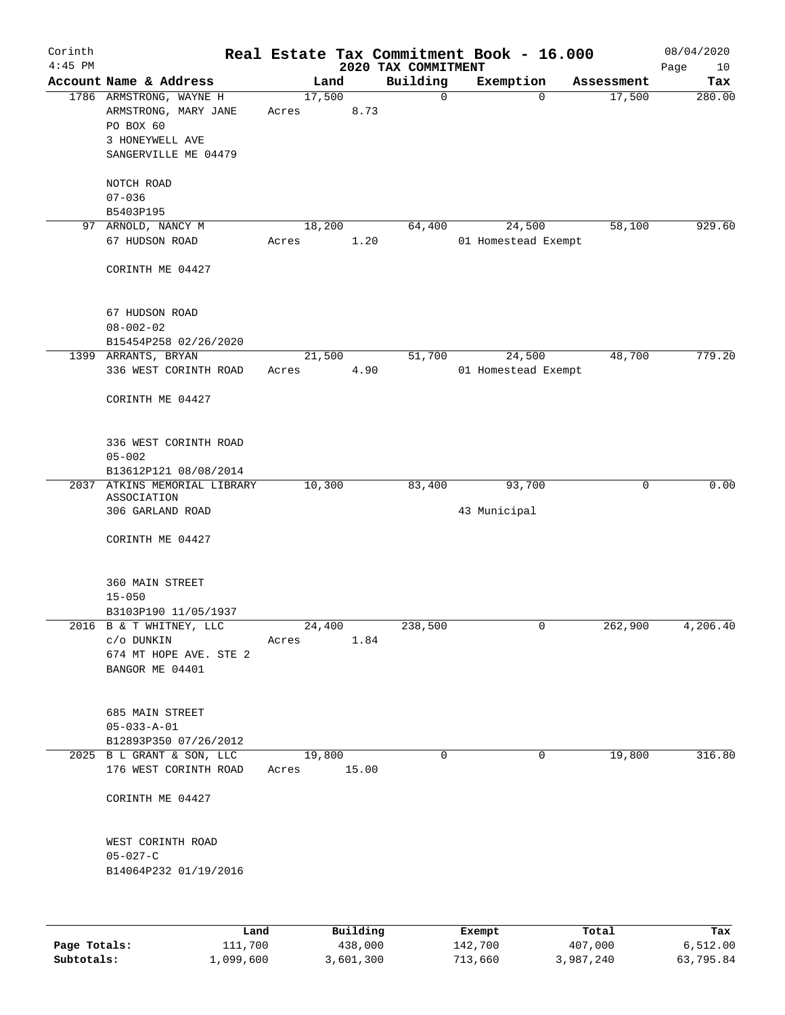| Corinth<br>$4:45$ PM |                                                                                                         |       |                 | 2020 TAX COMMITMENT | Real Estate Tax Commitment Book - 16.000 |              | 08/04/2020<br>Page<br>10 |
|----------------------|---------------------------------------------------------------------------------------------------------|-------|-----------------|---------------------|------------------------------------------|--------------|--------------------------|
|                      | Account Name & Address                                                                                  |       | Land            | Building            | Exemption                                | Assessment   | Tax                      |
|                      | 1786 ARMSTRONG, WAYNE H<br>ARMSTRONG, MARY JANE<br>PO BOX 60<br>3 HONEYWELL AVE<br>SANGERVILLE ME 04479 | Acres | 17,500<br>8.73  | $\mathbf 0$         |                                          | 0<br>17,500  | 280.00                   |
|                      | NOTCH ROAD<br>$07 - 036$                                                                                |       |                 |                     |                                          |              |                          |
|                      | B5403P195                                                                                               |       |                 |                     |                                          |              |                          |
|                      | 97 ARNOLD, NANCY M                                                                                      |       | 18,200          | 64,400              | 24,500                                   | 58,100       | 929.60                   |
|                      | 67 HUDSON ROAD<br>CORINTH ME 04427                                                                      | Acres | 1.20            |                     | 01 Homestead Exempt                      |              |                          |
|                      | 67 HUDSON ROAD<br>$08 - 002 - 02$                                                                       |       |                 |                     |                                          |              |                          |
|                      | B15454P258 02/26/2020                                                                                   |       |                 |                     |                                          |              |                          |
|                      | 1399 ARRANTS, BRYAN<br>336 WEST CORINTH ROAD<br>CORINTH ME 04427                                        | Acres | 21,500<br>4.90  | 51,700              | 24,500<br>01 Homestead Exempt            | 48,700       | 779.20                   |
|                      | 336 WEST CORINTH ROAD<br>$05 - 002$<br>B13612P121 08/08/2014                                            |       |                 |                     |                                          |              |                          |
|                      | 2037 ATKINS MEMORIAL LIBRARY                                                                            |       | 10,300          | 83,400              | 93,700                                   | 0            | 0.00                     |
|                      | ASSOCIATION                                                                                             |       |                 |                     |                                          |              |                          |
|                      | 306 GARLAND ROAD<br>CORINTH ME 04427                                                                    |       |                 |                     | 43 Municipal                             |              |                          |
|                      | 360 MAIN STREET<br>$15 - 050$<br>B3103P190 11/05/1937                                                   |       |                 |                     |                                          |              |                          |
|                      | 2016 B & T WHITNEY, LLC<br>c/o DUNKIN<br>674 MT HOPE AVE. STE 2<br>BANGOR ME 04401                      | Acres | 24,400<br>1.84  | 238,500             |                                          | 0<br>262,900 | 4,206.40                 |
|                      | 685 MAIN STREET<br>$05 - 033 - A - 01$<br>B12893P350 07/26/2012                                         |       |                 |                     |                                          |              |                          |
|                      | 2025 B L GRANT & SON, LLC<br>176 WEST CORINTH ROAD                                                      | Acres | 19,800<br>15.00 | $\Omega$            |                                          | 19,800<br>0  | 316.80                   |
|                      | CORINTH ME 04427                                                                                        |       |                 |                     |                                          |              |                          |
|                      | WEST CORINTH ROAD<br>$05 - 027 - C$<br>B14064P232 01/19/2016                                            |       |                 |                     |                                          |              |                          |
|                      | Land                                                                                                    |       | Building        |                     | Exempt                                   | Total        | Tax                      |

| Page Totals: | 111,700   | 438,000   | 142,700 | 407,000   | 6,512.00  |
|--------------|-----------|-----------|---------|-----------|-----------|
| Subtotals:   | 1,099,600 | 3,601,300 | 713,660 | 3,987,240 | 63,795.84 |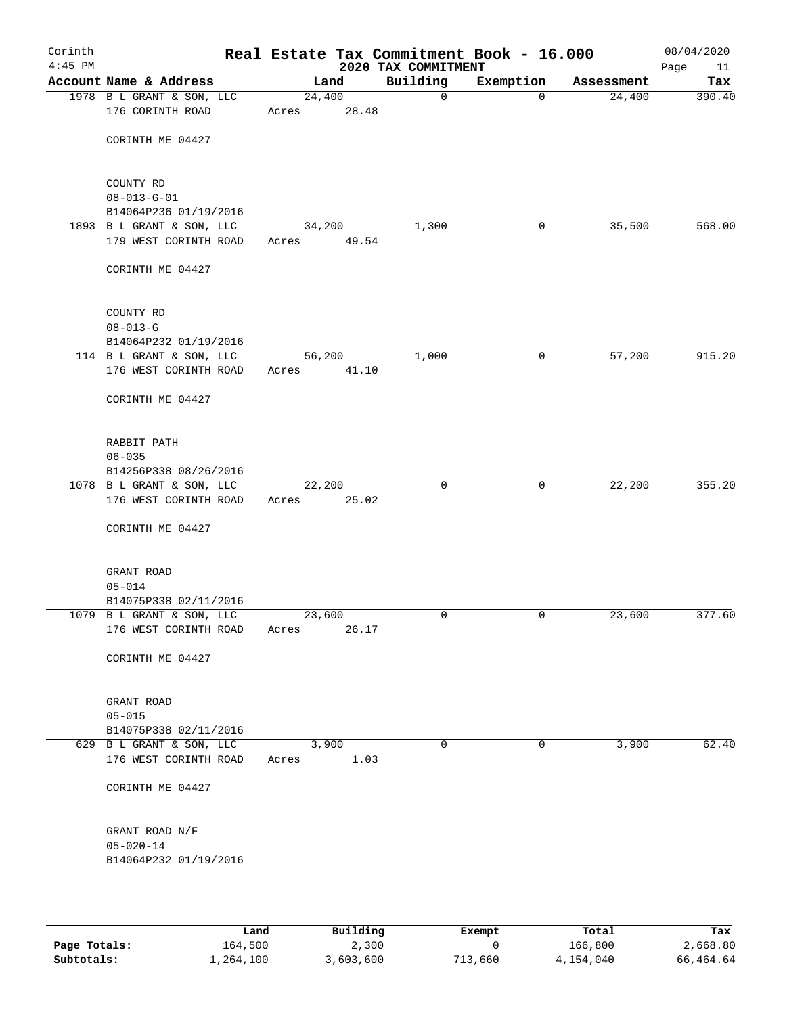| Corinth<br>$4:45$ PM |                                                    |                 |               | Real Estate Tax Commitment Book - 16.000<br>2020 TAX COMMITMENT |              |            | 08/04/2020<br>Page<br>11 |
|----------------------|----------------------------------------------------|-----------------|---------------|-----------------------------------------------------------------|--------------|------------|--------------------------|
|                      | Account Name & Address                             |                 | Land          | Building                                                        | Exemption    | Assessment | Tax                      |
|                      | 1978 B L GRANT & SON, LLC<br>176 CORINTH ROAD      | 24,400<br>Acres | 28.48         | $\mathbf 0$                                                     | 0            | 24,400     | 390.40                   |
|                      | CORINTH ME 04427                                   |                 |               |                                                                 |              |            |                          |
|                      | COUNTY RD                                          |                 |               |                                                                 |              |            |                          |
|                      | $08 - 013 - G - 01$<br>B14064P236 01/19/2016       |                 |               |                                                                 |              |            |                          |
|                      | 1893 B L GRANT & SON, LLC                          | 34,200          |               | 1,300                                                           | 0            | 35,500     | 568.00                   |
|                      | 179 WEST CORINTH ROAD                              | Acres           | 49.54         |                                                                 |              |            |                          |
|                      | CORINTH ME 04427                                   |                 |               |                                                                 |              |            |                          |
|                      | COUNTY RD                                          |                 |               |                                                                 |              |            |                          |
|                      | $08 - 013 - G$                                     |                 |               |                                                                 |              |            |                          |
|                      | B14064P232 01/19/2016                              |                 |               |                                                                 |              |            |                          |
|                      | 114 B L GRANT & SON, LLC<br>176 WEST CORINTH ROAD  | 56,200<br>Acres | 41.10         | 1,000                                                           | 0            | 57,200     | 915.20                   |
|                      | CORINTH ME 04427                                   |                 |               |                                                                 |              |            |                          |
|                      | RABBIT PATH                                        |                 |               |                                                                 |              |            |                          |
|                      | $06 - 035$                                         |                 |               |                                                                 |              |            |                          |
|                      | B14256P338 08/26/2016                              |                 |               |                                                                 |              |            |                          |
|                      | 1078 B L GRANT & SON, LLC<br>176 WEST CORINTH ROAD | 22,200<br>Acres | 25.02         | $\mathbf 0$                                                     | $\mathbf{0}$ | 22,200     | 355.20                   |
|                      | CORINTH ME 04427                                   |                 |               |                                                                 |              |            |                          |
|                      | GRANT ROAD                                         |                 |               |                                                                 |              |            |                          |
|                      | $05 - 014$                                         |                 |               |                                                                 |              |            |                          |
|                      | B14075P338 02/11/2016<br>1079 B L GRANT & SON, LLC | 23,600          |               | 0                                                               | 0            | 23,600     | 377.60                   |
|                      | 176 WEST CORINTH ROAD                              | Acres           | 26.17         |                                                                 |              |            |                          |
|                      | CORINTH ME 04427                                   |                 |               |                                                                 |              |            |                          |
|                      | GRANT ROAD                                         |                 |               |                                                                 |              |            |                          |
|                      | $05 - 015$                                         |                 |               |                                                                 |              |            |                          |
|                      | B14075P338 02/11/2016                              |                 |               |                                                                 |              |            |                          |
|                      | 629 B L GRANT & SON, LLC<br>176 WEST CORINTH ROAD  | Acres           | 3,900<br>1.03 | $\mathbf 0$                                                     | 0            | 3,900      | 62.40                    |
|                      | CORINTH ME 04427                                   |                 |               |                                                                 |              |            |                          |
|                      | GRANT ROAD N/F                                     |                 |               |                                                                 |              |            |                          |
|                      | $05 - 020 - 14$<br>B14064P232 01/19/2016           |                 |               |                                                                 |              |            |                          |
|                      |                                                    |                 |               |                                                                 |              |            |                          |

|              | Land      | Building  | Exempt  | Total     | Tax       |
|--------------|-----------|-----------|---------|-----------|-----------|
| Page Totals: | 164,500   | 2,300     |         | 166,800   | 2,668.80  |
| Subtotals:   | ⊥,264,100 | 3,603,600 | 713,660 | 4,154,040 | 66,464.64 |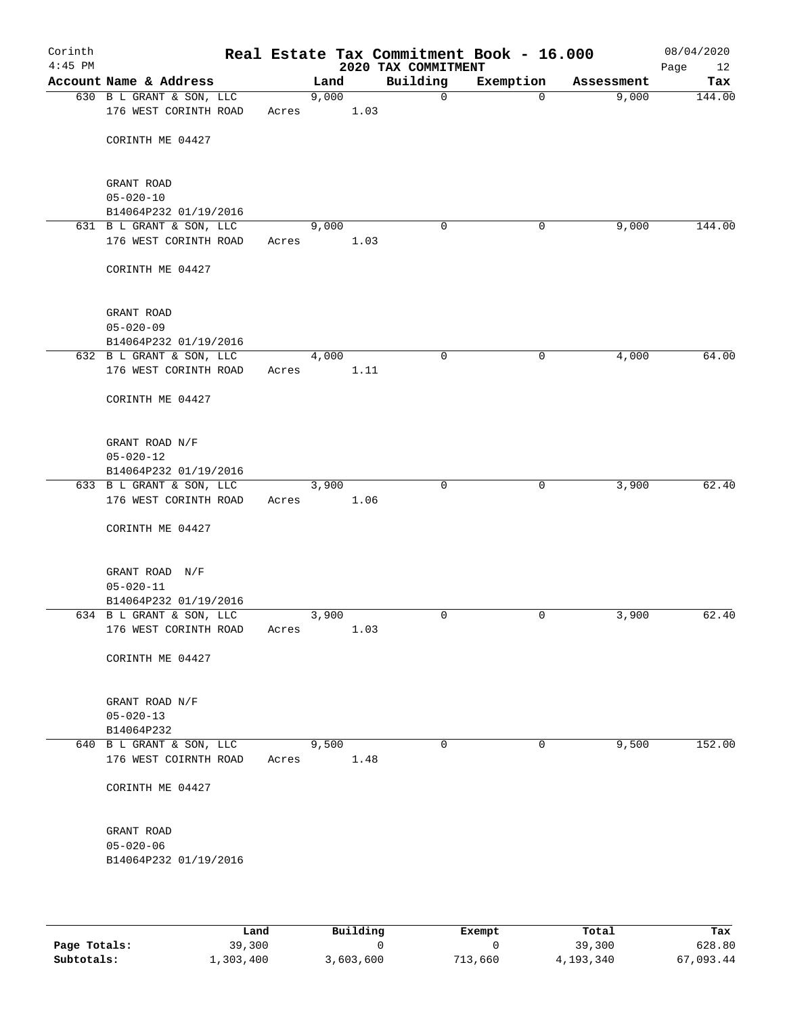| Corinth<br>$4:45$ PM |                                                   |       |       |      | Real Estate Tax Commitment Book - 16.000<br>2020 TAX COMMITMENT |             |            | 08/04/2020<br>Page<br>12 |
|----------------------|---------------------------------------------------|-------|-------|------|-----------------------------------------------------------------|-------------|------------|--------------------------|
|                      | Account Name & Address                            |       | Land  |      | Building                                                        | Exemption   | Assessment | Tax                      |
|                      | 630 B L GRANT & SON, LLC<br>176 WEST CORINTH ROAD | Acres | 9,000 | 1.03 | $\mathsf{O}$                                                    | $\Omega$    | 9,000      | 144.00                   |
|                      | CORINTH ME 04427                                  |       |       |      |                                                                 |             |            |                          |
|                      | GRANT ROAD                                        |       |       |      |                                                                 |             |            |                          |
|                      | $05 - 020 - 10$<br>B14064P232 01/19/2016          |       |       |      |                                                                 |             |            |                          |
|                      | 631 B L GRANT & SON, LLC                          |       | 9,000 |      | $\Omega$                                                        | 0           | 9,000      | 144.00                   |
|                      | 176 WEST CORINTH ROAD                             | Acres |       | 1.03 |                                                                 |             |            |                          |
|                      | CORINTH ME 04427                                  |       |       |      |                                                                 |             |            |                          |
|                      | GRANT ROAD                                        |       |       |      |                                                                 |             |            |                          |
|                      | $05 - 020 - 09$                                   |       |       |      |                                                                 |             |            |                          |
|                      | B14064P232 01/19/2016                             |       |       |      |                                                                 |             |            |                          |
|                      | 632 B L GRANT & SON, LLC<br>176 WEST CORINTH ROAD | Acres | 4,000 | 1.11 | $\mathbf 0$                                                     | 0           | 4,000      | 64.00                    |
|                      | CORINTH ME 04427                                  |       |       |      |                                                                 |             |            |                          |
|                      | GRANT ROAD N/F                                    |       |       |      |                                                                 |             |            |                          |
|                      | $05 - 020 - 12$                                   |       |       |      |                                                                 |             |            |                          |
|                      | B14064P232 01/19/2016                             |       |       |      |                                                                 |             |            |                          |
|                      | 633 B L GRANT & SON, LLC<br>176 WEST CORINTH ROAD | Acres | 3,900 | 1.06 | $\Omega$                                                        | $\mathbf 0$ | 3,900      | 62.40                    |
|                      | CORINTH ME 04427                                  |       |       |      |                                                                 |             |            |                          |
|                      | GRANT ROAD N/F                                    |       |       |      |                                                                 |             |            |                          |
|                      | $05 - 020 - 11$                                   |       |       |      |                                                                 |             |            |                          |
|                      | B14064P232 01/19/2016                             |       |       |      |                                                                 |             |            |                          |
|                      | 634 B L GRANT & SON, LLC<br>176 WEST CORINTH ROAD | Acres | 3,900 | 1.03 | 0                                                               | 0           | 3,900      | 62.40                    |
|                      | CORINTH ME 04427                                  |       |       |      |                                                                 |             |            |                          |
|                      | GRANT ROAD N/F                                    |       |       |      |                                                                 |             |            |                          |
|                      | $05 - 020 - 13$                                   |       |       |      |                                                                 |             |            |                          |
|                      | B14064P232                                        |       |       |      |                                                                 |             |            |                          |
|                      | 640 B L GRANT & SON, LLC<br>176 WEST COIRNTH ROAD | Acres | 9,500 | 1.48 | $\mathbf 0$                                                     | 0           | 9,500      | 152.00                   |
|                      |                                                   |       |       |      |                                                                 |             |            |                          |
|                      | CORINTH ME 04427                                  |       |       |      |                                                                 |             |            |                          |
|                      | GRANT ROAD                                        |       |       |      |                                                                 |             |            |                          |
|                      | $05 - 020 - 06$<br>B14064P232 01/19/2016          |       |       |      |                                                                 |             |            |                          |
|                      |                                                   |       |       |      |                                                                 |             |            |                          |

|              | Land      | Building | Exempt  | Total     | Tax       |
|--------------|-----------|----------|---------|-----------|-----------|
| Page Totals: | 39,300    |          |         | 39,300    | 628.80    |
| Subtotals:   | 1,303,400 | ,603,600 | 713,660 | 4,193,340 | 67,093.44 |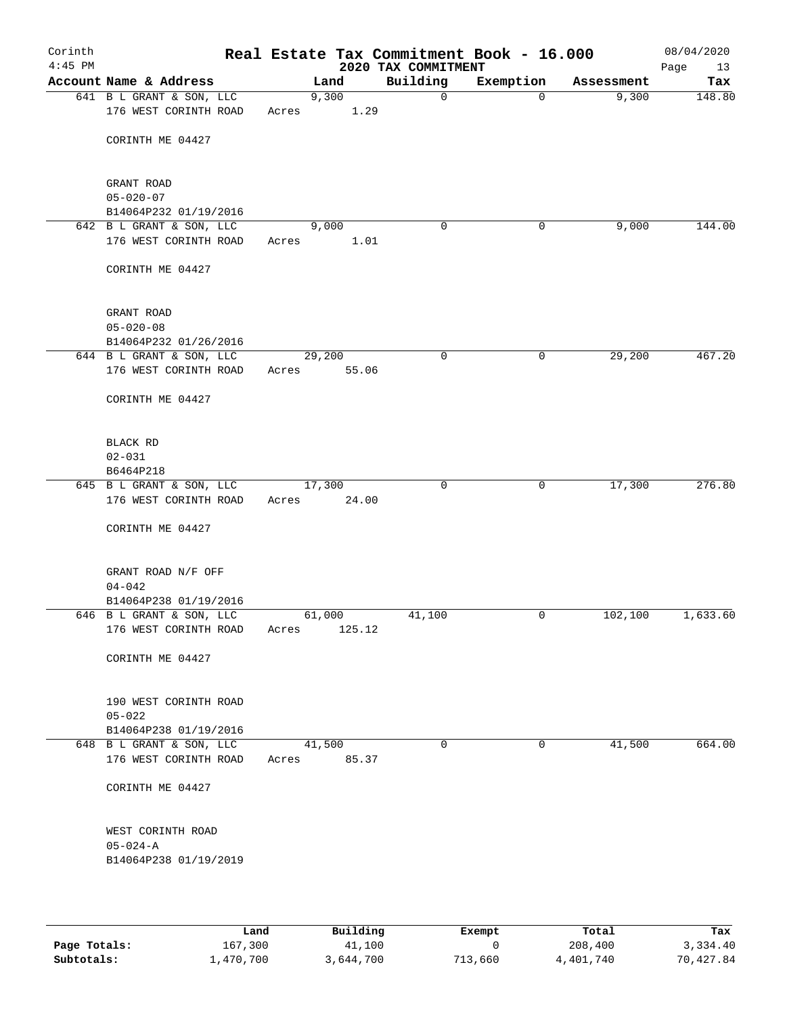| Corinth<br>$4:45$ PM |                                                   |       |        |        | Real Estate Tax Commitment Book - 16.000<br>2020 TAX COMMITMENT |              |            | 08/04/2020<br>Page<br>13 |
|----------------------|---------------------------------------------------|-------|--------|--------|-----------------------------------------------------------------|--------------|------------|--------------------------|
|                      | Account Name & Address                            |       | Land   |        | Building                                                        | Exemption    | Assessment | Tax                      |
|                      | 641 B L GRANT & SON, LLC<br>176 WEST CORINTH ROAD | Acres | 9,300  | 1.29   | 0                                                               | 0            | 9,300      | 148.80                   |
|                      | CORINTH ME 04427                                  |       |        |        |                                                                 |              |            |                          |
|                      | GRANT ROAD                                        |       |        |        |                                                                 |              |            |                          |
|                      | $05 - 020 - 07$                                   |       |        |        |                                                                 |              |            |                          |
|                      | B14064P232 01/19/2016<br>642 B L GRANT & SON, LLC |       | 9,000  |        | 0                                                               | 0            | 9,000      | 144.00                   |
|                      | 176 WEST CORINTH ROAD                             | Acres |        | 1.01   |                                                                 |              |            |                          |
|                      | CORINTH ME 04427                                  |       |        |        |                                                                 |              |            |                          |
|                      | GRANT ROAD                                        |       |        |        |                                                                 |              |            |                          |
|                      | $05 - 020 - 08$                                   |       |        |        |                                                                 |              |            |                          |
|                      | B14064P232 01/26/2016<br>644 B L GRANT & SON, LLC |       | 29,200 |        | $\mathbf 0$                                                     | 0            | 29,200     | 467.20                   |
|                      | 176 WEST CORINTH ROAD                             | Acres |        | 55.06  |                                                                 |              |            |                          |
|                      | CORINTH ME 04427                                  |       |        |        |                                                                 |              |            |                          |
|                      | <b>BLACK RD</b>                                   |       |        |        |                                                                 |              |            |                          |
|                      | $02 - 031$                                        |       |        |        |                                                                 |              |            |                          |
|                      | B6464P218                                         |       |        |        |                                                                 |              |            |                          |
|                      | 645 B L GRANT & SON, LLC<br>176 WEST CORINTH ROAD | Acres | 17,300 | 24.00  | $\mathbf 0$                                                     | $\mathbf{0}$ | 17,300     | 276.80                   |
|                      | CORINTH ME 04427                                  |       |        |        |                                                                 |              |            |                          |
|                      | GRANT ROAD N/F OFF                                |       |        |        |                                                                 |              |            |                          |
|                      | $04 - 042$                                        |       |        |        |                                                                 |              |            |                          |
|                      | B14064P238 01/19/2016<br>646 B L GRANT & SON, LLC |       | 61,000 |        | 41,100                                                          | 0            | 102,100    | 1,633.60                 |
|                      | 176 WEST CORINTH ROAD                             | Acres |        | 125.12 |                                                                 |              |            |                          |
|                      | CORINTH ME 04427                                  |       |        |        |                                                                 |              |            |                          |
|                      | 190 WEST CORINTH ROAD                             |       |        |        |                                                                 |              |            |                          |
|                      | $05 - 022$                                        |       |        |        |                                                                 |              |            |                          |
|                      | B14064P238 01/19/2016                             |       |        |        |                                                                 |              |            |                          |
|                      | 648 B L GRANT & SON, LLC<br>176 WEST CORINTH ROAD | Acres | 41,500 | 85.37  | 0                                                               | 0            | 41,500     | 664.00                   |
|                      | CORINTH ME 04427                                  |       |        |        |                                                                 |              |            |                          |
|                      | WEST CORINTH ROAD                                 |       |        |        |                                                                 |              |            |                          |
|                      | $05 - 024 - A$<br>B14064P238 01/19/2019           |       |        |        |                                                                 |              |            |                          |
|                      |                                                   |       |        |        |                                                                 |              |            |                          |

|              | Land      | Building  | Exempt  | Total     | Tax       |
|--------------|-----------|-----------|---------|-----------|-----------|
| Page Totals: | 167,300   | 41,100    |         | 208,400   | 3,334.40  |
| Subtotals:   | 1,470,700 | 3,644,700 | 713,660 | 4,401,740 | 70,427.84 |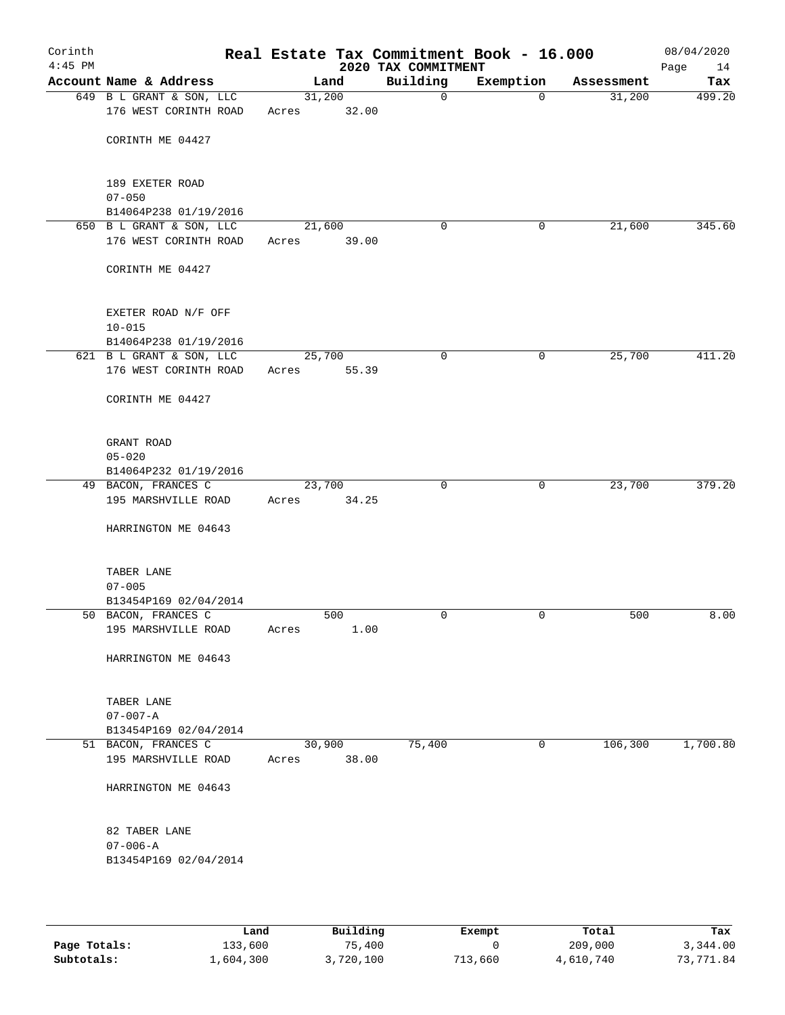| Corinth<br>$4:45$ PM |                                                   |                 |       | Real Estate Tax Commitment Book - 16.000<br>2020 TAX COMMITMENT |             |            | 08/04/2020<br>Page<br>14 |
|----------------------|---------------------------------------------------|-----------------|-------|-----------------------------------------------------------------|-------------|------------|--------------------------|
|                      | Account Name & Address                            |                 | Land  | Building                                                        | Exemption   | Assessment | Tax                      |
|                      | 649 B L GRANT & SON, LLC<br>176 WEST CORINTH ROAD | 31,200<br>Acres | 32.00 | 0                                                               | $\Omega$    | 31,200     | 499.20                   |
|                      | CORINTH ME 04427                                  |                 |       |                                                                 |             |            |                          |
|                      | 189 EXETER ROAD<br>$07 - 050$                     |                 |       |                                                                 |             |            |                          |
|                      | B14064P238 01/19/2016                             |                 |       |                                                                 |             |            |                          |
|                      | 650 B L GRANT & SON, LLC<br>176 WEST CORINTH ROAD | 21,600<br>Acres | 39.00 | 0                                                               | 0           | 21,600     | 345.60                   |
|                      | CORINTH ME 04427                                  |                 |       |                                                                 |             |            |                          |
|                      | EXETER ROAD N/F OFF<br>$10 - 015$                 |                 |       |                                                                 |             |            |                          |
|                      | B14064P238 01/19/2016                             |                 |       |                                                                 |             |            |                          |
|                      | 621 B L GRANT & SON, LLC<br>176 WEST CORINTH ROAD | 25,700<br>Acres | 55.39 | $\mathbf 0$                                                     | 0           | 25,700     | 411.20                   |
|                      | CORINTH ME 04427                                  |                 |       |                                                                 |             |            |                          |
|                      | GRANT ROAD                                        |                 |       |                                                                 |             |            |                          |
|                      | $05 - 020$<br>B14064P232 01/19/2016               |                 |       |                                                                 |             |            |                          |
|                      | 49 BACON, FRANCES C                               | 23,700          |       | $\Omega$                                                        | $\mathbf 0$ | 23,700     | 379.20                   |
|                      | 195 MARSHVILLE ROAD                               | Acres           | 34.25 |                                                                 |             |            |                          |
|                      | HARRINGTON ME 04643                               |                 |       |                                                                 |             |            |                          |
|                      | TABER LANE                                        |                 |       |                                                                 |             |            |                          |
|                      | $07 - 005$<br>B13454P169 02/04/2014               |                 |       |                                                                 |             |            |                          |
|                      | 50 BACON, FRANCES C                               |                 | 500   | 0                                                               | 0           | 500        | 8.00                     |
|                      | 195 MARSHVILLE ROAD                               | Acres           | 1.00  |                                                                 |             |            |                          |
|                      | HARRINGTON ME 04643                               |                 |       |                                                                 |             |            |                          |
|                      | TABER LANE<br>$07 - 007 - A$                      |                 |       |                                                                 |             |            |                          |
|                      | B13454P169 02/04/2014                             |                 |       |                                                                 |             |            |                          |
|                      | 51 BACON, FRANCES C                               | 30,900          |       | 75,400                                                          | $\mathbf 0$ | 106, 300   | 1,700.80                 |
|                      | 195 MARSHVILLE ROAD                               | Acres           | 38.00 |                                                                 |             |            |                          |
|                      | HARRINGTON ME 04643                               |                 |       |                                                                 |             |            |                          |
|                      | 82 TABER LANE                                     |                 |       |                                                                 |             |            |                          |
|                      | $07 - 006 - A$<br>B13454P169 02/04/2014           |                 |       |                                                                 |             |            |                          |
|                      |                                                   |                 |       |                                                                 |             |            |                          |

|              | Land      | Building  | Exempt  | Total     | Tax       |
|--------------|-----------|-----------|---------|-----------|-----------|
| Page Totals: | 133,600   | 75,400    |         | 209,000   | 3,344.00  |
| Subtotals:   | 1,604,300 | 3,720,100 | 713,660 | 4,610,740 | 73,771.84 |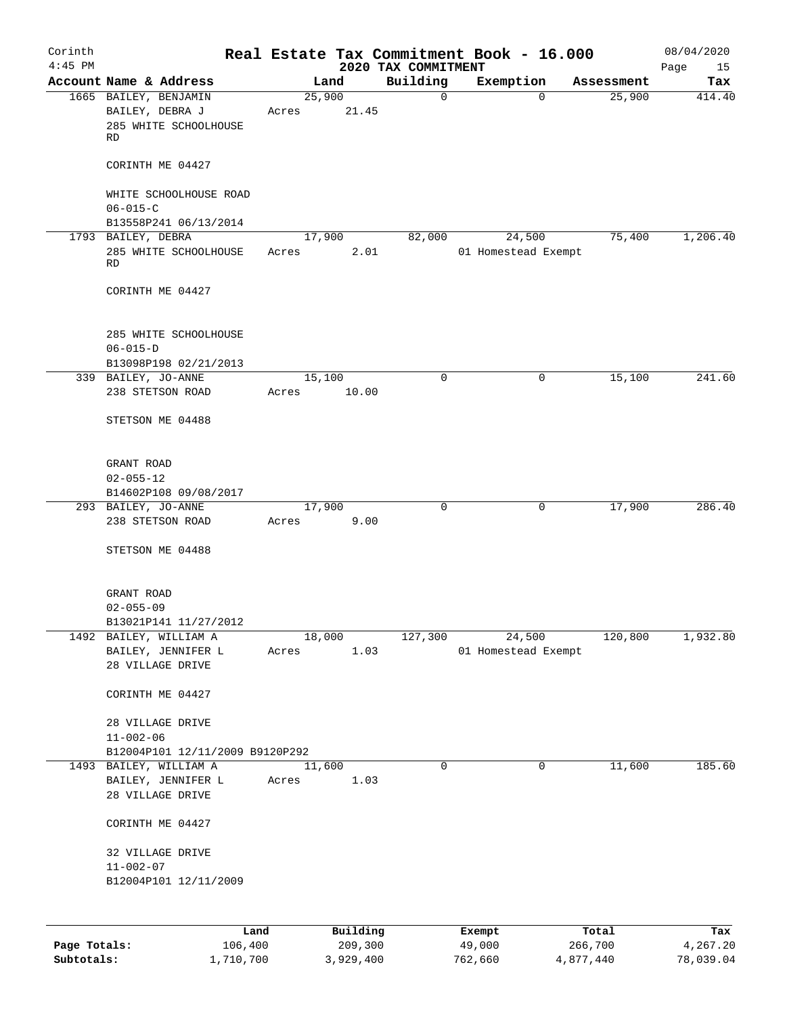| Corinth<br>$4:45$ PM |                                              |         |       |          |         | 2020 TAX COMMITMENT | Real Estate Tax Commitment Book - 16.000 |          |            | 08/04/2020<br>Page<br>15 |
|----------------------|----------------------------------------------|---------|-------|----------|---------|---------------------|------------------------------------------|----------|------------|--------------------------|
|                      | Account Name & Address                       |         |       | Land     |         | Building            | Exemption                                |          | Assessment | Tax                      |
|                      | 1665 BAILEY, BENJAMIN                        |         |       | 25,900   |         | 0                   |                                          | $\Omega$ | 25,900     | 414.40                   |
|                      | BAILEY, DEBRA J                              |         | Acres |          | 21.45   |                     |                                          |          |            |                          |
|                      | 285 WHITE SCHOOLHOUSE                        |         |       |          |         |                     |                                          |          |            |                          |
|                      | RD                                           |         |       |          |         |                     |                                          |          |            |                          |
|                      |                                              |         |       |          |         |                     |                                          |          |            |                          |
|                      | CORINTH ME 04427                             |         |       |          |         |                     |                                          |          |            |                          |
|                      |                                              |         |       |          |         |                     |                                          |          |            |                          |
|                      | WHITE SCHOOLHOUSE ROAD                       |         |       |          |         |                     |                                          |          |            |                          |
|                      | $06 - 015 - C$                               |         |       |          |         |                     |                                          |          |            |                          |
|                      | B13558P241 06/13/2014                        |         |       |          |         |                     |                                          |          |            |                          |
|                      | 1793 BAILEY, DEBRA                           |         |       | 17,900   |         | 82,000              |                                          | 24,500   | 75,400     | 1,206.40                 |
|                      | 285 WHITE SCHOOLHOUSE                        |         | Acres |          | 2.01    |                     | 01 Homestead Exempt                      |          |            |                          |
|                      | RD                                           |         |       |          |         |                     |                                          |          |            |                          |
|                      |                                              |         |       |          |         |                     |                                          |          |            |                          |
|                      | CORINTH ME 04427                             |         |       |          |         |                     |                                          |          |            |                          |
|                      |                                              |         |       |          |         |                     |                                          |          |            |                          |
|                      |                                              |         |       |          |         |                     |                                          |          |            |                          |
|                      | 285 WHITE SCHOOLHOUSE<br>$06 - 015 - D$      |         |       |          |         |                     |                                          |          |            |                          |
|                      |                                              |         |       |          |         |                     |                                          |          |            |                          |
|                      | B13098P198 02/21/2013<br>339 BAILEY, JO-ANNE |         |       | 15,100   |         | $\Omega$            |                                          | 0        | 15,100     | 241.60                   |
|                      | 238 STETSON ROAD                             |         | Acres |          | 10.00   |                     |                                          |          |            |                          |
|                      |                                              |         |       |          |         |                     |                                          |          |            |                          |
|                      | STETSON ME 04488                             |         |       |          |         |                     |                                          |          |            |                          |
|                      |                                              |         |       |          |         |                     |                                          |          |            |                          |
|                      |                                              |         |       |          |         |                     |                                          |          |            |                          |
|                      | GRANT ROAD                                   |         |       |          |         |                     |                                          |          |            |                          |
|                      | $02 - 055 - 12$                              |         |       |          |         |                     |                                          |          |            |                          |
|                      | B14602P108 09/08/2017                        |         |       |          |         |                     |                                          |          |            |                          |
|                      | 293 BAILEY, JO-ANNE                          |         |       | 17,900   |         | $\mathbf 0$         |                                          | 0        | 17,900     | 286.40                   |
|                      | 238 STETSON ROAD                             |         | Acres |          | 9.00    |                     |                                          |          |            |                          |
|                      |                                              |         |       |          |         |                     |                                          |          |            |                          |
|                      | STETSON ME 04488                             |         |       |          |         |                     |                                          |          |            |                          |
|                      |                                              |         |       |          |         |                     |                                          |          |            |                          |
|                      |                                              |         |       |          |         |                     |                                          |          |            |                          |
|                      | GRANT ROAD                                   |         |       |          |         |                     |                                          |          |            |                          |
|                      | $02 - 055 - 09$                              |         |       |          |         |                     |                                          |          |            |                          |
|                      | B13021P141 11/27/2012                        |         |       |          |         |                     |                                          |          |            |                          |
| 1492                 | BAILEY, WILLIAM A                            |         |       | 18,000   |         | 127,300             |                                          | 24,500   | 120,800    | 1,932.80                 |
|                      | BAILEY, JENNIFER L                           |         | Acres |          | 1.03    |                     | 01 Homestead Exempt                      |          |            |                          |
|                      | 28 VILLAGE DRIVE                             |         |       |          |         |                     |                                          |          |            |                          |
|                      |                                              |         |       |          |         |                     |                                          |          |            |                          |
|                      | CORINTH ME 04427                             |         |       |          |         |                     |                                          |          |            |                          |
|                      |                                              |         |       |          |         |                     |                                          |          |            |                          |
|                      | 28 VILLAGE DRIVE                             |         |       |          |         |                     |                                          |          |            |                          |
|                      | $11 - 002 - 06$                              |         |       |          |         |                     |                                          |          |            |                          |
|                      | B12004P101 12/11/2009 B9120P292              |         |       |          |         |                     |                                          |          |            |                          |
|                      | 1493 BAILEY, WILLIAM A                       |         |       | 11,600   |         | 0                   |                                          | 0        | 11,600     | 185.60                   |
|                      | BAILEY, JENNIFER L                           |         | Acres |          | 1.03    |                     |                                          |          |            |                          |
|                      | 28 VILLAGE DRIVE                             |         |       |          |         |                     |                                          |          |            |                          |
|                      |                                              |         |       |          |         |                     |                                          |          |            |                          |
|                      | CORINTH ME 04427                             |         |       |          |         |                     |                                          |          |            |                          |
|                      |                                              |         |       |          |         |                     |                                          |          |            |                          |
|                      | 32 VILLAGE DRIVE                             |         |       |          |         |                     |                                          |          |            |                          |
|                      | $11 - 002 - 07$                              |         |       |          |         |                     |                                          |          |            |                          |
|                      | B12004P101 12/11/2009                        |         |       |          |         |                     |                                          |          |            |                          |
|                      |                                              |         |       |          |         |                     |                                          |          |            |                          |
|                      |                                              |         |       |          |         |                     |                                          |          |            |                          |
|                      |                                              | Land    |       | Building |         |                     | Exempt                                   |          | Total      | Tax                      |
| Page Totals:         |                                              | 106,400 |       |          | 209,300 |                     | 49,000                                   |          | 266,700    | 4,267.20                 |

**Subtotals:** 1,710,700 3,929,400 762,660 4,877,440 78,039.04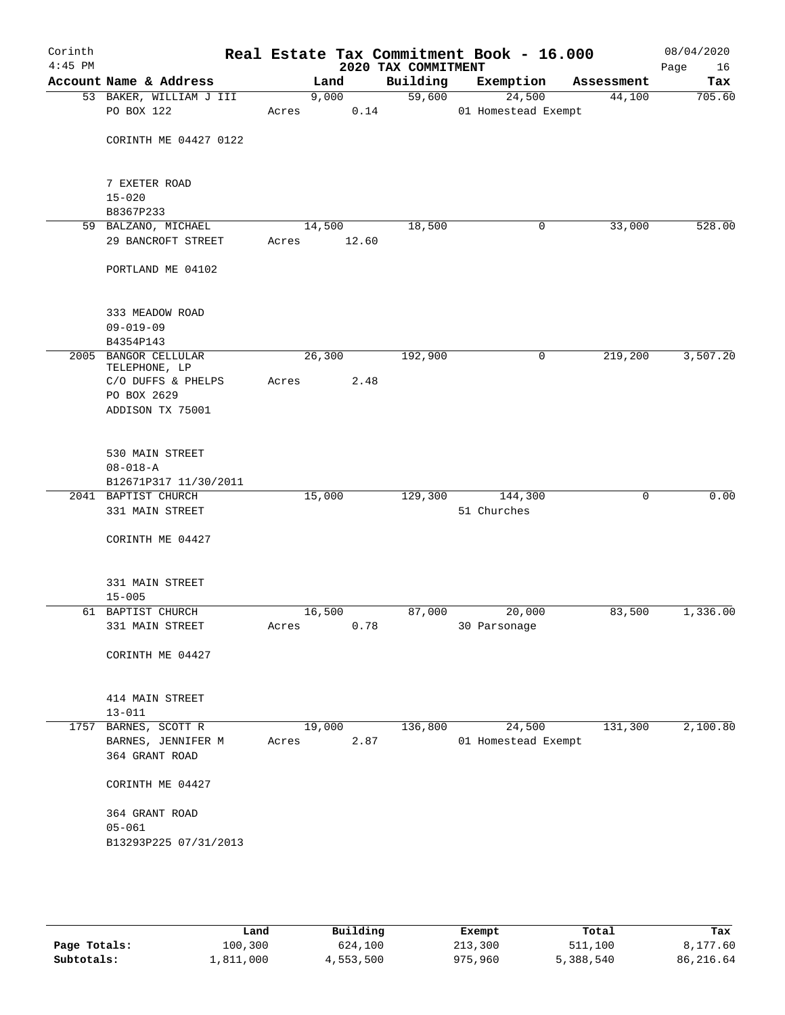| Corinth<br>$4:45$ PM |                                                                                                |        |                 | 2020 TAX COMMITMENT | Real Estate Tax Commitment Book - 16.000 |            | 08/04/2020<br>Page<br>16 |
|----------------------|------------------------------------------------------------------------------------------------|--------|-----------------|---------------------|------------------------------------------|------------|--------------------------|
|                      | Account Name & Address                                                                         |        | Land            | Building            | Exemption                                | Assessment | Tax                      |
|                      | 53 BAKER, WILLIAM J III<br>PO BOX 122                                                          | Acres  | 9,000<br>0.14   | 59,600              | 24,500<br>01 Homestead Exempt            | 44,100     | 705.60                   |
|                      | CORINTH ME 04427 0122                                                                          |        |                 |                     |                                          |            |                          |
|                      | 7 EXETER ROAD<br>$15 - 020$                                                                    |        |                 |                     |                                          |            |                          |
|                      | B8367P233                                                                                      |        |                 |                     |                                          |            |                          |
|                      | 59 BALZANO, MICHAEL<br>29 BANCROFT STREET                                                      | Acres  | 14,500<br>12.60 | 18,500              | 0                                        | 33,000     | 528.00                   |
|                      | PORTLAND ME 04102                                                                              |        |                 |                     |                                          |            |                          |
|                      | 333 MEADOW ROAD<br>$09 - 019 - 09$                                                             |        |                 |                     |                                          |            |                          |
|                      | B4354P143                                                                                      |        |                 |                     |                                          |            |                          |
|                      | 2005 BANGOR CELLULAR<br>TELEPHONE, LP<br>C/O DUFFS & PHELPS<br>PO BOX 2629<br>ADDISON TX 75001 | Acres  | 26,300<br>2.48  | 192,900             | 0                                        | 219,200    | 3,507.20                 |
|                      | 530 MAIN STREET<br>$08 - 018 - A$<br>B12671P317 11/30/2011                                     |        |                 |                     |                                          |            |                          |
|                      | 2041 BAPTIST CHURCH                                                                            | 15,000 |                 | 129,300             | 144,300                                  | 0          | 0.00                     |
|                      | 331 MAIN STREET                                                                                |        |                 |                     | 51 Churches                              |            |                          |
|                      | CORINTH ME 04427                                                                               |        |                 |                     |                                          |            |                          |
|                      | 331 MAIN STREET<br>$15 - 005$                                                                  |        |                 |                     |                                          |            |                          |
|                      | 61 BAPTIST CHURCH                                                                              | 16,500 |                 | 87,000              | 20,000                                   | 83,500     | 1,336.00                 |
|                      | 331 MAIN STREET                                                                                | Acres  | 0.78            |                     | 30 Parsonage                             |            |                          |
|                      | CORINTH ME 04427                                                                               |        |                 |                     |                                          |            |                          |
|                      | 414 MAIN STREET<br>$13 - 011$                                                                  |        |                 |                     |                                          |            |                          |
|                      | 1757 BARNES, SCOTT R<br>BARNES, JENNIFER M<br>364 GRANT ROAD                                   | Acres  | 19,000<br>2.87  | 136,800             | 24,500<br>01 Homestead Exempt            | 131,300    | 2,100.80                 |
|                      | CORINTH ME 04427                                                                               |        |                 |                     |                                          |            |                          |
|                      | 364 GRANT ROAD<br>$05 - 061$                                                                   |        |                 |                     |                                          |            |                          |
|                      | B13293P225 07/31/2013                                                                          |        |                 |                     |                                          |            |                          |
|                      |                                                                                                |        |                 |                     |                                          |            |                          |

|              | Land      | Building  | Exempt  | Total     | Tax       |
|--------------|-----------|-----------|---------|-----------|-----------|
| Page Totals: | 100,300   | 624,100   | 213,300 | 511,100   | 8,177.60  |
| Subtotals:   | 1,811,000 | 4,553,500 | 975,960 | 5,388,540 | 86,216.64 |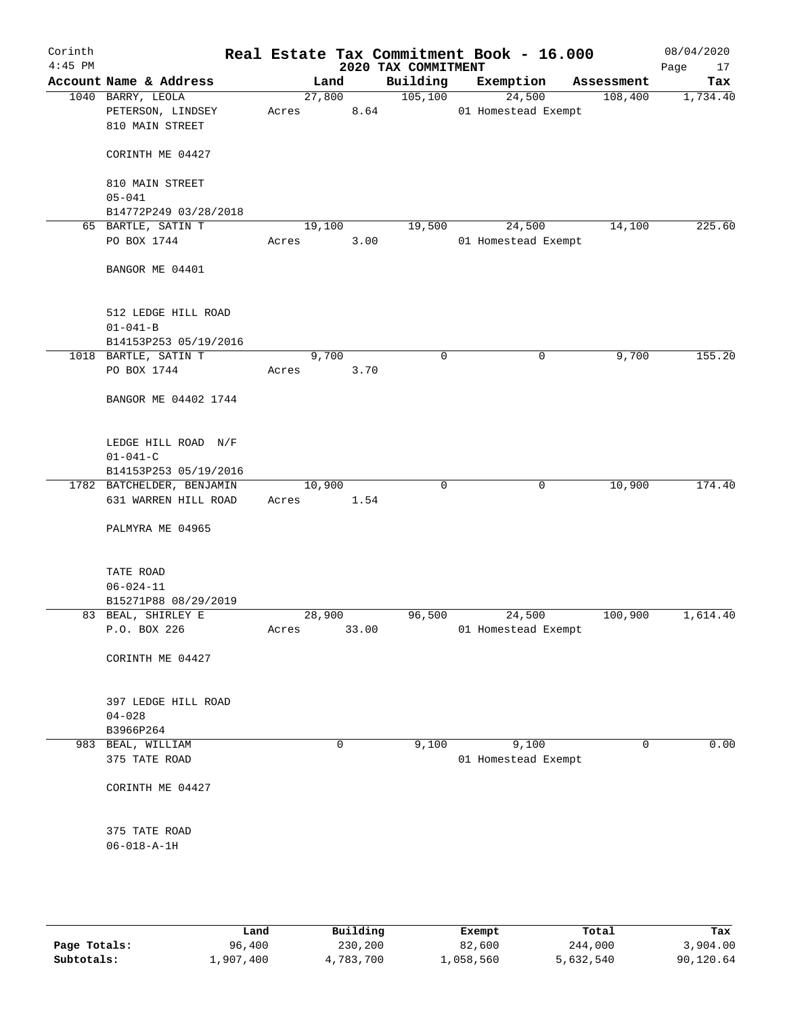| Corinth<br>$4:45$ PM |                                                           |       |        |       | 2020 TAX COMMITMENT | Real Estate Tax Commitment Book - 16.000 |            | 08/04/2020<br>Page<br>17 |
|----------------------|-----------------------------------------------------------|-------|--------|-------|---------------------|------------------------------------------|------------|--------------------------|
|                      | Account Name & Address                                    |       | Land   |       | Building            | Exemption                                | Assessment | Tax                      |
|                      | 1040 BARRY, LEOLA<br>PETERSON, LINDSEY<br>810 MAIN STREET | Acres | 27,800 | 8.64  | 105, 100            | 24,500<br>01 Homestead Exempt            | 108,400    | 1,734.40                 |
|                      | CORINTH ME 04427                                          |       |        |       |                     |                                          |            |                          |
|                      | 810 MAIN STREET<br>$05 - 041$                             |       |        |       |                     |                                          |            |                          |
|                      | B14772P249 03/28/2018                                     |       |        |       |                     |                                          |            |                          |
|                      | 65 BARTLE, SATIN T                                        |       | 19,100 |       | 19,500              | 24,500                                   | 14,100     | 225.60                   |
|                      | PO BOX 1744                                               | Acres |        | 3.00  |                     | 01 Homestead Exempt                      |            |                          |
|                      | BANGOR ME 04401                                           |       |        |       |                     |                                          |            |                          |
|                      | 512 LEDGE HILL ROAD<br>$01 - 041 - B$                     |       |        |       |                     |                                          |            |                          |
|                      | B14153P253 05/19/2016                                     |       |        |       |                     |                                          |            |                          |
|                      | 1018 BARTLE, SATIN T                                      |       | 9,700  |       | $\mathbf 0$         | 0                                        | 9,700      | 155.20                   |
|                      | PO BOX 1744                                               | Acres |        | 3.70  |                     |                                          |            |                          |
|                      | BANGOR ME 04402 1744                                      |       |        |       |                     |                                          |            |                          |
|                      | LEDGE HILL ROAD N/F                                       |       |        |       |                     |                                          |            |                          |
|                      | $01 - 041 - C$                                            |       |        |       |                     |                                          |            |                          |
|                      | B14153P253 05/19/2016                                     |       |        |       |                     |                                          |            |                          |
|                      | 1782 BATCHELDER, BENJAMIN                                 |       | 10,900 |       | $\mathbf 0$         | $\mathbf 0$                              | 10,900     | 174.40                   |
|                      | 631 WARREN HILL ROAD                                      | Acres |        | 1.54  |                     |                                          |            |                          |
|                      | PALMYRA ME 04965                                          |       |        |       |                     |                                          |            |                          |
|                      | TATE ROAD                                                 |       |        |       |                     |                                          |            |                          |
|                      | $06 - 024 - 11$                                           |       |        |       |                     |                                          |            |                          |
|                      | B15271P88 08/29/2019                                      |       |        |       |                     |                                          |            |                          |
|                      | 83 BEAL, SHIRLEY E                                        |       | 28,900 |       | 96,500              | 24,500                                   | 100,900    | 1,614.40                 |
|                      | P.O. BOX 226                                              | Acres |        | 33.00 |                     | 01 Homestead Exempt                      |            |                          |
|                      | CORINTH ME 04427                                          |       |        |       |                     |                                          |            |                          |
|                      | 397 LEDGE HILL ROAD                                       |       |        |       |                     |                                          |            |                          |
|                      | $04 - 028$                                                |       |        |       |                     |                                          |            |                          |
|                      | B3966P264                                                 |       |        |       |                     |                                          |            |                          |
|                      | 983 BEAL, WILLIAM<br>375 TATE ROAD                        |       | 0      |       | 9,100               | 9,100<br>01 Homestead Exempt             | 0          | 0.00                     |
|                      | CORINTH ME 04427                                          |       |        |       |                     |                                          |            |                          |
|                      |                                                           |       |        |       |                     |                                          |            |                          |
|                      | 375 TATE ROAD<br>$06 - 018 - A - 1H$                      |       |        |       |                     |                                          |            |                          |
|                      |                                                           |       |        |       |                     |                                          |            |                          |
|                      |                                                           |       |        |       |                     |                                          |            |                          |

|              | Land      | Building  | Exempt    | Total     | Tax       |
|--------------|-----------|-----------|-----------|-----------|-----------|
| Page Totals: | 96,400    | 230,200   | 82,600    | 244,000   | 3,904.00  |
| Subtotals:   | 1,907,400 | 4,783,700 | 1,058,560 | 5,632,540 | 90,120.64 |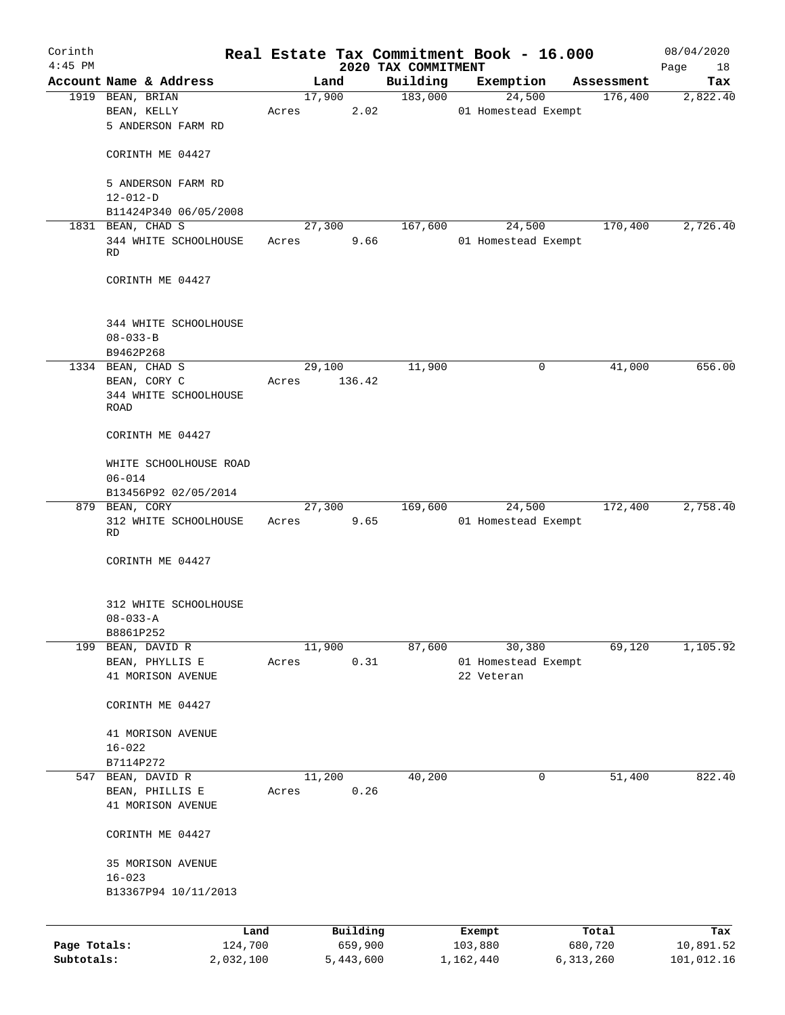| Corinth      |                                            |       |                |                                 | Real Estate Tax Commitment Book - 16.000 |                       | 08/04/2020      |
|--------------|--------------------------------------------|-------|----------------|---------------------------------|------------------------------------------|-----------------------|-----------------|
| $4:45$ PM    | Account Name & Address                     |       | Land           | 2020 TAX COMMITMENT<br>Building | Exemption                                |                       | Page<br>18      |
|              | 1919 BEAN, BRIAN                           |       | 17,900         | 183,000                         | 24,500                                   | Assessment<br>176,400 | Tax<br>2,822.40 |
|              | BEAN, KELLY                                | Acres | 2.02           |                                 | 01 Homestead Exempt                      |                       |                 |
|              | 5 ANDERSON FARM RD                         |       |                |                                 |                                          |                       |                 |
|              | CORINTH ME 04427                           |       |                |                                 |                                          |                       |                 |
|              | 5 ANDERSON FARM RD                         |       |                |                                 |                                          |                       |                 |
|              | $12 - 012 - D$                             |       |                |                                 |                                          |                       |                 |
|              | B11424P340 06/05/2008<br>1831 BEAN, CHAD S |       | 27,300         | 167,600                         | 24,500                                   | 170,400               | 2,726.40        |
|              | 344 WHITE SCHOOLHOUSE<br><b>RD</b>         | Acres | 9.66           |                                 | 01 Homestead Exempt                      |                       |                 |
|              | CORINTH ME 04427                           |       |                |                                 |                                          |                       |                 |
|              | 344 WHITE SCHOOLHOUSE                      |       |                |                                 |                                          |                       |                 |
|              | $08 - 033 - B$                             |       |                |                                 |                                          |                       |                 |
|              | B9462P268<br>1334 BEAN, CHAD S             |       | 29,100         | 11,900                          | 0                                        | 41,000                | 656.00          |
|              | BEAN, CORY C                               | Acres | 136.42         |                                 |                                          |                       |                 |
|              | 344 WHITE SCHOOLHOUSE<br>ROAD              |       |                |                                 |                                          |                       |                 |
|              | CORINTH ME 04427                           |       |                |                                 |                                          |                       |                 |
|              | WHITE SCHOOLHOUSE ROAD<br>$06 - 014$       |       |                |                                 |                                          |                       |                 |
|              | B13456P92 02/05/2014                       |       |                |                                 |                                          |                       |                 |
|              | 879 BEAN, CORY                             |       | 27,300         | 169,600                         | 24,500                                   | 172,400               | 2,758.40        |
|              | 312 WHITE SCHOOLHOUSE<br>RD                | Acres | 9.65           |                                 | 01 Homestead Exempt                      |                       |                 |
|              | CORINTH ME 04427                           |       |                |                                 |                                          |                       |                 |
|              | 312 WHITE SCHOOLHOUSE                      |       |                |                                 |                                          |                       |                 |
|              | $08 - 033 - A$<br>B8861P252                |       |                |                                 |                                          |                       |                 |
|              | 199 BEAN, DAVID R                          |       | 11,900         | 87,600                          | 30,380                                   | 69,120                | 1, 105.92       |
|              | BEAN, PHYLLIS E                            | Acres | 0.31           |                                 | 01 Homestead Exempt                      |                       |                 |
|              | 41 MORISON AVENUE                          |       |                |                                 | 22 Veteran                               |                       |                 |
|              | CORINTH ME 04427                           |       |                |                                 |                                          |                       |                 |
|              | 41 MORISON AVENUE                          |       |                |                                 |                                          |                       |                 |
|              | $16 - 022$                                 |       |                |                                 |                                          |                       |                 |
|              | B7114P272                                  |       |                |                                 |                                          |                       |                 |
|              | 547 BEAN, DAVID R<br>BEAN, PHILLIS E       | Acres | 11,200<br>0.26 | 40,200                          | 0                                        | 51,400                | 822.40          |
|              | 41 MORISON AVENUE                          |       |                |                                 |                                          |                       |                 |
|              | CORINTH ME 04427                           |       |                |                                 |                                          |                       |                 |
|              | 35 MORISON AVENUE                          |       |                |                                 |                                          |                       |                 |
|              | $16 - 023$                                 |       |                |                                 |                                          |                       |                 |
|              | B13367P94 10/11/2013                       |       |                |                                 |                                          |                       |                 |
|              | Land                                       |       | Building       |                                 | Exempt                                   | Total                 | Tax             |
| Page Totals: | 124,700                                    |       | 659,900        |                                 | 103,880                                  | 680,720               | 10,891.52       |
| Subtotals:   | 2,032,100                                  |       | 5,443,600      |                                 | 1,162,440                                | 6,313,260             | 101,012.16      |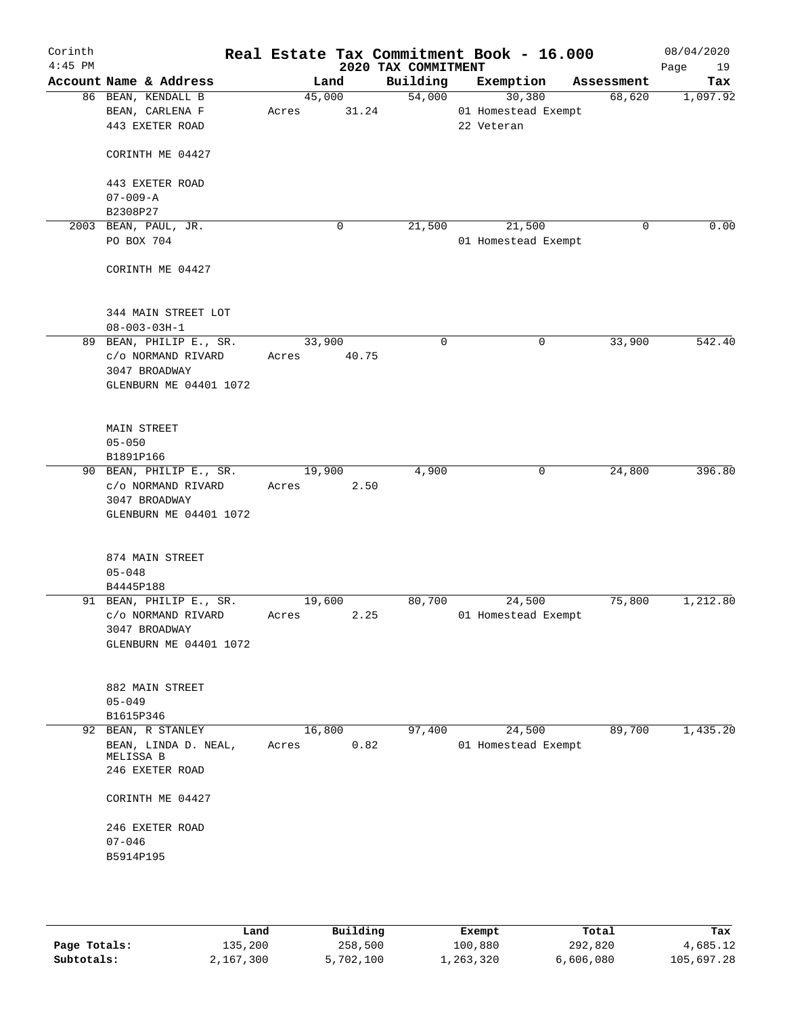| Corinth<br>$4:45$ PM |                              |        |       | 2020 TAX COMMITMENT | Real Estate Tax Commitment Book - 16.000 |             | 08/04/2020<br>Page<br>19 |
|----------------------|------------------------------|--------|-------|---------------------|------------------------------------------|-------------|--------------------------|
|                      | Account Name & Address       | Land   |       | Building            | Exemption                                | Assessment  | Tax                      |
|                      | 86 BEAN, KENDALL B           | 45,000 |       | 54,000              | 30,380                                   | 68,620      | 1,097.92                 |
|                      | BEAN, CARLENA F              | Acres  | 31.24 |                     | 01 Homestead Exempt                      |             |                          |
|                      | 443 EXETER ROAD              |        |       |                     | 22 Veteran                               |             |                          |
|                      |                              |        |       |                     |                                          |             |                          |
|                      | CORINTH ME 04427             |        |       |                     |                                          |             |                          |
|                      |                              |        |       |                     |                                          |             |                          |
|                      | 443 EXETER ROAD              |        |       |                     |                                          |             |                          |
|                      | $07 - 009 - A$               |        |       |                     |                                          |             |                          |
|                      | B2308P27                     |        |       |                     |                                          |             |                          |
|                      | 2003 BEAN, PAUL, JR.         |        | 0     | 21,500              | 21,500                                   | $\mathbf 0$ | 0.00                     |
|                      | PO BOX 704                   |        |       |                     | 01 Homestead Exempt                      |             |                          |
|                      |                              |        |       |                     |                                          |             |                          |
|                      | CORINTH ME 04427             |        |       |                     |                                          |             |                          |
|                      |                              |        |       |                     |                                          |             |                          |
|                      |                              |        |       |                     |                                          |             |                          |
|                      | 344 MAIN STREET LOT          |        |       |                     |                                          |             |                          |
|                      | $08 - 003 - 03H - 1$         |        |       |                     |                                          |             | 542.40                   |
|                      | 89 BEAN, PHILIP E., SR.      | 33,900 |       | $\mathbf 0$         | $\mathbf 0$                              | 33,900      |                          |
|                      | c/o NORMAND RIVARD           | Acres  | 40.75 |                     |                                          |             |                          |
|                      | 3047 BROADWAY                |        |       |                     |                                          |             |                          |
|                      | GLENBURN ME 04401 1072       |        |       |                     |                                          |             |                          |
|                      |                              |        |       |                     |                                          |             |                          |
|                      | MAIN STREET                  |        |       |                     |                                          |             |                          |
|                      | $05 - 050$                   |        |       |                     |                                          |             |                          |
|                      | B1891P166                    |        |       |                     |                                          |             |                          |
|                      | 90 BEAN, PHILIP E., SR.      | 19,900 |       | 4,900               | 0                                        | 24,800      | 396.80                   |
|                      | c/o NORMAND RIVARD           | Acres  | 2.50  |                     |                                          |             |                          |
|                      | 3047 BROADWAY                |        |       |                     |                                          |             |                          |
|                      | GLENBURN ME 04401 1072       |        |       |                     |                                          |             |                          |
|                      |                              |        |       |                     |                                          |             |                          |
|                      |                              |        |       |                     |                                          |             |                          |
|                      | 874 MAIN STREET              |        |       |                     |                                          |             |                          |
|                      | $05 - 048$                   |        |       |                     |                                          |             |                          |
|                      | B4445P188                    |        |       |                     |                                          |             |                          |
|                      | 91 BEAN, PHILIP E., SR.      | 19,600 |       | 80,700              | 24,500                                   | 75,800      | 1,212.80                 |
|                      | c/o NORMAND RIVARD           | Acres  | 2.25  |                     | 01 Homestead Exempt                      |             |                          |
|                      | 3047 BROADWAY                |        |       |                     |                                          |             |                          |
|                      | GLENBURN ME 04401 1072       |        |       |                     |                                          |             |                          |
|                      |                              |        |       |                     |                                          |             |                          |
|                      |                              |        |       |                     |                                          |             |                          |
|                      | 882 MAIN STREET              |        |       |                     |                                          |             |                          |
|                      | $05 - 049$                   |        |       |                     |                                          |             |                          |
|                      | B1615P346                    |        |       |                     |                                          |             |                          |
|                      | 92 BEAN, R STANLEY           | 16,800 |       | 97,400              | 24,500                                   | 89,700      | 1,435.20                 |
|                      | BEAN, LINDA D. NEAL,         | Acres  | 0.82  |                     | 01 Homestead Exempt                      |             |                          |
|                      | MELISSA B<br>246 EXETER ROAD |        |       |                     |                                          |             |                          |
|                      |                              |        |       |                     |                                          |             |                          |
|                      | CORINTH ME 04427             |        |       |                     |                                          |             |                          |
|                      |                              |        |       |                     |                                          |             |                          |
|                      | 246 EXETER ROAD              |        |       |                     |                                          |             |                          |
|                      | $07 - 046$                   |        |       |                     |                                          |             |                          |
|                      | B5914P195                    |        |       |                     |                                          |             |                          |
|                      |                              |        |       |                     |                                          |             |                          |
|                      |                              |        |       |                     |                                          |             |                          |
|                      |                              |        |       |                     |                                          |             |                          |
|                      |                              |        |       |                     |                                          |             |                          |

|              | Land      | Building  | Exempt    | Total     | Tax        |
|--------------|-----------|-----------|-----------|-----------|------------|
| Page Totals: | 135,200   | 258,500   | 100,880   | 292,820   | 4,685.12   |
| Subtotals:   | 2,167,300 | 5,702,100 | 1,263,320 | 6,606,080 | 105,697.28 |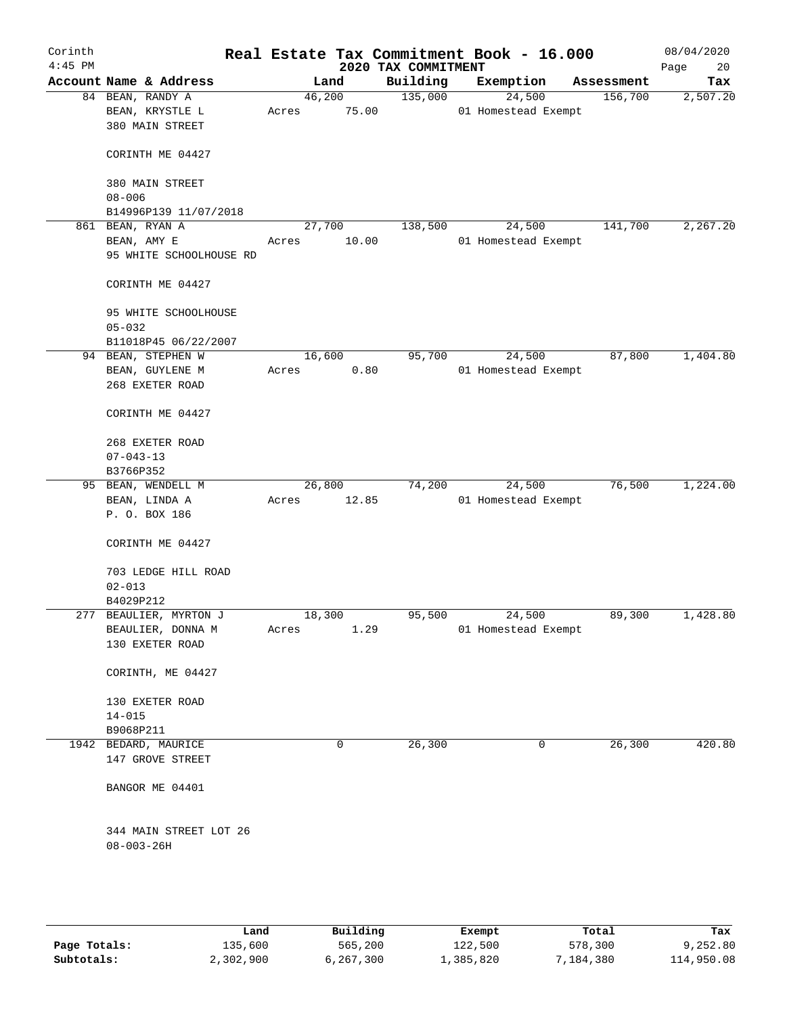| Corinth<br>$4:45$ PM |                                                          |                 |       | 2020 TAX COMMITMENT | Real Estate Tax Commitment Book - 16.000 |            | 08/04/2020<br>Page<br>20 |
|----------------------|----------------------------------------------------------|-----------------|-------|---------------------|------------------------------------------|------------|--------------------------|
|                      | Account Name & Address                                   |                 | Land  | Building            | Exemption                                | Assessment | Tax                      |
|                      | 84 BEAN, RANDY A<br>BEAN, KRYSTLE L<br>380 MAIN STREET   | 46,200<br>Acres | 75.00 | 135,000             | 24,500<br>01 Homestead Exempt            | 156,700    | 2,507.20                 |
|                      | CORINTH ME 04427                                         |                 |       |                     |                                          |            |                          |
|                      | 380 MAIN STREET<br>$08 - 006$                            |                 |       |                     |                                          |            |                          |
|                      | B14996P139 11/07/2018                                    |                 |       |                     |                                          |            |                          |
|                      | 861 BEAN, RYAN A                                         | 27,700          |       | 138,500             | 24,500                                   | 141,700    | 2,267.20                 |
|                      | BEAN, AMY E<br>95 WHITE SCHOOLHOUSE RD                   | Acres           | 10.00 |                     | 01 Homestead Exempt                      |            |                          |
|                      | CORINTH ME 04427                                         |                 |       |                     |                                          |            |                          |
|                      | 95 WHITE SCHOOLHOUSE<br>$05 - 032$                       |                 |       |                     |                                          |            |                          |
|                      | B11018P45 06/22/2007                                     |                 |       | 95,700              |                                          |            | 1,404.80                 |
|                      | 94 BEAN, STEPHEN W<br>BEAN, GUYLENE M<br>268 EXETER ROAD | 16,600<br>Acres | 0.80  |                     | 24,500<br>01 Homestead Exempt            | 87,800     |                          |
|                      | CORINTH ME 04427                                         |                 |       |                     |                                          |            |                          |
|                      | 268 EXETER ROAD                                          |                 |       |                     |                                          |            |                          |
|                      | $07 - 043 - 13$                                          |                 |       |                     |                                          |            |                          |
|                      | B3766P352                                                |                 |       |                     |                                          |            |                          |
|                      | 95 BEAN, WENDELL M                                       | 26,800          |       | 74,200              | 24,500                                   | 76,500     | 1,224.00                 |
|                      | BEAN, LINDA A<br>P. O. BOX 186                           | Acres           | 12.85 |                     | 01 Homestead Exempt                      |            |                          |
|                      | CORINTH ME 04427                                         |                 |       |                     |                                          |            |                          |
|                      | 703 LEDGE HILL ROAD<br>$02 - 013$                        |                 |       |                     |                                          |            |                          |
|                      | B4029P212                                                |                 |       |                     |                                          |            |                          |
|                      | 277 BEAULIER, MYRTON J                                   | 18,300          |       | 95,500              | 24,500                                   | 89,300     | 1,428.80                 |
|                      | BEAULIER, DONNA M<br>130 EXETER ROAD                     | Acres           | 1.29  |                     | 01 Homestead Exempt                      |            |                          |
|                      | CORINTH, ME 04427                                        |                 |       |                     |                                          |            |                          |
|                      | 130 EXETER ROAD                                          |                 |       |                     |                                          |            |                          |
|                      | $14 - 015$                                               |                 |       |                     |                                          |            |                          |
|                      | B9068P211                                                |                 |       |                     |                                          |            |                          |
|                      | 1942 BEDARD, MAURICE<br>147 GROVE STREET                 |                 | 0     | 26,300              | 0                                        | 26,300     | 420.80                   |
|                      | BANGOR ME 04401                                          |                 |       |                     |                                          |            |                          |
|                      | 344 MAIN STREET LOT 26<br>$08 - 003 - 26H$               |                 |       |                     |                                          |            |                          |
|                      |                                                          |                 |       |                     |                                          |            |                          |

|              | Land      | Building  | Exempt    | Total       | Tax        |
|--------------|-----------|-----------|-----------|-------------|------------|
| Page Totals: | 135,600   | 565,200   | 122,500   | 578,300     | 9,252.80   |
| Subtotals:   | 2,302,900 | 6,267,300 | 1,385,820 | 1,184,380 ' | 114,950.08 |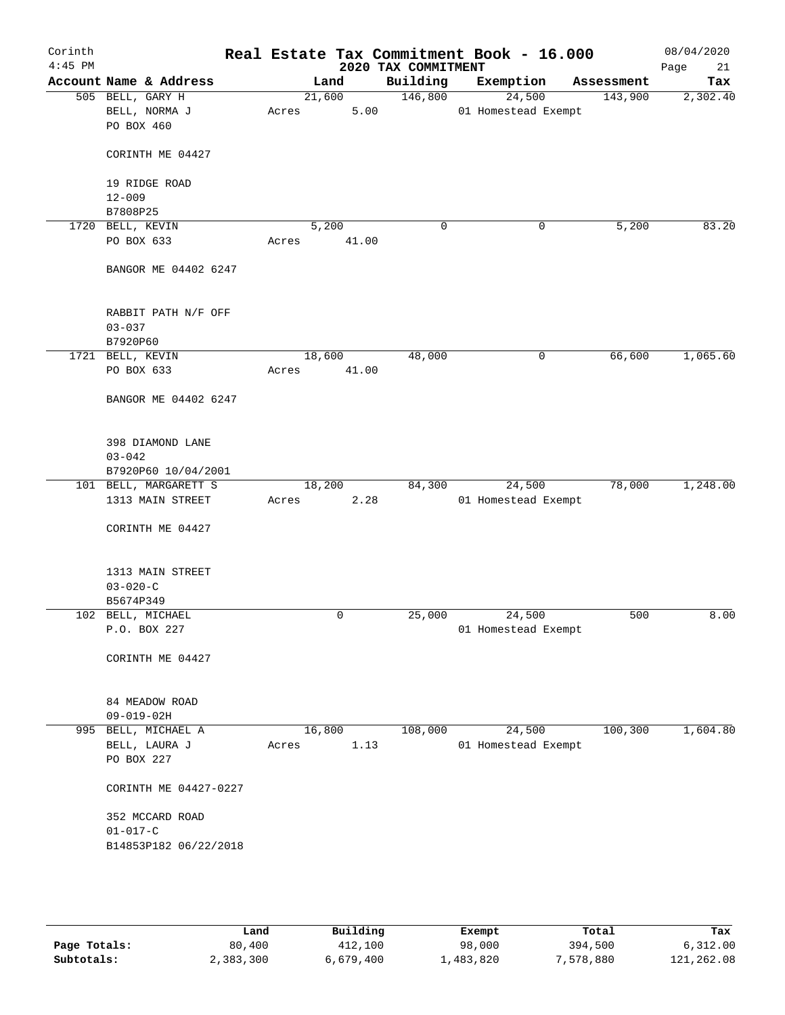| Corinth<br>$4:45$ PM |                                                 |                         | 2020 TAX COMMITMENT | Real Estate Tax Commitment Book - 16.000 |            | 08/04/2020<br>Page<br>21 |
|----------------------|-------------------------------------------------|-------------------------|---------------------|------------------------------------------|------------|--------------------------|
|                      | Account Name & Address                          | Land                    | Building            | Exemption                                | Assessment | Tax                      |
|                      | 505 BELL, GARY H<br>BELL, NORMA J<br>PO BOX 460 | 21,600<br>5.00<br>Acres | 146,800             | 24,500<br>01 Homestead Exempt            | 143,900    | 2,302.40                 |
|                      | CORINTH ME 04427                                |                         |                     |                                          |            |                          |
|                      | 19 RIDGE ROAD<br>$12 - 009$                     |                         |                     |                                          |            |                          |
|                      | B7808P25                                        |                         |                     |                                          |            |                          |
|                      | 1720 BELL, KEVIN<br>PO BOX 633                  | 5,200<br>41.00<br>Acres | $\mathbf 0$         | 0                                        | 5,200      | 83.20                    |
|                      | BANGOR ME 04402 6247                            |                         |                     |                                          |            |                          |
|                      | RABBIT PATH N/F OFF<br>$03 - 037$               |                         |                     |                                          |            |                          |
|                      | B7920P60                                        |                         |                     |                                          |            |                          |
|                      | 1721 BELL, KEVIN                                | 18,600                  | 48,000              | 0                                        | 66,600     | 1,065.60                 |
|                      | PO BOX 633                                      | 41.00<br>Acres          |                     |                                          |            |                          |
|                      | BANGOR ME 04402 6247                            |                         |                     |                                          |            |                          |
|                      | 398 DIAMOND LANE<br>$03 - 042$                  |                         |                     |                                          |            |                          |
|                      | B7920P60 10/04/2001                             |                         |                     |                                          |            |                          |
|                      | 101 BELL, MARGARETT S                           | 18,200                  | 84,300              | 24,500                                   | 78,000     | 1,248.00                 |
|                      | 1313 MAIN STREET                                | 2.28<br>Acres           |                     | 01 Homestead Exempt                      |            |                          |
|                      | CORINTH ME 04427                                |                         |                     |                                          |            |                          |
|                      | 1313 MAIN STREET                                |                         |                     |                                          |            |                          |
|                      | $03 - 020 - C$                                  |                         |                     |                                          |            |                          |
|                      | B5674P349<br>102 BELL, MICHAEL                  | 0                       | 25,000              | 24,500                                   | 500        | 8.00                     |
|                      | P.O. BOX 227                                    |                         |                     | 01 Homestead Exempt                      |            |                          |
|                      | CORINTH ME 04427                                |                         |                     |                                          |            |                          |
|                      | 84 MEADOW ROAD<br>$09 - 019 - 02H$              |                         |                     |                                          |            |                          |
|                      | 995 BELL, MICHAEL A                             | 16,800                  | 108,000             | 24,500                                   | 100, 300   | 1,604.80                 |
|                      | BELL, LAURA J<br>PO BOX 227                     | 1.13<br>Acres           |                     | 01 Homestead Exempt                      |            |                          |
|                      | CORINTH ME 04427-0227                           |                         |                     |                                          |            |                          |
|                      | 352 MCCARD ROAD                                 |                         |                     |                                          |            |                          |
|                      | $01 - 017 - C$<br>B14853P182 06/22/2018         |                         |                     |                                          |            |                          |
|                      |                                                 |                         |                     |                                          |            |                          |
|                      |                                                 |                         |                     |                                          |            |                          |

|              | Land      | Building  | Exempt    | Total     | Tax        |
|--------------|-----------|-----------|-----------|-----------|------------|
| Page Totals: | 80,400    | 412,100   | 98,000    | 394,500   | 6,312.00   |
| Subtotals:   | 2,383,300 | 6,679,400 | ⊥,483,820 | 7,578,880 | 121,262.08 |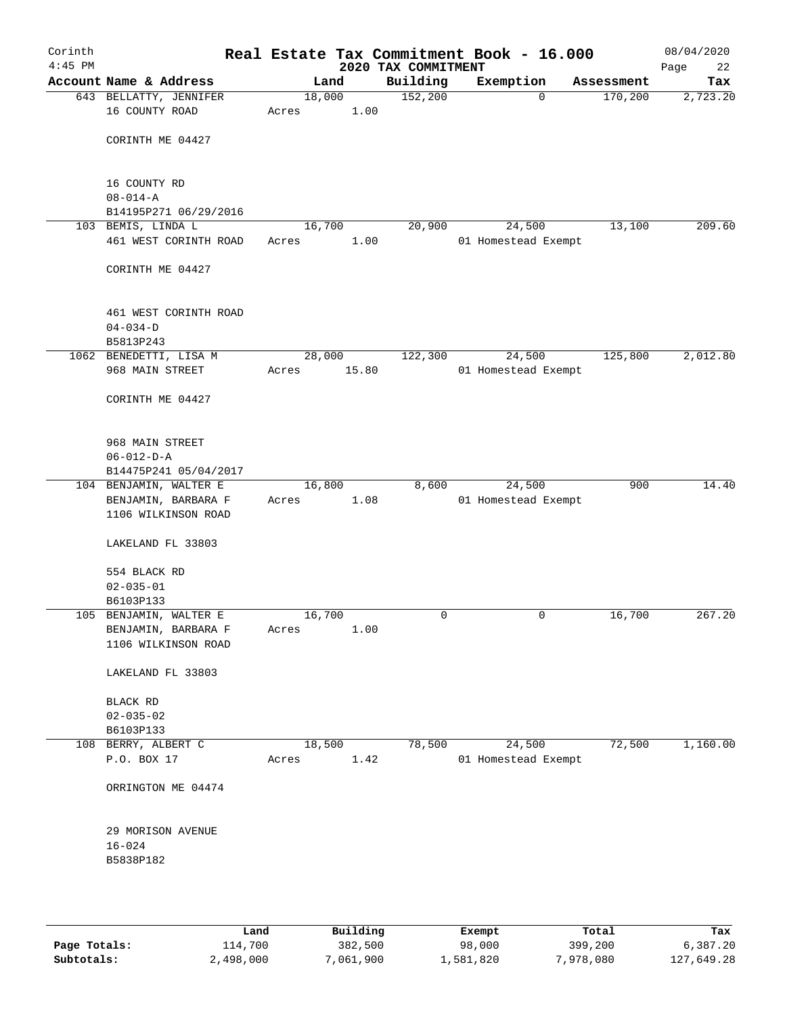| Corinth<br>$4:45$ PM |                                            |                 |       | 2020 TAX COMMITMENT | Real Estate Tax Commitment Book - 16.000 |            | 08/04/2020<br>Page<br>22 |
|----------------------|--------------------------------------------|-----------------|-------|---------------------|------------------------------------------|------------|--------------------------|
|                      | Account Name & Address                     |                 | Land  | Building            | Exemption                                | Assessment | Tax                      |
|                      | 643 BELLATTY, JENNIFER<br>16 COUNTY ROAD   | 18,000<br>Acres | 1.00  | 152,200             | $\mathbf 0$                              | 170,200    | 2,723.20                 |
|                      | CORINTH ME 04427                           |                 |       |                     |                                          |            |                          |
|                      | 16 COUNTY RD                               |                 |       |                     |                                          |            |                          |
|                      | $08 - 014 - A$<br>B14195P271 06/29/2016    |                 |       |                     |                                          |            |                          |
|                      | 103 BEMIS, LINDA L                         | 16,700          |       | 20,900              | 24,500                                   | 13,100     | 209.60                   |
|                      | 461 WEST CORINTH ROAD                      | Acres           | 1.00  |                     | 01 Homestead Exempt                      |            |                          |
|                      | CORINTH ME 04427                           |                 |       |                     |                                          |            |                          |
|                      | 461 WEST CORINTH ROAD<br>$04 - 034 - D$    |                 |       |                     |                                          |            |                          |
|                      | B5813P243                                  |                 |       |                     |                                          |            |                          |
|                      | 1062 BENEDETTI, LISA M                     | 28,000          |       | 122,300             | 24,500                                   | 125,800    | 2,012.80                 |
|                      | 968 MAIN STREET                            | Acres           | 15.80 |                     | 01 Homestead Exempt                      |            |                          |
|                      | CORINTH ME 04427                           |                 |       |                     |                                          |            |                          |
|                      | 968 MAIN STREET                            |                 |       |                     |                                          |            |                          |
|                      | $06 - 012 - D - A$                         |                 |       |                     |                                          |            |                          |
|                      | B14475P241 05/04/2017                      |                 |       |                     |                                          |            |                          |
|                      | 104 BENJAMIN, WALTER E                     | 16,800          |       | 8,600               | 24,500                                   | 900        | 14.40                    |
|                      | BENJAMIN, BARBARA F<br>1106 WILKINSON ROAD | Acres           | 1.08  |                     | 01 Homestead Exempt                      |            |                          |
|                      | LAKELAND FL 33803                          |                 |       |                     |                                          |            |                          |
|                      | 554 BLACK RD                               |                 |       |                     |                                          |            |                          |
|                      | $02 - 035 - 01$                            |                 |       |                     |                                          |            |                          |
|                      | B6103P133<br>105 BENJAMIN, WALTER E        | 16,700          |       | 0                   | 0                                        | 16,700     | 267.20                   |
|                      | BENJAMIN, BARBARA F                        | Acres           | 1.00  |                     |                                          |            |                          |
|                      | 1106 WILKINSON ROAD                        |                 |       |                     |                                          |            |                          |
|                      | LAKELAND FL 33803                          |                 |       |                     |                                          |            |                          |
|                      | BLACK RD                                   |                 |       |                     |                                          |            |                          |
|                      | $02 - 035 - 02$                            |                 |       |                     |                                          |            |                          |
|                      | B6103P133                                  |                 |       |                     |                                          |            |                          |
|                      | 108 BERRY, ALBERT C                        | 18,500          |       | 78,500              | 24,500                                   | 72,500     | 1,160.00                 |
|                      | P.O. BOX 17                                | Acres           | 1.42  |                     | 01 Homestead Exempt                      |            |                          |
|                      | ORRINGTON ME 04474                         |                 |       |                     |                                          |            |                          |
|                      | 29 MORISON AVENUE                          |                 |       |                     |                                          |            |                          |
|                      | $16 - 024$                                 |                 |       |                     |                                          |            |                          |
|                      | B5838P182                                  |                 |       |                     |                                          |            |                          |
|                      |                                            |                 |       |                     |                                          |            |                          |
|                      |                                            |                 |       |                     |                                          |            |                          |

|              | úand      | Building  | Exempt    | Total     | Tax        |
|--------------|-----------|-----------|-----------|-----------|------------|
| Page Totals: | 114,700   | 382,500   | 98,000    | 399,200   | 6,387.20   |
| Subtotals:   | 2,498,000 | 7,061,900 | 1,581,820 | 7,978,080 | 127,649.28 |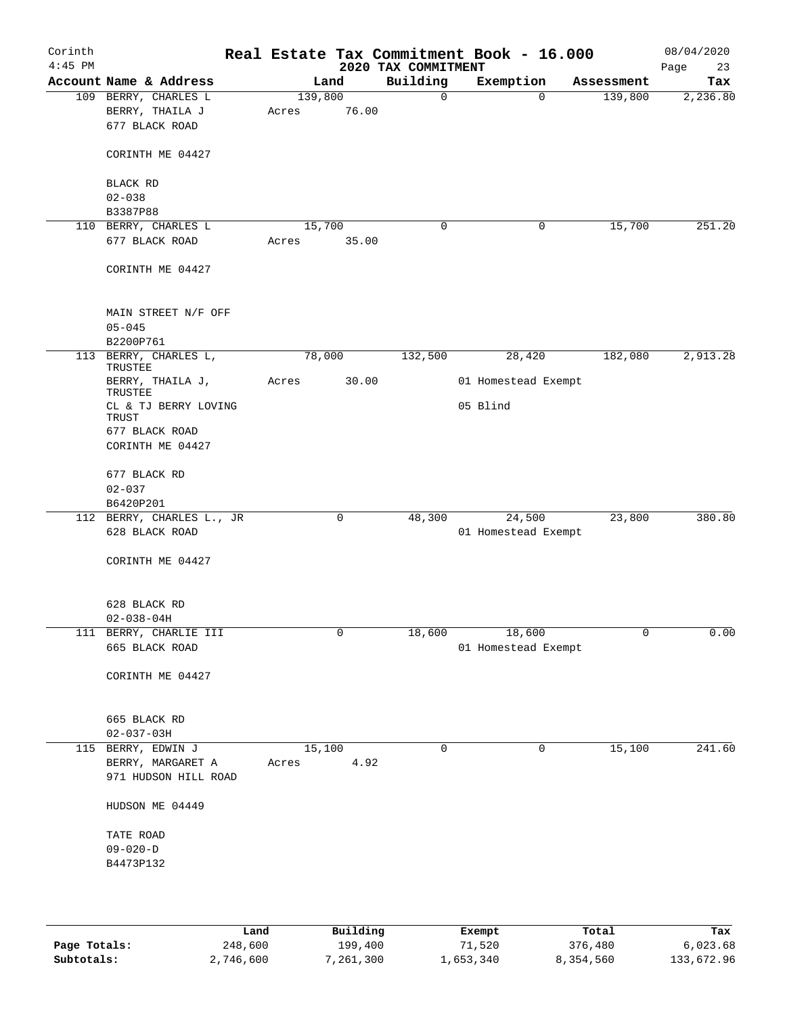| Corinth<br>$4:45$ PM |                                  |       |         | 2020 TAX COMMITMENT | Real Estate Tax Commitment Book - 16.000 |            | 08/04/2020<br>23<br>Page |
|----------------------|----------------------------------|-------|---------|---------------------|------------------------------------------|------------|--------------------------|
|                      | Account Name & Address           |       | Land    | Building            | Exemption                                | Assessment | Tax                      |
|                      | 109 BERRY, CHARLES L             |       | 139,800 | $\mathbf 0$         | $\Omega$                                 | 139,800    | 2,236.80                 |
|                      | BERRY, THAILA J                  | Acres | 76.00   |                     |                                          |            |                          |
|                      | 677 BLACK ROAD                   |       |         |                     |                                          |            |                          |
|                      |                                  |       |         |                     |                                          |            |                          |
|                      | CORINTH ME 04427                 |       |         |                     |                                          |            |                          |
|                      |                                  |       |         |                     |                                          |            |                          |
|                      | BLACK RD                         |       |         |                     |                                          |            |                          |
|                      | $02 - 038$                       |       |         |                     |                                          |            |                          |
|                      | B3387P88                         |       |         |                     |                                          |            |                          |
|                      | 110 BERRY, CHARLES L             |       | 15,700  | $\mathbf 0$         | 0                                        | 15,700     | 251.20                   |
|                      | 677 BLACK ROAD                   | Acres | 35.00   |                     |                                          |            |                          |
|                      | CORINTH ME 04427                 |       |         |                     |                                          |            |                          |
|                      | MAIN STREET N/F OFF              |       |         |                     |                                          |            |                          |
|                      | $05 - 045$                       |       |         |                     |                                          |            |                          |
|                      | B2200P761                        |       |         |                     |                                          |            |                          |
|                      | 113 BERRY, CHARLES L,<br>TRUSTEE |       | 78,000  | 132,500             | 28,420                                   | 182,080    | 2,913.28                 |
|                      | BERRY, THAILA J,<br>TRUSTEE      | Acres | 30.00   |                     | 01 Homestead Exempt                      |            |                          |
|                      | CL & TJ BERRY LOVING             |       |         |                     | 05 Blind                                 |            |                          |
|                      | <b>TRUST</b><br>677 BLACK ROAD   |       |         |                     |                                          |            |                          |
|                      | CORINTH ME 04427                 |       |         |                     |                                          |            |                          |
|                      | 677 BLACK RD                     |       |         |                     |                                          |            |                          |
|                      | $02 - 037$                       |       |         |                     |                                          |            |                          |
|                      | B6420P201                        |       |         |                     |                                          |            |                          |
|                      | 112 BERRY, CHARLES L., JR        |       | 0       | 48,300              | 24,500                                   | 23,800     | 380.80                   |
|                      | 628 BLACK ROAD                   |       |         |                     | 01 Homestead Exempt                      |            |                          |
|                      |                                  |       |         |                     |                                          |            |                          |
|                      | CORINTH ME 04427                 |       |         |                     |                                          |            |                          |
|                      |                                  |       |         |                     |                                          |            |                          |
|                      | 628 BLACK RD                     |       |         |                     |                                          |            |                          |
|                      | $02 - 038 - 04H$                 |       |         |                     |                                          |            |                          |
|                      | 111 BERRY, CHARLIE III           |       | 0       | 18,600              | 18,600                                   | 0          | 0.00                     |
|                      | 665 BLACK ROAD                   |       |         |                     | 01 Homestead Exempt                      |            |                          |
|                      |                                  |       |         |                     |                                          |            |                          |
|                      | CORINTH ME 04427                 |       |         |                     |                                          |            |                          |
|                      |                                  |       |         |                     |                                          |            |                          |
|                      |                                  |       |         |                     |                                          |            |                          |
|                      | 665 BLACK RD                     |       |         |                     |                                          |            |                          |
|                      | $02 - 037 - 03H$                 |       |         |                     |                                          |            |                          |
|                      | 115 BERRY, EDWIN J               |       | 15,100  | 0                   | 0                                        | 15,100     | 241.60                   |
|                      | BERRY, MARGARET A                | Acres | 4.92    |                     |                                          |            |                          |
|                      | 971 HUDSON HILL ROAD             |       |         |                     |                                          |            |                          |
|                      | HUDSON ME 04449                  |       |         |                     |                                          |            |                          |
|                      | TATE ROAD                        |       |         |                     |                                          |            |                          |
|                      | $09 - 020 - D$                   |       |         |                     |                                          |            |                          |
|                      | B4473P132                        |       |         |                     |                                          |            |                          |
|                      |                                  |       |         |                     |                                          |            |                          |
|                      |                                  |       |         |                     |                                          |            |                          |
|                      |                                  |       |         |                     |                                          |            |                          |
|                      |                                  |       |         |                     |                                          |            |                          |

|              | Land      | Building  | Exempt    | Total     | Tax        |
|--------------|-----------|-----------|-----------|-----------|------------|
| Page Totals: | 248,600   | 199,400   | 71,520    | 376,480   | 6,023.68   |
| Subtotals:   | 2,746,600 | 7,261,300 | 1,653,340 | 8,354,560 | 133,672.96 |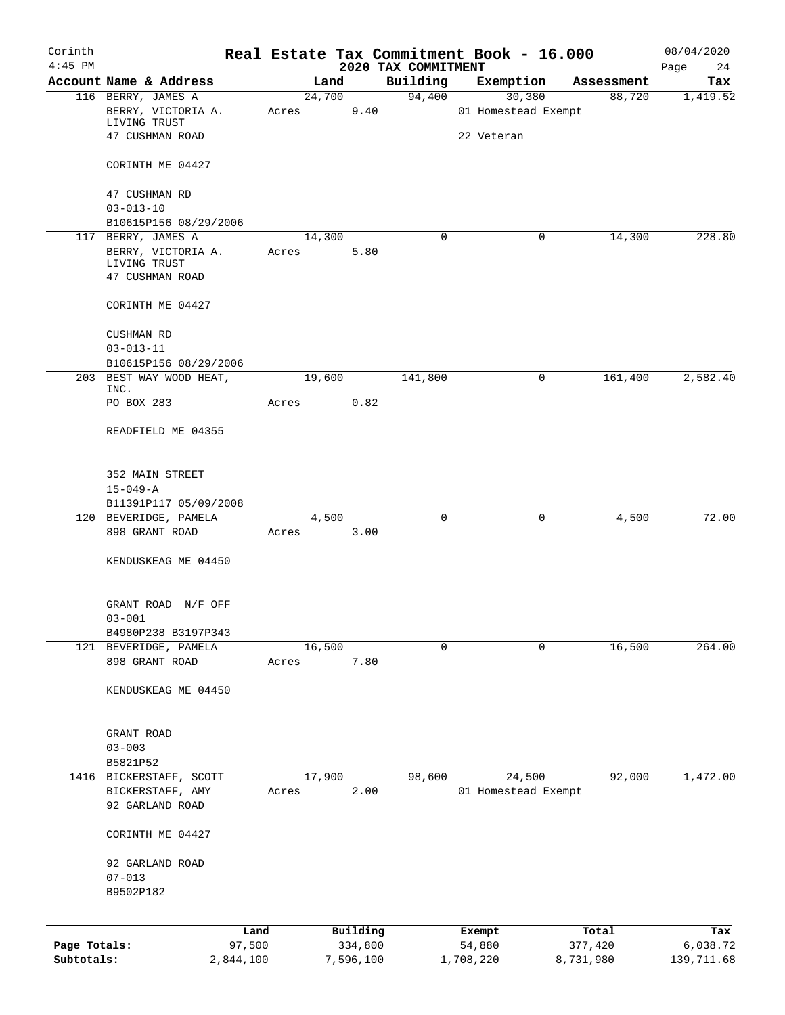| Corinth      |                                             |       |                     |                                 | Real Estate Tax Commitment Book - 16.000 |                      | 08/04/2020      |
|--------------|---------------------------------------------|-------|---------------------|---------------------------------|------------------------------------------|----------------------|-----------------|
| $4:45$ PM    | Account Name & Address                      |       | Land                | 2020 TAX COMMITMENT<br>Building | Exemption                                |                      | Page<br>24      |
|              | 116 BERRY, JAMES A                          |       | 24,700              | 94,400                          | 30,380                                   | Assessment<br>88,720 | Tax<br>1,419.52 |
|              | BERRY, VICTORIA A.<br>LIVING TRUST          | Acres | 9.40                |                                 | 01 Homestead Exempt                      |                      |                 |
|              | 47 CUSHMAN ROAD                             |       |                     |                                 | 22 Veteran                               |                      |                 |
|              | CORINTH ME 04427                            |       |                     |                                 |                                          |                      |                 |
|              | 47 CUSHMAN RD                               |       |                     |                                 |                                          |                      |                 |
|              | $03 - 013 - 10$                             |       |                     |                                 |                                          |                      |                 |
|              | B10615P156 08/29/2006<br>117 BERRY, JAMES A |       | 14,300              | $\mathbf 0$                     | $\mathbf 0$                              | 14,300               | 228.80          |
|              | BERRY, VICTORIA A.                          | Acres | 5.80                |                                 |                                          |                      |                 |
|              | LIVING TRUST                                |       |                     |                                 |                                          |                      |                 |
|              | 47 CUSHMAN ROAD                             |       |                     |                                 |                                          |                      |                 |
|              | CORINTH ME 04427                            |       |                     |                                 |                                          |                      |                 |
|              | <b>CUSHMAN RD</b>                           |       |                     |                                 |                                          |                      |                 |
|              | $03 - 013 - 11$                             |       |                     |                                 |                                          |                      |                 |
|              | B10615P156 08/29/2006                       |       |                     |                                 |                                          |                      |                 |
|              | 203 BEST WAY WOOD HEAT,<br>INC.             |       | 19,600              | 141,800                         | 0                                        | 161,400              | 2,582.40        |
|              | PO BOX 283                                  | Acres | 0.82                |                                 |                                          |                      |                 |
|              | READFIELD ME 04355                          |       |                     |                                 |                                          |                      |                 |
|              |                                             |       |                     |                                 |                                          |                      |                 |
|              | 352 MAIN STREET                             |       |                     |                                 |                                          |                      |                 |
|              | $15 - 049 - A$                              |       |                     |                                 |                                          |                      |                 |
|              | B11391P117 05/09/2008                       |       |                     |                                 |                                          |                      |                 |
|              | 120 BEVERIDGE, PAMELA                       |       | 4,500               | $\mathbf 0$                     | $\mathbf 0$                              | 4,500                | 72.00           |
|              | 898 GRANT ROAD                              | Acres | 3.00                |                                 |                                          |                      |                 |
|              | KENDUSKEAG ME 04450                         |       |                     |                                 |                                          |                      |                 |
|              | GRANT ROAD N/F OFF                          |       |                     |                                 |                                          |                      |                 |
|              | $03 - 001$                                  |       |                     |                                 |                                          |                      |                 |
|              | B4980P238 B3197P343                         |       |                     |                                 |                                          |                      |                 |
|              | 121 BEVERIDGE, PAMELA                       |       | 16,500              | $\mathbf 0$                     | 0                                        | 16,500               | 264.00          |
|              | 898 GRANT ROAD                              | Acres | 7.80                |                                 |                                          |                      |                 |
|              | KENDUSKEAG ME 04450                         |       |                     |                                 |                                          |                      |                 |
|              | GRANT ROAD                                  |       |                     |                                 |                                          |                      |                 |
|              | $03 - 003$                                  |       |                     |                                 |                                          |                      |                 |
|              | B5821P52                                    |       |                     |                                 |                                          |                      |                 |
|              | 1416 BICKERSTAFF, SCOTT                     |       | 17,900              | 98,600                          | 24,500                                   | 92,000               | 1,472.00        |
|              | BICKERSTAFF, AMY                            | Acres | 2.00                |                                 | 01 Homestead Exempt                      |                      |                 |
|              | 92 GARLAND ROAD                             |       |                     |                                 |                                          |                      |                 |
|              | CORINTH ME 04427                            |       |                     |                                 |                                          |                      |                 |
|              | 92 GARLAND ROAD                             |       |                     |                                 |                                          |                      |                 |
|              | $07 - 013$                                  |       |                     |                                 |                                          |                      |                 |
|              | B9502P182                                   |       |                     |                                 |                                          |                      |                 |
|              |                                             |       |                     |                                 |                                          |                      |                 |
| Page Totals: | Land<br>97,500                              |       | Building<br>334,800 |                                 | Exempt<br>54,880                         | Total<br>377,420     | Tax<br>6,038.72 |
| Subtotals:   | 2,844,100                                   |       | 7,596,100           |                                 | 1,708,220                                | 8,731,980            | 139,711.68      |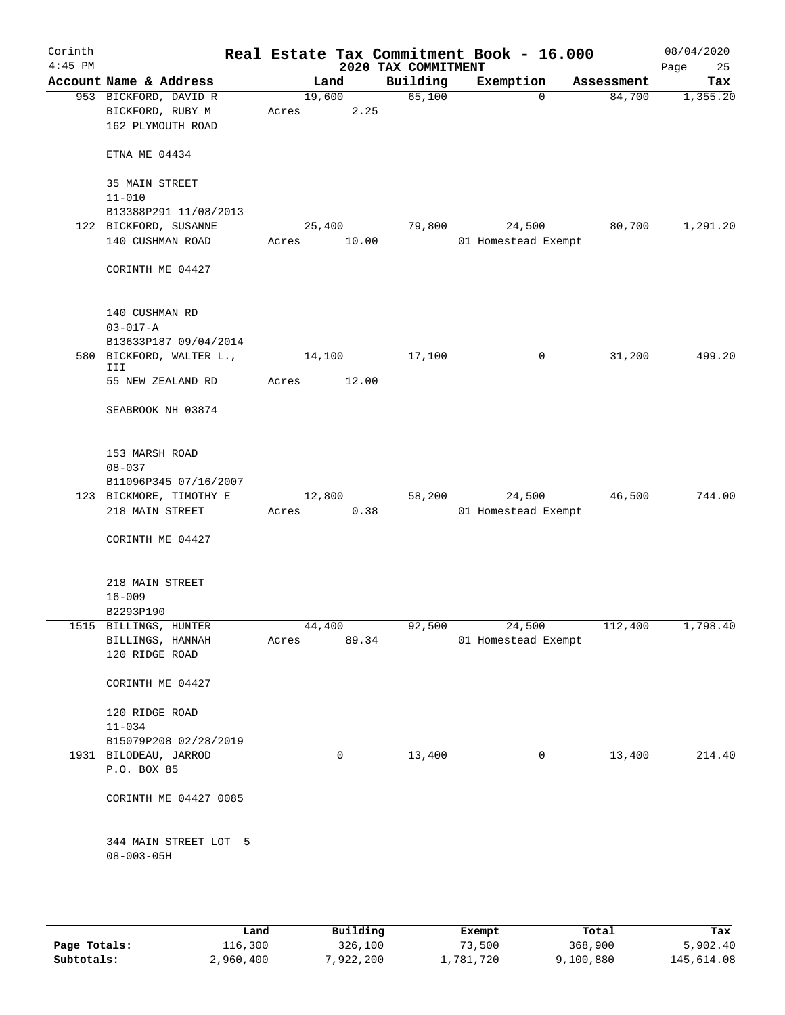| Corinth<br>$4:45$ PM |                                                                |       |                | 2020 TAX COMMITMENT | Real Estate Tax Commitment Book - 16.000 |            | 08/04/2020<br>Page<br>25 |
|----------------------|----------------------------------------------------------------|-------|----------------|---------------------|------------------------------------------|------------|--------------------------|
|                      | Account Name & Address                                         |       | Land           | Building            | Exemption                                | Assessment | Tax                      |
|                      | 953 BICKFORD, DAVID R<br>BICKFORD, RUBY M<br>162 PLYMOUTH ROAD | Acres | 19,600<br>2.25 | 65,100              | $\mathbf 0$                              | 84,700     | 1,355.20                 |
|                      | ETNA ME 04434                                                  |       |                |                     |                                          |            |                          |
|                      | 35 MAIN STREET<br>$11 - 010$                                   |       |                |                     |                                          |            |                          |
|                      | B13388P291 11/08/2013                                          |       |                |                     |                                          |            |                          |
|                      | 122 BICKFORD, SUSANNE                                          |       | 25,400         | 79,800              | 24,500                                   | 80,700     | 1,291.20                 |
|                      | 140 CUSHMAN ROAD                                               | Acres | 10.00          |                     | 01 Homestead Exempt                      |            |                          |
|                      | CORINTH ME 04427                                               |       |                |                     |                                          |            |                          |
|                      | 140 CUSHMAN RD<br>$03 - 017 - A$                               |       |                |                     |                                          |            |                          |
|                      | B13633P187 09/04/2014                                          |       |                |                     |                                          |            |                          |
|                      | 580 BICKFORD, WALTER L.,<br>III                                |       | 14,100         | 17,100              | 0                                        | 31,200     | 499.20                   |
|                      | 55 NEW ZEALAND RD                                              | Acres | 12.00          |                     |                                          |            |                          |
|                      | SEABROOK NH 03874                                              |       |                |                     |                                          |            |                          |
|                      | 153 MARSH ROAD                                                 |       |                |                     |                                          |            |                          |
|                      | $08 - 037$                                                     |       |                |                     |                                          |            |                          |
|                      | B11096P345 07/16/2007                                          |       |                |                     |                                          |            |                          |
|                      | 123 BICKMORE, TIMOTHY E                                        |       | 12,800         | 58,200              | 24,500                                   | 46,500     | 744.00                   |
|                      | 218 MAIN STREET                                                | Acres | 0.38           |                     | 01 Homestead Exempt                      |            |                          |
|                      | CORINTH ME 04427                                               |       |                |                     |                                          |            |                          |
|                      | 218 MAIN STREET                                                |       |                |                     |                                          |            |                          |
|                      | $16 - 009$                                                     |       |                |                     |                                          |            |                          |
|                      | B2293P190                                                      |       |                |                     |                                          |            |                          |
|                      | 1515 BILLINGS, HUNTER                                          |       | 44,400         | 92,500              | 24,500                                   | 112,400    | 1,798.40                 |
|                      | BILLINGS, HANNAH<br>120 RIDGE ROAD                             | Acres | 89.34          |                     | 01 Homestead Exempt                      |            |                          |
|                      | CORINTH ME 04427                                               |       |                |                     |                                          |            |                          |
|                      | 120 RIDGE ROAD                                                 |       |                |                     |                                          |            |                          |
|                      | $11 - 034$                                                     |       |                |                     |                                          |            |                          |
|                      | B15079P208 02/28/2019                                          |       |                |                     |                                          |            |                          |
|                      | 1931 BILODEAU, JARROD                                          |       | 0              | 13,400              | 0                                        | 13,400     | 214.40                   |
|                      | P.O. BOX 85                                                    |       |                |                     |                                          |            |                          |
|                      | CORINTH ME 04427 0085                                          |       |                |                     |                                          |            |                          |
|                      | 344 MAIN STREET LOT 5<br>$08 - 003 - 05H$                      |       |                |                     |                                          |            |                          |
|                      |                                                                |       |                |                     |                                          |            |                          |
|                      |                                                                |       |                |                     |                                          |            |                          |

|              | Land      | Building  | Exempt    | Total     | Tax        |
|--------------|-----------|-----------|-----------|-----------|------------|
| Page Totals: | 116,300   | 326,100   | 73,500    | 368,900   | 5,902.40   |
| Subtotals:   | 2,960,400 | 7,922,200 | 1,781,720 | 9,100,880 | 145,614.08 |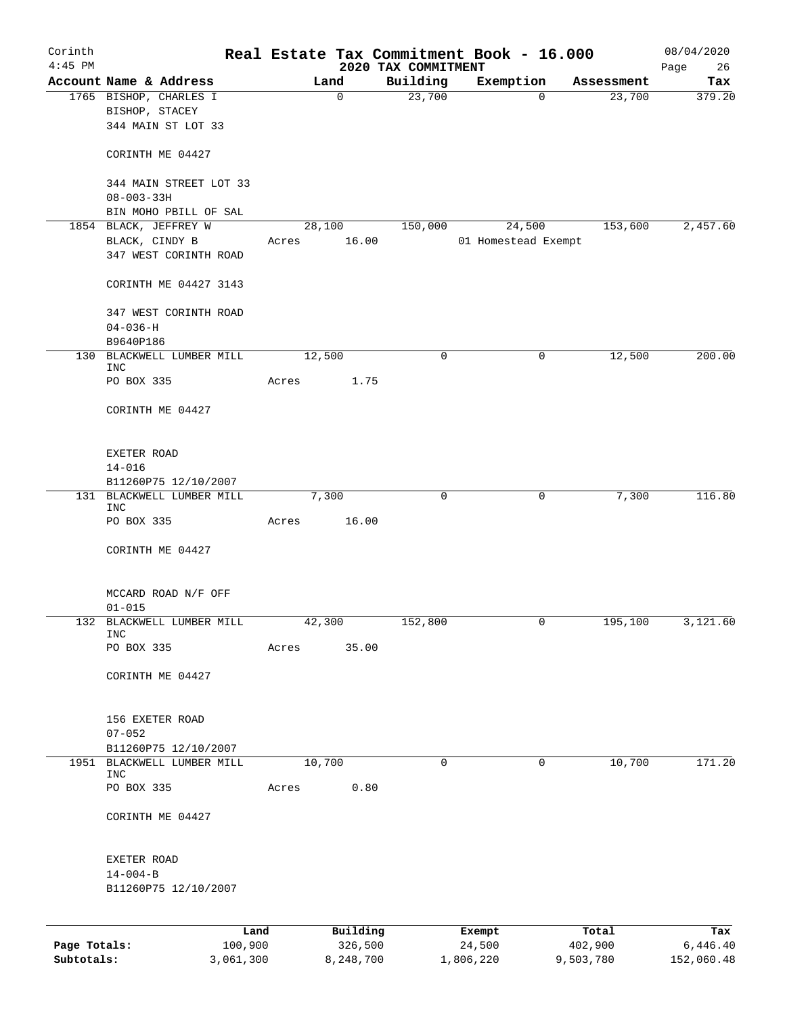| Corinth<br>$4:45$ PM |                                                                  |       |                 | 2020 TAX COMMITMENT | Real Estate Tax Commitment Book - 16.000 |              | 08/04/2020<br>Page<br>26 |
|----------------------|------------------------------------------------------------------|-------|-----------------|---------------------|------------------------------------------|--------------|--------------------------|
|                      | Account Name & Address                                           |       | Land            | Building            | Exemption                                | Assessment   | Tax                      |
|                      | 1765 BISHOP, CHARLES I<br>BISHOP, STACEY<br>344 MAIN ST LOT 33   |       | $\mathbf 0$     | 23,700              |                                          | 23,700<br>0  | 379.20                   |
|                      | CORINTH ME 04427                                                 |       |                 |                     |                                          |              |                          |
|                      | 344 MAIN STREET LOT 33<br>$08 - 003 - 33H$                       |       |                 |                     |                                          |              |                          |
|                      | BIN MOHO PBILL OF SAL                                            |       |                 |                     |                                          |              |                          |
|                      | 1854 BLACK, JEFFREY W<br>BLACK, CINDY B<br>347 WEST CORINTH ROAD | Acres | 28,100<br>16.00 | 150,000             | 24,500<br>01 Homestead Exempt            | 153,600      | 2,457.60                 |
|                      | CORINTH ME 04427 3143                                            |       |                 |                     |                                          |              |                          |
|                      | 347 WEST CORINTH ROAD<br>$04 - 036 - H$                          |       |                 |                     |                                          |              |                          |
|                      | B9640P186                                                        |       |                 |                     |                                          |              |                          |
| 130                  | BLACKWELL LUMBER MILL<br>INC                                     |       | 12,500          | $\mathbf 0$         |                                          | 12,500<br>0  | 200.00                   |
|                      | PO BOX 335                                                       | Acres | 1.75            |                     |                                          |              |                          |
|                      | CORINTH ME 04427                                                 |       |                 |                     |                                          |              |                          |
|                      | EXETER ROAD<br>$14 - 016$                                        |       |                 |                     |                                          |              |                          |
|                      | B11260P75 12/10/2007                                             |       |                 |                     |                                          |              |                          |
|                      | 131 BLACKWELL LUMBER MILL<br>INC                                 |       | 7,300           | 0                   |                                          | 7,300<br>0   | 116.80                   |
|                      | PO BOX 335                                                       | Acres | 16.00           |                     |                                          |              |                          |
|                      | CORINTH ME 04427                                                 |       |                 |                     |                                          |              |                          |
|                      | MCCARD ROAD N/F OFF<br>$01 - 015$                                |       |                 |                     |                                          |              |                          |
|                      | 132 BLACKWELL LUMBER MILL                                        |       | 42,300          | 152,800             |                                          | 195,100<br>0 | 3,121.60                 |
|                      | INC<br>PO BOX 335                                                | Acres | 35.00           |                     |                                          |              |                          |
|                      | CORINTH ME 04427                                                 |       |                 |                     |                                          |              |                          |
|                      | 156 EXETER ROAD                                                  |       |                 |                     |                                          |              |                          |
|                      | $07 - 052$                                                       |       |                 |                     |                                          |              |                          |
|                      | B11260P75 12/10/2007<br>1951 BLACKWELL LUMBER MILL               |       | 10,700          | 0                   |                                          | 10,700<br>0  | 171.20                   |
|                      | <b>INC</b><br>PO BOX 335                                         | Acres | 0.80            |                     |                                          |              |                          |
|                      | CORINTH ME 04427                                                 |       |                 |                     |                                          |              |                          |
|                      | EXETER ROAD                                                      |       |                 |                     |                                          |              |                          |
|                      | $14 - 004 - B$                                                   |       |                 |                     |                                          |              |                          |
|                      | B11260P75 12/10/2007                                             |       |                 |                     |                                          |              |                          |
|                      | Land                                                             |       | Building        |                     | Exempt                                   | Total        | Tax                      |
| Page Totals:         | 100,900                                                          |       | 326,500         |                     | 24,500                                   | 402,900      | 6,446.40                 |

**Subtotals:** 3,061,300 8,248,700 1,806,220 9,503,780 152,060.48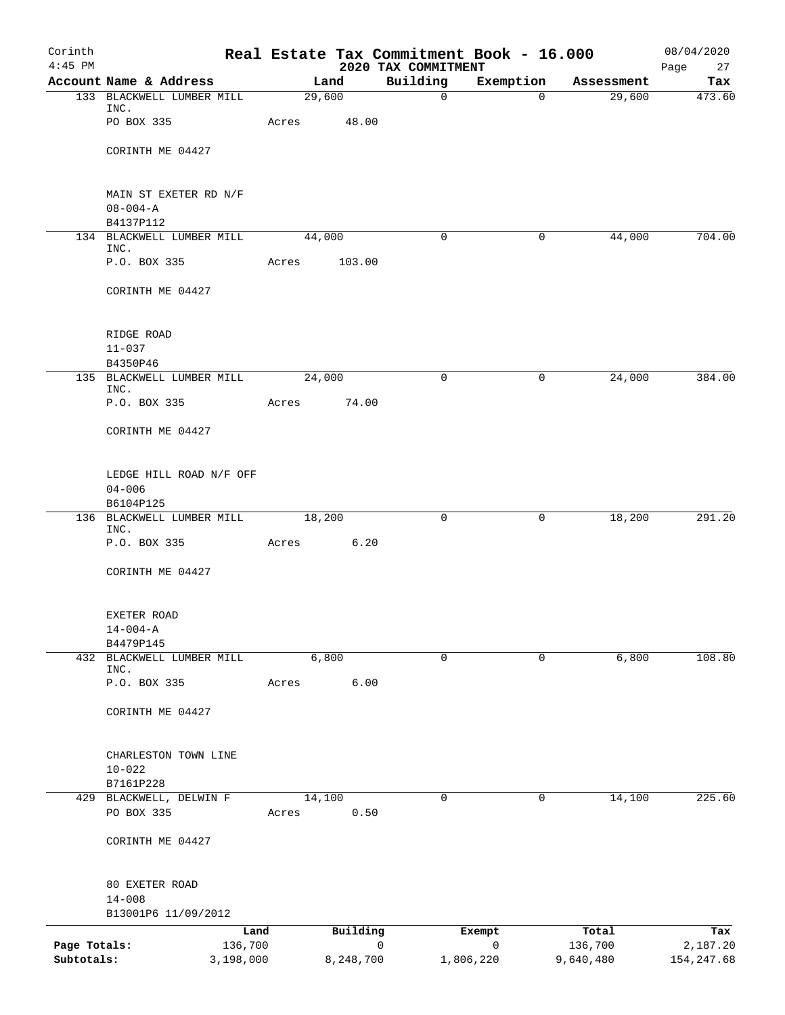| Corinth<br>$4:45$ PM |                                       |                 |           | Real Estate Tax Commitment Book - 16.000<br>2020 TAX COMMITMENT |                        |                  | 08/04/2020<br>Page<br>27 |
|----------------------|---------------------------------------|-----------------|-----------|-----------------------------------------------------------------|------------------------|------------------|--------------------------|
|                      | Account Name & Address                |                 | Land      | Building                                                        | Exemption              | Assessment       | Tax                      |
|                      | 133 BLACKWELL LUMBER MILL             |                 | 29,600    | $\mathsf{O}$                                                    | $\Omega$               | 29,600           | 473.60                   |
|                      | INC.<br>PO BOX 335                    | Acres           | 48.00     |                                                                 |                        |                  |                          |
|                      | CORINTH ME 04427                      |                 |           |                                                                 |                        |                  |                          |
|                      | MAIN ST EXETER RD N/F                 |                 |           |                                                                 |                        |                  |                          |
|                      | $08 - 004 - A$<br>B4137P112           |                 |           |                                                                 |                        |                  |                          |
|                      | 134 BLACKWELL LUMBER MILL             |                 | 44,000    | $\mathbf 0$                                                     | 0                      | 44,000           | 704.00                   |
|                      | INC.                                  |                 |           |                                                                 |                        |                  |                          |
|                      | P.O. BOX 335                          | Acres           | 103.00    |                                                                 |                        |                  |                          |
|                      | CORINTH ME 04427                      |                 |           |                                                                 |                        |                  |                          |
|                      | RIDGE ROAD                            |                 |           |                                                                 |                        |                  |                          |
|                      | $11 - 037$                            |                 |           |                                                                 |                        |                  |                          |
|                      | B4350P46<br>135 BLACKWELL LUMBER MILL |                 | 24,000    | $\mathbf 0$                                                     | 0                      | 24,000           | 384.00                   |
|                      | INC.<br>P.O. BOX 335                  | Acres           | 74.00     |                                                                 |                        |                  |                          |
|                      | CORINTH ME 04427                      |                 |           |                                                                 |                        |                  |                          |
|                      |                                       |                 |           |                                                                 |                        |                  |                          |
|                      | LEDGE HILL ROAD N/F OFF<br>$04 - 006$ |                 |           |                                                                 |                        |                  |                          |
|                      | B6104P125                             |                 |           |                                                                 |                        |                  |                          |
|                      | 136 BLACKWELL LUMBER MILL<br>INC.     |                 | 18,200    | $\mathbf 0$                                                     | $\overline{0}$         | 18,200           | 291.20                   |
|                      | P.O. BOX 335                          | Acres           | 6.20      |                                                                 |                        |                  |                          |
|                      | CORINTH ME 04427                      |                 |           |                                                                 |                        |                  |                          |
|                      | EXETER ROAD                           |                 |           |                                                                 |                        |                  |                          |
|                      | $14 - 004 - A$<br>B4479P145           |                 |           |                                                                 |                        |                  |                          |
|                      | 432 BLACKWELL LUMBER MILL             |                 | 6,800     | 0                                                               | 0                      | 6,800            | 108.80                   |
|                      | INC.                                  |                 |           |                                                                 |                        |                  |                          |
|                      | P.O. BOX 335                          | Acres           | 6.00      |                                                                 |                        |                  |                          |
|                      | CORINTH ME 04427                      |                 |           |                                                                 |                        |                  |                          |
|                      | CHARLESTON TOWN LINE                  |                 |           |                                                                 |                        |                  |                          |
|                      | $10 - 022$                            |                 |           |                                                                 |                        |                  |                          |
|                      | B7161P228<br>429 BLACKWELL, DELWIN F  |                 | 14,100    | $\mathbf 0$                                                     | 0                      | 14,100           | 225.60                   |
|                      | PO BOX 335                            | Acres           | 0.50      |                                                                 |                        |                  |                          |
|                      | CORINTH ME 04427                      |                 |           |                                                                 |                        |                  |                          |
|                      | 80 EXETER ROAD                        |                 |           |                                                                 |                        |                  |                          |
|                      | $14 - 008$                            |                 |           |                                                                 |                        |                  |                          |
|                      | B13001P6 11/09/2012                   |                 |           |                                                                 |                        |                  |                          |
| Page Totals:         |                                       | Land<br>136,700 | Building  | 0                                                               | Exempt<br>$\mathsf{O}$ | Total<br>136,700 | Tax<br>2,187.20          |
| Subtotals:           | 3,198,000                             |                 | 8,248,700 |                                                                 | 1,806,220              | 9,640,480        | 154, 247.68              |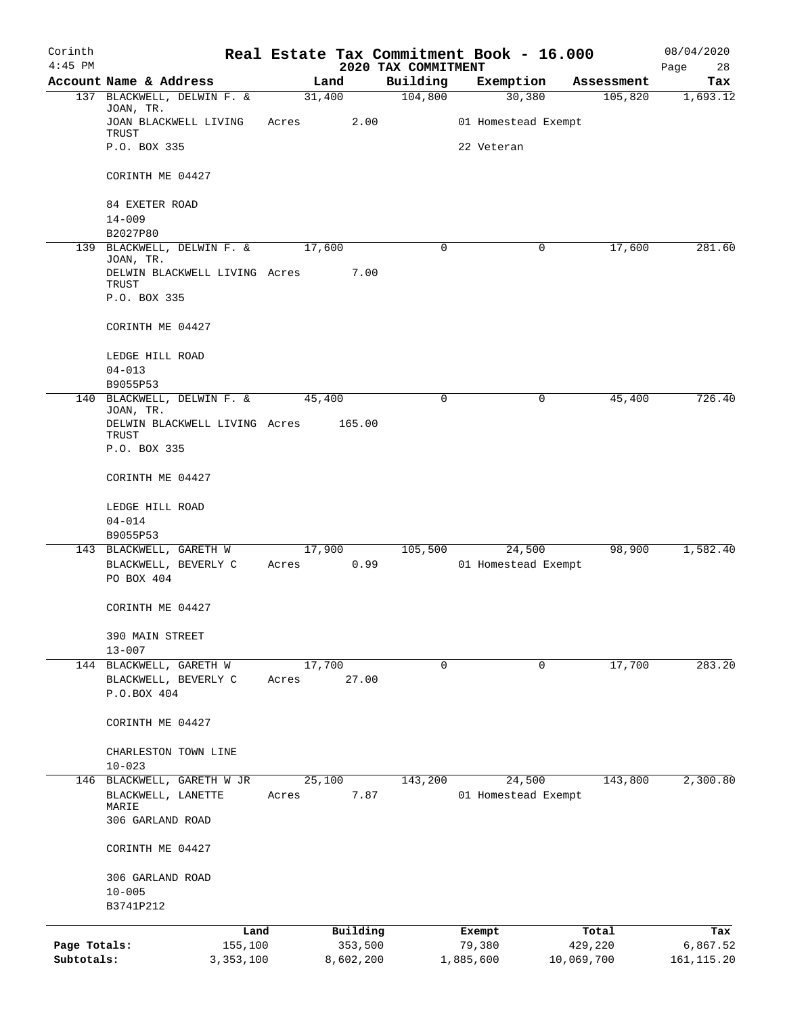| Corinth<br>$4:45$ PM |                                                 |                 |                     | 2020 TAX COMMITMENT | Real Estate Tax Commitment Book - 16.000 |                  | 08/04/2020        |
|----------------------|-------------------------------------------------|-----------------|---------------------|---------------------|------------------------------------------|------------------|-------------------|
|                      | Account Name & Address                          | Land            |                     | Building            | Exemption                                | Assessment       | Page<br>28<br>Tax |
|                      | 137 BLACKWELL, DELWIN F. &                      | 31,400          |                     | 104,800             | 30,380                                   | 105,820          | 1,693.12          |
|                      | JOAN, TR.<br>JOAN BLACKWELL LIVING<br>TRUST     | Acres           | 2.00                |                     | 01 Homestead Exempt                      |                  |                   |
|                      | P.O. BOX 335                                    |                 |                     |                     | 22 Veteran                               |                  |                   |
|                      | CORINTH ME 04427                                |                 |                     |                     |                                          |                  |                   |
|                      | 84 EXETER ROAD                                  |                 |                     |                     |                                          |                  |                   |
|                      | $14 - 009$<br>B2027P80                          |                 |                     |                     |                                          |                  |                   |
|                      | 139 BLACKWELL, DELWIN F. &                      | 17,600          |                     | 0                   | 0                                        | 17,600           | 281.60            |
|                      | JOAN, TR.<br>DELWIN BLACKWELL LIVING Acres      |                 | 7.00                |                     |                                          |                  |                   |
|                      | TRUST                                           |                 |                     |                     |                                          |                  |                   |
|                      | P.O. BOX 335                                    |                 |                     |                     |                                          |                  |                   |
|                      | CORINTH ME 04427                                |                 |                     |                     |                                          |                  |                   |
|                      | LEDGE HILL ROAD                                 |                 |                     |                     |                                          |                  |                   |
|                      | $04 - 013$                                      |                 |                     |                     |                                          |                  |                   |
|                      | B9055P53<br>140 BLACKWELL, DELWIN F. &          |                 |                     | $\mathbf 0$         |                                          | 45,400           | 726.40            |
|                      | JOAN, TR.                                       | 45,400          |                     |                     | 0                                        |                  |                   |
|                      | DELWIN BLACKWELL LIVING Acres<br>TRUST          |                 | 165.00              |                     |                                          |                  |                   |
|                      | P.O. BOX 335                                    |                 |                     |                     |                                          |                  |                   |
|                      | CORINTH ME 04427                                |                 |                     |                     |                                          |                  |                   |
|                      | LEDGE HILL ROAD                                 |                 |                     |                     |                                          |                  |                   |
|                      | $04 - 014$                                      |                 |                     |                     |                                          |                  |                   |
|                      | B9055P53                                        |                 |                     |                     |                                          |                  |                   |
|                      | 143 BLACKWELL, GARETH W<br>BLACKWELL, BEVERLY C | 17,900<br>Acres | 0.99                | 105,500             | 24,500<br>01 Homestead Exempt            | 98,900           | 1,582.40          |
|                      | PO BOX 404                                      |                 |                     |                     |                                          |                  |                   |
|                      | CORINTH ME 04427                                |                 |                     |                     |                                          |                  |                   |
|                      | 390 MAIN STREET                                 |                 |                     |                     |                                          |                  |                   |
|                      | $13 - 007$                                      |                 |                     |                     |                                          |                  |                   |
|                      | 144 BLACKWELL, GARETH W<br>BLACKWELL, BEVERLY C | 17,700<br>Acres | 27.00               | 0                   | 0                                        | 17,700           | 283.20            |
|                      | P.O.BOX 404                                     |                 |                     |                     |                                          |                  |                   |
|                      | CORINTH ME 04427                                |                 |                     |                     |                                          |                  |                   |
|                      | CHARLESTON TOWN LINE                            |                 |                     |                     |                                          |                  |                   |
|                      | $10 - 023$                                      |                 |                     |                     |                                          |                  |                   |
| 146                  | BLACKWELL, GARETH W JR                          | 25,100          |                     | 143,200             | 24,500                                   | 143,800          | 2,300.80          |
|                      | BLACKWELL, LANETTE<br>MARIE                     | Acres           | 7.87                |                     | 01 Homestead Exempt                      |                  |                   |
|                      | 306 GARLAND ROAD                                |                 |                     |                     |                                          |                  |                   |
|                      | CORINTH ME 04427                                |                 |                     |                     |                                          |                  |                   |
|                      | 306 GARLAND ROAD                                |                 |                     |                     |                                          |                  |                   |
|                      | $10 - 005$                                      |                 |                     |                     |                                          |                  |                   |
|                      | B3741P212                                       |                 |                     |                     |                                          |                  |                   |
| Page Totals:         | Land<br>155,100                                 |                 | Building<br>353,500 |                     | Exempt<br>79,380                         | Total<br>429,220 | Tax<br>6,867.52   |
| Subtotals:           | 3, 353, 100                                     |                 | 8,602,200           |                     | 1,885,600                                | 10,069,700       | 161, 115.20       |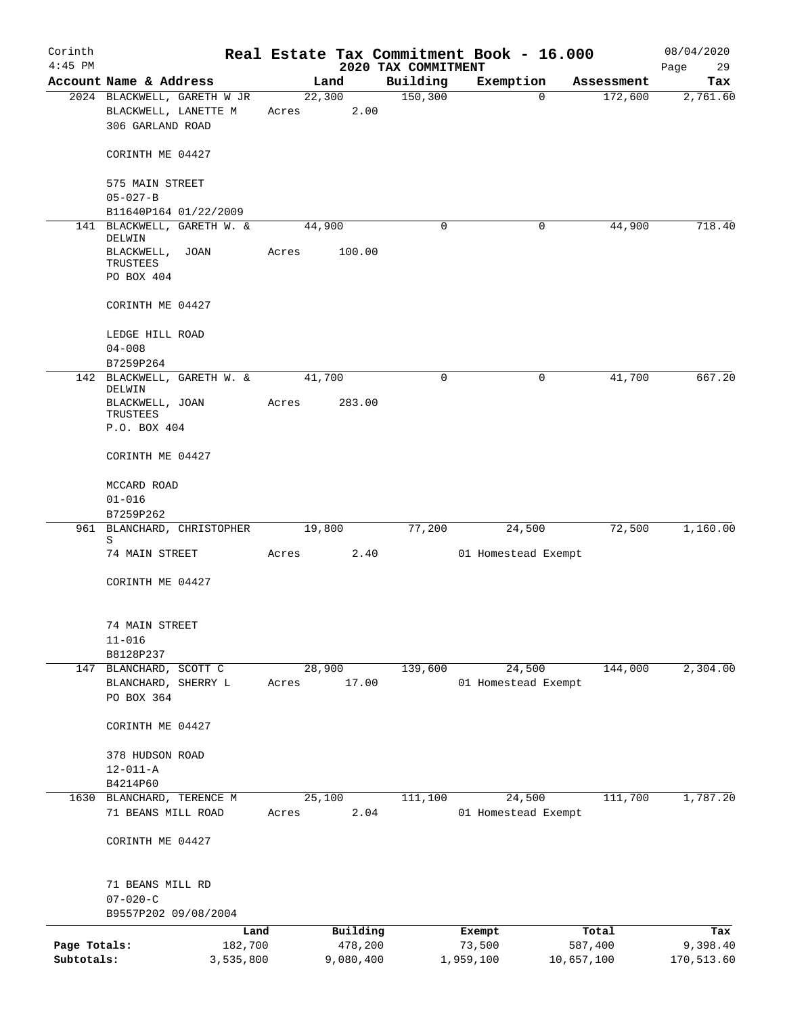| Corinth                    |                                               |                      |       |                      |                                 | Real Estate Tax Commitment Book - 16.000 |                                   | 08/04/2020             |
|----------------------------|-----------------------------------------------|----------------------|-------|----------------------|---------------------------------|------------------------------------------|-----------------------------------|------------------------|
| $4:45$ PM                  | Account Name & Address                        |                      |       | Land                 | 2020 TAX COMMITMENT<br>Building | Exemption                                |                                   | 29<br>Page             |
|                            | 2024 BLACKWELL, GARETH W JR                   |                      |       | 22,300               | 150, 300                        |                                          | Assessment<br>172,600<br>$\Omega$ | Tax<br>2,761.60        |
|                            | BLACKWELL, LANETTE M<br>306 GARLAND ROAD      |                      | Acres | 2.00                 |                                 |                                          |                                   |                        |
|                            | CORINTH ME 04427                              |                      |       |                      |                                 |                                          |                                   |                        |
|                            | 575 MAIN STREET<br>$05 - 027 - B$             |                      |       |                      |                                 |                                          |                                   |                        |
|                            | B11640P164 01/22/2009                         |                      |       |                      |                                 |                                          |                                   |                        |
|                            | 141 BLACKWELL, GARETH W. &<br>DELWIN          |                      |       | 44,900               | 0                               |                                          | 44,900<br>0                       | 718.40                 |
|                            | BLACKWELL, JOAN<br>TRUSTEES<br>PO BOX 404     |                      | Acres | 100.00               |                                 |                                          |                                   |                        |
|                            | CORINTH ME 04427                              |                      |       |                      |                                 |                                          |                                   |                        |
|                            | LEDGE HILL ROAD                               |                      |       |                      |                                 |                                          |                                   |                        |
|                            | $04 - 008$<br>B7259P264                       |                      |       |                      |                                 |                                          |                                   |                        |
|                            | 142 BLACKWELL, GARETH W. &<br>DELWIN          |                      |       | 41,700               | $\Omega$                        |                                          | $\Omega$<br>41,700                | 667.20                 |
|                            | BLACKWELL, JOAN<br>TRUSTEES                   |                      | Acres | 283.00               |                                 |                                          |                                   |                        |
|                            | P.O. BOX 404                                  |                      |       |                      |                                 |                                          |                                   |                        |
|                            | CORINTH ME 04427                              |                      |       |                      |                                 |                                          |                                   |                        |
|                            | MCCARD ROAD                                   |                      |       |                      |                                 |                                          |                                   |                        |
|                            | $01 - 016$<br>B7259P262                       |                      |       |                      |                                 |                                          |                                   |                        |
|                            | 961 BLANCHARD, CHRISTOPHER<br>S               |                      |       | 19,800               | 77,200                          | 24,500                                   | 72,500                            | 1,160.00               |
|                            | 74 MAIN STREET                                |                      | Acres | 2.40                 |                                 | 01 Homestead Exempt                      |                                   |                        |
|                            | CORINTH ME 04427                              |                      |       |                      |                                 |                                          |                                   |                        |
|                            | 74 MAIN STREET                                |                      |       |                      |                                 |                                          |                                   |                        |
|                            | $11 - 016$                                    |                      |       |                      |                                 |                                          |                                   |                        |
|                            | B8128P237                                     |                      |       |                      |                                 |                                          |                                   |                        |
|                            | 147 BLANCHARD, SCOTT C<br>BLANCHARD, SHERRY L |                      |       | 28,900<br>17.00      | 139,600                         | 24,500                                   | 144,000                           | 2,304.00               |
|                            | PO BOX 364                                    |                      | Acres |                      |                                 | 01 Homestead Exempt                      |                                   |                        |
|                            | CORINTH ME 04427                              |                      |       |                      |                                 |                                          |                                   |                        |
|                            | 378 HUDSON ROAD                               |                      |       |                      |                                 |                                          |                                   |                        |
|                            | $12 - 011 - A$                                |                      |       |                      |                                 |                                          |                                   |                        |
|                            | B4214P60<br>1630 BLANCHARD, TERENCE M         |                      |       | 25,100               | 111,100                         | 24,500                                   | 111,700                           | 1,787.20               |
|                            | 71 BEANS MILL ROAD                            |                      | Acres | 2.04                 |                                 | 01 Homestead Exempt                      |                                   |                        |
|                            | CORINTH ME 04427                              |                      |       |                      |                                 |                                          |                                   |                        |
|                            | 71 BEANS MILL RD                              |                      |       |                      |                                 |                                          |                                   |                        |
|                            | $07 - 020 - C$                                |                      |       |                      |                                 |                                          |                                   |                        |
|                            | B9557P202 09/08/2004                          |                      |       |                      |                                 |                                          |                                   |                        |
|                            |                                               | Land                 |       | Building             |                                 | Exempt                                   | Total                             | Tax                    |
| Page Totals:<br>Subtotals: |                                               | 182,700<br>3,535,800 |       | 478,200<br>9,080,400 |                                 | 73,500<br>1,959,100                      | 587,400<br>10,657,100             | 9,398.40<br>170,513.60 |
|                            |                                               |                      |       |                      |                                 |                                          |                                   |                        |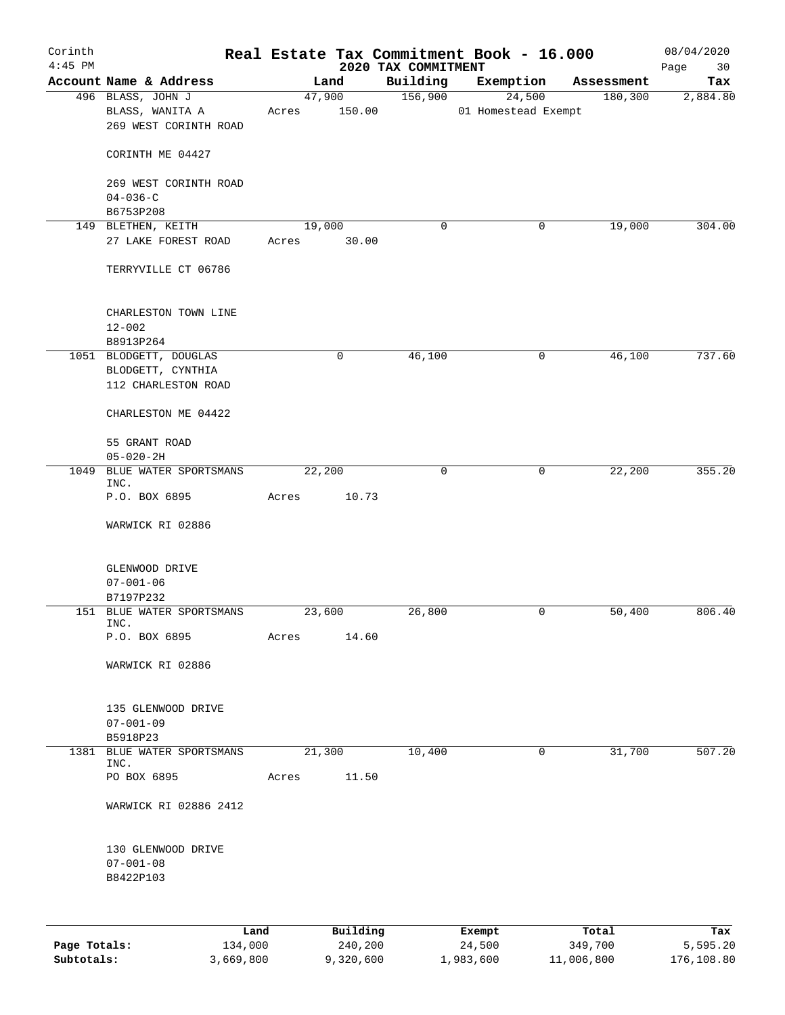| Corinth<br>$4:45$ PM |                                                                    |                 |                     | 2020 TAX COMMITMENT | Real Estate Tax Commitment Book - 16.000 |                  | 08/04/2020<br>Page<br>30 |
|----------------------|--------------------------------------------------------------------|-----------------|---------------------|---------------------|------------------------------------------|------------------|--------------------------|
|                      | Account Name & Address                                             |                 | Land                | Building            | Exemption                                | Assessment       | Tax                      |
|                      | 496 BLASS, JOHN J<br>BLASS, WANITA A<br>269 WEST CORINTH ROAD      | Acres           | 47,900<br>150.00    | 156,900             | 24,500<br>01 Homestead Exempt            | 180, 300         | 2,884.80                 |
|                      | CORINTH ME 04427                                                   |                 |                     |                     |                                          |                  |                          |
|                      | 269 WEST CORINTH ROAD<br>$04 - 036 - C$<br>B6753P208               |                 |                     |                     |                                          |                  |                          |
|                      | 149 BLETHEN, KEITH                                                 | 19,000          |                     | 0                   | 0                                        | 19,000           | 304.00                   |
|                      | 27 LAKE FOREST ROAD                                                | Acres           | 30.00               |                     |                                          |                  |                          |
|                      | TERRYVILLE CT 06786                                                |                 |                     |                     |                                          |                  |                          |
|                      | CHARLESTON TOWN LINE<br>$12 - 002$                                 |                 |                     |                     |                                          |                  |                          |
|                      | B8913P264                                                          |                 |                     |                     |                                          |                  |                          |
|                      | 1051 BLODGETT, DOUGLAS<br>BLODGETT, CYNTHIA<br>112 CHARLESTON ROAD |                 | 0                   | 46,100              | 0                                        | 46,100           | 737.60                   |
|                      | CHARLESTON ME 04422                                                |                 |                     |                     |                                          |                  |                          |
|                      | 55 GRANT ROAD                                                      |                 |                     |                     |                                          |                  |                          |
|                      | $05 - 020 - 2H$                                                    |                 |                     |                     |                                          |                  |                          |
|                      | 1049 BLUE WATER SPORTSMANS<br>INC.<br>P.O. BOX 6895                | 22,200<br>Acres | 10.73               | 0                   | 0                                        | 22,200           | 355.20                   |
|                      | WARWICK RI 02886                                                   |                 |                     |                     |                                          |                  |                          |
|                      |                                                                    |                 |                     |                     |                                          |                  |                          |
|                      | GLENWOOD DRIVE<br>$07 - 001 - 06$                                  |                 |                     |                     |                                          |                  |                          |
|                      | B7197P232                                                          |                 |                     |                     |                                          |                  |                          |
|                      | 151 BLUE WATER SPORTSMANS<br>INC.                                  | 23,600          |                     | 26,800              | 0                                        | 50,400           | 806.40                   |
|                      | P.O. BOX 6895                                                      | Acres           | 14.60               |                     |                                          |                  |                          |
|                      | WARWICK RI 02886                                                   |                 |                     |                     |                                          |                  |                          |
|                      | 135 GLENWOOD DRIVE                                                 |                 |                     |                     |                                          |                  |                          |
|                      | $07 - 001 - 09$<br>B5918P23                                        |                 |                     |                     |                                          |                  |                          |
| 1381                 | BLUE WATER SPORTSMANS                                              | 21,300          |                     | 10,400              | $\mathbf 0$                              | 31,700           | 507.20                   |
|                      | INC.                                                               |                 |                     |                     |                                          |                  |                          |
|                      | PO BOX 6895                                                        | Acres           | 11.50               |                     |                                          |                  |                          |
|                      | WARWICK RI 02886 2412                                              |                 |                     |                     |                                          |                  |                          |
|                      | 130 GLENWOOD DRIVE<br>$07 - 001 - 08$<br>B8422P103                 |                 |                     |                     |                                          |                  |                          |
|                      |                                                                    |                 |                     |                     |                                          |                  |                          |
| Page Totals:         | Land<br>134,000                                                    |                 | Building<br>240,200 |                     | Exempt<br>24,500                         | Total<br>349,700 | Tax<br>5,595.20          |

**Subtotals:** 3,669,800 9,320,600 1,983,600 11,006,800 176,108.80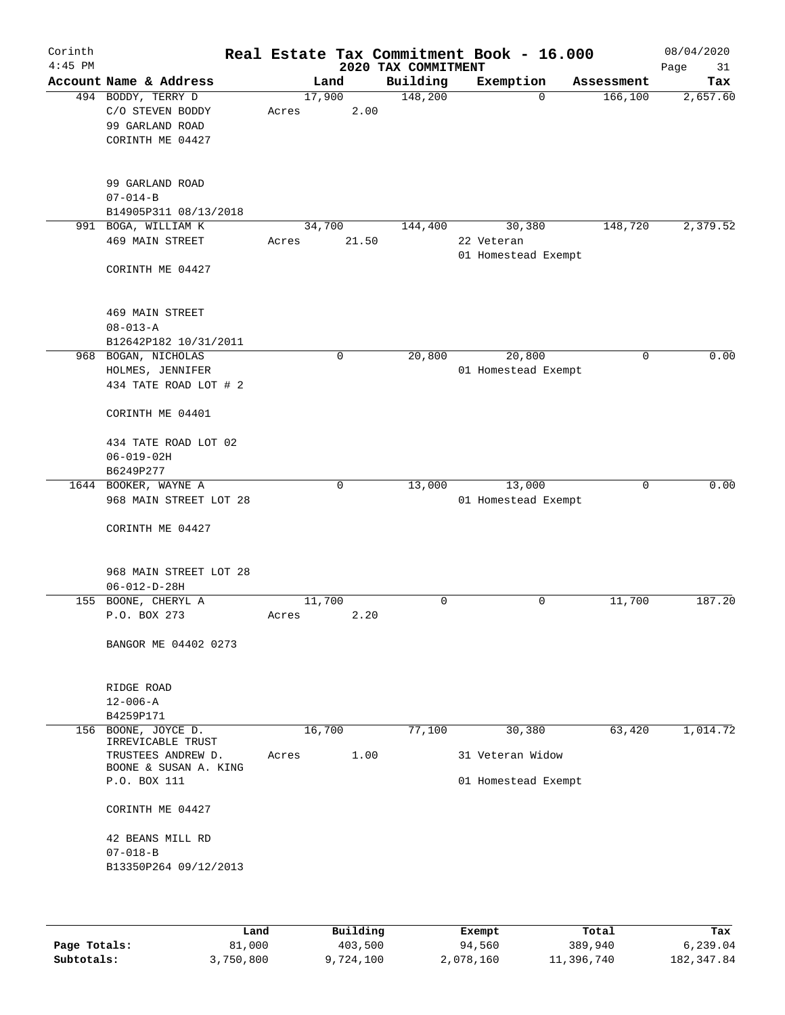| Corinth<br>$4:45$ PM |                                          |        |             | 2020 TAX COMMITMENT | Real Estate Tax Commitment Book - 16.000 |            | 08/04/2020<br>Page<br>31 |
|----------------------|------------------------------------------|--------|-------------|---------------------|------------------------------------------|------------|--------------------------|
|                      | Account Name & Address                   |        | Land        | Building            | Exemption                                | Assessment | Tax                      |
|                      | 494 BODDY, TERRY D                       | 17,900 |             | 148,200             | $\Omega$                                 | 166, 100   | 2,657.60                 |
|                      | C/O STEVEN BODDY                         | Acres  | 2.00        |                     |                                          |            |                          |
|                      | 99 GARLAND ROAD                          |        |             |                     |                                          |            |                          |
|                      | CORINTH ME 04427                         |        |             |                     |                                          |            |                          |
|                      | 99 GARLAND ROAD                          |        |             |                     |                                          |            |                          |
|                      | $07 - 014 - B$                           |        |             |                     |                                          |            |                          |
|                      | B14905P311 08/13/2018                    |        |             |                     |                                          |            |                          |
|                      | 991 BOGA, WILLIAM K                      | 34,700 |             | 144,400             | 30,380                                   | 148,720    | 2,379.52                 |
|                      | 469 MAIN STREET                          | Acres  | 21.50       |                     | 22 Veteran<br>01 Homestead Exempt        |            |                          |
|                      | CORINTH ME 04427                         |        |             |                     |                                          |            |                          |
|                      | 469 MAIN STREET                          |        |             |                     |                                          |            |                          |
|                      | $08 - 013 - A$                           |        |             |                     |                                          |            |                          |
|                      | B12642P182 10/31/2011                    |        |             |                     |                                          |            |                          |
|                      | 968 BOGAN, NICHOLAS                      |        | $\mathbf 0$ | 20,800              | 20,800                                   | 0          | 0.00                     |
|                      | HOLMES, JENNIFER                         |        |             |                     | 01 Homestead Exempt                      |            |                          |
|                      | 434 TATE ROAD LOT # 2                    |        |             |                     |                                          |            |                          |
|                      | CORINTH ME 04401                         |        |             |                     |                                          |            |                          |
|                      | 434 TATE ROAD LOT 02                     |        |             |                     |                                          |            |                          |
|                      | $06 - 019 - 02H$                         |        |             |                     |                                          |            |                          |
|                      | B6249P277                                |        |             |                     |                                          |            |                          |
|                      | 1644 BOOKER, WAYNE A                     |        | 0           | 13,000              | 13,000                                   | 0          | 0.00                     |
|                      | 968 MAIN STREET LOT 28                   |        |             |                     | 01 Homestead Exempt                      |            |                          |
|                      | CORINTH ME 04427                         |        |             |                     |                                          |            |                          |
|                      | 968 MAIN STREET LOT 28                   |        |             |                     |                                          |            |                          |
|                      | $06 - 012 - D - 28H$                     |        |             |                     |                                          |            |                          |
| 155                  | BOONE, CHERYL A                          | 11,700 |             | 0                   | 0                                        | 11,700     | 187.20                   |
|                      | P.O. BOX 273                             | Acres  | 2.20        |                     |                                          |            |                          |
|                      | BANGOR ME 04402 0273                     |        |             |                     |                                          |            |                          |
|                      |                                          |        |             |                     |                                          |            |                          |
|                      | RIDGE ROAD                               |        |             |                     |                                          |            |                          |
|                      | $12 - 006 - A$                           |        |             |                     |                                          |            |                          |
|                      | B4259P171                                |        |             |                     |                                          |            |                          |
|                      | 156 BOONE, JOYCE D.<br>IRREVICABLE TRUST | 16,700 |             | 77,100              | 30,380                                   | 63,420     | 1,014.72                 |
|                      | TRUSTEES ANDREW D.                       | Acres  | 1.00        |                     | 31 Veteran Widow                         |            |                          |
|                      | BOONE & SUSAN A. KING<br>P.O. BOX 111    |        |             |                     |                                          |            |                          |
|                      |                                          |        |             |                     | 01 Homestead Exempt                      |            |                          |
|                      | CORINTH ME 04427                         |        |             |                     |                                          |            |                          |
|                      | 42 BEANS MILL RD                         |        |             |                     |                                          |            |                          |
|                      | $07 - 018 - B$                           |        |             |                     |                                          |            |                          |
|                      | B13350P264 09/12/2013                    |        |             |                     |                                          |            |                          |
|                      |                                          |        |             |                     |                                          |            |                          |
|                      |                                          |        |             |                     |                                          |            |                          |

|              | Land      | Building | Exempt    | Total      | Tax         |
|--------------|-----------|----------|-----------|------------|-------------|
| Page Totals: | 81,000    | 403,500  | 94,560    | 389,940    | 6.239.04    |
| Subtotals:   | 3,750,800 | ,724,100 | 2,078,160 | 11,396,740 | 182, 347.84 |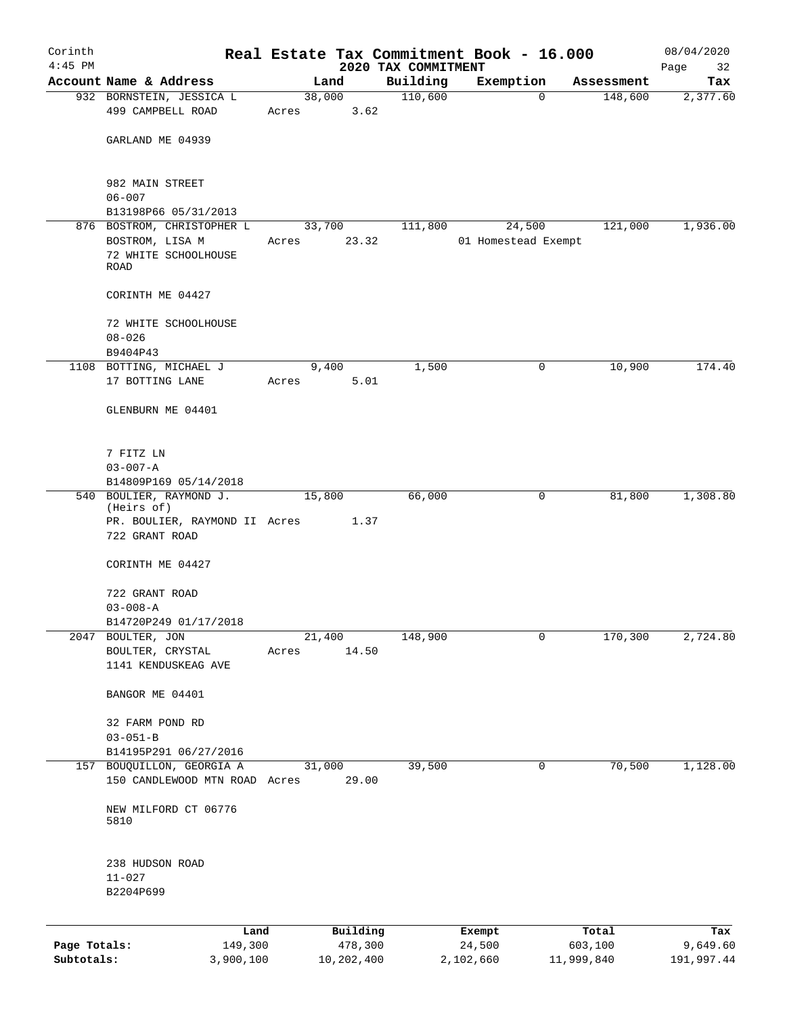| Corinth                    |                                                            |        |                       |                                 | Real Estate Tax Commitment Book - 16.000 |          |                       | 08/04/2020             |
|----------------------------|------------------------------------------------------------|--------|-----------------------|---------------------------------|------------------------------------------|----------|-----------------------|------------------------|
| $4:45$ PM                  | Account Name & Address                                     |        | Land                  | 2020 TAX COMMITMENT<br>Building | Exemption                                |          | Assessment            | Page<br>32<br>Tax      |
|                            | 932 BORNSTEIN, JESSICA L                                   |        | 38,000                | 110,600                         |                                          | $\Omega$ | 148,600               | 2,377.60               |
|                            | 499 CAMPBELL ROAD                                          | Acres  | 3.62                  |                                 |                                          |          |                       |                        |
|                            | GARLAND ME 04939                                           |        |                       |                                 |                                          |          |                       |                        |
|                            | 982 MAIN STREET<br>$06 - 007$                              |        |                       |                                 |                                          |          |                       |                        |
|                            | B13198P66 05/31/2013                                       |        |                       |                                 |                                          |          |                       |                        |
|                            | 876 BOSTROM, CHRISTOPHER L                                 |        | 33,700                | 111,800                         | 24,500                                   |          | 121,000               | 1,936.00               |
|                            | BOSTROM, LISA M<br>72 WHITE SCHOOLHOUSE<br><b>ROAD</b>     | Acres  | 23.32                 |                                 | 01 Homestead Exempt                      |          |                       |                        |
|                            | CORINTH ME 04427                                           |        |                       |                                 |                                          |          |                       |                        |
|                            | 72 WHITE SCHOOLHOUSE                                       |        |                       |                                 |                                          |          |                       |                        |
|                            | $08 - 026$                                                 |        |                       |                                 |                                          |          |                       |                        |
|                            | B9404P43                                                   |        |                       |                                 |                                          |          |                       | 174.40                 |
|                            | 1108 BOTTING, MICHAEL J<br>17 BOTTING LANE                 | Acres  | 9,400<br>5.01         | 1,500                           |                                          | 0        | 10,900                |                        |
|                            | GLENBURN ME 04401                                          |        |                       |                                 |                                          |          |                       |                        |
|                            | 7 FITZ LN                                                  |        |                       |                                 |                                          |          |                       |                        |
|                            | $03 - 007 - A$<br>B14809P169 05/14/2018                    |        |                       |                                 |                                          |          |                       |                        |
|                            | 540 BOULIER, RAYMOND J.<br>(Heirs of)                      | 15,800 |                       | 66,000                          |                                          | 0        | 81,800                | 1,308.80               |
|                            | PR. BOULIER, RAYMOND II Acres<br>722 GRANT ROAD            |        | 1.37                  |                                 |                                          |          |                       |                        |
|                            | CORINTH ME 04427                                           |        |                       |                                 |                                          |          |                       |                        |
|                            | 722 GRANT ROAD                                             |        |                       |                                 |                                          |          |                       |                        |
|                            | $03 - 008 - A$<br>B14720P249 01/17/2018                    |        |                       |                                 |                                          |          |                       |                        |
| 2047                       | BOULTER, JON                                               | 21,400 |                       | 148,900                         |                                          | 0        | 170,300               | 2,724.80               |
|                            | BOULTER, CRYSTAL<br>1141 KENDUSKEAG AVE                    | Acres  | 14.50                 |                                 |                                          |          |                       |                        |
|                            | BANGOR ME 04401                                            |        |                       |                                 |                                          |          |                       |                        |
|                            | 32 FARM POND RD<br>$03 - 051 - B$                          |        |                       |                                 |                                          |          |                       |                        |
|                            | B14195P291 06/27/2016                                      |        |                       |                                 |                                          |          |                       |                        |
|                            | 157 BOUQUILLON, GEORGIA A<br>150 CANDLEWOOD MTN ROAD Acres | 31,000 | 29.00                 | 39,500                          |                                          | 0        | 70,500                | 1,128.00               |
|                            | NEW MILFORD CT 06776<br>5810                               |        |                       |                                 |                                          |          |                       |                        |
|                            | 238 HUDSON ROAD<br>$11 - 027$                              |        |                       |                                 |                                          |          |                       |                        |
|                            | B2204P699                                                  |        |                       |                                 |                                          |          |                       |                        |
|                            | Land                                                       |        | Building              |                                 | Exempt                                   |          | Total                 | Tax                    |
| Page Totals:<br>Subtotals: | 149,300<br>3,900,100                                       |        | 478,300<br>10,202,400 |                                 | 24,500<br>2,102,660                      |          | 603,100<br>11,999,840 | 9,649.60<br>191,997.44 |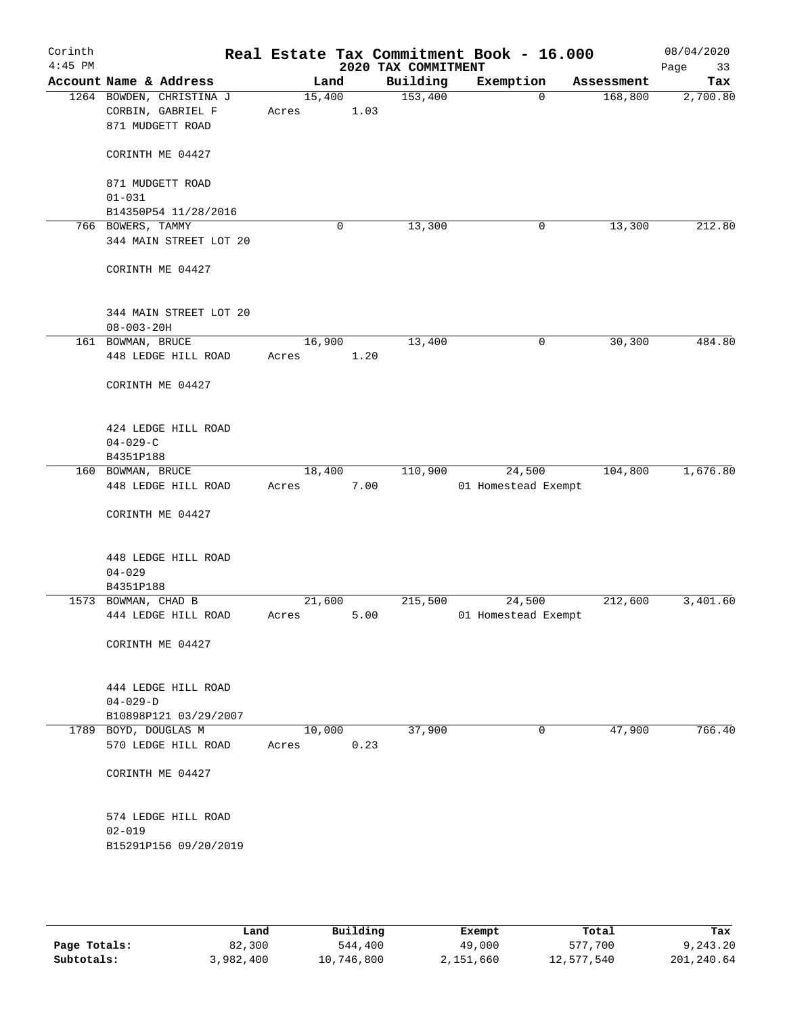| Corinth<br>$4:45$ PM |                     |                          |       |        |      | Real Estate Tax Commitment Book - 16.000<br>2020 TAX COMMITMENT |                     |          |            | 08/04/2020<br>Page<br>33 |
|----------------------|---------------------|--------------------------|-------|--------|------|-----------------------------------------------------------------|---------------------|----------|------------|--------------------------|
|                      |                     | Account Name & Address   |       | Land   |      | Building                                                        | Exemption           |          | Assessment | Tax                      |
|                      |                     | 1264 BOWDEN, CHRISTINA J |       | 15,400 |      | 153,400                                                         |                     | $\Omega$ | 168,800    | 2,700.80                 |
|                      |                     | CORBIN, GABRIEL F        | Acres |        | 1.03 |                                                                 |                     |          |            |                          |
|                      |                     | 871 MUDGETT ROAD         |       |        |      |                                                                 |                     |          |            |                          |
|                      |                     |                          |       |        |      |                                                                 |                     |          |            |                          |
|                      |                     | CORINTH ME 04427         |       |        |      |                                                                 |                     |          |            |                          |
|                      |                     |                          |       |        |      |                                                                 |                     |          |            |                          |
|                      |                     | 871 MUDGETT ROAD         |       |        |      |                                                                 |                     |          |            |                          |
|                      | $01 - 031$          |                          |       |        |      |                                                                 |                     |          |            |                          |
|                      | 766 BOWERS, TAMMY   | B14350P54 11/28/2016     |       |        | 0    | 13,300                                                          |                     |          |            | 212.80                   |
|                      |                     | 344 MAIN STREET LOT 20   |       |        |      |                                                                 |                     | 0        | 13,300     |                          |
|                      |                     |                          |       |        |      |                                                                 |                     |          |            |                          |
|                      |                     | CORINTH ME 04427         |       |        |      |                                                                 |                     |          |            |                          |
|                      |                     |                          |       |        |      |                                                                 |                     |          |            |                          |
|                      |                     |                          |       |        |      |                                                                 |                     |          |            |                          |
|                      |                     | 344 MAIN STREET LOT 20   |       |        |      |                                                                 |                     |          |            |                          |
|                      | $08 - 003 - 20H$    |                          |       |        |      |                                                                 |                     |          |            |                          |
|                      | 161 BOWMAN, BRUCE   |                          |       | 16,900 |      | 13,400                                                          |                     | 0        | 30,300     | 484.80                   |
|                      |                     | 448 LEDGE HILL ROAD      | Acres |        | 1.20 |                                                                 |                     |          |            |                          |
|                      |                     |                          |       |        |      |                                                                 |                     |          |            |                          |
|                      |                     | CORINTH ME 04427         |       |        |      |                                                                 |                     |          |            |                          |
|                      |                     |                          |       |        |      |                                                                 |                     |          |            |                          |
|                      |                     | 424 LEDGE HILL ROAD      |       |        |      |                                                                 |                     |          |            |                          |
|                      | $04 - 029 - C$      |                          |       |        |      |                                                                 |                     |          |            |                          |
|                      | B4351P188           |                          |       |        |      |                                                                 |                     |          |            |                          |
|                      | 160 BOWMAN, BRUCE   |                          |       | 18,400 |      | 110,900                                                         |                     | 24,500   | 104,800    | 1,676.80                 |
|                      |                     | 448 LEDGE HILL ROAD      | Acres |        | 7.00 |                                                                 | 01 Homestead Exempt |          |            |                          |
|                      |                     |                          |       |        |      |                                                                 |                     |          |            |                          |
|                      |                     | CORINTH ME 04427         |       |        |      |                                                                 |                     |          |            |                          |
|                      |                     |                          |       |        |      |                                                                 |                     |          |            |                          |
|                      |                     | 448 LEDGE HILL ROAD      |       |        |      |                                                                 |                     |          |            |                          |
|                      | $04 - 029$          |                          |       |        |      |                                                                 |                     |          |            |                          |
|                      | B4351P188           |                          |       |        |      |                                                                 |                     |          |            |                          |
|                      | 1573 BOWMAN, CHAD B |                          |       | 21,600 |      | 215,500                                                         |                     | 24,500   | 212,600    | 3,401.60                 |
|                      |                     | 444 LEDGE HILL ROAD      | Acres |        | 5.00 |                                                                 | 01 Homestead Exempt |          |            |                          |
|                      |                     |                          |       |        |      |                                                                 |                     |          |            |                          |
|                      |                     | CORINTH ME 04427         |       |        |      |                                                                 |                     |          |            |                          |
|                      |                     |                          |       |        |      |                                                                 |                     |          |            |                          |
|                      |                     | 444 LEDGE HILL ROAD      |       |        |      |                                                                 |                     |          |            |                          |
|                      | $04 - 029 - D$      |                          |       |        |      |                                                                 |                     |          |            |                          |
|                      |                     | B10898P121 03/29/2007    |       |        |      |                                                                 |                     |          |            |                          |
|                      |                     | 1789 BOYD, DOUGLAS M     |       | 10,000 |      | 37,900                                                          |                     | 0        | 47,900     | 766.40                   |
|                      |                     | 570 LEDGE HILL ROAD      | Acres |        | 0.23 |                                                                 |                     |          |            |                          |
|                      |                     |                          |       |        |      |                                                                 |                     |          |            |                          |
|                      |                     | CORINTH ME 04427         |       |        |      |                                                                 |                     |          |            |                          |
|                      |                     |                          |       |        |      |                                                                 |                     |          |            |                          |
|                      |                     |                          |       |        |      |                                                                 |                     |          |            |                          |
|                      | $02 - 019$          | 574 LEDGE HILL ROAD      |       |        |      |                                                                 |                     |          |            |                          |
|                      |                     | B15291P156 09/20/2019    |       |        |      |                                                                 |                     |          |            |                          |
|                      |                     |                          |       |        |      |                                                                 |                     |          |            |                          |
|                      |                     |                          |       |        |      |                                                                 |                     |          |            |                          |
|                      |                     |                          |       |        |      |                                                                 |                     |          |            |                          |
|                      |                     |                          |       |        |      |                                                                 |                     |          |            |                          |

|              | Land      | Building   | Exempt    | Total      | Tax        |
|--------------|-----------|------------|-----------|------------|------------|
| Page Totals: | 82,300    | 544,400    | 49,000    | 577,700    | 9,243.20   |
| Subtotals:   | 3,982,400 | 10,746,800 | 2,151,660 | 12,577,540 | 201,240.64 |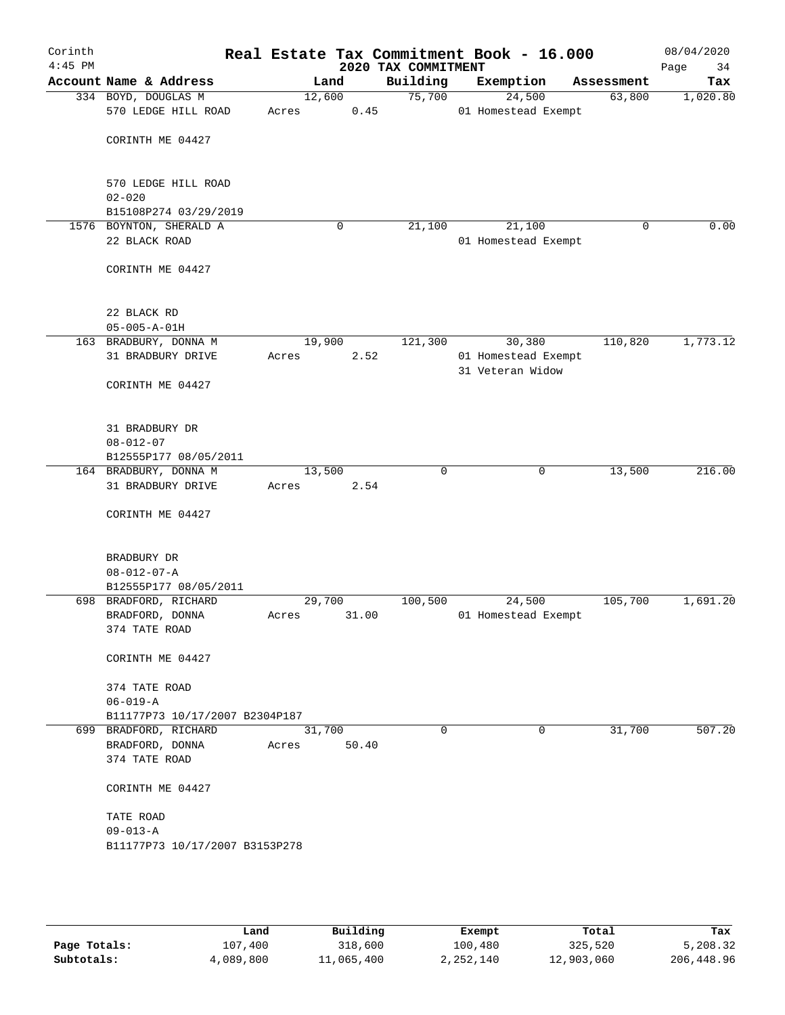| Corinth<br>$4:45$ PM |                                                |                 |       | 2020 TAX COMMITMENT | Real Estate Tax Commitment Book - 16.000 |            | 08/04/2020<br>Page<br>34 |
|----------------------|------------------------------------------------|-----------------|-------|---------------------|------------------------------------------|------------|--------------------------|
|                      | Account Name & Address                         |                 | Land  | Building            | Exemption                                | Assessment | Tax                      |
|                      | 334 BOYD, DOUGLAS M                            | 12,600          |       | 75,700              | 24,500                                   | 63,800     | 1,020.80                 |
|                      | 570 LEDGE HILL ROAD                            | Acres           | 0.45  |                     | 01 Homestead Exempt                      |            |                          |
|                      |                                                |                 |       |                     |                                          |            |                          |
|                      | CORINTH ME 04427                               |                 |       |                     |                                          |            |                          |
|                      |                                                |                 |       |                     |                                          |            |                          |
|                      | 570 LEDGE HILL ROAD                            |                 |       |                     |                                          |            |                          |
|                      | $02 - 020$                                     |                 |       |                     |                                          |            |                          |
|                      | B15108P274 03/29/2019                          |                 |       |                     |                                          |            |                          |
|                      | 1576 BOYNTON, SHERALD A                        |                 | 0     | 21,100              | 21,100                                   | 0          | 0.00                     |
|                      | 22 BLACK ROAD                                  |                 |       |                     | 01 Homestead Exempt                      |            |                          |
|                      | CORINTH ME 04427                               |                 |       |                     |                                          |            |                          |
|                      |                                                |                 |       |                     |                                          |            |                          |
|                      |                                                |                 |       |                     |                                          |            |                          |
|                      | 22 BLACK RD                                    |                 |       |                     |                                          |            |                          |
|                      | $05 - 005 - A - 01H$                           |                 |       |                     |                                          |            |                          |
|                      | 163 BRADBURY, DONNA M                          | 19,900          |       | 121,300             | 30,380                                   | 110,820    | 1,773.12                 |
|                      | 31 BRADBURY DRIVE                              | Acres           | 2.52  |                     | 01 Homestead Exempt<br>31 Veteran Widow  |            |                          |
|                      | CORINTH ME 04427                               |                 |       |                     |                                          |            |                          |
|                      |                                                |                 |       |                     |                                          |            |                          |
|                      |                                                |                 |       |                     |                                          |            |                          |
|                      | 31 BRADBURY DR                                 |                 |       |                     |                                          |            |                          |
|                      | $08 - 012 - 07$                                |                 |       |                     |                                          |            |                          |
|                      | B12555P177 08/05/2011                          |                 |       |                     |                                          |            |                          |
|                      | 164 BRADBURY, DONNA M<br>31 BRADBURY DRIVE     | 13,500<br>Acres | 2.54  | 0                   | $\mathbf 0$                              | 13,500     | 216.00                   |
|                      |                                                |                 |       |                     |                                          |            |                          |
|                      | CORINTH ME 04427                               |                 |       |                     |                                          |            |                          |
|                      |                                                |                 |       |                     |                                          |            |                          |
|                      |                                                |                 |       |                     |                                          |            |                          |
|                      | BRADBURY DR                                    |                 |       |                     |                                          |            |                          |
|                      | $08 - 012 - 07 - A$                            |                 |       |                     |                                          |            |                          |
|                      | B12555P177 08/05/2011<br>698 BRADFORD, RICHARD |                 |       |                     | 24,500                                   |            | 1,691.20                 |
|                      | BRADFORD, DONNA                                | 29,700          | 31.00 | 100,500             | 01 Homestead Exempt                      | 105,700    |                          |
|                      | 374 TATE ROAD                                  | Acres           |       |                     |                                          |            |                          |
|                      |                                                |                 |       |                     |                                          |            |                          |
|                      | CORINTH ME 04427                               |                 |       |                     |                                          |            |                          |
|                      |                                                |                 |       |                     |                                          |            |                          |
|                      | 374 TATE ROAD                                  |                 |       |                     |                                          |            |                          |
|                      | $06 - 019 - A$                                 |                 |       |                     |                                          |            |                          |
|                      | B11177P73 10/17/2007 B2304P187                 |                 |       |                     |                                          |            |                          |
|                      | 699 BRADFORD, RICHARD                          | 31,700          |       | $\Omega$            | 0                                        | 31,700     | 507.20                   |
|                      | BRADFORD, DONNA                                | Acres           | 50.40 |                     |                                          |            |                          |
|                      | 374 TATE ROAD                                  |                 |       |                     |                                          |            |                          |
|                      | CORINTH ME 04427                               |                 |       |                     |                                          |            |                          |
|                      |                                                |                 |       |                     |                                          |            |                          |
|                      | TATE ROAD                                      |                 |       |                     |                                          |            |                          |
|                      | 09-013-A                                       |                 |       |                     |                                          |            |                          |
|                      | B11177P73 10/17/2007 B3153P278                 |                 |       |                     |                                          |            |                          |
|                      |                                                |                 |       |                     |                                          |            |                          |
|                      |                                                |                 |       |                     |                                          |            |                          |
|                      |                                                |                 |       |                     |                                          |            |                          |
|                      |                                                |                 |       |                     |                                          |            |                          |

|              | Land      | Building   | Exempt    | Total      | Tax        |
|--------------|-----------|------------|-----------|------------|------------|
| Page Totals: | 107,400   | 318,600    | 100,480   | 325,520    | 5,208.32   |
| Subtotals:   | 4,089,800 | 11,065,400 | 2,252,140 | 12,903,060 | 206,448.96 |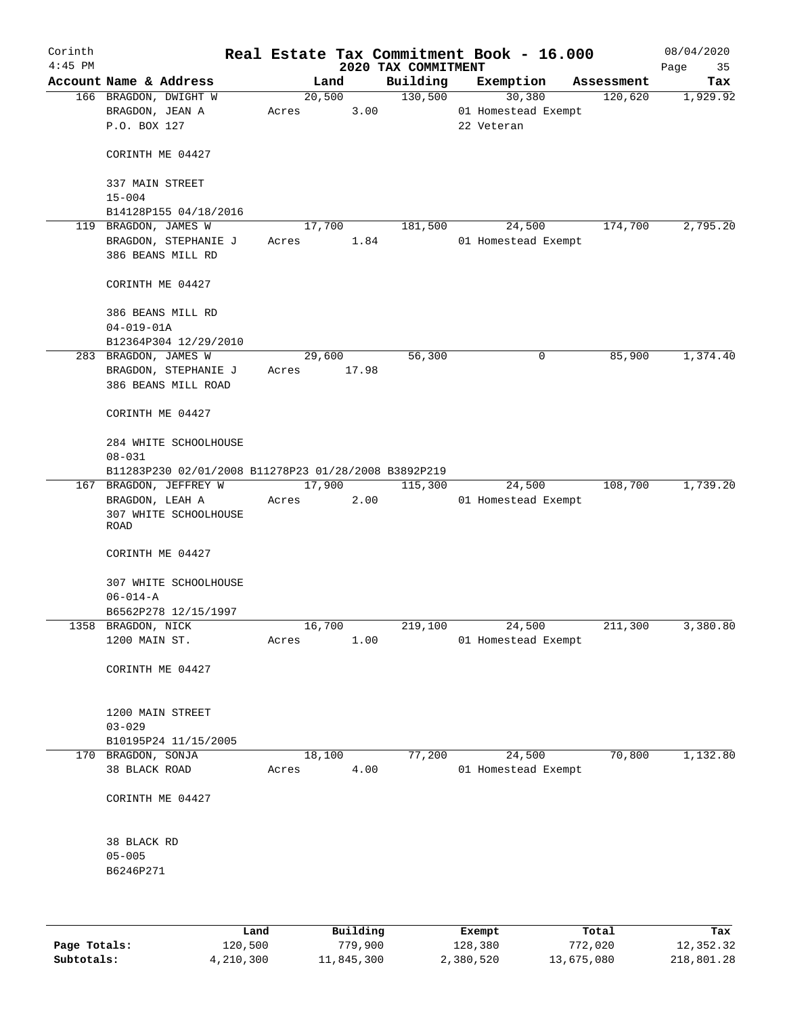| Corinth<br>$4:45$ PM |                                                          |       |                | 2020 TAX COMMITMENT | Real Estate Tax Commitment Book - 16.000    |            | 08/04/2020<br>Page<br>35 |
|----------------------|----------------------------------------------------------|-------|----------------|---------------------|---------------------------------------------|------------|--------------------------|
|                      | Account Name & Address                                   |       | Land           | Building            | Exemption                                   | Assessment | Tax                      |
|                      | 166 BRAGDON, DWIGHT W<br>BRAGDON, JEAN A<br>P.O. BOX 127 | Acres | 20,500<br>3.00 | 130,500             | 30,380<br>01 Homestead Exempt<br>22 Veteran | 120,620    | 1,929.92                 |
|                      | CORINTH ME 04427                                         |       |                |                     |                                             |            |                          |
|                      | 337 MAIN STREET<br>$15 - 004$                            |       |                |                     |                                             |            |                          |
|                      | B14128P155 04/18/2016                                    |       |                |                     |                                             |            |                          |
|                      | 119 BRAGDON, JAMES W                                     |       | 17,700         | 181,500             | 24,500                                      | 174,700    | 2,795.20                 |
|                      | BRAGDON, STEPHANIE J<br>386 BEANS MILL RD                | Acres | 1.84           |                     | 01 Homestead Exempt                         |            |                          |
|                      | CORINTH ME 04427                                         |       |                |                     |                                             |            |                          |
|                      | 386 BEANS MILL RD<br>$04 - 019 - 01A$                    |       |                |                     |                                             |            |                          |
|                      | B12364P304 12/29/2010                                    |       |                |                     |                                             |            |                          |
|                      | 283 BRAGDON, JAMES W                                     |       | 29,600         | 56,300              | 0                                           | 85,900     | 1,374.40                 |
|                      | BRAGDON, STEPHANIE J<br>386 BEANS MILL ROAD              | Acres | 17.98          |                     |                                             |            |                          |
|                      | CORINTH ME 04427                                         |       |                |                     |                                             |            |                          |
|                      | 284 WHITE SCHOOLHOUSE<br>$08 - 031$                      |       |                |                     |                                             |            |                          |
|                      | B11283P230 02/01/2008 B11278P23 01/28/2008 B3892P219     |       |                |                     |                                             |            |                          |
|                      | 167 BRAGDON, JEFFREY W                                   |       | 17,900         | 115,300             | 24,500                                      | 108,700    | 1,739.20                 |
|                      | BRAGDON, LEAH A<br>307 WHITE SCHOOLHOUSE<br>ROAD         | Acres | 2.00           |                     | 01 Homestead Exempt                         |            |                          |
|                      | CORINTH ME 04427                                         |       |                |                     |                                             |            |                          |
|                      | 307 WHITE SCHOOLHOUSE<br>$06 - 014 - A$                  |       |                |                     |                                             |            |                          |
|                      | B6562P278 12/15/1997                                     |       |                |                     |                                             |            |                          |
|                      | 1358 BRAGDON, NICK<br>1200 MAIN ST.                      | Acres | 16,700<br>1.00 | 219,100             | 24,500<br>01 Homestead Exempt               | 211,300    | 3,380.80                 |
|                      | CORINTH ME 04427                                         |       |                |                     |                                             |            |                          |
|                      | 1200 MAIN STREET<br>$03 - 029$                           |       |                |                     |                                             |            |                          |
|                      | B10195P24 11/15/2005                                     |       |                |                     |                                             |            |                          |
|                      | 170 BRAGDON, SONJA                                       |       | 18,100         | 77,200              | 24,500                                      | 70,800     | 1,132.80                 |
|                      | 38 BLACK ROAD                                            | Acres | 4.00           |                     | 01 Homestead Exempt                         |            |                          |
|                      | CORINTH ME 04427                                         |       |                |                     |                                             |            |                          |
|                      | 38 BLACK RD<br>$05 - 005$<br>B6246P271                   |       |                |                     |                                             |            |                          |
|                      |                                                          |       |                |                     |                                             |            |                          |
|                      |                                                          |       |                |                     |                                             |            |                          |

|              | Land      | Building   | Exempt    | Total      | Tax        |
|--------------|-----------|------------|-----------|------------|------------|
| Page Totals: | 120,500   | 779,900    | 128,380   | 772,020    | 12,352.32  |
| Subtotals:   | 4,210,300 | 11,845,300 | 2,380,520 | 13,675,080 | 218,801.28 |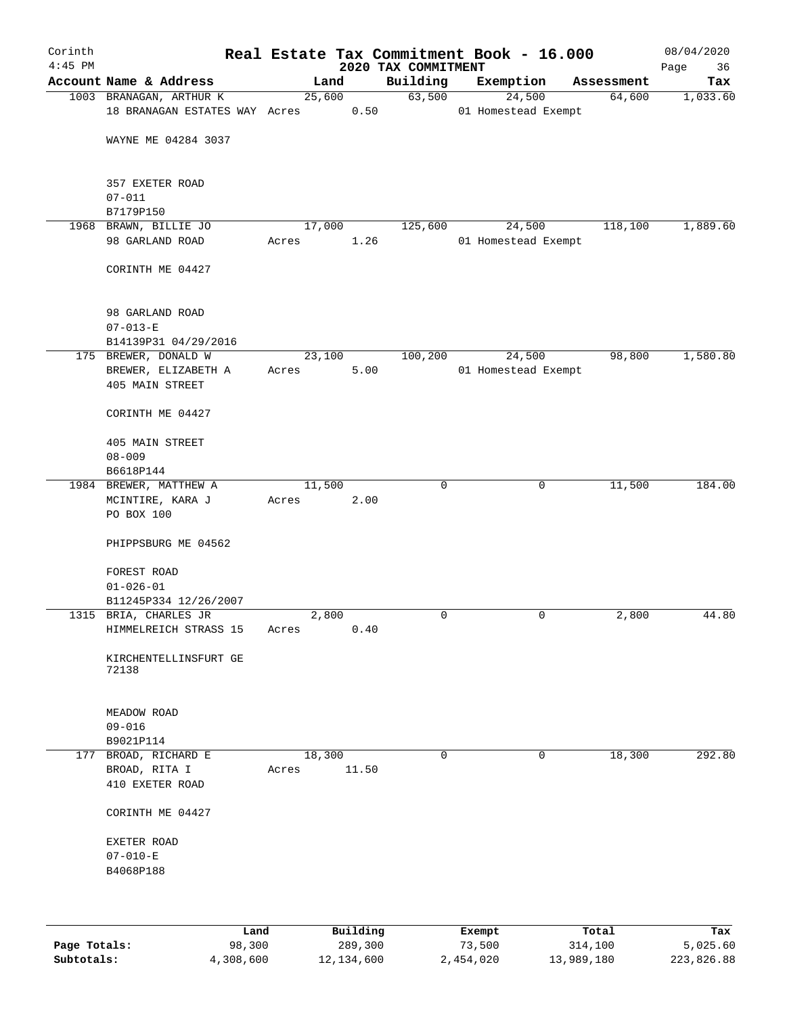| Corinth      |                                  |       |        |          |                                 | Real Estate Tax Commitment Book - 16.000 |             |                      | 08/04/2020        |
|--------------|----------------------------------|-------|--------|----------|---------------------------------|------------------------------------------|-------------|----------------------|-------------------|
| $4:45$ PM    | Account Name & Address           |       | Land   |          | 2020 TAX COMMITMENT<br>Building | Exemption                                |             |                      | 36<br>Page<br>Tax |
|              | 1003 BRANAGAN, ARTHUR K          |       | 25,600 |          | 63,500                          | 24,500                                   |             | Assessment<br>64,600 | 1,033.60          |
|              | 18 BRANAGAN ESTATES WAY Acres    |       |        | 0.50     |                                 | 01 Homestead Exempt                      |             |                      |                   |
|              |                                  |       |        |          |                                 |                                          |             |                      |                   |
|              | WAYNE ME 04284 3037              |       |        |          |                                 |                                          |             |                      |                   |
|              | 357 EXETER ROAD                  |       |        |          |                                 |                                          |             |                      |                   |
|              | $07 - 011$                       |       |        |          |                                 |                                          |             |                      |                   |
|              | B7179P150                        |       |        |          |                                 |                                          |             |                      |                   |
|              | 1968 BRAWN, BILLIE JO            |       | 17,000 |          | 125,600                         | 24,500                                   |             | 118,100              | 1,889.60          |
|              | 98 GARLAND ROAD                  | Acres |        | 1.26     |                                 | 01 Homestead Exempt                      |             |                      |                   |
|              | CORINTH ME 04427                 |       |        |          |                                 |                                          |             |                      |                   |
|              | 98 GARLAND ROAD                  |       |        |          |                                 |                                          |             |                      |                   |
|              | $07 - 013 - E$                   |       |        |          |                                 |                                          |             |                      |                   |
|              | B14139P31 04/29/2016             |       |        |          |                                 |                                          |             |                      |                   |
|              | 175 BREWER, DONALD W             |       | 23,100 |          | 100,200                         | 24,500                                   |             | 98,800               | 1,580.80          |
|              | BREWER, ELIZABETH A              | Acres |        | 5.00     |                                 | 01 Homestead Exempt                      |             |                      |                   |
|              | 405 MAIN STREET                  |       |        |          |                                 |                                          |             |                      |                   |
|              | CORINTH ME 04427                 |       |        |          |                                 |                                          |             |                      |                   |
|              | 405 MAIN STREET                  |       |        |          |                                 |                                          |             |                      |                   |
|              | $08 - 009$                       |       |        |          |                                 |                                          |             |                      |                   |
|              | B6618P144                        |       |        |          |                                 |                                          |             |                      |                   |
|              | 1984 BREWER, MATTHEW A           |       | 11,500 |          | $\mathbf 0$                     |                                          | 0           | 11,500               | 184.00            |
|              | MCINTIRE, KARA J                 | Acres |        | 2.00     |                                 |                                          |             |                      |                   |
|              | PO BOX 100                       |       |        |          |                                 |                                          |             |                      |                   |
|              | PHIPPSBURG ME 04562              |       |        |          |                                 |                                          |             |                      |                   |
|              | FOREST ROAD                      |       |        |          |                                 |                                          |             |                      |                   |
|              | $01 - 026 - 01$                  |       |        |          |                                 |                                          |             |                      |                   |
|              | B11245P334 12/26/2007            |       |        |          |                                 |                                          |             |                      |                   |
|              | 1315 BRIA, CHARLES JR            |       | 2,800  |          | 0                               |                                          | 0           | 2,800                | 44.80             |
|              | HIMMELREICH STRASS 15            | Acres |        | 0.40     |                                 |                                          |             |                      |                   |
|              | KIRCHENTELLINSFURT GE            |       |        |          |                                 |                                          |             |                      |                   |
|              | 72138                            |       |        |          |                                 |                                          |             |                      |                   |
|              | MEADOW ROAD                      |       |        |          |                                 |                                          |             |                      |                   |
|              | $09 - 016$                       |       |        |          |                                 |                                          |             |                      |                   |
|              | B9021P114                        |       |        |          |                                 |                                          |             |                      |                   |
| 177          | BROAD, RICHARD E                 |       | 18,300 |          | $\mathbf 0$                     |                                          | $\mathbf 0$ | 18,300               | 292.80            |
|              | BROAD, RITA I<br>410 EXETER ROAD | Acres |        | 11.50    |                                 |                                          |             |                      |                   |
|              |                                  |       |        |          |                                 |                                          |             |                      |                   |
|              | CORINTH ME 04427                 |       |        |          |                                 |                                          |             |                      |                   |
|              | EXETER ROAD<br>$07 - 010 - E$    |       |        |          |                                 |                                          |             |                      |                   |
|              | B4068P188                        |       |        |          |                                 |                                          |             |                      |                   |
|              |                                  |       |        |          |                                 |                                          |             |                      |                   |
|              |                                  |       |        |          |                                 |                                          |             |                      |                   |
|              | Land                             |       |        | Building |                                 | Exempt                                   |             | Total                | Tax               |
| Page Totals: | 98,300                           |       |        | 289,300  |                                 | 73,500                                   |             | 314,100              | 5,025.60          |

**Subtotals:** 4,308,600 12,134,600 2,454,020 13,989,180 223,826.88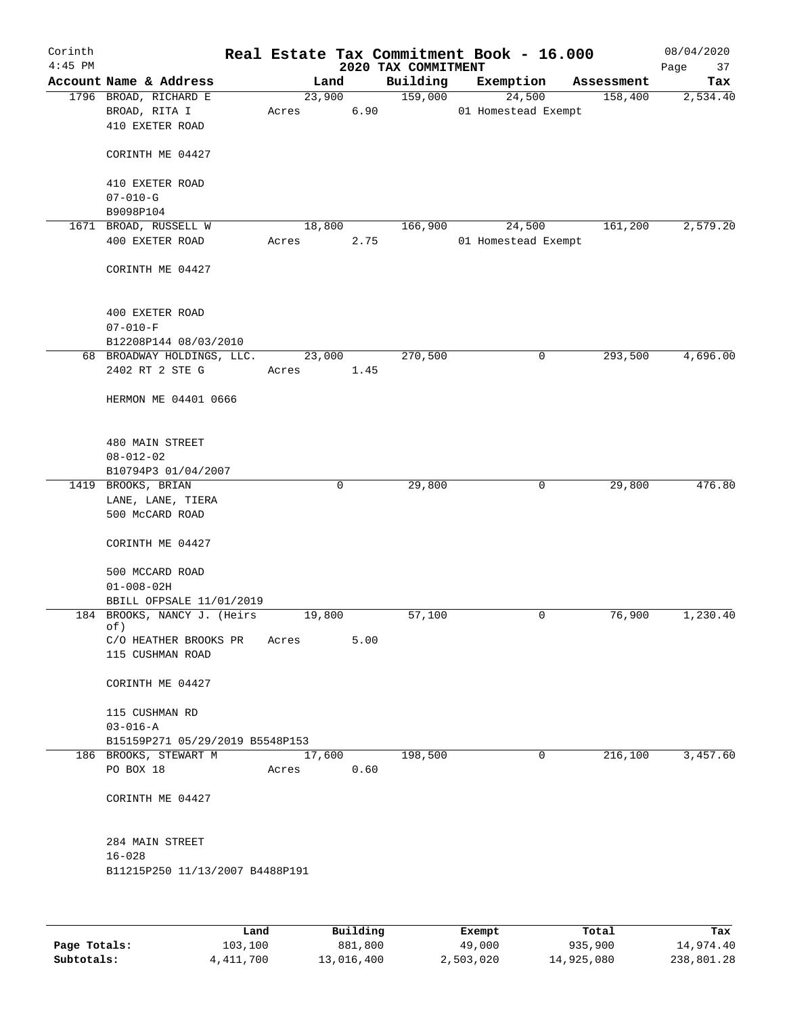| Corinth<br>$4:45$ PM |                                 |       |        |                 | 2020 TAX COMMITMENT | Real Estate Tax Commitment Book - 16.000 |                         | 08/04/2020<br>Page<br>37 |
|----------------------|---------------------------------|-------|--------|-----------------|---------------------|------------------------------------------|-------------------------|--------------------------|
|                      | Account Name & Address          |       | Land   |                 | Building            | Exemption                                | Assessment              | Tax                      |
|                      | 1796 BROAD, RICHARD E           |       | 23,900 |                 | 159,000             | 24,500                                   | 158,400                 | 2,534.40                 |
|                      | BROAD, RITA I                   | Acres |        | 6.90            |                     | 01 Homestead Exempt                      |                         |                          |
|                      | 410 EXETER ROAD                 |       |        |                 |                     |                                          |                         |                          |
|                      | CORINTH ME 04427                |       |        |                 |                     |                                          |                         |                          |
|                      | 410 EXETER ROAD                 |       |        |                 |                     |                                          |                         |                          |
|                      | $07 - 010 - G$                  |       |        |                 |                     |                                          |                         |                          |
|                      | B9098P104                       |       |        |                 |                     |                                          |                         |                          |
|                      | 1671 BROAD, RUSSELL W           |       | 18,800 |                 | 166,900             | 24,500                                   | 161,200                 | 2,579.20                 |
|                      | 400 EXETER ROAD                 | Acres |        | 2.75            |                     | 01 Homestead Exempt                      |                         |                          |
|                      | CORINTH ME 04427                |       |        |                 |                     |                                          |                         |                          |
|                      | 400 EXETER ROAD                 |       |        |                 |                     |                                          |                         |                          |
|                      | $07 - 010 - F$                  |       |        |                 |                     |                                          |                         |                          |
|                      | B12208P144 08/03/2010           |       |        |                 |                     |                                          |                         |                          |
|                      | 68 BROADWAY HOLDINGS, LLC.      |       | 23,000 |                 | 270,500             |                                          | 293,500<br>0            | 4,696.00                 |
|                      | 2402 RT 2 STE G                 | Acres |        | 1.45            |                     |                                          |                         |                          |
|                      | HERMON ME 04401 0666            |       |        |                 |                     |                                          |                         |                          |
|                      | 480 MAIN STREET                 |       |        |                 |                     |                                          |                         |                          |
|                      | $08 - 012 - 02$                 |       |        |                 |                     |                                          |                         |                          |
|                      | B10794P3 01/04/2007             |       |        |                 |                     |                                          |                         |                          |
|                      | 1419 BROOKS, BRIAN              |       |        | 0               | 29,800              |                                          | 29,800<br>0             | 476.80                   |
|                      | LANE, LANE, TIERA               |       |        |                 |                     |                                          |                         |                          |
|                      | 500 McCARD ROAD                 |       |        |                 |                     |                                          |                         |                          |
|                      | CORINTH ME 04427                |       |        |                 |                     |                                          |                         |                          |
|                      | 500 MCCARD ROAD                 |       |        |                 |                     |                                          |                         |                          |
|                      | $01 - 008 - 02H$                |       |        |                 |                     |                                          |                         |                          |
|                      | BBILL OFPSALE 11/01/2019        |       |        |                 |                     |                                          |                         |                          |
|                      | 184 BROOKS, NANCY J. (Heirs     |       | 19,800 |                 | 57,100              |                                          | 76,900<br>0             | 1,230.40                 |
|                      | of)                             |       |        |                 |                     |                                          |                         |                          |
|                      | C/O HEATHER BROOKS PR           | Acres |        | 5.00            |                     |                                          |                         |                          |
|                      | 115 CUSHMAN ROAD                |       |        |                 |                     |                                          |                         |                          |
|                      | CORINTH ME 04427                |       |        |                 |                     |                                          |                         |                          |
|                      | 115 CUSHMAN RD                  |       |        |                 |                     |                                          |                         |                          |
|                      | $03 - 016 - A$                  |       |        |                 |                     |                                          |                         |                          |
|                      | B15159P271 05/29/2019 B5548P153 |       |        |                 |                     |                                          |                         |                          |
|                      | 186 BROOKS, STEWART M           |       | 17,600 |                 | 198,500             |                                          | 216,100<br>$\mathbf{0}$ | 3,457.60                 |
|                      | PO BOX 18                       | Acres |        | 0.60            |                     |                                          |                         |                          |
|                      | CORINTH ME 04427                |       |        |                 |                     |                                          |                         |                          |
|                      |                                 |       |        |                 |                     |                                          |                         |                          |
|                      | 284 MAIN STREET                 |       |        |                 |                     |                                          |                         |                          |
|                      | $16 - 028$                      |       |        |                 |                     |                                          |                         |                          |
|                      | B11215P250 11/13/2007 B4488P191 |       |        |                 |                     |                                          |                         |                          |
|                      |                                 |       |        |                 |                     |                                          |                         |                          |
|                      |                                 | Land. |        | <b>Building</b> |                     | <b>Fromnt</b>                            | $T$ ctal                | To:                      |

|              | Land      | Building   | Exempt    | Total      | Tax        |
|--------------|-----------|------------|-----------|------------|------------|
| Page Totals: | 103,100   | 881,800    | 49,000    | 935,900    | 14,974.40  |
| Subtotals:   | 4,411,700 | 13,016,400 | 2,503,020 | 14,925,080 | 238,801.28 |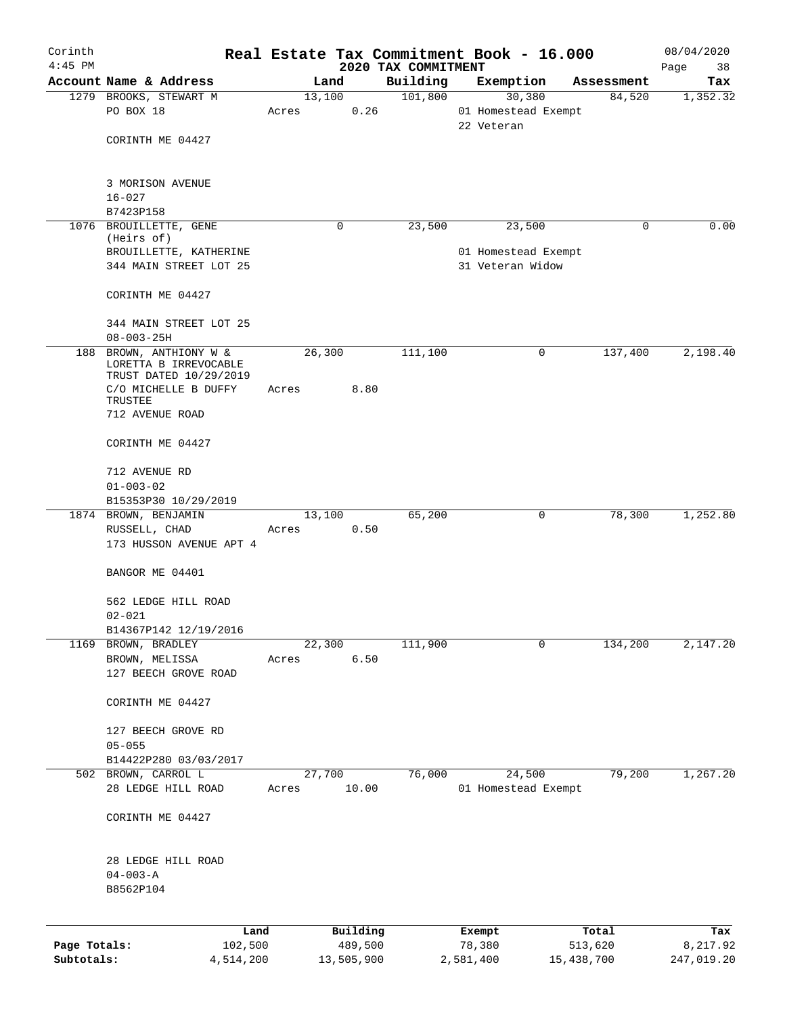| Corinth      |                                              |       |        |                     |                                 | Real Estate Tax Commitment Book - 16.000 |                  | 08/04/2020        |
|--------------|----------------------------------------------|-------|--------|---------------------|---------------------------------|------------------------------------------|------------------|-------------------|
| $4:45$ PM    | Account Name & Address                       |       | Land   |                     | 2020 TAX COMMITMENT<br>Building | Exemption                                | Assessment       | Page<br>38<br>Tax |
|              | 1279 BROOKS, STEWART M                       |       | 13,100 |                     | 101,800                         | 30,380                                   | 84,520           | 1,352.32          |
|              | PO BOX 18                                    | Acres |        | 0.26                |                                 | 01 Homestead Exempt                      |                  |                   |
|              | CORINTH ME 04427                             |       |        |                     |                                 | 22 Veteran                               |                  |                   |
|              | 3 MORISON AVENUE                             |       |        |                     |                                 |                                          |                  |                   |
|              | $16 - 027$<br>B7423P158                      |       |        |                     |                                 |                                          |                  |                   |
| 1076         | BROUILLETTE, GENE                            |       | 0      |                     | 23,500                          | 23,500                                   | 0                | 0.00              |
|              | (Heirs of)                                   |       |        |                     |                                 |                                          |                  |                   |
|              | BROUILLETTE, KATHERINE                       |       |        |                     |                                 | 01 Homestead Exempt                      |                  |                   |
|              | 344 MAIN STREET LOT 25                       |       |        |                     |                                 | 31 Veteran Widow                         |                  |                   |
|              | CORINTH ME 04427                             |       |        |                     |                                 |                                          |                  |                   |
|              | 344 MAIN STREET LOT 25                       |       |        |                     |                                 |                                          |                  |                   |
|              | $08 - 003 - 25H$                             |       |        |                     |                                 |                                          |                  |                   |
| 188          | BROWN, ANTHIONY W &<br>LORETTA B IRREVOCABLE |       | 26,300 |                     | 111,100                         | 0                                        | 137,400          | 2,198.40          |
|              | TRUST DATED 10/29/2019                       |       |        |                     |                                 |                                          |                  |                   |
|              | C/O MICHELLE B DUFFY<br>TRUSTEE              | Acres |        | 8.80                |                                 |                                          |                  |                   |
|              | 712 AVENUE ROAD                              |       |        |                     |                                 |                                          |                  |                   |
|              | CORINTH ME 04427                             |       |        |                     |                                 |                                          |                  |                   |
|              | 712 AVENUE RD                                |       |        |                     |                                 |                                          |                  |                   |
|              | $01 - 003 - 02$                              |       |        |                     |                                 |                                          |                  |                   |
|              | B15353P30 10/29/2019                         |       |        |                     |                                 |                                          |                  |                   |
|              | 1874 BROWN, BENJAMIN                         |       | 13,100 |                     | 65,200                          | 0                                        | 78,300           | 1,252.80          |
|              | RUSSELL, CHAD<br>173 HUSSON AVENUE APT 4     | Acres |        | 0.50                |                                 |                                          |                  |                   |
|              | BANGOR ME 04401                              |       |        |                     |                                 |                                          |                  |                   |
|              | 562 LEDGE HILL ROAD                          |       |        |                     |                                 |                                          |                  |                   |
|              | $02 - 021$                                   |       |        |                     |                                 |                                          |                  |                   |
|              | B14367P142 12/19/2016                        |       |        |                     |                                 |                                          |                  |                   |
|              | 1169 BROWN, BRADLEY                          |       | 22,300 |                     | 111,900                         | 0                                        | 134,200          | 2,147.20          |
|              | BROWN, MELISSA<br>127 BEECH GROVE ROAD       | Acres |        | 6.50                |                                 |                                          |                  |                   |
|              | CORINTH ME 04427                             |       |        |                     |                                 |                                          |                  |                   |
|              | 127 BEECH GROVE RD                           |       |        |                     |                                 |                                          |                  |                   |
|              | $05 - 055$                                   |       |        |                     |                                 |                                          |                  |                   |
|              | B14422P280 03/03/2017                        |       |        |                     |                                 |                                          |                  |                   |
| 502          | BROWN, CARROL L                              |       | 27,700 |                     | 76,000                          | 24,500                                   | 79,200           | 1,267.20          |
|              | 28 LEDGE HILL ROAD                           | Acres |        | 10.00               |                                 | 01 Homestead Exempt                      |                  |                   |
|              | CORINTH ME 04427                             |       |        |                     |                                 |                                          |                  |                   |
|              | 28 LEDGE HILL ROAD                           |       |        |                     |                                 |                                          |                  |                   |
|              | $04 - 003 - A$                               |       |        |                     |                                 |                                          |                  |                   |
|              | B8562P104                                    |       |        |                     |                                 |                                          |                  |                   |
|              |                                              |       |        |                     |                                 |                                          |                  |                   |
| Page Totals: | Land<br>102,500                              |       |        | Building<br>489,500 |                                 | Exempt<br>78,380                         | Total<br>513,620 | Tax<br>8,217.92   |
| Subtotals:   | 4,514,200                                    |       |        | 13,505,900          |                                 | 2,581,400                                | 15,438,700       | 247,019.20        |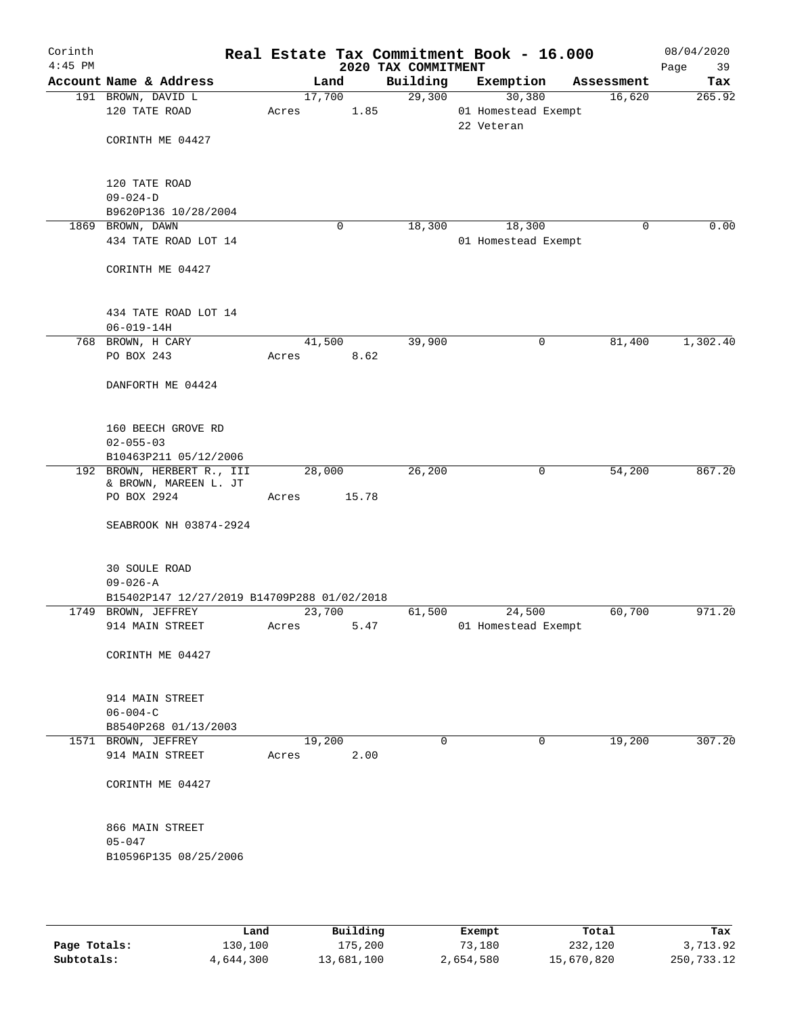| Corinth<br>$4:45$ PM |                                                                    |                 |       | 2020 TAX COMMITMENT | Real Estate Tax Commitment Book - 16.000    |            | 08/04/2020<br>Page<br>39 |
|----------------------|--------------------------------------------------------------------|-----------------|-------|---------------------|---------------------------------------------|------------|--------------------------|
|                      | Account Name & Address                                             |                 | Land  | Building            | Exemption                                   | Assessment | Tax                      |
|                      | 191 BROWN, DAVID L<br>120 TATE ROAD                                | 17,700<br>Acres | 1.85  | 29,300              | 30,380<br>01 Homestead Exempt<br>22 Veteran | 16,620     | 265.92                   |
|                      | CORINTH ME 04427                                                   |                 |       |                     |                                             |            |                          |
|                      | 120 TATE ROAD<br>$09 - 024 - D$                                    |                 |       |                     |                                             |            |                          |
|                      | B9620P136 10/28/2004                                               |                 |       |                     |                                             |            |                          |
|                      | 1869 BROWN, DAWN                                                   |                 | 0     | 18,300              | 18,300                                      | 0          | 0.00                     |
|                      | 434 TATE ROAD LOT 14                                               |                 |       |                     | 01 Homestead Exempt                         |            |                          |
|                      | CORINTH ME 04427                                                   |                 |       |                     |                                             |            |                          |
|                      | 434 TATE ROAD LOT 14                                               |                 |       |                     |                                             |            |                          |
|                      | $06 - 019 - 14H$                                                   |                 |       |                     |                                             |            |                          |
|                      | 768 BROWN, H CARY                                                  | 41,500          |       | 39,900              | 0                                           | 81,400     | 1,302.40                 |
|                      | PO BOX 243                                                         | Acres           | 8.62  |                     |                                             |            |                          |
|                      | DANFORTH ME 04424                                                  |                 |       |                     |                                             |            |                          |
|                      | 160 BEECH GROVE RD                                                 |                 |       |                     |                                             |            |                          |
|                      | $02 - 055 - 03$                                                    |                 |       |                     |                                             |            |                          |
|                      | B10463P211 05/12/2006                                              |                 |       |                     |                                             |            |                          |
|                      | 192 BROWN, HERBERT R., III<br>& BROWN, MAREEN L. JT                | 28,000          |       | 26,200              | $\mathbf 0$                                 | 54,200     | 867.20                   |
|                      | PO BOX 2924                                                        | Acres           | 15.78 |                     |                                             |            |                          |
|                      | SEABROOK NH 03874-2924                                             |                 |       |                     |                                             |            |                          |
|                      | <b>30 SOULE ROAD</b>                                               |                 |       |                     |                                             |            |                          |
|                      | $09 - 026 - A$                                                     |                 |       |                     |                                             |            |                          |
|                      | B15402P147 12/27/2019 B14709P288 01/02/2018<br>1749 BROWN, JEFFREY | 23,700          |       | 61,500              | 24,500                                      | 60,700     | 971.20                   |
|                      | 914 MAIN STREET                                                    | Acres           | 5.47  |                     | 01 Homestead Exempt                         |            |                          |
|                      | CORINTH ME 04427                                                   |                 |       |                     |                                             |            |                          |
|                      | 914 MAIN STREET                                                    |                 |       |                     |                                             |            |                          |
|                      | $06 - 004 - C$<br>B8540P268 01/13/2003                             |                 |       |                     |                                             |            |                          |
|                      | 1571 BROWN, JEFFREY                                                | 19,200          |       | $\Omega$            | 0                                           | 19,200     | 307.20                   |
|                      | 914 MAIN STREET                                                    | Acres           | 2.00  |                     |                                             |            |                          |
|                      | CORINTH ME 04427                                                   |                 |       |                     |                                             |            |                          |
|                      | 866 MAIN STREET                                                    |                 |       |                     |                                             |            |                          |
|                      | $05 - 047$                                                         |                 |       |                     |                                             |            |                          |
|                      | B10596P135 08/25/2006                                              |                 |       |                     |                                             |            |                          |
|                      |                                                                    |                 |       |                     |                                             |            |                          |

|              | Land      | Building   | Exempt    | Total      | Tax        |
|--------------|-----------|------------|-----------|------------|------------|
| Page Totals: | 130,100   | 175,200    | 73,180    | 232,120    | 3,713.92   |
| Subtotals:   | 4,644,300 | 13,681,100 | 2,654,580 | 15,670,820 | 250,733.12 |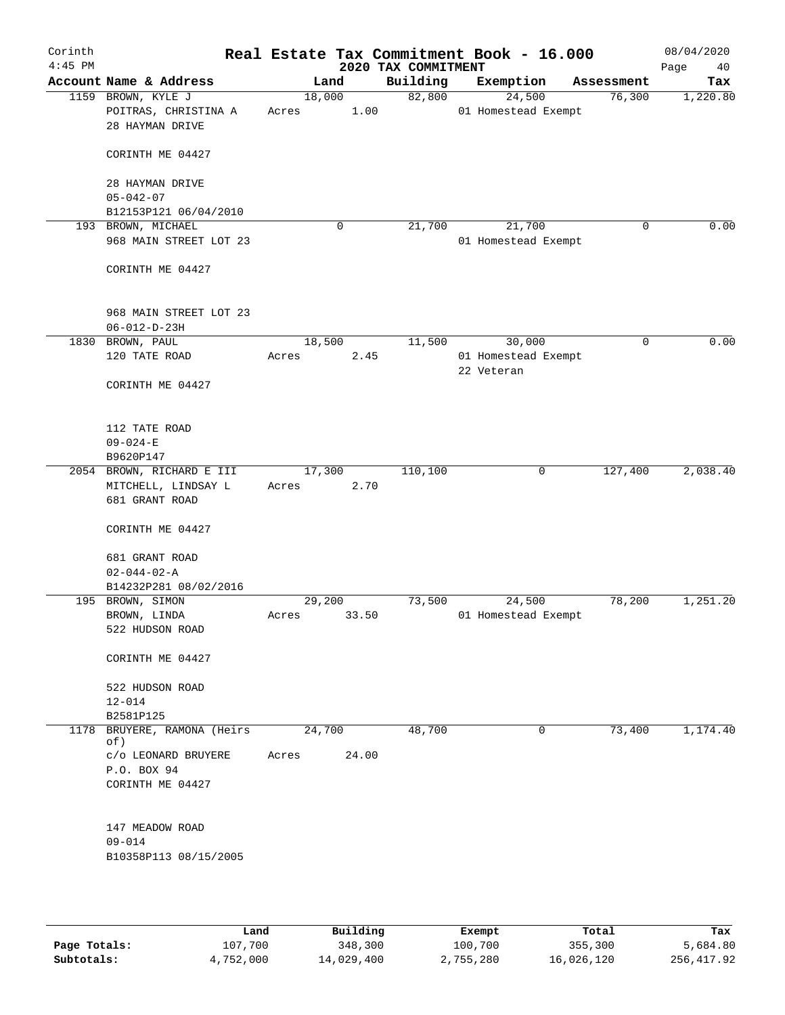| Corinth<br>$4:45$ PM |                                                               |                 |       | 2020 TAX COMMITMENT | Real Estate Tax Commitment Book - 16.000 |   |            | 08/04/2020<br>Page<br>40 |
|----------------------|---------------------------------------------------------------|-----------------|-------|---------------------|------------------------------------------|---|------------|--------------------------|
|                      | Account Name & Address                                        | Land            |       | Building            | Exemption                                |   | Assessment | Tax                      |
|                      | 1159 BROWN, KYLE J<br>POITRAS, CHRISTINA A<br>28 HAYMAN DRIVE | 18,000<br>Acres | 1.00  | 82,800              | 24,500<br>01 Homestead Exempt            |   | 76,300     | 1,220.80                 |
|                      | CORINTH ME 04427                                              |                 |       |                     |                                          |   |            |                          |
|                      | 28 HAYMAN DRIVE<br>$05 - 042 - 07$                            |                 |       |                     |                                          |   |            |                          |
|                      | B12153P121 06/04/2010                                         |                 |       |                     |                                          |   |            |                          |
|                      | 193 BROWN, MICHAEL<br>968 MAIN STREET LOT 23                  |                 | 0     | 21,700              | 21,700<br>01 Homestead Exempt            |   | 0          | 0.00                     |
|                      | CORINTH ME 04427                                              |                 |       |                     |                                          |   |            |                          |
|                      | 968 MAIN STREET LOT 23<br>$06 - 012 - D - 23H$                |                 |       |                     |                                          |   |            |                          |
|                      | 1830 BROWN, PAUL                                              | 18,500          |       | 11,500              | 30,000                                   |   | 0          | 0.00                     |
|                      | 120 TATE ROAD                                                 | Acres           | 2.45  |                     | 01 Homestead Exempt<br>22 Veteran        |   |            |                          |
|                      | CORINTH ME 04427                                              |                 |       |                     |                                          |   |            |                          |
|                      | 112 TATE ROAD                                                 |                 |       |                     |                                          |   |            |                          |
|                      | $09 - 024 - E$                                                |                 |       |                     |                                          |   |            |                          |
|                      | B9620P147                                                     |                 |       |                     |                                          |   |            |                          |
|                      | 2054 BROWN, RICHARD E III                                     | 17,300          |       | 110,100             |                                          | 0 | 127,400    | 2,038.40                 |
|                      | MITCHELL, LINDSAY L<br>681 GRANT ROAD                         | Acres           | 2.70  |                     |                                          |   |            |                          |
|                      | CORINTH ME 04427                                              |                 |       |                     |                                          |   |            |                          |
|                      | 681 GRANT ROAD<br>$02 - 044 - 02 - A$                         |                 |       |                     |                                          |   |            |                          |
|                      | B14232P281 08/02/2016                                         |                 |       |                     |                                          |   |            |                          |
|                      | 195 BROWN, SIMON                                              | 29,200          |       | 73,500              | 24,500                                   |   | 78,200     | 1,251.20                 |
|                      | BROWN, LINDA<br>522 HUDSON ROAD                               | Acres           | 33.50 |                     | 01 Homestead Exempt                      |   |            |                          |
|                      | CORINTH ME 04427                                              |                 |       |                     |                                          |   |            |                          |
|                      | 522 HUDSON ROAD<br>$12 - 014$                                 |                 |       |                     |                                          |   |            |                          |
|                      | B2581P125                                                     |                 |       |                     |                                          |   |            |                          |
|                      | 1178 BRUYERE, RAMONA (Heirs<br>of)                            | 24,700          |       | 48,700              |                                          | 0 | 73,400     | 1,174.40                 |
|                      | C/O LEONARD BRUYERE<br>P.O. BOX 94                            | Acres           | 24.00 |                     |                                          |   |            |                          |
|                      | CORINTH ME 04427                                              |                 |       |                     |                                          |   |            |                          |
|                      | 147 MEADOW ROAD                                               |                 |       |                     |                                          |   |            |                          |
|                      | $09 - 014$<br>B10358P113 08/15/2005                           |                 |       |                     |                                          |   |            |                          |
|                      |                                                               |                 |       |                     |                                          |   |            |                          |

|              | Land      | Building   | Exempt    | Total      | Tax        |
|--------------|-----------|------------|-----------|------------|------------|
| Page Totals: | 107,700   | 348,300    | 100,700   | 355,300    | 5,684.80   |
| Subtotals:   | 4,752,000 | 14,029,400 | 2,755,280 | 16,026,120 | 256,417.92 |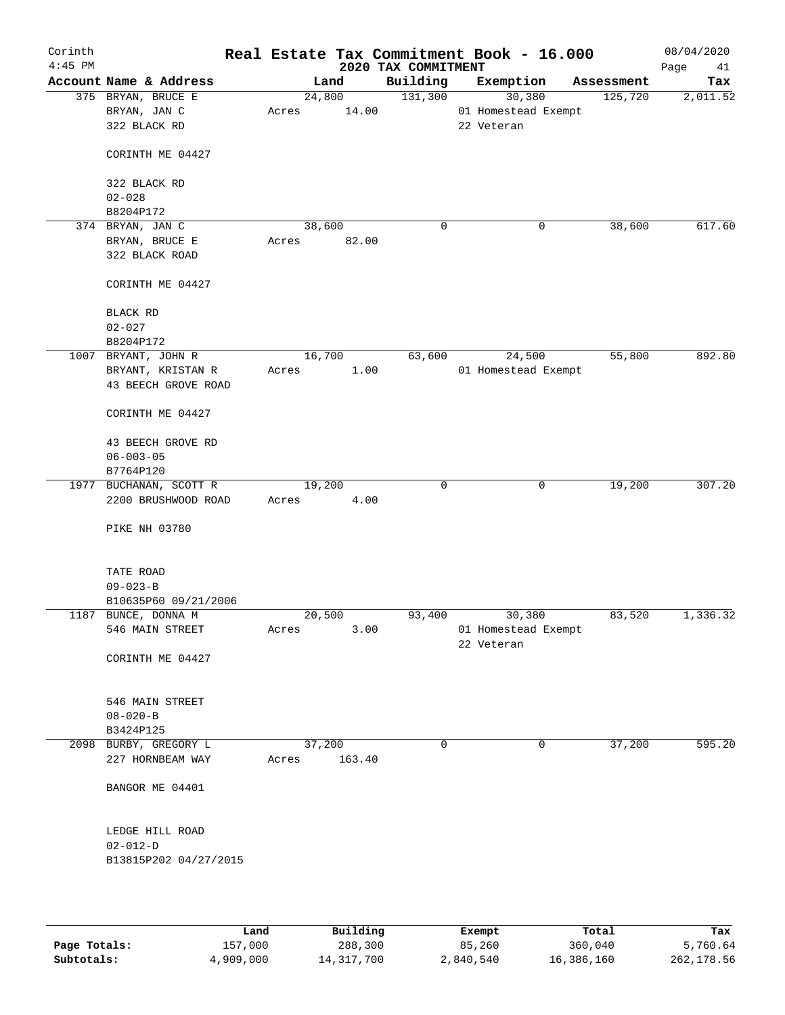| Corinth<br>$4:45$ PM |                                           |       |                  | 2020 TAX COMMITMENT | Real Estate Tax Commitment Book - 16.000 |            | 08/04/2020<br>Page<br>41 |
|----------------------|-------------------------------------------|-------|------------------|---------------------|------------------------------------------|------------|--------------------------|
|                      | Account Name & Address                    |       | Land             | Building            | Exemption                                | Assessment | Tax                      |
|                      | 375 BRYAN, BRUCE E                        |       | 24,800           | 131,300             | 30,380                                   | 125,720    | 2,011.52                 |
|                      | BRYAN, JAN C                              | Acres | 14.00            |                     | 01 Homestead Exempt                      |            |                          |
|                      | 322 BLACK RD                              |       |                  |                     | 22 Veteran                               |            |                          |
|                      | CORINTH ME 04427                          |       |                  |                     |                                          |            |                          |
|                      | 322 BLACK RD                              |       |                  |                     |                                          |            |                          |
|                      | $02 - 028$                                |       |                  |                     |                                          |            |                          |
|                      | B8204P172                                 |       |                  | 0                   |                                          |            | 617.60                   |
|                      | 374 BRYAN, JAN C                          |       | 38,600           |                     | 0                                        | 38,600     |                          |
|                      | BRYAN, BRUCE E                            | Acres | 82.00            |                     |                                          |            |                          |
|                      | 322 BLACK ROAD                            |       |                  |                     |                                          |            |                          |
|                      | CORINTH ME 04427                          |       |                  |                     |                                          |            |                          |
|                      | BLACK RD                                  |       |                  |                     |                                          |            |                          |
|                      | $02 - 027$                                |       |                  |                     |                                          |            |                          |
|                      | B8204P172                                 |       |                  |                     |                                          |            |                          |
|                      | 1007 BRYANT, JOHN R                       |       | 16,700           | 63,600              | 24,500                                   | 55,800     | 892.80                   |
|                      | BRYANT, KRISTAN R                         | Acres | 1.00             |                     | 01 Homestead Exempt                      |            |                          |
|                      | 43 BEECH GROVE ROAD                       |       |                  |                     |                                          |            |                          |
|                      | CORINTH ME 04427                          |       |                  |                     |                                          |            |                          |
|                      |                                           |       |                  |                     |                                          |            |                          |
|                      | 43 BEECH GROVE RD                         |       |                  |                     |                                          |            |                          |
|                      | $06 - 003 - 05$                           |       |                  |                     |                                          |            |                          |
|                      | B7764P120                                 |       |                  |                     |                                          |            |                          |
|                      | 1977 BUCHANAN, SCOTT R                    |       | 19,200           | $\mathbf 0$         | $\mathbf 0$                              | 19,200     | 307.20                   |
|                      | 2200 BRUSHWOOD ROAD                       | Acres | 4.00             |                     |                                          |            |                          |
|                      | PIKE NH 03780                             |       |                  |                     |                                          |            |                          |
|                      | TATE ROAD                                 |       |                  |                     |                                          |            |                          |
|                      | $09 - 023 - B$                            |       |                  |                     |                                          |            |                          |
|                      | B10635P60 09/21/2006                      |       |                  |                     |                                          |            |                          |
|                      | 1187 BUNCE, DONNA M                       |       | 20,500           | 93,400              | 30,380                                   | 83,520     | 1,336.32                 |
|                      | 546 MAIN STREET                           | Acres | 3.00             |                     | 01 Homestead Exempt                      |            |                          |
|                      |                                           |       |                  |                     | 22 Veteran                               |            |                          |
|                      | CORINTH ME 04427                          |       |                  |                     |                                          |            |                          |
|                      |                                           |       |                  |                     |                                          |            |                          |
|                      | 546 MAIN STREET                           |       |                  |                     |                                          |            |                          |
|                      | $08 - 020 - B$                            |       |                  |                     |                                          |            |                          |
|                      | B3424P125                                 |       |                  |                     |                                          |            |                          |
|                      | 2098 BURBY, GREGORY L<br>227 HORNBEAM WAY | Acres | 37,200<br>163.40 | 0                   | 0                                        | 37,200     | 595.20                   |
|                      | BANGOR ME 04401                           |       |                  |                     |                                          |            |                          |
|                      |                                           |       |                  |                     |                                          |            |                          |
|                      | LEDGE HILL ROAD                           |       |                  |                     |                                          |            |                          |
|                      | $02 - 012 - D$                            |       |                  |                     |                                          |            |                          |
|                      | B13815P202 04/27/2015                     |       |                  |                     |                                          |            |                          |
|                      |                                           |       |                  |                     |                                          |            |                          |
|                      |                                           |       |                  |                     |                                          |            |                          |

|              | Land      | Building   | Exempt    | Total      | Tax         |
|--------------|-----------|------------|-----------|------------|-------------|
| Page Totals: | 157,000   | 288,300    | 85,260    | 360,040    | 5,760.64    |
| Subtotals:   | 4,909,000 | 14,317,700 | 2,840,540 | 16,386,160 | 262, 178.56 |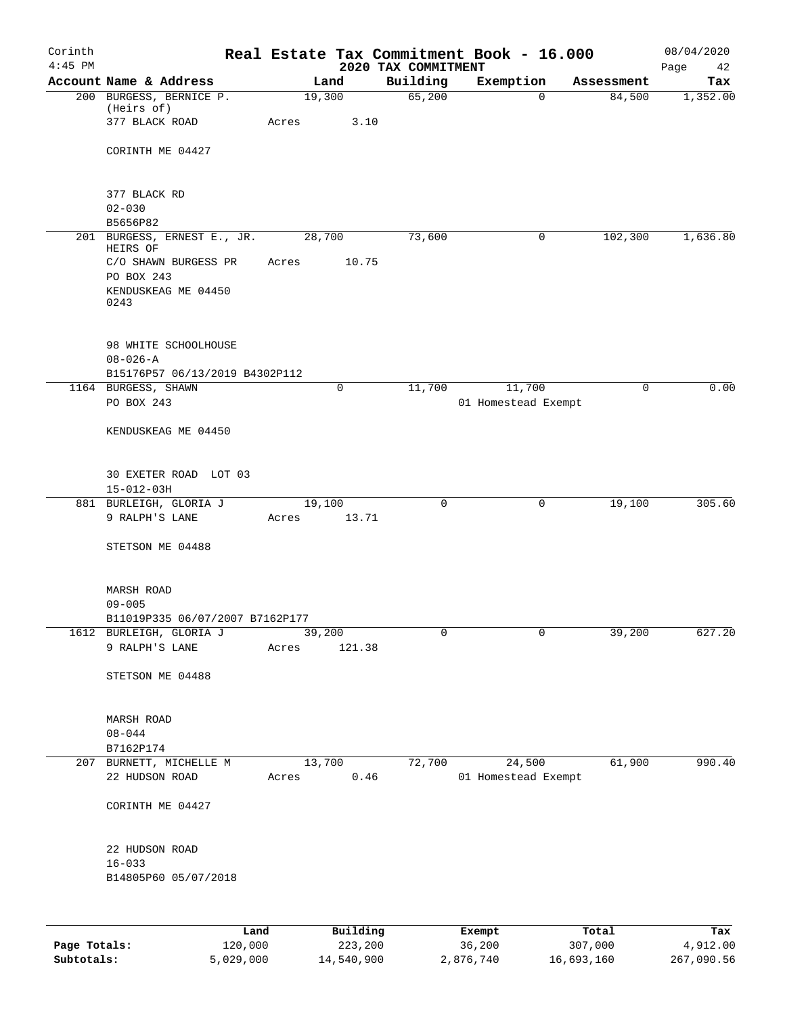| Corinth<br>$4:45$ PM |                                                         |       |                | 2020 TAX COMMITMENT | Real Estate Tax Commitment Book - 16.000 |            | 08/04/2020<br>Page<br>42 |
|----------------------|---------------------------------------------------------|-------|----------------|---------------------|------------------------------------------|------------|--------------------------|
|                      | Account Name & Address                                  |       | Land           | Building            | Exemption                                | Assessment | Tax                      |
|                      | 200 BURGESS, BERNICE P.<br>(Heirs of)<br>377 BLACK ROAD | Acres | 19,300<br>3.10 | 65,200              | $\mathbf 0$                              | 84,500     | 1,352.00                 |
|                      | CORINTH ME 04427                                        |       |                |                     |                                          |            |                          |
|                      |                                                         |       |                |                     |                                          |            |                          |
|                      | 377 BLACK RD<br>$02 - 030$                              |       |                |                     |                                          |            |                          |
|                      | B5656P82                                                |       |                |                     |                                          |            |                          |
|                      | 201 BURGESS, ERNEST E., JR.<br>HEIRS OF                 |       | 28,700         | 73,600              | 0                                        | 102,300    | 1,636.80                 |
|                      | C/O SHAWN BURGESS PR<br>PO BOX 243                      | Acres | 10.75          |                     |                                          |            |                          |
|                      | KENDUSKEAG ME 04450<br>0243                             |       |                |                     |                                          |            |                          |
|                      | 98 WHITE SCHOOLHOUSE                                    |       |                |                     |                                          |            |                          |
|                      | $08 - 026 - A$<br>B15176P57 06/13/2019 B4302P112        |       |                |                     |                                          |            |                          |
|                      | 1164 BURGESS, SHAWN                                     |       | 0              | 11,700              | 11,700                                   | 0          | 0.00                     |
|                      | PO BOX 243                                              |       |                |                     | 01 Homestead Exempt                      |            |                          |
|                      | KENDUSKEAG ME 04450                                     |       |                |                     |                                          |            |                          |
|                      | 30 EXETER ROAD LOT 03<br>$15 - 012 - 03H$               |       |                |                     |                                          |            |                          |
|                      | 881 BURLEIGH, GLORIA J                                  |       | 19,100         | 0                   | 0                                        | 19,100     | 305.60                   |
|                      | 9 RALPH'S LANE                                          | Acres | 13.71          |                     |                                          |            |                          |
|                      | STETSON ME 04488                                        |       |                |                     |                                          |            |                          |
|                      | MARSH ROAD<br>$09 - 005$                                |       |                |                     |                                          |            |                          |
|                      | B11019P335 06/07/2007 B7162P177                         |       |                |                     |                                          |            |                          |
|                      | 1612 BURLEIGH, GLORIA J                                 |       | 39,200         | $\mathbf 0$         | $\mathbf 0$                              | 39,200     | 627.20                   |
|                      | 9 RALPH'S LANE                                          | Acres | 121.38         |                     |                                          |            |                          |
|                      | STETSON ME 04488                                        |       |                |                     |                                          |            |                          |
|                      | MARSH ROAD<br>$08 - 044$                                |       |                |                     |                                          |            |                          |
|                      | B7162P174                                               |       |                |                     |                                          |            |                          |
|                      | 207 BURNETT, MICHELLE M                                 |       | 13,700         | 72,700              | 24,500                                   | 61,900     | 990.40                   |
|                      | 22 HUDSON ROAD                                          | Acres | 0.46           |                     | 01 Homestead Exempt                      |            |                          |
|                      | CORINTH ME 04427                                        |       |                |                     |                                          |            |                          |
|                      | 22 HUDSON ROAD                                          |       |                |                     |                                          |            |                          |
|                      | $16 - 033$<br>B14805P60 05/07/2018                      |       |                |                     |                                          |            |                          |
|                      |                                                         |       |                |                     |                                          |            |                          |
|                      |                                                         | Land  | Building       |                     | Exempt                                   | Total      | Tax                      |

| Page Totals: | 120,000   | 223,200    | 36,200    | 307,000    | 4,912.00   |
|--------------|-----------|------------|-----------|------------|------------|
| Subtotals:   | 5,029,000 | 14,540,900 | 2,876,740 | 16,693,160 | 267,090.56 |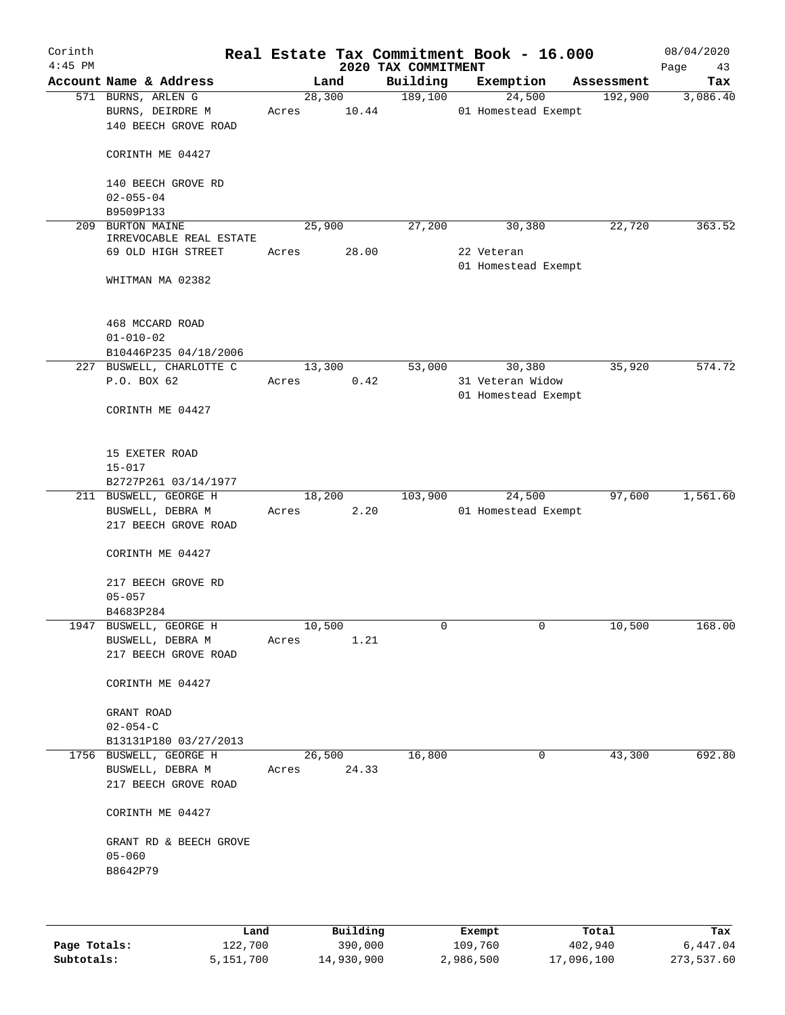| Corinth<br>$4:45$ PM |                                                                    |       |        |       | 2020 TAX COMMITMENT | Real Estate Tax Commitment Book - 16.000 |            | 08/04/2020<br>Page<br>43 |
|----------------------|--------------------------------------------------------------------|-------|--------|-------|---------------------|------------------------------------------|------------|--------------------------|
|                      | Account Name & Address                                             |       | Land   |       | Building            | Exemption                                | Assessment | Tax                      |
|                      | 571 BURNS, ARLEN G<br>BURNS, DEIRDRE M<br>140 BEECH GROVE ROAD     | Acres | 28,300 | 10.44 | 189,100             | 24,500<br>01 Homestead Exempt            | 192,900    | 3,086.40                 |
|                      | CORINTH ME 04427                                                   |       |        |       |                     |                                          |            |                          |
|                      | 140 BEECH GROVE RD<br>$02 - 055 - 04$<br>B9509P133                 |       |        |       |                     |                                          |            |                          |
| 209                  | <b>BURTON MAINE</b>                                                |       | 25,900 |       | 27,200              | 30,380                                   | 22,720     | 363.52                   |
|                      | IRREVOCABLE REAL ESTATE                                            |       |        |       |                     |                                          |            |                          |
|                      | 69 OLD HIGH STREET                                                 | Acres |        | 28.00 |                     | 22 Veteran                               |            |                          |
|                      | WHITMAN MA 02382                                                   |       |        |       |                     | 01 Homestead Exempt                      |            |                          |
|                      | 468 MCCARD ROAD                                                    |       |        |       |                     |                                          |            |                          |
|                      | $01 - 010 - 02$                                                    |       |        |       |                     |                                          |            |                          |
|                      | B10446P235 04/18/2006                                              |       |        |       |                     |                                          |            |                          |
|                      | 227 BUSWELL, CHARLOTTE C                                           |       | 13,300 |       | 53,000              | 30,380                                   | 35,920     | 574.72                   |
|                      | P.O. BOX 62                                                        | Acres |        | 0.42  |                     | 31 Veteran Widow                         |            |                          |
|                      | CORINTH ME 04427                                                   |       |        |       |                     | 01 Homestead Exempt                      |            |                          |
|                      | 15 EXETER ROAD<br>$15 - 017$                                       |       |        |       |                     |                                          |            |                          |
|                      | B2727P261 03/14/1977                                               |       |        |       |                     |                                          |            |                          |
|                      | 211 BUSWELL, GEORGE H<br>BUSWELL, DEBRA M<br>217 BEECH GROVE ROAD  | Acres | 18,200 | 2.20  | 103,900             | 24,500<br>01 Homestead Exempt            | 97,600     | 1,561.60                 |
|                      | CORINTH ME 04427                                                   |       |        |       |                     |                                          |            |                          |
|                      | 217 BEECH GROVE RD<br>$05 - 057$                                   |       |        |       |                     |                                          |            |                          |
|                      | B4683P284                                                          |       |        |       |                     |                                          |            |                          |
|                      | 1947 BUSWELL, GEORGE H<br>BUSWELL, DEBRA M<br>217 BEECH GROVE ROAD | Acres | 10,500 | 1.21  | 0                   | 0                                        | 10,500     | 168.00                   |
|                      | CORINTH ME 04427                                                   |       |        |       |                     |                                          |            |                          |
|                      | GRANT ROAD<br>$02 - 054 - C$                                       |       |        |       |                     |                                          |            |                          |
|                      | B13131P180 03/27/2013                                              |       |        |       |                     |                                          |            |                          |
|                      | 1756 BUSWELL, GEORGE H                                             |       | 26,500 |       | 16,800              | 0                                        | 43,300     | 692.80                   |
|                      | BUSWELL, DEBRA M<br>217 BEECH GROVE ROAD                           | Acres |        | 24.33 |                     |                                          |            |                          |
|                      | CORINTH ME 04427                                                   |       |        |       |                     |                                          |            |                          |
|                      | GRANT RD & BEECH GROVE<br>$05 - 060$                               |       |        |       |                     |                                          |            |                          |
|                      | B8642P79                                                           |       |        |       |                     |                                          |            |                          |
|                      |                                                                    |       |        |       |                     |                                          |            |                          |
|                      |                                                                    |       |        |       |                     |                                          |            |                          |

|              | Land      | Building   | Exempt    | Total      | Tax        |
|--------------|-----------|------------|-----------|------------|------------|
| Page Totals: | 122,700   | 390,000    | 109,760   | 402,940    | 6,447.04   |
| Subtotals:   | 5,151,700 | 14,930,900 | 2,986,500 | 17,096,100 | 273,537.60 |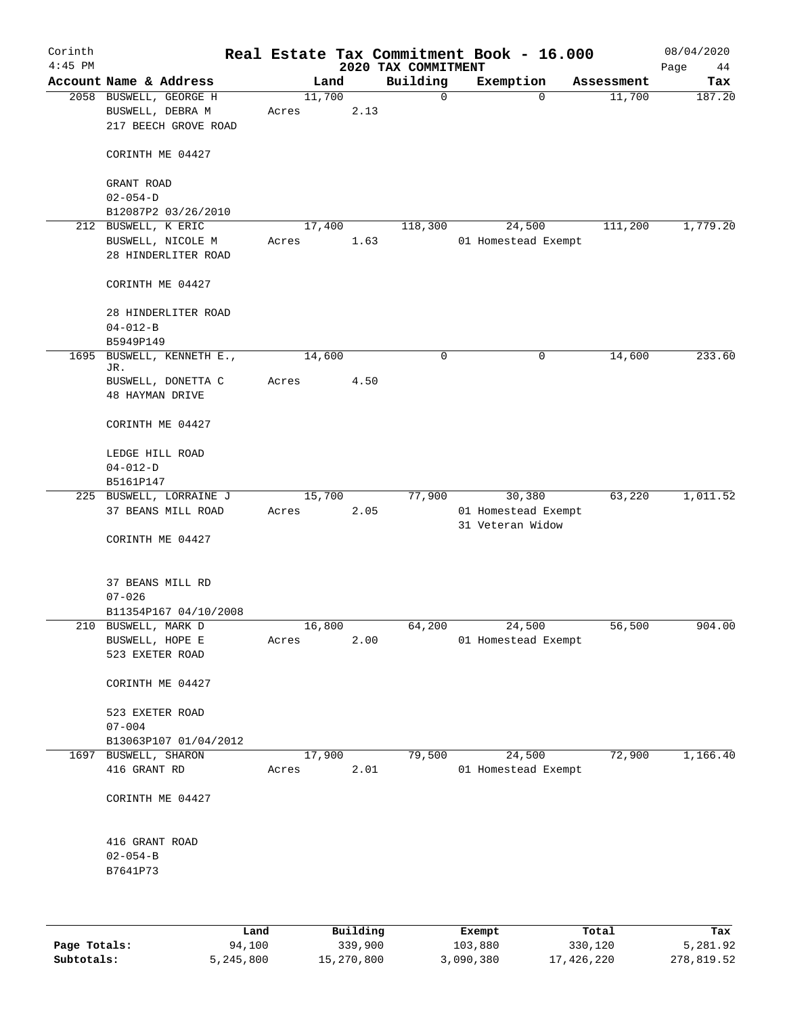| Corinth<br>$4:45$ PM |                                                    |       |        |                        |                                 | Real Estate Tax Commitment Book - 16.000 |            | 08/04/2020    |
|----------------------|----------------------------------------------------|-------|--------|------------------------|---------------------------------|------------------------------------------|------------|---------------|
|                      | Account Name & Address                             |       | Land   |                        | 2020 TAX COMMITMENT<br>Building | Exemption                                | Assessment | Page<br>44    |
|                      | 2058 BUSWELL, GEORGE H                             |       | 11,700 |                        | 0                               | $\mathbf 0$                              | 11,700     | Tax<br>187.20 |
|                      | BUSWELL, DEBRA M<br>217 BEECH GROVE ROAD           | Acres |        | 2.13                   |                                 |                                          |            |               |
|                      | CORINTH ME 04427                                   |       |        |                        |                                 |                                          |            |               |
|                      | GRANT ROAD<br>$02 - 054 - D$                       |       |        |                        |                                 |                                          |            |               |
|                      | B12087P2 03/26/2010                                |       |        |                        |                                 |                                          |            |               |
|                      | 212 BUSWELL, K ERIC                                |       | 17,400 |                        | 118,300                         | 24,500                                   | 111,200    | 1,779.20      |
|                      | BUSWELL, NICOLE M<br>28 HINDERLITER ROAD           | Acres |        | 1.63                   |                                 | 01 Homestead Exempt                      |            |               |
|                      | CORINTH ME 04427                                   |       |        |                        |                                 |                                          |            |               |
|                      | 28 HINDERLITER ROAD<br>$04 - 012 - B$<br>B5949P149 |       |        |                        |                                 |                                          |            |               |
| 1695                 | BUSWELL, KENNETH E.,                               |       | 14,600 |                        | $\mathbf 0$                     | $\mathbf 0$                              | 14,600     | 233.60        |
|                      | JR.<br>BUSWELL, DONETTA C                          | Acres |        | 4.50                   |                                 |                                          |            |               |
|                      | <b>48 HAYMAN DRIVE</b>                             |       |        |                        |                                 |                                          |            |               |
|                      | CORINTH ME 04427                                   |       |        |                        |                                 |                                          |            |               |
|                      | LEDGE HILL ROAD<br>$04 - 012 - D$                  |       |        |                        |                                 |                                          |            |               |
|                      | B5161P147                                          |       |        |                        |                                 |                                          |            |               |
|                      | 225 BUSWELL, LORRAINE J                            |       | 15,700 |                        | 77,900                          | 30,380                                   | 63,220     | 1,011.52      |
|                      | 37 BEANS MILL ROAD                                 | Acres |        | 2.05                   |                                 | 01 Homestead Exempt<br>31 Veteran Widow  |            |               |
|                      | CORINTH ME 04427                                   |       |        |                        |                                 |                                          |            |               |
|                      | 37 BEANS MILL RD                                   |       |        |                        |                                 |                                          |            |               |
|                      | $07 - 026$                                         |       |        |                        |                                 |                                          |            |               |
|                      | B11354P167 04/10/2008                              |       |        |                        |                                 |                                          |            |               |
|                      | 210 BUSWELL, MARK D<br>BUSWELL, HOPE E             | Acres | 16,800 | 2.00                   | 64,200                          | 24,500<br>01 Homestead Exempt            | 56,500     | 904.00        |
|                      | 523 EXETER ROAD                                    |       |        |                        |                                 |                                          |            |               |
|                      | CORINTH ME 04427                                   |       |        |                        |                                 |                                          |            |               |
|                      | 523 EXETER ROAD<br>$07 - 004$                      |       |        |                        |                                 |                                          |            |               |
|                      | B13063P107 01/04/2012                              |       |        |                        |                                 |                                          |            |               |
|                      | 1697 BUSWELL, SHARON                               |       | 17,900 |                        | 79,500                          | 24,500                                   | 72,900     | 1,166.40      |
|                      | 416 GRANT RD                                       | Acres |        | 2.01                   |                                 | 01 Homestead Exempt                      |            |               |
|                      | CORINTH ME 04427                                   |       |        |                        |                                 |                                          |            |               |
|                      | 416 GRANT ROAD                                     |       |        |                        |                                 |                                          |            |               |
|                      | $02 - 054 - B$<br>B7641P73                         |       |        |                        |                                 |                                          |            |               |
|                      |                                                    |       |        |                        |                                 |                                          |            |               |
|                      | <b>TAMA</b>                                        |       |        | $D_{11}$ in $A$ in $A$ |                                 | <b>Duramph</b>                           | $T - 1$    | m.,           |

|              | Land      | Building   | Exempt    | Total      | Tax        |
|--------------|-----------|------------|-----------|------------|------------|
| Page Totals: | 94,100    | 339,900    | 103,880   | 330,120    | 5,281.92   |
| Subtotals:   | 5,245,800 | 15,270,800 | 3,090,380 | 17,426,220 | 278,819.52 |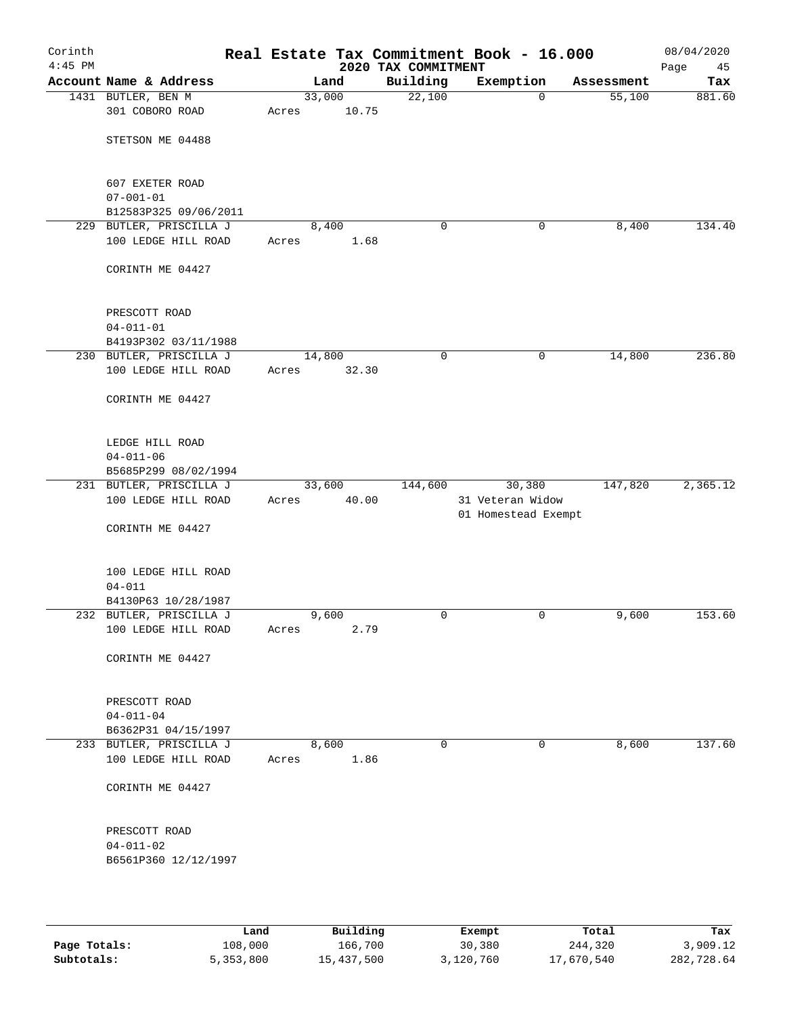| Corinth<br>$4:45$ PM |                                         |       |        | 2020 TAX COMMITMENT | Real Estate Tax Commitment Book - 16.000 |            | 08/04/2020<br>Page<br>45 |
|----------------------|-----------------------------------------|-------|--------|---------------------|------------------------------------------|------------|--------------------------|
|                      | Account Name & Address                  |       | Land   | Building            | Exemption                                | Assessment | Tax                      |
|                      | 1431 BUTLER, BEN M                      |       | 33,000 | 22,100              | $\mathbf 0$                              | 55,100     | 881.60                   |
|                      | 301 COBORO ROAD                         | Acres | 10.75  |                     |                                          |            |                          |
|                      | STETSON ME 04488                        |       |        |                     |                                          |            |                          |
|                      | 607 EXETER ROAD                         |       |        |                     |                                          |            |                          |
|                      | $07 - 001 - 01$                         |       |        |                     |                                          |            |                          |
|                      | B12583P325 09/06/2011                   |       |        |                     |                                          |            |                          |
|                      | 229 BUTLER, PRISCILLA J                 |       | 8,400  | 0                   | 0                                        | 8,400      | 134.40                   |
|                      | 100 LEDGE HILL ROAD                     | Acres | 1.68   |                     |                                          |            |                          |
|                      | CORINTH ME 04427                        |       |        |                     |                                          |            |                          |
|                      | PRESCOTT ROAD                           |       |        |                     |                                          |            |                          |
|                      | $04 - 011 - 01$                         |       |        |                     |                                          |            |                          |
|                      | B4193P302 03/11/1988                    |       |        |                     |                                          |            |                          |
|                      | 230 BUTLER, PRISCILLA J                 |       | 14,800 | 0                   | 0                                        | 14,800     | 236.80                   |
|                      | 100 LEDGE HILL ROAD                     | Acres | 32.30  |                     |                                          |            |                          |
|                      | CORINTH ME 04427                        |       |        |                     |                                          |            |                          |
|                      | LEDGE HILL ROAD                         |       |        |                     |                                          |            |                          |
|                      | $04 - 011 - 06$                         |       |        |                     |                                          |            |                          |
|                      | B5685P299 08/02/1994                    |       |        |                     |                                          |            |                          |
|                      | 231 BUTLER, PRISCILLA J                 |       | 33,600 | 144,600             | 30,380                                   | 147,820    | 2,365.12                 |
|                      | 100 LEDGE HILL ROAD                     | Acres | 40.00  |                     | 31 Veteran Widow<br>01 Homestead Exempt  |            |                          |
|                      | CORINTH ME 04427                        |       |        |                     |                                          |            |                          |
|                      | 100 LEDGE HILL ROAD                     |       |        |                     |                                          |            |                          |
|                      | $04 - 011$                              |       |        |                     |                                          |            |                          |
|                      | B4130P63 10/28/1987                     |       |        |                     |                                          |            |                          |
|                      | 232 BUTLER, PRISCILLA J                 |       | 9,600  | 0                   | 0                                        | 9,600      | 153.60                   |
|                      | 100 LEDGE HILL ROAD                     | Acres | 2.79   |                     |                                          |            |                          |
|                      | CORINTH ME 04427                        |       |        |                     |                                          |            |                          |
|                      | PRESCOTT ROAD                           |       |        |                     |                                          |            |                          |
|                      | $04 - 011 - 04$                         |       |        |                     |                                          |            |                          |
|                      | B6362P31 04/15/1997                     |       |        |                     |                                          |            |                          |
|                      | 233 BUTLER, PRISCILLA J                 |       | 8,600  | 0                   | 0                                        | 8,600      | 137.60                   |
|                      | 100 LEDGE HILL ROAD                     | Acres | 1.86   |                     |                                          |            |                          |
|                      | CORINTH ME 04427                        |       |        |                     |                                          |            |                          |
|                      | PRESCOTT ROAD                           |       |        |                     |                                          |            |                          |
|                      | $04 - 011 - 02$<br>B6561P360 12/12/1997 |       |        |                     |                                          |            |                          |
|                      |                                         |       |        |                     |                                          |            |                          |

|              | Land      | Building   | Exempt    | Total      | Tax        |
|--------------|-----------|------------|-----------|------------|------------|
| Page Totals: | 108,000   | 166,700    | 30,380    | 244,320    | 3,909.12   |
| Subtotals:   | 5,353,800 | 15,437,500 | 3,120,760 | 17,670,540 | 282,728.64 |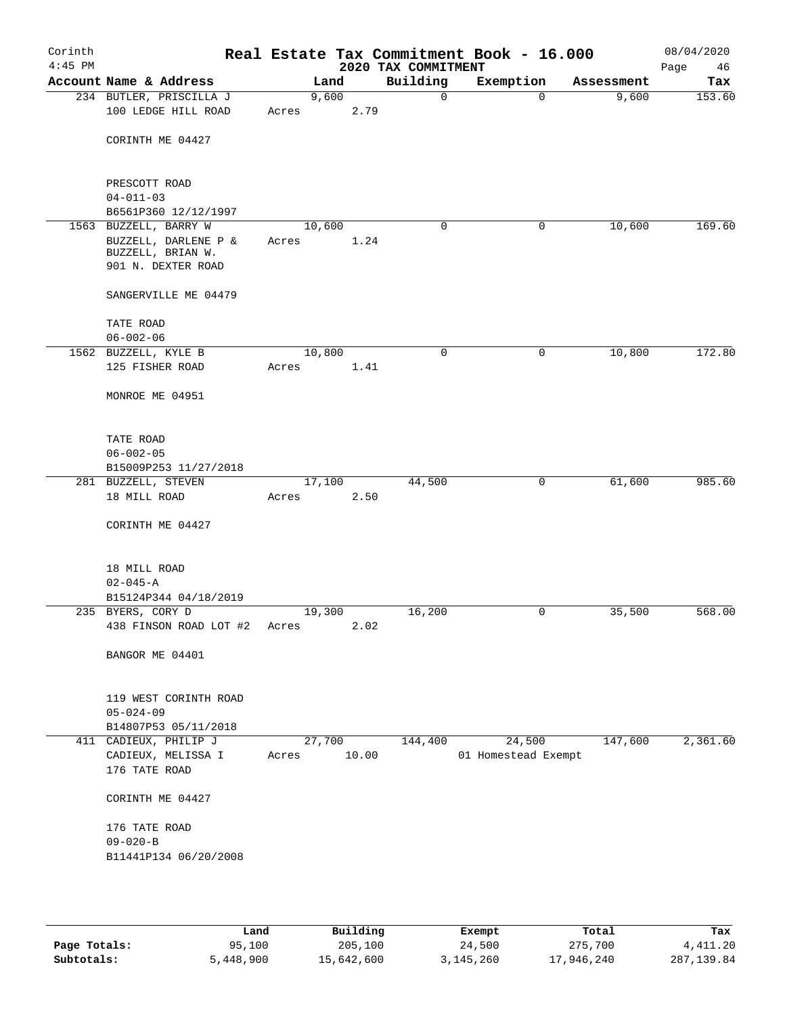| Corinth<br>$4:45$ PM |                                                                                          |                 |       | 2020 TAX COMMITMENT | Real Estate Tax Commitment Book - 16.000 |            | 08/04/2020<br>Page<br>46 |
|----------------------|------------------------------------------------------------------------------------------|-----------------|-------|---------------------|------------------------------------------|------------|--------------------------|
|                      | Account Name & Address                                                                   |                 | Land  | Building            | Exemption                                | Assessment | Tax                      |
|                      | 234 BUTLER, PRISCILLA J<br>100 LEDGE HILL ROAD                                           | 9,600<br>Acres  | 2.79  | 0                   | $\mathbf 0$                              | 9,600      | 153.60                   |
|                      | CORINTH ME 04427                                                                         |                 |       |                     |                                          |            |                          |
|                      | PRESCOTT ROAD<br>$04 - 011 - 03$                                                         |                 |       |                     |                                          |            |                          |
|                      | B6561P360 12/12/1997                                                                     |                 |       |                     |                                          |            |                          |
|                      | 1563 BUZZELL, BARRY W<br>BUZZELL, DARLENE P &<br>BUZZELL, BRIAN W.<br>901 N. DEXTER ROAD | 10,600<br>Acres | 1.24  | 0                   | 0                                        | 10,600     | 169.60                   |
|                      | SANGERVILLE ME 04479                                                                     |                 |       |                     |                                          |            |                          |
|                      | TATE ROAD<br>$06 - 002 - 06$                                                             |                 |       |                     |                                          |            |                          |
|                      | 1562 BUZZELL, KYLE B                                                                     | 10,800          |       | 0                   | 0                                        | 10,800     | 172.80                   |
|                      | 125 FISHER ROAD                                                                          | Acres           | 1.41  |                     |                                          |            |                          |
|                      | MONROE ME 04951                                                                          |                 |       |                     |                                          |            |                          |
|                      | TATE ROAD<br>$06 - 002 - 05$                                                             |                 |       |                     |                                          |            |                          |
|                      | B15009P253 11/27/2018                                                                    |                 |       |                     |                                          |            |                          |
|                      | 281 BUZZELL, STEVEN                                                                      | 17,100          |       | 44,500              | 0                                        | 61,600     | 985.60                   |
|                      | 18 MILL ROAD                                                                             | Acres           | 2.50  |                     |                                          |            |                          |
|                      | CORINTH ME 04427                                                                         |                 |       |                     |                                          |            |                          |
|                      | 18 MILL ROAD<br>$02 - 045 - A$                                                           |                 |       |                     |                                          |            |                          |
|                      | B15124P344 04/18/2019                                                                    |                 |       |                     |                                          |            |                          |
|                      | 235 BYERS, CORY D<br>438 FINSON ROAD LOT #2                                              | 19,300<br>Acres | 2.02  | 16,200              | 0                                        | 35,500     | 568.00                   |
|                      | BANGOR ME 04401                                                                          |                 |       |                     |                                          |            |                          |
|                      |                                                                                          |                 |       |                     |                                          |            |                          |
|                      | 119 WEST CORINTH ROAD<br>$05 - 024 - 09$                                                 |                 |       |                     |                                          |            |                          |
|                      | B14807P53 05/11/2018                                                                     |                 |       |                     |                                          |            |                          |
|                      | 411 CADIEUX, PHILIP J<br>CADIEUX, MELISSA I<br>176 TATE ROAD                             | 27,700<br>Acres | 10.00 | 144,400             | 24,500<br>01 Homestead Exempt            | 147,600    | 2,361.60                 |
|                      | CORINTH ME 04427                                                                         |                 |       |                     |                                          |            |                          |
|                      | 176 TATE ROAD<br>$09 - 020 - B$<br>B11441P134 06/20/2008                                 |                 |       |                     |                                          |            |                          |
|                      |                                                                                          |                 |       |                     |                                          |            |                          |

|              | Land      | Building   | Exempt    | Total      | Tax         |
|--------------|-----------|------------|-----------|------------|-------------|
| Page Totals: | 95,100    | 205,100    | 24,500    | 275,700    | 4,411.20    |
| Subtotals:   | 5,448,900 | 15,642,600 | 3,145,260 | 17,946,240 | 287, 139.84 |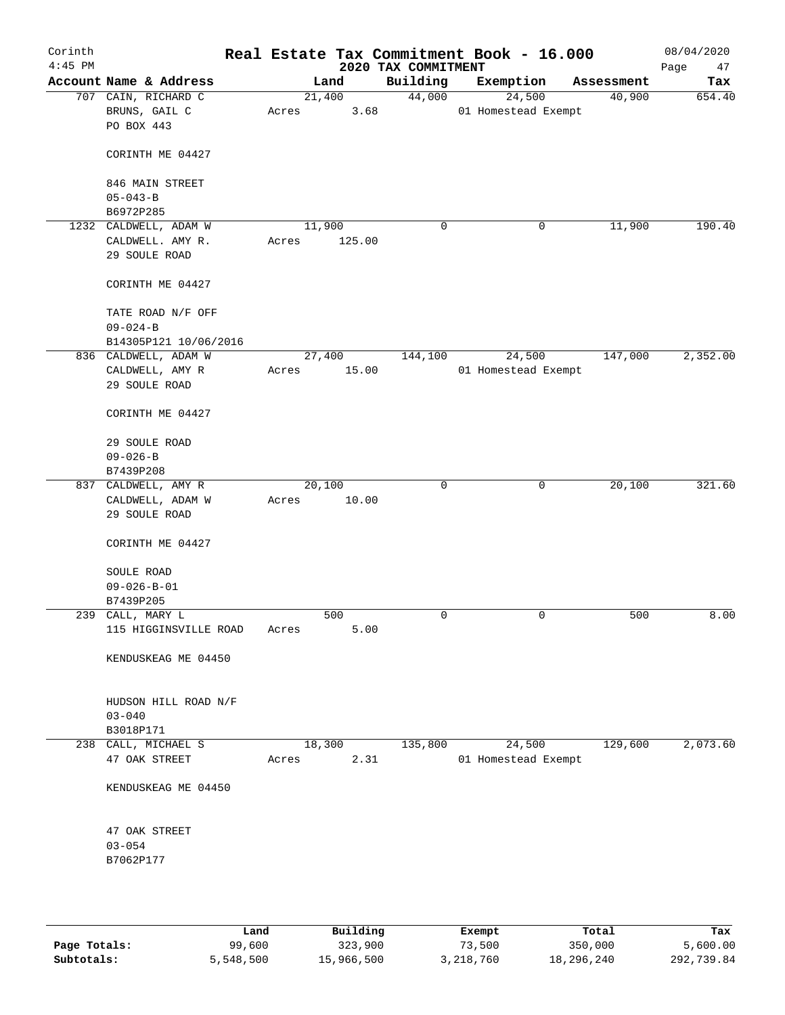| Corinth<br>$4:45$ PM |                                                    |       |                | 2020 TAX COMMITMENT | Real Estate Tax Commitment Book - 16.000 |                       | 08/04/2020<br>Page<br>47 |
|----------------------|----------------------------------------------------|-------|----------------|---------------------|------------------------------------------|-----------------------|--------------------------|
|                      | Account Name & Address                             |       | Land           | Building            | Exemption                                | Assessment            | Tax                      |
|                      | 707 CAIN, RICHARD C<br>BRUNS, GAIL C<br>PO BOX 443 | Acres | 21,400<br>3.68 | 44,000              | 24,500<br>01 Homestead Exempt            | 40,900                | 654.40                   |
|                      | CORINTH ME 04427                                   |       |                |                     |                                          |                       |                          |
|                      | 846 MAIN STREET<br>$05 - 043 - B$                  |       |                |                     |                                          |                       |                          |
|                      | B6972P285                                          |       |                |                     |                                          |                       |                          |
|                      | 1232 CALDWELL, ADAM W                              |       | 11,900         | 0                   |                                          | 11,900<br>0           | 190.40                   |
|                      | CALDWELL. AMY R.                                   | Acres | 125.00         |                     |                                          |                       |                          |
|                      | 29 SOULE ROAD                                      |       |                |                     |                                          |                       |                          |
|                      | CORINTH ME 04427                                   |       |                |                     |                                          |                       |                          |
|                      | TATE ROAD N/F OFF                                  |       |                |                     |                                          |                       |                          |
|                      | $09 - 024 - B$                                     |       |                |                     |                                          |                       |                          |
|                      | B14305P121 10/06/2016                              |       |                |                     |                                          |                       |                          |
|                      | 836 CALDWELL, ADAM W                               |       | 27,400         | 144,100             | 24,500                                   | 147,000               | 2,352.00                 |
|                      | CALDWELL, AMY R<br>29 SOULE ROAD                   | Acres | 15.00          |                     | 01 Homestead Exempt                      |                       |                          |
|                      | CORINTH ME 04427                                   |       |                |                     |                                          |                       |                          |
|                      | 29 SOULE ROAD                                      |       |                |                     |                                          |                       |                          |
|                      | $09 - 026 - B$                                     |       |                |                     |                                          |                       |                          |
|                      | B7439P208                                          |       |                |                     |                                          |                       |                          |
|                      | 837 CALDWELL, AMY R                                |       | 20,100         | $\mathbf 0$         |                                          | $\mathbf 0$<br>20,100 | 321.60                   |
|                      | CALDWELL, ADAM W<br>29 SOULE ROAD                  | Acres | 10.00          |                     |                                          |                       |                          |
|                      | CORINTH ME 04427                                   |       |                |                     |                                          |                       |                          |
|                      | SOULE ROAD                                         |       |                |                     |                                          |                       |                          |
|                      | $09 - 026 - B - 01$                                |       |                |                     |                                          |                       |                          |
|                      | B7439P205                                          |       |                |                     |                                          |                       |                          |
|                      | 239 CALL, MARY L                                   |       | 500            | $\mathbf 0$         |                                          | $\mathsf{O}$<br>500   | 8.00                     |
|                      | 115 HIGGINSVILLE ROAD                              | Acres | 5.00           |                     |                                          |                       |                          |
|                      | KENDUSKEAG ME 04450                                |       |                |                     |                                          |                       |                          |
|                      | HUDSON HILL ROAD N/F                               |       |                |                     |                                          |                       |                          |
|                      | $03 - 040$                                         |       |                |                     |                                          |                       |                          |
|                      | B3018P171                                          |       |                |                     |                                          |                       |                          |
|                      | 238 CALL, MICHAEL S                                |       | 18,300         | 135,800             | 24,500                                   | 129,600               | 2,073.60                 |
|                      | 47 OAK STREET                                      | Acres | 2.31           |                     | 01 Homestead Exempt                      |                       |                          |
|                      | KENDUSKEAG ME 04450                                |       |                |                     |                                          |                       |                          |
|                      | 47 OAK STREET                                      |       |                |                     |                                          |                       |                          |
|                      | $03 - 054$                                         |       |                |                     |                                          |                       |                          |
|                      | B7062P177                                          |       |                |                     |                                          |                       |                          |
|                      |                                                    |       |                |                     |                                          |                       |                          |
|                      |                                                    |       |                |                     |                                          |                       |                          |

|              | Land      | Building   | Exempt    | Total      | Tax        |
|--------------|-----------|------------|-----------|------------|------------|
| Page Totals: | 99,600    | 323,900    | 73,500    | 350,000    | 5,600.00   |
| Subtotals:   | 5,548,500 | 15,966,500 | 3,218,760 | 18,296,240 | 292,739.84 |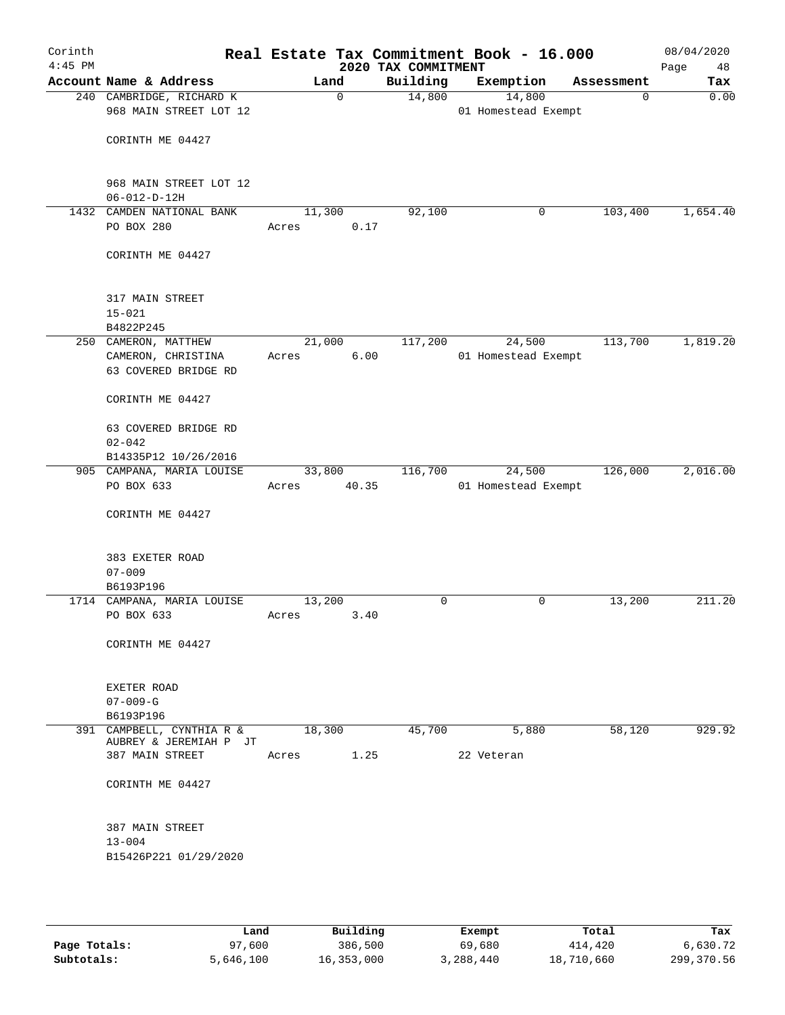| Corinth<br>$4:45$ PM |                                                                    |                 |             | 2020 TAX COMMITMENT | Real Estate Tax Commitment Book - 16.000 |            | 08/04/2020<br>Page<br>48 |
|----------------------|--------------------------------------------------------------------|-----------------|-------------|---------------------|------------------------------------------|------------|--------------------------|
|                      | Account Name & Address                                             |                 | Land        | Building            | Exemption                                | Assessment | Tax                      |
|                      | 240 CAMBRIDGE, RICHARD K<br>968 MAIN STREET LOT 12                 |                 | $\mathbf 0$ | 14,800              | 14,800<br>01 Homestead Exempt            | 0          | 0.00                     |
|                      | CORINTH ME 04427                                                   |                 |             |                     |                                          |            |                          |
|                      | 968 MAIN STREET LOT 12<br>$06 - 012 - D - 12H$                     |                 |             |                     |                                          |            |                          |
|                      | 1432 CAMDEN NATIONAL BANK<br>PO BOX 280                            | 11,300<br>Acres | 0.17        | 92,100              | 0                                        | 103,400    | 1,654.40                 |
|                      | CORINTH ME 04427                                                   |                 |             |                     |                                          |            |                          |
|                      | 317 MAIN STREET<br>$15 - 021$                                      |                 |             |                     |                                          |            |                          |
|                      | B4822P245                                                          |                 |             |                     |                                          |            |                          |
|                      | 250 CAMERON, MATTHEW<br>CAMERON, CHRISTINA<br>63 COVERED BRIDGE RD | 21,000<br>Acres | 6.00        | 117,200             | 24,500<br>01 Homestead Exempt            | 113,700    | 1,819.20                 |
|                      | CORINTH ME 04427                                                   |                 |             |                     |                                          |            |                          |
|                      | 63 COVERED BRIDGE RD<br>$02 - 042$                                 |                 |             |                     |                                          |            |                          |
|                      | B14335P12 10/26/2016                                               |                 |             |                     |                                          |            |                          |
|                      | 905 CAMPANA, MARIA LOUISE<br>PO BOX 633                            | 33,800<br>Acres | 40.35       | 116,700             | 24,500<br>01 Homestead Exempt            | 126,000    | 2,016.00                 |
|                      | CORINTH ME 04427                                                   |                 |             |                     |                                          |            |                          |
|                      | 383 EXETER ROAD<br>$07 - 009$<br>B6193P196                         |                 |             |                     |                                          |            |                          |
|                      | 1714 CAMPANA, MARIA LOUISE                                         | 13,200          |             | 0                   | 0                                        | 13,200     | 211.20                   |
|                      | PO BOX 633                                                         | Acres           | 3.40        |                     |                                          |            |                          |
|                      | CORINTH ME 04427                                                   |                 |             |                     |                                          |            |                          |
|                      | EXETER ROAD<br>$07 - 009 - G$<br>B6193P196                         |                 |             |                     |                                          |            |                          |
|                      | 391 CAMPBELL, CYNTHIA R &                                          | 18,300          |             | 45,700              | 5,880                                    | 58,120     | 929.92                   |
|                      | AUBREY & JEREMIAH P JT<br>387 MAIN STREET                          | Acres           | 1.25        |                     | 22 Veteran                               |            |                          |
|                      | CORINTH ME 04427                                                   |                 |             |                     |                                          |            |                          |
|                      | 387 MAIN STREET<br>$13 - 004$<br>B15426P221 01/29/2020             |                 |             |                     |                                          |            |                          |
|                      |                                                                    |                 |             |                     |                                          |            |                          |

|              | Land      | Building   | Exempt    | Total      | Tax        |
|--------------|-----------|------------|-----------|------------|------------|
| Page Totals: | 97,600    | 386,500    | 69,680    | 414,420    | 6,630.72   |
| Subtotals:   | 5,646,100 | 16,353,000 | 3,288,440 | 18,710,660 | 299,370.56 |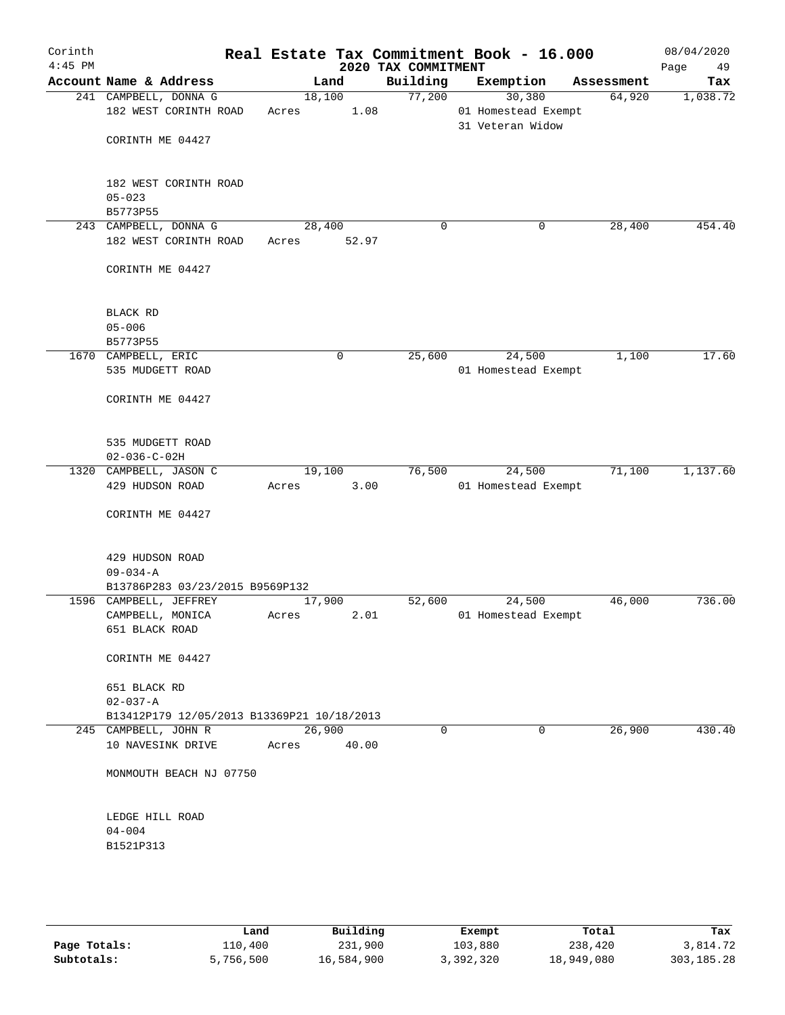| Corinth<br>$4:45$ PM |                                                                              |       |                 | Real Estate Tax Commitment Book - 16.000<br>2020 TAX COMMITMENT |                                                   |            | 08/04/2020<br>Page<br>49 |
|----------------------|------------------------------------------------------------------------------|-------|-----------------|-----------------------------------------------------------------|---------------------------------------------------|------------|--------------------------|
|                      | Account Name & Address                                                       |       | Land            | Building                                                        | Exemption                                         | Assessment | Tax                      |
|                      | 241 CAMPBELL, DONNA G<br>182 WEST CORINTH ROAD<br>CORINTH ME 04427           | Acres | 18,100<br>1.08  | 77,200                                                          | 30,380<br>01 Homestead Exempt<br>31 Veteran Widow | 64,920     | 1,038.72                 |
|                      | 182 WEST CORINTH ROAD<br>$05 - 023$<br>B5773P55                              |       |                 |                                                                 |                                                   |            |                          |
|                      | 243 CAMPBELL, DONNA G<br>182 WEST CORINTH ROAD                               | Acres | 28,400<br>52.97 | 0                                                               | 0                                                 | 28,400     | 454.40                   |
|                      | CORINTH ME 04427                                                             |       |                 |                                                                 |                                                   |            |                          |
|                      | BLACK RD<br>$05 - 006$<br>B5773P55                                           |       |                 |                                                                 |                                                   |            |                          |
|                      | 1670 CAMPBELL, ERIC<br>535 MUDGETT ROAD                                      |       | 0               | 25,600                                                          | 24,500<br>01 Homestead Exempt                     | 1,100      | 17.60                    |
|                      | CORINTH ME 04427                                                             |       |                 |                                                                 |                                                   |            |                          |
|                      | 535 MUDGETT ROAD<br>$02 - 036 - C - 02H$                                     |       |                 |                                                                 |                                                   |            |                          |
|                      | 1320 CAMPBELL, JASON C                                                       |       | 19,100          | 76,500                                                          | 24,500                                            | 71,100     | 1,137.60                 |
|                      | 429 HUDSON ROAD<br>CORINTH ME 04427<br>429 HUDSON ROAD<br>$09 - 034 - A$     | Acres | 3.00            |                                                                 | 01 Homestead Exempt                               |            |                          |
|                      | B13786P283 03/23/2015 B9569P132                                              |       |                 |                                                                 |                                                   |            |                          |
|                      | 1596 CAMPBELL, JEFFREY<br>CAMPBELL, MONICA<br>651 BLACK ROAD                 | Acres | 17,900<br>2.01  | 52,600                                                          | 24,500<br>01 Homestead Exempt                     | 46,000     | 736.00                   |
|                      | CORINTH ME 04427                                                             |       |                 |                                                                 |                                                   |            |                          |
|                      | 651 BLACK RD<br>$02 - 037 - A$<br>B13412P179 12/05/2013 B13369P21 10/18/2013 |       |                 |                                                                 |                                                   |            |                          |
|                      | 245 CAMPBELL, JOHN R<br>10 NAVESINK DRIVE                                    | Acres | 26,900<br>40.00 | $\Omega$                                                        | 0                                                 | 26,900     | 430.40                   |
|                      | MONMOUTH BEACH NJ 07750                                                      |       |                 |                                                                 |                                                   |            |                          |
|                      | LEDGE HILL ROAD<br>$04 - 004$<br>B1521P313                                   |       |                 |                                                                 |                                                   |            |                          |
|                      |                                                                              |       |                 |                                                                 |                                                   |            |                          |

|              | Land      | Building   | Exempt    | Total      | Tax          |
|--------------|-----------|------------|-----------|------------|--------------|
| Page Totals: | 110,400   | 231,900    | 103,880   | 238,420    | 3,814.72     |
| Subtotals:   | 5,756,500 | 16,584,900 | 3,392,320 | 18,949,080 | 303, 185. 28 |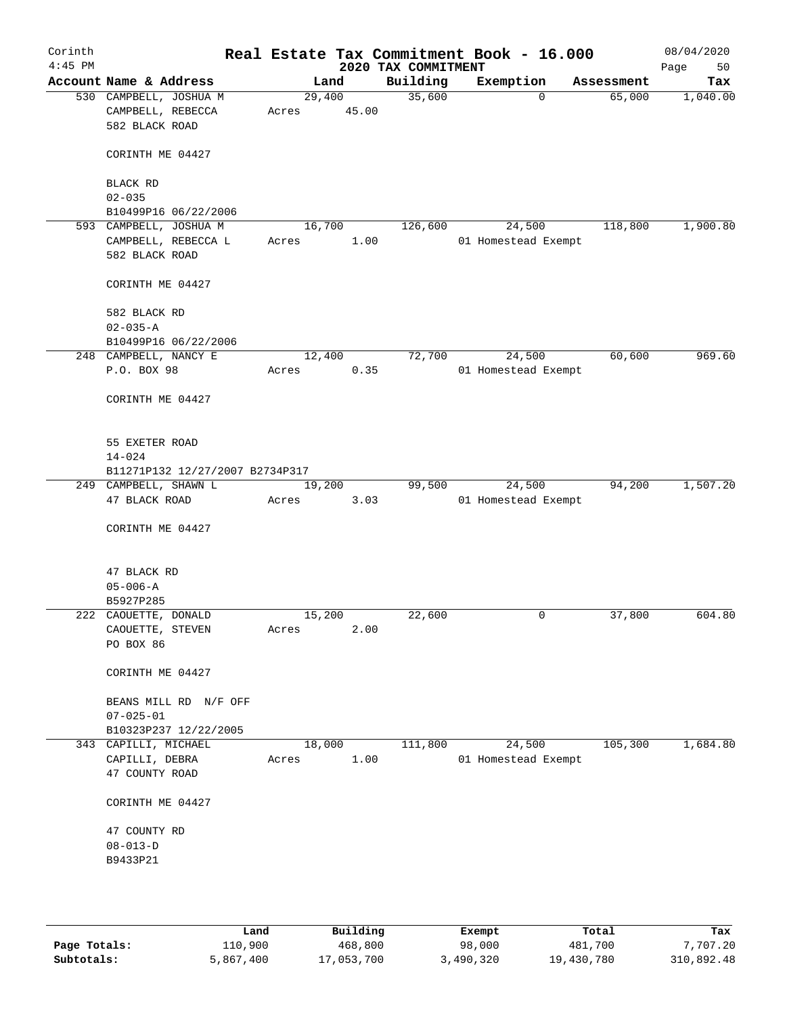| Corinth<br>$4:45$ PM |                                 |        |       | 2020 TAX COMMITMENT | Real Estate Tax Commitment Book - 16.000 |                    | 08/04/2020<br>Page<br>50 |
|----------------------|---------------------------------|--------|-------|---------------------|------------------------------------------|--------------------|--------------------------|
|                      | Account Name & Address          |        | Land  | Building            | Exemption                                | Assessment         | Tax                      |
|                      | 530 CAMPBELL, JOSHUA M          | 29,400 |       | 35,600              |                                          | 65,000<br>$\Omega$ | 1,040.00                 |
|                      | CAMPBELL, REBECCA               | Acres  | 45.00 |                     |                                          |                    |                          |
|                      | 582 BLACK ROAD                  |        |       |                     |                                          |                    |                          |
|                      | CORINTH ME 04427                |        |       |                     |                                          |                    |                          |
|                      |                                 |        |       |                     |                                          |                    |                          |
|                      | BLACK RD                        |        |       |                     |                                          |                    |                          |
|                      | $02 - 035$                      |        |       |                     |                                          |                    |                          |
|                      | B10499P16 06/22/2006            |        |       |                     |                                          |                    |                          |
|                      | 593 CAMPBELL, JOSHUA M          | 16,700 |       | 126,600             | 24,500                                   | 118,800            | 1,900.80                 |
|                      | CAMPBELL, REBECCA L             | Acres  | 1.00  |                     | 01 Homestead Exempt                      |                    |                          |
|                      | 582 BLACK ROAD                  |        |       |                     |                                          |                    |                          |
|                      | CORINTH ME 04427                |        |       |                     |                                          |                    |                          |
|                      | 582 BLACK RD                    |        |       |                     |                                          |                    |                          |
|                      | $02 - 035 - A$                  |        |       |                     |                                          |                    |                          |
|                      | B10499P16 06/22/2006            |        |       |                     |                                          |                    |                          |
|                      | 248 CAMPBELL, NANCY E           | 12,400 |       | 72,700              | 24,500                                   | 60,600             | 969.60                   |
|                      | P.O. BOX 98                     | Acres  | 0.35  |                     | 01 Homestead Exempt                      |                    |                          |
|                      |                                 |        |       |                     |                                          |                    |                          |
|                      | CORINTH ME 04427                |        |       |                     |                                          |                    |                          |
|                      |                                 |        |       |                     |                                          |                    |                          |
|                      | 55 EXETER ROAD<br>$14 - 024$    |        |       |                     |                                          |                    |                          |
|                      | B11271P132 12/27/2007 B2734P317 |        |       |                     |                                          |                    |                          |
|                      | 249 CAMPBELL, SHAWN L           | 19,200 |       | 99,500              | 24,500                                   | 94,200             | 1,507.20                 |
|                      | 47 BLACK ROAD                   | Acres  | 3.03  |                     | 01 Homestead Exempt                      |                    |                          |
|                      |                                 |        |       |                     |                                          |                    |                          |
|                      | CORINTH ME 04427                |        |       |                     |                                          |                    |                          |
|                      |                                 |        |       |                     |                                          |                    |                          |
|                      | 47 BLACK RD                     |        |       |                     |                                          |                    |                          |
|                      | $05 - 006 - A$                  |        |       |                     |                                          |                    |                          |
|                      | B5927P285                       |        |       |                     |                                          |                    |                          |
|                      | 222 CAOUETTE, DONALD            | 15,200 |       | 22,600              |                                          | 37,800<br>0        | 604.80                   |
|                      | CAOUETTE, STEVEN                | Acres  | 2.00  |                     |                                          |                    |                          |
|                      | PO BOX 86                       |        |       |                     |                                          |                    |                          |
|                      | CORINTH ME 04427                |        |       |                     |                                          |                    |                          |
|                      |                                 |        |       |                     |                                          |                    |                          |
|                      | BEANS MILL RD N/F OFF           |        |       |                     |                                          |                    |                          |
|                      | $07 - 025 - 01$                 |        |       |                     |                                          |                    |                          |
|                      | B10323P237 12/22/2005           |        |       |                     |                                          |                    |                          |
|                      | 343 CAPILLI, MICHAEL            | 18,000 |       | 111,800             | 24,500                                   | 105,300            | 1,684.80                 |
|                      | CAPILLI, DEBRA                  | Acres  | 1.00  |                     | 01 Homestead Exempt                      |                    |                          |
|                      | 47 COUNTY ROAD                  |        |       |                     |                                          |                    |                          |
|                      | CORINTH ME 04427                |        |       |                     |                                          |                    |                          |
|                      | 47 COUNTY RD                    |        |       |                     |                                          |                    |                          |
|                      | $08 - 013 - D$                  |        |       |                     |                                          |                    |                          |
|                      | B9433P21                        |        |       |                     |                                          |                    |                          |
|                      |                                 |        |       |                     |                                          |                    |                          |
|                      |                                 |        |       |                     |                                          |                    |                          |
|                      |                                 |        |       |                     |                                          |                    |                          |
|                      |                                 |        |       |                     |                                          |                    |                          |

|              | Land      | Building   | Exempt    | Total      | Tax        |
|--------------|-----------|------------|-----------|------------|------------|
| Page Totals: | 110,900   | 468,800    | 98,000    | 481,700    | 7,707.20   |
| Subtotals:   | 5,867,400 | 17,053,700 | 3,490,320 | 19,430,780 | 310,892.48 |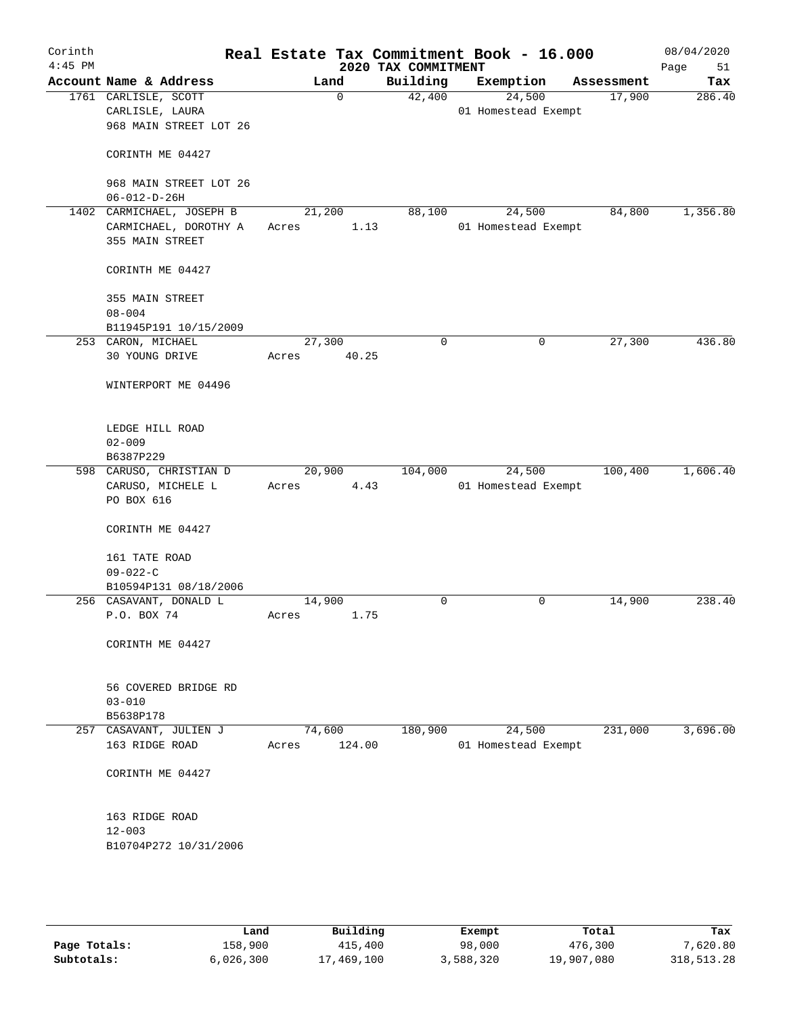| Corinth<br>$4:45$ PM |                                                |        |             | 2020 TAX COMMITMENT | Real Estate Tax Commitment Book - 16.000 |            | 08/04/2020<br>Page<br>51 |
|----------------------|------------------------------------------------|--------|-------------|---------------------|------------------------------------------|------------|--------------------------|
|                      | Account Name & Address                         |        | Land        | Building            | Exemption                                | Assessment | Tax                      |
|                      | 1761 CARLISLE, SCOTT                           |        | $\mathbf 0$ | 42,400              | 24,500                                   | 17,900     | 286.40                   |
|                      | CARLISLE, LAURA                                |        |             |                     | 01 Homestead Exempt                      |            |                          |
|                      | 968 MAIN STREET LOT 26                         |        |             |                     |                                          |            |                          |
|                      | CORINTH ME 04427                               |        |             |                     |                                          |            |                          |
|                      | 968 MAIN STREET LOT 26<br>$06 - 012 - D - 26H$ |        |             |                     |                                          |            |                          |
|                      | 1402 CARMICHAEL, JOSEPH B                      | 21,200 |             | 88,100              | 24,500                                   | 84,800     | 1,356.80                 |
|                      | CARMICHAEL, DOROTHY A                          | Acres  | 1.13        |                     | 01 Homestead Exempt                      |            |                          |
|                      | 355 MAIN STREET                                |        |             |                     |                                          |            |                          |
|                      | CORINTH ME 04427                               |        |             |                     |                                          |            |                          |
|                      | 355 MAIN STREET                                |        |             |                     |                                          |            |                          |
|                      | $08 - 004$                                     |        |             |                     |                                          |            |                          |
|                      | B11945P191 10/15/2009                          |        |             |                     |                                          |            |                          |
|                      | 253 CARON, MICHAEL                             | 27,300 |             | $\mathbf 0$         | 0                                        | 27,300     | 436.80                   |
|                      | 30 YOUNG DRIVE                                 | Acres  | 40.25       |                     |                                          |            |                          |
|                      | WINTERPORT ME 04496                            |        |             |                     |                                          |            |                          |
|                      | LEDGE HILL ROAD                                |        |             |                     |                                          |            |                          |
|                      | $02 - 009$                                     |        |             |                     |                                          |            |                          |
|                      | B6387P229                                      |        |             |                     |                                          |            |                          |
|                      | 598 CARUSO, CHRISTIAN D                        |        | 20,900      | 104,000             | 24,500                                   | 100,400    | 1,606.40                 |
|                      | CARUSO, MICHELE L<br>PO BOX 616                | Acres  | 4.43        |                     | 01 Homestead Exempt                      |            |                          |
|                      | CORINTH ME 04427                               |        |             |                     |                                          |            |                          |
|                      | 161 TATE ROAD<br>$09 - 022 - C$                |        |             |                     |                                          |            |                          |
|                      | B10594P131 08/18/2006                          |        |             |                     |                                          |            |                          |
|                      | 256 CASAVANT, DONALD L                         | 14,900 |             | 0                   | 0                                        | 14,900     | 238.40                   |
|                      | P.O. BOX 74                                    | Acres  | 1.75        |                     |                                          |            |                          |
|                      |                                                |        |             |                     |                                          |            |                          |
|                      | CORINTH ME 04427                               |        |             |                     |                                          |            |                          |
|                      | 56 COVERED BRIDGE RD                           |        |             |                     |                                          |            |                          |
|                      | $03 - 010$                                     |        |             |                     |                                          |            |                          |
|                      | B5638P178                                      |        |             |                     |                                          |            |                          |
|                      | 257 CASAVANT, JULIEN J                         |        | 74,600      | 180,900             | 24,500                                   | 231,000    | 3,696.00                 |
|                      | 163 RIDGE ROAD                                 | Acres  | 124.00      |                     | 01 Homestead Exempt                      |            |                          |
|                      | CORINTH ME 04427                               |        |             |                     |                                          |            |                          |
|                      | 163 RIDGE ROAD                                 |        |             |                     |                                          |            |                          |
|                      | $12 - 003$                                     |        |             |                     |                                          |            |                          |
|                      | B10704P272 10/31/2006                          |        |             |                     |                                          |            |                          |
|                      |                                                |        |             |                     |                                          |            |                          |
|                      |                                                |        |             |                     |                                          |            |                          |
|                      |                                                |        |             |                     |                                          |            |                          |

|              | Land      | Building   | Exempt    | Total      | Tax        |
|--------------|-----------|------------|-----------|------------|------------|
| Page Totals: | 158,900   | 415,400    | 98,000    | 476,300    | 7,620.80   |
| Subtotals:   | 6,026,300 | 17,469,100 | 3,588,320 | 19,907,080 | 318,513.28 |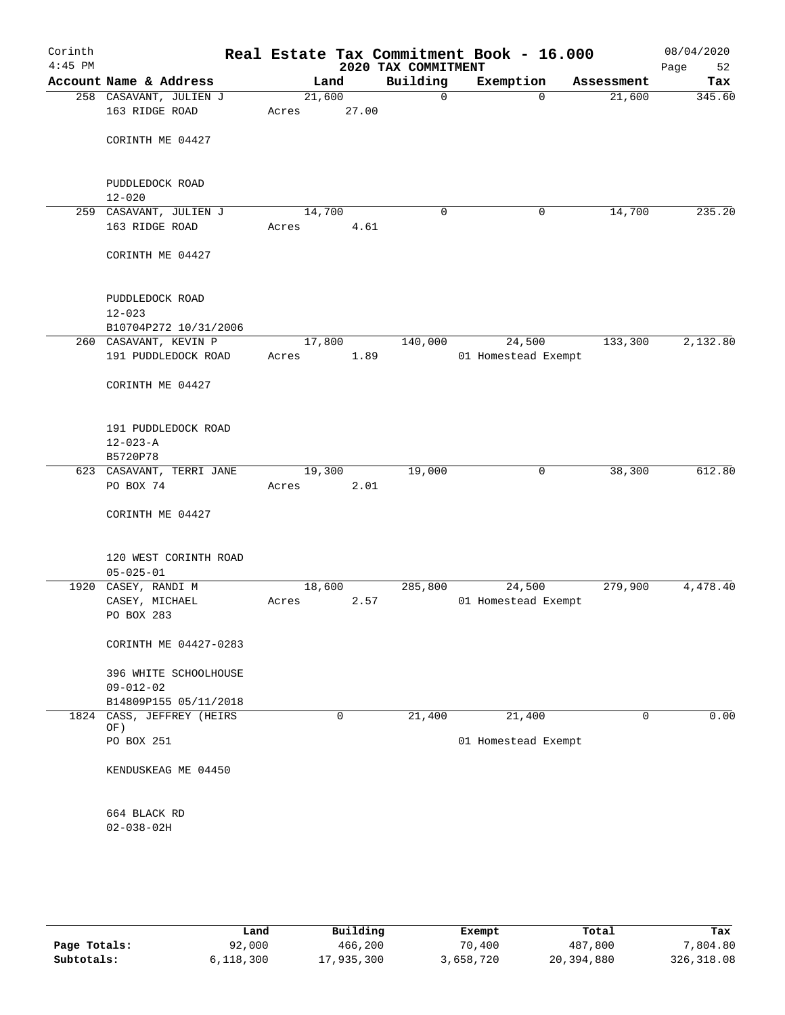| Corinth<br>$4:45$ PM |                                              |                 |       | 2020 TAX COMMITMENT | Real Estate Tax Commitment Book - 16.000 |            | 08/04/2020<br>Page<br>52 |
|----------------------|----------------------------------------------|-----------------|-------|---------------------|------------------------------------------|------------|--------------------------|
|                      | Account Name & Address                       |                 | Land  | Building            | Exemption                                | Assessment | Tax                      |
|                      | 258 CASAVANT, JULIEN J<br>163 RIDGE ROAD     | 21,600<br>Acres | 27.00 | 0                   | $\mathbf 0$                              | 21,600     | 345.60                   |
|                      | CORINTH ME 04427                             |                 |       |                     |                                          |            |                          |
|                      | PUDDLEDOCK ROAD<br>$12 - 020$                |                 |       |                     |                                          |            |                          |
|                      | 259 CASAVANT, JULIEN J                       | 14,700          |       | 0                   | 0                                        | 14,700     | 235.20                   |
|                      | 163 RIDGE ROAD                               | Acres           | 4.61  |                     |                                          |            |                          |
|                      | CORINTH ME 04427                             |                 |       |                     |                                          |            |                          |
|                      | PUDDLEDOCK ROAD                              |                 |       |                     |                                          |            |                          |
|                      | $12 - 023$                                   |                 |       |                     |                                          |            |                          |
|                      | B10704P272 10/31/2006                        |                 |       |                     |                                          | 133,300    | 2,132.80                 |
|                      | 260 CASAVANT, KEVIN P<br>191 PUDDLEDOCK ROAD | 17,800<br>Acres | 1.89  | 140,000             | 24,500<br>01 Homestead Exempt            |            |                          |
|                      | CORINTH ME 04427                             |                 |       |                     |                                          |            |                          |
|                      | 191 PUDDLEDOCK ROAD<br>$12 - 023 - A$        |                 |       |                     |                                          |            |                          |
|                      | B5720P78                                     |                 |       |                     |                                          |            |                          |
|                      | 623 CASAVANT, TERRI JANE                     | 19,300          |       | 19,000              | $\mathbf 0$                              | 38,300     | 612.80                   |
|                      | PO BOX 74                                    | Acres           | 2.01  |                     |                                          |            |                          |
|                      | CORINTH ME 04427                             |                 |       |                     |                                          |            |                          |
|                      | 120 WEST CORINTH ROAD<br>$05 - 025 - 01$     |                 |       |                     |                                          |            |                          |
|                      | 1920 CASEY, RANDI M                          | 18,600          |       | 285,800             | 24,500                                   | 279,900    | 4,478.40                 |
|                      | CASEY, MICHAEL<br>PO BOX 283                 | Acres           | 2.57  |                     | 01 Homestead Exempt                      |            |                          |
|                      | CORINTH ME 04427-0283                        |                 |       |                     |                                          |            |                          |
|                      | 396 WHITE SCHOOLHOUSE<br>$09 - 012 - 02$     |                 |       |                     |                                          |            |                          |
|                      | B14809P155 05/11/2018                        |                 |       |                     |                                          |            |                          |
|                      | 1824 CASS, JEFFREY (HEIRS<br>OF)             |                 | 0     | 21,400              | 21,400                                   | 0          | 0.00                     |
|                      | PO BOX 251                                   |                 |       |                     | 01 Homestead Exempt                      |            |                          |
|                      | KENDUSKEAG ME 04450                          |                 |       |                     |                                          |            |                          |
|                      | 664 BLACK RD                                 |                 |       |                     |                                          |            |                          |
|                      | $02 - 038 - 02H$                             |                 |       |                     |                                          |            |                          |
|                      |                                              |                 |       |                     |                                          |            |                          |

|              | Land      | Building   | Exempt    | Total      | Tax         |
|--------------|-----------|------------|-----------|------------|-------------|
| Page Totals: | 92,000    | 466,200    | 70,400    | 487,800    | 7,804.80    |
| Subtotals:   | 6,118,300 | 17,935,300 | 3,658,720 | 20,394,880 | 326, 318.08 |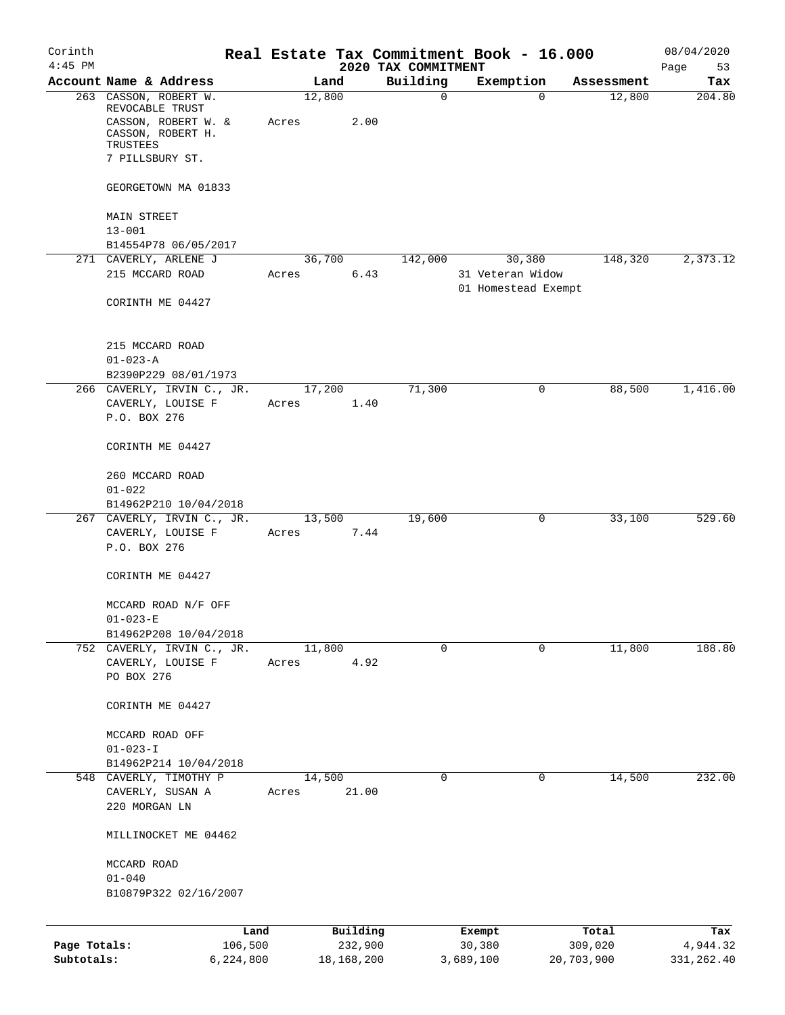| Corinth      |                                                                 |       |              |       | Real Estate Tax Commitment Book - 16.000 |                                         |          |            | 08/04/2020        |
|--------------|-----------------------------------------------------------------|-------|--------------|-------|------------------------------------------|-----------------------------------------|----------|------------|-------------------|
| $4:45$ PM    | Account Name & Address                                          |       | Land         |       | 2020 TAX COMMITMENT<br>Building          | Exemption                               |          | Assessment | Page<br>53<br>Tax |
|              | 263 CASSON, ROBERT W.                                           |       | 12,800       |       | 0                                        |                                         | $\Omega$ | 12,800     | 204.80            |
|              | REVOCABLE TRUST<br>CASSON, ROBERT W. &<br>CASSON, ROBERT H.     | Acres |              | 2.00  |                                          |                                         |          |            |                   |
|              | TRUSTEES<br>7 PILLSBURY ST.                                     |       |              |       |                                          |                                         |          |            |                   |
|              | GEORGETOWN MA 01833                                             |       |              |       |                                          |                                         |          |            |                   |
|              | <b>MAIN STREET</b>                                              |       |              |       |                                          |                                         |          |            |                   |
|              | $13 - 001$                                                      |       |              |       |                                          |                                         |          |            |                   |
|              | B14554P78 06/05/2017<br>271 CAVERLY, ARLENE J                   |       | 36,700       |       | 142,000                                  |                                         | 30,380   | 148,320    | 2,373.12          |
|              | 215 MCCARD ROAD                                                 | Acres |              | 6.43  |                                          | 31 Veteran Widow<br>01 Homestead Exempt |          |            |                   |
|              | CORINTH ME 04427                                                |       |              |       |                                          |                                         |          |            |                   |
|              | 215 MCCARD ROAD                                                 |       |              |       |                                          |                                         |          |            |                   |
|              | $01 - 023 - A$<br>B2390P229 08/01/1973                          |       |              |       |                                          |                                         |          |            |                   |
|              | 266 CAVERLY, IRVIN C., JR.                                      |       | 17,200       |       | 71,300                                   |                                         | 0        | 88,500     | 1,416.00          |
|              | CAVERLY, LOUISE F<br>P.O. BOX 276                               | Acres |              | 1.40  |                                          |                                         |          |            |                   |
|              | CORINTH ME 04427                                                |       |              |       |                                          |                                         |          |            |                   |
|              | 260 MCCARD ROAD<br>$01 - 022$                                   |       |              |       |                                          |                                         |          |            |                   |
|              | B14962P210 10/04/2018                                           |       |              |       |                                          |                                         |          |            |                   |
|              | 267 CAVERLY, IRVIN C., JR.<br>CAVERLY, LOUISE F<br>P.O. BOX 276 | Acres | 13,500       | 7.44  | 19,600                                   |                                         | 0        | 33,100     | 529.60            |
|              | CORINTH ME 04427                                                |       |              |       |                                          |                                         |          |            |                   |
|              | MCCARD ROAD N/F OFF<br>$01 - 023 - E$                           |       |              |       |                                          |                                         |          |            |                   |
|              | B14962P208 10/04/2018                                           |       |              |       |                                          |                                         |          |            |                   |
|              | 752 CAVERLY, IRVIN C., JR.                                      |       | 11,800       |       | 0                                        |                                         | 0        | 11,800     | 188.80            |
|              | CAVERLY, LOUISE F<br>PO BOX 276                                 | Acres |              | 4.92  |                                          |                                         |          |            |                   |
|              | CORINTH ME 04427                                                |       |              |       |                                          |                                         |          |            |                   |
|              | MCCARD ROAD OFF<br>$01 - 023 - I$                               |       |              |       |                                          |                                         |          |            |                   |
|              | B14962P214 10/04/2018                                           |       |              |       |                                          |                                         |          |            |                   |
|              | 548 CAVERLY, TIMOTHY P                                          |       | 14,500       |       | 0                                        |                                         | 0        | 14,500     | 232.00            |
|              | CAVERLY, SUSAN A                                                | Acres |              | 21.00 |                                          |                                         |          |            |                   |
|              | 220 MORGAN LN                                                   |       |              |       |                                          |                                         |          |            |                   |
|              | MILLINOCKET ME 04462                                            |       |              |       |                                          |                                         |          |            |                   |
|              | MCCARD ROAD                                                     |       |              |       |                                          |                                         |          |            |                   |
|              | $01 - 040$<br>B10879P322 02/16/2007                             |       |              |       |                                          |                                         |          |            |                   |
|              |                                                                 | Land  | Building     |       |                                          | Exempt                                  |          | Total      | Tax               |
| Page Totals: | 106,500                                                         |       | 232,900      |       |                                          | 30,380                                  |          | 309,020    | 4,944.32          |
| Subtotals:   | 6,224,800                                                       |       | 18, 168, 200 |       |                                          | 3,689,100                               |          | 20,703,900 | 331,262.40        |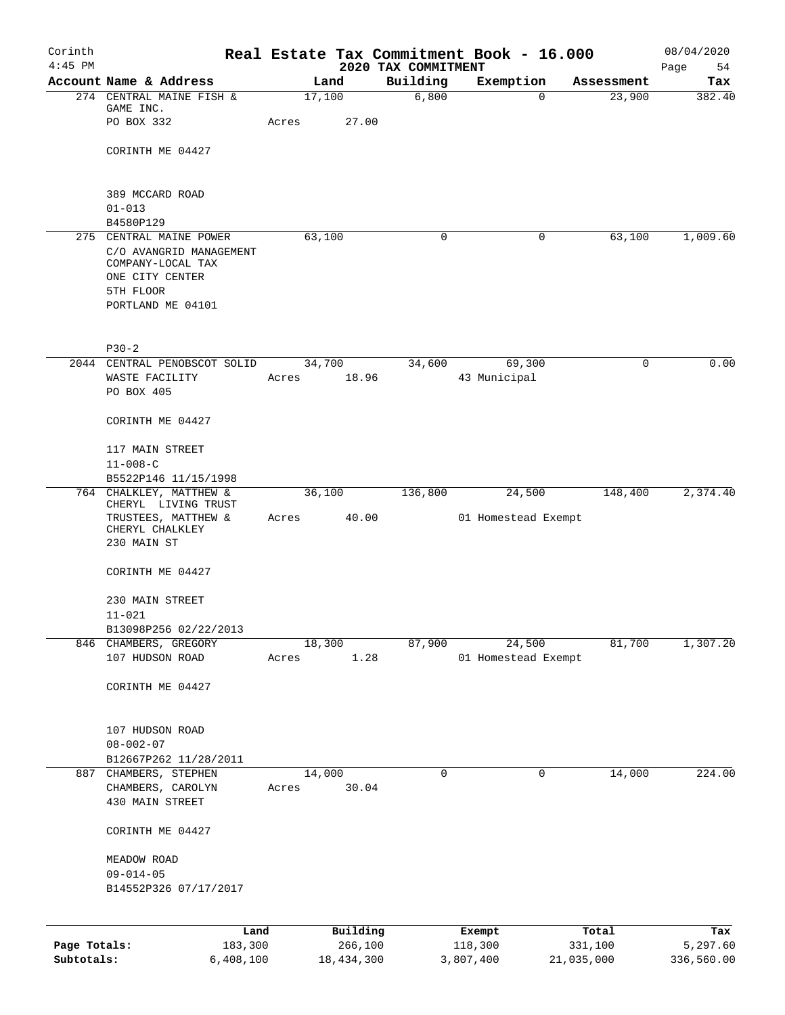| Corinth<br>$4:45$ PM |                                                                                                   |                 |            |                                 | Real Estate Tax Commitment Book - 16.000 |            | 08/04/2020        |
|----------------------|---------------------------------------------------------------------------------------------------|-----------------|------------|---------------------------------|------------------------------------------|------------|-------------------|
|                      | Account Name & Address                                                                            |                 | Land       | 2020 TAX COMMITMENT<br>Building | Exemption                                | Assessment | Page<br>54<br>Tax |
|                      | 274 CENTRAL MAINE FISH &                                                                          | 17,100          |            | 6,800                           | $\Omega$                                 | 23,900     | 382.40            |
|                      | GAME INC.<br>PO BOX 332                                                                           | Acres           | 27.00      |                                 |                                          |            |                   |
|                      | CORINTH ME 04427                                                                                  |                 |            |                                 |                                          |            |                   |
|                      | 389 MCCARD ROAD                                                                                   |                 |            |                                 |                                          |            |                   |
|                      | $01 - 013$                                                                                        |                 |            |                                 |                                          |            |                   |
|                      | B4580P129<br>275 CENTRAL MAINE POWER                                                              | 63,100          |            | $\mathbf 0$                     | 0                                        | 63,100     | 1,009.60          |
|                      | C/O AVANGRID MANAGEMENT<br>COMPANY-LOCAL TAX<br>ONE CITY CENTER<br>5TH FLOOR<br>PORTLAND ME 04101 |                 |            |                                 |                                          |            |                   |
|                      | $P30-2$                                                                                           |                 |            |                                 |                                          |            |                   |
|                      | 2044 CENTRAL PENOBSCOT SOLID                                                                      |                 | 34,700     | 34,600                          | 69,300                                   | 0          | 0.00              |
|                      | WASTE FACILITY<br>PO BOX 405                                                                      | Acres           | 18.96      |                                 | 43 Municipal                             |            |                   |
|                      | CORINTH ME 04427                                                                                  |                 |            |                                 |                                          |            |                   |
|                      | 117 MAIN STREET                                                                                   |                 |            |                                 |                                          |            |                   |
|                      | $11 - 008 - C$                                                                                    |                 |            |                                 |                                          |            |                   |
|                      | B5522P146 11/15/1998<br>764 CHALKLEY, MATTHEW &                                                   |                 |            | 136,800                         |                                          | 148,400    | 2,374.40          |
|                      | CHERYL LIVING TRUST<br>TRUSTEES, MATTHEW &<br>CHERYL CHALKLEY<br>230 MAIN ST                      | 36,100<br>Acres | 40.00      |                                 | 24,500<br>01 Homestead Exempt            |            |                   |
|                      | CORINTH ME 04427                                                                                  |                 |            |                                 |                                          |            |                   |
|                      | 230 MAIN STREET                                                                                   |                 |            |                                 |                                          |            |                   |
|                      | $11 - 021$                                                                                        |                 |            |                                 |                                          |            |                   |
|                      | B13098P256 02/22/2013<br>846 CHAMBERS, GREGORY                                                    | 18,300          |            | 87,900                          | 24,500                                   | 81,700     | 1,307.20          |
|                      | 107 HUDSON ROAD                                                                                   | Acres           | 1.28       |                                 | 01 Homestead Exempt                      |            |                   |
|                      | CORINTH ME 04427                                                                                  |                 |            |                                 |                                          |            |                   |
|                      | 107 HUDSON ROAD                                                                                   |                 |            |                                 |                                          |            |                   |
|                      | $08 - 002 - 07$<br>B12667P262 11/28/2011                                                          |                 |            |                                 |                                          |            |                   |
|                      | 887 CHAMBERS, STEPHEN                                                                             | 14,000          |            | $\mathbf 0$                     | 0                                        | 14,000     | 224.00            |
|                      | CHAMBERS, CAROLYN                                                                                 | Acres           | 30.04      |                                 |                                          |            |                   |
|                      | 430 MAIN STREET                                                                                   |                 |            |                                 |                                          |            |                   |
|                      | CORINTH ME 04427                                                                                  |                 |            |                                 |                                          |            |                   |
|                      | MEADOW ROAD                                                                                       |                 |            |                                 |                                          |            |                   |
|                      | $09 - 014 - 05$                                                                                   |                 |            |                                 |                                          |            |                   |
|                      | B14552P326 07/17/2017                                                                             |                 |            |                                 |                                          |            |                   |
|                      | Land                                                                                              |                 | Building   |                                 | Exempt                                   | Total      | Tax               |
| Page Totals:         | 183,300                                                                                           |                 | 266,100    |                                 | 118,300                                  | 331,100    | 5,297.60          |
| Subtotals:           | 6,408,100                                                                                         |                 | 18,434,300 |                                 | 3,807,400                                | 21,035,000 | 336,560.00        |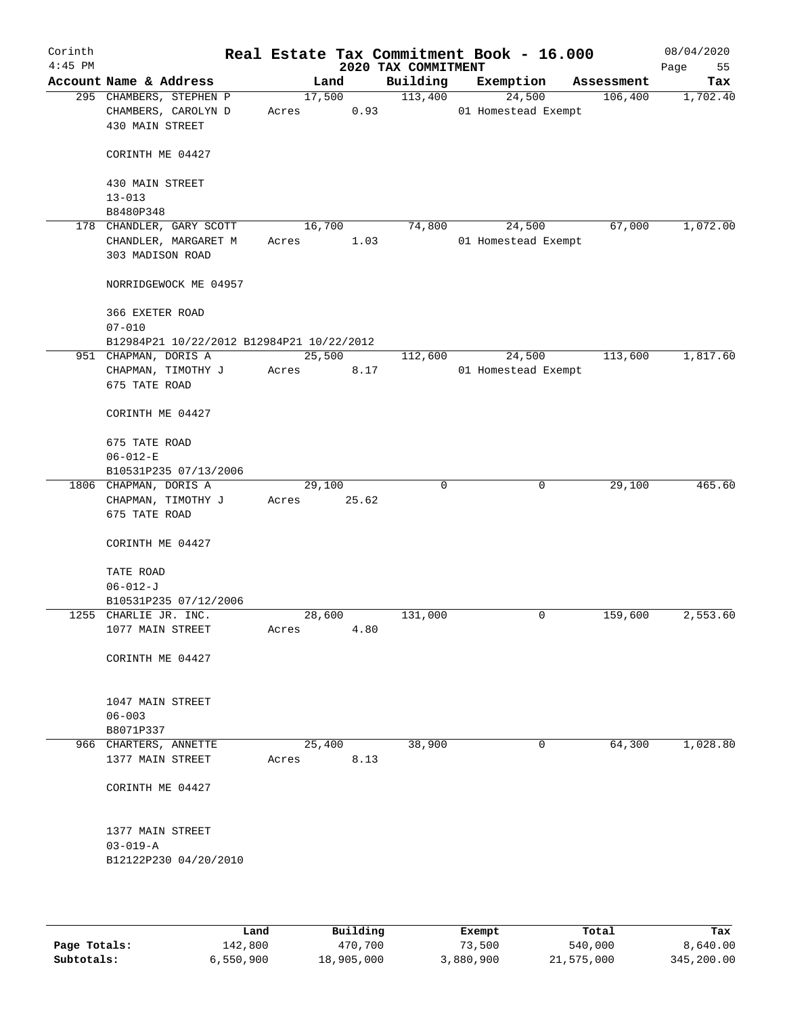| Corinth<br>$4:45$ PM |                                           |        |        | Real Estate Tax Commitment Book - 16.000<br>2020 TAX COMMITMENT |                     |            | 08/04/2020<br>Page<br>55 |
|----------------------|-------------------------------------------|--------|--------|-----------------------------------------------------------------|---------------------|------------|--------------------------|
|                      | Account Name & Address                    |        | Land   | Building                                                        | Exemption           | Assessment | Tax                      |
|                      | 295 CHAMBERS, STEPHEN P                   |        | 17,500 | 113,400                                                         | 24,500              | 106,400    | 1,702.40                 |
|                      | CHAMBERS, CAROLYN D                       | Acres  | 0.93   |                                                                 | 01 Homestead Exempt |            |                          |
|                      | 430 MAIN STREET                           |        |        |                                                                 |                     |            |                          |
|                      | CORINTH ME 04427                          |        |        |                                                                 |                     |            |                          |
|                      | 430 MAIN STREET                           |        |        |                                                                 |                     |            |                          |
|                      | $13 - 013$                                |        |        |                                                                 |                     |            |                          |
|                      | B8480P348                                 |        |        |                                                                 |                     |            |                          |
|                      | 178 CHANDLER, GARY SCOTT                  | 16,700 |        | 74,800                                                          | 24,500              | 67,000     | 1,072.00                 |
|                      | CHANDLER, MARGARET M                      | Acres  | 1.03   |                                                                 | 01 Homestead Exempt |            |                          |
|                      | 303 MADISON ROAD                          |        |        |                                                                 |                     |            |                          |
|                      | NORRIDGEWOCK ME 04957                     |        |        |                                                                 |                     |            |                          |
|                      | 366 EXETER ROAD                           |        |        |                                                                 |                     |            |                          |
|                      | $07 - 010$                                |        |        |                                                                 |                     |            |                          |
|                      | B12984P21 10/22/2012 B12984P21 10/22/2012 |        |        |                                                                 |                     |            |                          |
|                      | 951 CHAPMAN, DORIS A                      |        | 25,500 | 112,600                                                         | 24,500              | 113,600    | 1,817.60                 |
|                      | CHAPMAN, TIMOTHY J                        | Acres  | 8.17   |                                                                 | 01 Homestead Exempt |            |                          |
|                      | 675 TATE ROAD                             |        |        |                                                                 |                     |            |                          |
|                      | CORINTH ME 04427                          |        |        |                                                                 |                     |            |                          |
|                      |                                           |        |        |                                                                 |                     |            |                          |
|                      | 675 TATE ROAD                             |        |        |                                                                 |                     |            |                          |
|                      | $06 - 012 - E$                            |        |        |                                                                 |                     |            |                          |
|                      | B10531P235 07/13/2006                     |        |        |                                                                 |                     |            |                          |
|                      | 1806 CHAPMAN, DORIS A                     | 29,100 |        | $\mathbf 0$                                                     | 0                   | 29,100     | 465.60                   |
|                      | CHAPMAN, TIMOTHY J                        | Acres  | 25.62  |                                                                 |                     |            |                          |
|                      | 675 TATE ROAD                             |        |        |                                                                 |                     |            |                          |
|                      | CORINTH ME 04427                          |        |        |                                                                 |                     |            |                          |
|                      |                                           |        |        |                                                                 |                     |            |                          |
|                      | TATE ROAD                                 |        |        |                                                                 |                     |            |                          |
|                      | $06 - 012 - J$                            |        |        |                                                                 |                     |            |                          |
|                      | B10531P235 07/12/2006                     |        |        |                                                                 |                     |            |                          |
|                      | 1255 CHARLIE JR. INC.                     | 28,600 |        | 131,000                                                         | 0                   | 159,600    | 2,553.60                 |
|                      | 1077 MAIN STREET                          | Acres  | 4.80   |                                                                 |                     |            |                          |
|                      | CORINTH ME 04427                          |        |        |                                                                 |                     |            |                          |
|                      |                                           |        |        |                                                                 |                     |            |                          |
|                      | 1047 MAIN STREET<br>$06 - 003$            |        |        |                                                                 |                     |            |                          |
|                      | B8071P337                                 |        |        |                                                                 |                     |            |                          |
|                      | 966 CHARTERS, ANNETTE                     | 25,400 |        | 38,900                                                          | 0                   | 64,300     | 1,028.80                 |
|                      | 1377 MAIN STREET                          | Acres  | 8.13   |                                                                 |                     |            |                          |
|                      |                                           |        |        |                                                                 |                     |            |                          |
|                      | CORINTH ME 04427                          |        |        |                                                                 |                     |            |                          |
|                      | 1377 MAIN STREET                          |        |        |                                                                 |                     |            |                          |
|                      | $03 - 019 - A$                            |        |        |                                                                 |                     |            |                          |
|                      | B12122P230 04/20/2010                     |        |        |                                                                 |                     |            |                          |
|                      |                                           |        |        |                                                                 |                     |            |                          |
|                      |                                           |        |        |                                                                 |                     |            |                          |
|                      |                                           |        |        |                                                                 |                     |            |                          |

|              | Land      | Building   | Exempt    | Total      | Tax        |
|--------------|-----------|------------|-----------|------------|------------|
| Page Totals: | 142,800   | 470,700    | 73,500    | 540,000    | 8,640.00   |
| Subtotals:   | 6,550,900 | 18,905,000 | 3,880,900 | 21,575,000 | 345,200.00 |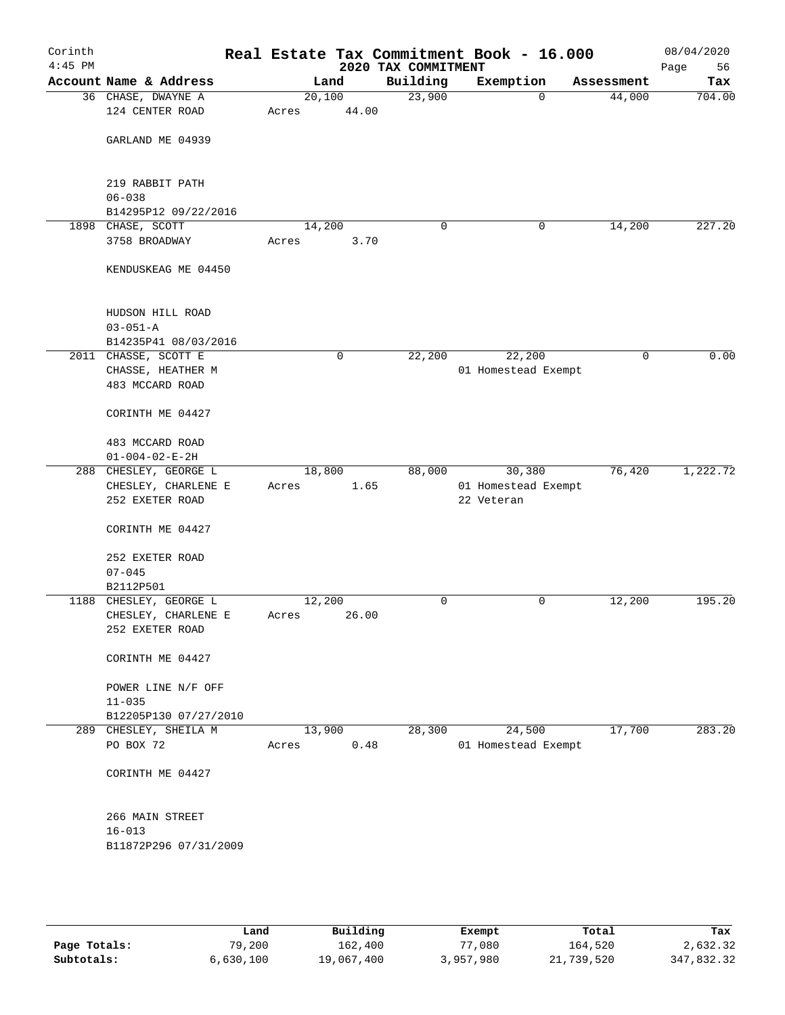| Corinth<br>$4:45$ PM |                                              |       |             | 2020 TAX COMMITMENT | Real Estate Tax Commitment Book - 16.000 |             | 08/04/2020<br>56<br>Page |
|----------------------|----------------------------------------------|-------|-------------|---------------------|------------------------------------------|-------------|--------------------------|
|                      | Account Name & Address                       |       | Land        | Building            | Exemption                                | Assessment  | Tax                      |
|                      | 36 CHASE, DWAYNE A                           |       | 20,100      | 23,900              | $\mathbf 0$                              | 44,000      | 704.00                   |
|                      | 124 CENTER ROAD                              | Acres | 44.00       |                     |                                          |             |                          |
|                      |                                              |       |             |                     |                                          |             |                          |
|                      | GARLAND ME 04939                             |       |             |                     |                                          |             |                          |
|                      |                                              |       |             |                     |                                          |             |                          |
|                      | 219 RABBIT PATH                              |       |             |                     |                                          |             |                          |
|                      | $06 - 038$                                   |       |             |                     |                                          |             |                          |
|                      | B14295P12 09/22/2016                         |       |             |                     |                                          |             |                          |
|                      | 1898 CHASE, SCOTT                            |       | 14,200      | 0                   | 0                                        | 14,200      | 227.20                   |
|                      | 3758 BROADWAY                                | Acres | 3.70        |                     |                                          |             |                          |
|                      |                                              |       |             |                     |                                          |             |                          |
|                      | KENDUSKEAG ME 04450                          |       |             |                     |                                          |             |                          |
|                      |                                              |       |             |                     |                                          |             |                          |
|                      |                                              |       |             |                     |                                          |             |                          |
|                      | HUDSON HILL ROAD                             |       |             |                     |                                          |             |                          |
|                      | $03 - 051 - A$                               |       |             |                     |                                          |             |                          |
|                      | B14235P41 08/03/2016<br>2011 CHASSE, SCOTT E |       | $\mathbf 0$ | 22,200              | 22,200                                   | $\mathbf 0$ | 0.00                     |
|                      | CHASSE, HEATHER M                            |       |             |                     | 01 Homestead Exempt                      |             |                          |
|                      | 483 MCCARD ROAD                              |       |             |                     |                                          |             |                          |
|                      |                                              |       |             |                     |                                          |             |                          |
|                      | CORINTH ME 04427                             |       |             |                     |                                          |             |                          |
|                      |                                              |       |             |                     |                                          |             |                          |
|                      | 483 MCCARD ROAD                              |       |             |                     |                                          |             |                          |
|                      | $01 - 004 - 02 - E - 2H$                     |       |             |                     |                                          |             |                          |
|                      | 288 CHESLEY, GEORGE L                        |       | 18,800      | 88,000              | 30,380                                   | 76,420      | 1,222.72                 |
|                      | CHESLEY, CHARLENE E                          | Acres | 1.65        |                     | 01 Homestead Exempt                      |             |                          |
|                      | 252 EXETER ROAD                              |       |             |                     | 22 Veteran                               |             |                          |
|                      | CORINTH ME 04427                             |       |             |                     |                                          |             |                          |
|                      |                                              |       |             |                     |                                          |             |                          |
|                      | 252 EXETER ROAD                              |       |             |                     |                                          |             |                          |
|                      | $07 - 045$                                   |       |             |                     |                                          |             |                          |
|                      | B2112P501                                    |       |             |                     |                                          |             |                          |
|                      | 1188 CHESLEY, GEORGE L                       |       | 12,200      | 0                   | 0                                        | 12,200      | 195.20                   |
|                      | CHESLEY, CHARLENE E                          | Acres | 26.00       |                     |                                          |             |                          |
|                      | 252 EXETER ROAD                              |       |             |                     |                                          |             |                          |
|                      |                                              |       |             |                     |                                          |             |                          |
|                      | CORINTH ME 04427                             |       |             |                     |                                          |             |                          |
|                      | POWER LINE N/F OFF                           |       |             |                     |                                          |             |                          |
|                      | $11 - 035$                                   |       |             |                     |                                          |             |                          |
|                      | B12205P130 07/27/2010                        |       |             |                     |                                          |             |                          |
|                      | 289 CHESLEY, SHEILA M                        |       | 13,900      | 28,300              | 24,500                                   | 17,700      | 283.20                   |
|                      | PO BOX 72                                    | Acres | 0.48        |                     | 01 Homestead Exempt                      |             |                          |
|                      |                                              |       |             |                     |                                          |             |                          |
|                      | CORINTH ME 04427                             |       |             |                     |                                          |             |                          |
|                      |                                              |       |             |                     |                                          |             |                          |
|                      |                                              |       |             |                     |                                          |             |                          |
|                      | 266 MAIN STREET                              |       |             |                     |                                          |             |                          |
|                      | $16 - 013$                                   |       |             |                     |                                          |             |                          |
|                      | B11872P296 07/31/2009                        |       |             |                     |                                          |             |                          |
|                      |                                              |       |             |                     |                                          |             |                          |
|                      |                                              |       |             |                     |                                          |             |                          |
|                      |                                              |       |             |                     |                                          |             |                          |

|              | Land      | Building   | Exempt    | Total      | Tax        |
|--------------|-----------|------------|-----------|------------|------------|
| Page Totals: | 79,200    | 162,400    | 77,080    | 164,520    | 2,632.32   |
| Subtotals:   | 6,630,100 | 19,067,400 | 3,957,980 | 21,739,520 | 347,832.32 |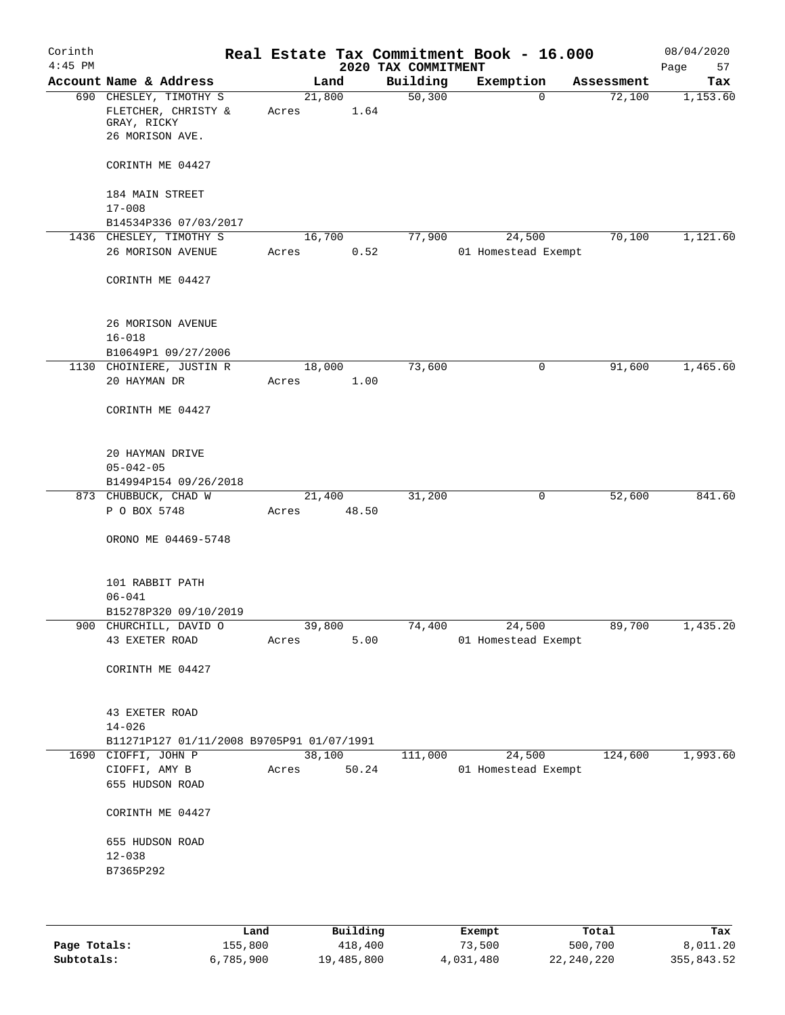| Corinth<br>$4:45$ PM |                                                                                 |       |        |       | 2020 TAX COMMITMENT | Real Estate Tax Commitment Book - 16.000 |            | 08/04/2020<br>Page<br>57 |
|----------------------|---------------------------------------------------------------------------------|-------|--------|-------|---------------------|------------------------------------------|------------|--------------------------|
|                      | Account Name & Address                                                          |       | Land   |       | Building            | Exemption                                | Assessment | Tax                      |
|                      | 690 CHESLEY, TIMOTHY S<br>FLETCHER, CHRISTY &<br>GRAY, RICKY<br>26 MORISON AVE. | Acres | 21,800 | 1.64  | 50,300              | 0                                        | 72,100     | 1,153.60                 |
|                      | CORINTH ME 04427                                                                |       |        |       |                     |                                          |            |                          |
|                      | 184 MAIN STREET<br>$17 - 008$                                                   |       |        |       |                     |                                          |            |                          |
|                      | B14534P336 07/03/2017                                                           |       |        |       |                     |                                          |            |                          |
|                      | 1436 CHESLEY, TIMOTHY S                                                         |       | 16,700 |       | 77,900              | 24,500                                   | 70,100     | 1,121.60                 |
|                      | 26 MORISON AVENUE                                                               | Acres |        | 0.52  |                     | 01 Homestead Exempt                      |            |                          |
|                      | CORINTH ME 04427                                                                |       |        |       |                     |                                          |            |                          |
|                      | 26 MORISON AVENUE<br>$16 - 018$                                                 |       |        |       |                     |                                          |            |                          |
|                      | B10649P1 09/27/2006                                                             |       |        |       |                     |                                          |            |                          |
|                      | 1130 CHOINIERE, JUSTIN R<br>20 HAYMAN DR                                        | Acres | 18,000 | 1.00  | 73,600              | 0                                        | 91,600     | 1,465.60                 |
|                      | CORINTH ME 04427                                                                |       |        |       |                     |                                          |            |                          |
|                      | 20 HAYMAN DRIVE<br>$05 - 042 - 05$<br>B14994P154 09/26/2018                     |       |        |       |                     |                                          |            |                          |
|                      | 873 CHUBBUCK, CHAD W                                                            |       | 21,400 |       | 31,200              | 0                                        | 52,600     | 841.60                   |
|                      | P O BOX 5748                                                                    | Acres |        | 48.50 |                     |                                          |            |                          |
|                      | ORONO ME 04469-5748                                                             |       |        |       |                     |                                          |            |                          |
|                      | 101 RABBIT PATH<br>$06 - 041$<br>B15278P320 09/10/2019                          |       |        |       |                     |                                          |            |                          |
|                      | 900 CHURCHILL, DAVID O                                                          |       | 39,800 |       | 74,400              | 24,500                                   | 89,700     | 1,435.20                 |
|                      | 43 EXETER ROAD                                                                  | Acres |        | 5.00  |                     | 01 Homestead Exempt                      |            |                          |
|                      | CORINTH ME 04427                                                                |       |        |       |                     |                                          |            |                          |
|                      | 43 EXETER ROAD<br>$14 - 026$                                                    |       |        |       |                     |                                          |            |                          |
|                      | B11271P127 01/11/2008 B9705P91 01/07/1991                                       |       |        |       |                     |                                          |            |                          |
|                      | 1690 CIOFFI, JOHN P                                                             |       | 38,100 |       | 111,000             | 24,500                                   | 124,600    | 1,993.60                 |
|                      | CIOFFI, AMY B<br>655 HUDSON ROAD                                                | Acres |        | 50.24 |                     | 01 Homestead Exempt                      |            |                          |
|                      | CORINTH ME 04427                                                                |       |        |       |                     |                                          |            |                          |
|                      | 655 HUDSON ROAD                                                                 |       |        |       |                     |                                          |            |                          |
|                      | $12 - 038$                                                                      |       |        |       |                     |                                          |            |                          |
|                      | B7365P292                                                                       |       |        |       |                     |                                          |            |                          |
|                      |                                                                                 |       |        |       |                     |                                          |            |                          |
|                      |                                                                                 |       |        |       |                     |                                          |            |                          |
|                      |                                                                                 |       |        |       |                     |                                          |            |                          |

|              | Land      | Building   | Exempt    | Total      | Tax        |
|--------------|-----------|------------|-----------|------------|------------|
| Page Totals: | 155,800   | 418,400    | 73,500    | 500,700    | 8,011.20   |
| Subtotals:   | 6,785,900 | 19,485,800 | 4,031,480 | 22,240,220 | 355,843.52 |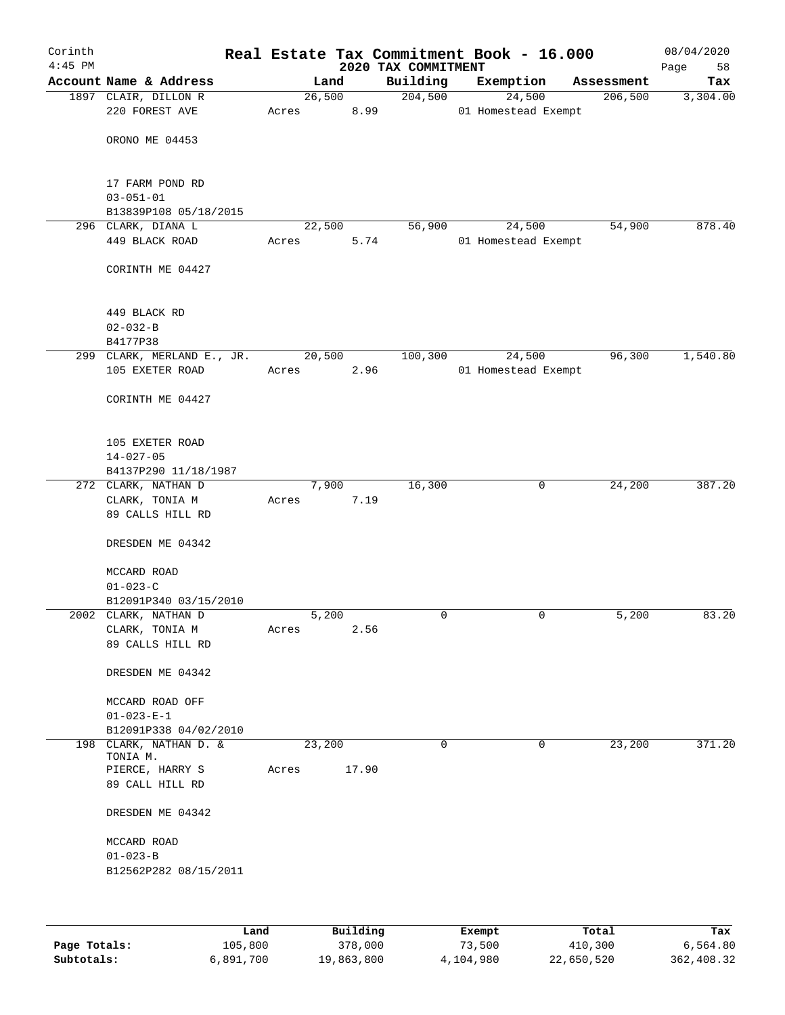| Building<br>Account Name & Address<br>Exemption<br>Land<br>Assessment<br>204,500<br>24,500<br>1897 CLAIR, DILLON R<br>26,500<br>206,500<br>220 FOREST AVE<br>8.99<br>01 Homestead Exempt<br>Acres<br>ORONO ME 04453<br>17 FARM POND RD<br>$03 - 051 - 01$<br>B13839P108 05/18/2015<br>296 CLARK, DIANA L<br>22,500<br>56,900<br>24,500<br>54,900<br>449 BLACK ROAD<br>Acres<br>5.74<br>01 Homestead Exempt<br>CORINTH ME 04427<br>449 BLACK RD<br>$02 - 032 - B$<br>B4177P38<br>20,500<br>100,300<br>24,500<br>96,300<br>299 CLARK, MERLAND E., JR.<br>105 EXETER ROAD<br>2.96<br>01 Homestead Exempt<br>Acres<br>CORINTH ME 04427<br>105 EXETER ROAD<br>$14 - 027 - 05$<br>B4137P290 11/18/1987<br>16,300<br>24,200<br>272 CLARK, NATHAN D<br>7,900<br>0<br>7.19<br>CLARK, TONIA M<br>Acres<br>89 CALLS HILL RD<br>DRESDEN ME 04342<br>MCCARD ROAD<br>$01 - 023 - C$<br>B12091P340 03/15/2010<br>5,200<br>0<br>0<br>5,200<br>2002 CLARK, NATHAN D<br>2.56<br>CLARK, TONIA M<br>Acres<br>89 CALLS HILL RD<br>DRESDEN ME 04342<br>MCCARD ROAD OFF<br>$01 - 023 - E - 1$<br>B12091P338 04/02/2010<br>23,200<br>$\mathbf 0$<br>23,200<br>198 CLARK, NATHAN D. &<br>0<br>TONIA M.<br>17.90<br>PIERCE, HARRY S<br>Acres<br>89 CALL HILL RD<br>DRESDEN ME 04342<br>MCCARD ROAD<br>$01 - 023 - B$<br>B12562P282 08/15/2011 | Corinth<br>$4:45$ PM |  |  | 2020 TAX COMMITMENT | Real Estate Tax Commitment Book - 16.000 |  | 08/04/2020<br>Page<br>58 |
|---------------------------------------------------------------------------------------------------------------------------------------------------------------------------------------------------------------------------------------------------------------------------------------------------------------------------------------------------------------------------------------------------------------------------------------------------------------------------------------------------------------------------------------------------------------------------------------------------------------------------------------------------------------------------------------------------------------------------------------------------------------------------------------------------------------------------------------------------------------------------------------------------------------------------------------------------------------------------------------------------------------------------------------------------------------------------------------------------------------------------------------------------------------------------------------------------------------------------------------------------------------------------------------------------------------------|----------------------|--|--|---------------------|------------------------------------------|--|--------------------------|
|                                                                                                                                                                                                                                                                                                                                                                                                                                                                                                                                                                                                                                                                                                                                                                                                                                                                                                                                                                                                                                                                                                                                                                                                                                                                                                                     |                      |  |  |                     |                                          |  | Tax                      |
|                                                                                                                                                                                                                                                                                                                                                                                                                                                                                                                                                                                                                                                                                                                                                                                                                                                                                                                                                                                                                                                                                                                                                                                                                                                                                                                     |                      |  |  |                     |                                          |  | 3,304.00                 |
|                                                                                                                                                                                                                                                                                                                                                                                                                                                                                                                                                                                                                                                                                                                                                                                                                                                                                                                                                                                                                                                                                                                                                                                                                                                                                                                     |                      |  |  |                     |                                          |  |                          |
|                                                                                                                                                                                                                                                                                                                                                                                                                                                                                                                                                                                                                                                                                                                                                                                                                                                                                                                                                                                                                                                                                                                                                                                                                                                                                                                     |                      |  |  |                     |                                          |  |                          |
|                                                                                                                                                                                                                                                                                                                                                                                                                                                                                                                                                                                                                                                                                                                                                                                                                                                                                                                                                                                                                                                                                                                                                                                                                                                                                                                     |                      |  |  |                     |                                          |  | 878.40                   |
|                                                                                                                                                                                                                                                                                                                                                                                                                                                                                                                                                                                                                                                                                                                                                                                                                                                                                                                                                                                                                                                                                                                                                                                                                                                                                                                     |                      |  |  |                     |                                          |  |                          |
|                                                                                                                                                                                                                                                                                                                                                                                                                                                                                                                                                                                                                                                                                                                                                                                                                                                                                                                                                                                                                                                                                                                                                                                                                                                                                                                     |                      |  |  |                     |                                          |  |                          |
|                                                                                                                                                                                                                                                                                                                                                                                                                                                                                                                                                                                                                                                                                                                                                                                                                                                                                                                                                                                                                                                                                                                                                                                                                                                                                                                     |                      |  |  |                     |                                          |  |                          |
|                                                                                                                                                                                                                                                                                                                                                                                                                                                                                                                                                                                                                                                                                                                                                                                                                                                                                                                                                                                                                                                                                                                                                                                                                                                                                                                     |                      |  |  |                     |                                          |  | 1,540.80                 |
|                                                                                                                                                                                                                                                                                                                                                                                                                                                                                                                                                                                                                                                                                                                                                                                                                                                                                                                                                                                                                                                                                                                                                                                                                                                                                                                     |                      |  |  |                     |                                          |  |                          |
|                                                                                                                                                                                                                                                                                                                                                                                                                                                                                                                                                                                                                                                                                                                                                                                                                                                                                                                                                                                                                                                                                                                                                                                                                                                                                                                     |                      |  |  |                     |                                          |  |                          |
|                                                                                                                                                                                                                                                                                                                                                                                                                                                                                                                                                                                                                                                                                                                                                                                                                                                                                                                                                                                                                                                                                                                                                                                                                                                                                                                     |                      |  |  |                     |                                          |  |                          |
|                                                                                                                                                                                                                                                                                                                                                                                                                                                                                                                                                                                                                                                                                                                                                                                                                                                                                                                                                                                                                                                                                                                                                                                                                                                                                                                     |                      |  |  |                     |                                          |  |                          |
|                                                                                                                                                                                                                                                                                                                                                                                                                                                                                                                                                                                                                                                                                                                                                                                                                                                                                                                                                                                                                                                                                                                                                                                                                                                                                                                     |                      |  |  |                     |                                          |  | 387.20                   |
|                                                                                                                                                                                                                                                                                                                                                                                                                                                                                                                                                                                                                                                                                                                                                                                                                                                                                                                                                                                                                                                                                                                                                                                                                                                                                                                     |                      |  |  |                     |                                          |  |                          |
|                                                                                                                                                                                                                                                                                                                                                                                                                                                                                                                                                                                                                                                                                                                                                                                                                                                                                                                                                                                                                                                                                                                                                                                                                                                                                                                     |                      |  |  |                     |                                          |  |                          |
|                                                                                                                                                                                                                                                                                                                                                                                                                                                                                                                                                                                                                                                                                                                                                                                                                                                                                                                                                                                                                                                                                                                                                                                                                                                                                                                     |                      |  |  |                     |                                          |  |                          |
|                                                                                                                                                                                                                                                                                                                                                                                                                                                                                                                                                                                                                                                                                                                                                                                                                                                                                                                                                                                                                                                                                                                                                                                                                                                                                                                     |                      |  |  |                     |                                          |  |                          |
|                                                                                                                                                                                                                                                                                                                                                                                                                                                                                                                                                                                                                                                                                                                                                                                                                                                                                                                                                                                                                                                                                                                                                                                                                                                                                                                     |                      |  |  |                     |                                          |  |                          |
|                                                                                                                                                                                                                                                                                                                                                                                                                                                                                                                                                                                                                                                                                                                                                                                                                                                                                                                                                                                                                                                                                                                                                                                                                                                                                                                     |                      |  |  |                     |                                          |  | 83.20                    |
|                                                                                                                                                                                                                                                                                                                                                                                                                                                                                                                                                                                                                                                                                                                                                                                                                                                                                                                                                                                                                                                                                                                                                                                                                                                                                                                     |                      |  |  |                     |                                          |  |                          |
|                                                                                                                                                                                                                                                                                                                                                                                                                                                                                                                                                                                                                                                                                                                                                                                                                                                                                                                                                                                                                                                                                                                                                                                                                                                                                                                     |                      |  |  |                     |                                          |  |                          |
|                                                                                                                                                                                                                                                                                                                                                                                                                                                                                                                                                                                                                                                                                                                                                                                                                                                                                                                                                                                                                                                                                                                                                                                                                                                                                                                     |                      |  |  |                     |                                          |  |                          |
|                                                                                                                                                                                                                                                                                                                                                                                                                                                                                                                                                                                                                                                                                                                                                                                                                                                                                                                                                                                                                                                                                                                                                                                                                                                                                                                     |                      |  |  |                     |                                          |  |                          |
|                                                                                                                                                                                                                                                                                                                                                                                                                                                                                                                                                                                                                                                                                                                                                                                                                                                                                                                                                                                                                                                                                                                                                                                                                                                                                                                     |                      |  |  |                     |                                          |  |                          |
|                                                                                                                                                                                                                                                                                                                                                                                                                                                                                                                                                                                                                                                                                                                                                                                                                                                                                                                                                                                                                                                                                                                                                                                                                                                                                                                     |                      |  |  |                     |                                          |  | 371.20                   |
|                                                                                                                                                                                                                                                                                                                                                                                                                                                                                                                                                                                                                                                                                                                                                                                                                                                                                                                                                                                                                                                                                                                                                                                                                                                                                                                     |                      |  |  |                     |                                          |  |                          |
|                                                                                                                                                                                                                                                                                                                                                                                                                                                                                                                                                                                                                                                                                                                                                                                                                                                                                                                                                                                                                                                                                                                                                                                                                                                                                                                     |                      |  |  |                     |                                          |  |                          |
|                                                                                                                                                                                                                                                                                                                                                                                                                                                                                                                                                                                                                                                                                                                                                                                                                                                                                                                                                                                                                                                                                                                                                                                                                                                                                                                     |                      |  |  |                     |                                          |  |                          |
|                                                                                                                                                                                                                                                                                                                                                                                                                                                                                                                                                                                                                                                                                                                                                                                                                                                                                                                                                                                                                                                                                                                                                                                                                                                                                                                     |                      |  |  |                     |                                          |  |                          |
|                                                                                                                                                                                                                                                                                                                                                                                                                                                                                                                                                                                                                                                                                                                                                                                                                                                                                                                                                                                                                                                                                                                                                                                                                                                                                                                     |                      |  |  |                     |                                          |  |                          |
|                                                                                                                                                                                                                                                                                                                                                                                                                                                                                                                                                                                                                                                                                                                                                                                                                                                                                                                                                                                                                                                                                                                                                                                                                                                                                                                     |                      |  |  |                     |                                          |  |                          |
|                                                                                                                                                                                                                                                                                                                                                                                                                                                                                                                                                                                                                                                                                                                                                                                                                                                                                                                                                                                                                                                                                                                                                                                                                                                                                                                     |                      |  |  |                     |                                          |  |                          |

|              | ⊥and      | Building   | Exempt    | Total      | Tax        |
|--------------|-----------|------------|-----------|------------|------------|
| Page Totals: | 105,800   | 378,000    | 73,500    | 410,300    | 6,564.80   |
| Subtotals:   | 6,891,700 | 19,863,800 | 4,104,980 | 22,650,520 | 362,408.32 |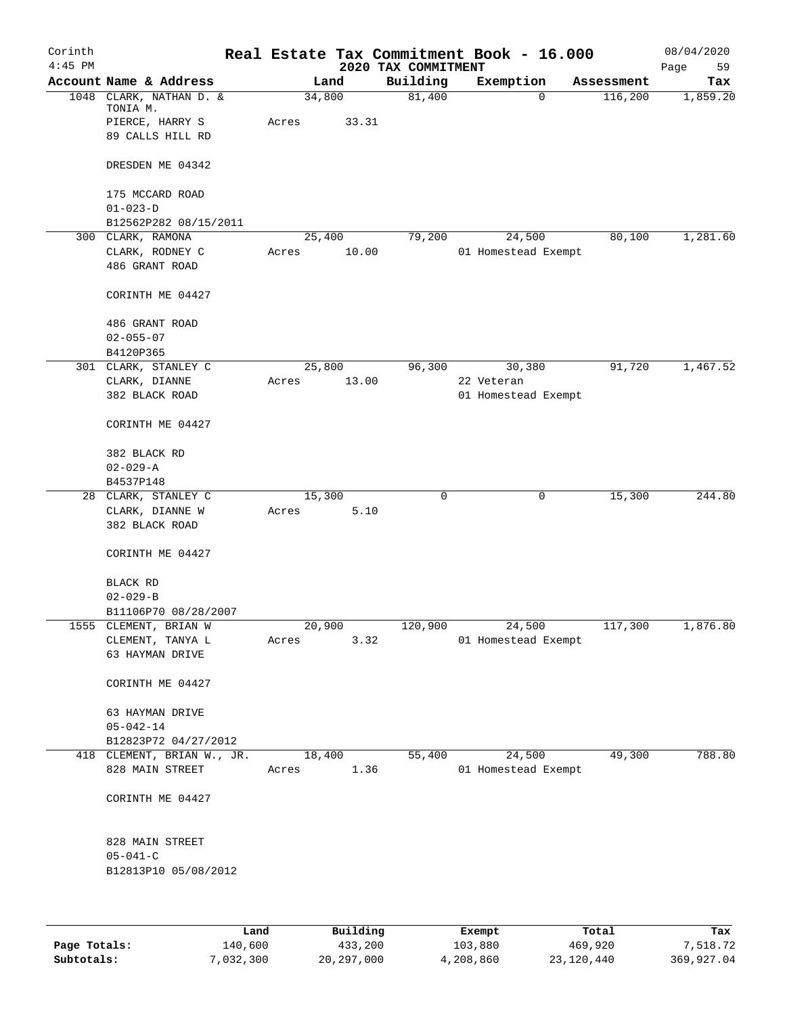| Corinth<br>$4:45$ PM |                                     |       |        |        | 2020 TAX COMMITMENT | Real Estate Tax Commitment Book - 16.000 |            | 08/04/2020<br>Page<br>59 |
|----------------------|-------------------------------------|-------|--------|--------|---------------------|------------------------------------------|------------|--------------------------|
|                      | Account Name & Address              |       | Land   |        | Building            | Exemption                                | Assessment | Tax                      |
|                      | 1048 CLARK, NATHAN D. &<br>TONIA M. |       | 34,800 |        | 81,400              | $\mathbf 0$                              | 116,200    | 1,859.20                 |
|                      | PIERCE, HARRY S<br>89 CALLS HILL RD | Acres |        | 33.31  |                     |                                          |            |                          |
|                      | DRESDEN ME 04342                    |       |        |        |                     |                                          |            |                          |
|                      | 175 MCCARD ROAD<br>$01 - 023 - D$   |       |        |        |                     |                                          |            |                          |
|                      | B12562P282 08/15/2011               |       |        |        |                     |                                          |            |                          |
|                      | 300 CLARK, RAMONA                   |       | 25,400 |        | 79,200              | 24,500                                   | 80,100     | 1,281.60                 |
|                      | CLARK, RODNEY C<br>486 GRANT ROAD   | Acres |        | 10.00  |                     | 01 Homestead Exempt                      |            |                          |
|                      | CORINTH ME 04427                    |       |        |        |                     |                                          |            |                          |
|                      | 486 GRANT ROAD<br>$02 - 055 - 07$   |       |        |        |                     |                                          |            |                          |
|                      | B4120P365                           |       |        |        |                     |                                          |            |                          |
|                      | 301 CLARK, STANLEY C                |       | 25,800 |        | 96,300              | 30,380                                   | 91,720     | 1,467.52                 |
|                      | CLARK, DIANNE                       | Acres |        | 13.00  |                     | 22 Veteran                               |            |                          |
|                      | 382 BLACK ROAD                      |       |        |        |                     | 01 Homestead Exempt                      |            |                          |
|                      | CORINTH ME 04427                    |       |        |        |                     |                                          |            |                          |
|                      | 382 BLACK RD<br>$02 - 029 - A$      |       |        |        |                     |                                          |            |                          |
|                      | B4537P148                           |       |        |        |                     |                                          |            |                          |
|                      | 28 CLARK, STANLEY C                 |       | 15,300 |        | 0                   | 0                                        | 15,300     | 244.80                   |
|                      | CLARK, DIANNE W                     | Acres |        | 5.10   |                     |                                          |            |                          |
|                      | 382 BLACK ROAD                      |       |        |        |                     |                                          |            |                          |
|                      | CORINTH ME 04427                    |       |        |        |                     |                                          |            |                          |
|                      | BLACK RD                            |       |        |        |                     |                                          |            |                          |
|                      | $02 - 029 - B$                      |       |        |        |                     |                                          |            |                          |
|                      | B11106P70 08/28/2007                |       |        |        |                     |                                          |            |                          |
|                      | 1555 CLEMENT, BRIAN W               |       | 20,900 |        | 120,900             | 24,500                                   | 117,300    | 1,876.80                 |
|                      | CLEMENT, TANYA L<br>63 HAYMAN DRIVE | Acres |        | 3.32   |                     | 01 Homestead Exempt                      |            |                          |
|                      | CORINTH ME 04427                    |       |        |        |                     |                                          |            |                          |
|                      | 63 HAYMAN DRIVE<br>$05 - 042 - 14$  |       |        |        |                     |                                          |            |                          |
|                      | B12823P72 04/27/2012                |       |        |        |                     |                                          |            |                          |
|                      | 418 CLEMENT, BRIAN W., JR.          |       |        | 18,400 | 55,400              | 24,500                                   | 49,300     | 788.80                   |
|                      | 828 MAIN STREET                     | Acres |        | 1.36   |                     | 01 Homestead Exempt                      |            |                          |
|                      | CORINTH ME 04427                    |       |        |        |                     |                                          |            |                          |
|                      | 828 MAIN STREET                     |       |        |        |                     |                                          |            |                          |
|                      | $05 - 041 - C$                      |       |        |        |                     |                                          |            |                          |
|                      | B12813P10 05/08/2012                |       |        |        |                     |                                          |            |                          |
|                      |                                     |       |        |        |                     |                                          |            |                          |

|              | Land      | Building   | Exempt    | Total      | Tax        |
|--------------|-----------|------------|-----------|------------|------------|
| Page Totals: | 140,600   | 433,200    | 103,880   | 469,920    | 7,518.72   |
| Subtotals:   | 7,032,300 | 20,297,000 | 4,208,860 | 23,120,440 | 369,927.04 |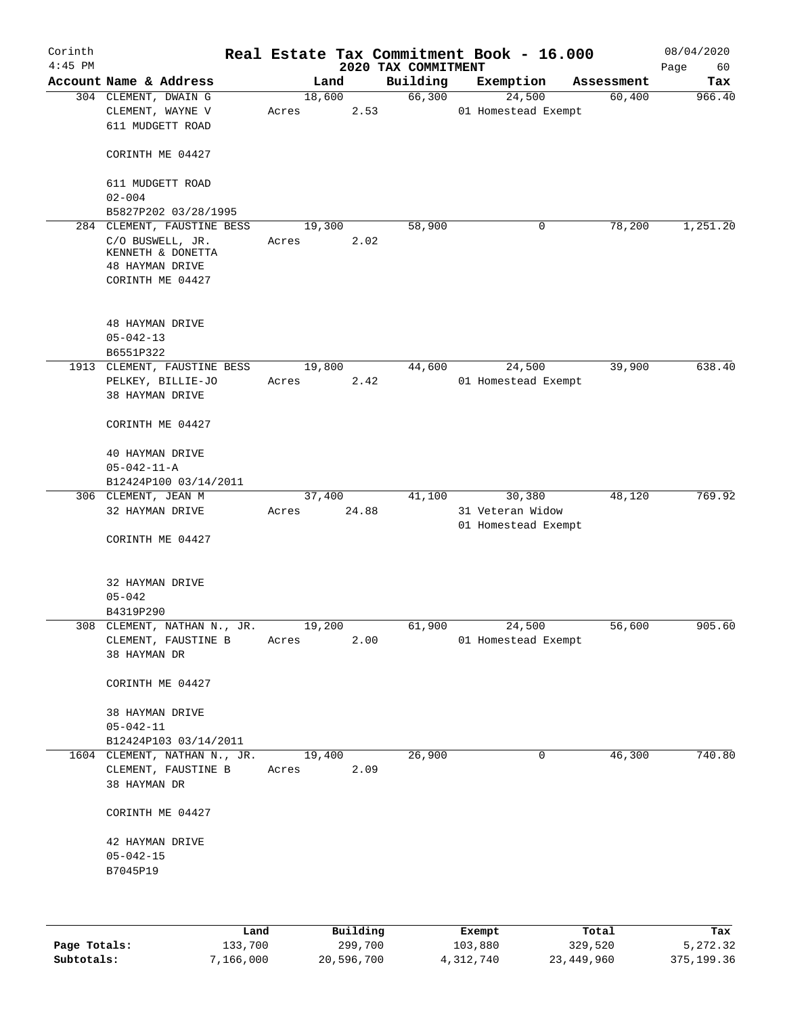| Corinth<br>$4:45$ PM |                                                                              |       |                 | 2020 TAX COMMITMENT | Real Estate Tax Commitment Book - 16.000          |            | 08/04/2020<br>Page<br>60 |
|----------------------|------------------------------------------------------------------------------|-------|-----------------|---------------------|---------------------------------------------------|------------|--------------------------|
|                      | Account Name & Address                                                       |       | Land            | Building            | Exemption                                         | Assessment | Tax                      |
|                      | 304 CLEMENT, DWAIN G<br>CLEMENT, WAYNE V<br>611 MUDGETT ROAD                 | Acres | 18,600<br>2.53  | 66,300              | 24,500<br>01 Homestead Exempt                     | 60,400     | 966.40                   |
|                      | CORINTH ME 04427                                                             |       |                 |                     |                                                   |            |                          |
|                      | 611 MUDGETT ROAD<br>$02 - 004$                                               |       |                 |                     |                                                   |            |                          |
|                      | B5827P202 03/28/1995                                                         |       |                 |                     |                                                   |            |                          |
|                      | 284 CLEMENT, FAUSTINE BESS                                                   |       | 19,300          | 58,900              | 0                                                 | 78,200     | 1,251.20                 |
|                      | C/O BUSWELL, JR.<br>KENNETH & DONETTA<br>48 HAYMAN DRIVE<br>CORINTH ME 04427 | Acres | 2.02            |                     |                                                   |            |                          |
|                      | <b>48 HAYMAN DRIVE</b><br>$05 - 042 - 13$                                    |       |                 |                     |                                                   |            |                          |
|                      | B6551P322                                                                    |       |                 |                     |                                                   |            |                          |
| 1913                 | CLEMENT, FAUSTINE BESS<br>PELKEY, BILLIE-JO<br>38 HAYMAN DRIVE               | Acres | 19,800<br>2.42  | 44,600              | 24,500<br>01 Homestead Exempt                     | 39,900     | 638.40                   |
|                      | CORINTH ME 04427                                                             |       |                 |                     |                                                   |            |                          |
|                      | 40 HAYMAN DRIVE<br>$05 - 042 - 11 - A$                                       |       |                 |                     |                                                   |            |                          |
|                      | B12424P100 03/14/2011                                                        |       |                 |                     |                                                   |            |                          |
|                      | 306 CLEMENT, JEAN M<br>32 HAYMAN DRIVE                                       | Acres | 37,400<br>24.88 | 41,100              | 30,380<br>31 Veteran Widow<br>01 Homestead Exempt | 48,120     | 769.92                   |
|                      | CORINTH ME 04427                                                             |       |                 |                     |                                                   |            |                          |
|                      | 32 HAYMAN DRIVE<br>$05 - 042$                                                |       |                 |                     |                                                   |            |                          |
|                      | B4319P290                                                                    |       |                 |                     |                                                   |            |                          |
| 308                  | CLEMENT, NATHAN N., JR.<br>CLEMENT, FAUSTINE B<br>38 HAYMAN DR               | Acres | 19,200<br>2.00  | 61,900              | 24,500<br>01 Homestead Exempt                     | 56,600     | 905.60                   |
|                      | CORINTH ME 04427                                                             |       |                 |                     |                                                   |            |                          |
|                      | 38 HAYMAN DRIVE<br>$05 - 042 - 11$<br>B12424P103 03/14/2011                  |       |                 |                     |                                                   |            |                          |
|                      | 1604 CLEMENT, NATHAN N., JR.                                                 |       | 19,400          | 26,900              | 0                                                 | 46,300     | 740.80                   |
|                      | CLEMENT, FAUSTINE B<br>38 HAYMAN DR                                          | Acres | 2.09            |                     |                                                   |            |                          |
|                      | CORINTH ME 04427                                                             |       |                 |                     |                                                   |            |                          |
|                      | 42 HAYMAN DRIVE<br>$05 - 042 - 15$<br>B7045P19                               |       |                 |                     |                                                   |            |                          |
|                      |                                                                              |       |                 |                     |                                                   |            |                          |

|              | Land      | Building   | Exempt    | Total      | Tax        |
|--------------|-----------|------------|-----------|------------|------------|
| Page Totals: | 133,700   | 299,700    | 103,880   | 329,520    | 5,272.32   |
| Subtotals:   | 7,166,000 | 20,596,700 | 4,312,740 | 23,449,960 | 375,199.36 |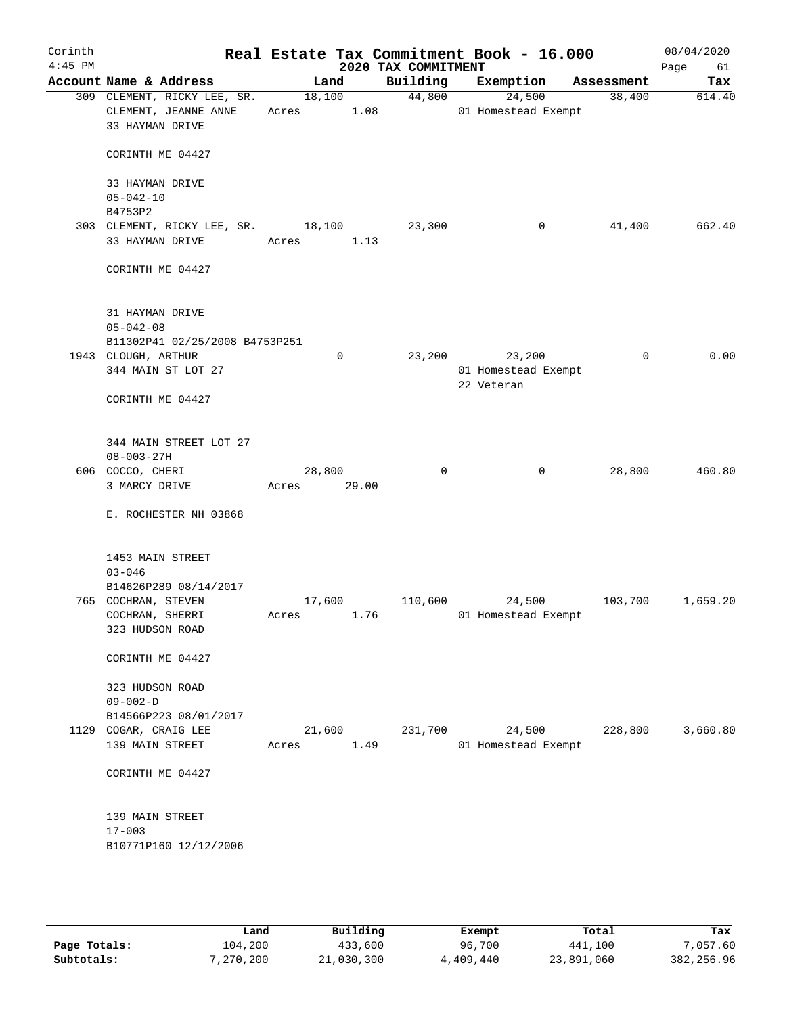| Corinth<br>$4:45$ PM |                                                                        |       |                | Real Estate Tax Commitment Book - 16.000<br>2020 TAX COMMITMENT |            |                               |            | 08/04/2020<br>Page<br>61 |
|----------------------|------------------------------------------------------------------------|-------|----------------|-----------------------------------------------------------------|------------|-------------------------------|------------|--------------------------|
|                      | Account Name & Address                                                 |       | Land           | Building                                                        | Exemption  |                               | Assessment | Tax                      |
|                      | 309 CLEMENT, RICKY LEE, SR.<br>CLEMENT, JEANNE ANNE<br>33 HAYMAN DRIVE | Acres | 18,100<br>1.08 | 44,800                                                          |            | 24,500<br>01 Homestead Exempt | 38,400     | 614.40                   |
|                      | CORINTH ME 04427                                                       |       |                |                                                                 |            |                               |            |                          |
|                      | 33 HAYMAN DRIVE<br>$05 - 042 - 10$                                     |       |                |                                                                 |            |                               |            |                          |
|                      | B4753P2                                                                |       |                |                                                                 |            |                               |            |                          |
|                      | 303 CLEMENT, RICKY LEE, SR.                                            |       | 18,100         | 23,300                                                          |            | 0                             | 41,400     | 662.40                   |
|                      | 33 HAYMAN DRIVE                                                        | Acres | 1.13           |                                                                 |            |                               |            |                          |
|                      | CORINTH ME 04427                                                       |       |                |                                                                 |            |                               |            |                          |
|                      | 31 HAYMAN DRIVE                                                        |       |                |                                                                 |            |                               |            |                          |
|                      | $05 - 042 - 08$                                                        |       |                |                                                                 |            |                               |            |                          |
|                      | B11302P41 02/25/2008 B4753P251<br>1943 CLOUGH, ARTHUR                  |       | 0              | 23,200                                                          |            | 23,200                        | 0          | 0.00                     |
|                      | 344 MAIN ST LOT 27                                                     |       |                |                                                                 |            | 01 Homestead Exempt           |            |                          |
|                      |                                                                        |       |                |                                                                 | 22 Veteran |                               |            |                          |
|                      | CORINTH ME 04427                                                       |       |                |                                                                 |            |                               |            |                          |
|                      | 344 MAIN STREET LOT 27<br>$08 - 003 - 27H$                             |       |                |                                                                 |            |                               |            |                          |
|                      | 606 COCCO, CHERI                                                       |       | 28,800         | 0                                                               |            | 0                             | 28,800     | 460.80                   |
|                      | 3 MARCY DRIVE                                                          | Acres | 29.00          |                                                                 |            |                               |            |                          |
|                      | E. ROCHESTER NH 03868                                                  |       |                |                                                                 |            |                               |            |                          |
|                      | 1453 MAIN STREET                                                       |       |                |                                                                 |            |                               |            |                          |
|                      | $03 - 046$                                                             |       |                |                                                                 |            |                               |            |                          |
|                      | B14626P289 08/14/2017<br>765 COCHRAN, STEVEN                           |       | 17,600         | 110,600                                                         |            | 24,500                        | 103,700    | 1,659.20                 |
|                      | COCHRAN, SHERRI                                                        | Acres | 1.76           |                                                                 |            | 01 Homestead Exempt           |            |                          |
|                      | 323 HUDSON ROAD                                                        |       |                |                                                                 |            |                               |            |                          |
|                      | CORINTH ME 04427                                                       |       |                |                                                                 |            |                               |            |                          |
|                      | 323 HUDSON ROAD<br>$09 - 002 - D$                                      |       |                |                                                                 |            |                               |            |                          |
|                      | B14566P223 08/01/2017                                                  |       |                |                                                                 |            |                               |            |                          |
|                      | 1129 COGAR, CRAIG LEE                                                  |       | 21,600         | 231,700                                                         |            | 24,500                        | 228,800    | 3,660.80                 |
|                      | 139 MAIN STREET                                                        | Acres | 1.49           |                                                                 |            | 01 Homestead Exempt           |            |                          |
|                      | CORINTH ME 04427                                                       |       |                |                                                                 |            |                               |            |                          |
|                      | 139 MAIN STREET                                                        |       |                |                                                                 |            |                               |            |                          |
|                      | $17 - 003$                                                             |       |                |                                                                 |            |                               |            |                          |
|                      | B10771P160 12/12/2006                                                  |       |                |                                                                 |            |                               |            |                          |
|                      |                                                                        |       |                |                                                                 |            |                               |            |                          |
|                      |                                                                        |       |                |                                                                 |            |                               |            |                          |

|              | Land      | Building   | Exempt    | Total      | Tax         |
|--------------|-----------|------------|-----------|------------|-------------|
| Page Totals: | 104,200   | 433,600    | 96,700    | 441,100    | 7,057.60    |
| Subtotals:   | 7,270,200 | 21,030,300 | 4,409,440 | 23,891,060 | 382, 256.96 |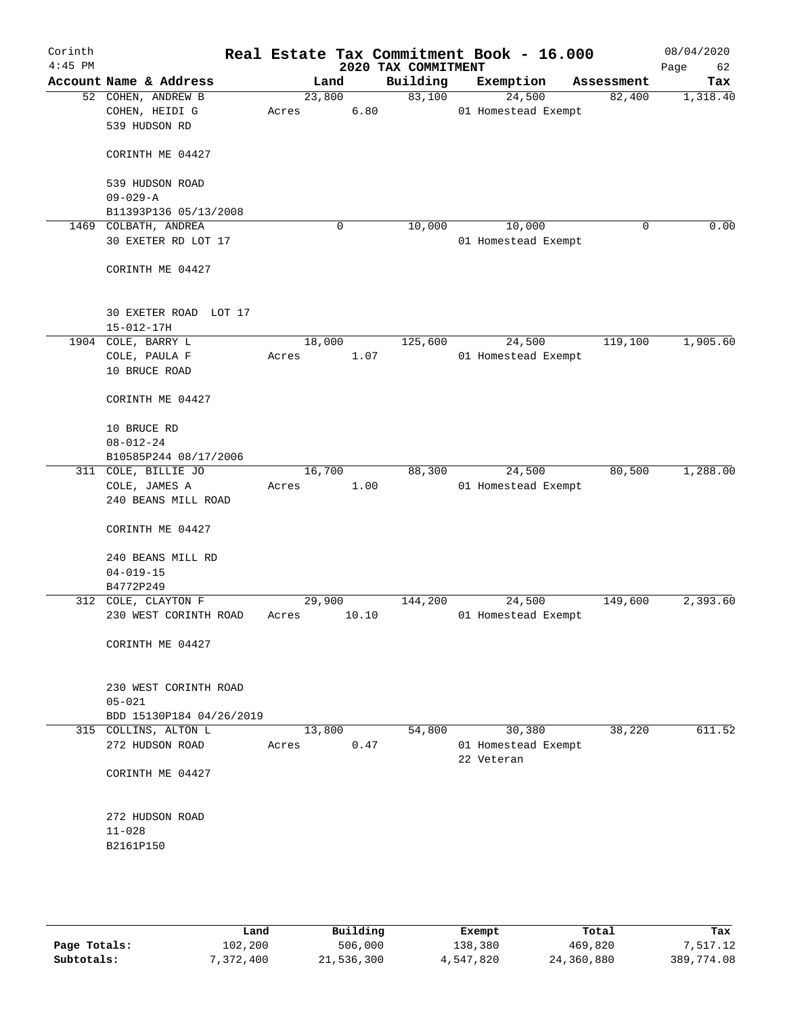| Corinth<br>$4:45$ PM |                                                             |                 |       | 2020 TAX COMMITMENT | Real Estate Tax Commitment Book - 16.000 |             | 08/04/2020<br>Page<br>62 |
|----------------------|-------------------------------------------------------------|-----------------|-------|---------------------|------------------------------------------|-------------|--------------------------|
|                      | Account Name & Address                                      | Land            |       | Building            | Exemption                                | Assessment  | Tax                      |
|                      | 52 COHEN, ANDREW B<br>COHEN, HEIDI G<br>539 HUDSON RD       | 23,800<br>Acres | 6.80  | 83,100              | 24,500<br>01 Homestead Exempt            | 82,400      | 1,318.40                 |
|                      | CORINTH ME 04427                                            |                 |       |                     |                                          |             |                          |
|                      | 539 HUDSON ROAD<br>$09 - 029 - A$                           |                 |       |                     |                                          |             |                          |
|                      | B11393P136 05/13/2008                                       |                 |       |                     |                                          |             |                          |
| 1469                 | COLBATH, ANDREA<br>30 EXETER RD LOT 17                      |                 | 0     | 10,000              | 10,000<br>01 Homestead Exempt            | $\mathbf 0$ | 0.00                     |
|                      | CORINTH ME 04427                                            |                 |       |                     |                                          |             |                          |
|                      | 30 EXETER ROAD LOT 17<br>$15 - 012 - 17H$                   |                 |       |                     |                                          |             |                          |
|                      | 1904 COLE, BARRY L                                          | 18,000          |       | 125,600             | 24,500                                   | 119,100     | 1,905.60                 |
|                      | COLE, PAULA F<br>10 BRUCE ROAD                              | Acres           | 1.07  |                     | 01 Homestead Exempt                      |             |                          |
|                      | CORINTH ME 04427                                            |                 |       |                     |                                          |             |                          |
|                      | 10 BRUCE RD<br>$08 - 012 - 24$                              |                 |       |                     |                                          |             |                          |
|                      | B10585P244 08/17/2006                                       |                 |       |                     |                                          |             |                          |
|                      | 311 COLE, BILLIE JO<br>COLE, JAMES A<br>240 BEANS MILL ROAD | 16,700<br>Acres | 1.00  | 88,300              | 24,500<br>01 Homestead Exempt            | 80,500      | 1,288.00                 |
|                      | CORINTH ME 04427                                            |                 |       |                     |                                          |             |                          |
|                      | 240 BEANS MILL RD<br>$04 - 019 - 15$                        |                 |       |                     |                                          |             |                          |
|                      | B4772P249                                                   |                 |       |                     |                                          |             |                          |
|                      | 312 COLE, CLAYTON F<br>230 WEST CORINTH ROAD                | 29,900<br>Acres | 10.10 | 144,200             | 24,500<br>01 Homestead Exempt            | 149,600     | 2,393.60                 |
|                      | CORINTH ME 04427                                            |                 |       |                     |                                          |             |                          |
|                      | 230 WEST CORINTH ROAD<br>$05 - 021$                         |                 |       |                     |                                          |             |                          |
|                      | BDD 15130P184 04/26/2019<br>315 COLLINS, ALTON L            | 13,800          |       | 54,800              | 30,380                                   | 38,220      | 611.52                   |
|                      | 272 HUDSON ROAD                                             | Acres           | 0.47  |                     | 01 Homestead Exempt<br>22 Veteran        |             |                          |
|                      | CORINTH ME 04427                                            |                 |       |                     |                                          |             |                          |
|                      | 272 HUDSON ROAD                                             |                 |       |                     |                                          |             |                          |
|                      | $11 - 028$<br>B2161P150                                     |                 |       |                     |                                          |             |                          |
|                      |                                                             |                 |       |                     |                                          |             |                          |

|              | Land      | Building   | Exempt    | Total      | Tax        |
|--------------|-----------|------------|-----------|------------|------------|
| Page Totals: | 102,200   | 506,000    | 138,380   | 469,820    | 7,517.12   |
| Subtotals:   | 7,372,400 | 21,536,300 | 4,547,820 | 24,360,880 | 389,774.08 |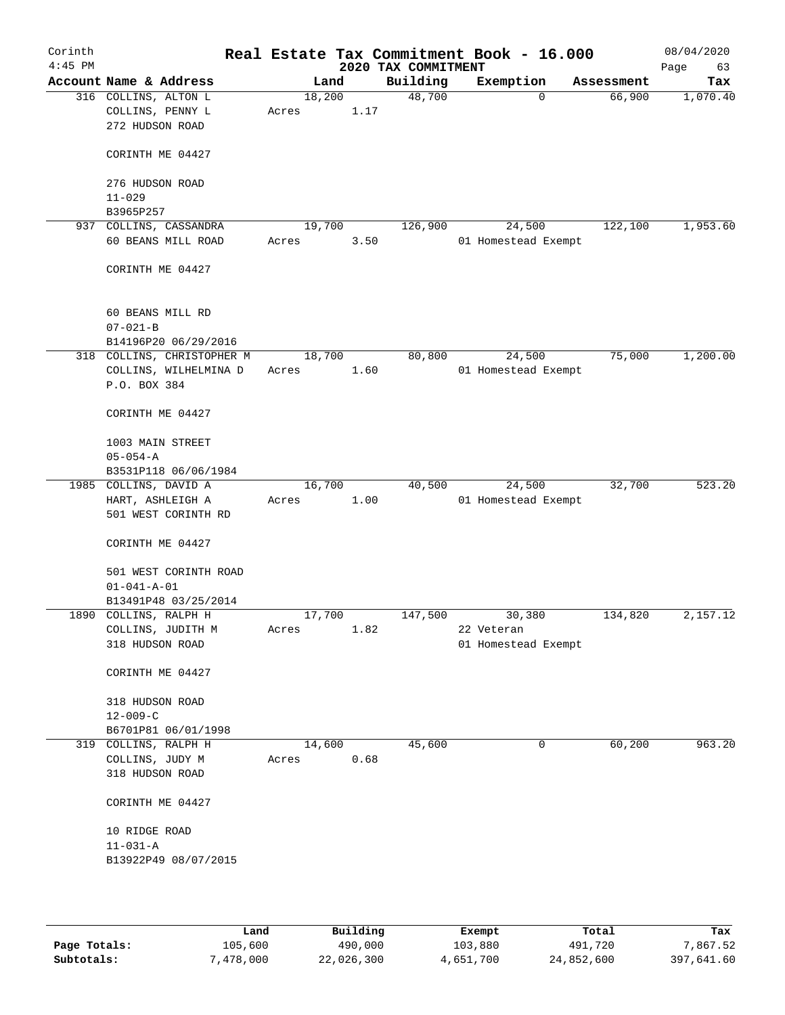| Corinth<br>$4:45$ PM |                                                             |                 |      | 2020 TAX COMMITMENT | Real Estate Tax Commitment Book - 16.000 |            | 08/04/2020<br>Page<br>63 |
|----------------------|-------------------------------------------------------------|-----------------|------|---------------------|------------------------------------------|------------|--------------------------|
|                      | Account Name & Address                                      | Land            |      | Building            | Exemption                                | Assessment | Tax                      |
|                      | 316 COLLINS, ALTON L<br>COLLINS, PENNY L<br>272 HUDSON ROAD | 18,200<br>Acres | 1.17 | 48,700              | $\Omega$                                 | 66,900     | 1,070.40                 |
|                      | CORINTH ME 04427                                            |                 |      |                     |                                          |            |                          |
|                      | 276 HUDSON ROAD<br>$11 - 029$                               |                 |      |                     |                                          |            |                          |
|                      | B3965P257                                                   |                 |      |                     |                                          |            |                          |
| 937                  | COLLINS, CASSANDRA                                          | 19,700          |      | 126,900             | 24,500                                   | 122,100    | 1,953.60                 |
|                      | 60 BEANS MILL ROAD                                          | Acres           | 3.50 |                     | 01 Homestead Exempt                      |            |                          |
|                      | CORINTH ME 04427                                            |                 |      |                     |                                          |            |                          |
|                      | 60 BEANS MILL RD                                            |                 |      |                     |                                          |            |                          |
|                      | $07 - 021 - B$                                              |                 |      |                     |                                          |            |                          |
|                      | B14196P20 06/29/2016                                        |                 |      |                     |                                          |            |                          |
|                      | 318 COLLINS, CHRISTOPHER M                                  | 18,700          |      | 80,800              | 24,500<br>01 Homestead Exempt            | 75,000     | 1,200.00                 |
|                      | COLLINS, WILHELMINA D<br>P.O. BOX 384                       | Acres           | 1.60 |                     |                                          |            |                          |
|                      | CORINTH ME 04427                                            |                 |      |                     |                                          |            |                          |
|                      | 1003 MAIN STREET                                            |                 |      |                     |                                          |            |                          |
|                      | $05 - 054 - A$                                              |                 |      |                     |                                          |            |                          |
|                      | B3531P118 06/06/1984                                        |                 |      |                     |                                          |            |                          |
|                      | 1985 COLLINS, DAVID A                                       | 16,700          |      | 40,500              | 24,500                                   | 32,700     | 523.20                   |
|                      | HART, ASHLEIGH A                                            | Acres           | 1.00 |                     | 01 Homestead Exempt                      |            |                          |
|                      | 501 WEST CORINTH RD                                         |                 |      |                     |                                          |            |                          |
|                      | CORINTH ME 04427                                            |                 |      |                     |                                          |            |                          |
|                      | 501 WEST CORINTH ROAD                                       |                 |      |                     |                                          |            |                          |
|                      | $01 - 041 - A - 01$                                         |                 |      |                     |                                          |            |                          |
|                      | B13491P48 03/25/2014                                        |                 |      |                     |                                          |            |                          |
|                      | 1890 COLLINS, RALPH H                                       | 17,700          |      | 147,500             | 30,380                                   | 134,820    | 2,157.12                 |
|                      | COLLINS, JUDITH M                                           | Acres           | 1.82 |                     | 22 Veteran                               |            |                          |
|                      | 318 HUDSON ROAD                                             |                 |      |                     | 01 Homestead Exempt                      |            |                          |
|                      | CORINTH ME 04427                                            |                 |      |                     |                                          |            |                          |
|                      | 318 HUDSON ROAD                                             |                 |      |                     |                                          |            |                          |
|                      | $12 - 009 - C$                                              |                 |      |                     |                                          |            |                          |
|                      | B6701P81 06/01/1998                                         |                 |      |                     |                                          |            |                          |
|                      | 319 COLLINS, RALPH H                                        | 14,600          |      | 45,600              | 0                                        | 60,200     | 963.20                   |
|                      | COLLINS, JUDY M                                             | Acres           | 0.68 |                     |                                          |            |                          |
|                      | 318 HUDSON ROAD                                             |                 |      |                     |                                          |            |                          |
|                      | CORINTH ME 04427                                            |                 |      |                     |                                          |            |                          |
|                      | 10 RIDGE ROAD                                               |                 |      |                     |                                          |            |                          |
|                      | $11 - 031 - A$                                              |                 |      |                     |                                          |            |                          |
|                      | B13922P49 08/07/2015                                        |                 |      |                     |                                          |            |                          |
|                      |                                                             |                 |      |                     |                                          |            |                          |
|                      |                                                             |                 |      |                     |                                          |            |                          |

|              | Land      | Building   | Exempt    | Total      | Tax        |
|--------------|-----------|------------|-----------|------------|------------|
| Page Totals: | 105,600   | 490,000    | 103,880   | 491,720    | 7.867.52   |
| Subtotals:   | 7,478,000 | 22,026,300 | 4,651,700 | 24,852,600 | 397,641.60 |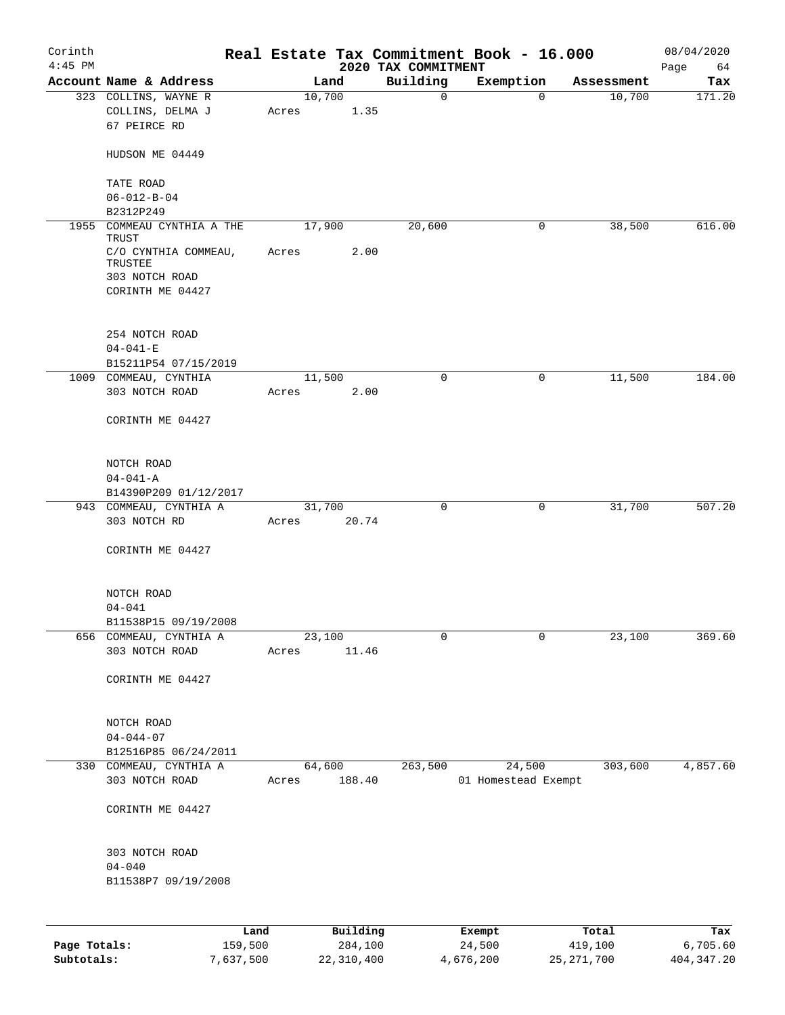| Corinth<br>$4:45$ PM |                                                          |       |                 |      | 2020 TAX COMMITMENT | Real Estate Tax Commitment Book - 16.000 |            | 08/04/2020<br>Page<br>64 |
|----------------------|----------------------------------------------------------|-------|-----------------|------|---------------------|------------------------------------------|------------|--------------------------|
|                      | Account Name & Address                                   |       | Land            |      | Building            | Exemption                                | Assessment | Tax                      |
|                      | 323 COLLINS, WAYNE R<br>COLLINS, DELMA J<br>67 PEIRCE RD | Acres | 10,700          | 1.35 | $\mathsf{O}$        | $\Omega$                                 | 10,700     | 171.20                   |
|                      | HUDSON ME 04449                                          |       |                 |      |                     |                                          |            |                          |
|                      | TATE ROAD                                                |       |                 |      |                     |                                          |            |                          |
|                      | $06 - 012 - B - 04$                                      |       |                 |      |                     |                                          |            |                          |
|                      | B2312P249                                                |       |                 |      |                     |                                          |            |                          |
|                      | 1955 COMMEAU CYNTHIA A THE<br>TRUST                      |       | 17,900          |      | 20,600              | 0                                        | 38,500     | 616.00                   |
|                      | C/O CYNTHIA COMMEAU,<br>TRUSTEE<br>303 NOTCH ROAD        | Acres |                 | 2.00 |                     |                                          |            |                          |
|                      | CORINTH ME 04427                                         |       |                 |      |                     |                                          |            |                          |
|                      | 254 NOTCH ROAD                                           |       |                 |      |                     |                                          |            |                          |
|                      | $04 - 041 - E$                                           |       |                 |      |                     |                                          |            |                          |
|                      | B15211P54 07/15/2019<br>1009 COMMEAU, CYNTHIA            |       | 11,500          |      | $\mathbf 0$         | $\mathbf 0$                              | 11,500     | 184.00                   |
|                      | 303 NOTCH ROAD                                           | Acres |                 | 2.00 |                     |                                          |            |                          |
|                      | CORINTH ME 04427                                         |       |                 |      |                     |                                          |            |                          |
|                      | NOTCH ROAD                                               |       |                 |      |                     |                                          |            |                          |
|                      | $04 - 041 - A$                                           |       |                 |      |                     |                                          |            |                          |
|                      | B14390P209 01/12/2017<br>943 COMMEAU, CYNTHIA A          |       | 31,700          |      | 0                   | 0                                        | 31,700     | 507.20                   |
|                      | 303 NOTCH RD                                             | Acres | 20.74           |      |                     |                                          |            |                          |
|                      | CORINTH ME 04427                                         |       |                 |      |                     |                                          |            |                          |
|                      | NOTCH ROAD                                               |       |                 |      |                     |                                          |            |                          |
|                      | $04 - 041$                                               |       |                 |      |                     |                                          |            |                          |
|                      | B11538P15 09/19/2008                                     |       |                 |      |                     |                                          |            |                          |
|                      | 656 COMMEAU, CYNTHIA A<br>303 NOTCH ROAD                 | Acres | 23,100<br>11.46 |      | 0                   | 0                                        | 23,100     | 369.60                   |
|                      | CORINTH ME 04427                                         |       |                 |      |                     |                                          |            |                          |
|                      | NOTCH ROAD                                               |       |                 |      |                     |                                          |            |                          |
|                      | $04 - 044 - 07$                                          |       |                 |      |                     |                                          |            |                          |
|                      | B12516P85 06/24/2011                                     |       |                 |      |                     |                                          |            |                          |
|                      | 330 COMMEAU, CYNTHIA A                                   |       | 64,600          |      | 263,500             | 24,500                                   | 303,600    | 4,857.60                 |
|                      | 303 NOTCH ROAD                                           | Acres | 188.40          |      |                     | 01 Homestead Exempt                      |            |                          |
|                      | CORINTH ME 04427                                         |       |                 |      |                     |                                          |            |                          |
|                      | 303 NOTCH ROAD                                           |       |                 |      |                     |                                          |            |                          |
|                      | $04 - 040$                                               |       |                 |      |                     |                                          |            |                          |
|                      | B11538P7 09/19/2008                                      |       |                 |      |                     |                                          |            |                          |
|                      |                                                          |       |                 |      |                     |                                          |            |                          |
|                      | Land                                                     |       | Building        |      |                     | Exempt                                   | Total      | Tax                      |
| Page Totals:         | 159,500                                                  |       | 284,100         |      |                     | 24,500                                   | 419,100    | 6,705.60                 |

**Subtotals:** 7,637,500 22,310,400 4,676,200 25,271,700 404,347.20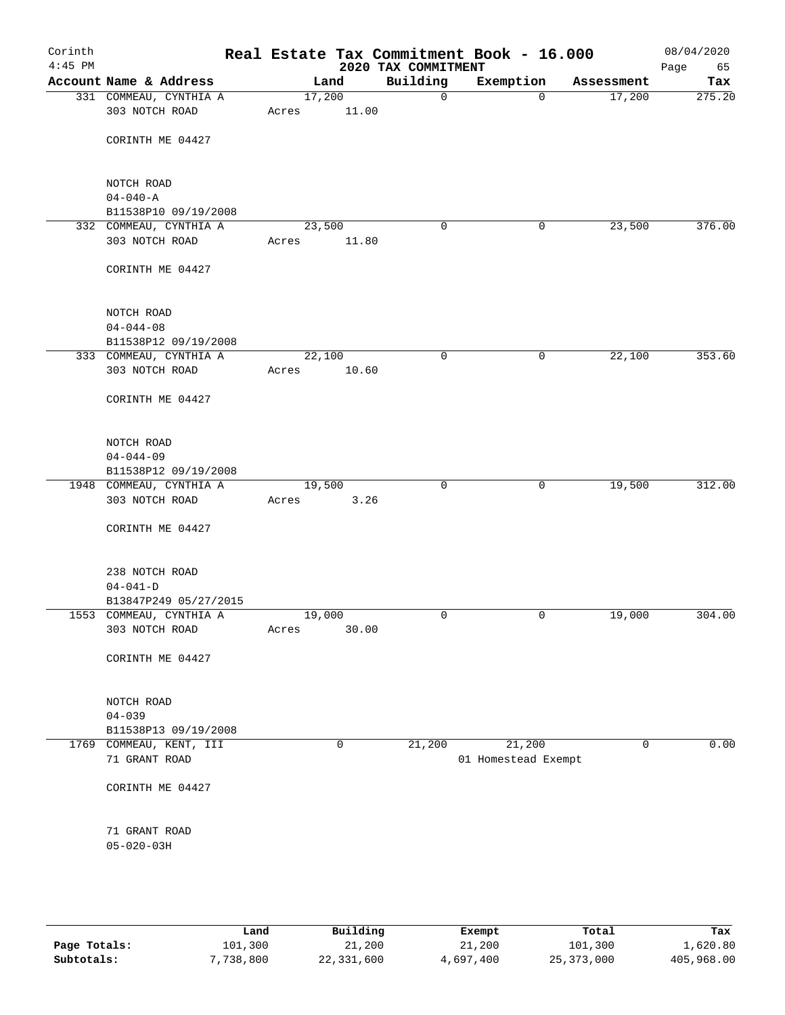| Corinth<br>$4:45$ PM |                                                |                 |       | 2020 TAX COMMITMENT | Real Estate Tax Commitment Book - 16.000 |             | 08/04/2020<br>Page<br>65 |
|----------------------|------------------------------------------------|-----------------|-------|---------------------|------------------------------------------|-------------|--------------------------|
|                      | Account Name & Address                         |                 | Land  | Building            | Exemption                                | Assessment  | Tax                      |
|                      | 331 COMMEAU, CYNTHIA A<br>303 NOTCH ROAD       | 17,200<br>Acres | 11.00 | $\mathsf{O}$        | $\overline{0}$                           | 17,200      | 275.20                   |
|                      | CORINTH ME 04427                               |                 |       |                     |                                          |             |                          |
|                      | NOTCH ROAD                                     |                 |       |                     |                                          |             |                          |
|                      | $04 - 040 - A$                                 |                 |       |                     |                                          |             |                          |
|                      | B11538P10 09/19/2008<br>332 COMMEAU, CYNTHIA A | 23,500          |       | $\mathbf 0$         | 0                                        | 23,500      | 376.00                   |
|                      | 303 NOTCH ROAD                                 | Acres           | 11.80 |                     |                                          |             |                          |
|                      | CORINTH ME 04427                               |                 |       |                     |                                          |             |                          |
|                      | NOTCH ROAD                                     |                 |       |                     |                                          |             |                          |
|                      | $04 - 044 - 08$                                |                 |       |                     |                                          |             |                          |
|                      | B11538P12 09/19/2008                           |                 |       |                     |                                          |             |                          |
|                      | 333 COMMEAU, CYNTHIA A<br>303 NOTCH ROAD       | 22,100<br>Acres | 10.60 | 0                   | $\mathbf 0$                              | 22,100      | 353.60                   |
|                      | CORINTH ME 04427                               |                 |       |                     |                                          |             |                          |
|                      | NOTCH ROAD                                     |                 |       |                     |                                          |             |                          |
|                      | $04 - 044 - 09$                                |                 |       |                     |                                          |             |                          |
|                      | B11538P12 09/19/2008                           |                 |       |                     |                                          |             |                          |
|                      | 1948 COMMEAU, CYNTHIA A                        | 19,500          |       | 0                   | $\mathbf 0$                              | 19,500      | 312.00                   |
|                      | 303 NOTCH ROAD                                 | Acres           | 3.26  |                     |                                          |             |                          |
|                      | CORINTH ME 04427                               |                 |       |                     |                                          |             |                          |
|                      | 238 NOTCH ROAD                                 |                 |       |                     |                                          |             |                          |
|                      | $04 - 041 - D$                                 |                 |       |                     |                                          |             |                          |
|                      | B13847P249 05/27/2015                          |                 |       |                     |                                          |             |                          |
|                      | 1553 COMMEAU, CYNTHIA A                        | 19,000          |       | $\mathbf 0$         | $\mathbf 0$                              | 19,000      | 304.00                   |
|                      | 303 NOTCH ROAD                                 | Acres           | 30.00 |                     |                                          |             |                          |
|                      | CORINTH ME 04427                               |                 |       |                     |                                          |             |                          |
|                      | NOTCH ROAD                                     |                 |       |                     |                                          |             |                          |
|                      | $04 - 039$                                     |                 |       |                     |                                          |             |                          |
|                      | B11538P13 09/19/2008                           |                 |       |                     |                                          |             |                          |
|                      | 1769 COMMEAU, KENT, III<br>71 GRANT ROAD       |                 | 0     | 21,200              | 21,200<br>01 Homestead Exempt            | $\mathbf 0$ | 0.00                     |
|                      | CORINTH ME 04427                               |                 |       |                     |                                          |             |                          |
|                      | 71 GRANT ROAD                                  |                 |       |                     |                                          |             |                          |
|                      | $05 - 020 - 03H$                               |                 |       |                     |                                          |             |                          |
|                      |                                                |                 |       |                     |                                          |             |                          |
|                      |                                                |                 |       |                     |                                          |             |                          |

|              | Land      | Building   | Exempt    | Total        | Tax        |
|--------------|-----------|------------|-----------|--------------|------------|
| Page Totals: | 101,300   | 21,200     | 21,200    | 101,300      | 1,620.80   |
| Subtotals:   | 7,738,800 | 22,331,600 | 4,697,400 | 25, 373, 000 | 405,968.00 |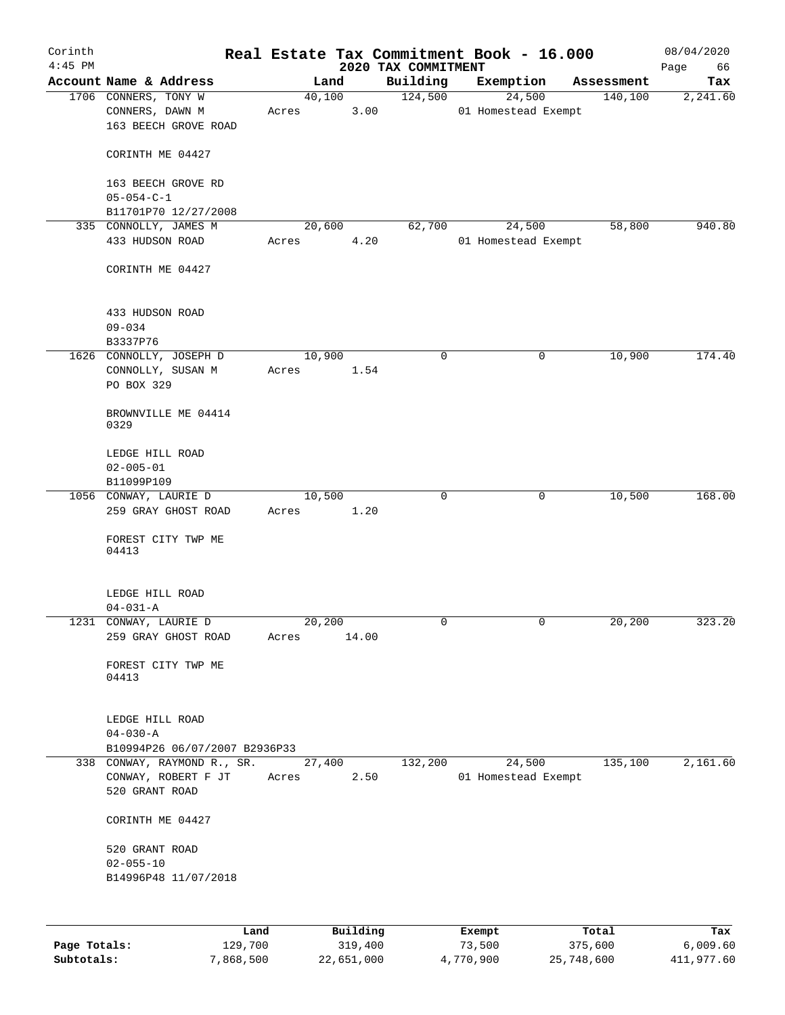| Corinth<br>$4:45$ PM |                                                                 |       |                 | 2020 TAX COMMITMENT | Real Estate Tax Commitment Book - 16.000 |              | 08/04/2020<br>Page<br>66 |
|----------------------|-----------------------------------------------------------------|-------|-----------------|---------------------|------------------------------------------|--------------|--------------------------|
|                      | Account Name & Address                                          |       | Land            | Building            | Exemption                                | Assessment   | Tax                      |
|                      | 1706 CONNERS, TONY W<br>CONNERS, DAWN M<br>163 BEECH GROVE ROAD | Acres | 40,100<br>3.00  | 124,500             | 24,500<br>01 Homestead Exempt            | 140,100      | 2,241.60                 |
|                      | CORINTH ME 04427                                                |       |                 |                     |                                          |              |                          |
|                      | 163 BEECH GROVE RD<br>$05 - 054 - C - 1$                        |       |                 |                     |                                          |              |                          |
|                      | B11701P70 12/27/2008                                            |       |                 |                     |                                          |              |                          |
|                      | 335 CONNOLLY, JAMES M<br>433 HUDSON ROAD                        | Acres | 20,600<br>4.20  | 62,700              | 24,500<br>01 Homestead Exempt            | 58,800       | 940.80                   |
|                      | CORINTH ME 04427                                                |       |                 |                     |                                          |              |                          |
|                      | 433 HUDSON ROAD<br>$09 - 034$                                   |       |                 |                     |                                          |              |                          |
|                      | B3337P76                                                        |       |                 |                     |                                          |              |                          |
|                      | 1626 CONNOLLY, JOSEPH D<br>CONNOLLY, SUSAN M<br>PO BOX 329      | Acres | 10,900<br>1.54  | 0                   |                                          | 0<br>10,900  | 174.40                   |
|                      | BROWNVILLE ME 04414<br>0329                                     |       |                 |                     |                                          |              |                          |
|                      | LEDGE HILL ROAD                                                 |       |                 |                     |                                          |              |                          |
|                      | $02 - 005 - 01$<br>B11099P109                                   |       |                 |                     |                                          |              |                          |
|                      | 1056 CONWAY, LAURIE D                                           |       | 10,500          | 0                   |                                          | 10,500<br>0  | 168.00                   |
|                      | 259 GRAY GHOST ROAD                                             | Acres | 1.20            |                     |                                          |              |                          |
|                      | FOREST CITY TWP ME<br>04413                                     |       |                 |                     |                                          |              |                          |
|                      | LEDGE HILL ROAD                                                 |       |                 |                     |                                          |              |                          |
|                      | $04 - 031 - A$                                                  |       |                 |                     |                                          |              |                          |
|                      | 1231 CONWAY, LAURIE D<br>259 GRAY GHOST ROAD                    | Acres | 20,200<br>14.00 |                     |                                          | 20, 200<br>0 | 323.20                   |
|                      | FOREST CITY TWP ME<br>04413                                     |       |                 |                     |                                          |              |                          |
|                      | LEDGE HILL ROAD<br>$04 - 030 - A$                               |       |                 |                     |                                          |              |                          |
|                      | B10994P26 06/07/2007 B2936P33                                   |       |                 |                     |                                          |              |                          |
|                      | 338 CONWAY, RAYMOND R., SR.                                     |       | 27,400          | 132,200             | 24,500                                   | 135,100      | 2,161.60                 |
|                      | CONWAY, ROBERT F JT<br>520 GRANT ROAD                           | Acres | 2.50            |                     | 01 Homestead Exempt                      |              |                          |
|                      | CORINTH ME 04427                                                |       |                 |                     |                                          |              |                          |
|                      | 520 GRANT ROAD                                                  |       |                 |                     |                                          |              |                          |
|                      | $02 - 055 - 10$                                                 |       |                 |                     |                                          |              |                          |
|                      | B14996P48 11/07/2018                                            |       |                 |                     |                                          |              |                          |
|                      |                                                                 |       |                 |                     |                                          |              |                          |
|                      | Land                                                            |       | Building        |                     | Exempt                                   | Total        | Tax                      |
| Page Totals:         | 129,700                                                         |       | 319,400         |                     | 73,500                                   | 375,600      | 6,009.60                 |

**Subtotals:** 7,868,500 22,651,000 4,770,900 25,748,600 411,977.60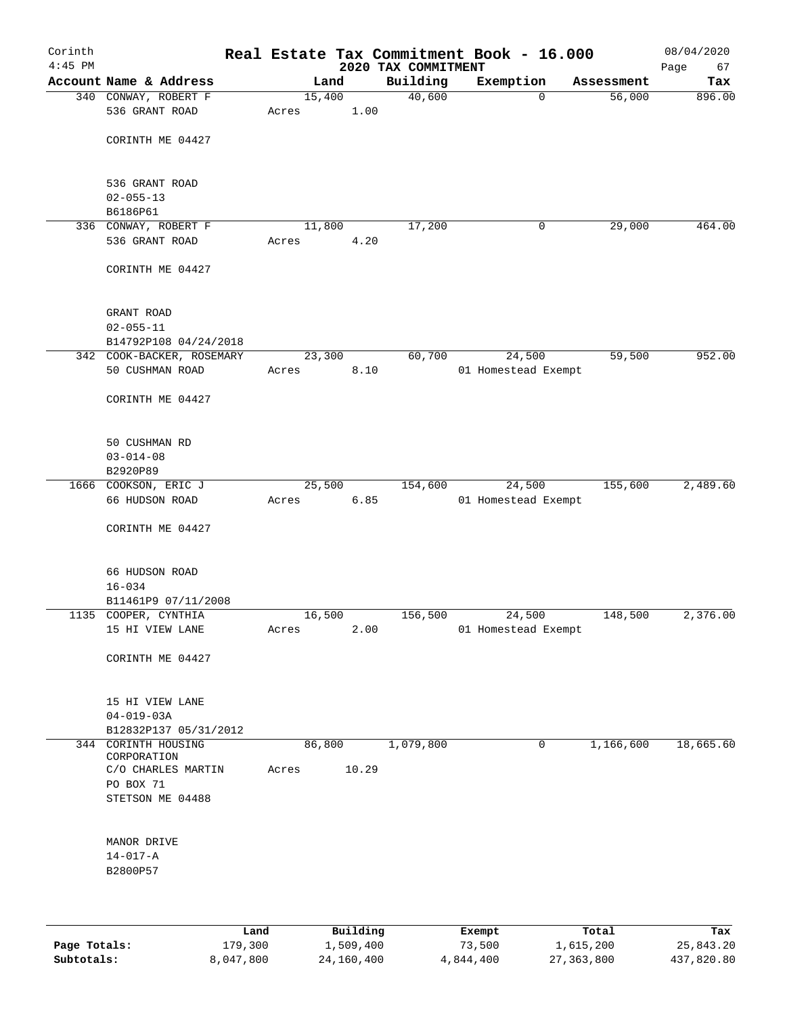| Corinth<br>$4:45$ PM |                                             |      |       |        |          | 2020 TAX COMMITMENT | Real Estate Tax Commitment Book - 16.000 |   |            | 08/04/2020<br>Page<br>67 |
|----------------------|---------------------------------------------|------|-------|--------|----------|---------------------|------------------------------------------|---|------------|--------------------------|
|                      | Account Name & Address                      |      |       | Land   |          | Building            | Exemption                                |   | Assessment | Tax                      |
|                      | 340 CONWAY, ROBERT F                        |      |       | 15,400 |          | 40,600              |                                          | 0 | 56,000     | 896.00                   |
|                      | 536 GRANT ROAD                              |      | Acres |        | 1.00     |                     |                                          |   |            |                          |
|                      | CORINTH ME 04427                            |      |       |        |          |                     |                                          |   |            |                          |
|                      |                                             |      |       |        |          |                     |                                          |   |            |                          |
|                      | 536 GRANT ROAD<br>$02 - 055 - 13$           |      |       |        |          |                     |                                          |   |            |                          |
|                      | B6186P61                                    |      |       |        |          |                     |                                          |   |            |                          |
|                      | 336 CONWAY, ROBERT F                        |      |       | 11,800 |          | 17,200              |                                          | 0 | 29,000     | 464.00                   |
|                      | 536 GRANT ROAD                              |      | Acres |        | 4.20     |                     |                                          |   |            |                          |
|                      | CORINTH ME 04427                            |      |       |        |          |                     |                                          |   |            |                          |
|                      |                                             |      |       |        |          |                     |                                          |   |            |                          |
|                      | GRANT ROAD<br>$02 - 055 - 11$               |      |       |        |          |                     |                                          |   |            |                          |
|                      | B14792P108 04/24/2018                       |      |       |        |          |                     |                                          |   |            |                          |
|                      | 342 COOK-BACKER, ROSEMARY                   |      |       | 23,300 |          | 60,700              | 24,500                                   |   | 59,500     | 952.00                   |
|                      | 50 CUSHMAN ROAD                             |      | Acres |        | 8.10     |                     | 01 Homestead Exempt                      |   |            |                          |
|                      | CORINTH ME 04427                            |      |       |        |          |                     |                                          |   |            |                          |
|                      | 50 CUSHMAN RD                               |      |       |        |          |                     |                                          |   |            |                          |
|                      | $03 - 014 - 08$                             |      |       |        |          |                     |                                          |   |            |                          |
|                      | B2920P89                                    |      |       |        |          |                     |                                          |   |            |                          |
|                      | 1666 COOKSON, ERIC J<br>66 HUDSON ROAD      |      | Acres | 25,500 | 6.85     | 154,600             | 24,500<br>01 Homestead Exempt            |   | 155,600    | 2,489.60                 |
|                      | CORINTH ME 04427                            |      |       |        |          |                     |                                          |   |            |                          |
|                      |                                             |      |       |        |          |                     |                                          |   |            |                          |
|                      | 66 HUDSON ROAD                              |      |       |        |          |                     |                                          |   |            |                          |
|                      | $16 - 034$                                  |      |       |        |          |                     |                                          |   |            |                          |
|                      | B11461P9 07/11/2008<br>1135 COOPER, CYNTHIA |      |       | 16,500 |          | 156,500             | 24,500                                   |   | 148,500    | 2,376.00                 |
|                      | 15 HI VIEW LANE                             |      | Acres |        | 2.00     |                     | 01 Homestead Exempt                      |   |            |                          |
|                      | CORINTH ME 04427                            |      |       |        |          |                     |                                          |   |            |                          |
|                      |                                             |      |       |        |          |                     |                                          |   |            |                          |
|                      | 15 HI VIEW LANE                             |      |       |        |          |                     |                                          |   |            |                          |
|                      | $04 - 019 - 03A$                            |      |       |        |          |                     |                                          |   |            |                          |
|                      | B12832P137 05/31/2012                       |      |       |        |          |                     |                                          |   |            |                          |
|                      | 344 CORINTH HOUSING                         |      |       | 86,800 |          | 1,079,800           |                                          | 0 | 1,166,600  | 18,665.60                |
|                      | CORPORATION<br>C/O CHARLES MARTIN           |      | Acres |        | 10.29    |                     |                                          |   |            |                          |
|                      | PO BOX 71                                   |      |       |        |          |                     |                                          |   |            |                          |
|                      | STETSON ME 04488                            |      |       |        |          |                     |                                          |   |            |                          |
|                      |                                             |      |       |        |          |                     |                                          |   |            |                          |
|                      | MANOR DRIVE                                 |      |       |        |          |                     |                                          |   |            |                          |
|                      | $14 - 017 - A$                              |      |       |        |          |                     |                                          |   |            |                          |
|                      | B2800P57                                    |      |       |        |          |                     |                                          |   |            |                          |
|                      |                                             |      |       |        |          |                     |                                          |   |            |                          |
|                      |                                             | Land |       |        | Building |                     | Exempt                                   |   | Total      | Tax                      |

| Page Totals: | 179,300   | 1,509,400  | 73,500    | 1,615,200  | 25,843.20  |
|--------------|-----------|------------|-----------|------------|------------|
| Subtotals:   | 8,047,800 | 24,160,400 | 4,844,400 | 27,363,800 | 437,820.80 |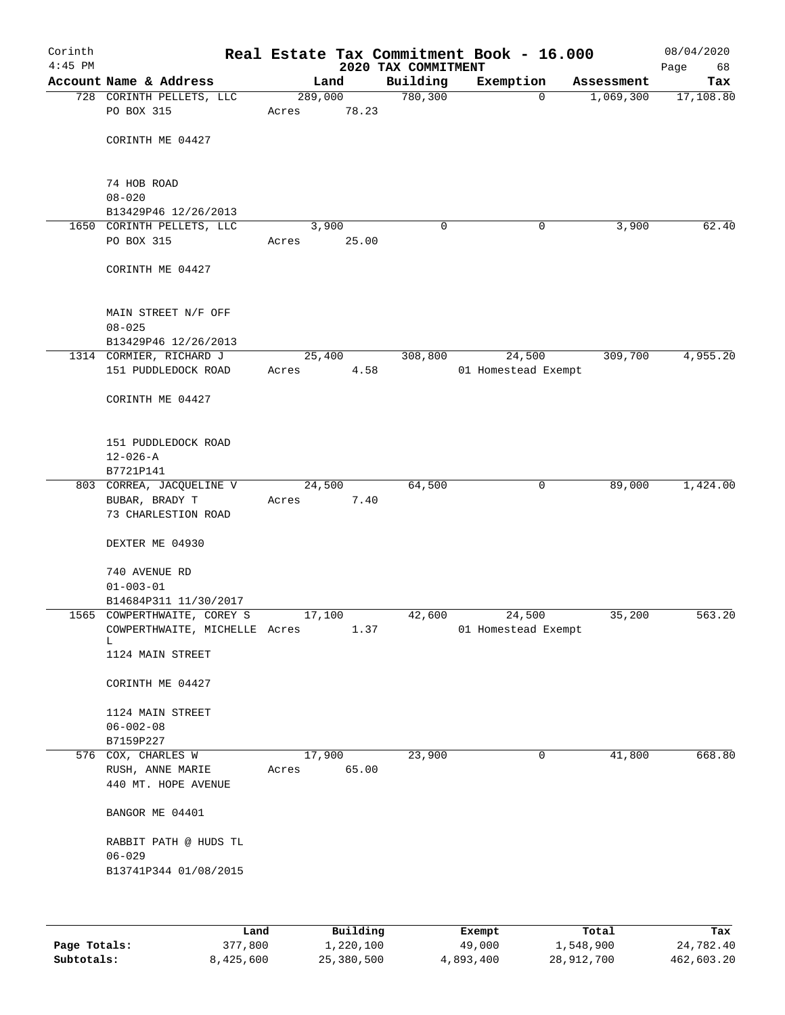| Corinth<br>$4:45$ PM |                                                               |       |                        | 2020 TAX COMMITMENT | Real Estate Tax Commitment Book - 16.000 |            | 08/04/2020<br>Page<br>68 |
|----------------------|---------------------------------------------------------------|-------|------------------------|---------------------|------------------------------------------|------------|--------------------------|
|                      | Account Name & Address                                        |       | Land                   | Building            | Exemption                                | Assessment | Tax                      |
|                      | 728 CORINTH PELLETS, LLC                                      |       | 289,000                | 780,300             | $\mathbf 0$                              | 1,069,300  | 17, 108.80               |
|                      | PO BOX 315                                                    | Acres | 78.23                  |                     |                                          |            |                          |
|                      | CORINTH ME 04427                                              |       |                        |                     |                                          |            |                          |
|                      | 74 HOB ROAD                                                   |       |                        |                     |                                          |            |                          |
|                      | $08 - 020$<br>B13429P46 12/26/2013                            |       |                        |                     |                                          |            |                          |
|                      | 1650 CORINTH PELLETS, LLC                                     |       | 3,900                  | 0                   | 0                                        | 3,900      | 62.40                    |
|                      | PO BOX 315                                                    | Acres | 25.00                  |                     |                                          |            |                          |
|                      | CORINTH ME 04427                                              |       |                        |                     |                                          |            |                          |
|                      | MAIN STREET N/F OFF<br>$08 - 025$                             |       |                        |                     |                                          |            |                          |
|                      | B13429P46 12/26/2013                                          |       |                        |                     |                                          |            |                          |
|                      | 1314 CORMIER, RICHARD J<br>151 PUDDLEDOCK ROAD                | Acres | 25,400<br>4.58         | 308,800             | 24,500<br>01 Homestead Exempt            | 309,700    | 4,955.20                 |
|                      | CORINTH ME 04427                                              |       |                        |                     |                                          |            |                          |
|                      | 151 PUDDLEDOCK ROAD<br>$12 - 026 - A$                         |       |                        |                     |                                          |            |                          |
|                      | B7721P141<br>803 CORREA, JACQUELINE V                         |       | 24,500                 | 64,500              | $\overline{0}$                           | 89,000     | 1,424.00                 |
|                      | BUBAR, BRADY T<br>73 CHARLESTION ROAD                         | Acres | 7.40                   |                     |                                          |            |                          |
|                      | DEXTER ME 04930                                               |       |                        |                     |                                          |            |                          |
|                      | 740 AVENUE RD                                                 |       |                        |                     |                                          |            |                          |
|                      | $01 - 003 - 01$<br>B14684P311 11/30/2017                      |       |                        |                     |                                          |            |                          |
|                      | 1565 COWPERTHWAITE, COREY S                                   |       | 17,100                 | 42,600              | 24,500                                   | 35,200     | 563.20                   |
|                      | COWPERTHWAITE, MICHELLE Acres<br>L.                           |       | 1.37                   |                     | 01 Homestead Exempt                      |            |                          |
|                      | 1124 MAIN STREET                                              |       |                        |                     |                                          |            |                          |
|                      | CORINTH ME 04427                                              |       |                        |                     |                                          |            |                          |
|                      | 1124 MAIN STREET<br>$06 - 002 - 08$                           |       |                        |                     |                                          |            |                          |
|                      | B7159P227                                                     |       |                        |                     |                                          |            |                          |
|                      | 576 COX, CHARLES W<br>RUSH, ANNE MARIE<br>440 MT. HOPE AVENUE | Acres | 17,900<br>65.00        | 23,900              | 0                                        | 41,800     | 668.80                   |
|                      | BANGOR ME 04401                                               |       |                        |                     |                                          |            |                          |
|                      | RABBIT PATH @ HUDS TL<br>$06 - 029$                           |       |                        |                     |                                          |            |                          |
|                      | B13741P344 01/08/2015                                         |       |                        |                     |                                          |            |                          |
|                      |                                                               |       |                        |                     |                                          |            |                          |
|                      | <b>Tond</b>                                                   |       | $D_{11}$ in $A$ in $A$ |                     | $P$ <sub>rea</sub> mat                   | $T - 1$    | <b>TRAN</b>              |

|              | Land      | Building   | Exempt    | Total      | Tax        |
|--------------|-----------|------------|-----------|------------|------------|
| Page Totals: | 377,800   | 1,220,100  | 49,000    | 1,548,900  | 24,782.40  |
| Subtotals:   | 8,425,600 | 25,380,500 | 4,893,400 | 28,912,700 | 462,603.20 |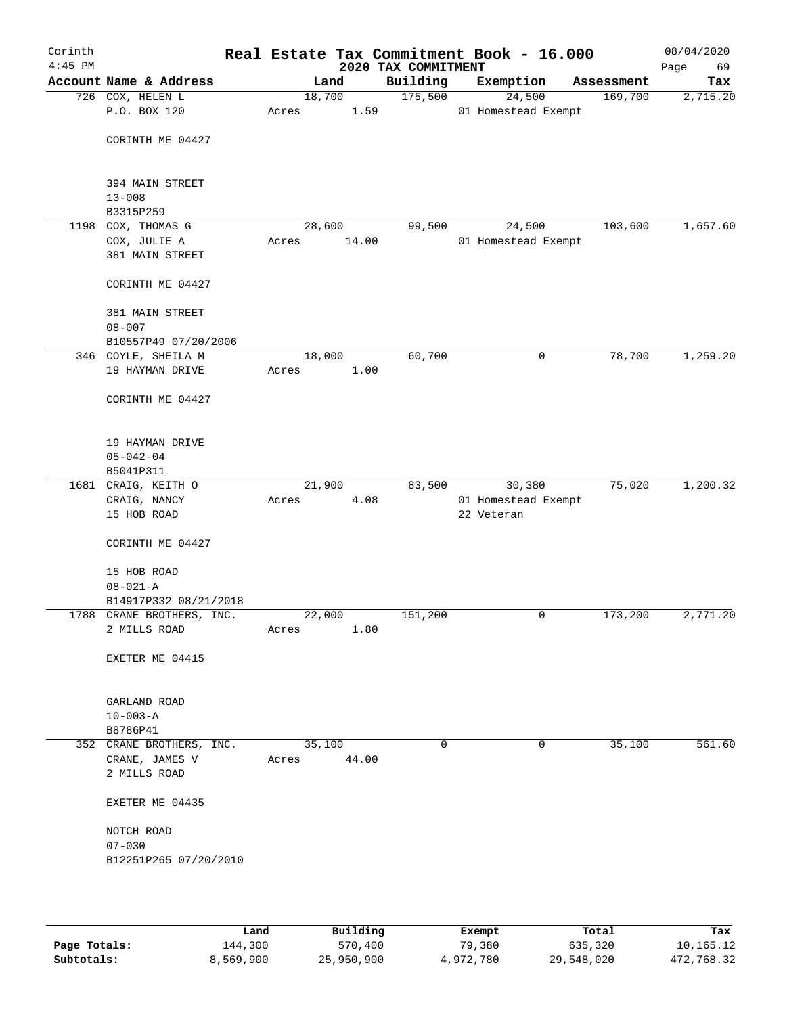| Corinth<br>$4:45$ PM |                                |       |        | 2020 TAX COMMITMENT | Real Estate Tax Commitment Book - 16.000 |            | 08/04/2020<br>69<br>Page |
|----------------------|--------------------------------|-------|--------|---------------------|------------------------------------------|------------|--------------------------|
|                      | Account Name & Address         |       | Land   | Building            | Exemption                                | Assessment | Tax                      |
|                      | 726 COX, HELEN L               |       | 18,700 | 175,500             | 24,500                                   | 169,700    | 2,715.20                 |
|                      | P.O. BOX 120                   | Acres | 1.59   |                     | 01 Homestead Exempt                      |            |                          |
|                      |                                |       |        |                     |                                          |            |                          |
|                      | CORINTH ME 04427               |       |        |                     |                                          |            |                          |
|                      | 394 MAIN STREET                |       |        |                     |                                          |            |                          |
|                      | $13 - 008$                     |       |        |                     |                                          |            |                          |
|                      | B3315P259                      |       |        |                     |                                          |            |                          |
| 1198                 | COX, THOMAS G                  |       | 28,600 | 99,500              | 24,500                                   | 103,600    | 1,657.60                 |
|                      | COX, JULIE A                   | Acres | 14.00  |                     | 01 Homestead Exempt                      |            |                          |
|                      | 381 MAIN STREET                |       |        |                     |                                          |            |                          |
|                      | CORINTH ME 04427               |       |        |                     |                                          |            |                          |
|                      | 381 MAIN STREET                |       |        |                     |                                          |            |                          |
|                      | $08 - 007$                     |       |        |                     |                                          |            |                          |
|                      | B10557P49 07/20/2006           |       |        |                     |                                          |            |                          |
|                      | 346 COYLE, SHEILA M            |       | 18,000 | 60,700              | 0                                        | 78,700     | 1,259.20                 |
|                      | 19 HAYMAN DRIVE                | Acres | 1.00   |                     |                                          |            |                          |
|                      |                                |       |        |                     |                                          |            |                          |
|                      | CORINTH ME 04427               |       |        |                     |                                          |            |                          |
|                      | 19 HAYMAN DRIVE                |       |        |                     |                                          |            |                          |
|                      | $05 - 042 - 04$                |       |        |                     |                                          |            |                          |
|                      | B5041P311                      |       |        |                     |                                          |            |                          |
|                      | 1681 CRAIG, KEITH O            |       | 21,900 | 83,500              | 30,380                                   | 75,020     | 1,200.32                 |
|                      | CRAIG, NANCY                   | Acres | 4.08   |                     | 01 Homestead Exempt                      |            |                          |
|                      | 15 HOB ROAD                    |       |        |                     | 22 Veteran                               |            |                          |
|                      | CORINTH ME 04427               |       |        |                     |                                          |            |                          |
|                      | 15 HOB ROAD                    |       |        |                     |                                          |            |                          |
|                      | $08 - 021 - A$                 |       |        |                     |                                          |            |                          |
|                      | B14917P332 08/21/2018          |       |        |                     |                                          |            |                          |
|                      | 1788 CRANE BROTHERS, INC.      |       | 22,000 | 151,200             | 0                                        | 173,200    | 2,771.20                 |
|                      | 2 MILLS ROAD                   | Acres | 1.80   |                     |                                          |            |                          |
|                      | EXETER ME 04415                |       |        |                     |                                          |            |                          |
|                      | GARLAND ROAD                   |       |        |                     |                                          |            |                          |
|                      | $10 - 003 - A$                 |       |        |                     |                                          |            |                          |
|                      | B8786P41                       |       |        |                     |                                          |            |                          |
|                      | 352 CRANE BROTHERS, INC.       |       | 35,100 | 0                   | $\mathbf 0$                              | 35,100     | 561.60                   |
|                      | CRANE, JAMES V<br>2 MILLS ROAD | Acres | 44.00  |                     |                                          |            |                          |
|                      | EXETER ME 04435                |       |        |                     |                                          |            |                          |
|                      | NOTCH ROAD                     |       |        |                     |                                          |            |                          |
|                      | $07 - 030$                     |       |        |                     |                                          |            |                          |
|                      | B12251P265 07/20/2010          |       |        |                     |                                          |            |                          |
|                      |                                |       |        |                     |                                          |            |                          |
|                      |                                |       |        |                     |                                          |            |                          |
|                      |                                |       |        |                     |                                          |            |                          |

|              | Land      | Building   | Exempt    | Total      | Tax        |
|--------------|-----------|------------|-----------|------------|------------|
| Page Totals: | 144,300   | 570,400    | 79,380    | 635,320    | 10,165.12  |
| Subtotals:   | 8,569,900 | 25,950,900 | 4,972,780 | 29,548,020 | 472,768.32 |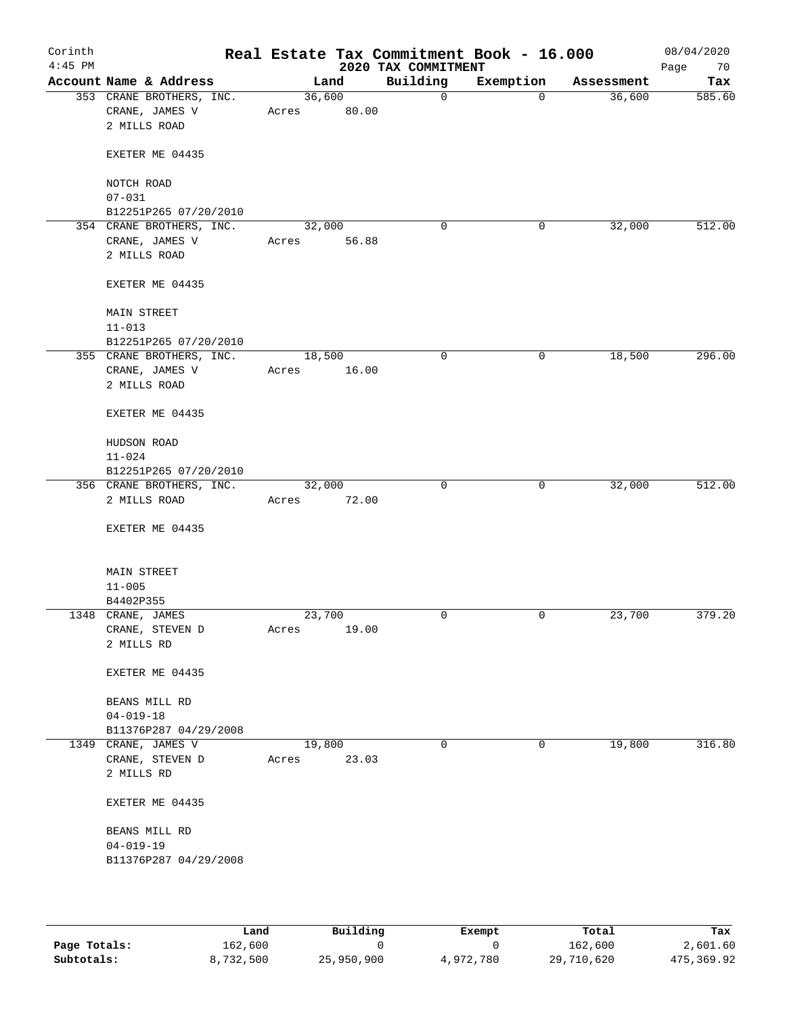| Corinth<br>$4:45$ PM |                                                             |                 |       | Real Estate Tax Commitment Book - 16.000<br>2020 TAX COMMITMENT |                |            | 08/04/2020<br>Page<br>70 |
|----------------------|-------------------------------------------------------------|-----------------|-------|-----------------------------------------------------------------|----------------|------------|--------------------------|
|                      | Account Name & Address                                      |                 | Land  | Building                                                        | Exemption      | Assessment | Tax                      |
|                      | 353 CRANE BROTHERS, INC.<br>CRANE, JAMES V<br>2 MILLS ROAD  | 36,600<br>Acres | 80.00 | $\mathsf{O}$                                                    | $\overline{0}$ | 36,600     | 585.60                   |
|                      | EXETER ME 04435                                             |                 |       |                                                                 |                |            |                          |
|                      | NOTCH ROAD<br>$07 - 031$<br>B12251P265 07/20/2010           |                 |       |                                                                 |                |            |                          |
|                      | 354 CRANE BROTHERS, INC.<br>CRANE, JAMES V<br>2 MILLS ROAD  | 32,000<br>Acres | 56.88 | 0                                                               | 0              | 32,000     | 512.00                   |
|                      | EXETER ME 04435                                             |                 |       |                                                                 |                |            |                          |
|                      | <b>MAIN STREET</b><br>$11 - 013$                            |                 |       |                                                                 |                |            |                          |
|                      | B12251P265 07/20/2010                                       |                 |       |                                                                 |                |            |                          |
|                      | 355 CRANE BROTHERS, INC.<br>CRANE, JAMES V<br>2 MILLS ROAD  | 18,500<br>Acres | 16.00 | 0                                                               | $\mathbf 0$    | 18,500     | 296.00                   |
|                      | EXETER ME 04435                                             |                 |       |                                                                 |                |            |                          |
|                      | HUDSON ROAD<br>$11 - 024$                                   |                 |       |                                                                 |                |            |                          |
|                      | B12251P265 07/20/2010                                       |                 |       |                                                                 |                |            |                          |
|                      | 356 CRANE BROTHERS, INC.<br>2 MILLS ROAD<br>EXETER ME 04435 | 32,000<br>Acres | 72.00 | $\mathbf 0$                                                     | $\mathbf 0$    | 32,000     | 512.00                   |
|                      | <b>MAIN STREET</b><br>$11 - 005$<br>B4402P355               |                 |       |                                                                 |                |            |                          |
|                      | 1348 CRANE, JAMES<br>CRANE, STEVEN D<br>2 MILLS RD          | 23,700<br>Acres | 19.00 | $\mathbf 0$                                                     | $\mathbf 0$    | 23,700     | 379.20                   |
|                      | EXETER ME 04435                                             |                 |       |                                                                 |                |            |                          |
|                      | BEANS MILL RD<br>$04 - 019 - 18$<br>B11376P287 04/29/2008   |                 |       |                                                                 |                |            |                          |
|                      | 1349 CRANE, JAMES V                                         | 19,800          |       | $\mathbf 0$                                                     | 0              | 19,800     | 316.80                   |
|                      | CRANE, STEVEN D<br>2 MILLS RD                               | Acres           | 23.03 |                                                                 |                |            |                          |
|                      | EXETER ME 04435                                             |                 |       |                                                                 |                |            |                          |
|                      | BEANS MILL RD<br>$04 - 019 - 19$<br>B11376P287 04/29/2008   |                 |       |                                                                 |                |            |                          |
|                      |                                                             |                 |       |                                                                 |                |            |                          |

|              | Land      | Building   | Exempt    | Total      | Tax        |
|--------------|-----------|------------|-----------|------------|------------|
| Page Totals: | 162,600   |            |           | 162,600    | 2,601.60   |
| Subtotals:   | 8,732,500 | 25,950,900 | 4,972,780 | 29,710,620 | 475,369.92 |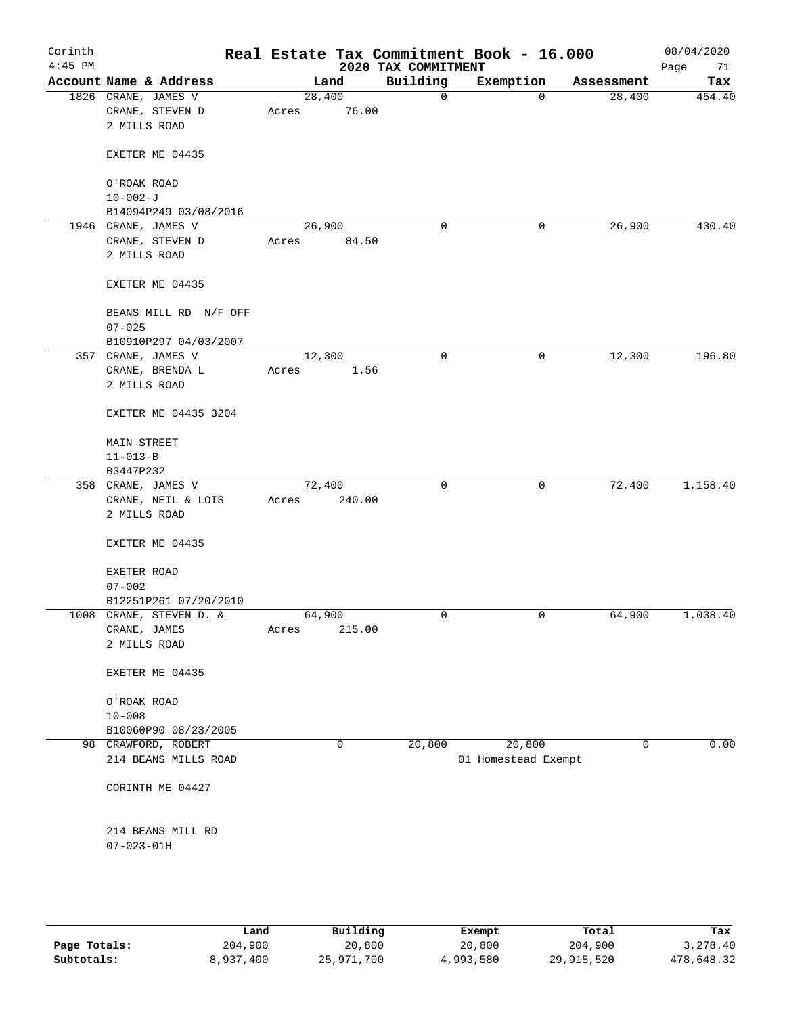| Corinth<br>$4:45$ PM |                                                        |       |                 | 2020 TAX COMMITMENT | Real Estate Tax Commitment Book - 16.000 |             | 08/04/2020<br>Page<br>71 |
|----------------------|--------------------------------------------------------|-------|-----------------|---------------------|------------------------------------------|-------------|--------------------------|
|                      | Account Name & Address                                 |       | Land            | Building            | Exemption                                | Assessment  | Tax                      |
|                      | 1826 CRANE, JAMES V<br>CRANE, STEVEN D<br>2 MILLS ROAD | Acres | 28,400<br>76.00 | 0                   | 0                                        | 28,400      | 454.40                   |
|                      | EXETER ME 04435                                        |       |                 |                     |                                          |             |                          |
|                      | O'ROAK ROAD                                            |       |                 |                     |                                          |             |                          |
|                      | $10 - 002 - J$                                         |       |                 |                     |                                          |             |                          |
|                      | B14094P249 03/08/2016                                  |       |                 |                     |                                          |             |                          |
|                      | 1946 CRANE, JAMES V                                    |       | 26,900          | 0                   | 0                                        | 26,900      | 430.40                   |
|                      | CRANE, STEVEN D<br>2 MILLS ROAD                        | Acres | 84.50           |                     |                                          |             |                          |
|                      | EXETER ME 04435                                        |       |                 |                     |                                          |             |                          |
|                      | BEANS MILL RD N/F OFF<br>$07 - 025$                    |       |                 |                     |                                          |             |                          |
|                      | B10910P297 04/03/2007                                  |       |                 |                     |                                          |             |                          |
|                      | 357 CRANE, JAMES V                                     |       | 12,300          | $\mathbf 0$         | 0                                        | 12,300      | 196.80                   |
|                      | CRANE, BRENDA L<br>2 MILLS ROAD                        | Acres | 1.56            |                     |                                          |             |                          |
|                      | EXETER ME 04435 3204                                   |       |                 |                     |                                          |             |                          |
|                      | <b>MAIN STREET</b>                                     |       |                 |                     |                                          |             |                          |
|                      | $11 - 013 - B$                                         |       |                 |                     |                                          |             |                          |
|                      | B3447P232                                              |       |                 |                     |                                          |             |                          |
|                      | 358 CRANE, JAMES V                                     |       | 72,400          | 0                   | 0                                        | 72,400      | 1,158.40                 |
|                      | CRANE, NEIL & LOIS<br>2 MILLS ROAD                     | Acres | 240.00          |                     |                                          |             |                          |
|                      | EXETER ME 04435                                        |       |                 |                     |                                          |             |                          |
|                      | EXETER ROAD<br>$07 - 002$                              |       |                 |                     |                                          |             |                          |
|                      | B12251P261 07/20/2010                                  |       |                 |                     |                                          |             |                          |
|                      | 1008 CRANE, STEVEN D. &                                |       | 64,900          | 0                   | 0                                        | 64,900      | 1,038.40                 |
|                      | CRANE, JAMES                                           | Acres | 215.00          |                     |                                          |             |                          |
|                      | 2 MILLS ROAD                                           |       |                 |                     |                                          |             |                          |
|                      | EXETER ME 04435                                        |       |                 |                     |                                          |             |                          |
|                      | O'ROAK ROAD                                            |       |                 |                     |                                          |             |                          |
|                      | $10 - 008$                                             |       |                 |                     |                                          |             |                          |
|                      | B10060P90 08/23/2005                                   |       |                 |                     |                                          |             |                          |
|                      | 98 CRAWFORD, ROBERT                                    |       | 0               | 20,800              | 20,800                                   | $\mathbf 0$ | 0.00                     |
|                      | 214 BEANS MILLS ROAD                                   |       |                 |                     | 01 Homestead Exempt                      |             |                          |
|                      | CORINTH ME 04427                                       |       |                 |                     |                                          |             |                          |
|                      | 214 BEANS MILL RD<br>$07 - 023 - 01H$                  |       |                 |                     |                                          |             |                          |
|                      |                                                        |       |                 |                     |                                          |             |                          |

|              | Land      | Building   | Exempt    | Total      | Tax        |
|--------------|-----------|------------|-----------|------------|------------|
| Page Totals: | 204,900   | 20,800     | 20,800    | 204,900    | 3,278.40   |
| Subtotals:   | 8,937,400 | 25,971,700 | 4,993,580 | 29,915,520 | 478,648.32 |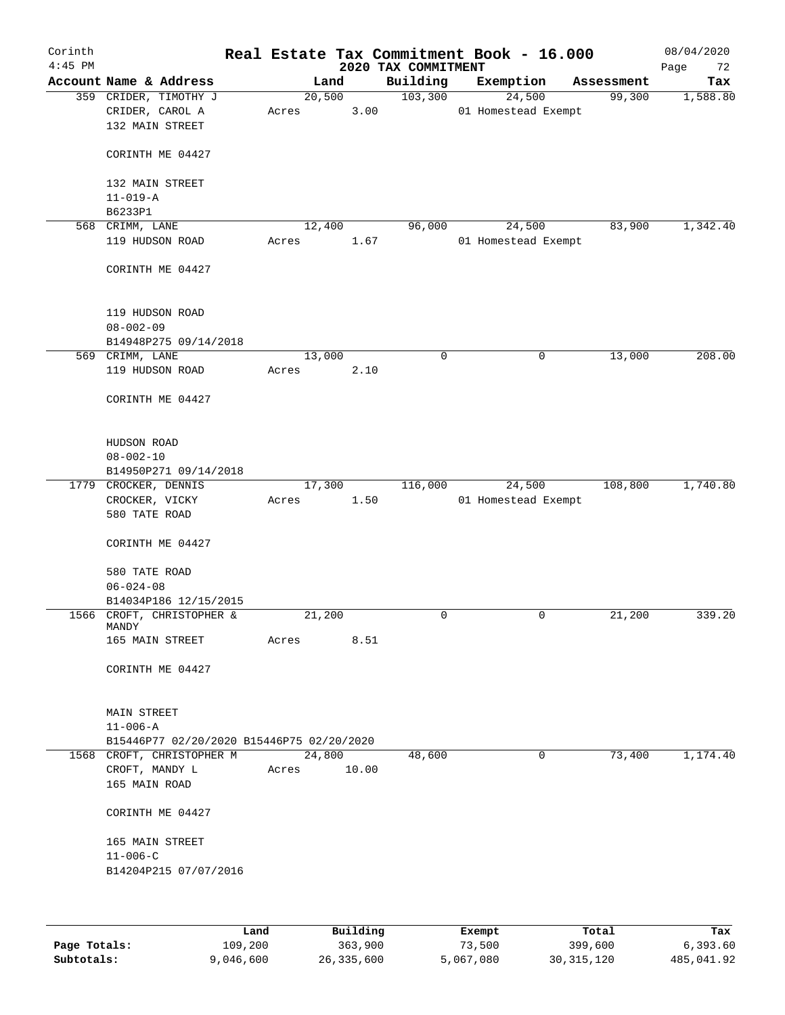| Corinth<br>$4:45$ PM |                                                                        |                 |       | 2020 TAX COMMITMENT | Real Estate Tax Commitment Book - 16.000   |            | 08/04/2020<br>Page<br>72 |
|----------------------|------------------------------------------------------------------------|-----------------|-------|---------------------|--------------------------------------------|------------|--------------------------|
|                      | Account Name & Address                                                 | Land            |       | Building            | Exemption                                  | Assessment | Tax                      |
|                      | 359 CRIDER, TIMOTHY J<br>CRIDER, CAROL A<br>132 MAIN STREET            | 20,500<br>Acres | 3.00  | 103,300             | $\overline{24,500}$<br>01 Homestead Exempt | 99,300     | 1,588.80                 |
|                      | CORINTH ME 04427                                                       |                 |       |                     |                                            |            |                          |
|                      | 132 MAIN STREET<br>$11 - 019 - A$                                      |                 |       |                     |                                            |            |                          |
|                      | B6233P1                                                                |                 |       |                     |                                            |            |                          |
|                      | 568 CRIMM, LANE                                                        | 12,400          |       | 96,000              | 24,500                                     | 83,900     | 1,342.40                 |
|                      | 119 HUDSON ROAD                                                        | Acres           | 1.67  |                     | 01 Homestead Exempt                        |            |                          |
|                      | CORINTH ME 04427                                                       |                 |       |                     |                                            |            |                          |
|                      | 119 HUDSON ROAD<br>$08 - 002 - 09$                                     |                 |       |                     |                                            |            |                          |
|                      | B14948P275 09/14/2018                                                  |                 |       |                     |                                            |            |                          |
|                      | 569 CRIMM, LANE                                                        | 13,000          |       | 0                   | 0                                          | 13,000     | 208.00                   |
|                      | 119 HUDSON ROAD                                                        | Acres           | 2.10  |                     |                                            |            |                          |
|                      | CORINTH ME 04427                                                       |                 |       |                     |                                            |            |                          |
|                      | HUDSON ROAD                                                            |                 |       |                     |                                            |            |                          |
|                      | $08 - 002 - 10$                                                        |                 |       |                     |                                            |            |                          |
|                      | B14950P271 09/14/2018                                                  |                 |       |                     |                                            |            |                          |
|                      | 1779 CROCKER, DENNIS                                                   | 17,300          |       | 116,000             | 24,500                                     | 108,800    | 1,740.80                 |
|                      | CROCKER, VICKY<br>580 TATE ROAD                                        | Acres           | 1.50  |                     | 01 Homestead Exempt                        |            |                          |
|                      | CORINTH ME 04427                                                       |                 |       |                     |                                            |            |                          |
|                      | 580 TATE ROAD                                                          |                 |       |                     |                                            |            |                          |
|                      | $06 - 024 - 08$                                                        |                 |       |                     |                                            |            |                          |
|                      | B14034P186 12/15/2015                                                  |                 |       |                     |                                            |            |                          |
|                      | 1566 CROFT, CHRISTOPHER &<br>MANDY                                     | 21,200          |       | 0                   | 0                                          | 21,200     | 339.20                   |
|                      | 165 MAIN STREET                                                        | Acres           | 8.51  |                     |                                            |            |                          |
|                      | CORINTH ME 04427                                                       |                 |       |                     |                                            |            |                          |
|                      | MAIN STREET                                                            |                 |       |                     |                                            |            |                          |
|                      | $11 - 006 - A$                                                         |                 |       |                     |                                            |            |                          |
|                      | B15446P77 02/20/2020 B15446P75 02/20/2020<br>1568 CROFT, CHRISTOPHER M | 24,800          |       | 48,600              | $\mathbf 0$                                | 73,400     | 1,174.40                 |
|                      | CROFT, MANDY L                                                         | Acres           | 10.00 |                     |                                            |            |                          |
|                      | 165 MAIN ROAD                                                          |                 |       |                     |                                            |            |                          |
|                      | CORINTH ME 04427                                                       |                 |       |                     |                                            |            |                          |
|                      | 165 MAIN STREET                                                        |                 |       |                     |                                            |            |                          |
|                      | $11 - 006 - C$                                                         |                 |       |                     |                                            |            |                          |
|                      | B14204P215 07/07/2016                                                  |                 |       |                     |                                            |            |                          |
|                      |                                                                        |                 |       |                     |                                            |            |                          |
|                      |                                                                        |                 |       |                     |                                            |            |                          |

|              | Land      | Building   | Exempt    | Total      | Tax        |
|--------------|-----------|------------|-----------|------------|------------|
| Page Totals: | 109,200   | 363,900    | 73,500    | 399,600    | 6,393.60   |
| Subtotals:   | 9,046,600 | 26,335,600 | 5,067,080 | 30,315,120 | 485,041.92 |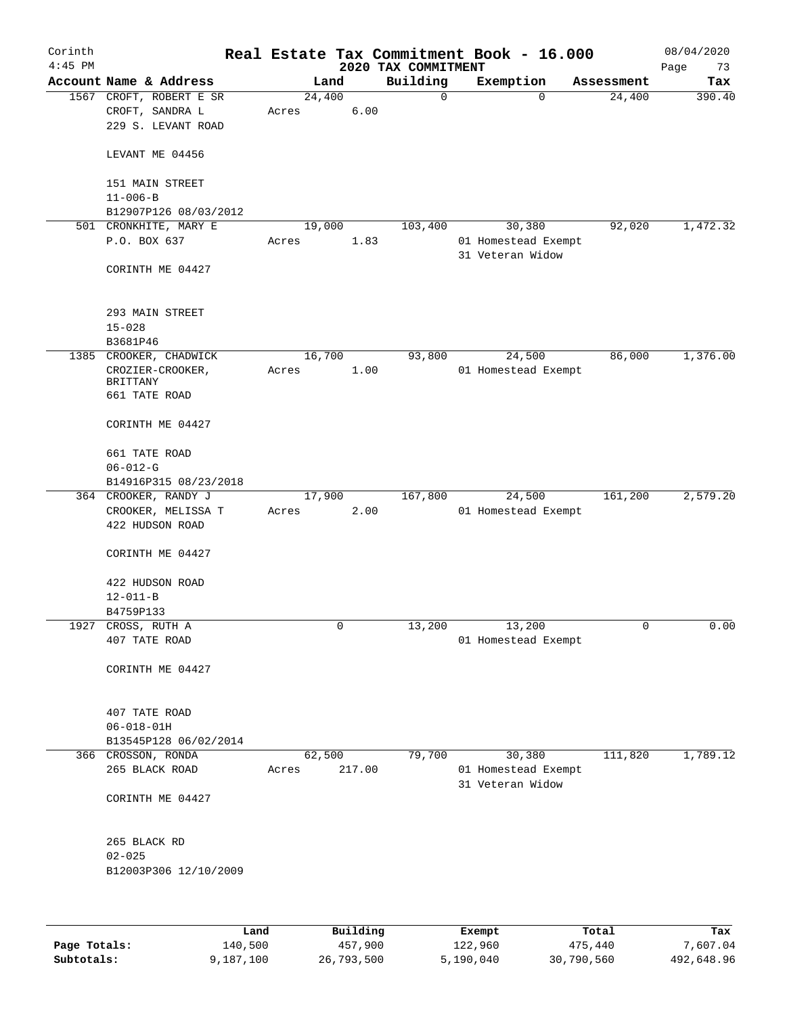| Corinth<br>$4:45$ PM |                                                                         |       |          |         | 2020 TAX COMMITMENT | Real Estate Tax Commitment Book - 16.000          |            | 08/04/2020<br>Page<br>73 |
|----------------------|-------------------------------------------------------------------------|-------|----------|---------|---------------------|---------------------------------------------------|------------|--------------------------|
|                      | Account Name & Address                                                  |       | Land     |         | Building            | Exemption                                         | Assessment | Tax                      |
|                      | 1567 CROFT, ROBERT E SR<br>CROFT, SANDRA L<br>229 S. LEVANT ROAD        | Acres | 24,400   | 6.00    | 0                   | $\Omega$                                          | 24,400     | 390.40                   |
|                      | LEVANT ME 04456                                                         |       |          |         |                     |                                                   |            |                          |
|                      | 151 MAIN STREET<br>$11 - 006 - B$                                       |       |          |         |                     |                                                   |            |                          |
|                      | B12907P126 08/03/2012                                                   |       |          |         |                     |                                                   |            |                          |
|                      | 501 CRONKHITE, MARY E<br>P.O. BOX 637                                   | Acres | 19,000   | 1.83    | 103,400             | 30,380<br>01 Homestead Exempt<br>31 Veteran Widow | 92,020     | 1,472.32                 |
|                      | CORINTH ME 04427                                                        |       |          |         |                     |                                                   |            |                          |
|                      | 293 MAIN STREET<br>$15 - 028$                                           |       |          |         |                     |                                                   |            |                          |
|                      | B3681P46                                                                |       |          |         |                     |                                                   |            |                          |
|                      | 1385 CROOKER, CHADWICK<br>CROZIER-CROOKER,<br>BRITTANY<br>661 TATE ROAD | Acres | 16,700   | 1.00    | 93,800              | 24,500<br>01 Homestead Exempt                     | 86,000     | 1,376.00                 |
|                      | CORINTH ME 04427                                                        |       |          |         |                     |                                                   |            |                          |
|                      | 661 TATE ROAD<br>$06 - 012 - G$                                         |       |          |         |                     |                                                   |            |                          |
|                      | B14916P315 08/23/2018                                                   |       |          |         |                     |                                                   |            |                          |
|                      | 364 CROOKER, RANDY J                                                    |       | 17,900   |         | 167,800             | 24,500                                            | 161,200    | 2,579.20                 |
|                      | CROOKER, MELISSA T<br>422 HUDSON ROAD                                   | Acres |          | 2.00    |                     | 01 Homestead Exempt                               |            |                          |
|                      | CORINTH ME 04427                                                        |       |          |         |                     |                                                   |            |                          |
|                      | 422 HUDSON ROAD                                                         |       |          |         |                     |                                                   |            |                          |
|                      | $12 - 011 - B$                                                          |       |          |         |                     |                                                   |            |                          |
|                      | B4759P133                                                               |       |          |         |                     |                                                   |            |                          |
| 1927                 | CROSS, RUTH A                                                           |       | 0        |         | 13,200              | 13,200                                            | 0          | 0.00                     |
|                      | 407 TATE ROAD                                                           |       |          |         |                     | 01 Homestead Exempt                               |            |                          |
|                      | CORINTH ME 04427                                                        |       |          |         |                     |                                                   |            |                          |
|                      | 407 TATE ROAD                                                           |       |          |         |                     |                                                   |            |                          |
|                      | $06 - 018 - 01H$                                                        |       |          |         |                     |                                                   |            |                          |
|                      | B13545P128 06/02/2014                                                   |       |          |         |                     |                                                   |            |                          |
|                      | 366 CROSSON, RONDA<br>265 BLACK ROAD                                    | Acres | 62,500   | 217.00  | 79,700              | 30,380<br>01 Homestead Exempt<br>31 Veteran Widow | 111,820    | 1,789.12                 |
|                      | CORINTH ME 04427                                                        |       |          |         |                     |                                                   |            |                          |
|                      | 265 BLACK RD<br>$02 - 025$                                              |       |          |         |                     |                                                   |            |                          |
|                      | B12003P306 12/10/2009                                                   |       |          |         |                     |                                                   |            |                          |
|                      |                                                                         |       |          |         |                     |                                                   |            |                          |
|                      | Land                                                                    |       | Building |         |                     | Exempt                                            | Total      | Tax                      |
| Page Totals:         | 140,500                                                                 |       |          | 457,900 |                     | 122,960                                           | 475,440    | 7,607.04                 |

**Subtotals:** 9,187,100 26,793,500 5,190,040 30,790,560 492,648.96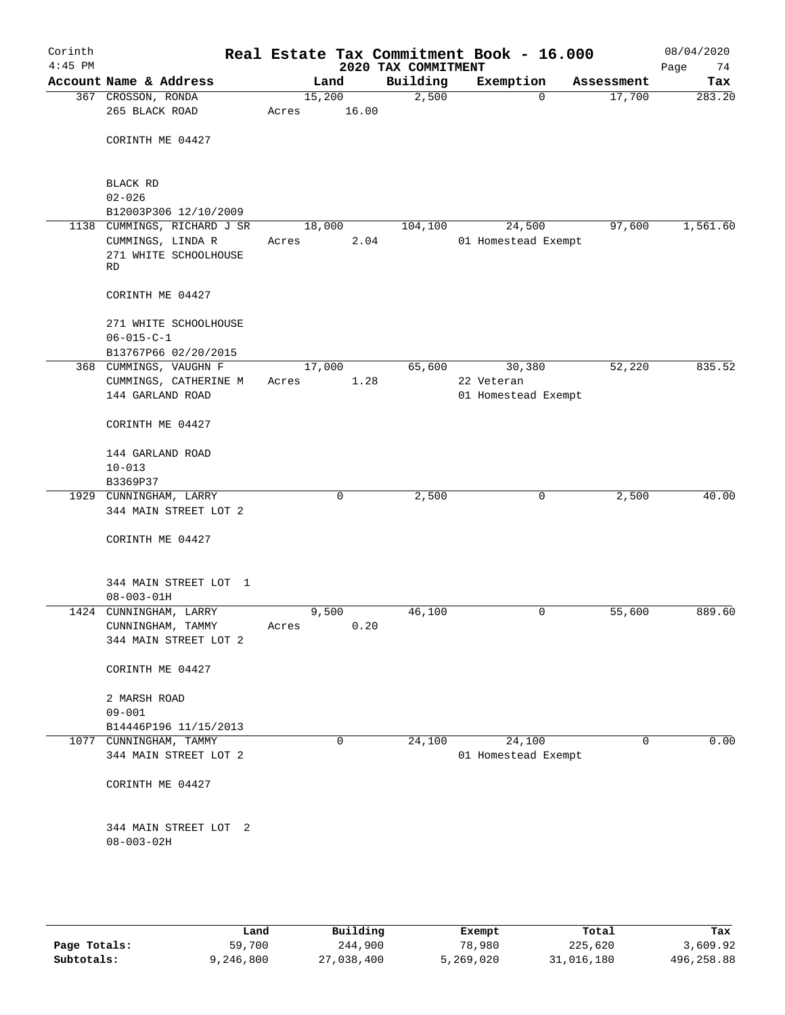| Corinth<br>$4:45$ PM |                                                  |       |                 | 2020 TAX COMMITMENT | Real Estate Tax Commitment Book - 16.000 |             | 08/04/2020<br>Page<br>74 |
|----------------------|--------------------------------------------------|-------|-----------------|---------------------|------------------------------------------|-------------|--------------------------|
|                      | Account Name & Address                           |       | Land            | Building            | Exemption                                | Assessment  | Tax                      |
|                      | 367 CROSSON, RONDA<br>265 BLACK ROAD             | Acres | 15,200<br>16.00 | 2,500               | $\mathbf 0$                              | 17,700      | 283.20                   |
|                      | CORINTH ME 04427                                 |       |                 |                     |                                          |             |                          |
|                      | BLACK RD                                         |       |                 |                     |                                          |             |                          |
|                      | $02 - 026$                                       |       |                 |                     |                                          |             |                          |
|                      | B12003P306 12/10/2009                            |       |                 |                     |                                          |             |                          |
|                      | 1138 CUMMINGS, RICHARD J SR                      |       | 18,000          | 104,100             | 24,500                                   | 97,600      | 1,561.60                 |
|                      | CUMMINGS, LINDA R<br>271 WHITE SCHOOLHOUSE<br>RD | Acres | 2.04            |                     | 01 Homestead Exempt                      |             |                          |
|                      | CORINTH ME 04427                                 |       |                 |                     |                                          |             |                          |
|                      | 271 WHITE SCHOOLHOUSE<br>$06 - 015 - C - 1$      |       |                 |                     |                                          |             |                          |
|                      | B13767P66 02/20/2015                             |       |                 |                     |                                          |             |                          |
|                      | 368 CUMMINGS, VAUGHN F                           |       | 17,000          | 65,600              | 30,380                                   | 52,220      | 835.52                   |
|                      | CUMMINGS, CATHERINE M                            | Acres | 1.28            |                     | 22 Veteran                               |             |                          |
|                      | 144 GARLAND ROAD                                 |       |                 |                     | 01 Homestead Exempt                      |             |                          |
|                      | CORINTH ME 04427                                 |       |                 |                     |                                          |             |                          |
|                      | 144 GARLAND ROAD                                 |       |                 |                     |                                          |             |                          |
|                      | $10 - 013$                                       |       |                 |                     |                                          |             |                          |
|                      | B3369P37                                         |       |                 |                     |                                          |             |                          |
|                      | 1929 CUNNINGHAM, LARRY                           |       | 0               | 2,500               | 0                                        | 2,500       | 40.00                    |
|                      | 344 MAIN STREET LOT 2                            |       |                 |                     |                                          |             |                          |
|                      | CORINTH ME 04427                                 |       |                 |                     |                                          |             |                          |
|                      | 344 MAIN STREET LOT 1                            |       |                 |                     |                                          |             |                          |
|                      | $08 - 003 - 01H$                                 |       |                 |                     |                                          |             |                          |
|                      | 1424 CUNNINGHAM, LARRY                           |       | 9,500           | 46,100              | 0                                        | 55,600      | 889.60                   |
|                      | CUNNINGHAM, TAMMY<br>344 MAIN STREET LOT 2       | Acres | 0.20            |                     |                                          |             |                          |
|                      | CORINTH ME 04427                                 |       |                 |                     |                                          |             |                          |
|                      | 2 MARSH ROAD                                     |       |                 |                     |                                          |             |                          |
|                      | $09 - 001$                                       |       |                 |                     |                                          |             |                          |
|                      | B14446P196 11/15/2013                            |       |                 |                     |                                          |             |                          |
|                      | 1077 CUNNINGHAM, TAMMY                           |       | $\mathbf 0$     | 24,100              | 24,100                                   | $\mathbf 0$ | 0.00                     |
|                      | 344 MAIN STREET LOT 2                            |       |                 |                     | 01 Homestead Exempt                      |             |                          |
|                      | CORINTH ME 04427                                 |       |                 |                     |                                          |             |                          |
|                      | 344 MAIN STREET LOT 2<br>$08 - 003 - 02H$        |       |                 |                     |                                          |             |                          |
|                      |                                                  |       |                 |                     |                                          |             |                          |

|              | Land      | Building   | Exempt    | Total      | Tax        |
|--------------|-----------|------------|-----------|------------|------------|
| Page Totals: | 59,700    | 244,900    | 78,980    | 225,620    | 3,609.92   |
| Subtotals:   | 9,246,800 | 27,038,400 | 5,269,020 | 31,016,180 | 496,258.88 |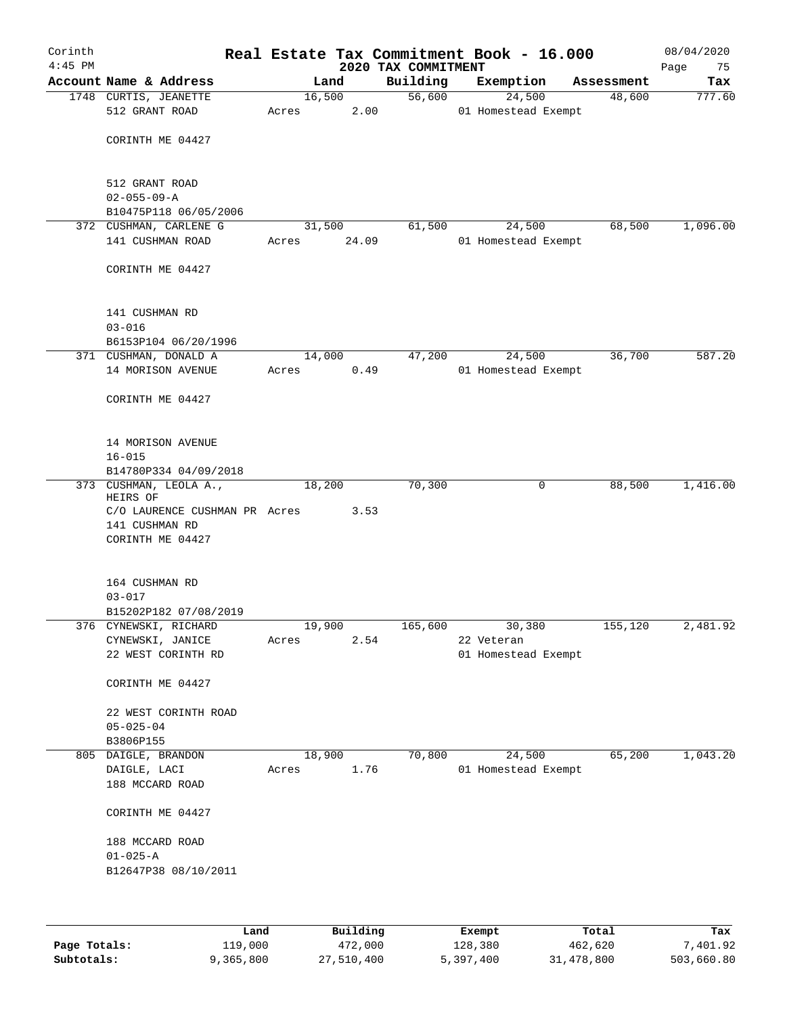| Corinth<br>$4:45$ PM |                                           |        |       | Real Estate Tax Commitment Book - 16.000<br>2020 TAX COMMITMENT |                               |   |            | 08/04/2020<br>Page<br>75 |
|----------------------|-------------------------------------------|--------|-------|-----------------------------------------------------------------|-------------------------------|---|------------|--------------------------|
|                      | Account Name & Address                    |        | Land  | Building                                                        | Exemption                     |   | Assessment | Tax                      |
|                      | 1748 CURTIS, JEANETTE                     | 16,500 |       | 56,600                                                          | 24,500                        |   | 48,600     | 777.60                   |
|                      | 512 GRANT ROAD                            | Acres  | 2.00  |                                                                 | 01 Homestead Exempt           |   |            |                          |
|                      |                                           |        |       |                                                                 |                               |   |            |                          |
|                      | CORINTH ME 04427                          |        |       |                                                                 |                               |   |            |                          |
|                      |                                           |        |       |                                                                 |                               |   |            |                          |
|                      | 512 GRANT ROAD                            |        |       |                                                                 |                               |   |            |                          |
|                      | $02 - 055 - 09 - A$                       |        |       |                                                                 |                               |   |            |                          |
|                      | B10475P118 06/05/2006                     |        |       |                                                                 |                               |   |            |                          |
|                      | 372 CUSHMAN, CARLENE G                    | 31,500 |       | 61,500                                                          | 24,500                        |   | 68,500     | 1,096.00                 |
|                      | 141 CUSHMAN ROAD                          | Acres  | 24.09 |                                                                 | 01 Homestead Exempt           |   |            |                          |
|                      | CORINTH ME 04427                          |        |       |                                                                 |                               |   |            |                          |
|                      |                                           |        |       |                                                                 |                               |   |            |                          |
|                      |                                           |        |       |                                                                 |                               |   |            |                          |
|                      | 141 CUSHMAN RD                            |        |       |                                                                 |                               |   |            |                          |
|                      | $03 - 016$                                |        |       |                                                                 |                               |   |            |                          |
|                      | B6153P104 06/20/1996                      |        |       |                                                                 |                               |   |            |                          |
|                      | 371 CUSHMAN, DONALD A                     | 14,000 |       | 47,200                                                          | 24,500                        |   | 36,700     | 587.20                   |
|                      | 14 MORISON AVENUE                         | Acres  | 0.49  |                                                                 | 01 Homestead Exempt           |   |            |                          |
|                      |                                           |        |       |                                                                 |                               |   |            |                          |
|                      | CORINTH ME 04427                          |        |       |                                                                 |                               |   |            |                          |
|                      |                                           |        |       |                                                                 |                               |   |            |                          |
|                      | 14 MORISON AVENUE                         |        |       |                                                                 |                               |   |            |                          |
|                      | $16 - 015$                                |        |       |                                                                 |                               |   |            |                          |
|                      | B14780P334 04/09/2018                     |        |       |                                                                 |                               |   |            |                          |
|                      | 373 CUSHMAN, LEOLA A.,                    | 18,200 |       | 70,300                                                          |                               | 0 | 88,500     | 1,416.00                 |
|                      | HEIRS OF<br>C/O LAURENCE CUSHMAN PR Acres |        | 3.53  |                                                                 |                               |   |            |                          |
|                      | 141 CUSHMAN RD                            |        |       |                                                                 |                               |   |            |                          |
|                      | CORINTH ME 04427                          |        |       |                                                                 |                               |   |            |                          |
|                      |                                           |        |       |                                                                 |                               |   |            |                          |
|                      |                                           |        |       |                                                                 |                               |   |            |                          |
|                      | 164 CUSHMAN RD                            |        |       |                                                                 |                               |   |            |                          |
|                      | $03 - 017$                                |        |       |                                                                 |                               |   |            |                          |
|                      | B15202P182 07/08/2019                     |        |       |                                                                 |                               |   |            |                          |
|                      | 376 CYNEWSKI, RICHARD                     | 19,900 | 2.54  | 165,600                                                         | 30,380<br>22 Veteran          |   | 155,120    | 2,481.92                 |
|                      | CYNEWSKI, JANICE<br>22 WEST CORINTH RD    | Acres  |       |                                                                 | 01 Homestead Exempt           |   |            |                          |
|                      |                                           |        |       |                                                                 |                               |   |            |                          |
|                      | CORINTH ME 04427                          |        |       |                                                                 |                               |   |            |                          |
|                      |                                           |        |       |                                                                 |                               |   |            |                          |
|                      | 22 WEST CORINTH ROAD                      |        |       |                                                                 |                               |   |            |                          |
|                      | $05 - 025 - 04$                           |        |       |                                                                 |                               |   |            |                          |
|                      | B3806P155                                 |        |       |                                                                 |                               |   |            |                          |
|                      | 805 DAIGLE, BRANDON<br>DAIGLE, LACI       | 18,900 | 1.76  | 70,800                                                          | 24,500<br>01 Homestead Exempt |   | 65,200     | 1,043.20                 |
|                      | 188 MCCARD ROAD                           | Acres  |       |                                                                 |                               |   |            |                          |
|                      |                                           |        |       |                                                                 |                               |   |            |                          |
|                      | CORINTH ME 04427                          |        |       |                                                                 |                               |   |            |                          |
|                      |                                           |        |       |                                                                 |                               |   |            |                          |
|                      | 188 MCCARD ROAD<br>$01 - 025 - A$         |        |       |                                                                 |                               |   |            |                          |
|                      | B12647P38 08/10/2011                      |        |       |                                                                 |                               |   |            |                          |
|                      |                                           |        |       |                                                                 |                               |   |            |                          |
|                      |                                           |        |       |                                                                 |                               |   |            |                          |
|                      |                                           |        |       |                                                                 |                               |   |            |                          |

|              | Land      | Building   | Exempt    | Total      | Tax        |
|--------------|-----------|------------|-----------|------------|------------|
| Page Totals: | 119,000   | 472,000    | 128,380   | 462,620    | 7,401.92   |
| Subtotals:   | 9,365,800 | 27,510,400 | 5,397,400 | 31,478,800 | 503,660.80 |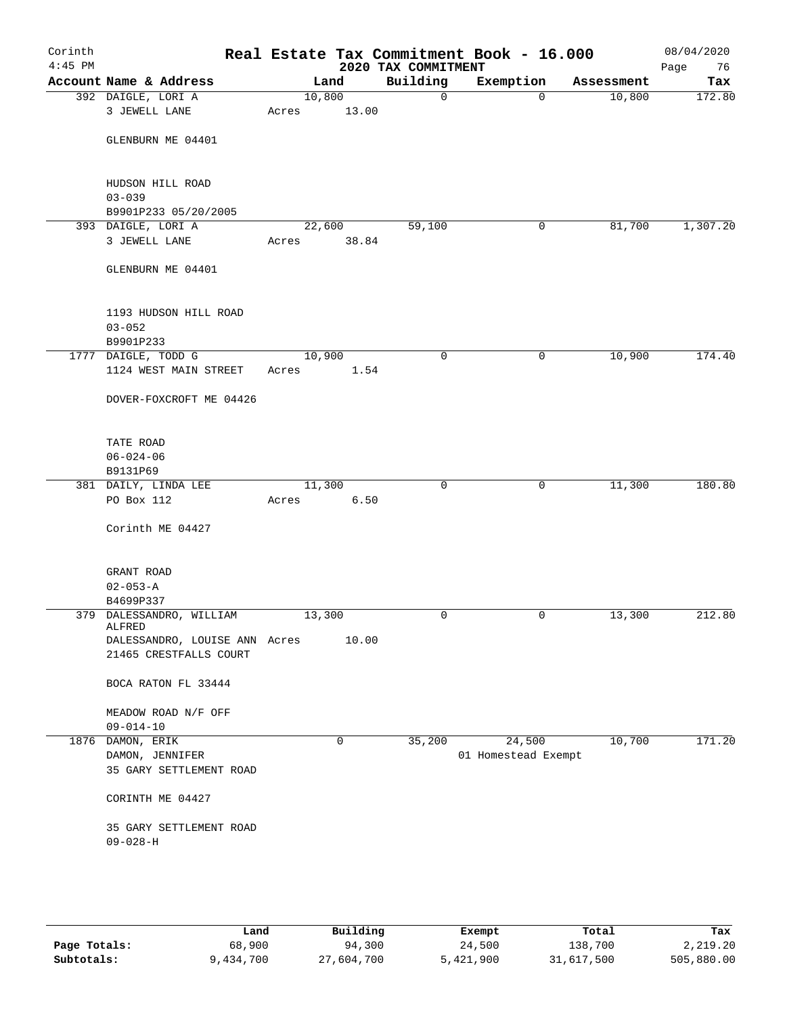| Corinth<br>$4:45$ PM |                                    |        |       | 2020 TAX COMMITMENT | Real Estate Tax Commitment Book - 16.000 |            | 08/04/2020<br>Page<br>76 |
|----------------------|------------------------------------|--------|-------|---------------------|------------------------------------------|------------|--------------------------|
|                      | Account Name & Address             |        | Land  | Building            | Exemption                                | Assessment | Tax                      |
|                      | 392 DAIGLE, LORI A                 | 10,800 |       | 0                   | $\mathbf 0$                              | 10,800     | 172.80                   |
|                      | 3 JEWELL LANE                      | Acres  | 13.00 |                     |                                          |            |                          |
|                      |                                    |        |       |                     |                                          |            |                          |
|                      | GLENBURN ME 04401                  |        |       |                     |                                          |            |                          |
|                      |                                    |        |       |                     |                                          |            |                          |
|                      |                                    |        |       |                     |                                          |            |                          |
|                      | HUDSON HILL ROAD                   |        |       |                     |                                          |            |                          |
|                      | $03 - 039$                         |        |       |                     |                                          |            |                          |
|                      | B9901P233 05/20/2005               |        |       |                     |                                          |            |                          |
|                      | 393 DAIGLE, LORI A                 | 22,600 |       | 59,100              | 0                                        | 81,700     | 1,307.20                 |
|                      | 3 JEWELL LANE                      | Acres  | 38.84 |                     |                                          |            |                          |
|                      |                                    |        |       |                     |                                          |            |                          |
|                      | GLENBURN ME 04401                  |        |       |                     |                                          |            |                          |
|                      |                                    |        |       |                     |                                          |            |                          |
|                      | 1193 HUDSON HILL ROAD              |        |       |                     |                                          |            |                          |
|                      | $03 - 052$                         |        |       |                     |                                          |            |                          |
|                      | B9901P233                          |        |       |                     |                                          |            |                          |
|                      | 1777 DAIGLE, TODD G                | 10,900 |       | $\mathbf 0$         | 0                                        | 10,900     | 174.40                   |
|                      | 1124 WEST MAIN STREET              | Acres  | 1.54  |                     |                                          |            |                          |
|                      |                                    |        |       |                     |                                          |            |                          |
|                      | DOVER-FOXCROFT ME 04426            |        |       |                     |                                          |            |                          |
|                      |                                    |        |       |                     |                                          |            |                          |
|                      |                                    |        |       |                     |                                          |            |                          |
|                      | TATE ROAD                          |        |       |                     |                                          |            |                          |
|                      | $06 - 024 - 06$                    |        |       |                     |                                          |            |                          |
|                      | B9131P69                           |        |       |                     |                                          |            |                          |
|                      | 381 DAILY, LINDA LEE               | 11,300 |       | $\mathbf 0$         | 0                                        | 11,300     | 180.80                   |
|                      | PO Box 112                         | Acres  | 6.50  |                     |                                          |            |                          |
|                      |                                    |        |       |                     |                                          |            |                          |
|                      | Corinth ME 04427                   |        |       |                     |                                          |            |                          |
|                      |                                    |        |       |                     |                                          |            |                          |
|                      |                                    |        |       |                     |                                          |            |                          |
|                      | GRANT ROAD                         |        |       |                     |                                          |            |                          |
|                      | $02 - 053 - A$                     |        |       |                     |                                          |            |                          |
|                      | B4699P337                          |        |       |                     |                                          |            |                          |
|                      | 379 DALESSANDRO, WILLIAM<br>ALFRED | 13,300 |       | 0                   | 0                                        | 13,300     | 212.80                   |
|                      | DALESSANDRO, LOUISE ANN Acres      |        | 10.00 |                     |                                          |            |                          |
|                      | 21465 CRESTFALLS COURT             |        |       |                     |                                          |            |                          |
|                      |                                    |        |       |                     |                                          |            |                          |
|                      | BOCA RATON FL 33444                |        |       |                     |                                          |            |                          |
|                      |                                    |        |       |                     |                                          |            |                          |
|                      | MEADOW ROAD N/F OFF                |        |       |                     |                                          |            |                          |
|                      | $09 - 014 - 10$                    |        |       |                     |                                          |            |                          |
|                      | 1876 DAMON, ERIK                   |        | 0     | 35,200              | 24,500                                   | 10,700     | 171.20                   |
|                      | DAMON, JENNIFER                    |        |       |                     | 01 Homestead Exempt                      |            |                          |
|                      | 35 GARY SETTLEMENT ROAD            |        |       |                     |                                          |            |                          |
|                      |                                    |        |       |                     |                                          |            |                          |
|                      | CORINTH ME 04427                   |        |       |                     |                                          |            |                          |
|                      |                                    |        |       |                     |                                          |            |                          |
|                      | 35 GARY SETTLEMENT ROAD            |        |       |                     |                                          |            |                          |
|                      | $09 - 028 - H$                     |        |       |                     |                                          |            |                          |
|                      |                                    |        |       |                     |                                          |            |                          |
|                      |                                    |        |       |                     |                                          |            |                          |
|                      |                                    |        |       |                     |                                          |            |                          |

|              | Land      | Building   | Exempt    | Total      | Tax        |
|--------------|-----------|------------|-----------|------------|------------|
| Page Totals: | 68,900    | 94,300     | 24,500    | 138,700    | 2,219.20   |
| Subtotals:   | 9,434,700 | 27,604,700 | 5,421,900 | 31,617,500 | 505,880.00 |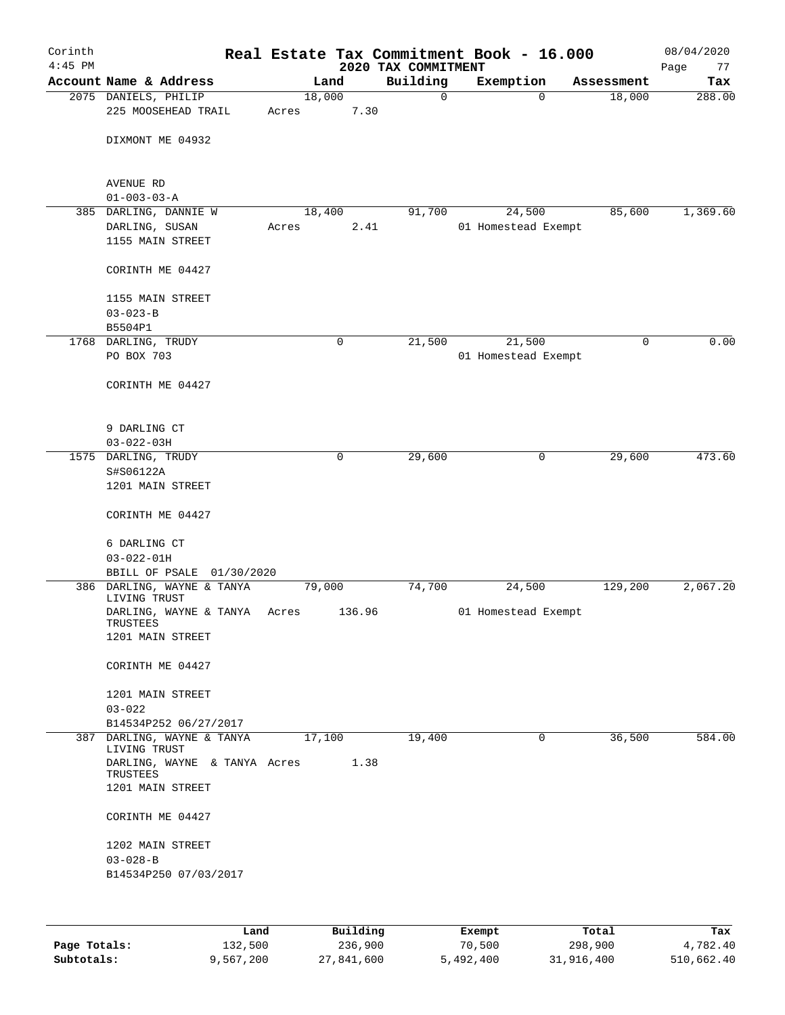| Corinth<br>$4:45$ PM |                                                             |                 |        | 2020 TAX COMMITMENT | Real Estate Tax Commitment Book - 16.000 |            | 08/04/2020<br>Page<br>77 |
|----------------------|-------------------------------------------------------------|-----------------|--------|---------------------|------------------------------------------|------------|--------------------------|
|                      | Account Name & Address                                      |                 | Land   | Building            | Exemption                                | Assessment | Tax                      |
|                      | 2075 DANIELS, PHILIP<br>225 MOOSEHEAD TRAIL                 | 18,000<br>Acres | 7.30   | $\mathbf 0$         | $\Omega$                                 | 18,000     | 288.00                   |
|                      | DIXMONT ME 04932                                            |                 |        |                     |                                          |            |                          |
|                      | AVENUE RD<br>$01 - 003 - 03 - A$                            |                 |        |                     |                                          |            |                          |
|                      | 385 DARLING, DANNIE W<br>DARLING, SUSAN<br>1155 MAIN STREET | 18,400<br>Acres | 2.41   | 91,700              | 24,500<br>01 Homestead Exempt            | 85,600     | 1,369.60                 |
|                      | CORINTH ME 04427                                            |                 |        |                     |                                          |            |                          |
|                      | 1155 MAIN STREET<br>$03 - 023 - B$                          |                 |        |                     |                                          |            |                          |
|                      | B5504P1                                                     |                 |        |                     |                                          |            |                          |
|                      | 1768 DARLING, TRUDY                                         |                 | 0      | 21,500              | 21,500                                   | 0          | 0.00                     |
|                      | PO BOX 703                                                  |                 |        |                     | 01 Homestead Exempt                      |            |                          |
|                      | CORINTH ME 04427                                            |                 |        |                     |                                          |            |                          |
|                      | 9 DARLING CT                                                |                 |        |                     |                                          |            |                          |
|                      | $03 - 022 - 03H$                                            |                 |        |                     |                                          |            |                          |
|                      | 1575 DARLING, TRUDY                                         |                 | 0      | 29,600              | $\mathsf{O}$                             | 29,600     | 473.60                   |
|                      | S#S06122A<br>1201 MAIN STREET                               |                 |        |                     |                                          |            |                          |
|                      | CORINTH ME 04427                                            |                 |        |                     |                                          |            |                          |
|                      | 6 DARLING CT                                                |                 |        |                     |                                          |            |                          |
|                      | $03 - 022 - 01H$                                            |                 |        |                     |                                          |            |                          |
|                      | BBILL OF PSALE<br>01/30/2020                                |                 |        |                     |                                          |            |                          |
|                      | 386 DARLING, WAYNE & TANYA<br>LIVING TRUST                  | 79,000          |        | 74,700              | 24,500                                   | 129,200    | 2,067.20                 |
|                      | DARLING, WAYNE & TANYA<br>TRUSTEES<br>1201 MAIN STREET      | Acres           | 136.96 |                     | 01 Homestead Exempt                      |            |                          |
|                      | CORINTH ME 04427                                            |                 |        |                     |                                          |            |                          |
|                      | 1201 MAIN STREET<br>$03 - 022$                              |                 |        |                     |                                          |            |                          |
|                      | B14534P252 06/27/2017                                       |                 |        |                     |                                          |            |                          |
|                      | 387 DARLING, WAYNE & TANYA<br>LIVING TRUST                  | 17,100          |        | 19,400              | 0                                        | 36,500     | 584.00                   |
|                      | DARLING, WAYNE & TANYA Acres<br>TRUSTEES                    |                 | 1.38   |                     |                                          |            |                          |
|                      | 1201 MAIN STREET                                            |                 |        |                     |                                          |            |                          |
|                      | CORINTH ME 04427                                            |                 |        |                     |                                          |            |                          |
|                      | 1202 MAIN STREET<br>$03 - 028 - B$                          |                 |        |                     |                                          |            |                          |
|                      | B14534P250 07/03/2017                                       |                 |        |                     |                                          |            |                          |
|                      |                                                             |                 |        |                     |                                          |            |                          |

|              | Land      | Building   | Exempt    | Total      | Tax        |
|--------------|-----------|------------|-----------|------------|------------|
| Page Totals: | 132,500   | 236,900    | 70,500    | 298,900    | 4,782.40   |
| Subtotals:   | 9.567.200 | 27,841,600 | 5,492,400 | 31,916,400 | 510,662.40 |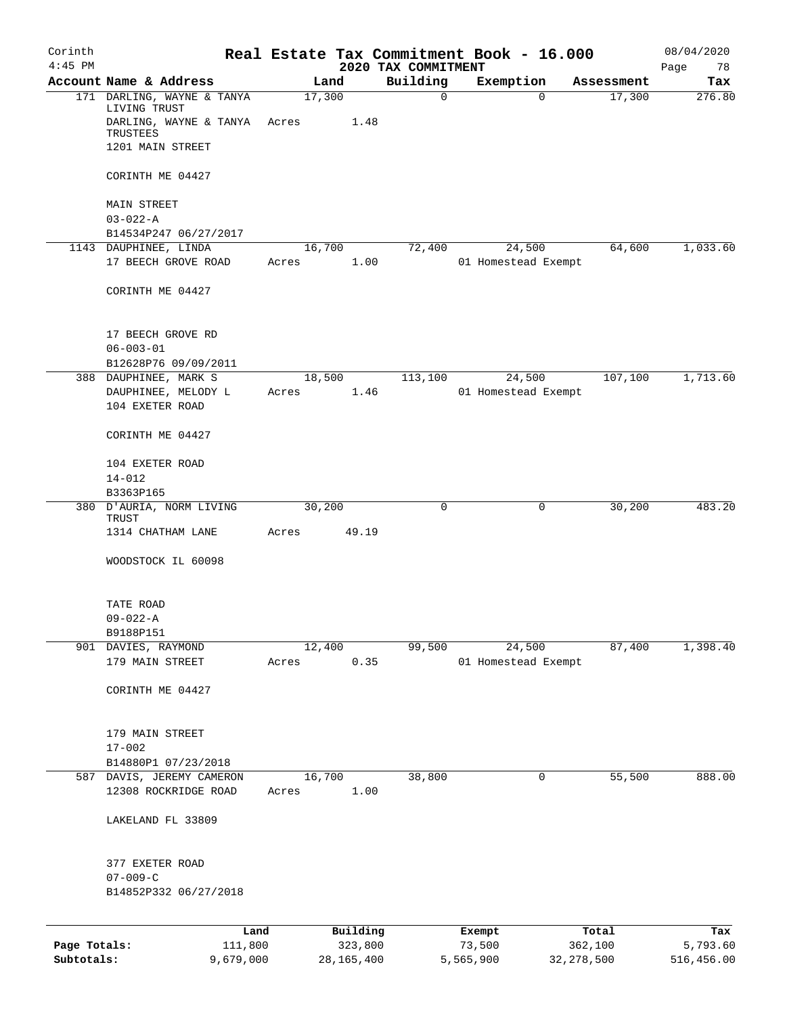| Corinth<br>$4:45$ PM |                                                        |                 |              | 2020 TAX COMMITMENT | Real Estate Tax Commitment Book - 16.000 |                    | 08/04/2020<br>Page<br>78 |
|----------------------|--------------------------------------------------------|-----------------|--------------|---------------------|------------------------------------------|--------------------|--------------------------|
|                      | Account Name & Address                                 |                 | Land         | Building            | Exemption                                | Assessment         | Tax                      |
|                      | 171 DARLING, WAYNE & TANYA<br>LIVING TRUST             | 17,300          |              | $\mathbf 0$         |                                          | $\Omega$<br>17,300 | 276.80                   |
|                      | DARLING, WAYNE & TANYA<br>TRUSTEES                     | Acres           | 1.48         |                     |                                          |                    |                          |
|                      | 1201 MAIN STREET                                       |                 |              |                     |                                          |                    |                          |
|                      | CORINTH ME 04427                                       |                 |              |                     |                                          |                    |                          |
|                      | MAIN STREET<br>$03 - 022 - A$                          |                 |              |                     |                                          |                    |                          |
|                      | B14534P247 06/27/2017                                  |                 |              |                     |                                          |                    |                          |
|                      | 1143 DAUPHINEE, LINDA                                  | 16,700          |              | 72,400              | 24,500                                   | 64,600             | 1,033.60                 |
|                      | 17 BEECH GROVE ROAD                                    | Acres           | 1.00         |                     | 01 Homestead Exempt                      |                    |                          |
|                      | CORINTH ME 04427                                       |                 |              |                     |                                          |                    |                          |
|                      | 17 BEECH GROVE RD                                      |                 |              |                     |                                          |                    |                          |
|                      | $06 - 003 - 01$                                        |                 |              |                     |                                          |                    |                          |
|                      | B12628P76 09/09/2011                                   |                 |              |                     |                                          |                    |                          |
|                      | 388 DAUPHINEE, MARK S                                  |                 | 18,500       | 113,100             | 24,500                                   | 107,100            | 1,713.60                 |
|                      | DAUPHINEE, MELODY L<br>104 EXETER ROAD                 | Acres           | 1.46         |                     | 01 Homestead Exempt                      |                    |                          |
|                      | CORINTH ME 04427                                       |                 |              |                     |                                          |                    |                          |
|                      | 104 EXETER ROAD                                        |                 |              |                     |                                          |                    |                          |
|                      | $14 - 012$<br>B3363P165                                |                 |              |                     |                                          |                    |                          |
|                      | 380 D'AURIA, NORM LIVING<br>TRUST<br>1314 CHATHAM LANE | 30,200<br>Acres | 49.19        | 0                   |                                          | 30,200<br>0        | 483.20                   |
|                      |                                                        |                 |              |                     |                                          |                    |                          |
|                      | WOODSTOCK IL 60098                                     |                 |              |                     |                                          |                    |                          |
|                      | TATE ROAD<br>$09 - 022 - A$                            |                 |              |                     |                                          |                    |                          |
|                      | B9188P151                                              |                 |              |                     |                                          |                    |                          |
|                      | 901 DAVIES, RAYMOND                                    |                 | 12,400       | 99,500              | 24,500                                   | 87,400             | 1,398.40                 |
|                      | 179 MAIN STREET                                        | Acres           | 0.35         |                     | 01 Homestead Exempt                      |                    |                          |
|                      | CORINTH ME 04427                                       |                 |              |                     |                                          |                    |                          |
|                      | 179 MAIN STREET                                        |                 |              |                     |                                          |                    |                          |
|                      | $17 - 002$                                             |                 |              |                     |                                          |                    |                          |
|                      | B14880P1 07/23/2018                                    |                 |              |                     |                                          |                    |                          |
|                      | 587 DAVIS, JEREMY CAMERON<br>12308 ROCKRIDGE ROAD      | 16,700<br>Acres | 1.00         | 38,800              |                                          | 55,500<br>0        | 888.00                   |
|                      | LAKELAND FL 33809                                      |                 |              |                     |                                          |                    |                          |
|                      | 377 EXETER ROAD                                        |                 |              |                     |                                          |                    |                          |
|                      | $07 - 009 - C$                                         |                 |              |                     |                                          |                    |                          |
|                      | B14852P332 06/27/2018                                  |                 |              |                     |                                          |                    |                          |
|                      | Land                                                   |                 | Building     |                     | Exempt                                   | Total              | Tax                      |
| Page Totals:         | 111,800                                                |                 | 323,800      |                     | 73,500                                   | 362,100            | 5,793.60                 |
| Subtotals:           | 9,679,000                                              |                 | 28, 165, 400 |                     | 5,565,900                                | 32, 278, 500       | 516,456.00               |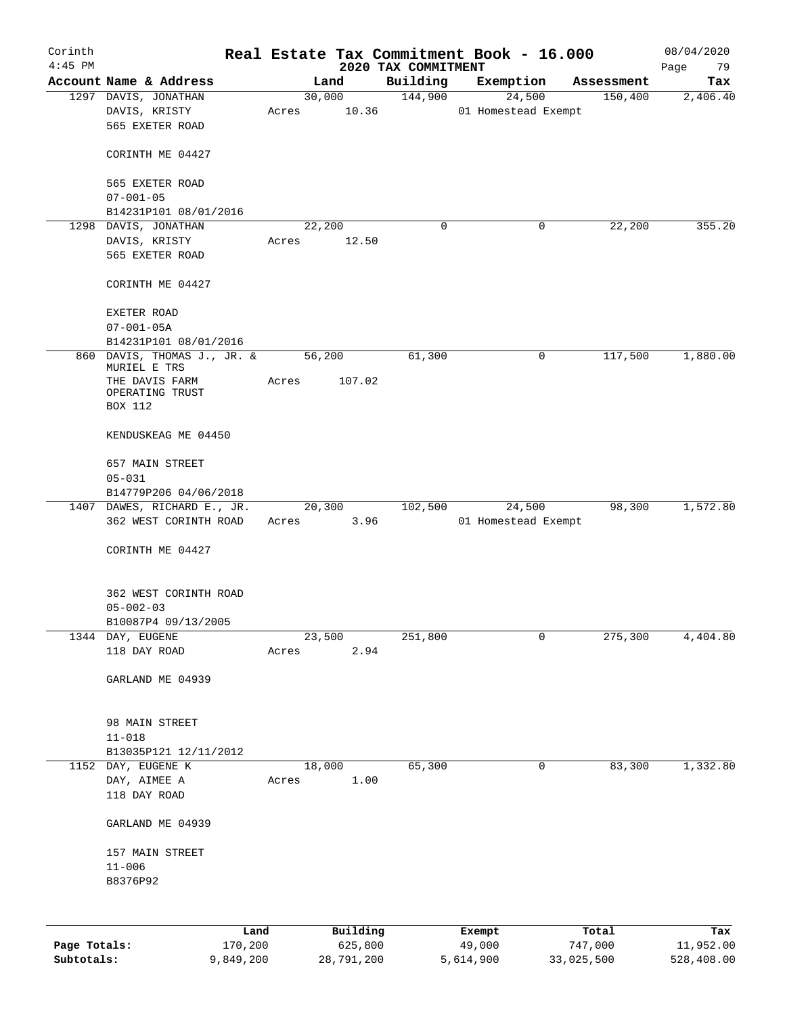| Corinth<br>$4:45$ PM |                                                    |       |        |                     | 2020 TAX COMMITMENT | Real Estate Tax Commitment Book - 16.000 |                  | 08/04/2020<br>Page<br>79 |
|----------------------|----------------------------------------------------|-------|--------|---------------------|---------------------|------------------------------------------|------------------|--------------------------|
|                      | Account Name & Address                             |       | Land   |                     | Building            | Exemption                                | Assessment       | Tax                      |
|                      | 1297 DAVIS, JONATHAN                               |       |        | 30,000              | 144,900             | 24,500                                   | 150,400          | 2,406.40                 |
|                      | DAVIS, KRISTY<br>565 EXETER ROAD                   | Acres |        | 10.36               |                     | 01 Homestead Exempt                      |                  |                          |
|                      | CORINTH ME 04427                                   |       |        |                     |                     |                                          |                  |                          |
|                      | 565 EXETER ROAD<br>$07 - 001 - 05$                 |       |        |                     |                     |                                          |                  |                          |
|                      | B14231P101 08/01/2016                              |       |        |                     |                     |                                          |                  |                          |
|                      | 1298 DAVIS, JONATHAN                               |       | 22,200 |                     | 0                   | 0                                        | 22,200           | 355.20                   |
|                      | DAVIS, KRISTY                                      | Acres |        | 12.50               |                     |                                          |                  |                          |
|                      | 565 EXETER ROAD                                    |       |        |                     |                     |                                          |                  |                          |
|                      | CORINTH ME 04427                                   |       |        |                     |                     |                                          |                  |                          |
|                      | EXETER ROAD                                        |       |        |                     |                     |                                          |                  |                          |
|                      | $07 - 001 - 05A$                                   |       |        |                     |                     |                                          |                  |                          |
|                      | B14231P101 08/01/2016                              |       |        |                     |                     |                                          |                  |                          |
|                      | 860 DAVIS, THOMAS J., JR. & 56,200<br>MURIEL E TRS |       |        |                     | 61,300              | $\mathsf{O}$                             | 117,500          | 1,880.00                 |
|                      | THE DAVIS FARM<br>OPERATING TRUST<br>BOX 112       | Acres |        | 107.02              |                     |                                          |                  |                          |
|                      | KENDUSKEAG ME 04450                                |       |        |                     |                     |                                          |                  |                          |
|                      | 657 MAIN STREET<br>$05 - 031$                      |       |        |                     |                     |                                          |                  |                          |
|                      | B14779P206 04/06/2018                              |       |        |                     |                     |                                          |                  |                          |
|                      | 1407 DAWES, RICHARD E., JR.                        |       |        | 20,300              | 102,500             | 24,500                                   | 98,300           | 1,572.80                 |
|                      | 362 WEST CORINTH ROAD                              |       |        | Acres 3.96          |                     | 01 Homestead Exempt                      |                  |                          |
|                      | CORINTH ME 04427                                   |       |        |                     |                     |                                          |                  |                          |
|                      | 362 WEST CORINTH ROAD                              |       |        |                     |                     |                                          |                  |                          |
|                      | $05 - 002 - 03$                                    |       |        |                     |                     |                                          |                  |                          |
|                      | B10087P4 09/13/2005                                |       |        |                     |                     |                                          |                  |                          |
|                      | 1344 DAY, EUGENE<br>118 DAY ROAD                   | Acres | 23,500 | 2.94                | 251,800             | 0                                        | 275,300          | 4,404.80                 |
|                      |                                                    |       |        |                     |                     |                                          |                  |                          |
|                      | GARLAND ME 04939                                   |       |        |                     |                     |                                          |                  |                          |
|                      | 98 MAIN STREET                                     |       |        |                     |                     |                                          |                  |                          |
|                      | $11 - 018$                                         |       |        |                     |                     |                                          |                  |                          |
|                      | B13035P121 12/11/2012                              |       |        |                     |                     |                                          |                  |                          |
|                      | 1152 DAY, EUGENE K                                 |       | 18,000 |                     | 65,300              | 0                                        | 83,300           | 1,332.80                 |
|                      | DAY, AIMEE A<br>118 DAY ROAD                       | Acres |        | 1.00                |                     |                                          |                  |                          |
|                      |                                                    |       |        |                     |                     |                                          |                  |                          |
|                      | GARLAND ME 04939                                   |       |        |                     |                     |                                          |                  |                          |
|                      | 157 MAIN STREET                                    |       |        |                     |                     |                                          |                  |                          |
|                      | $11 - 006$                                         |       |        |                     |                     |                                          |                  |                          |
|                      | B8376P92                                           |       |        |                     |                     |                                          |                  |                          |
|                      |                                                    |       |        |                     |                     |                                          |                  |                          |
|                      |                                                    |       |        |                     |                     |                                          |                  |                          |
| Page Totals:         | 170,200                                            | Land  |        | Building<br>625,800 |                     | Exempt<br>49,000                         | Total<br>747,000 | Tax<br>11,952.00         |

**Subtotals:** 9,849,200 28,791,200 5,614,900 33,025,500 528,408.00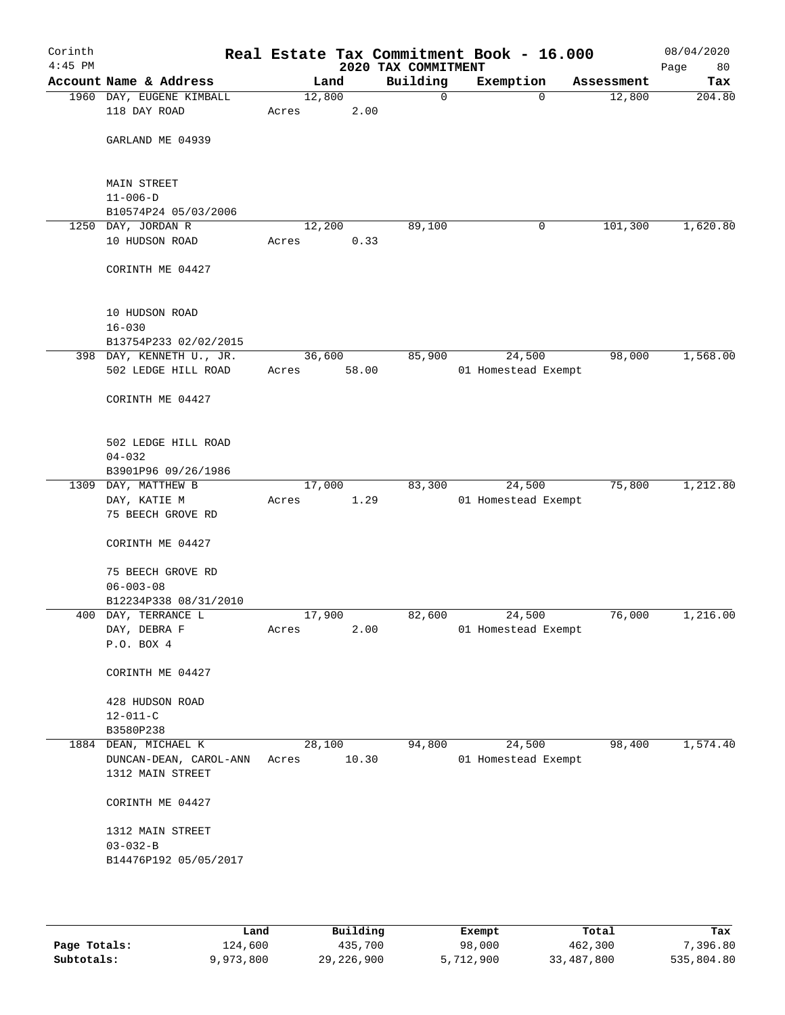| Corinth<br>$4:45$ PM |                                                 |       |        |       | Real Estate Tax Commitment Book - 16.000<br>2020 TAX COMMITMENT |                     |             |            | 08/04/2020<br>Page<br>80 |
|----------------------|-------------------------------------------------|-------|--------|-------|-----------------------------------------------------------------|---------------------|-------------|------------|--------------------------|
|                      | Account Name & Address                          |       | Land   |       | Building                                                        | Exemption           |             | Assessment | Tax                      |
|                      | 1960 DAY, EUGENE KIMBALL                        |       | 12,800 |       | 0                                                               |                     | $\mathbf 0$ | 12,800     | 204.80                   |
|                      | 118 DAY ROAD                                    | Acres |        | 2.00  |                                                                 |                     |             |            |                          |
|                      |                                                 |       |        |       |                                                                 |                     |             |            |                          |
|                      | GARLAND ME 04939                                |       |        |       |                                                                 |                     |             |            |                          |
|                      |                                                 |       |        |       |                                                                 |                     |             |            |                          |
|                      | <b>MAIN STREET</b>                              |       |        |       |                                                                 |                     |             |            |                          |
|                      | $11 - 006 - D$                                  |       |        |       |                                                                 |                     |             |            |                          |
|                      | B10574P24 05/03/2006                            |       |        |       |                                                                 |                     |             |            |                          |
|                      | 1250 DAY, JORDAN R                              |       | 12,200 |       | 89,100                                                          |                     | 0           | 101,300    | 1,620.80                 |
|                      | 10 HUDSON ROAD                                  | Acres |        | 0.33  |                                                                 |                     |             |            |                          |
|                      |                                                 |       |        |       |                                                                 |                     |             |            |                          |
|                      | CORINTH ME 04427                                |       |        |       |                                                                 |                     |             |            |                          |
|                      |                                                 |       |        |       |                                                                 |                     |             |            |                          |
|                      |                                                 |       |        |       |                                                                 |                     |             |            |                          |
|                      | 10 HUDSON ROAD                                  |       |        |       |                                                                 |                     |             |            |                          |
|                      | $16 - 030$                                      |       |        |       |                                                                 |                     |             |            |                          |
|                      | B13754P233 02/02/2015                           |       |        |       |                                                                 |                     | 24,500      |            | 1,568.00                 |
|                      | 398 DAY, KENNETH U., JR.<br>502 LEDGE HILL ROAD | Acres | 36,600 | 58.00 | 85,900                                                          | 01 Homestead Exempt |             | 98,000     |                          |
|                      |                                                 |       |        |       |                                                                 |                     |             |            |                          |
|                      | CORINTH ME 04427                                |       |        |       |                                                                 |                     |             |            |                          |
|                      |                                                 |       |        |       |                                                                 |                     |             |            |                          |
|                      |                                                 |       |        |       |                                                                 |                     |             |            |                          |
|                      | 502 LEDGE HILL ROAD                             |       |        |       |                                                                 |                     |             |            |                          |
|                      | $04 - 032$                                      |       |        |       |                                                                 |                     |             |            |                          |
|                      | B3901P96 09/26/1986                             |       |        |       |                                                                 |                     |             |            |                          |
|                      | 1309 DAY, MATTHEW B                             |       | 17,000 |       | 83,300                                                          |                     | 24,500      | 75,800     | 1,212.80                 |
|                      | DAY, KATIE M<br>75 BEECH GROVE RD               | Acres |        | 1.29  |                                                                 | 01 Homestead Exempt |             |            |                          |
|                      |                                                 |       |        |       |                                                                 |                     |             |            |                          |
|                      | CORINTH ME 04427                                |       |        |       |                                                                 |                     |             |            |                          |
|                      |                                                 |       |        |       |                                                                 |                     |             |            |                          |
|                      | 75 BEECH GROVE RD                               |       |        |       |                                                                 |                     |             |            |                          |
|                      | $06 - 003 - 08$                                 |       |        |       |                                                                 |                     |             |            |                          |
|                      | B12234P338 08/31/2010                           |       |        |       |                                                                 |                     |             |            |                          |
|                      | 400 DAY, TERRANCE L                             |       | 17,900 |       | 82,600                                                          |                     | 24,500      | 76,000     | 1,216.00                 |
|                      | DAY, DEBRA F                                    | Acres |        | 2.00  |                                                                 | 01 Homestead Exempt |             |            |                          |
|                      | P.O. BOX 4                                      |       |        |       |                                                                 |                     |             |            |                          |
|                      | CORINTH ME 04427                                |       |        |       |                                                                 |                     |             |            |                          |
|                      |                                                 |       |        |       |                                                                 |                     |             |            |                          |
|                      | 428 HUDSON ROAD                                 |       |        |       |                                                                 |                     |             |            |                          |
|                      | $12 - 011 - C$                                  |       |        |       |                                                                 |                     |             |            |                          |
|                      | B3580P238                                       |       |        |       |                                                                 |                     |             |            |                          |
|                      | 1884 DEAN, MICHAEL K                            |       | 28,100 |       | 94,800                                                          |                     | 24,500      | 98,400     | 1,574.40                 |
|                      | DUNCAN-DEAN, CAROL-ANN                          | Acres |        | 10.30 |                                                                 | 01 Homestead Exempt |             |            |                          |
|                      | 1312 MAIN STREET                                |       |        |       |                                                                 |                     |             |            |                          |
|                      | CORINTH ME 04427                                |       |        |       |                                                                 |                     |             |            |                          |
|                      |                                                 |       |        |       |                                                                 |                     |             |            |                          |
|                      | 1312 MAIN STREET                                |       |        |       |                                                                 |                     |             |            |                          |
|                      | $03 - 032 - B$                                  |       |        |       |                                                                 |                     |             |            |                          |
|                      | B14476P192 05/05/2017                           |       |        |       |                                                                 |                     |             |            |                          |
|                      |                                                 |       |        |       |                                                                 |                     |             |            |                          |
|                      |                                                 |       |        |       |                                                                 |                     |             |            |                          |

|              | Land      | Building   | Exempt    | Total      | Tax        |
|--------------|-----------|------------|-----------|------------|------------|
| Page Totals: | 124,600   | 435,700    | 98,000    | 462,300    | 7,396.80   |
| Subtotals:   | 9,973,800 | 29,226,900 | 5,712,900 | 33,487,800 | 535,804.80 |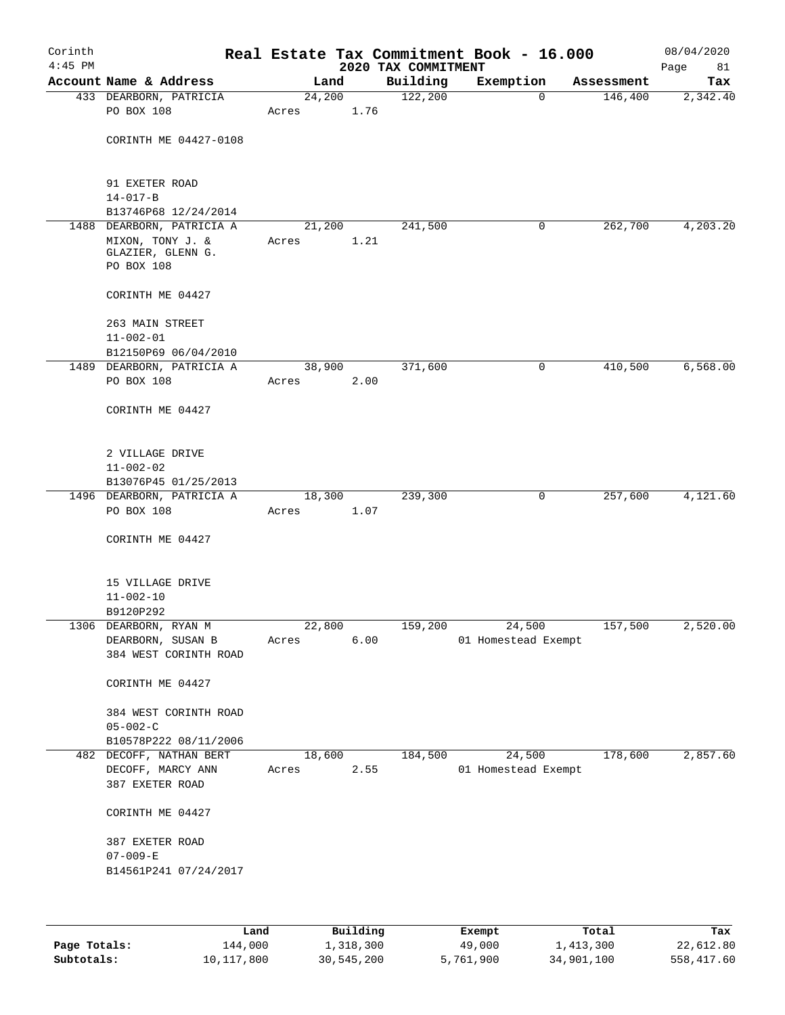| Corinth<br>$4:45$ PM |                                                     |                 |      | 2020 TAX COMMITMENT | Real Estate Tax Commitment Book - 16.000 |            | 08/04/2020<br>Page<br>81 |
|----------------------|-----------------------------------------------------|-----------------|------|---------------------|------------------------------------------|------------|--------------------------|
|                      | Account Name & Address                              | Land            |      | Building            | Exemption                                | Assessment | Tax                      |
|                      | 433 DEARBORN, PATRICIA                              | 24,200          |      | 122,200             | $\mathbf 0$                              | 146,400    | 2,342.40                 |
|                      | PO BOX 108                                          | Acres           | 1.76 |                     |                                          |            |                          |
|                      | CORINTH ME 04427-0108                               |                 |      |                     |                                          |            |                          |
|                      | 91 EXETER ROAD<br>$14 - 017 - B$                    |                 |      |                     |                                          |            |                          |
|                      | B13746P68 12/24/2014                                |                 |      |                     |                                          |            |                          |
|                      | 1488 DEARBORN, PATRICIA A                           | 21,200          |      | 241,500             | 0                                        | 262,700    | 4,203.20                 |
|                      | MIXON, TONY J. &<br>GLAZIER, GLENN G.<br>PO BOX 108 | Acres           | 1.21 |                     |                                          |            |                          |
|                      | CORINTH ME 04427                                    |                 |      |                     |                                          |            |                          |
|                      | 263 MAIN STREET                                     |                 |      |                     |                                          |            |                          |
|                      | $11 - 002 - 01$                                     |                 |      |                     |                                          |            |                          |
|                      | B12150P69 06/04/2010                                |                 |      |                     |                                          |            |                          |
|                      | 1489 DEARBORN, PATRICIA A<br>PO BOX 108             | 38,900<br>Acres | 2.00 | 371,600             | 0                                        | 410,500    | 6,568.00                 |
|                      | CORINTH ME 04427                                    |                 |      |                     |                                          |            |                          |
|                      | 2 VILLAGE DRIVE                                     |                 |      |                     |                                          |            |                          |
|                      | $11 - 002 - 02$                                     |                 |      |                     |                                          |            |                          |
|                      | B13076P45 01/25/2013                                |                 |      |                     |                                          |            |                          |
|                      | 1496 DEARBORN, PATRICIA A<br>PO BOX 108             | 18,300<br>Acres | 1.07 | 239,300             | 0                                        | 257,600    | 4,121.60                 |
|                      | CORINTH ME 04427                                    |                 |      |                     |                                          |            |                          |
|                      | 15 VILLAGE DRIVE                                    |                 |      |                     |                                          |            |                          |
|                      | $11 - 002 - 10$                                     |                 |      |                     |                                          |            |                          |
|                      | B9120P292                                           |                 |      |                     |                                          |            |                          |
|                      | 1306 DEARBORN, RYAN M                               | 22,800          |      | 159,200             | 24,500                                   | 157,500    | 2,520.00                 |
|                      | DEARBORN, SUSAN B<br>384 WEST CORINTH ROAD          | Acres           | 6.00 |                     | 01 Homestead Exempt                      |            |                          |
|                      | CORINTH ME 04427                                    |                 |      |                     |                                          |            |                          |
|                      | 384 WEST CORINTH ROAD                               |                 |      |                     |                                          |            |                          |
|                      | $05 - 002 - C$                                      |                 |      |                     |                                          |            |                          |
|                      | B10578P222 08/11/2006                               |                 |      |                     |                                          |            |                          |
|                      | 482 DECOFF, NATHAN BERT                             | 18,600          |      | 184,500             | 24,500                                   | 178,600    | 2,857.60                 |
|                      | DECOFF, MARCY ANN                                   | Acres           | 2.55 |                     | 01 Homestead Exempt                      |            |                          |
|                      | 387 EXETER ROAD                                     |                 |      |                     |                                          |            |                          |
|                      | CORINTH ME 04427                                    |                 |      |                     |                                          |            |                          |
|                      | 387 EXETER ROAD                                     |                 |      |                     |                                          |            |                          |
|                      | $07 - 009 - E$                                      |                 |      |                     |                                          |            |                          |
|                      | B14561P241 07/24/2017                               |                 |      |                     |                                          |            |                          |
|                      |                                                     |                 |      |                     |                                          |            |                          |
|                      |                                                     |                 |      |                     |                                          |            |                          |

|              | Land       | Building   | Exempt    | Total      | Tax        |
|--------------|------------|------------|-----------|------------|------------|
| Page Totals: | 144,000    | 1,318,300  | 49,000    | 1,413,300  | 22,612.80  |
| Subtotals:   | 10,117,800 | 30,545,200 | 5,761,900 | 34,901,100 | 558,417.60 |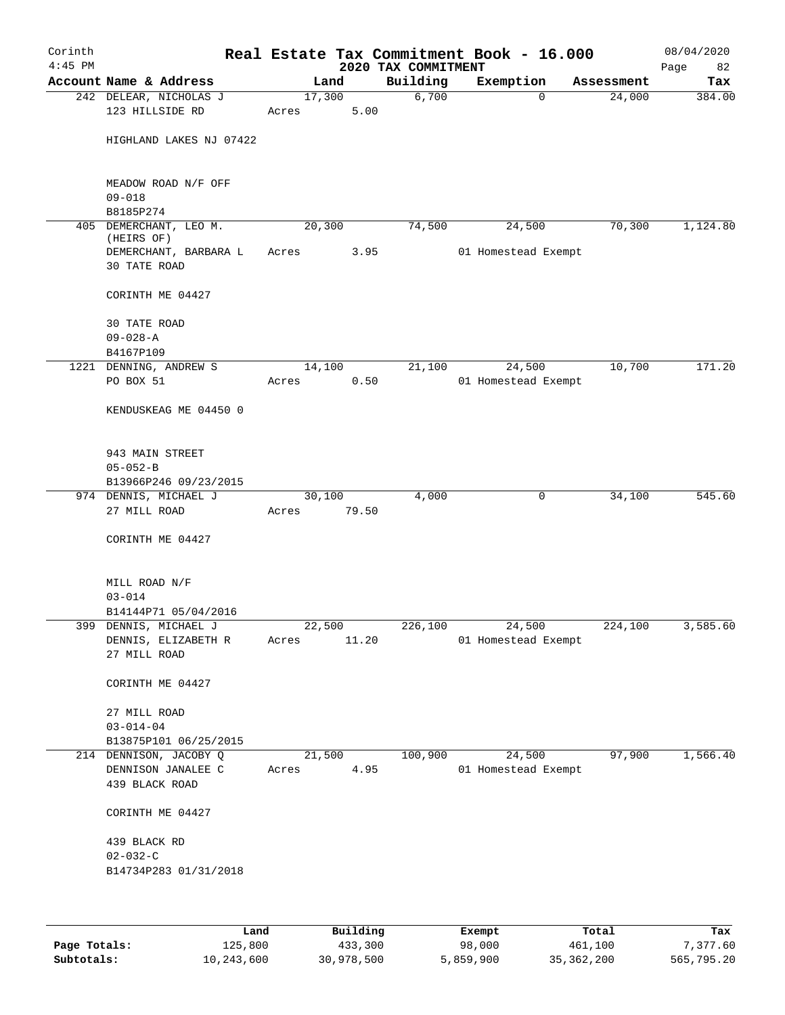| Corinth<br>$4:45$ PM |                                       |       |        |       | 2020 TAX COMMITMENT | Real Estate Tax Commitment Book - 16.000 |            | 08/04/2020<br>Page<br>82 |
|----------------------|---------------------------------------|-------|--------|-------|---------------------|------------------------------------------|------------|--------------------------|
|                      | Account Name & Address                |       | Land   |       | Building            | Exemption                                | Assessment | Tax                      |
|                      | 242 DELEAR, NICHOLAS J                |       | 17,300 |       | 6,700               | 0                                        | 24,000     | 384.00                   |
|                      | 123 HILLSIDE RD                       | Acres |        | 5.00  |                     |                                          |            |                          |
|                      | HIGHLAND LAKES NJ 07422               |       |        |       |                     |                                          |            |                          |
|                      | MEADOW ROAD N/F OFF<br>$09 - 018$     |       |        |       |                     |                                          |            |                          |
|                      | B8185P274                             |       |        |       |                     |                                          |            |                          |
| 405                  | DEMERCHANT, LEO M.<br>(HEIRS OF)      |       | 20,300 |       | 74,500              | 24,500                                   | 70,300     | 1,124.80                 |
|                      | DEMERCHANT, BARBARA L<br>30 TATE ROAD | Acres |        | 3.95  |                     | 01 Homestead Exempt                      |            |                          |
|                      | CORINTH ME 04427                      |       |        |       |                     |                                          |            |                          |
|                      | 30 TATE ROAD<br>$09 - 028 - A$        |       |        |       |                     |                                          |            |                          |
|                      | B4167P109                             |       |        |       |                     |                                          |            |                          |
|                      | 1221 DENNING, ANDREW S                |       | 14,100 |       | 21,100              | 24,500                                   | 10,700     | 171.20                   |
|                      | PO BOX 51                             | Acres |        | 0.50  |                     | 01 Homestead Exempt                      |            |                          |
|                      | KENDUSKEAG ME 04450 0                 |       |        |       |                     |                                          |            |                          |
|                      | 943 MAIN STREET                       |       |        |       |                     |                                          |            |                          |
|                      | $05 - 052 - B$                        |       |        |       |                     |                                          |            |                          |
|                      | B13966P246 09/23/2015                 |       |        |       |                     |                                          |            |                          |
|                      | 974 DENNIS, MICHAEL J<br>27 MILL ROAD | Acres | 30,100 | 79.50 | 4,000               | 0                                        | 34,100     | 545.60                   |
|                      | CORINTH ME 04427                      |       |        |       |                     |                                          |            |                          |
|                      | MILL ROAD N/F<br>$03 - 014$           |       |        |       |                     |                                          |            |                          |
|                      | B14144P71 05/04/2016                  |       |        |       |                     |                                          |            |                          |
|                      | 399 DENNIS, MICHAEL J                 |       | 22,500 |       | 226,100             | 24,500                                   | 224,100    | 3,585.60                 |
|                      | DENNIS, ELIZABETH R<br>27 MILL ROAD   | Acres |        | 11.20 |                     | 01 Homestead Exempt                      |            |                          |
|                      | CORINTH ME 04427                      |       |        |       |                     |                                          |            |                          |
|                      | 27 MILL ROAD<br>$03 - 014 - 04$       |       |        |       |                     |                                          |            |                          |
|                      | B13875P101 06/25/2015                 |       |        |       |                     |                                          |            |                          |
|                      | 214 DENNISON, JACOBY Q                |       | 21,500 |       | 100,900             | 24,500                                   | 97,900     | 1,566.40                 |
|                      | DENNISON JANALEE C<br>439 BLACK ROAD  | Acres |        | 4.95  |                     | 01 Homestead Exempt                      |            |                          |
|                      | CORINTH ME 04427                      |       |        |       |                     |                                          |            |                          |
|                      | 439 BLACK RD<br>$02 - 032 - C$        |       |        |       |                     |                                          |            |                          |
|                      | B14734P283 01/31/2018                 |       |        |       |                     |                                          |            |                          |
|                      |                                       |       |        |       |                     |                                          |            |                          |

|              | Land       | Building   | Exempt    | Total      | Tax        |
|--------------|------------|------------|-----------|------------|------------|
| Page Totals: | 125,800    | 433,300    | 98,000    | 461,100    | 7.377.60   |
| Subtotals:   | 10,243,600 | 30,978,500 | 5,859,900 | 35,362,200 | 565,795.20 |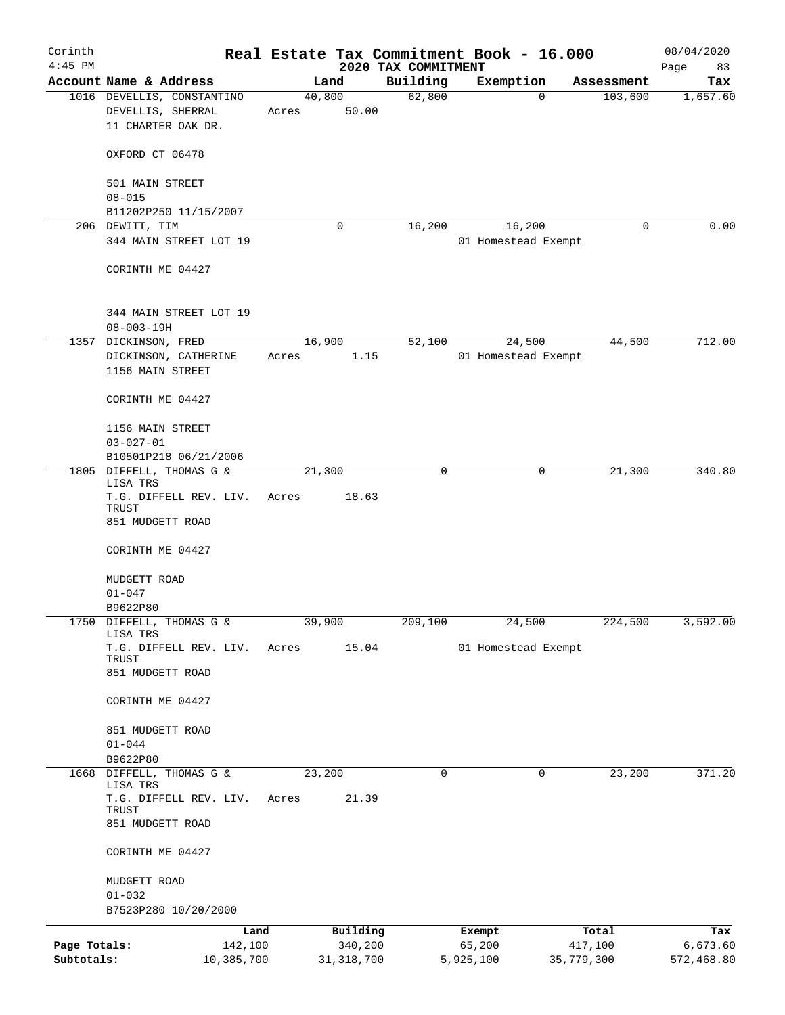| Corinth<br>$4:45$ PM |                                                                |                 |              | 2020 TAX COMMITMENT | Real Estate Tax Commitment Book - 16.000 |            | 08/04/2020<br>Page<br>83 |
|----------------------|----------------------------------------------------------------|-----------------|--------------|---------------------|------------------------------------------|------------|--------------------------|
|                      | Account Name & Address                                         | Land            |              | Building            | Exemption                                | Assessment | Tax                      |
|                      | 1016 DEVELLIS, CONSTANTINO                                     | 40,800          |              | 62,800              | 0                                        | 103,600    | 1,657.60                 |
|                      | DEVELLIS, SHERRAL<br>11 CHARTER OAK DR.                        | Acres           | 50.00        |                     |                                          |            |                          |
|                      | OXFORD CT 06478                                                |                 |              |                     |                                          |            |                          |
|                      | 501 MAIN STREET<br>$08 - 015$                                  |                 |              |                     |                                          |            |                          |
|                      | B11202P250 11/15/2007                                          |                 |              |                     |                                          |            |                          |
|                      | 206 DEWITT, TIM                                                |                 | $\Omega$     | 16,200              | 16,200                                   | 0          | 0.00                     |
|                      | 344 MAIN STREET LOT 19                                         |                 |              |                     | 01 Homestead Exempt                      |            |                          |
|                      | CORINTH ME 04427                                               |                 |              |                     |                                          |            |                          |
|                      | 344 MAIN STREET LOT 19<br>$08 - 003 - 19H$                     |                 |              |                     |                                          |            |                          |
|                      | 1357 DICKINSON, FRED                                           | 16,900          |              | 52,100              | 24,500                                   | 44,500     | 712.00                   |
|                      | DICKINSON, CATHERINE<br>1156 MAIN STREET                       | Acres           | 1.15         |                     | 01 Homestead Exempt                      |            |                          |
|                      | CORINTH ME 04427                                               |                 |              |                     |                                          |            |                          |
|                      | 1156 MAIN STREET                                               |                 |              |                     |                                          |            |                          |
|                      | $03 - 027 - 01$                                                |                 |              |                     |                                          |            |                          |
|                      | B10501P218 06/21/2006                                          |                 |              |                     |                                          |            |                          |
|                      | 1805 DIFFELL, THOMAS G &<br>LISA TRS<br>T.G. DIFFELL REV. LIV. | 21,300<br>Acres | 18.63        | $\Omega$            | 0                                        | 21,300     | 340.80                   |
|                      | TRUST<br>851 MUDGETT ROAD                                      |                 |              |                     |                                          |            |                          |
|                      | CORINTH ME 04427                                               |                 |              |                     |                                          |            |                          |
|                      | MUDGETT ROAD<br>$01 - 047$                                     |                 |              |                     |                                          |            |                          |
|                      | B9622P80                                                       |                 |              |                     |                                          |            |                          |
|                      | 1750 DIFFELL, THOMAS G &<br>LISA TRS                           | 39,900          |              | 209,100             | 24,500                                   | 224,500    | 3,592.00                 |
|                      | T.G. DIFFELL REV. LIV.<br>TRUST<br>851 MUDGETT ROAD            | Acres           | 15.04        |                     | 01 Homestead Exempt                      |            |                          |
|                      | CORINTH ME 04427                                               |                 |              |                     |                                          |            |                          |
|                      | 851 MUDGETT ROAD                                               |                 |              |                     |                                          |            |                          |
|                      | $01 - 044$                                                     |                 |              |                     |                                          |            |                          |
|                      | B9622P80                                                       |                 |              |                     |                                          |            |                          |
| 1668                 | DIFFELL, THOMAS G &<br>LISA TRS                                | 23,200          |              | 0                   | 0                                        | 23,200     | 371.20                   |
|                      | T.G. DIFFELL REV. LIV.<br>TRUST<br>851 MUDGETT ROAD            | Acres           | 21.39        |                     |                                          |            |                          |
|                      | CORINTH ME 04427                                               |                 |              |                     |                                          |            |                          |
|                      | MUDGETT ROAD                                                   |                 |              |                     |                                          |            |                          |
|                      | $01 - 032$                                                     |                 |              |                     |                                          |            |                          |
|                      | B7523P280 10/20/2000                                           |                 |              |                     |                                          |            |                          |
|                      |                                                                | Land            | Building     |                     | Exempt                                   | Total      | Tax                      |
| Page Totals:         | 142,100                                                        |                 | 340,200      |                     | 65,200                                   | 417,100    | 6,673.60                 |
| Subtotals:           | 10,385,700                                                     |                 | 31, 318, 700 |                     | 5,925,100                                | 35,779,300 | 572,468.80               |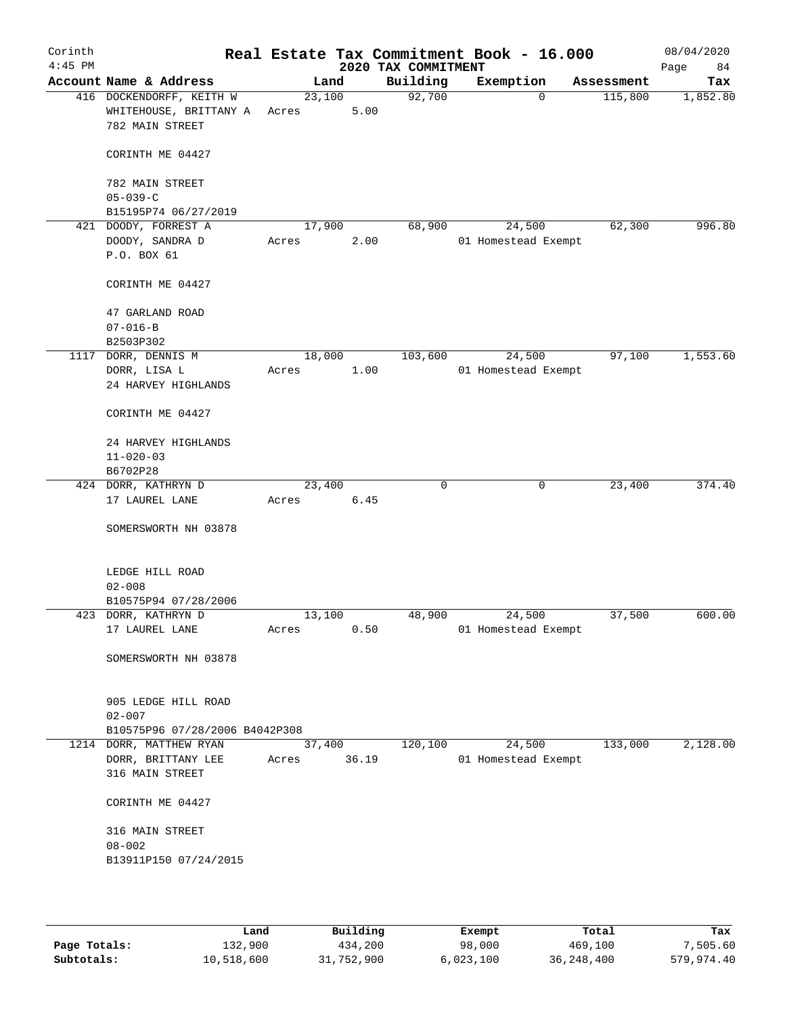| Corinth<br>$4:45$ PM |                                                                       |                 |       | 2020 TAX COMMITMENT | Real Estate Tax Commitment Book - 16.000 |            | 08/04/2020<br>Page<br>84 |
|----------------------|-----------------------------------------------------------------------|-----------------|-------|---------------------|------------------------------------------|------------|--------------------------|
|                      | Account Name & Address                                                |                 | Land  | Building            | Exemption                                | Assessment | Tax                      |
|                      | 416 DOCKENDORFF, KEITH W<br>WHITEHOUSE, BRITTANY A<br>782 MAIN STREET | 23,100<br>Acres | 5.00  | 92,700              | $\mathbf 0$                              | 115,800    | 1,852.80                 |
|                      | CORINTH ME 04427                                                      |                 |       |                     |                                          |            |                          |
|                      | 782 MAIN STREET                                                       |                 |       |                     |                                          |            |                          |
|                      | $05 - 039 - C$<br>B15195P74 06/27/2019                                |                 |       |                     |                                          |            |                          |
|                      | 421 DOODY, FORREST A                                                  | 17,900          |       | 68,900              | 24,500                                   | 62,300     | 996.80                   |
|                      | DOODY, SANDRA D                                                       | Acres           | 2.00  |                     | 01 Homestead Exempt                      |            |                          |
|                      | P.O. BOX 61                                                           |                 |       |                     |                                          |            |                          |
|                      | CORINTH ME 04427                                                      |                 |       |                     |                                          |            |                          |
|                      | 47 GARLAND ROAD                                                       |                 |       |                     |                                          |            |                          |
|                      | $07 - 016 - B$                                                        |                 |       |                     |                                          |            |                          |
|                      | B2503P302                                                             |                 |       |                     |                                          |            |                          |
|                      | 1117 DORR, DENNIS M                                                   | 18,000          |       | 103,600             | 24,500                                   | 97,100     | 1,553.60                 |
|                      | DORR, LISA L                                                          | Acres           | 1.00  |                     | 01 Homestead Exempt                      |            |                          |
|                      | 24 HARVEY HIGHLANDS                                                   |                 |       |                     |                                          |            |                          |
|                      | CORINTH ME 04427                                                      |                 |       |                     |                                          |            |                          |
|                      | 24 HARVEY HIGHLANDS                                                   |                 |       |                     |                                          |            |                          |
|                      | $11 - 020 - 03$                                                       |                 |       |                     |                                          |            |                          |
|                      | B6702P28                                                              |                 |       |                     |                                          |            |                          |
|                      | 424 DORR, KATHRYN D                                                   | 23,400          |       | $\mathbf 0$         | $\mathbf 0$                              | 23,400     | 374.40                   |
|                      | 17 LAUREL LANE                                                        | Acres           | 6.45  |                     |                                          |            |                          |
|                      | SOMERSWORTH NH 03878                                                  |                 |       |                     |                                          |            |                          |
|                      | LEDGE HILL ROAD                                                       |                 |       |                     |                                          |            |                          |
|                      | $02 - 008$                                                            |                 |       |                     |                                          |            |                          |
|                      | B10575P94 07/28/2006                                                  |                 |       |                     |                                          |            |                          |
|                      | 423 DORR, KATHRYN D                                                   | 13,100          |       | 48,900              | 24,500                                   | 37,500     | 600.00                   |
|                      | 17 LAUREL LANE                                                        | Acres           | 0.50  |                     | 01 Homestead Exempt                      |            |                          |
|                      | SOMERSWORTH NH 03878                                                  |                 |       |                     |                                          |            |                          |
|                      | 905 LEDGE HILL ROAD                                                   |                 |       |                     |                                          |            |                          |
|                      | $02 - 007$                                                            |                 |       |                     |                                          |            |                          |
|                      | B10575P96 07/28/2006 B4042P308                                        |                 |       |                     |                                          |            |                          |
|                      | 1214 DORR, MATTHEW RYAN                                               | 37,400          |       | 120,100             | 24,500                                   | 133,000    | 2,128.00                 |
|                      | DORR, BRITTANY LEE                                                    | Acres           | 36.19 |                     | 01 Homestead Exempt                      |            |                          |
|                      | 316 MAIN STREET                                                       |                 |       |                     |                                          |            |                          |
|                      | CORINTH ME 04427                                                      |                 |       |                     |                                          |            |                          |
|                      | 316 MAIN STREET                                                       |                 |       |                     |                                          |            |                          |
|                      | $08 - 002$                                                            |                 |       |                     |                                          |            |                          |
|                      | B13911P150 07/24/2015                                                 |                 |       |                     |                                          |            |                          |
|                      |                                                                       |                 |       |                     |                                          |            |                          |
|                      |                                                                       |                 |       |                     |                                          |            |                          |

|              | Land       | Building   | Exempt    | Total        | Tax        |
|--------------|------------|------------|-----------|--------------|------------|
| Page Totals: | 132,900    | 434,200    | 98,000    | 469,100      | 7,505.60   |
| Subtotals:   | 10,518,600 | 31,752,900 | 6,023,100 | 36, 248, 400 | 579,974.40 |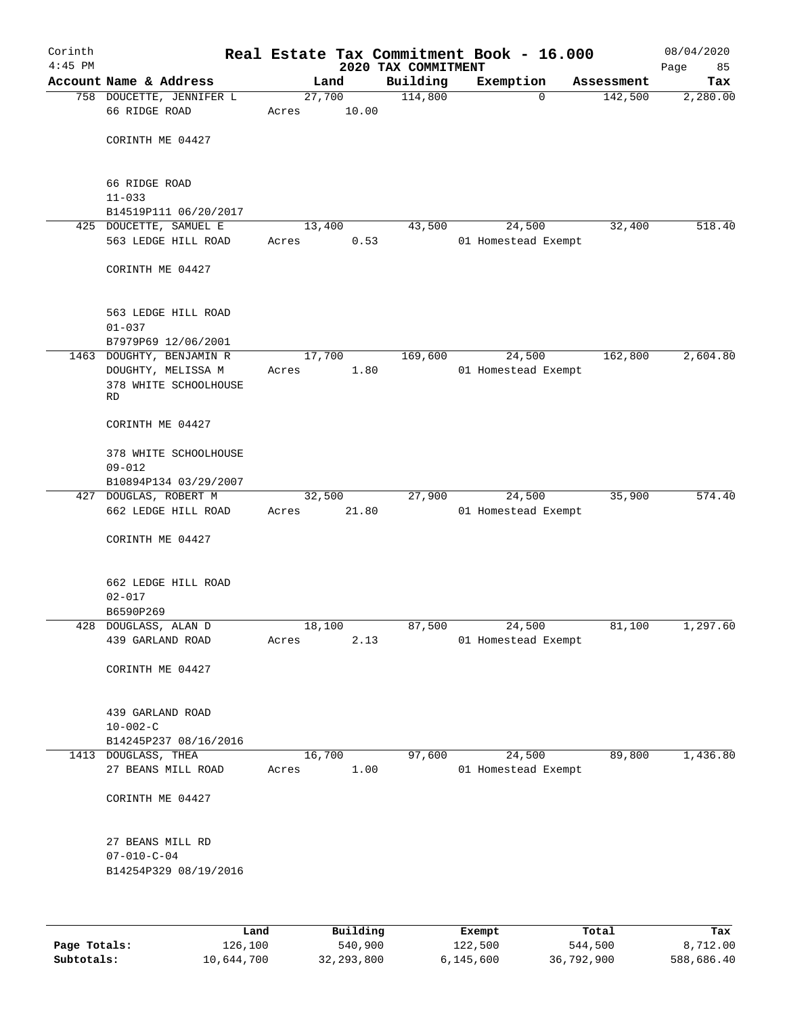| Corinth<br>$4:45$ PM |                                                                               |       |                | 2020 TAX COMMITMENT | Real Estate Tax Commitment Book - 16.000 |            | 08/04/2020<br>Page<br>85 |
|----------------------|-------------------------------------------------------------------------------|-------|----------------|---------------------|------------------------------------------|------------|--------------------------|
|                      | Account Name & Address                                                        |       | Land           | Building            | Exemption                                | Assessment | Tax                      |
|                      | 758 DOUCETTE, JENNIFER L                                                      |       | 27,700         | 114,800             | $\mathbf 0$                              | 142,500    | 2,280.00                 |
|                      | 66 RIDGE ROAD                                                                 | Acres | 10.00          |                     |                                          |            |                          |
|                      | CORINTH ME 04427                                                              |       |                |                     |                                          |            |                          |
|                      | 66 RIDGE ROAD<br>$11 - 033$                                                   |       |                |                     |                                          |            |                          |
|                      | B14519P111 06/20/2017                                                         |       |                |                     |                                          |            |                          |
|                      | 425 DOUCETTE, SAMUEL E                                                        |       | 13,400         | 43,500              | 24,500                                   | 32,400     | 518.40                   |
|                      | 563 LEDGE HILL ROAD                                                           | Acres | 0.53           |                     | 01 Homestead Exempt                      |            |                          |
|                      | CORINTH ME 04427                                                              |       |                |                     |                                          |            |                          |
|                      | 563 LEDGE HILL ROAD<br>$01 - 037$                                             |       |                |                     |                                          |            |                          |
|                      | B7979P69 12/06/2001                                                           |       |                |                     |                                          |            |                          |
|                      | 1463 DOUGHTY, BENJAMIN R<br>DOUGHTY, MELISSA M<br>378 WHITE SCHOOLHOUSE<br>RD | Acres | 17,700<br>1.80 | 169,600             | 24,500<br>01 Homestead Exempt            | 162,800    | 2,604.80                 |
|                      | CORINTH ME 04427                                                              |       |                |                     |                                          |            |                          |
|                      | 378 WHITE SCHOOLHOUSE<br>$09 - 012$                                           |       |                |                     |                                          |            |                          |
|                      | B10894P134 03/29/2007                                                         |       |                |                     |                                          |            |                          |
|                      | 427 DOUGLAS, ROBERT M                                                         |       | 32,500         | 27,900              | 24,500                                   | 35,900     | 574.40                   |
|                      | 662 LEDGE HILL ROAD                                                           | Acres | 21.80          |                     | 01 Homestead Exempt                      |            |                          |
|                      | CORINTH ME 04427                                                              |       |                |                     |                                          |            |                          |
|                      | 662 LEDGE HILL ROAD<br>$02 - 017$                                             |       |                |                     |                                          |            |                          |
|                      | B6590P269                                                                     |       |                |                     |                                          |            |                          |
|                      | 428 DOUGLASS, ALAN D<br>439 GARLAND ROAD                                      | Acres | 18,100<br>2.13 | 87,500              | 24,500<br>01 Homestead Exempt            | 81,100     | 1,297.60                 |
|                      | CORINTH ME 04427                                                              |       |                |                     |                                          |            |                          |
|                      | 439 GARLAND ROAD<br>$10 - 002 - C$                                            |       |                |                     |                                          |            |                          |
|                      | B14245P237 08/16/2016                                                         |       |                |                     |                                          |            |                          |
|                      | 1413 DOUGLASS, THEA                                                           |       | 16,700         | 97,600              | 24,500                                   | 89,800     | 1,436.80                 |
|                      | 27 BEANS MILL ROAD                                                            | Acres | 1.00           |                     | 01 Homestead Exempt                      |            |                          |
|                      | CORINTH ME 04427                                                              |       |                |                     |                                          |            |                          |
|                      | 27 BEANS MILL RD<br>$07 - 010 - C - 04$<br>B14254P329 08/19/2016              |       |                |                     |                                          |            |                          |
|                      |                                                                               |       |                |                     |                                          |            |                          |
|                      |                                                                               |       |                |                     |                                          |            |                          |

|              | Land       | Building     | Exempt    | Total      | Tax        |
|--------------|------------|--------------|-----------|------------|------------|
| Page Totals: | 126,100    | 540,900      | 122,500   | 544,500    | 8,712.00   |
| Subtotals:   | 10,644,700 | 32, 293, 800 | 6,145,600 | 36,792,900 | 588,686.40 |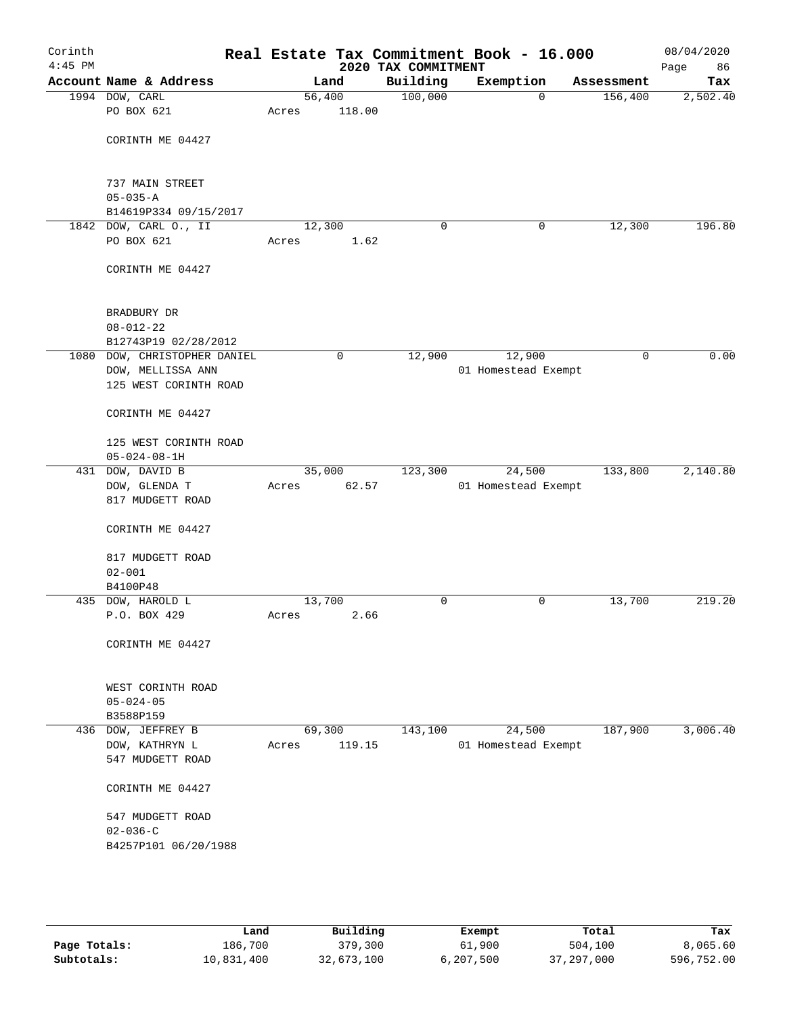| Corinth<br>$4:45$ PM |                              |        |        | 2020 TAX COMMITMENT | Real Estate Tax Commitment Book - 16.000 |              | 08/04/2020<br>Page<br>86 |
|----------------------|------------------------------|--------|--------|---------------------|------------------------------------------|--------------|--------------------------|
|                      | Account Name & Address       |        | Land   | Building            | Exemption                                | Assessment   | Tax                      |
|                      | 1994 DOW, CARL               | 56,400 |        | 100,000             | $\mathbf 0$                              | 156,400      | 2,502.40                 |
|                      | PO BOX 621                   | Acres  | 118.00 |                     |                                          |              |                          |
|                      | CORINTH ME 04427             |        |        |                     |                                          |              |                          |
|                      | 737 MAIN STREET              |        |        |                     |                                          |              |                          |
|                      | $05 - 035 - A$               |        |        |                     |                                          |              |                          |
|                      | B14619P334 09/15/2017        |        |        |                     |                                          |              |                          |
|                      | 1842 DOW, CARL O., II        | 12,300 |        | 0                   | 0                                        | 12,300       | 196.80                   |
|                      | PO BOX 621                   | Acres  | 1.62   |                     |                                          |              |                          |
|                      | CORINTH ME 04427             |        |        |                     |                                          |              |                          |
|                      | BRADBURY DR                  |        |        |                     |                                          |              |                          |
|                      | $08 - 012 - 22$              |        |        |                     |                                          |              |                          |
|                      | B12743P19 02/28/2012         |        |        |                     |                                          |              |                          |
|                      | 1080 DOW, CHRISTOPHER DANIEL |        | 0      | 12,900              | 12,900                                   | $\mathsf{O}$ | 0.00                     |
|                      | DOW, MELLISSA ANN            |        |        |                     | 01 Homestead Exempt                      |              |                          |
|                      | 125 WEST CORINTH ROAD        |        |        |                     |                                          |              |                          |
|                      | CORINTH ME 04427             |        |        |                     |                                          |              |                          |
|                      | 125 WEST CORINTH ROAD        |        |        |                     |                                          |              |                          |
|                      | $05 - 024 - 08 - 1H$         |        |        |                     |                                          |              |                          |
|                      | 431 DOW, DAVID B             | 35,000 |        | 123,300             | 24,500                                   | 133,800      | 2,140.80                 |
|                      | DOW, GLENDA T                | Acres  | 62.57  |                     | 01 Homestead Exempt                      |              |                          |
|                      | 817 MUDGETT ROAD             |        |        |                     |                                          |              |                          |
|                      | CORINTH ME 04427             |        |        |                     |                                          |              |                          |
|                      | 817 MUDGETT ROAD             |        |        |                     |                                          |              |                          |
|                      | $02 - 001$                   |        |        |                     |                                          |              |                          |
|                      | B4100P48                     |        |        |                     |                                          |              |                          |
|                      | 435 DOW, HAROLD L            | 13,700 |        | 0                   | 0                                        | 13,700       | 219.20                   |
|                      | P.O. BOX 429                 | Acres  | 2.66   |                     |                                          |              |                          |
|                      | CORINTH ME 04427             |        |        |                     |                                          |              |                          |
|                      | WEST CORINTH ROAD            |        |        |                     |                                          |              |                          |
|                      | $05 - 024 - 05$              |        |        |                     |                                          |              |                          |
|                      | B3588P159                    |        |        |                     |                                          |              |                          |
|                      | 436 DOW, JEFFREY B           | 69,300 |        | 143,100             | 24,500                                   | 187,900      | 3,006.40                 |
|                      | DOW, KATHRYN L               | Acres  | 119.15 |                     | 01 Homestead Exempt                      |              |                          |
|                      | 547 MUDGETT ROAD             |        |        |                     |                                          |              |                          |
|                      | CORINTH ME 04427             |        |        |                     |                                          |              |                          |
|                      | 547 MUDGETT ROAD             |        |        |                     |                                          |              |                          |
|                      | $02 - 036 - C$               |        |        |                     |                                          |              |                          |
|                      | B4257P101 06/20/1988         |        |        |                     |                                          |              |                          |
|                      |                              |        |        |                     |                                          |              |                          |
|                      |                              |        |        |                     |                                          |              |                          |

|              | Land       | Building   | Exempt    | Total        | Tax        |
|--------------|------------|------------|-----------|--------------|------------|
| Page Totals: | 186,700    | 379,300    | 61,900    | 504,100      | 8,065.60   |
| Subtotals:   | 10,831,400 | 32,673,100 | 6,207,500 | 37, 297, 000 | 596,752.00 |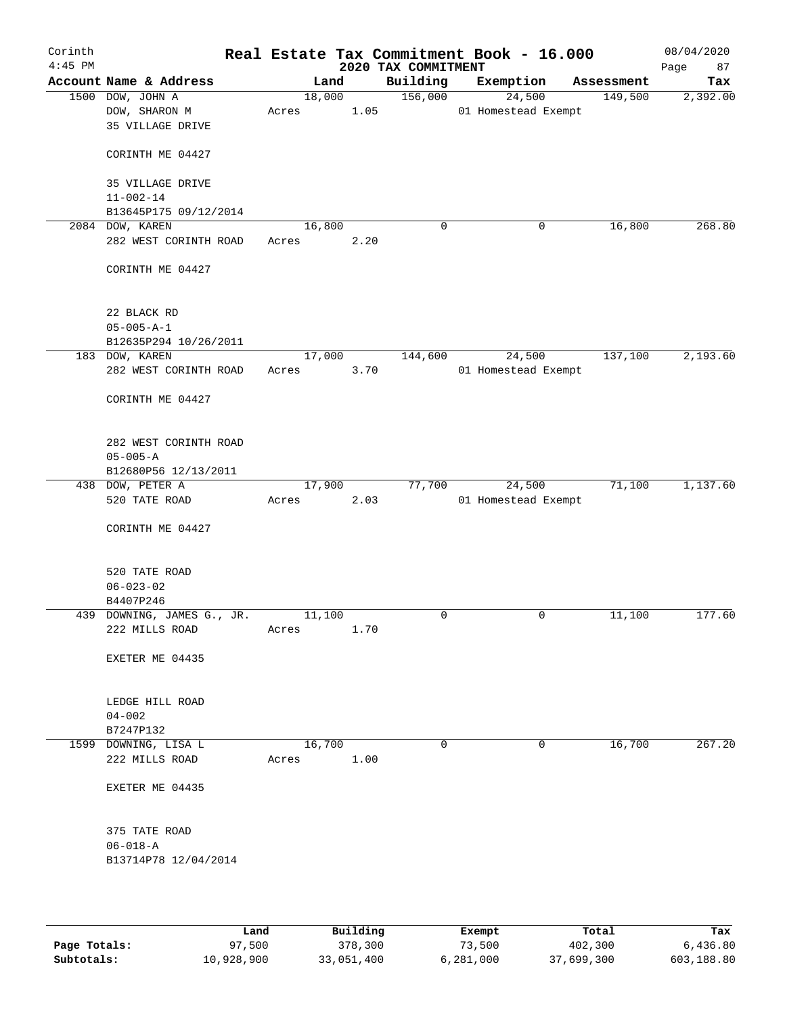| Corinth<br>$4:45$ PM |                                                       |                 |        |      | 2020 TAX COMMITMENT | Real Estate Tax Commitment Book - 16.000 |            | 08/04/2020<br>Page<br>87 |
|----------------------|-------------------------------------------------------|-----------------|--------|------|---------------------|------------------------------------------|------------|--------------------------|
|                      | Account Name & Address                                |                 | Land   |      | Building            | Exemption                                | Assessment | Tax                      |
|                      | 1500 DOW, JOHN A<br>DOW, SHARON M<br>35 VILLAGE DRIVE | Acres           | 18,000 | 1.05 | 156,000             | 24,500<br>01 Homestead Exempt            | 149,500    | 2,392.00                 |
|                      | CORINTH ME 04427                                      |                 |        |      |                     |                                          |            |                          |
|                      | 35 VILLAGE DRIVE<br>$11 - 002 - 14$                   |                 |        |      |                     |                                          |            |                          |
|                      | B13645P175 09/12/2014                                 |                 |        |      |                     |                                          |            |                          |
|                      | 2084 DOW, KAREN                                       | 16,800          |        |      | $\mathbf 0$         | 0                                        | 16,800     | 268.80                   |
|                      | 282 WEST CORINTH ROAD                                 | Acres           |        | 2.20 |                     |                                          |            |                          |
|                      | CORINTH ME 04427                                      |                 |        |      |                     |                                          |            |                          |
|                      | 22 BLACK RD                                           |                 |        |      |                     |                                          |            |                          |
|                      | $05 - 005 - A - 1$                                    |                 |        |      |                     |                                          |            |                          |
|                      | B12635P294 10/26/2011                                 |                 |        |      |                     |                                          |            |                          |
|                      | 183 DOW, KAREN                                        | 17,000          |        |      | 144,600             | 24,500                                   | 137,100    | 2,193.60                 |
|                      | 282 WEST CORINTH ROAD                                 | Acres           |        | 3.70 |                     | 01 Homestead Exempt                      |            |                          |
|                      | CORINTH ME 04427                                      |                 |        |      |                     |                                          |            |                          |
|                      | 282 WEST CORINTH ROAD                                 |                 |        |      |                     |                                          |            |                          |
|                      | $05 - 005 - A$                                        |                 |        |      |                     |                                          |            |                          |
|                      | B12680P56 12/13/2011                                  |                 |        |      |                     |                                          |            |                          |
|                      | 438 DOW, PETER A                                      | 17,900          |        |      | 77,700              | 24,500                                   | 71,100     | 1,137.60                 |
|                      | 520 TATE ROAD                                         | Acres           |        | 2.03 |                     | 01 Homestead Exempt                      |            |                          |
|                      | CORINTH ME 04427                                      |                 |        |      |                     |                                          |            |                          |
|                      | 520 TATE ROAD                                         |                 |        |      |                     |                                          |            |                          |
|                      | $06 - 023 - 02$                                       |                 |        |      |                     |                                          |            |                          |
|                      | B4407P246                                             |                 |        |      |                     |                                          |            |                          |
|                      | 439 DOWNING, JAMES G., JR.<br>222 MILLS ROAD          | 11,100<br>Acres |        | 1.70 | $\mathbf 0$         | $\mathbf 0$                              | 11,100     | 177.60                   |
|                      | EXETER ME 04435                                       |                 |        |      |                     |                                          |            |                          |
|                      | LEDGE HILL ROAD                                       |                 |        |      |                     |                                          |            |                          |
|                      | $04 - 002$<br>B7247P132                               |                 |        |      |                     |                                          |            |                          |
|                      | 1599 DOWNING, LISA L                                  | 16,700          |        |      | 0                   | 0                                        | 16,700     | 267.20                   |
|                      | 222 MILLS ROAD                                        | Acres           |        | 1.00 |                     |                                          |            |                          |
|                      | EXETER ME 04435                                       |                 |        |      |                     |                                          |            |                          |
|                      | 375 TATE ROAD                                         |                 |        |      |                     |                                          |            |                          |
|                      | $06 - 018 - A$<br>B13714P78 12/04/2014                |                 |        |      |                     |                                          |            |                          |
|                      |                                                       |                 |        |      |                     |                                          |            |                          |

|              | Land       | Building   | Exempt    | Total      | Tax        |
|--------------|------------|------------|-----------|------------|------------|
| Page Totals: | 97,500     | 378,300    | 73,500    | 402,300    | 6,436.80   |
| Subtotals:   | 10,928,900 | 33,051,400 | 6,281,000 | 37,699,300 | 603,188.80 |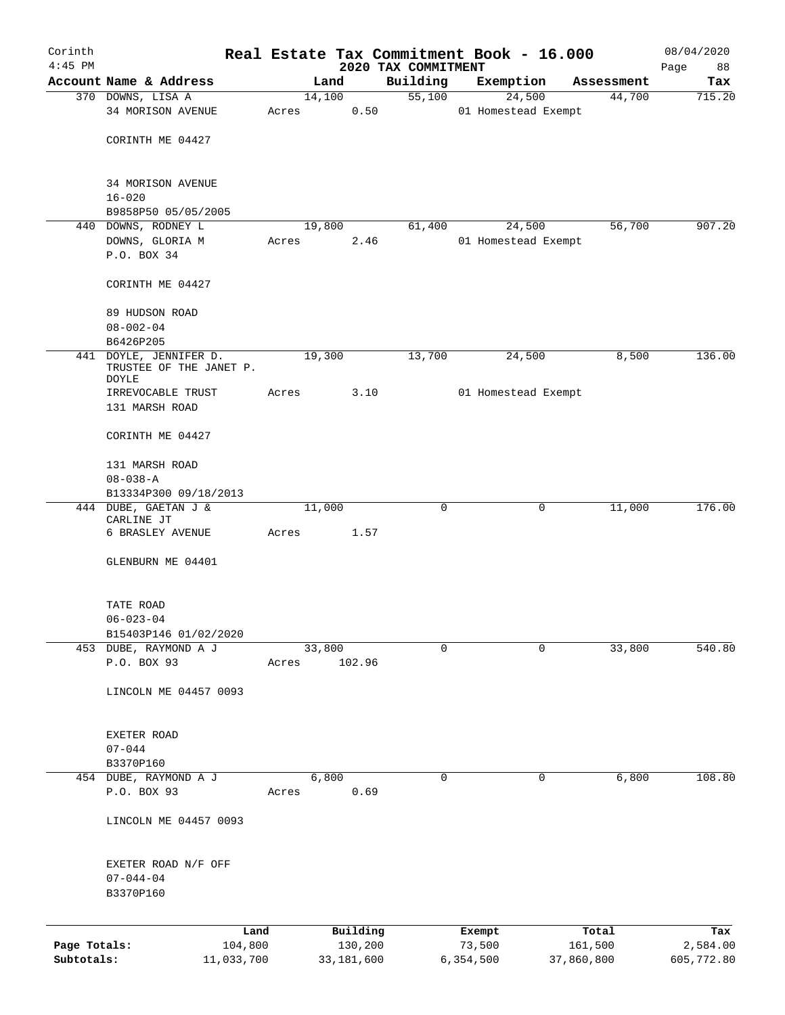| Corinth<br>$4:45$ PM |                                                   |         |        |            |                                 | Real Estate Tax Commitment Book - 16.000 |            |            | 08/04/2020        |
|----------------------|---------------------------------------------------|---------|--------|------------|---------------------------------|------------------------------------------|------------|------------|-------------------|
|                      | Account Name & Address                            |         | Land   |            | 2020 TAX COMMITMENT<br>Building | Exemption                                |            | Assessment | 88<br>Page<br>Tax |
|                      | 370 DOWNS, LISA A                                 |         | 14,100 |            | 55,100                          | 24,500                                   |            | 44,700     | 715.20            |
|                      | 34 MORISON AVENUE                                 | Acres   |        | 0.50       |                                 | 01 Homestead Exempt                      |            |            |                   |
|                      | CORINTH ME 04427                                  |         |        |            |                                 |                                          |            |            |                   |
|                      | 34 MORISON AVENUE<br>$16 - 020$                   |         |        |            |                                 |                                          |            |            |                   |
|                      | B9858P50 05/05/2005                               |         |        |            |                                 |                                          |            |            |                   |
|                      | 440 DOWNS, RODNEY L                               |         | 19,800 |            | 61,400                          | 24,500                                   |            | 56,700     | 907.20            |
|                      | DOWNS, GLORIA M                                   | Acres   |        | 2.46       |                                 | 01 Homestead Exempt                      |            |            |                   |
|                      | P.O. BOX 34                                       |         |        |            |                                 |                                          |            |            |                   |
|                      | CORINTH ME 04427                                  |         |        |            |                                 |                                          |            |            |                   |
|                      | 89 HUDSON ROAD                                    |         |        |            |                                 |                                          |            |            |                   |
|                      | $08 - 002 - 04$<br>B6426P205                      |         |        |            |                                 |                                          |            |            |                   |
|                      | 441 DOYLE, JENNIFER D.<br>TRUSTEE OF THE JANET P. |         | 19,300 |            | 13,700                          | 24,500                                   |            | 8,500      | 136.00            |
|                      | DOYLE                                             |         |        | 3.10       |                                 | 01 Homestead Exempt                      |            |            |                   |
|                      | IRREVOCABLE TRUST<br>131 MARSH ROAD               | Acres   |        |            |                                 |                                          |            |            |                   |
|                      | CORINTH ME 04427                                  |         |        |            |                                 |                                          |            |            |                   |
|                      | 131 MARSH ROAD                                    |         |        |            |                                 |                                          |            |            |                   |
|                      | $08 - 038 - A$                                    |         |        |            |                                 |                                          |            |            |                   |
|                      | B13334P300 09/18/2013                             |         |        |            |                                 |                                          |            |            |                   |
|                      | 444 DUBE, GAETAN J &<br>CARLINE JT                |         | 11,000 |            | $\mathbf 0$                     |                                          | 0          | 11,000     | 176.00            |
|                      | 6 BRASLEY AVENUE                                  | Acres   |        | 1.57       |                                 |                                          |            |            |                   |
|                      | GLENBURN ME 04401                                 |         |        |            |                                 |                                          |            |            |                   |
|                      | TATE ROAD                                         |         |        |            |                                 |                                          |            |            |                   |
|                      | $06 - 023 - 04$                                   |         |        |            |                                 |                                          |            |            |                   |
|                      | B15403P146 01/02/2020                             |         |        |            |                                 |                                          |            |            |                   |
|                      | 453 DUBE, RAYMOND A J<br>P.O. BOX 93              | Acres   | 33,800 | 102.96     | $\mathbf 0$                     |                                          | 0          | 33,800     | 540.80            |
|                      | LINCOLN ME 04457 0093                             |         |        |            |                                 |                                          |            |            |                   |
|                      |                                                   |         |        |            |                                 |                                          |            |            |                   |
|                      | EXETER ROAD<br>$07 - 044$                         |         |        |            |                                 |                                          |            |            |                   |
|                      | B3370P160                                         |         |        |            |                                 |                                          |            |            |                   |
|                      | 454 DUBE, RAYMOND A J                             |         | 6,800  |            | 0                               |                                          | 0          | 6,800      | 108.80            |
|                      | P.O. BOX 93                                       | Acres   |        | 0.69       |                                 |                                          |            |            |                   |
|                      | LINCOLN ME 04457 0093                             |         |        |            |                                 |                                          |            |            |                   |
|                      | EXETER ROAD N/F OFF                               |         |        |            |                                 |                                          |            |            |                   |
|                      | $07 - 044 - 04$                                   |         |        |            |                                 |                                          |            |            |                   |
|                      | B3370P160                                         |         |        |            |                                 |                                          |            |            |                   |
|                      |                                                   | Land    |        | Building   |                                 | Exempt                                   |            | Total      | Tax               |
| Page Totals:         |                                                   | 104,800 |        | 130,200    |                                 | 73,500                                   |            | 161,500    | 2,584.00          |
| Subtotals:           | 11,033,700                                        |         |        | 33,181,600 |                                 | 6,354,500                                | 37,860,800 |            | 605,772.80        |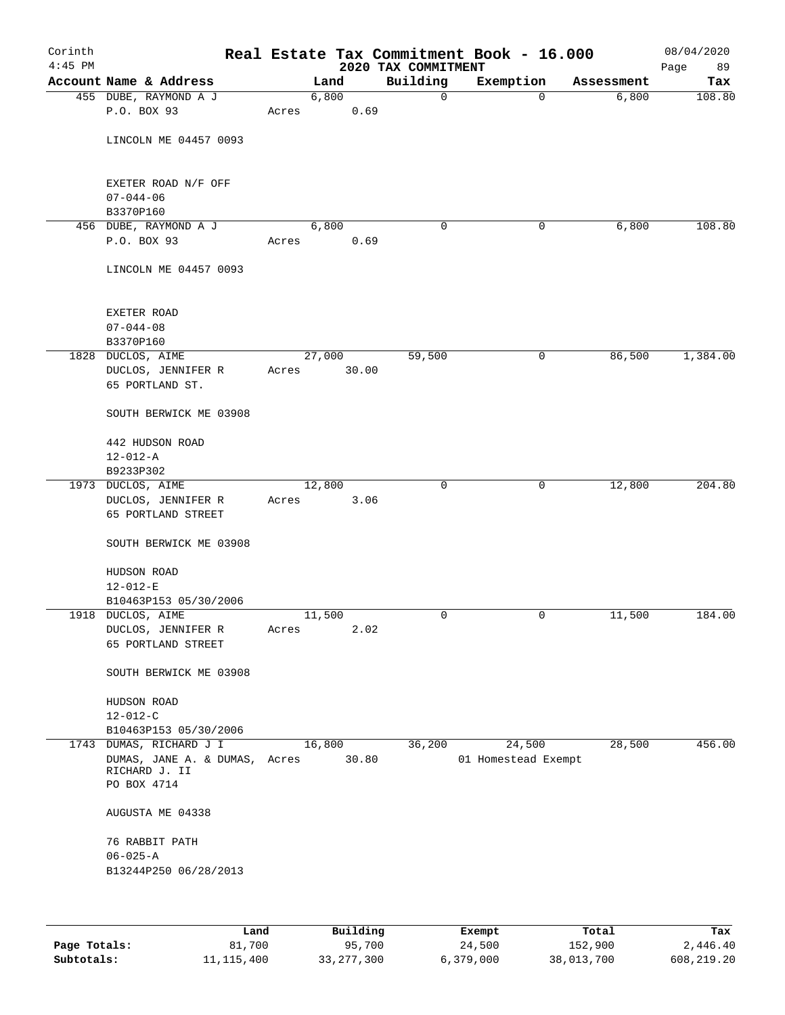| Corinth<br>$4:45$ PM |                                         |       |        | 2020 TAX COMMITMENT | Real Estate Tax Commitment Book - 16.000 |            | 08/04/2020<br>Page<br>89 |
|----------------------|-----------------------------------------|-------|--------|---------------------|------------------------------------------|------------|--------------------------|
|                      | Account Name & Address                  |       | Land   | Building            | Exemption                                | Assessment | Tax                      |
|                      | 455 DUBE, RAYMOND A J                   |       | 6,800  | $\mathbf 0$         | $\mathbf 0$                              | 6,800      | 108.80                   |
|                      | P.O. BOX 93                             | Acres | 0.69   |                     |                                          |            |                          |
|                      | LINCOLN ME 04457 0093                   |       |        |                     |                                          |            |                          |
|                      | EXETER ROAD N/F OFF<br>$07 - 044 - 06$  |       |        |                     |                                          |            |                          |
|                      | B3370P160                               |       |        |                     |                                          |            |                          |
|                      | 456 DUBE, RAYMOND A J                   |       | 6,800  | 0                   | 0                                        | 6,800      | 108.80                   |
|                      | P.O. BOX 93                             | Acres | 0.69   |                     |                                          |            |                          |
|                      | LINCOLN ME 04457 0093                   |       |        |                     |                                          |            |                          |
|                      | EXETER ROAD                             |       |        |                     |                                          |            |                          |
|                      | $07 - 044 - 08$                         |       |        |                     |                                          |            |                          |
|                      | B3370P160                               |       |        |                     |                                          |            |                          |
|                      | 1828 DUCLOS, AIME                       |       | 27,000 | 59,500              | 0                                        | 86,500     | 1,384.00                 |
|                      | DUCLOS, JENNIFER R<br>65 PORTLAND ST.   | Acres | 30.00  |                     |                                          |            |                          |
|                      | SOUTH BERWICK ME 03908                  |       |        |                     |                                          |            |                          |
|                      | 442 HUDSON ROAD                         |       |        |                     |                                          |            |                          |
|                      | $12 - 012 - A$                          |       |        |                     |                                          |            |                          |
|                      | B9233P302                               |       |        |                     |                                          |            |                          |
|                      | 1973 DUCLOS, AIME                       |       | 12,800 | $\mathbf 0$         | $\mathbf 0$                              | 12,800     | 204.80                   |
|                      | DUCLOS, JENNIFER R                      | Acres | 3.06   |                     |                                          |            |                          |
|                      | 65 PORTLAND STREET                      |       |        |                     |                                          |            |                          |
|                      | SOUTH BERWICK ME 03908                  |       |        |                     |                                          |            |                          |
|                      | HUDSON ROAD                             |       |        |                     |                                          |            |                          |
|                      | $12 - 012 - E$                          |       |        |                     |                                          |            |                          |
|                      | B10463P153 05/30/2006                   |       |        |                     |                                          |            |                          |
|                      | 1918 DUCLOS, AIME                       |       | 11,500 | 0                   | 0                                        | 11,500     | 184.00                   |
|                      | DUCLOS, JENNIFER R                      | Acres | 2.02   |                     |                                          |            |                          |
|                      | 65 PORTLAND STREET                      |       |        |                     |                                          |            |                          |
|                      | SOUTH BERWICK ME 03908                  |       |        |                     |                                          |            |                          |
|                      | HUDSON ROAD                             |       |        |                     |                                          |            |                          |
|                      | $12 - 012 - C$                          |       |        |                     |                                          |            |                          |
|                      | B10463P153 05/30/2006                   |       |        |                     |                                          |            |                          |
|                      | 1743 DUMAS, RICHARD J I                 |       | 16,800 | 36,200              | 24,500                                   | 28,500     | 456.00                   |
|                      | DUMAS, JANE A. & DUMAS, Acres           |       | 30.80  |                     | 01 Homestead Exempt                      |            |                          |
|                      | RICHARD J. II                           |       |        |                     |                                          |            |                          |
|                      | PO BOX 4714                             |       |        |                     |                                          |            |                          |
|                      | AUGUSTA ME 04338                        |       |        |                     |                                          |            |                          |
|                      | 76 RABBIT PATH                          |       |        |                     |                                          |            |                          |
|                      | $06 - 025 - A$<br>B13244P250 06/28/2013 |       |        |                     |                                          |            |                          |
|                      |                                         |       |        |                     |                                          |            |                          |
|                      |                                         |       |        |                     |                                          |            |                          |
|                      |                                         |       |        |                     |                                          |            |                          |

|              | Land         | Building     | Exempt    | Total      | Tax          |
|--------------|--------------|--------------|-----------|------------|--------------|
| Page Totals: | 81,700       | 95,700       | 24,500    | 152,900    | 2,446.40     |
| Subtotals:   | 11, 115, 400 | 33, 277, 300 | 6,379,000 | 38,013,700 | 608, 219, 20 |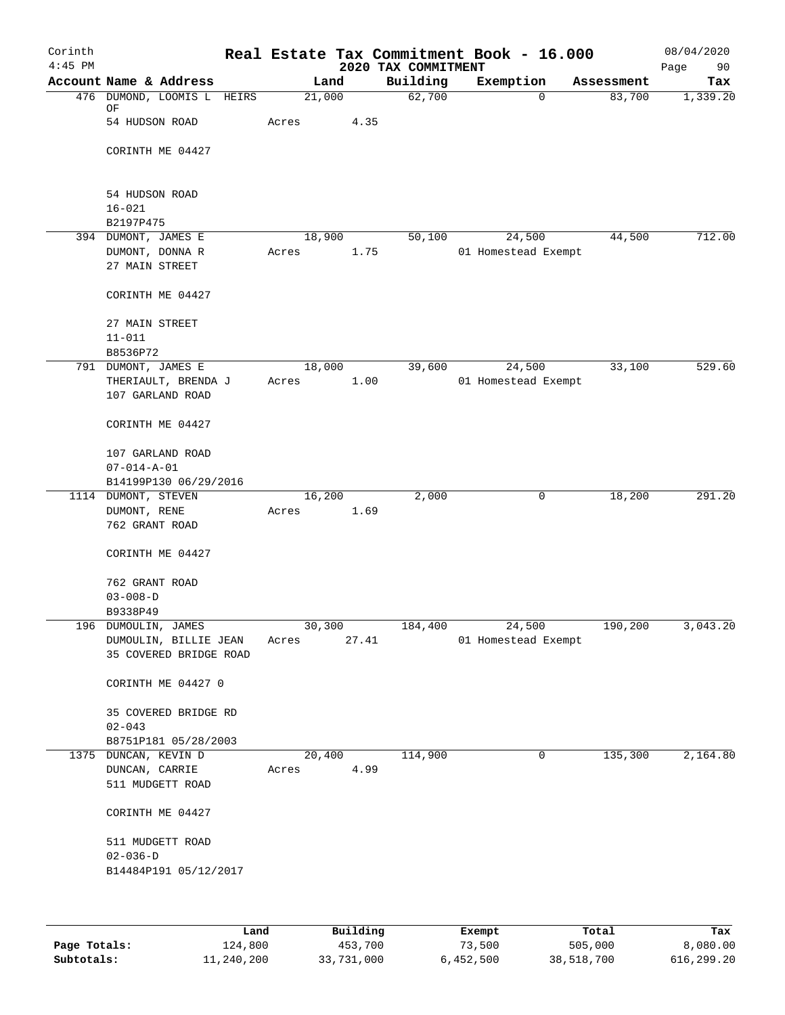| Corinth<br>$4:45$ PM |                            |       |             | 2020 TAX COMMITMENT | Real Estate Tax Commitment Book - 16.000 |            | 08/04/2020<br>Page<br>90 |
|----------------------|----------------------------|-------|-------------|---------------------|------------------------------------------|------------|--------------------------|
|                      | Account Name & Address     |       | Land        | Building            | Exemption                                | Assessment | Tax                      |
|                      | 476 DUMOND, LOOMIS L HEIRS |       | 21,000      | 62,700              | 0                                        | 83,700     | 1,339.20                 |
|                      | ΟF                         |       |             |                     |                                          |            |                          |
|                      | 54 HUDSON ROAD             | Acres | 4.35        |                     |                                          |            |                          |
|                      | CORINTH ME 04427           |       |             |                     |                                          |            |                          |
|                      |                            |       |             |                     |                                          |            |                          |
|                      |                            |       |             |                     |                                          |            |                          |
|                      | 54 HUDSON ROAD             |       |             |                     |                                          |            |                          |
|                      | $16 - 021$                 |       |             |                     |                                          |            |                          |
|                      | B2197P475                  |       |             |                     |                                          |            |                          |
|                      | 394 DUMONT, JAMES E        |       | 18,900      | 50,100              | 24,500                                   | 44,500     | 712.00                   |
|                      | DUMONT, DONNA R            | Acres | 1.75        |                     | 01 Homestead Exempt                      |            |                          |
|                      | 27 MAIN STREET             |       |             |                     |                                          |            |                          |
|                      | CORINTH ME 04427           |       |             |                     |                                          |            |                          |
|                      |                            |       |             |                     |                                          |            |                          |
|                      | 27 MAIN STREET             |       |             |                     |                                          |            |                          |
|                      | $11 - 011$                 |       |             |                     |                                          |            |                          |
|                      | B8536P72                   |       |             |                     |                                          |            |                          |
|                      | 791 DUMONT, JAMES E        |       | 18,000      | 39,600              | 24,500                                   | 33,100     | 529.60                   |
|                      | THERIAULT, BRENDA J        | Acres | 1.00        |                     | 01 Homestead Exempt                      |            |                          |
|                      | 107 GARLAND ROAD           |       |             |                     |                                          |            |                          |
|                      | CORINTH ME 04427           |       |             |                     |                                          |            |                          |
|                      | 107 GARLAND ROAD           |       |             |                     |                                          |            |                          |
|                      | $07 - 014 - A - 01$        |       |             |                     |                                          |            |                          |
|                      | B14199P130 06/29/2016      |       |             |                     |                                          |            |                          |
|                      | 1114 DUMONT, STEVEN        |       | 16,200      | 2,000               | 0                                        | 18,200     | 291.20                   |
|                      | DUMONT, RENE               | Acres | 1.69        |                     |                                          |            |                          |
|                      | 762 GRANT ROAD             |       |             |                     |                                          |            |                          |
|                      |                            |       |             |                     |                                          |            |                          |
|                      | CORINTH ME 04427           |       |             |                     |                                          |            |                          |
|                      | 762 GRANT ROAD             |       |             |                     |                                          |            |                          |
|                      | $03 - 008 - D$             |       |             |                     |                                          |            |                          |
|                      | B9338P49                   |       |             |                     |                                          |            |                          |
|                      | 196 DUMOULIN, JAMES        |       | 30,300      | 184,400             | 24,500                                   | 190,200    | 3,043.20                 |
|                      | DUMOULIN, BILLIE JEAN      | Acres | 27.41       |                     | 01 Homestead Exempt                      |            |                          |
|                      | 35 COVERED BRIDGE ROAD     |       |             |                     |                                          |            |                          |
|                      |                            |       |             |                     |                                          |            |                          |
|                      | CORINTH ME 04427 0         |       |             |                     |                                          |            |                          |
|                      | 35 COVERED BRIDGE RD       |       |             |                     |                                          |            |                          |
|                      | $02 - 043$                 |       |             |                     |                                          |            |                          |
|                      | B8751P181 05/28/2003       |       |             |                     |                                          |            |                          |
|                      | 1375 DUNCAN, KEVIN D       |       | 20,400      | 114,900             | 0                                        | 135,300    | 2,164.80                 |
|                      | DUNCAN, CARRIE             | Acres | 4.99        |                     |                                          |            |                          |
|                      | 511 MUDGETT ROAD           |       |             |                     |                                          |            |                          |
|                      |                            |       |             |                     |                                          |            |                          |
|                      | CORINTH ME 04427           |       |             |                     |                                          |            |                          |
|                      | 511 MUDGETT ROAD           |       |             |                     |                                          |            |                          |
|                      | $02 - 036 - D$             |       |             |                     |                                          |            |                          |
|                      | B14484P191 05/12/2017      |       |             |                     |                                          |            |                          |
|                      |                            |       |             |                     |                                          |            |                          |
|                      |                            |       |             |                     |                                          |            |                          |
|                      |                            |       | maad 1.44 a |                     |                                          | $m + 1$    | m.                       |

|              | Land       | Building   | Exempt    | Total      | Tax        |
|--------------|------------|------------|-----------|------------|------------|
| Page Totals: | 124,800    | 453,700    | 73,500    | 505,000    | 8,080.00   |
| Subtotals:   | 11,240,200 | 33,731,000 | 6,452,500 | 38,518,700 | 616,299.20 |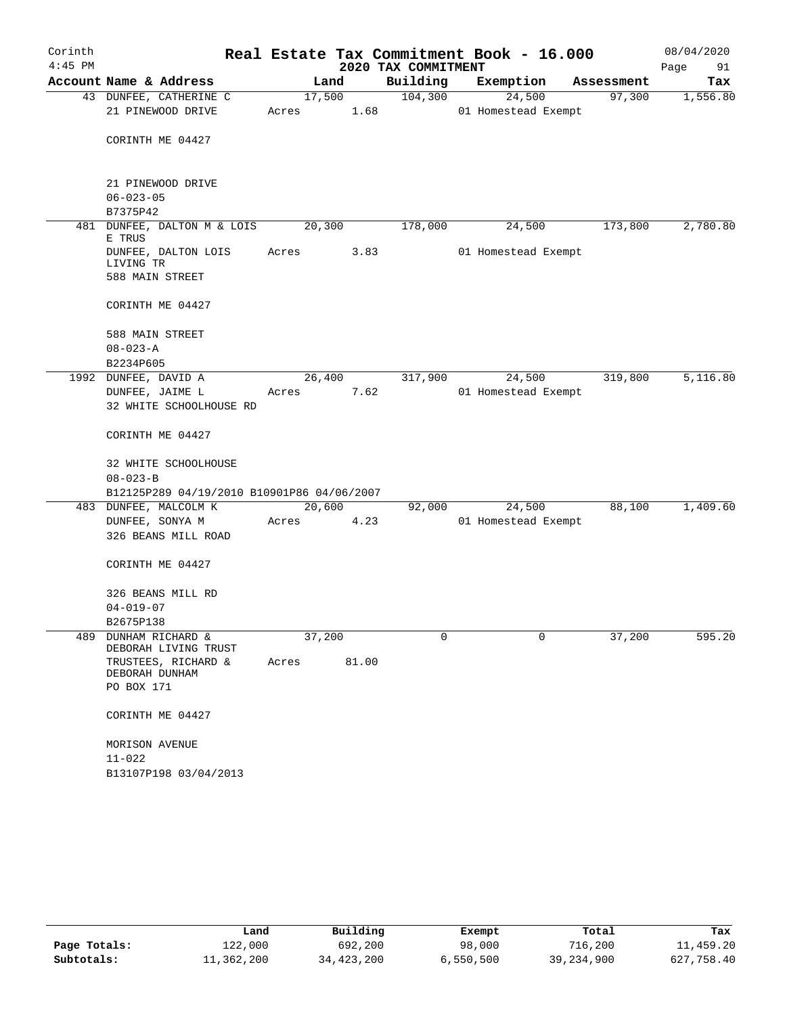| Corinth   |                                                              |        |                |                     | Real Estate Tax Commitment Book - 16.000 |            | 08/04/2020 |
|-----------|--------------------------------------------------------------|--------|----------------|---------------------|------------------------------------------|------------|------------|
| $4:45$ PM |                                                              |        |                | 2020 TAX COMMITMENT |                                          |            | Page<br>91 |
|           | Account Name & Address                                       |        | Land           | Building            | Exemption                                | Assessment | Tax        |
|           | 43 DUNFEE, CATHERINE C<br>21 PINEWOOD DRIVE                  | Acres  | 17,500<br>1.68 | 104,300             | 24,500<br>01 Homestead Exempt            | 97,300     | 1,556.80   |
|           | CORINTH ME 04427                                             |        |                |                     |                                          |            |            |
|           | 21 PINEWOOD DRIVE                                            |        |                |                     |                                          |            |            |
|           | $06 - 023 - 05$                                              |        |                |                     |                                          |            |            |
|           | B7375P42                                                     |        |                |                     |                                          |            |            |
|           | 481 DUNFEE, DALTON M & LOIS<br>E TRUS                        | 20,300 |                | 178,000             | 24,500                                   | 173,800    | 2,780.80   |
|           | DUNFEE, DALTON LOIS<br>LIVING TR                             | Acres  | 3.83           |                     | 01 Homestead Exempt                      |            |            |
|           | 588 MAIN STREET                                              |        |                |                     |                                          |            |            |
|           | CORINTH ME 04427                                             |        |                |                     |                                          |            |            |
|           | 588 MAIN STREET<br>$08 - 023 - A$                            |        |                |                     |                                          |            |            |
|           | B2234P605                                                    |        |                |                     |                                          |            |            |
|           | 1992 DUNFEE, DAVID A                                         |        | 26,400         | 317,900             | 24,500                                   | 319,800    | 5,116.80   |
|           | DUNFEE, JAIME L                                              | Acres  | 7.62           |                     | 01 Homestead Exempt                      |            |            |
|           | 32 WHITE SCHOOLHOUSE RD                                      |        |                |                     |                                          |            |            |
|           | CORINTH ME 04427                                             |        |                |                     |                                          |            |            |
|           | 32 WHITE SCHOOLHOUSE                                         |        |                |                     |                                          |            |            |
|           | $08 - 023 - B$<br>B12125P289 04/19/2010 B10901P86 04/06/2007 |        |                |                     |                                          |            |            |
|           | 483 DUNFEE, MALCOLM K                                        |        | 20,600         | 92,000              | 24,500                                   | 88,100     | 1,409.60   |
|           | DUNFEE, SONYA M                                              | Acres  | 4.23           |                     | 01 Homestead Exempt                      |            |            |
|           | 326 BEANS MILL ROAD                                          |        |                |                     |                                          |            |            |
|           | CORINTH ME 04427                                             |        |                |                     |                                          |            |            |
|           | 326 BEANS MILL RD                                            |        |                |                     |                                          |            |            |
|           | $04 - 019 - 07$                                              |        |                |                     |                                          |            |            |
| 489       | B2675P138<br>DUNHAM RICHARD &<br>DEBORAH LIVING TRUST        | 37,200 |                | 0                   | 0                                        | 37,200     | 595.20     |
|           | TRUSTEES, RICHARD &<br>DEBORAH DUNHAM                        | Acres  | 81.00          |                     |                                          |            |            |
|           | PO BOX 171                                                   |        |                |                     |                                          |            |            |
|           | CORINTH ME 04427                                             |        |                |                     |                                          |            |            |
|           | MORISON AVENUE                                               |        |                |                     |                                          |            |            |
|           | $11 - 022$                                                   |        |                |                     |                                          |            |            |
|           | B13107P198 03/04/2013                                        |        |                |                     |                                          |            |            |

|              | Land       | Building   | Exempt    | Total      | Tax        |
|--------------|------------|------------|-----------|------------|------------|
| Page Totals: | 122,000    | 692,200    | 98,000    | 716,200    | 11,459.20  |
| Subtotals:   | 11,362,200 | 34,423,200 | 6,550,500 | 39,234,900 | 627,758.40 |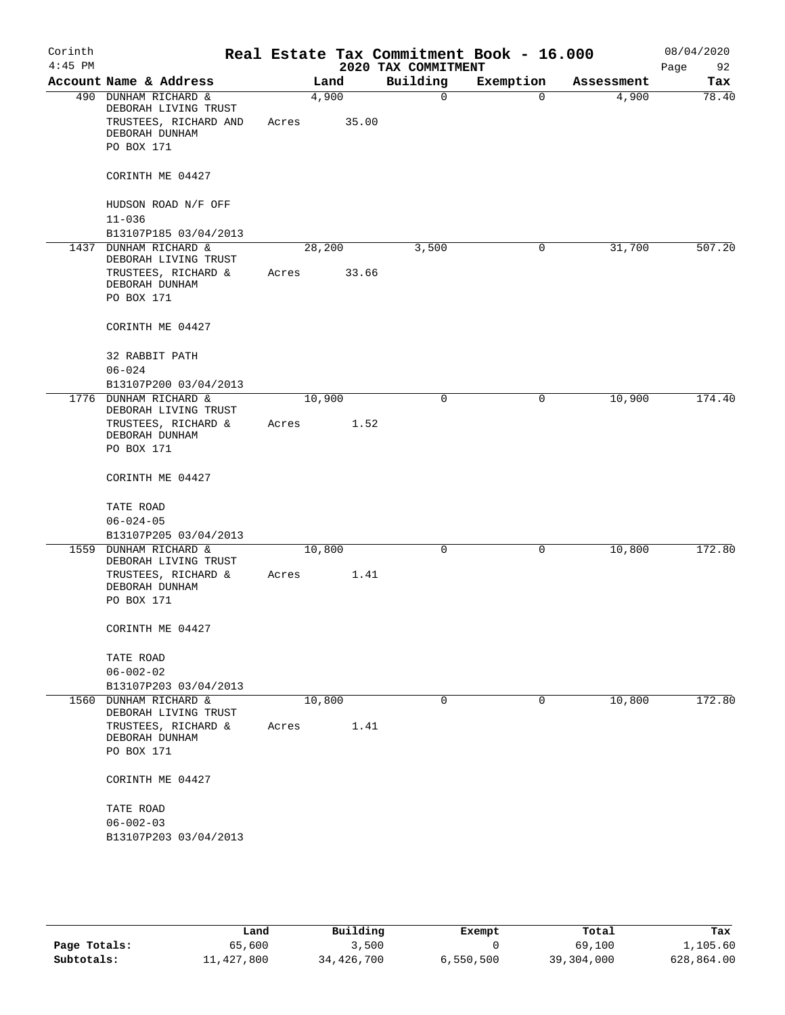| Corinth<br>$4:45$ PM |                                              |       |        | 2020 TAX COMMITMENT | Real Estate Tax Commitment Book - 16.000 |            | 08/04/2020<br>Page<br>92 |
|----------------------|----------------------------------------------|-------|--------|---------------------|------------------------------------------|------------|--------------------------|
|                      | Account Name & Address                       |       | Land   | Building            | Exemption                                | Assessment | Tax                      |
|                      | 490 DUNHAM RICHARD &<br>DEBORAH LIVING TRUST |       | 4,900  | 0                   | $\Omega$                                 | 4,900      | 78.40                    |
|                      | TRUSTEES, RICHARD AND<br>DEBORAH DUNHAM      | Acres | 35.00  |                     |                                          |            |                          |
|                      | PO BOX 171                                   |       |        |                     |                                          |            |                          |
|                      | CORINTH ME 04427                             |       |        |                     |                                          |            |                          |
|                      | HUDSON ROAD N/F OFF<br>$11 - 036$            |       |        |                     |                                          |            |                          |
|                      | B13107P185 03/04/2013                        |       |        |                     |                                          |            |                          |
| 1437                 | DUNHAM RICHARD &                             |       | 28,200 | 3,500               | 0                                        | 31,700     | 507.20                   |
|                      | DEBORAH LIVING TRUST                         |       |        |                     |                                          |            |                          |
|                      | TRUSTEES, RICHARD &                          | Acres | 33.66  |                     |                                          |            |                          |
|                      | DEBORAH DUNHAM                               |       |        |                     |                                          |            |                          |
|                      | PO BOX 171                                   |       |        |                     |                                          |            |                          |
|                      | CORINTH ME 04427                             |       |        |                     |                                          |            |                          |
|                      | 32 RABBIT PATH                               |       |        |                     |                                          |            |                          |
|                      | $06 - 024$                                   |       |        |                     |                                          |            |                          |
|                      | B13107P200 03/04/2013                        |       |        |                     |                                          |            |                          |
|                      | 1776 DUNHAM RICHARD &                        |       | 10,900 | 0                   | $\mathbf 0$                              | 10,900     | 174.40                   |
|                      | DEBORAH LIVING TRUST                         |       |        |                     |                                          |            |                          |
|                      | TRUSTEES, RICHARD &<br>DEBORAH DUNHAM        | Acres | 1.52   |                     |                                          |            |                          |
|                      | PO BOX 171                                   |       |        |                     |                                          |            |                          |
|                      | CORINTH ME 04427                             |       |        |                     |                                          |            |                          |
|                      |                                              |       |        |                     |                                          |            |                          |
|                      | TATE ROAD                                    |       |        |                     |                                          |            |                          |
|                      | $06 - 024 - 05$                              |       |        |                     |                                          |            |                          |
|                      | B13107P205 03/04/2013                        |       |        |                     |                                          |            |                          |
| 1559                 | DUNHAM RICHARD &<br>DEBORAH LIVING TRUST     |       | 10,800 | 0                   | 0                                        | 10,800     | 172.80                   |
|                      | TRUSTEES, RICHARD &                          | Acres | 1.41   |                     |                                          |            |                          |
|                      | DEBORAH DUNHAM                               |       |        |                     |                                          |            |                          |
|                      | PO BOX 171                                   |       |        |                     |                                          |            |                          |
|                      | CORINTH ME 04427                             |       |        |                     |                                          |            |                          |
|                      | TATE ROAD                                    |       |        |                     |                                          |            |                          |
|                      | $06 - 002 - 02$                              |       |        |                     |                                          |            |                          |
|                      | B13107P203 03/04/2013                        |       |        |                     |                                          |            |                          |
| 1560                 | DUNHAM RICHARD &                             |       | 10,800 | 0                   | 0                                        | 10,800     | 172.80                   |
|                      | DEBORAH LIVING TRUST                         |       |        |                     |                                          |            |                          |
|                      | TRUSTEES, RICHARD &                          | Acres | 1.41   |                     |                                          |            |                          |
|                      | DEBORAH DUNHAM<br>PO BOX 171                 |       |        |                     |                                          |            |                          |
|                      |                                              |       |        |                     |                                          |            |                          |
|                      | CORINTH ME 04427                             |       |        |                     |                                          |            |                          |
|                      | TATE ROAD                                    |       |        |                     |                                          |            |                          |
|                      | $06 - 002 - 03$                              |       |        |                     |                                          |            |                          |
|                      | B13107P203 03/04/2013                        |       |        |                     |                                          |            |                          |
|                      |                                              |       |        |                     |                                          |            |                          |
|                      |                                              |       |        |                     |                                          |            |                          |

|              | Land       | Building   | Exempt    | Total      | Tax        |
|--------------|------------|------------|-----------|------------|------------|
| Page Totals: | 65,600     | 3,500      |           | 69,100     | 1,105.60   |
| Subtotals:   | 11,427,800 | 34,426,700 | 6,550,500 | 39,304,000 | 628,864.00 |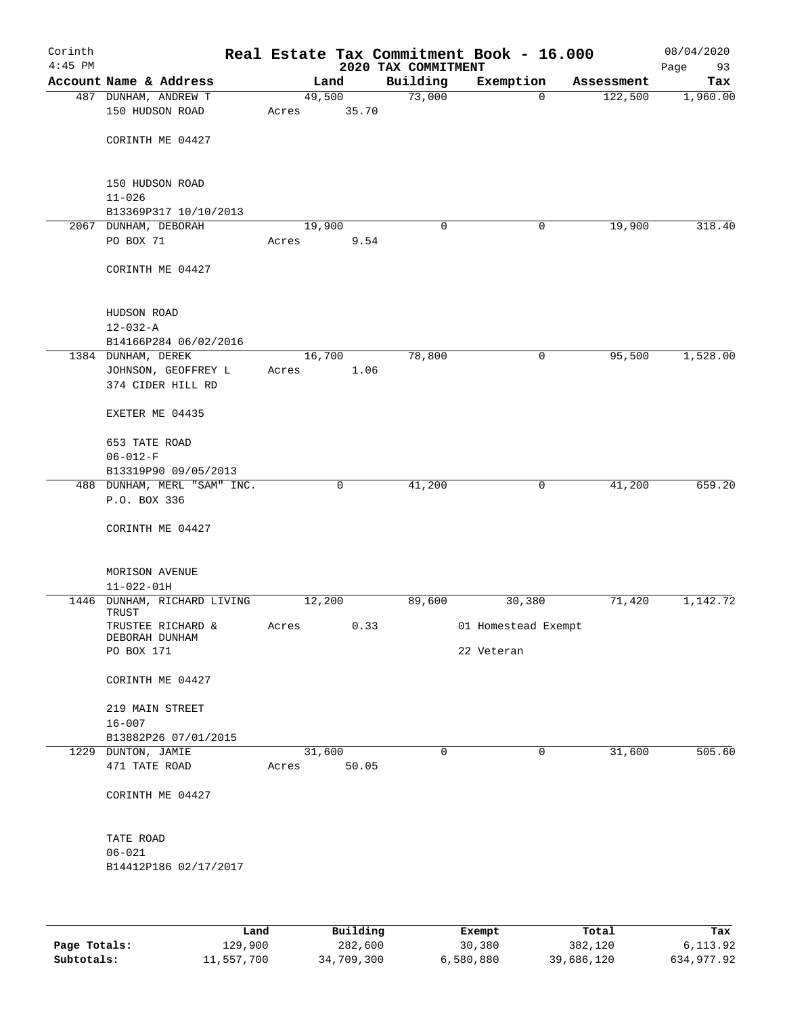| Building<br>Account Name & Address<br>Exemption<br>Land<br>Assessment<br>49,500<br>73,000<br>487 DUNHAM, ANDREW T<br>122,500<br>1,960.00<br>$\mathbf 0$<br>150 HUDSON ROAD<br>35.70<br>Acres<br>CORINTH ME 04427<br>150 HUDSON ROAD<br>$11 - 026$<br>B13369P317 10/10/2013<br>2067 DUNHAM, DEBORAH<br>19,900<br>19,900<br>0<br>0<br>PO BOX 71<br>Acres<br>9.54<br>CORINTH ME 04427<br>HUDSON ROAD<br>$12 - 032 - A$<br>B14166P284 06/02/2016<br>78,800<br>16,700<br>95,500<br>1,528.00<br>1384 DUNHAM, DEREK<br>0<br>JOHNSON, GEOFFREY L<br>1.06<br>Acres<br>374 CIDER HILL RD<br>EXETER ME 04435<br>653 TATE ROAD<br>$06 - 012 - F$<br>B13319P90 09/05/2013<br>488 DUNHAM, MERL "SAM" INC.<br>$\mathbf 0$<br>41,200<br>0<br>41,200<br>P.O. BOX 336<br>CORINTH ME 04427<br>MORISON AVENUE<br>$11 - 022 - 01H$<br>1446<br>DUNHAM, RICHARD LIVING<br>12,200<br>89,600<br>30,380<br>71,420<br>TRUST<br>TRUSTEE RICHARD &<br>Acres<br>0.33<br>01 Homestead Exempt<br>DEBORAH DUNHAM<br>PO BOX 171<br>22 Veteran<br>CORINTH ME 04427<br>219 MAIN STREET<br>$16 - 007$<br>B13882P26 07/01/2015<br>1229 DUNTON, JAMIE<br>31,600<br>$\mathbf 0$<br>$\mathbf 0$<br>31,600<br>471 TATE ROAD<br>50.05<br>Acres<br>CORINTH ME 04427<br>TATE ROAD<br>$06 - 021$<br>B14412P186 02/17/2017 | Corinth<br>$4:45$ PM |  |  | 2020 TAX COMMITMENT | Real Estate Tax Commitment Book - 16.000 | 08/04/2020<br>93<br>Page |
|-----------------------------------------------------------------------------------------------------------------------------------------------------------------------------------------------------------------------------------------------------------------------------------------------------------------------------------------------------------------------------------------------------------------------------------------------------------------------------------------------------------------------------------------------------------------------------------------------------------------------------------------------------------------------------------------------------------------------------------------------------------------------------------------------------------------------------------------------------------------------------------------------------------------------------------------------------------------------------------------------------------------------------------------------------------------------------------------------------------------------------------------------------------------------------------------------------------------------------------------------------------------------------|----------------------|--|--|---------------------|------------------------------------------|--------------------------|
|                                                                                                                                                                                                                                                                                                                                                                                                                                                                                                                                                                                                                                                                                                                                                                                                                                                                                                                                                                                                                                                                                                                                                                                                                                                                             |                      |  |  |                     |                                          | Tax                      |
|                                                                                                                                                                                                                                                                                                                                                                                                                                                                                                                                                                                                                                                                                                                                                                                                                                                                                                                                                                                                                                                                                                                                                                                                                                                                             |                      |  |  |                     |                                          |                          |
|                                                                                                                                                                                                                                                                                                                                                                                                                                                                                                                                                                                                                                                                                                                                                                                                                                                                                                                                                                                                                                                                                                                                                                                                                                                                             |                      |  |  |                     |                                          |                          |
|                                                                                                                                                                                                                                                                                                                                                                                                                                                                                                                                                                                                                                                                                                                                                                                                                                                                                                                                                                                                                                                                                                                                                                                                                                                                             |                      |  |  |                     |                                          |                          |
|                                                                                                                                                                                                                                                                                                                                                                                                                                                                                                                                                                                                                                                                                                                                                                                                                                                                                                                                                                                                                                                                                                                                                                                                                                                                             |                      |  |  |                     |                                          |                          |
|                                                                                                                                                                                                                                                                                                                                                                                                                                                                                                                                                                                                                                                                                                                                                                                                                                                                                                                                                                                                                                                                                                                                                                                                                                                                             |                      |  |  |                     |                                          |                          |
|                                                                                                                                                                                                                                                                                                                                                                                                                                                                                                                                                                                                                                                                                                                                                                                                                                                                                                                                                                                                                                                                                                                                                                                                                                                                             |                      |  |  |                     |                                          |                          |
|                                                                                                                                                                                                                                                                                                                                                                                                                                                                                                                                                                                                                                                                                                                                                                                                                                                                                                                                                                                                                                                                                                                                                                                                                                                                             |                      |  |  |                     |                                          |                          |
|                                                                                                                                                                                                                                                                                                                                                                                                                                                                                                                                                                                                                                                                                                                                                                                                                                                                                                                                                                                                                                                                                                                                                                                                                                                                             |                      |  |  |                     |                                          |                          |
|                                                                                                                                                                                                                                                                                                                                                                                                                                                                                                                                                                                                                                                                                                                                                                                                                                                                                                                                                                                                                                                                                                                                                                                                                                                                             |                      |  |  |                     |                                          | 318.40                   |
|                                                                                                                                                                                                                                                                                                                                                                                                                                                                                                                                                                                                                                                                                                                                                                                                                                                                                                                                                                                                                                                                                                                                                                                                                                                                             |                      |  |  |                     |                                          |                          |
|                                                                                                                                                                                                                                                                                                                                                                                                                                                                                                                                                                                                                                                                                                                                                                                                                                                                                                                                                                                                                                                                                                                                                                                                                                                                             |                      |  |  |                     |                                          |                          |
|                                                                                                                                                                                                                                                                                                                                                                                                                                                                                                                                                                                                                                                                                                                                                                                                                                                                                                                                                                                                                                                                                                                                                                                                                                                                             |                      |  |  |                     |                                          |                          |
|                                                                                                                                                                                                                                                                                                                                                                                                                                                                                                                                                                                                                                                                                                                                                                                                                                                                                                                                                                                                                                                                                                                                                                                                                                                                             |                      |  |  |                     |                                          |                          |
|                                                                                                                                                                                                                                                                                                                                                                                                                                                                                                                                                                                                                                                                                                                                                                                                                                                                                                                                                                                                                                                                                                                                                                                                                                                                             |                      |  |  |                     |                                          |                          |
|                                                                                                                                                                                                                                                                                                                                                                                                                                                                                                                                                                                                                                                                                                                                                                                                                                                                                                                                                                                                                                                                                                                                                                                                                                                                             |                      |  |  |                     |                                          |                          |
|                                                                                                                                                                                                                                                                                                                                                                                                                                                                                                                                                                                                                                                                                                                                                                                                                                                                                                                                                                                                                                                                                                                                                                                                                                                                             |                      |  |  |                     |                                          |                          |
|                                                                                                                                                                                                                                                                                                                                                                                                                                                                                                                                                                                                                                                                                                                                                                                                                                                                                                                                                                                                                                                                                                                                                                                                                                                                             |                      |  |  |                     |                                          |                          |
|                                                                                                                                                                                                                                                                                                                                                                                                                                                                                                                                                                                                                                                                                                                                                                                                                                                                                                                                                                                                                                                                                                                                                                                                                                                                             |                      |  |  |                     |                                          |                          |
|                                                                                                                                                                                                                                                                                                                                                                                                                                                                                                                                                                                                                                                                                                                                                                                                                                                                                                                                                                                                                                                                                                                                                                                                                                                                             |                      |  |  |                     |                                          |                          |
|                                                                                                                                                                                                                                                                                                                                                                                                                                                                                                                                                                                                                                                                                                                                                                                                                                                                                                                                                                                                                                                                                                                                                                                                                                                                             |                      |  |  |                     |                                          |                          |
|                                                                                                                                                                                                                                                                                                                                                                                                                                                                                                                                                                                                                                                                                                                                                                                                                                                                                                                                                                                                                                                                                                                                                                                                                                                                             |                      |  |  |                     |                                          |                          |
|                                                                                                                                                                                                                                                                                                                                                                                                                                                                                                                                                                                                                                                                                                                                                                                                                                                                                                                                                                                                                                                                                                                                                                                                                                                                             |                      |  |  |                     |                                          |                          |
|                                                                                                                                                                                                                                                                                                                                                                                                                                                                                                                                                                                                                                                                                                                                                                                                                                                                                                                                                                                                                                                                                                                                                                                                                                                                             |                      |  |  |                     |                                          | 659.20                   |
|                                                                                                                                                                                                                                                                                                                                                                                                                                                                                                                                                                                                                                                                                                                                                                                                                                                                                                                                                                                                                                                                                                                                                                                                                                                                             |                      |  |  |                     |                                          |                          |
|                                                                                                                                                                                                                                                                                                                                                                                                                                                                                                                                                                                                                                                                                                                                                                                                                                                                                                                                                                                                                                                                                                                                                                                                                                                                             |                      |  |  |                     |                                          |                          |
|                                                                                                                                                                                                                                                                                                                                                                                                                                                                                                                                                                                                                                                                                                                                                                                                                                                                                                                                                                                                                                                                                                                                                                                                                                                                             |                      |  |  |                     |                                          |                          |
|                                                                                                                                                                                                                                                                                                                                                                                                                                                                                                                                                                                                                                                                                                                                                                                                                                                                                                                                                                                                                                                                                                                                                                                                                                                                             |                      |  |  |                     |                                          |                          |
|                                                                                                                                                                                                                                                                                                                                                                                                                                                                                                                                                                                                                                                                                                                                                                                                                                                                                                                                                                                                                                                                                                                                                                                                                                                                             |                      |  |  |                     |                                          |                          |
|                                                                                                                                                                                                                                                                                                                                                                                                                                                                                                                                                                                                                                                                                                                                                                                                                                                                                                                                                                                                                                                                                                                                                                                                                                                                             |                      |  |  |                     |                                          | 1,142.72                 |
|                                                                                                                                                                                                                                                                                                                                                                                                                                                                                                                                                                                                                                                                                                                                                                                                                                                                                                                                                                                                                                                                                                                                                                                                                                                                             |                      |  |  |                     |                                          |                          |
|                                                                                                                                                                                                                                                                                                                                                                                                                                                                                                                                                                                                                                                                                                                                                                                                                                                                                                                                                                                                                                                                                                                                                                                                                                                                             |                      |  |  |                     |                                          |                          |
|                                                                                                                                                                                                                                                                                                                                                                                                                                                                                                                                                                                                                                                                                                                                                                                                                                                                                                                                                                                                                                                                                                                                                                                                                                                                             |                      |  |  |                     |                                          |                          |
|                                                                                                                                                                                                                                                                                                                                                                                                                                                                                                                                                                                                                                                                                                                                                                                                                                                                                                                                                                                                                                                                                                                                                                                                                                                                             |                      |  |  |                     |                                          |                          |
|                                                                                                                                                                                                                                                                                                                                                                                                                                                                                                                                                                                                                                                                                                                                                                                                                                                                                                                                                                                                                                                                                                                                                                                                                                                                             |                      |  |  |                     |                                          |                          |
|                                                                                                                                                                                                                                                                                                                                                                                                                                                                                                                                                                                                                                                                                                                                                                                                                                                                                                                                                                                                                                                                                                                                                                                                                                                                             |                      |  |  |                     |                                          |                          |
|                                                                                                                                                                                                                                                                                                                                                                                                                                                                                                                                                                                                                                                                                                                                                                                                                                                                                                                                                                                                                                                                                                                                                                                                                                                                             |                      |  |  |                     |                                          |                          |
|                                                                                                                                                                                                                                                                                                                                                                                                                                                                                                                                                                                                                                                                                                                                                                                                                                                                                                                                                                                                                                                                                                                                                                                                                                                                             |                      |  |  |                     |                                          |                          |
|                                                                                                                                                                                                                                                                                                                                                                                                                                                                                                                                                                                                                                                                                                                                                                                                                                                                                                                                                                                                                                                                                                                                                                                                                                                                             |                      |  |  |                     |                                          | 505.60                   |
|                                                                                                                                                                                                                                                                                                                                                                                                                                                                                                                                                                                                                                                                                                                                                                                                                                                                                                                                                                                                                                                                                                                                                                                                                                                                             |                      |  |  |                     |                                          |                          |
|                                                                                                                                                                                                                                                                                                                                                                                                                                                                                                                                                                                                                                                                                                                                                                                                                                                                                                                                                                                                                                                                                                                                                                                                                                                                             |                      |  |  |                     |                                          |                          |
|                                                                                                                                                                                                                                                                                                                                                                                                                                                                                                                                                                                                                                                                                                                                                                                                                                                                                                                                                                                                                                                                                                                                                                                                                                                                             |                      |  |  |                     |                                          |                          |
|                                                                                                                                                                                                                                                                                                                                                                                                                                                                                                                                                                                                                                                                                                                                                                                                                                                                                                                                                                                                                                                                                                                                                                                                                                                                             |                      |  |  |                     |                                          |                          |
|                                                                                                                                                                                                                                                                                                                                                                                                                                                                                                                                                                                                                                                                                                                                                                                                                                                                                                                                                                                                                                                                                                                                                                                                                                                                             |                      |  |  |                     |                                          |                          |
|                                                                                                                                                                                                                                                                                                                                                                                                                                                                                                                                                                                                                                                                                                                                                                                                                                                                                                                                                                                                                                                                                                                                                                                                                                                                             |                      |  |  |                     |                                          |                          |
|                                                                                                                                                                                                                                                                                                                                                                                                                                                                                                                                                                                                                                                                                                                                                                                                                                                                                                                                                                                                                                                                                                                                                                                                                                                                             |                      |  |  |                     |                                          |                          |
|                                                                                                                                                                                                                                                                                                                                                                                                                                                                                                                                                                                                                                                                                                                                                                                                                                                                                                                                                                                                                                                                                                                                                                                                                                                                             |                      |  |  |                     |                                          |                          |
|                                                                                                                                                                                                                                                                                                                                                                                                                                                                                                                                                                                                                                                                                                                                                                                                                                                                                                                                                                                                                                                                                                                                                                                                                                                                             |                      |  |  |                     |                                          |                          |

|              | Land       | Building   | Exempt    | Total      | Tax        |
|--------------|------------|------------|-----------|------------|------------|
| Page Totals: | 129,900    | 282,600    | 30,380    | 382,120    | 6,113.92   |
| Subtotals:   | 11,557,700 | 34,709,300 | 6,580,880 | 39,686,120 | 634,977.92 |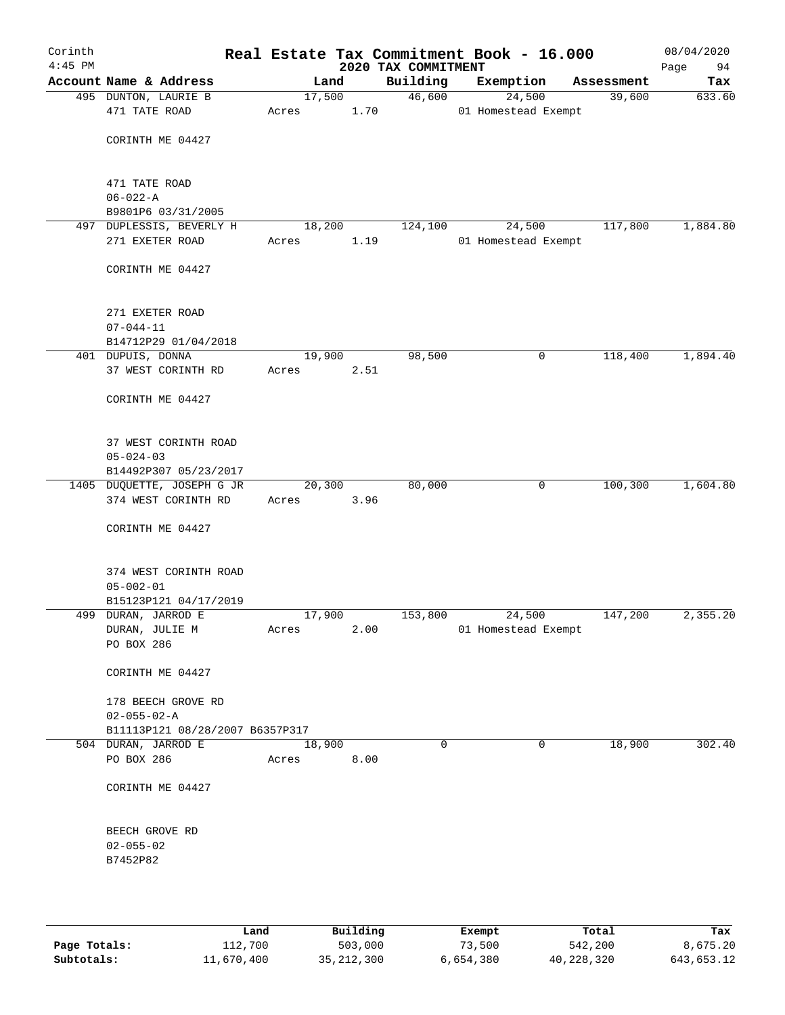| Corinth<br>$4:45$ PM |                                                        |       |        |      | Real Estate Tax Commitment Book - 16.000<br>2020 TAX COMMITMENT |                     |             |            | 08/04/2020<br>94<br>Page |
|----------------------|--------------------------------------------------------|-------|--------|------|-----------------------------------------------------------------|---------------------|-------------|------------|--------------------------|
|                      | Account Name & Address                                 |       | Land   |      | Building                                                        | Exemption           |             | Assessment | Tax                      |
|                      | 495 DUNTON, LAURIE B                                   |       | 17,500 |      | 46,600                                                          |                     | 24,500      | 39,600     | 633.60                   |
|                      | 471 TATE ROAD                                          | Acres |        | 1.70 |                                                                 | 01 Homestead Exempt |             |            |                          |
|                      |                                                        |       |        |      |                                                                 |                     |             |            |                          |
|                      | CORINTH ME 04427                                       |       |        |      |                                                                 |                     |             |            |                          |
|                      |                                                        |       |        |      |                                                                 |                     |             |            |                          |
|                      | 471 TATE ROAD                                          |       |        |      |                                                                 |                     |             |            |                          |
|                      | $06 - 022 - A$                                         |       |        |      |                                                                 |                     |             |            |                          |
|                      | B9801P6 03/31/2005                                     |       |        |      |                                                                 |                     |             |            |                          |
|                      | 497 DUPLESSIS, BEVERLY H                               |       | 18,200 |      | 124,100                                                         |                     | 24,500      | 117,800    | 1,884.80                 |
|                      | 271 EXETER ROAD                                        | Acres |        | 1.19 |                                                                 | 01 Homestead Exempt |             |            |                          |
|                      |                                                        |       |        |      |                                                                 |                     |             |            |                          |
|                      | CORINTH ME 04427                                       |       |        |      |                                                                 |                     |             |            |                          |
|                      |                                                        |       |        |      |                                                                 |                     |             |            |                          |
|                      |                                                        |       |        |      |                                                                 |                     |             |            |                          |
|                      | 271 EXETER ROAD<br>$07 - 044 - 11$                     |       |        |      |                                                                 |                     |             |            |                          |
|                      | B14712P29 01/04/2018                                   |       |        |      |                                                                 |                     |             |            |                          |
|                      | 401 DUPUIS, DONNA                                      |       | 19,900 |      | 98,500                                                          |                     | 0           | 118,400    | 1,894.40                 |
|                      | 37 WEST CORINTH RD                                     | Acres |        | 2.51 |                                                                 |                     |             |            |                          |
|                      |                                                        |       |        |      |                                                                 |                     |             |            |                          |
|                      | CORINTH ME 04427                                       |       |        |      |                                                                 |                     |             |            |                          |
|                      |                                                        |       |        |      |                                                                 |                     |             |            |                          |
|                      |                                                        |       |        |      |                                                                 |                     |             |            |                          |
|                      | 37 WEST CORINTH ROAD                                   |       |        |      |                                                                 |                     |             |            |                          |
|                      | $05 - 024 - 03$                                        |       |        |      |                                                                 |                     |             |            |                          |
|                      | B14492P307 05/23/2017<br>1405 DUQUETTE, JOSEPH G JR    |       | 20,300 |      | 80,000                                                          |                     | 0           | 100,300    | 1,604.80                 |
|                      | 374 WEST CORINTH RD                                    | Acres |        | 3.96 |                                                                 |                     |             |            |                          |
|                      |                                                        |       |        |      |                                                                 |                     |             |            |                          |
|                      | CORINTH ME 04427                                       |       |        |      |                                                                 |                     |             |            |                          |
|                      |                                                        |       |        |      |                                                                 |                     |             |            |                          |
|                      |                                                        |       |        |      |                                                                 |                     |             |            |                          |
|                      | 374 WEST CORINTH ROAD                                  |       |        |      |                                                                 |                     |             |            |                          |
|                      | $05 - 002 - 01$<br>B15123P121 04/17/2019               |       |        |      |                                                                 |                     |             |            |                          |
|                      | 499 DURAN, JARROD E                                    |       | 17,900 |      | 153,800                                                         | 24,500              |             | 147,200    | 2,355.20                 |
|                      | DURAN, JULIE M                                         | Acres |        | 2.00 |                                                                 | 01 Homestead Exempt |             |            |                          |
|                      | PO BOX 286                                             |       |        |      |                                                                 |                     |             |            |                          |
|                      |                                                        |       |        |      |                                                                 |                     |             |            |                          |
|                      | CORINTH ME 04427                                       |       |        |      |                                                                 |                     |             |            |                          |
|                      |                                                        |       |        |      |                                                                 |                     |             |            |                          |
|                      | 178 BEECH GROVE RD                                     |       |        |      |                                                                 |                     |             |            |                          |
|                      | $02 - 055 - 02 - A$                                    |       |        |      |                                                                 |                     |             |            |                          |
|                      | B11113P121 08/28/2007 B6357P317<br>504 DURAN, JARROD E |       | 18,900 |      | 0                                                               |                     | $\mathbf 0$ | 18,900     | 302.40                   |
|                      | PO BOX 286                                             | Acres |        | 8.00 |                                                                 |                     |             |            |                          |
|                      |                                                        |       |        |      |                                                                 |                     |             |            |                          |
|                      | CORINTH ME 04427                                       |       |        |      |                                                                 |                     |             |            |                          |
|                      |                                                        |       |        |      |                                                                 |                     |             |            |                          |
|                      |                                                        |       |        |      |                                                                 |                     |             |            |                          |
|                      | BEECH GROVE RD                                         |       |        |      |                                                                 |                     |             |            |                          |
|                      | $02 - 055 - 02$<br>B7452P82                            |       |        |      |                                                                 |                     |             |            |                          |
|                      |                                                        |       |        |      |                                                                 |                     |             |            |                          |
|                      |                                                        |       |        |      |                                                                 |                     |             |            |                          |
|                      |                                                        |       |        |      |                                                                 |                     |             |            |                          |
|                      |                                                        |       |        |      |                                                                 |                     |             |            |                          |

|              | Land       | Building     | Exempt    | Total      | Tax        |
|--------------|------------|--------------|-----------|------------|------------|
| Page Totals: | 112,700    | 503,000      | 73,500    | 542,200    | 8,675.20   |
| Subtotals:   | 11,670,400 | 35, 212, 300 | 6,654,380 | 40,228,320 | 643,653.12 |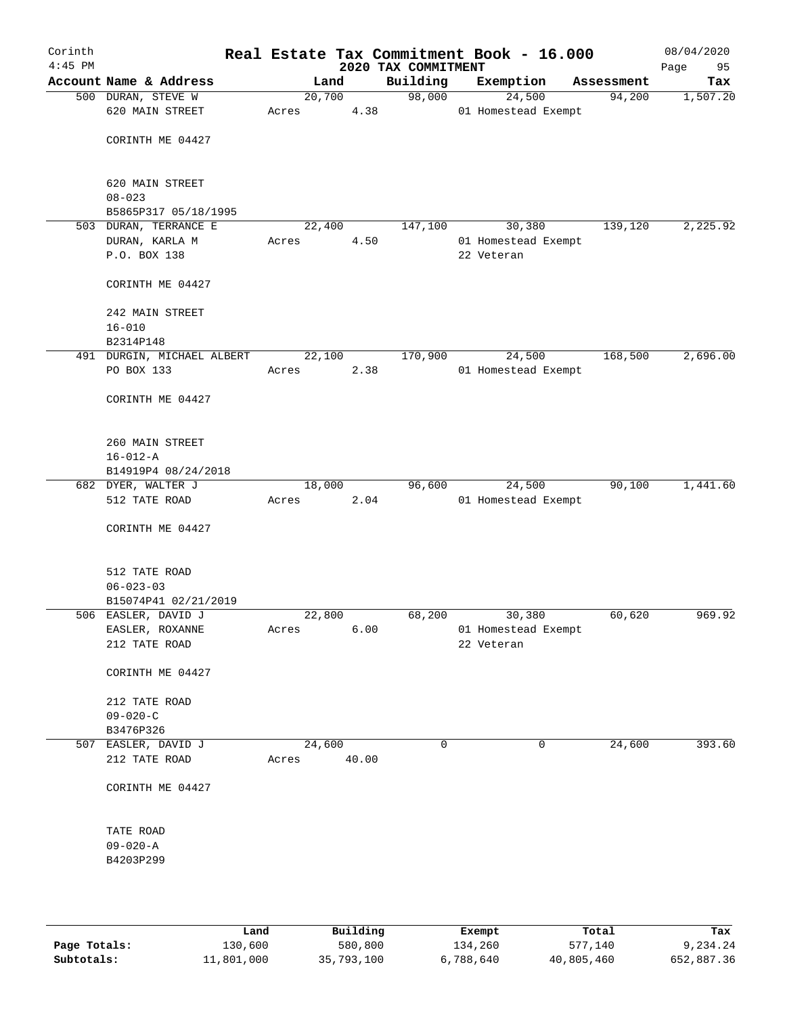| Corinth<br>$4:45$ PM |                                         |       |        |      | 2020 TAX COMMITMENT | Real Estate Tax Commitment Book - 16.000 |            | 08/04/2020<br>95<br>Page |
|----------------------|-----------------------------------------|-------|--------|------|---------------------|------------------------------------------|------------|--------------------------|
|                      | Account Name & Address                  |       | Land   |      | Building            | Exemption                                | Assessment | Tax                      |
|                      | 500 DURAN, STEVE W                      |       | 20,700 |      | 98,000              | 24,500                                   | 94,200     | 1,507.20                 |
|                      | 620 MAIN STREET                         | Acres |        | 4.38 |                     | 01 Homestead Exempt                      |            |                          |
|                      | CORINTH ME 04427                        |       |        |      |                     |                                          |            |                          |
|                      | 620 MAIN STREET<br>$08 - 023$           |       |        |      |                     |                                          |            |                          |
|                      | B5865P317 05/18/1995                    |       |        |      |                     |                                          |            |                          |
|                      | 503 DURAN, TERRANCE E                   |       | 22,400 |      | 147,100             | 30,380                                   | 139,120    | 2, 225.92                |
|                      | DURAN, KARLA M                          | Acres |        | 4.50 |                     | 01 Homestead Exempt                      |            |                          |
|                      | P.O. BOX 138                            |       |        |      |                     | 22 Veteran                               |            |                          |
|                      | CORINTH ME 04427                        |       |        |      |                     |                                          |            |                          |
|                      | 242 MAIN STREET                         |       |        |      |                     |                                          |            |                          |
|                      | $16 - 010$                              |       |        |      |                     |                                          |            |                          |
|                      | B2314P148                               |       |        |      |                     |                                          |            |                          |
|                      | 491 DURGIN, MICHAEL ALBERT              |       | 22,100 |      | 170,900             | 24,500                                   | 168,500    | 2,696.00                 |
|                      | PO BOX 133                              | Acres |        | 2.38 |                     | 01 Homestead Exempt                      |            |                          |
|                      | CORINTH ME 04427                        |       |        |      |                     |                                          |            |                          |
|                      | 260 MAIN STREET                         |       |        |      |                     |                                          |            |                          |
|                      | $16 - 012 - A$                          |       |        |      |                     |                                          |            |                          |
|                      | B14919P4 08/24/2018                     |       |        |      |                     |                                          |            |                          |
|                      | 682 DYER, WALTER J<br>512 TATE ROAD     | Acres | 18,000 |      | 96,600              | 24,500                                   | 90,100     | 1,441.60                 |
|                      |                                         |       |        | 2.04 |                     | 01 Homestead Exempt                      |            |                          |
|                      | CORINTH ME 04427                        |       |        |      |                     |                                          |            |                          |
|                      | 512 TATE ROAD                           |       |        |      |                     |                                          |            |                          |
|                      | $06 - 023 - 03$<br>B15074P41 02/21/2019 |       |        |      |                     |                                          |            |                          |
|                      | 506 EASLER, DAVID J                     |       | 22,800 |      | 68,200              | 30,380                                   | 60,620     | 969.92                   |
|                      | EASLER, ROXANNE                         | Acres |        | 6.00 |                     | 01 Homestead Exempt                      |            |                          |
|                      | 212 TATE ROAD                           |       |        |      |                     | 22 Veteran                               |            |                          |
|                      | CORINTH ME 04427                        |       |        |      |                     |                                          |            |                          |
|                      | 212 TATE ROAD                           |       |        |      |                     |                                          |            |                          |
|                      | $09 - 020 - C$                          |       |        |      |                     |                                          |            |                          |
|                      | B3476P326                               |       |        |      |                     |                                          |            |                          |
|                      | 507 EASLER, DAVID J                     |       | 24,600 |      | 0                   | 0                                        | 24,600     | 393.60                   |
|                      | 212 TATE ROAD                           | Acres | 40.00  |      |                     |                                          |            |                          |
|                      | CORINTH ME 04427                        |       |        |      |                     |                                          |            |                          |
|                      | TATE ROAD                               |       |        |      |                     |                                          |            |                          |
|                      | $09 - 020 - A$                          |       |        |      |                     |                                          |            |                          |
|                      | B4203P299                               |       |        |      |                     |                                          |            |                          |
|                      |                                         |       |        |      |                     |                                          |            |                          |
|                      |                                         |       |        |      |                     |                                          |            |                          |

|              | Land       | Building   | Exempt    | Total      | Tax        |
|--------------|------------|------------|-----------|------------|------------|
| Page Totals: | 130,600    | 580,800    | 134,260   | 577,140    | 9,234.24   |
| Subtotals:   | 11,801,000 | 35,793,100 | 6,788,640 | 40,805,460 | 652,887.36 |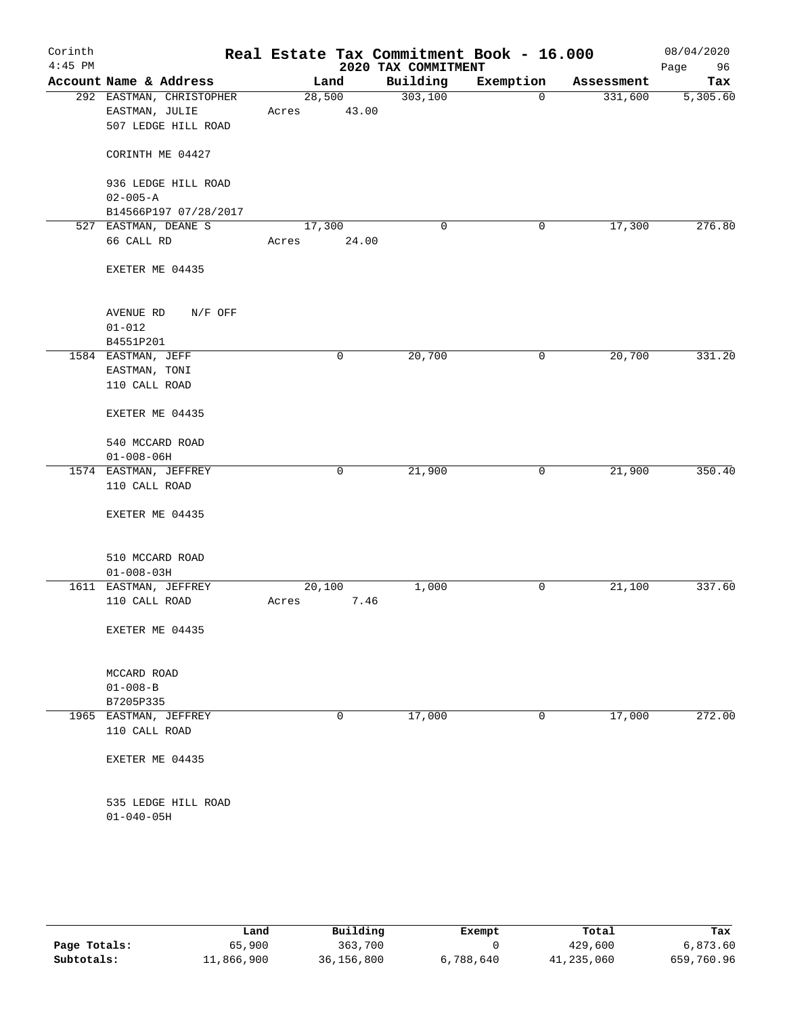| Corinth<br>$4:45$ PM |                                                                   |                 |       | 2020 TAX COMMITMENT | Real Estate Tax Commitment Book - 16.000 |            | 08/04/2020<br>Page<br>96 |
|----------------------|-------------------------------------------------------------------|-----------------|-------|---------------------|------------------------------------------|------------|--------------------------|
|                      | Account Name & Address                                            | Land            |       | Building            | Exemption                                | Assessment | Tax                      |
|                      | 292 EASTMAN, CHRISTOPHER<br>EASTMAN, JULIE<br>507 LEDGE HILL ROAD | 28,500<br>Acres | 43.00 | 303,100             | $\mathbf 0$                              | 331,600    | 5,305.60                 |
|                      | CORINTH ME 04427                                                  |                 |       |                     |                                          |            |                          |
|                      | 936 LEDGE HILL ROAD<br>$02 - 005 - A$                             |                 |       |                     |                                          |            |                          |
|                      | B14566P197 07/28/2017                                             |                 |       |                     |                                          |            |                          |
|                      | 527 EASTMAN, DEANE S<br>66 CALL RD                                | 17,300<br>Acres | 24.00 | $\mathbf 0$         | 0                                        | 17,300     | 276.80                   |
|                      | EXETER ME 04435                                                   |                 |       |                     |                                          |            |                          |
|                      | AVENUE RD<br>N/F OFF                                              |                 |       |                     |                                          |            |                          |
|                      | $01 - 012$                                                        |                 |       |                     |                                          |            |                          |
|                      | B4551P201<br>1584 EASTMAN, JEFF                                   |                 | 0     | 20,700              | 0                                        | 20,700     | 331.20                   |
|                      | EASTMAN, TONI<br>110 CALL ROAD                                    |                 |       |                     |                                          |            |                          |
|                      | EXETER ME 04435                                                   |                 |       |                     |                                          |            |                          |
|                      | 540 MCCARD ROAD<br>$01 - 008 - 06H$                               |                 |       |                     |                                          |            |                          |
|                      | 1574 EASTMAN, JEFFREY<br>110 CALL ROAD                            |                 | 0     | 21,900              | 0                                        | 21,900     | 350.40                   |
|                      | EXETER ME 04435                                                   |                 |       |                     |                                          |            |                          |
|                      | 510 MCCARD ROAD<br>$01 - 008 - 03H$                               |                 |       |                     |                                          |            |                          |
|                      | 1611 EASTMAN, JEFFREY                                             | 20,100          |       | 1,000               | 0                                        | 21,100     | 337.60                   |
|                      | 110 CALL ROAD                                                     | Acres           | 7.46  |                     |                                          |            |                          |
|                      | EXETER ME 04435                                                   |                 |       |                     |                                          |            |                          |
|                      | MCCARD ROAD                                                       |                 |       |                     |                                          |            |                          |
|                      | $01 - 008 - B$<br>B7205P335                                       |                 |       |                     |                                          |            |                          |
|                      | 1965 EASTMAN, JEFFREY                                             |                 | 0     | 17,000              | 0                                        | 17,000     | 272.00                   |
|                      | 110 CALL ROAD                                                     |                 |       |                     |                                          |            |                          |
|                      | EXETER ME 04435                                                   |                 |       |                     |                                          |            |                          |
|                      | 535 LEDGE HILL ROAD<br>$01 - 040 - 05H$                           |                 |       |                     |                                          |            |                          |
|                      |                                                                   |                 |       |                     |                                          |            |                          |

|              | Land       | Building   | Exempt    | Total      | Tax        |
|--------------|------------|------------|-----------|------------|------------|
| Page Totals: | 65,900     | 363,700    |           | 429,600    | 6,873.60   |
| Subtotals:   | 11,866,900 | 36,156,800 | 6,788,640 | 41,235,060 | 659,760.96 |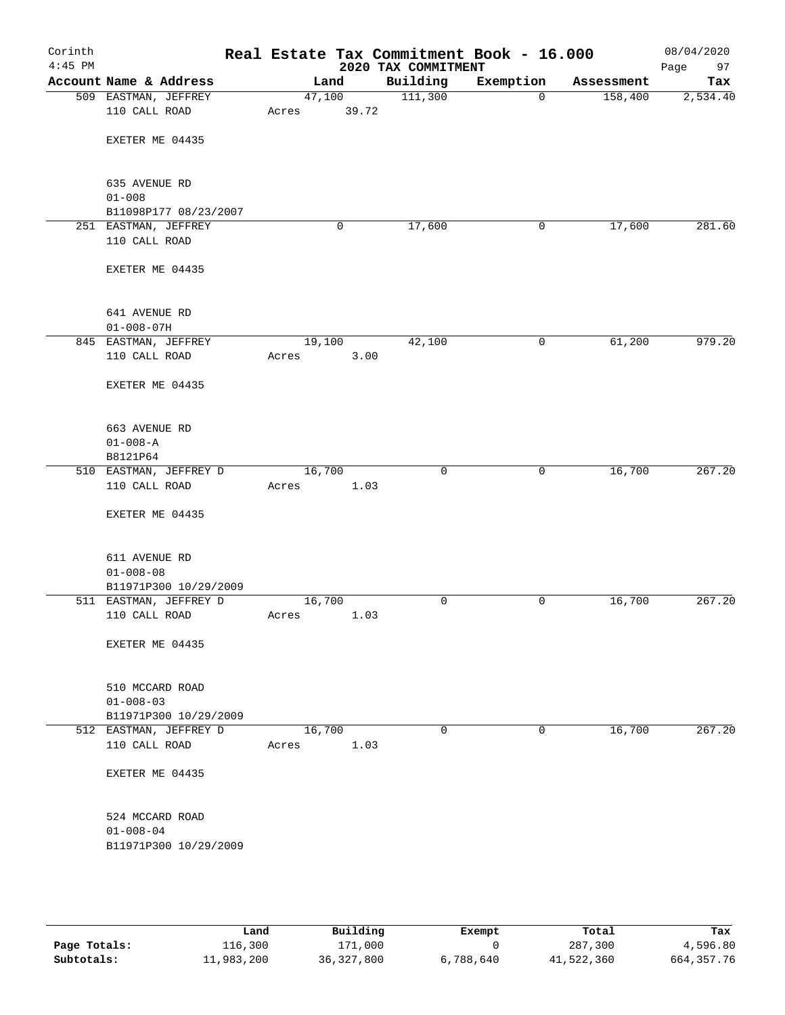| Corinth<br>$4:45$ PM |                                                      |                 |       | 2020 TAX COMMITMENT | Real Estate Tax Commitment Book - 16.000 |            | 08/04/2020<br>Page<br>97 |
|----------------------|------------------------------------------------------|-----------------|-------|---------------------|------------------------------------------|------------|--------------------------|
|                      | Account Name & Address                               | Land            |       | Building            | Exemption                                | Assessment | Tax                      |
|                      | 509 EASTMAN, JEFFREY<br>110 CALL ROAD                | 47,100<br>Acres | 39.72 | 111,300             | $\mathbf 0$                              | 158,400    | 2,534.40                 |
|                      | EXETER ME 04435                                      |                 |       |                     |                                          |            |                          |
|                      |                                                      |                 |       |                     |                                          |            |                          |
|                      | 635 AVENUE RD<br>$01 - 008$<br>B11098P177 08/23/2007 |                 |       |                     |                                          |            |                          |
|                      | 251 EASTMAN, JEFFREY                                 |                 | 0     | 17,600              | 0                                        | 17,600     | 281.60                   |
|                      | 110 CALL ROAD                                        |                 |       |                     |                                          |            |                          |
|                      | EXETER ME 04435                                      |                 |       |                     |                                          |            |                          |
|                      | 641 AVENUE RD                                        |                 |       |                     |                                          |            |                          |
|                      | $01 - 008 - 07H$                                     |                 |       |                     |                                          |            |                          |
|                      | 845 EASTMAN, JEFFREY<br>110 CALL ROAD                | 19,100<br>Acres | 3.00  | 42,100              | 0                                        | 61,200     | 979.20                   |
|                      | EXETER ME 04435                                      |                 |       |                     |                                          |            |                          |
|                      | 663 AVENUE RD                                        |                 |       |                     |                                          |            |                          |
|                      | $01 - 008 - A$                                       |                 |       |                     |                                          |            |                          |
|                      | B8121P64                                             |                 |       |                     |                                          |            |                          |
|                      | 510 EASTMAN, JEFFREY D<br>110 CALL ROAD              | 16,700          | 1.03  | $\mathbf 0$         | 0                                        | 16,700     | 267.20                   |
|                      |                                                      | Acres           |       |                     |                                          |            |                          |
|                      | EXETER ME 04435                                      |                 |       |                     |                                          |            |                          |
|                      | 611 AVENUE RD                                        |                 |       |                     |                                          |            |                          |
|                      | $01 - 008 - 08$                                      |                 |       |                     |                                          |            |                          |
|                      | B11971P300 10/29/2009                                |                 |       |                     |                                          |            | 267.20                   |
|                      | 511 EASTMAN, JEFFREY D<br>110 CALL ROAD              | 16,700<br>Acres | 1.03  | 0                   | 0                                        | 16,700     |                          |
|                      | EXETER ME 04435                                      |                 |       |                     |                                          |            |                          |
|                      |                                                      |                 |       |                     |                                          |            |                          |
|                      | 510 MCCARD ROAD                                      |                 |       |                     |                                          |            |                          |
|                      | $01 - 008 - 03$                                      |                 |       |                     |                                          |            |                          |
|                      | B11971P300 10/29/2009                                |                 |       |                     |                                          |            |                          |
|                      | 512 EASTMAN, JEFFREY D<br>110 CALL ROAD              | 16,700<br>Acres | 1.03  | $\mathbf 0$         | 0                                        | 16,700     | 267.20                   |
|                      | EXETER ME 04435                                      |                 |       |                     |                                          |            |                          |
|                      |                                                      |                 |       |                     |                                          |            |                          |
|                      | 524 MCCARD ROAD                                      |                 |       |                     |                                          |            |                          |
|                      | $01 - 008 - 04$                                      |                 |       |                     |                                          |            |                          |
|                      | B11971P300 10/29/2009                                |                 |       |                     |                                          |            |                          |
|                      |                                                      |                 |       |                     |                                          |            |                          |
|                      |                                                      |                 |       |                     |                                          |            |                          |

|              | Land       | Building     | Exempt    | Total      | Tax          |
|--------------|------------|--------------|-----------|------------|--------------|
| Page Totals: | 116,300    | 171,000      |           | 287,300    | 4,596.80     |
| Subtotals:   | 11,983,200 | 36, 327, 800 | 6,788,640 | 41,522,360 | 664, 357. 76 |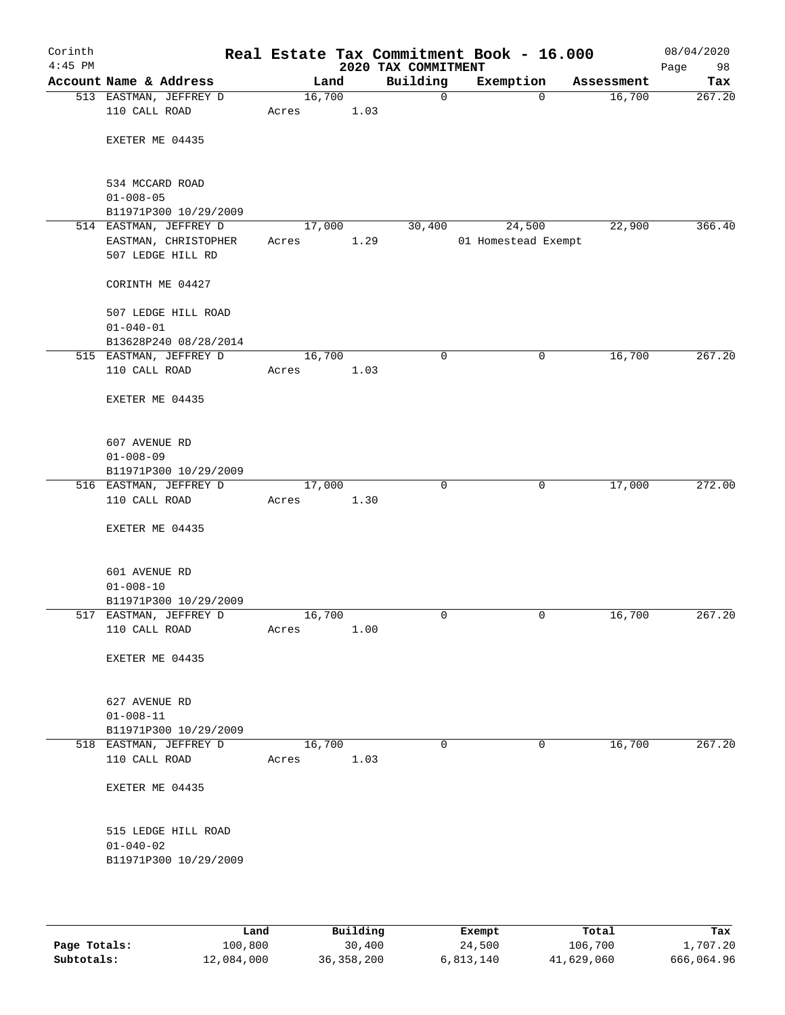| Corinth<br>$4:45$ PM |                                                 |                 |      | 2020 TAX COMMITMENT | Real Estate Tax Commitment Book - 16.000 |            | 08/04/2020<br>Page<br>98 |
|----------------------|-------------------------------------------------|-----------------|------|---------------------|------------------------------------------|------------|--------------------------|
|                      | Account Name & Address                          | Land            |      | Building            | Exemption                                | Assessment | Tax                      |
|                      | 513 EASTMAN, JEFFREY D<br>110 CALL ROAD         | 16,700<br>Acres | 1.03 | $\mathbf 0$         | $\mathbf 0$                              | 16,700     | 267.20                   |
|                      | EXETER ME 04435                                 |                 |      |                     |                                          |            |                          |
|                      |                                                 |                 |      |                     |                                          |            |                          |
|                      | 534 MCCARD ROAD                                 |                 |      |                     |                                          |            |                          |
|                      | $01 - 008 - 05$                                 |                 |      |                     |                                          |            |                          |
|                      | B11971P300 10/29/2009<br>514 EASTMAN, JEFFREY D | 17,000          |      | 30,400              | 24,500                                   | 22,900     | 366.40                   |
|                      | EASTMAN, CHRISTOPHER                            | Acres           | 1.29 |                     | 01 Homestead Exempt                      |            |                          |
|                      | 507 LEDGE HILL RD                               |                 |      |                     |                                          |            |                          |
|                      | CORINTH ME 04427                                |                 |      |                     |                                          |            |                          |
|                      | 507 LEDGE HILL ROAD                             |                 |      |                     |                                          |            |                          |
|                      | $01 - 040 - 01$                                 |                 |      |                     |                                          |            |                          |
|                      | B13628P240 08/28/2014                           |                 |      |                     |                                          |            | 267.20                   |
|                      | 515 EASTMAN, JEFFREY D<br>110 CALL ROAD         | 16,700          |      | $\mathbf 0$         | 0                                        | 16,700     |                          |
|                      |                                                 | Acres           | 1.03 |                     |                                          |            |                          |
|                      | EXETER ME 04435                                 |                 |      |                     |                                          |            |                          |
|                      | 607 AVENUE RD                                   |                 |      |                     |                                          |            |                          |
|                      | $01 - 008 - 09$                                 |                 |      |                     |                                          |            |                          |
|                      | B11971P300 10/29/2009                           |                 |      |                     |                                          |            |                          |
|                      | 516 EASTMAN, JEFFREY D                          | 17,000          |      | $\mathbf 0$         | $\mathbf 0$                              | 17,000     | 272.00                   |
|                      | 110 CALL ROAD                                   | Acres           | 1.30 |                     |                                          |            |                          |
|                      | EXETER ME 04435                                 |                 |      |                     |                                          |            |                          |
|                      | 601 AVENUE RD                                   |                 |      |                     |                                          |            |                          |
|                      | $01 - 008 - 10$                                 |                 |      |                     |                                          |            |                          |
|                      | B11971P300 10/29/2009                           |                 |      |                     |                                          |            |                          |
|                      | 517 EASTMAN, JEFFREY D                          | 16,700          |      | 0                   | 0                                        | 16,700     | 267.20                   |
|                      | 110 CALL ROAD                                   | Acres           | 1.00 |                     |                                          |            |                          |
|                      | EXETER ME 04435                                 |                 |      |                     |                                          |            |                          |
|                      | 627 AVENUE RD                                   |                 |      |                     |                                          |            |                          |
|                      | $01 - 008 - 11$                                 |                 |      |                     |                                          |            |                          |
|                      | B11971P300 10/29/2009                           |                 |      |                     |                                          |            |                          |
|                      | 518 EASTMAN, JEFFREY D                          | 16,700          |      | $\mathbf 0$         | 0                                        | 16,700     | 267.20                   |
|                      | 110 CALL ROAD                                   | Acres           | 1.03 |                     |                                          |            |                          |
|                      | EXETER ME 04435                                 |                 |      |                     |                                          |            |                          |
|                      | 515 LEDGE HILL ROAD                             |                 |      |                     |                                          |            |                          |
|                      | $01 - 040 - 02$                                 |                 |      |                     |                                          |            |                          |
|                      | B11971P300 10/29/2009                           |                 |      |                     |                                          |            |                          |
|                      |                                                 |                 |      |                     |                                          |            |                          |
|                      |                                                 |                 |      |                     |                                          |            |                          |

|              | Land       | Building     | Exempt    | Total      | Tax        |
|--------------|------------|--------------|-----------|------------|------------|
| Page Totals: | 100,800    | 30,400       | 24,500    | 106,700    | 1,707.20   |
| Subtotals:   | 12,084,000 | 36, 358, 200 | 6,813,140 | 41,629,060 | 666,064.96 |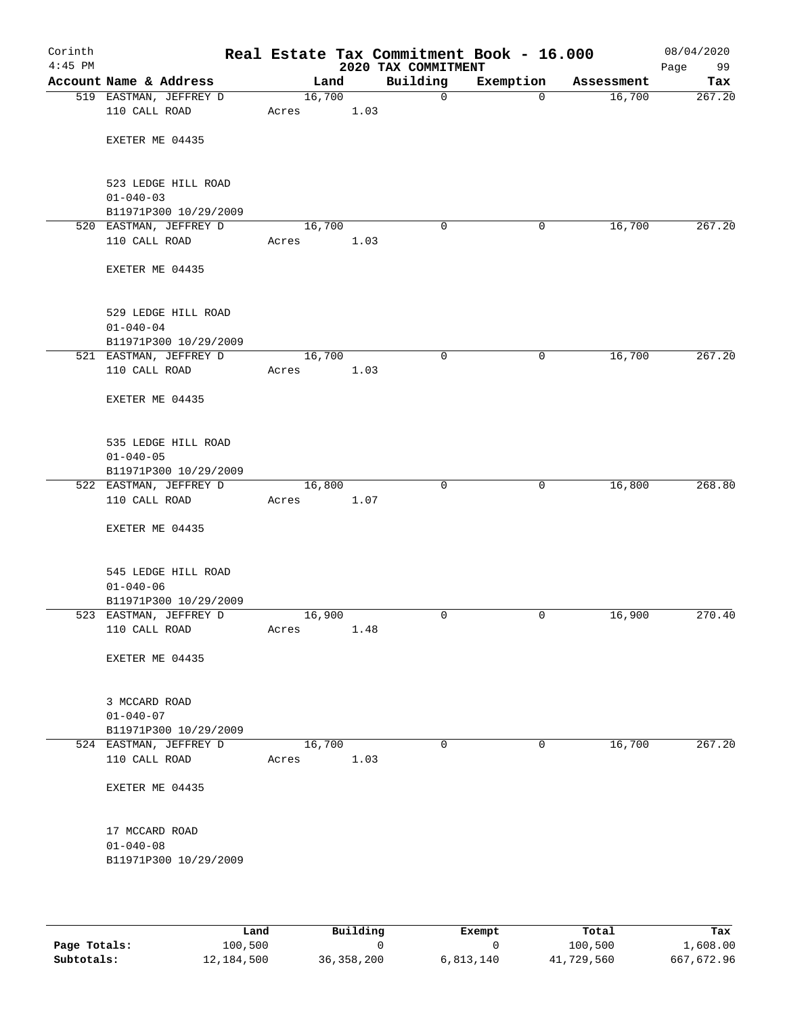| Corinth<br>$4:45$ PM |                                                                 |                 |      | 2020 TAX COMMITMENT | Real Estate Tax Commitment Book - 16.000 |            | 08/04/2020<br>Page<br>99 |
|----------------------|-----------------------------------------------------------------|-----------------|------|---------------------|------------------------------------------|------------|--------------------------|
|                      | Account Name & Address                                          | Land            |      | Building            | Exemption                                | Assessment | Tax                      |
|                      | 519 EASTMAN, JEFFREY D<br>110 CALL ROAD                         | 16,700<br>Acres | 1.03 | $\mathsf{O}$        | $\mathbf 0$                              | 16,700     | 267.20                   |
|                      | EXETER ME 04435                                                 |                 |      |                     |                                          |            |                          |
|                      | 523 LEDGE HILL ROAD<br>$01 - 040 - 03$                          |                 |      |                     |                                          |            |                          |
|                      | B11971P300 10/29/2009                                           |                 |      |                     |                                          |            | 267.20                   |
|                      | 520 EASTMAN, JEFFREY D<br>110 CALL ROAD                         | 16,700<br>Acres | 1.03 | 0                   | 0                                        | 16,700     |                          |
|                      | EXETER ME 04435                                                 |                 |      |                     |                                          |            |                          |
|                      | 529 LEDGE HILL ROAD<br>$01 - 040 - 04$                          |                 |      |                     |                                          |            |                          |
|                      | B11971P300 10/29/2009<br>521 EASTMAN, JEFFREY D                 | 16,700          |      | $\mathbf 0$         | 0                                        | 16,700     | 267.20                   |
|                      | 110 CALL ROAD                                                   | Acres           | 1.03 |                     |                                          |            |                          |
|                      | EXETER ME 04435                                                 |                 |      |                     |                                          |            |                          |
|                      | 535 LEDGE HILL ROAD<br>$01 - 040 - 05$                          |                 |      |                     |                                          |            |                          |
|                      | B11971P300 10/29/2009                                           |                 |      |                     |                                          |            |                          |
|                      | 522 EASTMAN, JEFFREY D<br>110 CALL ROAD                         | 16,800<br>Acres | 1.07 | $\mathbf 0$         | $\mathbf 0$                              | 16,800     | 268.80                   |
|                      | EXETER ME 04435                                                 |                 |      |                     |                                          |            |                          |
|                      | 545 LEDGE HILL ROAD<br>$01 - 040 - 06$<br>B11971P300 10/29/2009 |                 |      |                     |                                          |            |                          |
|                      | 523 EASTMAN, JEFFREY D<br>110 CALL ROAD                         | 16,900<br>Acres | 1.48 | 0                   | 0                                        | 16,900     | 270.40                   |
|                      | EXETER ME 04435                                                 |                 |      |                     |                                          |            |                          |
|                      | 3 MCCARD ROAD<br>$01 - 040 - 07$<br>B11971P300 10/29/2009       |                 |      |                     |                                          |            |                          |
|                      | 524 EASTMAN, JEFFREY D                                          | 16,700          |      | $\mathbf 0$         | $\mathbf 0$                              | 16,700     | 267.20                   |
|                      | 110 CALL ROAD                                                   | Acres           | 1.03 |                     |                                          |            |                          |
|                      | EXETER ME 04435                                                 |                 |      |                     |                                          |            |                          |
|                      | 17 MCCARD ROAD<br>$01 - 040 - 08$                               |                 |      |                     |                                          |            |                          |
|                      | B11971P300 10/29/2009                                           |                 |      |                     |                                          |            |                          |

|              | Land       | Building     | Exempt    | Total      | Tax        |
|--------------|------------|--------------|-----------|------------|------------|
| Page Totals: | 100,500    |              |           | 100,500    | 1,608.00   |
| Subtotals:   | 12,184,500 | 36, 358, 200 | 6,813,140 | 41,729,560 | 667,672.96 |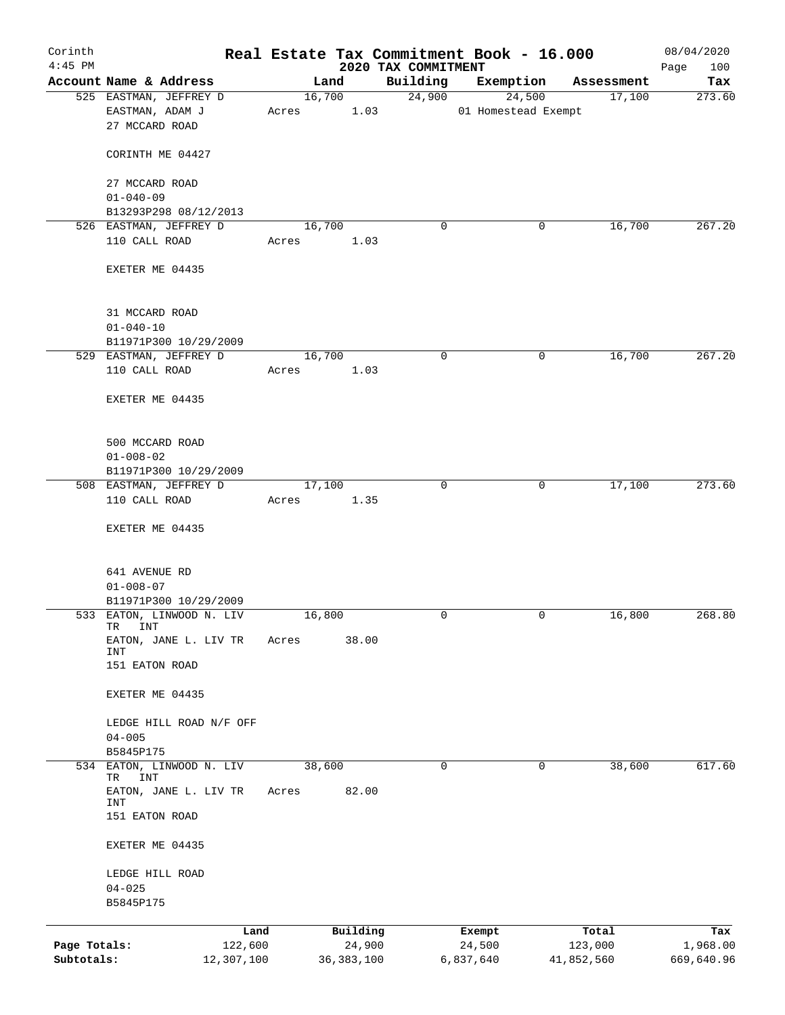| Corinth<br>$4:45$ PM |                                                |            |       |                | 2020 TAX COMMITMENT | Real Estate Tax Commitment Book - 16.000 |            | 08/04/2020<br>100<br>Page |
|----------------------|------------------------------------------------|------------|-------|----------------|---------------------|------------------------------------------|------------|---------------------------|
|                      | Account Name & Address                         |            |       | Land           | Building            | Exemption                                | Assessment | Tax                       |
|                      | 525 EASTMAN, JEFFREY D                         |            |       | 16,700         | 24,900              | 24,500                                   | 17,100     | 273.60                    |
|                      | EASTMAN, ADAM J<br>27 MCCARD ROAD              |            | Acres | 1.03           |                     | 01 Homestead Exempt                      |            |                           |
|                      | CORINTH ME 04427                               |            |       |                |                     |                                          |            |                           |
|                      | 27 MCCARD ROAD<br>$01 - 040 - 09$              |            |       |                |                     |                                          |            |                           |
|                      | B13293P298 08/12/2013                          |            |       |                |                     |                                          |            |                           |
|                      | 526 EASTMAN, JEFFREY D                         |            |       | 16,700         | 0                   | 0                                        | 16,700     | 267.20                    |
|                      | 110 CALL ROAD                                  |            | Acres | 1.03           |                     |                                          |            |                           |
|                      | EXETER ME 04435                                |            |       |                |                     |                                          |            |                           |
|                      | 31 MCCARD ROAD<br>$01 - 040 - 10$              |            |       |                |                     |                                          |            |                           |
|                      | B11971P300 10/29/2009                          |            |       |                |                     |                                          |            |                           |
|                      | 529 EASTMAN, JEFFREY D                         |            |       | 16,700         | $\mathbf 0$         | 0                                        | 16,700     | 267.20                    |
|                      | 110 CALL ROAD                                  |            | Acres | 1.03           |                     |                                          |            |                           |
|                      | EXETER ME 04435                                |            |       |                |                     |                                          |            |                           |
|                      | 500 MCCARD ROAD                                |            |       |                |                     |                                          |            |                           |
|                      | $01 - 008 - 02$                                |            |       |                |                     |                                          |            |                           |
|                      | B11971P300 10/29/2009                          |            |       |                |                     |                                          |            |                           |
|                      | 508 EASTMAN, JEFFREY D<br>110 CALL ROAD        |            | Acres | 17,100<br>1.35 | $\mathbf 0$         | $\mathbf 0$                              | 17,100     | 273.60                    |
|                      | EXETER ME 04435                                |            |       |                |                     |                                          |            |                           |
|                      | 641 AVENUE RD                                  |            |       |                |                     |                                          |            |                           |
|                      | $01 - 008 - 07$                                |            |       |                |                     |                                          |            |                           |
|                      | B11971P300 10/29/2009                          |            |       |                |                     |                                          |            |                           |
|                      | 533 EATON, LINWOOD N. LIV<br>INT<br>TR         |            |       | 16,800         | $\mathbf 0$         | $\mathbf 0$                              | 16,800     | 268.80                    |
|                      | EATON, JANE L. LIV TR<br>INT<br>151 EATON ROAD |            | Acres | 38.00          |                     |                                          |            |                           |
|                      | EXETER ME 04435                                |            |       |                |                     |                                          |            |                           |
|                      | LEDGE HILL ROAD N/F OFF                        |            |       |                |                     |                                          |            |                           |
|                      | $04 - 005$                                     |            |       |                |                     |                                          |            |                           |
|                      | B5845P175                                      |            |       |                |                     |                                          |            |                           |
| 534                  | EATON, LINWOOD N. LIV                          |            |       | 38,600         | $\mathbf 0$         | $\mathbf 0$                              | 38,600     | 617.60                    |
|                      | INT<br>TR<br>EATON, JANE L. LIV TR<br>INT      |            | Acres | 82.00          |                     |                                          |            |                           |
|                      | 151 EATON ROAD                                 |            |       |                |                     |                                          |            |                           |
|                      | EXETER ME 04435                                |            |       |                |                     |                                          |            |                           |
|                      | LEDGE HILL ROAD<br>$04 - 025$                  |            |       |                |                     |                                          |            |                           |
|                      | B5845P175                                      |            |       |                |                     |                                          |            |                           |
|                      |                                                | Land       |       | Building       |                     | Exempt                                   | Total      | Tax                       |
| Page Totals:         |                                                | 122,600    |       | 24,900         |                     | 24,500                                   | 123,000    | 1,968.00                  |
| Subtotals:           |                                                | 12,307,100 |       | 36, 383, 100   |                     | 6,837,640                                | 41,852,560 | 669,640.96                |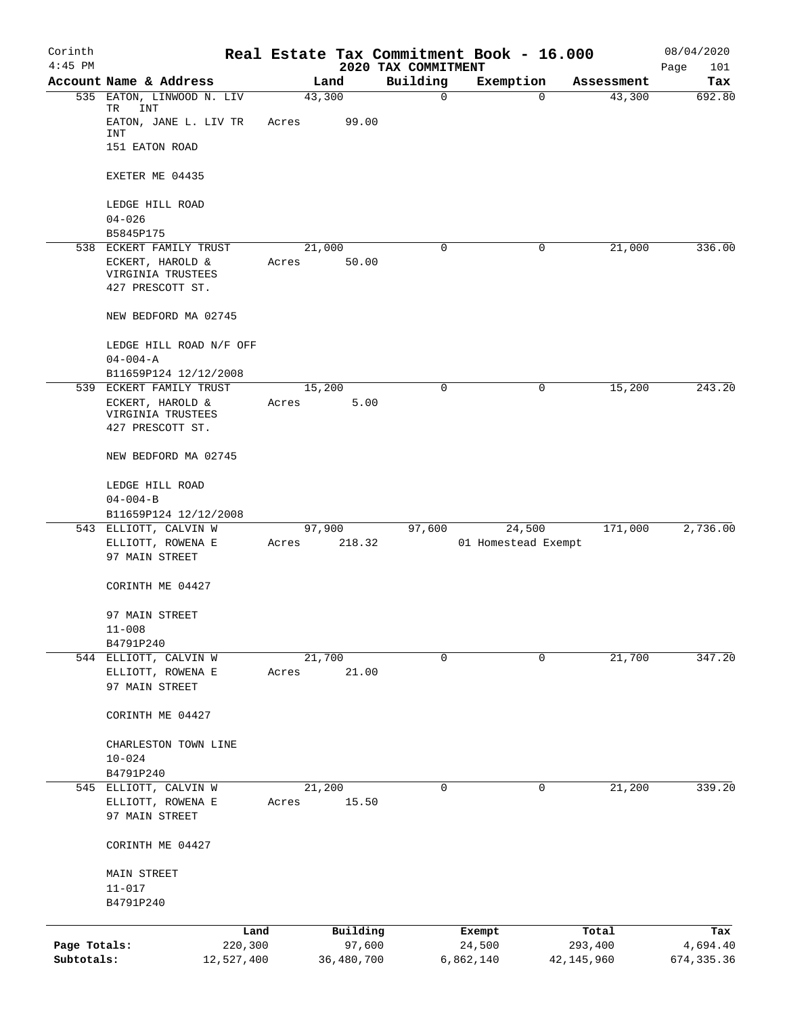| Corinth      |                                                           |       |            |                                 | Real Estate Tax Commitment Book - 16.000 |              | 08/04/2020          |
|--------------|-----------------------------------------------------------|-------|------------|---------------------------------|------------------------------------------|--------------|---------------------|
| $4:45$ PM    | Account Name & Address                                    |       | Land       | 2020 TAX COMMITMENT<br>Building | Exemption                                | Assessment   | Page<br>101<br>Tax  |
|              | 535 EATON, LINWOOD N. LIV<br>TR<br>INT                    |       | 43,300     | 0                               |                                          | 0            | 692.80<br>43,300    |
|              | EATON, JANE L. LIV TR<br>INT                              | Acres | 99.00      |                                 |                                          |              |                     |
|              | 151 EATON ROAD                                            |       |            |                                 |                                          |              |                     |
|              | EXETER ME 04435                                           |       |            |                                 |                                          |              |                     |
|              | LEDGE HILL ROAD<br>$04 - 026$                             |       |            |                                 |                                          |              |                     |
|              | B5845P175                                                 |       |            |                                 |                                          |              |                     |
|              | 538 ECKERT FAMILY TRUST                                   |       | 21,000     | 0                               |                                          | 0            | 21,000<br>336.00    |
|              | ECKERT, HAROLD &<br>VIRGINIA TRUSTEES<br>427 PRESCOTT ST. | Acres | 50.00      |                                 |                                          |              |                     |
|              | NEW BEDFORD MA 02745                                      |       |            |                                 |                                          |              |                     |
|              | LEDGE HILL ROAD N/F OFF<br>$04 - 004 - A$                 |       |            |                                 |                                          |              |                     |
|              | B11659P124 12/12/2008                                     |       |            |                                 |                                          |              |                     |
|              | 539 ECKERT FAMILY TRUST                                   |       | 15,200     | 0                               |                                          | 0            | 15,200<br>243.20    |
|              | ECKERT, HAROLD &                                          | Acres | 5.00       |                                 |                                          |              |                     |
|              | VIRGINIA TRUSTEES<br>427 PRESCOTT ST.                     |       |            |                                 |                                          |              |                     |
|              | NEW BEDFORD MA 02745                                      |       |            |                                 |                                          |              |                     |
|              | LEDGE HILL ROAD                                           |       |            |                                 |                                          |              |                     |
|              | $04 - 004 - B$<br>B11659P124 12/12/2008                   |       |            |                                 |                                          |              |                     |
| 543          | ELLIOTT, CALVIN W                                         |       | 97,900     | 97,600                          | 24,500                                   |              | 2,736.00<br>171,000 |
|              | ELLIOTT, ROWENA E                                         | Acres | 218.32     |                                 | 01 Homestead Exempt                      |              |                     |
|              | 97 MAIN STREET                                            |       |            |                                 |                                          |              |                     |
|              | CORINTH ME 04427                                          |       |            |                                 |                                          |              |                     |
|              | 97 MAIN STREET                                            |       |            |                                 |                                          |              |                     |
|              | $11 - 008$<br>B4791P240                                   |       |            |                                 |                                          |              |                     |
|              | 544 ELLIOTT, CALVIN W                                     |       | 21,700     | $\mathbf 0$                     |                                          | $\mathbf 0$  | 21,700<br>347.20    |
|              | ELLIOTT, ROWENA E                                         | Acres | 21.00      |                                 |                                          |              |                     |
|              | 97 MAIN STREET                                            |       |            |                                 |                                          |              |                     |
|              | CORINTH ME 04427                                          |       |            |                                 |                                          |              |                     |
|              | CHARLESTON TOWN LINE                                      |       |            |                                 |                                          |              |                     |
|              | $10 - 024$                                                |       |            |                                 |                                          |              |                     |
|              | B4791P240                                                 |       |            |                                 |                                          |              |                     |
|              | 545 ELLIOTT, CALVIN W                                     |       | 21,200     | 0                               |                                          | $\mathbf 0$  | 21,200<br>339.20    |
|              | ELLIOTT, ROWENA E<br>97 MAIN STREET                       | Acres | 15.50      |                                 |                                          |              |                     |
|              | CORINTH ME 04427                                          |       |            |                                 |                                          |              |                     |
|              | <b>MAIN STREET</b><br>$11 - 017$                          |       |            |                                 |                                          |              |                     |
|              | B4791P240                                                 |       |            |                                 |                                          |              |                     |
|              |                                                           | Land  | Building   |                                 | Exempt                                   | Total        | Tax                 |
| Page Totals: | 220,300                                                   |       | 97,600     |                                 | 24,500                                   | 293,400      | 4,694.40            |
| Subtotals:   | 12,527,400                                                |       | 36,480,700 |                                 | 6,862,140                                | 42, 145, 960 | 674, 335.36         |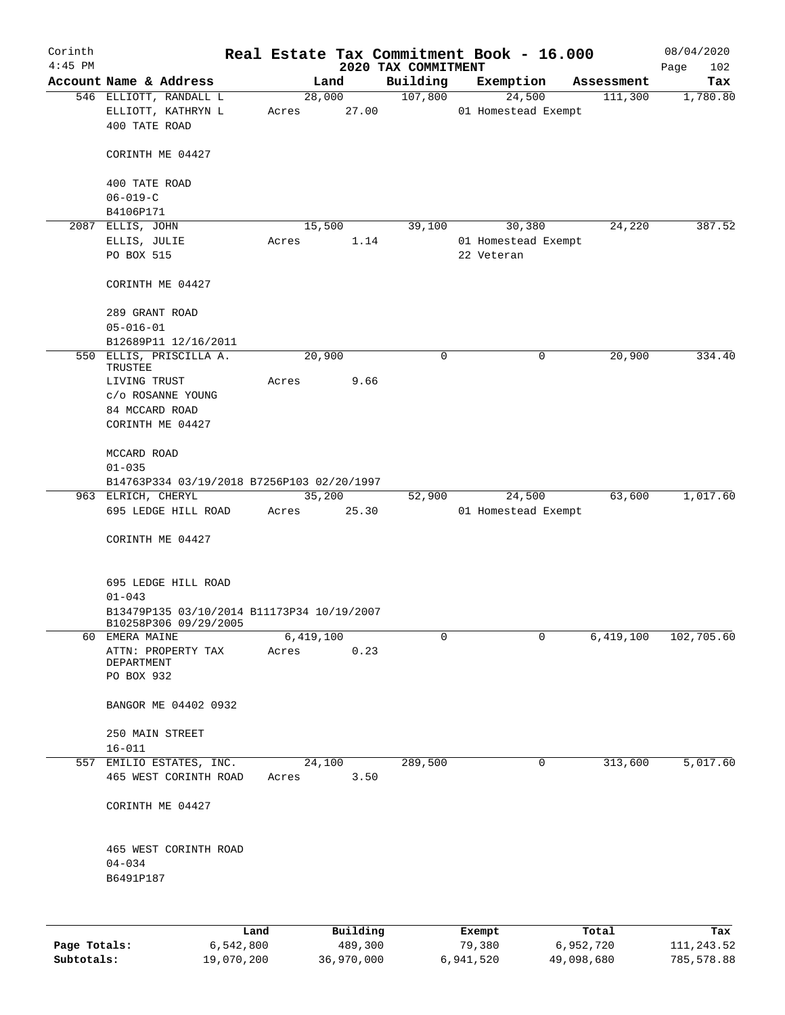| Corinth<br>$4:45$ PM |                                                                     |       |                 | 2020 TAX COMMITMENT | Real Estate Tax Commitment Book - 16.000 |                | 08/04/2020<br>102<br>Page |
|----------------------|---------------------------------------------------------------------|-------|-----------------|---------------------|------------------------------------------|----------------|---------------------------|
|                      | Account Name & Address                                              |       | Land            | Building            | Exemption                                | Assessment     | Tax                       |
|                      | 546 ELLIOTT, RANDALL L<br>ELLIOTT, KATHRYN L<br>400 TATE ROAD       | Acres | 28,000<br>27.00 | 107,800             | 24,500<br>01 Homestead Exempt            | 111,300        | 1,780.80                  |
|                      | CORINTH ME 04427                                                    |       |                 |                     |                                          |                |                           |
|                      | 400 TATE ROAD<br>$06 - 019 - C$                                     |       |                 |                     |                                          |                |                           |
|                      | B4106P171                                                           |       |                 |                     |                                          |                |                           |
|                      | 2087 ELLIS, JOHN                                                    |       | 15,500          | 39,100              | 30,380                                   | 24,220         | 387.52                    |
|                      | ELLIS, JULIE                                                        | Acres | 1.14            |                     | 01 Homestead Exempt                      |                |                           |
|                      | PO BOX 515                                                          |       |                 |                     | 22 Veteran                               |                |                           |
|                      | CORINTH ME 04427                                                    |       |                 |                     |                                          |                |                           |
|                      | 289 GRANT ROAD                                                      |       |                 |                     |                                          |                |                           |
|                      | $05 - 016 - 01$                                                     |       |                 |                     |                                          |                |                           |
|                      | B12689P11 12/16/2011                                                |       |                 |                     |                                          |                |                           |
|                      | 550 ELLIS, PRISCILLA A.<br>TRUSTEE                                  |       | 20,900          | $\mathbf 0$         |                                          | 20,900<br>0    | 334.40                    |
|                      | LIVING TRUST                                                        | Acres | 9.66            |                     |                                          |                |                           |
|                      | c/o ROSANNE YOUNG                                                   |       |                 |                     |                                          |                |                           |
|                      | 84 MCCARD ROAD                                                      |       |                 |                     |                                          |                |                           |
|                      | CORINTH ME 04427                                                    |       |                 |                     |                                          |                |                           |
|                      | MCCARD ROAD                                                         |       |                 |                     |                                          |                |                           |
|                      | $01 - 035$                                                          |       |                 |                     |                                          |                |                           |
|                      | B14763P334 03/19/2018 B7256P103 02/20/1997                          |       |                 |                     |                                          |                |                           |
|                      | 963 ELRICH, CHERYL                                                  |       | 35,200          | 52,900              | 24,500                                   | 63,600         | 1,017.60                  |
|                      | 695 LEDGE HILL ROAD                                                 | Acres | 25.30           |                     | 01 Homestead Exempt                      |                |                           |
|                      | CORINTH ME 04427                                                    |       |                 |                     |                                          |                |                           |
|                      | 695 LEDGE HILL ROAD                                                 |       |                 |                     |                                          |                |                           |
|                      | $01 - 043$                                                          |       |                 |                     |                                          |                |                           |
|                      | B13479P135 03/10/2014 B11173P34 10/19/2007<br>B10258P306 09/29/2005 |       |                 |                     |                                          |                |                           |
|                      | 60 EMERA MAINE                                                      |       | 6,419,100       | 0                   |                                          | 6,419,100<br>0 | 102,705.60                |
|                      | ATTN: PROPERTY TAX                                                  | Acres | 0.23            |                     |                                          |                |                           |
|                      | DEPARTMENT<br>PO BOX 932                                            |       |                 |                     |                                          |                |                           |
|                      | BANGOR ME 04402 0932                                                |       |                 |                     |                                          |                |                           |
|                      | 250 MAIN STREET                                                     |       |                 |                     |                                          |                |                           |
|                      | $16 - 011$                                                          |       |                 |                     |                                          |                |                           |
|                      | 557 EMILIO ESTATES, INC.<br>465 WEST CORINTH ROAD                   | Acres | 24,100<br>3.50  | 289,500             |                                          | 313,600<br>0   | 5,017.60                  |
|                      | CORINTH ME 04427                                                    |       |                 |                     |                                          |                |                           |
|                      |                                                                     |       |                 |                     |                                          |                |                           |
|                      | 465 WEST CORINTH ROAD                                               |       |                 |                     |                                          |                |                           |
|                      | $04 - 034$                                                          |       |                 |                     |                                          |                |                           |
|                      | B6491P187                                                           |       |                 |                     |                                          |                |                           |
|                      |                                                                     |       |                 |                     |                                          |                |                           |
|                      | Land                                                                |       | Building        |                     | Exempt                                   | Total          | Tax                       |

|              | Land       | Building   | Exempt    | Total      | Tax        |
|--------------|------------|------------|-----------|------------|------------|
| Page Totals: | 6,542,800  | 489,300    | 79,380    | 6,952,720  | 111,243.52 |
| Subtotals:   | 19,070,200 | 36,970,000 | 6,941,520 | 49,098,680 | 785,578.88 |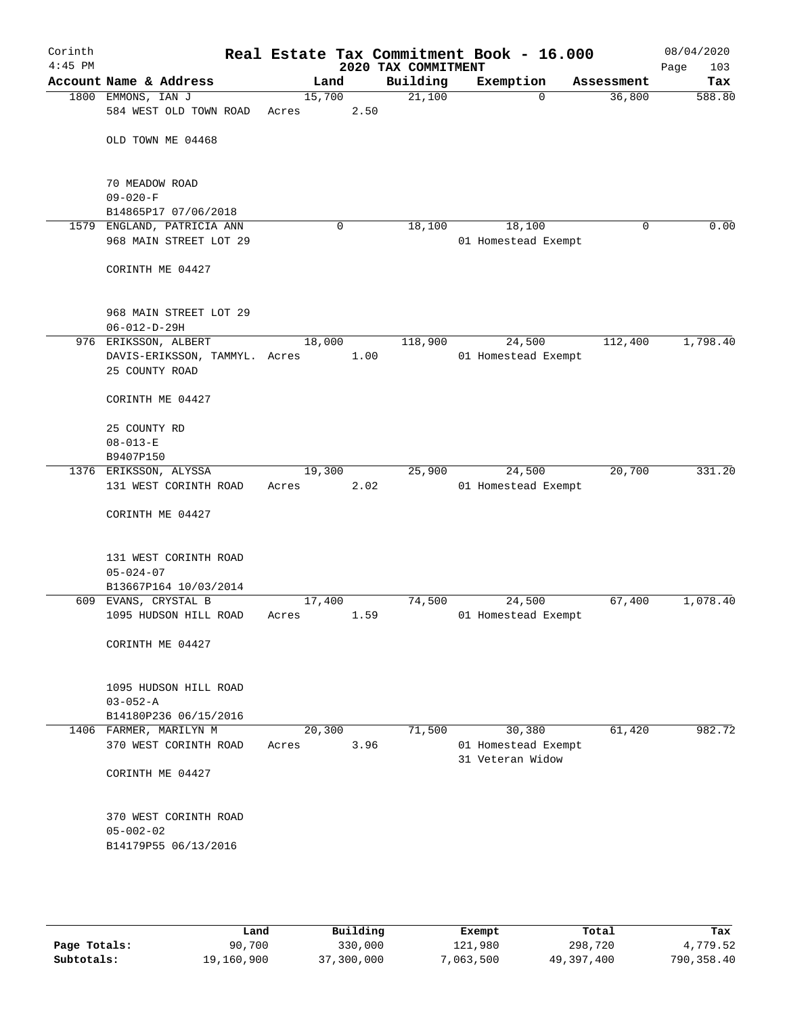| Corinth<br>$4:45$ PM |                                                      |                 |      | 2020 TAX COMMITMENT | Real Estate Tax Commitment Book - 16.000          |            | 08/04/2020<br>Page<br>103 |
|----------------------|------------------------------------------------------|-----------------|------|---------------------|---------------------------------------------------|------------|---------------------------|
|                      | Account Name & Address                               |                 | Land | Building            | Exemption                                         | Assessment | Tax                       |
|                      | 1800 EMMONS, IAN J<br>584 WEST OLD TOWN ROAD         | 15,700<br>Acres | 2.50 | 21,100              | $\Omega$                                          | 36,800     | 588.80                    |
|                      | OLD TOWN ME 04468                                    |                 |      |                     |                                                   |            |                           |
|                      | 70 MEADOW ROAD<br>$09 - 020 - F$                     |                 |      |                     |                                                   |            |                           |
|                      | B14865P17 07/06/2018                                 |                 |      |                     |                                                   |            |                           |
|                      | 1579 ENGLAND, PATRICIA ANN<br>968 MAIN STREET LOT 29 |                 | 0    | 18,100              | 18,100<br>01 Homestead Exempt                     | 0          | 0.00                      |
|                      | CORINTH ME 04427                                     |                 |      |                     |                                                   |            |                           |
|                      | 968 MAIN STREET LOT 29<br>$06 - 012 - D - 29H$       |                 |      |                     |                                                   |            |                           |
|                      | 976 ERIKSSON, ALBERT                                 | 18,000          |      | 118,900             | 24,500                                            | 112,400    | 1,798.40                  |
|                      | DAVIS-ERIKSSON, TAMMYL. Acres<br>25 COUNTY ROAD      |                 | 1.00 |                     | 01 Homestead Exempt                               |            |                           |
|                      | CORINTH ME 04427                                     |                 |      |                     |                                                   |            |                           |
|                      | 25 COUNTY RD                                         |                 |      |                     |                                                   |            |                           |
|                      | $08 - 013 - E$                                       |                 |      |                     |                                                   |            |                           |
|                      | B9407P150                                            |                 |      |                     |                                                   |            |                           |
|                      | 1376 ERIKSSON, ALYSSA                                | 19,300          |      | 25,900              | 24,500                                            | 20,700     | 331.20                    |
|                      | 131 WEST CORINTH ROAD                                | Acres           | 2.02 |                     | 01 Homestead Exempt                               |            |                           |
|                      | CORINTH ME 04427                                     |                 |      |                     |                                                   |            |                           |
|                      | 131 WEST CORINTH ROAD<br>$05 - 024 - 07$             |                 |      |                     |                                                   |            |                           |
|                      | B13667P164 10/03/2014                                |                 |      |                     |                                                   |            |                           |
|                      | 609 EVANS, CRYSTAL B                                 | 17,400          |      | 74,500              | 24,500                                            | 67,400     | 1,078.40                  |
|                      | 1095 HUDSON HILL ROAD                                | Acres           | 1.59 |                     | 01 Homestead Exempt                               |            |                           |
|                      | CORINTH ME 04427                                     |                 |      |                     |                                                   |            |                           |
|                      | 1095 HUDSON HILL ROAD                                |                 |      |                     |                                                   |            |                           |
|                      | $03 - 052 - A$                                       |                 |      |                     |                                                   |            |                           |
|                      | B14180P236 06/15/2016                                |                 |      |                     |                                                   |            |                           |
|                      | 1406 FARMER, MARILYN M<br>370 WEST CORINTH ROAD      | 20,300<br>Acres | 3.96 | 71,500              | 30,380<br>01 Homestead Exempt<br>31 Veteran Widow | 61,420     | 982.72                    |
|                      | CORINTH ME 04427                                     |                 |      |                     |                                                   |            |                           |
|                      | 370 WEST CORINTH ROAD                                |                 |      |                     |                                                   |            |                           |
|                      | $05 - 002 - 02$<br>B14179P55 06/13/2016              |                 |      |                     |                                                   |            |                           |
|                      |                                                      |                 |      |                     |                                                   |            |                           |

|              | Land       | Building   | Exempt    | Total      | Tax        |
|--------------|------------|------------|-----------|------------|------------|
| Page Totals: | 90,700     | 330,000    | 121,980   | 298,720    | 4,779.52   |
| Subtotals:   | 19,160,900 | 37,300,000 | 7,063,500 | 49,397,400 | 790,358.40 |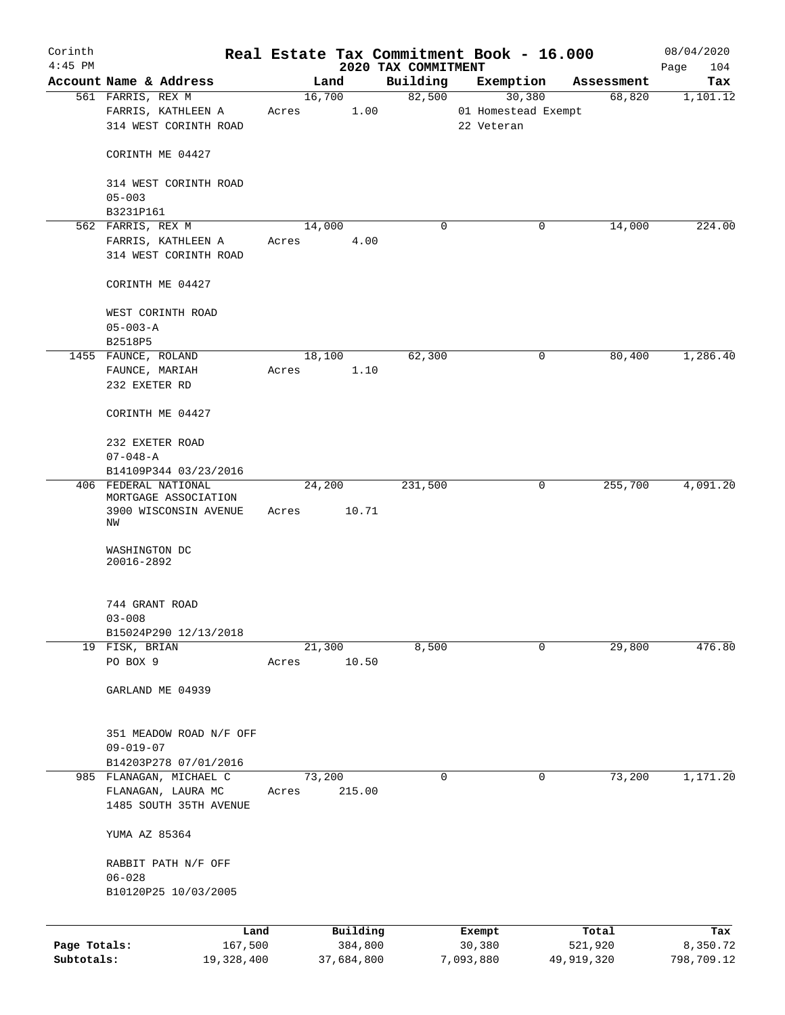| Corinth      |                                                                             |            |       |        |            |                                 | Real Estate Tax Commitment Book - 16.000 |             |                      | 08/04/2020         |
|--------------|-----------------------------------------------------------------------------|------------|-------|--------|------------|---------------------------------|------------------------------------------|-------------|----------------------|--------------------|
| $4:45$ PM    | Account Name & Address                                                      |            |       | Land   |            | 2020 TAX COMMITMENT<br>Building | Exemption                                |             |                      | 104<br>Page<br>Tax |
|              | 561 FARRIS, REX M                                                           |            |       | 16,700 |            | 82,500                          | 30,380                                   |             | Assessment<br>68,820 | 1,101.12           |
|              | FARRIS, KATHLEEN A<br>314 WEST CORINTH ROAD                                 |            | Acres |        | 1.00       |                                 | 01 Homestead Exempt<br>22 Veteran        |             |                      |                    |
|              | CORINTH ME 04427                                                            |            |       |        |            |                                 |                                          |             |                      |                    |
|              | 314 WEST CORINTH ROAD<br>$05 - 003$                                         |            |       |        |            |                                 |                                          |             |                      |                    |
|              | B3231P161                                                                   |            |       |        |            |                                 |                                          |             |                      |                    |
|              | 562 FARRIS, REX M                                                           |            |       | 14,000 |            | 0                               |                                          | 0           | 14,000               | 224.00             |
|              | FARRIS, KATHLEEN A<br>314 WEST CORINTH ROAD                                 |            | Acres |        | 4.00       |                                 |                                          |             |                      |                    |
|              | CORINTH ME 04427                                                            |            |       |        |            |                                 |                                          |             |                      |                    |
|              | WEST CORINTH ROAD<br>$05 - 003 - A$                                         |            |       |        |            |                                 |                                          |             |                      |                    |
|              | B2518P5                                                                     |            |       |        |            |                                 |                                          |             |                      |                    |
|              | 1455 FAUNCE, ROLAND                                                         |            |       | 18,100 |            | 62,300                          |                                          | 0           | 80,400               | 1,286.40           |
|              | FAUNCE, MARIAH                                                              |            | Acres |        | 1.10       |                                 |                                          |             |                      |                    |
|              | 232 EXETER RD                                                               |            |       |        |            |                                 |                                          |             |                      |                    |
|              | CORINTH ME 04427                                                            |            |       |        |            |                                 |                                          |             |                      |                    |
|              | 232 EXETER ROAD                                                             |            |       |        |            |                                 |                                          |             |                      |                    |
|              | $07 - 048 - A$                                                              |            |       |        |            |                                 |                                          |             |                      |                    |
|              | B14109P344 03/23/2016                                                       |            |       |        |            |                                 |                                          |             |                      |                    |
|              | 406 FEDERAL NATIONAL<br>MORTGAGE ASSOCIATION<br>3900 WISCONSIN AVENUE<br>ΝW |            | Acres | 24,200 | 10.71      | 231,500                         |                                          | $\mathbf 0$ | 255,700              | 4,091.20           |
|              | WASHINGTON DC<br>20016-2892                                                 |            |       |        |            |                                 |                                          |             |                      |                    |
|              | 744 GRANT ROAD<br>$03 - 008$                                                |            |       |        |            |                                 |                                          |             |                      |                    |
|              | B15024P290 12/13/2018                                                       |            |       |        |            |                                 |                                          |             |                      |                    |
|              | 19 FISK, BRIAN                                                              |            |       | 21,300 |            | 8,500                           |                                          | $\mathbf 0$ | 29,800               | 476.80             |
|              | PO BOX 9                                                                    |            | Acres |        | 10.50      |                                 |                                          |             |                      |                    |
|              | GARLAND ME 04939                                                            |            |       |        |            |                                 |                                          |             |                      |                    |
|              | 351 MEADOW ROAD N/F OFF<br>$09 - 019 - 07$                                  |            |       |        |            |                                 |                                          |             |                      |                    |
|              | B14203P278 07/01/2016                                                       |            |       |        |            |                                 |                                          |             |                      |                    |
|              | 985 FLANAGAN, MICHAEL C                                                     |            |       | 73,200 |            | 0                               |                                          | 0           | 73,200               | 1,171.20           |
|              | FLANAGAN, LAURA MC<br>1485 SOUTH 35TH AVENUE                                |            | Acres |        | 215.00     |                                 |                                          |             |                      |                    |
|              | YUMA AZ 85364                                                               |            |       |        |            |                                 |                                          |             |                      |                    |
|              | RABBIT PATH N/F OFF                                                         |            |       |        |            |                                 |                                          |             |                      |                    |
|              | $06 - 028$<br>B10120P25 10/03/2005                                          |            |       |        |            |                                 |                                          |             |                      |                    |
|              |                                                                             | Land       |       |        | Building   |                                 | Exempt                                   |             | Total                | Tax                |
| Page Totals: |                                                                             | 167,500    |       |        | 384,800    |                                 | 30,380                                   |             | 521,920              | 8,350.72           |
| Subtotals:   |                                                                             | 19,328,400 |       |        | 37,684,800 |                                 | 7,093,880                                |             | 49,919,320           | 798,709.12         |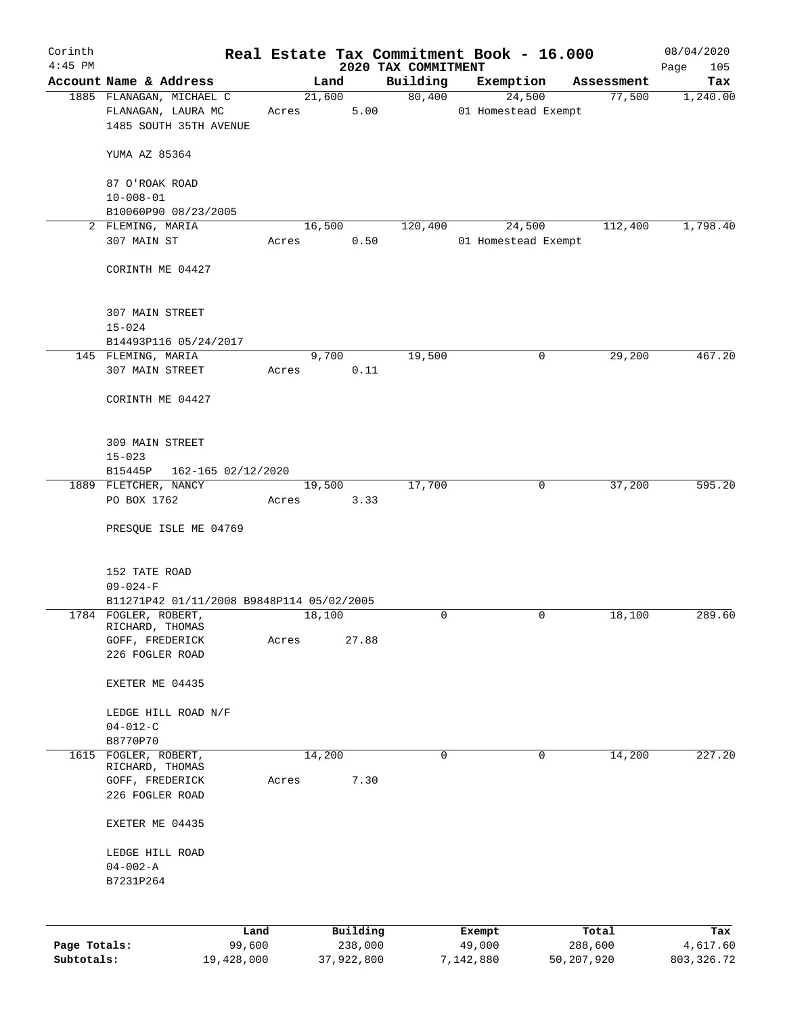| Corinth<br>$4:45$ PM |                                              |                    |        |               |                                 | Real Estate Tax Commitment Book - 16.000 |             |            | 08/04/2020         |
|----------------------|----------------------------------------------|--------------------|--------|---------------|---------------------------------|------------------------------------------|-------------|------------|--------------------|
|                      | Account Name & Address                       |                    |        | Land          | 2020 TAX COMMITMENT<br>Building | Exemption                                |             | Assessment | 105<br>Page<br>Tax |
|                      | 1885 FLANAGAN, MICHAEL C                     |                    |        | 21,600        | 80,400                          |                                          | 24,500      | 77,500     | 1,240.00           |
|                      | FLANAGAN, LAURA MC<br>1485 SOUTH 35TH AVENUE |                    | Acres  | 5.00          |                                 | 01 Homestead Exempt                      |             |            |                    |
|                      | YUMA AZ 85364                                |                    |        |               |                                 |                                          |             |            |                    |
|                      | 87 O'ROAK ROAD<br>$10 - 008 - 01$            |                    |        |               |                                 |                                          |             |            |                    |
|                      | B10060P90 08/23/2005                         |                    |        |               |                                 |                                          |             |            |                    |
|                      | 2 FLEMING, MARIA                             |                    |        | 16,500        | 120,400                         |                                          | 24,500      | 112,400    | 1,798.40           |
|                      | 307 MAIN ST                                  |                    | Acres  | 0.50          |                                 | 01 Homestead Exempt                      |             |            |                    |
|                      | CORINTH ME 04427                             |                    |        |               |                                 |                                          |             |            |                    |
|                      | 307 MAIN STREET                              |                    |        |               |                                 |                                          |             |            |                    |
|                      | $15 - 024$                                   |                    |        |               |                                 |                                          |             |            |                    |
|                      | B14493P116 05/24/2017                        |                    |        |               |                                 |                                          |             |            |                    |
|                      | 145 FLEMING, MARIA<br>307 MAIN STREET        |                    | Acres  | 9,700<br>0.11 | 19,500                          |                                          | 0           | 29,200     | 467.20             |
|                      | CORINTH ME 04427                             |                    |        |               |                                 |                                          |             |            |                    |
|                      | 309 MAIN STREET                              |                    |        |               |                                 |                                          |             |            |                    |
|                      | $15 - 023$                                   |                    |        |               |                                 |                                          |             |            |                    |
|                      | B15445P                                      | 162-165 02/12/2020 |        |               |                                 |                                          |             |            |                    |
|                      | 1889 FLETCHER, NANCY                         |                    |        | 19,500        | 17,700                          |                                          | 0           | 37,200     | 595.20             |
|                      | PO BOX 1762                                  |                    | Acres  | 3.33          |                                 |                                          |             |            |                    |
|                      | PRESQUE ISLE ME 04769                        |                    |        |               |                                 |                                          |             |            |                    |
|                      | 152 TATE ROAD                                |                    |        |               |                                 |                                          |             |            |                    |
|                      | $09 - 024 - F$                               |                    |        |               |                                 |                                          |             |            |                    |
|                      | B11271P42 01/11/2008 B9848P114 05/02/2005    |                    |        |               |                                 |                                          |             |            |                    |
|                      | 1784 FOGLER, ROBERT,<br>RICHARD, THOMAS      |                    | 18,100 |               | 0                               |                                          | 0           | 18,100     | 289.60             |
|                      | GOFF, FREDERICK                              |                    | Acres  | 27.88         |                                 |                                          |             |            |                    |
|                      | 226 FOGLER ROAD                              |                    |        |               |                                 |                                          |             |            |                    |
|                      |                                              |                    |        |               |                                 |                                          |             |            |                    |
|                      | EXETER ME 04435                              |                    |        |               |                                 |                                          |             |            |                    |
|                      | LEDGE HILL ROAD N/F                          |                    |        |               |                                 |                                          |             |            |                    |
|                      | $04 - 012 - C$                               |                    |        |               |                                 |                                          |             |            |                    |
|                      | B8770P70                                     |                    |        |               |                                 |                                          |             |            |                    |
| 1615                 | FOGLER, ROBERT,<br>RICHARD, THOMAS           |                    | 14,200 |               | 0                               |                                          | $\mathbf 0$ | 14,200     | 227.20             |
|                      | GOFF, FREDERICK                              |                    | Acres  | 7.30          |                                 |                                          |             |            |                    |
|                      | 226 FOGLER ROAD                              |                    |        |               |                                 |                                          |             |            |                    |
|                      | EXETER ME 04435                              |                    |        |               |                                 |                                          |             |            |                    |
|                      | LEDGE HILL ROAD                              |                    |        |               |                                 |                                          |             |            |                    |
|                      | $04 - 002 - A$                               |                    |        |               |                                 |                                          |             |            |                    |
|                      | B7231P264                                    |                    |        |               |                                 |                                          |             |            |                    |
|                      |                                              |                    |        | Building      |                                 |                                          |             | Total      |                    |
| Page Totals:         |                                              | Land<br>99,600     |        | 238,000       |                                 | Exempt<br>49,000                         |             | 288,600    | Tax<br>4,617.60    |
| Subtotals:           |                                              | 19,428,000         |        | 37,922,800    |                                 | 7,142,880                                |             | 50,207,920 | 803, 326.72        |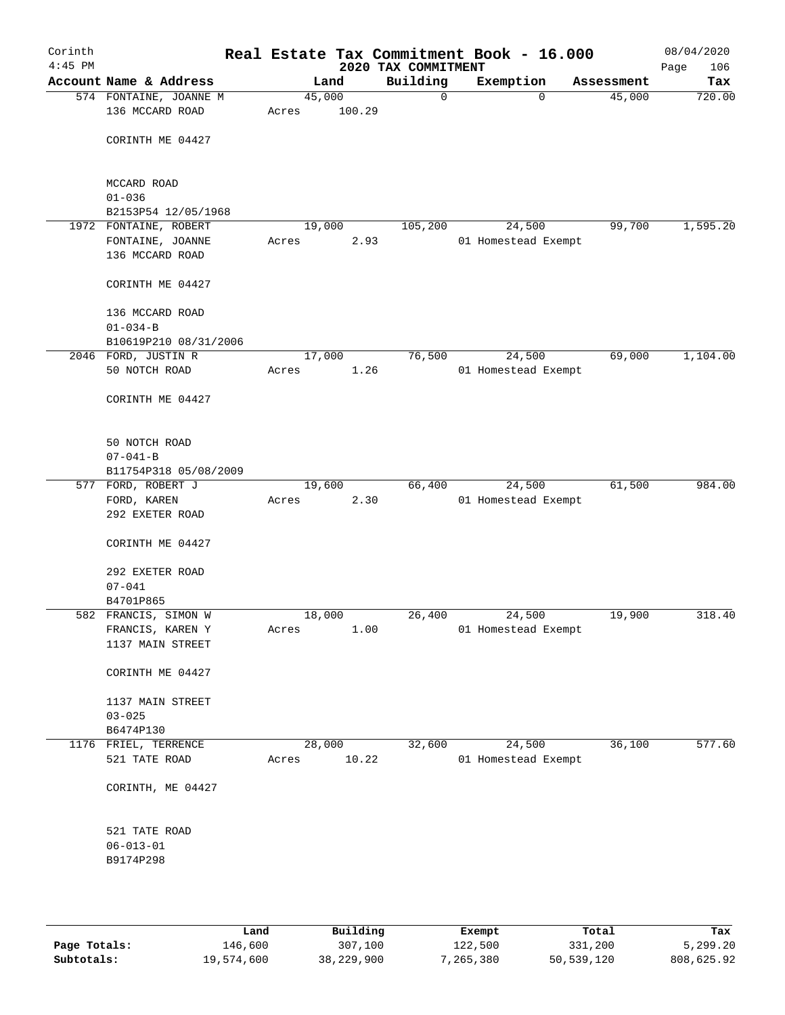| Corinth<br>$4:45$ PM |                                              |       |        | Real Estate Tax Commitment Book - 16.000<br>2020 TAX COMMITMENT |                     |        |            | 08/04/2020<br>106<br>Page |
|----------------------|----------------------------------------------|-------|--------|-----------------------------------------------------------------|---------------------|--------|------------|---------------------------|
|                      | Account Name & Address                       |       | Land   | Building                                                        | Exemption           |        | Assessment | Tax                       |
|                      | 574 FONTAINE, JOANNE M                       |       | 45,000 | 0                                                               |                     | 0      | 45,000     | 720.00                    |
|                      | 136 MCCARD ROAD                              | Acres | 100.29 |                                                                 |                     |        |            |                           |
|                      | CORINTH ME 04427                             |       |        |                                                                 |                     |        |            |                           |
|                      | MCCARD ROAD                                  |       |        |                                                                 |                     |        |            |                           |
|                      | $01 - 036$                                   |       |        |                                                                 |                     |        |            |                           |
|                      | B2153P54 12/05/1968<br>1972 FONTAINE, ROBERT |       | 19,000 | 105,200                                                         |                     | 24,500 | 99,700     | 1,595.20                  |
|                      |                                              | Acres | 2.93   |                                                                 | 01 Homestead Exempt |        |            |                           |
|                      | FONTAINE, JOANNE<br>136 MCCARD ROAD          |       |        |                                                                 |                     |        |            |                           |
|                      |                                              |       |        |                                                                 |                     |        |            |                           |
|                      | CORINTH ME 04427                             |       |        |                                                                 |                     |        |            |                           |
|                      | 136 MCCARD ROAD                              |       |        |                                                                 |                     |        |            |                           |
|                      | $01 - 034 - B$                               |       |        |                                                                 |                     |        |            |                           |
|                      | B10619P210 08/31/2006                        |       |        |                                                                 |                     |        |            |                           |
|                      | 2046 FORD, JUSTIN R                          |       | 17,000 | 76,500                                                          |                     | 24,500 | 69,000     | 1,104.00                  |
|                      | 50 NOTCH ROAD                                | Acres | 1.26   |                                                                 | 01 Homestead Exempt |        |            |                           |
|                      | CORINTH ME 04427                             |       |        |                                                                 |                     |        |            |                           |
|                      |                                              |       |        |                                                                 |                     |        |            |                           |
|                      | 50 NOTCH ROAD                                |       |        |                                                                 |                     |        |            |                           |
|                      | $07 - 041 - B$<br>B11754P318 05/08/2009      |       |        |                                                                 |                     |        |            |                           |
|                      | 577 FORD, ROBERT J                           |       | 19,600 | 66,400                                                          |                     | 24,500 | 61,500     | 984.00                    |
|                      | FORD, KAREN                                  | Acres | 2.30   |                                                                 | 01 Homestead Exempt |        |            |                           |
|                      | 292 EXETER ROAD                              |       |        |                                                                 |                     |        |            |                           |
|                      | CORINTH ME 04427                             |       |        |                                                                 |                     |        |            |                           |
|                      |                                              |       |        |                                                                 |                     |        |            |                           |
|                      | 292 EXETER ROAD                              |       |        |                                                                 |                     |        |            |                           |
|                      | $07 - 041$                                   |       |        |                                                                 |                     |        |            |                           |
|                      | B4701P865                                    |       |        |                                                                 |                     |        |            |                           |
|                      | 582 FRANCIS, SIMON W                         |       | 18,000 | 26,400                                                          |                     | 24,500 | 19,900     | 318.40                    |
|                      | FRANCIS, KAREN Y                             | Acres | 1.00   |                                                                 | 01 Homestead Exempt |        |            |                           |
|                      | 1137 MAIN STREET                             |       |        |                                                                 |                     |        |            |                           |
|                      | CORINTH ME 04427                             |       |        |                                                                 |                     |        |            |                           |
|                      | 1137 MAIN STREET                             |       |        |                                                                 |                     |        |            |                           |
|                      | $03 - 025$                                   |       |        |                                                                 |                     |        |            |                           |
|                      | B6474P130                                    |       |        |                                                                 |                     |        |            |                           |
|                      | 1176 FRIEL, TERRENCE                         |       | 28,000 | 32,600                                                          |                     | 24,500 | 36,100     | 577.60                    |
|                      | 521 TATE ROAD                                | Acres | 10.22  |                                                                 | 01 Homestead Exempt |        |            |                           |
|                      |                                              |       |        |                                                                 |                     |        |            |                           |
|                      | CORINTH, ME 04427                            |       |        |                                                                 |                     |        |            |                           |
|                      | 521 TATE ROAD                                |       |        |                                                                 |                     |        |            |                           |
|                      | $06 - 013 - 01$                              |       |        |                                                                 |                     |        |            |                           |
|                      | B9174P298                                    |       |        |                                                                 |                     |        |            |                           |
|                      |                                              |       |        |                                                                 |                     |        |            |                           |
|                      |                                              |       |        |                                                                 |                     |        |            |                           |
|                      |                                              |       |        |                                                                 |                     |        |            |                           |

|              | Land       | Building   | Exempt    | Total      | Tax        |
|--------------|------------|------------|-----------|------------|------------|
| Page Totals: | 146,600    | 307,100    | 122,500   | 331,200    | 5,299.20   |
| Subtotals:   | 19,574,600 | 38,229,900 | 7,265,380 | 50,539,120 | 808,625.92 |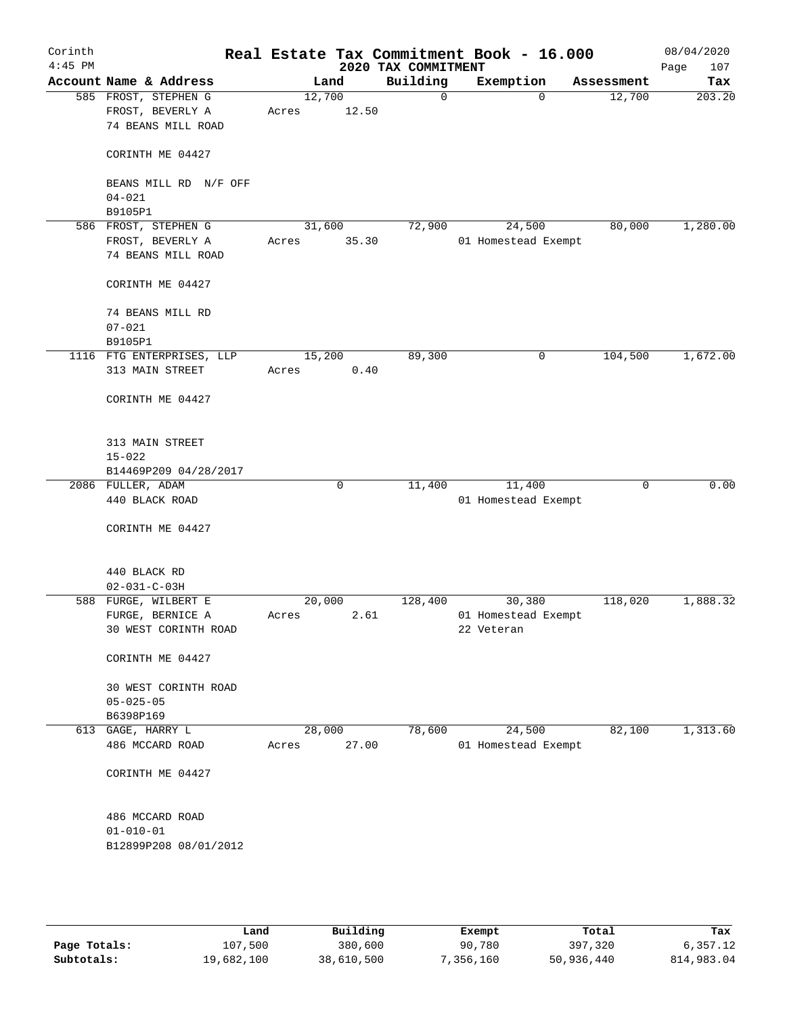| Corinth<br>$4:45$ PM |                                                                |                 |              | 2020 TAX COMMITMENT | Real Estate Tax Commitment Book - 16.000 |             | 08/04/2020<br>Page<br>107 |
|----------------------|----------------------------------------------------------------|-----------------|--------------|---------------------|------------------------------------------|-------------|---------------------------|
|                      | Account Name & Address                                         |                 | Land         | Building            | Exemption                                | Assessment  | Tax                       |
|                      | 585 FROST, STEPHEN G<br>FROST, BEVERLY A<br>74 BEANS MILL ROAD | 12,700<br>Acres | 12.50        | $\mathsf{O}$        | $\Omega$                                 | 12,700      | 203.20                    |
|                      | CORINTH ME 04427                                               |                 |              |                     |                                          |             |                           |
|                      | BEANS MILL RD N/F OFF<br>$04 - 021$                            |                 |              |                     |                                          |             |                           |
|                      | B9105P1                                                        |                 |              |                     |                                          |             |                           |
|                      | 586 FROST, STEPHEN G<br>FROST, BEVERLY A<br>74 BEANS MILL ROAD | 31,600<br>Acres | 35.30        | 72,900              | 24,500<br>01 Homestead Exempt            | 80,000      | 1,280.00                  |
|                      | CORINTH ME 04427                                               |                 |              |                     |                                          |             |                           |
|                      | 74 BEANS MILL RD<br>$07 - 021$<br>B9105P1                      |                 |              |                     |                                          |             |                           |
|                      | 1116 FTG ENTERPRISES, LLP                                      | 15,200          |              | 89,300              | 0                                        | 104,500     | 1,672.00                  |
|                      | 313 MAIN STREET                                                | Acres           | 0.40         |                     |                                          |             |                           |
|                      | CORINTH ME 04427                                               |                 |              |                     |                                          |             |                           |
|                      | 313 MAIN STREET<br>$15 - 022$                                  |                 |              |                     |                                          |             |                           |
|                      | B14469P209 04/28/2017                                          |                 |              |                     |                                          |             |                           |
|                      | 2086 FULLER, ADAM<br>440 BLACK ROAD                            |                 | $\mathsf{O}$ | 11,400              | 11,400<br>01 Homestead Exempt            | $\mathbf 0$ | 0.00                      |
|                      | CORINTH ME 04427                                               |                 |              |                     |                                          |             |                           |
|                      | 440 BLACK RD<br>$02 - 031 - C - 03H$                           |                 |              |                     |                                          |             |                           |
|                      | 588 FURGE, WILBERT E                                           | 20,000          |              | 128,400             | 30,380                                   | 118,020     | 1,888.32                  |
|                      | FURGE, BERNICE A<br>30 WEST CORINTH ROAD                       | Acres           | 2.61         |                     | 01 Homestead Exempt<br>22 Veteran        |             |                           |
|                      | CORINTH ME 04427                                               |                 |              |                     |                                          |             |                           |
|                      | 30 WEST CORINTH ROAD<br>$05 - 025 - 05$                        |                 |              |                     |                                          |             |                           |
|                      | B6398P169<br>613 GAGE, HARRY L                                 |                 | 28,000       | 78,600              | 24,500                                   | 82,100      | 1,313.60                  |
|                      | 486 MCCARD ROAD                                                | Acres           | 27.00        |                     | 01 Homestead Exempt                      |             |                           |
|                      | CORINTH ME 04427                                               |                 |              |                     |                                          |             |                           |
|                      | 486 MCCARD ROAD<br>$01 - 010 - 01$<br>B12899P208 08/01/2012    |                 |              |                     |                                          |             |                           |
|                      |                                                                |                 |              |                     |                                          |             |                           |

|              | Land       | Building   | Exempt    | Total      | Tax        |
|--------------|------------|------------|-----------|------------|------------|
| Page Totals: | 107,500    | 380,600    | 90,780    | 397,320    | 6.357.12   |
| Subtotals:   | 19,682,100 | 38,610,500 | 7,356,160 | 50,936,440 | 814,983.04 |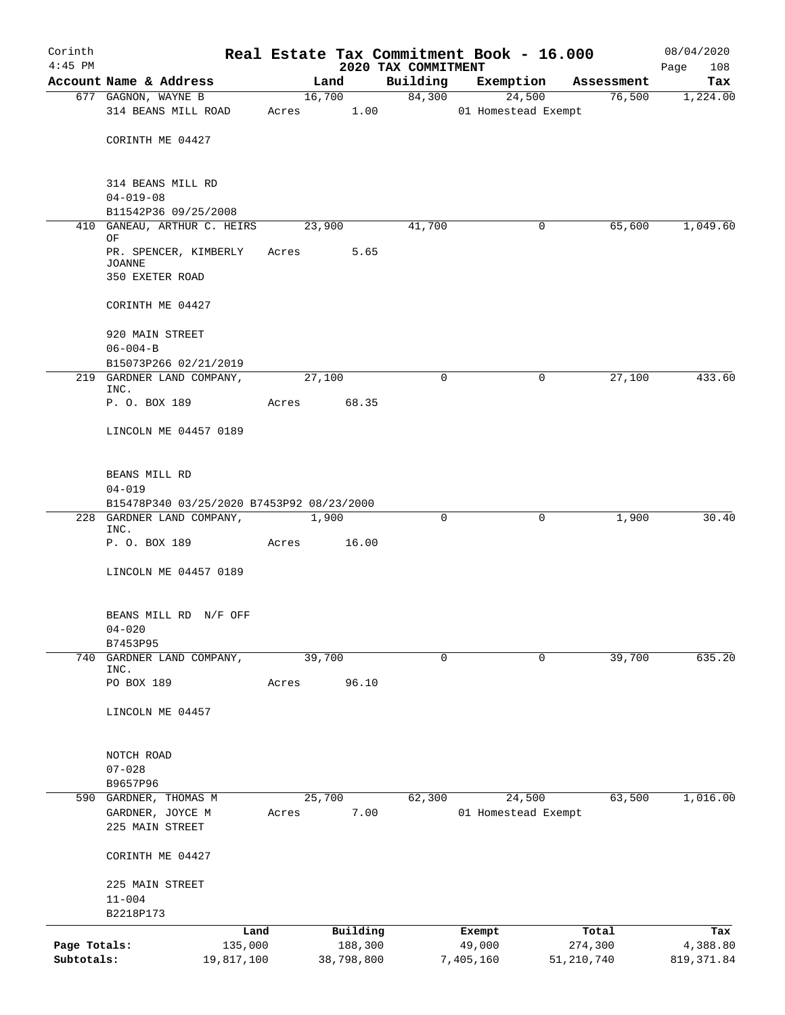| Corinth      |                                                    |       |                |                     | Real Estate Tax Commitment Book - 16.000 |                      | 08/04/2020      |
|--------------|----------------------------------------------------|-------|----------------|---------------------|------------------------------------------|----------------------|-----------------|
| $4:45$ PM    | Account Name & Address                             |       |                | 2020 TAX COMMITMENT |                                          |                      | Page<br>108     |
|              | 677 GAGNON, WAYNE B                                |       | Land<br>16,700 | Building<br>84,300  | Exemption<br>24,500                      | Assessment<br>76,500 | Tax<br>1,224.00 |
|              | 314 BEANS MILL ROAD                                |       | Acres 1.00     |                     | 01 Homestead Exempt                      |                      |                 |
|              | CORINTH ME 04427                                   |       |                |                     |                                          |                      |                 |
|              | 314 BEANS MILL RD<br>$04 - 019 - 08$               |       |                |                     |                                          |                      |                 |
|              | B11542P36 09/25/2008                               |       |                |                     |                                          |                      |                 |
|              | 410 GANEAU, ARTHUR C. HEIRS<br>ΟF                  |       | 23,900         | 41,700              | 0                                        | 65,600               | 1,049.60        |
|              | PR. SPENCER, KIMBERLY<br>JOANNE<br>350 EXETER ROAD |       | Acres          | 5.65                |                                          |                      |                 |
|              | CORINTH ME 04427                                   |       |                |                     |                                          |                      |                 |
|              | 920 MAIN STREET                                    |       |                |                     |                                          |                      |                 |
|              | $06 - 004 - B$<br>B15073P266 02/21/2019            |       |                |                     |                                          |                      |                 |
|              | 219 GARDNER LAND COMPANY,<br>INC.                  |       | 27,100         |                     | $\Omega$<br>0                            | 27,100               | 433.60          |
|              | P. O. BOX 189                                      | Acres | 68.35          |                     |                                          |                      |                 |
|              | LINCOLN ME 04457 0189                              |       |                |                     |                                          |                      |                 |
|              | BEANS MILL RD<br>$04 - 019$                        |       |                |                     |                                          |                      |                 |
|              | B15478P340 03/25/2020 B7453P92 08/23/2000          |       |                |                     |                                          |                      |                 |
|              | 228 GARDNER LAND COMPANY,<br>INC.<br>P. O. BOX 189 | Acres | 1,900<br>16.00 |                     | 0<br>0                                   | 1,900                | 30.40           |
|              | LINCOLN ME 04457 0189                              |       |                |                     |                                          |                      |                 |
|              |                                                    |       |                |                     |                                          |                      |                 |
|              | BEANS MILL RD N/F OFF<br>$04 - 020$                |       |                |                     |                                          |                      |                 |
|              | B7453P95                                           |       |                |                     |                                          |                      |                 |
| 740          | GARDNER LAND COMPANY,<br>INC.                      |       | 39,700         |                     | 0<br>0                                   | 39,700               | 635.20          |
|              | PO BOX 189                                         | Acres | 96.10          |                     |                                          |                      |                 |
|              | LINCOLN ME 04457                                   |       |                |                     |                                          |                      |                 |
|              | NOTCH ROAD                                         |       |                |                     |                                          |                      |                 |
|              | $07 - 028$                                         |       |                |                     |                                          |                      |                 |
|              | B9657P96<br>590 GARDNER, THOMAS M                  |       | 25,700         | 62,300              | 24,500                                   | 63,500               | 1,016.00        |
|              | GARDNER, JOYCE M                                   | Acres |                | 7.00                | 01 Homestead Exempt                      |                      |                 |
|              | 225 MAIN STREET                                    |       |                |                     |                                          |                      |                 |
|              | CORINTH ME 04427                                   |       |                |                     |                                          |                      |                 |
|              | 225 MAIN STREET                                    |       |                |                     |                                          |                      |                 |
|              | $11 - 004$<br>B2218P173                            |       |                |                     |                                          |                      |                 |
|              |                                                    | Land  | Building       |                     | Exempt                                   | Total                | Tax             |
| Page Totals: | 135,000                                            |       | 188,300        |                     | 49,000                                   | 274,300              | 4,388.80        |
| Subtotals:   | 19,817,100                                         |       | 38,798,800     |                     | 7,405,160                                | 51, 210, 740         | 819, 371.84     |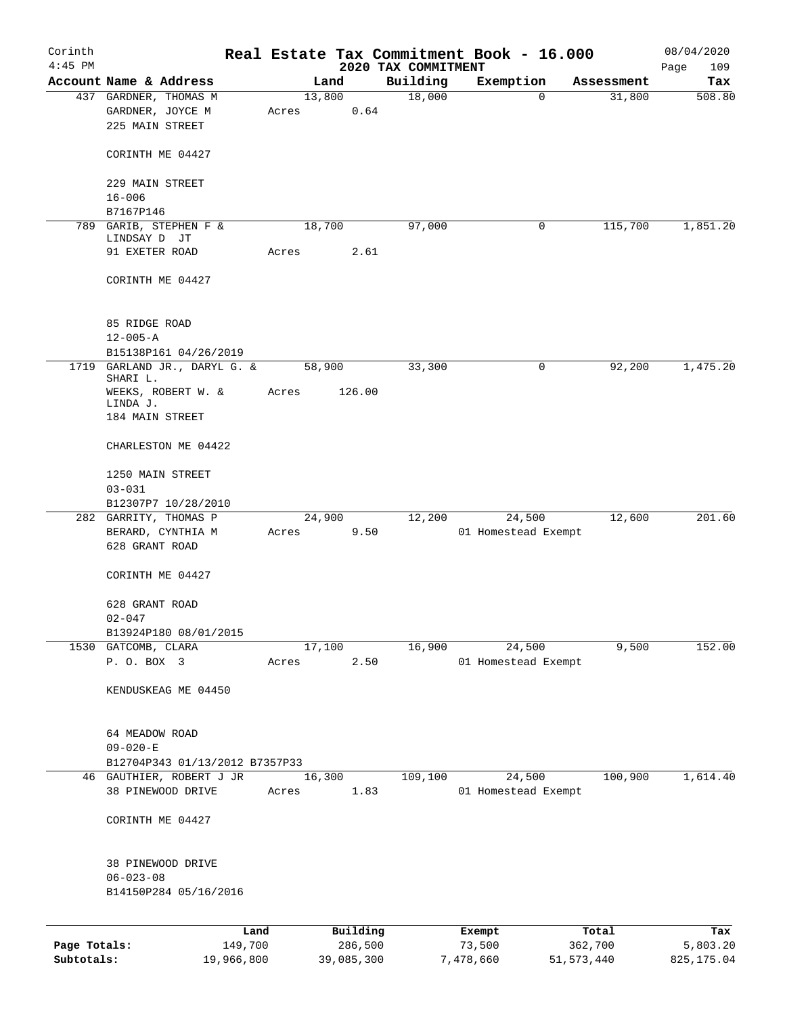| Corinth      |                                               |                 |            |                     | Real Estate Tax Commitment Book - 16.000 |                      | 08/04/2020    |
|--------------|-----------------------------------------------|-----------------|------------|---------------------|------------------------------------------|----------------------|---------------|
| $4:45$ PM    | Account Name & Address                        |                 |            | 2020 TAX COMMITMENT |                                          |                      | 109<br>Page   |
|              | 437 GARDNER, THOMAS M                         | 13,800          | Land       | Building<br>18,000  | Exemption<br>$\Omega$                    | Assessment<br>31,800 | Tax<br>508.80 |
|              | GARDNER, JOYCE M<br>225 MAIN STREET           | Acres           | 0.64       |                     |                                          |                      |               |
|              | CORINTH ME 04427                              |                 |            |                     |                                          |                      |               |
|              | 229 MAIN STREET                               |                 |            |                     |                                          |                      |               |
|              | $16 - 006$<br>B7167P146                       |                 |            |                     |                                          |                      |               |
|              | 789 GARIB, STEPHEN F &                        | 18,700          |            | 97,000              | 0                                        | 115,700              | 1,851.20      |
|              | LINDSAY D JT                                  |                 |            |                     |                                          |                      |               |
|              | 91 EXETER ROAD                                | Acres           | 2.61       |                     |                                          |                      |               |
|              | CORINTH ME 04427                              |                 |            |                     |                                          |                      |               |
|              | 85 RIDGE ROAD                                 |                 |            |                     |                                          |                      |               |
|              | $12 - 005 - A$                                |                 |            |                     |                                          |                      |               |
|              | B15138P161 04/26/2019                         |                 |            |                     |                                          |                      |               |
|              | 1719 GARLAND JR., DARYL G. &<br>SHARI L.      | 58,900          |            | 33,300              | 0                                        | 92,200               | 1,475.20      |
|              | WEEKS, ROBERT W. &<br>LINDA J.                | Acres           | 126.00     |                     |                                          |                      |               |
|              | 184 MAIN STREET                               |                 |            |                     |                                          |                      |               |
|              | CHARLESTON ME 04422                           |                 |            |                     |                                          |                      |               |
|              | 1250 MAIN STREET                              |                 |            |                     |                                          |                      |               |
|              | $03 - 031$<br>B12307P7 10/28/2010             |                 |            |                     |                                          |                      |               |
|              | 282 GARRITY, THOMAS P                         |                 | 24,900     | 12,200              | 24,500                                   | 12,600               | 201.60        |
|              | BERARD, CYNTHIA M                             | Acres           | 9.50       |                     | 01 Homestead Exempt                      |                      |               |
|              | 628 GRANT ROAD                                |                 |            |                     |                                          |                      |               |
|              | CORINTH ME 04427                              |                 |            |                     |                                          |                      |               |
|              | 628 GRANT ROAD                                |                 |            |                     |                                          |                      |               |
|              | $02 - 047$                                    |                 |            |                     |                                          |                      |               |
|              | B13924P180 08/01/2015                         |                 |            |                     |                                          |                      |               |
|              | 1530 GATCOMB, CLARA<br>P. O. BOX 3            |                 | 17,100     | 16,900              | 24,500                                   | 9,500                | 152.00        |
|              |                                               | Acres           | 2.50       |                     | 01 Homestead Exempt                      |                      |               |
|              | KENDUSKEAG ME 04450                           |                 |            |                     |                                          |                      |               |
|              | 64 MEADOW ROAD                                |                 |            |                     |                                          |                      |               |
|              | $09 - 020 - E$                                |                 |            |                     |                                          |                      |               |
|              | B12704P343 01/13/2012 B7357P33                |                 |            |                     |                                          |                      |               |
|              | 46 GAUTHIER, ROBERT J JR<br>38 PINEWOOD DRIVE | 16,300<br>Acres | 1.83       | 109,100             | 24,500<br>01 Homestead Exempt            | 100,900              | 1,614.40      |
|              | CORINTH ME 04427                              |                 |            |                     |                                          |                      |               |
|              |                                               |                 |            |                     |                                          |                      |               |
|              | 38 PINEWOOD DRIVE                             |                 |            |                     |                                          |                      |               |
|              | $06 - 023 - 08$                               |                 |            |                     |                                          |                      |               |
|              | B14150P284 05/16/2016                         |                 |            |                     |                                          |                      |               |
|              | Land                                          |                 | Building   |                     | Exempt                                   | Total                | Tax           |
| Page Totals: | 149,700                                       |                 | 286,500    |                     | 73,500                                   | 362,700              | 5,803.20      |
| Subtotals:   | 19,966,800                                    |                 | 39,085,300 |                     | 7,478,660                                | 51, 573, 440         | 825, 175.04   |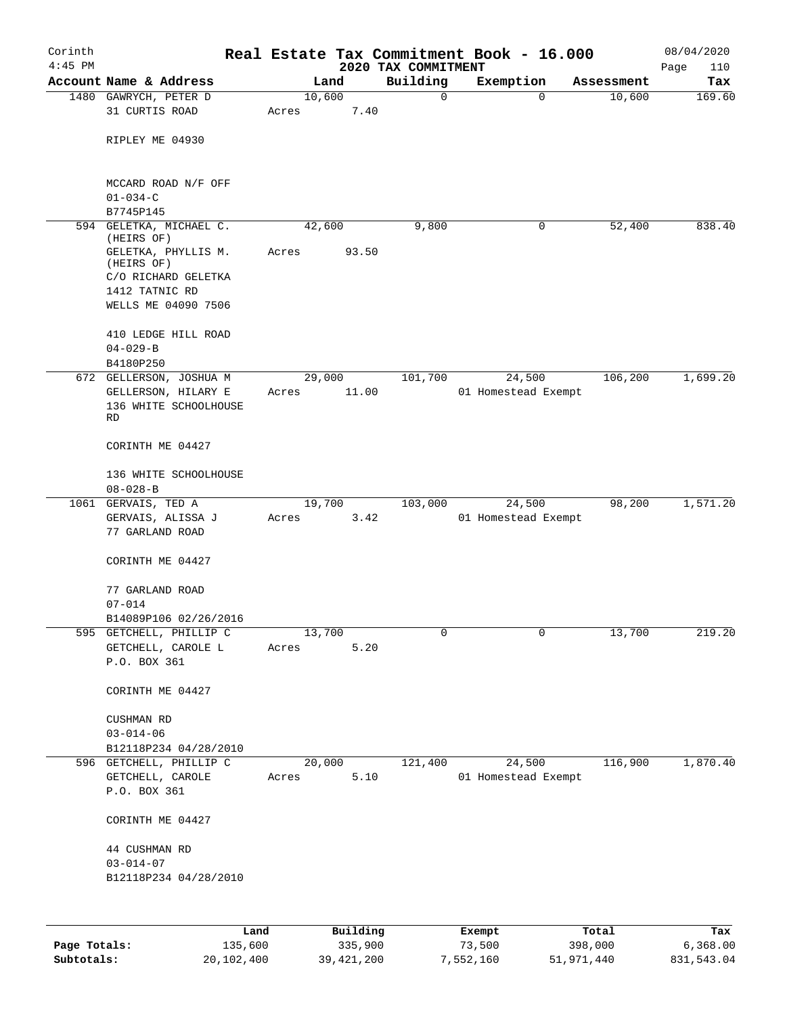| Corinth<br>$4:45$ PM |                                         |       |          | 2020 TAX COMMITMENT | Real Estate Tax Commitment Book - 16.000 |            | 08/04/2020<br>Page<br>110 |
|----------------------|-----------------------------------------|-------|----------|---------------------|------------------------------------------|------------|---------------------------|
|                      | Account Name & Address                  |       | Land     | Building            | Exemption                                | Assessment | Tax                       |
|                      | 1480 GAWRYCH, PETER D                   |       | 10,600   | 0                   | 0                                        | 10,600     | 169.60                    |
|                      | 31 CURTIS ROAD                          | Acres | 7.40     |                     |                                          |            |                           |
|                      | RIPLEY ME 04930                         |       |          |                     |                                          |            |                           |
|                      | MCCARD ROAD N/F OFF<br>$01 - 034 - C$   |       |          |                     |                                          |            |                           |
|                      | B7745P145                               |       |          |                     |                                          |            |                           |
|                      | 594 GELETKA, MICHAEL C.                 |       | 42,600   | 9,800               | 0                                        | 52,400     | 838.40                    |
|                      | (HEIRS OF)                              |       |          |                     |                                          |            |                           |
|                      | GELETKA, PHYLLIS M.<br>(HEIRS OF)       | Acres | 93.50    |                     |                                          |            |                           |
|                      | C/O RICHARD GELETKA                     |       |          |                     |                                          |            |                           |
|                      | 1412 TATNIC RD                          |       |          |                     |                                          |            |                           |
|                      | WELLS ME 04090 7506                     |       |          |                     |                                          |            |                           |
|                      | 410 LEDGE HILL ROAD<br>$04 - 029 - B$   |       |          |                     |                                          |            |                           |
|                      | B4180P250                               |       |          |                     |                                          |            |                           |
|                      | 672 GELLERSON, JOSHUA M                 |       | 29,000   | 101,700             | 24,500                                   | 106,200    | 1,699.20                  |
|                      | GELLERSON, HILARY E                     | Acres | 11.00    |                     | 01 Homestead Exempt                      |            |                           |
|                      | 136 WHITE SCHOOLHOUSE<br>RD             |       |          |                     |                                          |            |                           |
|                      | CORINTH ME 04427                        |       |          |                     |                                          |            |                           |
|                      |                                         |       |          |                     |                                          |            |                           |
|                      | 136 WHITE SCHOOLHOUSE<br>$08 - 028 - B$ |       |          |                     |                                          |            |                           |
| 1061                 | GERVAIS, TED A                          |       | 19,700   | 103,000             | 24,500                                   | 98,200     | 1,571.20                  |
|                      | GERVAIS, ALISSA J                       | Acres | 3.42     |                     | 01 Homestead Exempt                      |            |                           |
|                      | 77 GARLAND ROAD                         |       |          |                     |                                          |            |                           |
|                      | CORINTH ME 04427                        |       |          |                     |                                          |            |                           |
|                      | 77 GARLAND ROAD                         |       |          |                     |                                          |            |                           |
|                      | $07 - 014$                              |       |          |                     |                                          |            |                           |
|                      | B14089P106 02/26/2016                   |       |          |                     |                                          |            |                           |
|                      | 595 GETCHELL, PHILLIP C                 |       | 13,700   | 0                   | $\mathbf 0$                              | 13,700     | 219.20                    |
|                      | GETCHELL, CAROLE L                      | Acres | 5.20     |                     |                                          |            |                           |
|                      | P.O. BOX 361                            |       |          |                     |                                          |            |                           |
|                      | CORINTH ME 04427                        |       |          |                     |                                          |            |                           |
|                      | CUSHMAN RD                              |       |          |                     |                                          |            |                           |
|                      | $03 - 014 - 06$                         |       |          |                     |                                          |            |                           |
|                      | B12118P234 04/28/2010                   |       |          |                     |                                          |            |                           |
|                      | 596 GETCHELL, PHILLIP C                 |       | 20,000   | 121,400             | 24,500                                   | 116,900    | 1,870.40                  |
|                      | GETCHELL, CAROLE<br>P.O. BOX 361        | Acres | 5.10     |                     | 01 Homestead Exempt                      |            |                           |
|                      | CORINTH ME 04427                        |       |          |                     |                                          |            |                           |
|                      |                                         |       |          |                     |                                          |            |                           |
|                      | 44 CUSHMAN RD<br>$03 - 014 - 07$        |       |          |                     |                                          |            |                           |
|                      | B12118P234 04/28/2010                   |       |          |                     |                                          |            |                           |
|                      |                                         |       |          |                     |                                          |            |                           |
|                      |                                         | Land  | Building |                     | Exempt                                   | Total      | Tax                       |
|                      |                                         |       |          |                     |                                          |            |                           |

|              | ------     | ---------    | --------  | -----      | ----       |
|--------------|------------|--------------|-----------|------------|------------|
| Page Totals: | 135,600    | 335,900      | 73,500    | 398,000    | 6,368.00   |
| Subtotals:   | 20,102,400 | 39, 421, 200 | 7,552,160 | 51,971,440 | 831,543.04 |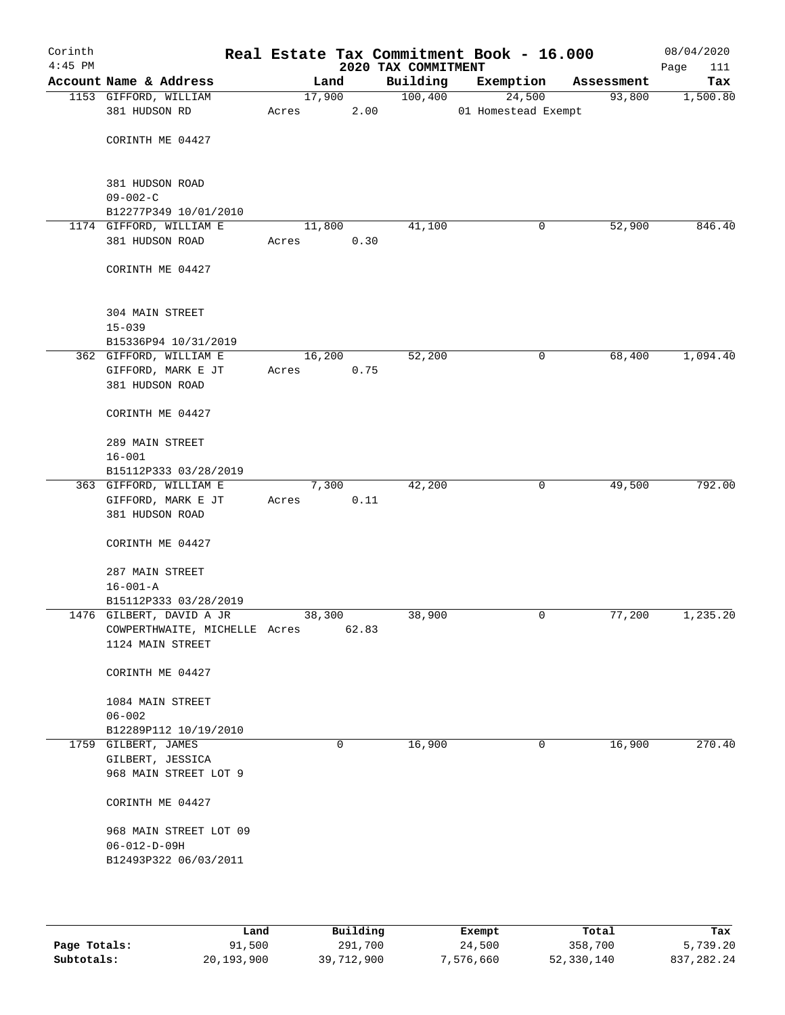| Corinth<br>$4:45$ PM |                               |       |             |       | 2020 TAX COMMITMENT | Real Estate Tax Commitment Book - 16.000 |                       | 08/04/2020<br>Page<br>111 |
|----------------------|-------------------------------|-------|-------------|-------|---------------------|------------------------------------------|-----------------------|---------------------------|
|                      | Account Name & Address        |       | Land        |       | Building            | Exemption                                | Assessment            | Tax                       |
|                      | 1153 GIFFORD, WILLIAM         |       | 17,900      |       | 100,400             | 24,500                                   | 93,800                | 1,500.80                  |
|                      | 381 HUDSON RD                 | Acres |             | 2.00  |                     | 01 Homestead Exempt                      |                       |                           |
|                      |                               |       |             |       |                     |                                          |                       |                           |
|                      | CORINTH ME 04427              |       |             |       |                     |                                          |                       |                           |
|                      |                               |       |             |       |                     |                                          |                       |                           |
|                      | 381 HUDSON ROAD               |       |             |       |                     |                                          |                       |                           |
|                      | $09 - 002 - C$                |       |             |       |                     |                                          |                       |                           |
|                      | B12277P349 10/01/2010         |       |             |       |                     |                                          |                       |                           |
|                      | 1174 GIFFORD, WILLIAM E       |       | 11,800      |       | 41,100              |                                          | 52,900<br>0           | 846.40                    |
|                      | 381 HUDSON ROAD               | Acres |             | 0.30  |                     |                                          |                       |                           |
|                      |                               |       |             |       |                     |                                          |                       |                           |
|                      | CORINTH ME 04427              |       |             |       |                     |                                          |                       |                           |
|                      |                               |       |             |       |                     |                                          |                       |                           |
|                      | 304 MAIN STREET               |       |             |       |                     |                                          |                       |                           |
|                      | $15 - 039$                    |       |             |       |                     |                                          |                       |                           |
|                      | B15336P94 10/31/2019          |       |             |       |                     |                                          |                       |                           |
|                      | 362 GIFFORD, WILLIAM E        |       | 16,200      |       | 52,200              |                                          | 68,400<br>0           | 1,094.40                  |
|                      | GIFFORD, MARK E JT            | Acres |             | 0.75  |                     |                                          |                       |                           |
|                      | 381 HUDSON ROAD               |       |             |       |                     |                                          |                       |                           |
|                      |                               |       |             |       |                     |                                          |                       |                           |
|                      | CORINTH ME 04427              |       |             |       |                     |                                          |                       |                           |
|                      | 289 MAIN STREET               |       |             |       |                     |                                          |                       |                           |
|                      | $16 - 001$                    |       |             |       |                     |                                          |                       |                           |
|                      | B15112P333 03/28/2019         |       |             |       |                     |                                          |                       |                           |
|                      | 363 GIFFORD, WILLIAM E        |       | 7,300       |       | 42,200              |                                          | 0<br>49,500           | 792.00                    |
|                      | GIFFORD, MARK E JT            | Acres |             | 0.11  |                     |                                          |                       |                           |
|                      | 381 HUDSON ROAD               |       |             |       |                     |                                          |                       |                           |
|                      |                               |       |             |       |                     |                                          |                       |                           |
|                      | CORINTH ME 04427              |       |             |       |                     |                                          |                       |                           |
|                      | 287 MAIN STREET               |       |             |       |                     |                                          |                       |                           |
|                      | $16 - 001 - A$                |       |             |       |                     |                                          |                       |                           |
|                      | B15112P333 03/28/2019         |       |             |       |                     |                                          |                       |                           |
|                      | 1476 GILBERT, DAVID A JR      |       | 38,300      |       | 38,900              |                                          | 77,200<br>0           | 1,235.20                  |
|                      | COWPERTHWAITE, MICHELLE Acres |       |             | 62.83 |                     |                                          |                       |                           |
|                      | 1124 MAIN STREET              |       |             |       |                     |                                          |                       |                           |
|                      |                               |       |             |       |                     |                                          |                       |                           |
|                      | CORINTH ME 04427              |       |             |       |                     |                                          |                       |                           |
|                      | 1084 MAIN STREET              |       |             |       |                     |                                          |                       |                           |
|                      | $06 - 002$                    |       |             |       |                     |                                          |                       |                           |
|                      | B12289P112 10/19/2010         |       |             |       |                     |                                          |                       |                           |
|                      | 1759 GILBERT, JAMES           |       | $\mathbf 0$ |       | 16,900              |                                          | 16,900<br>$\mathbf 0$ | 270.40                    |
|                      | GILBERT, JESSICA              |       |             |       |                     |                                          |                       |                           |
|                      | 968 MAIN STREET LOT 9         |       |             |       |                     |                                          |                       |                           |
|                      |                               |       |             |       |                     |                                          |                       |                           |
|                      | CORINTH ME 04427              |       |             |       |                     |                                          |                       |                           |
|                      | 968 MAIN STREET LOT 09        |       |             |       |                     |                                          |                       |                           |
|                      | $06 - 012 - D - 09H$          |       |             |       |                     |                                          |                       |                           |
|                      | B12493P322 06/03/2011         |       |             |       |                     |                                          |                       |                           |
|                      |                               |       |             |       |                     |                                          |                       |                           |
|                      |                               |       |             |       |                     |                                          |                       |                           |
|                      |                               |       |             |       |                     |                                          |                       |                           |

|              | Land       | Building   | Exempt    | Total      | Tax          |
|--------------|------------|------------|-----------|------------|--------------|
| Page Totals: | 91,500     | 291,700    | 24,500    | 358,700    | 5,739.20     |
| Subtotals:   | 20,193,900 | 39,712,900 | 7,576,660 | 52,330,140 | 837, 282, 24 |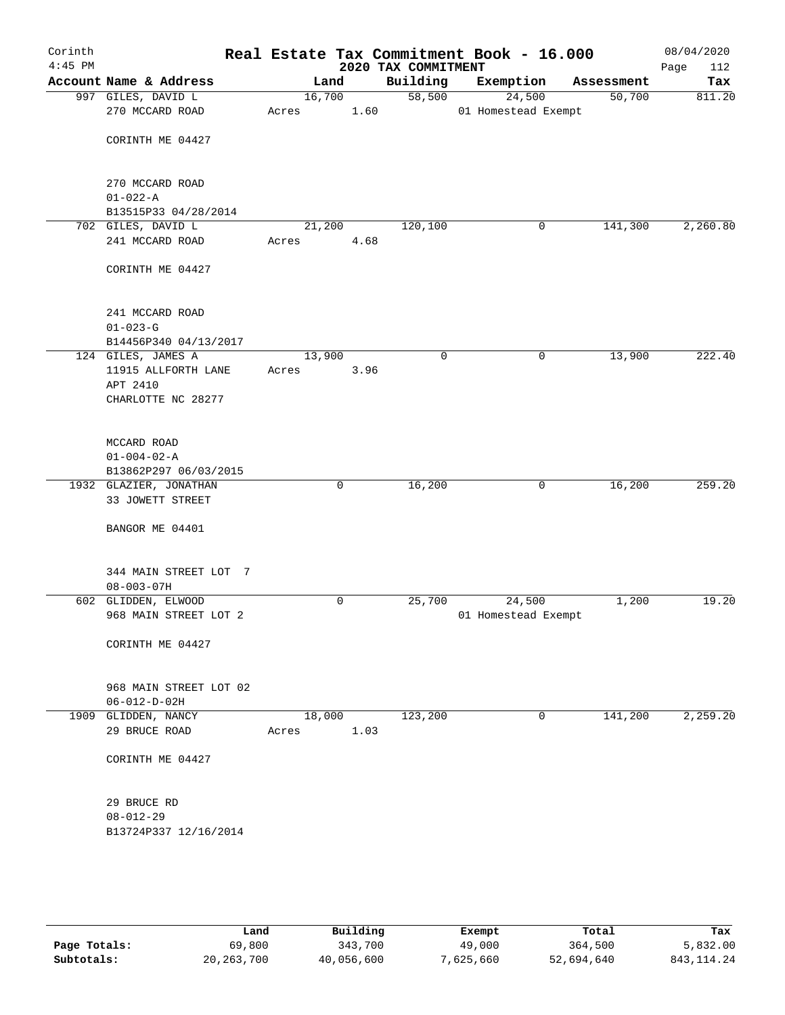| Corinth<br>$4:45$ PM |                        |       |             | 2020 TAX COMMITMENT | Real Estate Tax Commitment Book - 16.000 |            | 08/04/2020<br>Page<br>112 |
|----------------------|------------------------|-------|-------------|---------------------|------------------------------------------|------------|---------------------------|
|                      | Account Name & Address |       | Land        | Building            | Exemption                                | Assessment | Tax                       |
|                      | 997 GILES, DAVID L     |       | 16,700      | 58,500              | 24,500                                   | 50,700     | 811.20                    |
|                      | 270 MCCARD ROAD        | Acres | 1.60        |                     | 01 Homestead Exempt                      |            |                           |
|                      |                        |       |             |                     |                                          |            |                           |
|                      | CORINTH ME 04427       |       |             |                     |                                          |            |                           |
|                      |                        |       |             |                     |                                          |            |                           |
|                      |                        |       |             |                     |                                          |            |                           |
|                      | 270 MCCARD ROAD        |       |             |                     |                                          |            |                           |
|                      | $01 - 022 - A$         |       |             |                     |                                          |            |                           |
|                      | B13515P33 04/28/2014   |       |             |                     |                                          |            |                           |
|                      | 702 GILES, DAVID L     |       | 21,200      | 120,100             | 0                                        | 141,300    | 2,260.80                  |
|                      | 241 MCCARD ROAD        | Acres | 4.68        |                     |                                          |            |                           |
|                      |                        |       |             |                     |                                          |            |                           |
|                      | CORINTH ME 04427       |       |             |                     |                                          |            |                           |
|                      |                        |       |             |                     |                                          |            |                           |
|                      | 241 MCCARD ROAD        |       |             |                     |                                          |            |                           |
|                      | $01 - 023 - G$         |       |             |                     |                                          |            |                           |
|                      | B14456P340 04/13/2017  |       |             |                     |                                          |            |                           |
|                      | 124 GILES, JAMES A     |       | 13,900      | $\mathbf 0$         | 0                                        | 13,900     | 222.40                    |
|                      | 11915 ALLFORTH LANE    | Acres | 3.96        |                     |                                          |            |                           |
|                      | APT 2410               |       |             |                     |                                          |            |                           |
|                      | CHARLOTTE NC 28277     |       |             |                     |                                          |            |                           |
|                      |                        |       |             |                     |                                          |            |                           |
|                      |                        |       |             |                     |                                          |            |                           |
|                      | MCCARD ROAD            |       |             |                     |                                          |            |                           |
|                      | $01 - 004 - 02 - A$    |       |             |                     |                                          |            |                           |
|                      | B13862P297 06/03/2015  |       |             |                     |                                          |            |                           |
|                      | 1932 GLAZIER, JONATHAN |       | $\mathbf 0$ | 16,200              | 0                                        | 16,200     | 259.20                    |
|                      | 33 JOWETT STREET       |       |             |                     |                                          |            |                           |
|                      |                        |       |             |                     |                                          |            |                           |
|                      | BANGOR ME 04401        |       |             |                     |                                          |            |                           |
|                      |                        |       |             |                     |                                          |            |                           |
|                      |                        |       |             |                     |                                          |            |                           |
|                      | 344 MAIN STREET LOT 7  |       |             |                     |                                          |            |                           |
|                      | $08 - 003 - 07H$       |       |             |                     |                                          |            |                           |
|                      | 602 GLIDDEN, ELWOOD    |       | $\mathbf 0$ | 25,700              | 24,500                                   | 1,200      | 19.20                     |
|                      | 968 MAIN STREET LOT 2  |       |             |                     | 01 Homestead Exempt                      |            |                           |
|                      |                        |       |             |                     |                                          |            |                           |
|                      | CORINTH ME 04427       |       |             |                     |                                          |            |                           |
|                      |                        |       |             |                     |                                          |            |                           |
|                      |                        |       |             |                     |                                          |            |                           |
|                      | 968 MAIN STREET LOT 02 |       |             |                     |                                          |            |                           |
|                      | $06 - 012 - D - 02H$   |       |             |                     |                                          |            |                           |
|                      | 1909 GLIDDEN, NANCY    |       | 18,000      | 123,200             | 0                                        | 141,200    | 2,259.20                  |
|                      | 29 BRUCE ROAD          | Acres | 1.03        |                     |                                          |            |                           |
|                      |                        |       |             |                     |                                          |            |                           |
|                      | CORINTH ME 04427       |       |             |                     |                                          |            |                           |
|                      |                        |       |             |                     |                                          |            |                           |
|                      | 29 BRUCE RD            |       |             |                     |                                          |            |                           |
|                      | $08 - 012 - 29$        |       |             |                     |                                          |            |                           |
|                      | B13724P337 12/16/2014  |       |             |                     |                                          |            |                           |
|                      |                        |       |             |                     |                                          |            |                           |
|                      |                        |       |             |                     |                                          |            |                           |
|                      |                        |       |             |                     |                                          |            |                           |
|                      |                        |       |             |                     |                                          |            |                           |

|              | Land         | Building   | Exempt    | Total      | Tax          |
|--------------|--------------|------------|-----------|------------|--------------|
| Page Totals: | 69,800       | 343,700    | 49,000    | 364,500    | 5,832.00     |
| Subtotals:   | 20, 263, 700 | 40,056,600 | 7,625,660 | 52,694,640 | 843, 114. 24 |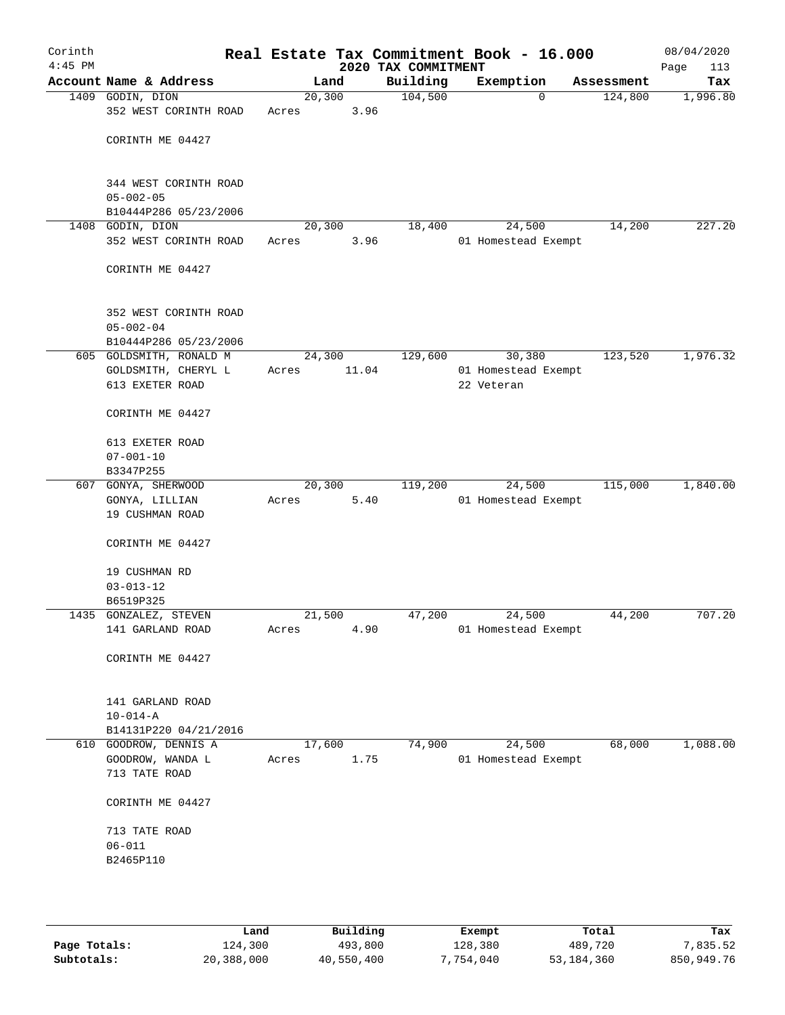| Corinth<br>$4:45$ PM |                                          |         |        | Real Estate Tax Commitment Book - 16.000<br>2020 TAX COMMITMENT |                     |             |            | 08/04/2020<br>Page<br>113 |
|----------------------|------------------------------------------|---------|--------|-----------------------------------------------------------------|---------------------|-------------|------------|---------------------------|
|                      | Account Name & Address                   |         | Land   | Building                                                        | Exemption           |             | Assessment | Tax                       |
|                      | 1409 GODIN, DION                         | 20, 300 |        | 104,500                                                         |                     | $\mathbf 0$ | 124,800    | 1,996.80                  |
|                      | 352 WEST CORINTH ROAD                    | Acres   | 3.96   |                                                                 |                     |             |            |                           |
|                      | CORINTH ME 04427                         |         |        |                                                                 |                     |             |            |                           |
|                      |                                          |         |        |                                                                 |                     |             |            |                           |
|                      | 344 WEST CORINTH ROAD<br>$05 - 002 - 05$ |         |        |                                                                 |                     |             |            |                           |
|                      | B10444P286 05/23/2006                    |         |        |                                                                 |                     |             |            |                           |
|                      | 1408 GODIN, DION                         | 20,300  |        | 18,400                                                          |                     | 24,500      | 14,200     | 227.20                    |
|                      | 352 WEST CORINTH ROAD                    | Acres   | 3.96   |                                                                 | 01 Homestead Exempt |             |            |                           |
|                      | CORINTH ME 04427                         |         |        |                                                                 |                     |             |            |                           |
|                      | 352 WEST CORINTH ROAD                    |         |        |                                                                 |                     |             |            |                           |
|                      | $05 - 002 - 04$                          |         |        |                                                                 |                     |             |            |                           |
|                      | B10444P286 05/23/2006                    |         |        |                                                                 |                     |             |            |                           |
|                      | 605 GOLDSMITH, RONALD M                  |         | 24,300 | 129,600                                                         |                     | 30,380      | 123,520    | 1,976.32                  |
|                      | GOLDSMITH, CHERYL L                      | Acres   | 11.04  |                                                                 | 01 Homestead Exempt |             |            |                           |
|                      | 613 EXETER ROAD                          |         |        |                                                                 | 22 Veteran          |             |            |                           |
|                      | CORINTH ME 04427                         |         |        |                                                                 |                     |             |            |                           |
|                      | 613 EXETER ROAD                          |         |        |                                                                 |                     |             |            |                           |
|                      | $07 - 001 - 10$                          |         |        |                                                                 |                     |             |            |                           |
|                      | B3347P255                                |         |        |                                                                 |                     |             |            |                           |
|                      | 607 GONYA, SHERWOOD                      |         | 20,300 | 119,200                                                         |                     | 24,500      | 115,000    | 1,840.00                  |
|                      | GONYA, LILLIAN                           | Acres   | 5.40   |                                                                 | 01 Homestead Exempt |             |            |                           |
|                      | 19 CUSHMAN ROAD                          |         |        |                                                                 |                     |             |            |                           |
|                      | CORINTH ME 04427                         |         |        |                                                                 |                     |             |            |                           |
|                      | 19 CUSHMAN RD                            |         |        |                                                                 |                     |             |            |                           |
|                      | $03 - 013 - 12$                          |         |        |                                                                 |                     |             |            |                           |
|                      | B6519P325                                |         |        |                                                                 |                     |             |            |                           |
|                      | 1435 GONZALEZ, STEVEN                    | 21,500  |        | 47,200                                                          |                     | 24,500      | 44,200     | 707.20                    |
|                      | 141 GARLAND ROAD                         | Acres   | 4.90   |                                                                 | 01 Homestead Exempt |             |            |                           |
|                      | CORINTH ME 04427                         |         |        |                                                                 |                     |             |            |                           |
|                      | 141 GARLAND ROAD                         |         |        |                                                                 |                     |             |            |                           |
|                      | $10 - 014 - A$                           |         |        |                                                                 |                     |             |            |                           |
|                      | B14131P220 04/21/2016                    |         |        |                                                                 |                     |             |            |                           |
| 610                  | GOODROW, DENNIS A                        | 17,600  |        | 74,900                                                          |                     | 24,500      | 68,000     | 1,088.00                  |
|                      | GOODROW, WANDA L                         | Acres   | 1.75   |                                                                 | 01 Homestead Exempt |             |            |                           |
|                      | 713 TATE ROAD                            |         |        |                                                                 |                     |             |            |                           |
|                      | CORINTH ME 04427                         |         |        |                                                                 |                     |             |            |                           |
|                      | 713 TATE ROAD                            |         |        |                                                                 |                     |             |            |                           |
|                      | $06 - 011$                               |         |        |                                                                 |                     |             |            |                           |
|                      | B2465P110                                |         |        |                                                                 |                     |             |            |                           |
|                      |                                          |         |        |                                                                 |                     |             |            |                           |
|                      |                                          |         |        |                                                                 |                     |             |            |                           |

|              | Land       | Building   | Exempt    | Total      | Tax        |
|--------------|------------|------------|-----------|------------|------------|
| Page Totals: | 124,300    | 493,800    | 128,380   | 489,720    | 7.835.52   |
| Subtotals:   | 20,388,000 | 40,550,400 | 7,754,040 | 53,184,360 | 850,949.76 |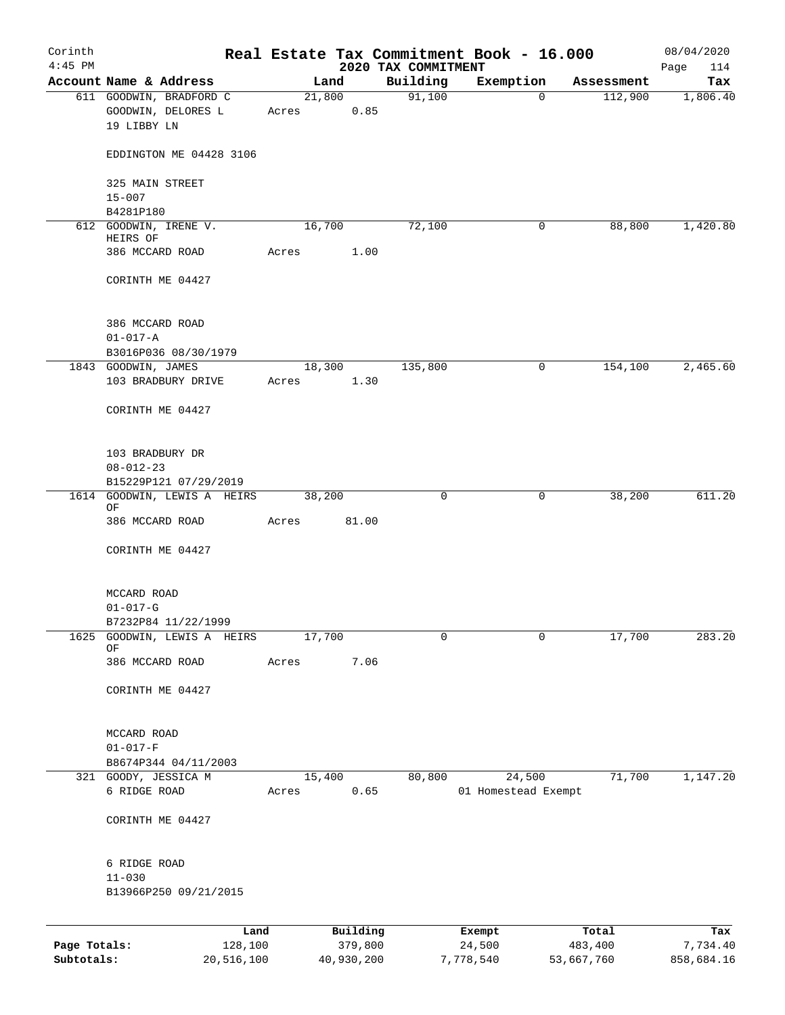| Corinth<br>$4:45$ PM |                                                              |       |                | 2020 TAX COMMITMENT | Real Estate Tax Commitment Book - 16.000 |            | 08/04/2020<br>Page<br>114 |
|----------------------|--------------------------------------------------------------|-------|----------------|---------------------|------------------------------------------|------------|---------------------------|
|                      | Account Name & Address                                       |       | Land           | Building            | Exemption                                | Assessment | Tax                       |
|                      | 611 GOODWIN, BRADFORD C<br>GOODWIN, DELORES L<br>19 LIBBY LN | Acres | 21,800<br>0.85 | 91,100              | $\mathbf 0$                              | 112,900    | 1,806.40                  |
|                      | EDDINGTON ME 04428 3106                                      |       |                |                     |                                          |            |                           |
|                      | 325 MAIN STREET<br>$15 - 007$                                |       |                |                     |                                          |            |                           |
|                      | B4281P180                                                    |       |                |                     |                                          |            |                           |
|                      | 612 GOODWIN, IRENE V.<br>HEIRS OF                            |       | 16,700         | 72,100              | 0                                        | 88,800     | 1,420.80                  |
|                      | 386 MCCARD ROAD                                              | Acres | 1.00           |                     |                                          |            |                           |
|                      | CORINTH ME 04427                                             |       |                |                     |                                          |            |                           |
|                      | 386 MCCARD ROAD<br>$01 - 017 - A$                            |       |                |                     |                                          |            |                           |
|                      | B3016P036 08/30/1979<br>1843 GOODWIN, JAMES                  |       | 18,300         | 135,800             | $\mathsf{O}$                             | 154,100    | 2,465.60                  |
|                      | 103 BRADBURY DRIVE                                           | Acres | 1.30           |                     |                                          |            |                           |
|                      | CORINTH ME 04427                                             |       |                |                     |                                          |            |                           |
|                      | 103 BRADBURY DR<br>$08 - 012 - 23$                           |       |                |                     |                                          |            |                           |
|                      | B15229P121 07/29/2019                                        |       |                |                     |                                          |            |                           |
| 1614                 | GOODWIN, LEWIS A HEIRS<br>ΟF                                 |       | 38,200         | 0                   | 0                                        | 38,200     | 611.20                    |
|                      | 386 MCCARD ROAD                                              | Acres | 81.00          |                     |                                          |            |                           |
|                      | CORINTH ME 04427                                             |       |                |                     |                                          |            |                           |
|                      | MCCARD ROAD                                                  |       |                |                     |                                          |            |                           |
|                      | $01 - 017 - G$                                               |       |                |                     |                                          |            |                           |
| 1625                 | B7232P84 11/22/1999<br>GOODWIN, LEWIS A HEIRS                |       | 17,700         | 0                   | $\mathbf 0$                              | 17,700     | 283.20                    |
|                      | OF<br>386 MCCARD ROAD                                        | Acres | 7.06           |                     |                                          |            |                           |
|                      | CORINTH ME 04427                                             |       |                |                     |                                          |            |                           |
|                      | MCCARD ROAD<br>$01 - 017 - F$                                |       |                |                     |                                          |            |                           |
|                      | B8674P344 04/11/2003                                         |       |                |                     |                                          |            |                           |
|                      | 321 GOODY, JESSICA M                                         |       | 15,400         | 80,800              | 24,500                                   | 71,700     | 1,147.20                  |
|                      | 6 RIDGE ROAD                                                 | Acres | 0.65           |                     | 01 Homestead Exempt                      |            |                           |
|                      | CORINTH ME 04427                                             |       |                |                     |                                          |            |                           |
|                      | 6 RIDGE ROAD<br>$11 - 030$                                   |       |                |                     |                                          |            |                           |
|                      | B13966P250 09/21/2015                                        |       |                |                     |                                          |            |                           |
|                      | Land                                                         |       | Building       |                     | Exempt                                   | Total      | Tax                       |
| Page Totals:         | 128,100                                                      |       | 379,800        |                     | 24,500                                   | 483,400    | 7,734.40                  |

**Subtotals:** 20,516,100 40,930,200 7,778,540 53,667,760 858,684.16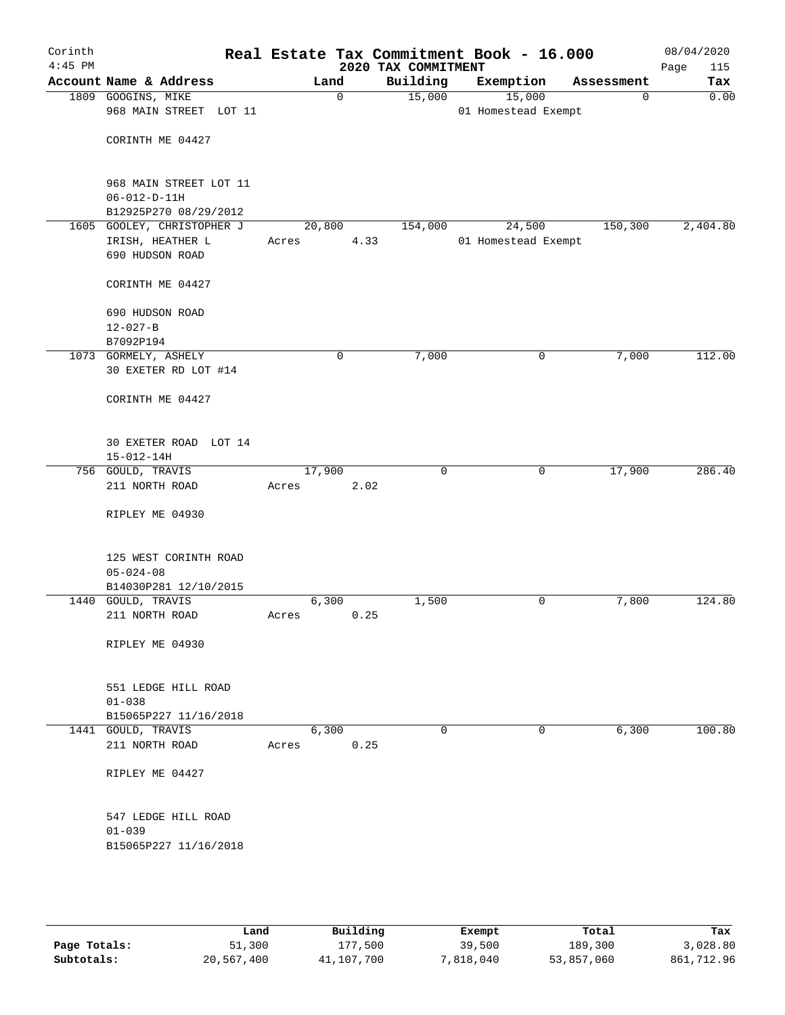| Corinth<br>$4:45$ PM |                                                                   |        |             | 2020 TAX COMMITMENT | Real Estate Tax Commitment Book - 16.000 |            | 08/04/2020<br>Page<br>115 |
|----------------------|-------------------------------------------------------------------|--------|-------------|---------------------|------------------------------------------|------------|---------------------------|
|                      | Account Name & Address                                            |        | Land        | Building            | Exemption                                | Assessment | Tax                       |
|                      | 1809 GOOGINS, MIKE<br>968 MAIN STREET LOT 11                      |        | $\mathbf 0$ | 15,000              | 15,000<br>01 Homestead Exempt            | 0          | 0.00                      |
|                      | CORINTH ME 04427                                                  |        |             |                     |                                          |            |                           |
|                      | 968 MAIN STREET LOT 11<br>$06 - 012 - D - 11H$                    |        |             |                     |                                          |            |                           |
|                      | B12925P270 08/29/2012<br>1605 GOOLEY, CHRISTOPHER J               | 20,800 |             | 154,000             | 24,500                                   | 150,300    | 2,404.80                  |
|                      | IRISH, HEATHER L<br>690 HUDSON ROAD                               | Acres  | 4.33        |                     | 01 Homestead Exempt                      |            |                           |
|                      | CORINTH ME 04427                                                  |        |             |                     |                                          |            |                           |
|                      | 690 HUDSON ROAD<br>$12 - 027 - B$<br>B7092P194                    |        |             |                     |                                          |            |                           |
|                      | 1073 GORMELY, ASHELY                                              |        | 0           | 7,000               | 0                                        | 7,000      | 112.00                    |
|                      | 30 EXETER RD LOT #14                                              |        |             |                     |                                          |            |                           |
|                      | CORINTH ME 04427                                                  |        |             |                     |                                          |            |                           |
|                      | 30 EXETER ROAD LOT 14<br>$15 - 012 - 14H$                         |        |             |                     |                                          |            |                           |
|                      | 756 GOULD, TRAVIS                                                 | 17,900 |             | 0                   | 0                                        | 17,900     | 286.40                    |
|                      | 211 NORTH ROAD                                                    | Acres  | 2.02        |                     |                                          |            |                           |
|                      | RIPLEY ME 04930                                                   |        |             |                     |                                          |            |                           |
|                      | 125 WEST CORINTH ROAD<br>$05 - 024 - 08$<br>B14030P281 12/10/2015 |        |             |                     |                                          |            |                           |
|                      | 1440 GOULD, TRAVIS                                                |        | 6,300       | 1,500               | 0                                        | 7,800      | 124.80                    |
|                      | 211 NORTH ROAD                                                    | Acres  | 0.25        |                     |                                          |            |                           |
|                      | RIPLEY ME 04930                                                   |        |             |                     |                                          |            |                           |
|                      | 551 LEDGE HILL ROAD<br>$01 - 038$                                 |        |             |                     |                                          |            |                           |
|                      | B15065P227 11/16/2018<br>1441 GOULD, TRAVIS                       |        | 6,300       | $\mathbf 0$         | $\mathbf 0$                              | 6,300      | 100.80                    |
|                      | 211 NORTH ROAD                                                    | Acres  | 0.25        |                     |                                          |            |                           |
|                      | RIPLEY ME 04427                                                   |        |             |                     |                                          |            |                           |
|                      | 547 LEDGE HILL ROAD<br>$01 - 039$<br>B15065P227 11/16/2018        |        |             |                     |                                          |            |                           |
|                      |                                                                   |        |             |                     |                                          |            |                           |

|              | Land       | Building   | Exempt    | Total      | Tax        |
|--------------|------------|------------|-----------|------------|------------|
| Page Totals: | 51,300     | 177,500    | 39,500    | 189,300    | 3,028.80   |
| Subtotals:   | 20,567,400 | 41,107,700 | 7,818,040 | 53,857,060 | 861,712.96 |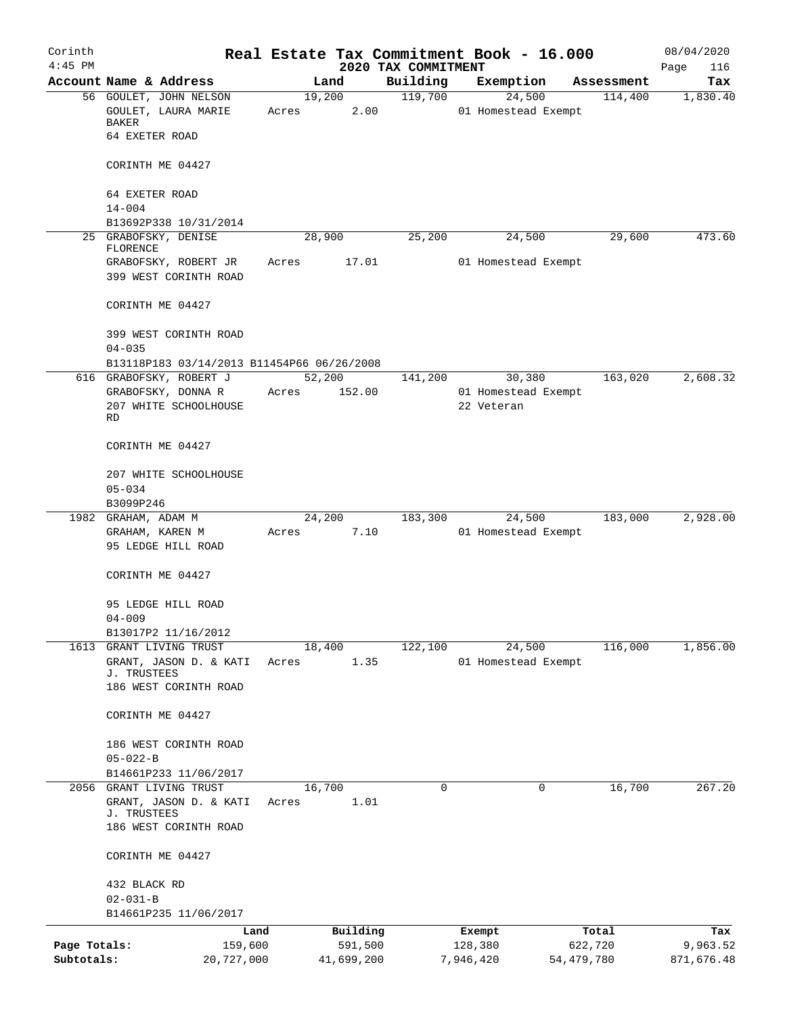| Corinth      |                                                                  |                 |            |                                 | Real Estate Tax Commitment Book - 16.000 |              | 08/04/2020         |
|--------------|------------------------------------------------------------------|-----------------|------------|---------------------------------|------------------------------------------|--------------|--------------------|
| $4:45$ PM    | Account Name & Address                                           | Land            |            | 2020 TAX COMMITMENT<br>Building | Exemption                                | Assessment   | Page<br>116<br>Tax |
|              | 56 GOULET, JOHN NELSON                                           | 19,200          |            | 119,700                         | 24,500                                   | 114,400      | 1,830.40           |
|              | GOULET, LAURA MARIE<br>BAKER                                     | Acres           | 2.00       |                                 | 01 Homestead Exempt                      |              |                    |
|              | 64 EXETER ROAD                                                   |                 |            |                                 |                                          |              |                    |
|              | CORINTH ME 04427                                                 |                 |            |                                 |                                          |              |                    |
|              | 64 EXETER ROAD<br>$14 - 004$                                     |                 |            |                                 |                                          |              |                    |
|              | B13692P338 10/31/2014                                            |                 |            |                                 |                                          |              |                    |
|              | 25 GRABOFSKY, DENISE                                             | 28,900          |            | 25,200                          | 24,500                                   | 29,600       | 473.60             |
|              | FLORENCE<br>GRABOFSKY, ROBERT JR<br>399 WEST CORINTH ROAD        | Acres           | 17.01      |                                 | 01 Homestead Exempt                      |              |                    |
|              | CORINTH ME 04427                                                 |                 |            |                                 |                                          |              |                    |
|              | 399 WEST CORINTH ROAD<br>$04 - 035$                              |                 |            |                                 |                                          |              |                    |
|              | B13118P183 03/14/2013 B11454P66 06/26/2008                       |                 |            |                                 |                                          |              |                    |
|              | 616 GRABOFSKY, ROBERT J                                          | 52,200          |            | 141,200                         | 30,380                                   | 163,020      | 2,608.32           |
|              | GRABOFSKY, DONNA R                                               | Acres           | 152.00     |                                 | 01 Homestead Exempt                      |              |                    |
|              | 207 WHITE SCHOOLHOUSE<br>RD                                      |                 |            |                                 | 22 Veteran                               |              |                    |
|              | CORINTH ME 04427                                                 |                 |            |                                 |                                          |              |                    |
|              | 207 WHITE SCHOOLHOUSE<br>$05 - 034$                              |                 |            |                                 |                                          |              |                    |
|              | B3099P246                                                        |                 |            |                                 |                                          |              |                    |
|              | 1982 GRAHAM, ADAM M                                              | 24,200          |            | 183,300                         | 24,500                                   | 183,000      | 2,928.00           |
|              | GRAHAM, KAREN M<br>95 LEDGE HILL ROAD                            | Acres           | 7.10       |                                 | 01 Homestead Exempt                      |              |                    |
|              | CORINTH ME 04427                                                 |                 |            |                                 |                                          |              |                    |
|              | 95 LEDGE HILL ROAD<br>$04 - 009$                                 |                 |            |                                 |                                          |              |                    |
|              | B13017P2 11/16/2012                                              |                 |            |                                 |                                          |              |                    |
|              | 1613 GRANT LIVING TRUST                                          | 18,400          |            | 122,100                         | 24,500                                   | 116,000      | 1,856.00           |
|              | GRANT, JASON D. & KATI<br>J. TRUSTEES                            | Acres           | 1.35       |                                 | 01 Homestead Exempt                      |              |                    |
|              | 186 WEST CORINTH ROAD                                            |                 |            |                                 |                                          |              |                    |
|              | CORINTH ME 04427                                                 |                 |            |                                 |                                          |              |                    |
|              | 186 WEST CORINTH ROAD                                            |                 |            |                                 |                                          |              |                    |
|              | $05 - 022 - B$                                                   |                 |            |                                 |                                          |              |                    |
|              | B14661P233 11/06/2017                                            |                 |            |                                 |                                          |              |                    |
|              | 2056 GRANT LIVING TRUST<br>GRANT, JASON D. & KATI<br>J. TRUSTEES | 16,700<br>Acres | 1.01       | $\Omega$                        | 0                                        | 16,700       | 267.20             |
|              | 186 WEST CORINTH ROAD                                            |                 |            |                                 |                                          |              |                    |
|              | CORINTH ME 04427                                                 |                 |            |                                 |                                          |              |                    |
|              | 432 BLACK RD                                                     |                 |            |                                 |                                          |              |                    |
|              | $02 - 031 - B$<br>B14661P235 11/06/2017                          |                 |            |                                 |                                          |              |                    |
|              | Land                                                             |                 | Building   |                                 | Exempt                                   | Total        | Tax                |
| Page Totals: | 159,600                                                          |                 | 591,500    |                                 | 128,380                                  | 622,720      | 9,963.52           |
| Subtotals:   | 20,727,000                                                       |                 | 41,699,200 |                                 | 7,946,420                                | 54, 479, 780 | 871,676.48         |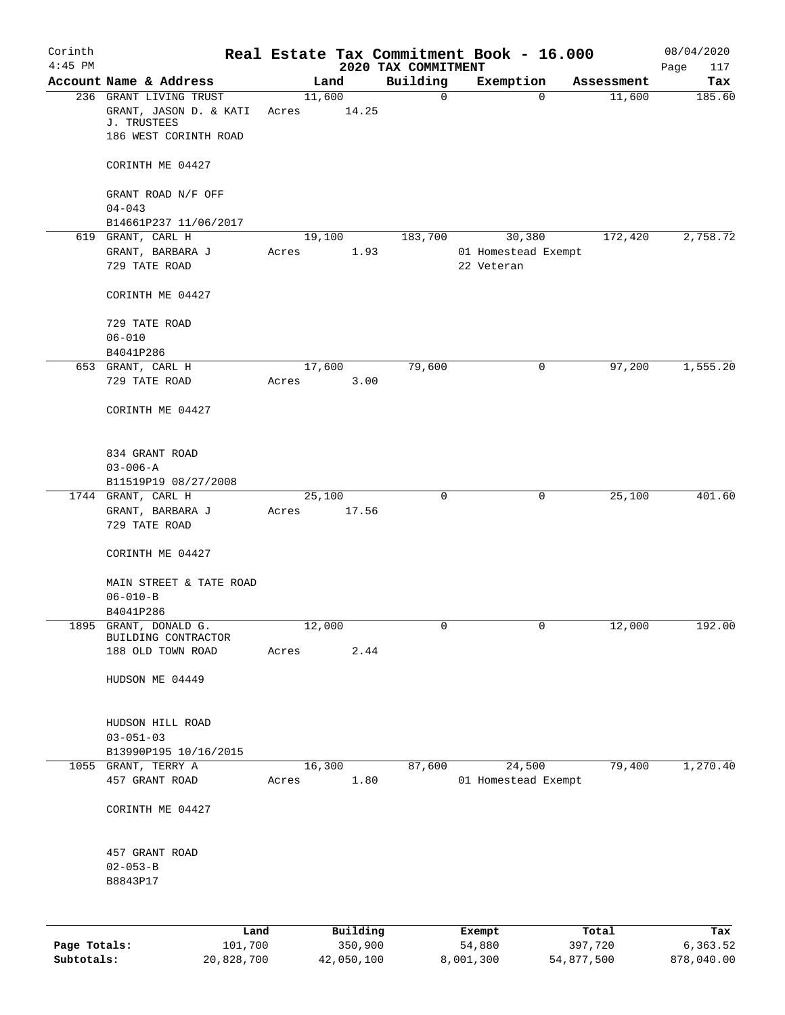| Corinth<br>$4:45$ PM |                                              |        |                 |                                 | Real Estate Tax Commitment Book - 16.000 |             |            | 08/04/2020         |
|----------------------|----------------------------------------------|--------|-----------------|---------------------------------|------------------------------------------|-------------|------------|--------------------|
|                      | Account Name & Address                       |        | Land            | 2020 TAX COMMITMENT<br>Building | Exemption                                |             | Assessment | Page<br>117<br>Tax |
|                      | 236 GRANT LIVING TRUST                       | 11,600 |                 | 0                               |                                          | $\mathbf 0$ | 11,600     | 185.60             |
|                      | GRANT, JASON D. & KATI<br>J. TRUSTEES        | Acres  | 14.25           |                                 |                                          |             |            |                    |
|                      | 186 WEST CORINTH ROAD                        |        |                 |                                 |                                          |             |            |                    |
|                      | CORINTH ME 04427                             |        |                 |                                 |                                          |             |            |                    |
|                      | GRANT ROAD N/F OFF                           |        |                 |                                 |                                          |             |            |                    |
|                      | $04 - 043$<br>B14661P237 11/06/2017          |        |                 |                                 |                                          |             |            |                    |
|                      | 619 GRANT, CARL H                            | 19,100 |                 | 183,700                         | 30,380                                   |             | 172,420    | 2,758.72           |
|                      | GRANT, BARBARA J                             | Acres  | 1.93            |                                 | 01 Homestead Exempt                      |             |            |                    |
|                      | 729 TATE ROAD                                |        |                 |                                 | 22 Veteran                               |             |            |                    |
|                      | CORINTH ME 04427                             |        |                 |                                 |                                          |             |            |                    |
|                      | 729 TATE ROAD                                |        |                 |                                 |                                          |             |            |                    |
|                      | $06 - 010$<br>B4041P286                      |        |                 |                                 |                                          |             |            |                    |
|                      | 653 GRANT, CARL H                            | 17,600 |                 | 79,600                          |                                          | 0           | 97,200     | 1,555.20           |
|                      | 729 TATE ROAD                                | Acres  | 3.00            |                                 |                                          |             |            |                    |
|                      | CORINTH ME 04427                             |        |                 |                                 |                                          |             |            |                    |
|                      | 834 GRANT ROAD                               |        |                 |                                 |                                          |             |            |                    |
|                      | $03 - 006 - A$                               |        |                 |                                 |                                          |             |            |                    |
|                      | B11519P19 08/27/2008                         |        |                 |                                 |                                          |             |            |                    |
|                      | 1744 GRANT, CARL H                           |        | 25,100<br>17.56 | 0                               |                                          | 0           | 25,100     | 401.60             |
|                      | GRANT, BARBARA J<br>729 TATE ROAD            | Acres  |                 |                                 |                                          |             |            |                    |
|                      | CORINTH ME 04427                             |        |                 |                                 |                                          |             |            |                    |
|                      | MAIN STREET & TATE ROAD                      |        |                 |                                 |                                          |             |            |                    |
|                      | $06 - 010 - B$                               |        |                 |                                 |                                          |             |            |                    |
|                      | B4041P286                                    |        |                 |                                 |                                          |             |            |                    |
|                      | 1895 GRANT, DONALD G.<br>BUILDING CONTRACTOR | 12,000 |                 | 0                               |                                          | 0           | 12,000     | 192.00             |
|                      | 188 OLD TOWN ROAD                            | Acres  | 2.44            |                                 |                                          |             |            |                    |
|                      | HUDSON ME 04449                              |        |                 |                                 |                                          |             |            |                    |
|                      | HUDSON HILL ROAD                             |        |                 |                                 |                                          |             |            |                    |
|                      | $03 - 051 - 03$                              |        |                 |                                 |                                          |             |            |                    |
|                      | B13990P195 10/16/2015                        |        |                 |                                 |                                          |             |            |                    |
|                      | 1055 GRANT, TERRY A                          | 16,300 |                 | 87,600                          | 24,500                                   |             | 79,400     | 1,270.40           |
|                      | 457 GRANT ROAD                               | Acres  | 1.80            |                                 | 01 Homestead Exempt                      |             |            |                    |
|                      | CORINTH ME 04427                             |        |                 |                                 |                                          |             |            |                    |
|                      | 457 GRANT ROAD                               |        |                 |                                 |                                          |             |            |                    |
|                      | $02 - 053 - B$                               |        |                 |                                 |                                          |             |            |                    |
|                      | B8843P17                                     |        |                 |                                 |                                          |             |            |                    |
|                      |                                              |        |                 |                                 |                                          |             |            |                    |
|                      | Land                                         |        | Building        |                                 | Exempt                                   |             | Total      | Tax                |
| Page Totals:         | 101,700                                      |        | 350,900         |                                 | 54,880                                   |             | 397,720    | 6,363.52           |

**Subtotals:** 20,828,700 42,050,100 8,001,300 54,877,500 878,040.00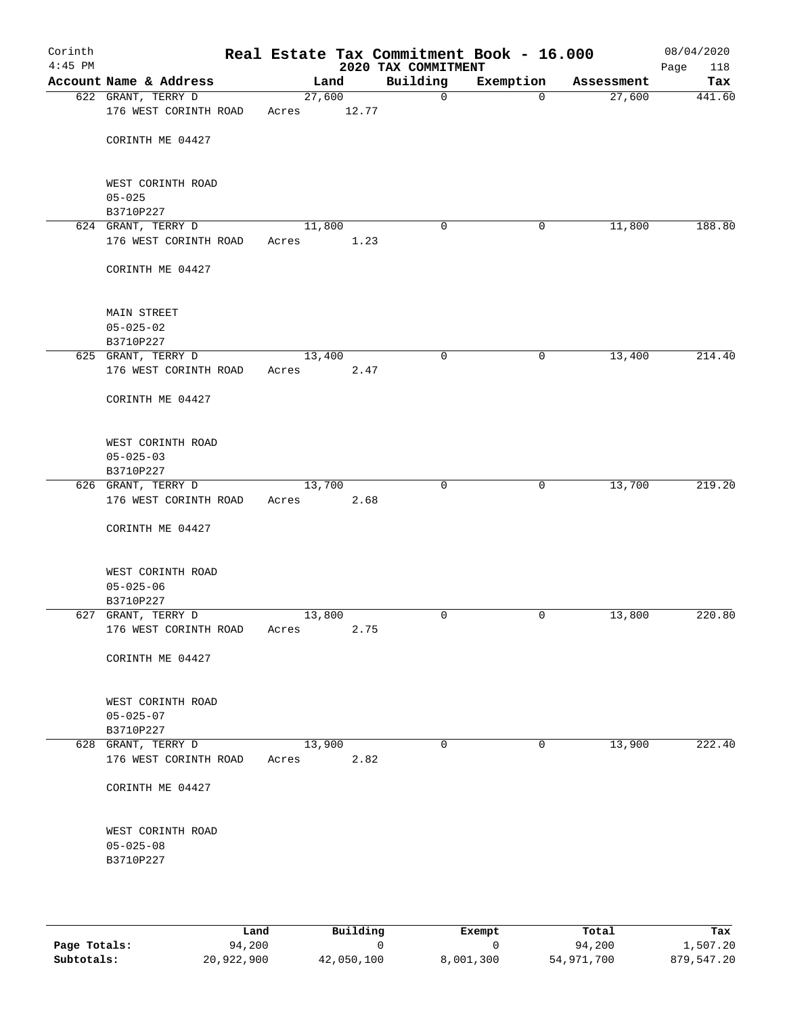| Corinth<br>$4:45$ PM |                                                   |                 |       | Real Estate Tax Commitment Book - 16.000<br>2020 TAX COMMITMENT |           |            | 08/04/2020<br>Page<br>118 |
|----------------------|---------------------------------------------------|-----------------|-------|-----------------------------------------------------------------|-----------|------------|---------------------------|
|                      | Account Name & Address                            |                 | Land  | Building                                                        | Exemption | Assessment | Tax                       |
|                      | 622 GRANT, TERRY D<br>176 WEST CORINTH ROAD       | 27,600<br>Acres | 12.77 | $\mathbf 0$                                                     | $\Omega$  | 27,600     | 441.60                    |
|                      | CORINTH ME 04427                                  |                 |       |                                                                 |           |            |                           |
|                      | WEST CORINTH ROAD<br>$05 - 025$                   |                 |       |                                                                 |           |            |                           |
|                      | B3710P227<br>624 GRANT, TERRY D                   | 11,800          |       | 0                                                               | 0         | 11,800     | 188.80                    |
|                      | 176 WEST CORINTH ROAD                             | Acres           | 1.23  |                                                                 |           |            |                           |
|                      | CORINTH ME 04427                                  |                 |       |                                                                 |           |            |                           |
|                      | MAIN STREET<br>$05 - 025 - 02$                    |                 |       |                                                                 |           |            |                           |
|                      | B3710P227<br>625 GRANT, TERRY D                   | 13,400          |       | 0                                                               | 0         | 13,400     | 214.40                    |
|                      | 176 WEST CORINTH ROAD                             | Acres           | 2.47  |                                                                 |           |            |                           |
|                      | CORINTH ME 04427                                  |                 |       |                                                                 |           |            |                           |
|                      | WEST CORINTH ROAD<br>$05 - 025 - 03$              |                 |       |                                                                 |           |            |                           |
|                      | B3710P227<br>626 GRANT, TERRY D                   | 13,700          |       | $\mathbf 0$                                                     | 0         | 13,700     | 219.20                    |
|                      | 176 WEST CORINTH ROAD<br>CORINTH ME 04427         | Acres           | 2.68  |                                                                 |           |            |                           |
|                      | WEST CORINTH ROAD<br>$05 - 025 - 06$<br>B3710P227 |                 |       |                                                                 |           |            |                           |
|                      | 627 GRANT, TERRY D                                | 13,800          |       | 0                                                               | 0         | 13,800     | 220.80                    |
|                      | 176 WEST CORINTH ROAD                             | Acres           | 2.75  |                                                                 |           |            |                           |
|                      | CORINTH ME 04427                                  |                 |       |                                                                 |           |            |                           |
|                      | WEST CORINTH ROAD<br>$05 - 025 - 07$<br>B3710P227 |                 |       |                                                                 |           |            |                           |
|                      | 628 GRANT, TERRY D                                | 13,900          |       | $\mathbf 0$                                                     | 0         | 13,900     | 222.40                    |
|                      | 176 WEST CORINTH ROAD                             | Acres           | 2.82  |                                                                 |           |            |                           |
|                      | CORINTH ME 04427                                  |                 |       |                                                                 |           |            |                           |
|                      | WEST CORINTH ROAD<br>$05 - 025 - 08$<br>B3710P227 |                 |       |                                                                 |           |            |                           |
|                      |                                                   |                 |       |                                                                 |           |            |                           |

|              | Land       | Building   | Exempt    | Total      | Tax        |
|--------------|------------|------------|-----------|------------|------------|
| Page Totals: | 94,200     |            |           | 94,200     | 1,507.20   |
| Subtotals:   | 20,922,900 | 42,050,100 | 8,001,300 | 54,971,700 | 879,547.20 |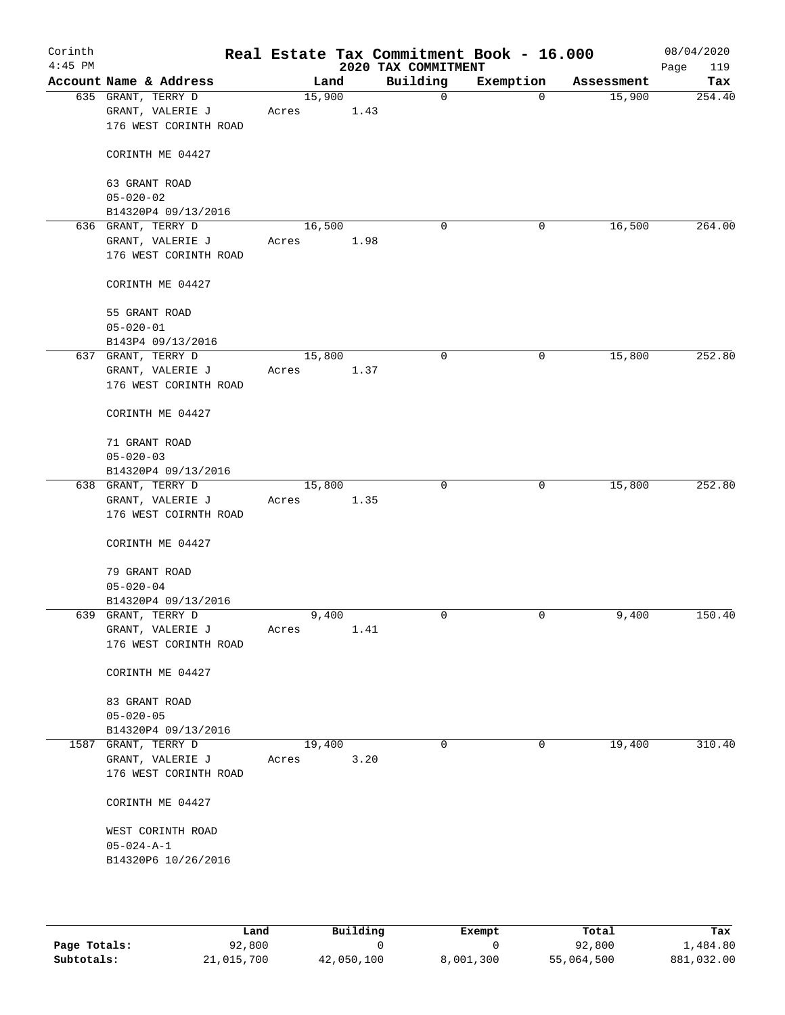| Corinth<br>$4:45$ PM |                                                                  |       |                | Real Estate Tax Commitment Book - 16.000<br>2020 TAX COMMITMENT |             |            | 08/04/2020<br>119<br>Page |
|----------------------|------------------------------------------------------------------|-------|----------------|-----------------------------------------------------------------|-------------|------------|---------------------------|
|                      | Account Name & Address                                           |       | Land           | Building                                                        | Exemption   | Assessment | Tax                       |
|                      | 635 GRANT, TERRY D<br>GRANT, VALERIE J<br>176 WEST CORINTH ROAD  | Acres | 15,900<br>1.43 | 0                                                               | $\mathbf 0$ | 15,900     | 254.40                    |
|                      | CORINTH ME 04427                                                 |       |                |                                                                 |             |            |                           |
|                      | 63 GRANT ROAD<br>$05 - 020 - 02$                                 |       |                |                                                                 |             |            |                           |
|                      | B14320P4 09/13/2016                                              |       |                |                                                                 |             |            |                           |
|                      | 636 GRANT, TERRY D<br>GRANT, VALERIE J<br>176 WEST CORINTH ROAD  | Acres | 16,500<br>1.98 | $\mathbf 0$                                                     | 0           | 16,500     | 264.00                    |
|                      | CORINTH ME 04427                                                 |       |                |                                                                 |             |            |                           |
|                      | 55 GRANT ROAD<br>$05 - 020 - 01$                                 |       |                |                                                                 |             |            |                           |
|                      | B143P4 09/13/2016                                                |       |                |                                                                 |             |            |                           |
|                      | 637 GRANT, TERRY D                                               |       | 15,800         | 0                                                               | 0           | 15,800     | 252.80                    |
|                      | GRANT, VALERIE J<br>176 WEST CORINTH ROAD                        | Acres | 1.37           |                                                                 |             |            |                           |
|                      | CORINTH ME 04427                                                 |       |                |                                                                 |             |            |                           |
|                      | 71 GRANT ROAD<br>$05 - 020 - 03$                                 |       |                |                                                                 |             |            |                           |
|                      | B14320P4 09/13/2016                                              |       |                |                                                                 |             |            |                           |
|                      | 638 GRANT, TERRY D                                               |       | 15,800         | $\Omega$                                                        | 0           | 15,800     | 252.80                    |
|                      | GRANT, VALERIE J<br>176 WEST COIRNTH ROAD                        | Acres | 1.35           |                                                                 |             |            |                           |
|                      | CORINTH ME 04427                                                 |       |                |                                                                 |             |            |                           |
|                      | 79 GRANT ROAD<br>$05 - 020 - 04$                                 |       |                |                                                                 |             |            |                           |
|                      | B14320P4 09/13/2016                                              |       |                |                                                                 |             |            |                           |
|                      | 639 GRANT, TERRY D                                               |       | 9,400          | 0                                                               | 0           | 9,400      | 150.40                    |
|                      | GRANT, VALERIE J<br>176 WEST CORINTH ROAD                        | Acres | 1.41           |                                                                 |             |            |                           |
|                      | CORINTH ME 04427                                                 |       |                |                                                                 |             |            |                           |
|                      | 83 GRANT ROAD<br>$05 - 020 - 05$                                 |       |                |                                                                 |             |            |                           |
|                      | B14320P4 09/13/2016                                              |       |                |                                                                 |             |            |                           |
|                      | 1587 GRANT, TERRY D<br>GRANT, VALERIE J<br>176 WEST CORINTH ROAD | Acres | 19,400<br>3.20 | 0                                                               | $\mathbf 0$ | 19,400     | 310.40                    |
|                      | CORINTH ME 04427                                                 |       |                |                                                                 |             |            |                           |
|                      | WEST CORINTH ROAD<br>$05 - 024 - A - 1$                          |       |                |                                                                 |             |            |                           |
|                      | B14320P6 10/26/2016                                              |       |                |                                                                 |             |            |                           |

|              | Land       | Building   | Exempt    | Total      | Tax        |
|--------------|------------|------------|-----------|------------|------------|
| Page Totals: | 92,800     |            |           | 92,800     | 1,484.80   |
| Subtotals:   | 21,015,700 | 42,050,100 | 8,001,300 | 55,064,500 | 881,032.00 |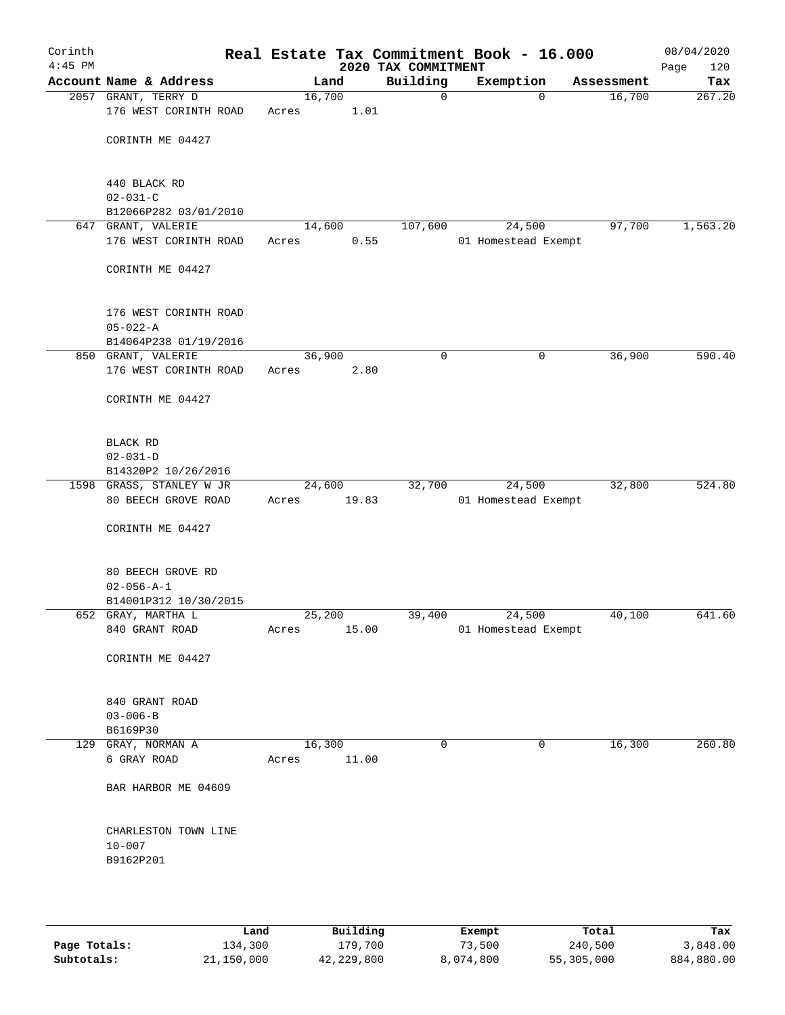| Corinth<br>$4:45$ PM |                                              |       |        |       | Real Estate Tax Commitment Book - 16.000<br>2020 TAX COMMITMENT |                               |            | 08/04/2020<br>120<br>Page |
|----------------------|----------------------------------------------|-------|--------|-------|-----------------------------------------------------------------|-------------------------------|------------|---------------------------|
|                      | Account Name & Address                       |       | Land   |       | Building                                                        | Exemption                     | Assessment | Tax                       |
|                      | 2057 GRANT, TERRY D<br>176 WEST CORINTH ROAD |       | 16,700 |       | $\mathbf 0$                                                     | $\mathbf 0$                   | 16,700     | 267.20                    |
|                      |                                              | Acres |        | 1.01  |                                                                 |                               |            |                           |
|                      | CORINTH ME 04427                             |       |        |       |                                                                 |                               |            |                           |
|                      | 440 BLACK RD                                 |       |        |       |                                                                 |                               |            |                           |
|                      | $02 - 031 - C$                               |       |        |       |                                                                 |                               |            |                           |
|                      | B12066P282 03/01/2010                        |       |        |       |                                                                 |                               |            |                           |
|                      | 647 GRANT, VALERIE<br>176 WEST CORINTH ROAD  | Acres | 14,600 | 0.55  | 107,600                                                         | 24,500<br>01 Homestead Exempt | 97,700     | 1,563.20                  |
|                      |                                              |       |        |       |                                                                 |                               |            |                           |
|                      | CORINTH ME 04427                             |       |        |       |                                                                 |                               |            |                           |
|                      | 176 WEST CORINTH ROAD                        |       |        |       |                                                                 |                               |            |                           |
|                      | $05 - 022 - A$                               |       |        |       |                                                                 |                               |            |                           |
|                      | B14064P238 01/19/2016                        |       |        |       |                                                                 |                               |            |                           |
|                      | 850 GRANT, VALERIE<br>176 WEST CORINTH ROAD  | Acres | 36,900 | 2.80  | $\mathbf 0$                                                     | $\mathsf{O}$                  | 36,900     | 590.40                    |
|                      |                                              |       |        |       |                                                                 |                               |            |                           |
|                      | CORINTH ME 04427                             |       |        |       |                                                                 |                               |            |                           |
|                      | BLACK RD                                     |       |        |       |                                                                 |                               |            |                           |
|                      | $02 - 031 - D$                               |       |        |       |                                                                 |                               |            |                           |
|                      | B14320P2 10/26/2016                          |       |        |       |                                                                 |                               |            |                           |
|                      | 1598 GRASS, STANLEY W JR                     |       | 24,600 |       | 32,700                                                          | 24,500                        | 32,800     | 524.80                    |
|                      | 80 BEECH GROVE ROAD                          | Acres |        | 19.83 |                                                                 | 01 Homestead Exempt           |            |                           |
|                      | CORINTH ME 04427                             |       |        |       |                                                                 |                               |            |                           |
|                      | 80 BEECH GROVE RD                            |       |        |       |                                                                 |                               |            |                           |
|                      | $02 - 056 - A - 1$                           |       |        |       |                                                                 |                               |            |                           |
|                      | B14001P312 10/30/2015                        |       |        |       |                                                                 |                               |            |                           |
|                      | 652 GRAY, MARTHA L                           |       | 25,200 |       | 39,400                                                          | 24,500                        | 40,100     | 641.60                    |
|                      | 840 GRANT ROAD                               | Acres |        | 15.00 |                                                                 | 01 Homestead Exempt           |            |                           |
|                      | CORINTH ME 04427                             |       |        |       |                                                                 |                               |            |                           |
|                      | 840 GRANT ROAD                               |       |        |       |                                                                 |                               |            |                           |
|                      | $03 - 006 - B$                               |       |        |       |                                                                 |                               |            |                           |
|                      | B6169P30                                     |       |        |       |                                                                 |                               |            |                           |
|                      | 129 GRAY, NORMAN A                           |       | 16,300 |       | $\mathbf 0$                                                     | $\mathbf 0$                   | 16,300     | 260.80                    |
|                      | 6 GRAY ROAD                                  | Acres |        | 11.00 |                                                                 |                               |            |                           |
|                      | BAR HARBOR ME 04609                          |       |        |       |                                                                 |                               |            |                           |
|                      | CHARLESTON TOWN LINE                         |       |        |       |                                                                 |                               |            |                           |
|                      | $10 - 007$                                   |       |        |       |                                                                 |                               |            |                           |
|                      | B9162P201                                    |       |        |       |                                                                 |                               |            |                           |
|                      |                                              |       |        |       |                                                                 |                               |            |                           |
|                      |                                              |       |        |       |                                                                 |                               |            |                           |

|              | Land       | Building   | Exempt    | Total      | Tax        |
|--------------|------------|------------|-----------|------------|------------|
| Page Totals: | 134,300    | 179,700    | 73,500    | 240,500    | 3,848,00   |
| Subtotals:   | 21,150,000 | 42,229,800 | 8,074,800 | 55,305,000 | 884,880.00 |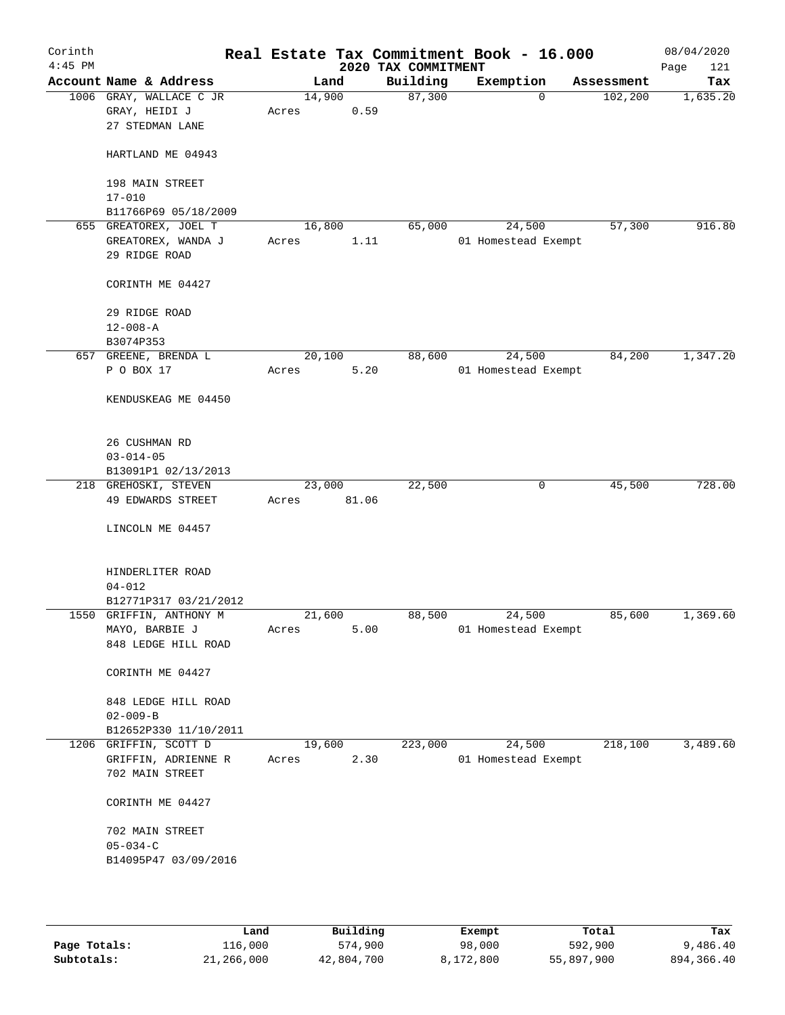| Corinth<br>$4:45$ PM |                                                              |       |                | 2020 TAX COMMITMENT | Real Estate Tax Commitment Book - 16.000 |            | 08/04/2020<br>Page<br>121 |
|----------------------|--------------------------------------------------------------|-------|----------------|---------------------|------------------------------------------|------------|---------------------------|
|                      | Account Name & Address                                       |       | Land           | Building            | Exemption                                | Assessment | Tax                       |
|                      | 1006 GRAY, WALLACE C JR<br>GRAY, HEIDI J<br>27 STEDMAN LANE  | Acres | 14,900<br>0.59 | 87,300              | $\Omega$                                 | 102, 200   | 1,635.20                  |
|                      | HARTLAND ME 04943                                            |       |                |                     |                                          |            |                           |
|                      | 198 MAIN STREET<br>$17 - 010$                                |       |                |                     |                                          |            |                           |
|                      | B11766P69 05/18/2009                                         |       |                |                     |                                          |            |                           |
|                      | 655 GREATOREX, JOEL T<br>GREATOREX, WANDA J<br>29 RIDGE ROAD | Acres | 16,800<br>1.11 | 65,000              | 24,500<br>01 Homestead Exempt            | 57,300     | 916.80                    |
|                      | CORINTH ME 04427                                             |       |                |                     |                                          |            |                           |
|                      | 29 RIDGE ROAD<br>$12 - 008 - A$                              |       |                |                     |                                          |            |                           |
|                      | B3074P353                                                    |       |                |                     |                                          |            |                           |
|                      | 657 GREENE, BRENDA L                                         |       | 20,100         | 88,600              | 24,500                                   | 84,200     | 1,347.20                  |
|                      | P O BOX 17                                                   | Acres | 5.20           |                     | 01 Homestead Exempt                      |            |                           |
|                      | KENDUSKEAG ME 04450                                          |       |                |                     |                                          |            |                           |
|                      | 26 CUSHMAN RD<br>$03 - 014 - 05$                             |       |                |                     |                                          |            |                           |
|                      | B13091P1 02/13/2013                                          |       |                |                     |                                          |            |                           |
|                      | 218 GREHOSKI, STEVEN                                         |       | 23,000         | 22,500              | 0                                        | 45,500     | 728.00                    |
|                      | 49 EDWARDS STREET                                            | Acres | 81.06          |                     |                                          |            |                           |
|                      | LINCOLN ME 04457                                             |       |                |                     |                                          |            |                           |
|                      | HINDERLITER ROAD<br>$04 - 012$<br>B12771P317 03/21/2012      |       |                |                     |                                          |            |                           |
|                      | 1550 GRIFFIN, ANTHONY M                                      |       | 21,600         | 88,500              | 24,500                                   | 85,600     | 1,369.60                  |
|                      | MAYO, BARBIE J                                               | Acres | 5.00           |                     | 01 Homestead Exempt                      |            |                           |
|                      | 848 LEDGE HILL ROAD                                          |       |                |                     |                                          |            |                           |
|                      | CORINTH ME 04427                                             |       |                |                     |                                          |            |                           |
|                      | 848 LEDGE HILL ROAD                                          |       |                |                     |                                          |            |                           |
|                      | $02 - 009 - B$                                               |       |                |                     |                                          |            |                           |
|                      | B12652P330 11/10/2011                                        |       |                |                     |                                          |            |                           |
|                      | 1206 GRIFFIN, SCOTT D                                        |       | 19,600         | 223,000             | 24,500                                   | 218,100    | 3,489.60                  |
|                      | GRIFFIN, ADRIENNE R                                          | Acres | 2.30           |                     | 01 Homestead Exempt                      |            |                           |
|                      | 702 MAIN STREET                                              |       |                |                     |                                          |            |                           |
|                      | CORINTH ME 04427                                             |       |                |                     |                                          |            |                           |
|                      | 702 MAIN STREET                                              |       |                |                     |                                          |            |                           |
|                      | $05 - 034 - C$                                               |       |                |                     |                                          |            |                           |
|                      | B14095P47 03/09/2016                                         |       |                |                     |                                          |            |                           |
|                      |                                                              |       |                |                     |                                          |            |                           |

|              | Land       | Building   | Exempt    | Total      | Tax        |
|--------------|------------|------------|-----------|------------|------------|
| Page Totals: | 116,000    | 574,900    | 98,000    | 592,900    | 9,486.40   |
| Subtotals:   | 21,266,000 | 42,804,700 | 8,172,800 | 55,897,900 | 894,366.40 |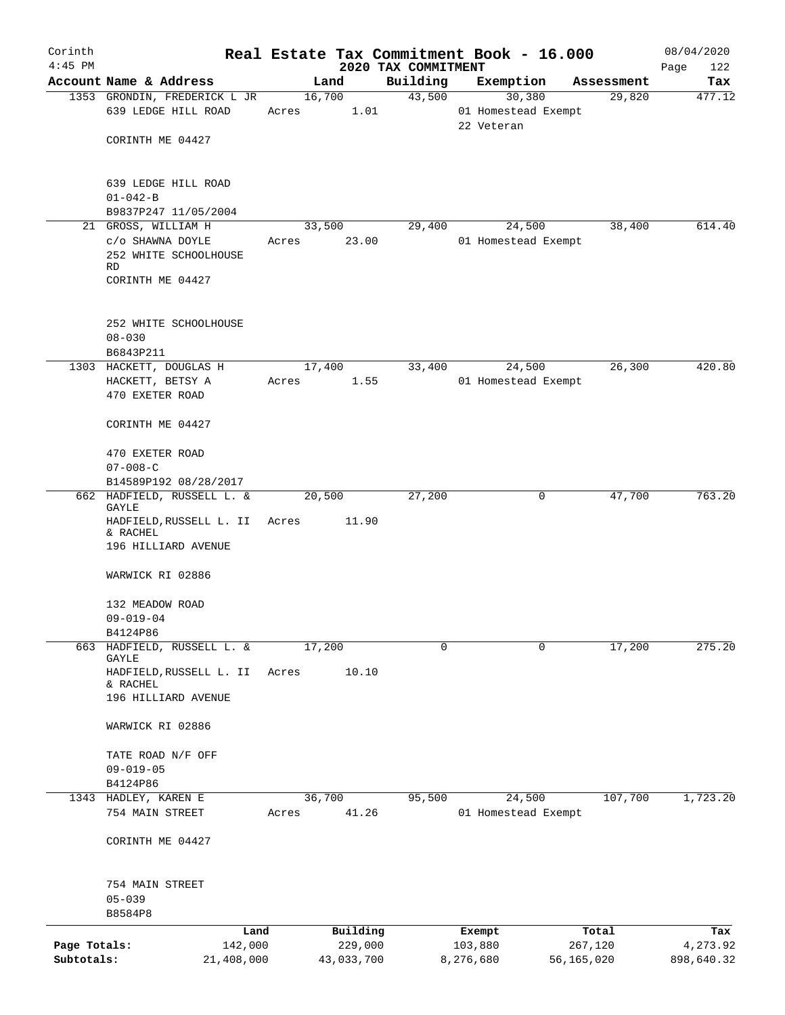| Corinth      |                                                                     |        |            | Real Estate Tax Commitment Book - 16.000 |                                   |            |                      | 08/04/2020         |
|--------------|---------------------------------------------------------------------|--------|------------|------------------------------------------|-----------------------------------|------------|----------------------|--------------------|
| $4:45$ PM    | Account Name & Address                                              | Land   |            | 2020 TAX COMMITMENT<br>Building          | Exemption                         |            |                      | Page<br>122<br>Tax |
|              | 1353 GRONDIN, FREDERICK L JR                                        | 16,700 |            | 43,500                                   |                                   | 30,380     | Assessment<br>29,820 | 477.12             |
|              | 639 LEDGE HILL ROAD                                                 | Acres  | 1.01       |                                          | 01 Homestead Exempt<br>22 Veteran |            |                      |                    |
|              | CORINTH ME 04427                                                    |        |            |                                          |                                   |            |                      |                    |
|              | 639 LEDGE HILL ROAD<br>$01 - 042 - B$                               |        |            |                                          |                                   |            |                      |                    |
|              | B9837P247 11/05/2004                                                |        |            |                                          |                                   |            |                      |                    |
|              | 21 GROSS, WILLIAM H                                                 | 33,500 |            | 29,400                                   |                                   | 24,500     | 38,400               | 614.40             |
|              | C/O SHAWNA DOYLE<br>252 WHITE SCHOOLHOUSE<br>RD<br>CORINTH ME 04427 | Acres  | 23.00      |                                          | 01 Homestead Exempt               |            |                      |                    |
|              | 252 WHITE SCHOOLHOUSE                                               |        |            |                                          |                                   |            |                      |                    |
|              | $08 - 030$                                                          |        |            |                                          |                                   |            |                      |                    |
|              | B6843P211                                                           |        |            |                                          |                                   |            |                      |                    |
|              | 1303 HACKETT, DOUGLAS H                                             | 17,400 |            | 33,400                                   |                                   | 24,500     | 26,300               | 420.80             |
|              | HACKETT, BETSY A<br>470 EXETER ROAD                                 | Acres  | 1.55       |                                          | 01 Homestead Exempt               |            |                      |                    |
|              | CORINTH ME 04427                                                    |        |            |                                          |                                   |            |                      |                    |
|              | 470 EXETER ROAD<br>$07 - 008 - C$                                   |        |            |                                          |                                   |            |                      |                    |
|              | B14589P192 08/28/2017                                               |        |            |                                          |                                   |            |                      |                    |
|              | 662 HADFIELD, RUSSELL L. &<br>GAYLE                                 | 20,500 |            | 27,200                                   |                                   | 0          | 47,700               | 763.20             |
|              | HADFIELD, RUSSELL L. II<br>& RACHEL<br>196 HILLIARD AVENUE          | Acres  | 11.90      |                                          |                                   |            |                      |                    |
|              | WARWICK RI 02886                                                    |        |            |                                          |                                   |            |                      |                    |
|              | 132 MEADOW ROAD                                                     |        |            |                                          |                                   |            |                      |                    |
|              | $09 - 019 - 04$                                                     |        |            |                                          |                                   |            |                      |                    |
|              | B4124P86                                                            |        |            |                                          |                                   |            |                      |                    |
|              | 663 HADFIELD, RUSSELL L. &                                          | 17,200 |            | 0                                        |                                   | 0          | 17,200               | 275.20             |
|              | GAYLE<br>HADFIELD, RUSSELL L. II<br>& RACHEL                        | Acres  | 10.10      |                                          |                                   |            |                      |                    |
|              | 196 HILLIARD AVENUE                                                 |        |            |                                          |                                   |            |                      |                    |
|              | WARWICK RI 02886                                                    |        |            |                                          |                                   |            |                      |                    |
|              | TATE ROAD N/F OFF                                                   |        |            |                                          |                                   |            |                      |                    |
|              | $09 - 019 - 05$<br>B4124P86                                         |        |            |                                          |                                   |            |                      |                    |
|              | 1343 HADLEY, KAREN E                                                | 36,700 |            | 95,500                                   |                                   | 24,500     | 107,700              | 1,723.20           |
|              | 754 MAIN STREET                                                     | Acres  | 41.26      |                                          | 01 Homestead Exempt               |            |                      |                    |
|              | CORINTH ME 04427                                                    |        |            |                                          |                                   |            |                      |                    |
|              | 754 MAIN STREET                                                     |        |            |                                          |                                   |            |                      |                    |
|              | $05 - 039$<br>B8584P8                                               |        |            |                                          |                                   |            |                      |                    |
|              | Land                                                                |        | Building   |                                          | Exempt                            |            | Total                | Tax                |
| Page Totals: | 142,000                                                             |        | 229,000    |                                          | 103,880                           |            | 267,120              | 4,273.92           |
| Subtotals:   | 21,408,000                                                          |        | 43,033,700 |                                          | 8,276,680                         | 56,165,020 |                      | 898,640.32         |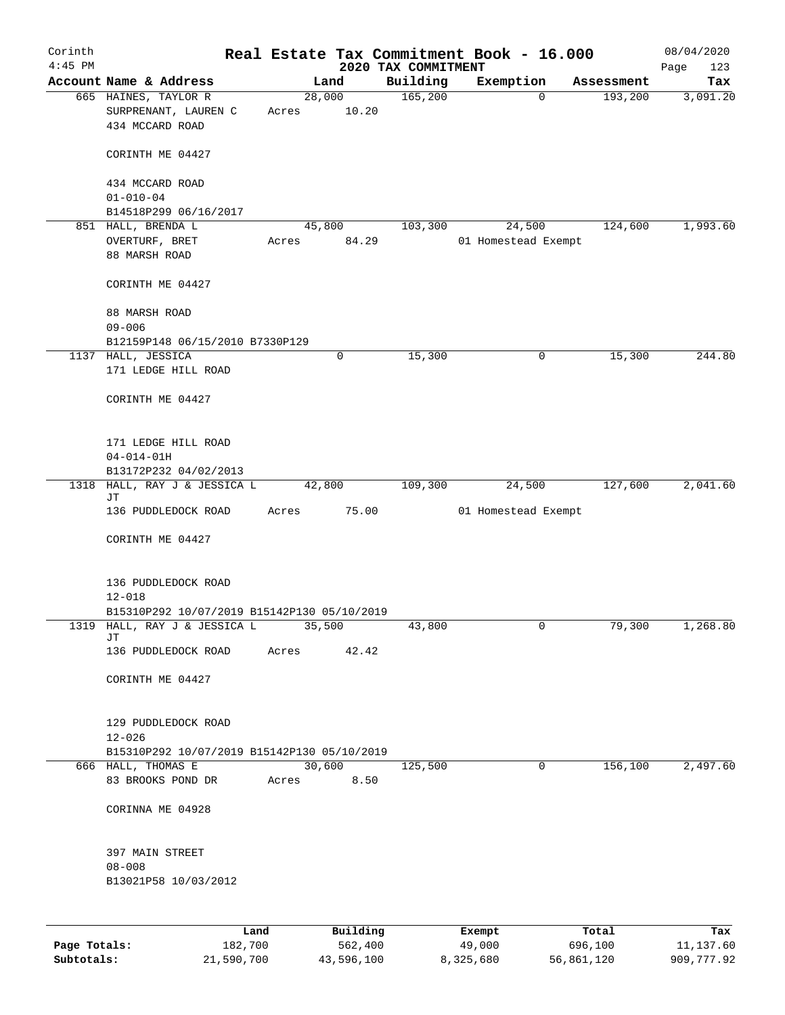| Corinth      |                                                           |        |          |                     | Real Estate Tax Commitment Book - 16.000 |                       | 08/04/2020      |
|--------------|-----------------------------------------------------------|--------|----------|---------------------|------------------------------------------|-----------------------|-----------------|
| $4:45$ PM    | Account Name & Address                                    |        |          | 2020 TAX COMMITMENT |                                          |                       | Page<br>123     |
|              | 665 HAINES, TAYLOR R                                      | 28,000 | Land     | Building<br>165,200 | Exemption<br>$\mathbf 0$                 | Assessment<br>193,200 | Tax<br>3,091.20 |
|              | SURPRENANT, LAUREN C<br>434 MCCARD ROAD                   | Acres  | 10.20    |                     |                                          |                       |                 |
|              | CORINTH ME 04427                                          |        |          |                     |                                          |                       |                 |
|              | 434 MCCARD ROAD<br>$01 - 010 - 04$                        |        |          |                     |                                          |                       |                 |
|              | B14518P299 06/16/2017                                     |        |          |                     |                                          |                       |                 |
|              | 851 HALL, BRENDA L                                        | 45,800 |          | 103,300             | 24,500                                   | 124,600               | 1,993.60        |
|              | OVERTURF, BRET<br>88 MARSH ROAD                           | Acres  | 84.29    |                     | 01 Homestead Exempt                      |                       |                 |
|              | CORINTH ME 04427                                          |        |          |                     |                                          |                       |                 |
|              | 88 MARSH ROAD<br>$09 - 006$                               |        |          |                     |                                          |                       |                 |
|              | B12159P148 06/15/2010 B7330P129                           |        |          |                     |                                          |                       |                 |
|              | 1137 HALL, JESSICA<br>171 LEDGE HILL ROAD                 |        | 0        | 15,300              | 0                                        | 15,300                | 244.80          |
|              | CORINTH ME 04427                                          |        |          |                     |                                          |                       |                 |
|              | 171 LEDGE HILL ROAD                                       |        |          |                     |                                          |                       |                 |
|              | $04 - 014 - 01H$                                          |        |          |                     |                                          |                       |                 |
|              | B13172P232 04/02/2013                                     |        |          |                     |                                          |                       |                 |
|              | 1318 HALL, RAY J & JESSICA L<br>JТ                        | 42,800 |          | 109,300             | 24,500                                   | 127,600               | 2,041.60        |
|              | 136 PUDDLEDOCK ROAD                                       | Acres  | 75.00    |                     | 01 Homestead Exempt                      |                       |                 |
|              | CORINTH ME 04427                                          |        |          |                     |                                          |                       |                 |
|              | 136 PUDDLEDOCK ROAD                                       |        |          |                     |                                          |                       |                 |
|              | $12 - 018$                                                |        |          |                     |                                          |                       |                 |
|              | B15310P292 10/07/2019 B15142P130 05/10/2019               |        |          |                     |                                          |                       |                 |
| 1319         | HALL, RAY J & JESSICA L<br>JТ                             | 35,500 |          | 43,800              | 0                                        | 79,300                | 1,268.80        |
|              | 136 PUDDLEDOCK ROAD                                       | Acres  | 42.42    |                     |                                          |                       |                 |
|              | CORINTH ME 04427                                          |        |          |                     |                                          |                       |                 |
|              | 129 PUDDLEDOCK ROAD                                       |        |          |                     |                                          |                       |                 |
|              | $12 - 026$<br>B15310P292 10/07/2019 B15142P130 05/10/2019 |        |          |                     |                                          |                       |                 |
|              | 666 HALL, THOMAS E                                        | 30,600 |          | 125,500             | $\mathbf 0$                              | 156,100               | 2,497.60        |
|              | 83 BROOKS POND DR                                         | Acres  | 8.50     |                     |                                          |                       |                 |
|              | CORINNA ME 04928                                          |        |          |                     |                                          |                       |                 |
|              | 397 MAIN STREET                                           |        |          |                     |                                          |                       |                 |
|              | $08 - 008$<br>B13021P58 10/03/2012                        |        |          |                     |                                          |                       |                 |
|              |                                                           |        |          |                     |                                          |                       |                 |
|              | Land                                                      |        | Building |                     | Exempt                                   | Total                 | Tax             |
| Page Totals: | 182,700                                                   |        | 562,400  |                     | 49,000                                   | 696,100               | 11,137.60       |

**Subtotals:** 21,590,700 43,596,100 8,325,680 56,861,120 909,777.92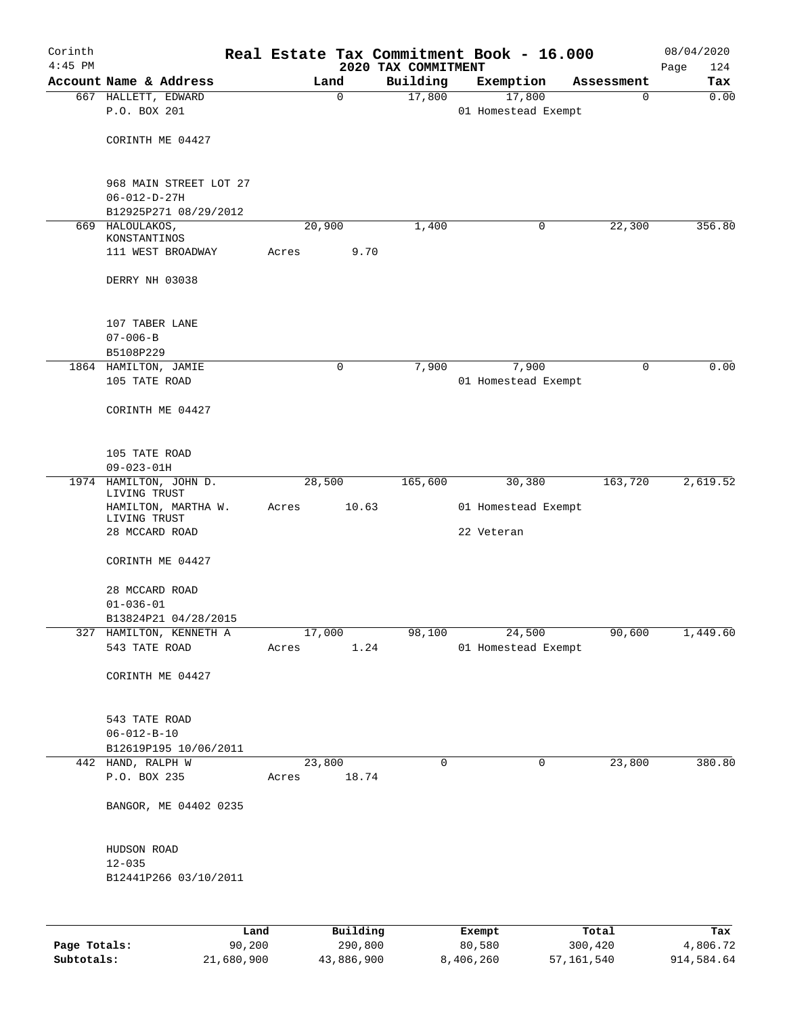| Corinth<br>$4:45$ PM |                                     |             | 2020 TAX COMMITMENT | Real Estate Tax Commitment Book - 16.000 |                  | 08/04/2020<br>124<br>Page |
|----------------------|-------------------------------------|-------------|---------------------|------------------------------------------|------------------|---------------------------|
|                      | Account Name & Address              | Land        | Building            | Exemption                                | Assessment       | Tax                       |
|                      | 667 HALLETT, EDWARD                 | $\mathbf 0$ | 17,800              | 17,800                                   | $\mathbf 0$      | 0.00                      |
|                      | P.O. BOX 201                        |             |                     | 01 Homestead Exempt                      |                  |                           |
|                      | CORINTH ME 04427                    |             |                     |                                          |                  |                           |
|                      |                                     |             |                     |                                          |                  |                           |
|                      | 968 MAIN STREET LOT 27              |             |                     |                                          |                  |                           |
|                      | $06 - 012 - D - 27H$                |             |                     |                                          |                  |                           |
|                      | B12925P271 08/29/2012               |             |                     |                                          |                  |                           |
|                      | 669 HALOULAKOS,<br>KONSTANTINOS     | 20,900      | 1,400               | 0                                        | 22,300           | 356.80                    |
|                      | 111 WEST BROADWAY                   | Acres       | 9.70                |                                          |                  |                           |
|                      |                                     |             |                     |                                          |                  |                           |
|                      | DERRY NH 03038                      |             |                     |                                          |                  |                           |
|                      | 107 TABER LANE                      |             |                     |                                          |                  |                           |
|                      | $07 - 006 - B$                      |             |                     |                                          |                  |                           |
|                      | B5108P229                           |             |                     |                                          |                  |                           |
|                      | 1864 HAMILTON, JAMIE                | 0           | 7,900               | 7,900                                    | $\mathbf 0$      | 0.00                      |
|                      | 105 TATE ROAD                       |             |                     | 01 Homestead Exempt                      |                  |                           |
|                      | CORINTH ME 04427                    |             |                     |                                          |                  |                           |
|                      |                                     |             |                     |                                          |                  |                           |
|                      | 105 TATE ROAD                       |             |                     |                                          |                  |                           |
|                      | $09 - 023 - 01H$                    |             |                     |                                          |                  |                           |
|                      | 1974 HAMILTON, JOHN D.              | 28,500      | 165,600             | 30,380                                   | 163,720          | 2,619.52                  |
|                      | LIVING TRUST<br>HAMILTON, MARTHA W. | Acres       | 10.63               | 01 Homestead Exempt                      |                  |                           |
|                      | LIVING TRUST                        |             |                     |                                          |                  |                           |
|                      | 28 MCCARD ROAD                      |             |                     | 22 Veteran                               |                  |                           |
|                      | CORINTH ME 04427                    |             |                     |                                          |                  |                           |
|                      | 28 MCCARD ROAD                      |             |                     |                                          |                  |                           |
|                      | $01 - 036 - 01$                     |             |                     |                                          |                  |                           |
|                      | B13824P21 04/28/2015                |             |                     |                                          |                  |                           |
|                      | 327 HAMILTON, KENNETH A             | 17,000      | 98,100              | 24,500                                   | 90,600           | 1,449.60                  |
|                      | 543 TATE ROAD                       | Acres       | 1.24                | 01 Homestead Exempt                      |                  |                           |
|                      | CORINTH ME 04427                    |             |                     |                                          |                  |                           |
|                      | 543 TATE ROAD                       |             |                     |                                          |                  |                           |
|                      | $06 - 012 - B - 10$                 |             |                     |                                          |                  |                           |
|                      | B12619P195 10/06/2011               |             |                     |                                          |                  |                           |
|                      | 442 HAND, RALPH W                   | 23,800      | 0                   | 0                                        | 23,800           | 380.80                    |
|                      | P.O. BOX 235                        | Acres       | 18.74               |                                          |                  |                           |
|                      | BANGOR, ME 04402 0235               |             |                     |                                          |                  |                           |
|                      |                                     |             |                     |                                          |                  |                           |
|                      | HUDSON ROAD<br>$12 - 035$           |             |                     |                                          |                  |                           |
|                      | B12441P266 03/10/2011               |             |                     |                                          |                  |                           |
|                      |                                     |             |                     |                                          |                  |                           |
|                      |                                     |             |                     |                                          |                  |                           |
| Page Totals:         | 90,200                              | Land        | Building<br>290,800 | Exempt<br>80,580                         | Total<br>300,420 | Tax<br>4,806.72           |
|                      |                                     |             |                     |                                          |                  |                           |

**Subtotals:** 21,680,900 43,886,900 8,406,260 57,161,540 914,584.64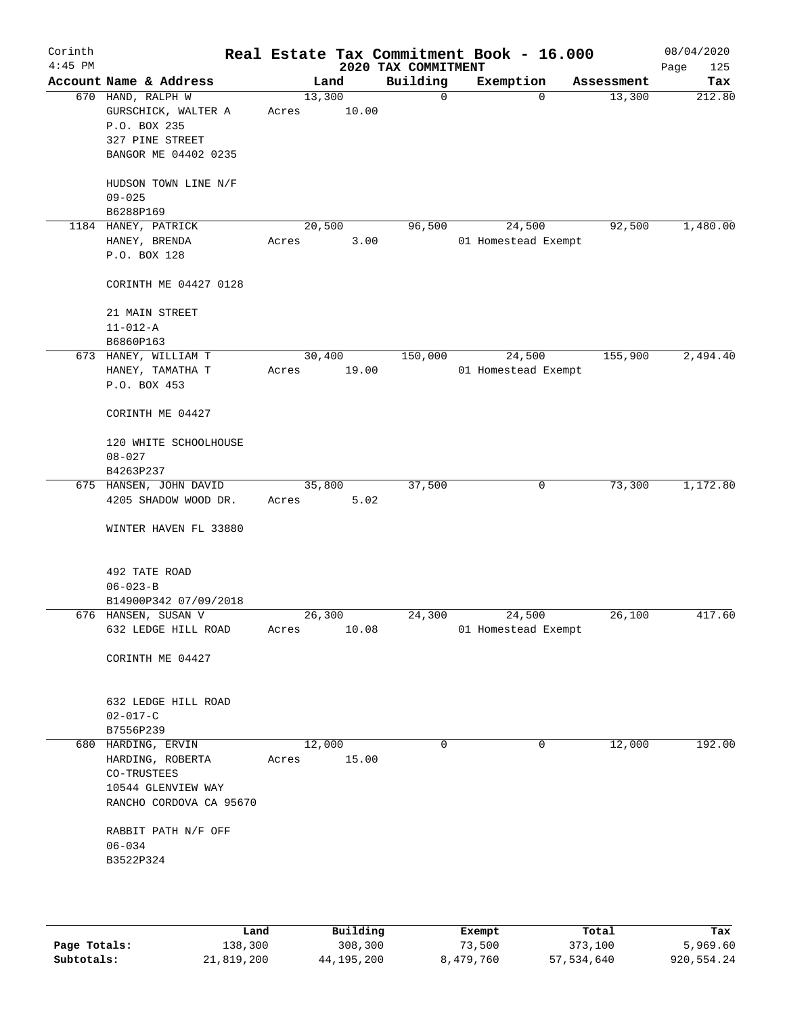| Corinth<br>$4:45$ PM |                                                                                                        |                 |       | 2020 TAX COMMITMENT | Real Estate Tax Commitment Book - 16.000 |            | 08/04/2020<br>Page<br>125 |
|----------------------|--------------------------------------------------------------------------------------------------------|-----------------|-------|---------------------|------------------------------------------|------------|---------------------------|
|                      | Account Name & Address                                                                                 |                 | Land  | Building            | Exemption                                | Assessment | Tax                       |
|                      | 670 HAND, RALPH W<br>GURSCHICK, WALTER A<br>P.O. BOX 235<br>327 PINE STREET<br>BANGOR ME 04402 0235    | 13,300<br>Acres | 10.00 | $\mathsf{O}$        | 0                                        | 13,300     | 212.80                    |
|                      | HUDSON TOWN LINE N/F<br>$09 - 025$                                                                     |                 |       |                     |                                          |            |                           |
|                      | B6288P169<br>1184 HANEY, PATRICK                                                                       | 20,500          |       | 96,500              | 24,500                                   | 92,500     | 1,480.00                  |
|                      | HANEY, BRENDA<br>P.O. BOX 128                                                                          | Acres           | 3.00  |                     | 01 Homestead Exempt                      |            |                           |
|                      | CORINTH ME 04427 0128                                                                                  |                 |       |                     |                                          |            |                           |
|                      | 21 MAIN STREET<br>$11 - 012 - A$<br>B6860P163                                                          |                 |       |                     |                                          |            |                           |
|                      | 673 HANEY, WILLIAM T<br>HANEY, TAMATHA T<br>P.O. BOX 453                                               | 30,400<br>Acres | 19.00 | 150,000             | 24,500<br>01 Homestead Exempt            | 155,900    | 2,494.40                  |
|                      | CORINTH ME 04427                                                                                       |                 |       |                     |                                          |            |                           |
|                      | 120 WHITE SCHOOLHOUSE<br>$08 - 027$<br>B4263P237                                                       |                 |       |                     |                                          |            |                           |
|                      | 675 HANSEN, JOHN DAVID                                                                                 | 35,800          |       | 37,500              | $\mathbf 0$                              | 73,300     | 1,172.80                  |
|                      | 4205 SHADOW WOOD DR.                                                                                   | Acres           | 5.02  |                     |                                          |            |                           |
|                      | WINTER HAVEN FL 33880                                                                                  |                 |       |                     |                                          |            |                           |
|                      | 492 TATE ROAD<br>$06 - 023 - B$                                                                        |                 |       |                     |                                          |            |                           |
|                      | B14900P342 07/09/2018                                                                                  |                 |       |                     |                                          |            |                           |
|                      | 676 HANSEN, SUSAN V                                                                                    | 26,300          |       | 24,300              | 24,500                                   | 26,100     | 417.60                    |
|                      | 632 LEDGE HILL ROAD                                                                                    | Acres           | 10.08 |                     | 01 Homestead Exempt                      |            |                           |
|                      | CORINTH ME 04427                                                                                       |                 |       |                     |                                          |            |                           |
|                      | 632 LEDGE HILL ROAD<br>$02 - 017 - C$                                                                  |                 |       |                     |                                          |            |                           |
|                      | B7556P239                                                                                              |                 |       |                     |                                          |            |                           |
|                      | 680 HARDING, ERVIN<br>HARDING, ROBERTA<br>CO-TRUSTEES<br>10544 GLENVIEW WAY<br>RANCHO CORDOVA CA 95670 | 12,000<br>Acres | 15.00 | 0                   | 0                                        | 12,000     | 192.00                    |
|                      | RABBIT PATH N/F OFF<br>$06 - 034$<br>B3522P324                                                         |                 |       |                     |                                          |            |                           |
|                      |                                                                                                        |                 |       |                     |                                          |            |                           |

|              | Land       | Building     | Exempt    | Total      | Tax        |
|--------------|------------|--------------|-----------|------------|------------|
| Page Totals: | 138,300    | 308,300      | 73,500    | 373,100    | 5,969.60   |
| Subtotals:   | 21,819,200 | 44, 195, 200 | 8,479,760 | 57,534,640 | 920,554.24 |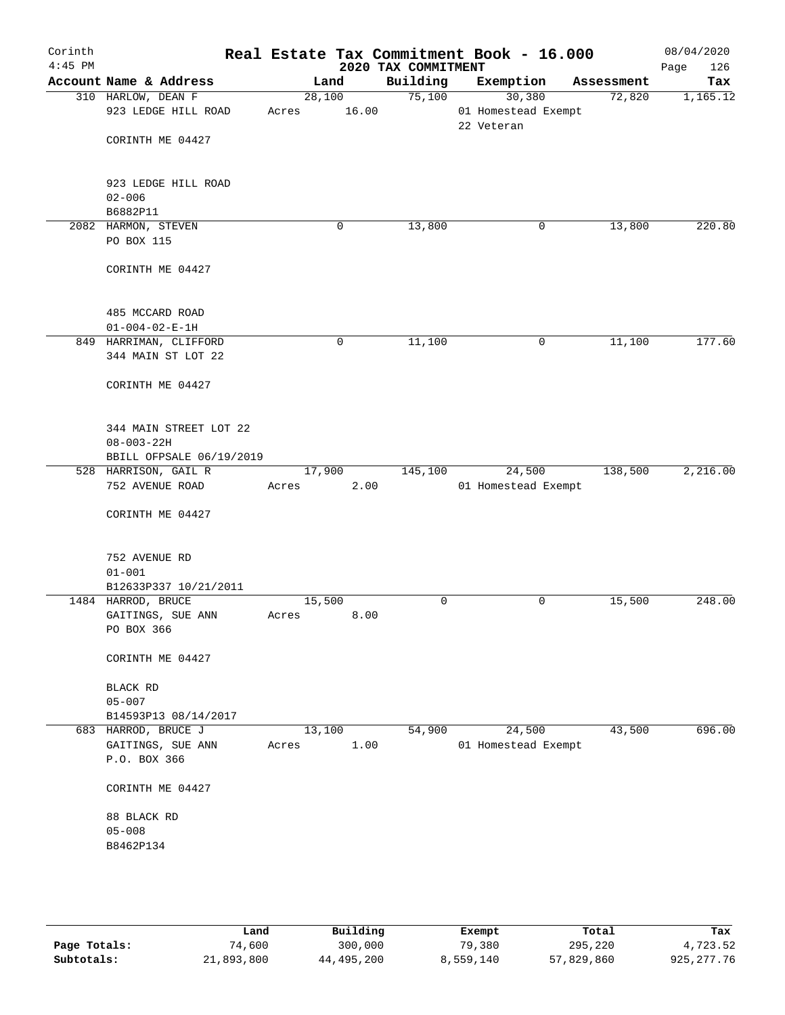| Corinth<br>$4:45$ PM |                                                               |                 |             | 2020 TAX COMMITMENT | Real Estate Tax Commitment Book - 16.000    |            | 08/04/2020<br>Page<br>126 |
|----------------------|---------------------------------------------------------------|-----------------|-------------|---------------------|---------------------------------------------|------------|---------------------------|
|                      | Account Name & Address                                        | Land            |             | Building            | Exemption                                   | Assessment | Tax                       |
|                      | 310 HARLOW, DEAN F<br>923 LEDGE HILL ROAD<br>CORINTH ME 04427 | 28,100<br>Acres | 16.00       | 75,100              | 30,380<br>01 Homestead Exempt<br>22 Veteran | 72,820     | 1,165.12                  |
|                      | 923 LEDGE HILL ROAD<br>$02 - 006$<br>B6882P11                 |                 |             |                     |                                             |            |                           |
|                      | 2082 HARMON, STEVEN                                           |                 | 0           | 13,800              | 0                                           | 13,800     | 220.80                    |
|                      | PO BOX 115                                                    |                 |             |                     |                                             |            |                           |
|                      | CORINTH ME 04427                                              |                 |             |                     |                                             |            |                           |
|                      | 485 MCCARD ROAD                                               |                 |             |                     |                                             |            |                           |
|                      | $01 - 004 - 02 - E - 1H$<br>849 HARRIMAN, CLIFFORD            |                 | $\mathbf 0$ | 11,100              | 0                                           | 11,100     | 177.60                    |
|                      | 344 MAIN ST LOT 22                                            |                 |             |                     |                                             |            |                           |
|                      | CORINTH ME 04427                                              |                 |             |                     |                                             |            |                           |
|                      | 344 MAIN STREET LOT 22<br>$08 - 003 - 22H$                    |                 |             |                     |                                             |            |                           |
|                      | BBILL OFPSALE 06/19/2019                                      | 17,900          |             | 145,100             | 24,500                                      | 138,500    | 2,216.00                  |
|                      | 528 HARRISON, GAIL R<br>752 AVENUE ROAD                       | Acres           | 2.00        |                     | 01 Homestead Exempt                         |            |                           |
|                      | CORINTH ME 04427                                              |                 |             |                     |                                             |            |                           |
|                      | 752 AVENUE RD<br>$01 - 001$                                   |                 |             |                     |                                             |            |                           |
|                      | B12633P337 10/21/2011                                         |                 |             |                     |                                             |            |                           |
|                      | 1484 HARROD, BRUCE                                            | 15,500          |             | $\mathbf 0$         | 0                                           | 15,500     | 248.00                    |
|                      | GAITINGS, SUE ANN<br>PO BOX 366                               | Acres           | 8.00        |                     |                                             |            |                           |
|                      | CORINTH ME 04427                                              |                 |             |                     |                                             |            |                           |
|                      | <b>BLACK RD</b>                                               |                 |             |                     |                                             |            |                           |
|                      | $05 - 007$                                                    |                 |             |                     |                                             |            |                           |
|                      | B14593P13 08/14/2017                                          |                 |             |                     |                                             |            |                           |
|                      | 683 HARROD, BRUCE J<br>GAITINGS, SUE ANN<br>P.O. BOX 366      | 13,100<br>Acres | 1.00        | 54,900              | 24,500<br>01 Homestead Exempt               | 43,500     | 696.00                    |
|                      | CORINTH ME 04427                                              |                 |             |                     |                                             |            |                           |
|                      | 88 BLACK RD<br>$05 - 008$                                     |                 |             |                     |                                             |            |                           |
|                      | B8462P134                                                     |                 |             |                     |                                             |            |                           |
|                      |                                                               |                 |             |                     |                                             |            |                           |

|              | Land       | Building   | Exempt    | Total      | Tax        |
|--------------|------------|------------|-----------|------------|------------|
| Page Totals: | 74,600     | 300,000    | 79,380    | 295,220    | 4,723.52   |
| Subtotals:   | 21,893,800 | 44,495,200 | 8,559,140 | 57,829,860 | 925,277.76 |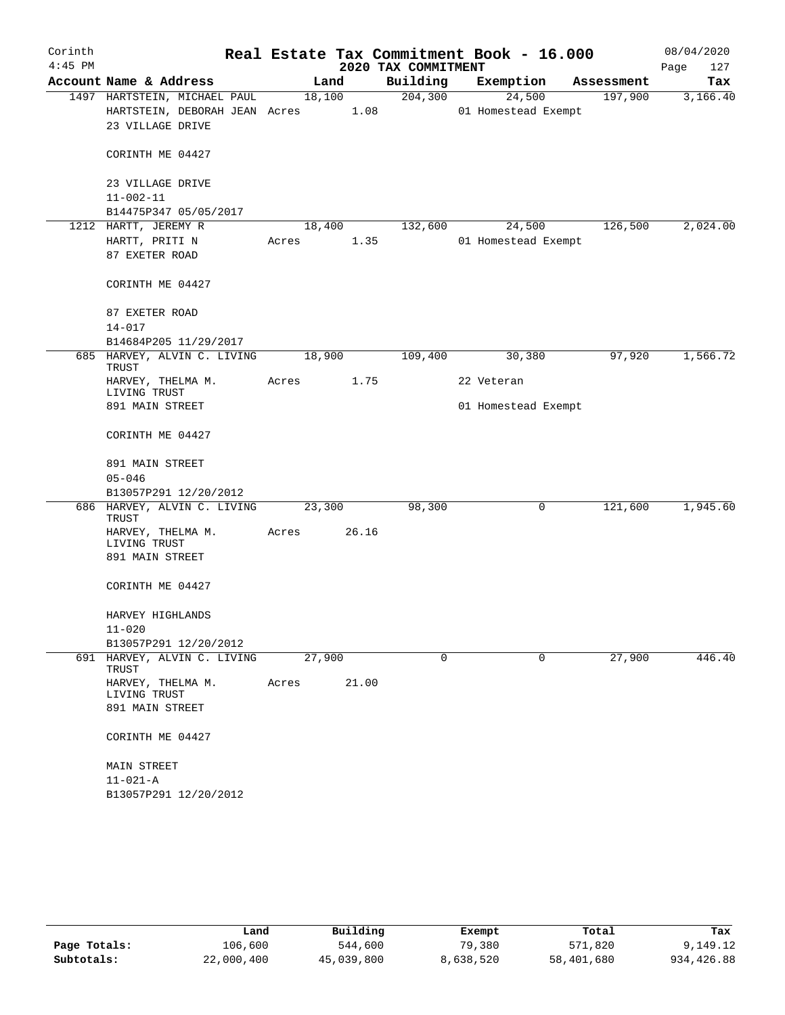| Corinth   |                                      |        |        |                     | Real Estate Tax Commitment Book - 16.000 |            | 08/04/2020  |
|-----------|--------------------------------------|--------|--------|---------------------|------------------------------------------|------------|-------------|
| $4:45$ PM |                                      |        |        | 2020 TAX COMMITMENT |                                          |            | Page<br>127 |
|           | Account Name & Address               |        | Land   | Building            | Exemption                                | Assessment | Tax         |
|           | 1497 HARTSTEIN, MICHAEL PAUL         |        | 18,100 | 204,300             | 24,500                                   | 197,900    | 3,166.40    |
|           | HARTSTEIN, DEBORAH JEAN Acres        |        | 1.08   |                     | 01 Homestead Exempt                      |            |             |
|           | 23 VILLAGE DRIVE                     |        |        |                     |                                          |            |             |
|           | CORINTH ME 04427                     |        |        |                     |                                          |            |             |
|           | 23 VILLAGE DRIVE                     |        |        |                     |                                          |            |             |
|           | $11 - 002 - 11$                      |        |        |                     |                                          |            |             |
|           | B14475P347 05/05/2017                |        |        |                     |                                          |            |             |
|           | 1212 HARTT, JEREMY R                 | 18,400 |        | 132,600             | 24,500                                   | 126,500    | 2,024.00    |
|           | HARTT, PRITI N                       | Acres  | 1.35   |                     | 01 Homestead Exempt                      |            |             |
|           | 87 EXETER ROAD                       |        |        |                     |                                          |            |             |
|           | CORINTH ME 04427                     |        |        |                     |                                          |            |             |
|           | 87 EXETER ROAD                       |        |        |                     |                                          |            |             |
|           | $14 - 017$                           |        |        |                     |                                          |            |             |
|           | B14684P205 11/29/2017                |        |        |                     |                                          |            |             |
|           | 685 HARVEY, ALVIN C. LIVING<br>TRUST | 18,900 |        | 109,400             | 30,380                                   | 97,920     | 1,566.72    |
|           | HARVEY, THELMA M.<br>LIVING TRUST    | Acres  | 1.75   |                     | 22 Veteran                               |            |             |
|           | 891 MAIN STREET                      |        |        |                     | 01 Homestead Exempt                      |            |             |
|           | CORINTH ME 04427                     |        |        |                     |                                          |            |             |
|           | 891 MAIN STREET                      |        |        |                     |                                          |            |             |
|           | $05 - 046$                           |        |        |                     |                                          |            |             |
|           | B13057P291 12/20/2012                |        |        |                     |                                          |            |             |
|           | 686 HARVEY, ALVIN C. LIVING          | 23,300 |        | 98,300              | 0                                        | 121,600    | 1,945.60    |
|           | TRUST                                |        |        |                     |                                          |            |             |
|           | HARVEY, THELMA M.                    | Acres  | 26.16  |                     |                                          |            |             |
|           | LIVING TRUST                         |        |        |                     |                                          |            |             |
|           | 891 MAIN STREET                      |        |        |                     |                                          |            |             |
|           | CORINTH ME 04427                     |        |        |                     |                                          |            |             |
|           | HARVEY HIGHLANDS                     |        |        |                     |                                          |            |             |
|           | $11 - 020$                           |        |        |                     |                                          |            |             |
|           | B13057P291 12/20/2012                |        |        |                     |                                          |            |             |
|           | 691 HARVEY, ALVIN C. LIVING<br>TRUST | 27,900 |        | $\mathbf 0$         | 0                                        | 27,900     | 446.40      |
|           | HARVEY, THELMA M.<br>LIVING TRUST    | Acres  | 21.00  |                     |                                          |            |             |
|           | 891 MAIN STREET                      |        |        |                     |                                          |            |             |
|           | CORINTH ME 04427                     |        |        |                     |                                          |            |             |
|           | <b>MAIN STREET</b>                   |        |        |                     |                                          |            |             |
|           | $11 - 021 - A$                       |        |        |                     |                                          |            |             |
|           | B13057P291 12/20/2012                |        |        |                     |                                          |            |             |
|           |                                      |        |        |                     |                                          |            |             |

|              | Land       | Building   | Exempt    | Total      | Tax        |  |
|--------------|------------|------------|-----------|------------|------------|--|
| Page Totals: | 106,600    | 544,600    | 79,380    | 571,820    | 9,149.12   |  |
| Subtotals:   | 22,000,400 | 45,039,800 | 8,638,520 | 58,401,680 | 934,426.88 |  |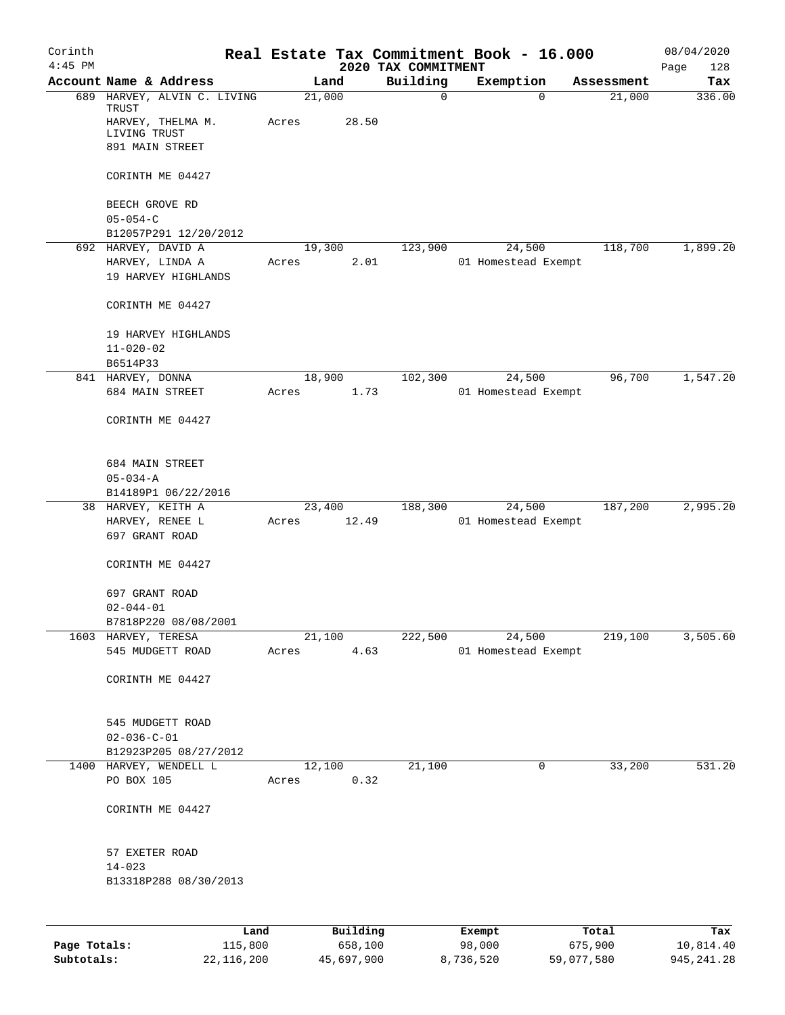| Corinth<br>$4:45$ PM |                                                                           |                 |                 | 2020 TAX COMMITMENT | Real Estate Tax Commitment Book - 16.000 |            | 08/04/2020<br>Page<br>128 |
|----------------------|---------------------------------------------------------------------------|-----------------|-----------------|---------------------|------------------------------------------|------------|---------------------------|
|                      | Account Name & Address                                                    |                 | Land            | Building            | Exemption                                | Assessment | Tax                       |
|                      | 689 HARVEY, ALVIN C. LIVING<br>TRUST<br>HARVEY, THELMA M.<br>LIVING TRUST | 21,000<br>Acres | 28.50           | $\mathbf 0$         | $\Omega$                                 | 21,000     | 336.00                    |
|                      | 891 MAIN STREET                                                           |                 |                 |                     |                                          |            |                           |
|                      | CORINTH ME 04427                                                          |                 |                 |                     |                                          |            |                           |
|                      | BEECH GROVE RD<br>$05 - 054 - C$                                          |                 |                 |                     |                                          |            |                           |
|                      | B12057P291 12/20/2012<br>692 HARVEY, DAVID A                              | 19,300          |                 | 123,900             | 24,500                                   | 118,700    | 1,899.20                  |
|                      | HARVEY, LINDA A<br>19 HARVEY HIGHLANDS                                    | Acres           | 2.01            |                     | 01 Homestead Exempt                      |            |                           |
|                      | CORINTH ME 04427                                                          |                 |                 |                     |                                          |            |                           |
|                      | 19 HARVEY HIGHLANDS<br>$11 - 020 - 02$                                    |                 |                 |                     |                                          |            |                           |
|                      | B6514P33<br>841 HARVEY, DONNA                                             |                 | 18,900          | 102,300             | 24,500                                   | 96,700     | 1,547.20                  |
|                      | 684 MAIN STREET                                                           | Acres           | 1.73            |                     | 01 Homestead Exempt                      |            |                           |
|                      | CORINTH ME 04427                                                          |                 |                 |                     |                                          |            |                           |
|                      | 684 MAIN STREET<br>$05 - 034 - A$                                         |                 |                 |                     |                                          |            |                           |
|                      | B14189P1 06/22/2016                                                       |                 |                 |                     |                                          |            |                           |
|                      | 38 HARVEY, KEITH A<br>HARVEY, RENEE L<br>697 GRANT ROAD                   | Acres           | 23,400<br>12.49 | 188,300             | 24,500<br>01 Homestead Exempt            | 187,200    | 2,995.20                  |
|                      | CORINTH ME 04427                                                          |                 |                 |                     |                                          |            |                           |
|                      | 697 GRANT ROAD<br>$02 - 044 - 01$                                         |                 |                 |                     |                                          |            |                           |
|                      | B7818P220 08/08/2001                                                      |                 |                 |                     |                                          |            |                           |
|                      | 1603 HARVEY, TERESA<br>545 MUDGETT ROAD                                   | Acres           | 21,100<br>4.63  | 222,500             | 24,500<br>01 Homestead Exempt            | 219,100    | 3,505.60                  |
|                      | CORINTH ME 04427                                                          |                 |                 |                     |                                          |            |                           |
|                      | 545 MUDGETT ROAD<br>$02 - 036 - C - 01$                                   |                 |                 |                     |                                          |            |                           |
|                      | B12923P205 08/27/2012                                                     |                 |                 |                     |                                          |            |                           |
|                      | 1400 HARVEY, WENDELL L<br>PO BOX 105                                      | Acres           | 12,100<br>0.32  | 21,100              | $\mathbf 0$                              | 33,200     | 531.20                    |
|                      | CORINTH ME 04427                                                          |                 |                 |                     |                                          |            |                           |
|                      | 57 EXETER ROAD                                                            |                 |                 |                     |                                          |            |                           |
|                      | $14 - 023$<br>B13318P288 08/30/2013                                       |                 |                 |                     |                                          |            |                           |
|                      |                                                                           |                 |                 |                     |                                          |            |                           |
|                      |                                                                           | Land            | Building        |                     | Exempt                                   | Total      | Tax                       |

|              | nana       | <u>DULLULUM</u> | <b>BY CITING</b> | - 2001     | $-0.2$       |
|--------------|------------|-----------------|------------------|------------|--------------|
| Page Totals: | 115,800    | 658,100         | 98,000           | 675,900    | 10,814.40    |
| Subtotals:   | 22,116,200 | 45,697,900      | 8,736,520        | 59,077,580 | 945, 241, 28 |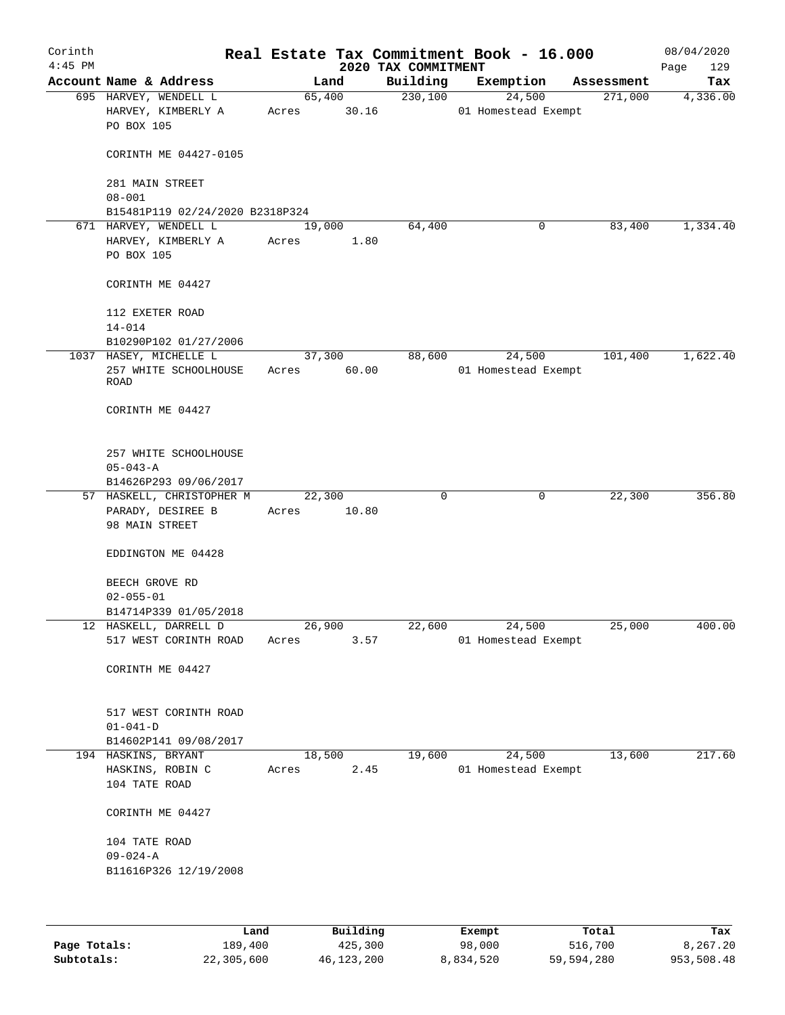| Corinth<br>$4:45$ PM |                                                                  |                  |                 | 2020 TAX COMMITMENT | Real Estate Tax Commitment Book - 16.000 |            | 08/04/2020<br>129<br>Page |
|----------------------|------------------------------------------------------------------|------------------|-----------------|---------------------|------------------------------------------|------------|---------------------------|
|                      | Account Name & Address                                           |                  | Land            | Building            | Exemption                                | Assessment | Tax                       |
|                      | 695 HARVEY, WENDELL L<br>HARVEY, KIMBERLY A<br>PO BOX 105        | Acres            | 65,400<br>30.16 | 230,100             | 24,500<br>01 Homestead Exempt            | 271,000    | 4,336.00                  |
|                      | CORINTH ME 04427-0105                                            |                  |                 |                     |                                          |            |                           |
|                      | 281 MAIN STREET<br>$08 - 001$                                    |                  |                 |                     |                                          |            |                           |
|                      | B15481P119 02/24/2020 B2318P324                                  |                  |                 |                     |                                          |            |                           |
|                      | 671 HARVEY, WENDELL L                                            |                  | 19,000          | 64,400              | 0                                        | 83,400     | 1,334.40                  |
|                      | HARVEY, KIMBERLY A<br>PO BOX 105                                 | Acres            | 1.80            |                     |                                          |            |                           |
|                      | CORINTH ME 04427                                                 |                  |                 |                     |                                          |            |                           |
|                      | 112 EXETER ROAD<br>$14 - 014$                                    |                  |                 |                     |                                          |            |                           |
|                      | B10290P102 01/27/2006                                            |                  |                 |                     |                                          |            |                           |
|                      | 1037 HASEY, MICHELLE L<br>257 WHITE SCHOOLHOUSE<br>ROAD          | Acres            | 37,300<br>60.00 | 88,600              | 24,500<br>01 Homestead Exempt            | 101,400    | 1,622.40                  |
|                      | CORINTH ME 04427                                                 |                  |                 |                     |                                          |            |                           |
|                      | 257 WHITE SCHOOLHOUSE<br>$05 - 043 - A$                          |                  |                 |                     |                                          |            |                           |
|                      | B14626P293 09/06/2017                                            |                  |                 |                     |                                          |            |                           |
|                      | 57 HASKELL, CHRISTOPHER M<br>PARADY, DESIREE B<br>98 MAIN STREET | 22, 300<br>Acres | 10.80           | 0                   | 0                                        | 22,300     | 356.80                    |
|                      | EDDINGTON ME 04428                                               |                  |                 |                     |                                          |            |                           |
|                      | BEECH GROVE RD<br>$02 - 055 - 01$                                |                  |                 |                     |                                          |            |                           |
|                      | B14714P339 01/05/2018                                            |                  |                 |                     |                                          |            |                           |
|                      | 12 HASKELL, DARRELL D                                            | 26,900           |                 | 22,600              | 24,500                                   | 25,000     | 400.00                    |
|                      | 517 WEST CORINTH ROAD                                            | Acres            | 3.57            |                     | 01 Homestead Exempt                      |            |                           |
|                      | CORINTH ME 04427                                                 |                  |                 |                     |                                          |            |                           |
|                      | 517 WEST CORINTH ROAD<br>$01 - 041 - D$                          |                  |                 |                     |                                          |            |                           |
|                      | B14602P141 09/08/2017                                            |                  |                 |                     |                                          |            |                           |
|                      | 194 HASKINS, BRYANT                                              |                  | 18,500          | 19,600              | 24,500                                   | 13,600     | 217.60                    |
|                      | HASKINS, ROBIN C<br>104 TATE ROAD                                | Acres            | 2.45            |                     | 01 Homestead Exempt                      |            |                           |
|                      | CORINTH ME 04427                                                 |                  |                 |                     |                                          |            |                           |
|                      | 104 TATE ROAD                                                    |                  |                 |                     |                                          |            |                           |
|                      | $09 - 024 - A$                                                   |                  |                 |                     |                                          |            |                           |
|                      | B11616P326 12/19/2008                                            |                  |                 |                     |                                          |            |                           |
|                      |                                                                  |                  |                 |                     |                                          |            |                           |
|                      | Land.                                                            |                  | Building        |                     | <b>Fromnt</b>                            | $T$ ctal   | Tov                       |

|              | Land       | Building   | Exempt    | Total      | Tax        |
|--------------|------------|------------|-----------|------------|------------|
| Page Totals: | 189.400    | 425,300    | 98,000    | 516,700    | 8,267.20   |
| Subtotals:   | 22,305,600 | 46,123,200 | 8,834,520 | 59,594,280 | 953,508.48 |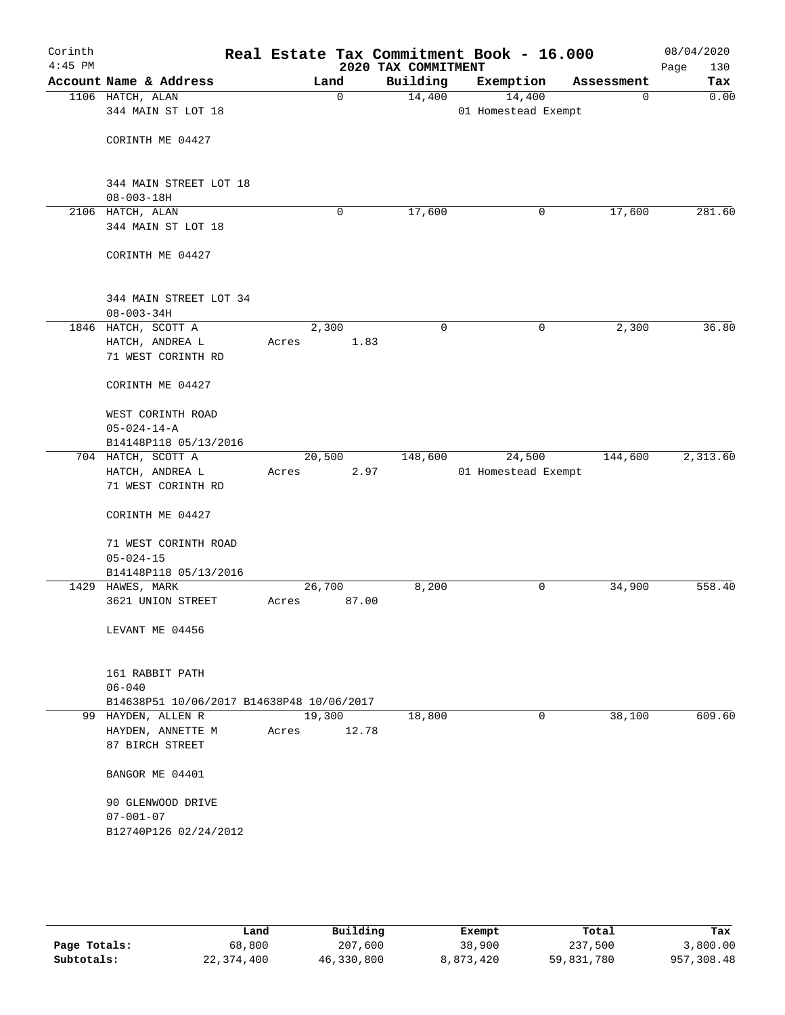| Corinth<br>$4:45$ PM |                                           | Real Estate Tax Commitment Book - 16.000 | 2020 TAX COMMITMENT |                     |            | 08/04/2020<br>130<br>Page |
|----------------------|-------------------------------------------|------------------------------------------|---------------------|---------------------|------------|---------------------------|
|                      | Account Name & Address                    | Land                                     | Building            | Exemption           | Assessment | Tax                       |
|                      | 1106 HATCH, ALAN                          | $\mathbf 0$                              | 14,400              | 14,400              | 0          | 0.00                      |
|                      | 344 MAIN ST LOT 18                        |                                          |                     | 01 Homestead Exempt |            |                           |
|                      |                                           |                                          |                     |                     |            |                           |
|                      | CORINTH ME 04427                          |                                          |                     |                     |            |                           |
|                      |                                           |                                          |                     |                     |            |                           |
|                      | 344 MAIN STREET LOT 18                    |                                          |                     |                     |            |                           |
|                      | $08 - 003 - 18H$                          |                                          |                     |                     |            |                           |
|                      | 2106 HATCH, ALAN                          | 0                                        | 17,600              | 0                   | 17,600     | 281.60                    |
|                      | 344 MAIN ST LOT 18                        |                                          |                     |                     |            |                           |
|                      | CORINTH ME 04427                          |                                          |                     |                     |            |                           |
|                      |                                           |                                          |                     |                     |            |                           |
|                      | 344 MAIN STREET LOT 34                    |                                          |                     |                     |            |                           |
|                      | $08 - 003 - 34H$                          |                                          |                     |                     |            |                           |
|                      | 1846 HATCH, SCOTT A                       | 2,300                                    | 0                   | $\mathbf 0$         | 2,300      | 36.80                     |
|                      | HATCH, ANDREA L                           | 1.83<br>Acres                            |                     |                     |            |                           |
|                      | 71 WEST CORINTH RD                        |                                          |                     |                     |            |                           |
|                      | CORINTH ME 04427                          |                                          |                     |                     |            |                           |
|                      | WEST CORINTH ROAD                         |                                          |                     |                     |            |                           |
|                      | $05 - 024 - 14 - A$                       |                                          |                     |                     |            |                           |
|                      | B14148P118 05/13/2016                     |                                          |                     |                     |            |                           |
|                      | 704 HATCH, SCOTT A                        | 20,500                                   | 148,600             | 24,500              | 144,600    | 2,313.60                  |
|                      | HATCH, ANDREA L                           | 2.97<br>Acres                            |                     | 01 Homestead Exempt |            |                           |
|                      | 71 WEST CORINTH RD                        |                                          |                     |                     |            |                           |
|                      | CORINTH ME 04427                          |                                          |                     |                     |            |                           |
|                      | 71 WEST CORINTH ROAD                      |                                          |                     |                     |            |                           |
|                      | $05 - 024 - 15$                           |                                          |                     |                     |            |                           |
|                      | B14148P118 05/13/2016                     |                                          |                     |                     |            |                           |
|                      | 1429 HAWES, MARK                          | 26,700                                   | 8,200               | 0                   | 34,900     | 558.40                    |
|                      | 3621 UNION STREET                         | 87.00<br>Acres                           |                     |                     |            |                           |
|                      | LEVANT ME 04456                           |                                          |                     |                     |            |                           |
|                      |                                           |                                          |                     |                     |            |                           |
|                      | 161 RABBIT PATH                           |                                          |                     |                     |            |                           |
|                      | $06 - 040$                                |                                          |                     |                     |            |                           |
|                      | B14638P51 10/06/2017 B14638P48 10/06/2017 |                                          |                     |                     |            |                           |
|                      | 99 HAYDEN, ALLEN R                        | 19,300                                   | 18,800              | 0                   | 38,100     | 609.60                    |
|                      | HAYDEN, ANNETTE M                         | 12.78<br>Acres                           |                     |                     |            |                           |
|                      | 87 BIRCH STREET                           |                                          |                     |                     |            |                           |
|                      | BANGOR ME 04401                           |                                          |                     |                     |            |                           |
|                      | 90 GLENWOOD DRIVE                         |                                          |                     |                     |            |                           |
|                      | $07 - 001 - 07$                           |                                          |                     |                     |            |                           |
|                      | B12740P126 02/24/2012                     |                                          |                     |                     |            |                           |
|                      |                                           |                                          |                     |                     |            |                           |
|                      |                                           |                                          |                     |                     |            |                           |

|              | Land       | Building   | Exempt    | Total      | Tax        |
|--------------|------------|------------|-----------|------------|------------|
| Page Totals: | 68,800     | 207,600    | 38,900    | 237,500    | 3,800.00   |
| Subtotals:   | 22,374,400 | 46,330,800 | 8,873,420 | 59,831,780 | 957,308.48 |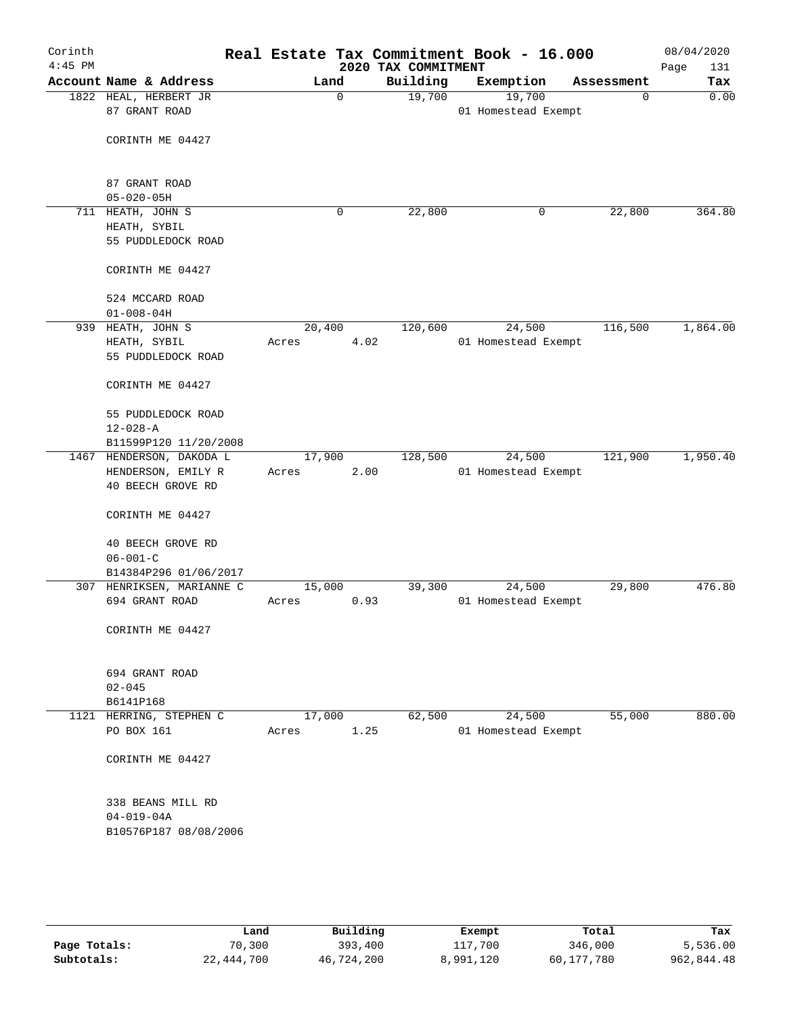| Corinth<br>$4:45$ PM |                |                                         |        |          |      |                                 | Real Estate Tax Commitment Book - 16.000 |            | 08/04/2020         |
|----------------------|----------------|-----------------------------------------|--------|----------|------|---------------------------------|------------------------------------------|------------|--------------------|
|                      |                | Account Name & Address                  |        | Land     |      | 2020 TAX COMMITMENT<br>Building | Exemption                                | Assessment | 131<br>Page<br>Tax |
|                      |                | 1822 HEAL, HERBERT JR                   |        | $\Omega$ |      | 19,700                          | 19,700                                   | 0          | 0.00               |
|                      |                | 87 GRANT ROAD                           |        |          |      |                                 | 01 Homestead Exempt                      |            |                    |
|                      |                |                                         |        |          |      |                                 |                                          |            |                    |
|                      |                | CORINTH ME 04427                        |        |          |      |                                 |                                          |            |                    |
|                      |                |                                         |        |          |      |                                 |                                          |            |                    |
|                      |                |                                         |        |          |      |                                 |                                          |            |                    |
|                      |                | 87 GRANT ROAD                           |        |          |      |                                 |                                          |            |                    |
|                      |                | $05 - 020 - 05H$                        |        |          |      |                                 |                                          |            |                    |
|                      |                | 711 HEATH, JOHN S<br>HEATH, SYBIL       |        | 0        |      | 22,800                          | 0                                        | 22,800     | 364.80             |
|                      |                | 55 PUDDLEDOCK ROAD                      |        |          |      |                                 |                                          |            |                    |
|                      |                |                                         |        |          |      |                                 |                                          |            |                    |
|                      |                | CORINTH ME 04427                        |        |          |      |                                 |                                          |            |                    |
|                      |                |                                         |        |          |      |                                 |                                          |            |                    |
|                      |                | 524 MCCARD ROAD                         |        |          |      |                                 |                                          |            |                    |
|                      |                | $01 - 008 - 04H$                        |        |          |      |                                 |                                          |            |                    |
|                      |                | 939 HEATH, JOHN S                       | 20,400 |          |      | 120,600                         | 24,500                                   | 116,500    | 1,864.00           |
|                      |                | HEATH, SYBIL<br>55 PUDDLEDOCK ROAD      | Acres  |          | 4.02 |                                 | 01 Homestead Exempt                      |            |                    |
|                      |                |                                         |        |          |      |                                 |                                          |            |                    |
|                      |                | CORINTH ME 04427                        |        |          |      |                                 |                                          |            |                    |
|                      |                |                                         |        |          |      |                                 |                                          |            |                    |
|                      |                | 55 PUDDLEDOCK ROAD                      |        |          |      |                                 |                                          |            |                    |
|                      | $12 - 028 - A$ |                                         |        |          |      |                                 |                                          |            |                    |
|                      |                | B11599P120 11/20/2008                   |        |          |      |                                 |                                          |            |                    |
|                      |                | 1467 HENDERSON, DAKODA L                | 17,900 |          |      | 128,500                         | 24,500                                   | 121,900    | 1,950.40           |
|                      |                | HENDERSON, EMILY R<br>40 BEECH GROVE RD | Acres  |          | 2.00 |                                 | 01 Homestead Exempt                      |            |                    |
|                      |                |                                         |        |          |      |                                 |                                          |            |                    |
|                      |                | CORINTH ME 04427                        |        |          |      |                                 |                                          |            |                    |
|                      |                |                                         |        |          |      |                                 |                                          |            |                    |
|                      |                | 40 BEECH GROVE RD                       |        |          |      |                                 |                                          |            |                    |
|                      | $06 - 001 - C$ |                                         |        |          |      |                                 |                                          |            |                    |
|                      |                | B14384P296 01/06/2017                   |        |          |      |                                 |                                          |            |                    |
|                      |                | 307 HENRIKSEN, MARIANNE C               | 15,000 |          |      | 39,300                          | 24,500                                   | 29,800     | 476.80             |
|                      |                | 694 GRANT ROAD                          | Acres  |          | 0.93 |                                 | 01 Homestead Exempt                      |            |                    |
|                      |                | CORINTH ME 04427                        |        |          |      |                                 |                                          |            |                    |
|                      |                |                                         |        |          |      |                                 |                                          |            |                    |
|                      |                |                                         |        |          |      |                                 |                                          |            |                    |
|                      |                | 694 GRANT ROAD                          |        |          |      |                                 |                                          |            |                    |
|                      | $02 - 045$     |                                         |        |          |      |                                 |                                          |            |                    |
|                      | B6141P168      |                                         |        |          |      |                                 |                                          |            |                    |
|                      |                | 1121 HERRING, STEPHEN C                 | 17,000 |          |      | 62,500                          | 24,500                                   | 55,000     | 880.00             |
|                      |                | PO BOX 161                              | Acres  |          | 1.25 |                                 | 01 Homestead Exempt                      |            |                    |
|                      |                | CORINTH ME 04427                        |        |          |      |                                 |                                          |            |                    |
|                      |                |                                         |        |          |      |                                 |                                          |            |                    |
|                      |                |                                         |        |          |      |                                 |                                          |            |                    |
|                      |                | 338 BEANS MILL RD                       |        |          |      |                                 |                                          |            |                    |
|                      |                | $04 - 019 - 04A$                        |        |          |      |                                 |                                          |            |                    |
|                      |                | B10576P187 08/08/2006                   |        |          |      |                                 |                                          |            |                    |
|                      |                |                                         |        |          |      |                                 |                                          |            |                    |
|                      |                |                                         |        |          |      |                                 |                                          |            |                    |
|                      |                |                                         |        |          |      |                                 |                                          |            |                    |
|                      |                |                                         |        |          |      |                                 |                                          |            |                    |

|              | Land       | Building   | Exempt    | Total      | Tax        |
|--------------|------------|------------|-----------|------------|------------|
| Page Totals: | 70,300     | 393,400    | 117,700   | 346,000    | 5,536.00   |
| Subtotals:   | 22,444,700 | 46,724,200 | 8,991,120 | 60,177,780 | 962,844.48 |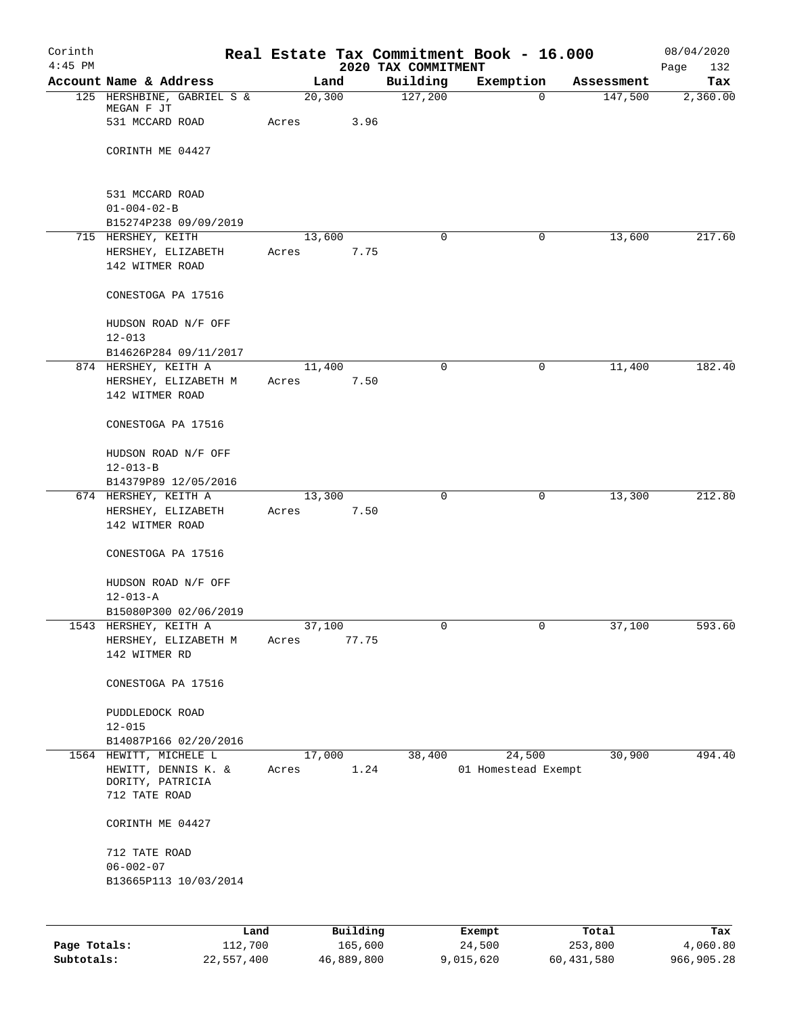| Corinth<br>$4:45$ PM |                                               |        |          | 2020 TAX COMMITMENT | Real Estate Tax Commitment Book - 16.000 |            | 08/04/2020<br>132<br>Page |
|----------------------|-----------------------------------------------|--------|----------|---------------------|------------------------------------------|------------|---------------------------|
|                      | Account Name & Address                        |        | Land     | Building            | Exemption                                | Assessment | Tax                       |
|                      | 125 HERSHBINE, GABRIEL S &                    | 20,300 |          | 127,200             | 0                                        | 147,500    | 2,360.00                  |
|                      | MEGAN F JT<br>531 MCCARD ROAD                 |        | 3.96     |                     |                                          |            |                           |
|                      |                                               | Acres  |          |                     |                                          |            |                           |
|                      | CORINTH ME 04427                              |        |          |                     |                                          |            |                           |
|                      |                                               |        |          |                     |                                          |            |                           |
|                      |                                               |        |          |                     |                                          |            |                           |
|                      | 531 MCCARD ROAD                               |        |          |                     |                                          |            |                           |
|                      | $01 - 004 - 02 - B$                           |        |          |                     |                                          |            |                           |
|                      | B15274P238 09/09/2019<br>715 HERSHEY, KEITH   | 13,600 |          | 0                   | $\mathbf 0$                              | 13,600     | 217.60                    |
|                      | HERSHEY, ELIZABETH                            | Acres  | 7.75     |                     |                                          |            |                           |
|                      | 142 WITMER ROAD                               |        |          |                     |                                          |            |                           |
|                      |                                               |        |          |                     |                                          |            |                           |
|                      | CONESTOGA PA 17516                            |        |          |                     |                                          |            |                           |
|                      |                                               |        |          |                     |                                          |            |                           |
|                      | HUDSON ROAD N/F OFF                           |        |          |                     |                                          |            |                           |
|                      | $12 - 013$                                    |        |          |                     |                                          |            |                           |
|                      | B14626P284 09/11/2017<br>874 HERSHEY, KEITH A | 11,400 |          | 0                   | 0                                        | 11,400     | 182.40                    |
|                      | HERSHEY, ELIZABETH M                          | Acres  | 7.50     |                     |                                          |            |                           |
|                      | 142 WITMER ROAD                               |        |          |                     |                                          |            |                           |
|                      |                                               |        |          |                     |                                          |            |                           |
|                      | CONESTOGA PA 17516                            |        |          |                     |                                          |            |                           |
|                      |                                               |        |          |                     |                                          |            |                           |
|                      | HUDSON ROAD N/F OFF                           |        |          |                     |                                          |            |                           |
|                      | $12 - 013 - B$                                |        |          |                     |                                          |            |                           |
|                      | B14379P89 12/05/2016<br>674 HERSHEY, KEITH A  | 13,300 |          | 0                   | 0                                        | 13,300     | 212.80                    |
|                      | HERSHEY, ELIZABETH                            | Acres  | 7.50     |                     |                                          |            |                           |
|                      | 142 WITMER ROAD                               |        |          |                     |                                          |            |                           |
|                      |                                               |        |          |                     |                                          |            |                           |
|                      | CONESTOGA PA 17516                            |        |          |                     |                                          |            |                           |
|                      |                                               |        |          |                     |                                          |            |                           |
|                      | HUDSON ROAD N/F OFF                           |        |          |                     |                                          |            |                           |
|                      | $12 - 013 - A$<br>B15080P300 02/06/2019       |        |          |                     |                                          |            |                           |
|                      | 1543 HERSHEY, KEITH A                         | 37,100 |          | 0                   | 0                                        | 37,100     | 593.60                    |
|                      | HERSHEY, ELIZABETH M                          | Acres  | 77.75    |                     |                                          |            |                           |
|                      | 142 WITMER RD                                 |        |          |                     |                                          |            |                           |
|                      |                                               |        |          |                     |                                          |            |                           |
|                      | CONESTOGA PA 17516                            |        |          |                     |                                          |            |                           |
|                      |                                               |        |          |                     |                                          |            |                           |
|                      | PUDDLEDOCK ROAD<br>$12 - 015$                 |        |          |                     |                                          |            |                           |
|                      | B14087P166 02/20/2016                         |        |          |                     |                                          |            |                           |
|                      | 1564 HEWITT, MICHELE L                        | 17,000 |          | 38,400              | 24,500                                   | 30,900     | 494.40                    |
|                      | HEWITT, DENNIS K. &                           | Acres  | 1.24     |                     | 01 Homestead Exempt                      |            |                           |
|                      | DORITY, PATRICIA                              |        |          |                     |                                          |            |                           |
|                      | 712 TATE ROAD                                 |        |          |                     |                                          |            |                           |
|                      | CORINTH ME 04427                              |        |          |                     |                                          |            |                           |
|                      |                                               |        |          |                     |                                          |            |                           |
|                      | 712 TATE ROAD                                 |        |          |                     |                                          |            |                           |
|                      | $06 - 002 - 07$                               |        |          |                     |                                          |            |                           |
|                      | B13665P113 10/03/2014                         |        |          |                     |                                          |            |                           |
|                      |                                               |        |          |                     |                                          |            |                           |
|                      |                                               |        |          |                     |                                          |            |                           |
|                      | Land                                          |        | Building |                     | Exempt                                   | Total      | Tax                       |

**Page Totals:** 112,700 165,600 24,500 253,800 4,060.80 **Subtotals:** 22,557,400 46,889,800 9,015,620 60,431,580 966,905.28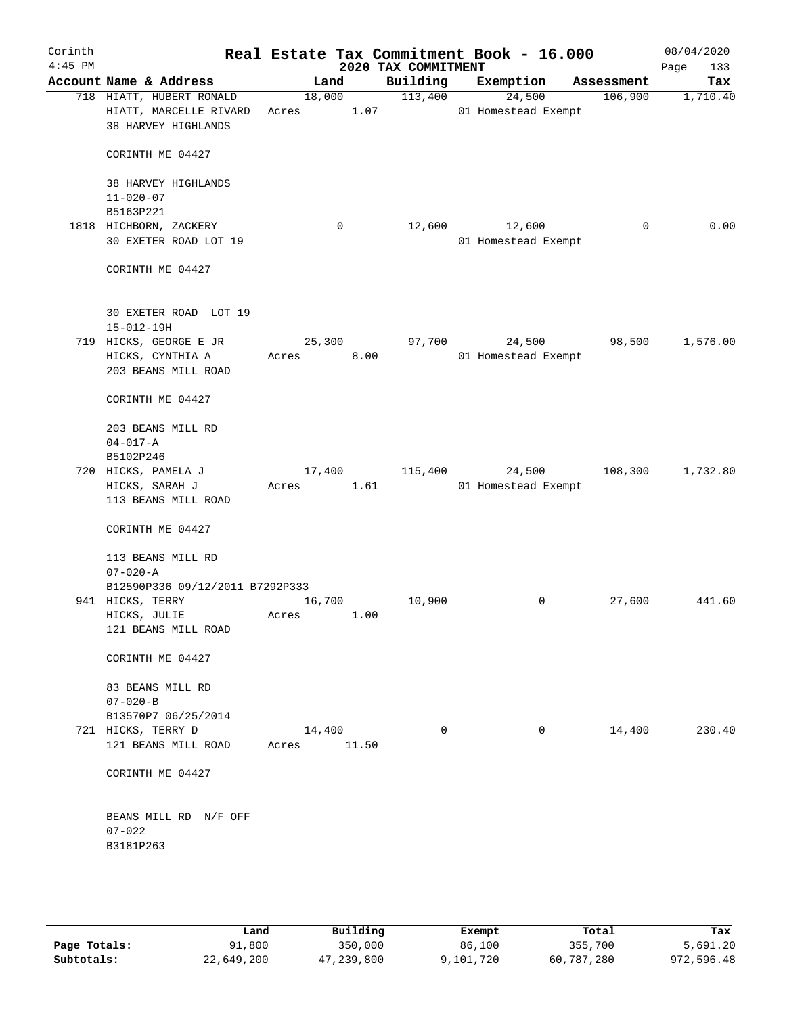| Corinth<br>$4:45$ PM |                                                                           |       |                 | 2020 TAX COMMITMENT |             | Real Estate Tax Commitment Book - 16.000 |             | 08/04/2020<br>Page<br>133 |
|----------------------|---------------------------------------------------------------------------|-------|-----------------|---------------------|-------------|------------------------------------------|-------------|---------------------------|
|                      | Account Name & Address                                                    |       | Land            | Building            |             | Exemption                                | Assessment  | Tax                       |
|                      | 718 HIATT, HUBERT RONALD<br>HIATT, MARCELLE RIVARD<br>38 HARVEY HIGHLANDS | Acres | 18,000          | 113,400<br>1.07     |             | 24,500<br>01 Homestead Exempt            | 106,900     | 1,710.40                  |
|                      | CORINTH ME 04427                                                          |       |                 |                     |             |                                          |             |                           |
|                      | 38 HARVEY HIGHLANDS                                                       |       |                 |                     |             |                                          |             |                           |
|                      | $11 - 020 - 07$<br>B5163P221                                              |       |                 |                     |             |                                          |             |                           |
|                      | 1818 HICHBORN, ZACKERY                                                    |       | 0               | 12,600              |             | 12,600                                   | $\mathbf 0$ | 0.00                      |
|                      | 30 EXETER ROAD LOT 19                                                     |       |                 |                     |             | 01 Homestead Exempt                      |             |                           |
|                      | CORINTH ME 04427                                                          |       |                 |                     |             |                                          |             |                           |
|                      | 30 EXETER ROAD LOT 19<br>$15 - 012 - 19H$                                 |       |                 |                     |             |                                          |             |                           |
|                      | 719 HICKS, GEORGE E JR                                                    |       | 25,300          | 97,700              |             | 24,500                                   | 98,500      | 1,576.00                  |
|                      | HICKS, CYNTHIA A                                                          | Acres | 8.00            |                     |             | 01 Homestead Exempt                      |             |                           |
|                      | 203 BEANS MILL ROAD                                                       |       |                 |                     |             |                                          |             |                           |
|                      | CORINTH ME 04427                                                          |       |                 |                     |             |                                          |             |                           |
|                      | 203 BEANS MILL RD                                                         |       |                 |                     |             |                                          |             |                           |
|                      | $04 - 017 - A$                                                            |       |                 |                     |             |                                          |             |                           |
|                      | B5102P246                                                                 |       |                 |                     |             |                                          |             |                           |
|                      | 720 HICKS, PAMELA J                                                       |       | 17,400          | 115,400             |             | 24,500                                   | 108,300     | 1,732.80                  |
|                      | HICKS, SARAH J                                                            | Acres |                 | 1.61                |             | 01 Homestead Exempt                      |             |                           |
|                      | 113 BEANS MILL ROAD                                                       |       |                 |                     |             |                                          |             |                           |
|                      | CORINTH ME 04427                                                          |       |                 |                     |             |                                          |             |                           |
|                      | 113 BEANS MILL RD<br>$07 - 020 - A$                                       |       |                 |                     |             |                                          |             |                           |
|                      | B12590P336 09/12/2011 B7292P333                                           |       |                 |                     |             |                                          |             |                           |
|                      | 941 HICKS, TERRY                                                          |       | 16,700          | 10,900              |             | $\mathbf 0$                              | 27,600      | 441.60                    |
|                      | HICKS, JULIE                                                              | Acres |                 | 1.00                |             |                                          |             |                           |
|                      | 121 BEANS MILL ROAD                                                       |       |                 |                     |             |                                          |             |                           |
|                      | CORINTH ME 04427                                                          |       |                 |                     |             |                                          |             |                           |
|                      | 83 BEANS MILL RD                                                          |       |                 |                     |             |                                          |             |                           |
|                      | $07 - 020 - B$                                                            |       |                 |                     |             |                                          |             |                           |
|                      | B13570P7 06/25/2014                                                       |       |                 |                     |             |                                          |             |                           |
|                      | 721 HICKS, TERRY D<br>121 BEANS MILL ROAD                                 | Acres | 14,400<br>11.50 |                     | $\mathbf 0$ | $\mathbf 0$                              | 14,400      | 230.40                    |
|                      | CORINTH ME 04427                                                          |       |                 |                     |             |                                          |             |                           |
|                      | BEANS MILL RD N/F OFF                                                     |       |                 |                     |             |                                          |             |                           |
|                      | $07 - 022$                                                                |       |                 |                     |             |                                          |             |                           |
|                      | B3181P263                                                                 |       |                 |                     |             |                                          |             |                           |
|                      |                                                                           |       |                 |                     |             |                                          |             |                           |
|                      |                                                                           |       |                 |                     |             |                                          |             |                           |
|                      |                                                                           |       |                 |                     |             |                                          |             |                           |
|                      |                                                                           |       |                 |                     |             |                                          |             |                           |

|              | Land       | Building   | Exempt    | Total      | Tax        |
|--------------|------------|------------|-----------|------------|------------|
| Page Totals: | 91,800     | 350,000    | 86,100    | 355,700    | 5,691.20   |
| Subtotals:   | 22,649,200 | 47,239,800 | 9,101,720 | 60,787,280 | 972,596.48 |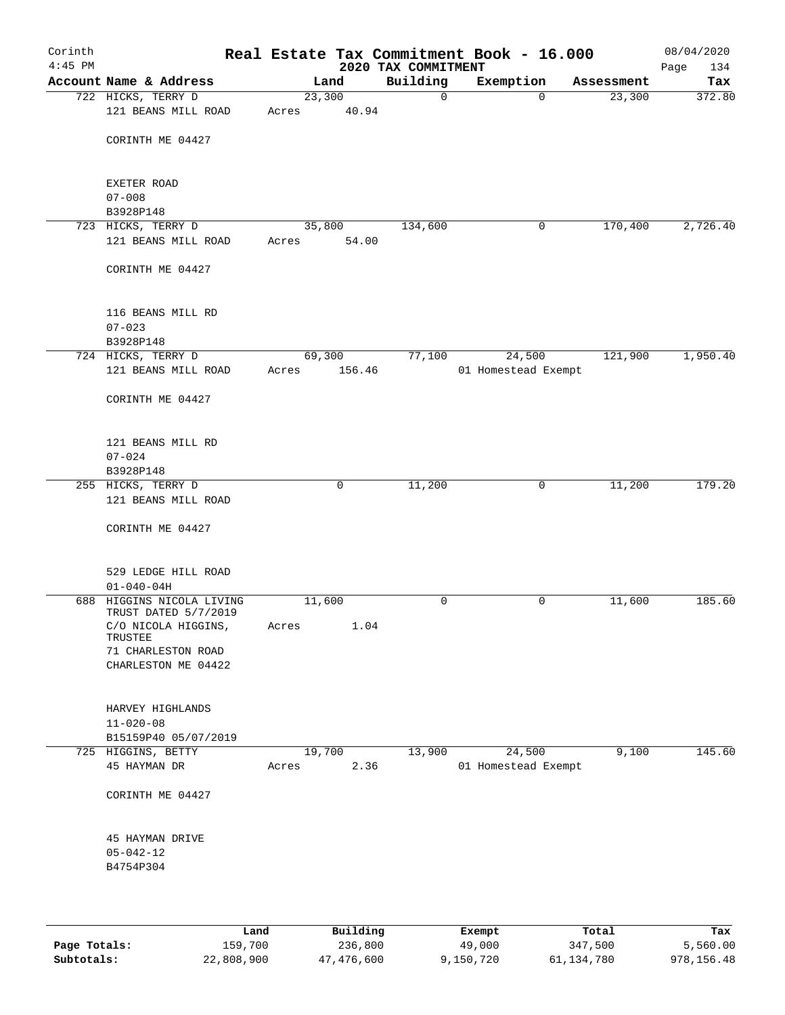| Corinth<br>$4:45$ PM |                                           |                 |             | 2020 TAX COMMITMENT | Real Estate Tax Commitment Book - 16.000 |             |            | 08/04/2020<br>Page<br>134 |
|----------------------|-------------------------------------------|-----------------|-------------|---------------------|------------------------------------------|-------------|------------|---------------------------|
|                      | Account Name & Address                    |                 | Land        | Building            | Exemption                                |             | Assessment | Tax                       |
|                      | 722 HICKS, TERRY D                        | 23,300          |             | $\mathbf 0$         |                                          | $\Omega$    | 23,300     | 372.80                    |
|                      | 121 BEANS MILL ROAD                       | Acres           | 40.94       |                     |                                          |             |            |                           |
|                      |                                           |                 |             |                     |                                          |             |            |                           |
|                      | CORINTH ME 04427                          |                 |             |                     |                                          |             |            |                           |
|                      |                                           |                 |             |                     |                                          |             |            |                           |
|                      |                                           |                 |             |                     |                                          |             |            |                           |
|                      | EXETER ROAD                               |                 |             |                     |                                          |             |            |                           |
|                      | $07 - 008$<br>B3928P148                   |                 |             |                     |                                          |             |            |                           |
|                      | 723 HICKS, TERRY D                        | 35,800          |             | 134,600             |                                          | 0           | 170,400    | 2,726.40                  |
|                      | 121 BEANS MILL ROAD                       | Acres           | 54.00       |                     |                                          |             |            |                           |
|                      |                                           |                 |             |                     |                                          |             |            |                           |
|                      | CORINTH ME 04427                          |                 |             |                     |                                          |             |            |                           |
|                      |                                           |                 |             |                     |                                          |             |            |                           |
|                      |                                           |                 |             |                     |                                          |             |            |                           |
|                      | 116 BEANS MILL RD                         |                 |             |                     |                                          |             |            |                           |
|                      | $07 - 023$                                |                 |             |                     |                                          |             |            |                           |
|                      | B3928P148                                 |                 |             |                     |                                          |             |            |                           |
|                      | 724 HICKS, TERRY D<br>121 BEANS MILL ROAD | 69,300<br>Acres | 156.46      | 77,100              | 24,500<br>01 Homestead Exempt            |             | 121,900    | 1,950.40                  |
|                      |                                           |                 |             |                     |                                          |             |            |                           |
|                      | CORINTH ME 04427                          |                 |             |                     |                                          |             |            |                           |
|                      |                                           |                 |             |                     |                                          |             |            |                           |
|                      |                                           |                 |             |                     |                                          |             |            |                           |
|                      | 121 BEANS MILL RD                         |                 |             |                     |                                          |             |            |                           |
|                      | $07 - 024$                                |                 |             |                     |                                          |             |            |                           |
|                      | B3928P148                                 |                 |             |                     |                                          |             |            |                           |
|                      | 255 HICKS, TERRY D                        |                 | $\mathbf 0$ | 11,200              |                                          | $\mathbf 0$ | 11,200     | 179.20                    |
|                      | 121 BEANS MILL ROAD                       |                 |             |                     |                                          |             |            |                           |
|                      | CORINTH ME 04427                          |                 |             |                     |                                          |             |            |                           |
|                      |                                           |                 |             |                     |                                          |             |            |                           |
|                      |                                           |                 |             |                     |                                          |             |            |                           |
|                      | 529 LEDGE HILL ROAD                       |                 |             |                     |                                          |             |            |                           |
|                      | $01 - 040 - 04H$                          |                 |             |                     |                                          |             |            |                           |
|                      | 688 HIGGINS NICOLA LIVING                 | 11,600          |             | 0                   |                                          | 0           | 11,600     | 185.60                    |
|                      | TRUST DATED 5/7/2019                      |                 |             |                     |                                          |             |            |                           |
|                      | C/O NICOLA HIGGINS,<br>TRUSTEE            | Acres           | 1.04        |                     |                                          |             |            |                           |
|                      | 71 CHARLESTON ROAD                        |                 |             |                     |                                          |             |            |                           |
|                      | CHARLESTON ME 04422                       |                 |             |                     |                                          |             |            |                           |
|                      |                                           |                 |             |                     |                                          |             |            |                           |
|                      |                                           |                 |             |                     |                                          |             |            |                           |
|                      | HARVEY HIGHLANDS                          |                 |             |                     |                                          |             |            |                           |
|                      | $11 - 020 - 08$                           |                 |             |                     |                                          |             |            |                           |
|                      | B15159P40 05/07/2019                      |                 |             |                     |                                          |             |            |                           |
|                      | 725 HIGGINS, BETTY                        | 19,700          |             | 13,900              | 24,500<br>01 Homestead Exempt            |             | 9,100      | 145.60                    |
|                      | 45 HAYMAN DR                              | Acres           | 2.36        |                     |                                          |             |            |                           |
|                      | CORINTH ME 04427                          |                 |             |                     |                                          |             |            |                           |
|                      |                                           |                 |             |                     |                                          |             |            |                           |
|                      |                                           |                 |             |                     |                                          |             |            |                           |
|                      | 45 HAYMAN DRIVE                           |                 |             |                     |                                          |             |            |                           |
|                      | $05 - 042 - 12$                           |                 |             |                     |                                          |             |            |                           |
|                      | B4754P304                                 |                 |             |                     |                                          |             |            |                           |
|                      |                                           |                 |             |                     |                                          |             |            |                           |
|                      |                                           |                 |             |                     |                                          |             |            |                           |
|                      |                                           |                 |             |                     |                                          |             |            |                           |

|              | Land       | Building   | Exempt    | Total      | Tax        |
|--------------|------------|------------|-----------|------------|------------|
| Page Totals: | 159,700    | 236,800    | 49,000    | 347,500    | 5,560.00   |
| Subtotals:   | 22,808,900 | 47,476,600 | 9,150,720 | 61,134,780 | 978,156.48 |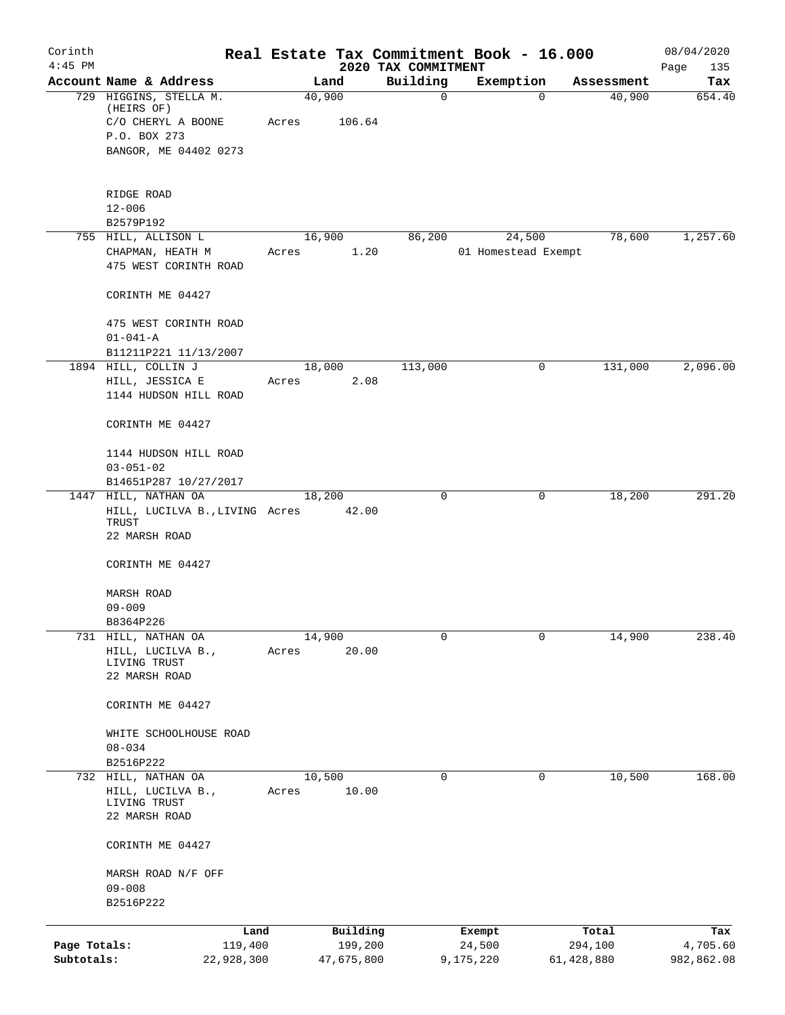| Corinth      |                                                                 |       |                 |                                 | Real Estate Tax Commitment Book - 16.000 |            | 08/04/2020         |
|--------------|-----------------------------------------------------------------|-------|-----------------|---------------------------------|------------------------------------------|------------|--------------------|
| $4:45$ PM    | Account Name & Address                                          |       | Land            | 2020 TAX COMMITMENT<br>Building | Exemption                                | Assessment | Page<br>135<br>Tax |
|              | 729 HIGGINS, STELLA M.                                          |       | 40,900          | $\mathbf 0$                     | 0                                        | 40,900     | 654.40             |
|              | (HEIRS OF)<br>C/O CHERYL A BOONE                                | Acres | 106.64          |                                 |                                          |            |                    |
|              | P.O. BOX 273                                                    |       |                 |                                 |                                          |            |                    |
|              | BANGOR, ME 04402 0273                                           |       |                 |                                 |                                          |            |                    |
|              | RIDGE ROAD                                                      |       |                 |                                 |                                          |            |                    |
|              | $12 - 006$                                                      |       |                 |                                 |                                          |            |                    |
|              | B2579P192                                                       |       |                 |                                 |                                          |            |                    |
|              | 755 HILL, ALLISON L                                             |       | 16,900          | 86,200                          | 24,500                                   | 78,600     | 1,257.60           |
|              | CHAPMAN, HEATH M<br>475 WEST CORINTH ROAD                       | Acres | 1.20            |                                 | 01 Homestead Exempt                      |            |                    |
|              | CORINTH ME 04427                                                |       |                 |                                 |                                          |            |                    |
|              | 475 WEST CORINTH ROAD<br>$01 - 041 - A$                         |       |                 |                                 |                                          |            |                    |
|              | B11211P221 11/13/2007                                           |       |                 |                                 |                                          |            |                    |
|              | 1894 HILL, COLLIN J                                             |       | 18,000          | 113,000                         | 0                                        | 131,000    | 2,096.00           |
|              | HILL, JESSICA E                                                 | Acres | 2.08            |                                 |                                          |            |                    |
|              | 1144 HUDSON HILL ROAD                                           |       |                 |                                 |                                          |            |                    |
|              | CORINTH ME 04427                                                |       |                 |                                 |                                          |            |                    |
|              | 1144 HUDSON HILL ROAD<br>$03 - 051 - 02$                        |       |                 |                                 |                                          |            |                    |
|              | B14651P287 10/27/2017                                           |       |                 |                                 |                                          |            |                    |
|              | 1447 HILL, NATHAN OA<br>HILL, LUCILVA B., LIVING Acres<br>TRUST |       | 18,200<br>42.00 | 0                               | 0                                        | 18,200     | 291.20             |
|              | 22 MARSH ROAD                                                   |       |                 |                                 |                                          |            |                    |
|              | CORINTH ME 04427                                                |       |                 |                                 |                                          |            |                    |
|              | MARSH ROAD                                                      |       |                 |                                 |                                          |            |                    |
|              | $09 - 009$                                                      |       |                 |                                 |                                          |            |                    |
|              | B8364P226                                                       |       |                 |                                 |                                          |            |                    |
| 731          | HILL, NATHAN OA                                                 |       | 14,900          | 0                               | 0                                        | 14,900     | 238.40             |
|              | HILL, LUCILVA B.,<br>LIVING TRUST                               | Acres | 20.00           |                                 |                                          |            |                    |
|              | 22 MARSH ROAD                                                   |       |                 |                                 |                                          |            |                    |
|              | CORINTH ME 04427                                                |       |                 |                                 |                                          |            |                    |
|              | WHITE SCHOOLHOUSE ROAD                                          |       |                 |                                 |                                          |            |                    |
|              | $08 - 034$<br>B2516P222                                         |       |                 |                                 |                                          |            |                    |
|              | 732 HILL, NATHAN OA                                             |       | 10,500          | 0                               | 0                                        | 10,500     | 168.00             |
|              | HILL, LUCILVA B.,                                               | Acres | 10.00           |                                 |                                          |            |                    |
|              | LIVING TRUST<br>22 MARSH ROAD                                   |       |                 |                                 |                                          |            |                    |
|              | CORINTH ME 04427                                                |       |                 |                                 |                                          |            |                    |
|              | MARSH ROAD N/F OFF                                              |       |                 |                                 |                                          |            |                    |
|              | $09 - 008$<br>B2516P222                                         |       |                 |                                 |                                          |            |                    |
|              |                                                                 | Land  | Building        |                                 | Exempt                                   | Total      | Tax                |
| Page Totals: | 119,400                                                         |       | 199,200         |                                 | 24,500                                   | 294,100    | 4,705.60           |
| Subtotals:   | 22,928,300                                                      |       | 47,675,800      |                                 | 9,175,220                                | 61,428,880 | 982,862.08         |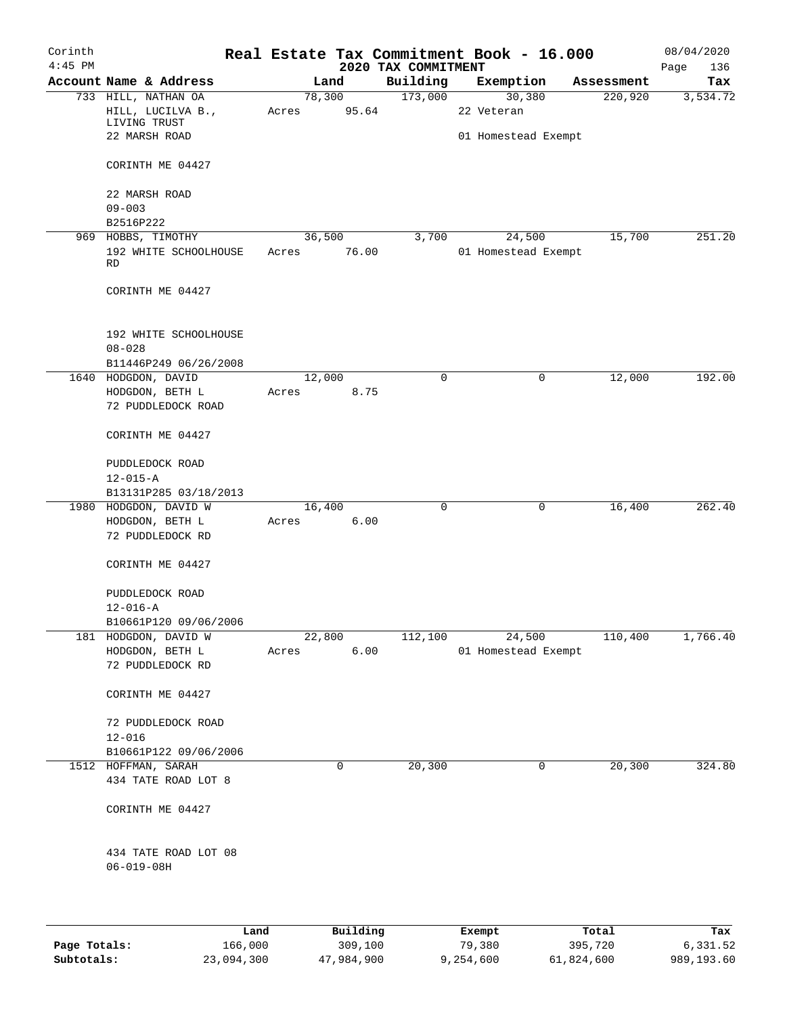| Corinth<br>$4:45$ PM |                                             |                   |          | 2020 TAX COMMITMENT | Real Estate Tax Commitment Book - 16.000 |            | 08/04/2020<br>Page<br>136 |
|----------------------|---------------------------------------------|-------------------|----------|---------------------|------------------------------------------|------------|---------------------------|
|                      | Account Name & Address                      |                   | Land     | Building            | Exemption                                | Assessment | Tax                       |
|                      | 733 HILL, NATHAN OA                         | 78,300            |          | 173,000             | 30,380                                   | 220,920    | 3,534.72                  |
|                      | HILL, LUCILVA B.,                           | Acres             | 95.64    |                     | 22 Veteran                               |            |                           |
|                      | LIVING TRUST                                |                   |          |                     |                                          |            |                           |
|                      | 22 MARSH ROAD                               |                   |          |                     | 01 Homestead Exempt                      |            |                           |
|                      | CORINTH ME 04427                            |                   |          |                     |                                          |            |                           |
|                      | 22 MARSH ROAD                               |                   |          |                     |                                          |            |                           |
|                      | $09 - 003$                                  |                   |          |                     |                                          |            |                           |
|                      | B2516P222                                   |                   |          |                     |                                          | 15,700     | 251.20                    |
|                      | 969 HOBBS, TIMOTHY<br>192 WHITE SCHOOLHOUSE | 36,500            | 76.00    | 3,700               | 24,500<br>01 Homestead Exempt            |            |                           |
|                      | RD                                          | Acres             |          |                     |                                          |            |                           |
|                      | CORINTH ME 04427                            |                   |          |                     |                                          |            |                           |
|                      | 192 WHITE SCHOOLHOUSE                       |                   |          |                     |                                          |            |                           |
|                      | $08 - 028$                                  |                   |          |                     |                                          |            |                           |
|                      | B11446P249 06/26/2008                       |                   |          |                     |                                          |            |                           |
|                      | 1640 HODGDON, DAVID                         | 12,000            |          | $\mathbf 0$         | 0                                        | 12,000     | 192.00                    |
|                      | HODGDON, BETH L                             | Acres             | 8.75     |                     |                                          |            |                           |
|                      | 72 PUDDLEDOCK ROAD                          |                   |          |                     |                                          |            |                           |
|                      | CORINTH ME 04427                            |                   |          |                     |                                          |            |                           |
|                      | PUDDLEDOCK ROAD                             |                   |          |                     |                                          |            |                           |
|                      | $12 - 015 - A$                              |                   |          |                     |                                          |            |                           |
|                      | B13131P285 03/18/2013                       |                   |          |                     |                                          |            |                           |
|                      | 1980 HODGDON, DAVID W                       | 16,400            |          | $\mathbf 0$         | 0                                        | 16,400     | 262.40                    |
|                      | HODGDON, BETH L                             | Acres             | 6.00     |                     |                                          |            |                           |
|                      | 72 PUDDLEDOCK RD                            |                   |          |                     |                                          |            |                           |
|                      | CORINTH ME 04427                            |                   |          |                     |                                          |            |                           |
|                      |                                             |                   |          |                     |                                          |            |                           |
|                      | PUDDLEDOCK ROAD                             |                   |          |                     |                                          |            |                           |
|                      | $12 - 016 - A$                              |                   |          |                     |                                          |            |                           |
|                      | B10661P120 09/06/2006                       |                   |          |                     |                                          |            |                           |
|                      | 181 HODGDON, DAVID W                        |                   | 22,800   | 112,100             | 24,500                                   | 110,400    | 1,766.40                  |
|                      | HODGDON, BETH L<br>72 PUDDLEDOCK RD         | Acres             | 6.00     |                     | 01 Homestead Exempt                      |            |                           |
|                      |                                             |                   |          |                     |                                          |            |                           |
|                      | CORINTH ME 04427                            |                   |          |                     |                                          |            |                           |
|                      | 72 PUDDLEDOCK ROAD                          |                   |          |                     |                                          |            |                           |
|                      | $12 - 016$                                  |                   |          |                     |                                          |            |                           |
|                      | B10661P122 09/06/2006                       |                   |          |                     |                                          |            |                           |
|                      | 1512 HOFFMAN, SARAH                         |                   | 0        | 20,300              | $\mathsf{O}$                             | 20,300     | 324.80                    |
|                      | 434 TATE ROAD LOT 8                         |                   |          |                     |                                          |            |                           |
|                      |                                             |                   |          |                     |                                          |            |                           |
|                      | CORINTH ME 04427                            |                   |          |                     |                                          |            |                           |
|                      |                                             |                   |          |                     |                                          |            |                           |
|                      | 434 TATE ROAD LOT 08<br>$06 - 019 - 08H$    |                   |          |                     |                                          |            |                           |
|                      |                                             |                   |          |                     |                                          |            |                           |
|                      |                                             |                   |          |                     |                                          |            |                           |
|                      |                                             | Land <sub>.</sub> | Building |                     | <b>Exempt</b>                            | Total      | Tay                       |

|              | Land       | Building   | Exempt    | Total      | Tax        |
|--------------|------------|------------|-----------|------------|------------|
| Page Totals: | 166,000    | 309,100    | 79,380    | 395,720    | 6,331.52   |
| Subtotals:   | 23,094,300 | 47,984,900 | 9,254,600 | 61,824,600 | 989,193.60 |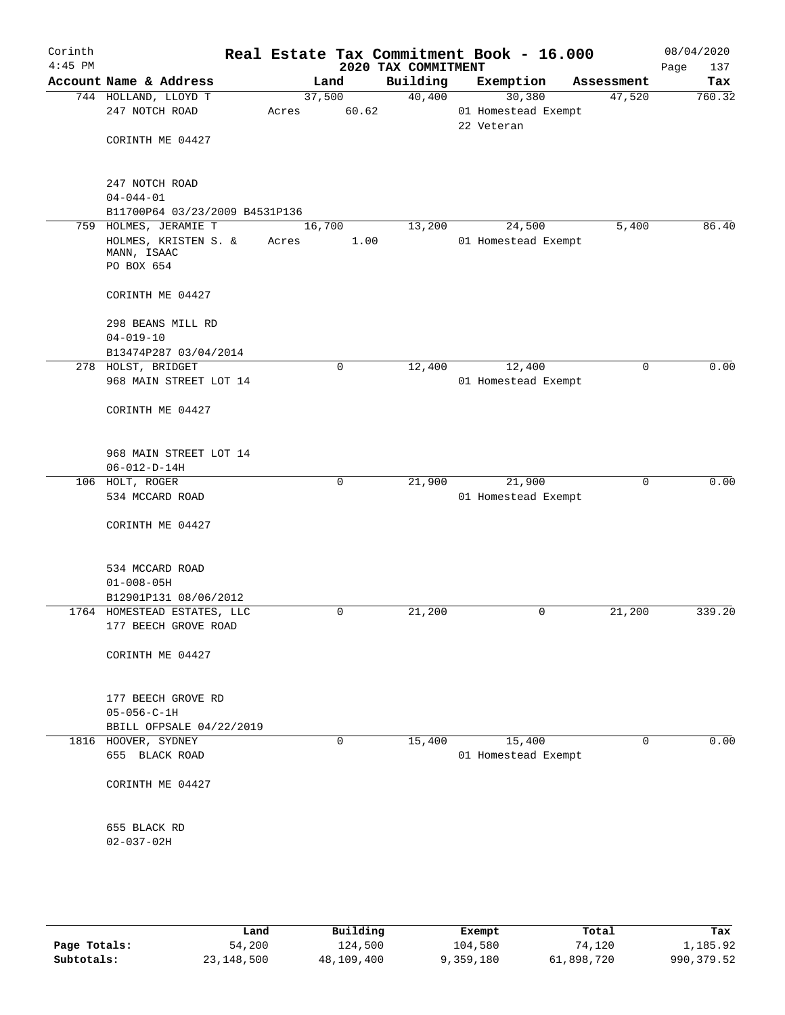| Corinth<br>$4:45$ PM |                                                                                             |       |                 | 2020 TAX COMMITMENT | Real Estate Tax Commitment Book - 16.000    |             | 08/04/2020<br>137<br>Page |
|----------------------|---------------------------------------------------------------------------------------------|-------|-----------------|---------------------|---------------------------------------------|-------------|---------------------------|
|                      | Account Name & Address                                                                      |       | Land            | Building            | Exemption                                   | Assessment  | Tax                       |
|                      | 744 HOLLAND, LLOYD T<br>247 NOTCH ROAD<br>CORINTH ME 04427                                  | Acres | 37,500<br>60.62 | 40,400              | 30,380<br>01 Homestead Exempt<br>22 Veteran | 47,520      | 760.32                    |
|                      | 247 NOTCH ROAD<br>$04 - 044 - 01$<br>B11700P64 03/23/2009 B4531P136                         |       |                 |                     |                                             |             |                           |
| 759                  | HOLMES, JERAMIE T<br>HOLMES, KRISTEN S. &<br>MANN, ISAAC<br>PO BOX 654                      | Acres | 16,700<br>1.00  | 13,200              | 24,500<br>01 Homestead Exempt               | 5,400       | 86.40                     |
|                      | CORINTH ME 04427<br>298 BEANS MILL RD<br>$04 - 019 - 10$<br>B13474P287 03/04/2014           |       |                 |                     |                                             |             |                           |
|                      | 278 HOLST, BRIDGET<br>968 MAIN STREET LOT 14                                                |       | $\mathbf 0$     | 12,400              | 12,400<br>01 Homestead Exempt               | $\mathbf 0$ | 0.00                      |
|                      | CORINTH ME 04427<br>968 MAIN STREET LOT 14<br>$06 - 012 - D - 14H$                          |       |                 |                     |                                             |             |                           |
|                      | 106 HOLT, ROGER<br>534 MCCARD ROAD<br>CORINTH ME 04427                                      |       | $\mathbf 0$     | 21,900              | 21,900<br>01 Homestead Exempt               | $\mathbf 0$ | 0.00                      |
|                      | 534 MCCARD ROAD<br>$01 - 008 - 05H$<br>B12901P131 08/06/2012<br>1764 HOMESTEAD ESTATES, LLC |       | 0               | 21,200              | 0                                           | 21,200      | 339.20                    |
|                      | 177 BEECH GROVE ROAD<br>CORINTH ME 04427                                                    |       |                 |                     |                                             |             |                           |
|                      | 177 BEECH GROVE RD<br>$05 - 056 - C - 1H$<br>BBILL OFPSALE 04/22/2019                       |       |                 |                     |                                             |             |                           |
|                      | 1816 HOOVER, SYDNEY<br>655 BLACK ROAD<br>CORINTH ME 04427                                   |       | 0               | 15,400              | 15,400<br>01 Homestead Exempt               | $\mathbf 0$ | 0.00                      |
|                      | 655 BLACK RD<br>$02 - 037 - 02H$                                                            |       |                 |                     |                                             |             |                           |
|                      |                                                                                             |       |                 |                     |                                             |             |                           |

|              | Land       | Building   | Exempt    | Total      | Tax         |
|--------------|------------|------------|-----------|------------|-------------|
| Page Totals: | 54,200     | 124,500    | 104,580   | 74,120     | 1,185.92    |
| Subtotals:   | 23,148,500 | 48,109,400 | 9,359,180 | 61,898,720 | 990, 379.52 |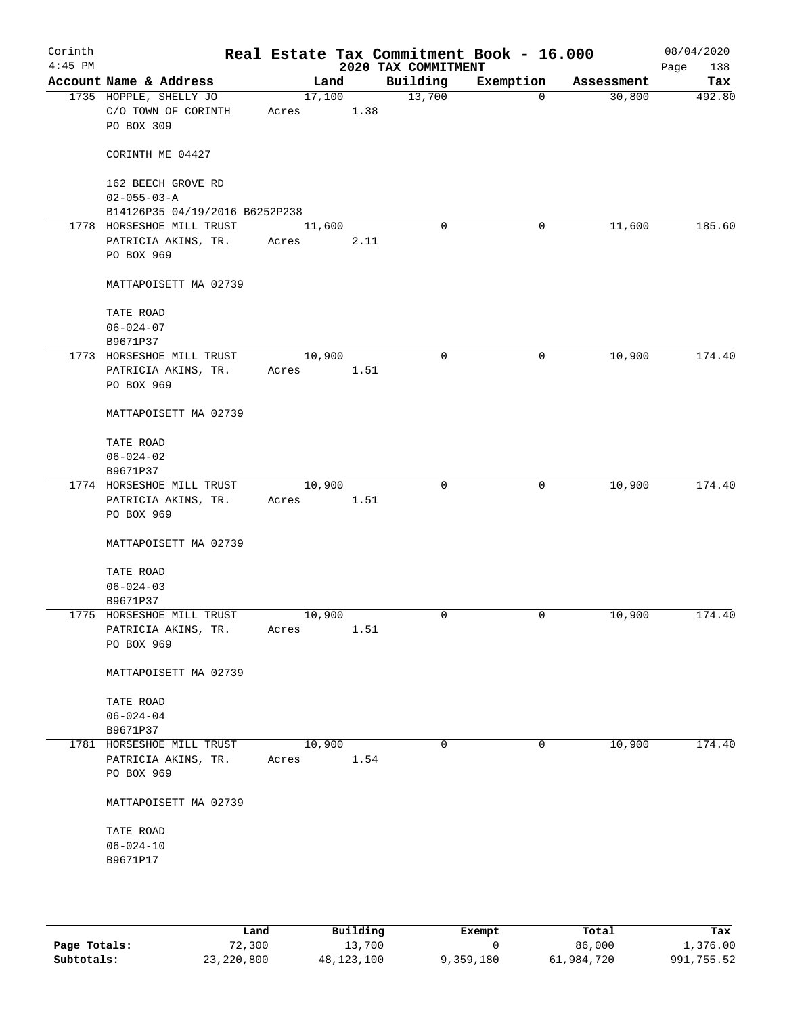| Corinth<br>$4:45$ PM |                                                             |                 |      | 2020 TAX COMMITMENT | Real Estate Tax Commitment Book - 16.000 |            | 08/04/2020<br>138<br>Page |
|----------------------|-------------------------------------------------------------|-----------------|------|---------------------|------------------------------------------|------------|---------------------------|
|                      | Account Name & Address                                      | Land            |      | Building            | Exemption                                | Assessment | Tax                       |
|                      | 1735 HOPPLE, SHELLY JO<br>C/O TOWN OF CORINTH<br>PO BOX 309 | 17,100<br>Acres | 1.38 | 13,700              | $\mathbf 0$                              | 30,800     | 492.80                    |
|                      | CORINTH ME 04427                                            |                 |      |                     |                                          |            |                           |
|                      | 162 BEECH GROVE RD<br>$02 - 055 - 03 - A$                   |                 |      |                     |                                          |            |                           |
|                      | B14126P35 04/19/2016 B6252P238                              |                 |      |                     |                                          |            |                           |
|                      | 1778 HORSESHOE MILL TRUST                                   | 11,600          |      | $\mathbf 0$         | 0                                        | 11,600     | 185.60                    |
|                      | PATRICIA AKINS, TR.                                         | Acres           | 2.11 |                     |                                          |            |                           |
|                      | PO BOX 969                                                  |                 |      |                     |                                          |            |                           |
|                      | MATTAPOISETT MA 02739                                       |                 |      |                     |                                          |            |                           |
|                      | TATE ROAD                                                   |                 |      |                     |                                          |            |                           |
|                      | $06 - 024 - 07$                                             |                 |      |                     |                                          |            |                           |
|                      | B9671P37                                                    |                 |      |                     |                                          |            |                           |
|                      | 1773 HORSESHOE MILL TRUST                                   | 10,900          |      | 0                   | 0                                        | 10,900     | 174.40                    |
|                      | PATRICIA AKINS, TR.                                         | Acres           | 1.51 |                     |                                          |            |                           |
|                      | PO BOX 969                                                  |                 |      |                     |                                          |            |                           |
|                      | MATTAPOISETT MA 02739                                       |                 |      |                     |                                          |            |                           |
|                      | TATE ROAD                                                   |                 |      |                     |                                          |            |                           |
|                      | $06 - 024 - 02$                                             |                 |      |                     |                                          |            |                           |
|                      | B9671P37                                                    |                 |      |                     |                                          |            |                           |
|                      | 1774 HORSESHOE MILL TRUST                                   | 10,900          |      | $\mathbf 0$         | 0                                        | 10,900     | 174.40                    |
|                      | PATRICIA AKINS, TR.                                         | Acres           | 1.51 |                     |                                          |            |                           |
|                      | PO BOX 969                                                  |                 |      |                     |                                          |            |                           |
|                      | MATTAPOISETT MA 02739                                       |                 |      |                     |                                          |            |                           |
|                      | TATE ROAD                                                   |                 |      |                     |                                          |            |                           |
|                      | $06 - 024 - 03$                                             |                 |      |                     |                                          |            |                           |
|                      | B9671P37                                                    |                 |      |                     |                                          |            |                           |
|                      | 1775 HORSESHOE MILL TRUST                                   | 10,900          |      | 0                   | 0                                        | 10,900     | 174.40                    |
|                      | PATRICIA AKINS, TR.                                         | Acres           | 1.51 |                     |                                          |            |                           |
|                      | PO BOX 969                                                  |                 |      |                     |                                          |            |                           |
|                      | MATTAPOISETT MA 02739                                       |                 |      |                     |                                          |            |                           |
|                      | TATE ROAD                                                   |                 |      |                     |                                          |            |                           |
|                      | $06 - 024 - 04$                                             |                 |      |                     |                                          |            |                           |
|                      | B9671P37                                                    |                 |      |                     |                                          |            |                           |
|                      | 1781 HORSESHOE MILL TRUST                                   | 10,900          |      | 0                   | 0                                        | 10,900     | 174.40                    |
|                      | PATRICIA AKINS, TR.                                         | Acres           | 1.54 |                     |                                          |            |                           |
|                      | PO BOX 969                                                  |                 |      |                     |                                          |            |                           |
|                      | MATTAPOISETT MA 02739                                       |                 |      |                     |                                          |            |                           |
|                      | TATE ROAD                                                   |                 |      |                     |                                          |            |                           |
|                      | $06 - 024 - 10$                                             |                 |      |                     |                                          |            |                           |
|                      | B9671P17                                                    |                 |      |                     |                                          |            |                           |
|                      |                                                             |                 |      |                     |                                          |            |                           |
|                      |                                                             |                 |      |                     |                                          |            |                           |
|                      |                                                             |                 |      |                     |                                          |            |                           |

|              | Land       | Building   | Exempt    | Total      | Tax        |
|--------------|------------|------------|-----------|------------|------------|
| Page Totals: | 72,300     | 13,700     |           | 86,000     | 1,376.00   |
| Subtotals:   | 23,220,800 | 48,123,100 | 9,359,180 | 61,984,720 | 991,755.52 |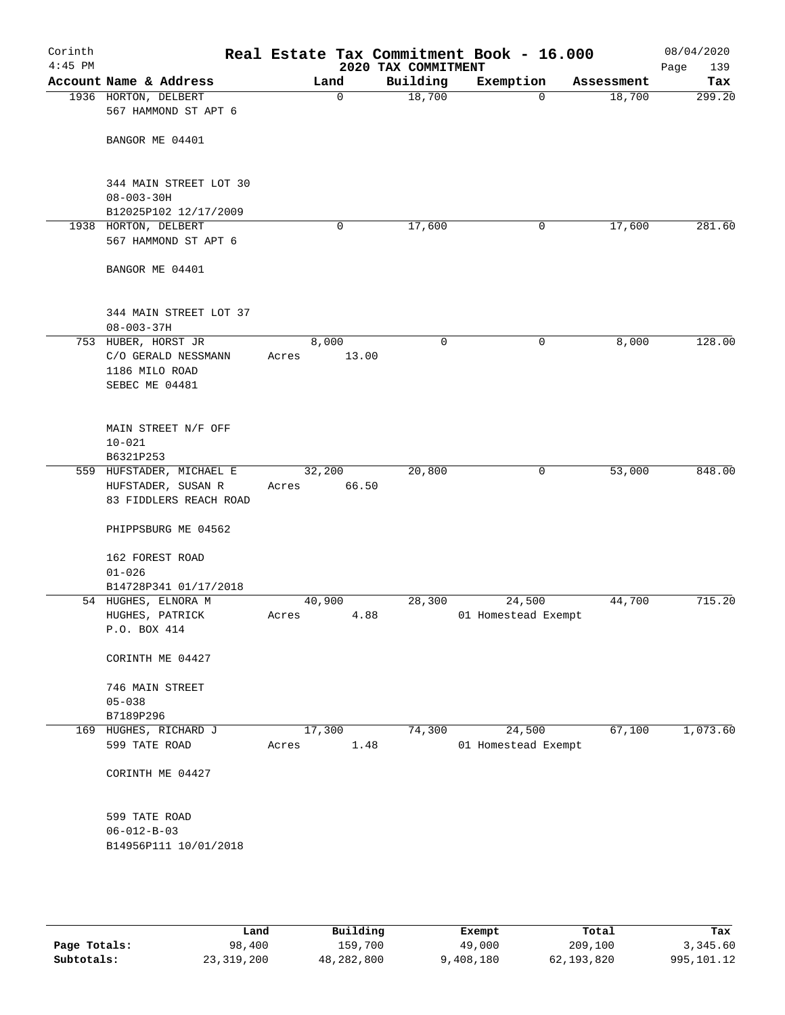| Corinth<br>$4:45$ PM |                                              |        |             | 2020 TAX COMMITMENT | Real Estate Tax Commitment Book - 16.000 |            | 08/04/2020<br>Page<br>139 |
|----------------------|----------------------------------------------|--------|-------------|---------------------|------------------------------------------|------------|---------------------------|
|                      | Account Name & Address                       | Land   |             | Building            | Exemption                                | Assessment | Tax                       |
|                      | 1936 HORTON, DELBERT<br>567 HAMMOND ST APT 6 |        | $\mathbf 0$ | 18,700              | 0                                        | 18,700     | 299.20                    |
|                      | BANGOR ME 04401                              |        |             |                     |                                          |            |                           |
|                      | 344 MAIN STREET LOT 30<br>$08 - 003 - 30H$   |        |             |                     |                                          |            |                           |
|                      | B12025P102 12/17/2009                        |        |             |                     |                                          |            |                           |
|                      | 1938 HORTON, DELBERT<br>567 HAMMOND ST APT 6 |        | 0           | 17,600              | 0                                        | 17,600     | 281.60                    |
|                      | BANGOR ME 04401                              |        |             |                     |                                          |            |                           |
|                      | 344 MAIN STREET LOT 37<br>$08 - 003 - 37H$   |        |             |                     |                                          |            |                           |
|                      | 753 HUBER, HORST JR                          | 8,000  |             | 0                   | 0                                        | 8,000      | 128.00                    |
|                      | C/O GERALD NESSMANN                          | Acres  | 13.00       |                     |                                          |            |                           |
|                      | 1186 MILO ROAD                               |        |             |                     |                                          |            |                           |
|                      | SEBEC ME 04481                               |        |             |                     |                                          |            |                           |
|                      | MAIN STREET N/F OFF                          |        |             |                     |                                          |            |                           |
|                      | $10 - 021$                                   |        |             |                     |                                          |            |                           |
|                      | B6321P253<br>559 HUFSTADER, MICHAEL E        | 32,200 |             | 20,800              | 0                                        | 53,000     | 848.00                    |
|                      | HUFSTADER, SUSAN R                           | Acres  | 66.50       |                     |                                          |            |                           |
|                      | 83 FIDDLERS REACH ROAD                       |        |             |                     |                                          |            |                           |
|                      | PHIPPSBURG ME 04562                          |        |             |                     |                                          |            |                           |
|                      | 162 FOREST ROAD<br>$01 - 026$                |        |             |                     |                                          |            |                           |
|                      | B14728P341 01/17/2018                        |        |             |                     |                                          |            |                           |
|                      | 54 HUGHES, ELNORA M                          | 40,900 |             | 28,300              | 24,500                                   | 44,700     | 715.20                    |
|                      | HUGHES, PATRICK                              | Acres  | 4.88        |                     | 01 Homestead Exempt                      |            |                           |
|                      | P.O. BOX 414                                 |        |             |                     |                                          |            |                           |
|                      | CORINTH ME 04427                             |        |             |                     |                                          |            |                           |
|                      | 746 MAIN STREET                              |        |             |                     |                                          |            |                           |
|                      | $05 - 038$                                   |        |             |                     |                                          |            |                           |
|                      | B7189P296<br>169 HUGHES, RICHARD J           | 17,300 |             | 74,300              | 24,500                                   | 67,100     | 1,073.60                  |
|                      | 599 TATE ROAD                                | Acres  | 1.48        |                     | 01 Homestead Exempt                      |            |                           |
|                      | CORINTH ME 04427                             |        |             |                     |                                          |            |                           |
|                      | 599 TATE ROAD<br>$06 - 012 - B - 03$         |        |             |                     |                                          |            |                           |
|                      | B14956P111 10/01/2018                        |        |             |                     |                                          |            |                           |
|                      |                                              |        |             |                     |                                          |            |                           |
|                      |                                              |        |             |                     |                                          |            |                           |
|                      |                                              |        |             |                     |                                          |            |                           |

|              | Land       | Building   | Exempt    | Total      | Tax        |
|--------------|------------|------------|-----------|------------|------------|
| Page Totals: | 98,400     | 159,700    | 49,000    | 209,100    | 3,345.60   |
| Subtotals:   | 23,319,200 | 48,282,800 | 9,408,180 | 62,193,820 | 995,101.12 |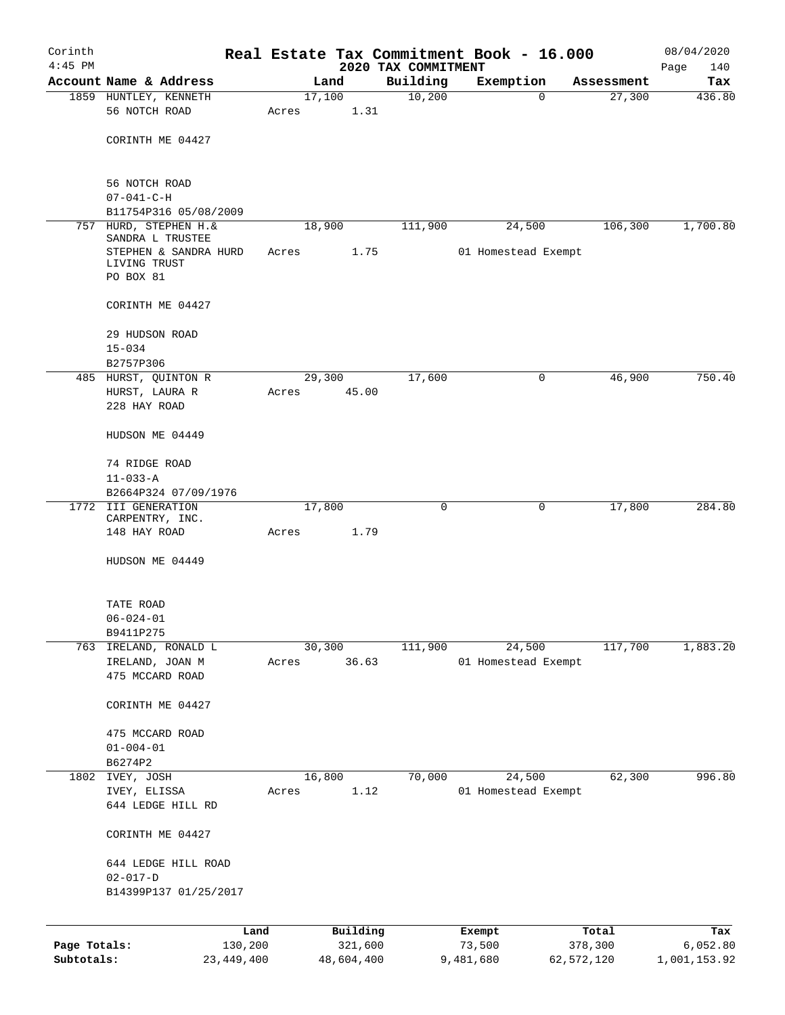| Corinth      |                                                                                              |              |       |        |            |                                 | Real Estate Tax Commitment Book - 16.000 |             |            | 08/04/2020         |
|--------------|----------------------------------------------------------------------------------------------|--------------|-------|--------|------------|---------------------------------|------------------------------------------|-------------|------------|--------------------|
| $4:45$ PM    | Account Name & Address                                                                       |              |       | Land   |            | 2020 TAX COMMITMENT<br>Building | Exemption                                |             | Assessment | 140<br>Page<br>Tax |
|              | 1859 HUNTLEY, KENNETH                                                                        |              |       | 17,100 |            | 10,200                          |                                          | $\mathbf 0$ | 27,300     | 436.80             |
|              | 56 NOTCH ROAD                                                                                |              | Acres |        | 1.31       |                                 |                                          |             |            |                    |
|              | CORINTH ME 04427                                                                             |              |       |        |            |                                 |                                          |             |            |                    |
|              | 56 NOTCH ROAD                                                                                |              |       |        |            |                                 |                                          |             |            |                    |
|              | $07 - 041 - C - H$                                                                           |              |       |        |            |                                 |                                          |             |            |                    |
|              | B11754P316 05/08/2009<br>757 HURD, STEPHEN H. &                                              |              |       | 18,900 |            | 111,900                         |                                          |             | 106,300    | 1,700.80           |
|              | SANDRA L TRUSTEE                                                                             |              |       |        |            |                                 | 24,500                                   |             |            |                    |
|              | STEPHEN & SANDRA HURD<br>LIVING TRUST<br>PO BOX 81                                           |              | Acres |        | 1.75       |                                 | 01 Homestead Exempt                      |             |            |                    |
|              | CORINTH ME 04427                                                                             |              |       |        |            |                                 |                                          |             |            |                    |
|              | 29 HUDSON ROAD                                                                               |              |       |        |            |                                 |                                          |             |            |                    |
|              | $15 - 034$                                                                                   |              |       |        |            |                                 |                                          |             |            |                    |
|              | B2757P306                                                                                    |              |       |        |            |                                 |                                          |             |            |                    |
|              | 17,600<br>485 HURST, QUINTON R<br>29,300<br>HURST, LAURA R<br>45.00<br>Acres<br>228 HAY ROAD |              | 0     | 46,900 | 750.40     |                                 |                                          |             |            |                    |
|              | HUDSON ME 04449                                                                              |              |       |        |            |                                 |                                          |             |            |                    |
|              | 74 RIDGE ROAD<br>$11 - 033 - A$                                                              |              |       |        |            |                                 |                                          |             |            |                    |
|              | B2664P324 07/09/1976                                                                         |              |       |        |            |                                 |                                          |             |            |                    |
|              | 1772 III GENERATION                                                                          |              |       | 17,800 |            | 0                               |                                          | 0           | 17,800     | 284.80             |
|              | CARPENTRY, INC.                                                                              |              |       |        |            |                                 |                                          |             |            |                    |
|              | 148 HAY ROAD                                                                                 |              | Acres |        | 1.79       |                                 |                                          |             |            |                    |
|              | HUDSON ME 04449                                                                              |              |       |        |            |                                 |                                          |             |            |                    |
|              | TATE ROAD                                                                                    |              |       |        |            |                                 |                                          |             |            |                    |
|              | $06 - 024 - 01$                                                                              |              |       |        |            |                                 |                                          |             |            |                    |
|              | B9411P275<br>763 IRELAND, RONALD L                                                           |              |       | 30,300 |            | 111,900                         | 24,500                                   |             | 117,700    | 1,883.20           |
|              | IRELAND, JOAN M                                                                              |              | Acres |        | 36.63      |                                 | 01 Homestead Exempt                      |             |            |                    |
|              | 475 MCCARD ROAD                                                                              |              |       |        |            |                                 |                                          |             |            |                    |
|              | CORINTH ME 04427                                                                             |              |       |        |            |                                 |                                          |             |            |                    |
|              | 475 MCCARD ROAD                                                                              |              |       |        |            |                                 |                                          |             |            |                    |
|              | $01 - 004 - 01$                                                                              |              |       |        |            |                                 |                                          |             |            |                    |
|              | B6274P2                                                                                      |              |       |        |            |                                 |                                          |             |            |                    |
|              | 1802 IVEY, JOSH<br>IVEY, ELISSA                                                              |              | Acres | 16,800 | 1.12       | 70,000                          | 24,500<br>01 Homestead Exempt            |             | 62,300     | 996.80             |
|              | 644 LEDGE HILL RD                                                                            |              |       |        |            |                                 |                                          |             |            |                    |
|              | CORINTH ME 04427                                                                             |              |       |        |            |                                 |                                          |             |            |                    |
|              | 644 LEDGE HILL ROAD                                                                          |              |       |        |            |                                 |                                          |             |            |                    |
|              | $02 - 017 - D$                                                                               |              |       |        |            |                                 |                                          |             |            |                    |
|              | B14399P137 01/25/2017                                                                        |              |       |        |            |                                 |                                          |             |            |                    |
|              |                                                                                              | Land         |       |        | Building   |                                 | Exempt                                   |             | Total      | Tax                |
| Page Totals: |                                                                                              | 130,200      |       |        | 321,600    |                                 | 73,500                                   |             | 378,300    | 6,052.80           |
| Subtotals:   |                                                                                              | 23, 449, 400 |       |        | 48,604,400 |                                 | 9,481,680                                |             | 62,572,120 | 1,001,153.92       |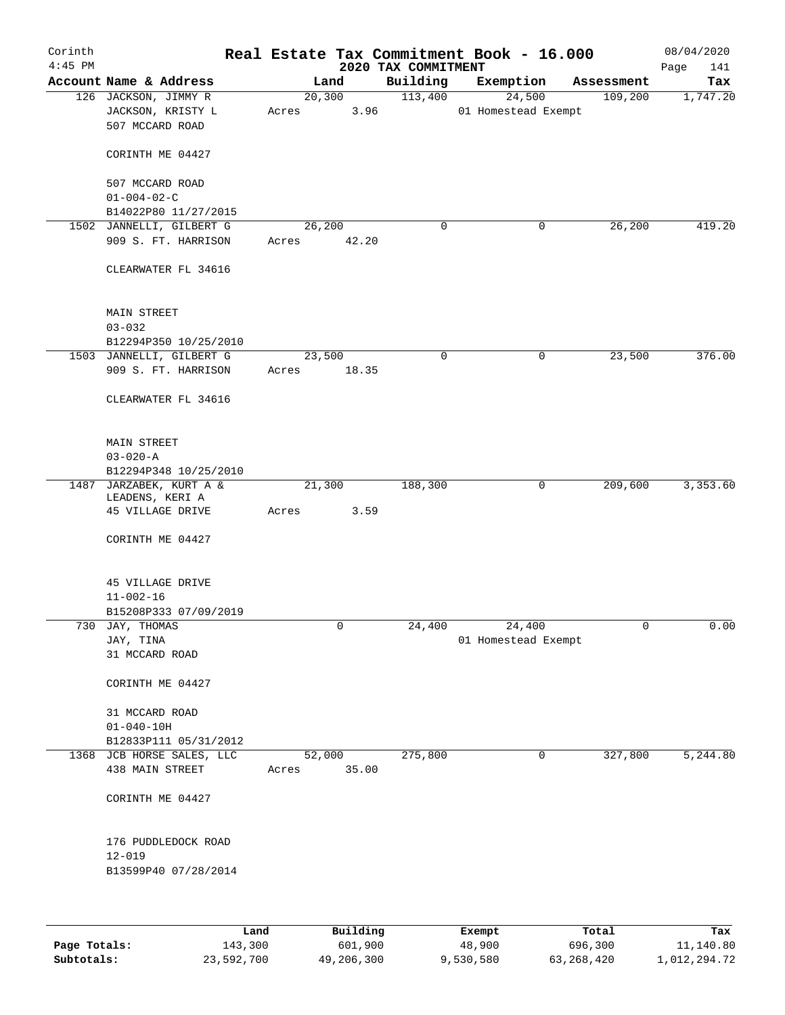| Corinth<br>$4:45$ PM |                                                              |       |                | 2020 TAX COMMITMENT | Real Estate Tax Commitment Book - 16.000 |            | 08/04/2020<br>Page<br>141 |
|----------------------|--------------------------------------------------------------|-------|----------------|---------------------|------------------------------------------|------------|---------------------------|
|                      | Account Name & Address                                       |       | Land           | Building            | Exemption                                | Assessment | Tax                       |
|                      | 126 JACKSON, JIMMY R<br>JACKSON, KRISTY L<br>507 MCCARD ROAD | Acres | 20,300<br>3.96 | 113,400             | 24,500<br>01 Homestead Exempt            | 109,200    | 1,747.20                  |
|                      | CORINTH ME 04427                                             |       |                |                     |                                          |            |                           |
|                      | 507 MCCARD ROAD<br>$01 - 004 - 02 - C$                       |       |                |                     |                                          |            |                           |
|                      | B14022P80 11/27/2015                                         |       |                |                     |                                          |            |                           |
|                      | 1502 JANNELLI, GILBERT G                                     |       | 26,200         | $\mathbf 0$         | 0                                        | 26,200     | 419.20                    |
|                      | 909 S. FT. HARRISON                                          | Acres | 42.20          |                     |                                          |            |                           |
|                      | CLEARWATER FL 34616                                          |       |                |                     |                                          |            |                           |
|                      | MAIN STREET                                                  |       |                |                     |                                          |            |                           |
|                      | $03 - 032$                                                   |       |                |                     |                                          |            |                           |
|                      | B12294P350 10/25/2010                                        |       |                |                     |                                          |            |                           |
|                      | 1503 JANNELLI, GILBERT G                                     |       | 23,500         | 0                   | 0                                        | 23,500     | 376.00                    |
|                      | 909 S. FT. HARRISON                                          | Acres | 18.35          |                     |                                          |            |                           |
|                      | CLEARWATER FL 34616                                          |       |                |                     |                                          |            |                           |
|                      | MAIN STREET                                                  |       |                |                     |                                          |            |                           |
|                      | $03 - 020 - A$                                               |       |                |                     |                                          |            |                           |
|                      | B12294P348 10/25/2010                                        |       |                |                     |                                          |            |                           |
|                      | 1487 JARZABEK, KURT A &<br>LEADENS, KERI A                   |       | 21,300         | 188,300             | $\mathbf 0$                              | 209,600    | 3,353.60                  |
|                      | 45 VILLAGE DRIVE                                             | Acres | 3.59           |                     |                                          |            |                           |
|                      | CORINTH ME 04427                                             |       |                |                     |                                          |            |                           |
|                      | 45 VILLAGE DRIVE                                             |       |                |                     |                                          |            |                           |
|                      | $11 - 002 - 16$                                              |       |                |                     |                                          |            |                           |
|                      | B15208P333 07/09/2019                                        |       |                |                     |                                          |            |                           |
| 730                  | JAY, THOMAS                                                  |       | 0              | 24,400              | 24,400                                   | 0          | 0.00                      |
|                      | JAY, TINA                                                    |       |                |                     | 01 Homestead Exempt                      |            |                           |
|                      | 31 MCCARD ROAD                                               |       |                |                     |                                          |            |                           |
|                      | CORINTH ME 04427                                             |       |                |                     |                                          |            |                           |
|                      | 31 MCCARD ROAD                                               |       |                |                     |                                          |            |                           |
|                      | $01 - 040 - 10H$<br>B12833P111 05/31/2012                    |       |                |                     |                                          |            |                           |
|                      | 1368 JCB HORSE SALES, LLC                                    |       | 52,000         | 275,800             | 0                                        | 327,800    | 5,244.80                  |
|                      | 438 MAIN STREET                                              | Acres | 35.00          |                     |                                          |            |                           |
|                      | CORINTH ME 04427                                             |       |                |                     |                                          |            |                           |
|                      | 176 PUDDLEDOCK ROAD                                          |       |                |                     |                                          |            |                           |
|                      | $12 - 019$                                                   |       |                |                     |                                          |            |                           |
|                      | B13599P40 07/28/2014                                         |       |                |                     |                                          |            |                           |
|                      |                                                              |       |                |                     |                                          |            |                           |
|                      | Land                                                         |       | Building       |                     | Exempt                                   | Total      | Tax                       |

|              | nand.      | Building   | Exempt    | Total      | тах          |
|--------------|------------|------------|-----------|------------|--------------|
| Page Totals: | 143,300    | 601,900    | 48,900    | 696,300    | 11,140.80    |
| Subtotals:   | 23,592,700 | 49,206,300 | 9,530,580 | 63,268,420 | 1,012,294.72 |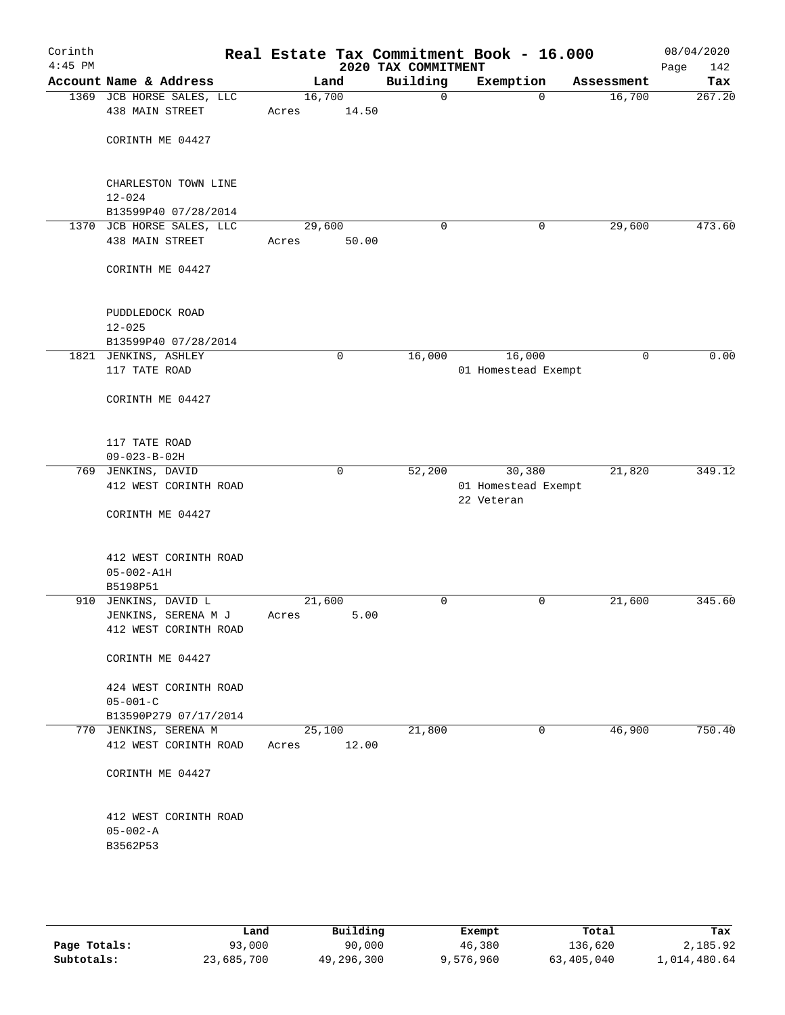| Corinth<br>$4:45$ PM |                                                       | Real Estate Tax Commitment Book - 16.000 | 2020 TAX COMMITMENT |                                   |             | 08/04/2020<br>Page<br>142 |
|----------------------|-------------------------------------------------------|------------------------------------------|---------------------|-----------------------------------|-------------|---------------------------|
|                      | Account Name & Address                                | Land                                     | Building            | Exemption                         | Assessment  | Tax                       |
|                      | 1369 JCB HORSE SALES, LLC<br>438 MAIN STREET          | 16,700<br>14.50<br>Acres                 | $\mathbf 0$         | $\Omega$                          | 16,700      | 267.20                    |
|                      | CORINTH ME 04427                                      |                                          |                     |                                   |             |                           |
|                      | CHARLESTON TOWN LINE<br>$12 - 024$                    |                                          |                     |                                   |             |                           |
|                      | B13599P40 07/28/2014<br>1370 JCB HORSE SALES, LLC     | 29,600                                   | $\mathbf 0$         | 0                                 | 29,600      | 473.60                    |
|                      | 438 MAIN STREET                                       | 50.00<br>Acres                           |                     |                                   |             |                           |
|                      | CORINTH ME 04427                                      |                                          |                     |                                   |             |                           |
|                      | PUDDLEDOCK ROAD<br>$12 - 025$<br>B13599P40 07/28/2014 |                                          |                     |                                   |             |                           |
|                      | 1821 JENKINS, ASHLEY                                  | 0                                        | 16,000              | 16,000                            | $\mathbf 0$ | 0.00                      |
|                      | 117 TATE ROAD                                         |                                          |                     | 01 Homestead Exempt               |             |                           |
|                      | CORINTH ME 04427                                      |                                          |                     |                                   |             |                           |
|                      | 117 TATE ROAD<br>$09 - 023 - B - 02H$                 |                                          |                     |                                   |             |                           |
|                      | 769 JENKINS, DAVID                                    | 0                                        | 52,200              | 30,380                            | 21,820      | 349.12                    |
|                      | 412 WEST CORINTH ROAD                                 |                                          |                     | 01 Homestead Exempt<br>22 Veteran |             |                           |
|                      | CORINTH ME 04427                                      |                                          |                     |                                   |             |                           |
|                      | 412 WEST CORINTH ROAD<br>$05 - 002 - A1H$             |                                          |                     |                                   |             |                           |
|                      | B5198P51                                              | 21,600                                   | $\mathbf 0$         | 0                                 |             | 345.60                    |
|                      | 910 JENKINS, DAVID L<br>JENKINS, SERENA M J           | 5.00<br>Acres                            |                     |                                   | 21,600      |                           |
|                      | 412 WEST CORINTH ROAD                                 |                                          |                     |                                   |             |                           |
|                      | CORINTH ME 04427                                      |                                          |                     |                                   |             |                           |
|                      | 424 WEST CORINTH ROAD<br>$05 - 001 - C$               |                                          |                     |                                   |             |                           |
|                      | B13590P279 07/17/2014                                 |                                          |                     |                                   |             |                           |
|                      | 770 JENKINS, SERENA M<br>412 WEST CORINTH ROAD        | 25,100<br>12.00<br>Acres                 | 21,800              | $\mathbf{0}$                      | 46,900      | 750.40                    |
|                      | CORINTH ME 04427                                      |                                          |                     |                                   |             |                           |
|                      | 412 WEST CORINTH ROAD                                 |                                          |                     |                                   |             |                           |
|                      | $05 - 002 - A$<br>B3562P53                            |                                          |                     |                                   |             |                           |
|                      |                                                       |                                          |                     |                                   |             |                           |
|                      |                                                       |                                          |                     |                                   |             |                           |

|              | Land       | Building   | Exempt    | Total      | Tax          |
|--------------|------------|------------|-----------|------------|--------------|
| Page Totals: | 93,000     | 90,000     | 46,380    | 136,620    | 2,185.92     |
| Subtotals:   | 23,685,700 | 49,296,300 | 9,576,960 | 63,405,040 | 1,014,480.64 |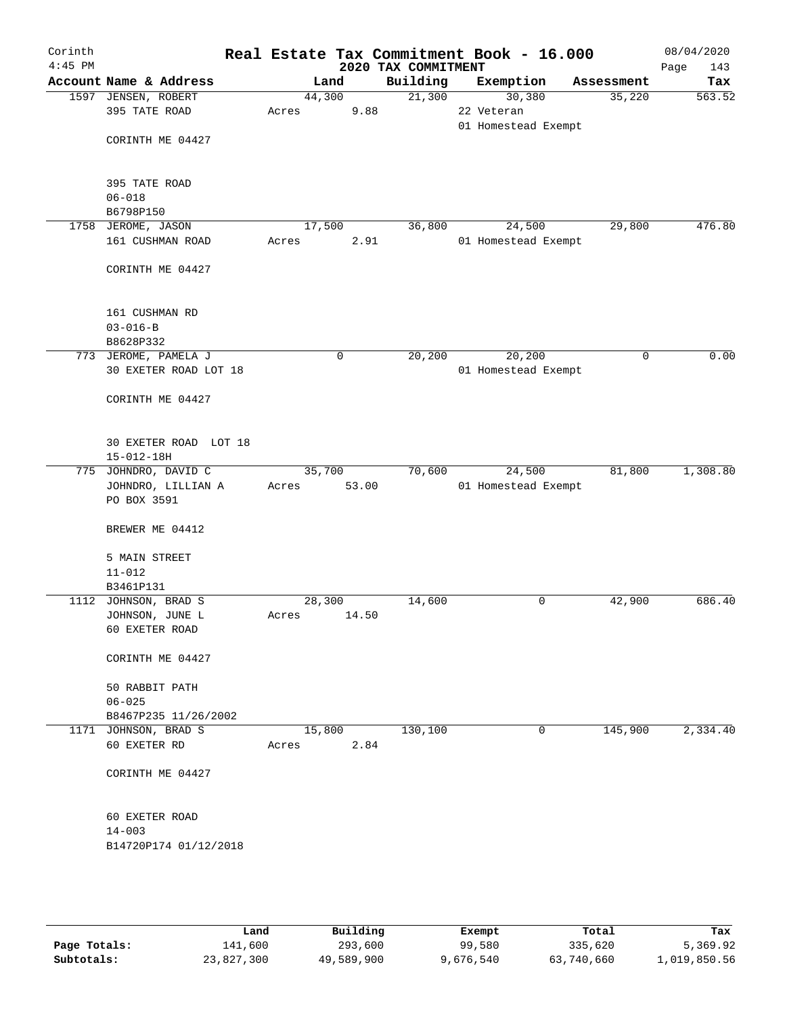| Corinth<br>$4:45$ PM |                        |        |       | 2020 TAX COMMITMENT | Real Estate Tax Commitment Book - 16.000 |            | 08/04/2020<br>Page<br>143 |
|----------------------|------------------------|--------|-------|---------------------|------------------------------------------|------------|---------------------------|
|                      | Account Name & Address |        | Land  | Building            | Exemption                                | Assessment | Tax                       |
|                      | 1597 JENSEN, ROBERT    | 44,300 |       | 21,300              | 30,380                                   | 35,220     | 563.52                    |
|                      | 395 TATE ROAD          | Acres  | 9.88  |                     | 22 Veteran                               |            |                           |
|                      |                        |        |       |                     | 01 Homestead Exempt                      |            |                           |
|                      | CORINTH ME 04427       |        |       |                     |                                          |            |                           |
|                      |                        |        |       |                     |                                          |            |                           |
|                      |                        |        |       |                     |                                          |            |                           |
|                      | 395 TATE ROAD          |        |       |                     |                                          |            |                           |
|                      | $06 - 018$             |        |       |                     |                                          |            |                           |
|                      | B6798P150              |        |       |                     |                                          |            |                           |
|                      | 1758 JEROME, JASON     | 17,500 |       | 36,800              | 24,500                                   | 29,800     | 476.80                    |
|                      | 161 CUSHMAN ROAD       | Acres  | 2.91  |                     | 01 Homestead Exempt                      |            |                           |
|                      |                        |        |       |                     |                                          |            |                           |
|                      | CORINTH ME 04427       |        |       |                     |                                          |            |                           |
|                      |                        |        |       |                     |                                          |            |                           |
|                      |                        |        |       |                     |                                          |            |                           |
|                      | 161 CUSHMAN RD         |        |       |                     |                                          |            |                           |
|                      | $03 - 016 - B$         |        |       |                     |                                          |            |                           |
|                      | B8628P332              |        |       |                     |                                          |            |                           |
|                      | 773 JEROME, PAMELA J   |        | 0     | 20,200              | 20, 200                                  | 0          | 0.00                      |
|                      | 30 EXETER ROAD LOT 18  |        |       |                     | 01 Homestead Exempt                      |            |                           |
|                      |                        |        |       |                     |                                          |            |                           |
|                      | CORINTH ME 04427       |        |       |                     |                                          |            |                           |
|                      |                        |        |       |                     |                                          |            |                           |
|                      |                        |        |       |                     |                                          |            |                           |
|                      | 30 EXETER ROAD LOT 18  |        |       |                     |                                          |            |                           |
|                      | $15 - 012 - 18H$       |        |       |                     |                                          |            |                           |
|                      | 775 JOHNDRO, DAVID C   | 35,700 |       | 70,600              | 24,500                                   | 81,800     | 1,308.80                  |
|                      | JOHNDRO, LILLIAN A     | Acres  | 53.00 |                     | 01 Homestead Exempt                      |            |                           |
|                      | PO BOX 3591            |        |       |                     |                                          |            |                           |
|                      |                        |        |       |                     |                                          |            |                           |
|                      | BREWER ME 04412        |        |       |                     |                                          |            |                           |
|                      |                        |        |       |                     |                                          |            |                           |
|                      | 5 MAIN STREET          |        |       |                     |                                          |            |                           |
|                      | $11 - 012$             |        |       |                     |                                          |            |                           |
|                      | B3461P131              |        |       |                     |                                          |            |                           |
|                      | 1112 JOHNSON, BRAD S   | 28,300 |       | 14,600              | 0                                        | 42,900     | 686.40                    |
|                      | JOHNSON, JUNE L        | Acres  | 14.50 |                     |                                          |            |                           |
|                      | 60 EXETER ROAD         |        |       |                     |                                          |            |                           |
|                      |                        |        |       |                     |                                          |            |                           |
|                      | CORINTH ME 04427       |        |       |                     |                                          |            |                           |
|                      |                        |        |       |                     |                                          |            |                           |
|                      | 50 RABBIT PATH         |        |       |                     |                                          |            |                           |
|                      | $06 - 025$             |        |       |                     |                                          |            |                           |
|                      | B8467P235 11/26/2002   |        |       |                     |                                          |            |                           |
|                      | 1171 JOHNSON, BRAD S   | 15,800 |       | 130,100             | 0                                        | 145,900    | 2,334.40                  |
|                      | 60 EXETER RD           | Acres  | 2.84  |                     |                                          |            |                           |
|                      |                        |        |       |                     |                                          |            |                           |
|                      | CORINTH ME 04427       |        |       |                     |                                          |            |                           |
|                      |                        |        |       |                     |                                          |            |                           |
|                      |                        |        |       |                     |                                          |            |                           |
|                      | 60 EXETER ROAD         |        |       |                     |                                          |            |                           |
|                      | $14 - 003$             |        |       |                     |                                          |            |                           |
|                      | B14720P174 01/12/2018  |        |       |                     |                                          |            |                           |
|                      |                        |        |       |                     |                                          |            |                           |
|                      |                        |        |       |                     |                                          |            |                           |
|                      |                        |        |       |                     |                                          |            |                           |
|                      |                        |        |       |                     |                                          |            |                           |

|              | Land       | Building   | Exempt    | Total      | Tax          |
|--------------|------------|------------|-----------|------------|--------------|
| Page Totals: | 141,600    | 293,600    | 99,580    | 335,620    | 5,369.92     |
| Subtotals:   | 23,827,300 | 49,589,900 | 9,676,540 | 63,740,660 | 1,019,850.56 |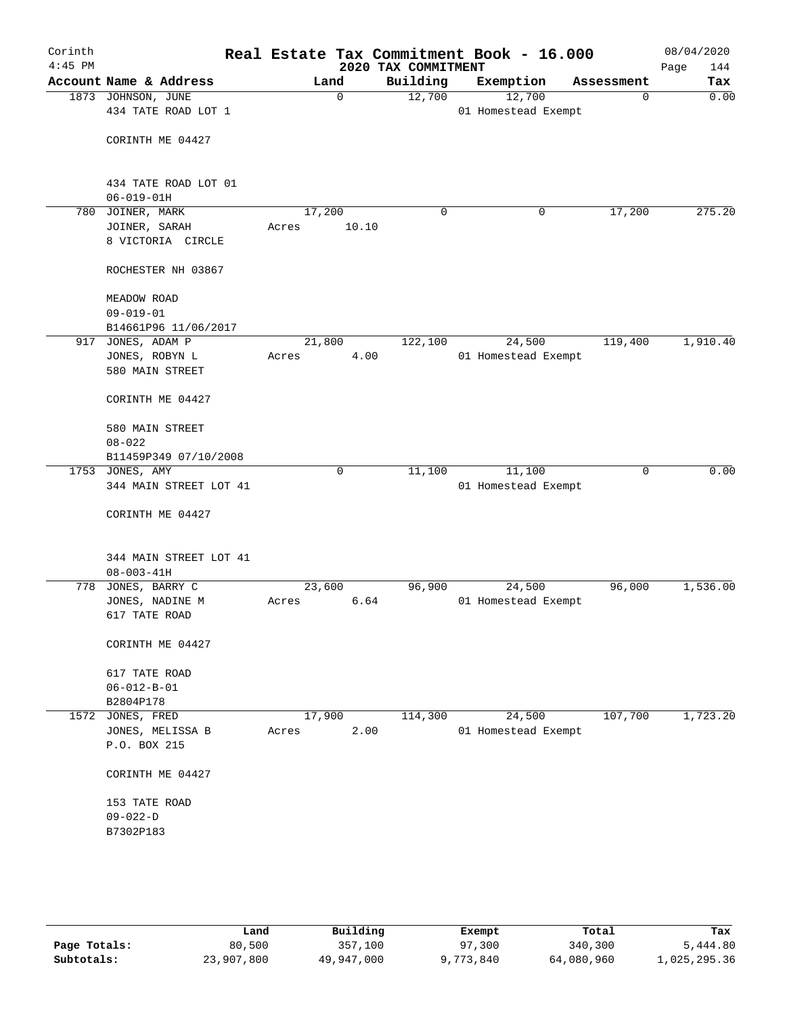| Corinth<br>$4:45$ PM |                                           |                 |             | 2020 TAX COMMITMENT | Real Estate Tax Commitment Book - 16.000 |             | 08/04/2020<br>Page<br>144 |
|----------------------|-------------------------------------------|-----------------|-------------|---------------------|------------------------------------------|-------------|---------------------------|
|                      | Account Name & Address                    |                 | Land        | Building            | Exemption                                | Assessment  | Tax                       |
|                      | 1873 JOHNSON, JUNE                        |                 | 0           | 12,700              | 12,700                                   | $\mathbf 0$ | 0.00                      |
|                      | 434 TATE ROAD LOT 1                       |                 |             |                     | 01 Homestead Exempt                      |             |                           |
|                      |                                           |                 |             |                     |                                          |             |                           |
|                      | CORINTH ME 04427                          |                 |             |                     |                                          |             |                           |
|                      |                                           |                 |             |                     |                                          |             |                           |
|                      | 434 TATE ROAD LOT 01                      |                 |             |                     |                                          |             |                           |
|                      | $06 - 019 - 01H$                          |                 |             |                     |                                          |             |                           |
| 780                  | JOINER, MARK                              | 17,200          |             | 0                   | 0                                        | 17,200      | 275.20                    |
|                      | JOINER, SARAH                             | Acres           | 10.10       |                     |                                          |             |                           |
|                      | 8 VICTORIA CIRCLE                         |                 |             |                     |                                          |             |                           |
|                      |                                           |                 |             |                     |                                          |             |                           |
|                      | ROCHESTER NH 03867                        |                 |             |                     |                                          |             |                           |
|                      |                                           |                 |             |                     |                                          |             |                           |
|                      | MEADOW ROAD                               |                 |             |                     |                                          |             |                           |
|                      | $09 - 019 - 01$                           |                 |             |                     |                                          |             |                           |
|                      | B14661P96 11/06/2017                      |                 |             |                     |                                          |             |                           |
| 917                  | JONES, ADAM P                             | 21,800          |             | 122,100             | 24,500                                   | 119,400     | 1,910.40                  |
|                      | JONES, ROBYN L                            | Acres           | 4.00        |                     | 01 Homestead Exempt                      |             |                           |
|                      | 580 MAIN STREET                           |                 |             |                     |                                          |             |                           |
|                      |                                           |                 |             |                     |                                          |             |                           |
|                      | CORINTH ME 04427                          |                 |             |                     |                                          |             |                           |
|                      |                                           |                 |             |                     |                                          |             |                           |
|                      | 580 MAIN STREET                           |                 |             |                     |                                          |             |                           |
|                      | $08 - 022$                                |                 |             |                     |                                          |             |                           |
|                      | B11459P349 07/10/2008                     |                 | $\mathbf 0$ |                     |                                          |             | 0.00                      |
|                      | 1753 JONES, AMY<br>344 MAIN STREET LOT 41 |                 |             | 11,100              | 11,100<br>01 Homestead Exempt            | 0           |                           |
|                      |                                           |                 |             |                     |                                          |             |                           |
|                      | CORINTH ME 04427                          |                 |             |                     |                                          |             |                           |
|                      |                                           |                 |             |                     |                                          |             |                           |
|                      |                                           |                 |             |                     |                                          |             |                           |
|                      | 344 MAIN STREET LOT 41                    |                 |             |                     |                                          |             |                           |
|                      | $08 - 003 - 41H$                          |                 |             |                     |                                          |             |                           |
| 778                  | JONES, BARRY C                            | 23,600          |             | 96,900              | 24,500                                   | 96,000      | 1,536.00                  |
|                      | JONES, NADINE M                           | Acres           | 6.64        |                     | 01 Homestead Exempt                      |             |                           |
|                      | 617 TATE ROAD                             |                 |             |                     |                                          |             |                           |
|                      |                                           |                 |             |                     |                                          |             |                           |
|                      | CORINTH ME 04427                          |                 |             |                     |                                          |             |                           |
|                      |                                           |                 |             |                     |                                          |             |                           |
|                      | 617 TATE ROAD                             |                 |             |                     |                                          |             |                           |
|                      | $06 - 012 - B - 01$                       |                 |             |                     |                                          |             |                           |
|                      | B2804P178                                 |                 |             |                     |                                          |             | 1,723.20                  |
|                      | 1572 JONES, FRED<br>JONES, MELISSA B      | 17,900<br>Acres | 2.00        | 114,300             | 24,500<br>01 Homestead Exempt            | 107,700     |                           |
|                      | P.O. BOX 215                              |                 |             |                     |                                          |             |                           |
|                      |                                           |                 |             |                     |                                          |             |                           |
|                      | CORINTH ME 04427                          |                 |             |                     |                                          |             |                           |
|                      |                                           |                 |             |                     |                                          |             |                           |
|                      | 153 TATE ROAD                             |                 |             |                     |                                          |             |                           |
|                      | $09 - 022 - D$                            |                 |             |                     |                                          |             |                           |
|                      | B7302P183                                 |                 |             |                     |                                          |             |                           |
|                      |                                           |                 |             |                     |                                          |             |                           |
|                      |                                           |                 |             |                     |                                          |             |                           |
|                      |                                           |                 |             |                     |                                          |             |                           |

|              | Land       | Building   | Exempt    | Total      | Tax          |
|--------------|------------|------------|-----------|------------|--------------|
| Page Totals: | 80,500     | 357,100    | 97,300    | 340,300    | 5,444.80     |
| Subtotals:   | 23,907,800 | 49,947,000 | 9,773,840 | 64,080,960 | 1,025,295.36 |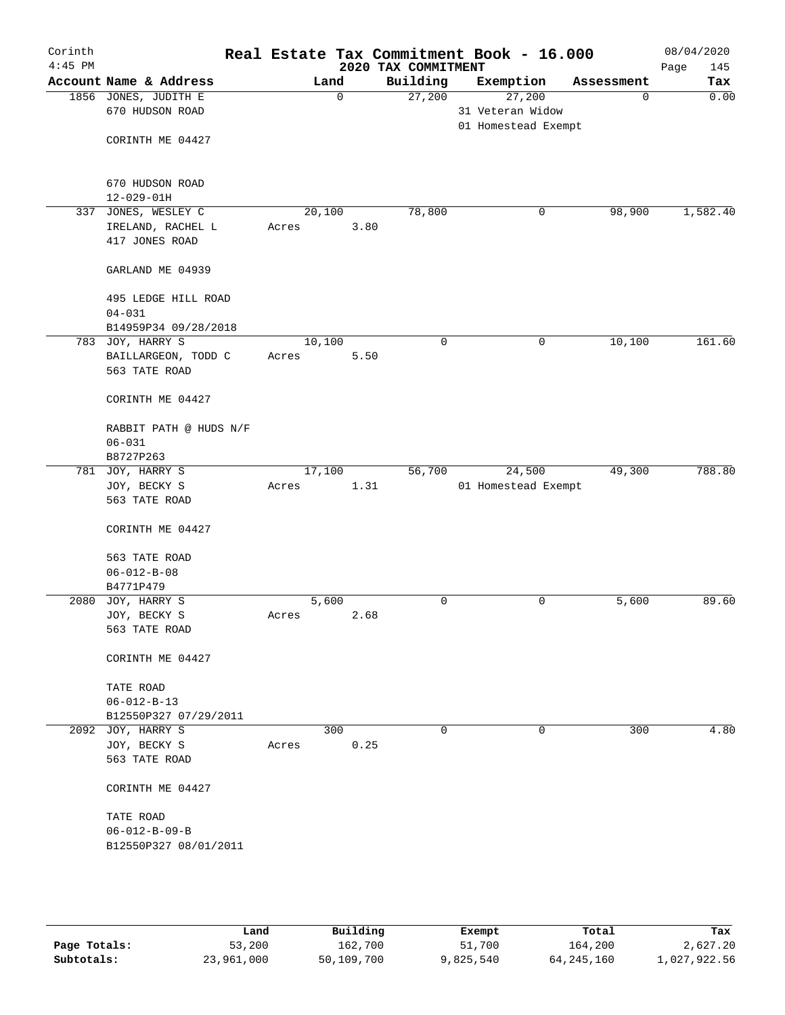| Corinth<br>$4:45$ PM |                                                        |       |             |      | 2020 TAX COMMITMENT | Real Estate Tax Commitment Book - 16.000          |             | 08/04/2020<br>Page<br>145 |
|----------------------|--------------------------------------------------------|-------|-------------|------|---------------------|---------------------------------------------------|-------------|---------------------------|
|                      | Account Name & Address                                 |       | Land        |      | Building            | Exemption                                         | Assessment  | Tax                       |
|                      | 1856 JONES, JUDITH E<br>670 HUDSON ROAD                |       | $\mathbf 0$ |      | 27,200              | 27,200<br>31 Veteran Widow<br>01 Homestead Exempt | $\mathbf 0$ | 0.00                      |
|                      | CORINTH ME 04427                                       |       |             |      |                     |                                                   |             |                           |
|                      | 670 HUDSON ROAD<br>$12 - 029 - 01H$                    |       |             |      |                     |                                                   |             |                           |
| 337                  | JONES, WESLEY C<br>IRELAND, RACHEL L<br>417 JONES ROAD | Acres | 20,100      | 3.80 | 78,800              | 0                                                 | 98,900      | 1,582.40                  |
|                      | GARLAND ME 04939                                       |       |             |      |                     |                                                   |             |                           |
|                      | 495 LEDGE HILL ROAD<br>$04 - 031$                      |       |             |      |                     |                                                   |             |                           |
|                      | B14959P34 09/28/2018<br>783 JOY, HARRY S               |       | 10,100      |      | $\mathbf 0$         | 0                                                 | 10,100      | 161.60                    |
|                      | BAILLARGEON, TODD C<br>563 TATE ROAD                   | Acres |             | 5.50 |                     |                                                   |             |                           |
|                      | CORINTH ME 04427                                       |       |             |      |                     |                                                   |             |                           |
|                      | RABBIT PATH @ HUDS N/F<br>$06 - 031$                   |       |             |      |                     |                                                   |             |                           |
|                      | B8727P263                                              |       |             |      |                     |                                                   |             |                           |
| 781                  | JOY, HARRY S                                           |       | 17,100      |      | 56,700              | 24,500                                            | 49,300      | 788.80                    |
|                      | JOY, BECKY S<br>563 TATE ROAD                          | Acres |             | 1.31 |                     | 01 Homestead Exempt                               |             |                           |
|                      | CORINTH ME 04427                                       |       |             |      |                     |                                                   |             |                           |
|                      | 563 TATE ROAD                                          |       |             |      |                     |                                                   |             |                           |
|                      | $06 - 012 - B - 08$                                    |       |             |      |                     |                                                   |             |                           |
|                      | B4771P479                                              |       |             |      |                     |                                                   |             |                           |
|                      | 2080 JOY, HARRY S                                      |       | 5,600       |      | 0                   | 0                                                 | 5,600       | 89.60                     |
|                      | JOY, BECKY S                                           | Acres |             | 2.68 |                     |                                                   |             |                           |
|                      | 563 TATE ROAD                                          |       |             |      |                     |                                                   |             |                           |
|                      | CORINTH ME 04427                                       |       |             |      |                     |                                                   |             |                           |
|                      | TATE ROAD                                              |       |             |      |                     |                                                   |             |                           |
|                      | $06 - 012 - B - 13$                                    |       |             |      |                     |                                                   |             |                           |
|                      | B12550P327 07/29/2011                                  |       |             |      |                     |                                                   |             |                           |
|                      | 2092 JOY, HARRY S                                      |       | 300         |      | 0                   | 0                                                 | 300         | 4.80                      |
|                      | JOY, BECKY S                                           | Acres |             | 0.25 |                     |                                                   |             |                           |
|                      | 563 TATE ROAD                                          |       |             |      |                     |                                                   |             |                           |
|                      | CORINTH ME 04427                                       |       |             |      |                     |                                                   |             |                           |
|                      | TATE ROAD                                              |       |             |      |                     |                                                   |             |                           |
|                      | $06 - 012 - B - 09 - B$                                |       |             |      |                     |                                                   |             |                           |
|                      | B12550P327 08/01/2011                                  |       |             |      |                     |                                                   |             |                           |
|                      |                                                        |       |             |      |                     |                                                   |             |                           |
|                      |                                                        |       |             |      |                     |                                                   |             |                           |

|              | Land       | Building   | Exempt    | Total        | Tax          |
|--------------|------------|------------|-----------|--------------|--------------|
| Page Totals: | 53,200     | 162,700    | 51,700    | 164,200      | 2,627.20     |
| Subtotals:   | 23,961,000 | 50,109,700 | 9,825,540 | 64, 245, 160 | 1,027,922.56 |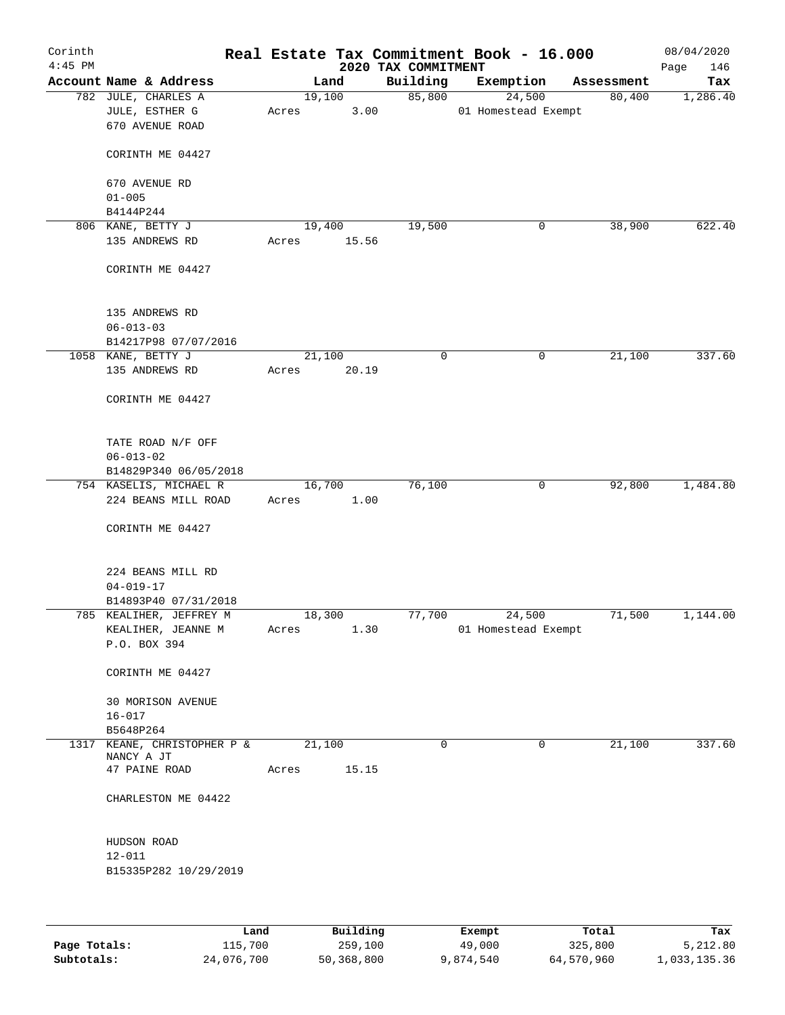| Corinth   |                                                               |      |       |                |                                 | Real Estate Tax Commitment Book - 16.000 |            | 08/04/2020         |
|-----------|---------------------------------------------------------------|------|-------|----------------|---------------------------------|------------------------------------------|------------|--------------------|
| $4:45$ PM | Account Name & Address                                        |      |       | Land           | 2020 TAX COMMITMENT<br>Building | Exemption                                | Assessment | Page<br>146<br>Tax |
|           | 782 JULE, CHARLES A                                           |      |       | 19,100         | 85,800                          | 24,500                                   | 80,400     | 1,286.40           |
|           | JULE, ESTHER G<br>670 AVENUE ROAD                             |      | Acres | 3.00           |                                 | 01 Homestead Exempt                      |            |                    |
|           | CORINTH ME 04427                                              |      |       |                |                                 |                                          |            |                    |
|           | 670 AVENUE RD<br>$01 - 005$                                   |      |       |                |                                 |                                          |            |                    |
|           | B4144P244                                                     |      |       |                |                                 |                                          |            |                    |
|           | 806 KANE, BETTY J                                             |      |       | 19,400         | 19,500                          | 0                                        | 38,900     | 622.40             |
|           | 135 ANDREWS RD                                                |      | Acres | 15.56          |                                 |                                          |            |                    |
|           | CORINTH ME 04427                                              |      |       |                |                                 |                                          |            |                    |
|           | 135 ANDREWS RD<br>$06 - 013 - 03$<br>B14217P98 07/07/2016     |      |       |                |                                 |                                          |            |                    |
|           | 1058 KANE, BETTY J                                            |      |       | 21,100         | $\mathbf 0$                     | 0                                        | 21,100     | 337.60             |
|           | 135 ANDREWS RD                                                |      | Acres | 20.19          |                                 |                                          |            |                    |
|           | CORINTH ME 04427                                              |      |       |                |                                 |                                          |            |                    |
|           | TATE ROAD N/F OFF<br>$06 - 013 - 02$                          |      |       |                |                                 |                                          |            |                    |
|           | B14829P340 06/05/2018                                         |      |       |                |                                 |                                          |            |                    |
|           | 754 KASELIS, MICHAEL R<br>224 BEANS MILL ROAD                 |      | Acres | 16,700<br>1.00 | 76,100                          | 0                                        | 92,800     | 1,484.80           |
|           | CORINTH ME 04427                                              |      |       |                |                                 |                                          |            |                    |
|           | 224 BEANS MILL RD<br>$04 - 019 - 17$                          |      |       |                |                                 |                                          |            |                    |
|           | B14893P40 07/31/2018                                          |      |       |                |                                 |                                          |            |                    |
|           | 785 KEALIHER, JEFFREY M<br>KEALIHER, JEANNE M<br>P.O. BOX 394 |      | Acres | 18,300<br>1.30 | 77,700                          | 24,500<br>01 Homestead Exempt            | 71,500     | 1,144.00           |
|           | CORINTH ME 04427                                              |      |       |                |                                 |                                          |            |                    |
|           | 30 MORISON AVENUE<br>$16 - 017$                               |      |       |                |                                 |                                          |            |                    |
|           | B5648P264                                                     |      |       |                |                                 |                                          |            |                    |
| 1317      | KEANE, CHRISTOPHER P &<br>NANCY A JT                          |      |       | 21,100         | $\mathbf 0$                     | 0                                        | 21,100     | 337.60             |
|           | 47 PAINE ROAD                                                 |      | Acres | 15.15          |                                 |                                          |            |                    |
|           | CHARLESTON ME 04422                                           |      |       |                |                                 |                                          |            |                    |
|           |                                                               |      |       |                |                                 |                                          |            |                    |
|           | HUDSON ROAD<br>$12 - 011$                                     |      |       |                |                                 |                                          |            |                    |
|           | B15335P282 10/29/2019                                         |      |       |                |                                 |                                          |            |                    |
|           |                                                               |      |       |                |                                 |                                          |            |                    |
|           |                                                               | Land |       | Building       |                                 | Exempt                                   | Total      | Tax                |
|           |                                                               |      |       |                |                                 |                                          |            |                    |

**Page Totals:** 115,700 259,100 49,000 325,800 5,212.80 **Subtotals:** 24,076,700 50,368,800 9,874,540 64,570,960 1,033,135.36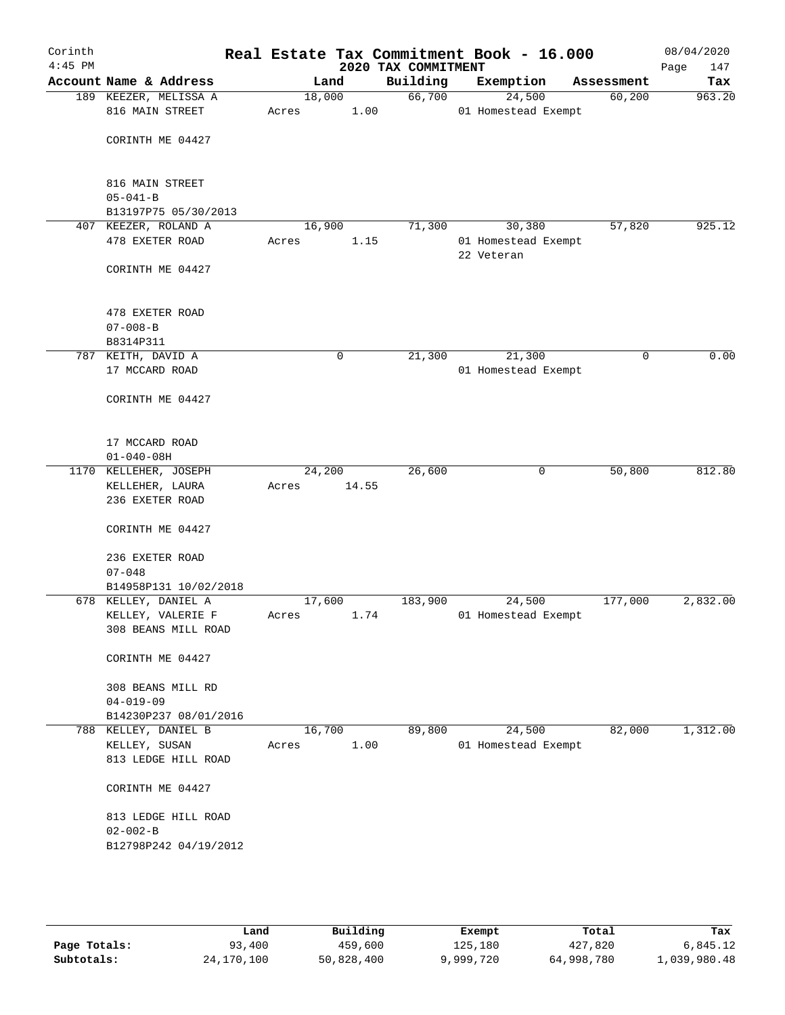| Corinth<br>$4:45$ PM |                                          |                 |       | 2020 TAX COMMITMENT | Real Estate Tax Commitment Book - 16.000 |            | 08/04/2020<br>Page<br>147 |
|----------------------|------------------------------------------|-----------------|-------|---------------------|------------------------------------------|------------|---------------------------|
|                      | Account Name & Address                   |                 | Land  | Building            | Exemption                                | Assessment | Tax                       |
|                      | 189 KEEZER, MELISSA A<br>816 MAIN STREET | 18,000<br>Acres | 1.00  | 66,700              | 24,500<br>01 Homestead Exempt            | 60,200     | 963.20                    |
|                      | CORINTH ME 04427                         |                 |       |                     |                                          |            |                           |
|                      | 816 MAIN STREET<br>$05 - 041 - B$        |                 |       |                     |                                          |            |                           |
|                      | B13197P75 05/30/2013                     |                 |       |                     |                                          |            |                           |
|                      | 407 KEEZER, ROLAND A                     | 16,900          |       | 71,300              | 30,380                                   | 57,820     | 925.12                    |
|                      | 478 EXETER ROAD                          | Acres           | 1.15  |                     | 01 Homestead Exempt<br>22 Veteran        |            |                           |
|                      | CORINTH ME 04427                         |                 |       |                     |                                          |            |                           |
|                      | 478 EXETER ROAD                          |                 |       |                     |                                          |            |                           |
|                      | $07 - 008 - B$                           |                 |       |                     |                                          |            |                           |
|                      | B8314P311                                |                 |       |                     |                                          |            |                           |
|                      | 787 KEITH, DAVID A                       |                 | 0     | 21,300              | 21,300                                   | 0          | 0.00                      |
|                      | 17 MCCARD ROAD                           |                 |       |                     | 01 Homestead Exempt                      |            |                           |
|                      | CORINTH ME 04427                         |                 |       |                     |                                          |            |                           |
|                      | 17 MCCARD ROAD<br>$01 - 040 - 08H$       |                 |       |                     |                                          |            |                           |
|                      | 1170 KELLEHER, JOSEPH                    | 24,200          |       | 26,600              | 0                                        | 50,800     | 812.80                    |
|                      | KELLEHER, LAURA<br>236 EXETER ROAD       | Acres           | 14.55 |                     |                                          |            |                           |
|                      | CORINTH ME 04427                         |                 |       |                     |                                          |            |                           |
|                      | 236 EXETER ROAD                          |                 |       |                     |                                          |            |                           |
|                      | $07 - 048$                               |                 |       |                     |                                          |            |                           |
|                      | B14958P131 10/02/2018                    |                 |       |                     |                                          |            |                           |
|                      | 678 KELLEY, DANIEL A                     | 17,600          |       | 183,900             | 24,500                                   | 177,000    | 2,832.00                  |
|                      | KELLEY, VALERIE F                        | Acres           | 1.74  |                     | 01 Homestead Exempt                      |            |                           |
|                      | 308 BEANS MILL ROAD                      |                 |       |                     |                                          |            |                           |
|                      | CORINTH ME 04427                         |                 |       |                     |                                          |            |                           |
|                      | 308 BEANS MILL RD                        |                 |       |                     |                                          |            |                           |
|                      | $04 - 019 - 09$                          |                 |       |                     |                                          |            |                           |
|                      | B14230P237 08/01/2016                    |                 |       |                     |                                          |            |                           |
|                      | 788 KELLEY, DANIEL B                     | 16,700          |       | 89,800              | 24,500                                   | 82,000     | 1,312.00                  |
|                      | KELLEY, SUSAN<br>813 LEDGE HILL ROAD     | Acres           | 1.00  |                     | 01 Homestead Exempt                      |            |                           |
|                      | CORINTH ME 04427                         |                 |       |                     |                                          |            |                           |
|                      | 813 LEDGE HILL ROAD                      |                 |       |                     |                                          |            |                           |
|                      | $02 - 002 - B$                           |                 |       |                     |                                          |            |                           |
|                      | B12798P242 04/19/2012                    |                 |       |                     |                                          |            |                           |
|                      |                                          |                 |       |                     |                                          |            |                           |
|                      |                                          |                 |       |                     |                                          |            |                           |

|              | Land       | Building   | Exempt    | Total      | Tax          |
|--------------|------------|------------|-----------|------------|--------------|
| Page Totals: | 93,400     | 459,600    | 125,180   | 427,820    | 6,845.12     |
| Subtotals:   | 24,170,100 | 50,828,400 | 9,999,720 | 64,998,780 | 1,039,980.48 |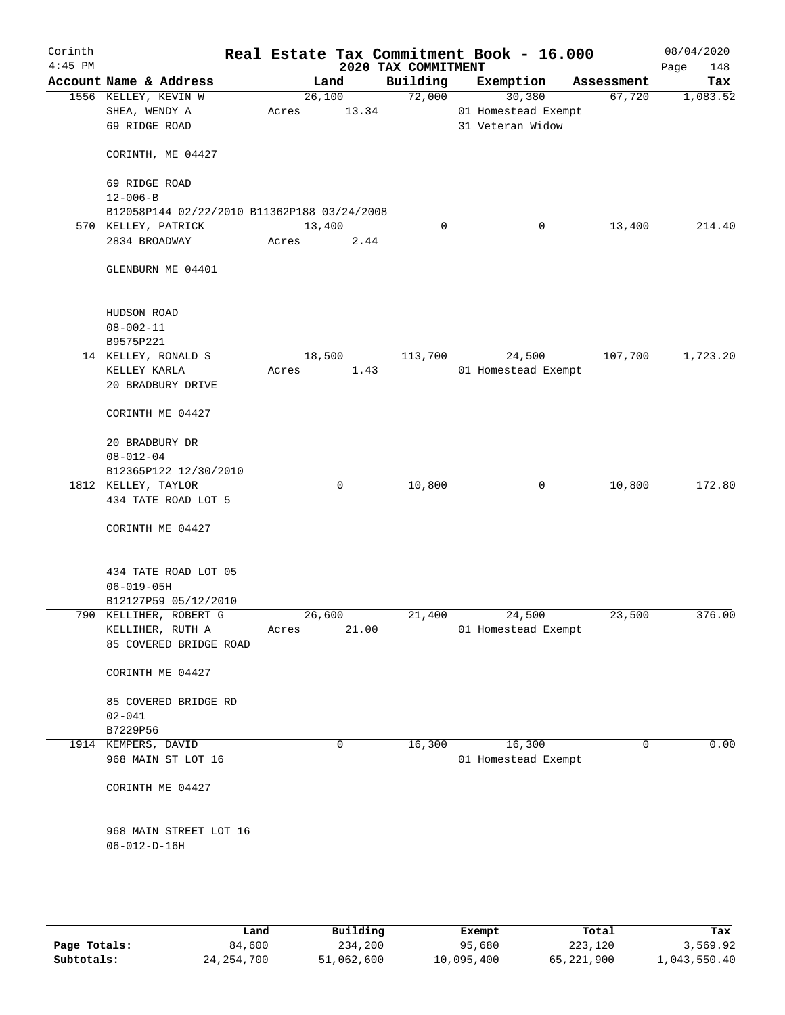| Corinth<br>$4:45$ PM |                                             |        |       | 2020 TAX COMMITMENT | Real Estate Tax Commitment Book - 16.000 |            | 08/04/2020<br>Page<br>148 |
|----------------------|---------------------------------------------|--------|-------|---------------------|------------------------------------------|------------|---------------------------|
|                      | Account Name & Address                      |        | Land  | Building            | Exemption                                | Assessment | Tax                       |
|                      | 1556 KELLEY, KEVIN W                        | 26,100 |       | 72,000              | 30,380                                   | 67,720     | 1,083.52                  |
|                      | SHEA, WENDY A                               | Acres  | 13.34 |                     | 01 Homestead Exempt                      |            |                           |
|                      | 69 RIDGE ROAD                               |        |       |                     | 31 Veteran Widow                         |            |                           |
|                      | CORINTH, ME 04427                           |        |       |                     |                                          |            |                           |
|                      | 69 RIDGE ROAD                               |        |       |                     |                                          |            |                           |
|                      | $12 - 006 - B$                              |        |       |                     |                                          |            |                           |
|                      | B12058P144 02/22/2010 B11362P188 03/24/2008 |        |       |                     |                                          |            |                           |
|                      | 570 KELLEY, PATRICK                         | 13,400 |       | $\mathbf 0$         | 0                                        | 13,400     | 214.40                    |
|                      | 2834 BROADWAY                               | Acres  | 2.44  |                     |                                          |            |                           |
|                      | GLENBURN ME 04401                           |        |       |                     |                                          |            |                           |
|                      | HUDSON ROAD                                 |        |       |                     |                                          |            |                           |
|                      | $08 - 002 - 11$                             |        |       |                     |                                          |            |                           |
|                      | B9575P221                                   |        |       |                     |                                          |            |                           |
|                      | 14 KELLEY, RONALD S                         | 18,500 |       | 113,700             | 24,500                                   | 107,700    | 1,723.20                  |
|                      | KELLEY KARLA                                | Acres  | 1.43  |                     | 01 Homestead Exempt                      |            |                           |
|                      | 20 BRADBURY DRIVE                           |        |       |                     |                                          |            |                           |
|                      | CORINTH ME 04427                            |        |       |                     |                                          |            |                           |
|                      | 20 BRADBURY DR                              |        |       |                     |                                          |            |                           |
|                      | $08 - 012 - 04$                             |        |       |                     |                                          |            |                           |
|                      | B12365P122 12/30/2010                       |        |       |                     |                                          |            |                           |
|                      | 1812 KELLEY, TAYLOR                         |        | 0     | 10,800              | 0                                        | 10,800     | 172.80                    |
|                      | 434 TATE ROAD LOT 5                         |        |       |                     |                                          |            |                           |
|                      | CORINTH ME 04427                            |        |       |                     |                                          |            |                           |
|                      | 434 TATE ROAD LOT 05                        |        |       |                     |                                          |            |                           |
|                      | $06 - 019 - 05H$                            |        |       |                     |                                          |            |                           |
|                      | B12127P59 05/12/2010                        |        |       |                     |                                          |            |                           |
|                      | 790 KELLIHER, ROBERT G                      | 26,600 |       | 21,400              | 24,500                                   | 23,500     | 376.00                    |
|                      | KELLIHER, RUTH A<br>85 COVERED BRIDGE ROAD  | Acres  | 21.00 |                     | 01 Homestead Exempt                      |            |                           |
|                      | CORINTH ME 04427                            |        |       |                     |                                          |            |                           |
|                      | 85 COVERED BRIDGE RD                        |        |       |                     |                                          |            |                           |
|                      | $02 - 041$                                  |        |       |                     |                                          |            |                           |
|                      | B7229P56                                    |        |       |                     |                                          |            |                           |
|                      | 1914 KEMPERS, DAVID                         |        | 0     | 16,300              | 16,300                                   | 0          | 0.00                      |
|                      | 968 MAIN ST LOT 16                          |        |       |                     | 01 Homestead Exempt                      |            |                           |
|                      | CORINTH ME 04427                            |        |       |                     |                                          |            |                           |
|                      | 968 MAIN STREET LOT 16                      |        |       |                     |                                          |            |                           |
|                      | $06 - 012 - D - 16H$                        |        |       |                     |                                          |            |                           |
|                      |                                             |        |       |                     |                                          |            |                           |
|                      |                                             |        |       |                     |                                          |            |                           |

|              | Land         | Building   | Exempt     | Total      | Tax          |
|--------------|--------------|------------|------------|------------|--------------|
| Page Totals: | 84,600       | 234,200    | 95,680     | 223,120    | 3,569.92     |
| Subtotals:   | 24, 254, 700 | 51,062,600 | 10,095,400 | 65,221,900 | 1,043,550.40 |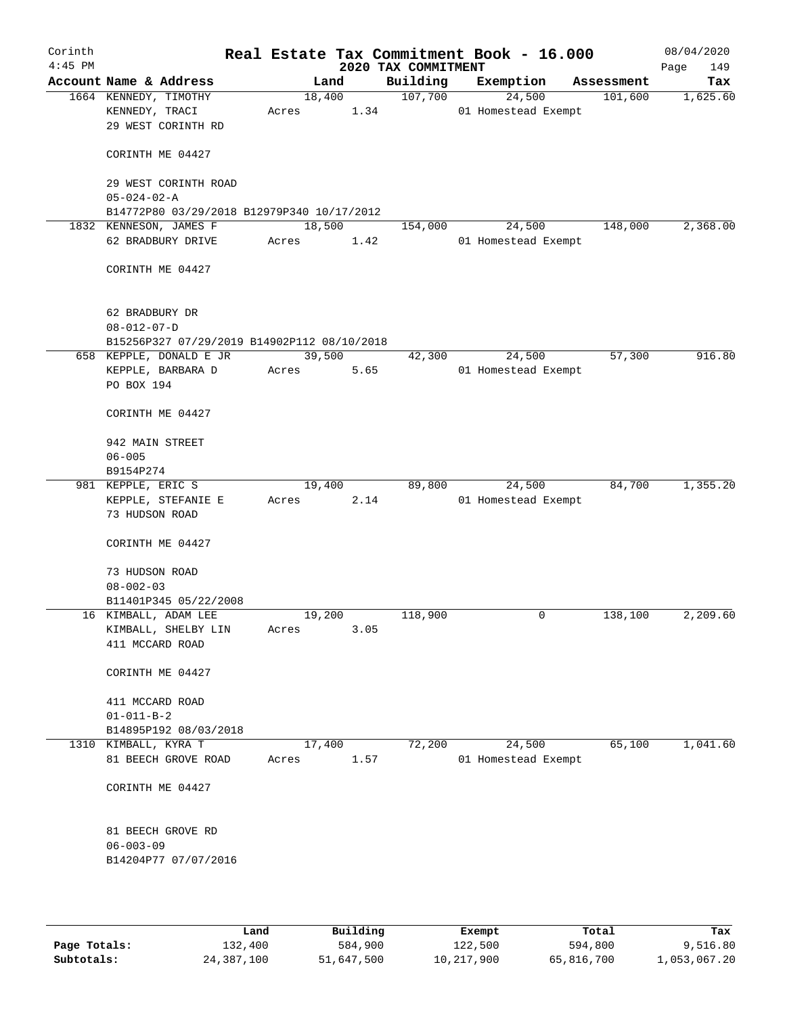| Corinth<br>$4:45$ PM |                                                               |       |                | 2020 TAX COMMITMENT | Real Estate Tax Commitment Book - 16.000 |              | 08/04/2020<br>Page<br>149 |
|----------------------|---------------------------------------------------------------|-------|----------------|---------------------|------------------------------------------|--------------|---------------------------|
|                      | Account Name & Address                                        |       | Land           | Building            | Exemption                                | Assessment   | Tax                       |
|                      | 1664 KENNEDY, TIMOTHY<br>KENNEDY, TRACI<br>29 WEST CORINTH RD | Acres | 18,400<br>1.34 | 107,700             | 24,500<br>01 Homestead Exempt            | 101,600      | 1,625.60                  |
|                      | CORINTH ME 04427                                              |       |                |                     |                                          |              |                           |
|                      | 29 WEST CORINTH ROAD<br>$05 - 024 - 02 - A$                   |       |                |                     |                                          |              |                           |
|                      | B14772P80 03/29/2018 B12979P340 10/17/2012                    |       |                |                     |                                          |              |                           |
|                      | 1832 KENNESON, JAMES F                                        |       | 18,500         | 154,000             | 24,500                                   | 148,000      | 2,368.00                  |
|                      | 62 BRADBURY DRIVE                                             | Acres | 1.42           |                     | 01 Homestead Exempt                      |              |                           |
|                      | CORINTH ME 04427                                              |       |                |                     |                                          |              |                           |
|                      | 62 BRADBURY DR                                                |       |                |                     |                                          |              |                           |
|                      | $08 - 012 - 07 - D$                                           |       |                |                     |                                          |              |                           |
|                      | B15256P327 07/29/2019 B14902P112 08/10/2018                   |       |                |                     |                                          |              |                           |
|                      | 658 KEPPLE, DONALD E JR                                       |       | 39,500         | 42,300              | 24,500                                   | 57,300       | 916.80                    |
|                      | KEPPLE, BARBARA D<br>PO BOX 194                               | Acres | 5.65           |                     | 01 Homestead Exempt                      |              |                           |
|                      | CORINTH ME 04427                                              |       |                |                     |                                          |              |                           |
|                      | 942 MAIN STREET                                               |       |                |                     |                                          |              |                           |
|                      | $06 - 005$                                                    |       |                |                     |                                          |              |                           |
|                      | B9154P274                                                     |       |                |                     |                                          |              |                           |
|                      | 981 KEPPLE, ERIC S                                            |       | 19,400         | 89,800              | 24,500                                   | 84,700       | 1,355.20                  |
|                      | KEPPLE, STEFANIE E<br>73 HUDSON ROAD                          | Acres | 2.14           |                     | 01 Homestead Exempt                      |              |                           |
|                      | CORINTH ME 04427                                              |       |                |                     |                                          |              |                           |
|                      | 73 HUDSON ROAD<br>$08 - 002 - 03$                             |       |                |                     |                                          |              |                           |
|                      | B11401P345 05/22/2008                                         |       |                |                     |                                          |              |                           |
|                      | 16 KIMBALL, ADAM LEE                                          |       | 19,200         | 118,900             |                                          | 138,100<br>0 | 2,209.60                  |
|                      | KIMBALL, SHELBY LIN<br>411 MCCARD ROAD                        | Acres | 3.05           |                     |                                          |              |                           |
|                      | CORINTH ME 04427                                              |       |                |                     |                                          |              |                           |
|                      | 411 MCCARD ROAD                                               |       |                |                     |                                          |              |                           |
|                      | $01 - 011 - B - 2$                                            |       |                |                     |                                          |              |                           |
|                      | B14895P192 08/03/2018                                         |       |                |                     |                                          |              |                           |
|                      | 1310 KIMBALL, KYRA T                                          |       | 17,400         | 72,200              | 24,500                                   | 65,100       | 1,041.60                  |
|                      | 81 BEECH GROVE ROAD                                           | Acres | 1.57           |                     | 01 Homestead Exempt                      |              |                           |
|                      | CORINTH ME 04427                                              |       |                |                     |                                          |              |                           |
|                      | 81 BEECH GROVE RD<br>$06 - 003 - 09$<br>B14204P77 07/07/2016  |       |                |                     |                                          |              |                           |
|                      |                                                               |       |                |                     |                                          |              |                           |

|              | Land       | Building   | Exempt     | Total      | Tax          |
|--------------|------------|------------|------------|------------|--------------|
| Page Totals: | 132,400    | 584,900    | 122,500    | 594,800    | 9,516.80     |
| Subtotals:   | 24,387,100 | 51,647,500 | 10,217,900 | 65,816,700 | 1,053,067.20 |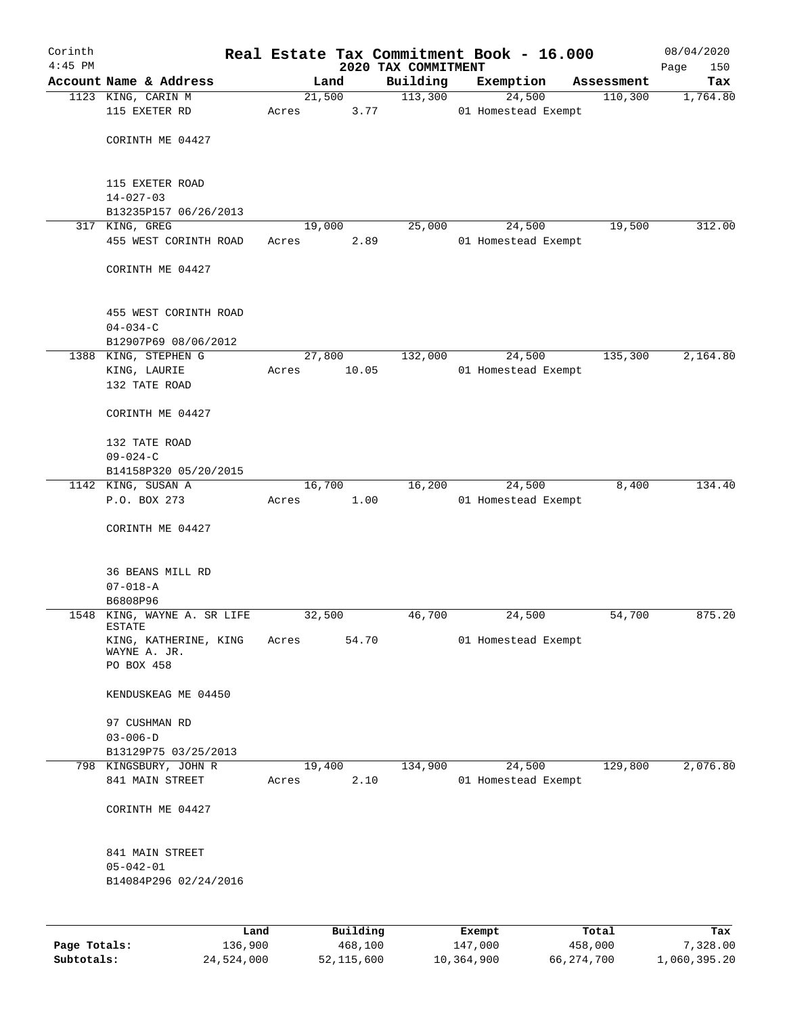| Corinth      |                                         |         |       |        |          |                                 | Real Estate Tax Commitment Book - 16.000 |            | 08/04/2020         |
|--------------|-----------------------------------------|---------|-------|--------|----------|---------------------------------|------------------------------------------|------------|--------------------|
| $4:45$ PM    | Account Name & Address                  |         |       | Land   |          | 2020 TAX COMMITMENT<br>Building | Exemption                                | Assessment | Page<br>150<br>Tax |
|              | 1123 KING, CARIN M                      |         |       | 21,500 |          | 113,300                         | 24,500                                   | 110,300    | 1,764.80           |
|              | 115 EXETER RD                           |         | Acres |        | 3.77     |                                 | 01 Homestead Exempt                      |            |                    |
|              |                                         |         |       |        |          |                                 |                                          |            |                    |
|              | CORINTH ME 04427                        |         |       |        |          |                                 |                                          |            |                    |
|              |                                         |         |       |        |          |                                 |                                          |            |                    |
|              |                                         |         |       |        |          |                                 |                                          |            |                    |
|              | 115 EXETER ROAD<br>$14 - 027 - 03$      |         |       |        |          |                                 |                                          |            |                    |
|              | B13235P157 06/26/2013                   |         |       |        |          |                                 |                                          |            |                    |
|              | 317 KING, GREG                          |         |       | 19,000 |          | 25,000                          | 24,500                                   | 19,500     | 312.00             |
|              | 455 WEST CORINTH ROAD                   |         | Acres |        | 2.89     |                                 | 01 Homestead Exempt                      |            |                    |
|              |                                         |         |       |        |          |                                 |                                          |            |                    |
|              | CORINTH ME 04427                        |         |       |        |          |                                 |                                          |            |                    |
|              |                                         |         |       |        |          |                                 |                                          |            |                    |
|              |                                         |         |       |        |          |                                 |                                          |            |                    |
|              | 455 WEST CORINTH ROAD<br>$04 - 034 - C$ |         |       |        |          |                                 |                                          |            |                    |
|              | B12907P69 08/06/2012                    |         |       |        |          |                                 |                                          |            |                    |
|              | 1388 KING, STEPHEN G                    |         |       | 27,800 |          | 132,000                         | 24,500                                   | 135,300    | 2,164.80           |
|              | KING, LAURIE                            |         | Acres |        | 10.05    |                                 | 01 Homestead Exempt                      |            |                    |
|              | 132 TATE ROAD                           |         |       |        |          |                                 |                                          |            |                    |
|              |                                         |         |       |        |          |                                 |                                          |            |                    |
|              | CORINTH ME 04427                        |         |       |        |          |                                 |                                          |            |                    |
|              |                                         |         |       |        |          |                                 |                                          |            |                    |
|              | 132 TATE ROAD<br>$09 - 024 - C$         |         |       |        |          |                                 |                                          |            |                    |
|              | B14158P320 05/20/2015                   |         |       |        |          |                                 |                                          |            |                    |
|              | 1142 KING, SUSAN A                      |         |       | 16,700 |          | 16,200                          | 24,500                                   | 8,400      | 134.40             |
|              | P.O. BOX 273                            |         | Acres |        | 1.00     |                                 | 01 Homestead Exempt                      |            |                    |
|              |                                         |         |       |        |          |                                 |                                          |            |                    |
|              | CORINTH ME 04427                        |         |       |        |          |                                 |                                          |            |                    |
|              |                                         |         |       |        |          |                                 |                                          |            |                    |
|              |                                         |         |       |        |          |                                 |                                          |            |                    |
|              | 36 BEANS MILL RD                        |         |       |        |          |                                 |                                          |            |                    |
|              | $07 - 018 - A$                          |         |       |        |          |                                 |                                          |            |                    |
|              | B6808P96<br>1548 KING, WAYNE A. SR LIFE |         |       | 32,500 |          | 46,700                          | 24,500                                   | 54,700     | 875.20             |
|              | <b>ESTATE</b>                           |         |       |        |          |                                 |                                          |            |                    |
|              | KING, KATHERINE, KING                   |         | Acres |        | 54.70    |                                 | 01 Homestead Exempt                      |            |                    |
|              | WAYNE A. JR.<br>PO BOX 458              |         |       |        |          |                                 |                                          |            |                    |
|              |                                         |         |       |        |          |                                 |                                          |            |                    |
|              | KENDUSKEAG ME 04450                     |         |       |        |          |                                 |                                          |            |                    |
|              |                                         |         |       |        |          |                                 |                                          |            |                    |
|              | 97 CUSHMAN RD                           |         |       |        |          |                                 |                                          |            |                    |
|              | $03 - 006 - D$                          |         |       |        |          |                                 |                                          |            |                    |
|              | B13129P75 03/25/2013                    |         |       |        |          |                                 |                                          |            |                    |
|              | 798 KINGSBURY, JOHN R                   |         |       | 19,400 |          | 134,900                         | 24,500                                   | 129,800    | 2,076.80           |
|              | 841 MAIN STREET                         |         | Acres |        | 2.10     |                                 | 01 Homestead Exempt                      |            |                    |
|              |                                         |         |       |        |          |                                 |                                          |            |                    |
|              | CORINTH ME 04427                        |         |       |        |          |                                 |                                          |            |                    |
|              |                                         |         |       |        |          |                                 |                                          |            |                    |
|              | 841 MAIN STREET                         |         |       |        |          |                                 |                                          |            |                    |
|              | $05 - 042 - 01$                         |         |       |        |          |                                 |                                          |            |                    |
|              | B14084P296 02/24/2016                   |         |       |        |          |                                 |                                          |            |                    |
|              |                                         |         |       |        |          |                                 |                                          |            |                    |
|              |                                         |         |       |        |          |                                 |                                          |            |                    |
|              |                                         | Land    |       |        | Building |                                 | Exempt                                   | Total      | Tax                |
| Page Totals: |                                         | 136,900 |       |        | 468,100  |                                 | 147,000                                  | 458,000    | 7,328.00           |

**Subtotals:** 24,524,000 52,115,600 10,364,900 66,274,700 1,060,395.20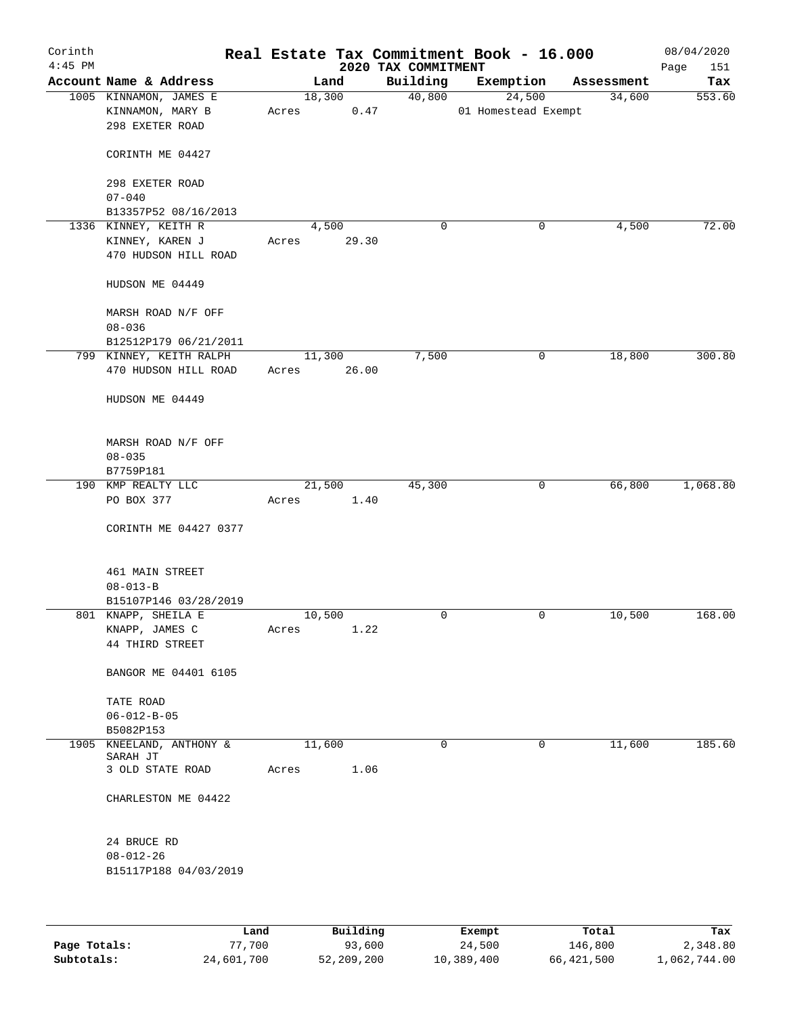| Corinth<br>$4:45$ PM |                                            |       |                 | 2020 TAX COMMITMENT | Real Estate Tax Commitment Book - 16.000 |             | 08/04/2020<br>151<br>Page |
|----------------------|--------------------------------------------|-------|-----------------|---------------------|------------------------------------------|-------------|---------------------------|
|                      | Account Name & Address                     |       | Land            | Building            | Exemption                                | Assessment  | Tax                       |
|                      | 1005 KINNAMON, JAMES E<br>KINNAMON, MARY B | Acres | 18,300<br>0.47  | 40,800              | 24,500<br>01 Homestead Exempt            | 34,600      | 553.60                    |
|                      | 298 EXETER ROAD                            |       |                 |                     |                                          |             |                           |
|                      | CORINTH ME 04427                           |       |                 |                     |                                          |             |                           |
|                      | 298 EXETER ROAD<br>$07 - 040$              |       |                 |                     |                                          |             |                           |
|                      | B13357P52 08/16/2013                       |       |                 |                     |                                          |             |                           |
|                      | 1336 KINNEY, KEITH R                       |       | 4,500           | 0                   | 0                                        | 4,500       | 72.00                     |
|                      | KINNEY, KAREN J<br>470 HUDSON HILL ROAD    | Acres | 29.30           |                     |                                          |             |                           |
|                      | HUDSON ME 04449                            |       |                 |                     |                                          |             |                           |
|                      | MARSH ROAD N/F OFF<br>$08 - 036$           |       |                 |                     |                                          |             |                           |
|                      | B12512P179 06/21/2011                      |       |                 |                     |                                          |             |                           |
|                      | 799 KINNEY, KEITH RALPH                    |       | 11,300          | 7,500               | 0                                        | 18,800      | 300.80                    |
|                      | 470 HUDSON HILL ROAD                       | Acres | 26.00           |                     |                                          |             |                           |
|                      | HUDSON ME 04449                            |       |                 |                     |                                          |             |                           |
|                      | MARSH ROAD N/F OFF                         |       |                 |                     |                                          |             |                           |
|                      | $08 - 035$                                 |       |                 |                     |                                          |             |                           |
|                      | B7759P181<br>190 KMP REALTY LLC            |       | 21,500          | 45,300              | 0                                        | 66,800      | 1,068.80                  |
|                      | PO BOX 377                                 | Acres | 1.40            |                     |                                          |             |                           |
|                      | CORINTH ME 04427 0377                      |       |                 |                     |                                          |             |                           |
|                      | 461 MAIN STREET                            |       |                 |                     |                                          |             |                           |
|                      | $08 - 013 - B$                             |       |                 |                     |                                          |             |                           |
|                      | B15107P146 03/28/2019                      |       |                 |                     |                                          |             |                           |
|                      | 801 KNAPP, SHEILA E                        |       | 10,500          | 0                   | 0                                        | 10,500      | 168.00                    |
|                      | KNAPP, JAMES C<br>44 THIRD STREET          | Acres | 1.22            |                     |                                          |             |                           |
|                      | BANGOR ME 04401 6105                       |       |                 |                     |                                          |             |                           |
|                      | TATE ROAD                                  |       |                 |                     |                                          |             |                           |
|                      | $06 - 012 - B - 05$                        |       |                 |                     |                                          |             |                           |
|                      | B5082P153                                  |       |                 |                     |                                          |             |                           |
|                      | 1905 KNEELAND, ANTHONY &<br>SARAH JT       |       | 11,600          | $\mathbf 0$         | 0                                        | 11,600      | 185.60                    |
|                      | 3 OLD STATE ROAD                           | Acres | 1.06            |                     |                                          |             |                           |
|                      | CHARLESTON ME 04422                        |       |                 |                     |                                          |             |                           |
|                      | 24 BRUCE RD                                |       |                 |                     |                                          |             |                           |
|                      | $08 - 012 - 26$                            |       |                 |                     |                                          |             |                           |
|                      | B15117P188 04/03/2019                      |       |                 |                     |                                          |             |                           |
|                      |                                            |       |                 |                     |                                          |             |                           |
|                      | <b>Tand</b>                                |       | $P_{11}$ ilding |                     | $F$ vomnt                                | $T - F - 1$ | <b>The ve</b>             |

|              | Land       | Building   | Exempt     | Total      | Tax          |
|--------------|------------|------------|------------|------------|--------------|
| Page Totals: | 77,700     | 93,600     | 24,500     | 146,800    | 2,348.80     |
| Subtotals:   | 24,601,700 | 52,209,200 | 10,389,400 | 66,421,500 | 1,062,744.00 |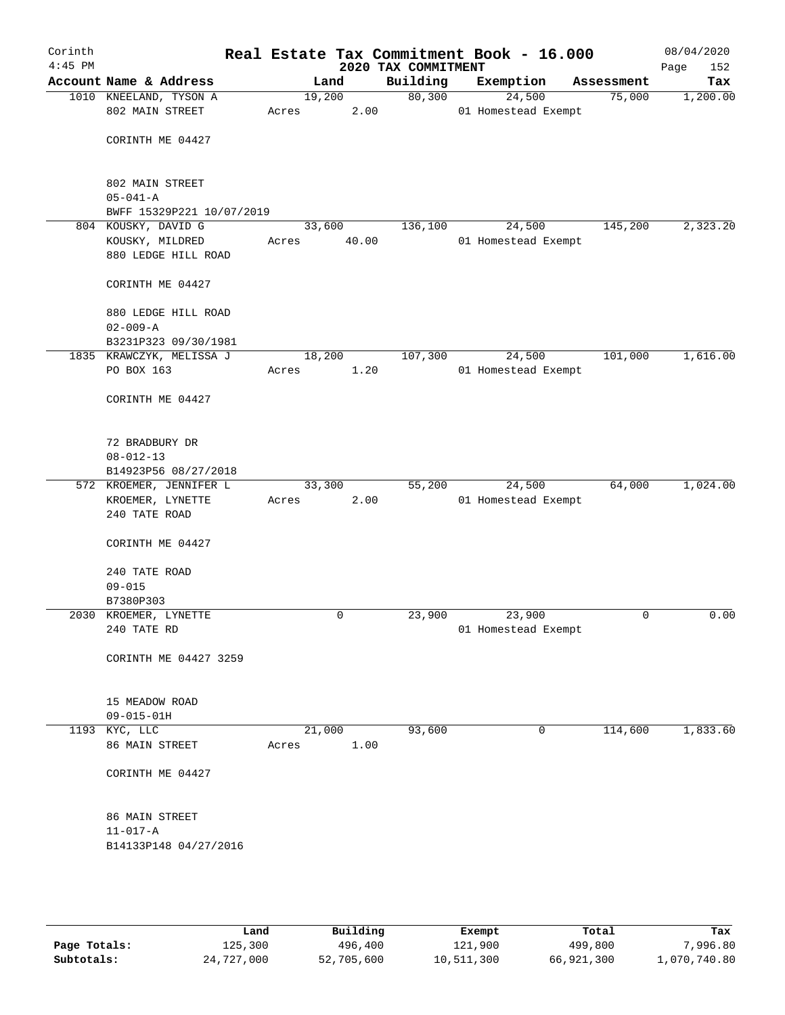| Corinth<br>$4:45$ PM |                                        |       |        | 2020 TAX COMMITMENT | Real Estate Tax Commitment Book - 16.000 |            | 08/04/2020<br>152<br>Page |
|----------------------|----------------------------------------|-------|--------|---------------------|------------------------------------------|------------|---------------------------|
|                      | Account Name & Address                 |       | Land   | Building            | Exemption                                | Assessment | Tax                       |
|                      | 1010 KNEELAND, TYSON A                 |       | 19,200 | 80,300              | 24,500                                   | 75,000     | 1,200.00                  |
|                      | 802 MAIN STREET                        | Acres | 2.00   |                     | 01 Homestead Exempt                      |            |                           |
|                      |                                        |       |        |                     |                                          |            |                           |
|                      | CORINTH ME 04427                       |       |        |                     |                                          |            |                           |
|                      |                                        |       |        |                     |                                          |            |                           |
|                      | 802 MAIN STREET                        |       |        |                     |                                          |            |                           |
|                      | $05 - 041 - A$                         |       |        |                     |                                          |            |                           |
|                      | BWFF 15329P221 10/07/2019              |       |        |                     |                                          |            |                           |
|                      | 804 KOUSKY, DAVID G                    |       | 33,600 | 136,100             | 24,500                                   | 145,200    | 2,323.20                  |
|                      | KOUSKY, MILDRED<br>880 LEDGE HILL ROAD | Acres | 40.00  |                     | 01 Homestead Exempt                      |            |                           |
|                      |                                        |       |        |                     |                                          |            |                           |
|                      | CORINTH ME 04427                       |       |        |                     |                                          |            |                           |
|                      | 880 LEDGE HILL ROAD                    |       |        |                     |                                          |            |                           |
|                      | $02 - 009 - A$                         |       |        |                     |                                          |            |                           |
|                      | B3231P323 09/30/1981                   |       |        |                     |                                          |            |                           |
|                      | 1835 KRAWCZYK, MELISSA J               |       | 18,200 | 107,300             | 24,500                                   | 101,000    | 1,616.00                  |
|                      | PO BOX 163                             | Acres | 1.20   |                     | 01 Homestead Exempt                      |            |                           |
|                      |                                        |       |        |                     |                                          |            |                           |
|                      | CORINTH ME 04427                       |       |        |                     |                                          |            |                           |
|                      |                                        |       |        |                     |                                          |            |                           |
|                      | 72 BRADBURY DR                         |       |        |                     |                                          |            |                           |
|                      | $08 - 012 - 13$                        |       |        |                     |                                          |            |                           |
|                      | B14923P56 08/27/2018                   |       |        |                     |                                          |            |                           |
|                      | 572 KROEMER, JENNIFER L                |       | 33,300 | 55,200              | 24,500                                   | 64,000     | 1,024.00                  |
|                      | KROEMER, LYNETTE<br>240 TATE ROAD      | Acres | 2.00   |                     | 01 Homestead Exempt                      |            |                           |
|                      |                                        |       |        |                     |                                          |            |                           |
|                      | CORINTH ME 04427                       |       |        |                     |                                          |            |                           |
|                      |                                        |       |        |                     |                                          |            |                           |
|                      | 240 TATE ROAD                          |       |        |                     |                                          |            |                           |
|                      | $09 - 015$<br>B7380P303                |       |        |                     |                                          |            |                           |
|                      | 2030 KROEMER, LYNETTE                  |       | 0      | 23,900              | 23,900                                   | 0          | 0.00                      |
|                      | 240 TATE RD                            |       |        |                     | 01 Homestead Exempt                      |            |                           |
|                      |                                        |       |        |                     |                                          |            |                           |
|                      | CORINTH ME 04427 3259                  |       |        |                     |                                          |            |                           |
|                      |                                        |       |        |                     |                                          |            |                           |
|                      | 15 MEADOW ROAD                         |       |        |                     |                                          |            |                           |
|                      | $09 - 015 - 01H$                       |       |        |                     |                                          |            |                           |
|                      | 1193 KYC, LLC                          |       | 21,000 | 93,600              | 0                                        | 114,600    | 1,833.60                  |
|                      | 86 MAIN STREET                         | Acres | 1.00   |                     |                                          |            |                           |
|                      |                                        |       |        |                     |                                          |            |                           |
|                      | CORINTH ME 04427                       |       |        |                     |                                          |            |                           |
|                      |                                        |       |        |                     |                                          |            |                           |
|                      | 86 MAIN STREET                         |       |        |                     |                                          |            |                           |
|                      | $11 - 017 - A$                         |       |        |                     |                                          |            |                           |
|                      | B14133P148 04/27/2016                  |       |        |                     |                                          |            |                           |
|                      |                                        |       |        |                     |                                          |            |                           |
|                      |                                        |       |        |                     |                                          |            |                           |
|                      |                                        |       |        |                     |                                          |            |                           |
|                      |                                        |       |        |                     |                                          |            |                           |

|              | Land       | Building   | Exempt     | Total      | Tax          |
|--------------|------------|------------|------------|------------|--------------|
| Page Totals: | 125,300    | 496,400    | 121,900    | 499,800    | 7,996.80     |
| Subtotals:   | 24,727,000 | 52,705,600 | 10,511,300 | 66,921,300 | 1,070,740.80 |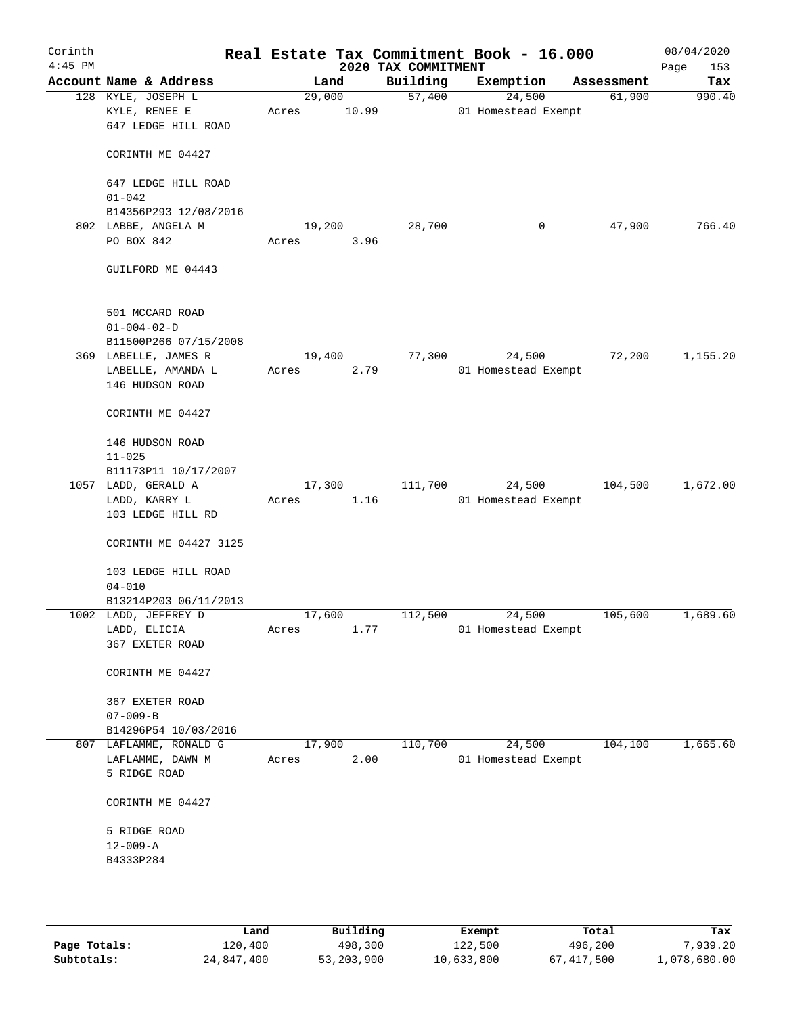| Corinth<br>$4:45$ PM |                                                            |                 |       | 2020 TAX COMMITMENT | Real Estate Tax Commitment Book - 16.000 |            | 08/04/2020<br>Page<br>153 |
|----------------------|------------------------------------------------------------|-----------------|-------|---------------------|------------------------------------------|------------|---------------------------|
|                      | Account Name & Address                                     |                 | Land  | Building            | Exemption                                | Assessment | Tax                       |
|                      | 128 KYLE, JOSEPH L<br>KYLE, RENEE E<br>647 LEDGE HILL ROAD | 29,000<br>Acres | 10.99 | 57,400              | 24,500<br>01 Homestead Exempt            | 61,900     | 990.40                    |
|                      | CORINTH ME 04427                                           |                 |       |                     |                                          |            |                           |
|                      | 647 LEDGE HILL ROAD<br>$01 - 042$                          |                 |       |                     |                                          |            |                           |
|                      | B14356P293 12/08/2016                                      |                 |       |                     |                                          |            |                           |
|                      | 802 LABBE, ANGELA M                                        | 19,200          |       | 28,700              | 0                                        | 47,900     | 766.40                    |
|                      | PO BOX 842                                                 | Acres           | 3.96  |                     |                                          |            |                           |
|                      | GUILFORD ME 04443                                          |                 |       |                     |                                          |            |                           |
|                      | 501 MCCARD ROAD                                            |                 |       |                     |                                          |            |                           |
|                      | $01 - 004 - 02 - D$<br>B11500P266 07/15/2008               |                 |       |                     |                                          |            |                           |
|                      | 369 LABELLE, JAMES R                                       | 19,400          |       | 77,300              | 24,500                                   | 72,200     | 1,155.20                  |
|                      | LABELLE, AMANDA L<br>146 HUDSON ROAD                       | Acres           | 2.79  |                     | 01 Homestead Exempt                      |            |                           |
|                      | CORINTH ME 04427                                           |                 |       |                     |                                          |            |                           |
|                      | 146 HUDSON ROAD                                            |                 |       |                     |                                          |            |                           |
|                      | $11 - 025$<br>B11173P11 10/17/2007                         |                 |       |                     |                                          |            |                           |
|                      | 1057 LADD, GERALD A                                        | 17,300          |       | 111,700             | 24,500                                   | 104,500    | 1,672.00                  |
|                      | LADD, KARRY L                                              | Acres           | 1.16  |                     | 01 Homestead Exempt                      |            |                           |
|                      | 103 LEDGE HILL RD                                          |                 |       |                     |                                          |            |                           |
|                      | CORINTH ME 04427 3125                                      |                 |       |                     |                                          |            |                           |
|                      | 103 LEDGE HILL ROAD<br>$04 - 010$                          |                 |       |                     |                                          |            |                           |
|                      | B13214P203 06/11/2013                                      |                 |       |                     |                                          |            |                           |
|                      | 1002 LADD, JEFFREY D                                       | 17,600          |       | 112,500             | 24,500                                   | 105,600    | 1,689.60                  |
|                      | LADD, ELICIA                                               | Acres           | 1.77  |                     | 01 Homestead Exempt                      |            |                           |
|                      | 367 EXETER ROAD                                            |                 |       |                     |                                          |            |                           |
|                      | CORINTH ME 04427                                           |                 |       |                     |                                          |            |                           |
|                      | 367 EXETER ROAD                                            |                 |       |                     |                                          |            |                           |
|                      | $07 - 009 - B$                                             |                 |       |                     |                                          |            |                           |
|                      | B14296P54 10/03/2016                                       |                 |       |                     |                                          |            |                           |
| 807                  | LAFLAMME, RONALD G                                         | 17,900          |       | 110,700             | 24,500                                   | 104, 100   | 1,665.60                  |
|                      | LAFLAMME, DAWN M<br>5 RIDGE ROAD                           | Acres           | 2.00  |                     | 01 Homestead Exempt                      |            |                           |
|                      | CORINTH ME 04427                                           |                 |       |                     |                                          |            |                           |
|                      | 5 RIDGE ROAD                                               |                 |       |                     |                                          |            |                           |
|                      | $12 - 009 - A$                                             |                 |       |                     |                                          |            |                           |
|                      | B4333P284                                                  |                 |       |                     |                                          |            |                           |
|                      |                                                            |                 |       |                     |                                          |            |                           |
|                      |                                                            |                 |       |                     |                                          |            |                           |

|              | Land       | Building   | Exempt     | Total      | Tax          |
|--------------|------------|------------|------------|------------|--------------|
| Page Totals: | 120,400    | 498,300    | 122,500    | 496,200    | 7,939.20     |
| Subtotals:   | 24,847,400 | 53,203,900 | 10,633,800 | 67,417,500 | L,078,680.00 |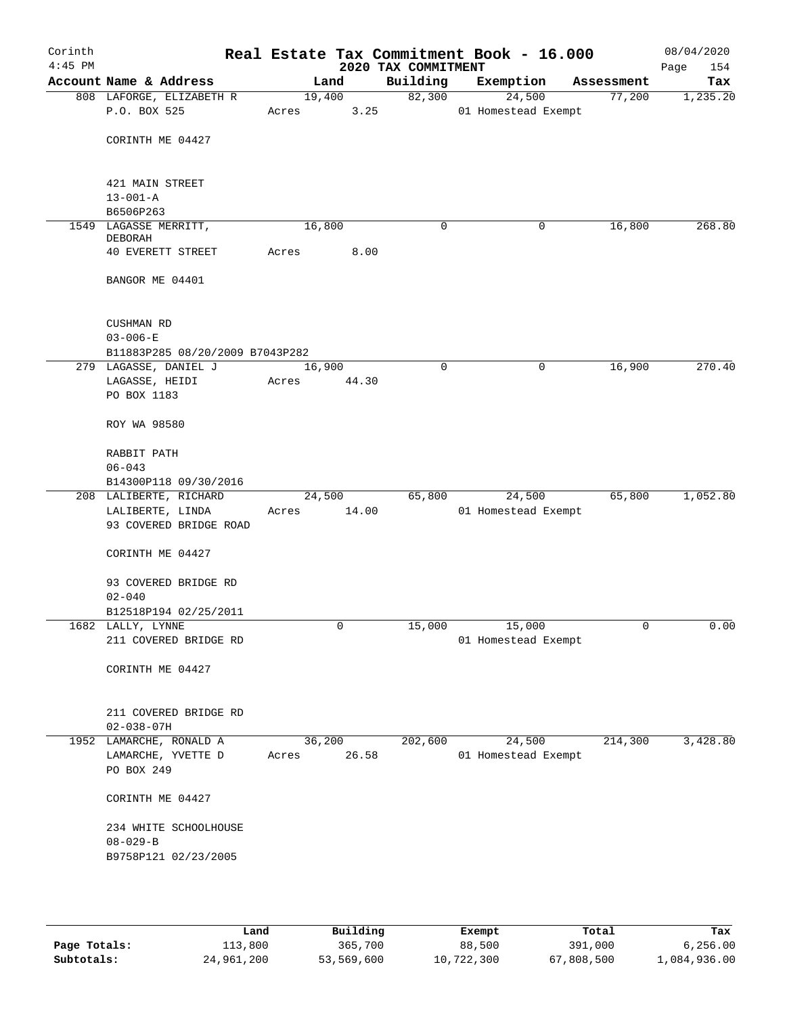| Corinth<br>$4:45$ PM |                                            |        |                | 2020 TAX COMMITMENT | Real Estate Tax Commitment Book - 16.000 |            | 08/04/2020<br>Page<br>154 |
|----------------------|--------------------------------------------|--------|----------------|---------------------|------------------------------------------|------------|---------------------------|
|                      | Account Name & Address                     |        | Land           | Building            | Exemption                                | Assessment | Tax                       |
|                      | 808 LAFORGE, ELIZABETH R<br>P.O. BOX 525   | Acres  | 19,400<br>3.25 | 82,300              | 24,500<br>01 Homestead Exempt            | 77,200     | 1,235.20                  |
|                      | CORINTH ME 04427                           |        |                |                     |                                          |            |                           |
|                      | 421 MAIN STREET<br>$13 - 001 - A$          |        |                |                     |                                          |            |                           |
|                      | B6506P263                                  |        |                |                     |                                          |            |                           |
|                      | 1549 LAGASSE MERRITT,<br>DEBORAH           | 16,800 |                | 0                   | 0                                        | 16,800     | 268.80                    |
|                      | 40 EVERETT STREET                          | Acres  | 8.00           |                     |                                          |            |                           |
|                      | BANGOR ME 04401                            |        |                |                     |                                          |            |                           |
|                      | CUSHMAN RD<br>$03 - 006 - E$               |        |                |                     |                                          |            |                           |
|                      | B11883P285 08/20/2009 B7043P282            |        |                |                     |                                          |            |                           |
|                      | 279 LAGASSE, DANIEL J                      | 16,900 |                | $\mathbf 0$         | 0                                        | 16,900     | 270.40                    |
|                      | LAGASSE, HEIDI                             | Acres  | 44.30          |                     |                                          |            |                           |
|                      | PO BOX 1183                                |        |                |                     |                                          |            |                           |
|                      | ROY WA 98580                               |        |                |                     |                                          |            |                           |
|                      | RABBIT PATH                                |        |                |                     |                                          |            |                           |
|                      | $06 - 043$                                 |        |                |                     |                                          |            |                           |
|                      | B14300P118 09/30/2016                      |        |                |                     |                                          |            |                           |
|                      | 208 LALIBERTE, RICHARD                     | 24,500 |                | 65,800              | 24,500                                   | 65,800     | 1,052.80                  |
|                      | LALIBERTE, LINDA<br>93 COVERED BRIDGE ROAD | Acres  | 14.00          |                     | 01 Homestead Exempt                      |            |                           |
|                      |                                            |        |                |                     |                                          |            |                           |
|                      | CORINTH ME 04427                           |        |                |                     |                                          |            |                           |
|                      | 93 COVERED BRIDGE RD<br>$02 - 040$         |        |                |                     |                                          |            |                           |
|                      | B12518P194 02/25/2011                      |        |                |                     |                                          |            |                           |
|                      | 1682 LALLY, LYNNE                          |        | 0              | 15,000              | 15,000                                   | 0          | 0.00                      |
|                      | 211 COVERED BRIDGE RD                      |        |                |                     | 01 Homestead Exempt                      |            |                           |
|                      | CORINTH ME 04427                           |        |                |                     |                                          |            |                           |
|                      | 211 COVERED BRIDGE RD<br>$02 - 038 - 07H$  |        |                |                     |                                          |            |                           |
|                      | 1952 LAMARCHE, RONALD A                    | 36,200 |                | 202,600             | 24,500                                   | 214,300    | 3,428.80                  |
|                      | LAMARCHE, YVETTE D                         | Acres  | 26.58          |                     | 01 Homestead Exempt                      |            |                           |
|                      | PO BOX 249                                 |        |                |                     |                                          |            |                           |
|                      | CORINTH ME 04427                           |        |                |                     |                                          |            |                           |
|                      | 234 WHITE SCHOOLHOUSE                      |        |                |                     |                                          |            |                           |
|                      | $08 - 029 - B$                             |        |                |                     |                                          |            |                           |
|                      | B9758P121 02/23/2005                       |        |                |                     |                                          |            |                           |
|                      |                                            |        |                |                     |                                          |            |                           |
|                      |                                            |        |                |                     |                                          |            |                           |

|              | Land       | Building   | Exempt     | Total      | Tax          |
|--------------|------------|------------|------------|------------|--------------|
| Page Totals: | 113,800    | 365,700    | 88,500     | 391,000    | 6,256.00     |
| Subtotals:   | 24,961,200 | 53,569,600 | 10,722,300 | 67,808,500 | l,084,936.00 |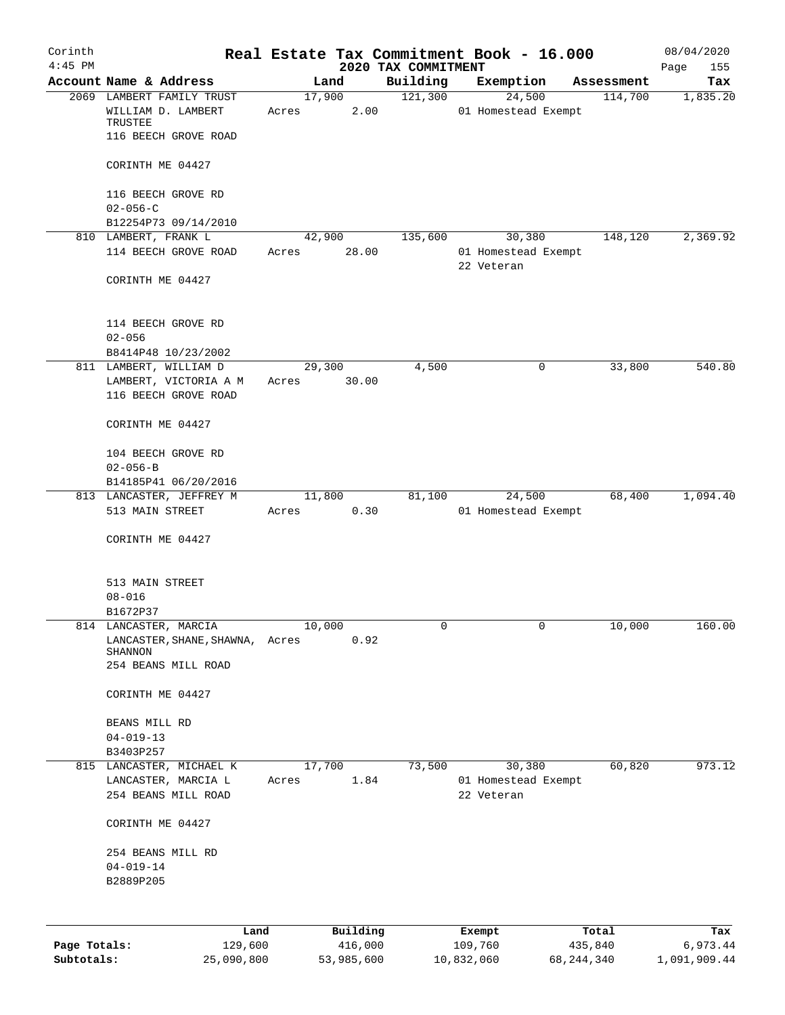| Corinth      |                                                                     |       |                |                                 | Real Estate Tax Commitment Book - 16.000 |                       | 08/04/2020         |
|--------------|---------------------------------------------------------------------|-------|----------------|---------------------------------|------------------------------------------|-----------------------|--------------------|
| $4:45$ PM    | Account Name & Address                                              |       | Land           | 2020 TAX COMMITMENT<br>Building |                                          |                       | Page<br>155<br>Tax |
|              | 2069 LAMBERT FAMILY TRUST                                           |       | 17,900         | 121,300                         | Exemption<br>24,500                      | Assessment<br>114,700 | 1,835.20           |
|              | WILLIAM D. LAMBERT<br>TRUSTEE                                       | Acres | 2.00           |                                 | 01 Homestead Exempt                      |                       |                    |
|              | 116 BEECH GROVE ROAD                                                |       |                |                                 |                                          |                       |                    |
|              | CORINTH ME 04427                                                    |       |                |                                 |                                          |                       |                    |
|              | 116 BEECH GROVE RD<br>$02 - 056 - C$                                |       |                |                                 |                                          |                       |                    |
|              | B12254P73 09/14/2010                                                |       |                |                                 |                                          |                       |                    |
|              | 810 LAMBERT, FRANK L                                                |       | 42,900         | 135,600                         | 30,380                                   | 148,120               | 2,369.92           |
|              | 114 BEECH GROVE ROAD                                                | Acres | 28.00          |                                 | 01 Homestead Exempt<br>22 Veteran        |                       |                    |
|              | CORINTH ME 04427                                                    |       |                |                                 |                                          |                       |                    |
|              | 114 BEECH GROVE RD<br>$02 - 056$                                    |       |                |                                 |                                          |                       |                    |
|              | B8414P48 10/23/2002                                                 |       |                |                                 |                                          |                       |                    |
|              | 811 LAMBERT, WILLIAM D                                              |       | 29,300         | 4,500                           | 0                                        | 33,800                | 540.80             |
|              | LAMBERT, VICTORIA A M<br>116 BEECH GROVE ROAD                       | Acres | 30.00          |                                 |                                          |                       |                    |
|              | CORINTH ME 04427                                                    |       |                |                                 |                                          |                       |                    |
|              | 104 BEECH GROVE RD<br>$02 - 056 - B$                                |       |                |                                 |                                          |                       |                    |
|              | B14185P41 06/20/2016                                                |       |                |                                 |                                          |                       |                    |
|              | 813 LANCASTER, JEFFREY M<br>513 MAIN STREET                         | Acres | 11,800<br>0.30 | 81,100                          | 24,500<br>01 Homestead Exempt            | 68,400                | 1,094.40           |
|              | CORINTH ME 04427                                                    |       |                |                                 |                                          |                       |                    |
|              | 513 MAIN STREET                                                     |       |                |                                 |                                          |                       |                    |
|              | $08 - 016$                                                          |       |                |                                 |                                          |                       |                    |
|              | B1672P37                                                            |       |                |                                 |                                          |                       |                    |
|              | 814 LANCASTER, MARCIA<br>LANCASTER, SHANE, SHAWNA, Acres<br>SHANNON |       | 10,000<br>0.92 | 0                               | 0                                        | 10,000                | 160.00             |
|              | 254 BEANS MILL ROAD                                                 |       |                |                                 |                                          |                       |                    |
|              | CORINTH ME 04427                                                    |       |                |                                 |                                          |                       |                    |
|              | BEANS MILL RD                                                       |       |                |                                 |                                          |                       |                    |
|              | $04 - 019 - 13$<br>B3403P257                                        |       |                |                                 |                                          |                       |                    |
|              | 815 LANCASTER, MICHAEL K                                            |       | 17,700         | 73,500                          | 30,380                                   | 60,820                | 973.12             |
|              | LANCASTER, MARCIA L                                                 | Acres | 1.84           |                                 | 01 Homestead Exempt                      |                       |                    |
|              | 254 BEANS MILL ROAD                                                 |       |                |                                 | 22 Veteran                               |                       |                    |
|              | CORINTH ME 04427                                                    |       |                |                                 |                                          |                       |                    |
|              | 254 BEANS MILL RD                                                   |       |                |                                 |                                          |                       |                    |
|              | $04 - 019 - 14$<br>B2889P205                                        |       |                |                                 |                                          |                       |                    |
|              |                                                                     |       |                |                                 |                                          |                       |                    |
|              | Land                                                                |       | Building       |                                 | Exempt                                   | Total                 | Tax                |
| Page Totals: | 129,600                                                             |       | 416,000        |                                 | 109,760                                  | 435,840               | 6,973.44           |
| Subtotals:   | 25,090,800                                                          |       | 53,985,600     |                                 | 10,832,060                               | 68, 244, 340          | 1,091,909.44       |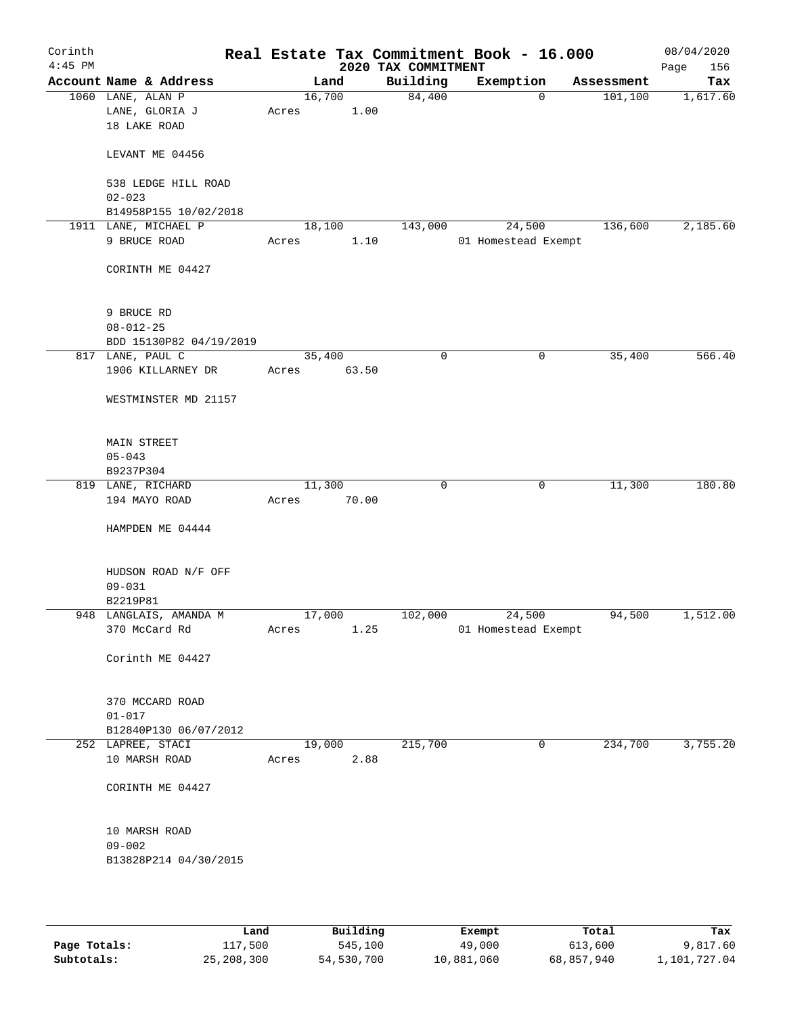| Corinth<br>$4:45$ PM |                                                     |                 |       | 2020 TAX COMMITMENT | Real Estate Tax Commitment Book - 16.000 |            | 08/04/2020<br>Page<br>156 |
|----------------------|-----------------------------------------------------|-----------------|-------|---------------------|------------------------------------------|------------|---------------------------|
|                      | Account Name & Address                              | Land            |       | Building            | Exemption                                | Assessment | Tax                       |
|                      | 1060 LANE, ALAN P<br>LANE, GLORIA J<br>18 LAKE ROAD | 16,700<br>Acres | 1.00  | 84,400              | $\mathbf 0$                              | 101, 100   | 1,617.60                  |
|                      | LEVANT ME 04456                                     |                 |       |                     |                                          |            |                           |
|                      | 538 LEDGE HILL ROAD<br>$02 - 023$                   |                 |       |                     |                                          |            |                           |
|                      | B14958P155 10/02/2018                               |                 |       |                     |                                          |            |                           |
|                      | 1911 LANE, MICHAEL P                                | 18,100          |       | 143,000             | 24,500                                   | 136,600    | 2,185.60                  |
|                      | 9 BRUCE ROAD                                        | Acres           | 1.10  |                     | 01 Homestead Exempt                      |            |                           |
|                      | CORINTH ME 04427                                    |                 |       |                     |                                          |            |                           |
|                      | 9 BRUCE RD                                          |                 |       |                     |                                          |            |                           |
|                      | $08 - 012 - 25$                                     |                 |       |                     |                                          |            |                           |
|                      | BDD 15130P82 04/19/2019                             |                 |       |                     |                                          |            |                           |
|                      | 817 LANE, PAUL C                                    | 35,400          |       | $\mathbf 0$         | 0                                        | 35,400     | 566.40                    |
|                      | 1906 KILLARNEY DR<br>WESTMINSTER MD 21157           | Acres           | 63.50 |                     |                                          |            |                           |
|                      | MAIN STREET<br>$05 - 043$<br>B9237P304              |                 |       |                     |                                          |            |                           |
|                      | 819 LANE, RICHARD                                   | 11,300          |       | $\mathbf 0$         | 0                                        | 11,300     | 180.80                    |
|                      | 194 MAYO ROAD                                       | Acres           | 70.00 |                     |                                          |            |                           |
|                      | HAMPDEN ME 04444                                    |                 |       |                     |                                          |            |                           |
|                      | HUDSON ROAD N/F OFF<br>$09 - 031$                   |                 |       |                     |                                          |            |                           |
|                      | B2219P81                                            |                 |       |                     |                                          |            | 1,512.00                  |
|                      | 948 LANGLAIS, AMANDA M<br>370 McCard Rd             | 17,000<br>Acres | 1.25  | 102,000             | 24,500<br>01 Homestead Exempt            | 94,500     |                           |
|                      | Corinth ME 04427                                    |                 |       |                     |                                          |            |                           |
|                      | 370 MCCARD ROAD                                     |                 |       |                     |                                          |            |                           |
|                      | $01 - 017$                                          |                 |       |                     |                                          |            |                           |
|                      | B12840P130 06/07/2012                               |                 |       |                     |                                          |            |                           |
|                      | 252 LAPREE, STACI<br>10 MARSH ROAD                  | 19,000<br>Acres | 2.88  | 215,700             | $\mathbf 0$                              | 234,700    | 3,755.20                  |
|                      | CORINTH ME 04427                                    |                 |       |                     |                                          |            |                           |
|                      | 10 MARSH ROAD                                       |                 |       |                     |                                          |            |                           |
|                      | $09 - 002$<br>B13828P214 04/30/2015                 |                 |       |                     |                                          |            |                           |
|                      |                                                     |                 |       |                     |                                          |            |                           |

|              | Land       | Building   | Exempt     | Total      | Tax          |
|--------------|------------|------------|------------|------------|--------------|
| Page Totals: | 117,500    | 545,100    | 49,000     | 613,600    | 9,817.60     |
| Subtotals:   | 25,208,300 | 54,530,700 | 10,881,060 | 68,857,940 | 1,101,727.04 |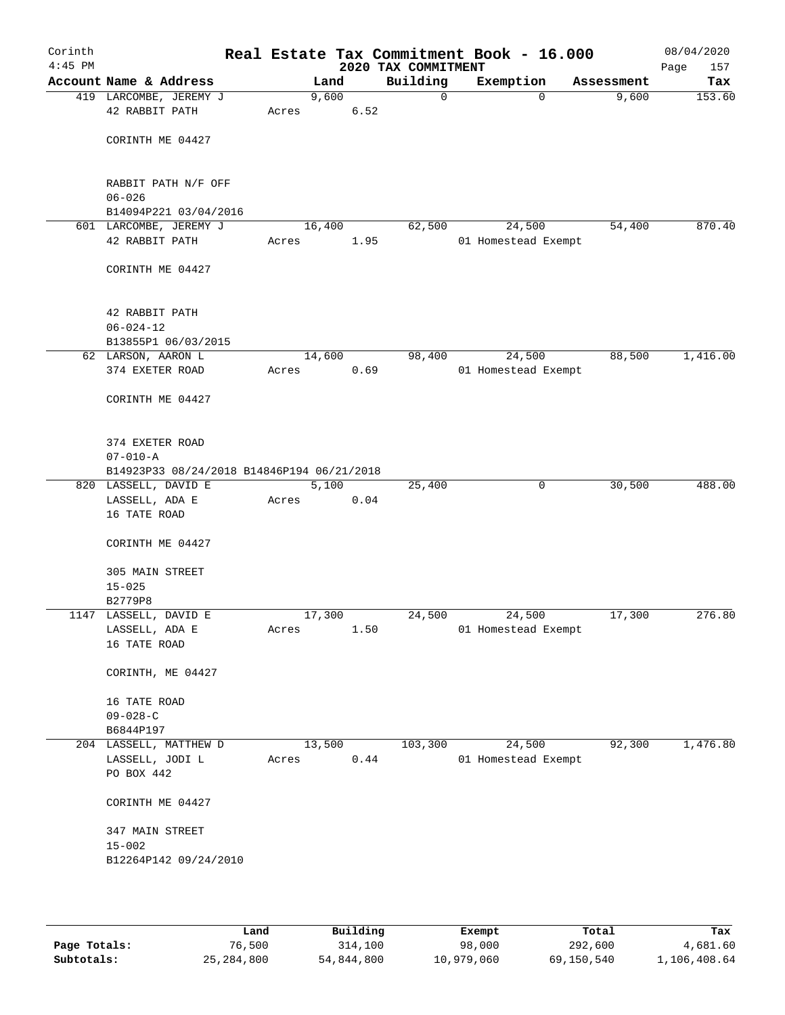| Corinth<br>$4:45$ PM |                                                                    |       |        |      | Real Estate Tax Commitment Book - 16.000<br>2020 TAX COMMITMENT |                     |            | 08/04/2020<br>157<br>Page |
|----------------------|--------------------------------------------------------------------|-------|--------|------|-----------------------------------------------------------------|---------------------|------------|---------------------------|
|                      | Account Name & Address                                             |       | Land   |      | Building                                                        | Exemption           | Assessment | Tax                       |
|                      | 419 LARCOMBE, JEREMY J<br>42 RABBIT PATH                           | Acres | 9,600  | 6.52 | 0                                                               | $\Omega$            | 9,600      | 153.60                    |
|                      | CORINTH ME 04427                                                   |       |        |      |                                                                 |                     |            |                           |
|                      | RABBIT PATH N/F OFF<br>$06 - 026$                                  |       |        |      |                                                                 |                     |            |                           |
|                      | B14094P221 03/04/2016                                              |       |        |      |                                                                 |                     |            |                           |
|                      | 601 LARCOMBE, JEREMY J                                             |       | 16,400 |      | 62,500                                                          | 24,500              | 54,400     | 870.40                    |
|                      | 42 RABBIT PATH                                                     | Acres |        | 1.95 |                                                                 | 01 Homestead Exempt |            |                           |
|                      | CORINTH ME 04427                                                   |       |        |      |                                                                 |                     |            |                           |
|                      | 42 RABBIT PATH                                                     |       |        |      |                                                                 |                     |            |                           |
|                      | $06 - 024 - 12$                                                    |       |        |      |                                                                 |                     |            |                           |
|                      | B13855P1 06/03/2015<br>62 LARSON, AARON L                          |       | 14,600 |      | 98,400                                                          | 24,500              | 88,500     | 1,416.00                  |
|                      | 374 EXETER ROAD                                                    | Acres |        | 0.69 |                                                                 | 01 Homestead Exempt |            |                           |
|                      | CORINTH ME 04427                                                   |       |        |      |                                                                 |                     |            |                           |
|                      |                                                                    |       |        |      |                                                                 |                     |            |                           |
|                      | 374 EXETER ROAD                                                    |       |        |      |                                                                 |                     |            |                           |
|                      | $07 - 010 - A$                                                     |       |        |      |                                                                 |                     |            |                           |
|                      | B14923P33 08/24/2018 B14846P194 06/21/2018<br>820 LASSELL, DAVID E |       | 5,100  |      | 25,400                                                          | $\mathsf{O}$        | 30,500     | 488.00                    |
|                      | LASSELL, ADA E                                                     | Acres |        | 0.04 |                                                                 |                     |            |                           |
|                      | 16 TATE ROAD                                                       |       |        |      |                                                                 |                     |            |                           |
|                      | CORINTH ME 04427                                                   |       |        |      |                                                                 |                     |            |                           |
|                      | 305 MAIN STREET<br>$15 - 025$                                      |       |        |      |                                                                 |                     |            |                           |
|                      | B2779P8                                                            |       |        |      |                                                                 |                     |            |                           |
|                      | 1147 LASSELL, DAVID E                                              |       | 17,300 |      | 24,500                                                          | 24,500              | 17,300     | 276.80                    |
|                      | LASSELL, ADA E<br>16 TATE ROAD                                     | Acres |        | 1.50 |                                                                 | 01 Homestead Exempt |            |                           |
|                      | CORINTH, ME 04427                                                  |       |        |      |                                                                 |                     |            |                           |
|                      | 16 TATE ROAD                                                       |       |        |      |                                                                 |                     |            |                           |
|                      | $09 - 028 - C$                                                     |       |        |      |                                                                 |                     |            |                           |
|                      | B6844P197                                                          |       |        |      |                                                                 |                     |            |                           |
|                      | 204 LASSELL, MATTHEW D                                             |       | 13,500 |      | 103,300                                                         | 24,500              | 92,300     | 1,476.80                  |
|                      | LASSELL, JODI L<br>PO BOX 442                                      | Acres |        | 0.44 |                                                                 | 01 Homestead Exempt |            |                           |
|                      | CORINTH ME 04427                                                   |       |        |      |                                                                 |                     |            |                           |
|                      | 347 MAIN STREET                                                    |       |        |      |                                                                 |                     |            |                           |
|                      | $15 - 002$                                                         |       |        |      |                                                                 |                     |            |                           |
|                      | B12264P142 09/24/2010                                              |       |        |      |                                                                 |                     |            |                           |
|                      |                                                                    |       |        |      |                                                                 |                     |            |                           |

|              | Land         | Building   | Exempt     | Total      | Tax          |
|--------------|--------------|------------|------------|------------|--------------|
| Page Totals: | 76,500       | 314,100    | 98,000     | 292,600    | 4,681.60     |
| Subtotals:   | 25, 284, 800 | 54,844,800 | 10,979,060 | 69,150,540 | 1,106,408.64 |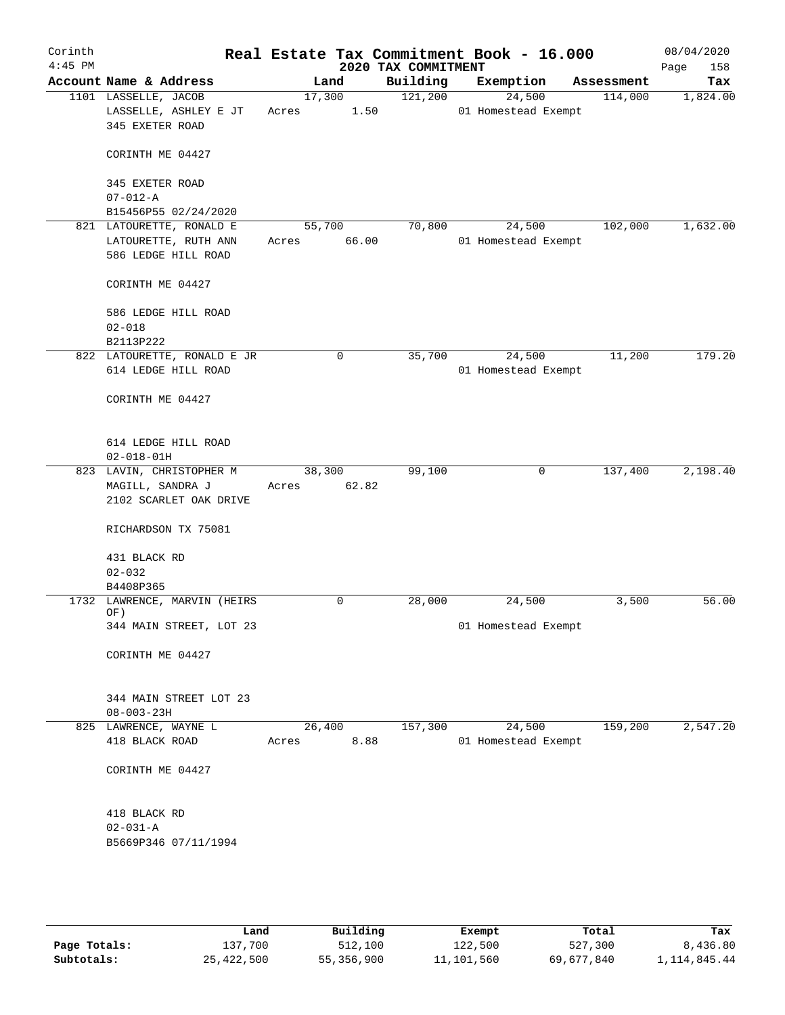| Corinth<br>$4:45$ PM |                                                                         |                 |       | 2020 TAX COMMITMENT | Real Estate Tax Commitment Book - 16.000 |            | 08/04/2020<br>Page<br>158 |
|----------------------|-------------------------------------------------------------------------|-----------------|-------|---------------------|------------------------------------------|------------|---------------------------|
|                      | Account Name & Address                                                  | Land            |       | Building            | Exemption                                | Assessment | Tax                       |
|                      | 1101 LASSELLE, JACOB<br>LASSELLE, ASHLEY E JT<br>345 EXETER ROAD        | 17,300<br>Acres | 1.50  | 121,200             | 24,500<br>01 Homestead Exempt            | 114,000    | 1,824.00                  |
|                      | CORINTH ME 04427                                                        |                 |       |                     |                                          |            |                           |
|                      | 345 EXETER ROAD<br>$07 - 012 - A$                                       |                 |       |                     |                                          |            |                           |
|                      | B15456P55 02/24/2020                                                    |                 |       |                     |                                          |            |                           |
|                      | 821 LATOURETTE, RONALD E<br>LATOURETTE, RUTH ANN<br>586 LEDGE HILL ROAD | 55,700<br>Acres | 66.00 | 70,800              | 24,500<br>01 Homestead Exempt            | 102,000    | 1,632.00                  |
|                      | CORINTH ME 04427                                                        |                 |       |                     |                                          |            |                           |
|                      | 586 LEDGE HILL ROAD<br>$02 - 018$<br>B2113P222                          |                 |       |                     |                                          |            |                           |
|                      | 822 LATOURETTE, RONALD E JR                                             | 0               |       | 35,700              | 24,500                                   | 11,200     | 179.20                    |
|                      | 614 LEDGE HILL ROAD                                                     |                 |       |                     | 01 Homestead Exempt                      |            |                           |
|                      | CORINTH ME 04427                                                        |                 |       |                     |                                          |            |                           |
|                      | 614 LEDGE HILL ROAD<br>$02 - 018 - 01H$                                 |                 |       |                     |                                          |            |                           |
|                      | 823 LAVIN, CHRISTOPHER M                                                | 38,300          |       | 99,100              | 0                                        | 137,400    | 2,198.40                  |
|                      | MAGILL, SANDRA J<br>2102 SCARLET OAK DRIVE                              | Acres           | 62.82 |                     |                                          |            |                           |
|                      | RICHARDSON TX 75081                                                     |                 |       |                     |                                          |            |                           |
|                      | 431 BLACK RD                                                            |                 |       |                     |                                          |            |                           |
|                      | $02 - 032$                                                              |                 |       |                     |                                          |            |                           |
|                      | B4408P365                                                               |                 |       |                     |                                          |            |                           |
|                      | 1732 LAWRENCE, MARVIN (HEIRS<br>OF)                                     | 0               |       | 28,000              | 24,500                                   | 3,500      | 56.00                     |
|                      | 344 MAIN STREET, LOT 23                                                 |                 |       |                     | 01 Homestead Exempt                      |            |                           |
|                      | CORINTH ME 04427                                                        |                 |       |                     |                                          |            |                           |
|                      | 344 MAIN STREET LOT 23<br>$08 - 003 - 23H$                              |                 |       |                     |                                          |            |                           |
|                      | 825 LAWRENCE, WAYNE L                                                   | 26,400          |       | 157,300             | 24,500                                   | 159,200    | 2,547.20                  |
|                      | 418 BLACK ROAD                                                          | Acres           | 8.88  |                     | 01 Homestead Exempt                      |            |                           |
|                      | CORINTH ME 04427                                                        |                 |       |                     |                                          |            |                           |
|                      | 418 BLACK RD                                                            |                 |       |                     |                                          |            |                           |
|                      | $02 - 031 - A$                                                          |                 |       |                     |                                          |            |                           |
|                      | B5669P346 07/11/1994                                                    |                 |       |                     |                                          |            |                           |
|                      |                                                                         |                 |       |                     |                                          |            |                           |
|                      |                                                                         |                 |       |                     |                                          |            |                           |

|              | Land       | Building   | Exempt     | Total      | Tax            |
|--------------|------------|------------|------------|------------|----------------|
| Page Totals: | 137,700    | 512,100    | 122,500    | 527,300    | 8,436.80       |
| Subtotals:   | 25,422,500 | 55,356,900 | 11,101,560 | 69,677,840 | 1, 114, 845.44 |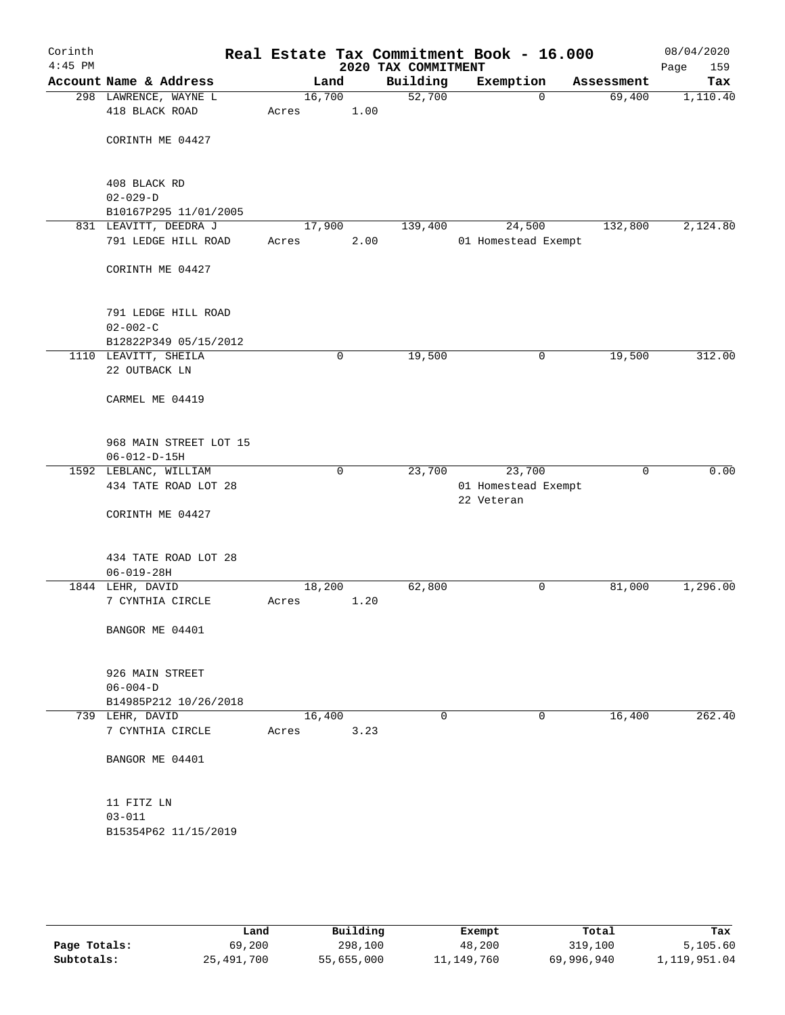| Corinth<br>$4:45$ PM |                                                |                 |             | 2020 TAX COMMITMENT | Real Estate Tax Commitment Book - 16.000 |            | 08/04/2020<br>Page<br>159 |
|----------------------|------------------------------------------------|-----------------|-------------|---------------------|------------------------------------------|------------|---------------------------|
|                      | Account Name & Address                         |                 | Land        | Building            | Exemption                                | Assessment | Tax                       |
|                      | 298 LAWRENCE, WAYNE L                          | 16,700          |             | 52,700              | $\mathbf 0$                              | 69,400     | 1,110.40                  |
|                      | 418 BLACK ROAD                                 | Acres           | 1.00        |                     |                                          |            |                           |
|                      | CORINTH ME 04427                               |                 |             |                     |                                          |            |                           |
|                      | 408 BLACK RD                                   |                 |             |                     |                                          |            |                           |
|                      | $02 - 029 - D$                                 |                 |             |                     |                                          |            |                           |
|                      | B10167P295 11/01/2005                          |                 |             |                     |                                          |            |                           |
|                      | 831 LEAVITT, DEEDRA J                          | 17,900          |             | 139,400             | 24,500                                   | 132,800    | 2,124.80                  |
|                      | 791 LEDGE HILL ROAD                            | Acres           | 2.00        |                     | 01 Homestead Exempt                      |            |                           |
|                      | CORINTH ME 04427                               |                 |             |                     |                                          |            |                           |
|                      | 791 LEDGE HILL ROAD                            |                 |             |                     |                                          |            |                           |
|                      | $02 - 002 - C$                                 |                 |             |                     |                                          |            |                           |
|                      | B12822P349 05/15/2012                          |                 |             |                     |                                          |            |                           |
|                      | 1110 LEAVITT, SHEILA<br>22 OUTBACK LN          |                 | 0           | 19,500              | 0                                        | 19,500     | 312.00                    |
|                      | CARMEL ME 04419                                |                 |             |                     |                                          |            |                           |
|                      |                                                |                 |             |                     |                                          |            |                           |
|                      | 968 MAIN STREET LOT 15<br>$06 - 012 - D - 15H$ |                 |             |                     |                                          |            |                           |
|                      | 1592 LEBLANC, WILLIAM                          |                 | $\mathbf 0$ | 23,700              | 23,700                                   | 0          | 0.00                      |
|                      | 434 TATE ROAD LOT 28                           |                 |             |                     | 01 Homestead Exempt<br>22 Veteran        |            |                           |
|                      | CORINTH ME 04427                               |                 |             |                     |                                          |            |                           |
|                      | 434 TATE ROAD LOT 28<br>$06 - 019 - 28H$       |                 |             |                     |                                          |            |                           |
|                      | 1844 LEHR, DAVID                               | 18,200          |             | 62,800              | 0                                        | 81,000     | 1,296.00                  |
|                      | 7 CYNTHIA CIRCLE                               | Acres           | 1.20        |                     |                                          |            |                           |
|                      | BANGOR ME 04401                                |                 |             |                     |                                          |            |                           |
|                      | 926 MAIN STREET                                |                 |             |                     |                                          |            |                           |
|                      | $06 - 004 - D$                                 |                 |             |                     |                                          |            |                           |
|                      | B14985P212 10/26/2018                          |                 |             |                     |                                          |            |                           |
|                      | 739 LEHR, DAVID<br>7 CYNTHIA CIRCLE            | 16,400<br>Acres | 3.23        | 0                   | 0                                        | 16,400     | 262.40                    |
|                      |                                                |                 |             |                     |                                          |            |                           |
|                      | BANGOR ME 04401                                |                 |             |                     |                                          |            |                           |
|                      | 11 FITZ LN                                     |                 |             |                     |                                          |            |                           |
|                      | $03 - 011$                                     |                 |             |                     |                                          |            |                           |
|                      | B15354P62 11/15/2019                           |                 |             |                     |                                          |            |                           |
|                      |                                                |                 |             |                     |                                          |            |                           |
|                      |                                                |                 |             |                     |                                          |            |                           |

|              | Land       | Building   | Exempt       | Total      | Tax          |
|--------------|------------|------------|--------------|------------|--------------|
| Page Totals: | 69,200     | 298,100    | 48,200       | 319,100    | 5,105.60     |
| Subtotals:   | 25,491,700 | 55,655,000 | 11, 149, 760 | 69,996,940 | 1,119,951.04 |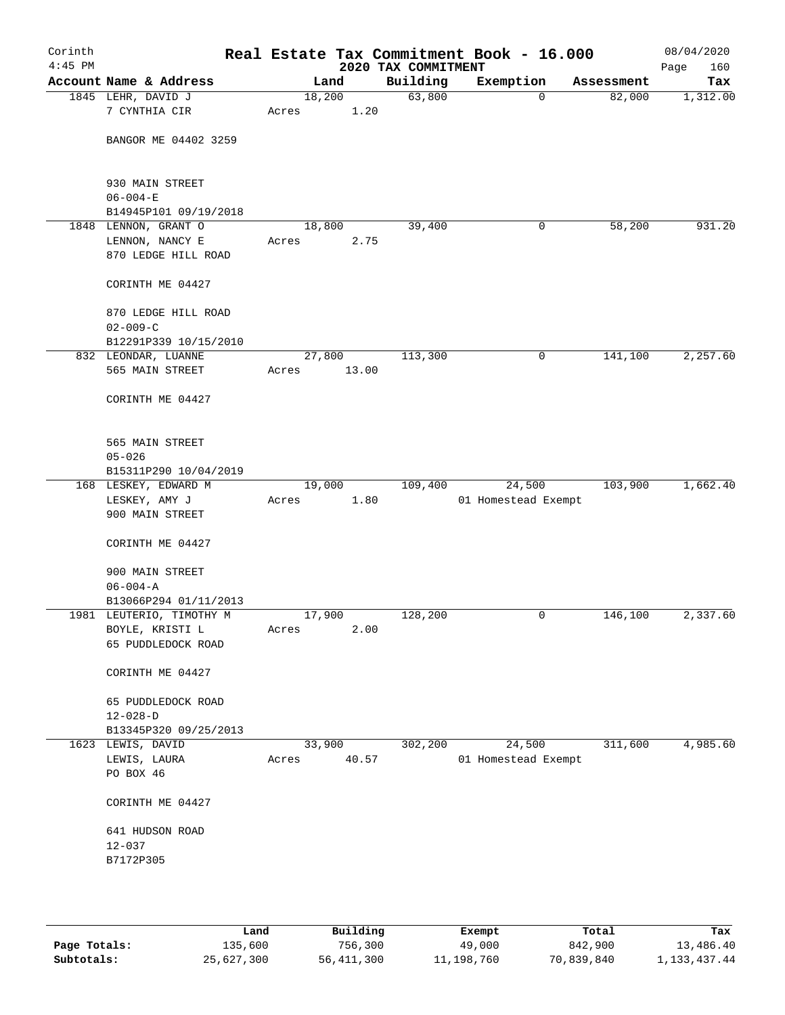| Corinth<br>$4:45$ PM |                                                   |                 |       | 2020 TAX COMMITMENT | Real Estate Tax Commitment Book - 16.000 |            | 08/04/2020<br>160<br>Page |
|----------------------|---------------------------------------------------|-----------------|-------|---------------------|------------------------------------------|------------|---------------------------|
|                      | Account Name & Address                            |                 | Land  | Building            | Exemption                                | Assessment | Tax                       |
|                      | 1845 LEHR, DAVID J<br>7 CYNTHIA CIR               | 18,200<br>Acres | 1.20  | 63,800              | $\mathbf 0$                              | 82,000     | 1,312.00                  |
|                      |                                                   |                 |       |                     |                                          |            |                           |
|                      | BANGOR ME 04402 3259                              |                 |       |                     |                                          |            |                           |
|                      | 930 MAIN STREET                                   |                 |       |                     |                                          |            |                           |
|                      | $06 - 004 - E$                                    |                 |       |                     |                                          |            |                           |
|                      | B14945P101 09/19/2018<br>1848 LENNON, GRANT O     | 18,800          |       | 39,400              | 0                                        | 58,200     | 931.20                    |
|                      | LENNON, NANCY E                                   | Acres           | 2.75  |                     |                                          |            |                           |
|                      | 870 LEDGE HILL ROAD                               |                 |       |                     |                                          |            |                           |
|                      | CORINTH ME 04427                                  |                 |       |                     |                                          |            |                           |
|                      | 870 LEDGE HILL ROAD                               |                 |       |                     |                                          |            |                           |
|                      | $02 - 009 - C$                                    |                 |       |                     |                                          |            |                           |
|                      | B12291P339 10/15/2010<br>832 LEONDAR, LUANNE      | 27,800          |       | 113,300             | 0                                        | 141,100    | 2,257.60                  |
|                      | 565 MAIN STREET                                   | Acres           | 13.00 |                     |                                          |            |                           |
|                      |                                                   |                 |       |                     |                                          |            |                           |
|                      | CORINTH ME 04427                                  |                 |       |                     |                                          |            |                           |
|                      | 565 MAIN STREET                                   |                 |       |                     |                                          |            |                           |
|                      | $05 - 026$                                        |                 |       |                     |                                          |            |                           |
|                      | B15311P290 10/04/2019                             |                 |       |                     |                                          |            |                           |
|                      | 168 LESKEY, EDWARD M                              | 19,000          |       | 109,400             | 24,500                                   | 103,900    | 1,662.40                  |
|                      | LESKEY, AMY J                                     | Acres           | 1.80  |                     | 01 Homestead Exempt                      |            |                           |
|                      | 900 MAIN STREET                                   |                 |       |                     |                                          |            |                           |
|                      | CORINTH ME 04427                                  |                 |       |                     |                                          |            |                           |
|                      | 900 MAIN STREET                                   |                 |       |                     |                                          |            |                           |
|                      | $06 - 004 - A$                                    |                 |       |                     |                                          |            |                           |
|                      | B13066P294 01/11/2013<br>1981 LEUTERIO, TIMOTHY M | 17,900          |       | 128,200             | 0                                        | 146,100    | 2,337.60                  |
|                      | BOYLE, KRISTI L                                   | Acres           | 2.00  |                     |                                          |            |                           |
|                      | 65 PUDDLEDOCK ROAD                                |                 |       |                     |                                          |            |                           |
|                      |                                                   |                 |       |                     |                                          |            |                           |
|                      | CORINTH ME 04427                                  |                 |       |                     |                                          |            |                           |
|                      | 65 PUDDLEDOCK ROAD                                |                 |       |                     |                                          |            |                           |
|                      | $12 - 028 - D$<br>B13345P320 09/25/2013           |                 |       |                     |                                          |            |                           |
|                      | 1623 LEWIS, DAVID                                 | 33,900          |       | 302,200             | 24,500                                   | 311,600    | 4,985.60                  |
|                      | LEWIS, LAURA                                      | Acres           | 40.57 |                     | 01 Homestead Exempt                      |            |                           |
|                      | PO BOX 46                                         |                 |       |                     |                                          |            |                           |
|                      | CORINTH ME 04427                                  |                 |       |                     |                                          |            |                           |
|                      | 641 HUDSON ROAD                                   |                 |       |                     |                                          |            |                           |
|                      | $12 - 037$                                        |                 |       |                     |                                          |            |                           |
|                      | B7172P305                                         |                 |       |                     |                                          |            |                           |
|                      |                                                   |                 |       |                     |                                          |            |                           |
|                      |                                                   |                 |       |                     |                                          |            |                           |
|                      |                                                   |                 |       |                     |                                          |            |                           |

|              | Land       | Building   | Exempt     | Total      | Tax             |
|--------------|------------|------------|------------|------------|-----------------|
| Page Totals: | 135,600    | 756,300    | 49,000     | 842,900    | 13,486.40       |
| Subtotals:   | 25,627,300 | 56,411,300 | 11,198,760 | 70,839,840 | 1, 133, 437. 44 |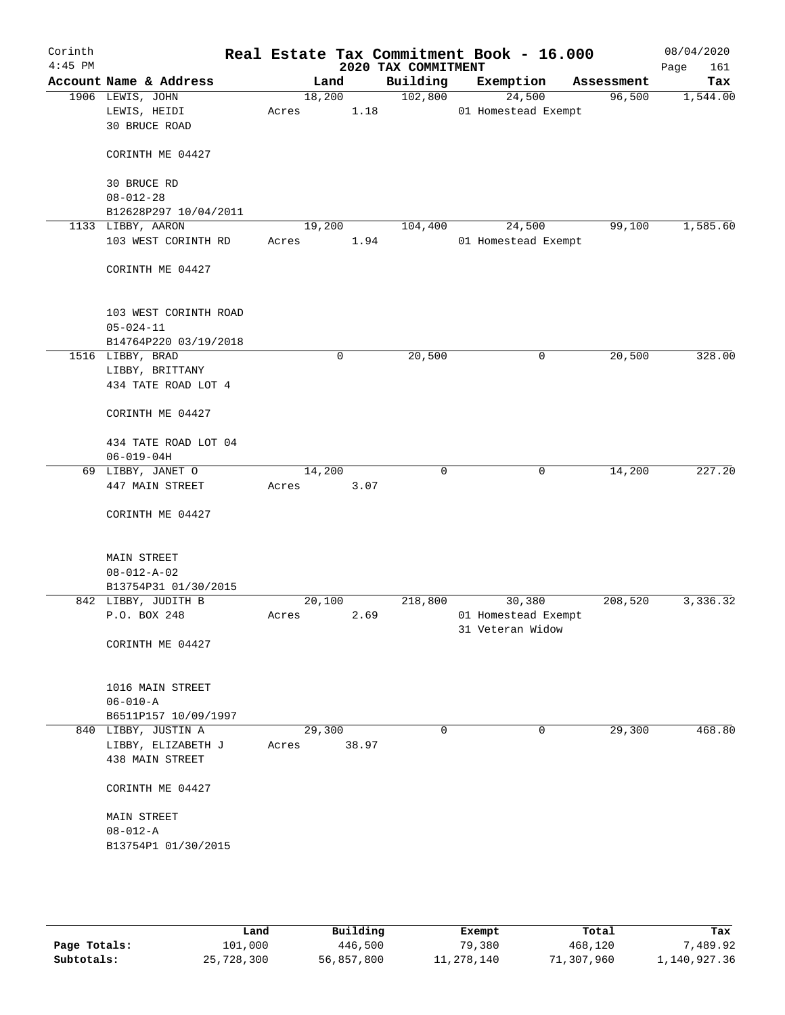| Corinth<br>$4:45$ PM |                        |        |      |       | 2020 TAX COMMITMENT | Real Estate Tax Commitment Book - 16.000 |            | 08/04/2020<br>Page<br>161 |
|----------------------|------------------------|--------|------|-------|---------------------|------------------------------------------|------------|---------------------------|
|                      | Account Name & Address |        | Land |       | Building            | Exemption                                | Assessment | Tax                       |
|                      | 1906 LEWIS, JOHN       | 18,200 |      |       | 102,800             | 24,500                                   | 96,500     | 1,544.00                  |
|                      | LEWIS, HEIDI           | Acres  |      | 1.18  |                     | 01 Homestead Exempt                      |            |                           |
|                      | <b>30 BRUCE ROAD</b>   |        |      |       |                     |                                          |            |                           |
|                      | CORINTH ME 04427       |        |      |       |                     |                                          |            |                           |
|                      | 30 BRUCE RD            |        |      |       |                     |                                          |            |                           |
|                      | $08 - 012 - 28$        |        |      |       |                     |                                          |            |                           |
|                      | B12628P297 10/04/2011  |        |      |       |                     |                                          |            |                           |
|                      | 1133 LIBBY, AARON      | 19,200 |      |       | 104,400             | 24,500                                   | 99,100     | 1,585.60                  |
|                      | 103 WEST CORINTH RD    | Acres  |      | 1.94  |                     | 01 Homestead Exempt                      |            |                           |
|                      | CORINTH ME 04427       |        |      |       |                     |                                          |            |                           |
|                      | 103 WEST CORINTH ROAD  |        |      |       |                     |                                          |            |                           |
|                      | $05 - 024 - 11$        |        |      |       |                     |                                          |            |                           |
|                      | B14764P220 03/19/2018  |        |      |       |                     |                                          |            |                           |
|                      | 1516 LIBBY, BRAD       |        | 0    |       | 20,500              | 0                                        | 20,500     | 328.00                    |
|                      | LIBBY, BRITTANY        |        |      |       |                     |                                          |            |                           |
|                      | 434 TATE ROAD LOT 4    |        |      |       |                     |                                          |            |                           |
|                      | CORINTH ME 04427       |        |      |       |                     |                                          |            |                           |
|                      | 434 TATE ROAD LOT 04   |        |      |       |                     |                                          |            |                           |
|                      | $06 - 019 - 04H$       |        |      |       |                     |                                          |            |                           |
|                      | 69 LIBBY, JANET O      | 14,200 |      |       | 0                   | 0                                        | 14,200     | 227.20                    |
|                      | 447 MAIN STREET        | Acres  |      | 3.07  |                     |                                          |            |                           |
|                      |                        |        |      |       |                     |                                          |            |                           |
|                      | CORINTH ME 04427       |        |      |       |                     |                                          |            |                           |
|                      | <b>MAIN STREET</b>     |        |      |       |                     |                                          |            |                           |
|                      | $08 - 012 - A - 02$    |        |      |       |                     |                                          |            |                           |
|                      | B13754P31 01/30/2015   |        |      |       |                     |                                          |            |                           |
|                      | 842 LIBBY, JUDITH B    | 20,100 |      |       | 218,800             | 30,380                                   | 208,520    | 3,336.32                  |
|                      | P.O. BOX 248           | Acres  |      | 2.69  |                     | 01 Homestead Exempt                      |            |                           |
|                      | CORINTH ME 04427       |        |      |       |                     | 31 Veteran Widow                         |            |                           |
|                      |                        |        |      |       |                     |                                          |            |                           |
|                      | 1016 MAIN STREET       |        |      |       |                     |                                          |            |                           |
|                      | $06 - 010 - A$         |        |      |       |                     |                                          |            |                           |
|                      | B6511P157 10/09/1997   |        |      |       |                     |                                          |            |                           |
|                      | 840 LIBBY, JUSTIN A    | 29,300 |      |       | $\mathbf 0$         | $\mathbf 0$                              | 29,300     | 468.80                    |
|                      | LIBBY, ELIZABETH J     | Acres  |      | 38.97 |                     |                                          |            |                           |
|                      | 438 MAIN STREET        |        |      |       |                     |                                          |            |                           |
|                      | CORINTH ME 04427       |        |      |       |                     |                                          |            |                           |
|                      | MAIN STREET            |        |      |       |                     |                                          |            |                           |
|                      | $08 - 012 - A$         |        |      |       |                     |                                          |            |                           |
|                      | B13754P1 01/30/2015    |        |      |       |                     |                                          |            |                           |
|                      |                        |        |      |       |                     |                                          |            |                           |
|                      |                        |        |      |       |                     |                                          |            |                           |
|                      |                        |        |      |       |                     |                                          |            |                           |

|              | Land       | Building   | Exempt     | Total      | Tax          |
|--------------|------------|------------|------------|------------|--------------|
| Page Totals: | 101,000    | 446,500    | 79,380     | 468,120    | ,489.92      |
| Subtotals:   | 25,728,300 | 56,857,800 | 11,278,140 | 71,307,960 | l,140,927.36 |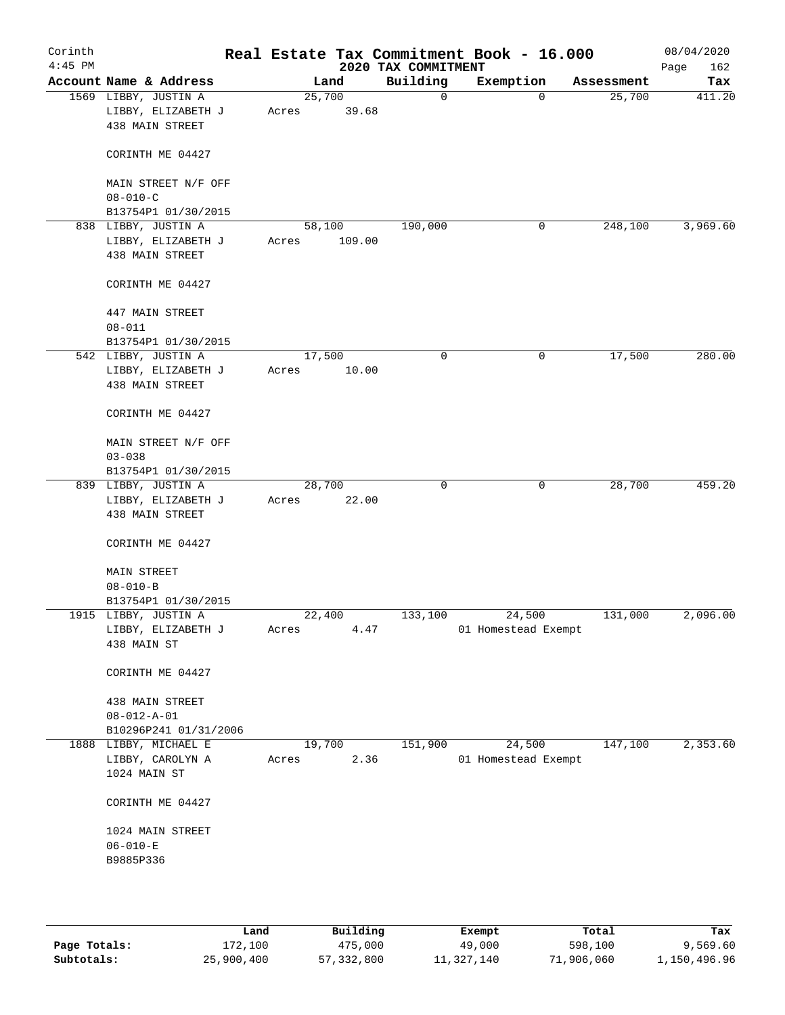| Corinth<br>$4:45$ PM |                                                               |                 |        | 2020 TAX COMMITMENT | Real Estate Tax Commitment Book - 16.000 |            | 08/04/2020<br>Page<br>162 |
|----------------------|---------------------------------------------------------------|-----------------|--------|---------------------|------------------------------------------|------------|---------------------------|
|                      | Account Name & Address                                        | Land            |        | Building            | Exemption                                | Assessment | Tax                       |
|                      | 1569 LIBBY, JUSTIN A<br>LIBBY, ELIZABETH J<br>438 MAIN STREET | 25,700<br>Acres | 39.68  | $\mathbf 0$         | $\Omega$                                 | 25,700     | 411.20                    |
|                      | CORINTH ME 04427                                              |                 |        |                     |                                          |            |                           |
|                      | MAIN STREET N/F OFF<br>$08 - 010 - C$                         |                 |        |                     |                                          |            |                           |
|                      | B13754P1 01/30/2015                                           |                 |        |                     |                                          |            |                           |
|                      | 838 LIBBY, JUSTIN A                                           | 58,100          |        | 190,000             | 0                                        | 248,100    | 3,969.60                  |
|                      | LIBBY, ELIZABETH J<br>438 MAIN STREET                         | Acres           | 109.00 |                     |                                          |            |                           |
|                      | CORINTH ME 04427                                              |                 |        |                     |                                          |            |                           |
|                      | 447 MAIN STREET<br>$08 - 011$                                 |                 |        |                     |                                          |            |                           |
|                      | B13754P1 01/30/2015                                           |                 |        |                     |                                          |            |                           |
|                      | 542 LIBBY, JUSTIN A                                           | 17,500          |        | 0                   | 0                                        | 17,500     | 280.00                    |
|                      | LIBBY, ELIZABETH J<br>438 MAIN STREET                         | Acres           | 10.00  |                     |                                          |            |                           |
|                      | CORINTH ME 04427                                              |                 |        |                     |                                          |            |                           |
|                      | MAIN STREET N/F OFF                                           |                 |        |                     |                                          |            |                           |
|                      | $03 - 038$<br>B13754P1 01/30/2015                             |                 |        |                     |                                          |            |                           |
|                      | 839 LIBBY, JUSTIN A<br>LIBBY, ELIZABETH J<br>438 MAIN STREET  | 28,700<br>Acres | 22.00  | 0                   | 0                                        | 28,700     | 459.20                    |
|                      | CORINTH ME 04427                                              |                 |        |                     |                                          |            |                           |
|                      | <b>MAIN STREET</b>                                            |                 |        |                     |                                          |            |                           |
|                      | $08 - 010 - B$<br>B13754P1 01/30/2015                         |                 |        |                     |                                          |            |                           |
|                      | 1915 LIBBY, JUSTIN A                                          | 22,400          |        | 133,100             | 24,500                                   | 131,000    | 2,096.00                  |
|                      | LIBBY, ELIZABETH J                                            | Acres           | 4.47   |                     | 01 Homestead Exempt                      |            |                           |
|                      | 438 MAIN ST                                                   |                 |        |                     |                                          |            |                           |
|                      | CORINTH ME 04427                                              |                 |        |                     |                                          |            |                           |
|                      | 438 MAIN STREET                                               |                 |        |                     |                                          |            |                           |
|                      | $08 - 012 - A - 01$                                           |                 |        |                     |                                          |            |                           |
|                      | B10296P241 01/31/2006                                         |                 |        |                     |                                          |            |                           |
|                      | 1888 LIBBY, MICHAEL E                                         | 19,700          |        | 151,900             | 24,500                                   | 147,100    | 2,353.60                  |
|                      | LIBBY, CAROLYN A<br>1024 MAIN ST                              | Acres           | 2.36   |                     | 01 Homestead Exempt                      |            |                           |
|                      | CORINTH ME 04427                                              |                 |        |                     |                                          |            |                           |
|                      | 1024 MAIN STREET                                              |                 |        |                     |                                          |            |                           |
|                      | $06 - 010 - E$<br>B9885P336                                   |                 |        |                     |                                          |            |                           |
|                      |                                                               |                 |        |                     |                                          |            |                           |
|                      |                                                               |                 |        |                     |                                          |            |                           |
|                      |                                                               |                 |        |                     |                                          |            |                           |

|              | Land       | Building     | Exempt     | Total      | Tax          |
|--------------|------------|--------------|------------|------------|--------------|
| Page Totals: | 172,100    | 475,000      | 49,000     | 598,100    | 9,569.60     |
| Subtotals:   | 25,900,400 | 57, 332, 800 | 11,327,140 | 71,906,060 | 1,150,496.96 |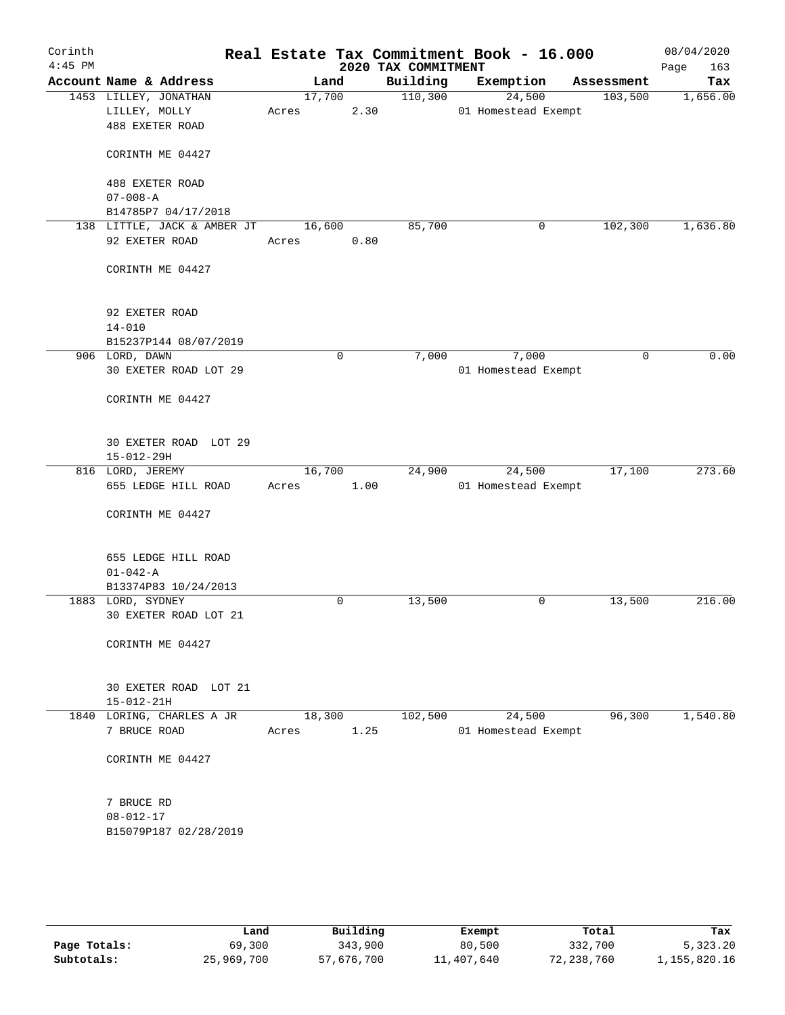| Corinth<br>$4:45$ PM |                               |                             |                 |   |      | Real Estate Tax Commitment Book - 16.000<br>2020 TAX COMMITMENT |                               |            | 08/04/2020<br>Page<br>163 |
|----------------------|-------------------------------|-----------------------------|-----------------|---|------|-----------------------------------------------------------------|-------------------------------|------------|---------------------------|
|                      |                               | Account Name & Address      | Land            |   |      | Building                                                        | Exemption                     | Assessment | Tax                       |
|                      |                               | 1453 LILLEY, JONATHAN       | 17,700          |   |      | 110,300                                                         | 24,500                        | 103,500    | 1,656.00                  |
|                      | LILLEY, MOLLY                 |                             | Acres           |   | 2.30 |                                                                 | 01 Homestead Exempt           |            |                           |
|                      | 488 EXETER ROAD               |                             |                 |   |      |                                                                 |                               |            |                           |
|                      |                               | CORINTH ME 04427            |                 |   |      |                                                                 |                               |            |                           |
|                      | 488 EXETER ROAD               |                             |                 |   |      |                                                                 |                               |            |                           |
|                      | $07 - 008 - A$                |                             |                 |   |      |                                                                 |                               |            |                           |
|                      |                               | B14785P7 04/17/2018         |                 |   |      |                                                                 |                               |            |                           |
|                      |                               | 138 LITTLE, JACK & AMBER JT | 16,600          |   |      | 85,700                                                          | 0                             | 102,300    | 1,636.80                  |
|                      | 92 EXETER ROAD                |                             | Acres           |   | 0.80 |                                                                 |                               |            |                           |
|                      |                               | CORINTH ME 04427            |                 |   |      |                                                                 |                               |            |                           |
|                      | 92 EXETER ROAD                |                             |                 |   |      |                                                                 |                               |            |                           |
|                      | $14 - 010$                    |                             |                 |   |      |                                                                 |                               |            |                           |
|                      |                               | B15237P144 08/07/2019       |                 |   |      |                                                                 |                               |            |                           |
|                      | 906 LORD, DAWN                |                             |                 | 0 |      | 7,000                                                           | 7,000                         | 0          | 0.00                      |
|                      |                               | 30 EXETER ROAD LOT 29       |                 |   |      |                                                                 | 01 Homestead Exempt           |            |                           |
|                      |                               | CORINTH ME 04427            |                 |   |      |                                                                 |                               |            |                           |
|                      |                               | 30 EXETER ROAD LOT 29       |                 |   |      |                                                                 |                               |            |                           |
|                      | $15 - 012 - 29H$              |                             |                 |   |      |                                                                 |                               |            |                           |
|                      | 816 LORD, JEREMY              |                             | 16,700          |   |      | 24,900                                                          | 24,500                        | 17,100     | 273.60                    |
|                      |                               | 655 LEDGE HILL ROAD         | Acres           |   | 1.00 |                                                                 | 01 Homestead Exempt           |            |                           |
|                      |                               | CORINTH ME 04427            |                 |   |      |                                                                 |                               |            |                           |
|                      |                               | 655 LEDGE HILL ROAD         |                 |   |      |                                                                 |                               |            |                           |
|                      | $01 - 042 - A$                |                             |                 |   |      |                                                                 |                               |            |                           |
|                      |                               | B13374P83 10/24/2013        |                 |   |      |                                                                 |                               |            |                           |
|                      | 1883 LORD, SYDNEY             |                             |                 | 0 |      | 13,500                                                          | 0                             | 13,500     | 216.00                    |
|                      |                               | 30 EXETER ROAD LOT 21       |                 |   |      |                                                                 |                               |            |                           |
|                      |                               | CORINTH ME 04427            |                 |   |      |                                                                 |                               |            |                           |
|                      |                               |                             |                 |   |      |                                                                 |                               |            |                           |
|                      |                               | 30 EXETER ROAD LOT 21       |                 |   |      |                                                                 |                               |            |                           |
|                      | $15 - 012 - 21H$              |                             |                 |   |      |                                                                 |                               |            |                           |
|                      | 7 BRUCE ROAD                  | 1840 LORING, CHARLES A JR   | 18,300<br>Acres |   | 1.25 | 102,500                                                         | 24,500<br>01 Homestead Exempt | 96,300     | 1,540.80                  |
|                      |                               | CORINTH ME 04427            |                 |   |      |                                                                 |                               |            |                           |
|                      |                               |                             |                 |   |      |                                                                 |                               |            |                           |
|                      | 7 BRUCE RD<br>$08 - 012 - 17$ |                             |                 |   |      |                                                                 |                               |            |                           |
|                      |                               |                             |                 |   |      |                                                                 |                               |            |                           |
|                      |                               | B15079P187 02/28/2019       |                 |   |      |                                                                 |                               |            |                           |
|                      |                               |                             |                 |   |      |                                                                 |                               |            |                           |
|                      |                               |                             |                 |   |      |                                                                 |                               |            |                           |
|                      |                               |                             |                 |   |      |                                                                 |                               |            |                           |

|              | Land       | Building   | Exempt     | Total      | Tax          |
|--------------|------------|------------|------------|------------|--------------|
| Page Totals: | 69,300     | 343,900    | 80,500     | 332,700    | 5,323.20     |
| Subtotals:   | 25,969,700 | 57,676,700 | 11,407,640 | 72,238,760 | 1,155,820.16 |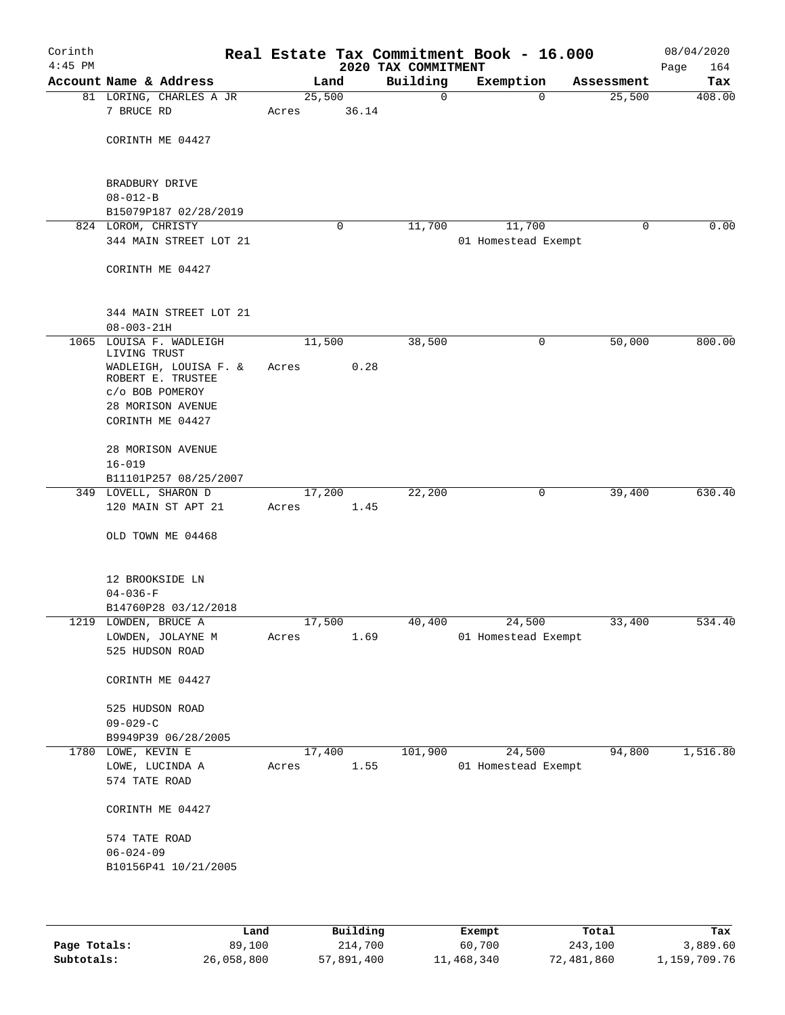| Corinth<br>$4:45$ PM |                                       |        |       | 2020 TAX COMMITMENT | Real Estate Tax Commitment Book - 16.000 |            | 08/04/2020<br>Page<br>164 |
|----------------------|---------------------------------------|--------|-------|---------------------|------------------------------------------|------------|---------------------------|
|                      | Account Name & Address                | Land   |       | Building            | Exemption                                | Assessment | Tax                       |
|                      | 81 LORING, CHARLES A JR               | 25,500 |       | $\mathbf 0$         | $\mathbf 0$                              | 25,500     | 408.00                    |
|                      | 7 BRUCE RD                            | Acres  | 36.14 |                     |                                          |            |                           |
|                      | CORINTH ME 04427                      |        |       |                     |                                          |            |                           |
|                      |                                       |        |       |                     |                                          |            |                           |
|                      | BRADBURY DRIVE                        |        |       |                     |                                          |            |                           |
|                      | $08 - 012 - B$                        |        |       |                     |                                          |            |                           |
|                      | B15079P187 02/28/2019                 |        |       |                     |                                          |            |                           |
|                      | 824 LOROM, CHRISTY                    |        | 0     | 11,700              | 11,700                                   | 0          | 0.00                      |
|                      | 344 MAIN STREET LOT 21                |        |       |                     | 01 Homestead Exempt                      |            |                           |
|                      | CORINTH ME 04427                      |        |       |                     |                                          |            |                           |
|                      |                                       |        |       |                     |                                          |            |                           |
|                      | 344 MAIN STREET LOT 21                |        |       |                     |                                          |            |                           |
|                      | $08 - 003 - 21H$                      |        |       |                     |                                          |            |                           |
| 1065                 | LOUISA F. WADLEIGH                    | 11,500 |       | 38,500              | 0                                        | 50,000     | 800.00                    |
|                      | LIVING TRUST<br>WADLEIGH, LOUISA F. & | Acres  | 0.28  |                     |                                          |            |                           |
|                      | ROBERT E. TRUSTEE                     |        |       |                     |                                          |            |                           |
|                      | c/o BOB POMEROY                       |        |       |                     |                                          |            |                           |
|                      | 28 MORISON AVENUE                     |        |       |                     |                                          |            |                           |
|                      | CORINTH ME 04427                      |        |       |                     |                                          |            |                           |
|                      | 28 MORISON AVENUE                     |        |       |                     |                                          |            |                           |
|                      | $16 - 019$                            |        |       |                     |                                          |            |                           |
|                      | B11101P257 08/25/2007                 |        |       |                     |                                          |            |                           |
|                      | 349 LOVELL, SHARON D                  | 17,200 |       | 22,200              | 0                                        | 39,400     | 630.40                    |
|                      | 120 MAIN ST APT 21                    | Acres  | 1.45  |                     |                                          |            |                           |
|                      | OLD TOWN ME 04468                     |        |       |                     |                                          |            |                           |
|                      |                                       |        |       |                     |                                          |            |                           |
|                      | 12 BROOKSIDE LN<br>$04 - 036 - F$     |        |       |                     |                                          |            |                           |
|                      | B14760P28 03/12/2018                  |        |       |                     |                                          |            |                           |
|                      | 1219 LOWDEN, BRUCE A                  | 17,500 |       | 40,400              | 24,500                                   | 33,400     | 534.40                    |
|                      | LOWDEN, JOLAYNE M                     | Acres  | 1.69  |                     | 01 Homestead Exempt                      |            |                           |
|                      | 525 HUDSON ROAD                       |        |       |                     |                                          |            |                           |
|                      | CORINTH ME 04427                      |        |       |                     |                                          |            |                           |
|                      | 525 HUDSON ROAD                       |        |       |                     |                                          |            |                           |
|                      | $09 - 029 - C$                        |        |       |                     |                                          |            |                           |
|                      | B9949P39 06/28/2005                   |        |       |                     |                                          |            |                           |
|                      | 1780 LOWE, KEVIN E                    | 17,400 |       | 101,900             | 24,500                                   | 94,800     | 1,516.80                  |
|                      | LOWE, LUCINDA A                       | Acres  | 1.55  |                     | 01 Homestead Exempt                      |            |                           |
|                      | 574 TATE ROAD                         |        |       |                     |                                          |            |                           |
|                      | CORINTH ME 04427                      |        |       |                     |                                          |            |                           |
|                      | 574 TATE ROAD                         |        |       |                     |                                          |            |                           |
|                      | $06 - 024 - 09$                       |        |       |                     |                                          |            |                           |
|                      | B10156P41 10/21/2005                  |        |       |                     |                                          |            |                           |
|                      |                                       |        |       |                     |                                          |            |                           |
|                      |                                       |        |       |                     |                                          |            |                           |

|              | Land       | Building   | Exempt     | Total      | Tax          |
|--------------|------------|------------|------------|------------|--------------|
| Page Totals: | 89,100     | 214,700    | 60,700     | 243,100    | 3,889.60     |
| Subtotals:   | 26,058,800 | 57,891,400 | 11,468,340 | 72,481,860 | 1,159,709.76 |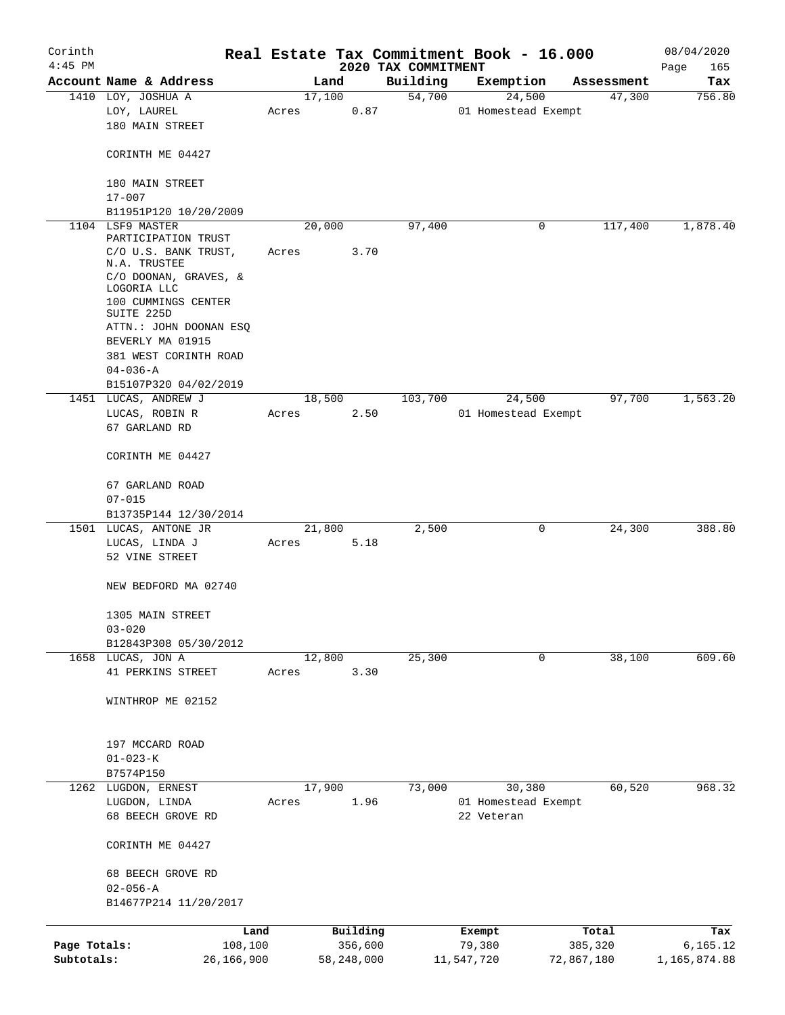| Corinth                    |                                                                           |                       |       |        |                       |                                 | Real Estate Tax Commitment Book - 16.000 |            |            | 08/04/2020               |
|----------------------------|---------------------------------------------------------------------------|-----------------------|-------|--------|-----------------------|---------------------------------|------------------------------------------|------------|------------|--------------------------|
| $4:45$ PM                  | Account Name & Address                                                    |                       |       | Land   |                       | 2020 TAX COMMITMENT<br>Building | Exemption                                |            | Assessment | Page<br>165<br>Tax       |
|                            | 1410 LOY, JOSHUA A                                                        |                       |       | 17,100 |                       | 54,700                          | 24,500                                   |            | 47,300     | 756.80                   |
|                            | LOY, LAUREL<br>180 MAIN STREET                                            |                       | Acres |        | 0.87                  |                                 | 01 Homestead Exempt                      |            |            |                          |
|                            | CORINTH ME 04427                                                          |                       |       |        |                       |                                 |                                          |            |            |                          |
|                            | 180 MAIN STREET<br>$17 - 007$                                             |                       |       |        |                       |                                 |                                          |            |            |                          |
|                            | B11951P120 10/20/2009                                                     |                       |       |        |                       |                                 |                                          |            |            |                          |
|                            | 1104 LSF9 MASTER<br>PARTICIPATION TRUST                                   |                       |       | 20,000 |                       | 97,400                          |                                          | 0          | 117,400    | 1,878.40                 |
|                            | C/O U.S. BANK TRUST,<br>N.A. TRUSTEE                                      |                       | Acres |        | 3.70                  |                                 |                                          |            |            |                          |
|                            | C/O DOONAN, GRAVES, &<br>LOGORIA LLC<br>100 CUMMINGS CENTER<br>SUITE 225D |                       |       |        |                       |                                 |                                          |            |            |                          |
|                            | ATTN.: JOHN DOONAN ESQ                                                    |                       |       |        |                       |                                 |                                          |            |            |                          |
|                            | BEVERLY MA 01915<br>381 WEST CORINTH ROAD                                 |                       |       |        |                       |                                 |                                          |            |            |                          |
|                            | $04 - 036 - A$<br>B15107P320 04/02/2019                                   |                       |       |        |                       |                                 |                                          |            |            |                          |
|                            | 1451 LUCAS, ANDREW J                                                      |                       |       | 18,500 |                       | 103,700                         | 24,500                                   |            | 97,700     | 1,563.20                 |
|                            | LUCAS, ROBIN R                                                            |                       | Acres |        | 2.50                  |                                 | 01 Homestead Exempt                      |            |            |                          |
|                            | 67 GARLAND RD                                                             |                       |       |        |                       |                                 |                                          |            |            |                          |
|                            | CORINTH ME 04427                                                          |                       |       |        |                       |                                 |                                          |            |            |                          |
|                            | 67 GARLAND ROAD                                                           |                       |       |        |                       |                                 |                                          |            |            |                          |
|                            | $07 - 015$<br>B13735P144 12/30/2014                                       |                       |       |        |                       |                                 |                                          |            |            |                          |
|                            | 1501 LUCAS, ANTONE JR                                                     |                       |       | 21,800 |                       | 2,500                           |                                          | 0          | 24,300     | 388.80                   |
|                            | LUCAS, LINDA J                                                            |                       | Acres |        | 5.18                  |                                 |                                          |            |            |                          |
|                            | 52 VINE STREET                                                            |                       |       |        |                       |                                 |                                          |            |            |                          |
|                            | NEW BEDFORD MA 02740                                                      |                       |       |        |                       |                                 |                                          |            |            |                          |
|                            | 1305 MAIN STREET<br>$03 - 020$                                            |                       |       |        |                       |                                 |                                          |            |            |                          |
|                            | B12843P308 05/30/2012                                                     |                       |       |        |                       |                                 |                                          |            |            |                          |
|                            | 1658 LUCAS, JON A                                                         |                       |       | 12,800 |                       | 25,300                          |                                          | 0          | 38,100     | 609.60                   |
|                            | 41 PERKINS STREET                                                         |                       | Acres |        | 3.30                  |                                 |                                          |            |            |                          |
|                            | WINTHROP ME 02152                                                         |                       |       |        |                       |                                 |                                          |            |            |                          |
|                            | 197 MCCARD ROAD                                                           |                       |       |        |                       |                                 |                                          |            |            |                          |
|                            | $01 - 023 - K$<br>B7574P150                                               |                       |       |        |                       |                                 |                                          |            |            |                          |
|                            | 1262 LUGDON, ERNEST                                                       |                       |       | 17,900 |                       | 73,000                          | 30,380                                   |            | 60,520     | 968.32                   |
|                            | LUGDON, LINDA                                                             |                       | Acres |        | 1.96                  |                                 | 01 Homestead Exempt                      |            |            |                          |
|                            | 68 BEECH GROVE RD                                                         |                       |       |        |                       |                                 | 22 Veteran                               |            |            |                          |
|                            | CORINTH ME 04427                                                          |                       |       |        |                       |                                 |                                          |            |            |                          |
|                            | 68 BEECH GROVE RD<br>$02 - 056 - A$                                       |                       |       |        |                       |                                 |                                          |            |            |                          |
|                            | B14677P214 11/20/2017                                                     |                       |       |        |                       |                                 |                                          |            |            |                          |
|                            |                                                                           | Land                  |       |        | Building              |                                 | Exempt                                   |            | Total      | Tax                      |
| Page Totals:<br>Subtotals: |                                                                           | 108,100<br>26,166,900 |       |        | 356,600<br>58,248,000 |                                 | 79,380<br>11,547,720                     | 72,867,180 | 385,320    | 6,165.12<br>1,165,874.88 |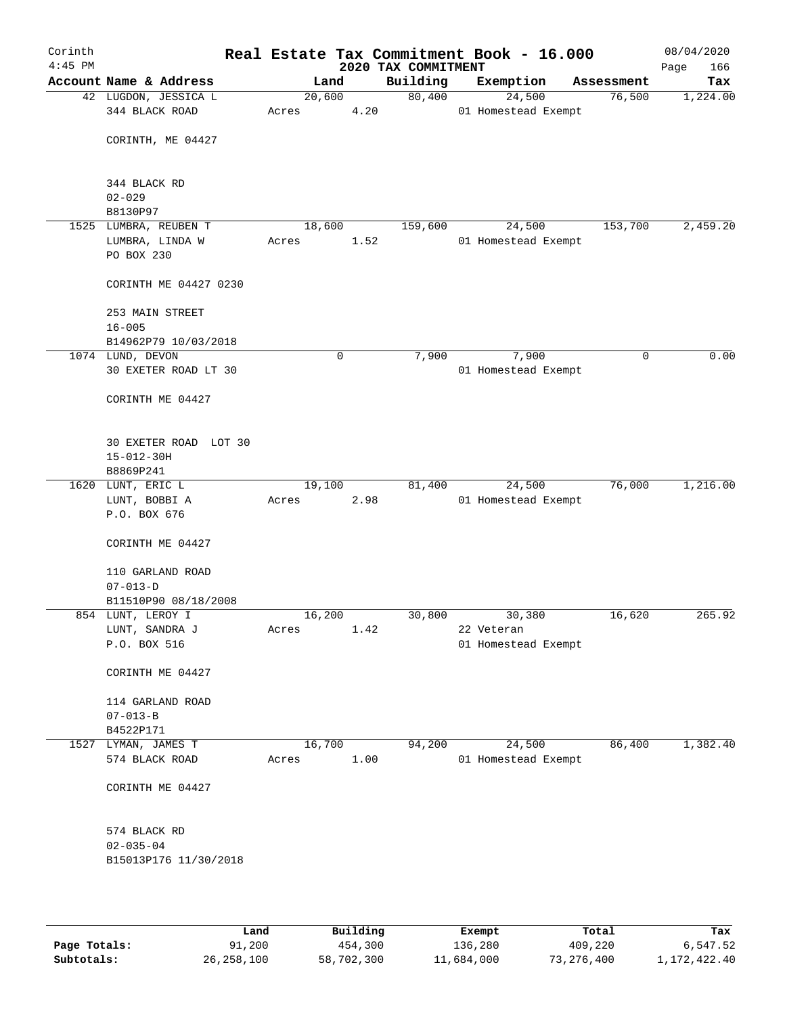| Corinth<br>$4:45$ PM |                                           |       |                | Real Estate Tax Commitment Book - 16.000<br>2020 TAX COMMITMENT |            |                               |            | 08/04/2020<br>166<br>Page |
|----------------------|-------------------------------------------|-------|----------------|-----------------------------------------------------------------|------------|-------------------------------|------------|---------------------------|
|                      | Account Name & Address                    |       | Land           | Building                                                        | Exemption  |                               | Assessment | Tax                       |
|                      | 42 LUGDON, JESSICA L<br>344 BLACK ROAD    | Acres | 20,600<br>4.20 | 80,400                                                          |            | 24,500<br>01 Homestead Exempt | 76,500     | 1,224.00                  |
|                      | CORINTH, ME 04427                         |       |                |                                                                 |            |                               |            |                           |
|                      |                                           |       |                |                                                                 |            |                               |            |                           |
|                      | 344 BLACK RD<br>$02 - 029$                |       |                |                                                                 |            |                               |            |                           |
|                      | B8130P97                                  |       |                |                                                                 |            |                               |            |                           |
|                      | 1525 LUMBRA, REUBEN T                     |       | 18,600         | 159,600                                                         |            | 24,500                        | 153,700    | 2,459.20                  |
|                      | LUMBRA, LINDA W                           | Acres | 1.52           |                                                                 |            | 01 Homestead Exempt           |            |                           |
|                      | PO BOX 230                                |       |                |                                                                 |            |                               |            |                           |
|                      | CORINTH ME 04427 0230                     |       |                |                                                                 |            |                               |            |                           |
|                      | 253 MAIN STREET                           |       |                |                                                                 |            |                               |            |                           |
|                      | $16 - 005$                                |       |                |                                                                 |            |                               |            |                           |
|                      | B14962P79 10/03/2018                      |       |                |                                                                 |            |                               |            | 0.00                      |
|                      | 1074 LUND, DEVON<br>30 EXETER ROAD LT 30  |       | 0              | 7,900                                                           |            | 7,900                         | 0          |                           |
|                      |                                           |       |                |                                                                 |            | 01 Homestead Exempt           |            |                           |
|                      | CORINTH ME 04427                          |       |                |                                                                 |            |                               |            |                           |
|                      | 30 EXETER ROAD LOT 30                     |       |                |                                                                 |            |                               |            |                           |
|                      | $15 - 012 - 30H$                          |       |                |                                                                 |            |                               |            |                           |
|                      | B8869P241                                 |       |                |                                                                 |            |                               |            |                           |
|                      | 1620 LUNT, ERIC L                         |       | 19,100         | 81,400                                                          |            | 24,500                        | 76,000     | 1,216.00                  |
|                      | LUNT, BOBBI A                             | Acres | 2.98           |                                                                 |            | 01 Homestead Exempt           |            |                           |
|                      | P.O. BOX 676                              |       |                |                                                                 |            |                               |            |                           |
|                      | CORINTH ME 04427                          |       |                |                                                                 |            |                               |            |                           |
|                      | 110 GARLAND ROAD                          |       |                |                                                                 |            |                               |            |                           |
|                      | $07 - 013 - D$                            |       |                |                                                                 |            |                               |            |                           |
|                      | B11510P90 08/18/2008<br>854 LUNT, LEROY I |       | 16,200         | 30,800                                                          |            | 30,380                        | 16,620     | 265.92                    |
|                      | LUNT, SANDRA J                            | Acres | 1.42           |                                                                 | 22 Veteran |                               |            |                           |
|                      | P.O. BOX 516                              |       |                |                                                                 |            | 01 Homestead Exempt           |            |                           |
|                      |                                           |       |                |                                                                 |            |                               |            |                           |
|                      | CORINTH ME 04427                          |       |                |                                                                 |            |                               |            |                           |
|                      | 114 GARLAND ROAD                          |       |                |                                                                 |            |                               |            |                           |
|                      | $07 - 013 - B$                            |       |                |                                                                 |            |                               |            |                           |
|                      | B4522P171                                 |       |                |                                                                 |            |                               |            |                           |
| 1527                 | LYMAN, JAMES T                            |       | 16,700         | 94,200                                                          |            | 24,500                        | 86,400     | 1,382.40                  |
|                      | 574 BLACK ROAD                            | Acres | 1.00           |                                                                 |            | 01 Homestead Exempt           |            |                           |
|                      | CORINTH ME 04427                          |       |                |                                                                 |            |                               |            |                           |
|                      | 574 BLACK RD                              |       |                |                                                                 |            |                               |            |                           |
|                      | $02 - 035 - 04$                           |       |                |                                                                 |            |                               |            |                           |
|                      | B15013P176 11/30/2018                     |       |                |                                                                 |            |                               |            |                           |
|                      |                                           |       |                |                                                                 |            |                               |            |                           |
|                      |                                           |       |                |                                                                 |            |                               |            |                           |

|              | Land         | Building   | Exempt     | Total      | Tax          |
|--------------|--------------|------------|------------|------------|--------------|
| Page Totals: | 91,200       | 454,300    | 136,280    | 409,220    | 6,547.52     |
| Subtotals:   | 26, 258, 100 | 58,702,300 | 11,684,000 | 73,276,400 | 1,172,422.40 |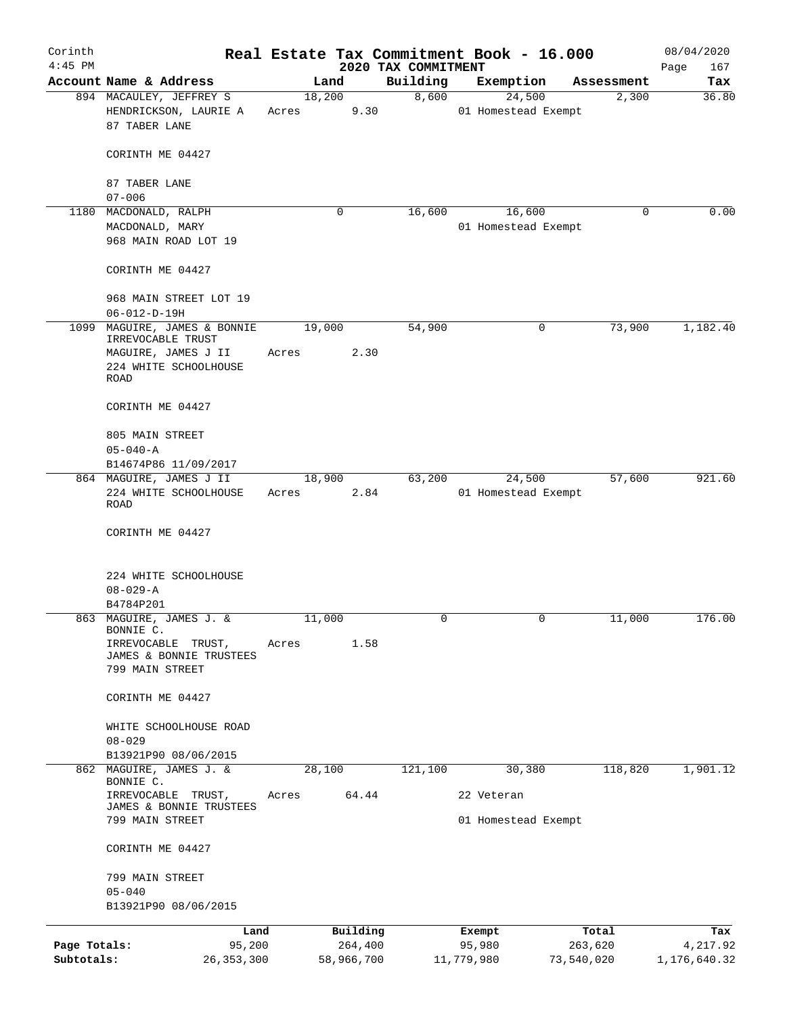| Corinth<br>$4:45$ PM |                                                                     |                 |            | 2020 TAX COMMITMENT | Real Estate Tax Commitment Book - 16.000 |            | 08/04/2020<br>Page<br>167 |
|----------------------|---------------------------------------------------------------------|-----------------|------------|---------------------|------------------------------------------|------------|---------------------------|
|                      | Account Name & Address                                              |                 | Land       | Building            | Exemption                                | Assessment | Tax                       |
|                      | 894 MACAULEY, JEFFREY S                                             |                 | 18,200     | 8,600               | 24,500                                   | 2,300      | 36.80                     |
|                      | HENDRICKSON, LAURIE A<br>87 TABER LANE                              | Acres           | 9.30       |                     | 01 Homestead Exempt                      |            |                           |
|                      | CORINTH ME 04427                                                    |                 |            |                     |                                          |            |                           |
|                      | 87 TABER LANE                                                       |                 |            |                     |                                          |            |                           |
|                      | $07 - 006$                                                          |                 |            |                     |                                          |            |                           |
| 1180                 | MACDONALD, RALPH                                                    |                 | 0          | 16,600              | 16,600                                   | 0          | 0.00                      |
|                      | MACDONALD, MARY<br>968 MAIN ROAD LOT 19                             |                 |            |                     | 01 Homestead Exempt                      |            |                           |
|                      | CORINTH ME 04427                                                    |                 |            |                     |                                          |            |                           |
|                      | 968 MAIN STREET LOT 19<br>$06 - 012 - D - 19H$                      |                 |            |                     |                                          |            |                           |
| 1099                 | MAGUIRE, JAMES & BONNIE                                             | 19,000          |            | 54,900              | 0                                        | 73,900     | 1,182.40                  |
|                      | IRREVOCABLE TRUST                                                   |                 |            |                     |                                          |            |                           |
|                      | MAGUIRE, JAMES J II                                                 | Acres           | 2.30       |                     |                                          |            |                           |
|                      | 224 WHITE SCHOOLHOUSE<br>ROAD                                       |                 |            |                     |                                          |            |                           |
|                      | CORINTH ME 04427                                                    |                 |            |                     |                                          |            |                           |
|                      | 805 MAIN STREET                                                     |                 |            |                     |                                          |            |                           |
|                      | $05 - 040 - A$                                                      |                 |            |                     |                                          |            |                           |
|                      | B14674P86 11/09/2017                                                |                 |            |                     |                                          |            |                           |
|                      | 864 MAGUIRE, JAMES J II                                             |                 | 18,900     | 63,200              | 24,500                                   | 57,600     | 921.60                    |
|                      | 224 WHITE SCHOOLHOUSE<br>ROAD                                       | Acres           | 2.84       |                     | 01 Homestead Exempt                      |            |                           |
|                      | CORINTH ME 04427                                                    |                 |            |                     |                                          |            |                           |
|                      | 224 WHITE SCHOOLHOUSE                                               |                 |            |                     |                                          |            |                           |
|                      | $08 - 029 - A$                                                      |                 |            |                     |                                          |            |                           |
|                      | B4784P201                                                           |                 |            |                     |                                          |            |                           |
| 863                  | MAGUIRE, JAMES J. &<br>BONNIE C.                                    | 11,000          |            | $\Omega$            | $\Omega$                                 | 11,000     | 176.00                    |
|                      | IRREVOCABLE<br>TRUST,<br>JAMES & BONNIE TRUSTEES<br>799 MAIN STREET | Acres           | 1.58       |                     |                                          |            |                           |
|                      | CORINTH ME 04427                                                    |                 |            |                     |                                          |            |                           |
|                      | WHITE SCHOOLHOUSE ROAD                                              |                 |            |                     |                                          |            |                           |
|                      | $08 - 029$                                                          |                 |            |                     |                                          |            |                           |
|                      | B13921P90 08/06/2015                                                |                 |            |                     |                                          |            |                           |
|                      | 862 MAGUIRE, JAMES J. &<br>BONNIE C.<br>IRREVOCABLE TRUST,          | 28,100<br>Acres | 64.44      | 121,100             | 30,380<br>22 Veteran                     | 118,820    | 1,901.12                  |
|                      | JAMES & BONNIE TRUSTEES<br>799 MAIN STREET                          |                 |            |                     | 01 Homestead Exempt                      |            |                           |
|                      | CORINTH ME 04427                                                    |                 |            |                     |                                          |            |                           |
|                      |                                                                     |                 |            |                     |                                          |            |                           |
|                      | 799 MAIN STREET                                                     |                 |            |                     |                                          |            |                           |
|                      | $05 - 040$<br>B13921P90 08/06/2015                                  |                 |            |                     |                                          |            |                           |
|                      | Land                                                                |                 | Building   |                     | Exempt                                   | Total      | Tax                       |
| Page Totals:         | 95,200                                                              |                 | 264,400    |                     | 95,980                                   | 263,620    | 4,217.92                  |
| Subtotals:           | 26, 353, 300                                                        |                 | 58,966,700 |                     | 11,779,980                               | 73,540,020 | 1,176,640.32              |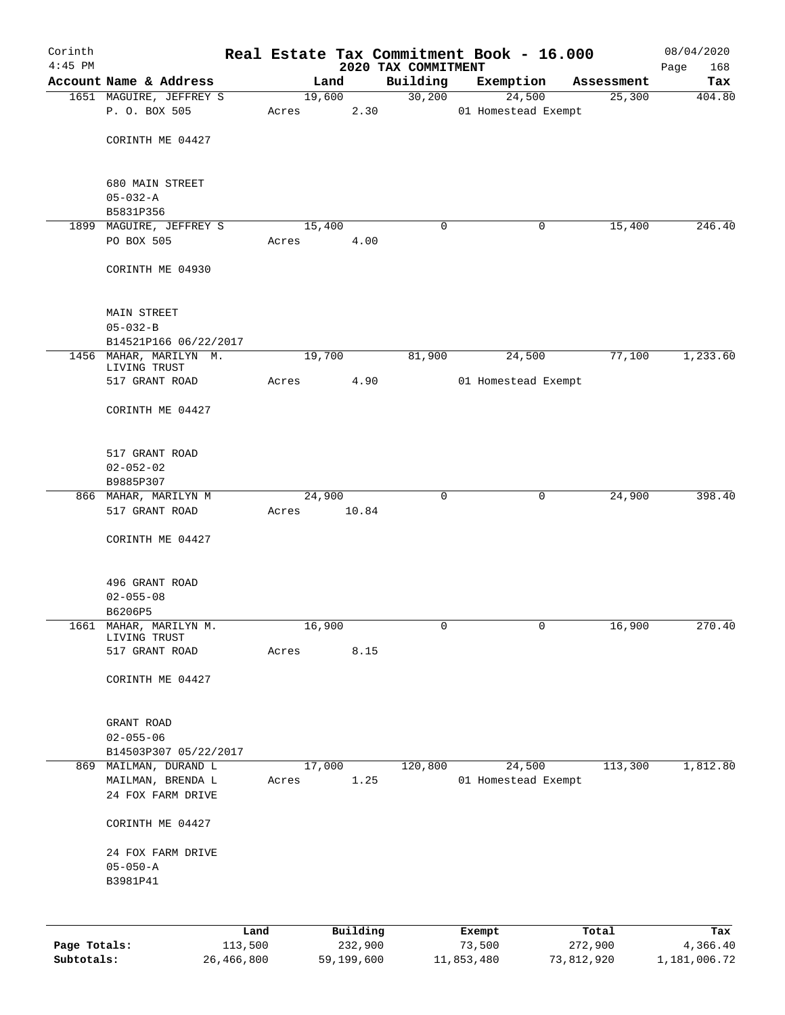| Corinth<br>$4:45$ PM |                                            |                 |       |        |                     |                                 | Real Estate Tax Commitment Book - 16.000 |                  | 08/04/2020         |
|----------------------|--------------------------------------------|-----------------|-------|--------|---------------------|---------------------------------|------------------------------------------|------------------|--------------------|
|                      | Account Name & Address                     |                 |       | Land   |                     | 2020 TAX COMMITMENT<br>Building | Exemption                                | Assessment       | 168<br>Page<br>Tax |
|                      | 1651 MAGUIRE, JEFFREY S                    |                 |       | 19,600 |                     | 30,200                          | 24,500                                   | 25,300           | 404.80             |
|                      | P. O. BOX 505                              |                 | Acres |        | 2.30                |                                 | 01 Homestead Exempt                      |                  |                    |
|                      |                                            |                 |       |        |                     |                                 |                                          |                  |                    |
|                      | CORINTH ME 04427                           |                 |       |        |                     |                                 |                                          |                  |                    |
|                      | 680 MAIN STREET                            |                 |       |        |                     |                                 |                                          |                  |                    |
|                      | $05 - 032 - A$                             |                 |       |        |                     |                                 |                                          |                  |                    |
|                      | B5831P356                                  |                 |       |        |                     |                                 |                                          |                  |                    |
|                      | 1899 MAGUIRE, JEFFREY S<br>PO BOX 505      |                 | Acres | 15,400 | 4.00                | 0                               | 0                                        | 15,400           | 246.40             |
|                      | CORINTH ME 04930                           |                 |       |        |                     |                                 |                                          |                  |                    |
|                      | <b>MAIN STREET</b>                         |                 |       |        |                     |                                 |                                          |                  |                    |
|                      | $05 - 032 - B$                             |                 |       |        |                     |                                 |                                          |                  |                    |
|                      | B14521P166 06/22/2017                      |                 |       |        |                     |                                 |                                          |                  |                    |
|                      | 1456 MAHAR, MARILYN M.<br>LIVING TRUST     |                 |       | 19,700 |                     | 81,900                          | 24,500                                   | 77,100           | 1,233.60           |
|                      | 517 GRANT ROAD                             |                 | Acres |        | 4.90                |                                 | 01 Homestead Exempt                      |                  |                    |
|                      | CORINTH ME 04427                           |                 |       |        |                     |                                 |                                          |                  |                    |
|                      | 517 GRANT ROAD                             |                 |       |        |                     |                                 |                                          |                  |                    |
|                      | $02 - 052 - 02$                            |                 |       |        |                     |                                 |                                          |                  |                    |
|                      | B9885P307<br>866 MAHAR, MARILYN M          |                 |       | 24,900 |                     | 0                               | 0                                        | 24,900           | 398.40             |
|                      | 517 GRANT ROAD                             |                 | Acres |        | 10.84               |                                 |                                          |                  |                    |
|                      | CORINTH ME 04427                           |                 |       |        |                     |                                 |                                          |                  |                    |
|                      | 496 GRANT ROAD                             |                 |       |        |                     |                                 |                                          |                  |                    |
|                      | $02 - 055 - 08$                            |                 |       |        |                     |                                 |                                          |                  |                    |
|                      | B6206P5                                    |                 |       |        |                     |                                 |                                          |                  |                    |
| 1661                 | MAHAR, MARILYN M.<br>LIVING TRUST          |                 |       | 16,900 |                     | 0                               | 0                                        | 16,900           | 270.40             |
|                      | 517 GRANT ROAD                             |                 | Acres |        | 8.15                |                                 |                                          |                  |                    |
|                      | CORINTH ME 04427                           |                 |       |        |                     |                                 |                                          |                  |                    |
|                      | GRANT ROAD                                 |                 |       |        |                     |                                 |                                          |                  |                    |
|                      | $02 - 055 - 06$                            |                 |       |        |                     |                                 |                                          |                  |                    |
|                      | B14503P307 05/22/2017                      |                 |       |        |                     |                                 |                                          |                  |                    |
|                      | 869 MAILMAN, DURAND L<br>MAILMAN, BRENDA L |                 | Acres | 17,000 | 1.25                | 120,800                         | 24,500<br>01 Homestead Exempt            | 113,300          | 1,812.80           |
|                      | 24 FOX FARM DRIVE                          |                 |       |        |                     |                                 |                                          |                  |                    |
|                      | CORINTH ME 04427                           |                 |       |        |                     |                                 |                                          |                  |                    |
|                      | 24 FOX FARM DRIVE                          |                 |       |        |                     |                                 |                                          |                  |                    |
|                      | $05 - 050 - A$<br>B3981P41                 |                 |       |        |                     |                                 |                                          |                  |                    |
|                      |                                            |                 |       |        |                     |                                 |                                          |                  |                    |
|                      |                                            |                 |       |        |                     |                                 |                                          |                  |                    |
| Page Totals:         |                                            | Land<br>113,500 |       |        | Building<br>232,900 |                                 | Exempt<br>73,500                         | Total<br>272,900 | Tax<br>4,366.40    |

**Subtotals:** 26,466,800 59,199,600 11,853,480 73,812,920 1,181,006.72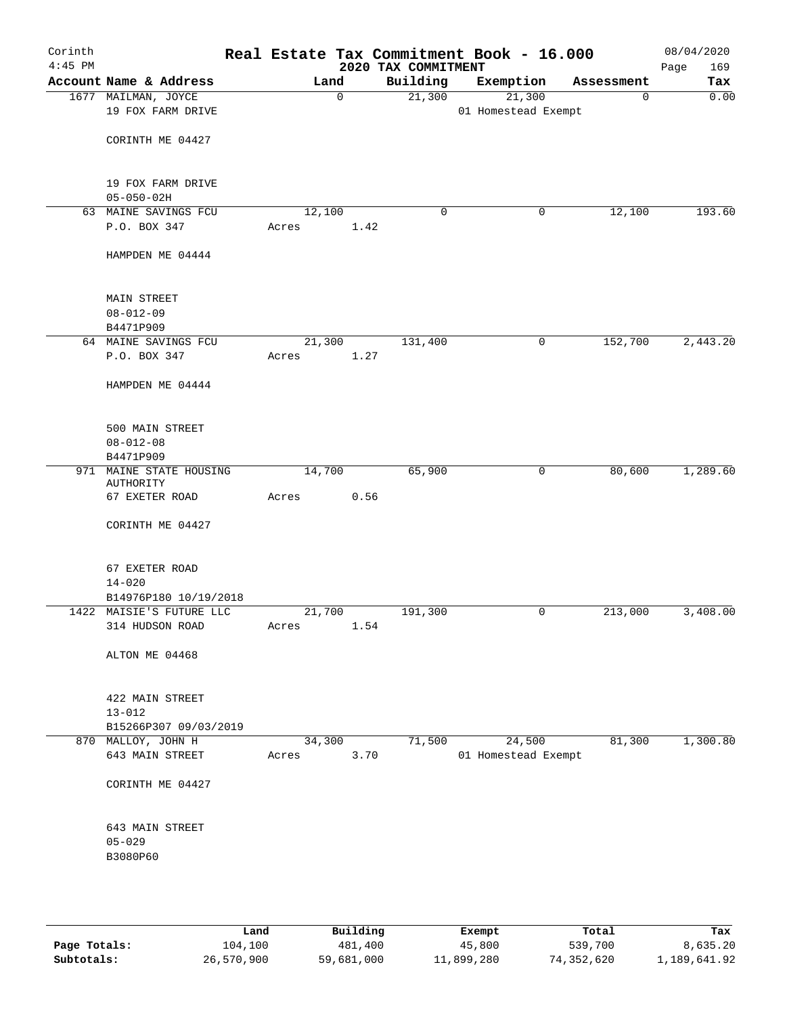| Corinth<br>$4:45$ PM |                          |        |      | 2020 TAX COMMITMENT | Real Estate Tax Commitment Book - 16.000 |            | 08/04/2020<br>Page<br>169 |
|----------------------|--------------------------|--------|------|---------------------|------------------------------------------|------------|---------------------------|
|                      | Account Name & Address   | Land   |      | Building            | Exemption                                | Assessment | Tax                       |
|                      | 1677 MAILMAN, JOYCE      |        | 0    | 21,300              | 21,300                                   | 0          | 0.00                      |
|                      | 19 FOX FARM DRIVE        |        |      |                     | 01 Homestead Exempt                      |            |                           |
|                      |                          |        |      |                     |                                          |            |                           |
|                      | CORINTH ME 04427         |        |      |                     |                                          |            |                           |
|                      |                          |        |      |                     |                                          |            |                           |
|                      | 19 FOX FARM DRIVE        |        |      |                     |                                          |            |                           |
|                      | $05 - 050 - 02H$         |        |      |                     |                                          |            |                           |
|                      | 63 MAINE SAVINGS FCU     | 12,100 |      | $\mathbf 0$         | 0                                        | 12,100     | 193.60                    |
|                      | P.O. BOX 347             | Acres  | 1.42 |                     |                                          |            |                           |
|                      |                          |        |      |                     |                                          |            |                           |
|                      | HAMPDEN ME 04444         |        |      |                     |                                          |            |                           |
|                      |                          |        |      |                     |                                          |            |                           |
|                      |                          |        |      |                     |                                          |            |                           |
|                      | <b>MAIN STREET</b>       |        |      |                     |                                          |            |                           |
|                      | $08 - 012 - 09$          |        |      |                     |                                          |            |                           |
|                      | B4471P909                |        |      |                     |                                          |            |                           |
|                      | 64 MAINE SAVINGS FCU     | 21,300 |      | 131,400             | 0                                        | 152,700    | 2,443.20                  |
|                      | P.O. BOX 347             | Acres  | 1.27 |                     |                                          |            |                           |
|                      | HAMPDEN ME 04444         |        |      |                     |                                          |            |                           |
|                      |                          |        |      |                     |                                          |            |                           |
|                      |                          |        |      |                     |                                          |            |                           |
|                      | 500 MAIN STREET          |        |      |                     |                                          |            |                           |
|                      | $08 - 012 - 08$          |        |      |                     |                                          |            |                           |
|                      | B4471P909                |        |      |                     |                                          |            |                           |
|                      | 971 MAINE STATE HOUSING  | 14,700 |      | 65,900              | 0                                        | 80,600     | 1,289.60                  |
|                      | AUTHORITY                |        |      |                     |                                          |            |                           |
|                      | 67 EXETER ROAD           | Acres  | 0.56 |                     |                                          |            |                           |
|                      |                          |        |      |                     |                                          |            |                           |
|                      | CORINTH ME 04427         |        |      |                     |                                          |            |                           |
|                      |                          |        |      |                     |                                          |            |                           |
|                      | 67 EXETER ROAD           |        |      |                     |                                          |            |                           |
|                      | $14 - 020$               |        |      |                     |                                          |            |                           |
|                      | B14976P180 10/19/2018    |        |      |                     |                                          |            |                           |
|                      | 1422 MAISIE'S FUTURE LLC | 21,700 |      | 191,300             | 0                                        | 213,000    | 3,408.00                  |
|                      | 314 HUDSON ROAD          | Acres  | 1.54 |                     |                                          |            |                           |
|                      |                          |        |      |                     |                                          |            |                           |
|                      | ALTON ME 04468           |        |      |                     |                                          |            |                           |
|                      |                          |        |      |                     |                                          |            |                           |
|                      | 422 MAIN STREET          |        |      |                     |                                          |            |                           |
|                      | $13 - 012$               |        |      |                     |                                          |            |                           |
|                      | B15266P307 09/03/2019    |        |      |                     |                                          |            |                           |
|                      | 870 MALLOY, JOHN H       | 34,300 |      | 71,500              | 24,500                                   | 81,300     | 1,300.80                  |
|                      | 643 MAIN STREET          | Acres  | 3.70 |                     | 01 Homestead Exempt                      |            |                           |
|                      |                          |        |      |                     |                                          |            |                           |
|                      | CORINTH ME 04427         |        |      |                     |                                          |            |                           |
|                      |                          |        |      |                     |                                          |            |                           |
|                      |                          |        |      |                     |                                          |            |                           |
|                      | 643 MAIN STREET          |        |      |                     |                                          |            |                           |
|                      | $05 - 029$               |        |      |                     |                                          |            |                           |
|                      | B3080P60                 |        |      |                     |                                          |            |                           |
|                      |                          |        |      |                     |                                          |            |                           |
|                      |                          |        |      |                     |                                          |            |                           |
|                      |                          |        |      |                     |                                          |            |                           |

|              | Land       | Building   | Exempt     | Total      | Tax          |
|--------------|------------|------------|------------|------------|--------------|
| Page Totals: | 104,100    | 481,400    | 45,800     | 539,700    | 8,635.20     |
| Subtotals:   | 26,570,900 | 59,681,000 | 11,899,280 | 74,352,620 | 1,189,641.92 |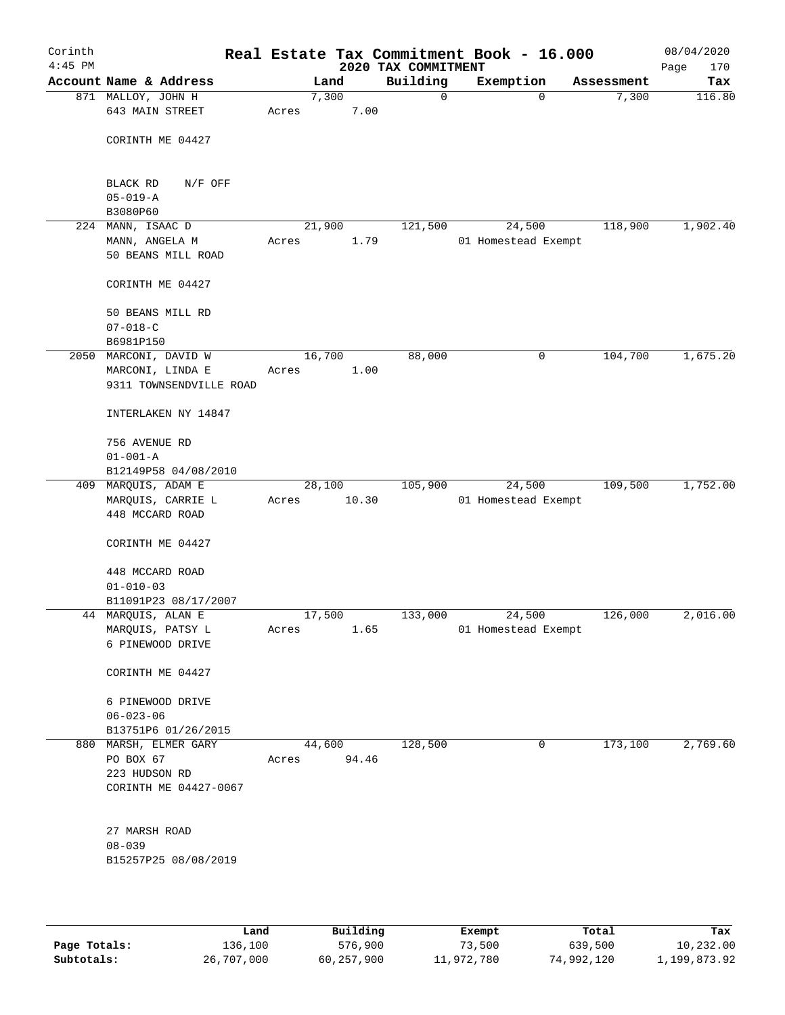| Corinth<br>$4:45$ PM |                                        |       |        |       | Real Estate Tax Commitment Book - 16.000<br>2020 TAX COMMITMENT |                     |             |            | 08/04/2020<br>170<br>Page |
|----------------------|----------------------------------------|-------|--------|-------|-----------------------------------------------------------------|---------------------|-------------|------------|---------------------------|
|                      | Account Name & Address                 |       | Land   |       | Building                                                        | Exemption           |             | Assessment | Tax                       |
|                      | 871 MALLOY, JOHN H                     |       | 7,300  |       | 0                                                               |                     | 0           | 7,300      | 116.80                    |
|                      | 643 MAIN STREET                        | Acres |        | 7.00  |                                                                 |                     |             |            |                           |
|                      | CORINTH ME 04427                       |       |        |       |                                                                 |                     |             |            |                           |
|                      | BLACK RD<br>$N/F$ OFF                  |       |        |       |                                                                 |                     |             |            |                           |
|                      | $05 - 019 - A$                         |       |        |       |                                                                 |                     |             |            |                           |
|                      | B3080P60                               |       |        |       |                                                                 |                     |             |            |                           |
| 224                  | MANN, ISAAC D                          |       | 21,900 |       | 121,500                                                         |                     | 24,500      | 118,900    | 1,902.40                  |
|                      | MANN, ANGELA M<br>50 BEANS MILL ROAD   | Acres |        | 1.79  |                                                                 | 01 Homestead Exempt |             |            |                           |
|                      | CORINTH ME 04427                       |       |        |       |                                                                 |                     |             |            |                           |
|                      | 50 BEANS MILL RD<br>$07 - 018 - C$     |       |        |       |                                                                 |                     |             |            |                           |
|                      | B6981P150                              |       |        |       |                                                                 |                     |             |            |                           |
|                      | 2050 MARCONI, DAVID W                  |       | 16,700 |       | 88,000                                                          |                     | 0           | 104,700    | 1,675.20                  |
|                      | MARCONI, LINDA E                       | Acres |        | 1.00  |                                                                 |                     |             |            |                           |
|                      | 9311 TOWNSENDVILLE ROAD                |       |        |       |                                                                 |                     |             |            |                           |
|                      | INTERLAKEN NY 14847                    |       |        |       |                                                                 |                     |             |            |                           |
|                      | 756 AVENUE RD                          |       |        |       |                                                                 |                     |             |            |                           |
|                      | $01 - 001 - A$                         |       |        |       |                                                                 |                     |             |            |                           |
|                      | B12149P58 04/08/2010                   |       |        |       |                                                                 |                     |             |            |                           |
|                      | 409 MARQUIS, ADAM E                    |       | 28,100 |       | 105,900                                                         |                     | 24,500      | 109,500    | 1,752.00                  |
|                      | MARQUIS, CARRIE L                      | Acres |        | 10.30 |                                                                 | 01 Homestead Exempt |             |            |                           |
|                      | 448 MCCARD ROAD                        |       |        |       |                                                                 |                     |             |            |                           |
|                      | CORINTH ME 04427                       |       |        |       |                                                                 |                     |             |            |                           |
|                      | 448 MCCARD ROAD                        |       |        |       |                                                                 |                     |             |            |                           |
|                      | $01 - 010 - 03$                        |       |        |       |                                                                 |                     |             |            |                           |
|                      | B11091P23 08/17/2007                   |       |        |       |                                                                 |                     |             |            |                           |
|                      | 44 MARQUIS, ALAN E<br>MARQUIS, PATSY L |       | 17,500 | 1.65  | 133,000                                                         | 01 Homestead Exempt | 24,500      | 126,000    | 2,016.00                  |
|                      | 6 PINEWOOD DRIVE                       | Acres |        |       |                                                                 |                     |             |            |                           |
|                      | CORINTH ME 04427                       |       |        |       |                                                                 |                     |             |            |                           |
|                      | 6 PINEWOOD DRIVE                       |       |        |       |                                                                 |                     |             |            |                           |
|                      | $06 - 023 - 06$                        |       |        |       |                                                                 |                     |             |            |                           |
|                      | B13751P6 01/26/2015                    |       |        |       |                                                                 |                     |             |            |                           |
|                      | 880 MARSH, ELMER GARY                  |       | 44,600 |       | 128,500                                                         |                     | $\mathbf 0$ | 173,100    | 2,769.60                  |
|                      | PO BOX 67                              | Acres |        | 94.46 |                                                                 |                     |             |            |                           |
|                      | 223 HUDSON RD<br>CORINTH ME 04427-0067 |       |        |       |                                                                 |                     |             |            |                           |
|                      | 27 MARSH ROAD                          |       |        |       |                                                                 |                     |             |            |                           |
|                      | $08 - 039$                             |       |        |       |                                                                 |                     |             |            |                           |
|                      | B15257P25 08/08/2019                   |       |        |       |                                                                 |                     |             |            |                           |
|                      |                                        |       |        |       |                                                                 |                     |             |            |                           |
|                      |                                        |       |        |       |                                                                 |                     |             |            |                           |

|              | Land       | Building   | Exempt     | Total      | Tax          |
|--------------|------------|------------|------------|------------|--------------|
| Page Totals: | 136,100    | 576,900    | 73,500     | 639,500    | 10,232.00    |
| Subtotals:   | 26,707,000 | 60,257,900 | 11,972,780 | 74,992,120 | 1,199,873.92 |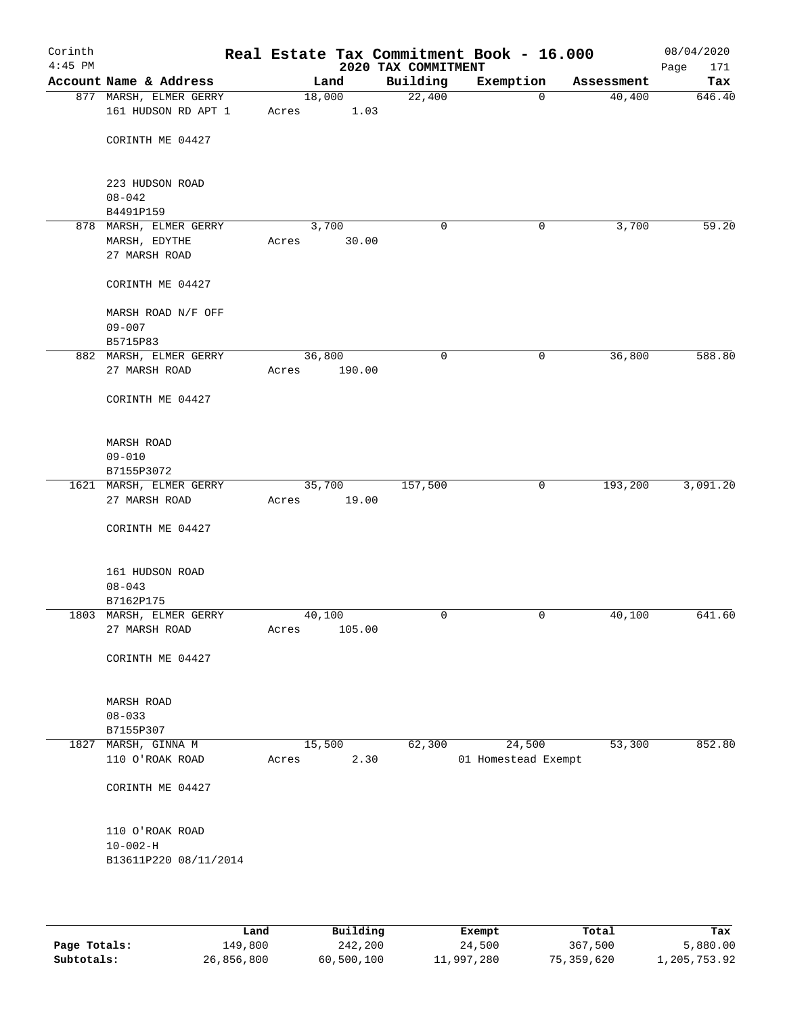| Corinth<br>$4:45$ PM |                                               |       |                | 2020 TAX COMMITMENT | Real Estate Tax Commitment Book - 16.000 |            | 08/04/2020<br>171<br>Page |
|----------------------|-----------------------------------------------|-------|----------------|---------------------|------------------------------------------|------------|---------------------------|
|                      | Account Name & Address                        |       | Land           | Building            | Exemption                                | Assessment | Tax                       |
|                      | 877 MARSH, ELMER GERRY<br>161 HUDSON RD APT 1 | Acres | 18,000<br>1.03 | 22,400              | $\mathbf 0$                              | 40,400     | 646.40                    |
|                      | CORINTH ME 04427                              |       |                |                     |                                          |            |                           |
|                      | 223 HUDSON ROAD                               |       |                |                     |                                          |            |                           |
|                      | $08 - 042$                                    |       |                |                     |                                          |            |                           |
|                      | B4491P159                                     |       |                |                     |                                          |            |                           |
|                      | 878 MARSH, ELMER GERRY                        |       | 3,700          | 0                   | 0                                        | 3,700      | 59.20                     |
|                      | MARSH, EDYTHE                                 | Acres | 30.00          |                     |                                          |            |                           |
|                      | 27 MARSH ROAD                                 |       |                |                     |                                          |            |                           |
|                      | CORINTH ME 04427                              |       |                |                     |                                          |            |                           |
|                      | MARSH ROAD N/F OFF                            |       |                |                     |                                          |            |                           |
|                      | $09 - 007$                                    |       |                |                     |                                          |            |                           |
|                      | B5715P83                                      |       |                |                     |                                          |            |                           |
|                      | 882 MARSH, ELMER GERRY                        |       | 36,800         | $\mathbf 0$         | 0                                        | 36,800     | 588.80                    |
|                      | 27 MARSH ROAD                                 | Acres | 190.00         |                     |                                          |            |                           |
|                      | CORINTH ME 04427                              |       |                |                     |                                          |            |                           |
|                      | MARSH ROAD                                    |       |                |                     |                                          |            |                           |
|                      | $09 - 010$                                    |       |                |                     |                                          |            |                           |
|                      | B7155P3072                                    |       |                |                     |                                          |            |                           |
|                      | 1621 MARSH, ELMER GERRY                       |       | 35,700         | 157,500             | 0                                        | 193,200    | 3,091.20                  |
|                      | 27 MARSH ROAD                                 | Acres | 19.00          |                     |                                          |            |                           |
|                      |                                               |       |                |                     |                                          |            |                           |
|                      | CORINTH ME 04427                              |       |                |                     |                                          |            |                           |
|                      | 161 HUDSON ROAD                               |       |                |                     |                                          |            |                           |
|                      | $08 - 043$                                    |       |                |                     |                                          |            |                           |
|                      | B7162P175                                     |       |                |                     |                                          |            |                           |
|                      | 1803 MARSH, ELMER GERRY                       |       | 40,100         | 0                   | 0                                        | 40,100     | 641.60                    |
|                      | 27 MARSH ROAD                                 | Acres | 105.00         |                     |                                          |            |                           |
|                      | CORINTH ME 04427                              |       |                |                     |                                          |            |                           |
|                      | MARSH ROAD                                    |       |                |                     |                                          |            |                           |
|                      | $08 - 033$                                    |       |                |                     |                                          |            |                           |
|                      | B7155P307                                     |       |                |                     |                                          |            |                           |
| 1827                 | MARSH, GINNA M                                |       | 15,500         | 62,300              | 24,500                                   | 53,300     | 852.80                    |
|                      | 110 O'ROAK ROAD                               | Acres | 2.30           |                     | 01 Homestead Exempt                      |            |                           |
|                      | CORINTH ME 04427                              |       |                |                     |                                          |            |                           |
|                      |                                               |       |                |                     |                                          |            |                           |
|                      | 110 O'ROAK ROAD                               |       |                |                     |                                          |            |                           |
|                      | $10 - 002 - H$                                |       |                |                     |                                          |            |                           |
|                      | B13611P220 08/11/2014                         |       |                |                     |                                          |            |                           |
|                      |                                               |       |                |                     |                                          |            |                           |
|                      |                                               |       |                |                     |                                          |            |                           |
|                      |                                               |       |                |                     |                                          |            |                           |

|              | Land       | Building   | Exempt     | Total      | Tax          |
|--------------|------------|------------|------------|------------|--------------|
| Page Totals: | 149,800    | 242,200    | 24,500     | 367,500    | 5,880.00     |
| Subtotals:   | 26,856,800 | 60,500,100 | 11,997,280 | 75,359,620 | 1,205,753.92 |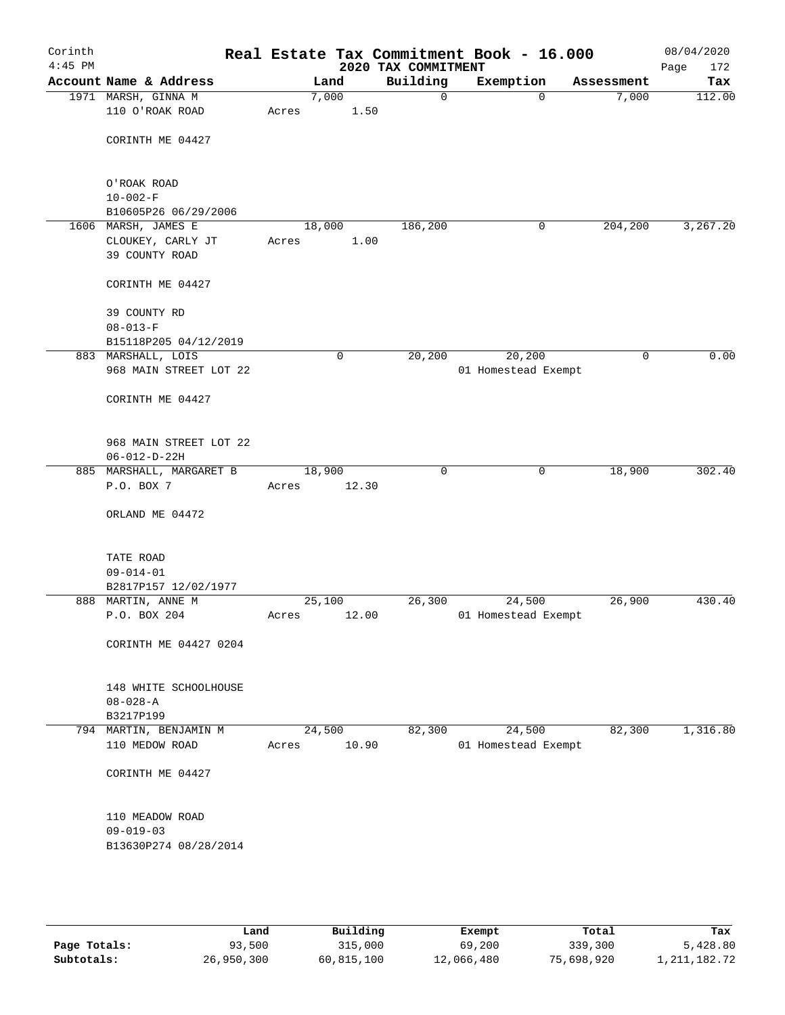| Corinth<br>$4:45$ PM |                                          |                 |       | 2020 TAX COMMITMENT | Real Estate Tax Commitment Book - 16.000 |             | 08/04/2020<br>172<br>Page |
|----------------------|------------------------------------------|-----------------|-------|---------------------|------------------------------------------|-------------|---------------------------|
|                      | Account Name & Address                   |                 | Land  | Building            | Exemption                                | Assessment  | Tax                       |
|                      | 1971 MARSH, GINNA M                      |                 | 7,000 | $\mathbf 0$         | $\mathbf 0$                              | 7,000       | 112.00                    |
|                      | 110 O'ROAK ROAD                          | Acres           | 1.50  |                     |                                          |             |                           |
|                      | CORINTH ME 04427                         |                 |       |                     |                                          |             |                           |
|                      | O'ROAK ROAD                              |                 |       |                     |                                          |             |                           |
|                      | $10 - 002 - F$                           |                 |       |                     |                                          |             |                           |
|                      | B10605P26 06/29/2006                     |                 |       |                     |                                          |             |                           |
|                      | 1606 MARSH, JAMES E<br>CLOUKEY, CARLY JT | 18,000<br>Acres | 1.00  | 186,200             | 0                                        | 204,200     | 3,267.20                  |
|                      | 39 COUNTY ROAD                           |                 |       |                     |                                          |             |                           |
|                      | CORINTH ME 04427                         |                 |       |                     |                                          |             |                           |
|                      | 39 COUNTY RD                             |                 |       |                     |                                          |             |                           |
|                      | $08 - 013 - F$                           |                 |       |                     |                                          |             |                           |
|                      | B15118P205 04/12/2019                    |                 |       |                     |                                          |             |                           |
|                      | 883 MARSHALL, LOIS                       |                 | 0     | 20, 200             | 20, 200                                  | $\mathbf 0$ | 0.00                      |
|                      | 968 MAIN STREET LOT 22                   |                 |       |                     | 01 Homestead Exempt                      |             |                           |
|                      | CORINTH ME 04427                         |                 |       |                     |                                          |             |                           |
|                      | 968 MAIN STREET LOT 22                   |                 |       |                     |                                          |             |                           |
|                      | $06 - 012 - D - 22H$                     |                 |       |                     |                                          |             |                           |
|                      | 885 MARSHALL, MARGARET B                 | 18,900          |       | $\mathbf 0$         | $\mathbf 0$                              | 18,900      | 302.40                    |
|                      | P.O. BOX 7                               | Acres           | 12.30 |                     |                                          |             |                           |
|                      | ORLAND ME 04472                          |                 |       |                     |                                          |             |                           |
|                      | TATE ROAD                                |                 |       |                     |                                          |             |                           |
|                      | $09 - 014 - 01$                          |                 |       |                     |                                          |             |                           |
|                      | B2817P157 12/02/1977                     |                 |       |                     |                                          |             |                           |
|                      | 888 MARTIN, ANNE M                       | 25,100          |       | 26,300              | 24,500                                   | 26,900      | 430.40                    |
|                      | P.O. BOX 204                             | Acres           | 12.00 |                     | 01 Homestead Exempt                      |             |                           |
|                      | CORINTH ME 04427 0204                    |                 |       |                     |                                          |             |                           |
|                      |                                          |                 |       |                     |                                          |             |                           |
|                      | 148 WHITE SCHOOLHOUSE                    |                 |       |                     |                                          |             |                           |
|                      | $08 - 028 - A$<br>B3217P199              |                 |       |                     |                                          |             |                           |
|                      | 794 MARTIN, BENJAMIN M                   | 24,500          |       | 82,300              | 24,500                                   | 82,300      | 1,316.80                  |
|                      | 110 MEDOW ROAD                           | Acres           | 10.90 |                     | 01 Homestead Exempt                      |             |                           |
|                      | CORINTH ME 04427                         |                 |       |                     |                                          |             |                           |
|                      | 110 MEADOW ROAD                          |                 |       |                     |                                          |             |                           |
|                      | $09 - 019 - 03$                          |                 |       |                     |                                          |             |                           |
|                      | B13630P274 08/28/2014                    |                 |       |                     |                                          |             |                           |
|                      |                                          |                 |       |                     |                                          |             |                           |
|                      |                                          |                 |       |                     |                                          |             |                           |
|                      |                                          |                 |       |                     |                                          |             |                           |

|              | Land       | Building   | Exempt     | Total      | Tax             |
|--------------|------------|------------|------------|------------|-----------------|
| Page Totals: | 93,500     | 315,000    | 69,200     | 339,300    | 5,428.80        |
| Subtotals:   | 26,950,300 | 60,815,100 | 12,066,480 | 75,698,920 | 1, 211, 182. 72 |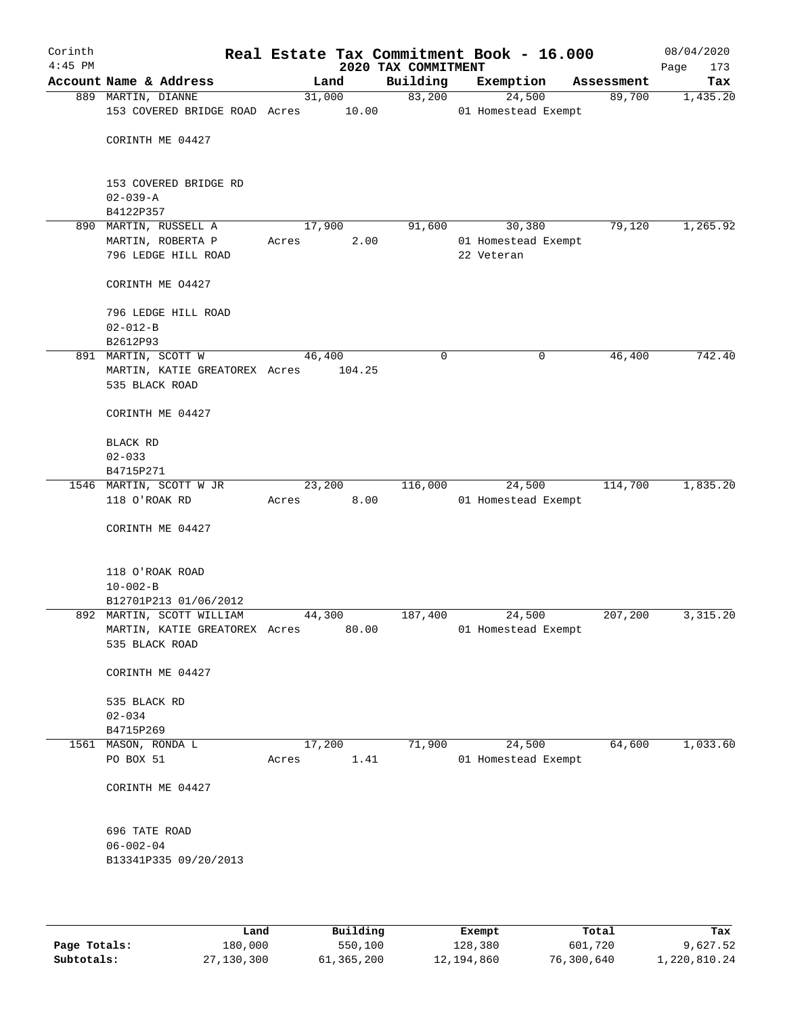| Corinth<br>$4:45$ PM |                               |        |        | Real Estate Tax Commitment Book - 16.000<br>2020 TAX COMMITMENT |                     |             | 08/04/2020<br>Page<br>173 |
|----------------------|-------------------------------|--------|--------|-----------------------------------------------------------------|---------------------|-------------|---------------------------|
|                      | Account Name & Address        |        | Land   | Building                                                        | Exemption           | Assessment  | Tax                       |
|                      | 889 MARTIN, DIANNE            | 31,000 |        | 83,200                                                          | 24,500              | 89,700      | 1,435.20                  |
|                      | 153 COVERED BRIDGE ROAD Acres |        | 10.00  |                                                                 | 01 Homestead Exempt |             |                           |
|                      | CORINTH ME 04427              |        |        |                                                                 |                     |             |                           |
|                      |                               |        |        |                                                                 |                     |             |                           |
|                      | 153 COVERED BRIDGE RD         |        |        |                                                                 |                     |             |                           |
|                      | $02 - 039 - A$                |        |        |                                                                 |                     |             |                           |
|                      | B4122P357                     |        |        |                                                                 |                     |             |                           |
|                      | 890 MARTIN, RUSSELL A         | 17,900 |        | 91,600                                                          | 30,380              | 79,120      | 1,265.92                  |
|                      | MARTIN, ROBERTA P             | Acres  | 2.00   |                                                                 | 01 Homestead Exempt |             |                           |
|                      | 796 LEDGE HILL ROAD           |        |        |                                                                 | 22 Veteran          |             |                           |
|                      | CORINTH ME 04427              |        |        |                                                                 |                     |             |                           |
|                      | 796 LEDGE HILL ROAD           |        |        |                                                                 |                     |             |                           |
|                      | $02 - 012 - B$                |        |        |                                                                 |                     |             |                           |
|                      | B2612P93                      |        |        |                                                                 |                     |             |                           |
|                      | 891 MARTIN, SCOTT W           | 46,400 |        | 0                                                               |                     | 46,400<br>0 | 742.40                    |
|                      | MARTIN, KATIE GREATOREX Acres |        | 104.25 |                                                                 |                     |             |                           |
|                      | 535 BLACK ROAD                |        |        |                                                                 |                     |             |                           |
|                      | CORINTH ME 04427              |        |        |                                                                 |                     |             |                           |
|                      | BLACK RD                      |        |        |                                                                 |                     |             |                           |
|                      | $02 - 033$                    |        |        |                                                                 |                     |             |                           |
|                      | B4715P271                     |        |        |                                                                 |                     |             |                           |
|                      | 1546 MARTIN, SCOTT W JR       | 23,200 |        | 116,000                                                         | 24,500              | 114,700     | 1,835.20                  |
|                      | 118 O'ROAK RD                 | Acres  | 8.00   |                                                                 | 01 Homestead Exempt |             |                           |
|                      | CORINTH ME 04427              |        |        |                                                                 |                     |             |                           |
|                      |                               |        |        |                                                                 |                     |             |                           |
|                      | 118 O'ROAK ROAD               |        |        |                                                                 |                     |             |                           |
|                      | $10 - 002 - B$                |        |        |                                                                 |                     |             |                           |
|                      | B12701P213 01/06/2012         |        |        |                                                                 |                     |             |                           |
|                      | 892 MARTIN, SCOTT WILLIAM     | 44,300 |        | 187,400                                                         | 24,500              | 207,200     | 3, 315.20                 |
|                      | MARTIN, KATIE GREATOREX Acres |        | 80.00  |                                                                 | 01 Homestead Exempt |             |                           |
|                      | 535 BLACK ROAD                |        |        |                                                                 |                     |             |                           |
|                      | CORINTH ME 04427              |        |        |                                                                 |                     |             |                           |
|                      | 535 BLACK RD                  |        |        |                                                                 |                     |             |                           |
|                      | $02 - 034$                    |        |        |                                                                 |                     |             |                           |
|                      | B4715P269                     |        |        |                                                                 |                     |             |                           |
|                      | 1561 MASON, RONDA L           | 17,200 |        | 71,900                                                          | 24,500              | 64,600      | 1,033.60                  |
|                      | PO BOX 51                     | Acres  | 1.41   |                                                                 | 01 Homestead Exempt |             |                           |
|                      |                               |        |        |                                                                 |                     |             |                           |
|                      | CORINTH ME 04427              |        |        |                                                                 |                     |             |                           |
|                      | 696 TATE ROAD                 |        |        |                                                                 |                     |             |                           |
|                      | $06 - 002 - 04$               |        |        |                                                                 |                     |             |                           |
|                      | B13341P335 09/20/2013         |        |        |                                                                 |                     |             |                           |
|                      |                               |        |        |                                                                 |                     |             |                           |
|                      |                               |        |        |                                                                 |                     |             |                           |

|              | Land       | Building   | Exempt     | Total      | Tax          |
|--------------|------------|------------|------------|------------|--------------|
| Page Totals: | 180,000    | 550,100    | 128,380    | 601,720    | 9,627.52     |
| Subtotals:   | 27,130,300 | 61,365,200 | 12,194,860 | 76,300,640 | 1,220,810.24 |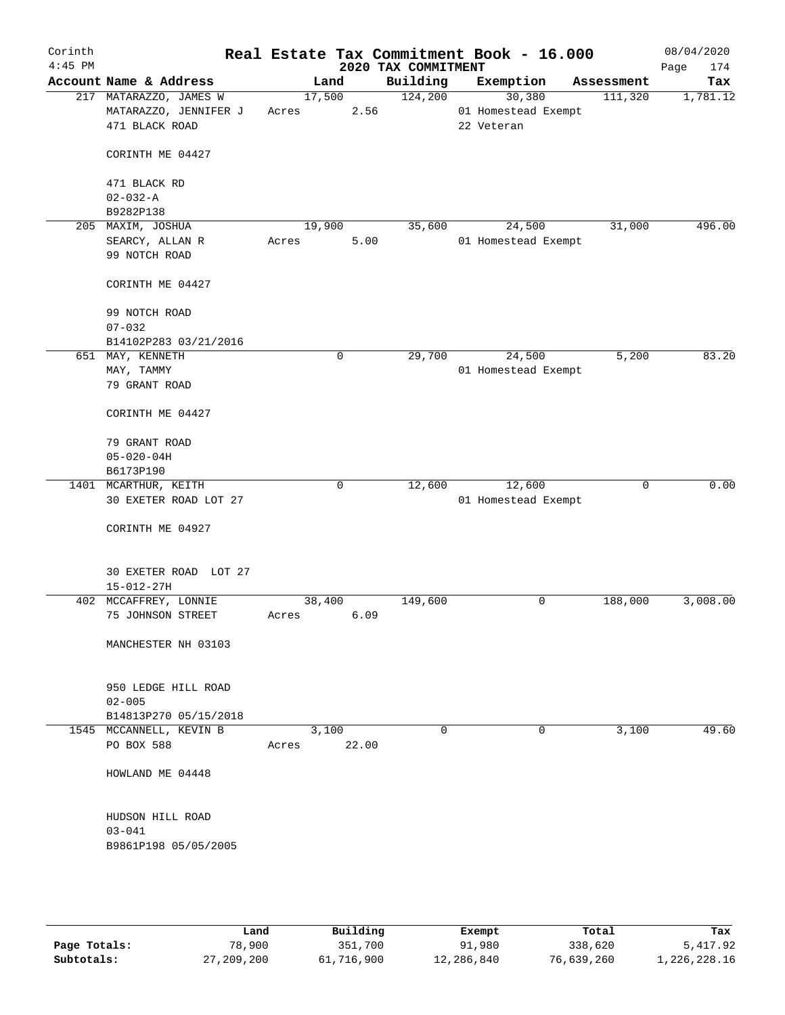| Corinth<br>$4:45$ PM |                                                                   |                 |             | 2020 TAX COMMITMENT | Real Estate Tax Commitment Book - 16.000    |   |             | 08/04/2020<br>174<br>Page |
|----------------------|-------------------------------------------------------------------|-----------------|-------------|---------------------|---------------------------------------------|---|-------------|---------------------------|
|                      | Account Name & Address                                            | Land            |             | Building            | Exemption                                   |   | Assessment  | Tax                       |
|                      | 217 MATARAZZO, JAMES W<br>MATARAZZO, JENNIFER J<br>471 BLACK ROAD | 17,500<br>Acres | 2.56        | 124,200             | 30,380<br>01 Homestead Exempt<br>22 Veteran |   | 111,320     | 1,781.12                  |
|                      | CORINTH ME 04427                                                  |                 |             |                     |                                             |   |             |                           |
|                      | 471 BLACK RD<br>$02 - 032 - A$                                    |                 |             |                     |                                             |   |             |                           |
|                      | B9282P138                                                         |                 |             |                     |                                             |   |             |                           |
|                      | 205 MAXIM, JOSHUA                                                 | 19,900          |             | 35,600              | 24,500                                      |   | 31,000      | 496.00                    |
|                      | SEARCY, ALLAN R<br>99 NOTCH ROAD                                  | Acres           | 5.00        |                     | 01 Homestead Exempt                         |   |             |                           |
|                      | CORINTH ME 04427                                                  |                 |             |                     |                                             |   |             |                           |
|                      | 99 NOTCH ROAD<br>$07 - 032$                                       |                 |             |                     |                                             |   |             |                           |
|                      | B14102P283 03/21/2016                                             |                 |             |                     |                                             |   |             |                           |
|                      | 651 MAY, KENNETH                                                  |                 | $\mathbf 0$ | 29,700              | 24,500                                      |   | 5,200       | 83.20                     |
|                      | MAY, TAMMY<br>79 GRANT ROAD                                       |                 |             |                     | 01 Homestead Exempt                         |   |             |                           |
|                      | CORINTH ME 04427                                                  |                 |             |                     |                                             |   |             |                           |
|                      | 79 GRANT ROAD                                                     |                 |             |                     |                                             |   |             |                           |
|                      | $05 - 020 - 04H$                                                  |                 |             |                     |                                             |   |             |                           |
|                      | B6173P190                                                         |                 |             |                     |                                             |   |             |                           |
|                      | 1401 MCARTHUR, KEITH<br>30 EXETER ROAD LOT 27                     |                 | 0           | 12,600              | 12,600<br>01 Homestead Exempt               |   | $\mathbf 0$ | 0.00                      |
|                      | CORINTH ME 04927                                                  |                 |             |                     |                                             |   |             |                           |
|                      | 30 EXETER ROAD LOT 27<br>$15 - 012 - 27H$                         |                 |             |                     |                                             |   |             |                           |
|                      | 402 MCCAFFREY, LONNIE                                             | 38,400          |             | 149,600             |                                             | 0 | 188,000     | 3,008.00                  |
|                      | 75 JOHNSON STREET                                                 | Acres           | 6.09        |                     |                                             |   |             |                           |
|                      | MANCHESTER NH 03103                                               |                 |             |                     |                                             |   |             |                           |
|                      | 950 LEDGE HILL ROAD<br>$02 - 005$                                 |                 |             |                     |                                             |   |             |                           |
|                      | B14813P270 05/15/2018                                             |                 |             |                     |                                             |   |             |                           |
|                      | 1545 MCCANNELL, KEVIN B<br>PO BOX 588                             | 3,100<br>Acres  | 22.00       | 0                   |                                             | 0 | 3,100       | 49.60                     |
|                      | HOWLAND ME 04448                                                  |                 |             |                     |                                             |   |             |                           |
|                      | HUDSON HILL ROAD<br>$03 - 041$                                    |                 |             |                     |                                             |   |             |                           |
|                      | B9861P198 05/05/2005                                              |                 |             |                     |                                             |   |             |                           |

|              | Land       | Building   | Exempt     | Total      | Tax          |
|--------------|------------|------------|------------|------------|--------------|
| Page Totals: | 78,900     | 351,700    | 91,980     | 338,620    | 5,417.92     |
| Subtotals:   | 27,209,200 | 61,716,900 | 12,286,840 | 76,639,260 | 1,226,228.16 |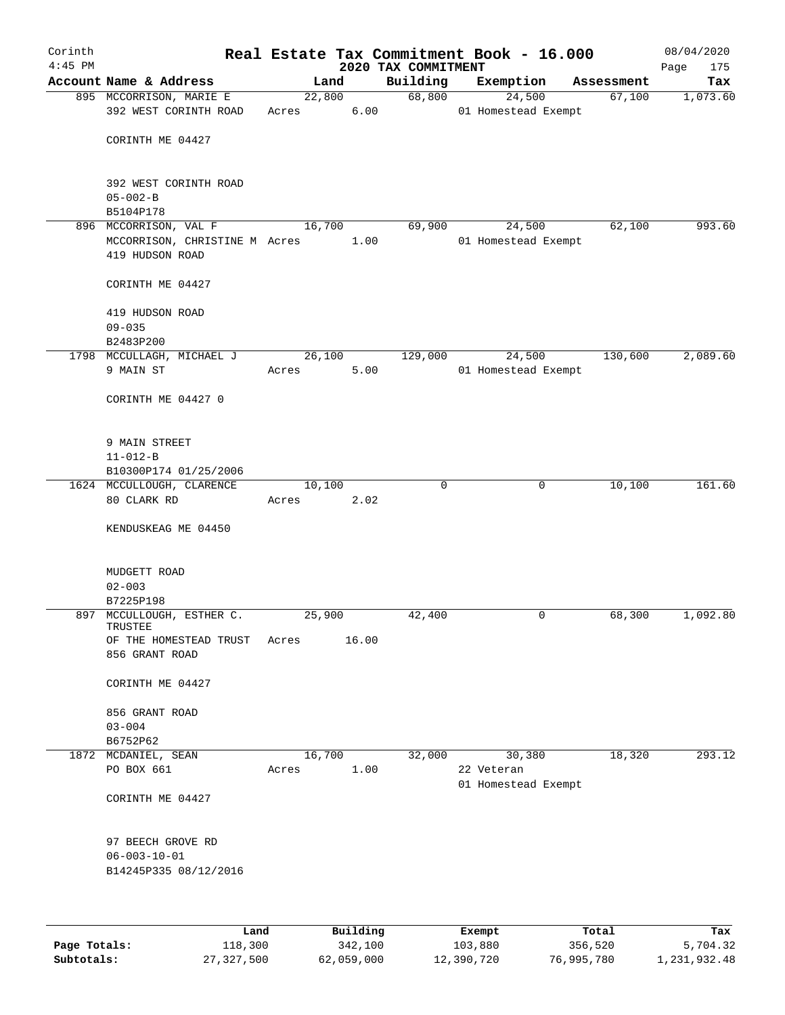| Corinth      |                                        |       |        |                     |                                 | Real Estate Tax Commitment Book - 16.000 |                       | 08/04/2020         |
|--------------|----------------------------------------|-------|--------|---------------------|---------------------------------|------------------------------------------|-----------------------|--------------------|
| $4:45$ PM    | Account Name & Address                 |       | Land   |                     | 2020 TAX COMMITMENT<br>Building | Exemption                                | Assessment            | 175<br>Page<br>Tax |
|              | 895 MCCORRISON, MARIE E                |       | 22,800 |                     |                                 | 68,800<br>24,500                         | 67,100                | 1,073.60           |
|              | 392 WEST CORINTH ROAD                  | Acres |        | 6.00                |                                 | 01 Homestead Exempt                      |                       |                    |
|              | CORINTH ME 04427                       |       |        |                     |                                 |                                          |                       |                    |
|              |                                        |       |        |                     |                                 |                                          |                       |                    |
|              | 392 WEST CORINTH ROAD                  |       |        |                     |                                 |                                          |                       |                    |
|              | $05 - 002 - B$                         |       |        |                     |                                 |                                          |                       |                    |
|              | B5104P178                              |       |        |                     |                                 |                                          |                       |                    |
|              | 896 MCCORRISON, VAL F                  |       | 16,700 |                     | 69,900                          | 24,500                                   | 62,100                | 993.60             |
|              | MCCORRISON, CHRISTINE M Acres          |       |        | 1.00                |                                 | 01 Homestead Exempt                      |                       |                    |
|              | 419 HUDSON ROAD                        |       |        |                     |                                 |                                          |                       |                    |
|              | CORINTH ME 04427                       |       |        |                     |                                 |                                          |                       |                    |
|              | 419 HUDSON ROAD                        |       |        |                     |                                 |                                          |                       |                    |
|              | $09 - 035$                             |       |        |                     |                                 |                                          |                       |                    |
|              | B2483P200                              |       |        |                     |                                 |                                          |                       |                    |
|              | 1798 MCCULLAGH, MICHAEL J              |       | 26,100 |                     | 129,000                         | 24,500                                   | 130,600               | 2,089.60           |
|              | 9 MAIN ST                              | Acres |        | 5.00                |                                 | 01 Homestead Exempt                      |                       |                    |
|              | CORINTH ME 04427 0                     |       |        |                     |                                 |                                          |                       |                    |
|              |                                        |       |        |                     |                                 |                                          |                       |                    |
|              | 9 MAIN STREET                          |       |        |                     |                                 |                                          |                       |                    |
|              | $11 - 012 - B$                         |       |        |                     |                                 |                                          |                       |                    |
|              | B10300P174 01/25/2006                  |       |        |                     |                                 |                                          |                       |                    |
|              | 1624 MCCULLOUGH, CLARENCE              |       | 10,100 |                     | $\Omega$                        |                                          | 10,100<br>$\mathbf 0$ | 161.60             |
|              | 80 CLARK RD                            | Acres |        | 2.02                |                                 |                                          |                       |                    |
|              | KENDUSKEAG ME 04450                    |       |        |                     |                                 |                                          |                       |                    |
|              |                                        |       |        |                     |                                 |                                          |                       |                    |
|              | MUDGETT ROAD                           |       |        |                     |                                 |                                          |                       |                    |
|              | $02 - 003$                             |       |        |                     |                                 |                                          |                       |                    |
|              | B7225P198<br>897 MCCULLOUGH, ESTHER C. |       | 25,900 |                     | 42,400                          |                                          | 68,300<br>0           | 1,092.80           |
|              | TRUSTEE                                |       |        |                     |                                 |                                          |                       |                    |
|              | OF THE HOMESTEAD TRUST                 | Acres |        | 16.00               |                                 |                                          |                       |                    |
|              | 856 GRANT ROAD                         |       |        |                     |                                 |                                          |                       |                    |
|              | CORINTH ME 04427                       |       |        |                     |                                 |                                          |                       |                    |
|              | 856 GRANT ROAD                         |       |        |                     |                                 |                                          |                       |                    |
|              | $03 - 004$                             |       |        |                     |                                 |                                          |                       |                    |
|              | B6752P62                               |       |        |                     |                                 |                                          |                       |                    |
|              | 1872 MCDANIEL, SEAN                    |       | 16,700 |                     | 32,000                          | 30,380                                   | 18,320                | 293.12             |
|              | PO BOX 661                             | Acres |        | 1.00                |                                 | 22 Veteran                               |                       |                    |
|              | CORINTH ME 04427                       |       |        |                     |                                 | 01 Homestead Exempt                      |                       |                    |
|              |                                        |       |        |                     |                                 |                                          |                       |                    |
|              | 97 BEECH GROVE RD                      |       |        |                     |                                 |                                          |                       |                    |
|              | $06 - 003 - 10 - 01$                   |       |        |                     |                                 |                                          |                       |                    |
|              | B14245P335 08/12/2016                  |       |        |                     |                                 |                                          |                       |                    |
|              |                                        |       |        |                     |                                 |                                          |                       |                    |
|              |                                        |       |        |                     |                                 |                                          |                       |                    |
| Page Totals: | Land<br>118,300                        |       |        | Building<br>342,100 |                                 | Exempt<br>103,880                        | Total<br>356,520      | Tax<br>5,704.32    |

**Subtotals:** 27,327,500 62,059,000 12,390,720 76,995,780 1,231,932.48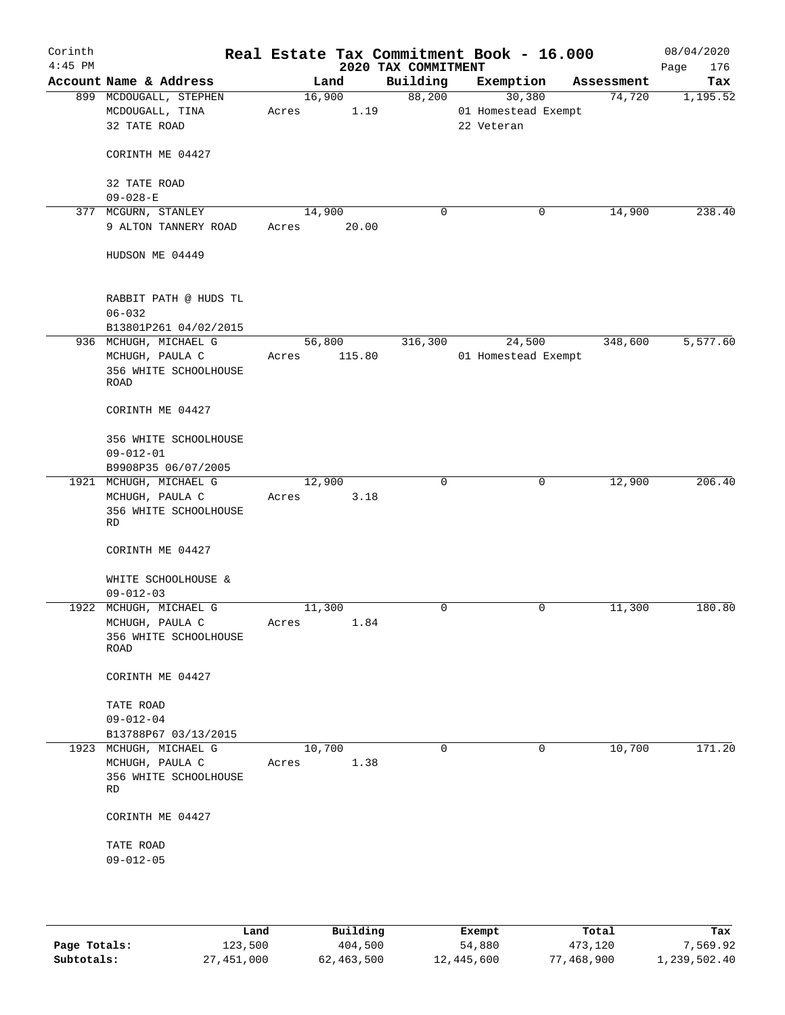| Corinth<br>$4:45$ PM |                                                      |             |        | 2020 TAX COMMITMENT | Real Estate Tax Commitment Book - 16.000 |             | 08/04/2020<br>176<br>Page |
|----------------------|------------------------------------------------------|-------------|--------|---------------------|------------------------------------------|-------------|---------------------------|
|                      | Account Name & Address                               |             | Land   | Building            | Exemption                                | Assessment  | Tax                       |
|                      | 899 MCDOUGALL, STEPHEN                               |             | 16,900 | 88,200              | 30,380                                   | 74,720      | 1,195.52                  |
|                      | MCDOUGALL, TINA                                      | Acres       | 1.19   |                     | 01 Homestead Exempt                      |             |                           |
|                      | 32 TATE ROAD                                         |             |        |                     | 22 Veteran                               |             |                           |
|                      | CORINTH ME 04427                                     |             |        |                     |                                          |             |                           |
|                      | 32 TATE ROAD<br>$09 - 028 - E$                       |             |        |                     |                                          |             |                           |
|                      | 377 MCGURN, STANLEY                                  | 14,900      |        | 0                   |                                          | 14,900<br>0 | 238.40                    |
|                      | 9 ALTON TANNERY ROAD                                 | Acres 20.00 |        |                     |                                          |             |                           |
|                      | HUDSON ME 04449                                      |             |        |                     |                                          |             |                           |
|                      | RABBIT PATH @ HUDS TL<br>$06 - 032$                  |             |        |                     |                                          |             |                           |
|                      | B13801P261 04/02/2015                                |             |        |                     |                                          |             |                           |
|                      | 936 MCHUGH, MICHAEL G                                | 56,800      |        | 316,300             | 24,500                                   | 348,600     | 5,577.60                  |
|                      | MCHUGH, PAULA C<br>356 WHITE SCHOOLHOUSE<br>ROAD     | Acres       | 115.80 |                     | 01 Homestead Exempt                      |             |                           |
|                      | CORINTH ME 04427                                     |             |        |                     |                                          |             |                           |
|                      | 356 WHITE SCHOOLHOUSE<br>$09 - 012 - 01$             |             |        |                     |                                          |             |                           |
|                      | B9908P35 06/07/2005                                  |             |        |                     |                                          |             |                           |
|                      | 1921 MCHUGH, MICHAEL G                               | 12,900      |        | $\Omega$            |                                          | 12,900<br>0 | 206.40                    |
|                      | MCHUGH, PAULA C<br>356 WHITE SCHOOLHOUSE<br>RD       | Acres       | 3.18   |                     |                                          |             |                           |
|                      | CORINTH ME 04427                                     |             |        |                     |                                          |             |                           |
|                      | WHITE SCHOOLHOUSE &<br>$09 - 012 - 03$               |             |        |                     |                                          |             |                           |
|                      | 1922 MCHUGH, MICHAEL G                               | 11,300      |        | 0                   |                                          | 11,300<br>0 | 180.80                    |
|                      | MCHUGH, PAULA C<br>356 WHITE SCHOOLHOUSE<br>ROAD     | Acres       | 1.84   |                     |                                          |             |                           |
|                      | CORINTH ME 04427                                     |             |        |                     |                                          |             |                           |
|                      | TATE ROAD<br>$09 - 012 - 04$<br>B13788P67 03/13/2015 |             |        |                     |                                          |             |                           |
|                      | 1923 MCHUGH, MICHAEL G                               | 10,700      |        | 0                   |                                          | 10,700<br>0 | 171.20                    |
|                      | MCHUGH, PAULA C<br>356 WHITE SCHOOLHOUSE<br>RD       | Acres       | 1.38   |                     |                                          |             |                           |
|                      | CORINTH ME 04427                                     |             |        |                     |                                          |             |                           |
|                      | TATE ROAD<br>$09 - 012 - 05$                         |             |        |                     |                                          |             |                           |
|                      |                                                      |             |        |                     |                                          |             |                           |

|              | Land       | Building   | Exempt     | Total      | Tax          |
|--------------|------------|------------|------------|------------|--------------|
| Page Totals: | 123,500    | 404,500    | 54,880     | 473,120    | 7,569.92     |
| Subtotals:   | 27,451,000 | 62,463,500 | 12,445,600 | 77,468,900 | 1,239,502.40 |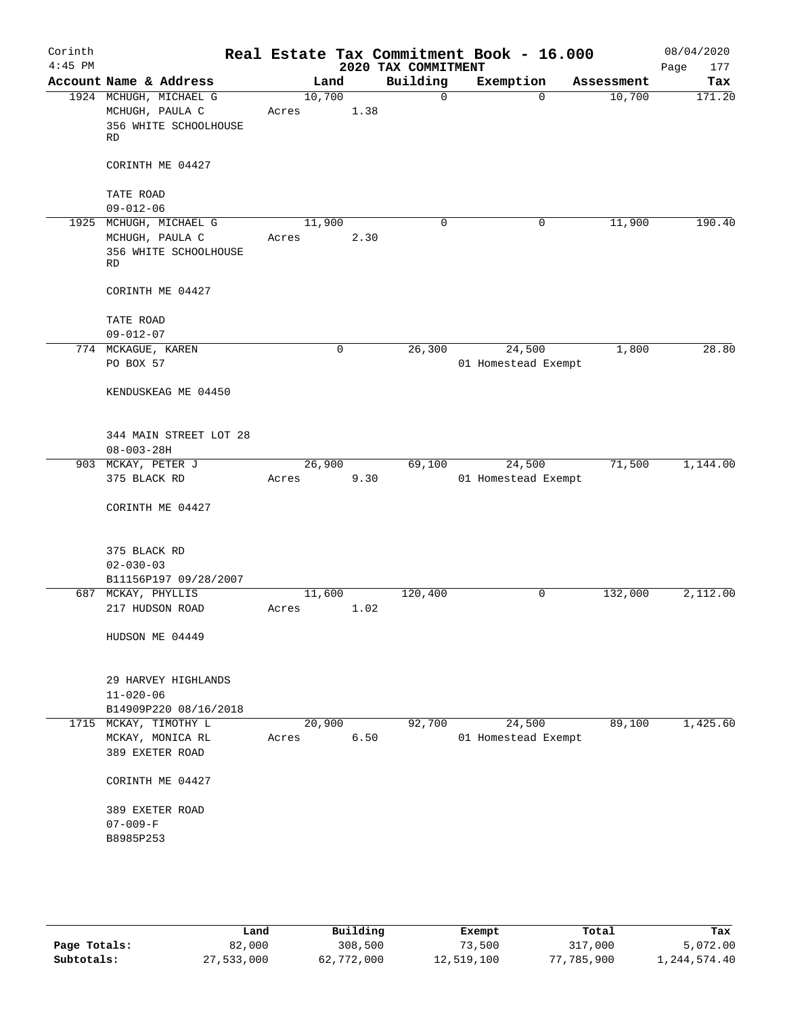| Account Name & Address<br>1924 MCHUGH, MICHAEL G | Land<br>10,700                                                                                                                                                                   |      | 2020 TAX COMMITMENT<br>Building      | Exemption                                                     | Assessment            | Page                                                                                             |
|--------------------------------------------------|----------------------------------------------------------------------------------------------------------------------------------------------------------------------------------|------|--------------------------------------|---------------------------------------------------------------|-----------------------|--------------------------------------------------------------------------------------------------|
|                                                  |                                                                                                                                                                                  |      |                                      |                                                               |                       | Tax                                                                                              |
| MCHUGH, PAULA C<br>356 WHITE SCHOOLHOUSE<br>RD   | Acres                                                                                                                                                                            | 1.38 | $\mathbf 0$                          | $\Omega$                                                      | 10,700                | 171.20                                                                                           |
| CORINTH ME 04427                                 |                                                                                                                                                                                  |      |                                      |                                                               |                       |                                                                                                  |
| TATE ROAD                                        |                                                                                                                                                                                  |      |                                      |                                                               |                       |                                                                                                  |
|                                                  |                                                                                                                                                                                  |      |                                      |                                                               |                       | 190.40                                                                                           |
| MCHUGH, PAULA C<br>356 WHITE SCHOOLHOUSE<br>RD   | Acres                                                                                                                                                                            |      |                                      |                                                               |                       |                                                                                                  |
| CORINTH ME 04427                                 |                                                                                                                                                                                  |      |                                      |                                                               |                       |                                                                                                  |
| TATE ROAD                                        |                                                                                                                                                                                  |      |                                      |                                                               |                       |                                                                                                  |
|                                                  |                                                                                                                                                                                  | 0    | 26,300                               | 24,500                                                        | 1,800                 | 28.80                                                                                            |
| PO BOX 57<br>KENDUSKEAG ME 04450                 |                                                                                                                                                                                  |      |                                      |                                                               |                       |                                                                                                  |
| 344 MAIN STREET LOT 28<br>$08 - 003 - 28H$       |                                                                                                                                                                                  |      |                                      |                                                               |                       |                                                                                                  |
| 375 BLACK RD                                     | Acres                                                                                                                                                                            |      |                                      |                                                               |                       | 1,144.00                                                                                         |
| CORINTH ME 04427                                 |                                                                                                                                                                                  |      |                                      |                                                               |                       |                                                                                                  |
| 375 BLACK RD<br>$02 - 030 - 03$                  |                                                                                                                                                                                  |      |                                      |                                                               |                       |                                                                                                  |
| B11156P197 09/28/2007                            |                                                                                                                                                                                  |      |                                      |                                                               |                       |                                                                                                  |
| 217 HUDSON ROAD                                  | Acres                                                                                                                                                                            |      |                                      | 0                                                             |                       | 2,112.00                                                                                         |
| HUDSON ME 04449                                  |                                                                                                                                                                                  |      |                                      |                                                               |                       |                                                                                                  |
| 29 HARVEY HIGHLANDS<br>$11 - 020 - 06$           |                                                                                                                                                                                  |      |                                      |                                                               |                       |                                                                                                  |
| MCKAY, MONICA RL<br>389 EXETER ROAD              | Acres                                                                                                                                                                            |      |                                      | 24,500                                                        | 89,100                | 1,425.60                                                                                         |
| CORINTH ME 04427                                 |                                                                                                                                                                                  |      |                                      |                                                               |                       |                                                                                                  |
| 389 EXETER ROAD<br>$07 - 009 - F$<br>B8985P253   |                                                                                                                                                                                  |      |                                      |                                                               |                       |                                                                                                  |
|                                                  |                                                                                                                                                                                  |      |                                      |                                                               |                       |                                                                                                  |
|                                                  | $09 - 012 - 06$<br>1925 MCHUGH, MICHAEL G<br>$09 - 012 - 07$<br>774 MCKAGUE, KAREN<br>903 MCKAY, PETER J<br>687 MCKAY, PHYLLIS<br>B14909P220 08/16/2018<br>1715 MCKAY, TIMOTHY L |      | 11,900<br>26,900<br>11,600<br>20,900 | $\Omega$<br>2.30<br>69,100<br>9.30<br>120,400<br>1.02<br>6.50 | 0<br>24,500<br>92,700 | 11,900<br>01 Homestead Exempt<br>71,500<br>01 Homestead Exempt<br>132,000<br>01 Homestead Exempt |

|              | Land       | Building   | Exempt     | Total      | Tax          |
|--------------|------------|------------|------------|------------|--------------|
| Page Totals: | 82,000     | 308,500    | 73,500     | 317,000    | 5,072.00     |
| Subtotals:   | 27,533,000 | 62,772,000 | 12,519,100 | 77,785,900 | 1,244,574.40 |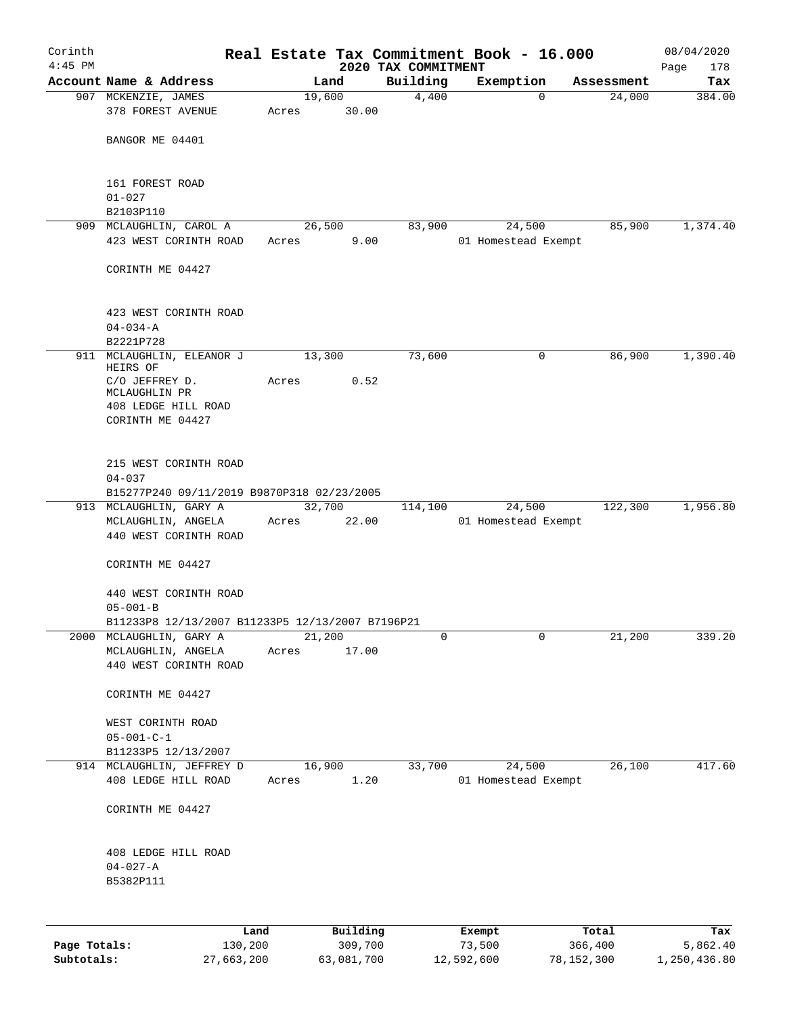| Corinth<br>$4:45$ PM |                                                                                        |             |                 | 2020 TAX COMMITMENT | Real Estate Tax Commitment Book - 16.000 |                       | 08/04/2020<br>178<br>Page |
|----------------------|----------------------------------------------------------------------------------------|-------------|-----------------|---------------------|------------------------------------------|-----------------------|---------------------------|
|                      | Account Name & Address                                                                 |             | Land            | Building            | Exemption                                | Assessment            | Tax                       |
|                      | 907 MCKENZIE, JAMES                                                                    |             | 19,600          | 4,400               |                                          | 24,000<br>$\Omega$    | 384.00                    |
|                      | 378 FOREST AVENUE                                                                      | Acres       | 30.00           |                     |                                          |                       |                           |
|                      | BANGOR ME 04401                                                                        |             |                 |                     |                                          |                       |                           |
|                      | 161 FOREST ROAD                                                                        |             |                 |                     |                                          |                       |                           |
|                      | $01 - 027$                                                                             |             |                 |                     |                                          |                       |                           |
|                      | B2103P110                                                                              |             |                 |                     |                                          |                       |                           |
|                      | 909 MCLAUGHLIN, CAROL A                                                                |             | 26,500          | 83,900              | 24,500                                   | 85,900                | 1,374.40                  |
|                      | 423 WEST CORINTH ROAD                                                                  | Acres       | 9.00            |                     | 01 Homestead Exempt                      |                       |                           |
|                      | CORINTH ME 04427                                                                       |             |                 |                     |                                          |                       |                           |
|                      | 423 WEST CORINTH ROAD<br>$04 - 034 - A$                                                |             |                 |                     |                                          |                       |                           |
|                      | B2221P728                                                                              |             |                 |                     |                                          |                       |                           |
|                      | 911 MCLAUGHLIN, ELEANOR J                                                              |             | 13,300          | 73,600              |                                          | $\mathbf 0$<br>86,900 | 1,390.40                  |
|                      | HEIRS OF<br>C/O JEFFREY D.<br>MCLAUGHLIN PR<br>408 LEDGE HILL ROAD<br>CORINTH ME 04427 | Acres       | 0.52            |                     |                                          |                       |                           |
|                      | 215 WEST CORINTH ROAD<br>$04 - 037$<br>B15277P240 09/11/2019 B9870P318 02/23/2005      |             |                 |                     |                                          |                       |                           |
|                      | 913 MCLAUGHLIN, GARY A                                                                 |             | 32,700          | 114,100             | 24,500                                   | 122,300               | 1,956.80                  |
|                      | MCLAUGHLIN, ANGELA<br>440 WEST CORINTH ROAD                                            | Acres 22.00 |                 |                     | 01 Homestead Exempt                      |                       |                           |
|                      | CORINTH ME 04427                                                                       |             |                 |                     |                                          |                       |                           |
|                      | 440 WEST CORINTH ROAD                                                                  |             |                 |                     |                                          |                       |                           |
|                      | $05 - 001 - B$                                                                         |             |                 |                     |                                          |                       |                           |
|                      | B11233P8 12/13/2007 B11233P5 12/13/2007 B7196P21                                       |             |                 |                     |                                          |                       |                           |
| 2000                 | MCLAUGHLIN, GARY A                                                                     |             | 21,200<br>17.00 | 0                   |                                          | $\mathbf 0$<br>21,200 | 339.20                    |
|                      | MCLAUGHLIN, ANGELA<br>440 WEST CORINTH ROAD                                            | Acres       |                 |                     |                                          |                       |                           |
|                      | CORINTH ME 04427                                                                       |             |                 |                     |                                          |                       |                           |
|                      | WEST CORINTH ROAD                                                                      |             |                 |                     |                                          |                       |                           |
|                      | $05 - 001 - C - 1$<br>B11233P5 12/13/2007                                              |             |                 |                     |                                          |                       |                           |
|                      | 914 MCLAUGHLIN, JEFFREY D                                                              |             | 16,900          | 33,700              | 24,500                                   | 26,100                | 417.60                    |
|                      | 408 LEDGE HILL ROAD                                                                    | Acres       | 1.20            |                     | 01 Homestead Exempt                      |                       |                           |
|                      | CORINTH ME 04427                                                                       |             |                 |                     |                                          |                       |                           |
|                      | 408 LEDGE HILL ROAD                                                                    |             |                 |                     |                                          |                       |                           |
|                      | $04 - 027 - A$<br>B5382P111                                                            |             |                 |                     |                                          |                       |                           |
|                      |                                                                                        |             |                 |                     |                                          |                       |                           |
|                      | Land                                                                                   |             | Building        |                     | Exempt                                   | Total                 | Tax                       |
| Page Totals:         | 130,200                                                                                |             | 309,700         |                     | 73,500                                   | 366,400               | 5,862.40                  |

**Subtotals:** 27,663,200 63,081,700 12,592,600 78,152,300 1,250,436.80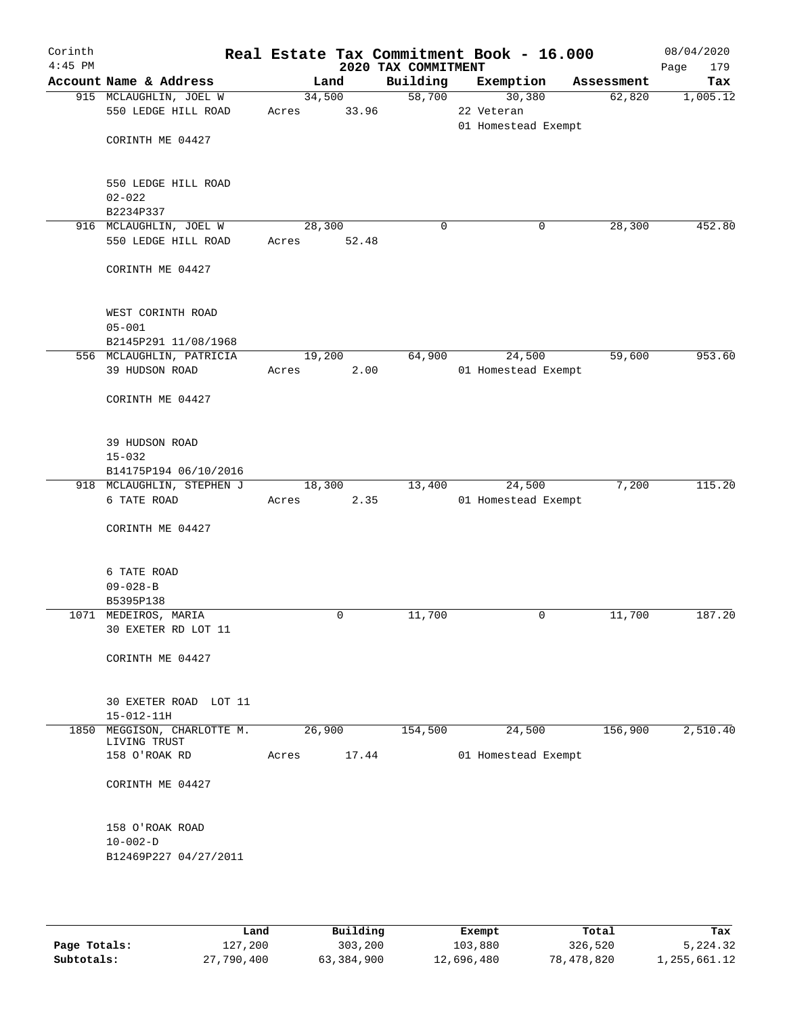| Corinth<br>$4:45$ PM |                                                    |        |                 | 2020 TAX COMMITMENT | Real Estate Tax Commitment Book - 16.000    |            | 08/04/2020<br>Page<br>179 |
|----------------------|----------------------------------------------------|--------|-----------------|---------------------|---------------------------------------------|------------|---------------------------|
|                      | Account Name & Address                             |        | Land            | Building            | Exemption                                   | Assessment | Tax                       |
|                      | 915 MCLAUGHLIN, JOEL W<br>550 LEDGE HILL ROAD      | Acres  | 34,500<br>33.96 | 58,700              | 30,380<br>22 Veteran<br>01 Homestead Exempt | 62,820     | 1,005.12                  |
|                      | CORINTH ME 04427                                   |        |                 |                     |                                             |            |                           |
|                      | 550 LEDGE HILL ROAD<br>$02 - 022$                  |        |                 |                     |                                             |            |                           |
|                      | B2234P337                                          |        |                 |                     |                                             |            |                           |
|                      | 916 MCLAUGHLIN, JOEL W                             | 28,300 |                 | 0                   | 0                                           | 28,300     | 452.80                    |
|                      | 550 LEDGE HILL ROAD                                | Acres  | 52.48           |                     |                                             |            |                           |
|                      | CORINTH ME 04427                                   |        |                 |                     |                                             |            |                           |
|                      | WEST CORINTH ROAD<br>$05 - 001$                    |        |                 |                     |                                             |            |                           |
|                      | B2145P291 11/08/1968                               |        |                 |                     |                                             |            |                           |
|                      | 556 MCLAUGHLIN, PATRICIA                           |        | 19,200          | 64,900              | 24,500                                      | 59,600     | 953.60                    |
|                      | 39 HUDSON ROAD                                     | Acres  | 2.00            |                     | 01 Homestead Exempt                         |            |                           |
|                      | CORINTH ME 04427                                   |        |                 |                     |                                             |            |                           |
|                      | 39 HUDSON ROAD                                     |        |                 |                     |                                             |            |                           |
|                      | $15 - 032$                                         |        |                 |                     |                                             |            |                           |
|                      | B14175P194 06/10/2016<br>918 MCLAUGHLIN, STEPHEN J |        |                 | 13,400              | 24,500                                      | 7,200      | 115.20                    |
|                      | 6 TATE ROAD                                        | Acres  | 18,300<br>2.35  |                     | 01 Homestead Exempt                         |            |                           |
|                      | CORINTH ME 04427                                   |        |                 |                     |                                             |            |                           |
|                      | 6 TATE ROAD                                        |        |                 |                     |                                             |            |                           |
|                      | $09 - 028 - B$                                     |        |                 |                     |                                             |            |                           |
|                      | B5395P138<br>1071 MEDEIROS, MARIA                  |        | 0               | 11,700              | 0                                           | 11,700     | 187.20                    |
|                      | 30 EXETER RD LOT 11                                |        |                 |                     |                                             |            |                           |
|                      | CORINTH ME 04427                                   |        |                 |                     |                                             |            |                           |
|                      | 30 EXETER ROAD LOT 11                              |        |                 |                     |                                             |            |                           |
|                      | $15 - 012 - 11H$                                   |        |                 |                     |                                             |            |                           |
|                      | 1850 MEGGISON, CHARLOTTE M.<br>LIVING TRUST        | 26,900 |                 | 154,500             | 24,500                                      | 156,900    | 2,510.40                  |
|                      | 158 O'ROAK RD                                      | Acres  | 17.44           |                     | 01 Homestead Exempt                         |            |                           |
|                      | CORINTH ME 04427                                   |        |                 |                     |                                             |            |                           |
|                      | 158 O'ROAK ROAD                                    |        |                 |                     |                                             |            |                           |
|                      | $10 - 002 - D$                                     |        |                 |                     |                                             |            |                           |
|                      | B12469P227 04/27/2011                              |        |                 |                     |                                             |            |                           |
|                      |                                                    |        |                 |                     |                                             |            |                           |
|                      |                                                    |        |                 |                     |                                             |            |                           |

|              | Land       | Building   | Exempt     | Total      | Tax          |
|--------------|------------|------------|------------|------------|--------------|
| Page Totals: | 127,200    | 303,200    | 103,880    | 326,520    | 5,224.32     |
| Subtotals:   | 27,790,400 | 63,384,900 | 12,696,480 | 78,478,820 | 1,255,661.12 |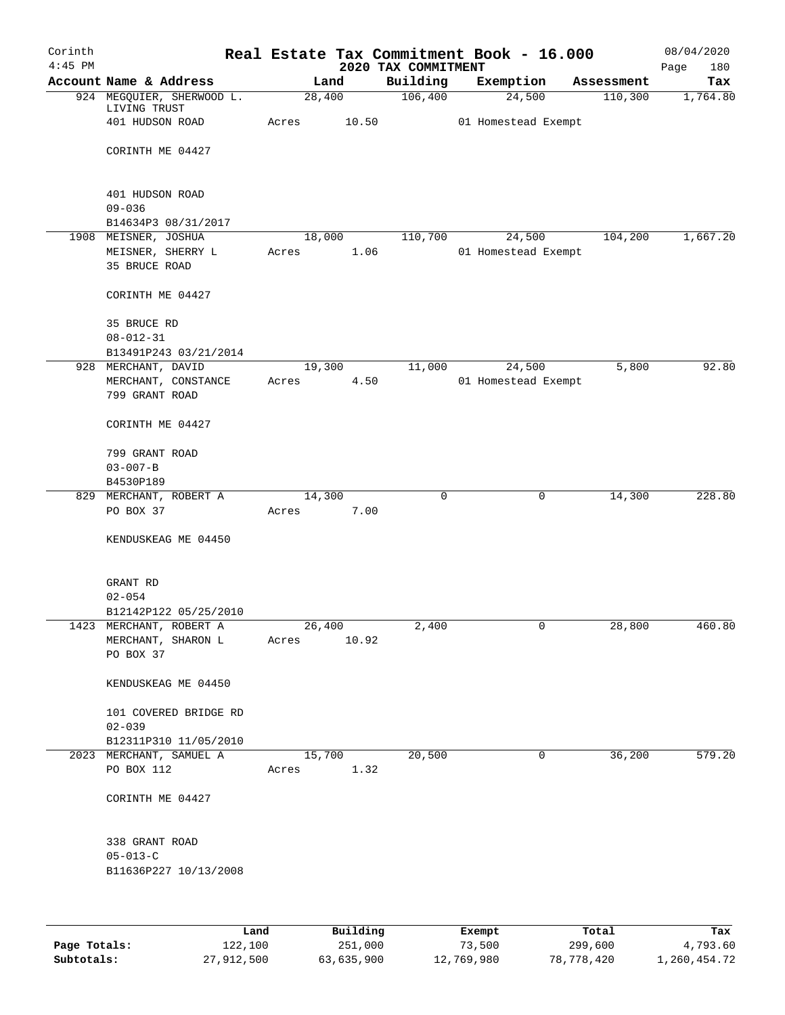| Corinth   |                                                  |       |                | Real Estate Tax Commitment Book - 16.000 |                               |   |            | 08/04/2020         |
|-----------|--------------------------------------------------|-------|----------------|------------------------------------------|-------------------------------|---|------------|--------------------|
| $4:45$ PM | Account Name & Address                           |       | Land           | 2020 TAX COMMITMENT<br>Building          | Exemption                     |   | Assessment | 180<br>Page<br>Tax |
|           | 924 MEGQUIER, SHERWOOD L.                        |       | 28,400         | 106,400                                  | 24,500                        |   | 110,300    | 1,764.80           |
|           | LIVING TRUST                                     |       |                |                                          |                               |   |            |                    |
|           | 401 HUDSON ROAD                                  | Acres | 10.50          |                                          | 01 Homestead Exempt           |   |            |                    |
|           |                                                  |       |                |                                          |                               |   |            |                    |
|           | CORINTH ME 04427                                 |       |                |                                          |                               |   |            |                    |
|           |                                                  |       |                |                                          |                               |   |            |                    |
|           | 401 HUDSON ROAD                                  |       |                |                                          |                               |   |            |                    |
|           | $09 - 036$                                       |       |                |                                          |                               |   |            |                    |
|           | B14634P3 08/31/2017                              |       |                |                                          |                               |   |            |                    |
|           | 1908 MEISNER, JOSHUA<br>MEISNER, SHERRY L        | Acres | 18,000<br>1.06 | 110,700                                  | 24,500<br>01 Homestead Exempt |   | 104,200    | 1,667.20           |
|           | 35 BRUCE ROAD                                    |       |                |                                          |                               |   |            |                    |
|           |                                                  |       |                |                                          |                               |   |            |                    |
|           | CORINTH ME 04427                                 |       |                |                                          |                               |   |            |                    |
|           | 35 BRUCE RD                                      |       |                |                                          |                               |   |            |                    |
|           | $08 - 012 - 31$                                  |       |                |                                          |                               |   |            |                    |
|           | B13491P243 03/21/2014                            |       |                |                                          |                               |   |            |                    |
| 928       | MERCHANT, DAVID                                  |       | 19,300         | 11,000                                   | 24,500                        |   | 5,800      | 92.80              |
|           | MERCHANT, CONSTANCE                              | Acres | 4.50           |                                          | 01 Homestead Exempt           |   |            |                    |
|           | 799 GRANT ROAD                                   |       |                |                                          |                               |   |            |                    |
|           | CORINTH ME 04427                                 |       |                |                                          |                               |   |            |                    |
|           | 799 GRANT ROAD                                   |       |                |                                          |                               |   |            |                    |
|           | $03 - 007 - B$                                   |       |                |                                          |                               |   |            |                    |
|           | B4530P189                                        |       |                |                                          |                               |   |            |                    |
|           | 829 MERCHANT, ROBERT A                           |       | 14,300         | $\mathbf 0$                              |                               | 0 | 14,300     | 228.80             |
|           | PO BOX 37                                        | Acres | 7.00           |                                          |                               |   |            |                    |
|           | KENDUSKEAG ME 04450                              |       |                |                                          |                               |   |            |                    |
|           |                                                  |       |                |                                          |                               |   |            |                    |
|           | GRANT RD                                         |       |                |                                          |                               |   |            |                    |
|           | $02 - 054$                                       |       |                |                                          |                               |   |            |                    |
|           | B12142P122 05/25/2010                            |       |                |                                          |                               |   |            |                    |
|           | 1423 MERCHANT, ROBERT A                          |       | 26,400         | 2,400                                    |                               | 0 | 28,800     | 460.80             |
|           | MERCHANT, SHARON L                               | Acres | 10.92          |                                          |                               |   |            |                    |
|           | PO BOX 37                                        |       |                |                                          |                               |   |            |                    |
|           | KENDUSKEAG ME 04450                              |       |                |                                          |                               |   |            |                    |
|           |                                                  |       |                |                                          |                               |   |            |                    |
|           | 101 COVERED BRIDGE RD                            |       |                |                                          |                               |   |            |                    |
|           | $02 - 039$                                       |       |                |                                          |                               |   |            |                    |
|           | B12311P310 11/05/2010<br>2023 MERCHANT, SAMUEL A |       | 15,700         | 20,500                                   |                               | 0 | 36,200     | 579.20             |
|           | PO BOX 112                                       | Acres | 1.32           |                                          |                               |   |            |                    |
|           |                                                  |       |                |                                          |                               |   |            |                    |
|           | CORINTH ME 04427                                 |       |                |                                          |                               |   |            |                    |
|           |                                                  |       |                |                                          |                               |   |            |                    |
|           | 338 GRANT ROAD<br>$05 - 013 - C$                 |       |                |                                          |                               |   |            |                    |
|           | B11636P227 10/13/2008                            |       |                |                                          |                               |   |            |                    |
|           |                                                  |       |                |                                          |                               |   |            |                    |
|           |                                                  |       |                |                                          |                               |   |            |                    |
|           | Land                                             |       | Building       |                                          | Exempt                        |   | Total      | Tax                |

|              | Land       | Building   | Exempt     | Total      | Tax          |
|--------------|------------|------------|------------|------------|--------------|
| Page Totals: | 122,100    | 251,000    | 73,500     | 299,600    | 4,793.60     |
| Subtotals:   | 27,912,500 | 63,635,900 | 12,769,980 | 78,778,420 | 1,260,454.72 |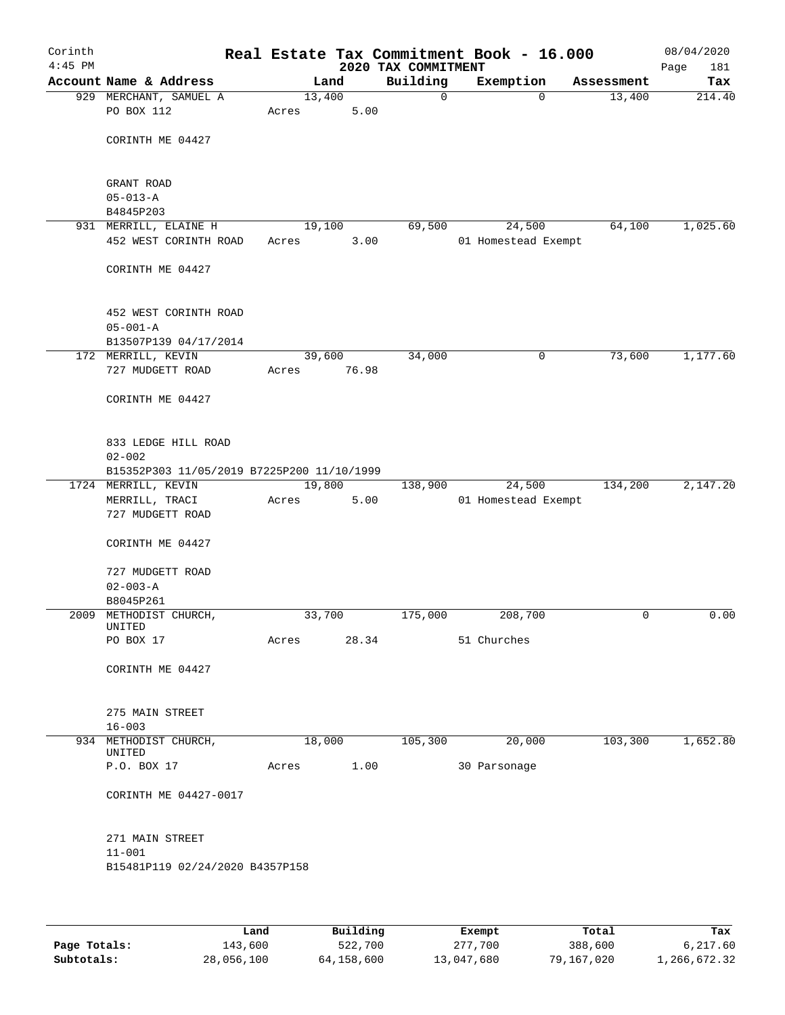| Corinth<br>$4:45$ PM |                                                                                 |        |                 | 2020 TAX COMMITMENT | Real Estate Tax Commitment Book - 16.000 |            | 08/04/2020<br>181 |
|----------------------|---------------------------------------------------------------------------------|--------|-----------------|---------------------|------------------------------------------|------------|-------------------|
|                      | Account Name & Address                                                          |        | Land            | Building            | Exemption                                | Assessment | Page<br>Tax       |
|                      | 929 MERCHANT, SAMUEL A                                                          | 13,400 |                 | 0                   | $\mathbf 0$                              | 13,400     | 214.40            |
|                      | PO BOX 112                                                                      | Acres  | 5.00            |                     |                                          |            |                   |
|                      | CORINTH ME 04427                                                                |        |                 |                     |                                          |            |                   |
|                      | GRANT ROAD                                                                      |        |                 |                     |                                          |            |                   |
|                      | $05 - 013 - A$                                                                  |        |                 |                     |                                          |            |                   |
|                      | B4845P203<br>931 MERRILL, ELAINE H                                              |        | 19,100          | 69,500              | 24,500                                   | 64,100     | 1,025.60          |
|                      | 452 WEST CORINTH ROAD                                                           | Acres  | 3.00            |                     | 01 Homestead Exempt                      |            |                   |
|                      | CORINTH ME 04427                                                                |        |                 |                     |                                          |            |                   |
|                      | 452 WEST CORINTH ROAD<br>$05 - 001 - A$                                         |        |                 |                     |                                          |            |                   |
|                      | B13507P139 04/17/2014                                                           |        |                 |                     |                                          |            |                   |
|                      | 172 MERRILL, KEVIN<br>727 MUDGETT ROAD                                          | Acres  | 39,600<br>76.98 | 34,000              | 0                                        | 73,600     | 1,177.60          |
|                      | CORINTH ME 04427                                                                |        |                 |                     |                                          |            |                   |
|                      | 833 LEDGE HILL ROAD<br>$02 - 002$<br>B15352P303 11/05/2019 B7225P200 11/10/1999 |        |                 |                     |                                          |            |                   |
|                      | 1724 MERRILL, KEVIN                                                             | 19,800 |                 | 138,900             | 24,500                                   | 134,200    | 2,147.20          |
|                      | MERRILL, TRACI<br>727 MUDGETT ROAD                                              | Acres  | 5.00            |                     | 01 Homestead Exempt                      |            |                   |
|                      | CORINTH ME 04427                                                                |        |                 |                     |                                          |            |                   |
|                      | 727 MUDGETT ROAD<br>$02 - 003 - A$                                              |        |                 |                     |                                          |            |                   |
|                      | B8045P261                                                                       |        |                 |                     |                                          |            |                   |
|                      | 2009 METHODIST CHURCH,<br>UNITED                                                | 33,700 |                 | 175,000             | 208,700                                  | 0          | 0.00              |
|                      | PO BOX 17                                                                       | Acres  | 28.34           |                     | 51 Churches                              |            |                   |
|                      | CORINTH ME 04427                                                                |        |                 |                     |                                          |            |                   |
|                      | 275 MAIN STREET                                                                 |        |                 |                     |                                          |            |                   |
|                      | $16 - 003$                                                                      |        |                 | 105,300             | 20,000                                   | 103,300    | 1,652.80          |
|                      | 934 METHODIST CHURCH,<br>UNITED                                                 |        | 18,000          |                     |                                          |            |                   |
|                      | P.O. BOX 17                                                                     | Acres  | 1.00            |                     | 30 Parsonage                             |            |                   |
|                      | CORINTH ME 04427-0017                                                           |        |                 |                     |                                          |            |                   |
|                      | 271 MAIN STREET                                                                 |        |                 |                     |                                          |            |                   |
|                      | $11 - 001$<br>B15481P119 02/24/2020 B4357P158                                   |        |                 |                     |                                          |            |                   |
|                      |                                                                                 |        |                 |                     |                                          |            |                   |
|                      |                                                                                 |        |                 |                     |                                          |            |                   |

|              | Land       | Building   | Exempt     | Total      | Tax          |
|--------------|------------|------------|------------|------------|--------------|
| Page Totals: | 143,600    | 522,700    | 277,700    | 388,600    | 6,217.60     |
| Subtotals:   | 28,056,100 | 64,158,600 | 13,047,680 | 79,167,020 | 1,266,672.32 |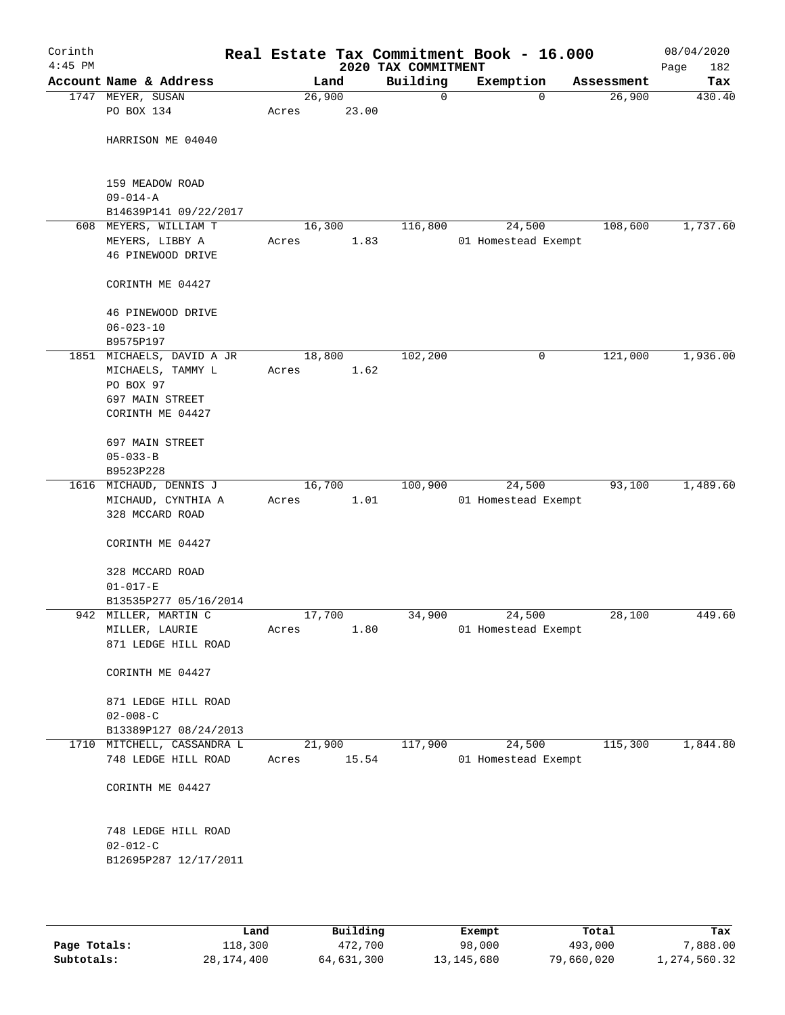| Corinth<br>$4:45$ PM |                           |       |        |       | Real Estate Tax Commitment Book - 16.000<br>2020 TAX COMMITMENT |                     |            | 08/04/2020<br>Page<br>182 |
|----------------------|---------------------------|-------|--------|-------|-----------------------------------------------------------------|---------------------|------------|---------------------------|
|                      | Account Name & Address    |       | Land   |       | Building                                                        | Exemption           | Assessment | Tax                       |
|                      | 1747 MEYER, SUSAN         |       | 26,900 |       | 0                                                               | 0                   | 26,900     | 430.40                    |
|                      | PO BOX 134                | Acres |        | 23.00 |                                                                 |                     |            |                           |
|                      |                           |       |        |       |                                                                 |                     |            |                           |
|                      | HARRISON ME 04040         |       |        |       |                                                                 |                     |            |                           |
|                      |                           |       |        |       |                                                                 |                     |            |                           |
|                      |                           |       |        |       |                                                                 |                     |            |                           |
|                      | 159 MEADOW ROAD           |       |        |       |                                                                 |                     |            |                           |
|                      | $09 - 014 - A$            |       |        |       |                                                                 |                     |            |                           |
|                      | B14639P141 09/22/2017     |       |        |       |                                                                 |                     |            |                           |
|                      | 608 MEYERS, WILLIAM T     |       | 16,300 |       | 116,800                                                         | 24,500              | 108,600    | 1,737.60                  |
|                      | MEYERS, LIBBY A           | Acres |        | 1.83  |                                                                 | 01 Homestead Exempt |            |                           |
|                      | 46 PINEWOOD DRIVE         |       |        |       |                                                                 |                     |            |                           |
|                      |                           |       |        |       |                                                                 |                     |            |                           |
|                      | CORINTH ME 04427          |       |        |       |                                                                 |                     |            |                           |
|                      |                           |       |        |       |                                                                 |                     |            |                           |
|                      | 46 PINEWOOD DRIVE         |       |        |       |                                                                 |                     |            |                           |
|                      | $06 - 023 - 10$           |       |        |       |                                                                 |                     |            |                           |
|                      | B9575P197                 |       |        |       |                                                                 |                     |            |                           |
|                      | 1851 MICHAELS, DAVID A JR |       | 18,800 |       | 102,200                                                         | 0                   | 121,000    | 1,936.00                  |
|                      | MICHAELS, TAMMY L         | Acres |        | 1.62  |                                                                 |                     |            |                           |
|                      | PO BOX 97                 |       |        |       |                                                                 |                     |            |                           |
|                      | 697 MAIN STREET           |       |        |       |                                                                 |                     |            |                           |
|                      | CORINTH ME 04427          |       |        |       |                                                                 |                     |            |                           |
|                      |                           |       |        |       |                                                                 |                     |            |                           |
|                      | 697 MAIN STREET           |       |        |       |                                                                 |                     |            |                           |
|                      | $05 - 033 - B$            |       |        |       |                                                                 |                     |            |                           |
|                      | B9523P228                 |       |        |       |                                                                 |                     |            |                           |
|                      | 1616 MICHAUD, DENNIS J    |       | 16,700 |       | 100,900                                                         | 24,500              | 93,100     | 1,489.60                  |
|                      | MICHAUD, CYNTHIA A        | Acres |        | 1.01  |                                                                 | 01 Homestead Exempt |            |                           |
|                      | 328 MCCARD ROAD           |       |        |       |                                                                 |                     |            |                           |
|                      |                           |       |        |       |                                                                 |                     |            |                           |
|                      | CORINTH ME 04427          |       |        |       |                                                                 |                     |            |                           |
|                      |                           |       |        |       |                                                                 |                     |            |                           |
|                      | 328 MCCARD ROAD           |       |        |       |                                                                 |                     |            |                           |
|                      | $01 - 017 - E$            |       |        |       |                                                                 |                     |            |                           |
|                      | B13535P277 05/16/2014     |       |        |       |                                                                 |                     |            |                           |
|                      | 942 MILLER, MARTIN C      |       | 17,700 |       | 34,900                                                          | 24,500              | 28,100     | 449.60                    |
|                      | MILLER, LAURIE            | Acres |        | 1.80  |                                                                 | 01 Homestead Exempt |            |                           |
|                      | 871 LEDGE HILL ROAD       |       |        |       |                                                                 |                     |            |                           |
|                      |                           |       |        |       |                                                                 |                     |            |                           |
|                      | CORINTH ME 04427          |       |        |       |                                                                 |                     |            |                           |
|                      |                           |       |        |       |                                                                 |                     |            |                           |
|                      | 871 LEDGE HILL ROAD       |       |        |       |                                                                 |                     |            |                           |
|                      | $02 - 008 - C$            |       |        |       |                                                                 |                     |            |                           |
|                      | B13389P127 08/24/2013     |       |        |       |                                                                 |                     |            |                           |
| 1710                 | MITCHELL, CASSANDRA L     |       | 21,900 |       | 117,900                                                         | 24,500              | 115,300    | 1,844.80                  |
|                      | 748 LEDGE HILL ROAD       | Acres |        | 15.54 |                                                                 | 01 Homestead Exempt |            |                           |
|                      |                           |       |        |       |                                                                 |                     |            |                           |
|                      | CORINTH ME 04427          |       |        |       |                                                                 |                     |            |                           |
|                      |                           |       |        |       |                                                                 |                     |            |                           |
|                      |                           |       |        |       |                                                                 |                     |            |                           |
|                      | 748 LEDGE HILL ROAD       |       |        |       |                                                                 |                     |            |                           |
|                      | $02 - 012 - C$            |       |        |       |                                                                 |                     |            |                           |
|                      | B12695P287 12/17/2011     |       |        |       |                                                                 |                     |            |                           |
|                      |                           |       |        |       |                                                                 |                     |            |                           |
|                      |                           |       |        |       |                                                                 |                     |            |                           |

|              | Land       | Building   | Exempt     | Total      | Tax          |
|--------------|------------|------------|------------|------------|--------------|
| Page Totals: | 118,300    | 472,700    | 98,000     | 493,000    | 7,888.00     |
| Subtotals:   | 28,174,400 | 64,631,300 | 13,145,680 | 79,660,020 | 1,274,560.32 |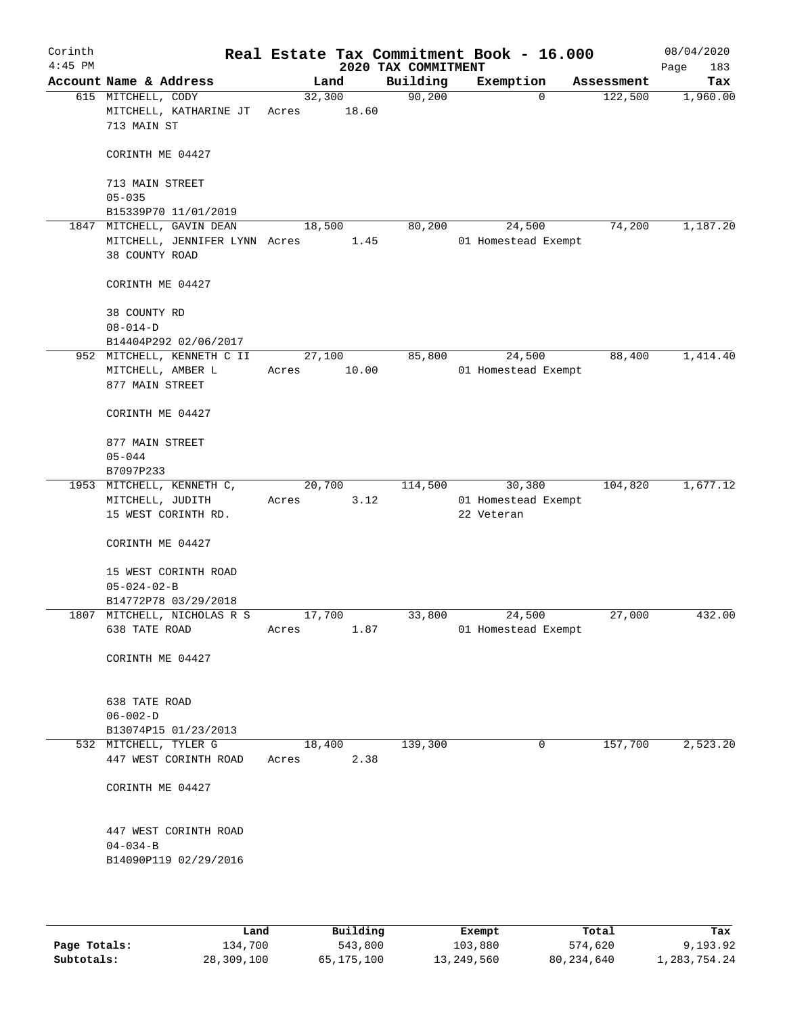| Corinth<br>$4:45$ PM |                                                             |        |                 | Real Estate Tax Commitment Book - 16.000<br>2020 TAX COMMITMENT |            |                     |            | 08/04/2020<br>Page<br>183 |
|----------------------|-------------------------------------------------------------|--------|-----------------|-----------------------------------------------------------------|------------|---------------------|------------|---------------------------|
|                      | Account Name & Address                                      |        | Land            | Building                                                        |            | Exemption           | Assessment | Tax                       |
|                      | 615 MITCHELL, CODY<br>MITCHELL, KATHARINE JT<br>713 MAIN ST | Acres  | 32,300<br>18.60 | 90,200                                                          |            | $\mathbf 0$         | 122,500    | 1,960.00                  |
|                      | CORINTH ME 04427                                            |        |                 |                                                                 |            |                     |            |                           |
|                      | 713 MAIN STREET                                             |        |                 |                                                                 |            |                     |            |                           |
|                      | $05 - 035$<br>B15339P70 11/01/2019                          |        |                 |                                                                 |            |                     |            |                           |
|                      | 1847 MITCHELL, GAVIN DEAN                                   | 18,500 |                 | 80,200                                                          |            | 24,500              | 74,200     | 1,187.20                  |
|                      | MITCHELL, JENNIFER LYNN Acres<br>38 COUNTY ROAD             |        | 1.45            |                                                                 |            | 01 Homestead Exempt |            |                           |
|                      | CORINTH ME 04427                                            |        |                 |                                                                 |            |                     |            |                           |
|                      | 38 COUNTY RD<br>$08 - 014 - D$                              |        |                 |                                                                 |            |                     |            |                           |
|                      | B14404P292 02/06/2017                                       |        |                 |                                                                 |            |                     |            |                           |
|                      | 952 MITCHELL, KENNETH C II                                  |        | 27,100          | 85,800                                                          |            | 24,500              | 88,400     | 1,414.40                  |
|                      | MITCHELL, AMBER L<br>877 MAIN STREET                        | Acres  | 10.00           |                                                                 |            | 01 Homestead Exempt |            |                           |
|                      | CORINTH ME 04427                                            |        |                 |                                                                 |            |                     |            |                           |
|                      | 877 MAIN STREET                                             |        |                 |                                                                 |            |                     |            |                           |
|                      | $05 - 044$                                                  |        |                 |                                                                 |            |                     |            |                           |
|                      | B7097P233                                                   |        |                 |                                                                 |            |                     |            |                           |
|                      | 1953 MITCHELL, KENNETH C,                                   | 20,700 |                 | 114,500                                                         |            | 30,380              | 104,820    | 1,677.12                  |
|                      | MITCHELL, JUDITH<br>15 WEST CORINTH RD.                     | Acres  | 3.12            |                                                                 | 22 Veteran | 01 Homestead Exempt |            |                           |
|                      | CORINTH ME 04427                                            |        |                 |                                                                 |            |                     |            |                           |
|                      | 15 WEST CORINTH ROAD<br>$05 - 024 - 02 - B$                 |        |                 |                                                                 |            |                     |            |                           |
|                      | B14772P78 03/29/2018                                        |        |                 |                                                                 |            |                     |            |                           |
|                      | 1807 MITCHELL, NICHOLAS R S                                 | 17,700 |                 | 33,800                                                          |            | 24,500              | 27,000     | 432.00                    |
|                      | 638 TATE ROAD                                               | Acres  | 1.87            |                                                                 |            | 01 Homestead Exempt |            |                           |
|                      | CORINTH ME 04427                                            |        |                 |                                                                 |            |                     |            |                           |
|                      | 638 TATE ROAD                                               |        |                 |                                                                 |            |                     |            |                           |
|                      | $06 - 002 - D$                                              |        |                 |                                                                 |            |                     |            |                           |
|                      | B13074P15 01/23/2013                                        |        |                 |                                                                 |            |                     |            |                           |
|                      | 532 MITCHELL, TYLER G                                       |        | 18,400          | 139,300                                                         |            | $\mathbf 0$         | 157,700    | 2,523.20                  |
|                      | 447 WEST CORINTH ROAD                                       | Acres  | 2.38            |                                                                 |            |                     |            |                           |
|                      | CORINTH ME 04427                                            |        |                 |                                                                 |            |                     |            |                           |
|                      | 447 WEST CORINTH ROAD                                       |        |                 |                                                                 |            |                     |            |                           |
|                      | $04 - 034 - B$<br>B14090P119 02/29/2016                     |        |                 |                                                                 |            |                     |            |                           |
|                      |                                                             |        |                 |                                                                 |            |                     |            |                           |

|              | Land       | Building   | Exempt     | Total        | Tax          |
|--------------|------------|------------|------------|--------------|--------------|
| Page Totals: | 134,700    | 543,800    | 103,880    | 574,620      | 9,193.92     |
| Subtotals:   | 28,309,100 | 65,175,100 | 13,249,560 | 80, 234, 640 | 1,283,754.24 |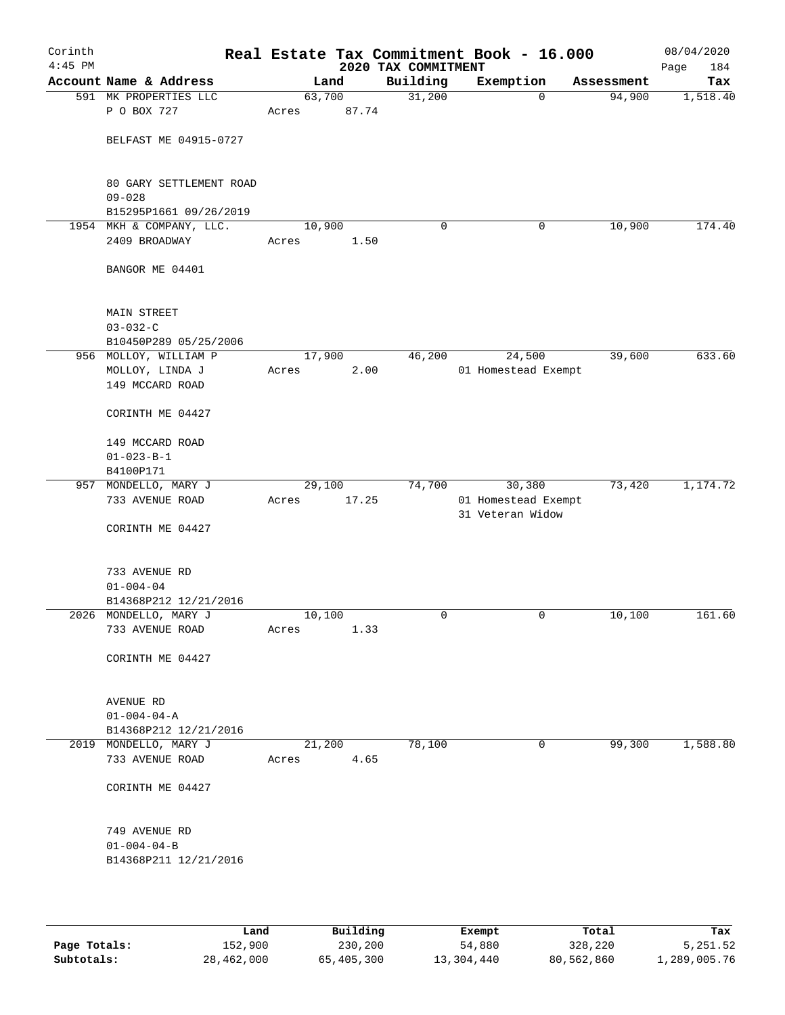| Corinth<br>$4:45$ PM |                                                    |                 |       | 2020 TAX COMMITMENT | Real Estate Tax Commitment Book - 16.000 |            | 08/04/2020<br>184<br>Page |
|----------------------|----------------------------------------------------|-----------------|-------|---------------------|------------------------------------------|------------|---------------------------|
|                      | Account Name & Address                             |                 | Land  | Building            | Exemption                                | Assessment | Tax                       |
|                      | 591 MK PROPERTIES LLC                              | 63,700          |       | 31,200              | $\mathbf 0$                              | 94,900     | 1,518.40                  |
|                      | P O BOX 727                                        | Acres           | 87.74 |                     |                                          |            |                           |
|                      | BELFAST ME 04915-0727                              |                 |       |                     |                                          |            |                           |
|                      | 80 GARY SETTLEMENT ROAD                            |                 |       |                     |                                          |            |                           |
|                      | $09 - 028$                                         |                 |       |                     |                                          |            |                           |
|                      | B15295P1661 09/26/2019<br>1954 MKH & COMPANY, LLC. | 10,900          |       | $\mathbf 0$         | 0                                        | 10,900     | 174.40                    |
|                      | 2409 BROADWAY                                      | Acres           | 1.50  |                     |                                          |            |                           |
|                      | BANGOR ME 04401                                    |                 |       |                     |                                          |            |                           |
|                      | <b>MAIN STREET</b>                                 |                 |       |                     |                                          |            |                           |
|                      | $03 - 032 - C$                                     |                 |       |                     |                                          |            |                           |
|                      | B10450P289 05/25/2006<br>956 MOLLOY, WILLIAM P     | 17,900          |       | 46,200              | 24,500                                   | 39,600     | 633.60                    |
|                      | MOLLOY, LINDA J                                    | Acres           | 2.00  |                     | 01 Homestead Exempt                      |            |                           |
|                      | 149 MCCARD ROAD                                    |                 |       |                     |                                          |            |                           |
|                      | CORINTH ME 04427                                   |                 |       |                     |                                          |            |                           |
|                      | 149 MCCARD ROAD                                    |                 |       |                     |                                          |            |                           |
|                      | $01 - 023 - B - 1$                                 |                 |       |                     |                                          |            |                           |
|                      | B4100P171                                          |                 |       |                     |                                          |            |                           |
|                      | 957 MONDELLO, MARY J<br>733 AVENUE ROAD            | 29,100<br>Acres | 17.25 | 74,700              | 30,380                                   | 73,420     | 1,174.72                  |
|                      |                                                    |                 |       |                     | 01 Homestead Exempt<br>31 Veteran Widow  |            |                           |
|                      | CORINTH ME 04427                                   |                 |       |                     |                                          |            |                           |
|                      | 733 AVENUE RD                                      |                 |       |                     |                                          |            |                           |
|                      | $01 - 004 - 04$                                    |                 |       |                     |                                          |            |                           |
|                      | B14368P212 12/21/2016                              |                 |       |                     |                                          |            |                           |
|                      | 2026 MONDELLO, MARY J                              | 10,100          |       | 0                   | 0                                        | 10,100     | 161.60                    |
|                      | 733 AVENUE ROAD                                    | Acres           | 1.33  |                     |                                          |            |                           |
|                      | CORINTH ME 04427                                   |                 |       |                     |                                          |            |                           |
|                      | AVENUE RD                                          |                 |       |                     |                                          |            |                           |
|                      | $01 - 004 - 04 - A$                                |                 |       |                     |                                          |            |                           |
|                      | B14368P212 12/21/2016                              |                 |       |                     |                                          |            |                           |
|                      | 2019 MONDELLO, MARY J                              | 21,200          |       | 78,100              | $\mathbf 0$                              | 99,300     | 1,588.80                  |
|                      | 733 AVENUE ROAD                                    | Acres           | 4.65  |                     |                                          |            |                           |
|                      | CORINTH ME 04427                                   |                 |       |                     |                                          |            |                           |
|                      | 749 AVENUE RD                                      |                 |       |                     |                                          |            |                           |
|                      | $01 - 004 - 04 - B$                                |                 |       |                     |                                          |            |                           |
|                      | B14368P211 12/21/2016                              |                 |       |                     |                                          |            |                           |
|                      |                                                    |                 |       |                     |                                          |            |                           |
|                      |                                                    |                 |       |                     |                                          |            |                           |

|              | Land       | Building   | Exempt     | Total      | Tax          |
|--------------|------------|------------|------------|------------|--------------|
| Page Totals: | 152,900    | 230,200    | 54,880     | 328,220    | 5,251.52     |
| Subtotals:   | 28,462,000 | 65,405,300 | 13,304,440 | 80,562,860 | 1,289,005.76 |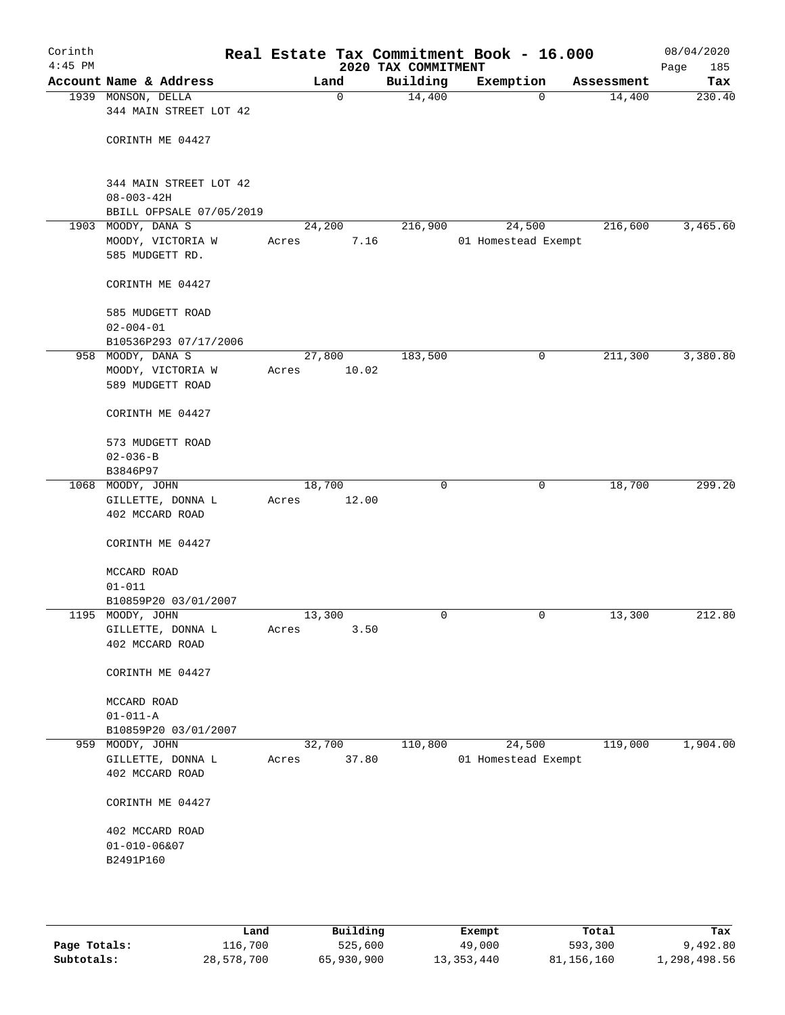| Corinth<br>$4:45$ PM |                                                     |                 |       | Real Estate Tax Commitment Book - 16.000<br>2020 TAX COMMITMENT |                               |   |            | 08/04/2020<br>185<br>Page |
|----------------------|-----------------------------------------------------|-----------------|-------|-----------------------------------------------------------------|-------------------------------|---|------------|---------------------------|
|                      | Account Name & Address                              | Land            |       | Building                                                        | Exemption                     |   | Assessment | Tax                       |
|                      | 1939 MONSON, DELLA<br>344 MAIN STREET LOT 42        |                 | 0     | 14,400                                                          |                               | 0 | 14,400     | 230.40                    |
|                      | CORINTH ME 04427                                    |                 |       |                                                                 |                               |   |            |                           |
|                      | 344 MAIN STREET LOT 42<br>$08 - 003 - 42H$          |                 |       |                                                                 |                               |   |            |                           |
|                      | BBILL OFPSALE 07/05/2019<br>1903 MOODY, DANA S      | 24,200          |       | 216,900                                                         | 24,500                        |   | 216,600    | 3,465.60                  |
|                      | MOODY, VICTORIA W<br>585 MUDGETT RD.                | Acres           | 7.16  |                                                                 | 01 Homestead Exempt           |   |            |                           |
|                      | CORINTH ME 04427                                    |                 |       |                                                                 |                               |   |            |                           |
|                      | 585 MUDGETT ROAD<br>$02 - 004 - 01$                 |                 |       |                                                                 |                               |   |            |                           |
|                      | B10536P293 07/17/2006<br>958 MOODY, DANA S          | 27,800          |       | 183,500                                                         |                               | 0 | 211,300    | 3,380.80                  |
|                      | MOODY, VICTORIA W<br>589 MUDGETT ROAD               | Acres           | 10.02 |                                                                 |                               |   |            |                           |
|                      | CORINTH ME 04427                                    |                 |       |                                                                 |                               |   |            |                           |
|                      | 573 MUDGETT ROAD<br>$02 - 036 - B$                  |                 |       |                                                                 |                               |   |            |                           |
|                      | B3846P97<br>1068 MOODY, JOHN                        | 18,700          |       | $\mathbf 0$                                                     |                               | 0 | 18,700     | 299.20                    |
|                      | GILLETTE, DONNA L<br>402 MCCARD ROAD                | Acres           | 12.00 |                                                                 |                               |   |            |                           |
|                      | CORINTH ME 04427                                    |                 |       |                                                                 |                               |   |            |                           |
|                      | MCCARD ROAD<br>$01 - 011$                           |                 |       |                                                                 |                               |   |            |                           |
|                      | B10859P20 03/01/2007                                |                 |       |                                                                 |                               |   |            |                           |
|                      | 1195 MOODY, JOHN                                    | 13,300          |       | 0                                                               |                               | 0 | 13,300     | 212.80                    |
|                      | GILLETTE, DONNA L<br>402 MCCARD ROAD                | Acres           | 3.50  |                                                                 |                               |   |            |                           |
|                      | CORINTH ME 04427                                    |                 |       |                                                                 |                               |   |            |                           |
|                      | MCCARD ROAD<br>$01 - 011 - A$                       |                 |       |                                                                 |                               |   |            |                           |
|                      | B10859P20 03/01/2007                                |                 |       |                                                                 |                               |   |            |                           |
| 959                  | MOODY, JOHN<br>GILLETTE, DONNA L<br>402 MCCARD ROAD | 32,700<br>Acres | 37.80 | 110,800                                                         | 24,500<br>01 Homestead Exempt |   | 119,000    | 1,904.00                  |
|                      | CORINTH ME 04427                                    |                 |       |                                                                 |                               |   |            |                           |
|                      | 402 MCCARD ROAD                                     |                 |       |                                                                 |                               |   |            |                           |
|                      | $01 - 010 - 06&07$<br>B2491P160                     |                 |       |                                                                 |                               |   |            |                           |
|                      |                                                     |                 |       |                                                                 |                               |   |            |                           |

|              | Land       | Building   | Exempt     | Total      | Tax          |
|--------------|------------|------------|------------|------------|--------------|
| Page Totals: | 116,700    | 525,600    | 49,000     | 593,300    | 9,492.80     |
| Subtotals:   | 28,578,700 | 65,930,900 | 13,353,440 | 81,156,160 | 1,298,498.56 |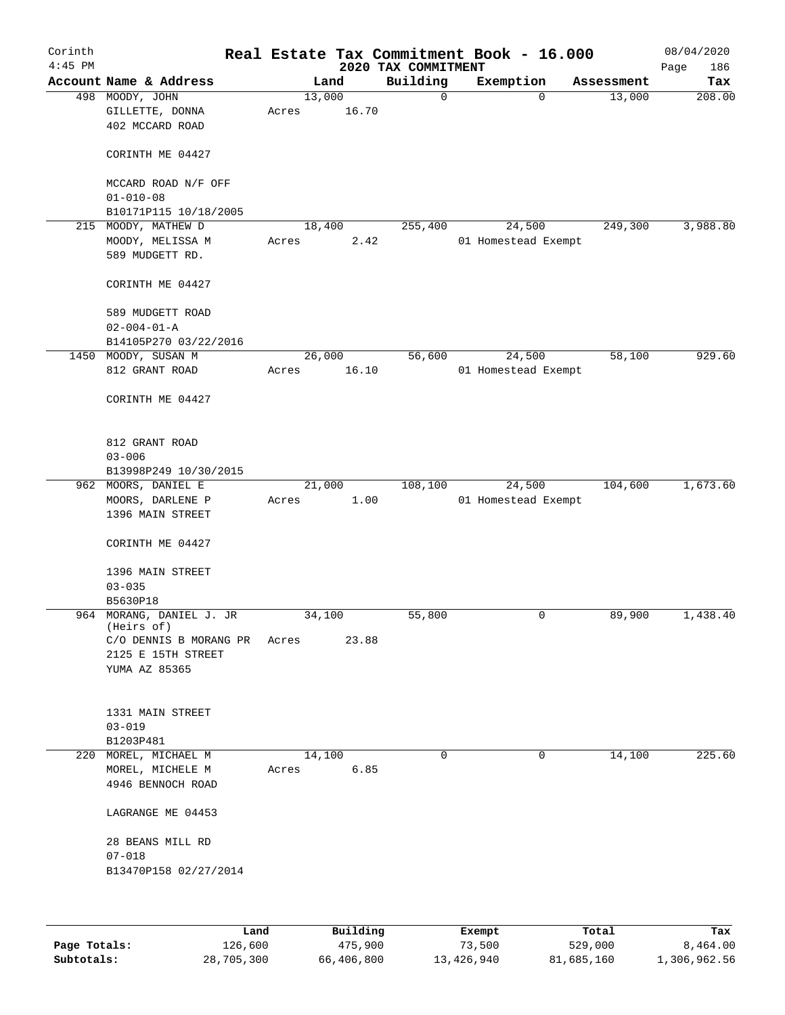| Corinth<br>$4:45$ PM |                                                       |      |       |                 | 2020 TAX COMMITMENT | Real Estate Tax Commitment Book - 16.000 |            | 08/04/2020<br>Page<br>186 |
|----------------------|-------------------------------------------------------|------|-------|-----------------|---------------------|------------------------------------------|------------|---------------------------|
|                      | Account Name & Address                                |      |       | Land            | Building            | Exemption                                | Assessment | Tax                       |
|                      | 498 MOODY, JOHN<br>GILLETTE, DONNA<br>402 MCCARD ROAD |      | Acres | 13,000<br>16.70 | 0                   | $\mathbf 0$                              | 13,000     | 208.00                    |
|                      | CORINTH ME 04427                                      |      |       |                 |                     |                                          |            |                           |
|                      | MCCARD ROAD N/F OFF<br>$01 - 010 - 08$                |      |       |                 |                     |                                          |            |                           |
|                      | B10171P115 10/18/2005                                 |      |       |                 |                     |                                          |            |                           |
|                      | 215 MOODY, MATHEW D                                   |      |       | 18,400          | 255,400             | 24,500                                   | 249,300    | 3,988.80                  |
|                      | MOODY, MELISSA M<br>589 MUDGETT RD.                   |      | Acres | 2.42            |                     | 01 Homestead Exempt                      |            |                           |
|                      | CORINTH ME 04427                                      |      |       |                 |                     |                                          |            |                           |
|                      | 589 MUDGETT ROAD<br>$02 - 004 - 01 - A$               |      |       |                 |                     |                                          |            |                           |
|                      | B14105P270 03/22/2016                                 |      |       |                 |                     |                                          |            |                           |
|                      | 1450 MOODY, SUSAN M<br>812 GRANT ROAD                 |      | Acres | 26,000<br>16.10 | 56,600              | 24,500<br>01 Homestead Exempt            | 58,100     | 929.60                    |
|                      | CORINTH ME 04427                                      |      |       |                 |                     |                                          |            |                           |
|                      | 812 GRANT ROAD<br>$03 - 006$                          |      |       |                 |                     |                                          |            |                           |
|                      | B13998P249 10/30/2015                                 |      |       |                 |                     |                                          |            |                           |
|                      | 962 MOORS, DANIEL E                                   |      |       | 21,000          | 108,100             | 24,500                                   | 104,600    | 1,673.60                  |
|                      | MOORS, DARLENE P                                      |      | Acres | 1.00            |                     | 01 Homestead Exempt                      |            |                           |
|                      | 1396 MAIN STREET                                      |      |       |                 |                     |                                          |            |                           |
|                      | CORINTH ME 04427                                      |      |       |                 |                     |                                          |            |                           |
|                      | 1396 MAIN STREET                                      |      |       |                 |                     |                                          |            |                           |
|                      | $03 - 035$                                            |      |       |                 |                     |                                          |            |                           |
|                      | B5630P18                                              |      |       |                 |                     |                                          |            |                           |
|                      | 964 MORANG, DANIEL J. JR<br>(Heirs of)                |      |       | 34,100          | 55,800              | 0                                        | 89,900     | 1,438.40                  |
|                      | C/O DENNIS B MORANG PR<br>2125 E 15TH STREET          |      | Acres | 23.88           |                     |                                          |            |                           |
|                      | YUMA AZ 85365                                         |      |       |                 |                     |                                          |            |                           |
|                      | 1331 MAIN STREET                                      |      |       |                 |                     |                                          |            |                           |
|                      | $03 - 019$                                            |      |       |                 |                     |                                          |            |                           |
|                      | B1203P481                                             |      |       |                 |                     |                                          |            |                           |
|                      | 220 MOREL, MICHAEL M                                  |      |       | 14,100          | 0                   | 0                                        | 14,100     | 225.60                    |
|                      | MOREL, MICHELE M<br>4946 BENNOCH ROAD                 |      | Acres | 6.85            |                     |                                          |            |                           |
|                      | LAGRANGE ME 04453                                     |      |       |                 |                     |                                          |            |                           |
|                      | 28 BEANS MILL RD                                      |      |       |                 |                     |                                          |            |                           |
|                      | $07 - 018$                                            |      |       |                 |                     |                                          |            |                           |
|                      | B13470P158 02/27/2014                                 |      |       |                 |                     |                                          |            |                           |
|                      |                                                       |      |       |                 |                     |                                          |            |                           |
|                      |                                                       | Land |       | Building        |                     | <b>Fromnt</b>                            | $T0+21$    | To.                       |

|              | Land       | Building   | Exempt     | Total      | Tax          |
|--------------|------------|------------|------------|------------|--------------|
| Page Totals: | 126,600    | 475,900    | 73,500     | 529,000    | 8,464.00     |
| Subtotals:   | 28,705,300 | 66,406,800 | 13,426,940 | 81,685,160 | 1,306,962.56 |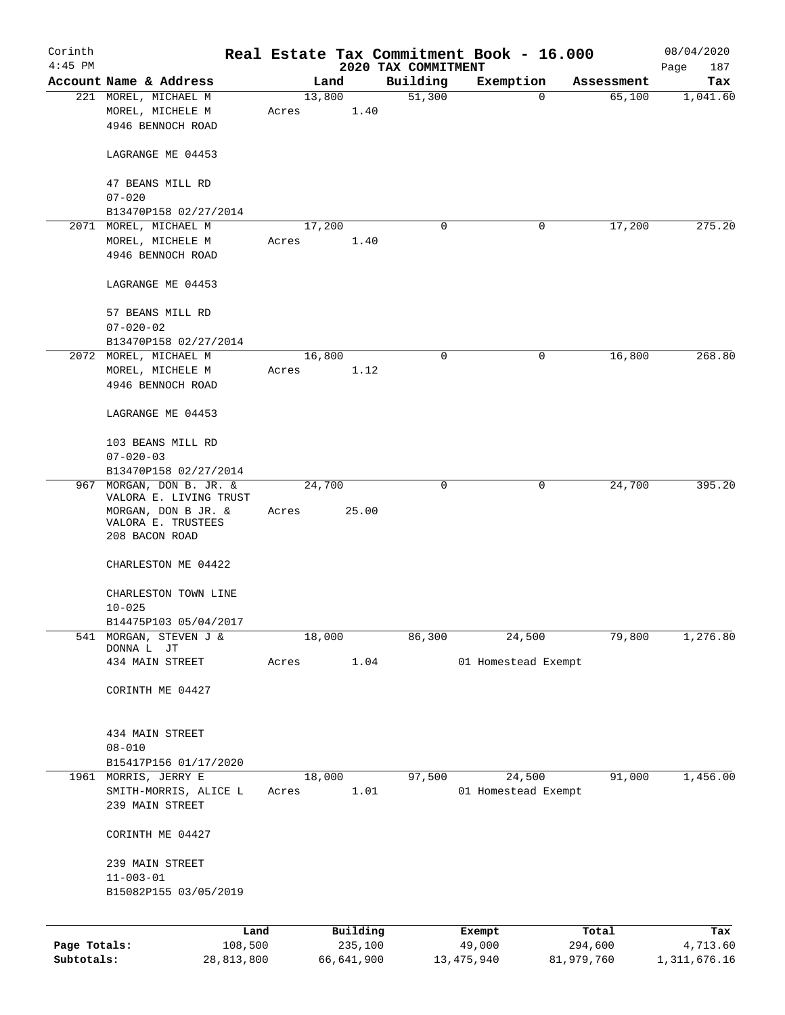| Corinth      |                                                               |       |                |                     | Real Estate Tax Commitment Book - 16.000 |                      | 08/04/2020     |
|--------------|---------------------------------------------------------------|-------|----------------|---------------------|------------------------------------------|----------------------|----------------|
| $4:45$ PM    |                                                               |       |                | 2020 TAX COMMITMENT |                                          |                      | Page<br>187    |
|              | Account Name & Address                                        |       | Land<br>13,800 | Building<br>51,300  | Exemption<br>0                           | Assessment<br>65,100 | Tax            |
|              | 221 MOREL, MICHAEL M<br>MOREL, MICHELE M<br>4946 BENNOCH ROAD | Acres | 1.40           |                     |                                          |                      | 1,041.60       |
|              | LAGRANGE ME 04453                                             |       |                |                     |                                          |                      |                |
|              | 47 BEANS MILL RD<br>$07 - 020$                                |       |                |                     |                                          |                      |                |
|              | B13470P158 02/27/2014                                         |       |                |                     |                                          |                      |                |
|              | 2071 MOREL, MICHAEL M                                         |       | 17,200         | 0                   | 0                                        | 17,200               | 275.20         |
|              | MOREL, MICHELE M                                              | Acres | 1.40           |                     |                                          |                      |                |
|              | 4946 BENNOCH ROAD                                             |       |                |                     |                                          |                      |                |
|              | LAGRANGE ME 04453                                             |       |                |                     |                                          |                      |                |
|              | 57 BEANS MILL RD                                              |       |                |                     |                                          |                      |                |
|              | $07 - 020 - 02$<br>B13470P158 02/27/2014                      |       |                |                     |                                          |                      |                |
|              | 2072 MOREL, MICHAEL M                                         |       | 16,800         | 0                   | 0                                        | 16,800               | 268.80         |
|              | MOREL, MICHELE M                                              | Acres | 1.12           |                     |                                          |                      |                |
|              | 4946 BENNOCH ROAD                                             |       |                |                     |                                          |                      |                |
|              | LAGRANGE ME 04453                                             |       |                |                     |                                          |                      |                |
|              | 103 BEANS MILL RD                                             |       |                |                     |                                          |                      |                |
|              | $07 - 020 - 03$                                               |       |                |                     |                                          |                      |                |
|              | B13470P158 02/27/2014                                         |       |                |                     |                                          |                      |                |
|              | 967 MORGAN, DON B. JR. &<br>VALORA E. LIVING TRUST            |       | 24,700         | $\mathbf 0$         | 0                                        | 24,700               | 395.20         |
|              | MORGAN, DON B JR. &<br>VALORA E. TRUSTEES<br>208 BACON ROAD   | Acres | 25.00          |                     |                                          |                      |                |
|              | CHARLESTON ME 04422                                           |       |                |                     |                                          |                      |                |
|              | CHARLESTON TOWN LINE<br>$10 - 025$                            |       |                |                     |                                          |                      |                |
|              | B14475P103 05/04/2017                                         |       |                |                     |                                          |                      |                |
| 541          | MORGAN, STEVEN J &<br>DONNA L JT                              |       | 18,000         | 86,300              | 24,500                                   | 79,800               | 1,276.80       |
|              | 434 MAIN STREET                                               | Acres | 1.04           |                     | 01 Homestead Exempt                      |                      |                |
|              | CORINTH ME 04427                                              |       |                |                     |                                          |                      |                |
|              | 434 MAIN STREET                                               |       |                |                     |                                          |                      |                |
|              | $08 - 010$                                                    |       |                |                     |                                          |                      |                |
|              | B15417P156 01/17/2020                                         |       |                |                     |                                          |                      |                |
|              | 1961 MORRIS, JERRY E                                          |       | 18,000         | 97,500              | 24,500                                   | 91,000               | 1,456.00       |
|              | SMITH-MORRIS, ALICE L<br>239 MAIN STREET                      | Acres | 1.01           |                     | 01 Homestead Exempt                      |                      |                |
|              | CORINTH ME 04427                                              |       |                |                     |                                          |                      |                |
|              | 239 MAIN STREET                                               |       |                |                     |                                          |                      |                |
|              | $11 - 003 - 01$                                               |       |                |                     |                                          |                      |                |
|              | B15082P155 03/05/2019                                         |       |                |                     |                                          |                      |                |
|              | Land                                                          |       | Building       |                     | Exempt                                   | Total                | Tax            |
| Page Totals: | 108,500                                                       |       | 235,100        |                     | 49,000                                   | 294,600              | 4,713.60       |
| Subtotals:   | 28,813,800                                                    |       | 66,641,900     |                     | 13, 475, 940                             | 81,979,760           | 1, 311, 676.16 |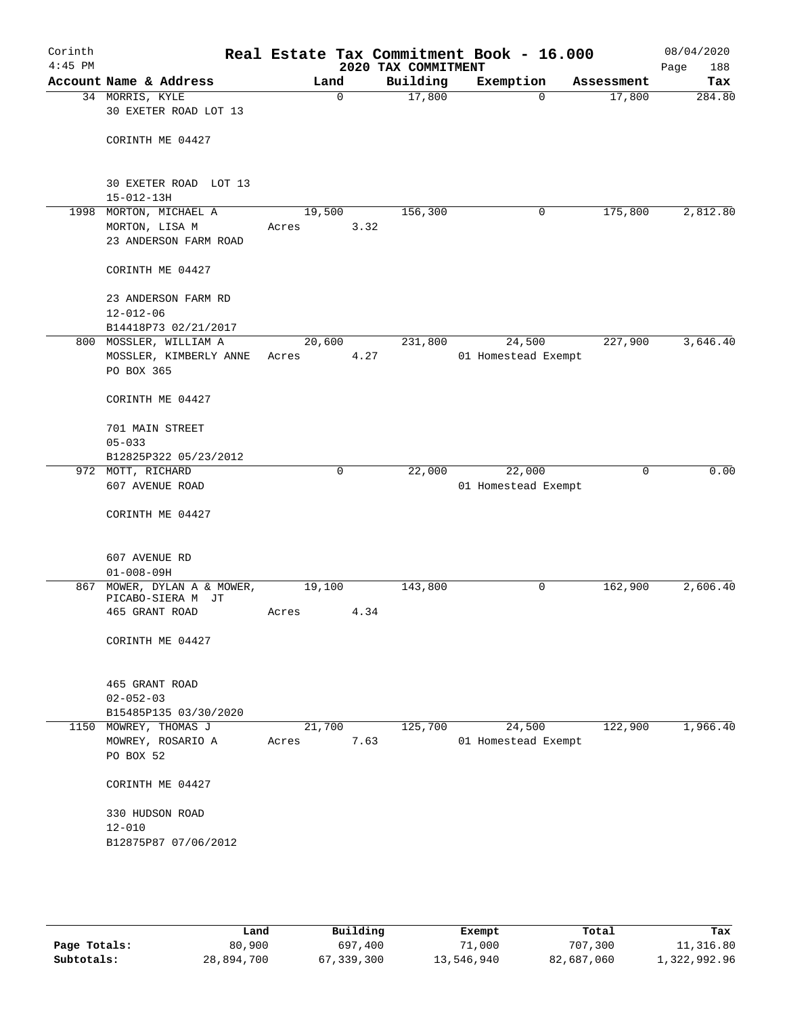| Corinth<br>$4:45$ PM |                                                                   |       |                | 2020 TAX COMMITMENT | Real Estate Tax Commitment Book - 16.000 |            | 08/04/2020<br>Page<br>188 |
|----------------------|-------------------------------------------------------------------|-------|----------------|---------------------|------------------------------------------|------------|---------------------------|
|                      | Account Name & Address                                            |       | Land           | Building            | Exemption                                | Assessment | Tax                       |
|                      | 34 MORRIS, KYLE<br>30 EXETER ROAD LOT 13                          |       | $\mathbf 0$    | 17,800              | $\Omega$                                 | 17,800     | 284.80                    |
|                      | CORINTH ME 04427                                                  |       |                |                     |                                          |            |                           |
|                      | 30 EXETER ROAD LOT 13<br>$15 - 012 - 13H$                         |       |                |                     |                                          |            |                           |
| 1998                 | MORTON, MICHAEL A                                                 |       | 19,500         | 156,300             | 0                                        | 175,800    | 2,812.80                  |
|                      | MORTON, LISA M<br>23 ANDERSON FARM ROAD                           | Acres | 3.32           |                     |                                          |            |                           |
|                      | CORINTH ME 04427                                                  |       |                |                     |                                          |            |                           |
|                      | 23 ANDERSON FARM RD<br>$12 - 012 - 06$<br>B14418P73 02/21/2017    |       |                |                     |                                          |            |                           |
|                      | 800 MOSSLER, WILLIAM A                                            |       | 20,600         | 231,800             | 24,500                                   | 227,900    | 3,646.40                  |
|                      | MOSSLER, KIMBERLY ANNE<br>PO BOX 365                              | Acres | 4.27           |                     | 01 Homestead Exempt                      |            |                           |
|                      | CORINTH ME 04427                                                  |       |                |                     |                                          |            |                           |
|                      | 701 MAIN STREET<br>$05 - 033$                                     |       |                |                     |                                          |            |                           |
|                      | B12825P322 05/23/2012                                             |       |                |                     |                                          |            |                           |
|                      | 972 MOTT, RICHARD                                                 |       | 0              | 22,000              | 22,000                                   | 0          | 0.00                      |
|                      | 607 AVENUE ROAD                                                   |       |                |                     | 01 Homestead Exempt                      |            |                           |
|                      | CORINTH ME 04427                                                  |       |                |                     |                                          |            |                           |
|                      | 607 AVENUE RD<br>$01 - 008 - 09H$                                 |       |                |                     |                                          |            |                           |
| 867                  | MOWER, DYLAN A & MOWER,<br>PICABO-SIERA M<br>JТ<br>465 GRANT ROAD | Acres | 19,100<br>4.34 | 143,800             | 0                                        | 162,900    | 2,606.40                  |
|                      | CORINTH ME 04427                                                  |       |                |                     |                                          |            |                           |
|                      | 465 GRANT ROAD<br>$02 - 052 - 03$                                 |       |                |                     |                                          |            |                           |
|                      | B15485P135 03/30/2020                                             |       |                |                     |                                          |            |                           |
| 1150                 | MOWREY, THOMAS J<br>MOWREY, ROSARIO A<br>PO BOX 52                | Acres | 21,700<br>7.63 | 125,700             | 24,500<br>01 Homestead Exempt            | 122,900    | 1,966.40                  |
|                      | CORINTH ME 04427                                                  |       |                |                     |                                          |            |                           |
|                      | 330 HUDSON ROAD<br>$12 - 010$                                     |       |                |                     |                                          |            |                           |
|                      | B12875P87 07/06/2012                                              |       |                |                     |                                          |            |                           |

|              | Land       | Building   | Exempt     | Total      | Tax          |
|--------------|------------|------------|------------|------------|--------------|
| Page Totals: | 80,900     | 697,400    | 71,000     | 707,300    | 11,316.80    |
| Subtotals:   | 28,894,700 | 67,339,300 | 13,546,940 | 82,687,060 | 1,322,992.96 |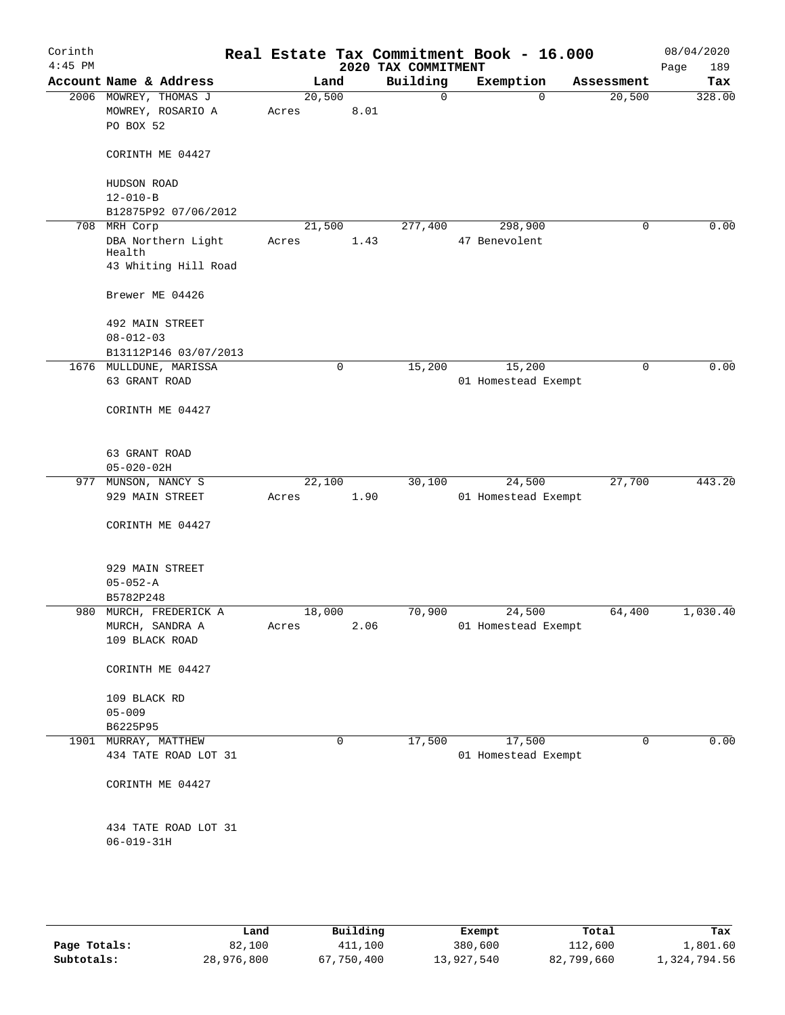| Corinth<br>$4:45$ PM |                        |                        |                 |          |      | 2020 TAX COMMITMENT | Real Estate Tax Commitment Book - 16.000 |          |             | 08/04/2020         |
|----------------------|------------------------|------------------------|-----------------|----------|------|---------------------|------------------------------------------|----------|-------------|--------------------|
|                      |                        | Account Name & Address |                 | Land     |      | Building            | Exemption                                |          | Assessment  | 189<br>Page<br>Tax |
|                      |                        | 2006 MOWREY, THOMAS J  | 20,500          |          |      | $\mathbf 0$         |                                          | $\Omega$ | 20,500      | 328.00             |
|                      |                        | MOWREY, ROSARIO A      | Acres           |          | 8.01 |                     |                                          |          |             |                    |
|                      | PO BOX 52              |                        |                 |          |      |                     |                                          |          |             |                    |
|                      |                        | CORINTH ME 04427       |                 |          |      |                     |                                          |          |             |                    |
|                      | HUDSON ROAD            |                        |                 |          |      |                     |                                          |          |             |                    |
|                      | $12 - 010 - B$         |                        |                 |          |      |                     |                                          |          |             |                    |
|                      |                        | B12875P92 07/06/2012   |                 |          |      |                     |                                          |          |             |                    |
|                      | 708 MRH Corp<br>Health | DBA Northern Light     | 21,500<br>Acres |          | 1.43 | 277,400             | 298,900<br>47 Benevolent                 |          | $\mathbf 0$ | 0.00               |
|                      |                        | 43 Whiting Hill Road   |                 |          |      |                     |                                          |          |             |                    |
|                      |                        | Brewer ME 04426        |                 |          |      |                     |                                          |          |             |                    |
|                      |                        | 492 MAIN STREET        |                 |          |      |                     |                                          |          |             |                    |
|                      | $08 - 012 - 03$        |                        |                 |          |      |                     |                                          |          |             |                    |
|                      |                        | B13112P146 03/07/2013  |                 |          |      |                     |                                          |          |             |                    |
|                      | 63 GRANT ROAD          | 1676 MULLDUNE, MARISSA |                 | 0        |      | 15,200              | 15,200<br>01 Homestead Exempt            |          | $\mathbf 0$ | 0.00               |
|                      |                        | CORINTH ME 04427       |                 |          |      |                     |                                          |          |             |                    |
|                      |                        |                        |                 |          |      |                     |                                          |          |             |                    |
|                      | 63 GRANT ROAD          |                        |                 |          |      |                     |                                          |          |             |                    |
|                      | $05 - 020 - 02H$       |                        |                 |          |      |                     |                                          |          |             |                    |
| 977                  | MUNSON, NANCY S        | 929 MAIN STREET        | 22,100<br>Acres |          | 1.90 | 30,100              | 24,500<br>01 Homestead Exempt            |          | 27,700      | 443.20             |
|                      |                        |                        |                 |          |      |                     |                                          |          |             |                    |
|                      |                        | CORINTH ME 04427       |                 |          |      |                     |                                          |          |             |                    |
|                      |                        | 929 MAIN STREET        |                 |          |      |                     |                                          |          |             |                    |
|                      | $05 - 052 - A$         |                        |                 |          |      |                     |                                          |          |             |                    |
|                      | B5782P248              |                        |                 |          |      |                     |                                          |          |             |                    |
|                      |                        | 980 MURCH, FREDERICK A | 18,000          |          |      | 70,900              | 24,500                                   |          | 64,400      | 1,030.40           |
|                      |                        | MURCH, SANDRA A        | Acres           |          | 2.06 |                     | 01 Homestead Exempt                      |          |             |                    |
|                      | 109 BLACK ROAD         |                        |                 |          |      |                     |                                          |          |             |                    |
|                      |                        | CORINTH ME 04427       |                 |          |      |                     |                                          |          |             |                    |
|                      | 109 BLACK RD           |                        |                 |          |      |                     |                                          |          |             |                    |
|                      | $05 - 009$             |                        |                 |          |      |                     |                                          |          |             |                    |
|                      | B6225P95               |                        |                 |          |      |                     |                                          |          |             |                    |
|                      | 1901 MURRAY, MATTHEW   |                        |                 | $\Omega$ |      | 17,500              | 17,500                                   |          | $\mathbf 0$ | 0.00               |
|                      |                        | 434 TATE ROAD LOT 31   |                 |          |      |                     | 01 Homestead Exempt                      |          |             |                    |
|                      |                        | CORINTH ME 04427       |                 |          |      |                     |                                          |          |             |                    |
|                      |                        |                        |                 |          |      |                     |                                          |          |             |                    |
|                      |                        | 434 TATE ROAD LOT 31   |                 |          |      |                     |                                          |          |             |                    |
|                      | $06 - 019 - 31H$       |                        |                 |          |      |                     |                                          |          |             |                    |
|                      |                        |                        |                 |          |      |                     |                                          |          |             |                    |
|                      |                        |                        |                 |          |      |                     |                                          |          |             |                    |

|              | Land       | Building   | Exempt     | Total      | Tax          |
|--------------|------------|------------|------------|------------|--------------|
| Page Totals: | 82,100     | 411,100    | 380,600    | 112,600    | 1,801.60     |
| Subtotals:   | 28,976,800 | 67,750,400 | 13,927,540 | 82,799,660 | 1,324,794.56 |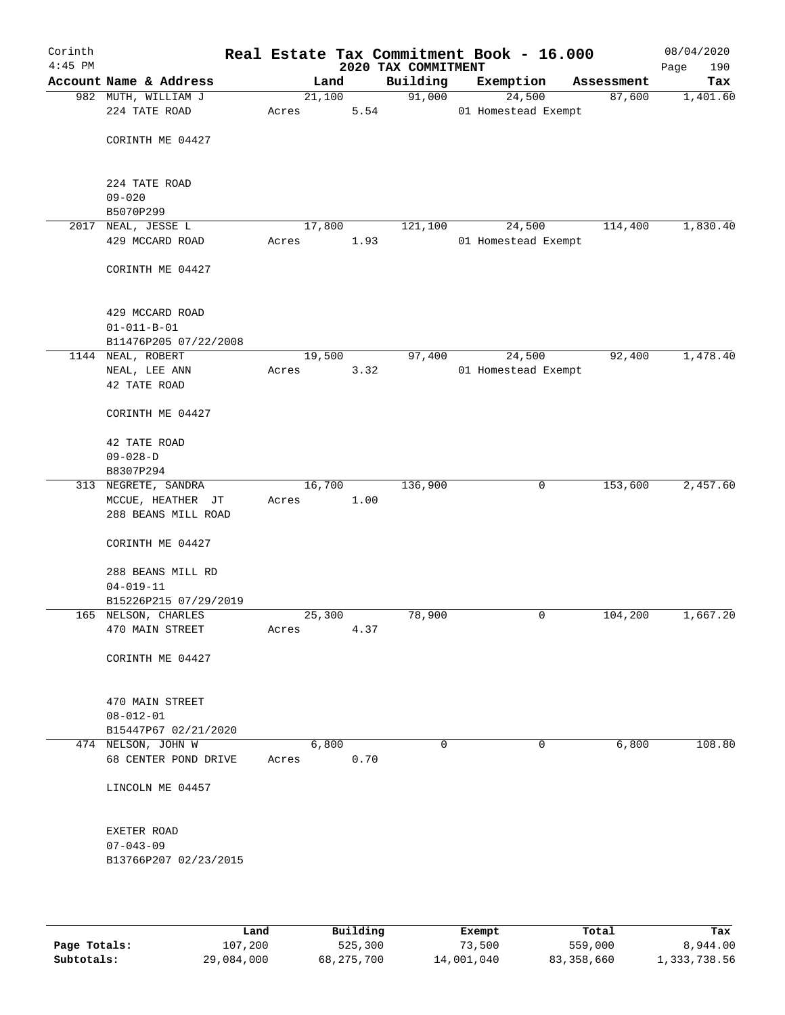| Corinth<br>$4:45$ PM |                                              |       |        |      | Real Estate Tax Commitment Book - 16.000<br>2020 TAX COMMITMENT |                     |            | 08/04/2020<br>190<br>Page |
|----------------------|----------------------------------------------|-------|--------|------|-----------------------------------------------------------------|---------------------|------------|---------------------------|
|                      | Account Name & Address                       |       | Land   |      | Building                                                        | Exemption           | Assessment | Tax                       |
|                      | 982 MUTH, WILLIAM J                          |       | 21,100 |      | 91,000                                                          | 24,500              | 87,600     | 1,401.60                  |
|                      | 224 TATE ROAD                                | Acres |        | 5.54 |                                                                 | 01 Homestead Exempt |            |                           |
|                      |                                              |       |        |      |                                                                 |                     |            |                           |
|                      | CORINTH ME 04427                             |       |        |      |                                                                 |                     |            |                           |
|                      |                                              |       |        |      |                                                                 |                     |            |                           |
|                      |                                              |       |        |      |                                                                 |                     |            |                           |
|                      | 224 TATE ROAD                                |       |        |      |                                                                 |                     |            |                           |
|                      | $09 - 020$<br>B5070P299                      |       |        |      |                                                                 |                     |            |                           |
|                      | 2017 NEAL, JESSE L                           |       | 17,800 |      | 121,100                                                         | 24,500              | 114,400    | 1,830.40                  |
|                      | 429 MCCARD ROAD                              | Acres |        | 1.93 |                                                                 | 01 Homestead Exempt |            |                           |
|                      |                                              |       |        |      |                                                                 |                     |            |                           |
|                      | CORINTH ME 04427                             |       |        |      |                                                                 |                     |            |                           |
|                      |                                              |       |        |      |                                                                 |                     |            |                           |
|                      |                                              |       |        |      |                                                                 |                     |            |                           |
|                      | 429 MCCARD ROAD                              |       |        |      |                                                                 |                     |            |                           |
|                      | $01 - 011 - B - 01$                          |       |        |      |                                                                 |                     |            |                           |
|                      | B11476P205 07/22/2008                        |       |        |      |                                                                 |                     |            |                           |
|                      | 1144 NEAL, ROBERT                            |       | 19,500 |      | 97,400                                                          | 24,500              | 92,400     | 1,478.40                  |
|                      | $\rm NEAL$ , $\rm LEE$ ANN                   | Acres |        | 3.32 |                                                                 | 01 Homestead Exempt |            |                           |
|                      | 42 TATE ROAD                                 |       |        |      |                                                                 |                     |            |                           |
|                      | CORINTH ME 04427                             |       |        |      |                                                                 |                     |            |                           |
|                      |                                              |       |        |      |                                                                 |                     |            |                           |
|                      | 42 TATE ROAD                                 |       |        |      |                                                                 |                     |            |                           |
|                      | $09 - 028 - D$                               |       |        |      |                                                                 |                     |            |                           |
|                      | B8307P294                                    |       |        |      |                                                                 |                     |            |                           |
|                      | 313 NEGRETE, SANDRA                          |       | 16,700 |      | 136,900                                                         | 0                   | 153,600    | 2,457.60                  |
|                      | MCCUE, HEATHER JT                            | Acres |        | 1.00 |                                                                 |                     |            |                           |
|                      | 288 BEANS MILL ROAD                          |       |        |      |                                                                 |                     |            |                           |
|                      |                                              |       |        |      |                                                                 |                     |            |                           |
|                      | CORINTH ME 04427                             |       |        |      |                                                                 |                     |            |                           |
|                      |                                              |       |        |      |                                                                 |                     |            |                           |
|                      | 288 BEANS MILL RD                            |       |        |      |                                                                 |                     |            |                           |
|                      | $04 - 019 - 11$                              |       |        |      |                                                                 |                     |            |                           |
|                      | B15226P215 07/29/2019<br>165 NELSON, CHARLES |       | 25,300 |      | 78,900                                                          | 0                   | 104,200    | 1,667.20                  |
|                      | 470 MAIN STREET                              | Acres |        | 4.37 |                                                                 |                     |            |                           |
|                      |                                              |       |        |      |                                                                 |                     |            |                           |
|                      | CORINTH ME 04427                             |       |        |      |                                                                 |                     |            |                           |
|                      |                                              |       |        |      |                                                                 |                     |            |                           |
|                      |                                              |       |        |      |                                                                 |                     |            |                           |
|                      | 470 MAIN STREET                              |       |        |      |                                                                 |                     |            |                           |
|                      | $08 - 012 - 01$                              |       |        |      |                                                                 |                     |            |                           |
|                      | B15447P67 02/21/2020                         |       |        |      |                                                                 |                     |            |                           |
|                      | 474 NELSON, JOHN W                           |       | 6,800  |      | 0                                                               | 0                   | 6,800      | 108.80                    |
|                      | 68 CENTER POND DRIVE                         | Acres |        | 0.70 |                                                                 |                     |            |                           |
|                      |                                              |       |        |      |                                                                 |                     |            |                           |
|                      | LINCOLN ME 04457                             |       |        |      |                                                                 |                     |            |                           |
|                      |                                              |       |        |      |                                                                 |                     |            |                           |
|                      | EXETER ROAD                                  |       |        |      |                                                                 |                     |            |                           |
|                      | $07 - 043 - 09$                              |       |        |      |                                                                 |                     |            |                           |
|                      | B13766P207 02/23/2015                        |       |        |      |                                                                 |                     |            |                           |
|                      |                                              |       |        |      |                                                                 |                     |            |                           |
|                      |                                              |       |        |      |                                                                 |                     |            |                           |
|                      |                                              |       |        |      |                                                                 |                     |            |                           |

|              | Land       | Building   | Exempt     | Total      | Tax          |
|--------------|------------|------------|------------|------------|--------------|
| Page Totals: | 107,200    | 525,300    | 73,500     | 559,000    | 8,944.00     |
| Subtotals:   | 29,084,000 | 68,275,700 | 14,001,040 | 83,358,660 | 1,333,738.56 |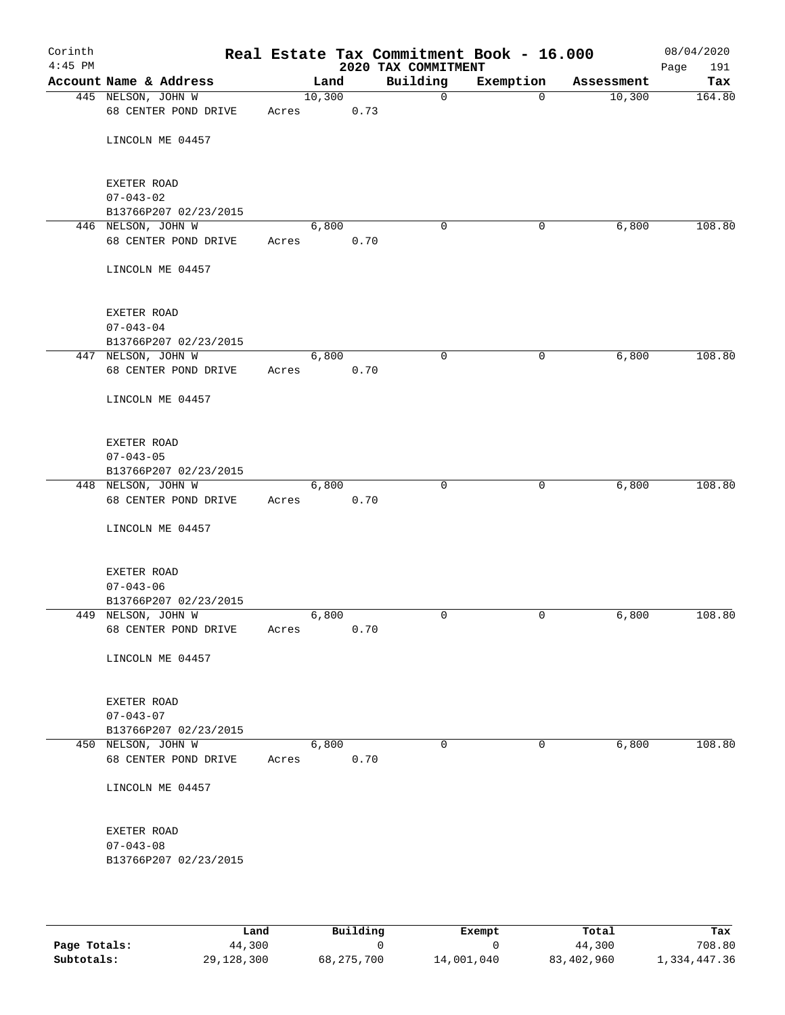| Corinth<br>$4:45$ PM |                                            |       |        |      | Real Estate Tax Commitment Book - 16.000<br>2020 TAX COMMITMENT |             |            | 08/04/2020<br>191<br>Page |
|----------------------|--------------------------------------------|-------|--------|------|-----------------------------------------------------------------|-------------|------------|---------------------------|
|                      | Account Name & Address                     |       | Land   |      | Building                                                        | Exemption   | Assessment | Tax                       |
|                      | 445 NELSON, JOHN W<br>68 CENTER POND DRIVE | Acres | 10,300 | 0.73 | 0                                                               | $\mathbf 0$ | 10,300     | 164.80                    |
|                      | LINCOLN ME 04457                           |       |        |      |                                                                 |             |            |                           |
|                      | EXETER ROAD<br>$07 - 043 - 02$             |       |        |      |                                                                 |             |            |                           |
|                      | B13766P207 02/23/2015                      |       |        |      |                                                                 |             |            |                           |
|                      | 446 NELSON, JOHN W                         |       | 6,800  |      | $\mathbf 0$                                                     | 0           | 6,800      | 108.80                    |
|                      | 68 CENTER POND DRIVE                       | Acres |        | 0.70 |                                                                 |             |            |                           |
|                      | LINCOLN ME 04457                           |       |        |      |                                                                 |             |            |                           |
|                      | EXETER ROAD                                |       |        |      |                                                                 |             |            |                           |
|                      | $07 - 043 - 04$                            |       |        |      |                                                                 |             |            |                           |
|                      | B13766P207 02/23/2015                      |       |        |      |                                                                 |             |            |                           |
|                      | 447 NELSON, JOHN W<br>68 CENTER POND DRIVE | Acres | 6,800  | 0.70 | $\mathbf 0$                                                     | 0           | 6,800      | 108.80                    |
|                      | LINCOLN ME 04457                           |       |        |      |                                                                 |             |            |                           |
|                      | EXETER ROAD                                |       |        |      |                                                                 |             |            |                           |
|                      | $07 - 043 - 05$                            |       |        |      |                                                                 |             |            |                           |
|                      | B13766P207 02/23/2015                      |       |        |      |                                                                 |             |            |                           |
|                      | 448 NELSON, JOHN W<br>68 CENTER POND DRIVE | Acres | 6,800  | 0.70 | $\mathbf 0$                                                     | 0           | 6,800      | 108.80                    |
|                      | LINCOLN ME 04457                           |       |        |      |                                                                 |             |            |                           |
|                      | EXETER ROAD                                |       |        |      |                                                                 |             |            |                           |
|                      | $07 - 043 - 06$                            |       |        |      |                                                                 |             |            |                           |
|                      | B13766P207 02/23/2015                      |       | 6,800  |      | 0                                                               |             |            | 108.80                    |
|                      | 449 NELSON, JOHN W<br>68 CENTER POND DRIVE | Acres |        | 0.70 |                                                                 | 0           | 6,800      |                           |
|                      | LINCOLN ME 04457                           |       |        |      |                                                                 |             |            |                           |
|                      | EXETER ROAD                                |       |        |      |                                                                 |             |            |                           |
|                      | $07 - 043 - 07$                            |       |        |      |                                                                 |             |            |                           |
|                      | B13766P207 02/23/2015                      |       |        |      |                                                                 |             |            |                           |
|                      | 450 NELSON, JOHN W<br>68 CENTER POND DRIVE | Acres | 6,800  | 0.70 | 0                                                               | 0           | 6,800      | 108.80                    |
|                      | LINCOLN ME 04457                           |       |        |      |                                                                 |             |            |                           |
|                      | EXETER ROAD                                |       |        |      |                                                                 |             |            |                           |
|                      | $07 - 043 - 08$                            |       |        |      |                                                                 |             |            |                           |
|                      | B13766P207 02/23/2015                      |       |        |      |                                                                 |             |            |                           |
|                      |                                            |       |        |      |                                                                 |             |            |                           |

|              | Land       | Building   | Exempt     | Total      | Tax          |
|--------------|------------|------------|------------|------------|--------------|
| Page Totals: | 44,300     |            |            | 44,300     | 708.80       |
| Subtotals:   | 29,128,300 | 68,275,700 | 14,001,040 | 83,402,960 | 1,334,447.36 |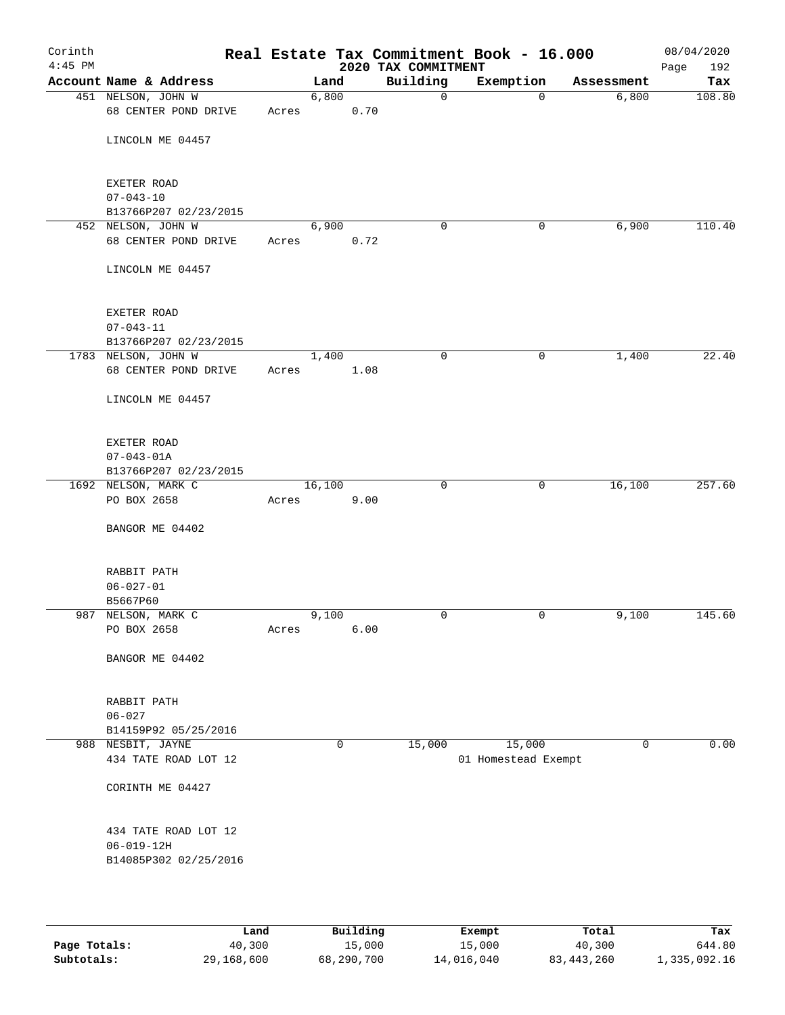| Corinth<br>$4:45$ PM |                                            |       |        |      | 2020 TAX COMMITMENT | Real Estate Tax Commitment Book - 16.000 |            | 08/04/2020<br>Page<br>192 |
|----------------------|--------------------------------------------|-------|--------|------|---------------------|------------------------------------------|------------|---------------------------|
|                      | Account Name & Address                     |       | Land   |      | Building            | Exemption                                | Assessment | Tax                       |
|                      | 451 NELSON, JOHN W<br>68 CENTER POND DRIVE | Acres | 6,800  | 0.70 | $\mathsf{O}$        | $\mathbf 0$                              | 6,800      | 108.80                    |
|                      |                                            |       |        |      |                     |                                          |            |                           |
|                      | LINCOLN ME 04457                           |       |        |      |                     |                                          |            |                           |
|                      | EXETER ROAD                                |       |        |      |                     |                                          |            |                           |
|                      | $07 - 043 - 10$                            |       |        |      |                     |                                          |            |                           |
|                      | B13766P207 02/23/2015                      |       |        |      |                     |                                          |            |                           |
|                      | 452 NELSON, JOHN W<br>68 CENTER POND DRIVE | Acres | 6,900  | 0.72 | $\mathbf 0$         | 0                                        | 6,900      | 110.40                    |
|                      | LINCOLN ME 04457                           |       |        |      |                     |                                          |            |                           |
|                      |                                            |       |        |      |                     |                                          |            |                           |
|                      | EXETER ROAD                                |       |        |      |                     |                                          |            |                           |
|                      | $07 - 043 - 11$                            |       |        |      |                     |                                          |            |                           |
|                      | B13766P207 02/23/2015                      |       |        |      |                     |                                          |            |                           |
|                      | 1783 NELSON, JOHN W                        |       | 1,400  |      | 0                   | 0                                        | 1,400      | 22.40                     |
|                      | 68 CENTER POND DRIVE                       | Acres |        | 1.08 |                     |                                          |            |                           |
|                      | LINCOLN ME 04457                           |       |        |      |                     |                                          |            |                           |
|                      | EXETER ROAD                                |       |        |      |                     |                                          |            |                           |
|                      | $07 - 043 - 01A$                           |       |        |      |                     |                                          |            |                           |
|                      | B13766P207 02/23/2015                      |       |        |      |                     |                                          |            |                           |
|                      | 1692 NELSON, MARK C                        |       | 16,100 |      | $\mathbf 0$         | $\mathsf{O}$                             | 16,100     | 257.60                    |
|                      | PO BOX 2658                                | Acres |        | 9.00 |                     |                                          |            |                           |
|                      | BANGOR ME 04402                            |       |        |      |                     |                                          |            |                           |
|                      | RABBIT PATH                                |       |        |      |                     |                                          |            |                           |
|                      | $06 - 027 - 01$                            |       |        |      |                     |                                          |            |                           |
|                      | B5667P60                                   |       |        |      |                     |                                          |            |                           |
|                      | 987 NELSON, MARK C                         |       | 9,100  |      | 0                   | $\mathbf 0$                              | 9,100      | 145.60                    |
|                      | PO BOX 2658                                | Acres |        | 6.00 |                     |                                          |            |                           |
|                      | BANGOR ME 04402                            |       |        |      |                     |                                          |            |                           |
|                      | RABBIT PATH                                |       |        |      |                     |                                          |            |                           |
|                      | $06 - 027$                                 |       |        |      |                     |                                          |            |                           |
|                      | B14159P92 05/25/2016                       |       |        |      |                     |                                          |            |                           |
|                      | 988 NESBIT, JAYNE                          |       | 0      |      | 15,000              | 15,000                                   | 0          | 0.00                      |
|                      | 434 TATE ROAD LOT 12                       |       |        |      |                     | 01 Homestead Exempt                      |            |                           |
|                      | CORINTH ME 04427                           |       |        |      |                     |                                          |            |                           |
|                      | 434 TATE ROAD LOT 12                       |       |        |      |                     |                                          |            |                           |
|                      | $06 - 019 - 12H$                           |       |        |      |                     |                                          |            |                           |
|                      | B14085P302 02/25/2016                      |       |        |      |                     |                                          |            |                           |
|                      |                                            |       |        |      |                     |                                          |            |                           |
|                      |                                            |       |        |      |                     |                                          |            |                           |

|              | Land       | Building   | Exempt     | Total        | Tax          |
|--------------|------------|------------|------------|--------------|--------------|
| Page Totals: | 40,300     | 15,000     | 15,000     | 40,300       | 644.80       |
| Subtotals:   | 29,168,600 | 68,290,700 | 14,016,040 | 83, 443, 260 | 1,335,092.16 |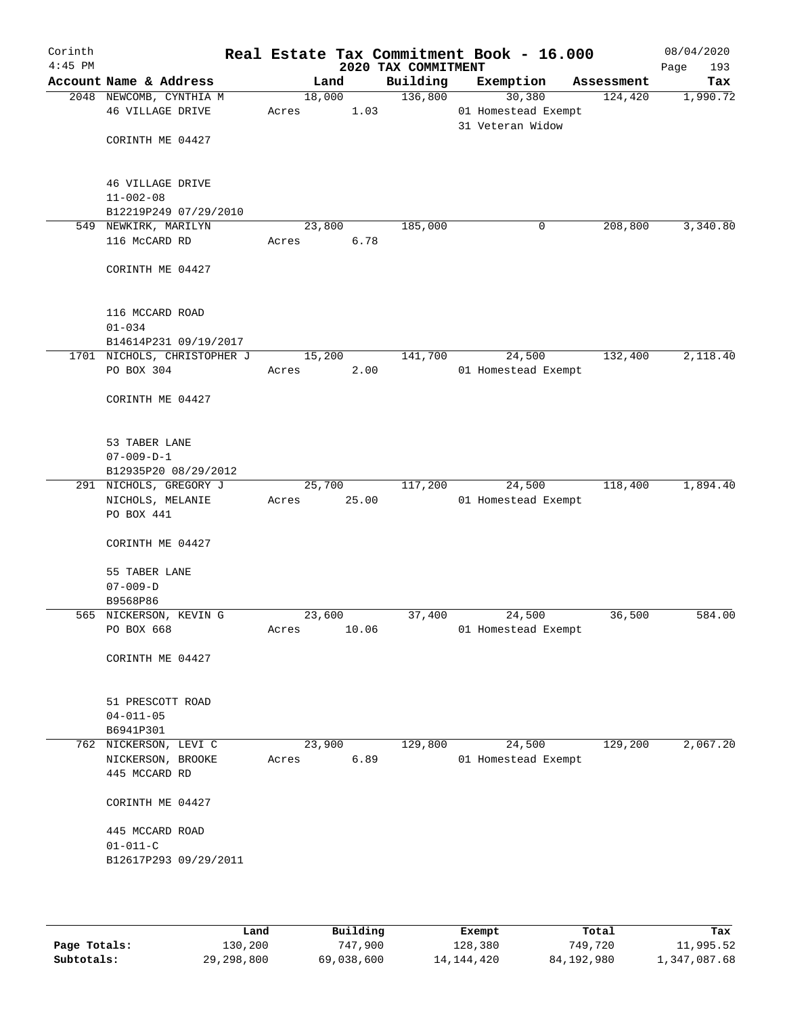| Corinth<br>$4:45$ PM |                                             |        |                | 2020 TAX COMMITMENT | Real Estate Tax Commitment Book - 16.000 |            | 08/04/2020<br>193<br>Page |
|----------------------|---------------------------------------------|--------|----------------|---------------------|------------------------------------------|------------|---------------------------|
|                      | Account Name & Address                      |        | Land           | Building            | Exemption                                | Assessment | Tax                       |
|                      | 2048 NEWCOMB, CYNTHIA M<br>46 VILLAGE DRIVE | Acres  | 18,000<br>1.03 | 136,800             | 30,380<br>01 Homestead Exempt            | 124,420    | 1,990.72                  |
|                      | CORINTH ME 04427                            |        |                |                     | 31 Veteran Widow                         |            |                           |
|                      | <b>46 VILLAGE DRIVE</b><br>$11 - 002 - 08$  |        |                |                     |                                          |            |                           |
|                      | B12219P249 07/29/2010                       |        |                |                     |                                          |            |                           |
|                      | 549 NEWKIRK, MARILYN                        |        | 23,800         | 185,000             | 0                                        | 208,800    | 3,340.80                  |
|                      | 116 McCARD RD                               | Acres  | 6.78           |                     |                                          |            |                           |
|                      | CORINTH ME 04427                            |        |                |                     |                                          |            |                           |
|                      | 116 MCCARD ROAD                             |        |                |                     |                                          |            |                           |
|                      | $01 - 034$                                  |        |                |                     |                                          |            |                           |
|                      | B14614P231 09/19/2017                       |        |                |                     |                                          |            | 2,118.40                  |
|                      | 1701 NICHOLS, CHRISTOPHER J<br>PO BOX 304   | Acres  | 15,200<br>2.00 | 141,700             | 24,500<br>01 Homestead Exempt            | 132,400    |                           |
|                      | CORINTH ME 04427                            |        |                |                     |                                          |            |                           |
|                      | 53 TABER LANE                               |        |                |                     |                                          |            |                           |
|                      | $07 - 009 - D - 1$                          |        |                |                     |                                          |            |                           |
|                      | B12935P20 08/29/2012                        |        |                |                     |                                          |            |                           |
|                      | 291 NICHOLS, GREGORY J                      |        | 25,700         | 117,200             | 24,500                                   | 118,400    | 1,894.40                  |
|                      | NICHOLS, MELANIE<br>PO BOX 441              | Acres  | 25.00          |                     | 01 Homestead Exempt                      |            |                           |
|                      | CORINTH ME 04427                            |        |                |                     |                                          |            |                           |
|                      | 55 TABER LANE                               |        |                |                     |                                          |            |                           |
|                      | $07 - 009 - D$                              |        |                |                     |                                          |            |                           |
|                      | B9568P86                                    |        |                |                     |                                          |            |                           |
|                      | 565 NICKERSON, KEVIN G                      | 23,600 |                | 37,400              | 24,500                                   | 36,500     | 584.00                    |
|                      | PO BOX 668                                  | Acres  | 10.06          |                     | 01 Homestead Exempt                      |            |                           |
|                      | CORINTH ME 04427                            |        |                |                     |                                          |            |                           |
|                      | 51 PRESCOTT ROAD                            |        |                |                     |                                          |            |                           |
|                      | $04 - 011 - 05$                             |        |                |                     |                                          |            |                           |
|                      | B6941P301<br>762 NICKERSON, LEVI C          | 23,900 |                | 129,800             | 24,500                                   | 129,200    | 2,067.20                  |
|                      | NICKERSON, BROOKE                           | Acres  | 6.89           |                     | 01 Homestead Exempt                      |            |                           |
|                      | 445 MCCARD RD                               |        |                |                     |                                          |            |                           |
|                      | CORINTH ME 04427                            |        |                |                     |                                          |            |                           |
|                      | 445 MCCARD ROAD<br>$01 - 011 - C$           |        |                |                     |                                          |            |                           |
|                      | B12617P293 09/29/2011                       |        |                |                     |                                          |            |                           |
|                      |                                             |        |                |                     |                                          |            |                           |

|              | Land         | Building   | Exempt     | Total      | Tax          |
|--------------|--------------|------------|------------|------------|--------------|
| Page Totals: | 130,200      | 747,900    | 128,380    | 749,720    | 11,995.52    |
| Subtotals:   | 29, 298, 800 | 69,038,600 | 14,144,420 | 84,192,980 | 1,347,087.68 |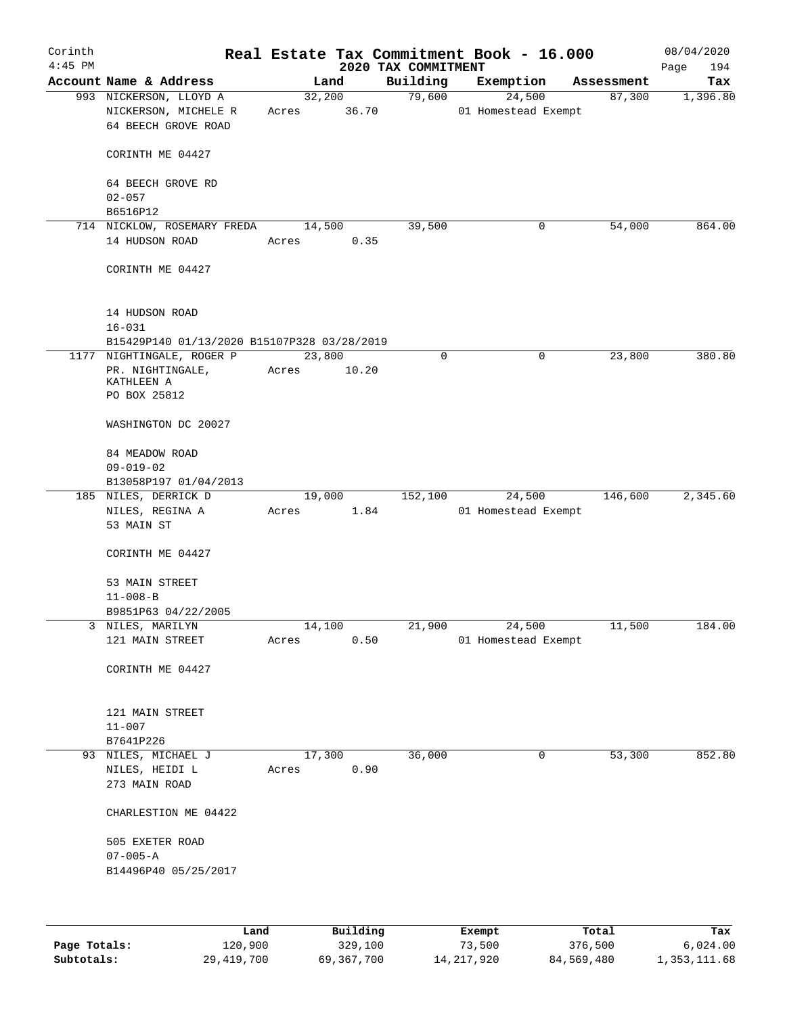| Corinth<br>$4:45$ PM |                                                                             |                 |                 | 2020 TAX COMMITMENT | Real Estate Tax Commitment Book - 16.000 |            | 08/04/2020<br>Page<br>194 |
|----------------------|-----------------------------------------------------------------------------|-----------------|-----------------|---------------------|------------------------------------------|------------|---------------------------|
|                      | Account Name & Address                                                      |                 | Land            | Building            | Exemption                                | Assessment | Tax                       |
|                      | 993 NICKERSON, LLOYD A<br>NICKERSON, MICHELE R<br>64 BEECH GROVE ROAD       | Acres           | 32,200<br>36.70 | 79,600              | 24,500<br>01 Homestead Exempt            | 87,300     | 1,396.80                  |
|                      | CORINTH ME 04427                                                            |                 |                 |                     |                                          |            |                           |
|                      | 64 BEECH GROVE RD<br>$02 - 057$                                             |                 |                 |                     |                                          |            |                           |
|                      | B6516P12                                                                    |                 |                 |                     |                                          |            |                           |
|                      | 714 NICKLOW, ROSEMARY FREDA                                                 | 14,500          |                 | 39,500              | 0                                        | 54,000     | 864.00                    |
|                      | 14 HUDSON ROAD                                                              | Acres           | 0.35            |                     |                                          |            |                           |
|                      | CORINTH ME 04427                                                            |                 |                 |                     |                                          |            |                           |
|                      | 14 HUDSON ROAD<br>$16 - 031$                                                |                 |                 |                     |                                          |            |                           |
|                      | B15429P140 01/13/2020 B15107P328 03/28/2019                                 |                 |                 |                     |                                          |            |                           |
|                      | 1177 NIGHTINGALE, ROGER P<br>PR. NIGHTINGALE,<br>KATHLEEN A<br>PO BOX 25812 | 23,800<br>Acres | 10.20           | 0                   | 0                                        | 23,800     | 380.80                    |
|                      | WASHINGTON DC 20027                                                         |                 |                 |                     |                                          |            |                           |
|                      | 84 MEADOW ROAD<br>$09 - 019 - 02$                                           |                 |                 |                     |                                          |            |                           |
|                      | B13058P197 01/04/2013<br>185 NILES, DERRICK D                               |                 | 19,000          | 152,100             | 24,500                                   | 146,600    | 2,345.60                  |
|                      | NILES, REGINA A<br>53 MAIN ST                                               | Acres           | 1.84            |                     | 01 Homestead Exempt                      |            |                           |
|                      | CORINTH ME 04427                                                            |                 |                 |                     |                                          |            |                           |
|                      | 53 MAIN STREET                                                              |                 |                 |                     |                                          |            |                           |
|                      | $11 - 008 - B$                                                              |                 |                 |                     |                                          |            |                           |
|                      | B9851P63 04/22/2005                                                         |                 |                 |                     |                                          |            |                           |
|                      | 3 NILES, MARILYN                                                            | 14,100          |                 | 21,900              | 24,500                                   | 11,500     | 184.00                    |
|                      | 121 MAIN STREET                                                             | Acres           | 0.50            |                     | 01 Homestead Exempt                      |            |                           |
|                      | CORINTH ME 04427                                                            |                 |                 |                     |                                          |            |                           |
|                      | 121 MAIN STREET                                                             |                 |                 |                     |                                          |            |                           |
|                      | $11 - 007$                                                                  |                 |                 |                     |                                          |            |                           |
|                      | B7641P226<br>93 NILES, MICHAEL J                                            |                 | 17,300          | 36,000              | 0                                        | 53,300     | 852.80                    |
|                      | NILES, HEIDI L<br>273 MAIN ROAD                                             | Acres           | 0.90            |                     |                                          |            |                           |
|                      | CHARLESTION ME 04422                                                        |                 |                 |                     |                                          |            |                           |
|                      | 505 EXETER ROAD                                                             |                 |                 |                     |                                          |            |                           |
|                      | $07 - 005 - A$<br>B14496P40 05/25/2017                                      |                 |                 |                     |                                          |            |                           |
|                      |                                                                             |                 |                 |                     |                                          |            |                           |
|                      | Land                                                                        |                 | Building        |                     | Exempt                                   | Total      | Tax                       |

|              | Land       | Building   | Exempt       | Total      | Tax          |
|--------------|------------|------------|--------------|------------|--------------|
| Page Totals: | 120,900    | 329,100    | 73,500       | 376,500    | 6,024.00     |
| Subtotals:   | 29,419,700 | 69,367,700 | 14, 217, 920 | 84,569,480 | 1,353,111.68 |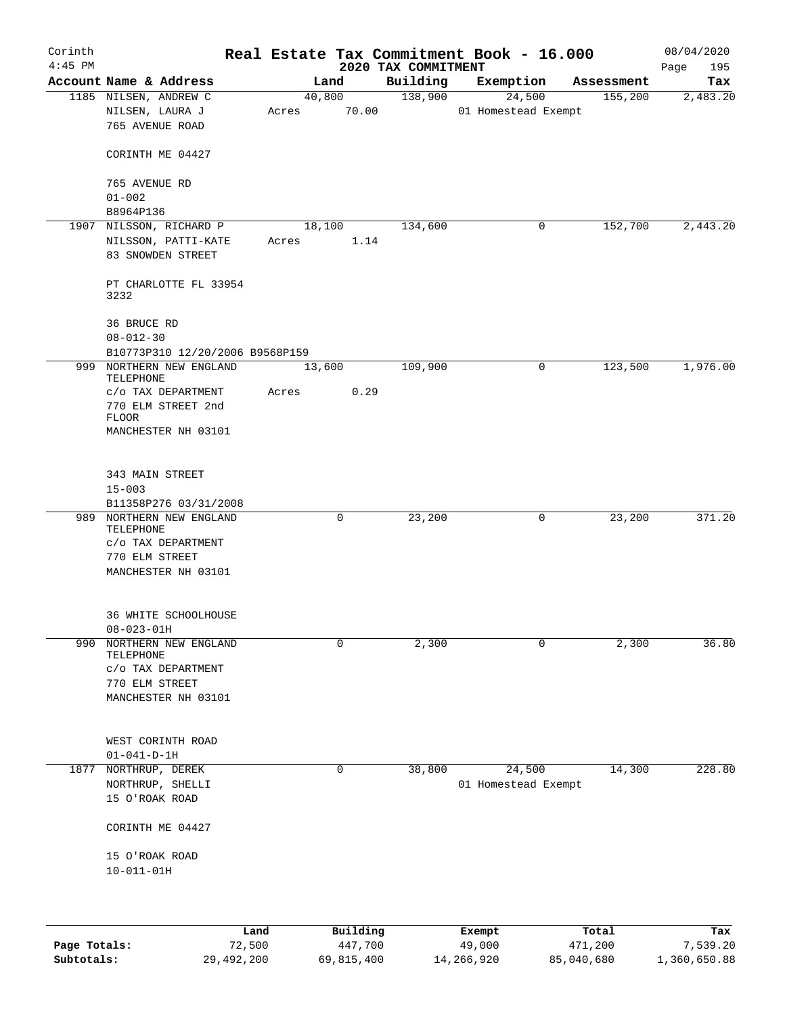| Corinth<br>$4:45$ PM |                                                          |       |                     | 2020 TAX COMMITMENT | Real Estate Tax Commitment Book - 16.000 |                  | 08/04/2020         |
|----------------------|----------------------------------------------------------|-------|---------------------|---------------------|------------------------------------------|------------------|--------------------|
|                      | Account Name & Address                                   |       | Land                | Building            | Exemption                                | Assessment       | Page<br>195<br>Tax |
|                      | 1185 NILSEN, ANDREW C                                    |       | 40,800              | 138,900             | 24,500                                   | 155,200          | 2,483.20           |
|                      | NILSEN, LAURA J<br>765 AVENUE ROAD                       | Acres | 70.00               |                     | 01 Homestead Exempt                      |                  |                    |
|                      | CORINTH ME 04427                                         |       |                     |                     |                                          |                  |                    |
|                      | 765 AVENUE RD<br>$01 - 002$                              |       |                     |                     |                                          |                  |                    |
|                      | B8964P136                                                |       |                     |                     |                                          |                  |                    |
|                      | 1907 NILSSON, RICHARD P                                  |       | 18,100              | 134,600             | 0                                        | 152,700          | 2,443.20           |
|                      | NILSSON, PATTI-KATE<br>83 SNOWDEN STREET                 | Acres | 1.14                |                     |                                          |                  |                    |
|                      | PT CHARLOTTE FL 33954<br>3232                            |       |                     |                     |                                          |                  |                    |
|                      | 36 BRUCE RD<br>$08 - 012 - 30$                           |       |                     |                     |                                          |                  |                    |
|                      | B10773P310 12/20/2006 B9568P159                          |       |                     |                     |                                          |                  |                    |
|                      | 999 NORTHERN NEW ENGLAND<br>TELEPHONE                    |       | 13,600              | 109,900             | 0                                        | 123,500          | 1,976.00           |
|                      | c/o TAX DEPARTMENT<br>770 ELM STREET 2nd<br><b>FLOOR</b> | Acres | 0.29                |                     |                                          |                  |                    |
|                      | MANCHESTER NH 03101                                      |       |                     |                     |                                          |                  |                    |
|                      | 343 MAIN STREET                                          |       |                     |                     |                                          |                  |                    |
|                      | $15 - 003$<br>B11358P276 03/31/2008                      |       |                     |                     |                                          |                  |                    |
|                      | 989 NORTHERN NEW ENGLAND<br>TELEPHONE                    |       | 0                   | 23,200              | 0                                        | 23,200           | 371.20             |
|                      | C/O TAX DEPARTMENT                                       |       |                     |                     |                                          |                  |                    |
|                      | 770 ELM STREET                                           |       |                     |                     |                                          |                  |                    |
|                      | MANCHESTER NH 03101                                      |       |                     |                     |                                          |                  |                    |
|                      | 36 WHITE SCHOOLHOUSE                                     |       |                     |                     |                                          |                  |                    |
|                      | $08 - 023 - 01H$                                         |       |                     |                     |                                          |                  |                    |
| 990                  | NORTHERN NEW ENGLAND<br>TELEPHONE                        |       | $\mathbf 0$         | 2,300               | 0                                        | 2,300            | 36.80              |
|                      | $c$ /o TAX DEPARTMENT                                    |       |                     |                     |                                          |                  |                    |
|                      | 770 ELM STREET                                           |       |                     |                     |                                          |                  |                    |
|                      | MANCHESTER NH 03101                                      |       |                     |                     |                                          |                  |                    |
|                      | WEST CORINTH ROAD                                        |       |                     |                     |                                          |                  |                    |
|                      | $01 - 041 - D - 1H$                                      |       |                     |                     |                                          |                  |                    |
| 1877                 | NORTHRUP, DEREK                                          |       | 0                   | 38,800              | 24,500                                   | 14,300           | 228.80             |
|                      | NORTHRUP, SHELLI<br>15 O'ROAK ROAD                       |       |                     |                     | 01 Homestead Exempt                      |                  |                    |
|                      | CORINTH ME 04427                                         |       |                     |                     |                                          |                  |                    |
|                      | 15 O'ROAK ROAD<br>$10 - 011 - 01H$                       |       |                     |                     |                                          |                  |                    |
|                      |                                                          |       |                     |                     |                                          |                  |                    |
|                      |                                                          |       |                     |                     |                                          |                  |                    |
| Page Totals:         | Land<br>72,500                                           |       | Building<br>447,700 |                     | Exempt<br>49,000                         | Total<br>471,200 | Tax<br>7,539.20    |

**Subtotals:** 29,492,200 69,815,400 14,266,920 85,040,680 1,360,650.88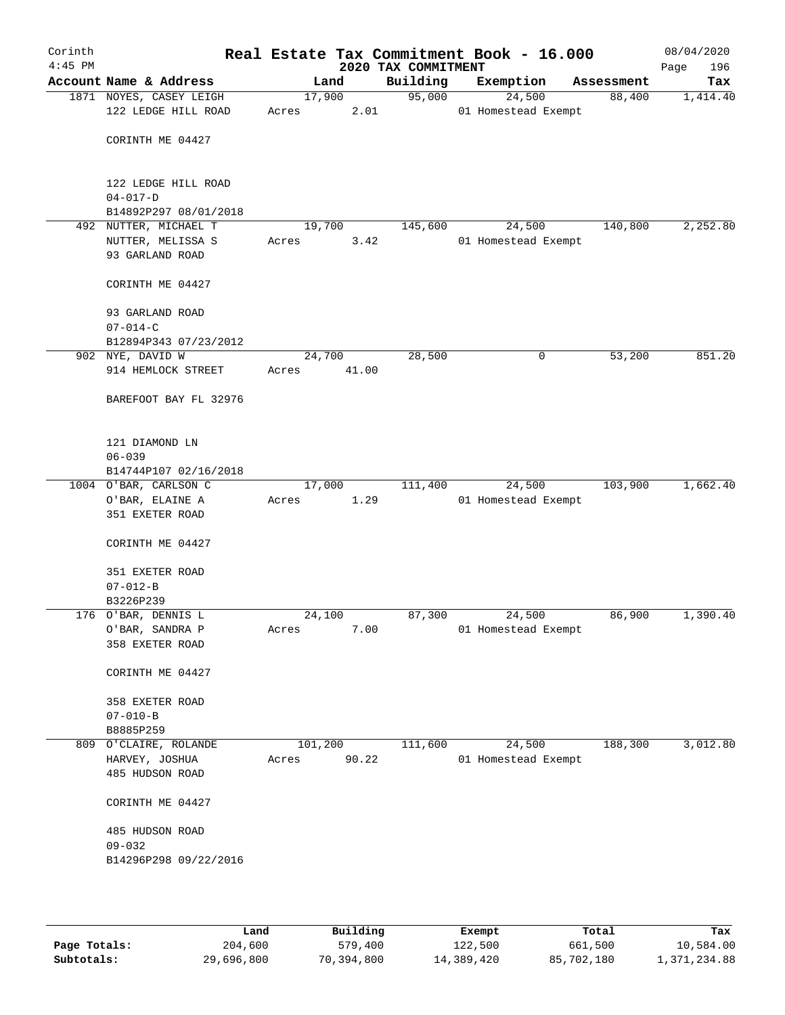| Corinth<br>$4:45$ PM |                         |         |       | 2020 TAX COMMITMENT | Real Estate Tax Commitment Book - 16.000 |            | 08/04/2020<br>196<br>Page |
|----------------------|-------------------------|---------|-------|---------------------|------------------------------------------|------------|---------------------------|
|                      | Account Name & Address  |         | Land  | Building            | Exemption                                | Assessment | Tax                       |
|                      | 1871 NOYES, CASEY LEIGH | 17,900  |       | 95,000              | 24,500                                   | 88,400     | 1,414.40                  |
|                      | 122 LEDGE HILL ROAD     | Acres   | 2.01  |                     | 01 Homestead Exempt                      |            |                           |
|                      | CORINTH ME 04427        |         |       |                     |                                          |            |                           |
|                      |                         |         |       |                     |                                          |            |                           |
|                      | 122 LEDGE HILL ROAD     |         |       |                     |                                          |            |                           |
|                      | $04 - 017 - D$          |         |       |                     |                                          |            |                           |
|                      | B14892P297 08/01/2018   |         |       |                     |                                          |            |                           |
|                      | 492 NUTTER, MICHAEL T   | 19,700  |       | 145,600             | 24,500                                   | 140,800    | 2,252.80                  |
|                      | NUTTER, MELISSA S       | Acres   | 3.42  |                     | 01 Homestead Exempt                      |            |                           |
|                      | 93 GARLAND ROAD         |         |       |                     |                                          |            |                           |
|                      | CORINTH ME 04427        |         |       |                     |                                          |            |                           |
|                      | 93 GARLAND ROAD         |         |       |                     |                                          |            |                           |
|                      | $07 - 014 - C$          |         |       |                     |                                          |            |                           |
|                      | B12894P343 07/23/2012   |         |       |                     |                                          |            |                           |
|                      | 902 NYE, DAVID W        | 24,700  |       | 28,500              | 0                                        | 53,200     | 851.20                    |
|                      | 914 HEMLOCK STREET      | Acres   | 41.00 |                     |                                          |            |                           |
|                      | BAREFOOT BAY FL 32976   |         |       |                     |                                          |            |                           |
|                      | 121 DIAMOND LN          |         |       |                     |                                          |            |                           |
|                      | $06 - 039$              |         |       |                     |                                          |            |                           |
|                      | B14744P107 02/16/2018   |         |       |                     |                                          |            |                           |
|                      | 1004 O'BAR, CARLSON C   | 17,000  |       | 111,400             | 24,500                                   | 103,900    | 1,662.40                  |
|                      | O'BAR, ELAINE A         | Acres   | 1.29  |                     | 01 Homestead Exempt                      |            |                           |
|                      | 351 EXETER ROAD         |         |       |                     |                                          |            |                           |
|                      |                         |         |       |                     |                                          |            |                           |
|                      | CORINTH ME 04427        |         |       |                     |                                          |            |                           |
|                      | 351 EXETER ROAD         |         |       |                     |                                          |            |                           |
|                      | $07 - 012 - B$          |         |       |                     |                                          |            |                           |
|                      | B3226P239               |         |       |                     |                                          |            |                           |
|                      | 176 O'BAR, DENNIS L     | 24,100  |       | 87,300              | 24,500                                   | 86,900     | 1,390.40                  |
|                      | O'BAR, SANDRA P         | Acres   | 7.00  |                     | 01 Homestead Exempt                      |            |                           |
|                      | 358 EXETER ROAD         |         |       |                     |                                          |            |                           |
|                      | CORINTH ME 04427        |         |       |                     |                                          |            |                           |
|                      | 358 EXETER ROAD         |         |       |                     |                                          |            |                           |
|                      | $07 - 010 - B$          |         |       |                     |                                          |            |                           |
|                      | B8885P259               |         |       |                     |                                          |            |                           |
| 809                  | O'CLAIRE, ROLANDE       | 101,200 |       | 111,600             | 24,500                                   | 188,300    | 3,012.80                  |
|                      | HARVEY, JOSHUA          | Acres   | 90.22 |                     | 01 Homestead Exempt                      |            |                           |
|                      | 485 HUDSON ROAD         |         |       |                     |                                          |            |                           |
|                      | CORINTH ME 04427        |         |       |                     |                                          |            |                           |
|                      | 485 HUDSON ROAD         |         |       |                     |                                          |            |                           |
|                      | $09 - 032$              |         |       |                     |                                          |            |                           |
|                      | B14296P298 09/22/2016   |         |       |                     |                                          |            |                           |
|                      |                         |         |       |                     |                                          |            |                           |
|                      |                         |         |       |                     |                                          |            |                           |
|                      |                         |         |       |                     |                                          |            |                           |

|              | Land       | Building   | Exempt     | Total      | Tax          |
|--------------|------------|------------|------------|------------|--------------|
| Page Totals: | 204,600    | 579,400    | 122,500    | 661,500    | 10,584.00    |
| Subtotals:   | 29,696,800 | 70,394,800 | 14,389,420 | 85,702,180 | 1,371,234.88 |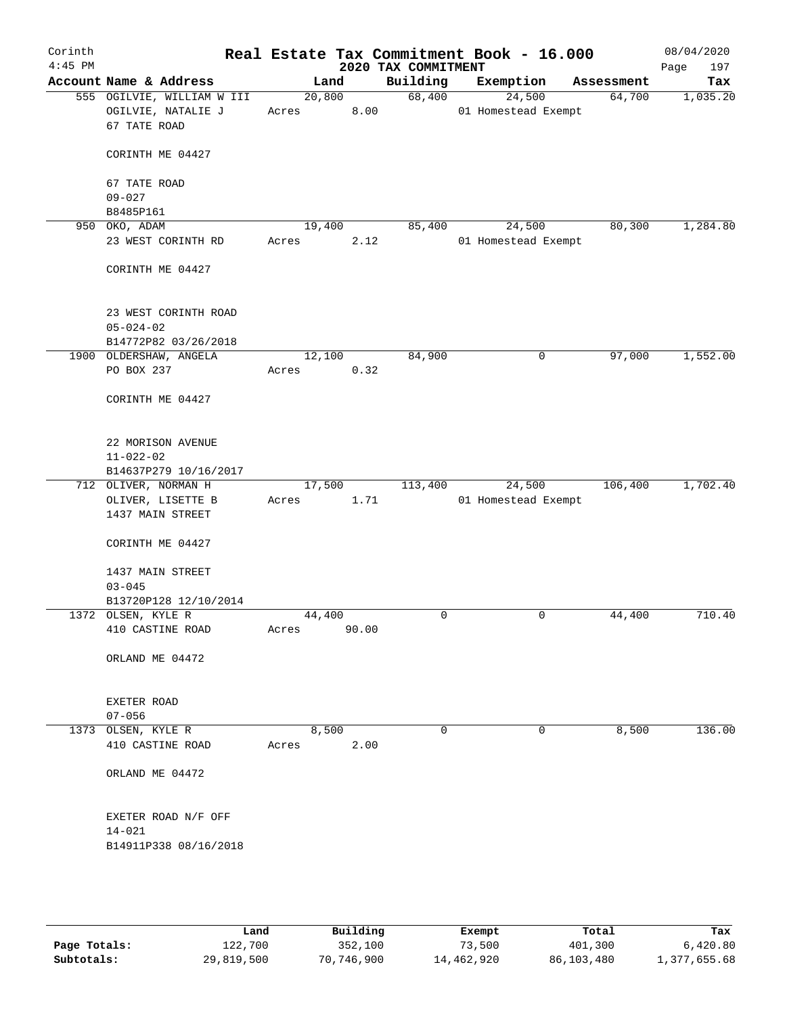| Corinth<br>$4:45$ PM |                                                                  |                         | 2020 TAX COMMITMENT | Real Estate Tax Commitment Book - 16.000 |            | 08/04/2020<br>197<br>Page |
|----------------------|------------------------------------------------------------------|-------------------------|---------------------|------------------------------------------|------------|---------------------------|
|                      | Account Name & Address                                           | Land                    | Building            | Exemption                                | Assessment | Tax                       |
|                      | 555 OGILVIE, WILLIAM W III<br>OGILVIE, NATALIE J<br>67 TATE ROAD | 20,800<br>8.00<br>Acres | 68,400              | 24,500<br>01 Homestead Exempt            | 64,700     | 1,035.20                  |
|                      | CORINTH ME 04427                                                 |                         |                     |                                          |            |                           |
|                      | 67 TATE ROAD<br>$09 - 027$                                       |                         |                     |                                          |            |                           |
|                      | B8485P161                                                        |                         |                     |                                          |            |                           |
|                      | 950 OKO, ADAM                                                    | 19,400                  | 85,400              | 24,500                                   | 80,300     | 1,284.80                  |
|                      | 23 WEST CORINTH RD                                               | 2.12<br>Acres           |                     | 01 Homestead Exempt                      |            |                           |
|                      | CORINTH ME 04427                                                 |                         |                     |                                          |            |                           |
|                      | 23 WEST CORINTH ROAD<br>$05 - 024 - 02$<br>B14772P82 03/26/2018  |                         |                     |                                          |            |                           |
|                      | 1900 OLDERSHAW, ANGELA                                           | 12,100                  | 84,900              | 0                                        | 97,000     | 1,552.00                  |
|                      | PO BOX 237                                                       | 0.32<br>Acres           |                     |                                          |            |                           |
|                      | CORINTH ME 04427                                                 |                         |                     |                                          |            |                           |
|                      | 22 MORISON AVENUE                                                |                         |                     |                                          |            |                           |
|                      | $11 - 022 - 02$                                                  |                         |                     |                                          |            |                           |
|                      | B14637P279 10/16/2017                                            |                         |                     |                                          |            |                           |
|                      | 712 OLIVER, NORMAN H                                             | 17,500                  | 113,400             | 24,500                                   | 106,400    | 1,702.40                  |
|                      | OLIVER, LISETTE B<br>1437 MAIN STREET                            | 1.71<br>Acres           |                     | 01 Homestead Exempt                      |            |                           |
|                      | CORINTH ME 04427                                                 |                         |                     |                                          |            |                           |
|                      | 1437 MAIN STREET                                                 |                         |                     |                                          |            |                           |
|                      | $03 - 045$                                                       |                         |                     |                                          |            |                           |
|                      | B13720P128 12/10/2014                                            |                         |                     |                                          |            |                           |
|                      | 1372 OLSEN, KYLE R                                               | 44,400                  | 0                   | 0                                        | 44,400     | 710.40                    |
|                      | 410 CASTINE ROAD                                                 | 90.00<br>Acres          |                     |                                          |            |                           |
|                      | ORLAND ME 04472                                                  |                         |                     |                                          |            |                           |
|                      | EXETER ROAD<br>$07 - 056$                                        |                         |                     |                                          |            |                           |
|                      | 1373 OLSEN, KYLE R                                               | 8,500                   | 0                   | 0                                        | 8,500      | 136.00                    |
|                      | 410 CASTINE ROAD                                                 | 2.00<br>Acres           |                     |                                          |            |                           |
|                      | ORLAND ME 04472                                                  |                         |                     |                                          |            |                           |
|                      | EXETER ROAD N/F OFF                                              |                         |                     |                                          |            |                           |
|                      | $14 - 021$<br>B14911P338 08/16/2018                              |                         |                     |                                          |            |                           |
|                      |                                                                  |                         |                     |                                          |            |                           |
|                      | Land                                                             | Building                |                     | Exempt                                   | Total      | Tax                       |
| Page Totals:         | 122,700                                                          | 352,100                 |                     | 73,500                                   | 401,300    | 6,420.80                  |

**Subtotals:** 29,819,500 70,746,900 14,462,920 86,103,480 1,377,655.68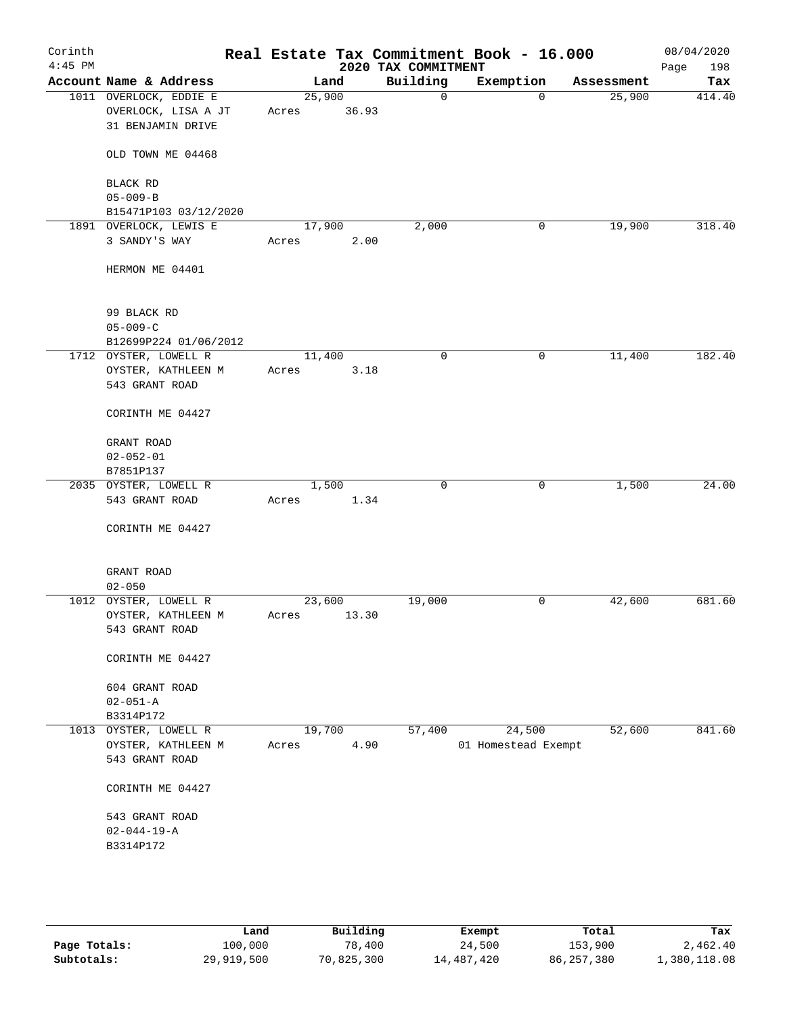| Corinth<br>$4:45$ PM |                        |        |       | 2020 TAX COMMITMENT | Real Estate Tax Commitment Book - 16.000 |            | 08/04/2020<br>Page<br>198 |
|----------------------|------------------------|--------|-------|---------------------|------------------------------------------|------------|---------------------------|
|                      | Account Name & Address | Land   |       | Building            | Exemption                                | Assessment | Tax                       |
|                      | 1011 OVERLOCK, EDDIE E | 25,900 |       | $\mathsf{O}$        | $\mathbf 0$                              | 25,900     | 414.40                    |
|                      | OVERLOCK, LISA A JT    | Acres  | 36.93 |                     |                                          |            |                           |
|                      | 31 BENJAMIN DRIVE      |        |       |                     |                                          |            |                           |
|                      | OLD TOWN ME 04468      |        |       |                     |                                          |            |                           |
|                      | BLACK RD               |        |       |                     |                                          |            |                           |
|                      | $05 - 009 - B$         |        |       |                     |                                          |            |                           |
|                      | B15471P103 03/12/2020  |        |       |                     |                                          |            |                           |
|                      | 1891 OVERLOCK, LEWIS E | 17,900 |       | 2,000               | 0                                        | 19,900     | 318.40                    |
|                      | 3 SANDY'S WAY          | Acres  | 2.00  |                     |                                          |            |                           |
|                      | HERMON ME 04401        |        |       |                     |                                          |            |                           |
|                      | 99 BLACK RD            |        |       |                     |                                          |            |                           |
|                      | $05 - 009 - C$         |        |       |                     |                                          |            |                           |
|                      | B12699P224 01/06/2012  |        |       |                     |                                          |            |                           |
|                      | 1712 OYSTER, LOWELL R  | 11,400 |       | 0                   | $\mathsf{O}$                             | 11,400     | 182.40                    |
|                      | OYSTER, KATHLEEN M     | Acres  | 3.18  |                     |                                          |            |                           |
|                      | 543 GRANT ROAD         |        |       |                     |                                          |            |                           |
|                      | CORINTH ME 04427       |        |       |                     |                                          |            |                           |
|                      | GRANT ROAD             |        |       |                     |                                          |            |                           |
|                      | $02 - 052 - 01$        |        |       |                     |                                          |            |                           |
|                      | B7851P137              |        |       |                     |                                          |            |                           |
|                      | 2035 OYSTER, LOWELL R  | 1,500  |       | $\mathbf 0$         | $\mathbf 0$                              | 1,500      | 24.00                     |
|                      | 543 GRANT ROAD         | Acres  | 1.34  |                     |                                          |            |                           |
|                      | CORINTH ME 04427       |        |       |                     |                                          |            |                           |
|                      | GRANT ROAD             |        |       |                     |                                          |            |                           |
|                      | $02 - 050$             |        |       |                     |                                          |            |                           |
|                      | 1012 OYSTER, LOWELL R  | 23,600 |       | 19,000              | 0                                        | 42,600     | 681.60                    |
|                      | OYSTER, KATHLEEN M     | Acres  | 13.30 |                     |                                          |            |                           |
|                      | 543 GRANT ROAD         |        |       |                     |                                          |            |                           |
|                      | CORINTH ME 04427       |        |       |                     |                                          |            |                           |
|                      | 604 GRANT ROAD         |        |       |                     |                                          |            |                           |
|                      | $02 - 051 - A$         |        |       |                     |                                          |            |                           |
|                      | B3314P172              |        |       |                     |                                          |            |                           |
|                      | 1013 OYSTER, LOWELL R  | 19,700 |       | 57,400              | 24,500                                   | 52,600     | 841.60                    |
|                      | OYSTER, KATHLEEN M     | Acres  | 4.90  |                     | 01 Homestead Exempt                      |            |                           |
|                      | 543 GRANT ROAD         |        |       |                     |                                          |            |                           |
|                      |                        |        |       |                     |                                          |            |                           |
|                      | CORINTH ME 04427       |        |       |                     |                                          |            |                           |
|                      | 543 GRANT ROAD         |        |       |                     |                                          |            |                           |
|                      | $02 - 044 - 19 - A$    |        |       |                     |                                          |            |                           |
|                      | B3314P172              |        |       |                     |                                          |            |                           |
|                      |                        |        |       |                     |                                          |            |                           |
|                      |                        |        |       |                     |                                          |            |                           |
|                      |                        |        |       |                     |                                          |            |                           |
|                      |                        |        |       |                     |                                          |            |                           |

|              | Land       | Building   | Exempt     | Total        | Tax          |
|--------------|------------|------------|------------|--------------|--------------|
| Page Totals: | 100,000    | 78,400     | 24,500     | 153,900      | 2,462.40     |
| Subtotals:   | 29,919,500 | 70,825,300 | 14,487,420 | 86, 257, 380 | 1,380,118.08 |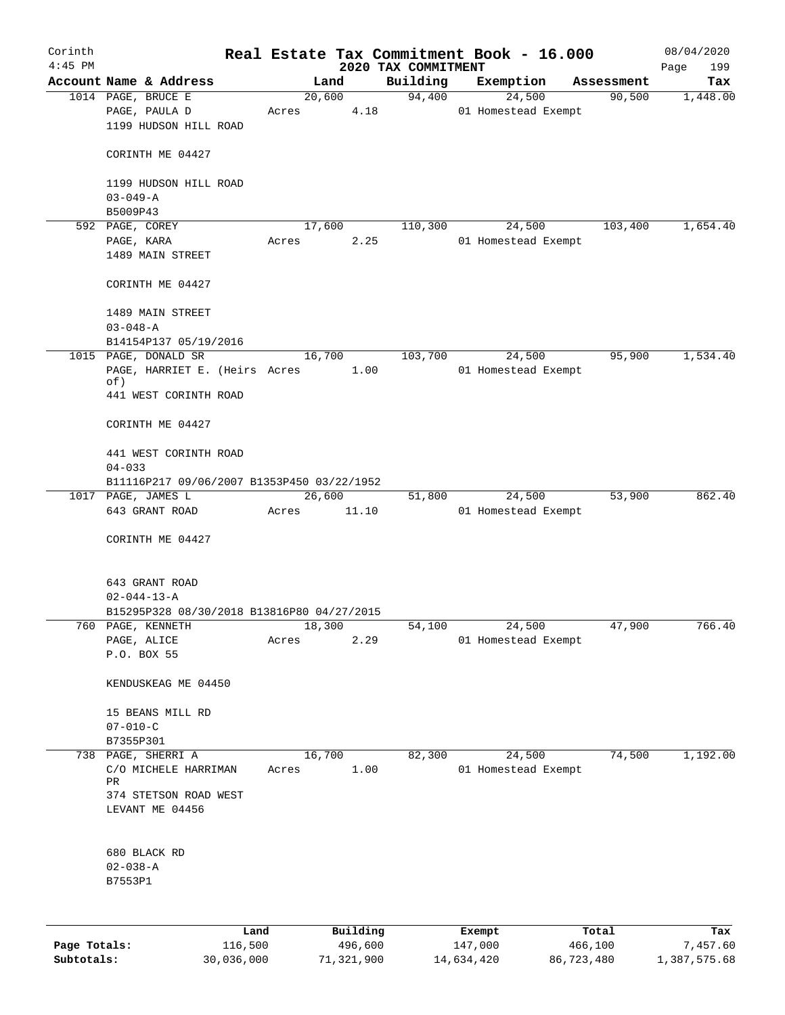| Corinth      |                                                  |                 |       |                     | Real Estate Tax Commitment Book - 16.000 |                     |            |                      | 08/04/2020      |
|--------------|--------------------------------------------------|-----------------|-------|---------------------|------------------------------------------|---------------------|------------|----------------------|-----------------|
| $4:45$ PM    |                                                  |                 |       |                     | 2020 TAX COMMITMENT                      |                     |            |                      | Page<br>199     |
|              | Account Name & Address<br>1014 PAGE, BRUCE E     |                 |       | Land<br>20,600      | Building<br>94,400                       | Exemption           | 24,500     | Assessment<br>90,500 | Tax<br>1,448.00 |
|              | PAGE, PAULA D<br>1199 HUDSON HILL ROAD           |                 | Acres | 4.18                |                                          | 01 Homestead Exempt |            |                      |                 |
|              | CORINTH ME 04427                                 |                 |       |                     |                                          |                     |            |                      |                 |
|              | 1199 HUDSON HILL ROAD<br>$03 - 049 - A$          |                 |       |                     |                                          |                     |            |                      |                 |
|              | B5009P43                                         |                 |       |                     |                                          |                     |            |                      |                 |
|              | 592 PAGE, COREY                                  |                 |       | 17,600              | 110,300                                  |                     | 24,500     | 103,400              | 1,654.40        |
|              | PAGE, KARA<br>1489 MAIN STREET                   |                 | Acres | 2.25                |                                          | 01 Homestead Exempt |            |                      |                 |
|              | CORINTH ME 04427                                 |                 |       |                     |                                          |                     |            |                      |                 |
|              | 1489 MAIN STREET                                 |                 |       |                     |                                          |                     |            |                      |                 |
|              | $03 - 048 - A$<br>B14154P137 05/19/2016          |                 |       |                     |                                          |                     |            |                      |                 |
|              | 1015 PAGE, DONALD SR                             |                 |       | 16,700              | 103,700                                  |                     | 24,500     | 95,900               | 1,534.40        |
|              | PAGE, HARRIET E. (Heirs Acres<br>of)             |                 |       | 1.00                |                                          | 01 Homestead Exempt |            |                      |                 |
|              | 441 WEST CORINTH ROAD                            |                 |       |                     |                                          |                     |            |                      |                 |
|              | CORINTH ME 04427                                 |                 |       |                     |                                          |                     |            |                      |                 |
|              | 441 WEST CORINTH ROAD<br>$04 - 033$              |                 |       |                     |                                          |                     |            |                      |                 |
|              | B11116P217 09/06/2007 B1353P450 03/22/1952       |                 |       |                     |                                          |                     |            |                      |                 |
|              | 1017 PAGE, JAMES L<br>643 GRANT ROAD             |                 | Acres | 26,600<br>11.10     | 51,800                                   | 01 Homestead Exempt | 24,500     | 53,900               | 862.40          |
|              | CORINTH ME 04427                                 |                 |       |                     |                                          |                     |            |                      |                 |
|              | 643 GRANT ROAD                                   |                 |       |                     |                                          |                     |            |                      |                 |
|              | $02 - 044 - 13 - A$                              |                 |       |                     |                                          |                     |            |                      |                 |
|              | B15295P328 08/30/2018 B13816P80 04/27/2015       |                 |       |                     |                                          |                     |            |                      |                 |
| 760          | PAGE, KENNETH                                    |                 |       | 18,300              | 54,100                                   | 24,500              |            | 47,900               | 766.40          |
|              | PAGE, ALICE<br>P.O. BOX 55                       |                 | Acres | 2.29                |                                          | 01 Homestead Exempt |            |                      |                 |
|              | KENDUSKEAG ME 04450                              |                 |       |                     |                                          |                     |            |                      |                 |
|              | 15 BEANS MILL RD                                 |                 |       |                     |                                          |                     |            |                      |                 |
|              | $07 - 010 - C$                                   |                 |       |                     |                                          |                     |            |                      |                 |
|              | B7355P301                                        |                 |       |                     |                                          |                     |            |                      |                 |
|              | 738 PAGE, SHERRI A<br>C/O MICHELE HARRIMAN<br>PR |                 | Acres | 16,700<br>1.00      | 82,300                                   | 01 Homestead Exempt | 24,500     | 74,500               | 1,192.00        |
|              | 374 STETSON ROAD WEST<br>LEVANT ME 04456         |                 |       |                     |                                          |                     |            |                      |                 |
|              | 680 BLACK RD                                     |                 |       |                     |                                          |                     |            |                      |                 |
|              | $02 - 038 - A$                                   |                 |       |                     |                                          |                     |            |                      |                 |
|              | B7553P1                                          |                 |       |                     |                                          |                     |            |                      |                 |
|              |                                                  |                 |       |                     |                                          |                     |            |                      |                 |
| Page Totals: |                                                  | Land<br>116,500 |       | Building<br>496,600 |                                          | Exempt<br>147,000   |            | Total<br>466,100     | Tax<br>7,457.60 |
| Subtotals:   |                                                  | 30,036,000      |       | 71,321,900          |                                          | 14,634,420          | 86,723,480 |                      | 1,387,575.68    |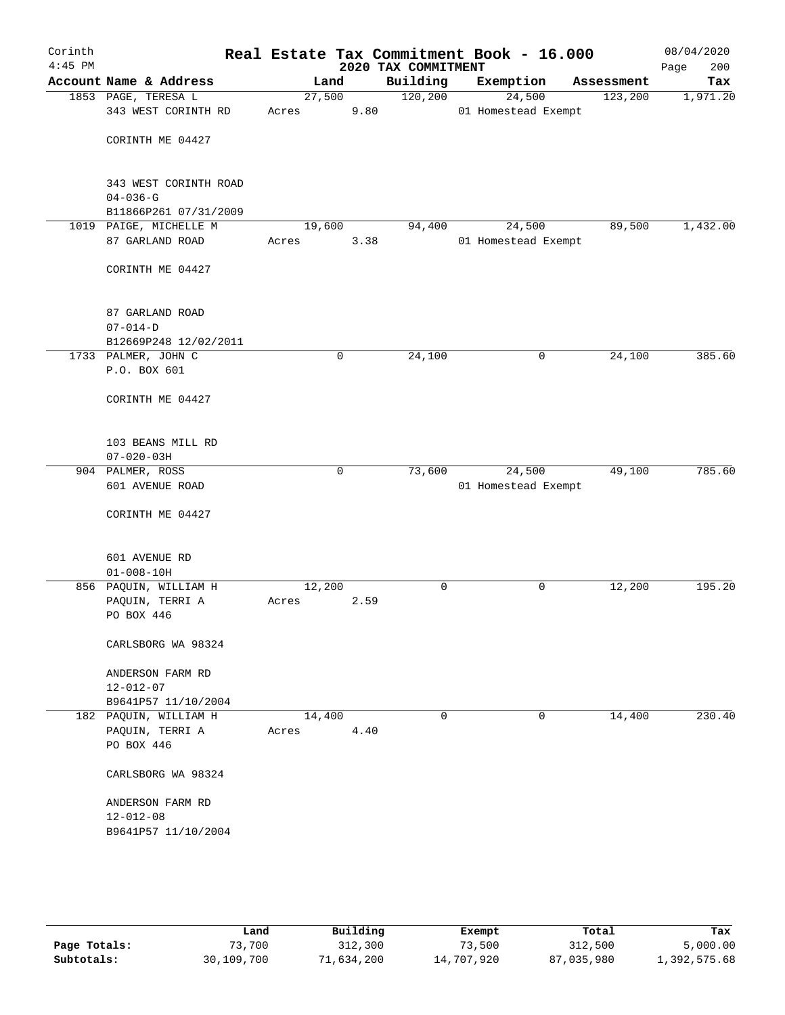| Corinth<br>$4:45$ PM |                                                            |                 |             | 2020 TAX COMMITMENT | Real Estate Tax Commitment Book - 16.000 |   |            | 08/04/2020<br>Page<br>200 |
|----------------------|------------------------------------------------------------|-----------------|-------------|---------------------|------------------------------------------|---|------------|---------------------------|
|                      | Account Name & Address                                     |                 | Land        | Building            | Exemption                                |   | Assessment | Tax                       |
|                      | 1853 PAGE, TERESA L<br>343 WEST CORINTH RD                 | 27,500<br>Acres | 9.80        | 120, 200            | 24,500<br>01 Homestead Exempt            |   | 123,200    | 1,971.20                  |
|                      | CORINTH ME 04427                                           |                 |             |                     |                                          |   |            |                           |
|                      | 343 WEST CORINTH ROAD<br>$04 - 036 - G$                    |                 |             |                     |                                          |   |            |                           |
|                      | B11866P261 07/31/2009                                      |                 |             |                     |                                          |   |            |                           |
|                      | 1019 PAIGE, MICHELLE M                                     | 19,600          |             | 94,400              | 24,500                                   |   | 89,500     | 1,432.00                  |
|                      | 87 GARLAND ROAD                                            | Acres           | 3.38        |                     | 01 Homestead Exempt                      |   |            |                           |
|                      | CORINTH ME 04427                                           |                 |             |                     |                                          |   |            |                           |
|                      | 87 GARLAND ROAD<br>$07 - 014 - D$                          |                 |             |                     |                                          |   |            |                           |
|                      | B12669P248 12/02/2011                                      |                 |             |                     |                                          |   |            |                           |
|                      | 1733 PALMER, JOHN C                                        |                 | $\mathbf 0$ | 24,100              |                                          | 0 | 24,100     | 385.60                    |
|                      | P.O. BOX 601                                               |                 |             |                     |                                          |   |            |                           |
|                      | CORINTH ME 04427                                           |                 |             |                     |                                          |   |            |                           |
|                      | 103 BEANS MILL RD<br>$07 - 020 - 03H$                      |                 |             |                     |                                          |   |            |                           |
|                      | 904 PALMER, ROSS                                           |                 | $\mathbf 0$ | 73,600              | 24,500                                   |   | 49,100     | 785.60                    |
|                      | 601 AVENUE ROAD                                            |                 |             |                     | 01 Homestead Exempt                      |   |            |                           |
|                      | CORINTH ME 04427                                           |                 |             |                     |                                          |   |            |                           |
|                      | 601 AVENUE RD<br>$01 - 008 - 10H$                          |                 |             |                     |                                          |   |            |                           |
|                      | 856 PAQUIN, WILLIAM H                                      | 12,200          |             | 0                   |                                          | 0 | 12,200     | 195.20                    |
|                      | PAQUIN, TERRI A                                            | Acres           | 2.59        |                     |                                          |   |            |                           |
|                      | PO BOX 446                                                 |                 |             |                     |                                          |   |            |                           |
|                      | CARLSBORG WA 98324                                         |                 |             |                     |                                          |   |            |                           |
|                      | ANDERSON FARM RD                                           |                 |             |                     |                                          |   |            |                           |
|                      | $12 - 012 - 07$<br>B9641P57 11/10/2004                     |                 |             |                     |                                          |   |            |                           |
|                      | 182 PAQUIN, WILLIAM H                                      | 14,400          |             | 0                   |                                          | 0 | 14,400     | 230.40                    |
|                      | PAQUIN, TERRI A                                            | Acres           | 4.40        |                     |                                          |   |            |                           |
|                      | PO BOX 446                                                 |                 |             |                     |                                          |   |            |                           |
|                      | CARLSBORG WA 98324                                         |                 |             |                     |                                          |   |            |                           |
|                      | ANDERSON FARM RD<br>$12 - 012 - 08$<br>B9641P57 11/10/2004 |                 |             |                     |                                          |   |            |                           |
|                      |                                                            |                 |             |                     |                                          |   |            |                           |

|              | Land       | Building  | Exempt     | Total      | Tax          |
|--------------|------------|-----------|------------|------------|--------------|
| Page Totals: | 73,700     | 312,300   | 73,500     | 312,500    | 5,000.00     |
| Subtotals:   | 30,109,700 | l.634,200 | 14,707,920 | 87,035,980 | 1,392,575.68 |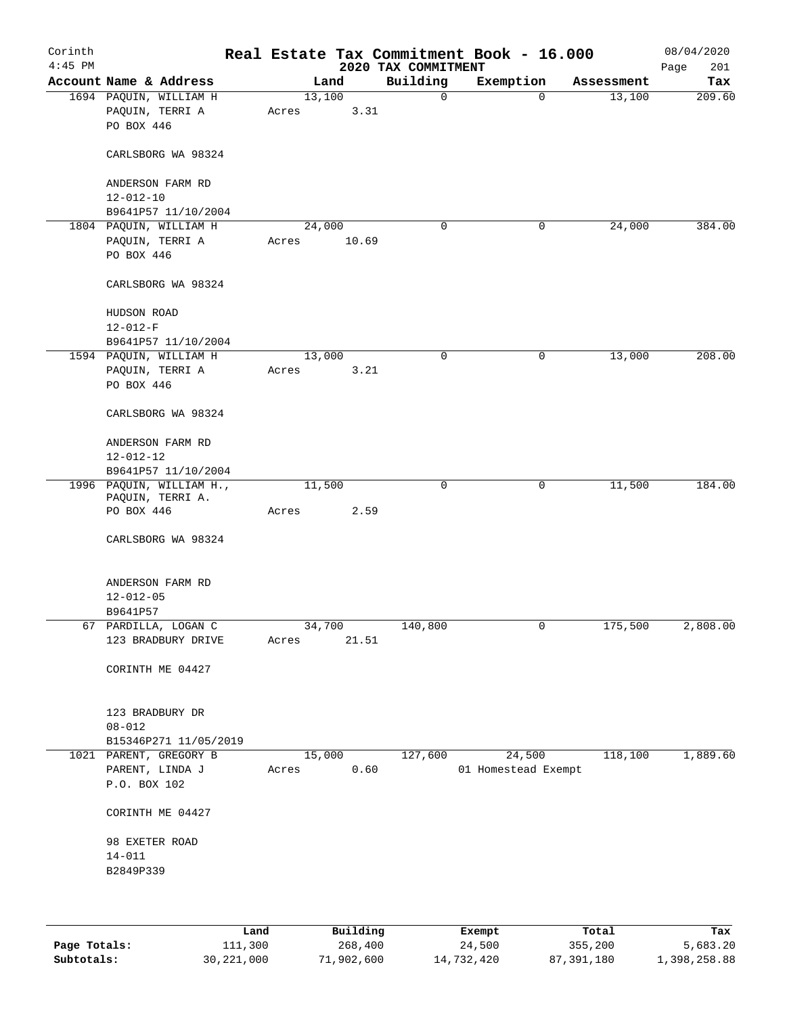| Corinth<br>$4:45$ PM |                                                         |                 |        | 2020 TAX COMMITMENT | Real Estate Tax Commitment Book - 16.000 |            | 08/04/2020<br>Page<br>201 |
|----------------------|---------------------------------------------------------|-----------------|--------|---------------------|------------------------------------------|------------|---------------------------|
|                      | Account Name & Address                                  |                 | Land   | Building            | Exemption                                | Assessment | Tax                       |
|                      | 1694 PAQUIN, WILLIAM H<br>PAQUIN, TERRI A<br>PO BOX 446 | 13,100<br>Acres | 3.31   | $\mathbf 0$         | 0                                        | 13,100     | 209.60                    |
|                      | CARLSBORG WA 98324                                      |                 |        |                     |                                          |            |                           |
|                      | ANDERSON FARM RD<br>$12 - 012 - 10$                     |                 |        |                     |                                          |            |                           |
|                      | B9641P57 11/10/2004                                     |                 |        |                     |                                          |            |                           |
|                      | 1804 PAQUIN, WILLIAM H                                  | 24,000          |        | $\mathbf 0$         | $\mathbf 0$                              | 24,000     | 384.00                    |
|                      | PAQUIN, TERRI A                                         | Acres           | 10.69  |                     |                                          |            |                           |
|                      | PO BOX 446                                              |                 |        |                     |                                          |            |                           |
|                      | CARLSBORG WA 98324                                      |                 |        |                     |                                          |            |                           |
|                      | HUDSON ROAD                                             |                 |        |                     |                                          |            |                           |
|                      | $12 - 012 - F$                                          |                 |        |                     |                                          |            |                           |
|                      | B9641P57 11/10/2004                                     |                 |        |                     |                                          |            |                           |
|                      | 1594 PAQUIN, WILLIAM H                                  | 13,000          |        | $\mathbf 0$         | 0                                        | 13,000     | 208.00                    |
|                      | PAQUIN, TERRI A                                         | Acres           | 3.21   |                     |                                          |            |                           |
|                      | PO BOX 446                                              |                 |        |                     |                                          |            |                           |
|                      | CARLSBORG WA 98324                                      |                 |        |                     |                                          |            |                           |
|                      | ANDERSON FARM RD                                        |                 |        |                     |                                          |            |                           |
|                      | $12 - 012 - 12$                                         |                 |        |                     |                                          |            |                           |
|                      | B9641P57 11/10/2004<br>1996 PAQUIN, WILLIAM H.,         | 11,500          |        | 0                   | 0                                        | 11,500     | 184.00                    |
|                      | PAQUIN, TERRI A.                                        |                 |        |                     |                                          |            |                           |
|                      | PO BOX 446                                              | Acres           | 2.59   |                     |                                          |            |                           |
|                      | CARLSBORG WA 98324                                      |                 |        |                     |                                          |            |                           |
|                      | ANDERSON FARM RD                                        |                 |        |                     |                                          |            |                           |
|                      | $12 - 012 - 05$                                         |                 |        |                     |                                          |            |                           |
|                      | B9641P57                                                |                 |        |                     |                                          |            |                           |
|                      | 67 PARDILLA, LOGAN C<br>123 BRADBURY DRIVE              | 34,700<br>Acres | 21.51  | 140,800             | 0                                        | 175,500    | 2,808.00                  |
|                      | CORINTH ME 04427                                        |                 |        |                     |                                          |            |                           |
|                      | 123 BRADBURY DR                                         |                 |        |                     |                                          |            |                           |
|                      | $08 - 012$                                              |                 |        |                     |                                          |            |                           |
|                      | B15346P271 11/05/2019                                   |                 |        |                     |                                          |            |                           |
|                      | 1021 PARENT, GREGORY B                                  |                 | 15,000 | 127,600             | 24,500                                   | 118,100    | 1,889.60                  |
|                      | PARENT, LINDA J<br>P.O. BOX 102                         | Acres           | 0.60   |                     | 01 Homestead Exempt                      |            |                           |
|                      | CORINTH ME 04427                                        |                 |        |                     |                                          |            |                           |
|                      | 98 EXETER ROAD                                          |                 |        |                     |                                          |            |                           |
|                      | $14 - 011$                                              |                 |        |                     |                                          |            |                           |
|                      | B2849P339                                               |                 |        |                     |                                          |            |                           |
|                      |                                                         |                 |        |                     |                                          |            |                           |
|                      |                                                         |                 |        |                     |                                          |            |                           |
|                      |                                                         |                 |        |                     |                                          |            |                           |

|              | Land         | Building   | Exempt     | Total      | Tax          |
|--------------|--------------|------------|------------|------------|--------------|
| Page Totals: | 111,300      | 268,400    | 24,500     | 355,200    | 5,683.20     |
| Subtotals:   | 30, 221, 000 | 71,902,600 | 14,732,420 | 87,391,180 | 1,398,258.88 |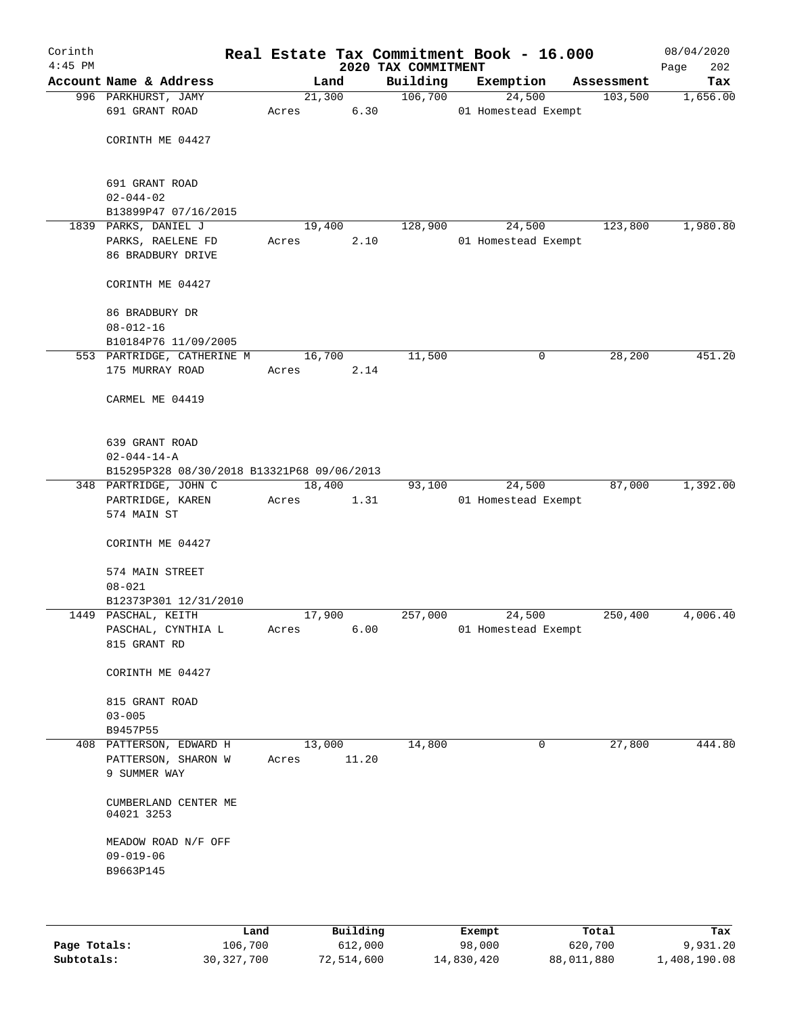| Corinth<br>$4:45$ PM |                                              |                 |        | 2020 TAX COMMITMENT | Real Estate Tax Commitment Book - 16.000 |            | 08/04/2020<br>202<br>Page |
|----------------------|----------------------------------------------|-----------------|--------|---------------------|------------------------------------------|------------|---------------------------|
|                      | Account Name & Address                       |                 | Land   | Building            | Exemption                                | Assessment | Tax                       |
|                      | 996 PARKHURST, JAMY                          |                 | 21,300 | 106,700             | 24,500                                   | 103,500    | 1,656.00                  |
|                      | 691 GRANT ROAD                               | Acres           | 6.30   |                     | 01 Homestead Exempt                      |            |                           |
|                      | CORINTH ME 04427                             |                 |        |                     |                                          |            |                           |
|                      |                                              |                 |        |                     |                                          |            |                           |
|                      | 691 GRANT ROAD                               |                 |        |                     |                                          |            |                           |
|                      | $02 - 044 - 02$                              |                 |        |                     |                                          |            |                           |
|                      | B13899P47 07/16/2015                         |                 |        |                     |                                          |            |                           |
|                      | 1839 PARKS, DANIEL J                         |                 | 19,400 | 128,900             | 24,500                                   | 123,800    | 1,980.80                  |
|                      | PARKS, RAELENE FD<br>86 BRADBURY DRIVE       | Acres           | 2.10   |                     | 01 Homestead Exempt                      |            |                           |
|                      | CORINTH ME 04427                             |                 |        |                     |                                          |            |                           |
|                      | 86 BRADBURY DR                               |                 |        |                     |                                          |            |                           |
|                      | $08 - 012 - 16$                              |                 |        |                     |                                          |            |                           |
|                      | B10184P76 11/09/2005                         |                 |        |                     |                                          |            |                           |
|                      | 553 PARTRIDGE, CATHERINE M                   |                 | 16,700 | 11,500              | 0                                        | 28,200     | 451.20                    |
|                      | 175 MURRAY ROAD                              | Acres           | 2.14   |                     |                                          |            |                           |
|                      | CARMEL ME 04419                              |                 |        |                     |                                          |            |                           |
|                      |                                              |                 |        |                     |                                          |            |                           |
|                      | 639 GRANT ROAD                               |                 |        |                     |                                          |            |                           |
|                      | $02 - 044 - 14 - A$                          |                 |        |                     |                                          |            |                           |
|                      | B15295P328 08/30/2018 B13321P68 09/06/2013   |                 |        |                     |                                          |            |                           |
|                      | 348 PARTRIDGE, JOHN C                        |                 | 18,400 | 93,100              | 24,500                                   | 87,000     | 1,392.00                  |
|                      | PARTRIDGE, KAREN                             | Acres           | 1.31   |                     | 01 Homestead Exempt                      |            |                           |
|                      | 574 MAIN ST                                  |                 |        |                     |                                          |            |                           |
|                      | CORINTH ME 04427                             |                 |        |                     |                                          |            |                           |
|                      | 574 MAIN STREET                              |                 |        |                     |                                          |            |                           |
|                      | $08 - 021$                                   |                 |        |                     |                                          |            |                           |
|                      | B12373P301 12/31/2010<br>1449 PASCHAL, KEITH | 17,900          |        | 257,000             | 24,500                                   | 250,400    | 4,006.40                  |
|                      | PASCHAL, CYNTHIA L                           | Acres           | 6.00   |                     | 01 Homestead Exempt                      |            |                           |
|                      | 815 GRANT RD                                 |                 |        |                     |                                          |            |                           |
|                      | CORINTH ME 04427                             |                 |        |                     |                                          |            |                           |
|                      | 815 GRANT ROAD                               |                 |        |                     |                                          |            |                           |
|                      | $03 - 005$                                   |                 |        |                     |                                          |            |                           |
|                      | B9457P55                                     |                 |        |                     |                                          |            |                           |
|                      | 408 PATTERSON, EDWARD H                      | 13,000<br>Acres | 11.20  | 14,800              | 0                                        | 27,800     | 444.80                    |
|                      | PATTERSON, SHARON W<br>9 SUMMER WAY          |                 |        |                     |                                          |            |                           |
|                      | CUMBERLAND CENTER ME<br>04021 3253           |                 |        |                     |                                          |            |                           |
|                      | MEADOW ROAD N/F OFF                          |                 |        |                     |                                          |            |                           |
|                      | $09 - 019 - 06$                              |                 |        |                     |                                          |            |                           |
|                      | B9663P145                                    |                 |        |                     |                                          |            |                           |
|                      |                                              |                 |        |                     |                                          |            |                           |
|                      |                                              |                 |        |                     |                                          |            |                           |

|              | Land         | Building   | Exempt     | Total      | Tax          |
|--------------|--------------|------------|------------|------------|--------------|
| Page Totals: | 106,700      | 612,000    | 98,000     | 620,700    | 9,931.20     |
| Subtotals:   | 30, 327, 700 | 72,514,600 | 14,830,420 | 88,011,880 | 1,408,190.08 |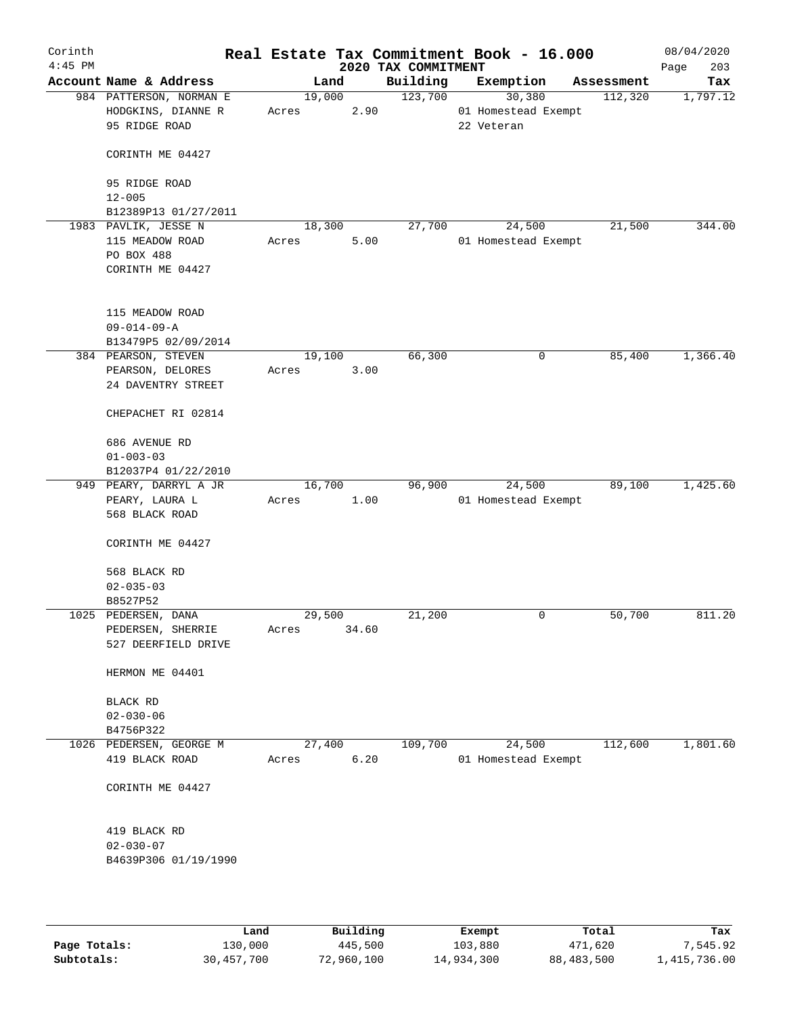| Corinth<br>$4:45$ PM |                                                                |       |        |       | 2020 TAX COMMITMENT | Real Estate Tax Commitment Book - 16.000    |            | 08/04/2020<br>203<br>Page |
|----------------------|----------------------------------------------------------------|-------|--------|-------|---------------------|---------------------------------------------|------------|---------------------------|
|                      | Account Name & Address                                         |       | Land   |       | Building            | Exemption                                   | Assessment | Tax                       |
|                      | 984 PATTERSON, NORMAN E<br>HODGKINS, DIANNE R<br>95 RIDGE ROAD | Acres | 19,000 | 2.90  | 123,700             | 30,380<br>01 Homestead Exempt<br>22 Veteran | 112,320    | 1,797.12                  |
|                      | CORINTH ME 04427                                               |       |        |       |                     |                                             |            |                           |
|                      | 95 RIDGE ROAD<br>$12 - 005$                                    |       |        |       |                     |                                             |            |                           |
|                      | B12389P13 01/27/2011                                           |       |        |       |                     |                                             |            |                           |
|                      | 1983 PAVLIK, JESSE N                                           |       | 18,300 |       | 27,700              | 24,500                                      | 21,500     | 344.00                    |
|                      | 115 MEADOW ROAD                                                | Acres |        | 5.00  |                     | 01 Homestead Exempt                         |            |                           |
|                      | PO BOX 488                                                     |       |        |       |                     |                                             |            |                           |
|                      | CORINTH ME 04427                                               |       |        |       |                     |                                             |            |                           |
|                      | 115 MEADOW ROAD                                                |       |        |       |                     |                                             |            |                           |
|                      | $09 - 014 - 09 - A$                                            |       |        |       |                     |                                             |            |                           |
|                      | B13479P5 02/09/2014                                            |       |        |       |                     |                                             |            |                           |
|                      | 384 PEARSON, STEVEN                                            |       | 19,100 |       | 66,300              | 0                                           | 85,400     | 1,366.40                  |
|                      | PEARSON, DELORES<br>24 DAVENTRY STREET                         | Acres |        | 3.00  |                     |                                             |            |                           |
|                      | CHEPACHET RI 02814                                             |       |        |       |                     |                                             |            |                           |
|                      | 686 AVENUE RD<br>$01 - 003 - 03$                               |       |        |       |                     |                                             |            |                           |
|                      | B12037P4 01/22/2010                                            |       |        |       |                     |                                             |            |                           |
|                      | 949 PEARY, DARRYL A JR                                         |       | 16,700 |       | 96,900              | 24,500                                      | 89,100     | 1,425.60                  |
|                      | PEARY, LAURA L<br>568 BLACK ROAD                               | Acres |        | 1.00  |                     | 01 Homestead Exempt                         |            |                           |
|                      | CORINTH ME 04427                                               |       |        |       |                     |                                             |            |                           |
|                      | 568 BLACK RD                                                   |       |        |       |                     |                                             |            |                           |
|                      | $02 - 035 - 03$                                                |       |        |       |                     |                                             |            |                           |
|                      | B8527P52                                                       |       |        |       |                     |                                             |            |                           |
|                      | 1025 PEDERSEN, DANA                                            |       | 29,500 |       | 21,200              | 0                                           | 50,700     | 811.20                    |
|                      | PEDERSEN, SHERRIE                                              | Acres |        | 34.60 |                     |                                             |            |                           |
|                      | 527 DEERFIELD DRIVE                                            |       |        |       |                     |                                             |            |                           |
|                      | HERMON ME 04401                                                |       |        |       |                     |                                             |            |                           |
|                      | BLACK RD                                                       |       |        |       |                     |                                             |            |                           |
|                      | $02 - 030 - 06$                                                |       |        |       |                     |                                             |            |                           |
|                      | B4756P322                                                      |       |        |       |                     |                                             |            |                           |
|                      | 1026 PEDERSEN, GEORGE M                                        |       | 27,400 |       | 109,700             | 24,500                                      | 112,600    | 1,801.60                  |
|                      | 419 BLACK ROAD                                                 | Acres |        | 6.20  |                     | 01 Homestead Exempt                         |            |                           |
|                      | CORINTH ME 04427                                               |       |        |       |                     |                                             |            |                           |
|                      | 419 BLACK RD                                                   |       |        |       |                     |                                             |            |                           |
|                      | $02 - 030 - 07$                                                |       |        |       |                     |                                             |            |                           |
|                      | B4639P306 01/19/1990                                           |       |        |       |                     |                                             |            |                           |
|                      |                                                                |       |        |       |                     |                                             |            |                           |

|              | Land       | Building   | Exempt     | Total      | Tax          |
|--------------|------------|------------|------------|------------|--------------|
| Page Totals: | 130,000    | 445,500    | 103,880    | 471,620    | 7.545.92     |
| Subtotals:   | 30,457,700 | 72,960,100 | 14,934,300 | 88,483,500 | 1,415,736.00 |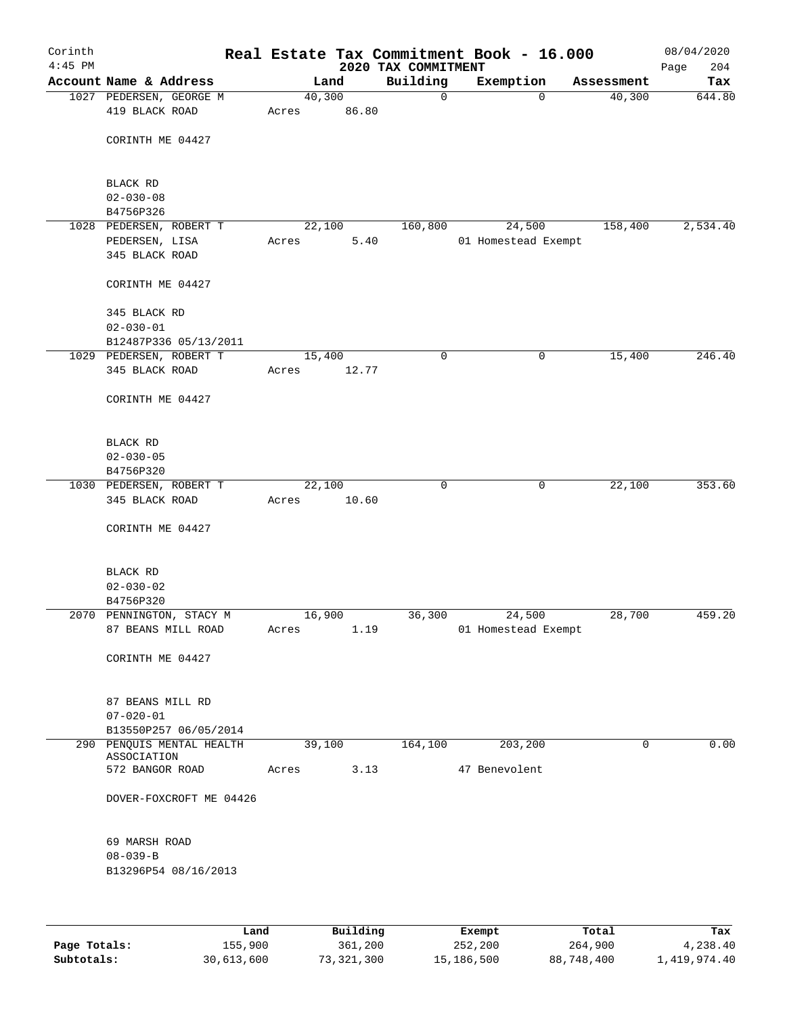| Corinth<br>$4:45$ PM |                                  |        |       | 2020 TAX COMMITMENT | Real Estate Tax Commitment Book - 16.000 |             | 08/04/2020<br>204<br>Page |
|----------------------|----------------------------------|--------|-------|---------------------|------------------------------------------|-------------|---------------------------|
|                      | Account Name & Address           | Land   |       | Building            | Exemption                                | Assessment  | Tax                       |
|                      | 1027 PEDERSEN, GEORGE M          | 40,300 |       | $\mathbf 0$         | 0                                        | 40,300      | 644.80                    |
|                      | 419 BLACK ROAD                   | Acres  | 86.80 |                     |                                          |             |                           |
|                      | CORINTH ME 04427                 |        |       |                     |                                          |             |                           |
|                      | BLACK RD                         |        |       |                     |                                          |             |                           |
|                      | $02 - 030 - 08$                  |        |       |                     |                                          |             |                           |
|                      | B4756P326                        |        |       |                     |                                          |             |                           |
|                      | 1028 PEDERSEN, ROBERT T          | 22,100 |       | 160,800             | 24,500                                   | 158,400     | 2,534.40                  |
|                      | PEDERSEN, LISA<br>345 BLACK ROAD | Acres  | 5.40  |                     | 01 Homestead Exempt                      |             |                           |
|                      | CORINTH ME 04427                 |        |       |                     |                                          |             |                           |
|                      | 345 BLACK RD                     |        |       |                     |                                          |             |                           |
|                      | $02 - 030 - 01$                  |        |       |                     |                                          |             |                           |
|                      | B12487P336 05/13/2011            |        |       |                     |                                          |             |                           |
|                      | 1029 PEDERSEN, ROBERT T          | 15,400 |       | $\mathbf 0$         | 0                                        | 15,400      | 246.40                    |
|                      | 345 BLACK ROAD                   | Acres  | 12.77 |                     |                                          |             |                           |
|                      | CORINTH ME 04427                 |        |       |                     |                                          |             |                           |
|                      | BLACK RD                         |        |       |                     |                                          |             |                           |
|                      | $02 - 030 - 05$                  |        |       |                     |                                          |             |                           |
|                      | B4756P320                        |        |       |                     |                                          |             |                           |
|                      | 1030 PEDERSEN, ROBERT T          | 22,100 |       | $\mathbf 0$         | 0                                        | 22,100      | 353.60                    |
|                      | 345 BLACK ROAD                   | Acres  | 10.60 |                     |                                          |             |                           |
|                      | CORINTH ME 04427                 |        |       |                     |                                          |             |                           |
|                      | BLACK RD                         |        |       |                     |                                          |             |                           |
|                      | $02 - 030 - 02$                  |        |       |                     |                                          |             |                           |
|                      | B4756P320                        |        |       |                     |                                          |             |                           |
|                      | 2070 PENNINGTON, STACY M         | 16,900 |       | 36,300              | 24,500                                   | 28,700      | 459.20                    |
|                      | 87 BEANS MILL ROAD               | Acres  | 1.19  |                     | 01 Homestead Exempt                      |             |                           |
|                      | CORINTH ME 04427                 |        |       |                     |                                          |             |                           |
|                      | 87 BEANS MILL RD                 |        |       |                     |                                          |             |                           |
|                      | $07 - 020 - 01$                  |        |       |                     |                                          |             |                           |
|                      | B13550P257 06/05/2014            |        |       |                     |                                          |             |                           |
|                      | 290 PENOUIS MENTAL HEALTH        | 39,100 |       | 164,100             | 203, 200                                 | $\mathbf 0$ | 0.00                      |
|                      | ASSOCIATION                      |        |       |                     | 47 Benevolent                            |             |                           |
|                      | 572 BANGOR ROAD                  | Acres  | 3.13  |                     |                                          |             |                           |
|                      | DOVER-FOXCROFT ME 04426          |        |       |                     |                                          |             |                           |
|                      | 69 MARSH ROAD                    |        |       |                     |                                          |             |                           |
|                      | $08 - 039 - B$                   |        |       |                     |                                          |             |                           |
|                      | B13296P54 08/16/2013             |        |       |                     |                                          |             |                           |
|                      |                                  |        |       |                     |                                          |             |                           |
|                      |                                  |        |       |                     |                                          |             |                           |

|              | Land       | Building   | Exempt     | Total      | Tax          |
|--------------|------------|------------|------------|------------|--------------|
| Page Totals: | 155,900    | 361,200    | 252,200    | 264,900    | 4,238.40     |
| Subtotals:   | 30,613,600 | 73,321,300 | 15,186,500 | 88,748,400 | 1,419,974.40 |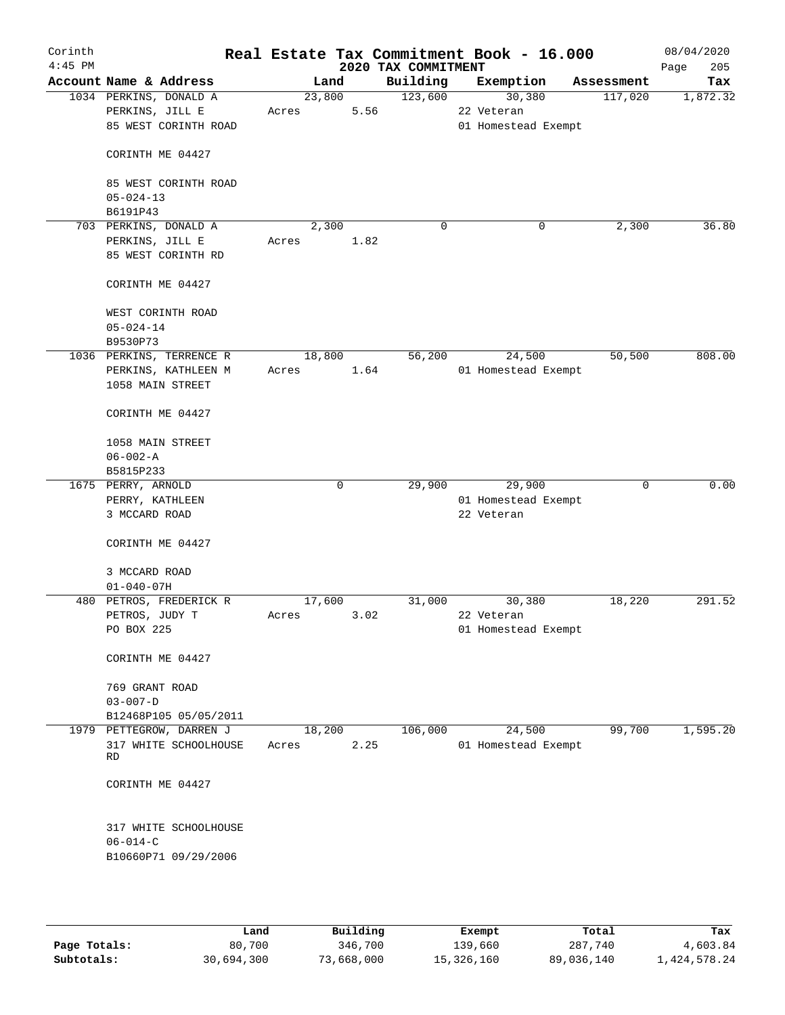| Corinth<br>$4:45$ PM |                                         |        |      | 2020 TAX COMMITMENT | Real Estate Tax Commitment Book - 16.000 |             | 08/04/2020<br>205<br>Page |
|----------------------|-----------------------------------------|--------|------|---------------------|------------------------------------------|-------------|---------------------------|
|                      | Account Name & Address                  | Land   |      | Building            | Exemption                                | Assessment  | Tax                       |
|                      | 1034 PERKINS, DONALD A                  | 23,800 |      | 123,600             | 30,380                                   | 117,020     | 1,872.32                  |
|                      | PERKINS, JILL E                         | Acres  | 5.56 |                     | 22 Veteran                               |             |                           |
|                      | 85 WEST CORINTH ROAD                    |        |      |                     | 01 Homestead Exempt                      |             |                           |
|                      | CORINTH ME 04427                        |        |      |                     |                                          |             |                           |
|                      | 85 WEST CORINTH ROAD                    |        |      |                     |                                          |             |                           |
|                      | $05 - 024 - 13$                         |        |      |                     |                                          |             |                           |
|                      | B6191P43                                |        |      |                     |                                          |             |                           |
|                      | 703 PERKINS, DONALD A                   | 2,300  |      | $\mathbf 0$         | 0                                        | 2,300       | 36.80                     |
|                      | PERKINS, JILL E                         | Acres  | 1.82 |                     |                                          |             |                           |
|                      | 85 WEST CORINTH RD                      |        |      |                     |                                          |             |                           |
|                      | CORINTH ME 04427                        |        |      |                     |                                          |             |                           |
|                      | WEST CORINTH ROAD                       |        |      |                     |                                          |             |                           |
|                      | $05 - 024 - 14$                         |        |      |                     |                                          |             |                           |
|                      | B9530P73                                |        |      |                     |                                          |             |                           |
|                      | 1036 PERKINS, TERRENCE R                | 18,800 |      | 56,200              | 24,500                                   | 50,500      | 808.00                    |
|                      | PERKINS, KATHLEEN M                     | Acres  | 1.64 |                     | 01 Homestead Exempt                      |             |                           |
|                      | 1058 MAIN STREET                        |        |      |                     |                                          |             |                           |
|                      | CORINTH ME 04427                        |        |      |                     |                                          |             |                           |
|                      | 1058 MAIN STREET                        |        |      |                     |                                          |             |                           |
|                      | $06 - 002 - A$                          |        |      |                     |                                          |             |                           |
|                      | B5815P233                               |        |      |                     |                                          |             |                           |
|                      | 1675 PERRY, ARNOLD                      |        | 0    | 29,900              | 29,900                                   | $\mathbf 0$ | 0.00                      |
|                      | PERRY, KATHLEEN                         |        |      |                     | 01 Homestead Exempt                      |             |                           |
|                      | 3 MCCARD ROAD                           |        |      |                     | 22 Veteran                               |             |                           |
|                      |                                         |        |      |                     |                                          |             |                           |
|                      | CORINTH ME 04427                        |        |      |                     |                                          |             |                           |
|                      | 3 MCCARD ROAD                           |        |      |                     |                                          |             |                           |
|                      | $01 - 040 - 07H$                        |        |      |                     |                                          |             |                           |
|                      | 480 PETROS, FREDERICK R                 | 17,600 |      | 31,000              | 30,380                                   | 18,220      | 291.52                    |
|                      | PETROS, JUDY T                          | Acres  | 3.02 |                     | 22 Veteran                               |             |                           |
|                      | PO BOX 225                              |        |      |                     | 01 Homestead Exempt                      |             |                           |
|                      |                                         |        |      |                     |                                          |             |                           |
|                      | CORINTH ME 04427                        |        |      |                     |                                          |             |                           |
|                      | 769 GRANT ROAD                          |        |      |                     |                                          |             |                           |
|                      | $03 - 007 - D$                          |        |      |                     |                                          |             |                           |
|                      | B12468P105 05/05/2011                   |        |      |                     |                                          |             |                           |
|                      | 1979 PETTEGROW, DARREN J                | 18,200 |      | 106,000             | 24,500                                   | 99,700      | 1,595.20                  |
|                      | 317 WHITE SCHOOLHOUSE<br>RD             | Acres  | 2.25 |                     | 01 Homestead Exempt                      |             |                           |
|                      | CORINTH ME 04427                        |        |      |                     |                                          |             |                           |
|                      |                                         |        |      |                     |                                          |             |                           |
|                      | 317 WHITE SCHOOLHOUSE<br>$06 - 014 - C$ |        |      |                     |                                          |             |                           |
|                      | B10660P71 09/29/2006                    |        |      |                     |                                          |             |                           |
|                      |                                         |        |      |                     |                                          |             |                           |
|                      |                                         |        |      |                     |                                          |             |                           |
|                      |                                         |        |      |                     |                                          |             |                           |

|              | Land       | Building   | Exempt     | Total      | Tax          |
|--------------|------------|------------|------------|------------|--------------|
| Page Totals: | 80,700     | 346,700    | 139,660    | 287,740    | 4,603.84     |
| Subtotals:   | 30,694,300 | 73,668,000 | 15,326,160 | 89,036,140 | 1,424,578.24 |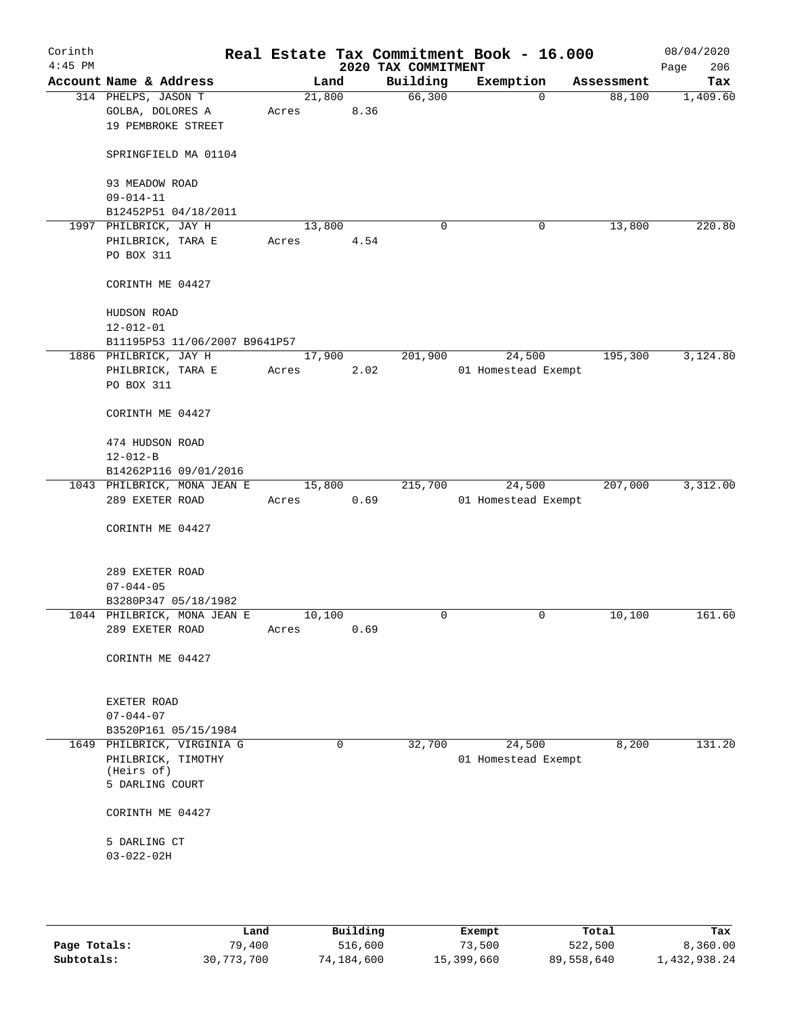| Corinth<br>$4:45$ PM |                                                               |       |        |      | 2020 TAX COMMITMENT | Real Estate Tax Commitment Book - 16.000 |            | 08/04/2020<br>206<br>Page |
|----------------------|---------------------------------------------------------------|-------|--------|------|---------------------|------------------------------------------|------------|---------------------------|
|                      | Account Name & Address                                        |       | Land   |      | Building            | Exemption                                | Assessment | Tax                       |
|                      | 314 PHELPS, JASON T<br>GOLBA, DOLORES A<br>19 PEMBROKE STREET | Acres | 21,800 | 8.36 | 66,300              | $\mathbf 0$                              | 88,100     | 1,409.60                  |
|                      | SPRINGFIELD MA 01104                                          |       |        |      |                     |                                          |            |                           |
|                      | 93 MEADOW ROAD<br>$09 - 014 - 11$                             |       |        |      |                     |                                          |            |                           |
|                      | B12452P51 04/18/2011                                          |       |        |      |                     |                                          |            |                           |
|                      | 1997 PHILBRICK, JAY H                                         |       | 13,800 |      | $\mathbf 0$         | 0                                        | 13,800     | 220.80                    |
|                      | PHILBRICK, TARA E                                             | Acres |        | 4.54 |                     |                                          |            |                           |
|                      | PO BOX 311                                                    |       |        |      |                     |                                          |            |                           |
|                      | CORINTH ME 04427                                              |       |        |      |                     |                                          |            |                           |
|                      | HUDSON ROAD                                                   |       |        |      |                     |                                          |            |                           |
|                      | $12 - 012 - 01$                                               |       |        |      |                     |                                          |            |                           |
|                      | B11195P53 11/06/2007 B9641P57                                 |       |        |      |                     |                                          |            |                           |
|                      | 1886 PHILBRICK, JAY H                                         |       | 17,900 |      | 201,900             | 24,500                                   | 195,300    | 3,124.80                  |
|                      | PHILBRICK, TARA E                                             | Acres |        | 2.02 |                     | 01 Homestead Exempt                      |            |                           |
|                      | PO BOX 311                                                    |       |        |      |                     |                                          |            |                           |
|                      | CORINTH ME 04427                                              |       |        |      |                     |                                          |            |                           |
|                      | 474 HUDSON ROAD                                               |       |        |      |                     |                                          |            |                           |
|                      | $12 - 012 - B$                                                |       |        |      |                     |                                          |            |                           |
|                      | B14262P116 09/01/2016                                         |       |        |      |                     |                                          |            |                           |
|                      | 1043 PHILBRICK, MONA JEAN E                                   |       | 15,800 |      | 215,700             | 24,500                                   | 207,000    | 3,312.00                  |
|                      | 289 EXETER ROAD                                               | Acres |        | 0.69 |                     | 01 Homestead Exempt                      |            |                           |
|                      | CORINTH ME 04427                                              |       |        |      |                     |                                          |            |                           |
|                      | 289 EXETER ROAD                                               |       |        |      |                     |                                          |            |                           |
|                      | $07 - 044 - 05$                                               |       |        |      |                     |                                          |            |                           |
|                      | B3280P347 05/18/1982                                          |       |        |      |                     |                                          |            |                           |
|                      | 1044 PHILBRICK, MONA JEAN E                                   |       | 10,100 |      | 0                   | 0                                        | 10,100     | 161.60                    |
|                      | 289 EXETER ROAD                                               | Acres |        | 0.69 |                     |                                          |            |                           |
|                      | CORINTH ME 04427                                              |       |        |      |                     |                                          |            |                           |
|                      | EXETER ROAD                                                   |       |        |      |                     |                                          |            |                           |
|                      | $07 - 044 - 07$                                               |       |        |      |                     |                                          |            |                           |
|                      | B3520P161 05/15/1984                                          |       |        |      |                     |                                          |            |                           |
|                      | 1649 PHILBRICK, VIRGINIA G                                    |       | 0      |      | 32,700              | 24,500                                   | 8,200      | 131.20                    |
|                      | PHILBRICK, TIMOTHY<br>(Heirs of)                              |       |        |      |                     | 01 Homestead Exempt                      |            |                           |
|                      | 5 DARLING COURT                                               |       |        |      |                     |                                          |            |                           |
|                      | CORINTH ME 04427                                              |       |        |      |                     |                                          |            |                           |
|                      |                                                               |       |        |      |                     |                                          |            |                           |
|                      | 5 DARLING CT                                                  |       |        |      |                     |                                          |            |                           |
|                      | $03 - 022 - 02H$                                              |       |        |      |                     |                                          |            |                           |
|                      |                                                               |       |        |      |                     |                                          |            |                           |
|                      |                                                               |       |        |      |                     |                                          |            |                           |

|              | Land       | Building   | Exempt     | Total      | Tax          |
|--------------|------------|------------|------------|------------|--------------|
| Page Totals: | 79,400     | 516,600    | 73,500     | 522,500    | 8,360.00     |
| Subtotals:   | 30,773,700 | 74,184,600 | 15,399,660 | 89,558,640 | 1,432,938.24 |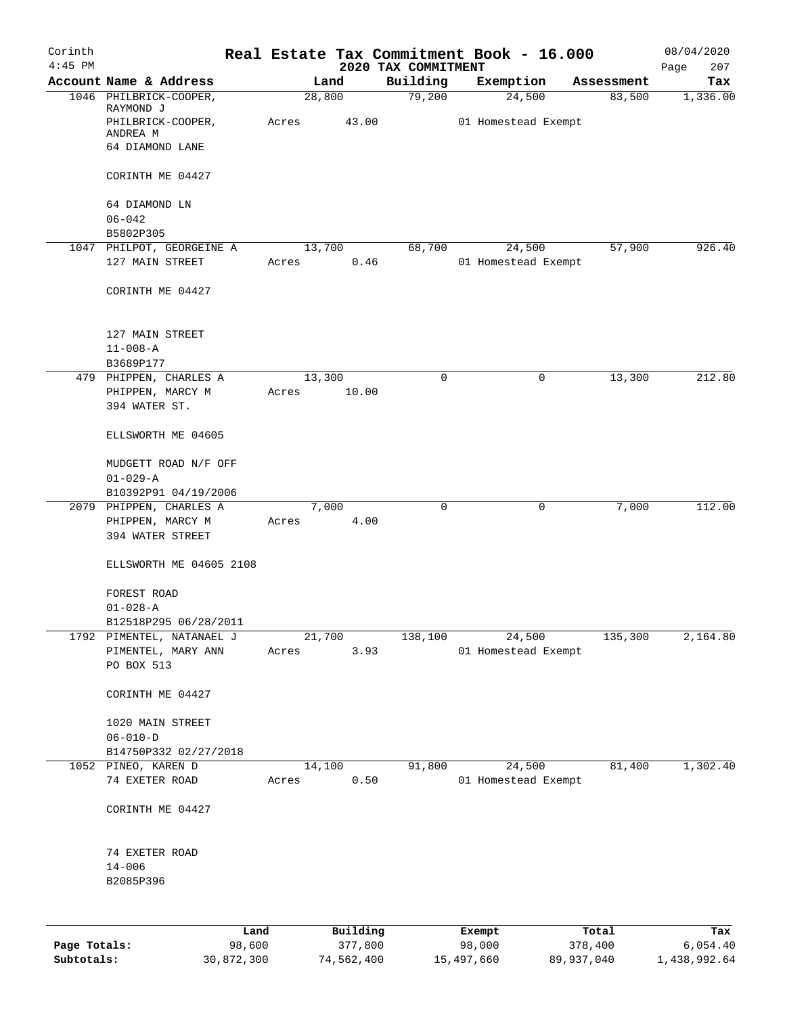| Corinth<br>$4:45$ PM |                                        |       |          |         | 2020 TAX COMMITMENT | Real Estate Tax Commitment Book - 16.000 |   |            | 08/04/2020         |
|----------------------|----------------------------------------|-------|----------|---------|---------------------|------------------------------------------|---|------------|--------------------|
|                      | Account Name & Address                 |       | Land     |         | Building            | Exemption                                |   | Assessment | 207<br>Page<br>Tax |
|                      | 1046 PHILBRICK-COOPER,                 |       | 28,800   |         | 79,200              | 24,500                                   |   | 83,500     | 1,336.00           |
|                      | RAYMOND J<br>PHILBRICK-COOPER,         | Acres |          | 43.00   |                     | 01 Homestead Exempt                      |   |            |                    |
|                      | ANDREA M                               |       |          |         |                     |                                          |   |            |                    |
|                      | 64 DIAMOND LANE                        |       |          |         |                     |                                          |   |            |                    |
|                      | CORINTH ME 04427                       |       |          |         |                     |                                          |   |            |                    |
|                      | 64 DIAMOND LN                          |       |          |         |                     |                                          |   |            |                    |
|                      | $06 - 042$                             |       |          |         |                     |                                          |   |            |                    |
|                      | B5802P305<br>1047 PHILPOT, GEORGEINE A |       | 13,700   |         | 68,700              | 24,500                                   |   | 57,900     | 926.40             |
|                      | 127 MAIN STREET                        | Acres |          | 0.46    |                     | 01 Homestead Exempt                      |   |            |                    |
|                      | CORINTH ME 04427                       |       |          |         |                     |                                          |   |            |                    |
|                      | 127 MAIN STREET                        |       |          |         |                     |                                          |   |            |                    |
|                      | $11 - 008 - A$                         |       |          |         |                     |                                          |   |            |                    |
|                      | B3689P177                              |       |          |         |                     |                                          |   |            |                    |
|                      | 479 PHIPPEN, CHARLES A                 |       | 13,300   |         | 0                   |                                          | 0 | 13,300     | 212.80             |
|                      | PHIPPEN, MARCY M                       | Acres |          | 10.00   |                     |                                          |   |            |                    |
|                      | 394 WATER ST.                          |       |          |         |                     |                                          |   |            |                    |
|                      | ELLSWORTH ME 04605                     |       |          |         |                     |                                          |   |            |                    |
|                      | MUDGETT ROAD N/F OFF                   |       |          |         |                     |                                          |   |            |                    |
|                      | $01 - 029 - A$                         |       |          |         |                     |                                          |   |            |                    |
|                      | B10392P91 04/19/2006                   |       |          |         |                     |                                          |   |            |                    |
|                      | 2079 PHIPPEN, CHARLES A                |       | 7,000    |         | 0                   |                                          | 0 | 7,000      | 112.00             |
|                      | PHIPPEN, MARCY M<br>394 WATER STREET   | Acres |          | 4.00    |                     |                                          |   |            |                    |
|                      | ELLSWORTH ME 04605 2108                |       |          |         |                     |                                          |   |            |                    |
|                      | FOREST ROAD                            |       |          |         |                     |                                          |   |            |                    |
|                      | $01 - 028 - A$                         |       |          |         |                     |                                          |   |            |                    |
|                      | B12518P295 06/28/2011                  |       |          |         |                     |                                          |   |            |                    |
|                      | 1792 PIMENTEL, NATANAEL J              |       | 21,700   |         | 138,100             | 24,500                                   |   | 135,300    | 2,164.80           |
|                      | PIMENTEL, MARY ANN                     | Acres |          | 3.93    |                     | 01 Homestead Exempt                      |   |            |                    |
|                      | PO BOX 513                             |       |          |         |                     |                                          |   |            |                    |
|                      | CORINTH ME 04427                       |       |          |         |                     |                                          |   |            |                    |
|                      | 1020 MAIN STREET                       |       |          |         |                     |                                          |   |            |                    |
|                      | $06 - 010 - D$                         |       |          |         |                     |                                          |   |            |                    |
|                      | B14750P332 02/27/2018                  |       |          |         |                     |                                          |   |            |                    |
|                      | 1052 PINEO, KAREN D                    |       | 14,100   |         | 91,800              | 24,500                                   |   | 81,400     | 1,302.40           |
|                      | 74 EXETER ROAD                         | Acres |          | 0.50    |                     | 01 Homestead Exempt                      |   |            |                    |
|                      | CORINTH ME 04427                       |       |          |         |                     |                                          |   |            |                    |
|                      | 74 EXETER ROAD                         |       |          |         |                     |                                          |   |            |                    |
|                      | $14 - 006$                             |       |          |         |                     |                                          |   |            |                    |
|                      | B2085P396                              |       |          |         |                     |                                          |   |            |                    |
|                      |                                        |       |          |         |                     |                                          |   |            |                    |
|                      |                                        | Land  | Building |         |                     | Exempt                                   |   | Total      | Tax                |
| Page Totals:         | 98,600                                 |       |          | 377,800 |                     | 98,000                                   |   | 378,400    | 6,054.40           |

**Subtotals:** 30,872,300 74,562,400 15,497,660 89,937,040 1,438,992.64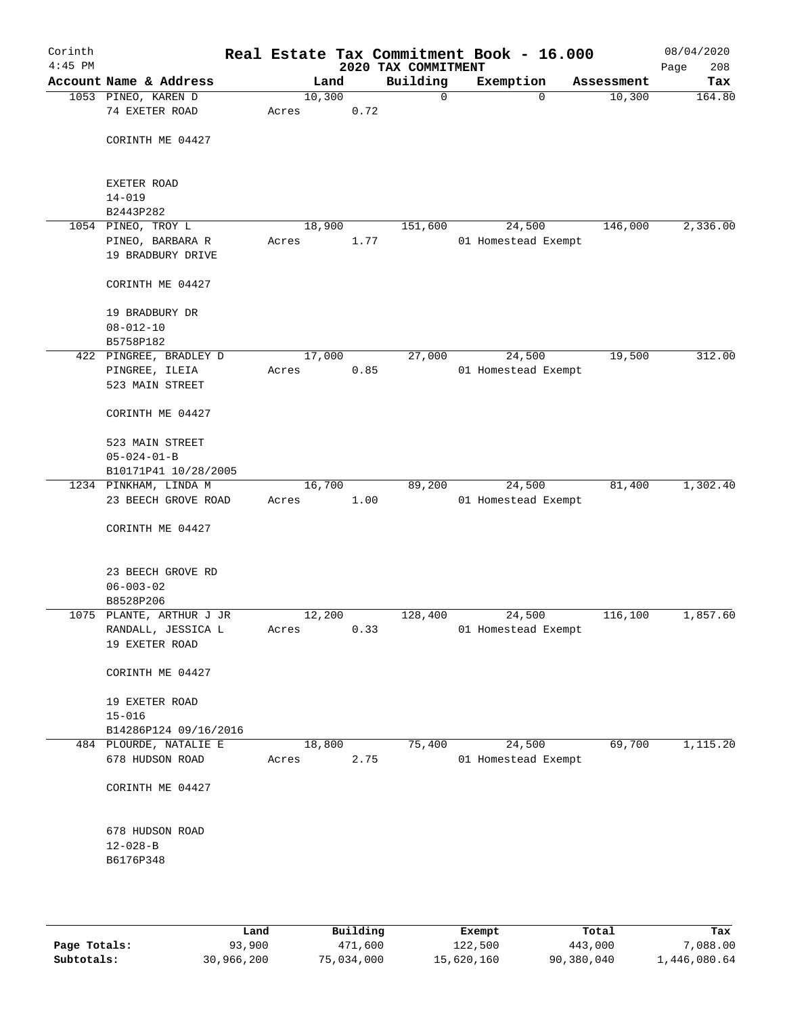| Corinth<br>$4:45$ PM |                                                             |       |        |      | 2020 TAX COMMITMENT | Real Estate Tax Commitment Book - 16.000 |            | 08/04/2020<br>208<br>Page |
|----------------------|-------------------------------------------------------------|-------|--------|------|---------------------|------------------------------------------|------------|---------------------------|
|                      | Account Name & Address                                      |       | Land   |      | Building            | Exemption                                | Assessment | Tax                       |
|                      | 1053 PINEO, KAREN D<br>74 EXETER ROAD                       | Acres | 10,300 | 0.72 | 0                   | $\mathbf 0$                              | 10,300     | 164.80                    |
|                      | CORINTH ME 04427                                            |       |        |      |                     |                                          |            |                           |
|                      | EXETER ROAD<br>$14 - 019$                                   |       |        |      |                     |                                          |            |                           |
|                      | B2443P282                                                   |       |        |      |                     |                                          |            |                           |
|                      | 1054 PINEO, TROY L                                          |       | 18,900 |      | 151,600             | 24,500                                   | 146,000    | 2,336.00                  |
|                      | PINEO, BARBARA R<br>19 BRADBURY DRIVE                       | Acres |        | 1.77 |                     | 01 Homestead Exempt                      |            |                           |
|                      | CORINTH ME 04427                                            |       |        |      |                     |                                          |            |                           |
|                      | 19 BRADBURY DR<br>$08 - 012 - 10$<br>B5758P182              |       |        |      |                     |                                          |            |                           |
|                      | 422 PINGREE, BRADLEY D<br>PINGREE, ILEIA<br>523 MAIN STREET | Acres | 17,000 | 0.85 | 27,000              | 24,500<br>01 Homestead Exempt            | 19,500     | 312.00                    |
|                      | CORINTH ME 04427                                            |       |        |      |                     |                                          |            |                           |
|                      | 523 MAIN STREET<br>$05 - 024 - 01 - B$                      |       |        |      |                     |                                          |            |                           |
|                      | B10171P41 10/28/2005                                        |       | 16,700 |      | 89,200              | 24,500                                   | 81,400     | 1,302.40                  |
|                      | 1234 PINKHAM, LINDA M<br>23 BEECH GROVE ROAD                | Acres |        | 1.00 |                     | 01 Homestead Exempt                      |            |                           |
|                      | CORINTH ME 04427                                            |       |        |      |                     |                                          |            |                           |
|                      | 23 BEECH GROVE RD<br>$06 - 003 - 02$<br>B8528P206           |       |        |      |                     |                                          |            |                           |
|                      | 1075 PLANTE, ARTHUR J JR                                    |       | 12,200 |      | 128,400             | 24,500                                   | 116,100    | 1,857.60                  |
|                      | RANDALL, JESSICA L<br>19 EXETER ROAD                        | Acres |        | 0.33 |                     | 01 Homestead Exempt                      |            |                           |
|                      | CORINTH ME 04427                                            |       |        |      |                     |                                          |            |                           |
|                      | 19 EXETER ROAD<br>$15 - 016$                                |       |        |      |                     |                                          |            |                           |
|                      | B14286P124 09/16/2016                                       |       |        |      |                     |                                          |            |                           |
|                      | 484 PLOURDE, NATALIE E<br>678 HUDSON ROAD                   | Acres | 18,800 | 2.75 | 75,400              | 24,500<br>01 Homestead Exempt            | 69,700     | 1,115.20                  |
|                      | CORINTH ME 04427                                            |       |        |      |                     |                                          |            |                           |
|                      | 678 HUDSON ROAD<br>$12 - 028 - B$<br>B6176P348              |       |        |      |                     |                                          |            |                           |
|                      |                                                             |       |        |      |                     |                                          |            |                           |

|              | Land       | Building   | Exempt     | Total      | Tax          |
|--------------|------------|------------|------------|------------|--------------|
| Page Totals: | 93,900     | 471,600    | 122,500    | 443,000    | 7,088.00     |
| Subtotals:   | 30,966,200 | 75,034,000 | 15,620,160 | 90,380,040 | 1,446,080.64 |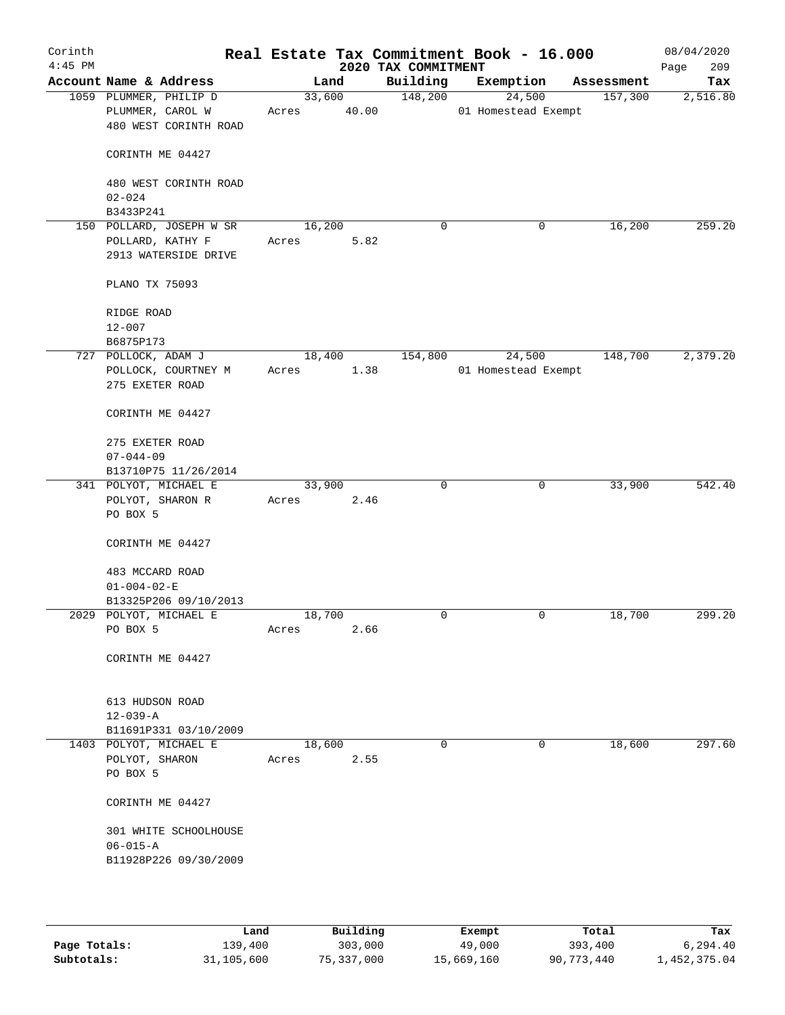| Corinth<br>$4:45$ PM |                                                                     | Real Estate Tax Commitment Book - 16.000 |       | 2020 TAX COMMITMENT |                               |            | 08/04/2020<br>209<br>Page |
|----------------------|---------------------------------------------------------------------|------------------------------------------|-------|---------------------|-------------------------------|------------|---------------------------|
|                      | Account Name & Address                                              | Land                                     |       | Building            | Exemption                     | Assessment | Tax                       |
|                      | 1059 PLUMMER, PHILIP D<br>PLUMMER, CAROL W<br>480 WEST CORINTH ROAD | 33,600<br>Acres                          | 40.00 | 148,200             | 24,500<br>01 Homestead Exempt | 157,300    | 2,516.80                  |
|                      | CORINTH ME 04427                                                    |                                          |       |                     |                               |            |                           |
|                      | 480 WEST CORINTH ROAD<br>$02 - 024$                                 |                                          |       |                     |                               |            |                           |
|                      | B3433P241                                                           |                                          |       |                     |                               |            |                           |
|                      | 150 POLLARD, JOSEPH W SR                                            | 16,200                                   |       | 0                   | 0                             | 16,200     | 259.20                    |
|                      | POLLARD, KATHY F                                                    | Acres                                    | 5.82  |                     |                               |            |                           |
|                      | 2913 WATERSIDE DRIVE                                                |                                          |       |                     |                               |            |                           |
|                      | PLANO TX 75093                                                      |                                          |       |                     |                               |            |                           |
|                      | RIDGE ROAD                                                          |                                          |       |                     |                               |            |                           |
|                      | $12 - 007$                                                          |                                          |       |                     |                               |            |                           |
|                      | B6875P173                                                           |                                          |       |                     |                               |            |                           |
|                      | 727 POLLOCK, ADAM J                                                 | 18,400                                   |       | 154,800             | 24,500                        | 148,700    | 2,379.20                  |
|                      | POLLOCK, COURTNEY M                                                 | Acres                                    | 1.38  |                     | 01 Homestead Exempt           |            |                           |
|                      | 275 EXETER ROAD                                                     |                                          |       |                     |                               |            |                           |
|                      | CORINTH ME 04427                                                    |                                          |       |                     |                               |            |                           |
|                      | 275 EXETER ROAD                                                     |                                          |       |                     |                               |            |                           |
|                      | $07 - 044 - 09$                                                     |                                          |       |                     |                               |            |                           |
|                      | B13710P75 11/26/2014                                                |                                          |       |                     |                               |            |                           |
|                      | 341 POLYOT, MICHAEL E                                               | 33,900                                   |       | $\mathbf 0$         | 0                             | 33,900     | 542.40                    |
|                      | POLYOT, SHARON R<br>PO BOX 5                                        | Acres                                    | 2.46  |                     |                               |            |                           |
|                      | CORINTH ME 04427                                                    |                                          |       |                     |                               |            |                           |
|                      | 483 MCCARD ROAD                                                     |                                          |       |                     |                               |            |                           |
|                      | $01 - 004 - 02 - E$                                                 |                                          |       |                     |                               |            |                           |
|                      | B13325P206 09/10/2013                                               |                                          |       |                     |                               |            |                           |
|                      | 2029 POLYOT, MICHAEL E                                              | 18,700                                   |       | 0                   | 0                             | 18,700     | 299.20                    |
|                      | PO BOX 5                                                            | Acres                                    | 2.66  |                     |                               |            |                           |
|                      | CORINTH ME 04427                                                    |                                          |       |                     |                               |            |                           |
|                      | 613 HUDSON ROAD                                                     |                                          |       |                     |                               |            |                           |
|                      | $12 - 039 - A$                                                      |                                          |       |                     |                               |            |                           |
|                      | B11691P331 03/10/2009                                               |                                          |       |                     |                               |            |                           |
|                      | 1403 POLYOT, MICHAEL E                                              | 18,600                                   |       | 0                   | 0                             | 18,600     | 297.60                    |
|                      | POLYOT, SHARON                                                      | Acres                                    | 2.55  |                     |                               |            |                           |
|                      | PO BOX 5                                                            |                                          |       |                     |                               |            |                           |
|                      | CORINTH ME 04427                                                    |                                          |       |                     |                               |            |                           |
|                      | 301 WHITE SCHOOLHOUSE                                               |                                          |       |                     |                               |            |                           |
|                      | $06 - 015 - A$                                                      |                                          |       |                     |                               |            |                           |
|                      | B11928P226 09/30/2009                                               |                                          |       |                     |                               |            |                           |
|                      |                                                                     |                                          |       |                     |                               |            |                           |
|                      |                                                                     |                                          |       |                     |                               |            |                           |

|              | Land       | Building   | Exempt     | Total      | Tax          |
|--------------|------------|------------|------------|------------|--------------|
| Page Totals: | 139,400    | 303,000    | 49,000     | 393,400    | 6.294.40     |
| Subtotals:   | 31,105,600 | 75,337,000 | 15,669,160 | 90,773,440 | l,452,375.04 |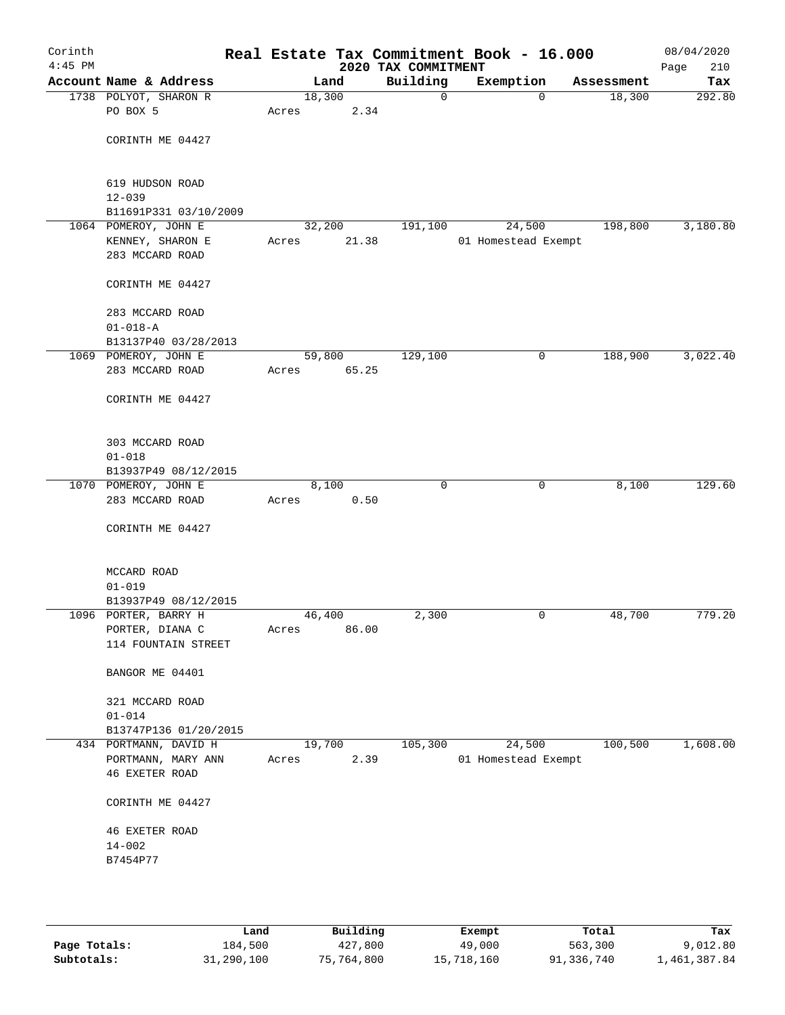| Corinth<br>$4:45$ PM |                                              |        |       | Real Estate Tax Commitment Book - 16.000<br>2020 TAX COMMITMENT |                     |             |            | 08/04/2020<br>210<br>Page |
|----------------------|----------------------------------------------|--------|-------|-----------------------------------------------------------------|---------------------|-------------|------------|---------------------------|
|                      | Account Name & Address                       |        | Land  | Building                                                        | Exemption           |             | Assessment | Tax                       |
|                      | 1738 POLYOT, SHARON R                        | 18,300 |       | 0                                                               |                     | $\mathbf 0$ | 18,300     | 292.80                    |
|                      | PO BOX 5                                     | Acres  | 2.34  |                                                                 |                     |             |            |                           |
|                      |                                              |        |       |                                                                 |                     |             |            |                           |
|                      | CORINTH ME 04427                             |        |       |                                                                 |                     |             |            |                           |
|                      |                                              |        |       |                                                                 |                     |             |            |                           |
|                      |                                              |        |       |                                                                 |                     |             |            |                           |
|                      | 619 HUDSON ROAD                              |        |       |                                                                 |                     |             |            |                           |
|                      | $12 - 039$                                   |        |       |                                                                 |                     |             |            |                           |
|                      | B11691P331 03/10/2009                        |        |       |                                                                 |                     |             |            |                           |
|                      | 1064 POMEROY, JOHN E                         | 32,200 |       | 191,100                                                         | 24,500              |             | 198,800    | 3,180.80                  |
|                      | KENNEY, SHARON E                             | Acres  | 21.38 |                                                                 | 01 Homestead Exempt |             |            |                           |
|                      | 283 MCCARD ROAD                              |        |       |                                                                 |                     |             |            |                           |
|                      |                                              |        |       |                                                                 |                     |             |            |                           |
|                      | CORINTH ME 04427                             |        |       |                                                                 |                     |             |            |                           |
|                      | 283 MCCARD ROAD                              |        |       |                                                                 |                     |             |            |                           |
|                      | $01 - 018 - A$                               |        |       |                                                                 |                     |             |            |                           |
|                      | B13137P40 03/28/2013                         |        |       |                                                                 |                     |             |            |                           |
|                      | 1069 POMEROY, JOHN E                         | 59,800 |       | 129,100                                                         |                     | 0           | 188,900    | 3,022.40                  |
|                      | 283 MCCARD ROAD                              | Acres  | 65.25 |                                                                 |                     |             |            |                           |
|                      |                                              |        |       |                                                                 |                     |             |            |                           |
|                      | CORINTH ME 04427                             |        |       |                                                                 |                     |             |            |                           |
|                      |                                              |        |       |                                                                 |                     |             |            |                           |
|                      |                                              |        |       |                                                                 |                     |             |            |                           |
|                      | 303 MCCARD ROAD                              |        |       |                                                                 |                     |             |            |                           |
|                      | $01 - 018$                                   |        |       |                                                                 |                     |             |            |                           |
|                      | B13937P49 08/12/2015                         |        |       |                                                                 |                     |             |            |                           |
|                      | 1070 POMEROY, JOHN E                         |        | 8,100 | $\Omega$                                                        |                     | $\mathbf 0$ | 8,100      | 129.60                    |
|                      | 283 MCCARD ROAD                              | Acres  | 0.50  |                                                                 |                     |             |            |                           |
|                      |                                              |        |       |                                                                 |                     |             |            |                           |
|                      | CORINTH ME 04427                             |        |       |                                                                 |                     |             |            |                           |
|                      |                                              |        |       |                                                                 |                     |             |            |                           |
|                      |                                              |        |       |                                                                 |                     |             |            |                           |
|                      | MCCARD ROAD                                  |        |       |                                                                 |                     |             |            |                           |
|                      | $01 - 019$                                   |        |       |                                                                 |                     |             |            |                           |
|                      | B13937P49 08/12/2015<br>1096 PORTER, BARRY H |        |       | 2,300                                                           |                     |             |            | 779.20                    |
|                      |                                              | 46,400 |       |                                                                 |                     | 0           | 48,700     |                           |
|                      | PORTER, DIANA C<br>114 FOUNTAIN STREET       | Acres  | 86.00 |                                                                 |                     |             |            |                           |
|                      |                                              |        |       |                                                                 |                     |             |            |                           |
|                      | BANGOR ME 04401                              |        |       |                                                                 |                     |             |            |                           |
|                      |                                              |        |       |                                                                 |                     |             |            |                           |
|                      | 321 MCCARD ROAD                              |        |       |                                                                 |                     |             |            |                           |
|                      | $01 - 014$                                   |        |       |                                                                 |                     |             |            |                           |
|                      | B13747P136 01/20/2015                        |        |       |                                                                 |                     |             |            |                           |
|                      | 434 PORTMANN, DAVID H                        | 19,700 |       | 105,300                                                         | 24,500              |             | 100, 500   | 1,608.00                  |
|                      | PORTMANN, MARY ANN                           | Acres  | 2.39  |                                                                 | 01 Homestead Exempt |             |            |                           |
|                      | <b>46 EXETER ROAD</b>                        |        |       |                                                                 |                     |             |            |                           |
|                      |                                              |        |       |                                                                 |                     |             |            |                           |
|                      | CORINTH ME 04427                             |        |       |                                                                 |                     |             |            |                           |
|                      |                                              |        |       |                                                                 |                     |             |            |                           |
|                      | <b>46 EXETER ROAD</b>                        |        |       |                                                                 |                     |             |            |                           |
|                      | $14 - 002$                                   |        |       |                                                                 |                     |             |            |                           |
|                      | B7454P77                                     |        |       |                                                                 |                     |             |            |                           |
|                      |                                              |        |       |                                                                 |                     |             |            |                           |
|                      |                                              |        |       |                                                                 |                     |             |            |                           |
|                      |                                              |        |       |                                                                 |                     |             |            |                           |

|              | Land       | Building   | Exempt     | Total      | Tax          |
|--------------|------------|------------|------------|------------|--------------|
| Page Totals: | 184,500    | 427,800    | 49,000     | 563,300    | 9,012.80     |
| Subtotals:   | 31,290,100 | 75,764,800 | 15,718,160 | 91,336,740 | 1,461,387.84 |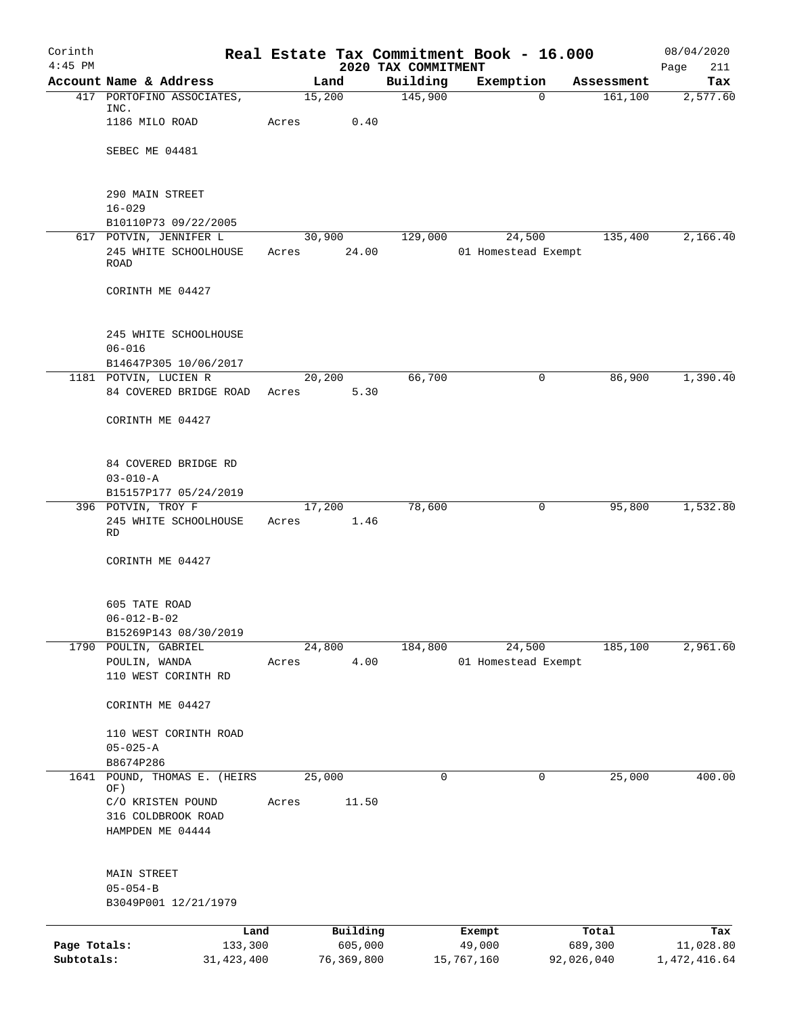| Corinth      |                                             | Real Estate Tax Commitment Book - 16.000 |                                 |                     |            | 08/04/2020         |
|--------------|---------------------------------------------|------------------------------------------|---------------------------------|---------------------|------------|--------------------|
| $4:45$ PM    | Account Name & Address                      | Land                                     | 2020 TAX COMMITMENT<br>Building | Exemption           | Assessment | Page<br>211<br>Tax |
|              | 417 PORTOFINO ASSOCIATES,                   | 15,200                                   | 145,900                         | $\Omega$            | 161, 100   | 2,577.60           |
|              | INC.                                        |                                          |                                 |                     |            |                    |
|              | 1186 MILO ROAD                              | Acres<br>0.40                            |                                 |                     |            |                    |
|              | SEBEC ME 04481                              |                                          |                                 |                     |            |                    |
|              |                                             |                                          |                                 |                     |            |                    |
|              |                                             |                                          |                                 |                     |            |                    |
|              | 290 MAIN STREET                             |                                          |                                 |                     |            |                    |
|              | $16 - 029$<br>B10110P73 09/22/2005          |                                          |                                 |                     |            |                    |
|              | 617 POTVIN, JENNIFER L                      | 30,900                                   | 129,000                         | 24,500              | 135,400    | 2,166.40           |
|              | 245 WHITE SCHOOLHOUSE                       | 24.00<br>Acres                           |                                 | 01 Homestead Exempt |            |                    |
|              | ROAD                                        |                                          |                                 |                     |            |                    |
|              | CORINTH ME 04427                            |                                          |                                 |                     |            |                    |
|              |                                             |                                          |                                 |                     |            |                    |
|              |                                             |                                          |                                 |                     |            |                    |
|              | 245 WHITE SCHOOLHOUSE<br>$06 - 016$         |                                          |                                 |                     |            |                    |
|              | B14647P305 10/06/2017                       |                                          |                                 |                     |            |                    |
|              | 1181 POTVIN, LUCIEN R                       | 20,200                                   | 66,700                          | $\mathbf 0$         | 86,900     | 1,390.40           |
|              | 84 COVERED BRIDGE ROAD                      | 5.30<br>Acres                            |                                 |                     |            |                    |
|              |                                             |                                          |                                 |                     |            |                    |
|              | CORINTH ME 04427                            |                                          |                                 |                     |            |                    |
|              |                                             |                                          |                                 |                     |            |                    |
|              | 84 COVERED BRIDGE RD                        |                                          |                                 |                     |            |                    |
|              | $03 - 010 - A$                              |                                          |                                 |                     |            |                    |
|              | B15157P177 05/24/2019<br>396 POTVIN, TROY F | 17,200                                   | 78,600                          | 0                   | 95,800     | 1,532.80           |
|              | 245 WHITE SCHOOLHOUSE                       | 1.46<br>Acres                            |                                 |                     |            |                    |
|              | RD                                          |                                          |                                 |                     |            |                    |
|              | CORINTH ME 04427                            |                                          |                                 |                     |            |                    |
|              |                                             |                                          |                                 |                     |            |                    |
|              |                                             |                                          |                                 |                     |            |                    |
|              | 605 TATE ROAD<br>$06 - 012 - B - 02$        |                                          |                                 |                     |            |                    |
|              | B15269P143 08/30/2019                       |                                          |                                 |                     |            |                    |
|              | 1790 POULIN, GABRIEL                        | 24,800                                   | 184,800                         | 24,500              | 185,100    | 2,961.60           |
|              | POULIN, WANDA                               | 4.00<br>Acres                            |                                 | 01 Homestead Exempt |            |                    |
|              | 110 WEST CORINTH RD                         |                                          |                                 |                     |            |                    |
|              | CORINTH ME 04427                            |                                          |                                 |                     |            |                    |
|              |                                             |                                          |                                 |                     |            |                    |
|              | 110 WEST CORINTH ROAD                       |                                          |                                 |                     |            |                    |
|              | $05 - 025 - A$                              |                                          |                                 |                     |            |                    |
|              | B8674P286<br>POUND, THOMAS E. (HEIRS        | 25,000                                   | 0                               | 0                   | 25,000     | 400.00             |
| 1641         | OF)                                         |                                          |                                 |                     |            |                    |
|              | C/O KRISTEN POUND                           | 11.50<br>Acres                           |                                 |                     |            |                    |
|              | 316 COLDBROOK ROAD                          |                                          |                                 |                     |            |                    |
|              | HAMPDEN ME 04444                            |                                          |                                 |                     |            |                    |
|              |                                             |                                          |                                 |                     |            |                    |
|              | MAIN STREET                                 |                                          |                                 |                     |            |                    |
|              | $05 - 054 - B$                              |                                          |                                 |                     |            |                    |
|              | B3049P001 12/21/1979                        |                                          |                                 |                     |            |                    |
|              | Land                                        | Building                                 |                                 | Exempt              | Total      | Tax                |
| Page Totals: | 133,300                                     | 605,000                                  |                                 | 49,000              | 689,300    | 11,028.80          |
| Subtotals:   | 31, 423, 400                                | 76,369,800                               |                                 | 15,767,160          | 92,026,040 | 1,472,416.64       |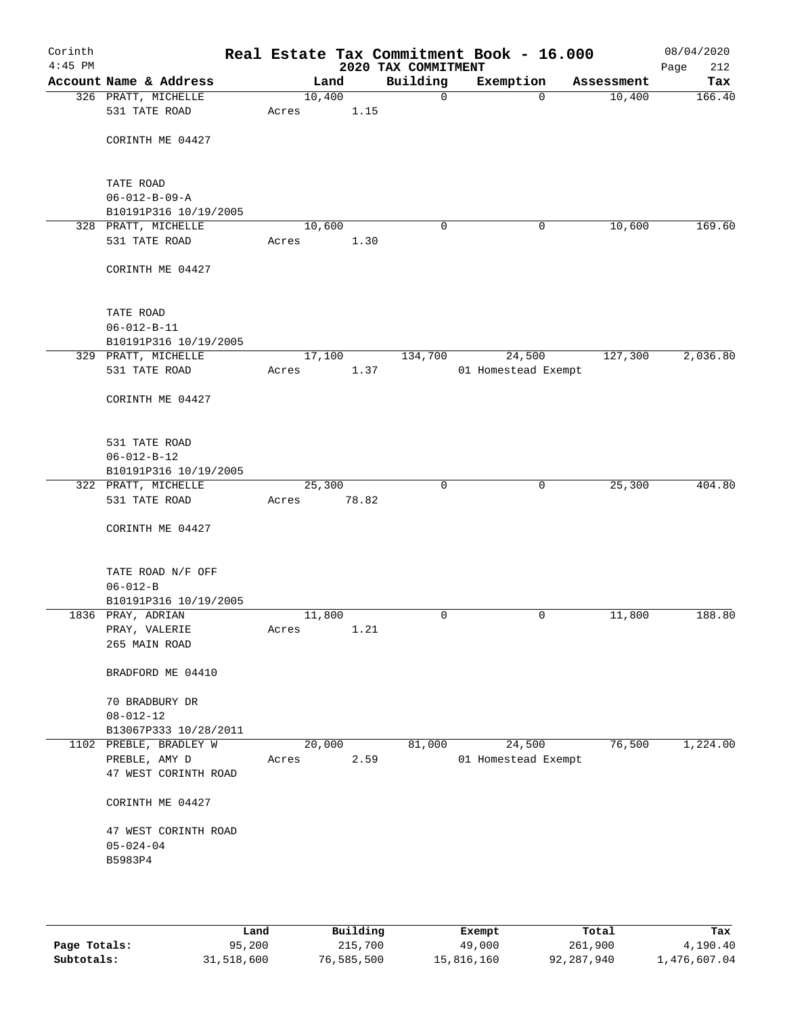| Corinth<br>$4:45$ PM |                                                  |        |       | 2020 TAX COMMITMENT |             | Real Estate Tax Commitment Book - 16.000 |             |            | 08/04/2020<br>Page<br>212 |
|----------------------|--------------------------------------------------|--------|-------|---------------------|-------------|------------------------------------------|-------------|------------|---------------------------|
|                      | Account Name & Address                           |        | Land  | Building            |             | Exemption                                |             | Assessment | Tax                       |
|                      | 326 PRATT, MICHELLE                              | 10,400 |       |                     | $\mathbf 0$ |                                          | $\mathbf 0$ | 10,400     | 166.40                    |
|                      | 531 TATE ROAD                                    | Acres  | 1.15  |                     |             |                                          |             |            |                           |
|                      | CORINTH ME 04427                                 |        |       |                     |             |                                          |             |            |                           |
|                      | TATE ROAD                                        |        |       |                     |             |                                          |             |            |                           |
|                      | $06 - 012 - B - 09 - A$<br>B10191P316 10/19/2005 |        |       |                     |             |                                          |             |            |                           |
|                      | 328 PRATT, MICHELLE                              | 10,600 |       |                     | 0           |                                          | 0           | 10,600     | 169.60                    |
|                      | 531 TATE ROAD                                    | Acres  | 1.30  |                     |             |                                          |             |            |                           |
|                      | CORINTH ME 04427                                 |        |       |                     |             |                                          |             |            |                           |
|                      |                                                  |        |       |                     |             |                                          |             |            |                           |
|                      | TATE ROAD                                        |        |       |                     |             |                                          |             |            |                           |
|                      | $06 - 012 - B - 11$                              |        |       |                     |             |                                          |             |            |                           |
|                      | B10191P316 10/19/2005                            |        |       |                     |             |                                          |             |            |                           |
|                      | 329 PRATT, MICHELLE                              | 17,100 |       |                     | 134,700     | 24,500                                   |             | 127,300    | 2,036.80                  |
|                      | 531 TATE ROAD                                    | Acres  | 1.37  |                     |             | 01 Homestead Exempt                      |             |            |                           |
|                      | CORINTH ME 04427                                 |        |       |                     |             |                                          |             |            |                           |
|                      | 531 TATE ROAD                                    |        |       |                     |             |                                          |             |            |                           |
|                      | $06 - 012 - B - 12$                              |        |       |                     |             |                                          |             |            |                           |
|                      | B10191P316 10/19/2005                            |        |       |                     |             |                                          |             |            |                           |
|                      | 322 PRATT, MICHELLE                              | 25,300 |       |                     | $\mathbf 0$ |                                          | $\mathbf 0$ | 25,300     | 404.80                    |
|                      | 531 TATE ROAD                                    | Acres  | 78.82 |                     |             |                                          |             |            |                           |
|                      | CORINTH ME 04427                                 |        |       |                     |             |                                          |             |            |                           |
|                      | TATE ROAD N/F OFF                                |        |       |                     |             |                                          |             |            |                           |
|                      | $06 - 012 - B$                                   |        |       |                     |             |                                          |             |            |                           |
|                      | B10191P316 10/19/2005                            |        |       |                     |             |                                          |             |            |                           |
|                      | 1836 PRAY, ADRIAN                                | 11,800 |       |                     | 0           |                                          | 0           | 11,800     | 188.80                    |
|                      | PRAY, VALERIE<br>265 MAIN ROAD                   | Acres  | 1.21  |                     |             |                                          |             |            |                           |
|                      |                                                  |        |       |                     |             |                                          |             |            |                           |
|                      | BRADFORD ME 04410                                |        |       |                     |             |                                          |             |            |                           |
|                      | 70 BRADBURY DR                                   |        |       |                     |             |                                          |             |            |                           |
|                      | $08 - 012 - 12$                                  |        |       |                     |             |                                          |             |            |                           |
|                      | B13067P333 10/28/2011                            |        |       |                     |             |                                          |             |            |                           |
|                      | 1102 PREBLE, BRADLEY W                           | 20,000 |       |                     | 81,000      | 24,500                                   |             | 76,500     | 1,224.00                  |
|                      | PREBLE, AMY D                                    | Acres  | 2.59  |                     |             | 01 Homestead Exempt                      |             |            |                           |
|                      | 47 WEST CORINTH ROAD                             |        |       |                     |             |                                          |             |            |                           |
|                      | CORINTH ME 04427                                 |        |       |                     |             |                                          |             |            |                           |
|                      | 47 WEST CORINTH ROAD                             |        |       |                     |             |                                          |             |            |                           |
|                      | $05 - 024 - 04$                                  |        |       |                     |             |                                          |             |            |                           |
|                      | B5983P4                                          |        |       |                     |             |                                          |             |            |                           |
|                      |                                                  |        |       |                     |             |                                          |             |            |                           |
|                      |                                                  |        |       |                     |             |                                          |             |            |                           |
|                      |                                                  |        |       |                     |             |                                          |             |            |                           |

|              | Land       | Building   | Exempt     | Total      | Tax          |
|--------------|------------|------------|------------|------------|--------------|
| Page Totals: | 95,200     | 215,700    | 49,000     | 261,900    | 4,190.40     |
| Subtotals:   | 31,518,600 | 76,585,500 | 15,816,160 | 92,287,940 | 1,476,607.04 |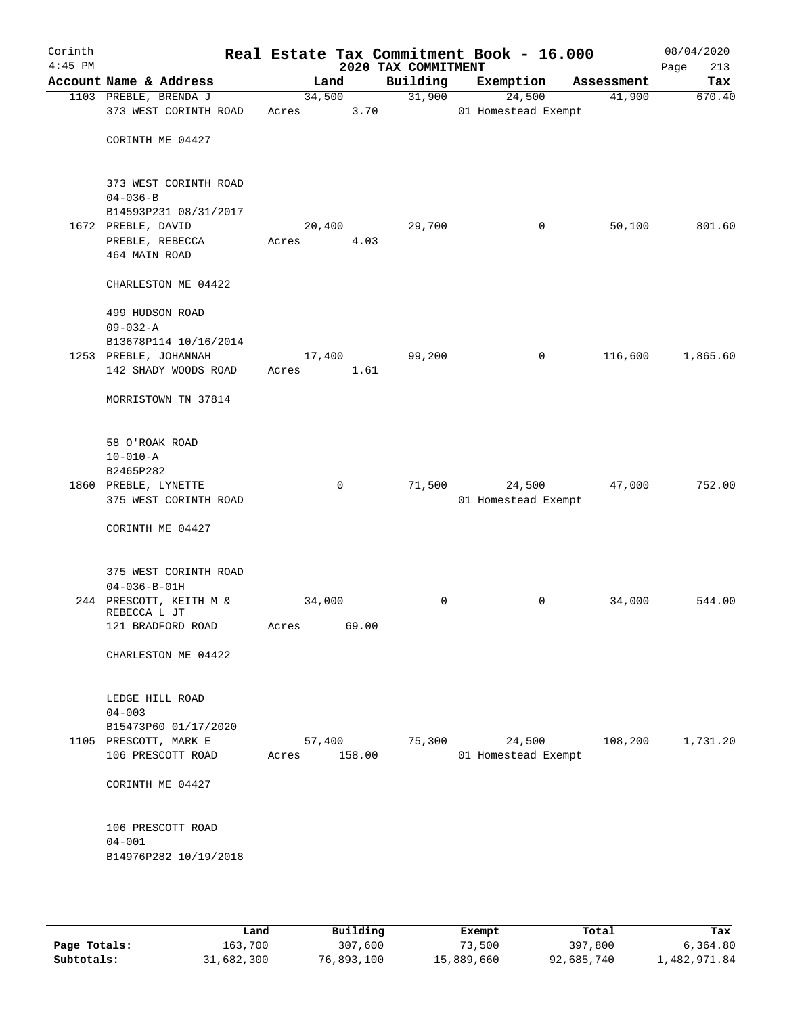| Corinth<br>$4:45$ PM |                                             |        |        |      | Real Estate Tax Commitment Book - 16.000<br>2020 TAX COMMITMENT |                     |              |            | 08/04/2020<br>213<br>Page |
|----------------------|---------------------------------------------|--------|--------|------|-----------------------------------------------------------------|---------------------|--------------|------------|---------------------------|
|                      | Account Name & Address                      |        | Land   |      | Building                                                        | Exemption           |              | Assessment | Tax                       |
|                      | 1103 PREBLE, BRENDA J                       | 34,500 |        |      | 31,900                                                          |                     | 24,500       | 41,900     | 670.40                    |
|                      | 373 WEST CORINTH ROAD                       | Acres  |        | 3.70 |                                                                 | 01 Homestead Exempt |              |            |                           |
|                      |                                             |        |        |      |                                                                 |                     |              |            |                           |
|                      | CORINTH ME 04427                            |        |        |      |                                                                 |                     |              |            |                           |
|                      |                                             |        |        |      |                                                                 |                     |              |            |                           |
|                      |                                             |        |        |      |                                                                 |                     |              |            |                           |
|                      | 373 WEST CORINTH ROAD                       |        |        |      |                                                                 |                     |              |            |                           |
|                      | $04 - 036 - B$                              |        |        |      |                                                                 |                     |              |            |                           |
|                      | B14593P231 08/31/2017<br>1672 PREBLE, DAVID | 20,400 |        |      | 29,700                                                          |                     | 0            | 50,100     | 801.60                    |
|                      | PREBLE, REBECCA                             | Acres  |        | 4.03 |                                                                 |                     |              |            |                           |
|                      | 464 MAIN ROAD                               |        |        |      |                                                                 |                     |              |            |                           |
|                      |                                             |        |        |      |                                                                 |                     |              |            |                           |
|                      | CHARLESTON ME 04422                         |        |        |      |                                                                 |                     |              |            |                           |
|                      |                                             |        |        |      |                                                                 |                     |              |            |                           |
|                      | 499 HUDSON ROAD                             |        |        |      |                                                                 |                     |              |            |                           |
|                      | $09 - 032 - A$                              |        |        |      |                                                                 |                     |              |            |                           |
|                      | B13678P114 10/16/2014                       |        |        |      |                                                                 |                     |              |            |                           |
|                      | 1253 PREBLE, JOHANNAH                       | 17,400 |        |      | 99,200                                                          |                     | $\mathsf{O}$ | 116,600    | 1,865.60                  |
|                      | 142 SHADY WOODS ROAD                        | Acres  |        | 1.61 |                                                                 |                     |              |            |                           |
|                      |                                             |        |        |      |                                                                 |                     |              |            |                           |
|                      | MORRISTOWN TN 37814                         |        |        |      |                                                                 |                     |              |            |                           |
|                      |                                             |        |        |      |                                                                 |                     |              |            |                           |
|                      |                                             |        |        |      |                                                                 |                     |              |            |                           |
|                      | 58 O'ROAK ROAD                              |        |        |      |                                                                 |                     |              |            |                           |
|                      | $10 - 010 - A$<br>B2465P282                 |        |        |      |                                                                 |                     |              |            |                           |
|                      | 1860 PREBLE, LYNETTE                        |        | 0      |      | 71,500                                                          |                     | 24,500       | 47,000     | 752.00                    |
|                      | 375 WEST CORINTH ROAD                       |        |        |      |                                                                 | 01 Homestead Exempt |              |            |                           |
|                      |                                             |        |        |      |                                                                 |                     |              |            |                           |
|                      | CORINTH ME 04427                            |        |        |      |                                                                 |                     |              |            |                           |
|                      |                                             |        |        |      |                                                                 |                     |              |            |                           |
|                      |                                             |        |        |      |                                                                 |                     |              |            |                           |
|                      | 375 WEST CORINTH ROAD                       |        |        |      |                                                                 |                     |              |            |                           |
|                      | $04 - 036 - B - 01H$                        |        |        |      |                                                                 |                     |              |            |                           |
|                      | 244 PRESCOTT, KEITH M &<br>REBECCA L JT     | 34,000 |        |      | 0                                                               |                     | 0            | 34,000     | 544.00                    |
|                      | 121 BRADFORD ROAD                           | Acres  | 69.00  |      |                                                                 |                     |              |            |                           |
|                      |                                             |        |        |      |                                                                 |                     |              |            |                           |
|                      | CHARLESTON ME 04422                         |        |        |      |                                                                 |                     |              |            |                           |
|                      |                                             |        |        |      |                                                                 |                     |              |            |                           |
|                      |                                             |        |        |      |                                                                 |                     |              |            |                           |
|                      | LEDGE HILL ROAD                             |        |        |      |                                                                 |                     |              |            |                           |
|                      | $04 - 003$                                  |        |        |      |                                                                 |                     |              |            |                           |
|                      | B15473P60 01/17/2020                        |        |        |      |                                                                 |                     |              |            |                           |
|                      | 1105 PRESCOTT, MARK E                       | 57,400 |        |      | 75,300                                                          |                     | 24,500       | 108,200    | 1,731.20                  |
|                      | 106 PRESCOTT ROAD                           | Acres  | 158.00 |      |                                                                 | 01 Homestead Exempt |              |            |                           |
|                      |                                             |        |        |      |                                                                 |                     |              |            |                           |
|                      | CORINTH ME 04427                            |        |        |      |                                                                 |                     |              |            |                           |
|                      |                                             |        |        |      |                                                                 |                     |              |            |                           |
|                      | 106 PRESCOTT ROAD                           |        |        |      |                                                                 |                     |              |            |                           |
|                      | $04 - 001$                                  |        |        |      |                                                                 |                     |              |            |                           |
|                      | B14976P282 10/19/2018                       |        |        |      |                                                                 |                     |              |            |                           |
|                      |                                             |        |        |      |                                                                 |                     |              |            |                           |
|                      |                                             |        |        |      |                                                                 |                     |              |            |                           |
|                      |                                             |        |        |      |                                                                 |                     |              |            |                           |

|              | Land       | Building   | Exempt     | Total      | Tax          |
|--------------|------------|------------|------------|------------|--------------|
| Page Totals: | 163,700    | 307,600    | 73,500     | 397,800    | 6,364.80     |
| Subtotals:   | 31,682,300 | 76,893,100 | 15,889,660 | 92,685,740 | 1,482,971.84 |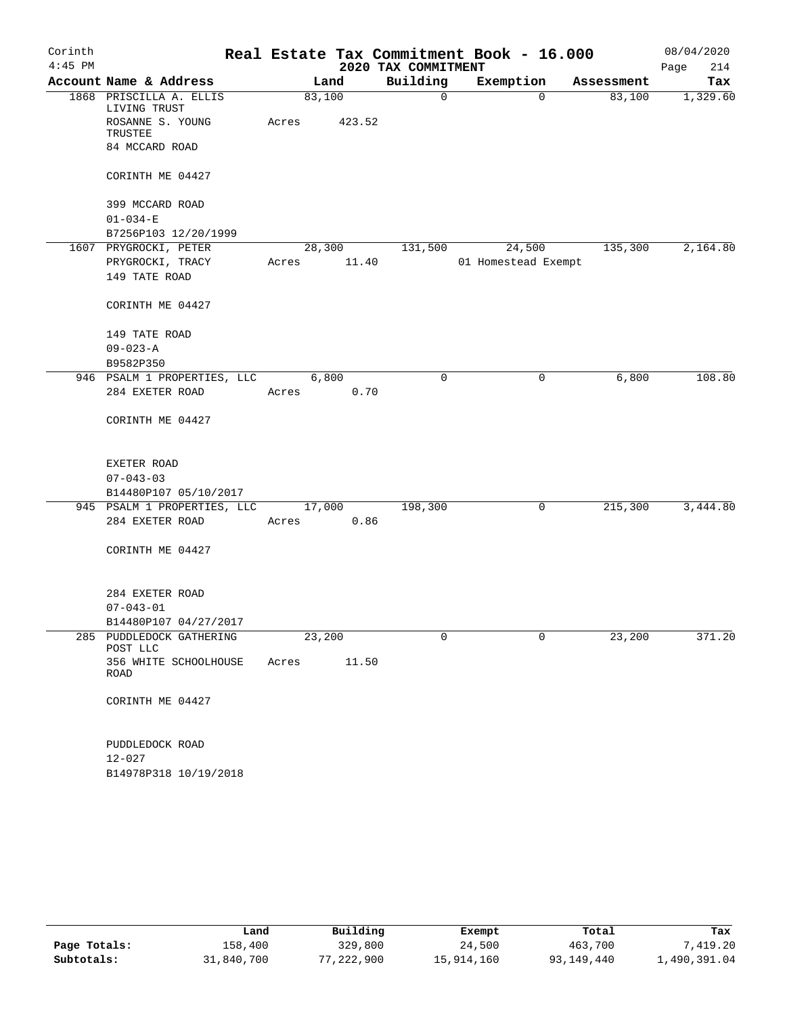| Corinth   |                                         |            |        |                     | Real Estate Tax Commitment Book - 16.000 |            | 08/04/2020  |
|-----------|-----------------------------------------|------------|--------|---------------------|------------------------------------------|------------|-------------|
| $4:45$ PM |                                         |            |        | 2020 TAX COMMITMENT |                                          |            | 214<br>Page |
|           | Account Name & Address                  |            | Land   | Building            | Exemption                                | Assessment | Tax         |
|           | 1868 PRISCILLA A. ELLIS<br>LIVING TRUST | 83,100     |        | $\mathsf{O}$        | $\Omega$                                 | 83,100     | 1,329.60    |
|           | ROSANNE S. YOUNG<br>TRUSTEE             | Acres      | 423.52 |                     |                                          |            |             |
|           | 84 MCCARD ROAD                          |            |        |                     |                                          |            |             |
|           | CORINTH ME 04427                        |            |        |                     |                                          |            |             |
|           | 399 MCCARD ROAD                         |            |        |                     |                                          |            |             |
|           | $01 - 034 - E$                          |            |        |                     |                                          |            |             |
|           | B7256P103 12/20/1999                    |            |        |                     |                                          |            |             |
|           | 1607 PRYGROCKI, PETER                   |            | 28,300 | 131,500             | 24,500                                   | 135,300    | 2,164.80    |
|           | PRYGROCKI, TRACY                        | Acres      | 11.40  |                     | 01 Homestead Exempt                      |            |             |
|           | 149 TATE ROAD                           |            |        |                     |                                          |            |             |
|           | CORINTH ME 04427                        |            |        |                     |                                          |            |             |
|           | 149 TATE ROAD                           |            |        |                     |                                          |            |             |
|           | $09 - 023 - A$                          |            |        |                     |                                          |            |             |
|           | B9582P350                               |            |        |                     |                                          |            |             |
|           | 946 PSALM 1 PROPERTIES, LLC             |            | 6,800  | $\Omega$            | 0                                        | 6,800      | 108.80      |
|           | 284 EXETER ROAD                         | Acres      | 0.70   |                     |                                          |            |             |
|           | CORINTH ME 04427                        |            |        |                     |                                          |            |             |
|           | EXETER ROAD                             |            |        |                     |                                          |            |             |
|           | $07 - 043 - 03$                         |            |        |                     |                                          |            |             |
|           | B14480P107 05/10/2017                   |            |        |                     |                                          |            |             |
|           | 945 PSALM 1 PROPERTIES, LLC 17,000      |            |        | 198,300             | 0                                        | 215,300    | 3,444.80    |
|           | 284 EXETER ROAD                         | Acres 0.86 |        |                     |                                          |            |             |
|           | CORINTH ME 04427                        |            |        |                     |                                          |            |             |
|           | 284 EXETER ROAD                         |            |        |                     |                                          |            |             |
|           | $07 - 043 - 01$                         |            |        |                     |                                          |            |             |
|           | B14480P107 04/27/2017                   |            |        |                     |                                          |            |             |
|           | 285 PUDDLEDOCK GATHERING<br>POST LLC    | 23,200     |        | 0                   | 0                                        | 23,200     | 371.20      |
|           | 356 WHITE SCHOOLHOUSE<br><b>ROAD</b>    | Acres      | 11.50  |                     |                                          |            |             |
|           | CORINTH ME 04427                        |            |        |                     |                                          |            |             |
|           | PUDDLEDOCK ROAD                         |            |        |                     |                                          |            |             |
|           | 12-027                                  |            |        |                     |                                          |            |             |
|           | B14978P318 10/19/2018                   |            |        |                     |                                          |            |             |

|              | Land       | Building   | Exempt     | Total      | Tax          |
|--------------|------------|------------|------------|------------|--------------|
| Page Totals: | 158,400    | 329,800    | 24,500     | 463,700    | 7,419.20     |
| Subtotals:   | 31,840,700 | 77,222,900 | 15,914,160 | 93,149,440 | l,490,391.04 |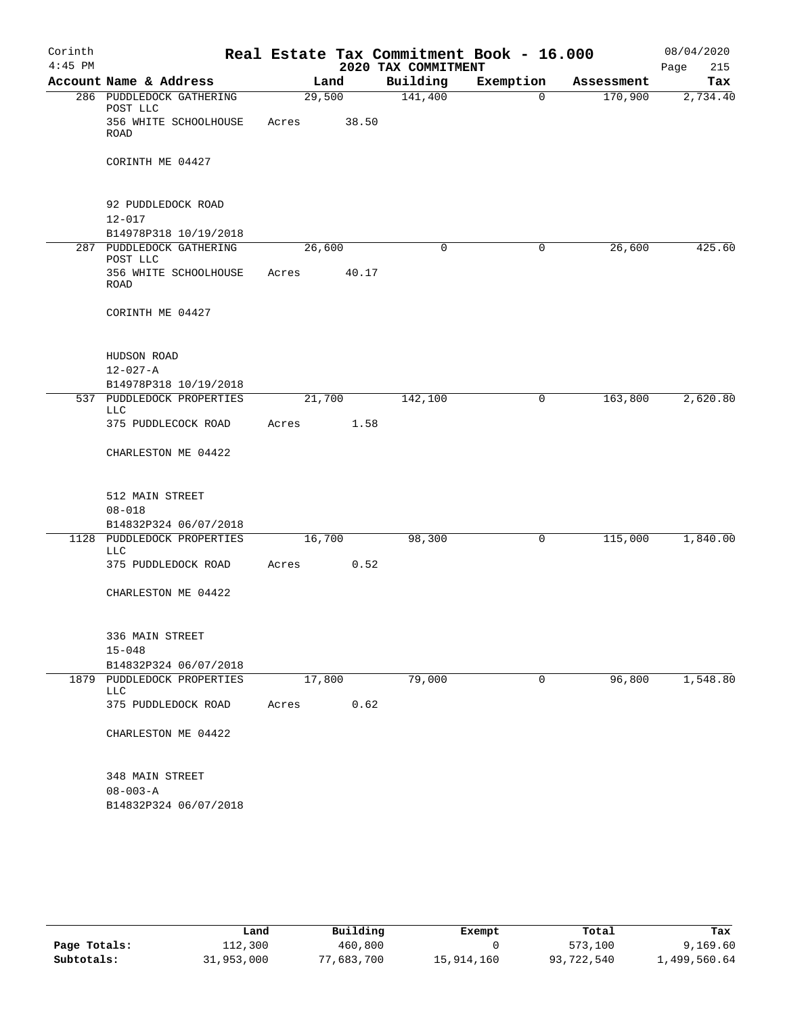| Corinth<br>$4:45$ PM |                                                    |        |       | 2020 TAX COMMITMENT | Real Estate Tax Commitment Book - 16.000 |            | 08/04/2020<br>Page<br>215 |
|----------------------|----------------------------------------------------|--------|-------|---------------------|------------------------------------------|------------|---------------------------|
|                      | Account Name & Address                             |        | Land  | Building            | Exemption                                | Assessment | Tax                       |
|                      | 286 PUDDLEDOCK GATHERING<br>POST LLC               | 29,500 |       | 141,400             | $\mathbf 0$                              | 170,900    | 2,734.40                  |
|                      | 356 WHITE SCHOOLHOUSE<br><b>ROAD</b>               | Acres  | 38.50 |                     |                                          |            |                           |
|                      | CORINTH ME 04427                                   |        |       |                     |                                          |            |                           |
|                      | 92 PUDDLEDOCK ROAD                                 |        |       |                     |                                          |            |                           |
|                      | $12 - 017$                                         |        |       |                     |                                          |            |                           |
|                      | B14978P318 10/19/2018<br>287 PUDDLEDOCK GATHERING  |        |       | 0                   | 0                                        |            | 425.60                    |
|                      | POST LLC                                           | 26,600 |       |                     |                                          | 26,600     |                           |
|                      | 356 WHITE SCHOOLHOUSE<br>ROAD                      | Acres  | 40.17 |                     |                                          |            |                           |
|                      | CORINTH ME 04427                                   |        |       |                     |                                          |            |                           |
|                      | HUDSON ROAD                                        |        |       |                     |                                          |            |                           |
|                      | $12 - 027 - A$                                     |        |       |                     |                                          |            |                           |
|                      | B14978P318 10/19/2018<br>537 PUDDLEDOCK PROPERTIES | 21,700 |       | 142,100             | 0                                        | 163,800    | 2,620.80                  |
|                      | LLC                                                |        |       |                     |                                          |            |                           |
|                      | 375 PUDDLECOCK ROAD                                | Acres  | 1.58  |                     |                                          |            |                           |
|                      | CHARLESTON ME 04422                                |        |       |                     |                                          |            |                           |
|                      | 512 MAIN STREET                                    |        |       |                     |                                          |            |                           |
|                      | $08 - 018$                                         |        |       |                     |                                          |            |                           |
|                      | B14832P324 06/07/2018                              |        |       |                     |                                          |            |                           |
|                      | 1128 PUDDLEDOCK PROPERTIES<br>LLC                  | 16,700 |       | 98,300              | 0                                        | 115,000    | 1,840.00                  |
|                      | 375 PUDDLEDOCK ROAD                                | Acres  | 0.52  |                     |                                          |            |                           |
|                      | CHARLESTON ME 04422                                |        |       |                     |                                          |            |                           |
|                      | 336 MAIN STREET                                    |        |       |                     |                                          |            |                           |
|                      | $15 - 048$<br>B14832P324 06/07/2018                |        |       |                     |                                          |            |                           |
|                      | 1879 PUDDLEDOCK PROPERTIES<br>LLC                  | 17,800 |       | 79,000              | 0                                        | 96,800     | 1,548.80                  |
|                      | 375 PUDDLEDOCK ROAD                                | Acres  | 0.62  |                     |                                          |            |                           |
|                      | CHARLESTON ME 04422                                |        |       |                     |                                          |            |                           |
|                      | 348 MAIN STREET                                    |        |       |                     |                                          |            |                           |
|                      | $08 - 003 - A$                                     |        |       |                     |                                          |            |                           |
|                      | B14832P324 06/07/2018                              |        |       |                     |                                          |            |                           |

|              | Land       | Building   | Exempt     | Total      | Tax          |
|--------------|------------|------------|------------|------------|--------------|
| Page Totals: | 112,300    | 460,800    |            | 573,100    | 9,169.60     |
| Subtotals:   | 31,953,000 | 77,683,700 | 15,914,160 | 93,722,540 | 1,499,560.64 |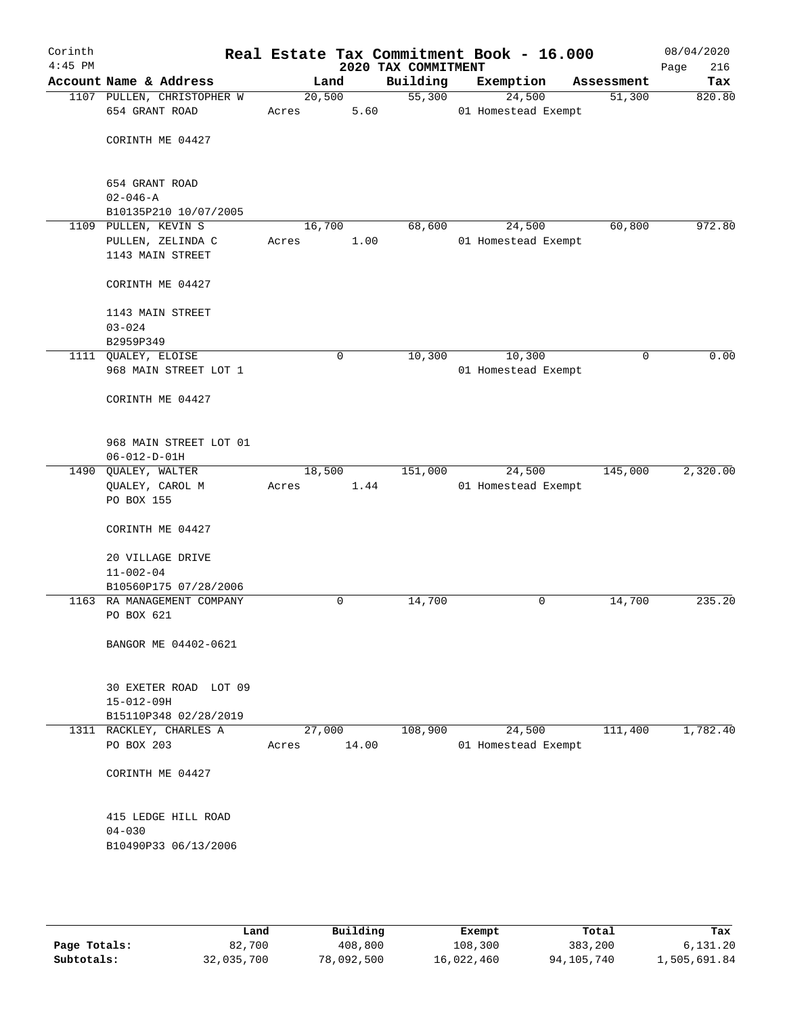| Corinth<br>$4:45$ PM |                                                               |       |                | 2020 TAX COMMITMENT | Real Estate Tax Commitment Book - 16.000 |            | 08/04/2020<br>Page<br>216 |
|----------------------|---------------------------------------------------------------|-------|----------------|---------------------|------------------------------------------|------------|---------------------------|
|                      | Account Name & Address                                        |       | Land           | Building            | Exemption                                | Assessment | Tax                       |
|                      | 1107 PULLEN, CHRISTOPHER W<br>654 GRANT ROAD                  | Acres | 20,500<br>5.60 | 55,300              | 24,500<br>01 Homestead Exempt            | 51,300     | 820.80                    |
|                      | CORINTH ME 04427                                              |       |                |                     |                                          |            |                           |
|                      | 654 GRANT ROAD<br>$02 - 046 - A$                              |       |                |                     |                                          |            |                           |
|                      | B10135P210 10/07/2005                                         |       |                |                     |                                          |            |                           |
|                      | 1109 PULLEN, KEVIN S<br>PULLEN, ZELINDA C<br>1143 MAIN STREET | Acres | 16,700<br>1.00 | 68,600              | 24,500<br>01 Homestead Exempt            | 60,800     | 972.80                    |
|                      | CORINTH ME 04427                                              |       |                |                     |                                          |            |                           |
|                      | 1143 MAIN STREET<br>$03 - 024$<br>B2959P349                   |       |                |                     |                                          |            |                           |
|                      | 1111 QUALEY, ELOISE                                           |       | 0              | 10,300              | 10,300                                   | 0          | 0.00                      |
|                      | 968 MAIN STREET LOT 1                                         |       |                |                     | 01 Homestead Exempt                      |            |                           |
|                      | CORINTH ME 04427                                              |       |                |                     |                                          |            |                           |
|                      | 968 MAIN STREET LOT 01<br>$06 - 012 - D - 01H$                |       |                |                     |                                          |            |                           |
|                      | 1490 QUALEY, WALTER                                           |       | 18,500         | 151,000             | 24,500                                   | 145,000    | 2,320.00                  |
|                      | QUALEY, CAROL M<br>PO BOX 155                                 | Acres | 1.44           |                     | 01 Homestead Exempt                      |            |                           |
|                      | CORINTH ME 04427                                              |       |                |                     |                                          |            |                           |
|                      | 20 VILLAGE DRIVE                                              |       |                |                     |                                          |            |                           |
|                      | $11 - 002 - 04$                                               |       |                |                     |                                          |            |                           |
|                      | B10560P175 07/28/2006                                         |       |                |                     |                                          |            |                           |
|                      | 1163 RA MANAGEMENT COMPANY                                    |       | 0              | 14,700              | 0                                        | 14,700     | 235.20                    |
|                      | PO BOX 621                                                    |       |                |                     |                                          |            |                           |
|                      | BANGOR ME 04402-0621                                          |       |                |                     |                                          |            |                           |
|                      | 30 EXETER ROAD LOT 09                                         |       |                |                     |                                          |            |                           |
|                      | $15 - 012 - 09H$                                              |       |                |                     |                                          |            |                           |
|                      | B15110P348 02/28/2019                                         |       | 27,000         |                     |                                          |            | 1,782.40                  |
|                      | 1311 RACKLEY, CHARLES A<br>PO BOX 203                         | Acres | 14.00          | 108,900             | 24,500<br>01 Homestead Exempt            | 111,400    |                           |
|                      | CORINTH ME 04427                                              |       |                |                     |                                          |            |                           |
|                      | 415 LEDGE HILL ROAD                                           |       |                |                     |                                          |            |                           |
|                      | $04 - 030$<br>B10490P33 06/13/2006                            |       |                |                     |                                          |            |                           |
|                      |                                                               |       |                |                     |                                          |            |                           |

|              | Land       | Building   | Exempt     | Total      | Tax          |
|--------------|------------|------------|------------|------------|--------------|
| Page Totals: | 82,700     | 408,800    | 108,300    | 383,200    | 6,131.20     |
| Subtotals:   | 32,035,700 | 78,092,500 | 16,022,460 | 94,105,740 | 1,505,691.84 |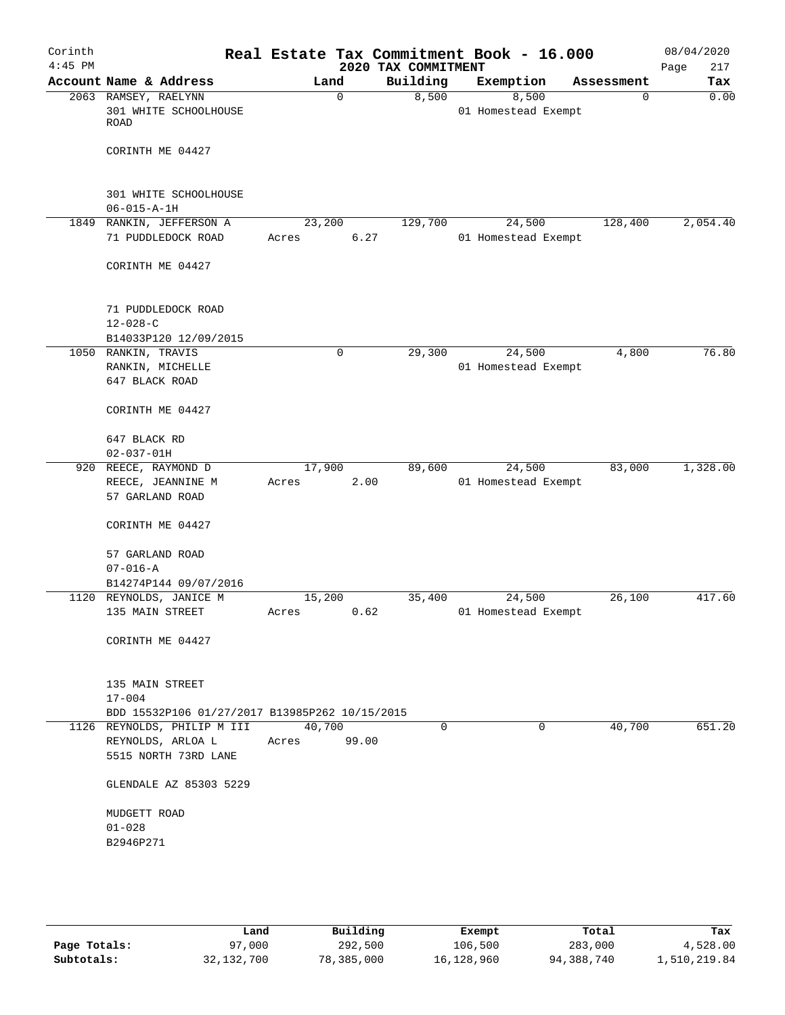| Corinth<br>$4:45$ PM |                                                                          |                 |       | 2020 TAX COMMITMENT | Real Estate Tax Commitment Book - 16.000 |            | 08/04/2020<br>217<br>Page |
|----------------------|--------------------------------------------------------------------------|-----------------|-------|---------------------|------------------------------------------|------------|---------------------------|
|                      | Account Name & Address                                                   |                 | Land  | Building            | Exemption                                | Assessment | Tax                       |
|                      | 2063 RAMSEY, RAELYNN<br>301 WHITE SCHOOLHOUSE<br>ROAD                    |                 | 0     | 8,500               | 8,500<br>01 Homestead Exempt             | $\Omega$   | 0.00                      |
|                      | CORINTH ME 04427                                                         |                 |       |                     |                                          |            |                           |
|                      | 301 WHITE SCHOOLHOUSE                                                    |                 |       |                     |                                          |            |                           |
|                      | $06 - 015 - A - 1H$                                                      |                 |       |                     |                                          |            |                           |
|                      | 1849 RANKIN, JEFFERSON A<br>71 PUDDLEDOCK ROAD                           | 23,200<br>Acres | 6.27  | 129,700             | 24,500<br>01 Homestead Exempt            | 128,400    | 2,054.40                  |
|                      | CORINTH ME 04427                                                         |                 |       |                     |                                          |            |                           |
|                      | 71 PUDDLEDOCK ROAD                                                       |                 |       |                     |                                          |            |                           |
|                      | $12 - 028 - C$                                                           |                 |       |                     |                                          |            |                           |
|                      | B14033P120 12/09/2015                                                    |                 |       | 29,300              | 24,500                                   | 4,800      | 76.80                     |
|                      | 1050 RANKIN, TRAVIS<br>RANKIN, MICHELLE                                  |                 | 0     |                     | 01 Homestead Exempt                      |            |                           |
|                      | 647 BLACK ROAD                                                           |                 |       |                     |                                          |            |                           |
|                      | CORINTH ME 04427                                                         |                 |       |                     |                                          |            |                           |
|                      | 647 BLACK RD<br>$02 - 037 - 01H$                                         |                 |       |                     |                                          |            |                           |
|                      | 920 REECE, RAYMOND D                                                     | 17,900          |       | 89,600              | 24,500                                   | 83,000     | 1,328.00                  |
|                      | REECE, JEANNINE M<br>57 GARLAND ROAD                                     | Acres           | 2.00  |                     | 01 Homestead Exempt                      |            |                           |
|                      | CORINTH ME 04427                                                         |                 |       |                     |                                          |            |                           |
|                      | 57 GARLAND ROAD<br>$07 - 016 - A$                                        |                 |       |                     |                                          |            |                           |
|                      | B14274P144 09/07/2016                                                    |                 |       |                     |                                          |            |                           |
|                      | 1120 REYNOLDS, JANICE M                                                  | 15,200          |       | 35,400              | 24,500                                   | 26,100     | 417.60                    |
|                      | 135 MAIN STREET                                                          | Acres           | 0.62  |                     | 01 Homestead Exempt                      |            |                           |
|                      | CORINTH ME 04427                                                         |                 |       |                     |                                          |            |                           |
|                      | 135 MAIN STREET                                                          |                 |       |                     |                                          |            |                           |
|                      | $17 - 004$                                                               |                 |       |                     |                                          |            |                           |
|                      | BDD 15532P106 01/27/2017 B13985P262 10/15/2015                           |                 |       |                     |                                          |            |                           |
|                      | 1126 REYNOLDS, PHILIP M III<br>REYNOLDS, ARLOA L<br>5515 NORTH 73RD LANE | 40,700<br>Acres | 99.00 | $\Omega$            | $\Omega$                                 | 40,700     | 651.20                    |
|                      | GLENDALE AZ 85303 5229                                                   |                 |       |                     |                                          |            |                           |
|                      | MUDGETT ROAD                                                             |                 |       |                     |                                          |            |                           |
|                      | $01 - 028$<br>B2946P271                                                  |                 |       |                     |                                          |            |                           |
|                      |                                                                          |                 |       |                     |                                          |            |                           |
|                      |                                                                          |                 |       |                     |                                          |            |                           |

|              | Land         | Building   | Exempt     | Total      | Tax          |
|--------------|--------------|------------|------------|------------|--------------|
| Page Totals: | 97,000       | 292,500    | 106,500    | 283,000    | 4,528.00     |
| Subtotals:   | 32, 132, 700 | 78,385,000 | 16,128,960 | 94,388,740 | 1,510,219.84 |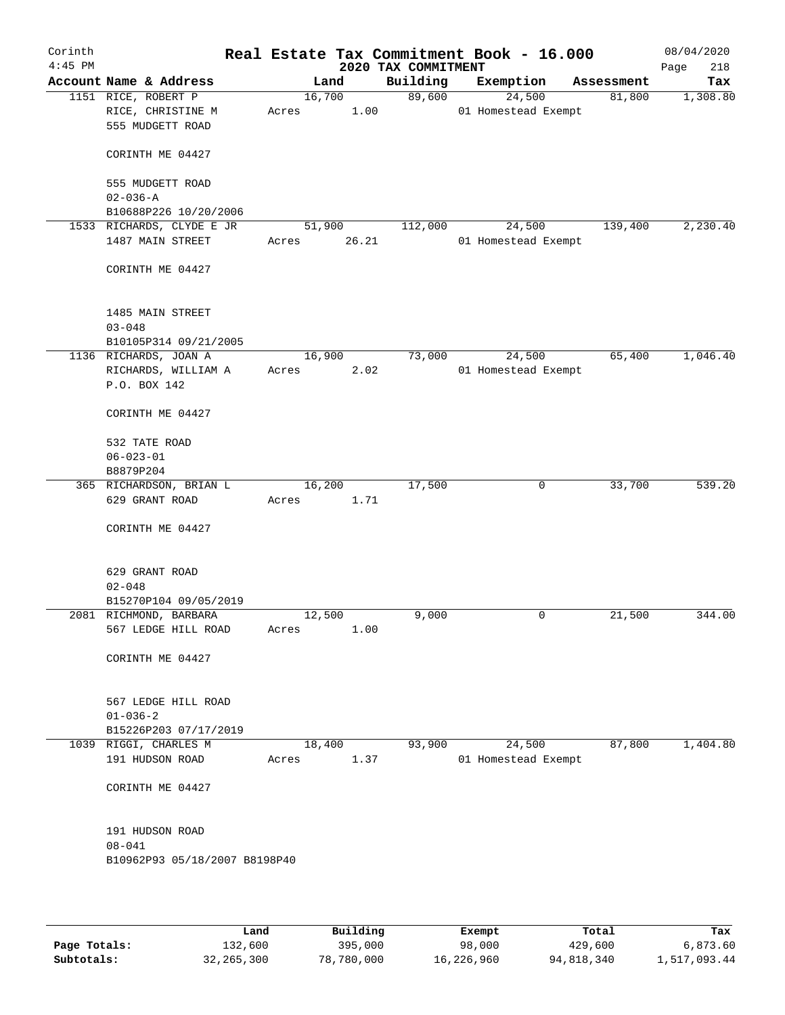| Corinth<br>$4:45$ PM |                                                              | Real Estate Tax Commitment Book - 16.000 |       | 2020 TAX COMMITMENT |                               |            | 08/04/2020<br>218<br>Page |
|----------------------|--------------------------------------------------------------|------------------------------------------|-------|---------------------|-------------------------------|------------|---------------------------|
|                      | Account Name & Address                                       |                                          | Land  | Building            | Exemption                     | Assessment | Tax                       |
|                      | 1151 RICE, ROBERT P<br>RICE, CHRISTINE M<br>555 MUDGETT ROAD | 16,700<br>Acres                          | 1.00  | 89,600              | 24,500<br>01 Homestead Exempt | 81,800     | 1,308.80                  |
|                      | CORINTH ME 04427                                             |                                          |       |                     |                               |            |                           |
|                      | 555 MUDGETT ROAD<br>$02 - 036 - A$                           |                                          |       |                     |                               |            |                           |
|                      | B10688P226 10/20/2006                                        |                                          |       |                     |                               |            |                           |
|                      | 1533 RICHARDS, CLYDE E JR                                    | 51,900                                   |       | 112,000             | 24,500                        | 139,400    | 2,230.40                  |
|                      | 1487 MAIN STREET                                             | Acres                                    | 26.21 |                     | 01 Homestead Exempt           |            |                           |
|                      | CORINTH ME 04427                                             |                                          |       |                     |                               |            |                           |
|                      | 1485 MAIN STREET                                             |                                          |       |                     |                               |            |                           |
|                      | $03 - 048$                                                   |                                          |       |                     |                               |            |                           |
|                      | B10105P314 09/21/2005                                        |                                          |       |                     |                               |            |                           |
|                      | 1136 RICHARDS, JOAN A                                        | 16,900                                   |       | 73,000              | 24,500                        | 65,400     | 1,046.40                  |
|                      | RICHARDS, WILLIAM A<br>P.O. BOX 142                          | Acres                                    | 2.02  |                     | 01 Homestead Exempt           |            |                           |
|                      | CORINTH ME 04427                                             |                                          |       |                     |                               |            |                           |
|                      | 532 TATE ROAD                                                |                                          |       |                     |                               |            |                           |
|                      | $06 - 023 - 01$                                              |                                          |       |                     |                               |            |                           |
|                      | B8879P204                                                    |                                          |       |                     |                               |            |                           |
|                      | 365 RICHARDSON, BRIAN L                                      | 16,200                                   |       | 17,500              | 0                             | 33,700     | 539.20                    |
|                      | 629 GRANT ROAD                                               | Acres                                    | 1.71  |                     |                               |            |                           |
|                      | CORINTH ME 04427                                             |                                          |       |                     |                               |            |                           |
|                      | 629 GRANT ROAD                                               |                                          |       |                     |                               |            |                           |
|                      | $02 - 048$                                                   |                                          |       |                     |                               |            |                           |
|                      | B15270P104 09/05/2019                                        |                                          |       |                     |                               |            |                           |
|                      | 2081 RICHMOND, BARBARA                                       | 12,500                                   |       | 9,000               | 0                             | 21,500     | 344.00                    |
|                      | 567 LEDGE HILL ROAD                                          | Acres                                    | 1.00  |                     |                               |            |                           |
|                      | CORINTH ME 04427                                             |                                          |       |                     |                               |            |                           |
|                      | 567 LEDGE HILL ROAD                                          |                                          |       |                     |                               |            |                           |
|                      | $01 - 036 - 2$                                               |                                          |       |                     |                               |            |                           |
|                      | B15226P203 07/17/2019                                        |                                          |       |                     |                               |            |                           |
|                      | 1039 RIGGI, CHARLES M<br>191 HUDSON ROAD                     | 18,400<br>Acres                          | 1.37  | 93,900              | 24,500<br>01 Homestead Exempt | 87,800     | 1,404.80                  |
|                      | CORINTH ME 04427                                             |                                          |       |                     |                               |            |                           |
|                      |                                                              |                                          |       |                     |                               |            |                           |
|                      | 191 HUDSON ROAD                                              |                                          |       |                     |                               |            |                           |
|                      | $08 - 041$                                                   |                                          |       |                     |                               |            |                           |
|                      | B10962P93 05/18/2007 B8198P40                                |                                          |       |                     |                               |            |                           |
|                      |                                                              |                                          |       |                     |                               |            |                           |
|                      |                                                              |                                          |       |                     |                               |            |                           |

|              | Land         | Building   | Exempt     | Total      | Tax          |
|--------------|--------------|------------|------------|------------|--------------|
| Page Totals: | 132,600      | 395,000    | 98,000     | 429,600    | 6,873.60     |
| Subtotals:   | 32, 265, 300 | 78,780,000 | 16,226,960 | 94,818,340 | 1,517,093.44 |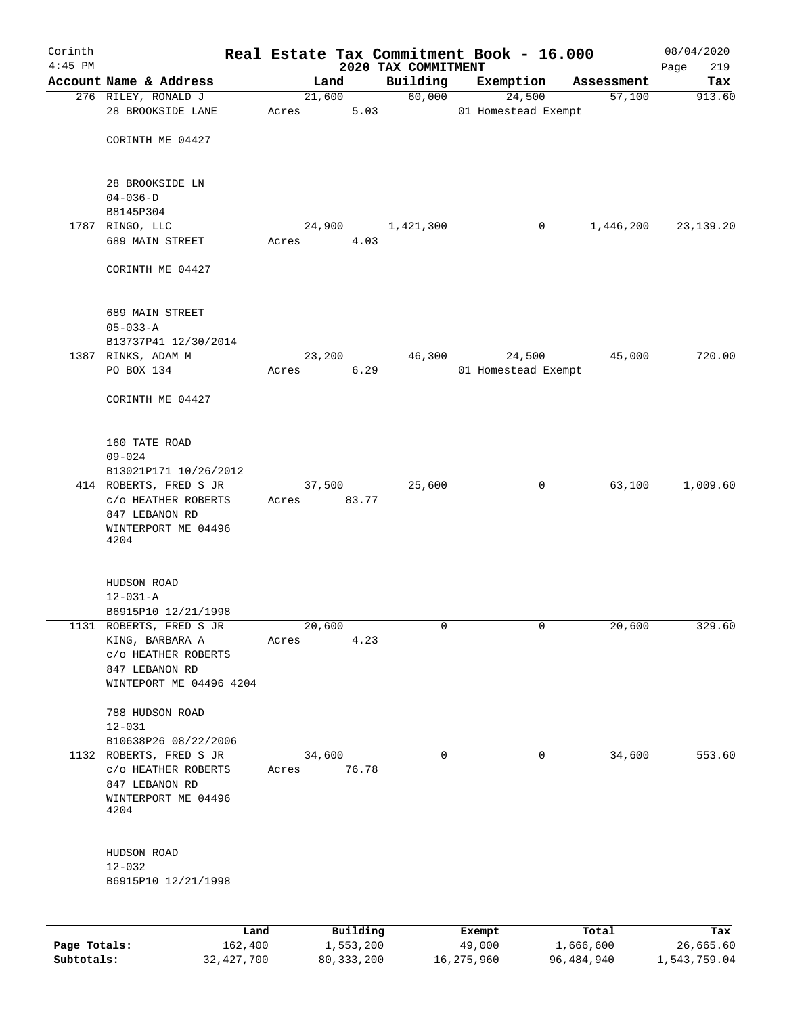| Corinth      |                                                |       |                |           |                     | Real Estate Tax Commitment Book - 16.000 |                      | 08/04/2020    |
|--------------|------------------------------------------------|-------|----------------|-----------|---------------------|------------------------------------------|----------------------|---------------|
| $4:45$ PM    | Account Name & Address                         |       |                |           | 2020 TAX COMMITMENT |                                          |                      | 219<br>Page   |
|              | 276 RILEY, RONALD J                            |       | Land<br>21,600 |           | Building<br>60,000  | Exemption<br>24,500                      | Assessment<br>57,100 | Tax<br>913.60 |
|              | 28 BROOKSIDE LANE                              | Acres |                | 5.03      |                     | 01 Homestead Exempt                      |                      |               |
|              |                                                |       |                |           |                     |                                          |                      |               |
|              | CORINTH ME 04427                               |       |                |           |                     |                                          |                      |               |
|              | 28 BROOKSIDE LN                                |       |                |           |                     |                                          |                      |               |
|              | $04 - 036 - D$                                 |       |                |           |                     |                                          |                      |               |
|              | B8145P304                                      |       |                |           |                     |                                          |                      |               |
|              | 1787 RINGO, LLC                                |       | 24,900         |           | 1,421,300           |                                          | 1,446,200<br>0       | 23, 139. 20   |
|              | 689 MAIN STREET                                | Acres |                | 4.03      |                     |                                          |                      |               |
|              | CORINTH ME 04427                               |       |                |           |                     |                                          |                      |               |
|              | 689 MAIN STREET                                |       |                |           |                     |                                          |                      |               |
|              | $05 - 033 - A$                                 |       |                |           |                     |                                          |                      |               |
|              | B13737P41 12/30/2014                           |       |                |           |                     |                                          |                      |               |
|              | 1387 RINKS, ADAM M                             |       | 23,200         |           | 46,300              | 24,500                                   | 45,000               | 720.00        |
|              | PO BOX 134                                     | Acres |                | 6.29      |                     | 01 Homestead Exempt                      |                      |               |
|              | CORINTH ME 04427                               |       |                |           |                     |                                          |                      |               |
|              | 160 TATE ROAD                                  |       |                |           |                     |                                          |                      |               |
|              | $09 - 024$                                     |       |                |           |                     |                                          |                      |               |
|              | B13021P171 10/26/2012                          |       |                |           |                     |                                          |                      |               |
|              | 414 ROBERTS, FRED S JR                         |       | 37,500         |           | 25,600              |                                          | 0<br>63,100          | 1,009.60      |
|              | C/O HEATHER ROBERTS                            | Acres |                | 83.77     |                     |                                          |                      |               |
|              | 847 LEBANON RD<br>WINTERPORT ME 04496          |       |                |           |                     |                                          |                      |               |
|              | 4204                                           |       |                |           |                     |                                          |                      |               |
|              | HUDSON ROAD                                    |       |                |           |                     |                                          |                      |               |
|              | $12 - 031 - A$                                 |       |                |           |                     |                                          |                      |               |
|              | B6915P10 12/21/1998                            |       |                |           |                     |                                          |                      |               |
|              | 1131 ROBERTS, FRED S JR                        |       | 20,600         |           | 0                   |                                          | 0<br>20,600          | 329.60        |
|              | KING, BARBARA A                                | Acres |                | 4.23      |                     |                                          |                      |               |
|              | C/O HEATHER ROBERTS                            |       |                |           |                     |                                          |                      |               |
|              | 847 LEBANON RD                                 |       |                |           |                     |                                          |                      |               |
|              | WINTEPORT ME 04496 4204                        |       |                |           |                     |                                          |                      |               |
|              | 788 HUDSON ROAD                                |       |                |           |                     |                                          |                      |               |
|              | $12 - 031$                                     |       |                |           |                     |                                          |                      |               |
|              | B10638P26 08/22/2006                           |       |                |           |                     |                                          |                      |               |
|              | 1132 ROBERTS, FRED S JR<br>C/O HEATHER ROBERTS | Acres | 34,600         | 76.78     | $\mathbf 0$         |                                          | 0<br>34,600          | 553.60        |
|              | 847 LEBANON RD                                 |       |                |           |                     |                                          |                      |               |
|              | WINTERPORT ME 04496                            |       |                |           |                     |                                          |                      |               |
|              | 4204                                           |       |                |           |                     |                                          |                      |               |
|              | HUDSON ROAD                                    |       |                |           |                     |                                          |                      |               |
|              | $12 - 032$                                     |       |                |           |                     |                                          |                      |               |
|              | B6915P10 12/21/1998                            |       |                |           |                     |                                          |                      |               |
|              |                                                |       |                |           |                     |                                          |                      |               |
|              | Land                                           |       |                | Building  |                     | Exempt                                   | Total                | Tax           |
| Page Totals: | 162,400                                        |       |                | 1,553,200 |                     | 49,000                                   | 1,666,600            | 26,665.60     |

**Subtotals:** 32,427,700 80,333,200 16,275,960 96,484,940 1,543,759.04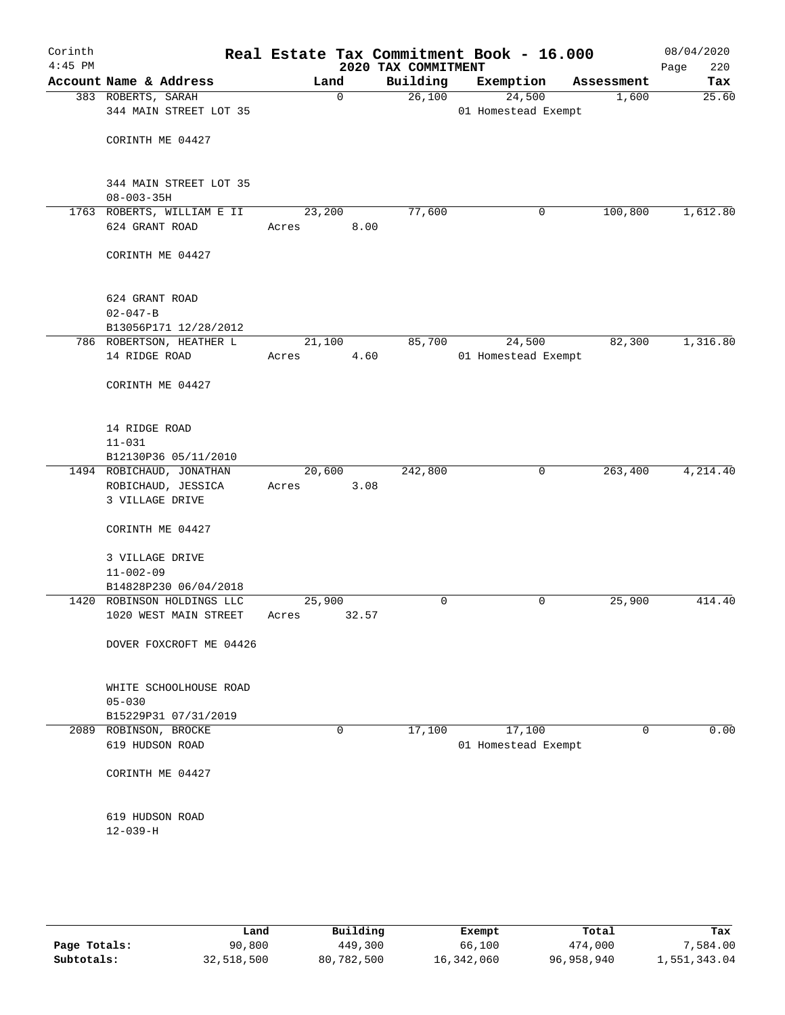| Corinth<br>$4:45$ PM |                                               |        |             | Real Estate Tax Commitment Book - 16.000<br>2020 TAX COMMITMENT |                     |        |             | 08/04/2020<br>220<br>Page |
|----------------------|-----------------------------------------------|--------|-------------|-----------------------------------------------------------------|---------------------|--------|-------------|---------------------------|
|                      | Account Name & Address                        |        | Land        | Building                                                        | Exemption           |        | Assessment  | Tax                       |
|                      | 383 ROBERTS, SARAH                            |        | $\mathbf 0$ | 26,100                                                          |                     | 24,500 | 1,600       | 25.60                     |
|                      | 344 MAIN STREET LOT 35                        |        |             |                                                                 | 01 Homestead Exempt |        |             |                           |
|                      |                                               |        |             |                                                                 |                     |        |             |                           |
|                      | CORINTH ME 04427                              |        |             |                                                                 |                     |        |             |                           |
|                      |                                               |        |             |                                                                 |                     |        |             |                           |
|                      |                                               |        |             |                                                                 |                     |        |             |                           |
|                      | 344 MAIN STREET LOT 35                        |        |             |                                                                 |                     |        |             |                           |
|                      | $08 - 003 - 35H$                              |        |             |                                                                 |                     |        |             |                           |
|                      | 1763 ROBERTS, WILLIAM E II                    | 23,200 |             | 77,600                                                          |                     | 0      | 100,800     | 1,612.80                  |
|                      | 624 GRANT ROAD                                | Acres  | 8.00        |                                                                 |                     |        |             |                           |
|                      |                                               |        |             |                                                                 |                     |        |             |                           |
|                      | CORINTH ME 04427                              |        |             |                                                                 |                     |        |             |                           |
|                      |                                               |        |             |                                                                 |                     |        |             |                           |
|                      | 624 GRANT ROAD                                |        |             |                                                                 |                     |        |             |                           |
|                      | $02 - 047 - B$                                |        |             |                                                                 |                     |        |             |                           |
|                      | B13056P171 12/28/2012                         |        |             |                                                                 |                     |        |             |                           |
|                      | 786 ROBERTSON, HEATHER L                      | 21,100 |             | 85,700                                                          |                     | 24,500 | 82,300      | 1,316.80                  |
|                      | 14 RIDGE ROAD                                 | Acres  | 4.60        |                                                                 | 01 Homestead Exempt |        |             |                           |
|                      |                                               |        |             |                                                                 |                     |        |             |                           |
|                      | CORINTH ME 04427                              |        |             |                                                                 |                     |        |             |                           |
|                      |                                               |        |             |                                                                 |                     |        |             |                           |
|                      |                                               |        |             |                                                                 |                     |        |             |                           |
|                      | 14 RIDGE ROAD                                 |        |             |                                                                 |                     |        |             |                           |
|                      | $11 - 031$                                    |        |             |                                                                 |                     |        |             |                           |
|                      | B12130P36 05/11/2010                          |        |             |                                                                 |                     |        |             |                           |
|                      | 1494 ROBICHAUD, JONATHAN                      | 20,600 |             | 242,800                                                         |                     | 0      | 263,400     | 4,214.40                  |
|                      | ROBICHAUD, JESSICA                            | Acres  | 3.08        |                                                                 |                     |        |             |                           |
|                      | 3 VILLAGE DRIVE                               |        |             |                                                                 |                     |        |             |                           |
|                      | CORINTH ME 04427                              |        |             |                                                                 |                     |        |             |                           |
|                      |                                               |        |             |                                                                 |                     |        |             |                           |
|                      | 3 VILLAGE DRIVE                               |        |             |                                                                 |                     |        |             |                           |
|                      | $11 - 002 - 09$                               |        |             |                                                                 |                     |        |             |                           |
|                      | B14828P230 06/04/2018                         |        |             |                                                                 |                     |        |             |                           |
|                      | 1420 ROBINSON HOLDINGS LLC                    | 25,900 |             | 0                                                               |                     | 0      | 25,900      | 414.40                    |
|                      | 1020 WEST MAIN STREET                         | Acres  | 32.57       |                                                                 |                     |        |             |                           |
|                      |                                               |        |             |                                                                 |                     |        |             |                           |
|                      | DOVER FOXCROFT ME 04426                       |        |             |                                                                 |                     |        |             |                           |
|                      |                                               |        |             |                                                                 |                     |        |             |                           |
|                      |                                               |        |             |                                                                 |                     |        |             |                           |
|                      | WHITE SCHOOLHOUSE ROAD                        |        |             |                                                                 |                     |        |             |                           |
|                      | $05 - 030$                                    |        |             |                                                                 |                     |        |             |                           |
|                      | B15229P31 07/31/2019<br>2089 ROBINSON, BROCKE |        | 0           | 17,100                                                          |                     | 17,100 | $\mathbf 0$ | 0.00                      |
|                      | 619 HUDSON ROAD                               |        |             |                                                                 | 01 Homestead Exempt |        |             |                           |
|                      |                                               |        |             |                                                                 |                     |        |             |                           |
|                      | CORINTH ME 04427                              |        |             |                                                                 |                     |        |             |                           |
|                      |                                               |        |             |                                                                 |                     |        |             |                           |
|                      |                                               |        |             |                                                                 |                     |        |             |                           |
|                      | 619 HUDSON ROAD                               |        |             |                                                                 |                     |        |             |                           |
|                      | $12 - 039 - H$                                |        |             |                                                                 |                     |        |             |                           |
|                      |                                               |        |             |                                                                 |                     |        |             |                           |
|                      |                                               |        |             |                                                                 |                     |        |             |                           |
|                      |                                               |        |             |                                                                 |                     |        |             |                           |

|              | Land       | Building   | Exempt     | Total      | Tax          |
|--------------|------------|------------|------------|------------|--------------|
| Page Totals: | 90,800     | 449,300    | 66,100     | 474,000    | 7,584.00     |
| Subtotals:   | 32,518,500 | 80,782,500 | 16,342,060 | 96,958,940 | 1,551,343.04 |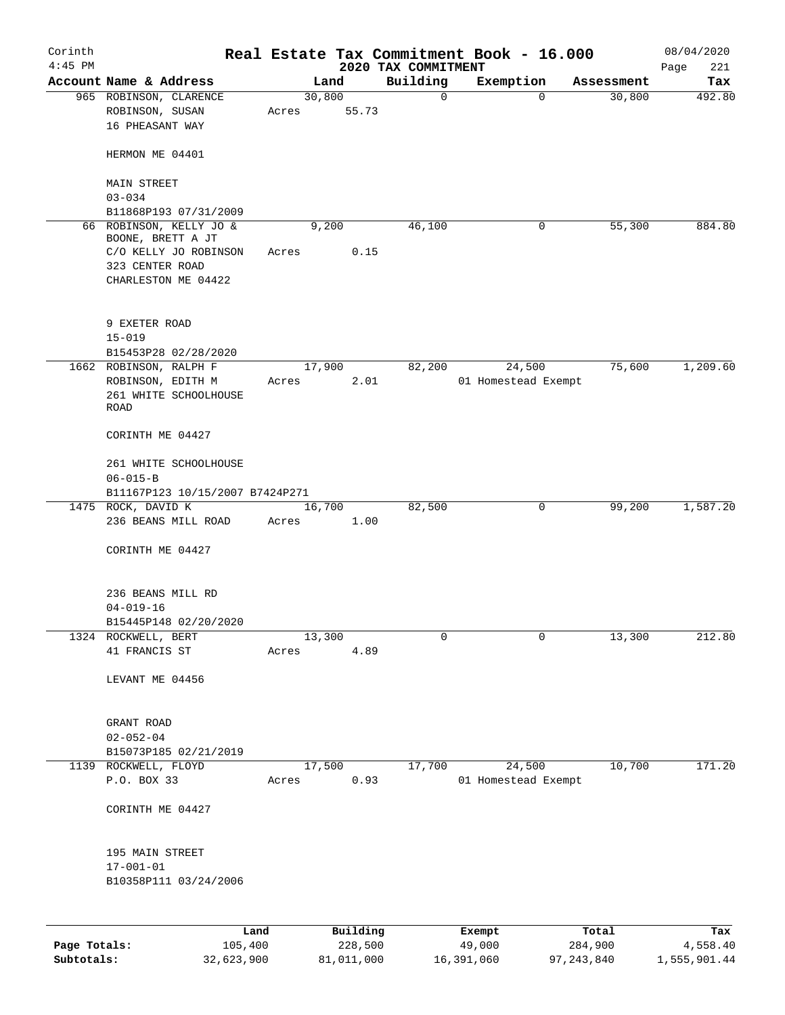| Account Name & Address<br>Building<br>Land<br>Exemption<br>Tax<br>Assessment<br>30,800<br>30,800<br>965 ROBINSON, CLARENCE<br>0<br>$\mathbf 0$<br>ROBINSON, SUSAN<br>55.73<br>Acres<br>16 PHEASANT WAY<br>HERMON ME 04401<br><b>MAIN STREET</b><br>$03 - 034$<br>B11868P193 07/31/2009<br>66 ROBINSON, KELLY JO &<br>46,100<br>55,300<br>884.80<br>9,200<br>0<br>BOONE, BRETT A JT<br>C/O KELLY JO ROBINSON<br>0.15<br>Acres<br>323 CENTER ROAD<br>CHARLESTON ME 04422<br>9 EXETER ROAD<br>$15 - 019$<br>B15453P28 02/28/2020<br>1,209.60<br>17,900<br>82,200<br>24,500<br>75,600<br>1662 ROBINSON, RALPH F<br>ROBINSON, EDITH M<br>2.01<br>01 Homestead Exempt<br>Acres<br>261 WHITE SCHOOLHOUSE<br><b>ROAD</b><br>CORINTH ME 04427<br>261 WHITE SCHOOLHOUSE<br>$06 - 015 - B$<br>B11167P123 10/15/2007 B7424P271<br>82,500<br>99,200<br>1,587.20<br>1475 ROCK, DAVID K<br>16,700<br>0<br>236 BEANS MILL ROAD<br>1.00<br>Acres<br>CORINTH ME 04427<br>236 BEANS MILL RD<br>$04 - 019 - 16$<br>B15445P148 02/20/2020<br>13,300<br>$\mathbf 0$<br>13,300<br>212.80<br>1324 ROCKWELL, BERT<br>0<br>41 FRANCIS ST<br>4.89<br>Acres<br>LEVANT ME 04456<br>GRANT ROAD<br>$02 - 052 - 04$<br>B15073P185 02/21/2019<br>17,700<br>24,500<br>10,700<br>1139 ROCKWELL, FLOYD<br>17,500<br>P.O. BOX 33<br>0.93<br>01 Homestead Exempt<br>Acres<br>CORINTH ME 04427<br>195 MAIN STREET<br>$17 - 001 - 01$<br>B10358P111 03/24/2006<br>Building<br>Land<br>Exempt<br>Total<br>Tax | Corinth<br>$4:45$ PM |  | 2020 TAX COMMITMENT | Real Estate Tax Commitment Book - 16.000 | 08/04/2020<br>221<br>Page |
|----------------------------------------------------------------------------------------------------------------------------------------------------------------------------------------------------------------------------------------------------------------------------------------------------------------------------------------------------------------------------------------------------------------------------------------------------------------------------------------------------------------------------------------------------------------------------------------------------------------------------------------------------------------------------------------------------------------------------------------------------------------------------------------------------------------------------------------------------------------------------------------------------------------------------------------------------------------------------------------------------------------------------------------------------------------------------------------------------------------------------------------------------------------------------------------------------------------------------------------------------------------------------------------------------------------------------------------------------------------------------------------------------------------------------------------------------------------------|----------------------|--|---------------------|------------------------------------------|---------------------------|
|                                                                                                                                                                                                                                                                                                                                                                                                                                                                                                                                                                                                                                                                                                                                                                                                                                                                                                                                                                                                                                                                                                                                                                                                                                                                                                                                                                                                                                                                      |                      |  |                     |                                          |                           |
|                                                                                                                                                                                                                                                                                                                                                                                                                                                                                                                                                                                                                                                                                                                                                                                                                                                                                                                                                                                                                                                                                                                                                                                                                                                                                                                                                                                                                                                                      |                      |  |                     |                                          | 492.80                    |
|                                                                                                                                                                                                                                                                                                                                                                                                                                                                                                                                                                                                                                                                                                                                                                                                                                                                                                                                                                                                                                                                                                                                                                                                                                                                                                                                                                                                                                                                      |                      |  |                     |                                          |                           |
|                                                                                                                                                                                                                                                                                                                                                                                                                                                                                                                                                                                                                                                                                                                                                                                                                                                                                                                                                                                                                                                                                                                                                                                                                                                                                                                                                                                                                                                                      |                      |  |                     |                                          |                           |
|                                                                                                                                                                                                                                                                                                                                                                                                                                                                                                                                                                                                                                                                                                                                                                                                                                                                                                                                                                                                                                                                                                                                                                                                                                                                                                                                                                                                                                                                      |                      |  |                     |                                          |                           |
|                                                                                                                                                                                                                                                                                                                                                                                                                                                                                                                                                                                                                                                                                                                                                                                                                                                                                                                                                                                                                                                                                                                                                                                                                                                                                                                                                                                                                                                                      |                      |  |                     |                                          |                           |
|                                                                                                                                                                                                                                                                                                                                                                                                                                                                                                                                                                                                                                                                                                                                                                                                                                                                                                                                                                                                                                                                                                                                                                                                                                                                                                                                                                                                                                                                      |                      |  |                     |                                          |                           |
|                                                                                                                                                                                                                                                                                                                                                                                                                                                                                                                                                                                                                                                                                                                                                                                                                                                                                                                                                                                                                                                                                                                                                                                                                                                                                                                                                                                                                                                                      |                      |  |                     |                                          |                           |
|                                                                                                                                                                                                                                                                                                                                                                                                                                                                                                                                                                                                                                                                                                                                                                                                                                                                                                                                                                                                                                                                                                                                                                                                                                                                                                                                                                                                                                                                      |                      |  |                     |                                          |                           |
|                                                                                                                                                                                                                                                                                                                                                                                                                                                                                                                                                                                                                                                                                                                                                                                                                                                                                                                                                                                                                                                                                                                                                                                                                                                                                                                                                                                                                                                                      |                      |  |                     |                                          |                           |
|                                                                                                                                                                                                                                                                                                                                                                                                                                                                                                                                                                                                                                                                                                                                                                                                                                                                                                                                                                                                                                                                                                                                                                                                                                                                                                                                                                                                                                                                      |                      |  |                     |                                          |                           |
|                                                                                                                                                                                                                                                                                                                                                                                                                                                                                                                                                                                                                                                                                                                                                                                                                                                                                                                                                                                                                                                                                                                                                                                                                                                                                                                                                                                                                                                                      |                      |  |                     |                                          |                           |
|                                                                                                                                                                                                                                                                                                                                                                                                                                                                                                                                                                                                                                                                                                                                                                                                                                                                                                                                                                                                                                                                                                                                                                                                                                                                                                                                                                                                                                                                      |                      |  |                     |                                          |                           |
|                                                                                                                                                                                                                                                                                                                                                                                                                                                                                                                                                                                                                                                                                                                                                                                                                                                                                                                                                                                                                                                                                                                                                                                                                                                                                                                                                                                                                                                                      |                      |  |                     |                                          |                           |
|                                                                                                                                                                                                                                                                                                                                                                                                                                                                                                                                                                                                                                                                                                                                                                                                                                                                                                                                                                                                                                                                                                                                                                                                                                                                                                                                                                                                                                                                      |                      |  |                     |                                          |                           |
|                                                                                                                                                                                                                                                                                                                                                                                                                                                                                                                                                                                                                                                                                                                                                                                                                                                                                                                                                                                                                                                                                                                                                                                                                                                                                                                                                                                                                                                                      |                      |  |                     |                                          |                           |
|                                                                                                                                                                                                                                                                                                                                                                                                                                                                                                                                                                                                                                                                                                                                                                                                                                                                                                                                                                                                                                                                                                                                                                                                                                                                                                                                                                                                                                                                      |                      |  |                     |                                          |                           |
|                                                                                                                                                                                                                                                                                                                                                                                                                                                                                                                                                                                                                                                                                                                                                                                                                                                                                                                                                                                                                                                                                                                                                                                                                                                                                                                                                                                                                                                                      |                      |  |                     |                                          |                           |
|                                                                                                                                                                                                                                                                                                                                                                                                                                                                                                                                                                                                                                                                                                                                                                                                                                                                                                                                                                                                                                                                                                                                                                                                                                                                                                                                                                                                                                                                      |                      |  |                     |                                          |                           |
|                                                                                                                                                                                                                                                                                                                                                                                                                                                                                                                                                                                                                                                                                                                                                                                                                                                                                                                                                                                                                                                                                                                                                                                                                                                                                                                                                                                                                                                                      |                      |  |                     |                                          |                           |
|                                                                                                                                                                                                                                                                                                                                                                                                                                                                                                                                                                                                                                                                                                                                                                                                                                                                                                                                                                                                                                                                                                                                                                                                                                                                                                                                                                                                                                                                      |                      |  |                     |                                          |                           |
|                                                                                                                                                                                                                                                                                                                                                                                                                                                                                                                                                                                                                                                                                                                                                                                                                                                                                                                                                                                                                                                                                                                                                                                                                                                                                                                                                                                                                                                                      |                      |  |                     |                                          |                           |
|                                                                                                                                                                                                                                                                                                                                                                                                                                                                                                                                                                                                                                                                                                                                                                                                                                                                                                                                                                                                                                                                                                                                                                                                                                                                                                                                                                                                                                                                      |                      |  |                     |                                          |                           |
|                                                                                                                                                                                                                                                                                                                                                                                                                                                                                                                                                                                                                                                                                                                                                                                                                                                                                                                                                                                                                                                                                                                                                                                                                                                                                                                                                                                                                                                                      |                      |  |                     |                                          |                           |
|                                                                                                                                                                                                                                                                                                                                                                                                                                                                                                                                                                                                                                                                                                                                                                                                                                                                                                                                                                                                                                                                                                                                                                                                                                                                                                                                                                                                                                                                      |                      |  |                     |                                          |                           |
|                                                                                                                                                                                                                                                                                                                                                                                                                                                                                                                                                                                                                                                                                                                                                                                                                                                                                                                                                                                                                                                                                                                                                                                                                                                                                                                                                                                                                                                                      |                      |  |                     |                                          |                           |
|                                                                                                                                                                                                                                                                                                                                                                                                                                                                                                                                                                                                                                                                                                                                                                                                                                                                                                                                                                                                                                                                                                                                                                                                                                                                                                                                                                                                                                                                      |                      |  |                     |                                          |                           |
|                                                                                                                                                                                                                                                                                                                                                                                                                                                                                                                                                                                                                                                                                                                                                                                                                                                                                                                                                                                                                                                                                                                                                                                                                                                                                                                                                                                                                                                                      |                      |  |                     |                                          |                           |
|                                                                                                                                                                                                                                                                                                                                                                                                                                                                                                                                                                                                                                                                                                                                                                                                                                                                                                                                                                                                                                                                                                                                                                                                                                                                                                                                                                                                                                                                      |                      |  |                     |                                          |                           |
|                                                                                                                                                                                                                                                                                                                                                                                                                                                                                                                                                                                                                                                                                                                                                                                                                                                                                                                                                                                                                                                                                                                                                                                                                                                                                                                                                                                                                                                                      |                      |  |                     |                                          |                           |
|                                                                                                                                                                                                                                                                                                                                                                                                                                                                                                                                                                                                                                                                                                                                                                                                                                                                                                                                                                                                                                                                                                                                                                                                                                                                                                                                                                                                                                                                      |                      |  |                     |                                          |                           |
|                                                                                                                                                                                                                                                                                                                                                                                                                                                                                                                                                                                                                                                                                                                                                                                                                                                                                                                                                                                                                                                                                                                                                                                                                                                                                                                                                                                                                                                                      |                      |  |                     |                                          | 171.20                    |
|                                                                                                                                                                                                                                                                                                                                                                                                                                                                                                                                                                                                                                                                                                                                                                                                                                                                                                                                                                                                                                                                                                                                                                                                                                                                                                                                                                                                                                                                      |                      |  |                     |                                          |                           |
|                                                                                                                                                                                                                                                                                                                                                                                                                                                                                                                                                                                                                                                                                                                                                                                                                                                                                                                                                                                                                                                                                                                                                                                                                                                                                                                                                                                                                                                                      |                      |  |                     |                                          |                           |
|                                                                                                                                                                                                                                                                                                                                                                                                                                                                                                                                                                                                                                                                                                                                                                                                                                                                                                                                                                                                                                                                                                                                                                                                                                                                                                                                                                                                                                                                      |                      |  |                     |                                          |                           |
|                                                                                                                                                                                                                                                                                                                                                                                                                                                                                                                                                                                                                                                                                                                                                                                                                                                                                                                                                                                                                                                                                                                                                                                                                                                                                                                                                                                                                                                                      |                      |  |                     |                                          |                           |
|                                                                                                                                                                                                                                                                                                                                                                                                                                                                                                                                                                                                                                                                                                                                                                                                                                                                                                                                                                                                                                                                                                                                                                                                                                                                                                                                                                                                                                                                      |                      |  |                     |                                          |                           |
|                                                                                                                                                                                                                                                                                                                                                                                                                                                                                                                                                                                                                                                                                                                                                                                                                                                                                                                                                                                                                                                                                                                                                                                                                                                                                                                                                                                                                                                                      |                      |  |                     |                                          |                           |

|              | ------     | ---------  | --------   | -----      | ----         |
|--------------|------------|------------|------------|------------|--------------|
| Page Totals: | 105,400    | 228,500    | 49,000     | 284,900    | 4,558.40     |
| Subtotals:   | 32,623,900 | 81,011,000 | 16,391,060 | 97,243,840 | 1,555,901.44 |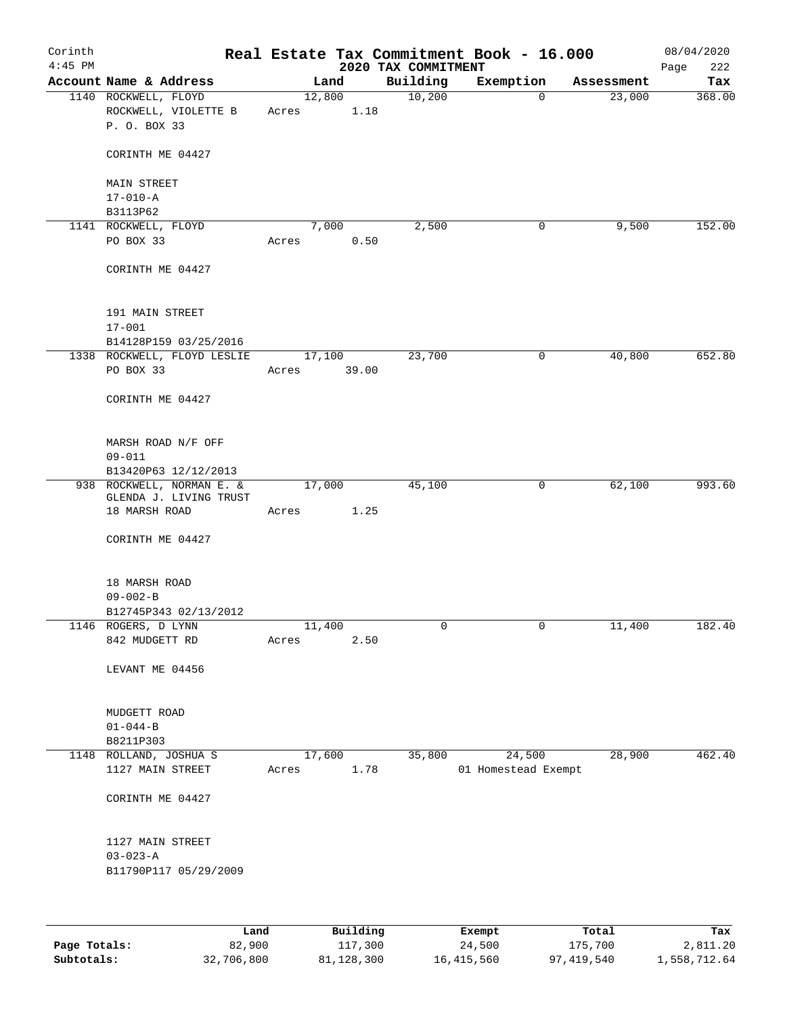| Corinth<br>$4:45$ PM |                                                              |                 |       | 2020 TAX COMMITMENT | Real Estate Tax Commitment Book - 16.000 |            | 08/04/2020<br>Page<br>222 |
|----------------------|--------------------------------------------------------------|-----------------|-------|---------------------|------------------------------------------|------------|---------------------------|
|                      | Account Name & Address                                       |                 | Land  | Building            | Exemption                                | Assessment | Tax                       |
|                      | 1140 ROCKWELL, FLOYD<br>ROCKWELL, VIOLETTE B<br>P. O. BOX 33 | 12,800<br>Acres | 1.18  | 10,200              | $\mathbf 0$                              | 23,000     | 368.00                    |
|                      | CORINTH ME 04427                                             |                 |       |                     |                                          |            |                           |
|                      | <b>MAIN STREET</b><br>$17 - 010 - A$                         |                 |       |                     |                                          |            |                           |
|                      | B3113P62                                                     |                 |       |                     |                                          |            |                           |
|                      | 1141 ROCKWELL, FLOYD                                         |                 | 7,000 | 2,500               | 0                                        | 9,500      | 152.00                    |
|                      | PO BOX 33                                                    | Acres           | 0.50  |                     |                                          |            |                           |
|                      | CORINTH ME 04427                                             |                 |       |                     |                                          |            |                           |
|                      | 191 MAIN STREET                                              |                 |       |                     |                                          |            |                           |
|                      | $17 - 001$                                                   |                 |       |                     |                                          |            |                           |
|                      | B14128P159 03/25/2016                                        |                 |       |                     |                                          |            |                           |
|                      | 1338 ROCKWELL, FLOYD LESLIE<br>PO BOX 33                     | 17,100<br>Acres | 39.00 | 23,700              | 0                                        | 40,800     | 652.80                    |
|                      |                                                              |                 |       |                     |                                          |            |                           |
|                      | CORINTH ME 04427                                             |                 |       |                     |                                          |            |                           |
|                      | MARSH ROAD N/F OFF                                           |                 |       |                     |                                          |            |                           |
|                      | $09 - 011$                                                   |                 |       |                     |                                          |            |                           |
|                      | B13420P63 12/12/2013<br>938 ROCKWELL, NORMAN E. &            | 17,000          |       | 45,100              | $\mathsf{O}$                             | 62,100     | 993.60                    |
|                      | GLENDA J. LIVING TRUST<br>18 MARSH ROAD                      | Acres           | 1.25  |                     |                                          |            |                           |
|                      | CORINTH ME 04427                                             |                 |       |                     |                                          |            |                           |
|                      |                                                              |                 |       |                     |                                          |            |                           |
|                      | 18 MARSH ROAD                                                |                 |       |                     |                                          |            |                           |
|                      | $09 - 002 - B$                                               |                 |       |                     |                                          |            |                           |
|                      | B12745P343 02/13/2012                                        |                 |       |                     |                                          |            |                           |
|                      | 1146 ROGERS, D LYNN<br>842 MUDGETT RD                        | 11,400<br>Acres | 2.50  | 0                   | 0                                        | 11,400     | 182.40                    |
|                      | LEVANT ME 04456                                              |                 |       |                     |                                          |            |                           |
|                      | MUDGETT ROAD                                                 |                 |       |                     |                                          |            |                           |
|                      | $01 - 044 - B$                                               |                 |       |                     |                                          |            |                           |
|                      | B8211P303                                                    |                 |       |                     |                                          |            |                           |
|                      | 1148 ROLLAND, JOSHUA S                                       | 17,600          |       | 35,800              | 24,500                                   | 28,900     | 462.40                    |
|                      | 1127 MAIN STREET                                             | Acres           | 1.78  |                     | 01 Homestead Exempt                      |            |                           |
|                      | CORINTH ME 04427                                             |                 |       |                     |                                          |            |                           |
|                      | 1127 MAIN STREET                                             |                 |       |                     |                                          |            |                           |
|                      | $03 - 023 - A$                                               |                 |       |                     |                                          |            |                           |
|                      | B11790P117 05/29/2009                                        |                 |       |                     |                                          |            |                           |
|                      |                                                              |                 |       |                     |                                          |            |                           |
|                      |                                                              |                 |       |                     |                                          |            |                           |

|              | Land       | Building   | Exempt     | Total      | Tax          |
|--------------|------------|------------|------------|------------|--------------|
| Page Totals: | 82,900     | 117,300    | 24,500     | 175,700    | 2,811.20     |
| Subtotals:   | 32,706,800 | 81,128,300 | 16,415,560 | 97,419,540 | 1,558,712.64 |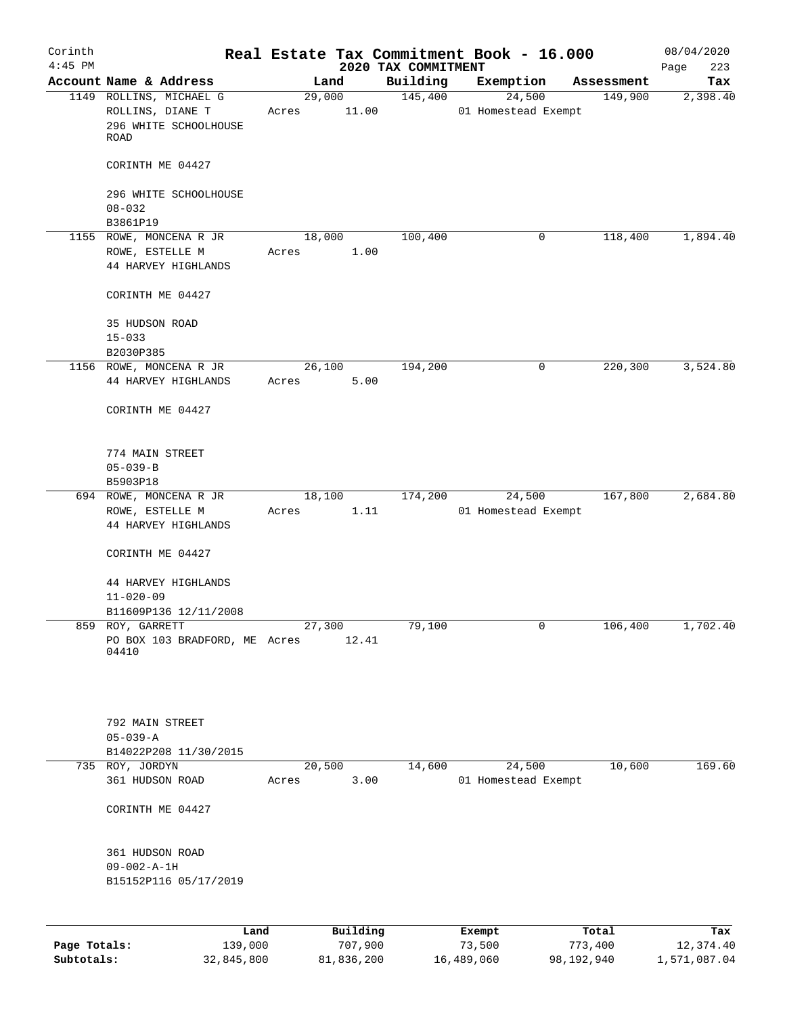| Corinth<br>$4:45$ PM |                                                                              |                 |                     | 2020 TAX COMMITMENT | Real Estate Tax Commitment Book - 16.000 |                  | 08/04/2020<br>223 |
|----------------------|------------------------------------------------------------------------------|-----------------|---------------------|---------------------|------------------------------------------|------------------|-------------------|
|                      | Account Name & Address                                                       |                 | Land                | Building            | Exemption                                | Assessment       | Page<br>Tax       |
|                      | 1149 ROLLINS, MICHAEL G<br>ROLLINS, DIANE T<br>296 WHITE SCHOOLHOUSE<br>ROAD | 29,000<br>Acres | 11.00               | 145,400             | 24,500<br>01 Homestead Exempt            | 149,900          | 2,398.40          |
|                      | CORINTH ME 04427                                                             |                 |                     |                     |                                          |                  |                   |
|                      | 296 WHITE SCHOOLHOUSE<br>$08 - 032$                                          |                 |                     |                     |                                          |                  |                   |
|                      | B3861P19                                                                     |                 |                     |                     |                                          |                  |                   |
|                      | 1155 ROWE, MONCENA R JR<br>ROWE, ESTELLE M<br>44 HARVEY HIGHLANDS            | 18,000<br>Acres | 1.00                | 100,400             | 0                                        | 118,400          | 1,894.40          |
|                      | CORINTH ME 04427                                                             |                 |                     |                     |                                          |                  |                   |
|                      | 35 HUDSON ROAD<br>$15 - 033$<br>B2030P385                                    |                 |                     |                     |                                          |                  |                   |
|                      | 1156 ROWE, MONCENA R JR                                                      | 26,100          |                     | 194,200             | 0                                        | 220,300          | 3,524.80          |
|                      | 44 HARVEY HIGHLANDS                                                          | Acres           | 5.00                |                     |                                          |                  |                   |
|                      | CORINTH ME 04427                                                             |                 |                     |                     |                                          |                  |                   |
|                      | 774 MAIN STREET<br>$05 - 039 - B$                                            |                 |                     |                     |                                          |                  |                   |
|                      | B5903P18                                                                     |                 |                     |                     |                                          |                  |                   |
|                      | 694 ROWE, MONCENA R JR<br>ROWE, ESTELLE M<br>44 HARVEY HIGHLANDS             | 18,100<br>Acres | 1.11                | 174,200             | 24,500<br>01 Homestead Exempt            | 167,800          | 2,684.80          |
|                      | CORINTH ME 04427                                                             |                 |                     |                     |                                          |                  |                   |
|                      | 44 HARVEY HIGHLANDS<br>$11 - 020 - 09$                                       |                 |                     |                     |                                          |                  |                   |
|                      | B11609P136 12/11/2008                                                        |                 |                     |                     |                                          |                  |                   |
| 859                  | ROY, GARRETT<br>PO BOX 103 BRADFORD, ME Acres<br>04410                       | 27,300          | 12.41               | 79,100              | 0                                        | 106,400          | 1,702.40          |
|                      | 792 MAIN STREET<br>$05 - 039 - A$<br>B14022P208 11/30/2015                   |                 |                     |                     |                                          |                  |                   |
|                      | 735 ROY, JORDYN                                                              | 20,500          |                     | 14,600              | 24,500                                   | 10,600           | 169.60            |
|                      | 361 HUDSON ROAD                                                              | Acres           | 3.00                |                     | 01 Homestead Exempt                      |                  |                   |
|                      | CORINTH ME 04427                                                             |                 |                     |                     |                                          |                  |                   |
|                      | 361 HUDSON ROAD<br>$09 - 002 - A - 1H$<br>B15152P116 05/17/2019              |                 |                     |                     |                                          |                  |                   |
|                      |                                                                              |                 |                     |                     |                                          |                  |                   |
| Page Totals:         | Land<br>139,000                                                              |                 | Building<br>707,900 |                     | Exempt<br>73,500                         | Total<br>773,400 | Tax<br>12,374.40  |

**Subtotals:** 32,845,800 81,836,200 16,489,060 98,192,940 1,571,087.04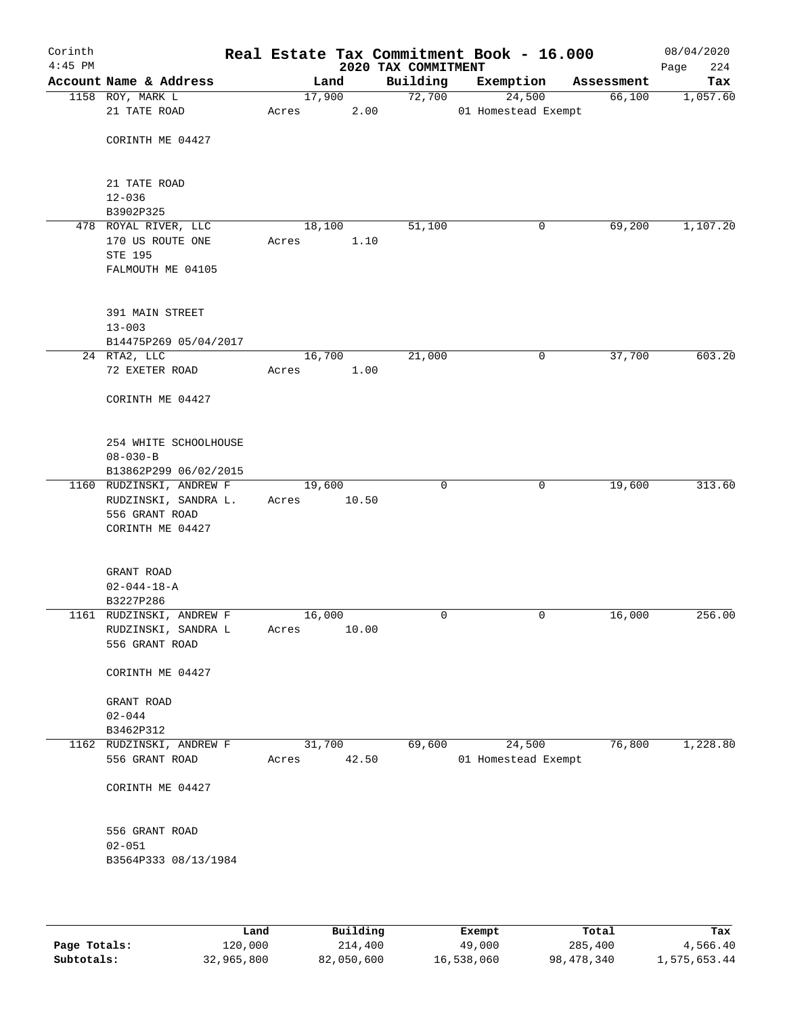| Corinth<br>$4:45$ PM |                                                  |       |        |       | 2020 TAX COMMITMENT | Real Estate Tax Commitment Book - 16.000 |            |        | 08/04/2020<br>224<br>Page |
|----------------------|--------------------------------------------------|-------|--------|-------|---------------------|------------------------------------------|------------|--------|---------------------------|
|                      | Account Name & Address                           |       | Land   |       | Building            | Exemption                                | Assessment |        | Tax                       |
|                      | 1158 ROY, MARK L                                 |       | 17,900 |       | 72,700              | 24,500                                   |            | 66,100 | 1,057.60                  |
|                      | 21 TATE ROAD                                     | Acres |        | 2.00  |                     | 01 Homestead Exempt                      |            |        |                           |
|                      | CORINTH ME 04427                                 |       |        |       |                     |                                          |            |        |                           |
|                      | 21 TATE ROAD<br>$12 - 036$                       |       |        |       |                     |                                          |            |        |                           |
|                      | B3902P325                                        |       |        |       |                     |                                          |            |        |                           |
|                      | 478 ROYAL RIVER, LLC                             |       | 18,100 |       | 51,100              |                                          | 0          | 69,200 | 1,107.20                  |
|                      | 170 US ROUTE ONE<br>STE 195<br>FALMOUTH ME 04105 | Acres |        | 1.10  |                     |                                          |            |        |                           |
|                      | 391 MAIN STREET<br>$13 - 003$                    |       |        |       |                     |                                          |            |        |                           |
|                      | B14475P269 05/04/2017                            |       |        |       |                     |                                          |            |        |                           |
|                      | $24$ RTA2, LLC<br>72 EXETER ROAD                 | Acres | 16,700 | 1.00  | 21,000              |                                          | 0          | 37,700 | 603.20                    |
|                      | CORINTH ME 04427                                 |       |        |       |                     |                                          |            |        |                           |
|                      | 254 WHITE SCHOOLHOUSE                            |       |        |       |                     |                                          |            |        |                           |
|                      | $08 - 030 - B$                                   |       |        |       |                     |                                          |            |        |                           |
|                      | B13862P299 06/02/2015                            |       |        |       |                     |                                          |            |        |                           |
|                      | 1160 RUDZINSKI, ANDREW F                         |       | 19,600 |       | $\mathbf 0$         |                                          | 0          | 19,600 | 313.60                    |
|                      | RUDZINSKI, SANDRA L.                             | Acres |        | 10.50 |                     |                                          |            |        |                           |
|                      | 556 GRANT ROAD                                   |       |        |       |                     |                                          |            |        |                           |
|                      | CORINTH ME 04427                                 |       |        |       |                     |                                          |            |        |                           |
|                      | GRANT ROAD                                       |       |        |       |                     |                                          |            |        |                           |
|                      | $02 - 044 - 18 - A$                              |       |        |       |                     |                                          |            |        |                           |
|                      | B3227P286<br>1161 RUDZINSKI, ANDREW F            |       | 16,000 |       | 0                   |                                          | 0          | 16,000 | 256.00                    |
|                      | RUDZINSKI, SANDRA L                              | Acres |        | 10.00 |                     |                                          |            |        |                           |
|                      | 556 GRANT ROAD                                   |       |        |       |                     |                                          |            |        |                           |
|                      | CORINTH ME 04427                                 |       |        |       |                     |                                          |            |        |                           |
|                      | GRANT ROAD                                       |       |        |       |                     |                                          |            |        |                           |
|                      | $02 - 044$                                       |       |        |       |                     |                                          |            |        |                           |
|                      | B3462P312                                        |       |        |       |                     |                                          |            |        |                           |
|                      | 1162 RUDZINSKI, ANDREW F                         |       | 31,700 |       | 69,600              | 24,500                                   |            | 76,800 | 1,228.80                  |
|                      | 556 GRANT ROAD                                   | Acres |        | 42.50 |                     | 01 Homestead Exempt                      |            |        |                           |
|                      | CORINTH ME 04427                                 |       |        |       |                     |                                          |            |        |                           |
|                      | 556 GRANT ROAD                                   |       |        |       |                     |                                          |            |        |                           |
|                      | $02 - 051$                                       |       |        |       |                     |                                          |            |        |                           |
|                      | B3564P333 08/13/1984                             |       |        |       |                     |                                          |            |        |                           |
|                      |                                                  |       |        |       |                     |                                          |            |        |                           |

|              | Land       | Building   | Exempt     | Total      | Tax          |
|--------------|------------|------------|------------|------------|--------------|
| Page Totals: | 120,000    | 214,400    | 49,000     | 285,400    | 4,566.40     |
| Subtotals:   | 32,965,800 | 82,050,600 | 16,538,060 | 98,478,340 | 1,575,653.44 |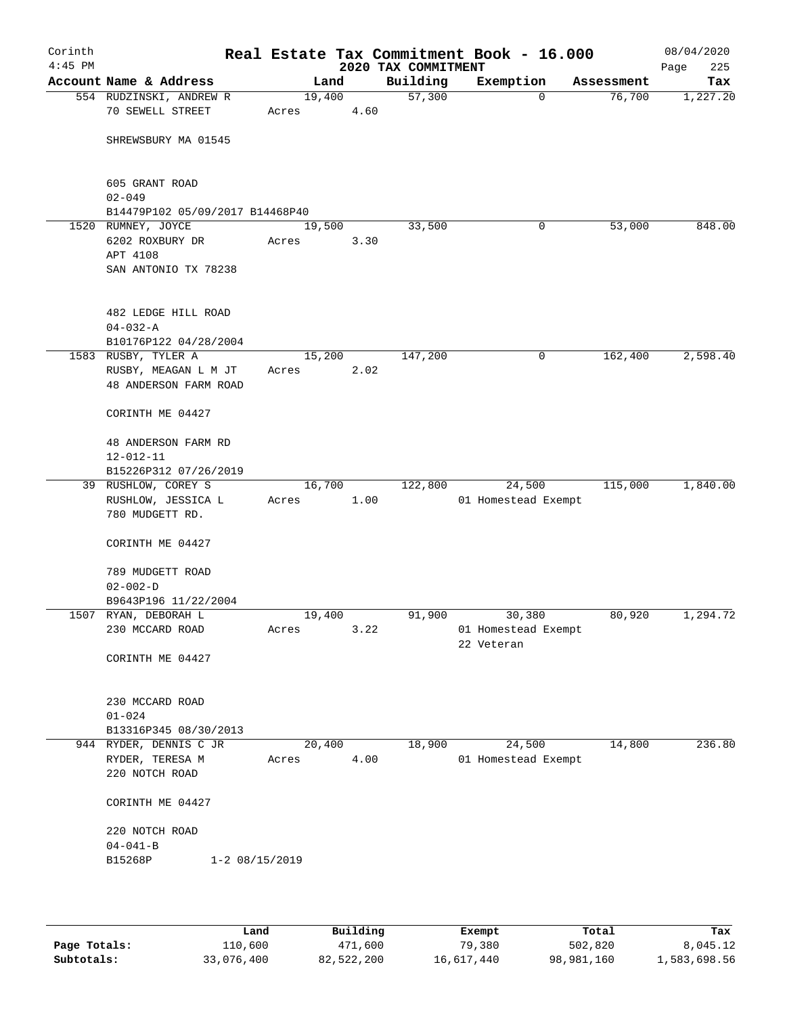| Corinth<br>$4:45$ PM |                                                                           |                      |        |      | 2020 TAX COMMITMENT | Real Estate Tax Commitment Book - 16.000    |            | 08/04/2020<br>225<br>Page |
|----------------------|---------------------------------------------------------------------------|----------------------|--------|------|---------------------|---------------------------------------------|------------|---------------------------|
|                      | Account Name & Address                                                    |                      | Land   |      | Building            | Exemption                                   | Assessment | Tax                       |
|                      | 554 RUDZINSKI, ANDREW R<br>70 SEWELL STREET                               | Acres                | 19,400 | 4.60 | 57,300              | 0                                           | 76,700     | 1,227.20                  |
|                      | SHREWSBURY MA 01545                                                       |                      |        |      |                     |                                             |            |                           |
|                      | 605 GRANT ROAD<br>$02 - 049$                                              |                      |        |      |                     |                                             |            |                           |
|                      | B14479P102 05/09/2017 B14468P40                                           |                      |        |      |                     |                                             |            |                           |
|                      | 1520 RUMNEY, JOYCE<br>6202 ROXBURY DR<br>APT 4108<br>SAN ANTONIO TX 78238 | Acres                | 19,500 | 3.30 | 33,500              | 0                                           | 53,000     | 848.00                    |
|                      | 482 LEDGE HILL ROAD<br>$04 - 032 - A$<br>B10176P122 04/28/2004            |                      |        |      |                     |                                             |            |                           |
|                      | 1583 RUSBY, TYLER A                                                       |                      | 15,200 |      | 147,200             | 0                                           | 162,400    | 2,598.40                  |
|                      | RUSBY, MEAGAN L M JT<br>48 ANDERSON FARM ROAD                             | Acres                |        | 2.02 |                     |                                             |            |                           |
|                      | CORINTH ME 04427                                                          |                      |        |      |                     |                                             |            |                           |
|                      | 48 ANDERSON FARM RD<br>$12 - 012 - 11$                                    |                      |        |      |                     |                                             |            |                           |
|                      | B15226P312 07/26/2019                                                     |                      |        |      |                     |                                             |            |                           |
|                      | 39 RUSHLOW, COREY S<br>RUSHLOW, JESSICA L<br>780 MUDGETT RD.              | Acres                | 16,700 | 1.00 | 122,800             | 24,500<br>01 Homestead Exempt               | 115,000    | 1,840.00                  |
|                      | CORINTH ME 04427                                                          |                      |        |      |                     |                                             |            |                           |
|                      | 789 MUDGETT ROAD<br>$02 - 002 - D$                                        |                      |        |      |                     |                                             |            |                           |
|                      | B9643P196 11/22/2004                                                      |                      |        |      |                     |                                             |            |                           |
|                      | 1507 RYAN, DEBORAH L<br>230 MCCARD ROAD                                   | Acres                | 19,400 | 3.22 | 91,900              | 30,380<br>01 Homestead Exempt<br>22 Veteran | 80,920     | 1,294.72                  |
|                      | CORINTH ME 04427                                                          |                      |        |      |                     |                                             |            |                           |
|                      | 230 MCCARD ROAD<br>$01 - 024$                                             |                      |        |      |                     |                                             |            |                           |
|                      | B13316P345 08/30/2013                                                     |                      |        |      |                     |                                             |            |                           |
|                      | 944 RYDER, DENNIS C JR                                                    |                      | 20,400 |      | 18,900              | 24,500                                      | 14,800     | 236.80                    |
|                      | RYDER, TERESA M<br>220 NOTCH ROAD                                         | Acres                |        | 4.00 |                     | 01 Homestead Exempt                         |            |                           |
|                      | CORINTH ME 04427                                                          |                      |        |      |                     |                                             |            |                           |
|                      | 220 NOTCH ROAD<br>$04 - 041 - B$<br>B15268P                               | $1 - 2 \ 08/15/2019$ |        |      |                     |                                             |            |                           |
|                      |                                                                           |                      |        |      |                     |                                             |            |                           |

|              | Land       | Building   | Exempt     | Total      | Tax          |
|--------------|------------|------------|------------|------------|--------------|
| Page Totals: | 110,600    | 471,600    | 79,380     | 502,820    | 8,045.12     |
| Subtotals:   | 33,076,400 | 82,522,200 | 16,617,440 | 98,981,160 | 1,583,698.56 |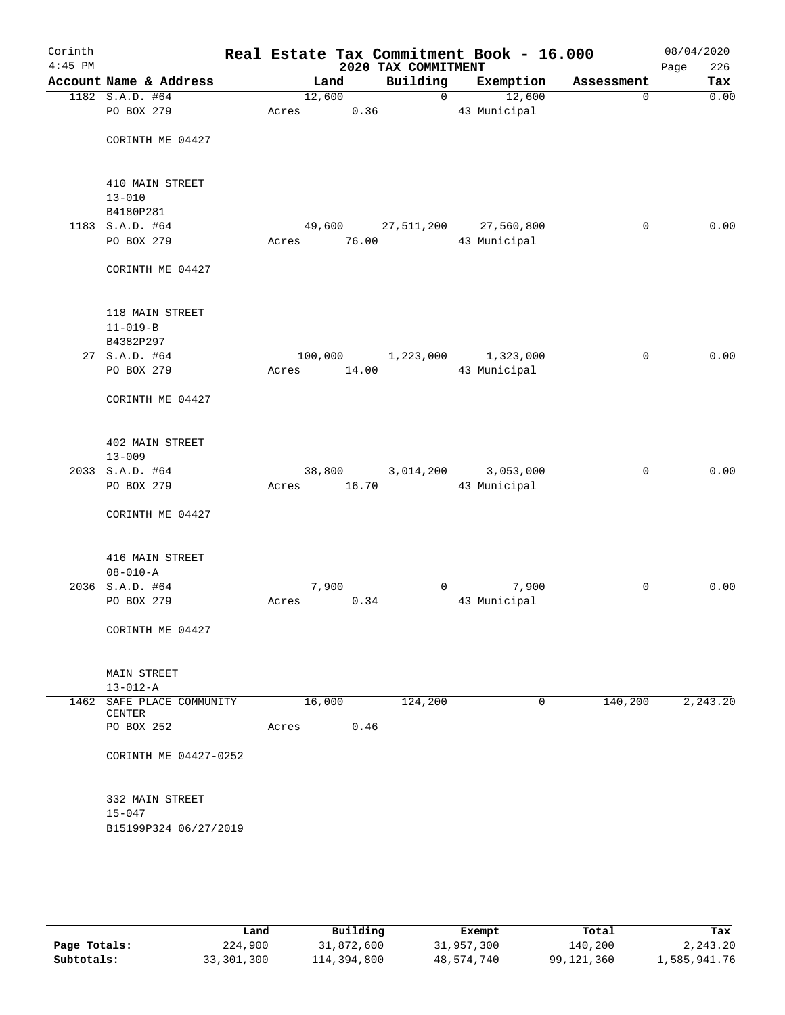| Corinth<br>$4:45$ PM |                           |        |         | 2020 TAX COMMITMENT | Real Estate Tax Commitment Book - 16.000 |             | 08/04/2020<br>226<br>Page |
|----------------------|---------------------------|--------|---------|---------------------|------------------------------------------|-------------|---------------------------|
|                      | Account Name & Address    |        | Land    | Building            | Exemption                                | Assessment  | Tax                       |
|                      | 1182 S.A.D. #64           | 12,600 |         | $\mathsf{O}$        | 12,600                                   | 0           | 0.00                      |
|                      | PO BOX 279                | Acres  | 0.36    |                     | 43 Municipal                             |             |                           |
|                      |                           |        |         |                     |                                          |             |                           |
|                      | CORINTH ME 04427          |        |         |                     |                                          |             |                           |
|                      |                           |        |         |                     |                                          |             |                           |
|                      |                           |        |         |                     |                                          |             |                           |
|                      | 410 MAIN STREET           |        |         |                     |                                          |             |                           |
|                      | $13 - 010$                |        |         |                     |                                          |             |                           |
|                      | B4180P281                 |        |         |                     |                                          |             |                           |
|                      | 1183 S.A.D. #64           | 49,600 |         | 27,511,200          | 27,560,800                               | $\mathbf 0$ | 0.00                      |
|                      | PO BOX 279                | Acres  | 76.00   |                     | 43 Municipal                             |             |                           |
|                      |                           |        |         |                     |                                          |             |                           |
|                      | CORINTH ME 04427          |        |         |                     |                                          |             |                           |
|                      |                           |        |         |                     |                                          |             |                           |
|                      | 118 MAIN STREET           |        |         |                     |                                          |             |                           |
|                      | $11 - 019 - B$            |        |         |                     |                                          |             |                           |
|                      | B4382P297                 |        |         |                     |                                          |             |                           |
|                      | 27 S.A.D. #64             |        | 100,000 | 1,223,000           | 1,323,000                                | 0           | 0.00                      |
|                      | PO BOX 279                | Acres  | 14.00   |                     | 43 Municipal                             |             |                           |
|                      |                           |        |         |                     |                                          |             |                           |
|                      | CORINTH ME 04427          |        |         |                     |                                          |             |                           |
|                      |                           |        |         |                     |                                          |             |                           |
|                      |                           |        |         |                     |                                          |             |                           |
|                      | 402 MAIN STREET           |        |         |                     |                                          |             |                           |
|                      | $13 - 009$                |        |         |                     |                                          |             |                           |
|                      | 2033 S.A.D. #64           | 38,800 |         | 3,014,200           | 3,053,000                                | $\mathbf 0$ | 0.00                      |
|                      | PO BOX 279                | Acres  | 16.70   |                     | 43 Municipal                             |             |                           |
|                      |                           |        |         |                     |                                          |             |                           |
|                      | CORINTH ME 04427          |        |         |                     |                                          |             |                           |
|                      |                           |        |         |                     |                                          |             |                           |
|                      |                           |        |         |                     |                                          |             |                           |
|                      | 416 MAIN STREET           |        |         |                     |                                          |             |                           |
|                      | $08 - 010 - A$            |        |         |                     |                                          |             |                           |
|                      | 2036 S.A.D. #64           | 7,900  |         | 0                   | 7,900                                    | 0           | 0.00                      |
|                      | PO BOX 279                | Acres  | 0.34    |                     | 43 Municipal                             |             |                           |
|                      |                           |        |         |                     |                                          |             |                           |
|                      | CORINTH ME 04427          |        |         |                     |                                          |             |                           |
|                      |                           |        |         |                     |                                          |             |                           |
|                      |                           |        |         |                     |                                          |             |                           |
|                      | MAIN STREET               |        |         |                     |                                          |             |                           |
|                      | $13 - 012 - A$            |        |         |                     |                                          |             |                           |
|                      | 1462 SAFE PLACE COMMUNITY | 16,000 |         | 124,200             | 0                                        | 140,200     | 2,243.20                  |
|                      | CENTER                    |        |         |                     |                                          |             |                           |
|                      | PO BOX 252                | Acres  | 0.46    |                     |                                          |             |                           |
|                      |                           |        |         |                     |                                          |             |                           |
|                      | CORINTH ME 04427-0252     |        |         |                     |                                          |             |                           |
|                      |                           |        |         |                     |                                          |             |                           |
|                      |                           |        |         |                     |                                          |             |                           |
|                      | 332 MAIN STREET           |        |         |                     |                                          |             |                           |
|                      | $15 - 047$                |        |         |                     |                                          |             |                           |
|                      | B15199P324 06/27/2019     |        |         |                     |                                          |             |                           |
|                      |                           |        |         |                     |                                          |             |                           |
|                      |                           |        |         |                     |                                          |             |                           |

|              | Land       | Building    | Exempt     | Total      | Tax          |
|--------------|------------|-------------|------------|------------|--------------|
| Page Totals: | 224,900    | 31,872,600  | 31,957,300 | 140,200    | 2,243.20     |
| Subtotals:   | 33,301,300 | 114,394,800 | 48,574,740 | 99,121,360 | 1,585,941.76 |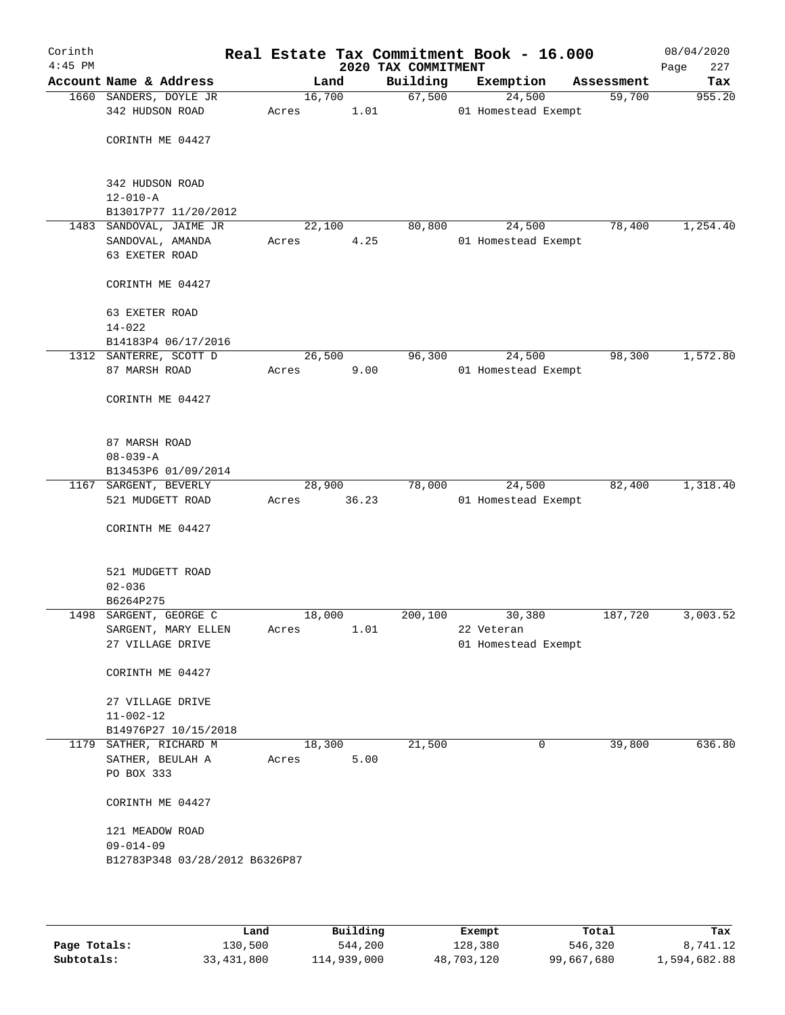| Corinth<br>$4:45$ PM |                                |        |        | 2020 TAX COMMITMENT | Real Estate Tax Commitment Book - 16.000 |            | 08/04/2020<br>227<br>Page |
|----------------------|--------------------------------|--------|--------|---------------------|------------------------------------------|------------|---------------------------|
|                      | Account Name & Address         |        | Land   | Building            | Exemption                                | Assessment | Tax                       |
|                      | 1660 SANDERS, DOYLE JR         | 16,700 |        | 67,500              | 24,500                                   | 59,700     | 955.20                    |
|                      | 342 HUDSON ROAD                | Acres  | 1.01   |                     | 01 Homestead Exempt                      |            |                           |
|                      |                                |        |        |                     |                                          |            |                           |
|                      | CORINTH ME 04427               |        |        |                     |                                          |            |                           |
|                      |                                |        |        |                     |                                          |            |                           |
|                      |                                |        |        |                     |                                          |            |                           |
|                      | 342 HUDSON ROAD                |        |        |                     |                                          |            |                           |
|                      | $12 - 010 - A$                 |        |        |                     |                                          |            |                           |
|                      | B13017P77 11/20/2012           |        |        |                     |                                          |            |                           |
|                      | 1483 SANDOVAL, JAIME JR        | 22,100 |        | 80,800              | 24,500                                   | 78,400     | 1,254.40                  |
|                      | SANDOVAL, AMANDA               | Acres  | 4.25   |                     | 01 Homestead Exempt                      |            |                           |
|                      | 63 EXETER ROAD                 |        |        |                     |                                          |            |                           |
|                      | CORINTH ME 04427               |        |        |                     |                                          |            |                           |
|                      |                                |        |        |                     |                                          |            |                           |
|                      | 63 EXETER ROAD                 |        |        |                     |                                          |            |                           |
|                      | $14 - 022$                     |        |        |                     |                                          |            |                           |
|                      | B14183P4 06/17/2016            |        |        |                     |                                          |            |                           |
|                      | 1312 SANTERRE, SCOTT D         | 26,500 |        | 96,300              | 24,500                                   | 98,300     | 1,572.80                  |
|                      | 87 MARSH ROAD                  | Acres  | 9.00   |                     | 01 Homestead Exempt                      |            |                           |
|                      |                                |        |        |                     |                                          |            |                           |
|                      | CORINTH ME 04427               |        |        |                     |                                          |            |                           |
|                      |                                |        |        |                     |                                          |            |                           |
|                      |                                |        |        |                     |                                          |            |                           |
|                      | 87 MARSH ROAD                  |        |        |                     |                                          |            |                           |
|                      | $08 - 039 - A$                 |        |        |                     |                                          |            |                           |
|                      | B13453P6 01/09/2014            |        |        |                     |                                          |            |                           |
|                      | 1167 SARGENT, BEVERLY          |        | 28,900 | 78,000              | 24,500                                   | 82,400     | 1,318.40                  |
|                      | 521 MUDGETT ROAD               | Acres  | 36.23  |                     | 01 Homestead Exempt                      |            |                           |
|                      |                                |        |        |                     |                                          |            |                           |
|                      | CORINTH ME 04427               |        |        |                     |                                          |            |                           |
|                      |                                |        |        |                     |                                          |            |                           |
|                      | 521 MUDGETT ROAD               |        |        |                     |                                          |            |                           |
|                      | $02 - 036$                     |        |        |                     |                                          |            |                           |
|                      | B6264P275                      |        |        |                     |                                          |            |                           |
|                      | 1498 SARGENT, GEORGE C         | 18,000 |        | 200,100             | 30,380                                   | 187,720    | 3,003.52                  |
|                      | SARGENT, MARY ELLEN            | Acres  | 1.01   |                     | 22 Veteran                               |            |                           |
|                      | 27 VILLAGE DRIVE               |        |        |                     | 01 Homestead Exempt                      |            |                           |
|                      |                                |        |        |                     |                                          |            |                           |
|                      | CORINTH ME 04427               |        |        |                     |                                          |            |                           |
|                      |                                |        |        |                     |                                          |            |                           |
|                      | 27 VILLAGE DRIVE               |        |        |                     |                                          |            |                           |
|                      | $11 - 002 - 12$                |        |        |                     |                                          |            |                           |
|                      | B14976P27 10/15/2018           |        |        |                     |                                          |            |                           |
|                      | 1179 SATHER, RICHARD M         | 18,300 |        | 21,500              | 0                                        | 39,800     | 636.80                    |
|                      | SATHER, BEULAH A               | Acres  | 5.00   |                     |                                          |            |                           |
|                      | PO BOX 333                     |        |        |                     |                                          |            |                           |
|                      |                                |        |        |                     |                                          |            |                           |
|                      | CORINTH ME 04427               |        |        |                     |                                          |            |                           |
|                      |                                |        |        |                     |                                          |            |                           |
|                      | 121 MEADOW ROAD                |        |        |                     |                                          |            |                           |
|                      | $09 - 014 - 09$                |        |        |                     |                                          |            |                           |
|                      | B12783P348 03/28/2012 B6326P87 |        |        |                     |                                          |            |                           |
|                      |                                |        |        |                     |                                          |            |                           |
|                      |                                |        |        |                     |                                          |            |                           |

|              | Land         | Building    | Exempt     | Total      | Tax          |
|--------------|--------------|-------------|------------|------------|--------------|
| Page Totals: | 130,500      | 544,200     | 128,380    | 546,320    | 8,741.12     |
| Subtotals:   | 33, 431, 800 | 114,939,000 | 48,703,120 | 99,667,680 | 1,594,682.88 |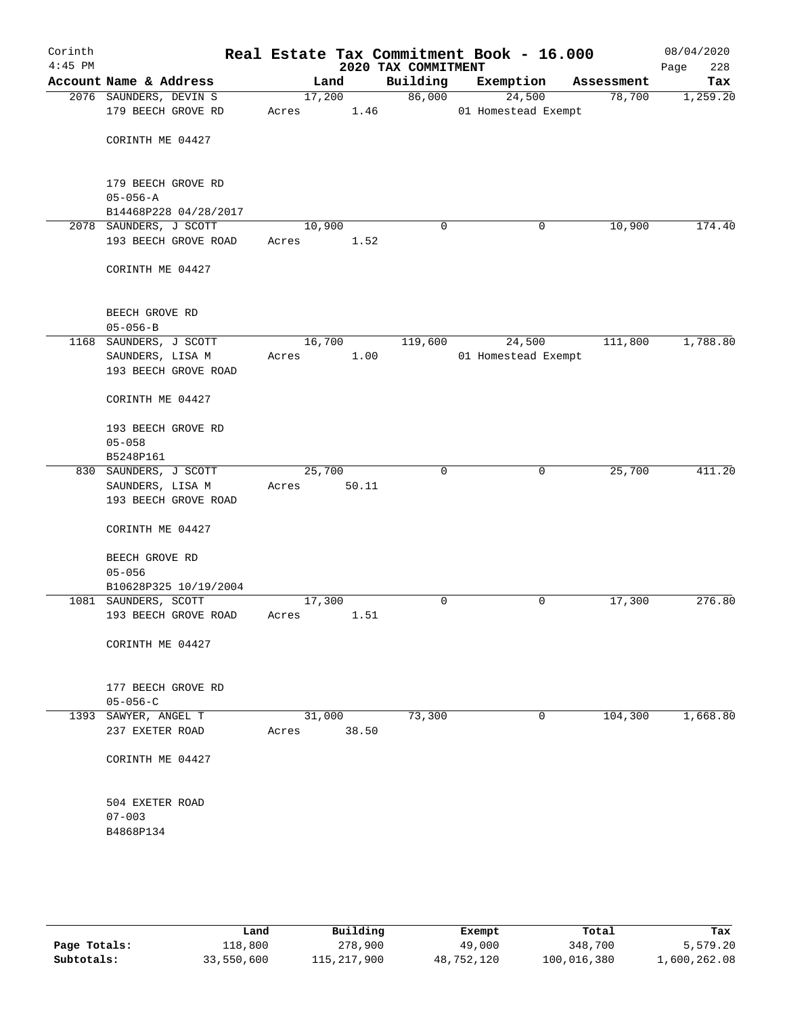| Corinth<br>$4:45$ PM |                        |        |       | 2020 TAX COMMITMENT | Real Estate Tax Commitment Book - 16.000 |            | 08/04/2020<br>228<br>Page |
|----------------------|------------------------|--------|-------|---------------------|------------------------------------------|------------|---------------------------|
|                      | Account Name & Address |        | Land  | Building            | Exemption                                | Assessment | Tax                       |
|                      | 2076 SAUNDERS, DEVIN S | 17,200 |       | 86,000              | 24,500                                   | 78,700     | 1,259.20                  |
|                      | 179 BEECH GROVE RD     | Acres  | 1.46  |                     | 01 Homestead Exempt                      |            |                           |
|                      |                        |        |       |                     |                                          |            |                           |
|                      | CORINTH ME 04427       |        |       |                     |                                          |            |                           |
|                      |                        |        |       |                     |                                          |            |                           |
|                      | 179 BEECH GROVE RD     |        |       |                     |                                          |            |                           |
|                      | $05 - 056 - A$         |        |       |                     |                                          |            |                           |
|                      | B14468P228 04/28/2017  |        |       |                     |                                          |            |                           |
|                      | 2078 SAUNDERS, J SCOTT | 10,900 |       | 0                   | 0                                        | 10,900     | 174.40                    |
|                      | 193 BEECH GROVE ROAD   | Acres  | 1.52  |                     |                                          |            |                           |
|                      | CORINTH ME 04427       |        |       |                     |                                          |            |                           |
|                      |                        |        |       |                     |                                          |            |                           |
|                      | BEECH GROVE RD         |        |       |                     |                                          |            |                           |
|                      | $05 - 056 - B$         |        |       |                     |                                          |            |                           |
|                      | 1168 SAUNDERS, J SCOTT | 16,700 |       | 119,600             | 24,500                                   | 111,800    | 1,788.80                  |
|                      | SAUNDERS, LISA M       | Acres  | 1.00  |                     | 01 Homestead Exempt                      |            |                           |
|                      | 193 BEECH GROVE ROAD   |        |       |                     |                                          |            |                           |
|                      | CORINTH ME 04427       |        |       |                     |                                          |            |                           |
|                      | 193 BEECH GROVE RD     |        |       |                     |                                          |            |                           |
|                      | $05 - 058$             |        |       |                     |                                          |            |                           |
|                      | B5248P161              |        |       |                     |                                          |            |                           |
|                      | 830 SAUNDERS, J SCOTT  | 25,700 |       | 0                   | 0                                        | 25,700     | 411.20                    |
|                      | SAUNDERS, LISA M       | Acres  | 50.11 |                     |                                          |            |                           |
|                      | 193 BEECH GROVE ROAD   |        |       |                     |                                          |            |                           |
|                      | CORINTH ME 04427       |        |       |                     |                                          |            |                           |
|                      | BEECH GROVE RD         |        |       |                     |                                          |            |                           |
|                      | $05 - 056$             |        |       |                     |                                          |            |                           |
|                      | B10628P325 10/19/2004  |        |       |                     |                                          |            |                           |
|                      | 1081 SAUNDERS, SCOTT   | 17,300 |       | 0                   | 0                                        | 17,300     | 276.80                    |
|                      | 193 BEECH GROVE ROAD   | Acres  | 1.51  |                     |                                          |            |                           |
|                      | CORINTH ME 04427       |        |       |                     |                                          |            |                           |
|                      |                        |        |       |                     |                                          |            |                           |
|                      | 177 BEECH GROVE RD     |        |       |                     |                                          |            |                           |
|                      | $05 - 056 - C$         |        |       |                     |                                          |            |                           |
|                      | 1393 SAWYER, ANGEL T   | 31,000 |       | 73,300              | 0                                        | 104,300    | 1,668.80                  |
|                      | 237 EXETER ROAD        | Acres  | 38.50 |                     |                                          |            |                           |
|                      | CORINTH ME 04427       |        |       |                     |                                          |            |                           |
|                      |                        |        |       |                     |                                          |            |                           |
|                      | 504 EXETER ROAD        |        |       |                     |                                          |            |                           |
|                      | $07 - 003$             |        |       |                     |                                          |            |                           |
|                      | B4868P134              |        |       |                     |                                          |            |                           |
|                      |                        |        |       |                     |                                          |            |                           |
|                      |                        |        |       |                     |                                          |            |                           |

|              | Land       | Building    | Exempt     | Total       | Tax          |
|--------------|------------|-------------|------------|-------------|--------------|
| Page Totals: | 118,800    | 278,900     | 49,000     | 348,700     | 5,579.20     |
| Subtotals:   | 33,550,600 | 115,217,900 | 48,752,120 | 100,016,380 | 1,600,262.08 |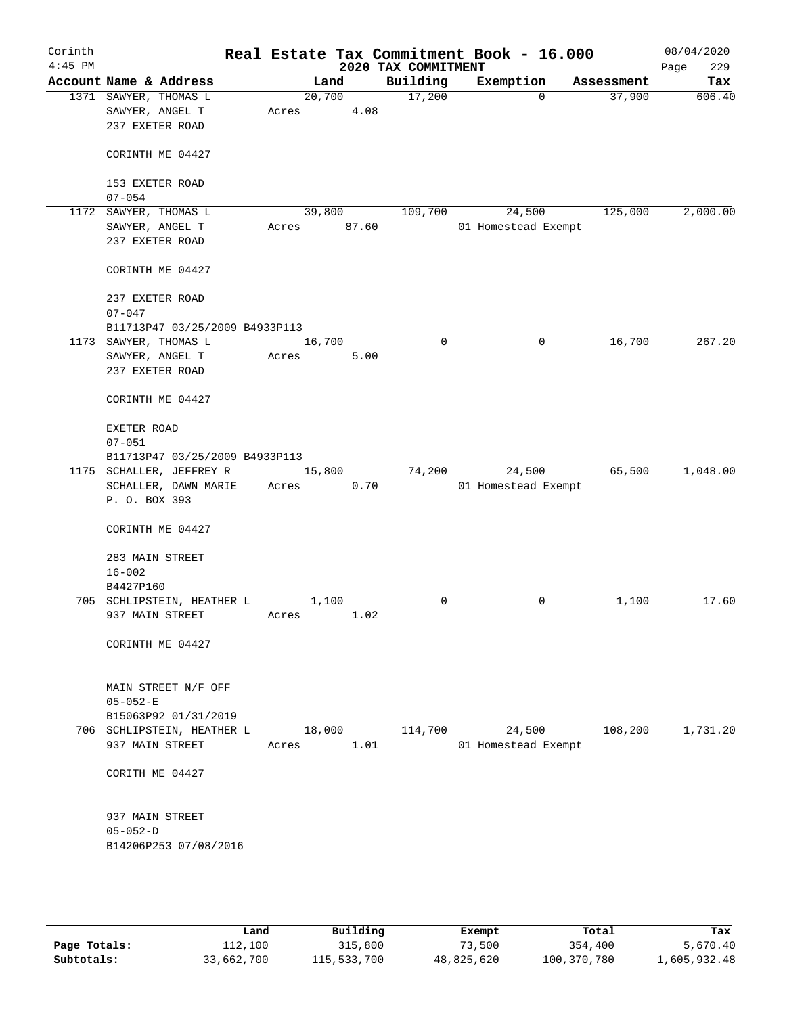| Corinth<br>$4:45$ PM |                                                             |       |        |       | 2020 TAX COMMITMENT | Real Estate Tax Commitment Book - 16.000 |                       | 08/04/2020<br>229<br>Page |
|----------------------|-------------------------------------------------------------|-------|--------|-------|---------------------|------------------------------------------|-----------------------|---------------------------|
|                      | Account Name & Address                                      |       | Land   |       | Building            | Exemption                                | Assessment            | Tax                       |
|                      | 1371 SAWYER, THOMAS L<br>SAWYER, ANGEL T<br>237 EXETER ROAD | Acres | 20,700 | 4.08  | 17,200              |                                          | 37,900<br>$\mathbf 0$ | 606.40                    |
|                      | CORINTH ME 04427                                            |       |        |       |                     |                                          |                       |                           |
|                      | 153 EXETER ROAD<br>$07 - 054$                               |       |        |       |                     |                                          |                       |                           |
|                      | 1172 SAWYER, THOMAS L<br>SAWYER, ANGEL T<br>237 EXETER ROAD | Acres | 39,800 | 87.60 | 109,700             | 24,500<br>01 Homestead Exempt            | 125,000               | 2,000.00                  |
|                      | CORINTH ME 04427                                            |       |        |       |                     |                                          |                       |                           |
|                      | 237 EXETER ROAD<br>$07 - 047$                               |       |        |       |                     |                                          |                       |                           |
|                      | B11713P47 03/25/2009 B4933P113                              |       |        |       |                     |                                          |                       |                           |
|                      | 1173 SAWYER, THOMAS L                                       |       | 16,700 |       | $\mathbf 0$         |                                          | 0<br>16,700           | 267.20                    |
|                      | SAWYER, ANGEL T<br>237 EXETER ROAD                          | Acres |        | 5.00  |                     |                                          |                       |                           |
|                      | CORINTH ME 04427                                            |       |        |       |                     |                                          |                       |                           |
|                      | EXETER ROAD<br>$07 - 051$                                   |       |        |       |                     |                                          |                       |                           |
|                      | B11713P47 03/25/2009 B4933P113                              |       |        |       |                     |                                          |                       |                           |
|                      | 1175 SCHALLER, JEFFREY R                                    |       | 15,800 |       | 74,200              | 24,500                                   | 65,500                | 1,048.00                  |
|                      | SCHALLER, DAWN MARIE<br>P. O. BOX 393                       | Acres |        | 0.70  |                     | 01 Homestead Exempt                      |                       |                           |
|                      | CORINTH ME 04427                                            |       |        |       |                     |                                          |                       |                           |
|                      | 283 MAIN STREET<br>$16 - 002$                               |       |        |       |                     |                                          |                       |                           |
|                      | B4427P160                                                   |       |        |       |                     |                                          |                       |                           |
|                      | 705 SCHLIPSTEIN, HEATHER L                                  |       | 1,100  |       | $\mathbf 0$         |                                          | 0<br>1,100            | 17.60                     |
|                      | 937 MAIN STREET                                             | Acres |        | 1.02  |                     |                                          |                       |                           |
|                      | CORINTH ME 04427                                            |       |        |       |                     |                                          |                       |                           |
|                      | MAIN STREET N/F OFF                                         |       |        |       |                     |                                          |                       |                           |
|                      | $05 - 052 - E$                                              |       |        |       |                     |                                          |                       |                           |
|                      | B15063P92 01/31/2019                                        |       |        |       |                     |                                          |                       |                           |
|                      | 706 SCHLIPSTEIN, HEATHER L<br>937 MAIN STREET               | Acres | 18,000 | 1.01  | 114,700             | 24,500<br>01 Homestead Exempt            | 108,200               | 1,731.20                  |
|                      | CORITH ME 04427                                             |       |        |       |                     |                                          |                       |                           |
|                      | 937 MAIN STREET                                             |       |        |       |                     |                                          |                       |                           |
|                      | $05 - 052 - D$                                              |       |        |       |                     |                                          |                       |                           |
|                      | B14206P253 07/08/2016                                       |       |        |       |                     |                                          |                       |                           |
|                      |                                                             |       |        |       |                     |                                          |                       |                           |
|                      |                                                             |       |        |       |                     |                                          |                       |                           |

|              | Land       | Building    | Exempt     | Total       | Tax          |
|--------------|------------|-------------|------------|-------------|--------------|
| Page Totals: | 112,100    | 315,800     | 73,500     | 354,400     | 5,670.40     |
| Subtotals:   | 33,662,700 | 115,533,700 | 48,825,620 | 100,370,780 | 1,605,932.48 |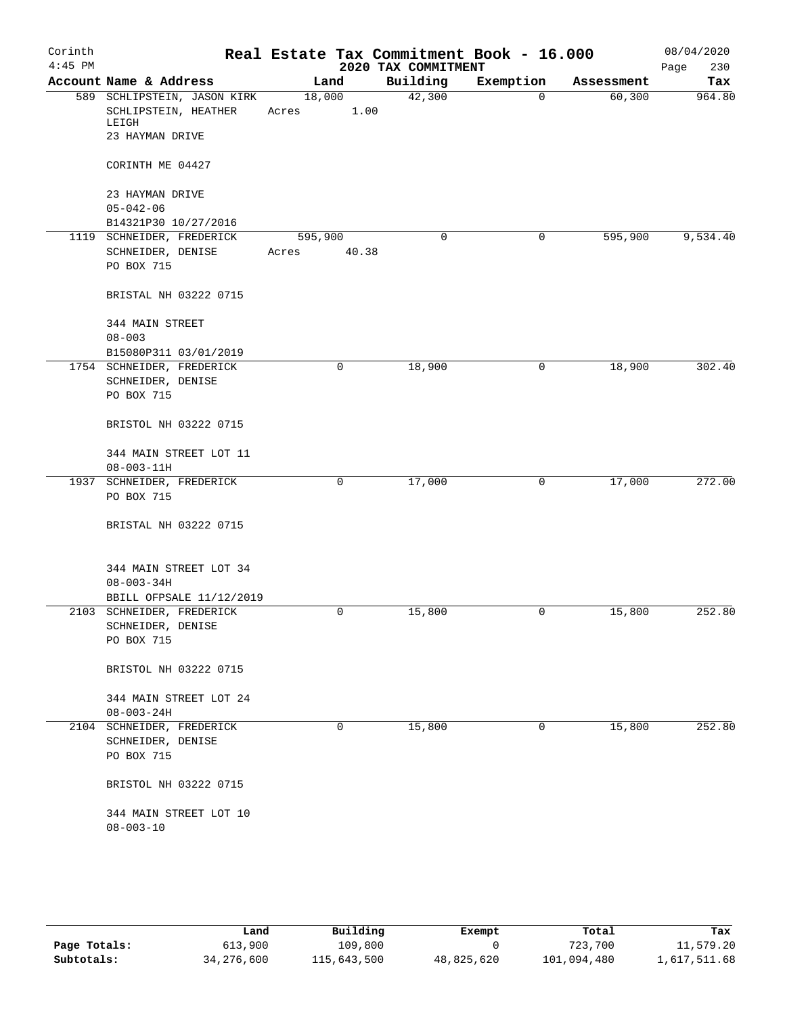| Corinth   |                                                                                 |                 |       |                     | Real Estate Tax Commitment Book - 16.000 |            | 08/04/2020  |
|-----------|---------------------------------------------------------------------------------|-----------------|-------|---------------------|------------------------------------------|------------|-------------|
| $4:45$ PM |                                                                                 |                 |       | 2020 TAX COMMITMENT |                                          |            | 230<br>Page |
|           | Account Name & Address                                                          | Land            |       | Building            | Exemption                                | Assessment | Tax         |
|           | 589 SCHLIPSTEIN, JASON KIRK<br>SCHLIPSTEIN, HEATHER<br>LEIGH<br>23 HAYMAN DRIVE | 18,000<br>Acres | 1.00  | 42,300              | $\Omega$                                 | 60, 300    | 964.80      |
|           | CORINTH ME 04427                                                                |                 |       |                     |                                          |            |             |
|           | 23 HAYMAN DRIVE                                                                 |                 |       |                     |                                          |            |             |
|           | $05 - 042 - 06$                                                                 |                 |       |                     |                                          |            |             |
|           | B14321P30 10/27/2016                                                            |                 |       |                     |                                          |            |             |
|           | 1119 SCHNEIDER, FREDERICK                                                       | 595,900         |       | 0                   | $\mathbf 0$                              | 595,900    | 9,534.40    |
|           | SCHNEIDER, DENISE<br>PO BOX 715                                                 | Acres           | 40.38 |                     |                                          |            |             |
|           | BRISTAL NH 03222 0715                                                           |                 |       |                     |                                          |            |             |
|           | 344 MAIN STREET<br>$08 - 003$                                                   |                 |       |                     |                                          |            |             |
|           | B15080P311 03/01/2019                                                           |                 |       |                     |                                          |            |             |
|           | 1754 SCHNEIDER, FREDERICK                                                       |                 | 0     | 18,900              | 0                                        | 18,900     | 302.40      |
|           | SCHNEIDER, DENISE                                                               |                 |       |                     |                                          |            |             |
|           | PO BOX 715                                                                      |                 |       |                     |                                          |            |             |
|           | BRISTOL NH 03222 0715                                                           |                 |       |                     |                                          |            |             |
|           | 344 MAIN STREET LOT 11                                                          |                 |       |                     |                                          |            |             |
|           | $08 - 003 - 11H$                                                                |                 |       |                     |                                          |            |             |
|           | 1937 SCHNEIDER, FREDERICK<br>PO BOX 715                                         |                 | 0     | 17,000              | 0                                        | 17,000     | 272.00      |
|           | BRISTAL NH 03222 0715                                                           |                 |       |                     |                                          |            |             |
|           | 344 MAIN STREET LOT 34<br>$08 - 003 - 34H$                                      |                 |       |                     |                                          |            |             |
|           | BBILL OFPSALE 11/12/2019                                                        |                 |       |                     |                                          |            |             |
|           | 2103 SCHNEIDER, FREDERICK                                                       |                 | 0     | 15,800              | 0                                        | 15,800     | 252.80      |
|           | SCHNEIDER, DENISE                                                               |                 |       |                     |                                          |            |             |
|           | PO BOX 715                                                                      |                 |       |                     |                                          |            |             |
|           | BRISTOL NH 03222 0715                                                           |                 |       |                     |                                          |            |             |
|           | 344 MAIN STREET LOT 24<br>$08 - 003 - 24H$                                      |                 |       |                     |                                          |            |             |
|           | 2104 SCHNEIDER, FREDERICK                                                       |                 | 0     | 15,800              | 0                                        | 15,800     | 252.80      |
|           | SCHNEIDER, DENISE<br>PO BOX 715                                                 |                 |       |                     |                                          |            |             |
|           | BRISTOL NH 03222 0715                                                           |                 |       |                     |                                          |            |             |
|           | 344 MAIN STREET LOT 10<br>$08 - 003 - 10$                                       |                 |       |                     |                                          |            |             |
|           |                                                                                 |                 |       |                     |                                          |            |             |

|              | Land         | Building    | Exempt     | Total       | Tax          |
|--------------|--------------|-------------|------------|-------------|--------------|
| Page Totals: | 613,900      | 109,800     |            | 723,700     | 11,579.20    |
| Subtotals:   | 34, 276, 600 | 115,643,500 | 48,825,620 | 101,094,480 | 1,617,511.68 |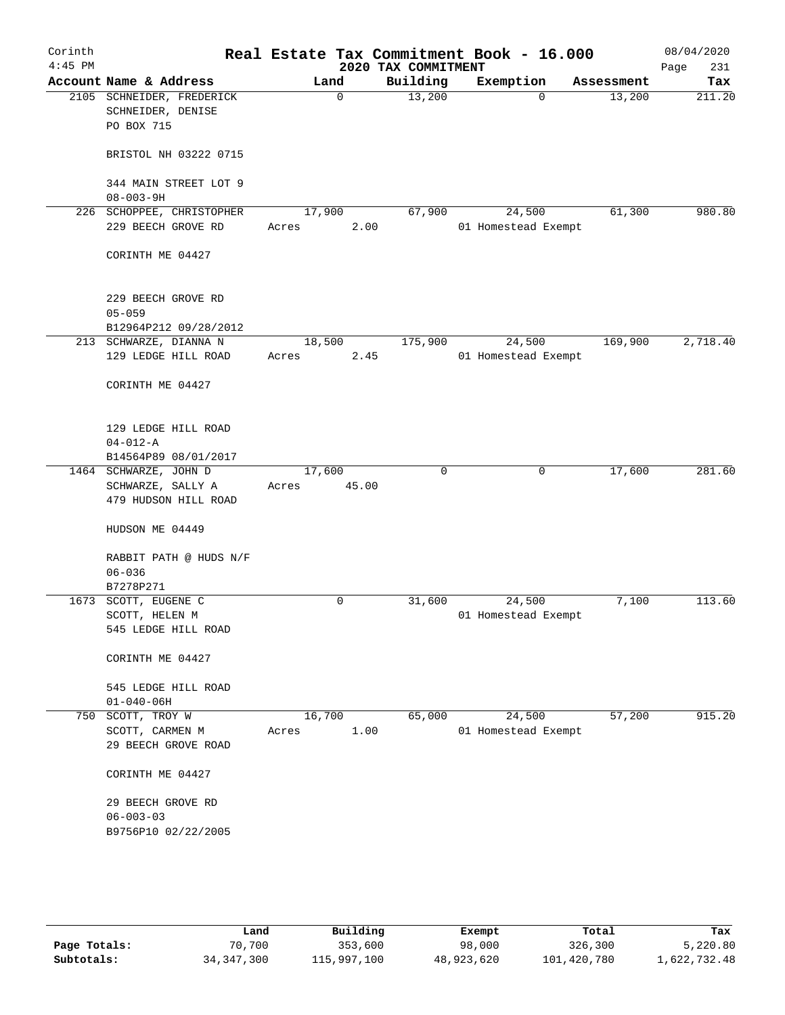| Corinth<br>$4:45$ PM |                                           |        |             | 2020 TAX COMMITMENT | Real Estate Tax Commitment Book - 16.000 |                    | 08/04/2020<br>Page<br>231 |
|----------------------|-------------------------------------------|--------|-------------|---------------------|------------------------------------------|--------------------|---------------------------|
|                      | Account Name & Address                    |        | Land        | Building            | Exemption                                | Assessment         | Tax                       |
|                      | 2105 SCHNEIDER, FREDERICK                 |        | $\mathbf 0$ | 13,200              |                                          | 13,200<br>$\Omega$ | 211.20                    |
|                      | SCHNEIDER, DENISE<br>PO BOX 715           |        |             |                     |                                          |                    |                           |
|                      | BRISTOL NH 03222 0715                     |        |             |                     |                                          |                    |                           |
|                      | 344 MAIN STREET LOT 9<br>$08 - 003 - 9H$  |        |             |                     |                                          |                    |                           |
|                      | 226 SCHOPPEE, CHRISTOPHER                 | 17,900 |             | 67,900              | 24,500                                   | 61,300             | 980.80                    |
|                      | 229 BEECH GROVE RD                        | Acres  | 2.00        |                     | 01 Homestead Exempt                      |                    |                           |
|                      | CORINTH ME 04427                          |        |             |                     |                                          |                    |                           |
|                      | 229 BEECH GROVE RD                        |        |             |                     |                                          |                    |                           |
|                      | $05 - 059$<br>B12964P212 09/28/2012       |        |             |                     |                                          |                    |                           |
|                      | 213 SCHWARZE, DIANNA N                    | 18,500 |             | 175,900             | 24,500                                   | 169,900            | 2,718.40                  |
|                      | 129 LEDGE HILL ROAD                       | Acres  | 2.45        |                     | 01 Homestead Exempt                      |                    |                           |
|                      | CORINTH ME 04427                          |        |             |                     |                                          |                    |                           |
|                      | 129 LEDGE HILL ROAD                       |        |             |                     |                                          |                    |                           |
|                      | $04 - 012 - A$                            |        |             |                     |                                          |                    |                           |
|                      | B14564P89 08/01/2017                      |        |             |                     |                                          |                    |                           |
|                      | 1464 SCHWARZE, JOHN D                     | 17,600 |             | 0                   |                                          | 17,600<br>0        | 281.60                    |
|                      | SCHWARZE, SALLY A<br>479 HUDSON HILL ROAD | Acres  | 45.00       |                     |                                          |                    |                           |
|                      | HUDSON ME 04449                           |        |             |                     |                                          |                    |                           |
|                      | RABBIT PATH @ HUDS N/F<br>$06 - 036$      |        |             |                     |                                          |                    |                           |
|                      | B7278P271                                 |        |             |                     |                                          |                    |                           |
|                      | 1673 SCOTT, EUGENE C                      |        | 0           | 31,600              | 24,500                                   | 7,100              | 113.60                    |
|                      | SCOTT, HELEN M                            |        |             |                     | 01 Homestead Exempt                      |                    |                           |
|                      | 545 LEDGE HILL ROAD                       |        |             |                     |                                          |                    |                           |
|                      | CORINTH ME 04427                          |        |             |                     |                                          |                    |                           |
|                      | 545 LEDGE HILL ROAD                       |        |             |                     |                                          |                    |                           |
|                      | $01 - 040 - 06H$                          |        |             |                     |                                          |                    |                           |
| 750                  | SCOTT, TROY W                             | 16,700 |             | 65,000              | 24,500                                   | 57,200             | 915.20                    |
|                      | SCOTT, CARMEN M                           | Acres  | 1.00        |                     | 01 Homestead Exempt                      |                    |                           |
|                      | 29 BEECH GROVE ROAD                       |        |             |                     |                                          |                    |                           |
|                      | CORINTH ME 04427                          |        |             |                     |                                          |                    |                           |
|                      | 29 BEECH GROVE RD                         |        |             |                     |                                          |                    |                           |
|                      | $06 - 003 - 03$                           |        |             |                     |                                          |                    |                           |
|                      | B9756P10 02/22/2005                       |        |             |                     |                                          |                    |                           |
|                      |                                           |        |             |                     |                                          |                    |                           |
|                      |                                           |        |             |                     |                                          |                    |                           |

|              | Land         | Building    | Exempt     | Total       | Tax          |
|--------------|--------------|-------------|------------|-------------|--------------|
| Page Totals: | 70,700       | 353,600     | 98,000     | 326,300     | 5,220.80     |
| Subtotals:   | 34, 347, 300 | 115,997,100 | 48,923,620 | 101,420,780 | l,622,732.48 |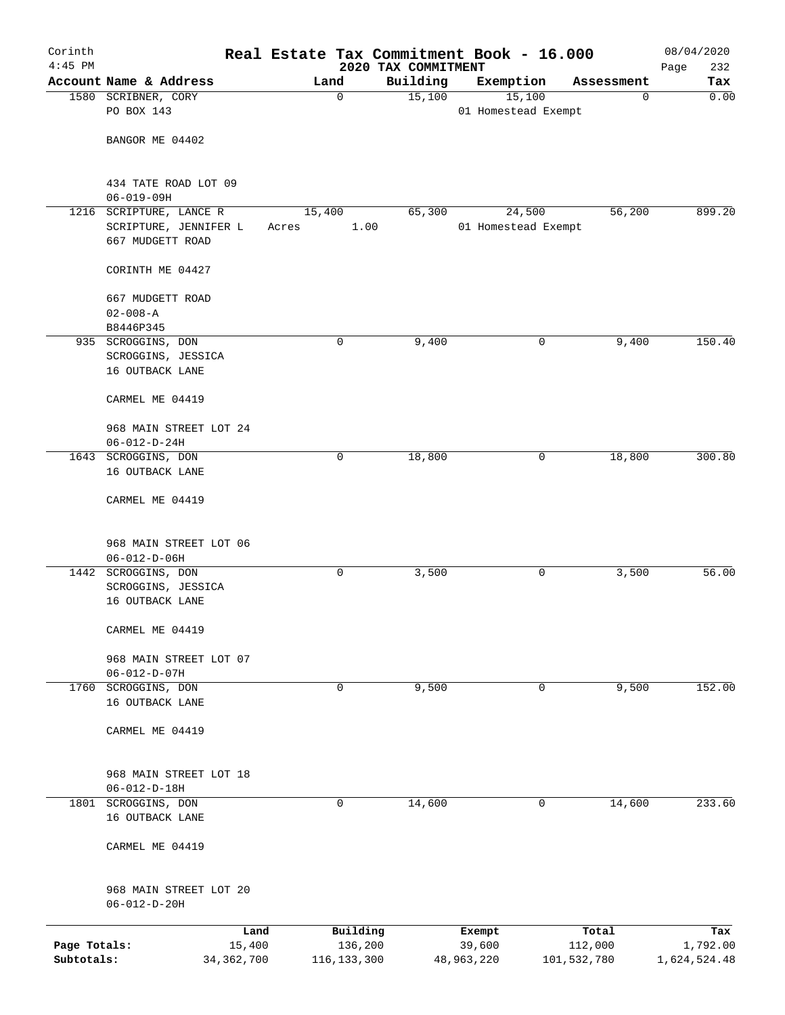| Corinth<br>$4:45$ PM |                                        |              |       |               |                                 | Real Estate Tax Commitment Book - 16.000 |             | 08/04/2020         |
|----------------------|----------------------------------------|--------------|-------|---------------|---------------------------------|------------------------------------------|-------------|--------------------|
|                      | Account Name & Address                 |              |       | Land          | 2020 TAX COMMITMENT<br>Building | Exemption                                | Assessment  | 232<br>Page<br>Tax |
|                      | 1580 SCRIBNER, CORY                    |              |       | $\mathbf 0$   | 15,100                          | 15,100                                   | $\mathbf 0$ | 0.00               |
|                      | PO BOX 143                             |              |       |               |                                 | 01 Homestead Exempt                      |             |                    |
|                      |                                        |              |       |               |                                 |                                          |             |                    |
|                      | BANGOR ME 04402                        |              |       |               |                                 |                                          |             |                    |
|                      |                                        |              |       |               |                                 |                                          |             |                    |
|                      | 434 TATE ROAD LOT 09                   |              |       |               |                                 |                                          |             |                    |
|                      | $06 - 019 - 09H$                       |              |       |               |                                 |                                          |             |                    |
|                      | 1216 SCRIPTURE, LANCE R                |              |       | 15,400        | 65,300                          | 24,500                                   | 56,200      | 899.20             |
|                      | SCRIPTURE, JENNIFER L                  |              | Acres | 1.00          |                                 | 01 Homestead Exempt                      |             |                    |
|                      | 667 MUDGETT ROAD                       |              |       |               |                                 |                                          |             |                    |
|                      | CORINTH ME 04427                       |              |       |               |                                 |                                          |             |                    |
|                      |                                        |              |       |               |                                 |                                          |             |                    |
|                      | 667 MUDGETT ROAD                       |              |       |               |                                 |                                          |             |                    |
|                      | $02 - 008 - A$                         |              |       |               |                                 |                                          |             |                    |
|                      | B8446P345                              |              |       |               |                                 |                                          |             |                    |
|                      | 935 SCROGGINS, DON                     |              |       | 0             | 9,400                           | 0                                        | 9,400       | 150.40             |
|                      | SCROGGINS, JESSICA                     |              |       |               |                                 |                                          |             |                    |
|                      | 16 OUTBACK LANE                        |              |       |               |                                 |                                          |             |                    |
|                      | CARMEL ME 04419                        |              |       |               |                                 |                                          |             |                    |
|                      |                                        |              |       |               |                                 |                                          |             |                    |
|                      | 968 MAIN STREET LOT 24                 |              |       |               |                                 |                                          |             |                    |
|                      | $06 - 012 - D - 24H$                   |              |       |               |                                 |                                          |             |                    |
|                      | 1643 SCROGGINS, DON                    |              |       | 0             | 18,800                          | 0                                        | 18,800      | 300.80             |
|                      | 16 OUTBACK LANE                        |              |       |               |                                 |                                          |             |                    |
|                      | CARMEL ME 04419                        |              |       |               |                                 |                                          |             |                    |
|                      |                                        |              |       |               |                                 |                                          |             |                    |
|                      |                                        |              |       |               |                                 |                                          |             |                    |
|                      | 968 MAIN STREET LOT 06                 |              |       |               |                                 |                                          |             |                    |
|                      | $06 - 012 - D - 06H$                   |              |       |               |                                 |                                          |             |                    |
|                      | 1442 SCROGGINS, DON                    |              |       | 0             | 3,500                           | 0                                        | 3,500       | 56.00              |
|                      | SCROGGINS, JESSICA<br>16 OUTBACK LANE  |              |       |               |                                 |                                          |             |                    |
|                      |                                        |              |       |               |                                 |                                          |             |                    |
|                      | CARMEL ME 04419                        |              |       |               |                                 |                                          |             |                    |
|                      |                                        |              |       |               |                                 |                                          |             |                    |
|                      | 968 MAIN STREET LOT 07                 |              |       |               |                                 |                                          |             |                    |
|                      | $06 - 012 - D - 07H$                   |              |       |               |                                 |                                          |             |                    |
| 1760                 | SCROGGINS, DON<br>16 OUTBACK LANE      |              |       | 0             | 9,500                           | 0                                        | 9,500       | 152.00             |
|                      |                                        |              |       |               |                                 |                                          |             |                    |
|                      | CARMEL ME 04419                        |              |       |               |                                 |                                          |             |                    |
|                      |                                        |              |       |               |                                 |                                          |             |                    |
|                      |                                        |              |       |               |                                 |                                          |             |                    |
|                      | 968 MAIN STREET LOT 18                 |              |       |               |                                 |                                          |             |                    |
| 1801                 | $06 - 012 - D - 18H$<br>SCROGGINS, DON |              |       | 0             | 14,600                          | 0                                        | 14,600      | 233.60             |
|                      | 16 OUTBACK LANE                        |              |       |               |                                 |                                          |             |                    |
|                      |                                        |              |       |               |                                 |                                          |             |                    |
|                      | CARMEL ME 04419                        |              |       |               |                                 |                                          |             |                    |
|                      |                                        |              |       |               |                                 |                                          |             |                    |
|                      |                                        |              |       |               |                                 |                                          |             |                    |
|                      | 968 MAIN STREET LOT 20                 |              |       |               |                                 |                                          |             |                    |
|                      | $06 - 012 - D - 20H$                   |              |       |               |                                 |                                          |             |                    |
|                      |                                        | Land         |       | Building      |                                 | Exempt                                   | Total       | Tax                |
| Page Totals:         |                                        | 15,400       |       | 136,200       |                                 | 39,600                                   | 112,000     | 1,792.00           |
| Subtotals:           |                                        | 34, 362, 700 |       | 116, 133, 300 |                                 | 48,963,220                               | 101,532,780 | 1,624,524.48       |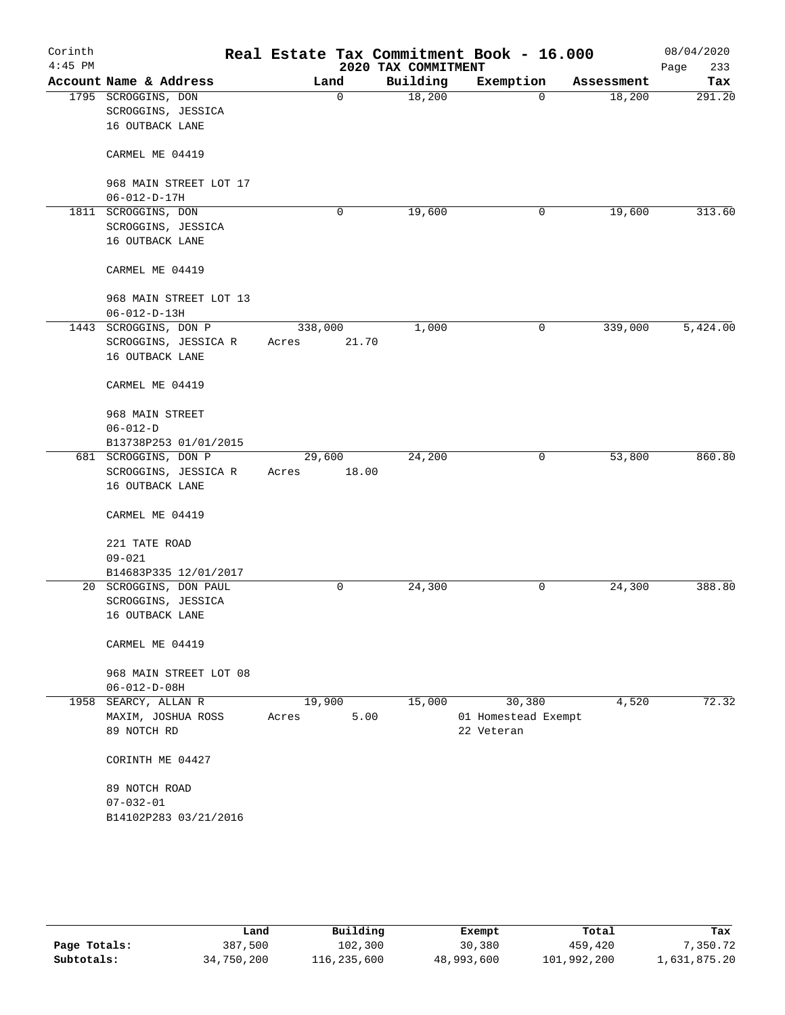| Corinth<br>$4:45$ PM |                                                              |         |       | 2020 TAX COMMITMENT | Real Estate Tax Commitment Book - 16.000 |            | 08/04/2020<br>Page<br>233 |
|----------------------|--------------------------------------------------------------|---------|-------|---------------------|------------------------------------------|------------|---------------------------|
|                      | Account Name & Address                                       | Land    |       | Building            | Exemption                                | Assessment | Tax                       |
|                      | 1795 SCROGGINS, DON<br>SCROGGINS, JESSICA<br>16 OUTBACK LANE |         | 0     | 18,200              | 0                                        | 18,200     | 291.20                    |
|                      | CARMEL ME 04419                                              |         |       |                     |                                          |            |                           |
|                      | 968 MAIN STREET LOT 17<br>$06 - 012 - D - 17H$               |         |       |                     |                                          |            |                           |
|                      | 1811 SCROGGINS, DON                                          |         | 0     | 19,600              | 0                                        | 19,600     | 313.60                    |
|                      | SCROGGINS, JESSICA<br>16 OUTBACK LANE                        |         |       |                     |                                          |            |                           |
|                      | CARMEL ME 04419                                              |         |       |                     |                                          |            |                           |
|                      | 968 MAIN STREET LOT 13<br>$06 - 012 - D - 13H$               |         |       |                     |                                          |            |                           |
|                      | 1443 SCROGGINS, DON P                                        | 338,000 |       | 1,000               | 0                                        | 339,000    | 5,424.00                  |
|                      | SCROGGINS, JESSICA R<br>16 OUTBACK LANE                      | Acres   | 21.70 |                     |                                          |            |                           |
|                      | CARMEL ME 04419                                              |         |       |                     |                                          |            |                           |
|                      | 968 MAIN STREET                                              |         |       |                     |                                          |            |                           |
|                      | $06 - 012 - D$                                               |         |       |                     |                                          |            |                           |
|                      | B13738P253 01/01/2015                                        |         |       |                     |                                          |            |                           |
|                      | 681 SCROGGINS, DON P                                         | 29,600  |       | 24,200              | 0                                        | 53,800     | 860.80                    |
|                      | SCROGGINS, JESSICA R<br>16 OUTBACK LANE                      | Acres   | 18.00 |                     |                                          |            |                           |
|                      | CARMEL ME 04419                                              |         |       |                     |                                          |            |                           |
|                      | 221 TATE ROAD                                                |         |       |                     |                                          |            |                           |
|                      | $09 - 021$                                                   |         |       |                     |                                          |            |                           |
|                      | B14683P335 12/01/2017                                        |         |       |                     |                                          |            |                           |
|                      | 20 SCROGGINS, DON PAUL                                       |         | 0     | 24,300              | 0                                        | 24,300     | 388.80                    |
|                      | SCROGGINS, JESSICA                                           |         |       |                     |                                          |            |                           |
|                      | 16 OUTBACK LANE                                              |         |       |                     |                                          |            |                           |
|                      | CARMEL ME 04419                                              |         |       |                     |                                          |            |                           |
|                      | 968 MAIN STREET LOT 08<br>$06 - 012 - D - 08H$               |         |       |                     |                                          |            |                           |
|                      | 1958 SEARCY, ALLAN R                                         | 19,900  |       | 15,000              | 30,380                                   | 4,520      | 72.32                     |
|                      | MAXIM, JOSHUA ROSS                                           | Acres   | 5.00  |                     | 01 Homestead Exempt                      |            |                           |
|                      | 89 NOTCH RD                                                  |         |       |                     | 22 Veteran                               |            |                           |
|                      | CORINTH ME 04427                                             |         |       |                     |                                          |            |                           |
|                      | 89 NOTCH ROAD                                                |         |       |                     |                                          |            |                           |
|                      | $07 - 032 - 01$                                              |         |       |                     |                                          |            |                           |
|                      | B14102P283 03/21/2016                                        |         |       |                     |                                          |            |                           |
|                      |                                                              |         |       |                     |                                          |            |                           |

|              | Land       | Building    | Exempt     | Total       | Tax          |
|--------------|------------|-------------|------------|-------------|--------------|
| Page Totals: | 387,500    | 102,300     | 30,380     | 459,420     | 7,350.72     |
| Subtotals:   | 34,750,200 | 116,235,600 | 48,993,600 | 101,992,200 | 1,631,875.20 |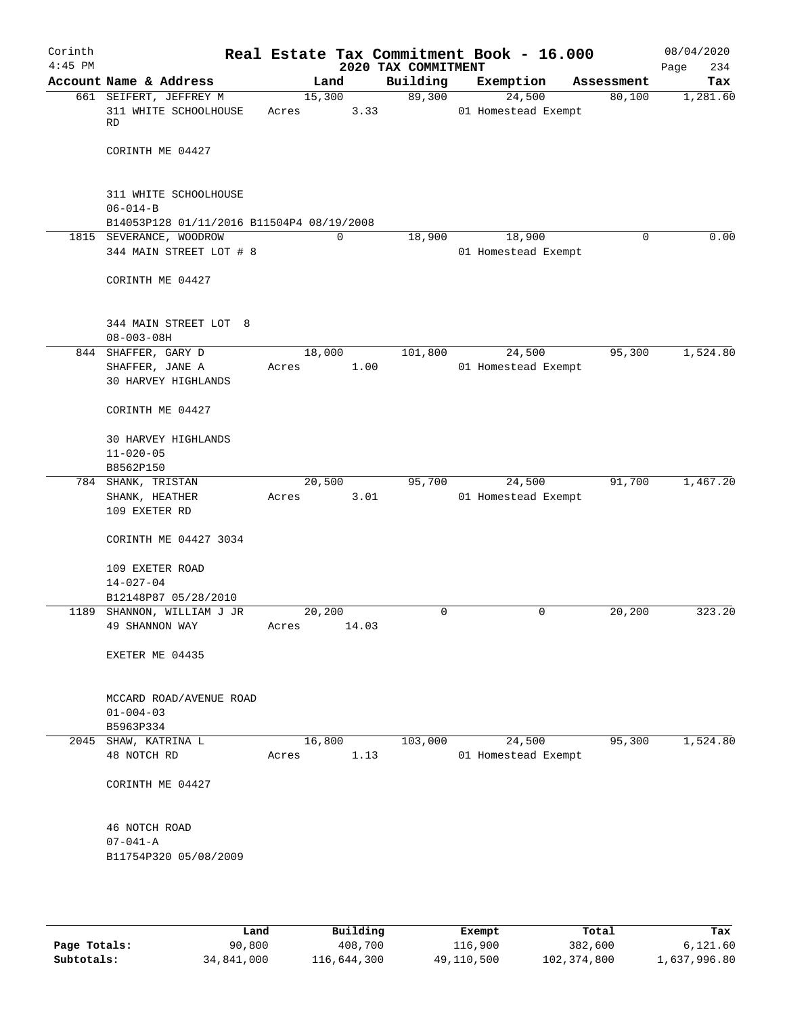| Corinth<br>$4:45$ PM |                                                                      |       |        |             | 2020 TAX COMMITMENT | Real Estate Tax Commitment Book - 16.000 |            | 08/04/2020<br>234<br>Page |
|----------------------|----------------------------------------------------------------------|-------|--------|-------------|---------------------|------------------------------------------|------------|---------------------------|
|                      | Account Name & Address                                               |       | Land   |             | Building            | Exemption                                | Assessment | Tax                       |
|                      | 661 SEIFERT, JEFFREY M<br>311 WHITE SCHOOLHOUSE<br>RD                | Acres | 15,300 | 3.33        | 89,300              | 24,500<br>01 Homestead Exempt            | 80,100     | 1,281.60                  |
|                      | CORINTH ME 04427                                                     |       |        |             |                     |                                          |            |                           |
|                      | 311 WHITE SCHOOLHOUSE<br>$06 - 014 - B$                              |       |        |             |                     |                                          |            |                           |
|                      | B14053P128 01/11/2016 B11504P4 08/19/2008<br>1815 SEVERANCE, WOODROW |       |        | $\mathbf 0$ | 18,900              | 18,900                                   | 0          | 0.00                      |
|                      | 344 MAIN STREET LOT # 8                                              |       |        |             |                     | 01 Homestead Exempt                      |            |                           |
|                      | CORINTH ME 04427                                                     |       |        |             |                     |                                          |            |                           |
|                      | 344 MAIN STREET LOT 8<br>$08 - 003 - 08H$                            |       |        |             |                     |                                          |            |                           |
|                      | 844 SHAFFER, GARY D                                                  |       | 18,000 |             | 101,800             | 24,500                                   | 95,300     | 1,524.80                  |
|                      | SHAFFER, JANE A<br>30 HARVEY HIGHLANDS                               | Acres |        | 1.00        |                     | 01 Homestead Exempt                      |            |                           |
|                      | CORINTH ME 04427                                                     |       |        |             |                     |                                          |            |                           |
|                      | 30 HARVEY HIGHLANDS<br>$11 - 020 - 05$                               |       |        |             |                     |                                          |            |                           |
|                      | B8562P150                                                            |       |        |             |                     |                                          |            |                           |
|                      | 784 SHANK, TRISTAN                                                   |       | 20,500 |             | 95,700              | 24,500                                   | 91,700     | 1,467.20                  |
|                      | SHANK, HEATHER<br>109 EXETER RD                                      | Acres |        | 3.01        |                     | 01 Homestead Exempt                      |            |                           |
|                      | CORINTH ME 04427 3034                                                |       |        |             |                     |                                          |            |                           |
|                      | 109 EXETER ROAD<br>$14 - 027 - 04$                                   |       |        |             |                     |                                          |            |                           |
|                      | B12148P87 05/28/2010                                                 |       |        |             |                     |                                          |            |                           |
|                      | 1189 SHANNON, WILLIAM J JR<br>49 SHANNON WAY                         | Acres | 20,200 | 14.03       | 0                   | 0                                        | 20,200     | 323.20                    |
|                      | EXETER ME 04435                                                      |       |        |             |                     |                                          |            |                           |
|                      | MCCARD ROAD/AVENUE ROAD<br>$01 - 004 - 03$                           |       |        |             |                     |                                          |            |                           |
|                      | B5963P334                                                            |       |        |             |                     |                                          |            |                           |
|                      | 2045 SHAW, KATRINA L                                                 |       | 16,800 |             | 103,000             | 24,500                                   | 95,300     | 1,524.80                  |
|                      | 48 NOTCH RD                                                          | Acres |        | 1.13        |                     | 01 Homestead Exempt                      |            |                           |
|                      | CORINTH ME 04427                                                     |       |        |             |                     |                                          |            |                           |
|                      | 46 NOTCH ROAD                                                        |       |        |             |                     |                                          |            |                           |
|                      | $07 - 041 - A$<br>B11754P320 05/08/2009                              |       |        |             |                     |                                          |            |                           |
|                      |                                                                      |       |        |             |                     |                                          |            |                           |

|              | Land       | Building    | Exempt     | Total       | Tax          |
|--------------|------------|-------------|------------|-------------|--------------|
| Page Totals: | 90,800     | 408,700     | 116,900    | 382,600     | 6,121.60     |
| Subtotals:   | 34,841,000 | 116,644,300 | 49,110,500 | 102,374,800 | 1,637,996.80 |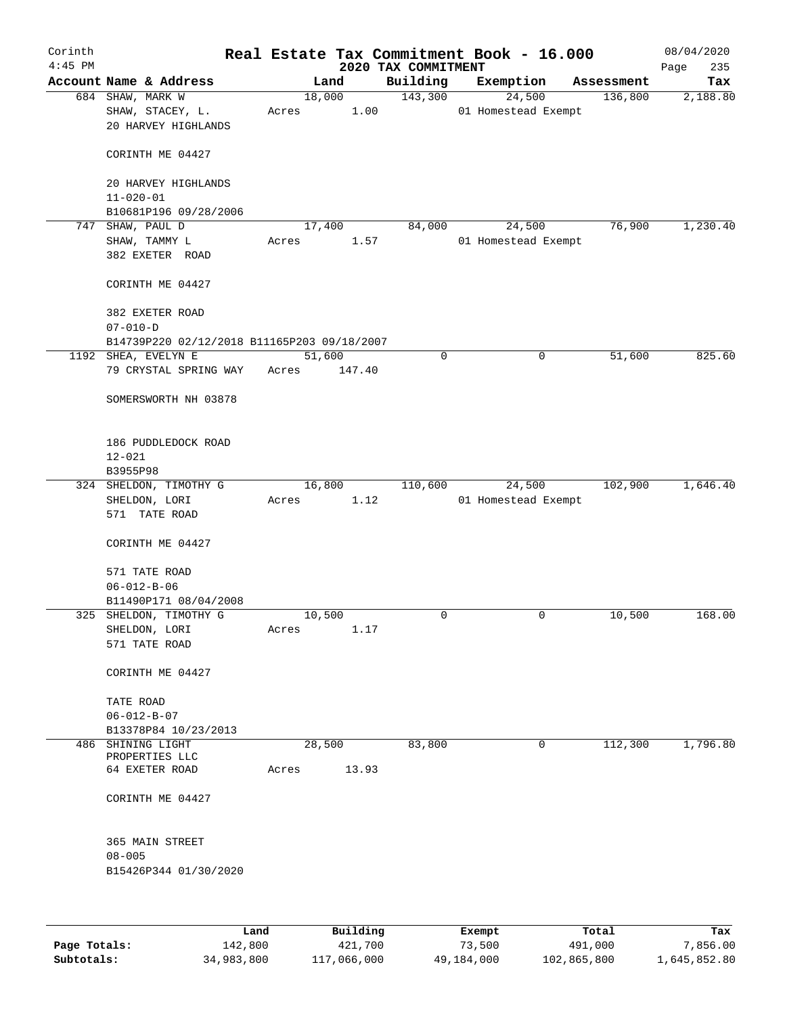| Corinth   |                                             |       |                |                     | Real Estate Tax Commitment Book - 16.000 |                       | 08/04/2020      |
|-----------|---------------------------------------------|-------|----------------|---------------------|------------------------------------------|-----------------------|-----------------|
| $4:45$ PM |                                             |       |                | 2020 TAX COMMITMENT |                                          |                       | 235<br>Page     |
|           | Account Name & Address<br>684 SHAW, MARK W  |       | Land<br>18,000 | Building<br>143,300 | Exemption<br>24,500                      | Assessment<br>136,800 | Tax<br>2,188.80 |
|           | SHAW, STACEY, L.<br>20 HARVEY HIGHLANDS     | Acres | 1.00           |                     | 01 Homestead Exempt                      |                       |                 |
|           | CORINTH ME 04427                            |       |                |                     |                                          |                       |                 |
|           | 20 HARVEY HIGHLANDS<br>$11 - 020 - 01$      |       |                |                     |                                          |                       |                 |
|           | B10681P196 09/28/2006                       |       |                |                     |                                          |                       |                 |
|           | 747 SHAW, PAUL D                            |       | 17,400         | 84,000              | 24,500                                   | 76,900                | 1,230.40        |
|           | SHAW, TAMMY L<br>382 EXETER ROAD            | Acres | 1.57           |                     | 01 Homestead Exempt                      |                       |                 |
|           | CORINTH ME 04427                            |       |                |                     |                                          |                       |                 |
|           | 382 EXETER ROAD<br>$07 - 010 - D$           |       |                |                     |                                          |                       |                 |
|           | B14739P220 02/12/2018 B11165P203 09/18/2007 |       |                |                     |                                          |                       |                 |
|           | 1192 SHEA, EVELYN E                         |       | 51,600         | $\mathbf 0$         | $\mathbf 0$                              | 51,600                | 825.60          |
|           | 79 CRYSTAL SPRING WAY                       | Acres | 147.40         |                     |                                          |                       |                 |
|           | SOMERSWORTH NH 03878                        |       |                |                     |                                          |                       |                 |
|           | 186 PUDDLEDOCK ROAD                         |       |                |                     |                                          |                       |                 |
|           | $12 - 021$                                  |       |                |                     |                                          |                       |                 |
|           | B3955P98<br>324 SHELDON, TIMOTHY G          |       | 16,800         | 110,600             | 24,500                                   | 102,900               | 1,646.40        |
|           | SHELDON, LORI                               | Acres | 1.12           |                     | 01 Homestead Exempt                      |                       |                 |
|           | 571 TATE ROAD                               |       |                |                     |                                          |                       |                 |
|           | CORINTH ME 04427                            |       |                |                     |                                          |                       |                 |
|           | 571 TATE ROAD                               |       |                |                     |                                          |                       |                 |
|           | $06 - 012 - B - 06$                         |       |                |                     |                                          |                       |                 |
|           | B11490P171 08/04/2008                       |       |                |                     |                                          |                       |                 |
|           | 325 SHELDON, TIMOTHY G                      |       | 10,500         | 0                   | 0                                        | 10,500                | 168.00          |
|           | SHELDON, LORI                               | Acres | 1.17           |                     |                                          |                       |                 |
|           | 571 TATE ROAD                               |       |                |                     |                                          |                       |                 |
|           | CORINTH ME 04427                            |       |                |                     |                                          |                       |                 |
|           | TATE ROAD                                   |       |                |                     |                                          |                       |                 |
|           | $06 - 012 - B - 07$                         |       |                |                     |                                          |                       |                 |
|           | B13378P84 10/23/2013                        |       |                |                     |                                          |                       |                 |
|           | 486 SHINING LIGHT<br>PROPERTIES LLC         |       | 28,500         | 83,800              | 0                                        | 112,300               | 1,796.80        |
|           | 64 EXETER ROAD                              | Acres | 13.93          |                     |                                          |                       |                 |
|           | CORINTH ME 04427                            |       |                |                     |                                          |                       |                 |
|           | 365 MAIN STREET                             |       |                |                     |                                          |                       |                 |
|           | $08 - 005$                                  |       |                |                     |                                          |                       |                 |
|           | B15426P344 01/30/2020                       |       |                |                     |                                          |                       |                 |
|           |                                             |       |                |                     |                                          |                       |                 |
|           |                                             |       | 1.11111        |                     |                                          | $m + -1$              | m.,             |

|              | Land       | Building    | Exempt     | Total       | Tax          |
|--------------|------------|-------------|------------|-------------|--------------|
| Page Totals: | 142,800    | 421,700     | 73,500     | 491,000     | 7,856.00     |
| Subtotals:   | 34,983,800 | 117,066,000 | 49,184,000 | 102,865,800 | 1,645,852.80 |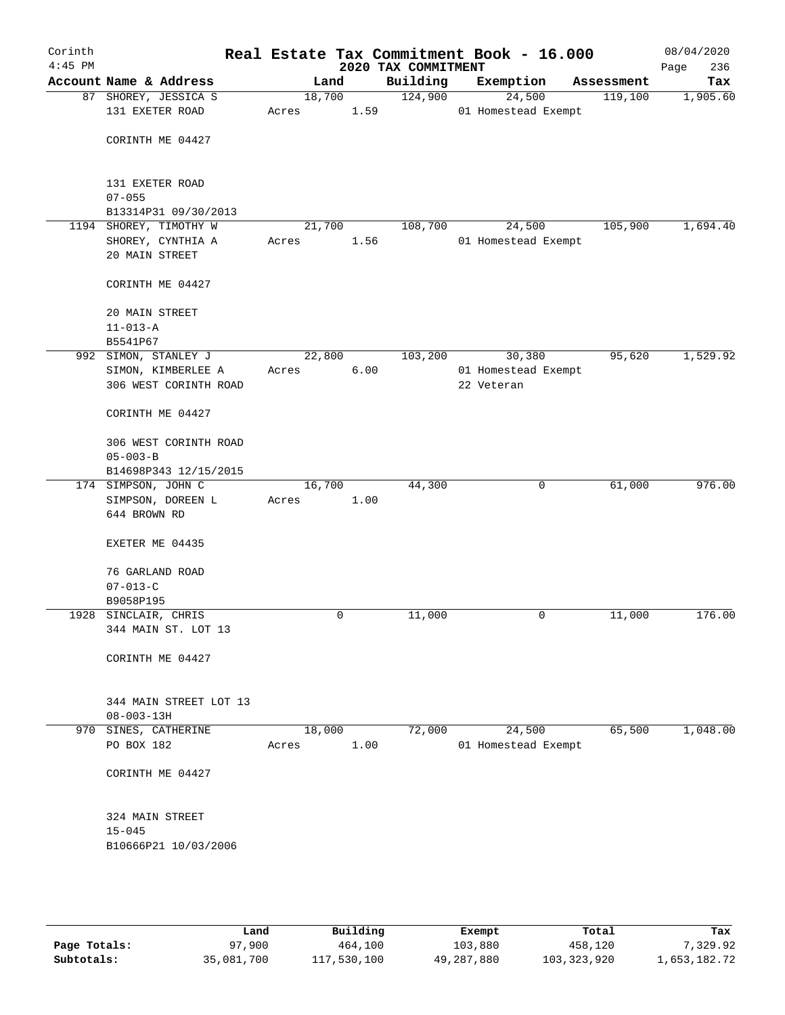| Corinth<br>$4:45$ PM |                                             |                 |                | 2020 TAX COMMITMENT | Real Estate Tax Commitment Book - 16.000 |   |            | 08/04/2020<br>236<br>Page |
|----------------------|---------------------------------------------|-----------------|----------------|---------------------|------------------------------------------|---|------------|---------------------------|
|                      | Account Name & Address                      |                 | Land           | Building            | Exemption                                |   | Assessment | Tax                       |
|                      | 87 SHOREY, JESSICA S<br>131 EXETER ROAD     | 18,700<br>Acres | 1.59           | 124,900             | 24,500<br>01 Homestead Exempt            |   | 119,100    | 1,905.60                  |
|                      | CORINTH ME 04427                            |                 |                |                     |                                          |   |            |                           |
|                      | 131 EXETER ROAD<br>$07 - 055$               |                 |                |                     |                                          |   |            |                           |
|                      | B13314P31 09/30/2013                        |                 |                |                     |                                          |   |            |                           |
|                      | 1194 SHOREY, TIMOTHY W<br>SHOREY, CYNTHIA A | Acres           | 21,700<br>1.56 | 108,700             | 24,500<br>01 Homestead Exempt            |   | 105,900    | 1,694.40                  |
|                      | 20 MAIN STREET                              |                 |                |                     |                                          |   |            |                           |
|                      | CORINTH ME 04427                            |                 |                |                     |                                          |   |            |                           |
|                      | 20 MAIN STREET<br>$11 - 013 - A$            |                 |                |                     |                                          |   |            |                           |
|                      | B5541P67                                    |                 |                |                     |                                          |   |            |                           |
|                      | 992 SIMON, STANLEY J                        | 22,800          |                | 103,200             | 30,380                                   |   | 95,620     | 1,529.92                  |
|                      | SIMON, KIMBERLEE A                          | Acres           | 6.00           |                     | 01 Homestead Exempt                      |   |            |                           |
|                      | 306 WEST CORINTH ROAD                       |                 |                |                     | 22 Veteran                               |   |            |                           |
|                      | CORINTH ME 04427                            |                 |                |                     |                                          |   |            |                           |
|                      | 306 WEST CORINTH ROAD                       |                 |                |                     |                                          |   |            |                           |
|                      | $05 - 003 - B$                              |                 |                |                     |                                          |   |            |                           |
|                      | B14698P343 12/15/2015                       |                 |                |                     |                                          |   |            |                           |
|                      | 174 SIMPSON, JOHN C                         | 16,700          |                | 44,300              |                                          | 0 | 61,000     | 976.00                    |
|                      | SIMPSON, DOREEN L<br>644 BROWN RD           | Acres           | 1.00           |                     |                                          |   |            |                           |
|                      | EXETER ME 04435                             |                 |                |                     |                                          |   |            |                           |
|                      | 76 GARLAND ROAD                             |                 |                |                     |                                          |   |            |                           |
|                      | $07 - 013 - C$                              |                 |                |                     |                                          |   |            |                           |
|                      | B9058P195                                   |                 |                |                     |                                          |   |            |                           |
|                      | 1928 SINCLAIR, CHRIS<br>344 MAIN ST. LOT 13 |                 | 0              | 11,000              |                                          | 0 | 11,000     | 176.00                    |
|                      | CORINTH ME 04427                            |                 |                |                     |                                          |   |            |                           |
|                      | 344 MAIN STREET LOT 13<br>$08 - 003 - 13H$  |                 |                |                     |                                          |   |            |                           |
|                      | 970 SINES, CATHERINE                        | 18,000          |                | 72,000              | 24,500                                   |   | 65,500     | 1,048.00                  |
|                      | PO BOX 182                                  | Acres           | 1.00           |                     | 01 Homestead Exempt                      |   |            |                           |
|                      | CORINTH ME 04427                            |                 |                |                     |                                          |   |            |                           |
|                      | 324 MAIN STREET                             |                 |                |                     |                                          |   |            |                           |
|                      | $15 - 045$                                  |                 |                |                     |                                          |   |            |                           |
|                      | B10666P21 10/03/2006                        |                 |                |                     |                                          |   |            |                           |
|                      |                                             |                 |                |                     |                                          |   |            |                           |
|                      |                                             |                 |                |                     |                                          |   |            |                           |
|                      |                                             |                 |                |                     |                                          |   |            |                           |

|              | Land       | Building    | Exempt     | Total       | Tax          |
|--------------|------------|-------------|------------|-------------|--------------|
| Page Totals: | 97,900     | 464,100     | 103,880    | 458,120     | 7,329.92     |
| Subtotals:   | 35,081,700 | 117,530,100 | 49,287,880 | 103,323,920 | 1,653,182.72 |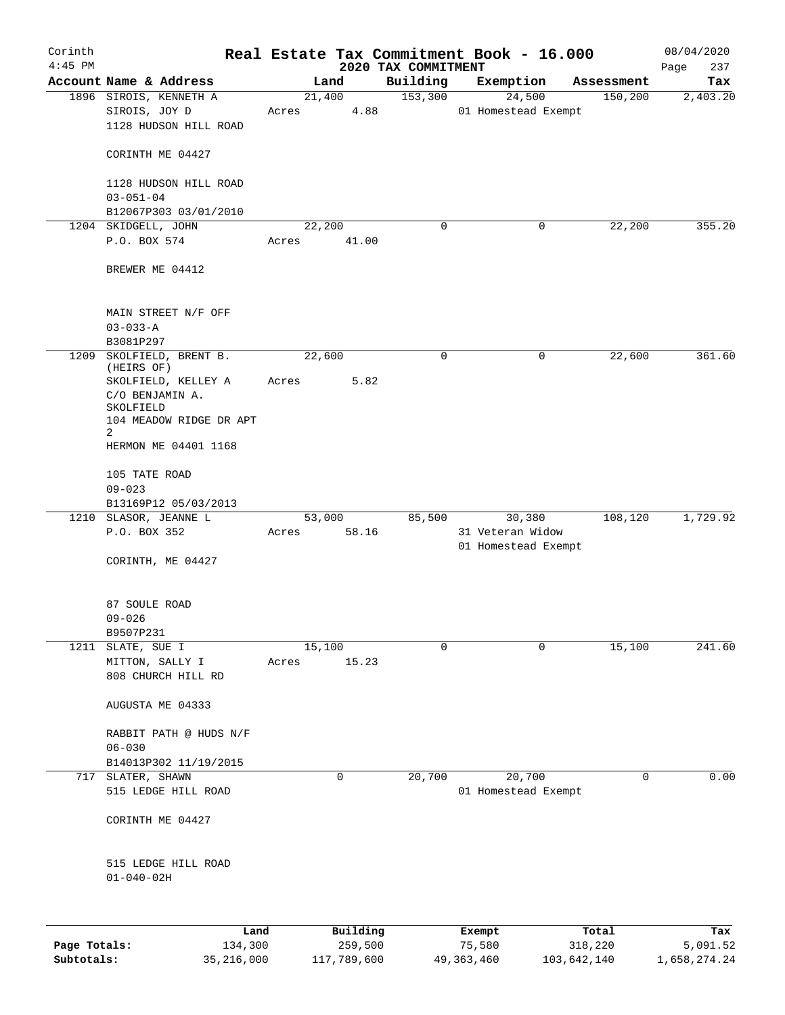| Corinth<br>$4:45$ PM |                                          |       |          | 2020 TAX COMMITMENT | Real Estate Tax Commitment Book - 16.000 |            | 08/04/2020<br>237<br>Page |
|----------------------|------------------------------------------|-------|----------|---------------------|------------------------------------------|------------|---------------------------|
|                      | Account Name & Address                   |       | Land     | Building            | Exemption                                | Assessment | Tax                       |
|                      | 1896 SIROIS, KENNETH A                   |       | 21,400   | 153,300             | 24,500                                   | 150, 200   | 2,403.20                  |
|                      | SIROIS, JOY D<br>1128 HUDSON HILL ROAD   | Acres | 4.88     |                     | 01 Homestead Exempt                      |            |                           |
|                      | CORINTH ME 04427                         |       |          |                     |                                          |            |                           |
|                      | 1128 HUDSON HILL ROAD<br>$03 - 051 - 04$ |       |          |                     |                                          |            |                           |
|                      | B12067P303 03/01/2010                    |       |          |                     |                                          |            |                           |
|                      | 1204 SKIDGELL, JOHN                      |       | 22,200   | 0                   | 0                                        | 22,200     | 355.20                    |
|                      | P.O. BOX 574                             | Acres | 41.00    |                     |                                          |            |                           |
|                      | BREWER ME 04412                          |       |          |                     |                                          |            |                           |
|                      | MAIN STREET N/F OFF<br>$03 - 033 - A$    |       |          |                     |                                          |            |                           |
|                      | B3081P297                                |       |          |                     |                                          |            |                           |
| 1209                 | SKOLFIELD, BRENT B.                      |       | 22,600   | 0                   | 0                                        | 22,600     | 361.60                    |
|                      | (HEIRS OF)<br>SKOLFIELD, KELLEY A        | Acres | 5.82     |                     |                                          |            |                           |
|                      | C/O BENJAMIN A.                          |       |          |                     |                                          |            |                           |
|                      | SKOLFIELD                                |       |          |                     |                                          |            |                           |
|                      | 104 MEADOW RIDGE DR APT                  |       |          |                     |                                          |            |                           |
|                      | 2<br>HERMON ME 04401 1168                |       |          |                     |                                          |            |                           |
|                      |                                          |       |          |                     |                                          |            |                           |
|                      | 105 TATE ROAD<br>$09 - 023$              |       |          |                     |                                          |            |                           |
|                      | B13169P12 05/03/2013                     |       |          |                     |                                          |            |                           |
|                      | 1210 SLASOR, JEANNE L                    |       | 53,000   | 85,500              | 30,380                                   | 108,120    | 1,729.92                  |
|                      | P.O. BOX 352                             | Acres | 58.16    |                     | 31 Veteran Widow<br>01 Homestead Exempt  |            |                           |
|                      | CORINTH, ME 04427                        |       |          |                     |                                          |            |                           |
|                      | 87 SOULE ROAD                            |       |          |                     |                                          |            |                           |
|                      | $09 - 026$                               |       |          |                     |                                          |            |                           |
|                      | B9507P231                                |       |          |                     |                                          |            |                           |
|                      | 1211 SLATE, SUE I                        |       | 15,100   | $\Omega$            | 0                                        | 15,100     | 241.60                    |
|                      | MITTON, SALLY I<br>808 CHURCH HILL RD    | Acres | 15.23    |                     |                                          |            |                           |
|                      |                                          |       |          |                     |                                          |            |                           |
|                      | AUGUSTA ME 04333                         |       |          |                     |                                          |            |                           |
|                      | RABBIT PATH @ HUDS N/F                   |       |          |                     |                                          |            |                           |
|                      | $06 - 030$                               |       |          |                     |                                          |            |                           |
|                      | B14013P302 11/19/2015                    |       |          |                     |                                          |            |                           |
|                      | 717 SLATER, SHAWN                        |       | 0        | 20,700              | 20,700                                   | 0          | 0.00                      |
|                      | 515 LEDGE HILL ROAD                      |       |          |                     | 01 Homestead Exempt                      |            |                           |
|                      | CORINTH ME 04427                         |       |          |                     |                                          |            |                           |
|                      | 515 LEDGE HILL ROAD<br>$01 - 040 - 02H$  |       |          |                     |                                          |            |                           |
|                      |                                          |       |          |                     |                                          |            |                           |
|                      | Land                                     |       | Building |                     | Exempt                                   | Total      | Tax                       |
| Page Totals:         | 134,300                                  |       | 259,500  |                     | 75,580                                   | 318,220    | 5,091.52                  |

**Subtotals:** 35,216,000 117,789,600 49,363,460 103,642,140 1,658,274.24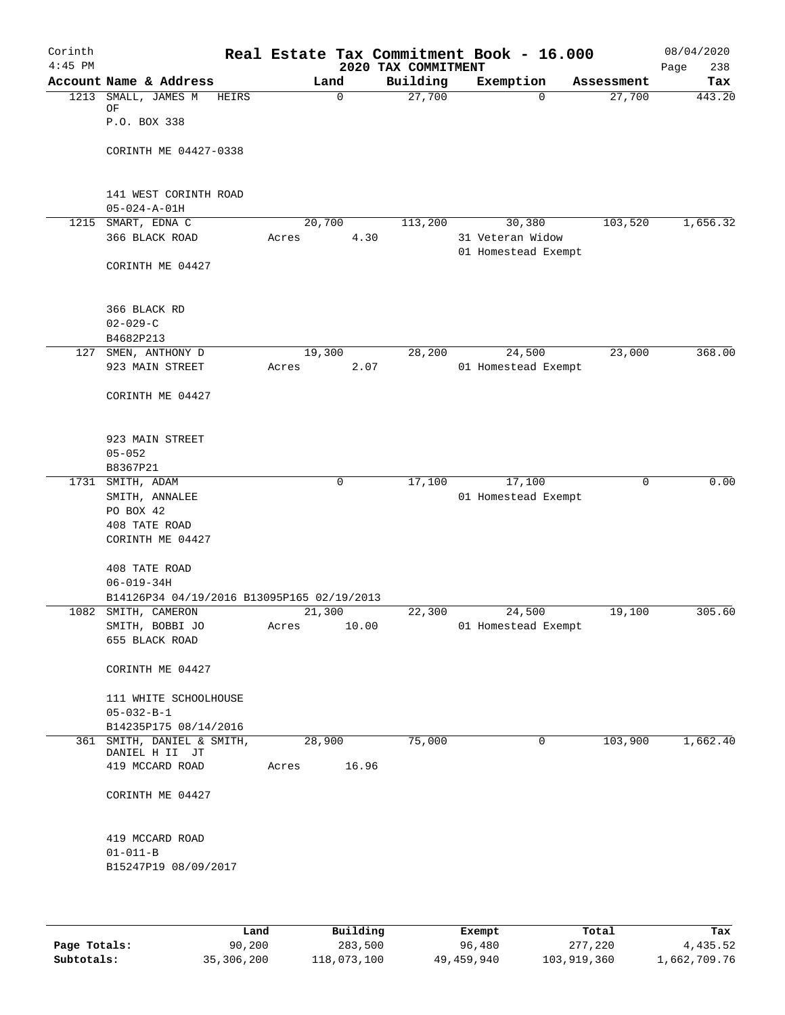| Corinth<br>$4:45$ PM |                                               |       |             | 2020 TAX COMMITMENT | Real Estate Tax Commitment Book - 16.000 |            | 08/04/2020<br>238<br>Page |
|----------------------|-----------------------------------------------|-------|-------------|---------------------|------------------------------------------|------------|---------------------------|
|                      | Account Name & Address                        |       | Land        | Building            | Exemption                                | Assessment | Tax                       |
|                      | 1213 SMALL, JAMES M<br>HEIRS<br>ΟF            |       | $\mathbf 0$ | 27,700              | $\Omega$                                 | 27,700     | 443.20                    |
|                      | P.O. BOX 338                                  |       |             |                     |                                          |            |                           |
|                      | CORINTH ME 04427-0338                         |       |             |                     |                                          |            |                           |
|                      | 141 WEST CORINTH ROAD<br>$05 - 024 - A - 01H$ |       |             |                     |                                          |            |                           |
|                      | 1215 SMART, EDNA C                            |       | 20,700      | 113,200             | 30,380                                   | 103,520    | 1,656.32                  |
|                      | 366 BLACK ROAD                                | Acres | 4.30        |                     | 31 Veteran Widow<br>01 Homestead Exempt  |            |                           |
|                      | CORINTH ME 04427                              |       |             |                     |                                          |            |                           |
|                      | 366 BLACK RD<br>$02 - 029 - C$                |       |             |                     |                                          |            |                           |
|                      | B4682P213                                     |       |             |                     |                                          |            |                           |
|                      | 127 SMEN, ANTHONY D                           |       | 19,300      | 28,200              | 24,500                                   | 23,000     | 368.00                    |
|                      | 923 MAIN STREET                               | Acres | 2.07        |                     | 01 Homestead Exempt                      |            |                           |
|                      | CORINTH ME 04427                              |       |             |                     |                                          |            |                           |
|                      | 923 MAIN STREET                               |       |             |                     |                                          |            |                           |
|                      | $05 - 052$                                    |       |             |                     |                                          |            |                           |
|                      | B8367P21<br>1731 SMITH, ADAM                  |       | 0           | 17,100              | 17,100                                   | 0          | 0.00                      |
|                      | SMITH, ANNALEE                                |       |             |                     |                                          |            |                           |
|                      | PO BOX 42                                     |       |             |                     | 01 Homestead Exempt                      |            |                           |
|                      | 408 TATE ROAD                                 |       |             |                     |                                          |            |                           |
|                      | CORINTH ME 04427                              |       |             |                     |                                          |            |                           |
|                      | 408 TATE ROAD                                 |       |             |                     |                                          |            |                           |
|                      | $06 - 019 - 34H$                              |       |             |                     |                                          |            |                           |
|                      | B14126P34 04/19/2016 B13095P165 02/19/2013    |       |             |                     |                                          |            |                           |
|                      | 1082 SMITH, CAMERON                           |       | 21,300      | 22,300              | 24,500                                   | 19,100     | 305.60                    |
|                      | SMITH, BOBBI JO                               | Acres | 10.00       |                     | 01 Homestead Exempt                      |            |                           |
|                      | 655 BLACK ROAD                                |       |             |                     |                                          |            |                           |
|                      | CORINTH ME 04427                              |       |             |                     |                                          |            |                           |
|                      | 111 WHITE SCHOOLHOUSE                         |       |             |                     |                                          |            |                           |
|                      | $05 - 032 - B - 1$                            |       |             |                     |                                          |            |                           |
|                      | B14235P175 08/14/2016                         |       |             |                     |                                          |            |                           |
| 361                  | SMITH, DANIEL & SMITH,                        |       | 28,900      | 75,000              | 0                                        | 103,900    | 1,662.40                  |
|                      | DANIEL H II JT                                |       |             |                     |                                          |            |                           |
|                      | 419 MCCARD ROAD                               | Acres | 16.96       |                     |                                          |            |                           |
|                      | CORINTH ME 04427                              |       |             |                     |                                          |            |                           |
|                      | 419 MCCARD ROAD                               |       |             |                     |                                          |            |                           |
|                      | $01 - 011 - B$                                |       |             |                     |                                          |            |                           |
|                      | B15247P19 08/09/2017                          |       |             |                     |                                          |            |                           |
|                      |                                               |       |             |                     |                                          |            |                           |

|              | Land       | Building    | Exempt     | Total       | Tax          |
|--------------|------------|-------------|------------|-------------|--------------|
| Page Totals: | 90,200     | 283,500     | 96,480     | 277,220     | 4,435.52     |
| Subtotals:   | 35,306,200 | 118,073,100 | 49,459,940 | 103,919,360 | l,662,709.76 |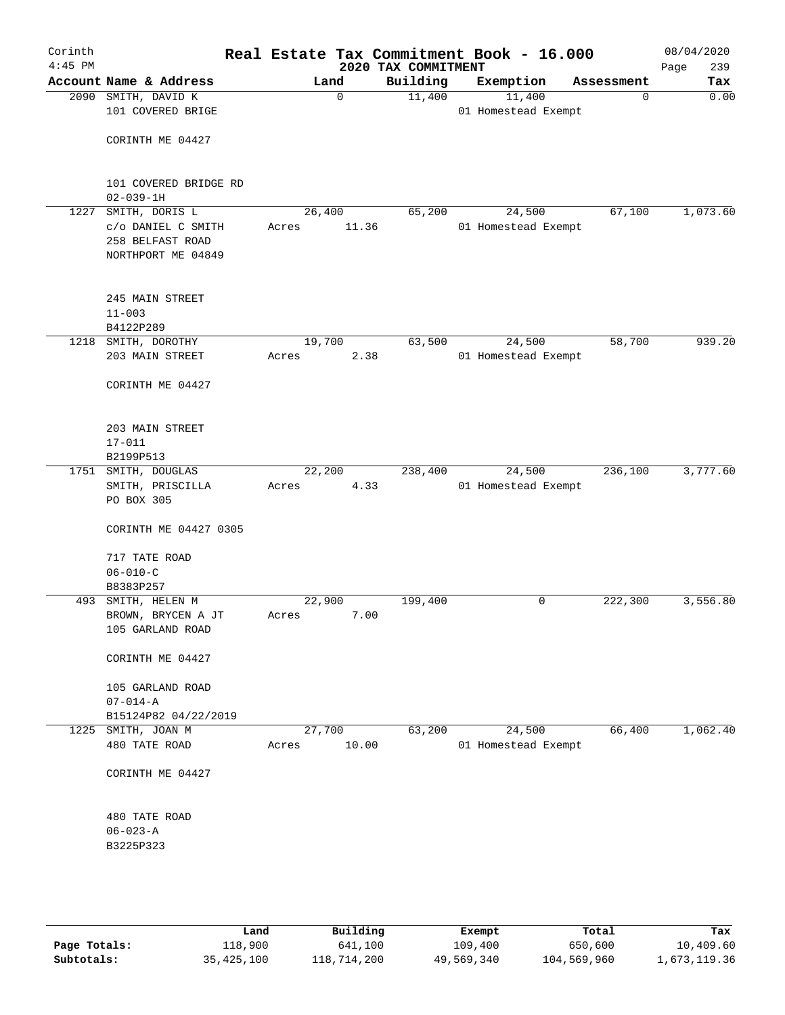| Corinth<br>$4:45$ PM |                                                                                |       |                 | 2020 TAX COMMITMENT | Real Estate Tax Commitment Book - 16.000 |             | 08/04/2020<br>Page<br>239 |
|----------------------|--------------------------------------------------------------------------------|-------|-----------------|---------------------|------------------------------------------|-------------|---------------------------|
|                      | Account Name & Address                                                         |       | Land            | Building            | Exemption                                | Assessment  | Tax                       |
|                      | 2090 SMITH, DAVID K<br>101 COVERED BRIGE                                       |       | $\mathbf 0$     | 11,400              | 11,400<br>01 Homestead Exempt            | $\mathbf 0$ | 0.00                      |
|                      | CORINTH ME 04427                                                               |       |                 |                     |                                          |             |                           |
|                      | 101 COVERED BRIDGE RD<br>$02 - 039 - 1H$                                       |       |                 |                     |                                          |             |                           |
| 1227                 | SMITH, DORIS L<br>c/o DANIEL C SMITH<br>258 BELFAST ROAD<br>NORTHPORT ME 04849 | Acres | 26,400<br>11.36 | 65,200              | 24,500<br>01 Homestead Exempt            | 67,100      | 1,073.60                  |
|                      | 245 MAIN STREET<br>$11 - 003$<br>B4122P289                                     |       |                 |                     |                                          |             |                           |
|                      | 1218 SMITH, DOROTHY                                                            |       | 19,700          | 63,500              | 24,500                                   | 58,700      | 939.20                    |
|                      | 203 MAIN STREET<br>CORINTH ME 04427                                            | Acres | 2.38            |                     | 01 Homestead Exempt                      |             |                           |
|                      | 203 MAIN STREET<br>$17 - 011$<br>B2199P513                                     |       |                 |                     |                                          |             |                           |
|                      | 1751 SMITH, DOUGLAS                                                            |       | 22,200          | 238,400             | 24,500                                   | 236,100     | 3,777.60                  |
|                      | SMITH, PRISCILLA<br>PO BOX 305                                                 | Acres | 4.33            |                     | 01 Homestead Exempt                      |             |                           |
|                      | CORINTH ME 04427 0305                                                          |       |                 |                     |                                          |             |                           |
|                      | 717 TATE ROAD<br>$06 - 010 - C$                                                |       |                 |                     |                                          |             |                           |
|                      | B8383P257                                                                      |       |                 |                     |                                          |             |                           |
| 493                  | SMITH, HELEN M                                                                 |       | 22,900          | 199,400             | 0                                        | 222,300     | 3,556.80                  |
|                      | BROWN, BRYCEN A JT<br>105 GARLAND ROAD                                         | Acres | 7.00            |                     |                                          |             |                           |
|                      | CORINTH ME 04427                                                               |       |                 |                     |                                          |             |                           |
|                      | 105 GARLAND ROAD<br>$07 - 014 - A$                                             |       |                 |                     |                                          |             |                           |
|                      | B15124P82 04/22/2019                                                           |       |                 |                     |                                          |             |                           |
|                      | 1225 SMITH, JOAN M<br>480 TATE ROAD                                            | Acres | 27,700<br>10.00 | 63,200              | 24,500<br>01 Homestead Exempt            | 66,400      | 1,062.40                  |
|                      | CORINTH ME 04427                                                               |       |                 |                     |                                          |             |                           |
|                      | 480 TATE ROAD<br>$06 - 023 - A$<br>B3225P323                                   |       |                 |                     |                                          |             |                           |
|                      |                                                                                |       |                 |                     |                                          |             |                           |

|              | Land         | Building    | Exempt     | Total       | Tax          |
|--------------|--------------|-------------|------------|-------------|--------------|
| Page Totals: | 118,900      | 641,100     | 109,400    | 650,600     | 10,409.60    |
| Subtotals:   | 35, 425, 100 | 118,714,200 | 49,569,340 | 104,569,960 | 1,673,119.36 |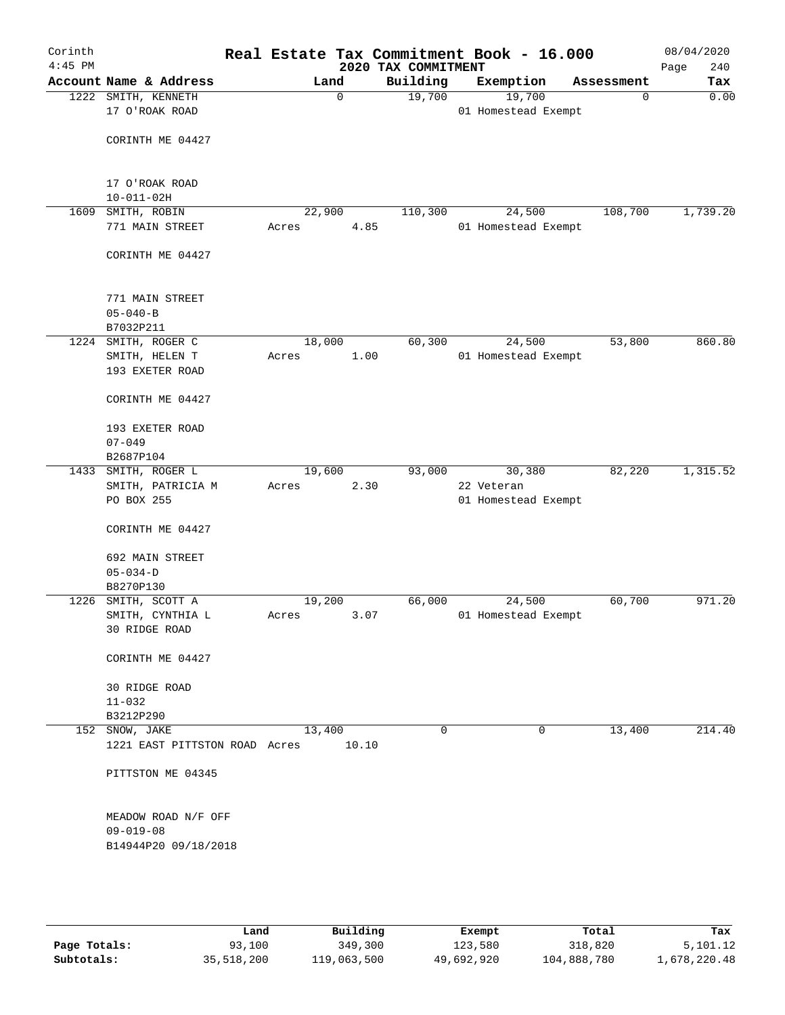| Corinth<br>$4:45$ PM |                                                 |      |        |             |       |                                 | Real Estate Tax Commitment Book - 16.000 |             | 08/04/2020         |
|----------------------|-------------------------------------------------|------|--------|-------------|-------|---------------------------------|------------------------------------------|-------------|--------------------|
|                      | Account Name & Address                          |      |        | Land        |       | 2020 TAX COMMITMENT<br>Building | Exemption                                | Assessment  | Page<br>240<br>Tax |
|                      | 1222 SMITH, KENNETH                             |      |        | $\mathbf 0$ |       | 19,700                          | 19,700                                   | $\mathbf 0$ | 0.00               |
|                      | 17 O'ROAK ROAD                                  |      |        |             |       |                                 | 01 Homestead Exempt                      |             |                    |
|                      | CORINTH ME 04427                                |      |        |             |       |                                 |                                          |             |                    |
|                      |                                                 |      |        |             |       |                                 |                                          |             |                    |
|                      | 17 O'ROAK ROAD<br>$10 - 011 - 02H$              |      |        |             |       |                                 |                                          |             |                    |
| 1609                 | SMITH, ROBIN                                    |      | 22,900 |             |       | 110,300                         | 24,500                                   | 108,700     | 1,739.20           |
|                      | 771 MAIN STREET                                 |      | Acres  |             | 4.85  |                                 | 01 Homestead Exempt                      |             |                    |
|                      | CORINTH ME 04427                                |      |        |             |       |                                 |                                          |             |                    |
|                      | 771 MAIN STREET                                 |      |        |             |       |                                 |                                          |             |                    |
|                      | $05 - 040 - B$                                  |      |        |             |       |                                 |                                          |             |                    |
|                      | B7032P211<br>1224 SMITH, ROGER C                |      | 18,000 |             |       | 60,300                          | 24,500                                   | 53,800      | 860.80             |
|                      | SMITH, HELEN T                                  |      | Acres  |             | 1.00  |                                 | 01 Homestead Exempt                      |             |                    |
|                      | 193 EXETER ROAD                                 |      |        |             |       |                                 |                                          |             |                    |
|                      | CORINTH ME 04427                                |      |        |             |       |                                 |                                          |             |                    |
|                      | 193 EXETER ROAD                                 |      |        |             |       |                                 |                                          |             |                    |
|                      | $07 - 049$                                      |      |        |             |       |                                 |                                          |             |                    |
|                      | B2687P104                                       |      |        |             |       |                                 |                                          |             |                    |
|                      | 1433 SMITH, ROGER L                             |      | 19,600 |             |       | 93,000                          | 30,380                                   | 82,220      | 1,315.52           |
|                      | SMITH, PATRICIA M<br>PO BOX 255                 |      | Acres  |             | 2.30  |                                 | 22 Veteran<br>01 Homestead Exempt        |             |                    |
|                      | CORINTH ME 04427                                |      |        |             |       |                                 |                                          |             |                    |
|                      | 692 MAIN STREET                                 |      |        |             |       |                                 |                                          |             |                    |
|                      | $05 - 034 - D$                                  |      |        |             |       |                                 |                                          |             |                    |
|                      | B8270P130                                       |      |        |             |       |                                 |                                          |             |                    |
|                      | 1226 SMITH, SCOTT A                             |      | 19,200 |             |       | 66,000                          | 24,500                                   | 60,700      | 971.20             |
|                      | SMITH, CYNTHIA L<br>30 RIDGE ROAD               |      | Acres  |             | 3.07  |                                 | 01 Homestead Exempt                      |             |                    |
|                      | CORINTH ME 04427                                |      |        |             |       |                                 |                                          |             |                    |
|                      | <b>30 RIDGE ROAD</b>                            |      |        |             |       |                                 |                                          |             |                    |
|                      | $11 - 032$                                      |      |        |             |       |                                 |                                          |             |                    |
|                      | B3212P290                                       |      |        |             |       |                                 |                                          |             |                    |
|                      | 152 SNOW, JAKE<br>1221 EAST PITTSTON ROAD Acres |      | 13,400 |             | 10.10 | $\mathbf 0$                     | 0                                        | 13,400      | 214.40             |
|                      | PITTSTON ME 04345                               |      |        |             |       |                                 |                                          |             |                    |
|                      |                                                 |      |        |             |       |                                 |                                          |             |                    |
|                      | MEADOW ROAD N/F OFF                             |      |        |             |       |                                 |                                          |             |                    |
|                      | $09 - 019 - 08$                                 |      |        |             |       |                                 |                                          |             |                    |
|                      | B14944P20 09/18/2018                            |      |        |             |       |                                 |                                          |             |                    |
|                      |                                                 |      |        |             |       |                                 |                                          |             |                    |
|                      |                                                 |      |        |             |       |                                 |                                          |             |                    |
|                      |                                                 | Land |        | Building    |       |                                 | <b>Ryomnt</b>                            | Total       | Tay                |

|              | Land       | Building    | Exempt     | Total       | Tax          |
|--------------|------------|-------------|------------|-------------|--------------|
| Page Totals: | 93,100     | 349,300     | 123,580    | 318,820     | 5,101.12     |
| Subtotals:   | 35,518,200 | 119,063,500 | 49,692,920 | 104,888,780 | 1,678,220.48 |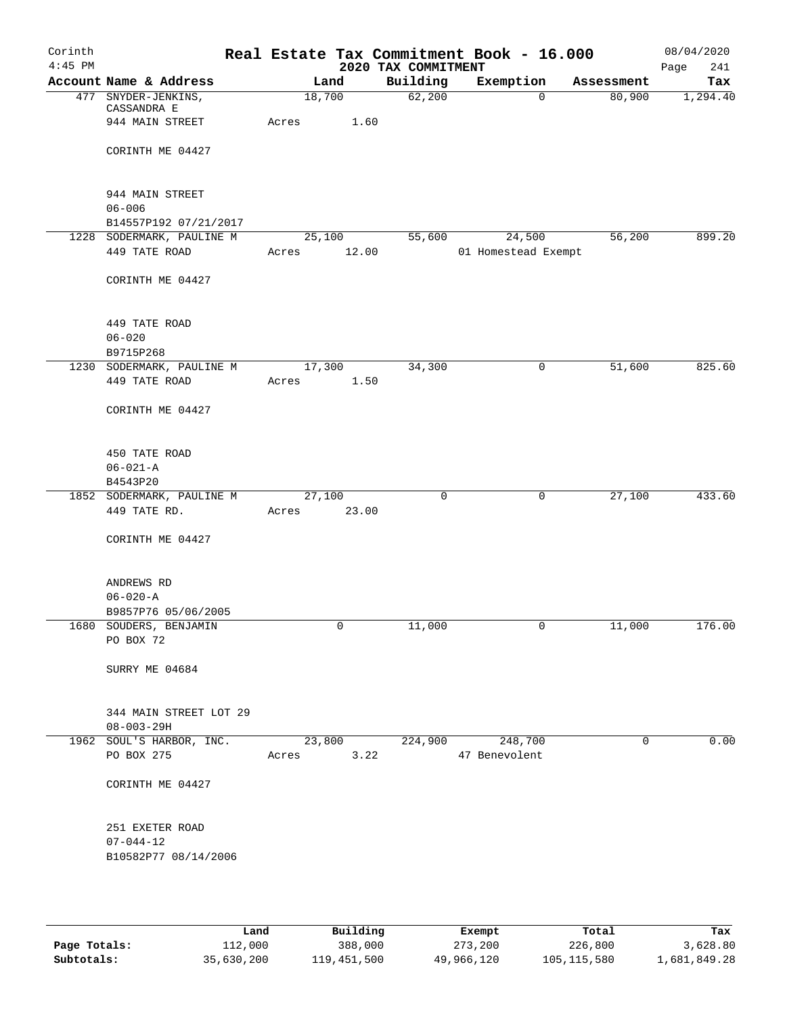| Corinth<br>$4:45$ PM |                                        |       |                      | 2020 TAX COMMITMENT | Real Estate Tax Commitment Book - 16.000 |                        | 08/04/2020<br>241<br>Page |
|----------------------|----------------------------------------|-------|----------------------|---------------------|------------------------------------------|------------------------|---------------------------|
|                      | Account Name & Address                 |       | Land                 | Building            | Exemption                                | Assessment             | Tax                       |
|                      | 477 SNYDER-JENKINS,                    |       | 18,700               | 62,200              |                                          | 80,900<br>$\Omega$     | 1,294.40                  |
|                      | CASSANDRA E<br>944 MAIN STREET         | Acres | 1.60                 |                     |                                          |                        |                           |
|                      |                                        |       |                      |                     |                                          |                        |                           |
|                      | CORINTH ME 04427                       |       |                      |                     |                                          |                        |                           |
|                      | 944 MAIN STREET                        |       |                      |                     |                                          |                        |                           |
|                      | $06 - 006$                             |       |                      |                     |                                          |                        |                           |
|                      | B14557P192 07/21/2017                  |       |                      |                     |                                          |                        |                           |
|                      | 1228 SODERMARK, PAULINE M              |       | 25,100               | 55,600              | 24,500                                   | 56,200                 | 899.20                    |
|                      | 449 TATE ROAD                          | Acres | 12.00                |                     | 01 Homestead Exempt                      |                        |                           |
|                      | CORINTH ME 04427                       |       |                      |                     |                                          |                        |                           |
|                      | 449 TATE ROAD                          |       |                      |                     |                                          |                        |                           |
|                      | $06 - 020$                             |       |                      |                     |                                          |                        |                           |
|                      | B9715P268                              |       |                      |                     |                                          |                        |                           |
|                      | 1230 SODERMARK, PAULINE M              |       | 17,300               | 34,300              |                                          | $\mathsf{O}$<br>51,600 | 825.60                    |
|                      | 449 TATE ROAD                          | Acres | 1.50                 |                     |                                          |                        |                           |
|                      | CORINTH ME 04427                       |       |                      |                     |                                          |                        |                           |
|                      | 450 TATE ROAD                          |       |                      |                     |                                          |                        |                           |
|                      | $06 - 021 - A$                         |       |                      |                     |                                          |                        |                           |
|                      | B4543P20                               |       |                      |                     |                                          |                        |                           |
|                      | 1852 SODERMARK, PAULINE M              |       | 27,100               | 0                   |                                          | 27,100<br>0            | 433.60                    |
|                      | 449 TATE RD.                           | Acres | 23.00                |                     |                                          |                        |                           |
|                      | CORINTH ME 04427                       |       |                      |                     |                                          |                        |                           |
|                      |                                        |       |                      |                     |                                          |                        |                           |
|                      | ANDREWS RD                             |       |                      |                     |                                          |                        |                           |
|                      | $06 - 020 - A$                         |       |                      |                     |                                          |                        |                           |
|                      | B9857P76 05/06/2005                    |       | 0                    |                     |                                          | $\overline{0}$         |                           |
|                      | 1680 SOUDERS, BENJAMIN<br>PO BOX 72    |       |                      | 11,000              |                                          | 11,000                 | 176.00                    |
|                      | SURRY ME 04684                         |       |                      |                     |                                          |                        |                           |
|                      | 344 MAIN STREET LOT 29                 |       |                      |                     |                                          |                        |                           |
|                      | $08 - 003 - 29H$                       |       |                      |                     |                                          |                        |                           |
|                      | 1962 SOUL'S HARBOR, INC.<br>PO BOX 275 |       | 23,800<br>Acres 3.22 |                     | 224,900 248,700<br>47 Benevolent         | $\mathbf{0}$           | 0.00                      |
|                      | CORINTH ME 04427                       |       |                      |                     |                                          |                        |                           |
|                      | 251 EXETER ROAD                        |       |                      |                     |                                          |                        |                           |
|                      | $07 - 044 - 12$                        |       |                      |                     |                                          |                        |                           |
|                      | B10582P77 08/14/2006                   |       |                      |                     |                                          |                        |                           |
|                      |                                        |       |                      |                     |                                          |                        |                           |
|                      |                                        |       |                      |                     |                                          |                        |                           |

|              | Land       | Building    | Exempt     | Total       | Tax          |
|--------------|------------|-------------|------------|-------------|--------------|
| Page Totals: | 112,000    | 388,000     | 273,200    | 226,800     | 3,628.80     |
| Subtotals:   | 35,630,200 | 119,451,500 | 49,966,120 | 105,115,580 | l,681,849.28 |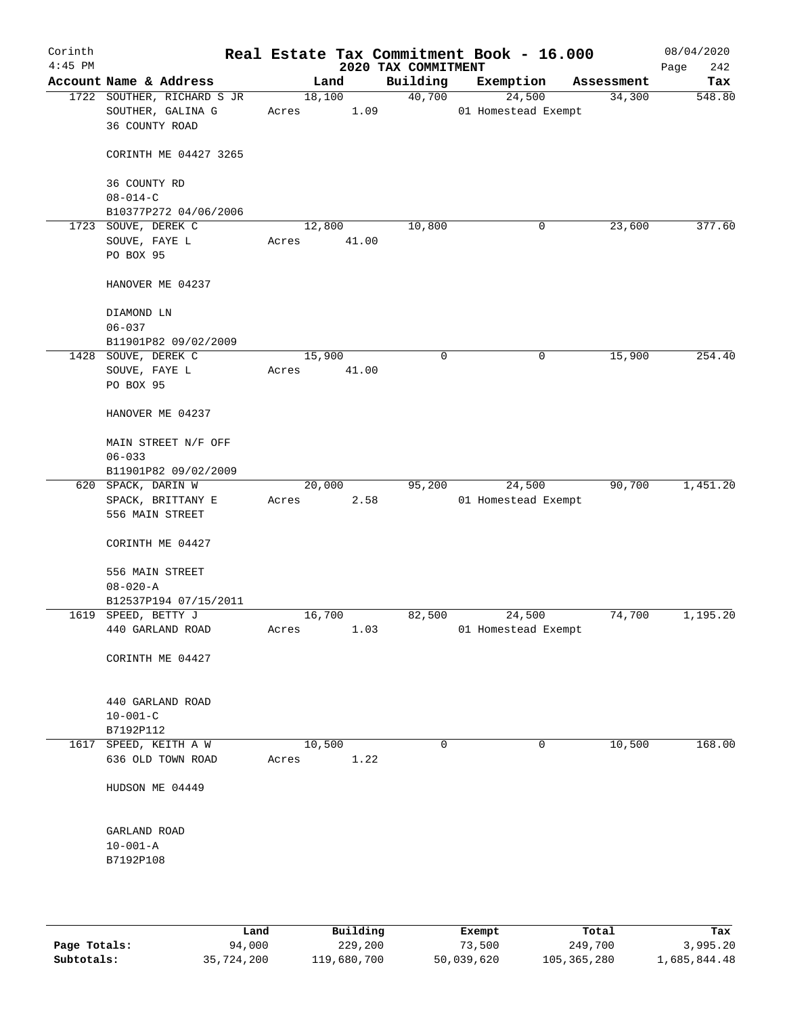| Corinth<br>$4:45$ PM |                                                                   |        |                | 2020 TAX COMMITMENT | Real Estate Tax Commitment Book - 16.000 |            | 08/04/2020<br>242<br>Page |
|----------------------|-------------------------------------------------------------------|--------|----------------|---------------------|------------------------------------------|------------|---------------------------|
|                      | Account Name & Address                                            |        | Land           | Building            | Exemption                                | Assessment | Tax                       |
|                      | 1722 SOUTHER, RICHARD S JR<br>SOUTHER, GALINA G<br>36 COUNTY ROAD | Acres  | 18,100<br>1.09 | 40,700              | 24,500<br>01 Homestead Exempt            | 34,300     | 548.80                    |
|                      | CORINTH ME 04427 3265                                             |        |                |                     |                                          |            |                           |
|                      | 36 COUNTY RD<br>$08 - 014 - C$                                    |        |                |                     |                                          |            |                           |
|                      | B10377P272 04/06/2006                                             |        |                |                     |                                          |            |                           |
|                      | 1723 SOUVE, DEREK C                                               |        | 12,800         | 10,800              | 0                                        | 23,600     | 377.60                    |
|                      | SOUVE, FAYE L                                                     | Acres  | 41.00          |                     |                                          |            |                           |
|                      | PO BOX 95                                                         |        |                |                     |                                          |            |                           |
|                      | HANOVER ME 04237                                                  |        |                |                     |                                          |            |                           |
|                      | DIAMOND LN                                                        |        |                |                     |                                          |            |                           |
|                      | $06 - 037$                                                        |        |                |                     |                                          |            |                           |
|                      | B11901P82 09/02/2009                                              |        |                |                     |                                          |            |                           |
|                      | 1428 SOUVE, DEREK C                                               | 15,900 |                | $\mathbf 0$         | 0                                        | 15,900     | 254.40                    |
|                      | SOUVE, FAYE L                                                     | Acres  | 41.00          |                     |                                          |            |                           |
|                      | PO BOX 95                                                         |        |                |                     |                                          |            |                           |
|                      | HANOVER ME 04237                                                  |        |                |                     |                                          |            |                           |
|                      | MAIN STREET N/F OFF                                               |        |                |                     |                                          |            |                           |
|                      | $06 - 033$                                                        |        |                |                     |                                          |            |                           |
|                      | B11901P82 09/02/2009                                              |        |                |                     |                                          |            |                           |
|                      | 620 SPACK, DARIN W                                                |        | 20,000         | 95,200              | 24,500                                   | 90,700     | 1,451.20                  |
|                      | SPACK, BRITTANY E                                                 | Acres  | 2.58           |                     | 01 Homestead Exempt                      |            |                           |
|                      | 556 MAIN STREET                                                   |        |                |                     |                                          |            |                           |
|                      | CORINTH ME 04427                                                  |        |                |                     |                                          |            |                           |
|                      | 556 MAIN STREET                                                   |        |                |                     |                                          |            |                           |
|                      | $08 - 020 - A$                                                    |        |                |                     |                                          |            |                           |
|                      | B12537P194 07/15/2011                                             |        |                |                     |                                          |            |                           |
|                      | 1619 SPEED, BETTY J                                               | 16,700 |                | 82,500              | 24,500                                   | 74,700     | 1,195.20                  |
|                      | 440 GARLAND ROAD                                                  | Acres  | 1.03           |                     | 01 Homestead Exempt                      |            |                           |
|                      | CORINTH ME 04427                                                  |        |                |                     |                                          |            |                           |
|                      | 440 GARLAND ROAD                                                  |        |                |                     |                                          |            |                           |
|                      | $10 - 001 - C$                                                    |        |                |                     |                                          |            |                           |
|                      | B7192P112                                                         |        |                |                     |                                          |            |                           |
|                      | 1617 SPEED, KEITH A W                                             | 10,500 |                | $\mathbf 0$         | $\mathbf 0$                              | 10,500     | 168.00                    |
|                      | 636 OLD TOWN ROAD                                                 | Acres  | 1.22           |                     |                                          |            |                           |
|                      | HUDSON ME 04449                                                   |        |                |                     |                                          |            |                           |
|                      | GARLAND ROAD                                                      |        |                |                     |                                          |            |                           |
|                      | $10 - 001 - A$                                                    |        |                |                     |                                          |            |                           |
|                      | B7192P108                                                         |        |                |                     |                                          |            |                           |
|                      |                                                                   |        |                |                     |                                          |            |                           |
|                      |                                                                   |        |                |                     |                                          |            |                           |

|              | Land       | Building    | Exempt     | Total         | Tax          |
|--------------|------------|-------------|------------|---------------|--------------|
| Page Totals: | 94,000     | 229,200     | 73,500     | 249,700       | 3,995.20     |
| Subtotals:   | 35,724,200 | 119,680,700 | 50,039,620 | 105, 365, 280 | 1,685,844.48 |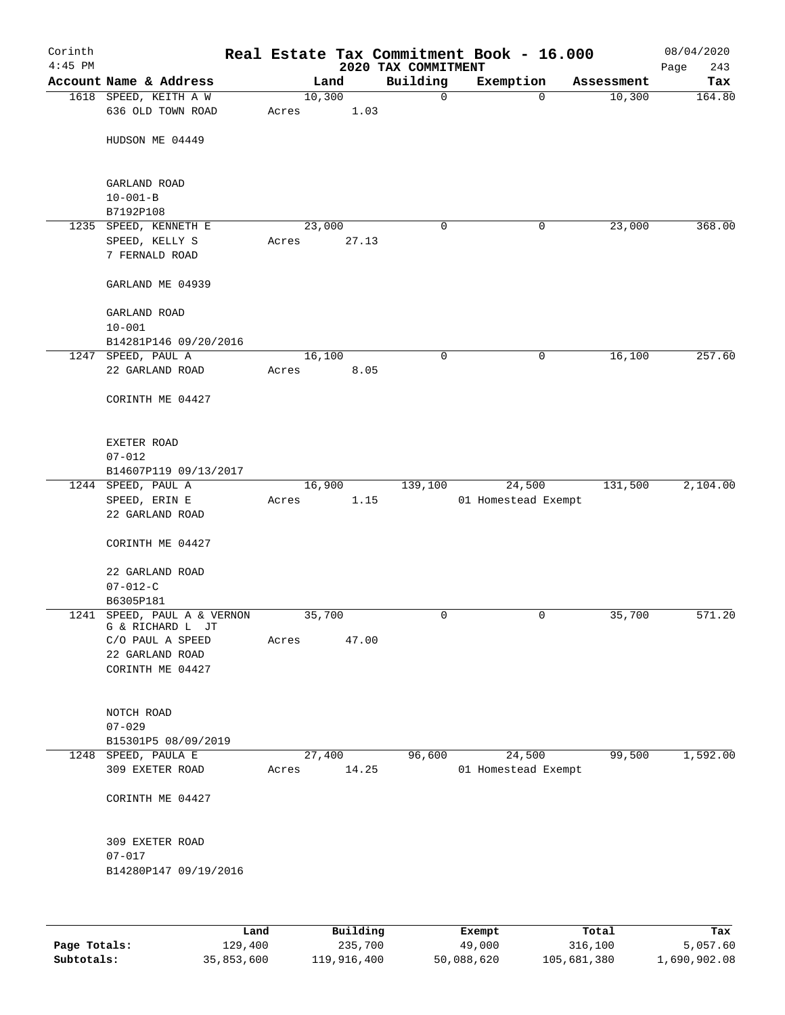| Corinth<br>$4:45$ PM |                                                 |       |        |       | 2020 TAX COMMITMENT | Real Estate Tax Commitment Book - 16.000 |            | 08/04/2020<br>243<br>Page |
|----------------------|-------------------------------------------------|-------|--------|-------|---------------------|------------------------------------------|------------|---------------------------|
|                      | Account Name & Address                          |       | Land   |       | Building            | Exemption                                | Assessment | Tax                       |
|                      | 1618 SPEED, KEITH A W                           |       | 10,300 |       | $\mathbf 0$         | $\mathbf 0$                              | 10,300     | 164.80                    |
|                      | 636 OLD TOWN ROAD                               | Acres |        | 1.03  |                     |                                          |            |                           |
|                      | HUDSON ME 04449                                 |       |        |       |                     |                                          |            |                           |
|                      | GARLAND ROAD                                    |       |        |       |                     |                                          |            |                           |
|                      | $10 - 001 - B$<br>B7192P108                     |       |        |       |                     |                                          |            |                           |
|                      | 1235 SPEED, KENNETH E                           |       | 23,000 |       | 0                   | 0                                        | 23,000     | 368.00                    |
|                      | SPEED, KELLY S                                  | Acres |        | 27.13 |                     |                                          |            |                           |
|                      | 7 FERNALD ROAD                                  |       |        |       |                     |                                          |            |                           |
|                      | GARLAND ME 04939                                |       |        |       |                     |                                          |            |                           |
|                      | GARLAND ROAD                                    |       |        |       |                     |                                          |            |                           |
|                      | $10 - 001$                                      |       |        |       |                     |                                          |            |                           |
|                      | B14281P146 09/20/2016                           |       | 16,100 |       | $\mathbf 0$         | 0                                        | 16,100     | 257.60                    |
|                      | 1247 SPEED, PAUL A<br>22 GARLAND ROAD           | Acres |        | 8.05  |                     |                                          |            |                           |
|                      |                                                 |       |        |       |                     |                                          |            |                           |
|                      | CORINTH ME 04427                                |       |        |       |                     |                                          |            |                           |
|                      | <b>EXETER ROAD</b>                              |       |        |       |                     |                                          |            |                           |
|                      | $07 - 012$                                      |       |        |       |                     |                                          |            |                           |
|                      | B14607P119 09/13/2017                           |       |        |       |                     |                                          |            |                           |
|                      | 1244 SPEED, PAUL A                              |       | 16,900 |       | 139,100             | 24,500                                   | 131,500    | 2,104.00                  |
|                      | SPEED, ERIN E                                   | Acres |        | 1.15  |                     | 01 Homestead Exempt                      |            |                           |
|                      | 22 GARLAND ROAD                                 |       |        |       |                     |                                          |            |                           |
|                      | CORINTH ME 04427                                |       |        |       |                     |                                          |            |                           |
|                      | 22 GARLAND ROAD                                 |       |        |       |                     |                                          |            |                           |
|                      | $07 - 012 - C$                                  |       |        |       |                     |                                          |            |                           |
|                      | B6305P181                                       |       |        |       |                     |                                          |            |                           |
|                      | 1241 SPEED, PAUL A & VERNON<br>G & RICHARD L JT |       | 35,700 |       | 0                   | 0                                        | 35,700     | 571.20                    |
|                      | C/O PAUL A SPEED                                | Acres |        | 47.00 |                     |                                          |            |                           |
|                      | 22 GARLAND ROAD                                 |       |        |       |                     |                                          |            |                           |
|                      | CORINTH ME 04427                                |       |        |       |                     |                                          |            |                           |
|                      | NOTCH ROAD                                      |       |        |       |                     |                                          |            |                           |
|                      | $07 - 029$                                      |       |        |       |                     |                                          |            |                           |
|                      | B15301P5 08/09/2019                             |       |        |       |                     |                                          |            |                           |
|                      | 1248 SPEED, PAULA E                             |       | 27,400 |       | 96,600              | 24,500                                   | 99,500     | 1,592.00                  |
|                      | 309 EXETER ROAD                                 | Acres |        | 14.25 |                     | 01 Homestead Exempt                      |            |                           |
|                      | CORINTH ME 04427                                |       |        |       |                     |                                          |            |                           |
|                      | 309 EXETER ROAD                                 |       |        |       |                     |                                          |            |                           |
|                      | $07 - 017$                                      |       |        |       |                     |                                          |            |                           |
|                      | B14280P147 09/19/2016                           |       |        |       |                     |                                          |            |                           |
|                      |                                                 |       |        |       |                     |                                          |            |                           |
|                      |                                                 |       |        |       |                     |                                          |            |                           |

|              | Land       | Building    | Exempt     | Total       | Tax          |
|--------------|------------|-------------|------------|-------------|--------------|
| Page Totals: | 129,400    | 235,700     | 49,000     | 316,100     | 5,057.60     |
| Subtotals:   | 35,853,600 | 119,916,400 | 50,088,620 | 105,681,380 | 1,690,902.08 |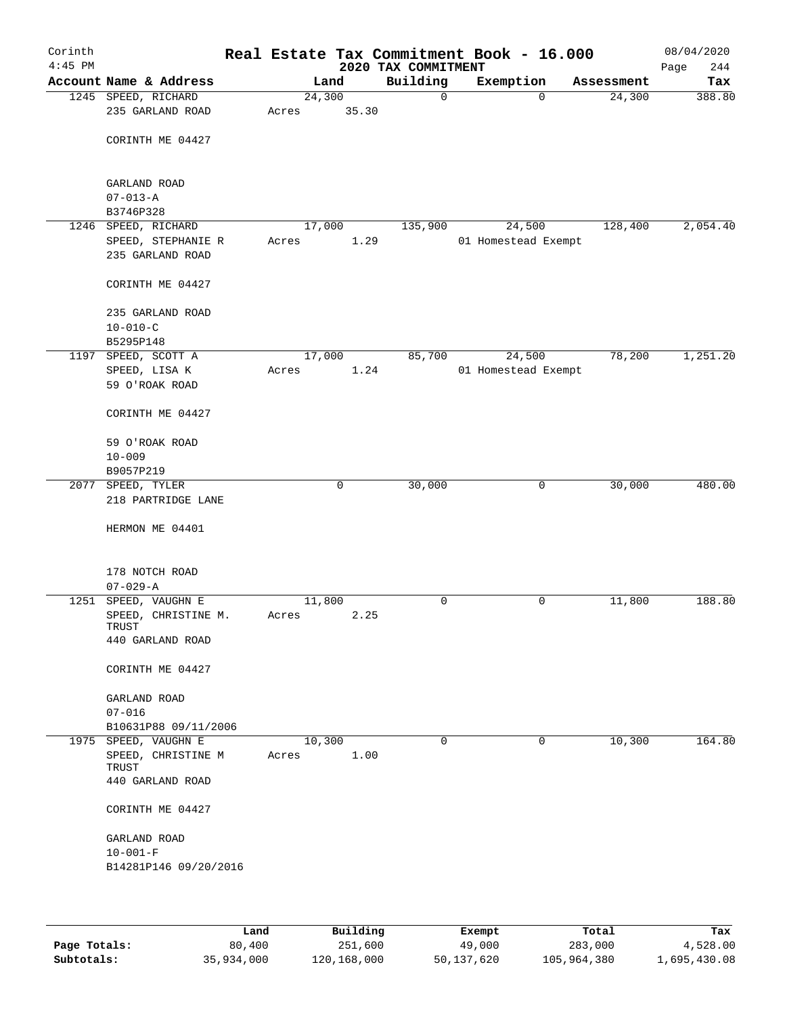| Corinth<br>$4:45$ PM |                              |        |        | 2020 TAX COMMITMENT | Real Estate Tax Commitment Book - 16.000 |            | 08/04/2020<br>Page<br>244 |
|----------------------|------------------------------|--------|--------|---------------------|------------------------------------------|------------|---------------------------|
|                      | Account Name & Address       |        | Land   | Building            | Exemption                                | Assessment | Tax                       |
|                      | 1245 SPEED, RICHARD          | 24,300 |        | $\mathsf{O}$        | $\Omega$                                 | 24,300     | 388.80                    |
|                      | 235 GARLAND ROAD             | Acres  | 35.30  |                     |                                          |            |                           |
|                      |                              |        |        |                     |                                          |            |                           |
|                      | CORINTH ME 04427             |        |        |                     |                                          |            |                           |
|                      |                              |        |        |                     |                                          |            |                           |
|                      |                              |        |        |                     |                                          |            |                           |
|                      | GARLAND ROAD                 |        |        |                     |                                          |            |                           |
|                      | $07 - 013 - A$               |        |        |                     |                                          |            |                           |
|                      | B3746P328                    |        |        |                     |                                          |            |                           |
|                      | 1246 SPEED, RICHARD          |        | 17,000 | 135,900             | 24,500                                   | 128,400    | 2,054.40                  |
|                      | SPEED, STEPHANIE R           | Acres  | 1.29   |                     | 01 Homestead Exempt                      |            |                           |
|                      | 235 GARLAND ROAD             |        |        |                     |                                          |            |                           |
|                      |                              |        |        |                     |                                          |            |                           |
|                      | CORINTH ME 04427             |        |        |                     |                                          |            |                           |
|                      | 235 GARLAND ROAD             |        |        |                     |                                          |            |                           |
|                      | $10 - 010 - C$               |        |        |                     |                                          |            |                           |
|                      | B5295P148                    |        |        |                     |                                          |            |                           |
|                      | 1197 SPEED, SCOTT A          | 17,000 |        | 85,700              | 24,500                                   | 78,200     | 1,251.20                  |
|                      | SPEED, LISA K                | Acres  | 1.24   |                     | 01 Homestead Exempt                      |            |                           |
|                      | 59 O'ROAK ROAD               |        |        |                     |                                          |            |                           |
|                      |                              |        |        |                     |                                          |            |                           |
|                      | CORINTH ME 04427             |        |        |                     |                                          |            |                           |
|                      |                              |        |        |                     |                                          |            |                           |
|                      | 59 O'ROAK ROAD               |        |        |                     |                                          |            |                           |
|                      | $10 - 009$                   |        |        |                     |                                          |            |                           |
|                      | B9057P219                    |        |        |                     |                                          |            |                           |
|                      | 2077 SPEED, TYLER            |        | 0      | 30,000              | 0                                        | 30,000     | 480.00                    |
|                      | 218 PARTRIDGE LANE           |        |        |                     |                                          |            |                           |
|                      |                              |        |        |                     |                                          |            |                           |
|                      | HERMON ME 04401              |        |        |                     |                                          |            |                           |
|                      |                              |        |        |                     |                                          |            |                           |
|                      |                              |        |        |                     |                                          |            |                           |
|                      | 178 NOTCH ROAD               |        |        |                     |                                          |            |                           |
|                      | $07 - 029 - A$               |        |        |                     |                                          |            |                           |
|                      | 1251 SPEED, VAUGHN E         | 11,800 |        | 0                   | 0                                        | 11,800     | 188.80                    |
|                      | SPEED, CHRISTINE M.<br>TRUST | Acres  | 2.25   |                     |                                          |            |                           |
|                      | 440 GARLAND ROAD             |        |        |                     |                                          |            |                           |
|                      |                              |        |        |                     |                                          |            |                           |
|                      | CORINTH ME 04427             |        |        |                     |                                          |            |                           |
|                      |                              |        |        |                     |                                          |            |                           |
|                      | GARLAND ROAD                 |        |        |                     |                                          |            |                           |
|                      | $07 - 016$                   |        |        |                     |                                          |            |                           |
|                      | B10631P88 09/11/2006         |        |        |                     |                                          |            |                           |
| 1975                 | SPEED, VAUGHN E              | 10,300 |        | 0                   | 0                                        | 10, 300    | 164.80                    |
|                      | SPEED, CHRISTINE M           | Acres  | 1.00   |                     |                                          |            |                           |
|                      | TRUST                        |        |        |                     |                                          |            |                           |
|                      | 440 GARLAND ROAD             |        |        |                     |                                          |            |                           |
|                      | CORINTH ME 04427             |        |        |                     |                                          |            |                           |
|                      |                              |        |        |                     |                                          |            |                           |
|                      | GARLAND ROAD                 |        |        |                     |                                          |            |                           |
|                      | $10 - 001 - F$               |        |        |                     |                                          |            |                           |
|                      | B14281P146 09/20/2016        |        |        |                     |                                          |            |                           |
|                      |                              |        |        |                     |                                          |            |                           |
|                      |                              |        |        |                     |                                          |            |                           |
|                      |                              |        |        |                     |                                          |            |                           |

|              | Land       | Building    | Exempt     | Total       | Tax          |
|--------------|------------|-------------|------------|-------------|--------------|
| Page Totals: | 80,400     | 251,600     | 49,000     | 283,000     | 4,528.00     |
| Subtotals:   | 35,934,000 | 120,168,000 | 50,137,620 | 105,964,380 | 1,695,430.08 |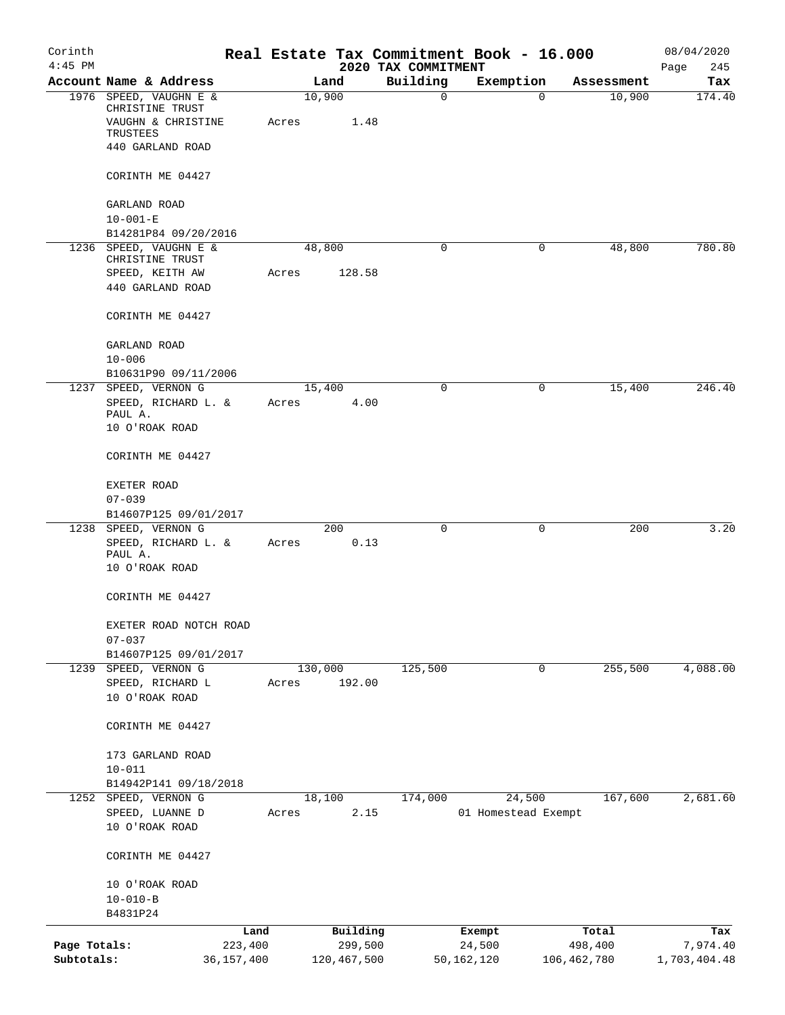| Corinth<br>$4:45$ PM |                                           |              |       |         |             | Real Estate Tax Commitment Book - 16.000 |                     |        |             | 08/04/2020         |
|----------------------|-------------------------------------------|--------------|-------|---------|-------------|------------------------------------------|---------------------|--------|-------------|--------------------|
|                      | Account Name & Address                    |              |       | Land    |             | 2020 TAX COMMITMENT<br>Building          | Exemption           |        | Assessment  | Page<br>245<br>Tax |
|                      | 1976 SPEED, VAUGHN E &<br>CHRISTINE TRUST |              |       | 10,900  |             | 0                                        |                     | 0      | 10,900      | 174.40             |
|                      | VAUGHN & CHRISTINE<br>TRUSTEES            |              | Acres |         | 1.48        |                                          |                     |        |             |                    |
|                      | 440 GARLAND ROAD                          |              |       |         |             |                                          |                     |        |             |                    |
|                      | CORINTH ME 04427                          |              |       |         |             |                                          |                     |        |             |                    |
|                      | GARLAND ROAD<br>$10 - 001 - E$            |              |       |         |             |                                          |                     |        |             |                    |
|                      | B14281P84 09/20/2016                      |              |       |         |             |                                          |                     |        |             |                    |
|                      | 1236 SPEED, VAUGHN E &<br>CHRISTINE TRUST |              |       | 48,800  |             | 0                                        |                     | 0      | 48,800      | 780.80             |
|                      | SPEED, KEITH AW<br>440 GARLAND ROAD       |              | Acres |         | 128.58      |                                          |                     |        |             |                    |
|                      | CORINTH ME 04427                          |              |       |         |             |                                          |                     |        |             |                    |
|                      | GARLAND ROAD<br>$10 - 006$                |              |       |         |             |                                          |                     |        |             |                    |
|                      | B10631P90 09/11/2006                      |              |       |         |             |                                          |                     |        |             |                    |
|                      | 1237 SPEED, VERNON G                      |              |       | 15,400  |             | 0                                        |                     | 0      | 15,400      | 246.40             |
|                      | SPEED, RICHARD L. &                       |              | Acres |         | 4.00        |                                          |                     |        |             |                    |
|                      | PAUL A.<br>10 O'ROAK ROAD                 |              |       |         |             |                                          |                     |        |             |                    |
|                      | CORINTH ME 04427                          |              |       |         |             |                                          |                     |        |             |                    |
|                      | EXETER ROAD                               |              |       |         |             |                                          |                     |        |             |                    |
|                      | $07 - 039$<br>B14607P125 09/01/2017       |              |       |         |             |                                          |                     |        |             |                    |
| 1238                 | SPEED, VERNON G                           |              |       |         | 200         | 0                                        |                     | 0      | 200         | 3.20               |
|                      | SPEED, RICHARD L. &<br>PAUL A.            |              | Acres |         | 0.13        |                                          |                     |        |             |                    |
|                      | 10 O'ROAK ROAD                            |              |       |         |             |                                          |                     |        |             |                    |
|                      | CORINTH ME 04427                          |              |       |         |             |                                          |                     |        |             |                    |
|                      | EXETER ROAD NOTCH ROAD<br>$07 - 037$      |              |       |         |             |                                          |                     |        |             |                    |
|                      | B14607P125 09/01/2017                     |              |       |         |             |                                          |                     |        |             |                    |
|                      | 1239 SPEED, VERNON G                      |              |       | 130,000 |             | 125,500                                  |                     | 0      | 255,500     | 4,088.00           |
|                      | SPEED, RICHARD L<br>10 O'ROAK ROAD        |              | Acres |         | 192.00      |                                          |                     |        |             |                    |
|                      | CORINTH ME 04427                          |              |       |         |             |                                          |                     |        |             |                    |
|                      | 173 GARLAND ROAD                          |              |       |         |             |                                          |                     |        |             |                    |
|                      | $10 - 011$                                |              |       |         |             |                                          |                     |        |             |                    |
|                      | B14942P141 09/18/2018                     |              |       |         |             |                                          |                     |        |             |                    |
|                      | 1252 SPEED, VERNON G<br>SPEED, LUANNE D   |              | Acres | 18,100  | 2.15        | 174,000                                  | 01 Homestead Exempt | 24,500 | 167,600     | 2,681.60           |
|                      | 10 O'ROAK ROAD                            |              |       |         |             |                                          |                     |        |             |                    |
|                      | CORINTH ME 04427                          |              |       |         |             |                                          |                     |        |             |                    |
|                      | 10 O'ROAK ROAD                            |              |       |         |             |                                          |                     |        |             |                    |
|                      | $10 - 010 - B$<br>B4831P24                |              |       |         |             |                                          |                     |        |             |                    |
|                      |                                           | Land         |       |         | Building    |                                          | Exempt              |        | Total       | Tax                |
| Page Totals:         |                                           | 223,400      |       |         | 299,500     |                                          | 24,500              |        | 498,400     | 7,974.40           |
| Subtotals:           |                                           | 36, 157, 400 |       |         | 120,467,500 |                                          | 50,162,120          |        | 106,462,780 | 1,703,404.48       |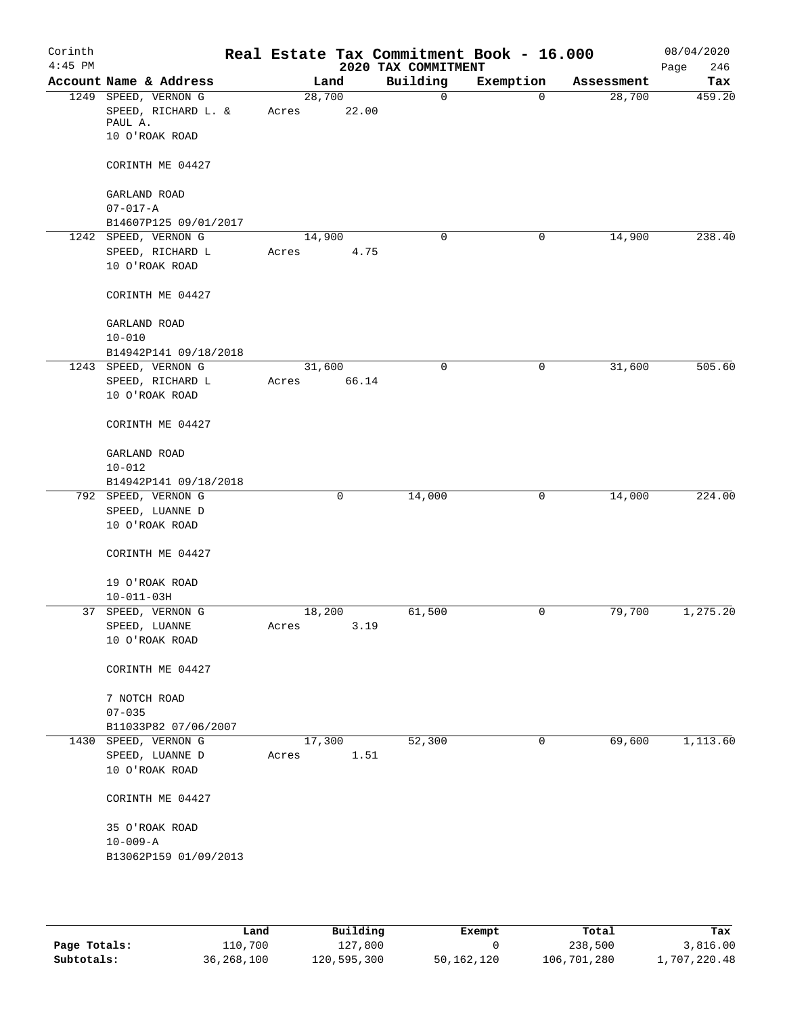| Corinth<br>$4:45$ PM |                                                        |                 | Real Estate Tax Commitment Book - 16.000<br>2020 TAX COMMITMENT |             |            | 08/04/2020<br>246<br>Page |
|----------------------|--------------------------------------------------------|-----------------|-----------------------------------------------------------------|-------------|------------|---------------------------|
|                      | Account Name & Address                                 | Land            | Building                                                        | Exemption   | Assessment | Tax                       |
|                      | 1249 SPEED, VERNON G<br>SPEED, RICHARD L. &<br>PAUL A. | 28,700<br>Acres | $\mathbf 0$<br>22.00                                            | $\mathbf 0$ | 28,700     | 459.20                    |
|                      | 10 O'ROAK ROAD<br>CORINTH ME 04427                     |                 |                                                                 |             |            |                           |
|                      | GARLAND ROAD                                           |                 |                                                                 |             |            |                           |
|                      | $07 - 017 - A$                                         |                 |                                                                 |             |            |                           |
|                      | B14607P125 09/01/2017                                  |                 |                                                                 |             |            |                           |
|                      | 1242 SPEED, VERNON G                                   | 14,900          | $\mathbf 0$                                                     | 0           | 14,900     | 238.40                    |
|                      | SPEED, RICHARD L                                       | Acres           | 4.75                                                            |             |            |                           |
|                      | 10 O'ROAK ROAD                                         |                 |                                                                 |             |            |                           |
|                      | CORINTH ME 04427                                       |                 |                                                                 |             |            |                           |
|                      | GARLAND ROAD                                           |                 |                                                                 |             |            |                           |
|                      | $10 - 010$                                             |                 |                                                                 |             |            |                           |
|                      | B14942P141 09/18/2018                                  |                 |                                                                 |             |            |                           |
|                      | 1243 SPEED, VERNON G                                   | 31,600          | $\mathsf{O}$                                                    | 0           | 31,600     | 505.60                    |
|                      | SPEED, RICHARD L                                       | Acres           | 66.14                                                           |             |            |                           |
|                      | 10 O'ROAK ROAD                                         |                 |                                                                 |             |            |                           |
|                      | CORINTH ME 04427                                       |                 |                                                                 |             |            |                           |
|                      | GARLAND ROAD                                           |                 |                                                                 |             |            |                           |
|                      | $10 - 012$                                             |                 |                                                                 |             |            |                           |
|                      | B14942P141 09/18/2018                                  |                 |                                                                 |             |            |                           |
|                      | 792 SPEED, VERNON G                                    | 0               | 14,000                                                          | 0           | 14,000     | 224.00                    |
|                      | SPEED, LUANNE D                                        |                 |                                                                 |             |            |                           |
|                      | 10 O'ROAK ROAD                                         |                 |                                                                 |             |            |                           |
|                      | CORINTH ME 04427                                       |                 |                                                                 |             |            |                           |
|                      | 19 O'ROAK ROAD<br>$10 - 011 - 03H$                     |                 |                                                                 |             |            |                           |
|                      | 37 SPEED, VERNON G                                     | 18,200          | 61,500                                                          | 0           | 79,700     | 1,275.20                  |
|                      | ${\tt SPEED}$ , ${\tt LUANNE}$                         | Acres           | 3.19                                                            |             |            |                           |
|                      | 10 O'ROAK ROAD                                         |                 |                                                                 |             |            |                           |
|                      | CORINTH ME 04427                                       |                 |                                                                 |             |            |                           |
|                      | 7 NOTCH ROAD                                           |                 |                                                                 |             |            |                           |
|                      | $07 - 035$                                             |                 |                                                                 |             |            |                           |
|                      | B11033P82 07/06/2007                                   |                 |                                                                 |             |            |                           |
|                      | 1430 SPEED, VERNON G                                   | 17,300          | 52,300                                                          | 0           | 69,600     | 1,113.60                  |
|                      | SPEED, LUANNE D<br>10 O'ROAK ROAD                      | Acres           | 1.51                                                            |             |            |                           |
|                      | CORINTH ME 04427                                       |                 |                                                                 |             |            |                           |
|                      | 35 O'ROAK ROAD                                         |                 |                                                                 |             |            |                           |
|                      | $10 - 009 - A$                                         |                 |                                                                 |             |            |                           |
|                      | B13062P159 01/09/2013                                  |                 |                                                                 |             |            |                           |
|                      |                                                        |                 |                                                                 |             |            |                           |

|              | Land       | Building    | Exempt     | Total       | Tax          |
|--------------|------------|-------------|------------|-------------|--------------|
| Page Totals: | 110,700    | 127.800     |            | 238,500     | 3,816.00     |
| Subtotals:   | 36,268,100 | 120,595,300 | 50,162,120 | 106,701,280 | 1,707,220.48 |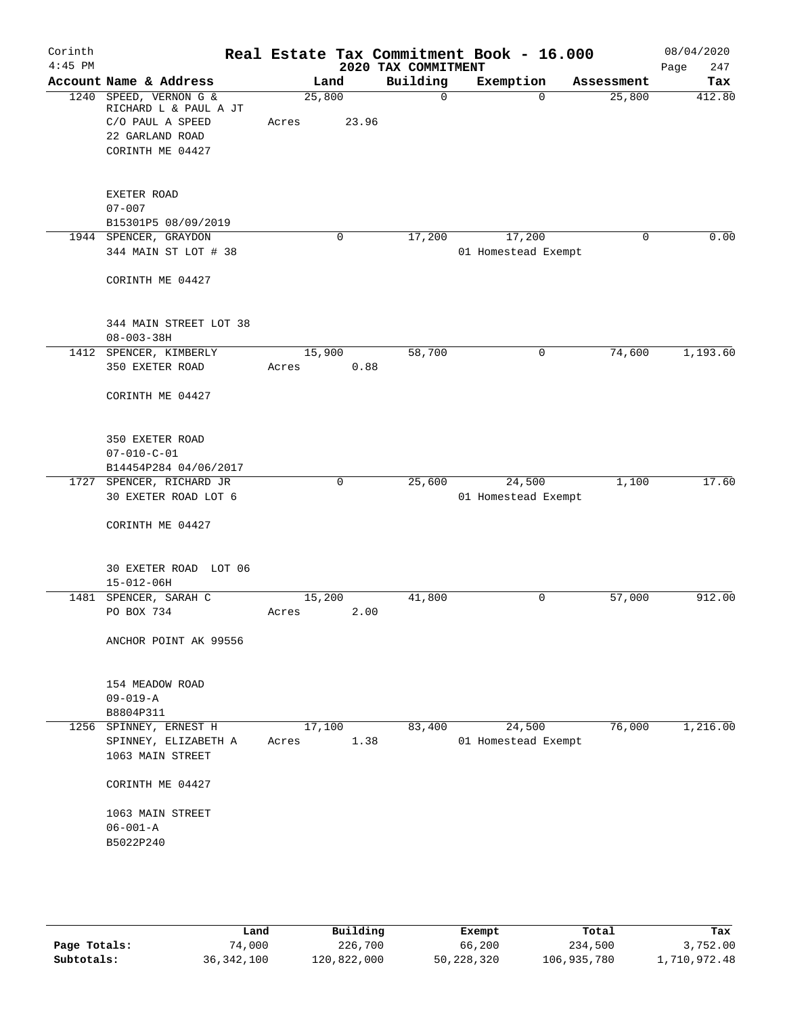|                                                                                                               |                                                                          |                       |             |                            |                                                 | 08/04/2020<br>247<br>Page                                                                                                                              |
|---------------------------------------------------------------------------------------------------------------|--------------------------------------------------------------------------|-----------------------|-------------|----------------------------|-------------------------------------------------|--------------------------------------------------------------------------------------------------------------------------------------------------------|
| Account Name & Address                                                                                        | Land                                                                     |                       | Building    |                            | Assessment                                      | Tax                                                                                                                                                    |
| SPEED, VERNON G &<br>1240<br>RICHARD L & PAUL A JT<br>C/O PAUL A SPEED<br>22 GARLAND ROAD<br>CORINTH ME 04427 | 25,800<br>Acres                                                          |                       | $\mathbf 0$ | $\Omega$                   | 25,800                                          | 412.80                                                                                                                                                 |
| EXETER ROAD<br>$07 - 007$<br>B15301P5 08/09/2019                                                              |                                                                          |                       |             |                            |                                                 |                                                                                                                                                        |
| 344 MAIN ST LOT # 38<br>CORINTH ME 04427                                                                      |                                                                          |                       |             |                            |                                                 | 0.00                                                                                                                                                   |
| 344 MAIN STREET LOT 38<br>$08 - 003 - 38H$                                                                    |                                                                          |                       |             |                            |                                                 |                                                                                                                                                        |
| 350 EXETER ROAD<br>CORINTH ME 04427                                                                           | Acres                                                                    | 0.88                  |             |                            |                                                 | 1,193.60                                                                                                                                               |
| 350 EXETER ROAD<br>$07 - 010 - C - 01$<br>B14454P284 04/06/2017                                               |                                                                          |                       |             |                            |                                                 |                                                                                                                                                        |
| 1727 SPENCER, RICHARD JR<br>30 EXETER ROAD LOT 6<br>CORINTH ME 04427                                          | $\mathbf 0$                                                              |                       | 25,600      | 24,500                     |                                                 | 17.60                                                                                                                                                  |
| 30 EXETER ROAD LOT 06<br>$15 - 012 - 06H$                                                                     |                                                                          |                       |             |                            |                                                 |                                                                                                                                                        |
| PO BOX 734<br>ANCHOR POINT AK 99556                                                                           | Acres                                                                    | 2.00                  |             | 0                          |                                                 | 912.00                                                                                                                                                 |
| 154 MEADOW ROAD<br>$09 - 019 - A$<br>B8804P311                                                                |                                                                          |                       |             |                            |                                                 |                                                                                                                                                        |
| 1256<br>SPINNEY, ERNEST H<br>SPINNEY, ELIZABETH A<br>1063 MAIN STREET                                         | 17,100<br>Acres                                                          | 1.38                  | 83,400      | 24,500                     | 76,000                                          | 1,216.00                                                                                                                                               |
| CORINTH ME 04427<br>1063 MAIN STREET<br>$06 - 001 - A$<br>B5022P240                                           |                                                                          |                       |             |                            |                                                 |                                                                                                                                                        |
|                                                                                                               | 1944 SPENCER, GRAYDON<br>1412 SPENCER, KIMBERLY<br>1481 SPENCER, SARAH C | 0<br>15,900<br>15,200 | 23.96       | 17,200<br>58,700<br>41,800 | 2020 TAX COMMITMENT<br>Exemption<br>17,200<br>0 | Real Estate Tax Commitment Book - 16.000<br>$\Omega$<br>01 Homestead Exempt<br>74,600<br>1,100<br>01 Homestead Exempt<br>57,000<br>01 Homestead Exempt |

|              | Land         | Building    | Exempt     | Total       | Tax          |
|--------------|--------------|-------------|------------|-------------|--------------|
| Page Totals: | 74,000       | 226,700     | 66,200     | 234,500     | 3,752.00     |
| Subtotals:   | 36, 342, 100 | 120,822,000 | 50,228,320 | 106,935,780 | 1,710,972.48 |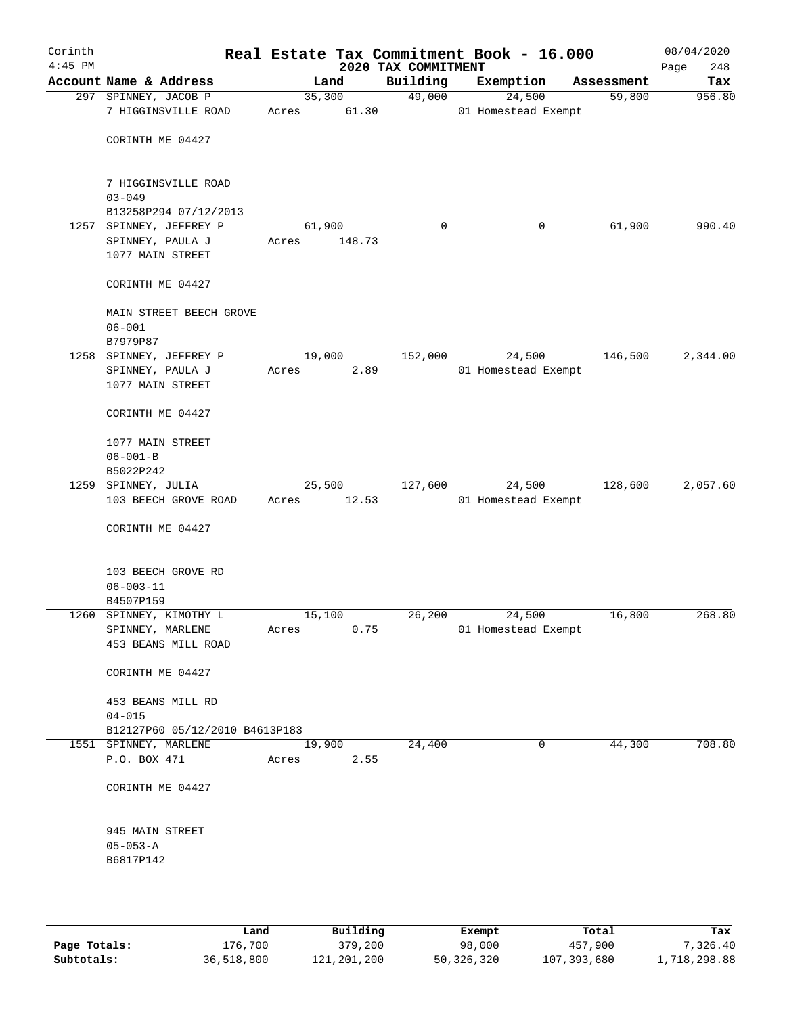| Corinth<br>$4:45$ PM |                                                  |        |        | 2020 TAX COMMITMENT | Real Estate Tax Commitment Book - 16.000 |            | 08/04/2020<br>248<br>Page |
|----------------------|--------------------------------------------------|--------|--------|---------------------|------------------------------------------|------------|---------------------------|
|                      | Account Name & Address                           |        | Land   | Building            | Exemption                                | Assessment | Tax                       |
|                      | 297 SPINNEY, JACOB P                             | 35,300 |        | 49,000              | 24,500                                   | 59,800     | 956.80                    |
|                      | 7 HIGGINSVILLE ROAD                              | Acres  | 61.30  |                     | 01 Homestead Exempt                      |            |                           |
|                      | CORINTH ME 04427                                 |        |        |                     |                                          |            |                           |
|                      | 7 HIGGINSVILLE ROAD                              |        |        |                     |                                          |            |                           |
|                      | $03 - 049$                                       |        |        |                     |                                          |            |                           |
|                      | B13258P294 07/12/2013<br>1257 SPINNEY, JEFFREY P | 61,900 |        | $\mathbf 0$         | 0                                        | 61,900     | 990.40                    |
|                      | SPINNEY, PAULA J                                 | Acres  | 148.73 |                     |                                          |            |                           |
|                      | 1077 MAIN STREET                                 |        |        |                     |                                          |            |                           |
|                      |                                                  |        |        |                     |                                          |            |                           |
|                      | CORINTH ME 04427                                 |        |        |                     |                                          |            |                           |
|                      | MAIN STREET BEECH GROVE                          |        |        |                     |                                          |            |                           |
|                      | $06 - 001$                                       |        |        |                     |                                          |            |                           |
|                      | B7979P87                                         |        |        |                     |                                          |            |                           |
|                      | 1258 SPINNEY, JEFFREY P                          | 19,000 |        | 152,000             | 24,500                                   | 146,500    | 2,344.00                  |
|                      | SPINNEY, PAULA J                                 | Acres  | 2.89   |                     | 01 Homestead Exempt                      |            |                           |
|                      | 1077 MAIN STREET                                 |        |        |                     |                                          |            |                           |
|                      | CORINTH ME 04427                                 |        |        |                     |                                          |            |                           |
|                      | 1077 MAIN STREET                                 |        |        |                     |                                          |            |                           |
|                      | $06 - 001 - B$                                   |        |        |                     |                                          |            |                           |
|                      | B5022P242                                        |        |        |                     |                                          |            |                           |
|                      | 1259 SPINNEY, JULIA                              | 25,500 |        | 127,600             | 24,500                                   | 128,600    | 2,057.60                  |
|                      | 103 BEECH GROVE ROAD                             | Acres  | 12.53  |                     | 01 Homestead Exempt                      |            |                           |
|                      | CORINTH ME 04427                                 |        |        |                     |                                          |            |                           |
|                      | 103 BEECH GROVE RD                               |        |        |                     |                                          |            |                           |
|                      | $06 - 003 - 11$                                  |        |        |                     |                                          |            |                           |
|                      | B4507P159                                        |        |        |                     |                                          |            |                           |
|                      | 1260 SPINNEY, KIMOTHY L                          | 15,100 |        | 26,200              | 24,500                                   | 16,800     | 268.80                    |
|                      | SPINNEY, MARLENE                                 | Acres  | 0.75   |                     | 01 Homestead Exempt                      |            |                           |
|                      | 453 BEANS MILL ROAD                              |        |        |                     |                                          |            |                           |
|                      | CORINTH ME 04427                                 |        |        |                     |                                          |            |                           |
|                      | 453 BEANS MILL RD                                |        |        |                     |                                          |            |                           |
|                      | $04 - 015$                                       |        |        |                     |                                          |            |                           |
|                      | B12127P60 05/12/2010 B4613P183                   |        |        |                     |                                          |            |                           |
|                      | 1551 SPINNEY, MARLENE                            | 19,900 |        | 24,400              | $\mathbf 0$                              | 44,300     | 708.80                    |
|                      | P.O. BOX 471                                     | Acres  | 2.55   |                     |                                          |            |                           |
|                      |                                                  |        |        |                     |                                          |            |                           |
|                      | CORINTH ME 04427                                 |        |        |                     |                                          |            |                           |
|                      | 945 MAIN STREET                                  |        |        |                     |                                          |            |                           |
|                      | $05 - 053 - A$                                   |        |        |                     |                                          |            |                           |
|                      | B6817P142                                        |        |        |                     |                                          |            |                           |
|                      |                                                  |        |        |                     |                                          |            |                           |
|                      |                                                  |        |        |                     |                                          |            |                           |
|                      |                                                  |        |        |                     |                                          |            |                           |

|              | Land       | Building    | Exempt     | Total       | Tax          |
|--------------|------------|-------------|------------|-------------|--------------|
| Page Totals: | 176,700    | 379,200     | 98,000     | 457,900     | 7,326.40     |
| Subtotals:   | 36,518,800 | 121,201,200 | 50,326,320 | 107,393,680 | 1,718,298.88 |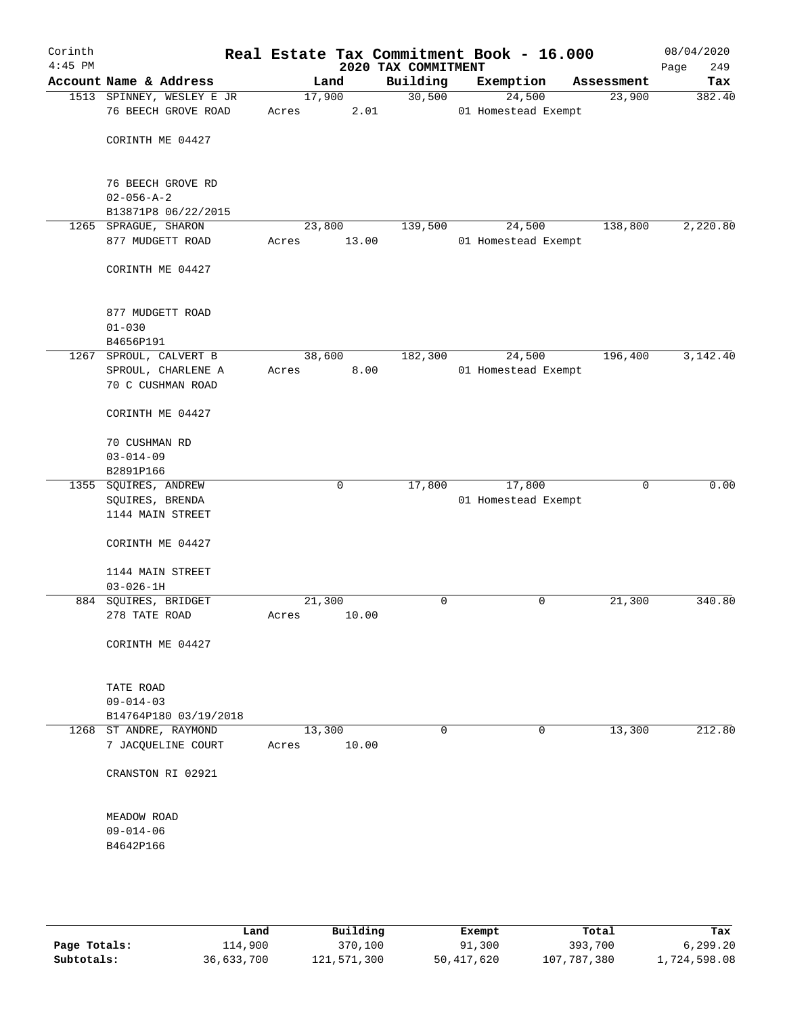| Corinth<br>$4:45$ PM |                                                  |                 |       | 2020 TAX COMMITMENT | Real Estate Tax Commitment Book - 16.000 |            | 08/04/2020<br>Page<br>249 |
|----------------------|--------------------------------------------------|-----------------|-------|---------------------|------------------------------------------|------------|---------------------------|
|                      | Account Name & Address                           |                 | Land  | Building            | Exemption                                | Assessment | Tax                       |
|                      | 1513 SPINNEY, WESLEY E JR<br>76 BEECH GROVE ROAD | 17,900<br>Acres | 2.01  | 30,500              | 24,500<br>01 Homestead Exempt            | 23,900     | 382.40                    |
|                      | CORINTH ME 04427                                 |                 |       |                     |                                          |            |                           |
|                      | 76 BEECH GROVE RD<br>$02 - 056 - A - 2$          |                 |       |                     |                                          |            |                           |
|                      | B13871P8 06/22/2015                              |                 |       |                     |                                          |            |                           |
|                      | 1265 SPRAGUE, SHARON                             | 23,800          |       | 139,500             | 24,500                                   | 138,800    | 2,220.80                  |
|                      | 877 MUDGETT ROAD                                 | Acres           | 13.00 |                     | 01 Homestead Exempt                      |            |                           |
|                      | CORINTH ME 04427                                 |                 |       |                     |                                          |            |                           |
|                      | 877 MUDGETT ROAD                                 |                 |       |                     |                                          |            |                           |
|                      | $01 - 030$                                       |                 |       |                     |                                          |            |                           |
|                      | B4656P191                                        |                 |       |                     |                                          |            |                           |
|                      | 1267 SPROUL, CALVERT B<br>SPROUL, CHARLENE A     | 38,600          |       | 182,300             | 24,500                                   | 196,400    | 3,142.40                  |
|                      | 70 C CUSHMAN ROAD                                | Acres           | 8.00  |                     | 01 Homestead Exempt                      |            |                           |
|                      | CORINTH ME 04427                                 |                 |       |                     |                                          |            |                           |
|                      | 70 CUSHMAN RD<br>$03 - 014 - 09$                 |                 |       |                     |                                          |            |                           |
|                      | B2891P166                                        |                 |       |                     |                                          |            |                           |
|                      | 1355 SQUIRES, ANDREW                             |                 | 0     | 17,800              | 17,800                                   | 0          | 0.00                      |
|                      | SQUIRES, BRENDA<br>1144 MAIN STREET              |                 |       |                     | 01 Homestead Exempt                      |            |                           |
|                      | CORINTH ME 04427                                 |                 |       |                     |                                          |            |                           |
|                      | 1144 MAIN STREET<br>$03 - 026 - 1H$              |                 |       |                     |                                          |            |                           |
|                      | 884 SQUIRES, BRIDGET                             | 21,300          |       | 0                   | $\mathsf{O}$                             | 21,300     | 340.80                    |
|                      | 278 TATE ROAD                                    | Acres           | 10.00 |                     |                                          |            |                           |
|                      | CORINTH ME 04427                                 |                 |       |                     |                                          |            |                           |
|                      | TATE ROAD                                        |                 |       |                     |                                          |            |                           |
|                      | $09 - 014 - 03$                                  |                 |       |                     |                                          |            |                           |
|                      | B14764P180 03/19/2018                            |                 |       |                     |                                          |            |                           |
|                      | 1268 ST ANDRE, RAYMOND                           | 13,300          |       | 0                   | 0                                        | 13,300     | 212.80                    |
|                      | 7 JACQUELINE COURT                               | Acres           | 10.00 |                     |                                          |            |                           |
|                      | CRANSTON RI 02921                                |                 |       |                     |                                          |            |                           |
|                      | MEADOW ROAD                                      |                 |       |                     |                                          |            |                           |
|                      | $09 - 014 - 06$<br>B4642P166                     |                 |       |                     |                                          |            |                           |
|                      |                                                  |                 |       |                     |                                          |            |                           |
|                      |                                                  |                 |       |                     |                                          |            |                           |

|              | Land       | Building    | Exempt     | Total       | Tax          |
|--------------|------------|-------------|------------|-------------|--------------|
| Page Totals: | 114,900    | 370,100     | 91,300     | 393,700     | 6, 299, 20   |
| Subtotals:   | 36,633,700 | 121,571,300 | 50,417,620 | 107,787,380 | 1,724,598.08 |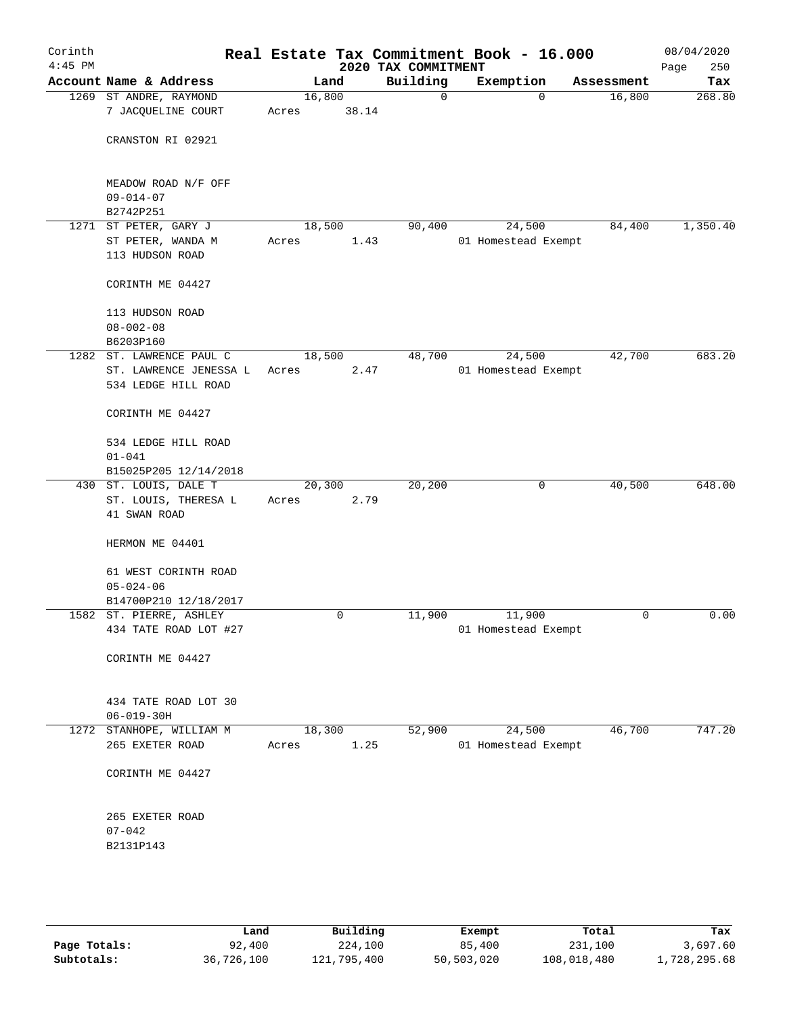| Corinth<br>$4:45$ PM |                                                     |                 |       | 2020 TAX COMMITMENT | Real Estate Tax Commitment Book - 16.000 |            | 08/04/2020<br>250<br>Page |
|----------------------|-----------------------------------------------------|-----------------|-------|---------------------|------------------------------------------|------------|---------------------------|
|                      | Account Name & Address                              |                 | Land  | Building            | Exemption                                | Assessment | Tax                       |
|                      | 1269 ST ANDRE, RAYMOND<br>7 JACQUELINE COURT        | 16,800<br>Acres | 38.14 | $\mathbf 0$         | $\Omega$                                 | 16,800     | 268.80                    |
|                      | CRANSTON RI 02921                                   |                 |       |                     |                                          |            |                           |
|                      | MEADOW ROAD N/F OFF<br>$09 - 014 - 07$<br>B2742P251 |                 |       |                     |                                          |            |                           |
|                      | 1271 ST PETER, GARY J                               | 18,500          |       | 90,400              | 24,500                                   | 84,400     | 1,350.40                  |
|                      | ST PETER, WANDA M<br>113 HUDSON ROAD                | Acres           | 1.43  |                     | 01 Homestead Exempt                      |            |                           |
|                      | CORINTH ME 04427                                    |                 |       |                     |                                          |            |                           |
|                      | 113 HUDSON ROAD<br>$08 - 002 - 08$<br>B6203P160     |                 |       |                     |                                          |            |                           |
|                      | 1282 ST. LAWRENCE PAUL C                            | 18,500          |       | 48,700              | 24,500                                   | 42,700     | 683.20                    |
|                      | ST. LAWRENCE JENESSA L<br>534 LEDGE HILL ROAD       | Acres           | 2.47  |                     | 01 Homestead Exempt                      |            |                           |
|                      | CORINTH ME 04427                                    |                 |       |                     |                                          |            |                           |
|                      | 534 LEDGE HILL ROAD<br>$01 - 041$                   |                 |       |                     |                                          |            |                           |
|                      | B15025P205 12/14/2018<br>430 ST. LOUIS, DALE T      | 20,300          |       | 20,200              | 0                                        | 40,500     | 648.00                    |
|                      | ST. LOUIS, THERESA L<br>41 SWAN ROAD                | Acres           | 2.79  |                     |                                          |            |                           |
|                      | HERMON ME 04401                                     |                 |       |                     |                                          |            |                           |
|                      | 61 WEST CORINTH ROAD<br>$05 - 024 - 06$             |                 |       |                     |                                          |            |                           |
|                      | B14700P210 12/18/2017                               |                 |       |                     |                                          |            |                           |
|                      | 1582 ST. PIERRE, ASHLEY<br>434 TATE ROAD LOT #27    |                 | 0     | 11,900              | 11,900<br>01 Homestead Exempt            | 0          | 0.00                      |
|                      | CORINTH ME 04427                                    |                 |       |                     |                                          |            |                           |
|                      | 434 TATE ROAD LOT 30<br>$06 - 019 - 30H$            |                 |       |                     |                                          |            |                           |
|                      | 1272 STANHOPE, WILLIAM M                            | 18,300          |       | 52,900              | 24,500                                   | 46,700     | 747.20                    |
|                      | 265 EXETER ROAD                                     | Acres           | 1.25  |                     | 01 Homestead Exempt                      |            |                           |
|                      | CORINTH ME 04427                                    |                 |       |                     |                                          |            |                           |
|                      | 265 EXETER ROAD<br>$07 - 042$<br>B2131P143          |                 |       |                     |                                          |            |                           |
|                      |                                                     |                 |       |                     |                                          |            |                           |

|              | Land       | Building    | Exempt     | Total       | Tax          |
|--------------|------------|-------------|------------|-------------|--------------|
| Page Totals: | 92,400     | 224,100     | 85,400     | 231,100     | 3,697.60     |
| Subtotals:   | 36,726,100 | 121,795,400 | 50,503,020 | 108,018,480 | 1,728,295.68 |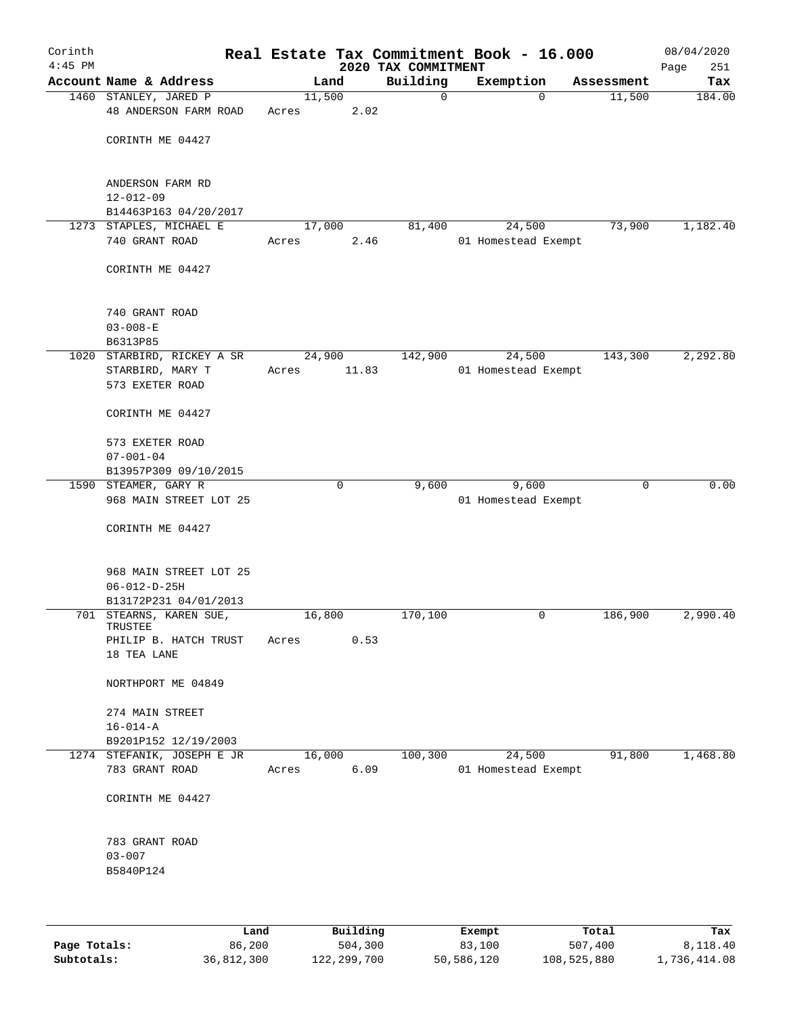| Corinth<br>$4:45$ PM |                                                |       |          |      | Real Estate Tax Commitment Book - 16.000<br>2020 TAX COMMITMENT |                     |             |            | 08/04/2020<br>251<br>Page |
|----------------------|------------------------------------------------|-------|----------|------|-----------------------------------------------------------------|---------------------|-------------|------------|---------------------------|
|                      | Account Name & Address                         |       | Land     |      | Building                                                        | Exemption           |             | Assessment | Tax                       |
|                      | 1460 STANLEY, JARED P                          |       | 11,500   |      | $\mathbf 0$                                                     |                     | $\mathbf 0$ | 11,500     | 184.00                    |
|                      | 48 ANDERSON FARM ROAD                          | Acres |          | 2.02 |                                                                 |                     |             |            |                           |
|                      | CORINTH ME 04427                               |       |          |      |                                                                 |                     |             |            |                           |
|                      | ANDERSON FARM RD<br>$12 - 012 - 09$            |       |          |      |                                                                 |                     |             |            |                           |
|                      | B14463P163 04/20/2017                          |       |          |      |                                                                 |                     |             |            |                           |
|                      | 1273 STAPLES, MICHAEL E                        |       | 17,000   |      | 81,400                                                          |                     | 24,500      | 73,900     | 1,182.40                  |
|                      | 740 GRANT ROAD                                 | Acres |          | 2.46 |                                                                 | 01 Homestead Exempt |             |            |                           |
|                      | CORINTH ME 04427                               |       |          |      |                                                                 |                     |             |            |                           |
|                      | 740 GRANT ROAD<br>$03 - 008 - E$               |       |          |      |                                                                 |                     |             |            |                           |
|                      | B6313P85                                       |       |          |      |                                                                 |                     |             |            |                           |
|                      | 1020 STARBIRD, RICKEY A SR                     |       | 24,900   |      | 142,900                                                         |                     | 24,500      | 143,300    | 2,292.80                  |
|                      | STARBIRD, MARY T<br>573 EXETER ROAD            | Acres | 11.83    |      |                                                                 | 01 Homestead Exempt |             |            |                           |
|                      | CORINTH ME 04427                               |       |          |      |                                                                 |                     |             |            |                           |
|                      | 573 EXETER ROAD                                |       |          |      |                                                                 |                     |             |            |                           |
|                      | $07 - 001 - 04$                                |       |          |      |                                                                 |                     |             |            |                           |
|                      | B13957P309 09/10/2015<br>1590 STEAMER, GARY R  |       | $\Omega$ |      | 9,600                                                           |                     | 9,600       | $\Omega$   | 0.00                      |
|                      | 968 MAIN STREET LOT 25                         |       |          |      |                                                                 | 01 Homestead Exempt |             |            |                           |
|                      | CORINTH ME 04427                               |       |          |      |                                                                 |                     |             |            |                           |
|                      |                                                |       |          |      |                                                                 |                     |             |            |                           |
|                      | 968 MAIN STREET LOT 25<br>$06 - 012 - D - 25H$ |       |          |      |                                                                 |                     |             |            |                           |
|                      | B13172P231 04/01/2013                          |       |          |      |                                                                 |                     |             |            |                           |
|                      | 701 STEARNS, KAREN SUE,                        |       | 16,800   |      | 170,100                                                         |                     | 0           | 186,900    | 2,990.40                  |
|                      | TRUSTEE<br>PHILIP B. HATCH TRUST               | Acres |          | 0.53 |                                                                 |                     |             |            |                           |
|                      | 18 TEA LANE                                    |       |          |      |                                                                 |                     |             |            |                           |
|                      | NORTHPORT ME 04849                             |       |          |      |                                                                 |                     |             |            |                           |
|                      | 274 MAIN STREET                                |       |          |      |                                                                 |                     |             |            |                           |
|                      | $16 - 014 - A$                                 |       |          |      |                                                                 |                     |             |            |                           |
|                      | B9201P152 12/19/2003                           |       |          |      |                                                                 |                     |             |            |                           |
|                      | 1274 STEFANIK, JOSEPH E JR<br>783 GRANT ROAD   | Acres | 16,000   | 6.09 | 100, 300                                                        | 01 Homestead Exempt | 24,500      | 91,800     | 1,468.80                  |
|                      | CORINTH ME 04427                               |       |          |      |                                                                 |                     |             |            |                           |
|                      | 783 GRANT ROAD                                 |       |          |      |                                                                 |                     |             |            |                           |
|                      | $03 - 007$<br>B5840P124                        |       |          |      |                                                                 |                     |             |            |                           |
|                      |                                                |       |          |      |                                                                 |                     |             |            |                           |
|                      |                                                |       |          |      |                                                                 |                     |             |            |                           |

|              | Land       | Building    | Exempt     | Total       | Tax          |
|--------------|------------|-------------|------------|-------------|--------------|
| Page Totals: | 86,200     | 504,300     | 83,100     | 507,400     | 8,118.40     |
| Subtotals:   | 36,812,300 | 122,299,700 | 50,586,120 | 108,525,880 | 1,736,414.08 |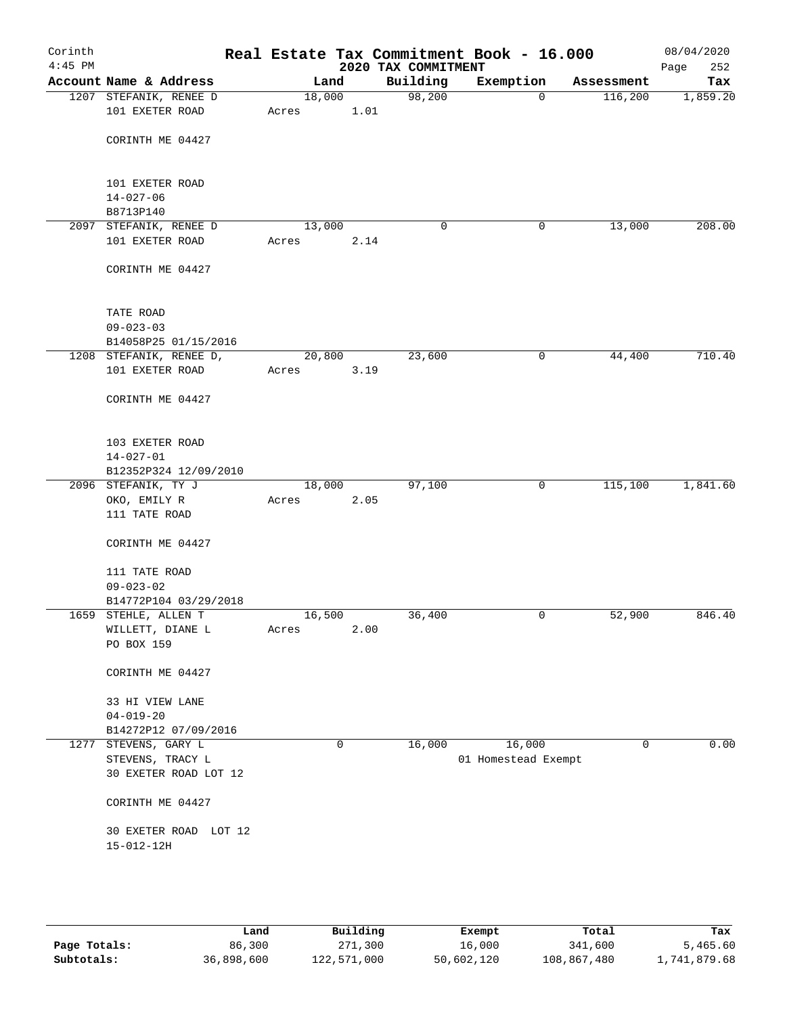| Corinth<br>$4:45$ PM |                                           |       |        |      |      | 2020 TAX COMMITMENT | Real Estate Tax Commitment Book - 16.000 |             | 08/04/2020<br>Page<br>252 |
|----------------------|-------------------------------------------|-------|--------|------|------|---------------------|------------------------------------------|-------------|---------------------------|
|                      | Account Name & Address                    |       |        | Land |      | Building            | Exemption                                | Assessment  | Tax                       |
|                      | 1207 STEFANIK, RENEE D<br>101 EXETER ROAD | Acres | 18,000 | 1.01 |      | 98,200              | $\mathbf 0$                              | 116,200     | 1,859.20                  |
|                      | CORINTH ME 04427                          |       |        |      |      |                     |                                          |             |                           |
|                      | 101 EXETER ROAD<br>$14 - 027 - 06$        |       |        |      |      |                     |                                          |             |                           |
|                      | B8713P140                                 |       |        |      |      |                     |                                          |             |                           |
|                      | 2097 STEFANIK, RENEE D                    |       | 13,000 |      |      | 0                   | 0                                        | 13,000      | 208.00                    |
|                      | 101 EXETER ROAD                           | Acres |        |      | 2.14 |                     |                                          |             |                           |
|                      | CORINTH ME 04427                          |       |        |      |      |                     |                                          |             |                           |
|                      | TATE ROAD                                 |       |        |      |      |                     |                                          |             |                           |
|                      | $09 - 023 - 03$                           |       |        |      |      |                     |                                          |             |                           |
|                      | B14058P25 01/15/2016                      |       |        |      |      |                     |                                          |             |                           |
|                      | 1208 STEFANIK, RENEE D,                   |       | 20,800 |      |      | 23,600              | $\mathsf{O}$                             | 44,400      | 710.40                    |
|                      | 101 EXETER ROAD                           | Acres |        |      | 3.19 |                     |                                          |             |                           |
|                      | CORINTH ME 04427                          |       |        |      |      |                     |                                          |             |                           |
|                      | 103 EXETER ROAD                           |       |        |      |      |                     |                                          |             |                           |
|                      | $14 - 027 - 01$                           |       |        |      |      |                     |                                          |             |                           |
|                      | B12352P324 12/09/2010                     |       |        |      |      |                     |                                          |             |                           |
|                      | 2096 STEFANIK, TY J                       |       | 18,000 |      |      | 97,100              | 0                                        | 115,100     | 1,841.60                  |
|                      | OKO, EMILY R                              | Acres |        | 2.05 |      |                     |                                          |             |                           |
|                      | 111 TATE ROAD                             |       |        |      |      |                     |                                          |             |                           |
|                      | CORINTH ME 04427                          |       |        |      |      |                     |                                          |             |                           |
|                      | 111 TATE ROAD                             |       |        |      |      |                     |                                          |             |                           |
|                      | $09 - 023 - 02$                           |       |        |      |      |                     |                                          |             |                           |
|                      | B14772P104 03/29/2018                     |       |        |      |      |                     |                                          |             |                           |
|                      | 1659 STEHLE, ALLEN T                      |       | 16,500 |      |      | 36,400              | 0                                        | 52,900      | 846.40                    |
|                      | WILLETT, DIANE L                          | Acres |        |      | 2.00 |                     |                                          |             |                           |
|                      | PO BOX 159                                |       |        |      |      |                     |                                          |             |                           |
|                      | CORINTH ME 04427                          |       |        |      |      |                     |                                          |             |                           |
|                      | 33 HI VIEW LANE                           |       |        |      |      |                     |                                          |             |                           |
|                      | $04 - 019 - 20$                           |       |        |      |      |                     |                                          |             |                           |
|                      | B14272P12 07/09/2016                      |       |        |      |      |                     |                                          |             |                           |
|                      | 1277 STEVENS, GARY L                      |       |        | 0    |      | 16,000              | 16,000                                   | $\mathbf 0$ | 0.00                      |
|                      | STEVENS, TRACY L                          |       |        |      |      |                     | 01 Homestead Exempt                      |             |                           |
|                      | 30 EXETER ROAD LOT 12                     |       |        |      |      |                     |                                          |             |                           |
|                      | CORINTH ME 04427                          |       |        |      |      |                     |                                          |             |                           |
|                      | 30 EXETER ROAD LOT 12                     |       |        |      |      |                     |                                          |             |                           |
|                      | $15 - 012 - 12H$                          |       |        |      |      |                     |                                          |             |                           |
|                      |                                           |       |        |      |      |                     |                                          |             |                           |
|                      |                                           |       |        |      |      |                     |                                          |             |                           |
|                      |                                           |       |        |      |      |                     |                                          |             |                           |

|              | Land       | Building    | Exempt     | Total       | Tax          |
|--------------|------------|-------------|------------|-------------|--------------|
| Page Totals: | 86,300     | 271,300     | 16,000     | 341,600     | 5,465.60     |
| Subtotals:   | 36,898,600 | 122,571,000 | 50,602,120 | 108,867,480 | 1,741,879.68 |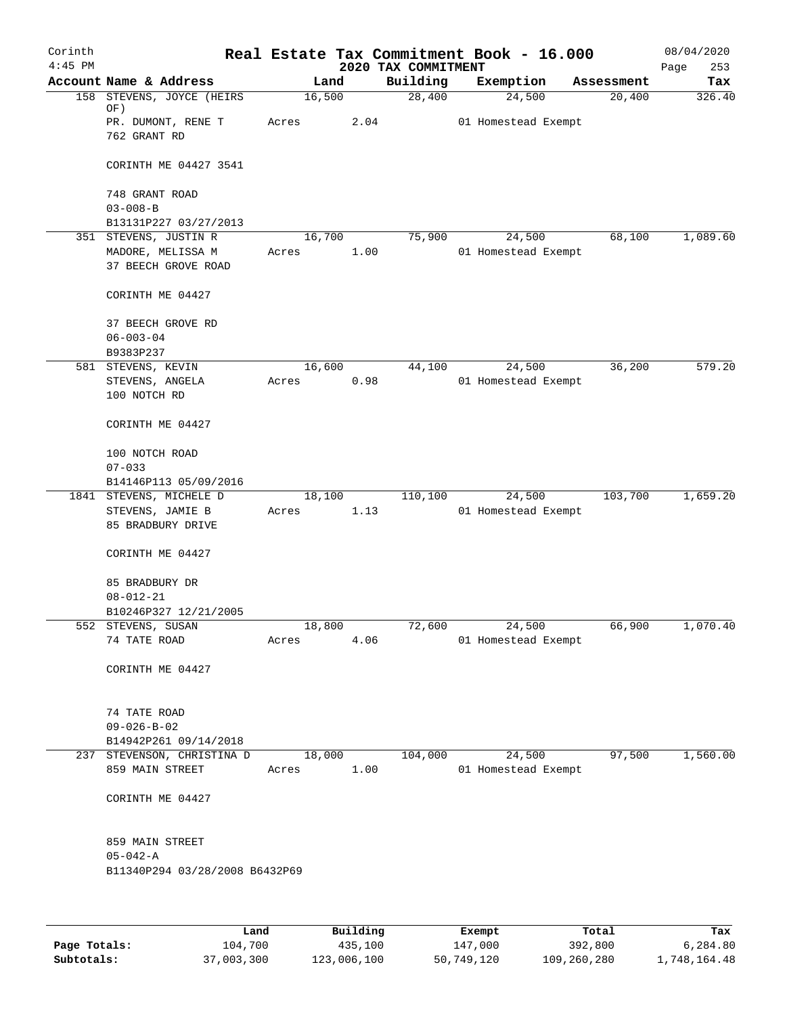| Corinth   |                                                     |       |        |          |                                 | Real Estate Tax Commitment Book - 16.000 |            | 08/04/2020         |
|-----------|-----------------------------------------------------|-------|--------|----------|---------------------------------|------------------------------------------|------------|--------------------|
| $4:45$ PM | Account Name & Address                              |       | Land   |          | 2020 TAX COMMITMENT<br>Building | Exemption                                | Assessment | 253<br>Page<br>Tax |
| 158       | STEVENS, JOYCE (HEIRS                               |       | 16,500 |          | 28,400                          | 24,500                                   | 20,400     | 326.40             |
|           | OF)                                                 |       |        |          |                                 |                                          |            |                    |
|           | PR. DUMONT, RENE T<br>762 GRANT RD                  | Acres |        | 2.04     |                                 | 01 Homestead Exempt                      |            |                    |
|           | CORINTH ME 04427 3541                               |       |        |          |                                 |                                          |            |                    |
|           | 748 GRANT ROAD                                      |       |        |          |                                 |                                          |            |                    |
|           | $03 - 008 - B$                                      |       |        |          |                                 |                                          |            |                    |
|           | B13131P227 03/27/2013                               |       |        |          |                                 |                                          |            |                    |
|           | 351 STEVENS, JUSTIN R<br>MADORE, MELISSA M          |       | 16,700 | 1.00     | 75,900                          | 24,500<br>01 Homestead Exempt            | 68,100     | 1,089.60           |
|           | 37 BEECH GROVE ROAD                                 | Acres |        |          |                                 |                                          |            |                    |
|           | CORINTH ME 04427                                    |       |        |          |                                 |                                          |            |                    |
|           | 37 BEECH GROVE RD                                   |       |        |          |                                 |                                          |            |                    |
|           | $06 - 003 - 04$                                     |       |        |          |                                 |                                          |            |                    |
|           | B9383P237                                           |       |        |          |                                 | 24,500                                   | 36,200     | 579.20             |
|           | 581 STEVENS, KEVIN<br>STEVENS, ANGELA               | Acres | 16,600 | 0.98     | 44,100                          | 01 Homestead Exempt                      |            |                    |
|           | 100 NOTCH RD                                        |       |        |          |                                 |                                          |            |                    |
|           | CORINTH ME 04427                                    |       |        |          |                                 |                                          |            |                    |
|           | 100 NOTCH ROAD                                      |       |        |          |                                 |                                          |            |                    |
|           | $07 - 033$                                          |       |        |          |                                 |                                          |            |                    |
|           | B14146P113 05/09/2016<br>1841 STEVENS, MICHELE D    |       | 18,100 |          | 110,100                         | 24,500                                   | 103,700    | 1,659.20           |
|           | STEVENS, JAMIE B                                    | Acres |        | 1.13     |                                 | 01 Homestead Exempt                      |            |                    |
|           | 85 BRADBURY DRIVE                                   |       |        |          |                                 |                                          |            |                    |
|           | CORINTH ME 04427                                    |       |        |          |                                 |                                          |            |                    |
|           | 85 BRADBURY DR                                      |       |        |          |                                 |                                          |            |                    |
|           | $08 - 012 - 21$<br>B10246P327 12/21/2005            |       |        |          |                                 |                                          |            |                    |
|           | 552 STEVENS, SUSAN                                  |       | 18,800 |          | 72,600                          | 24,500                                   | 66,900     | 1,070.40           |
|           | 74 TATE ROAD                                        | Acres |        | 4.06     |                                 | 01 Homestead Exempt                      |            |                    |
|           | CORINTH ME 04427                                    |       |        |          |                                 |                                          |            |                    |
|           |                                                     |       |        |          |                                 |                                          |            |                    |
|           | 74 TATE ROAD                                        |       |        |          |                                 |                                          |            |                    |
|           | $09 - 026 - B - 02$                                 |       |        |          |                                 |                                          |            |                    |
|           | B14942P261 09/14/2018<br>237 STEVENSON, CHRISTINA D |       | 18,000 |          | 104,000                         | 24,500                                   | 97,500     | 1,560.00           |
|           | 859 MAIN STREET                                     | Acres |        | 1.00     |                                 | 01 Homestead Exempt                      |            |                    |
|           | CORINTH ME 04427                                    |       |        |          |                                 |                                          |            |                    |
|           | 859 MAIN STREET                                     |       |        |          |                                 |                                          |            |                    |
|           | $05 - 042 - A$                                      |       |        |          |                                 |                                          |            |                    |
|           | B11340P294 03/28/2008 B6432P69                      |       |        |          |                                 |                                          |            |                    |
|           |                                                     |       |        |          |                                 |                                          |            |                    |
|           | Land                                                |       |        | Building |                                 | <b>Exempt.</b>                           | Total      | Tax                |

|              | Land       | Building    | Exempt     | Total       | Tax          |
|--------------|------------|-------------|------------|-------------|--------------|
| Page Totals: | 104,700    | 435,100     | 147,000    | 392,800     | 6,284.80     |
| Subtotals:   | 37,003,300 | 123,006,100 | 50,749,120 | 109,260,280 | 1,748,164.48 |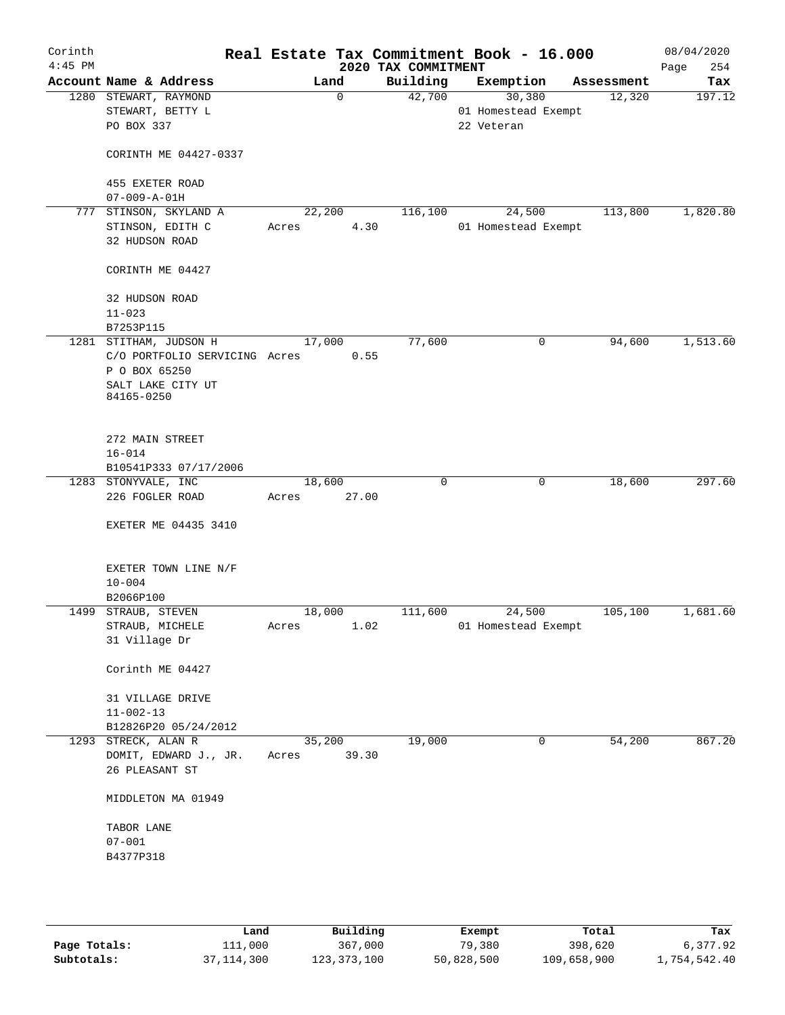| Corinth<br>$4:45$ PM |                                 |                               |        |             | Real Estate Tax Commitment Book - 16.000<br>2020 TAX COMMITMENT |                     |           |            | 08/04/2020<br>254<br>Page |
|----------------------|---------------------------------|-------------------------------|--------|-------------|-----------------------------------------------------------------|---------------------|-----------|------------|---------------------------|
|                      | Account Name & Address          |                               |        | Land        | Building                                                        |                     | Exemption | Assessment | Tax                       |
|                      | 1280 STEWART, RAYMOND           |                               |        | $\mathbf 0$ | 42,700                                                          |                     | 30,380    | 12,320     | 197.12                    |
|                      | STEWART, BETTY L                |                               |        |             |                                                                 | 01 Homestead Exempt |           |            |                           |
|                      | PO BOX 337                      |                               |        |             |                                                                 | 22 Veteran          |           |            |                           |
|                      | CORINTH ME 04427-0337           |                               |        |             |                                                                 |                     |           |            |                           |
|                      | 455 EXETER ROAD                 |                               |        |             |                                                                 |                     |           |            |                           |
|                      | $07 - 009 - A - 01H$            |                               |        |             |                                                                 |                     |           |            |                           |
| 777                  | STINSON, SKYLAND A              |                               | 22,200 |             | 116,100                                                         |                     | 24,500    | 113,800    | 1,820.80                  |
|                      | STINSON, EDITH C                |                               | Acres  | 4.30        |                                                                 | 01 Homestead Exempt |           |            |                           |
|                      | 32 HUDSON ROAD                  |                               |        |             |                                                                 |                     |           |            |                           |
|                      | CORINTH ME 04427                |                               |        |             |                                                                 |                     |           |            |                           |
|                      | 32 HUDSON ROAD                  |                               |        |             |                                                                 |                     |           |            |                           |
|                      | $11 - 023$                      |                               |        |             |                                                                 |                     |           |            |                           |
|                      | B7253P115                       |                               |        |             |                                                                 |                     |           |            |                           |
|                      | 1281 STITHAM, JUDSON H          |                               |        | 17,000      | 77,600                                                          |                     | 0         | 94,600     | 1,513.60                  |
|                      |                                 | C/O PORTFOLIO SERVICING Acres |        | 0.55        |                                                                 |                     |           |            |                           |
|                      | P O BOX 65250                   |                               |        |             |                                                                 |                     |           |            |                           |
|                      | SALT LAKE CITY UT<br>84165-0250 |                               |        |             |                                                                 |                     |           |            |                           |
|                      |                                 |                               |        |             |                                                                 |                     |           |            |                           |
|                      | 272 MAIN STREET                 |                               |        |             |                                                                 |                     |           |            |                           |
|                      | $16 - 014$                      |                               |        |             |                                                                 |                     |           |            |                           |
|                      | B10541P333 07/17/2006           |                               |        |             |                                                                 |                     |           |            |                           |
|                      | 1283 STONYVALE, INC             |                               | 18,600 |             | 0                                                               |                     | 0         | 18,600     | 297.60                    |
|                      | 226 FOGLER ROAD                 |                               | Acres  | 27.00       |                                                                 |                     |           |            |                           |
|                      | EXETER ME 04435 3410            |                               |        |             |                                                                 |                     |           |            |                           |
|                      | EXETER TOWN LINE N/F            |                               |        |             |                                                                 |                     |           |            |                           |
|                      | $10 - 004$                      |                               |        |             |                                                                 |                     |           |            |                           |
|                      | B2066P100                       |                               |        |             |                                                                 |                     |           |            |                           |
|                      | 1499 STRAUB, STEVEN             |                               | 18,000 |             | 111,600                                                         |                     | 24,500    | 105, 100   | 1,681.60                  |
|                      | STRAUB, MICHELE                 |                               | Acres  | 1.02        |                                                                 | 01 Homestead Exempt |           |            |                           |
|                      | 31 Village Dr                   |                               |        |             |                                                                 |                     |           |            |                           |
|                      | Corinth ME 04427                |                               |        |             |                                                                 |                     |           |            |                           |
|                      | 31 VILLAGE DRIVE                |                               |        |             |                                                                 |                     |           |            |                           |
|                      | $11 - 002 - 13$                 |                               |        |             |                                                                 |                     |           |            |                           |
|                      | B12826P20 05/24/2012            |                               |        |             |                                                                 |                     |           |            |                           |
|                      | 1293 STRECK, ALAN R             |                               |        | 35,200      | 19,000                                                          |                     | 0         | 54,200     | 867.20                    |
|                      | DOMIT, EDWARD J., JR.           |                               | Acres  | 39.30       |                                                                 |                     |           |            |                           |
|                      | 26 PLEASANT ST                  |                               |        |             |                                                                 |                     |           |            |                           |
|                      | MIDDLETON MA 01949              |                               |        |             |                                                                 |                     |           |            |                           |
|                      | TABOR LANE                      |                               |        |             |                                                                 |                     |           |            |                           |
|                      | $07 - 001$                      |                               |        |             |                                                                 |                     |           |            |                           |
|                      | B4377P318                       |                               |        |             |                                                                 |                     |           |            |                           |
|                      |                                 |                               |        |             |                                                                 |                     |           |            |                           |
|                      |                                 |                               |        |             |                                                                 |                     |           |            |                           |

|              | Land       | Building    | Exempt     | Total       | Tax          |
|--------------|------------|-------------|------------|-------------|--------------|
| Page Totals: | 111,000    | 367,000     | 79,380     | 398,620     | 6,377.92     |
| Subtotals:   | 37,114,300 | 123,373,100 | 50,828,500 | 109,658,900 | 1,754,542.40 |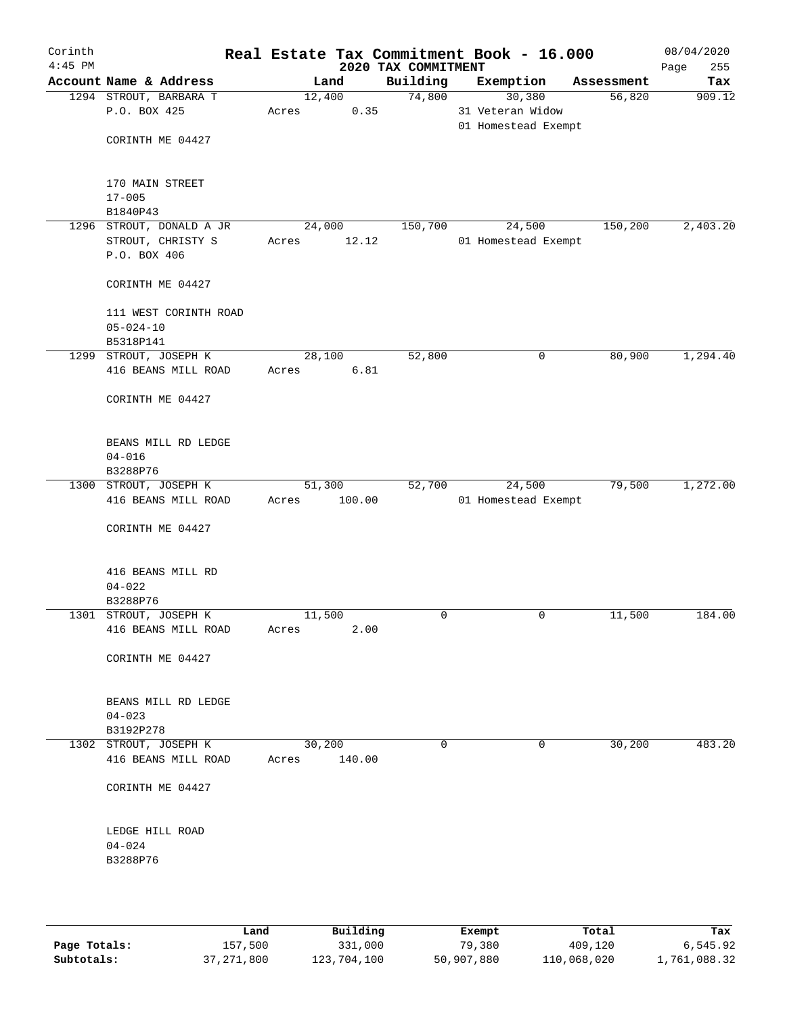| Corinth<br>$4:45$ PM |                                                               |                           | 2020 TAX COMMITMENT | Real Estate Tax Commitment Book - 16.000          |            | 08/04/2020<br>255<br>Page |
|----------------------|---------------------------------------------------------------|---------------------------|---------------------|---------------------------------------------------|------------|---------------------------|
|                      | Account Name & Address                                        | Land                      | Building            | Exemption                                         | Assessment | Tax                       |
|                      | 1294 STROUT, BARBARA T<br>P.O. BOX 425<br>CORINTH ME 04427    | 12,400<br>0.35<br>Acres   | 74,800              | 30,380<br>31 Veteran Widow<br>01 Homestead Exempt | 56,820     | 909.12                    |
|                      | 170 MAIN STREET<br>$17 - 005$                                 |                           |                     |                                                   |            |                           |
|                      | B1840P43                                                      |                           |                     |                                                   |            |                           |
|                      | 1296 STROUT, DONALD A JR<br>STROUT, CHRISTY S<br>P.O. BOX 406 | 24,000<br>12.12<br>Acres  | 150,700             | 24,500<br>01 Homestead Exempt                     | 150,200    | 2,403.20                  |
|                      | CORINTH ME 04427                                              |                           |                     |                                                   |            |                           |
|                      | 111 WEST CORINTH ROAD<br>$05 - 024 - 10$<br>B5318P141         |                           |                     |                                                   |            |                           |
|                      | 1299 STROUT, JOSEPH K                                         | 28,100                    | 52,800              | 0                                                 | 80,900     | 1,294.40                  |
|                      | 416 BEANS MILL ROAD                                           | 6.81<br>Acres             |                     |                                                   |            |                           |
|                      | CORINTH ME 04427                                              |                           |                     |                                                   |            |                           |
|                      | BEANS MILL RD LEDGE<br>$04 - 016$<br>B3288P76                 |                           |                     |                                                   |            |                           |
|                      | 1300 STROUT, JOSEPH K                                         | 51,300                    | 52,700              | 24,500                                            | 79,500     | 1,272.00                  |
|                      | 416 BEANS MILL ROAD                                           | 100.00<br>Acres           |                     | 01 Homestead Exempt                               |            |                           |
|                      | CORINTH ME 04427                                              |                           |                     |                                                   |            |                           |
|                      | 416 BEANS MILL RD<br>$04 - 022$                               |                           |                     |                                                   |            |                           |
|                      | B3288P76<br>1301 STROUT, JOSEPH K                             | 11,500                    | 0                   | 0                                                 | 11,500     | 184.00                    |
|                      | 416 BEANS MILL ROAD                                           | 2.00<br>Acres             |                     |                                                   |            |                           |
|                      | CORINTH ME 04427                                              |                           |                     |                                                   |            |                           |
|                      | BEANS MILL RD LEDGE<br>$04 - 023$                             |                           |                     |                                                   |            |                           |
|                      | B3192P278                                                     |                           |                     |                                                   |            |                           |
|                      | 1302 STROUT, JOSEPH K<br>416 BEANS MILL ROAD                  | 30,200<br>140.00<br>Acres | 0                   | $\Omega$                                          | 30,200     | 483.20                    |
|                      | CORINTH ME 04427                                              |                           |                     |                                                   |            |                           |
|                      | LEDGE HILL ROAD<br>$04 - 024$<br>B3288P76                     |                           |                     |                                                   |            |                           |
|                      |                                                               |                           |                     |                                                   |            |                           |

|              | Land         | Building    | Exempt     | Total       | Tax          |
|--------------|--------------|-------------|------------|-------------|--------------|
| Page Totals: | 157,500      | 331,000     | 79,380     | 409,120     | 6,545.92     |
| Subtotals:   | 37, 271, 800 | 123,704,100 | 50,907,880 | 110,068,020 | 1,761,088.32 |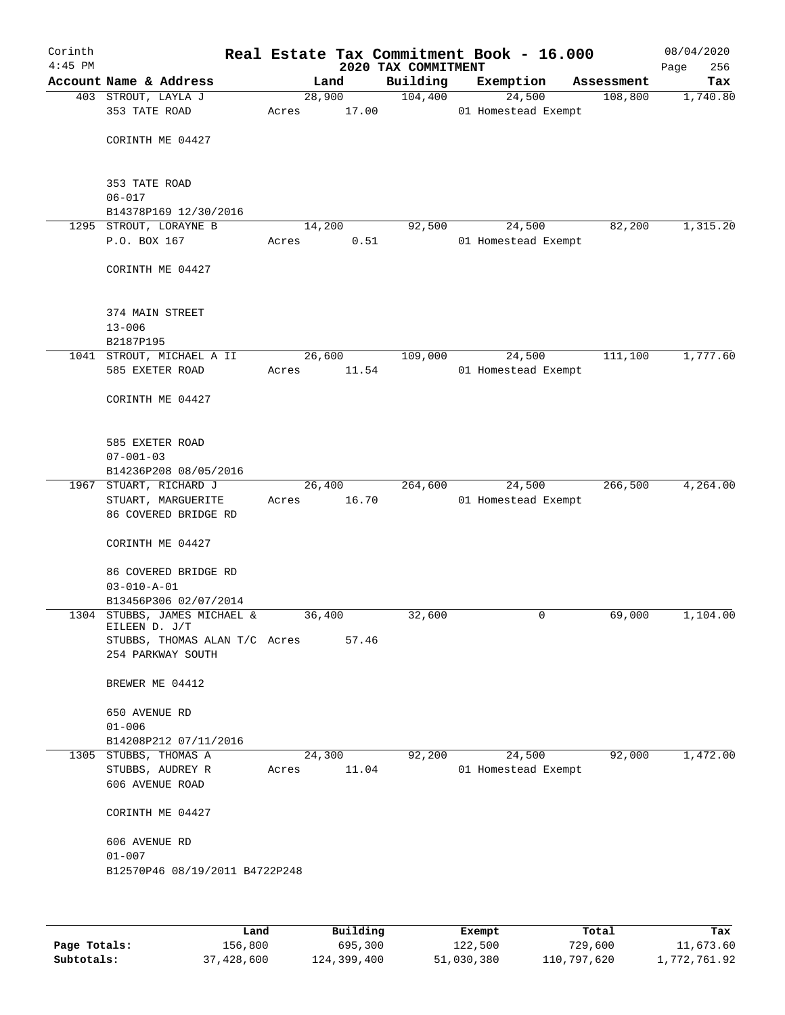| Corinth<br>$4:45$ PM |                                               |       |        | Real Estate Tax Commitment Book - 16.000<br>2020 TAX COMMITMENT |           |                     |            | 08/04/2020<br>256<br>Page |
|----------------------|-----------------------------------------------|-------|--------|-----------------------------------------------------------------|-----------|---------------------|------------|---------------------------|
|                      | Account Name & Address                        |       | Land   | Building                                                        | Exemption |                     | Assessment | Tax                       |
|                      | 403 STROUT, LAYLA J                           |       | 28,900 | 104,400                                                         |           | 24,500              | 108,800    | 1,740.80                  |
|                      | 353 TATE ROAD                                 | Acres | 17.00  |                                                                 |           | 01 Homestead Exempt |            |                           |
|                      |                                               |       |        |                                                                 |           |                     |            |                           |
|                      | CORINTH ME 04427                              |       |        |                                                                 |           |                     |            |                           |
|                      |                                               |       |        |                                                                 |           |                     |            |                           |
|                      | 353 TATE ROAD                                 |       |        |                                                                 |           |                     |            |                           |
|                      | $06 - 017$                                    |       |        |                                                                 |           |                     |            |                           |
|                      | B14378P169 12/30/2016                         |       |        |                                                                 |           |                     |            |                           |
|                      | 1295 STROUT, LORAYNE B                        |       | 14,200 | 92,500                                                          |           | 24,500              | 82,200     | 1,315.20                  |
|                      | P.O. BOX 167                                  | Acres | 0.51   |                                                                 |           | 01 Homestead Exempt |            |                           |
|                      |                                               |       |        |                                                                 |           |                     |            |                           |
|                      | CORINTH ME 04427                              |       |        |                                                                 |           |                     |            |                           |
|                      |                                               |       |        |                                                                 |           |                     |            |                           |
|                      | 374 MAIN STREET                               |       |        |                                                                 |           |                     |            |                           |
|                      | $13 - 006$                                    |       |        |                                                                 |           |                     |            |                           |
|                      | B2187P195                                     |       |        |                                                                 |           |                     |            |                           |
|                      | 1041 STROUT, MICHAEL A II                     |       | 26,600 | 109,000                                                         |           | 24,500              | 111,100    | 1,777.60                  |
|                      | 585 EXETER ROAD                               | Acres | 11.54  |                                                                 |           | 01 Homestead Exempt |            |                           |
|                      |                                               |       |        |                                                                 |           |                     |            |                           |
|                      | CORINTH ME 04427                              |       |        |                                                                 |           |                     |            |                           |
|                      |                                               |       |        |                                                                 |           |                     |            |                           |
|                      | 585 EXETER ROAD                               |       |        |                                                                 |           |                     |            |                           |
|                      | $07 - 001 - 03$                               |       |        |                                                                 |           |                     |            |                           |
|                      | B14236P208 08/05/2016                         |       |        |                                                                 |           |                     |            |                           |
|                      | 1967 STUART, RICHARD J                        |       | 26,400 | 264,600                                                         |           | 24,500              | 266,500    | 4,264.00                  |
|                      | STUART, MARGUERITE                            | Acres | 16.70  |                                                                 |           | 01 Homestead Exempt |            |                           |
|                      | 86 COVERED BRIDGE RD                          |       |        |                                                                 |           |                     |            |                           |
|                      | CORINTH ME 04427                              |       |        |                                                                 |           |                     |            |                           |
|                      |                                               |       |        |                                                                 |           |                     |            |                           |
|                      | 86 COVERED BRIDGE RD                          |       |        |                                                                 |           |                     |            |                           |
|                      | $03 - 010 - A - 01$                           |       |        |                                                                 |           |                     |            |                           |
|                      | B13456P306 02/07/2014                         |       |        |                                                                 |           |                     |            |                           |
|                      | 1304 STUBBS, JAMES MICHAEL &<br>EILEEN D. J/T |       | 36,400 | 32,600                                                          |           | 0                   | 69,000     | 1,104.00                  |
|                      | STUBBS, THOMAS ALAN T/C Acres                 |       | 57.46  |                                                                 |           |                     |            |                           |
|                      | 254 PARKWAY SOUTH                             |       |        |                                                                 |           |                     |            |                           |
|                      |                                               |       |        |                                                                 |           |                     |            |                           |
|                      | BREWER ME 04412                               |       |        |                                                                 |           |                     |            |                           |
|                      |                                               |       |        |                                                                 |           |                     |            |                           |
|                      | 650 AVENUE RD<br>$01 - 006$                   |       |        |                                                                 |           |                     |            |                           |
|                      | B14208P212 07/11/2016                         |       |        |                                                                 |           |                     |            |                           |
|                      | 1305 STUBBS, THOMAS A                         |       | 24,300 | 92,200                                                          |           | 24,500              | 92,000     | 1,472.00                  |
|                      | STUBBS, AUDREY R                              | Acres | 11.04  |                                                                 |           | 01 Homestead Exempt |            |                           |
|                      | 606 AVENUE ROAD                               |       |        |                                                                 |           |                     |            |                           |
|                      |                                               |       |        |                                                                 |           |                     |            |                           |
|                      | CORINTH ME 04427                              |       |        |                                                                 |           |                     |            |                           |
|                      | 606 AVENUE RD                                 |       |        |                                                                 |           |                     |            |                           |
|                      | $01 - 007$                                    |       |        |                                                                 |           |                     |            |                           |
|                      | B12570P46 08/19/2011 B4722P248                |       |        |                                                                 |           |                     |            |                           |
|                      |                                               |       |        |                                                                 |           |                     |            |                           |
|                      |                                               |       |        |                                                                 |           |                     |            |                           |
|                      |                                               |       |        |                                                                 |           |                     |            |                           |

|              | Land       | Building    | Exempt     | Total       | Tax          |
|--------------|------------|-------------|------------|-------------|--------------|
| Page Totals: | 156.800    | 695,300     | 122,500    | 729,600     | 11,673.60    |
| Subtotals:   | 37,428,600 | 124,399,400 | 51,030,380 | 110,797,620 | 1,772,761.92 |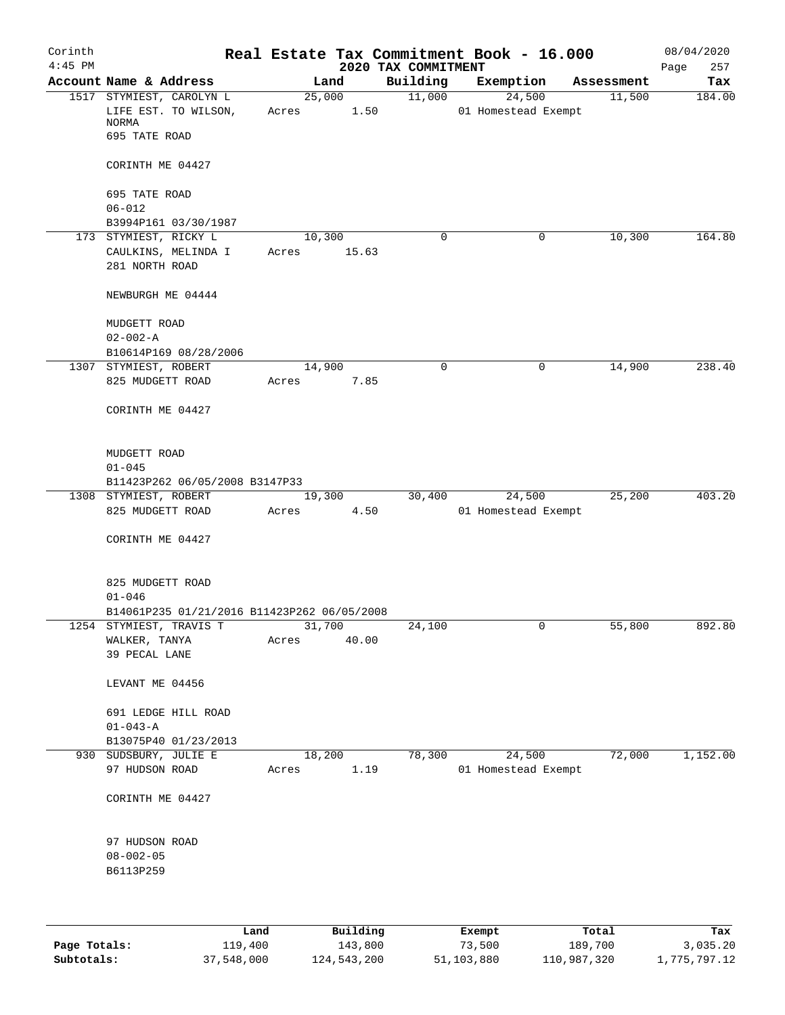| Corinth<br>$4:45$ PM |                                                         |       |                 | 2020 TAX COMMITMENT | Real Estate Tax Commitment Book - 16.000 |            | 08/04/2020<br>257<br>Page |
|----------------------|---------------------------------------------------------|-------|-----------------|---------------------|------------------------------------------|------------|---------------------------|
|                      | Account Name & Address                                  |       | Land            | Building            | Exemption                                | Assessment | Tax                       |
|                      | 1517 STYMIEST, CAROLYN L                                |       | 25,000          | 11,000              | 24,500                                   | 11,500     | 184.00                    |
|                      | LIFE EST. TO WILSON,<br>NORMA                           | Acres | 1.50            |                     | 01 Homestead Exempt                      |            |                           |
|                      | 695 TATE ROAD                                           |       |                 |                     |                                          |            |                           |
|                      | CORINTH ME 04427                                        |       |                 |                     |                                          |            |                           |
|                      | 695 TATE ROAD                                           |       |                 |                     |                                          |            |                           |
|                      | $06 - 012$                                              |       |                 |                     |                                          |            |                           |
|                      | B3994P161 03/30/1987<br>173 STYMIEST, RICKY L           |       | 10,300          | 0                   | $\mathbf 0$                              | 10,300     | 164.80                    |
|                      | CAULKINS, MELINDA I                                     | Acres | 15.63           |                     |                                          |            |                           |
|                      | 281 NORTH ROAD                                          |       |                 |                     |                                          |            |                           |
|                      | NEWBURGH ME 04444                                       |       |                 |                     |                                          |            |                           |
|                      | MUDGETT ROAD                                            |       |                 |                     |                                          |            |                           |
|                      | $02 - 002 - A$                                          |       |                 |                     |                                          |            |                           |
|                      | B10614P169 08/28/2006<br>1307 STYMIEST, ROBERT          |       | 14,900          | $\mathbf 0$         | 0                                        | 14,900     | 238.40                    |
|                      | 825 MUDGETT ROAD                                        | Acres | 7.85            |                     |                                          |            |                           |
|                      | CORINTH ME 04427                                        |       |                 |                     |                                          |            |                           |
|                      | MUDGETT ROAD                                            |       |                 |                     |                                          |            |                           |
|                      | $01 - 045$                                              |       |                 |                     |                                          |            |                           |
|                      | B11423P262 06/05/2008 B3147P33<br>1308 STYMIEST, ROBERT |       | 19,300          | 30,400              | 24,500                                   | 25,200     | 403.20                    |
|                      | 825 MUDGETT ROAD                                        | Acres | 4.50            |                     | 01 Homestead Exempt                      |            |                           |
|                      | CORINTH ME 04427                                        |       |                 |                     |                                          |            |                           |
|                      | 825 MUDGETT ROAD                                        |       |                 |                     |                                          |            |                           |
|                      | $01 - 046$                                              |       |                 |                     |                                          |            |                           |
|                      | B14061P235 01/21/2016 B11423P262 06/05/2008             |       |                 |                     |                                          |            |                           |
| 1254                 | STYMIEST, TRAVIS T<br>WALKER, TANYA                     | Acres | 31,700<br>40.00 | 24,100              | 0                                        | 55,800     | 892.80                    |
|                      | 39 PECAL LANE                                           |       |                 |                     |                                          |            |                           |
|                      | LEVANT ME 04456                                         |       |                 |                     |                                          |            |                           |
|                      | 691 LEDGE HILL ROAD                                     |       |                 |                     |                                          |            |                           |
|                      | $01 - 043 - A$                                          |       |                 |                     |                                          |            |                           |
|                      | B13075P40 01/23/2013<br>930 SUDSBURY, JULIE E           |       | 18,200          | 78,300              | 24,500                                   | 72,000     | 1,152.00                  |
|                      | 97 HUDSON ROAD                                          | Acres | 1.19            |                     | 01 Homestead Exempt                      |            |                           |
|                      | CORINTH ME 04427                                        |       |                 |                     |                                          |            |                           |
|                      | 97 HUDSON ROAD                                          |       |                 |                     |                                          |            |                           |
|                      | $08 - 002 - 05$<br>B6113P259                            |       |                 |                     |                                          |            |                           |
|                      |                                                         |       |                 |                     |                                          |            |                           |
|                      | Land                                                    |       | $P1$ ilding     |                     | <b>Fromnt</b>                            | $T$ ctal   | <b>Tax</b>                |

|              | Land       | Building    | Exempt     | Total       | Tax          |
|--------------|------------|-------------|------------|-------------|--------------|
| Page Totals: | 119,400    | 143,800     | 73,500     | 189,700     | 3,035.20     |
| Subtotals:   | 37,548,000 | 124,543,200 | 51,103,880 | 110,987,320 | 1,775,797.12 |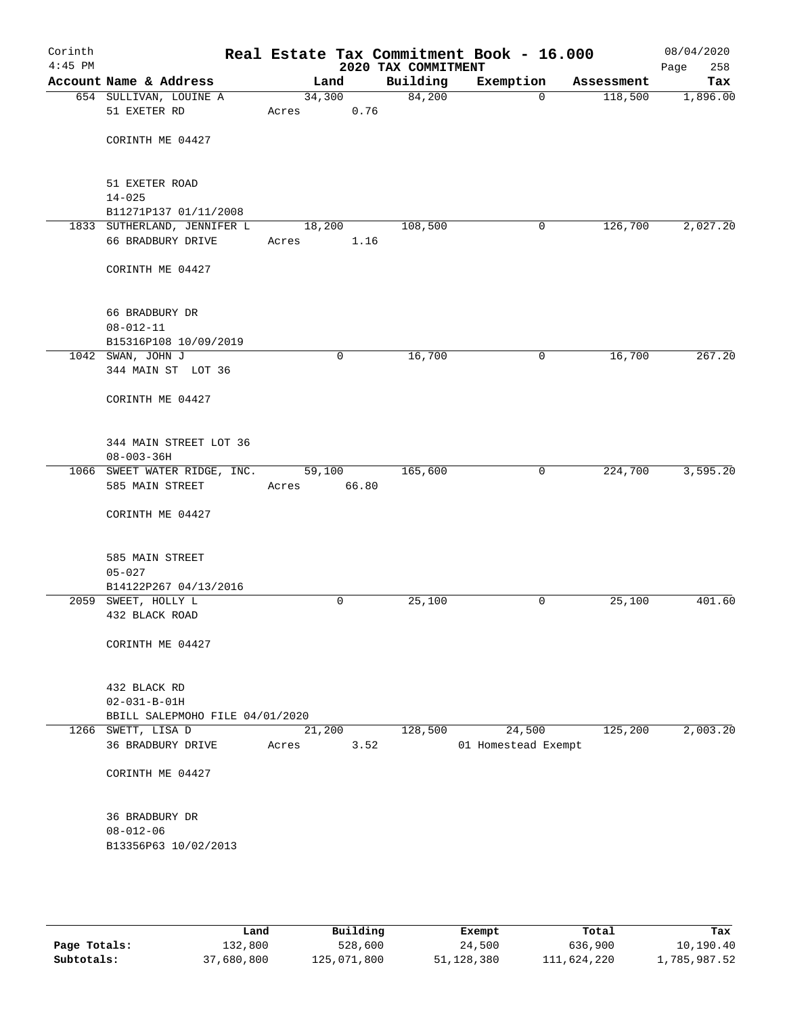| Corinth<br>$4:45$ PM |                                                  |                 |             | 2020 TAX COMMITMENT | Real Estate Tax Commitment Book - 16.000 |            | 08/04/2020<br>Page<br>258 |
|----------------------|--------------------------------------------------|-----------------|-------------|---------------------|------------------------------------------|------------|---------------------------|
|                      | Account Name & Address                           | Land            |             | Building            | Exemption                                | Assessment | Tax                       |
|                      | 654 SULLIVAN, LOUINE A<br>51 EXETER RD           | 34,300<br>Acres | 0.76        | 84,200              | $\Omega$                                 | 118,500    | 1,896.00                  |
|                      | CORINTH ME 04427                                 |                 |             |                     |                                          |            |                           |
|                      | 51 EXETER ROAD<br>$14 - 025$                     |                 |             |                     |                                          |            |                           |
|                      | B11271P137 01/11/2008                            |                 |             |                     |                                          |            |                           |
|                      | 1833 SUTHERLAND, JENNIFER L<br>66 BRADBURY DRIVE | 18,200<br>Acres | 1.16        | 108,500             | 0                                        | 126,700    | 2,027.20                  |
|                      | CORINTH ME 04427                                 |                 |             |                     |                                          |            |                           |
|                      | 66 BRADBURY DR<br>$08 - 012 - 11$                |                 |             |                     |                                          |            |                           |
|                      | B15316P108 10/09/2019                            |                 |             |                     |                                          |            |                           |
|                      | 1042 SWAN, JOHN J<br>344 MAIN ST LOT 36          |                 | $\mathbf 0$ | 16,700              | $\mathbf 0$                              | 16,700     | 267.20                    |
|                      | CORINTH ME 04427                                 |                 |             |                     |                                          |            |                           |
|                      | 344 MAIN STREET LOT 36<br>$08 - 003 - 36H$       |                 |             |                     |                                          |            |                           |
|                      | 1066 SWEET WATER RIDGE, INC.<br>585 MAIN STREET  | 59,100<br>Acres | 66.80       | 165,600             | $\mathbf 0$                              | 224,700    | 3,595.20                  |
|                      | CORINTH ME 04427                                 |                 |             |                     |                                          |            |                           |
|                      | 585 MAIN STREET<br>$05 - 027$                    |                 |             |                     |                                          |            |                           |
|                      | B14122P267 04/13/2016                            |                 |             |                     |                                          |            |                           |
|                      | 2059 SWEET, HOLLY L<br>432 BLACK ROAD            |                 | 0           | 25,100              | 0                                        | 25,100     | 401.60                    |
|                      | CORINTH ME 04427                                 |                 |             |                     |                                          |            |                           |
|                      | 432 BLACK RD<br>$02 - 031 - B - 01H$             |                 |             |                     |                                          |            |                           |
|                      | BBILL SALEPMOHO FILE 04/01/2020                  |                 |             |                     |                                          |            |                           |
|                      | 1266 SWETT, LISA D<br>36 BRADBURY DRIVE          | 21,200<br>Acres | 3.52        | 128,500             | 24,500<br>01 Homestead Exempt            | 125,200    | 2,003.20                  |
|                      | CORINTH ME 04427                                 |                 |             |                     |                                          |            |                           |
|                      | 36 BRADBURY DR<br>$08 - 012 - 06$                |                 |             |                     |                                          |            |                           |
|                      | B13356P63 10/02/2013                             |                 |             |                     |                                          |            |                           |

|              | Land       | Building    | Exempt     | Total       | Tax          |
|--------------|------------|-------------|------------|-------------|--------------|
| Page Totals: | 132,800    | 528,600     | 24,500     | 636,900     | 10,190.40    |
| Subtotals:   | 37,680,800 | 125,071,800 | 51,128,380 | 111,624,220 | 1,785,987.52 |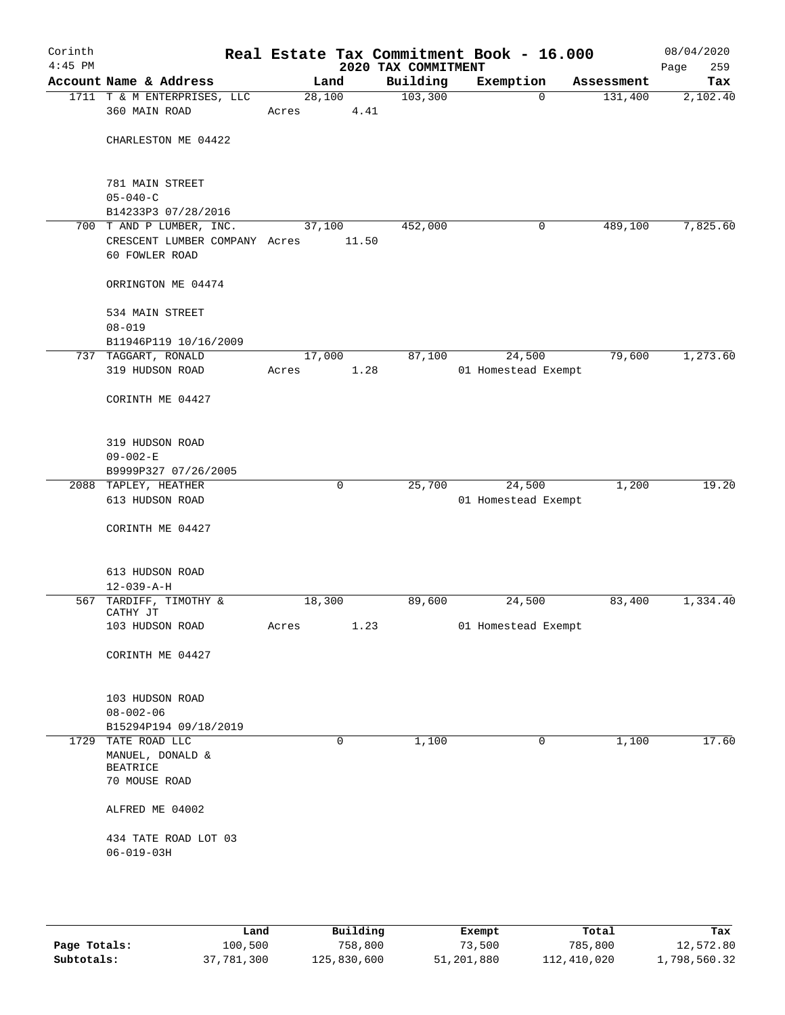| Corinth<br>$4:45$ PM |                                                      |                 |       | 2020 TAX COMMITMENT | Real Estate Tax Commitment Book - 16.000 |            | 08/04/2020<br>259<br>Page |
|----------------------|------------------------------------------------------|-----------------|-------|---------------------|------------------------------------------|------------|---------------------------|
|                      | Account Name & Address                               | Land            |       | Building            | Exemption                                | Assessment | Tax                       |
|                      | 1711 T & M ENTERPRISES, LLC<br>360 MAIN ROAD         | 28,100<br>Acres | 4.41  | 103,300             | $\mathbf 0$                              | 131,400    | 2,102.40                  |
|                      | CHARLESTON ME 04422                                  |                 |       |                     |                                          |            |                           |
|                      | 781 MAIN STREET                                      |                 |       |                     |                                          |            |                           |
|                      | $05 - 040 - C$<br>B14233P3 07/28/2016                |                 |       |                     |                                          |            |                           |
|                      | 700 T AND P LUMBER, INC.                             | 37,100          |       | 452,000             | 0                                        | 489,100    | 7,825.60                  |
|                      | CRESCENT LUMBER COMPANY Acres<br>60 FOWLER ROAD      |                 | 11.50 |                     |                                          |            |                           |
|                      | ORRINGTON ME 04474                                   |                 |       |                     |                                          |            |                           |
|                      | 534 MAIN STREET<br>$08 - 019$                        |                 |       |                     |                                          |            |                           |
|                      | B11946P119 10/16/2009                                |                 |       |                     |                                          |            |                           |
|                      | 737 TAGGART, RONALD                                  | 17,000          |       | 87,100              | 24,500                                   | 79,600     | 1,273.60                  |
|                      | 319 HUDSON ROAD                                      | Acres           | 1.28  |                     | 01 Homestead Exempt                      |            |                           |
|                      | CORINTH ME 04427                                     |                 |       |                     |                                          |            |                           |
|                      | 319 HUDSON ROAD                                      |                 |       |                     |                                          |            |                           |
|                      | $09 - 002 - E$                                       |                 |       |                     |                                          |            |                           |
|                      | B9999P327 07/26/2005                                 |                 |       |                     |                                          |            |                           |
|                      | 2088 TAPLEY, HEATHER<br>613 HUDSON ROAD              |                 | 0     | 25,700              | 24,500<br>01 Homestead Exempt            | 1,200      | 19.20                     |
|                      | CORINTH ME 04427                                     |                 |       |                     |                                          |            |                           |
|                      | 613 HUDSON ROAD                                      |                 |       |                     |                                          |            |                           |
|                      | $12 - 039 - A - H$                                   |                 |       |                     |                                          |            |                           |
|                      | 567 TARDIFF, TIMOTHY &<br>CATHY JT                   | 18,300          |       | 89,600              | 24,500                                   | 83,400     | 1,334.40                  |
|                      | 103 HUDSON ROAD                                      | Acres           | 1.23  |                     | 01 Homestead Exempt                      |            |                           |
|                      | CORINTH ME 04427                                     |                 |       |                     |                                          |            |                           |
|                      | 103 HUDSON ROAD                                      |                 |       |                     |                                          |            |                           |
|                      | $08 - 002 - 06$                                      |                 |       |                     |                                          |            |                           |
|                      | B15294P194 09/18/2019                                |                 |       |                     |                                          |            |                           |
| 1729                 | TATE ROAD LLC<br>MANUEL, DONALD &<br><b>BEATRICE</b> |                 | 0     | 1,100               | 0                                        | 1,100      | 17.60                     |
|                      | 70 MOUSE ROAD                                        |                 |       |                     |                                          |            |                           |
|                      | ALFRED ME 04002                                      |                 |       |                     |                                          |            |                           |
|                      | 434 TATE ROAD LOT 03<br>$06 - 019 - 03H$             |                 |       |                     |                                          |            |                           |
|                      |                                                      |                 |       |                     |                                          |            |                           |
|                      |                                                      |                 |       |                     |                                          |            |                           |

|              | Land       | Building    | Exempt     | Total       | Tax          |
|--------------|------------|-------------|------------|-------------|--------------|
| Page Totals: | 100,500    | 758,800     | 73,500     | 785,800     | 12,572.80    |
| Subtotals:   | 37,781,300 | 125,830,600 | 51,201,880 | 112,410,020 | 1,798,560.32 |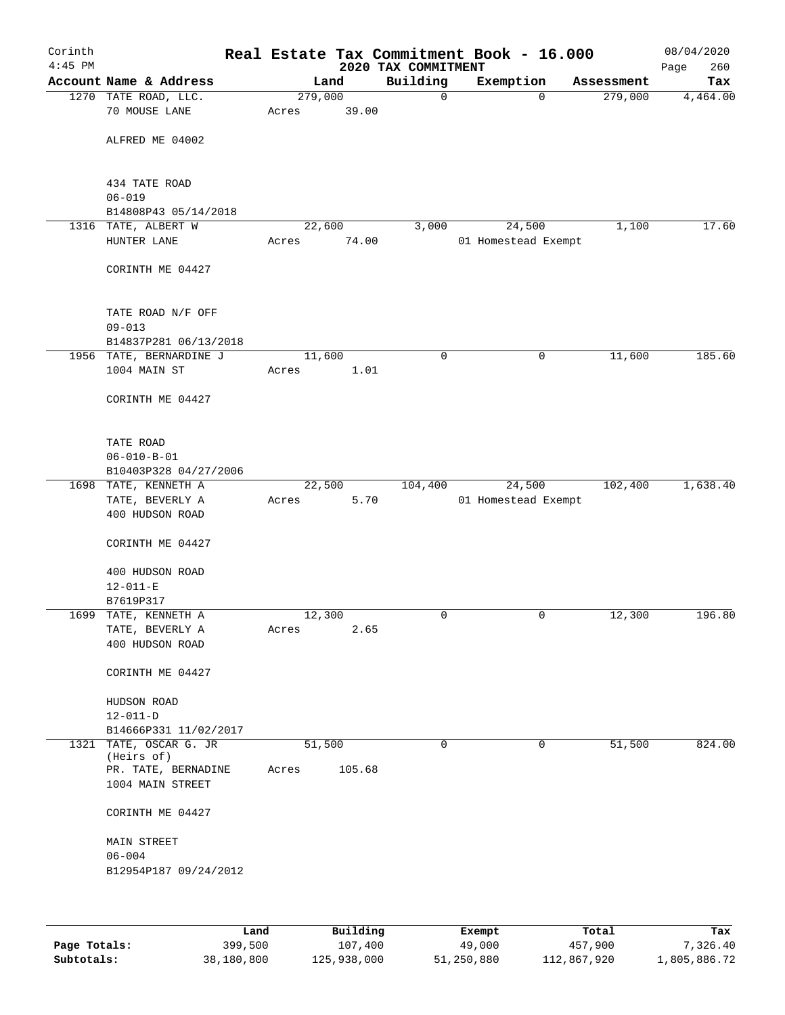| Corinth<br>$4:45$ PM |                                         |                  |        | 2020 TAX COMMITMENT | Real Estate Tax Commitment Book - 16.000 |                        | 08/04/2020<br>260<br>Page |
|----------------------|-----------------------------------------|------------------|--------|---------------------|------------------------------------------|------------------------|---------------------------|
|                      | Account Name & Address                  |                  | Land   | Building            | Exemption                                | Assessment             | Tax                       |
|                      | 1270 TATE ROAD, LLC.<br>70 MOUSE LANE   | 279,000<br>Acres | 39.00  | $\mathsf{O}$        |                                          | 279,000<br>$\mathbf 0$ | 4,464.00                  |
|                      | ALFRED ME 04002                         |                  |        |                     |                                          |                        |                           |
|                      | 434 TATE ROAD<br>$06 - 019$             |                  |        |                     |                                          |                        |                           |
|                      | B14808P43 05/14/2018                    |                  |        |                     |                                          |                        |                           |
| 1316                 | TATE, ALBERT W                          | 22,600           |        | 3,000               | 24,500                                   | 1,100                  | 17.60                     |
|                      | HUNTER LANE                             | Acres            | 74.00  |                     | 01 Homestead Exempt                      |                        |                           |
|                      | CORINTH ME 04427                        |                  |        |                     |                                          |                        |                           |
|                      | TATE ROAD N/F OFF<br>$09 - 013$         |                  |        |                     |                                          |                        |                           |
|                      | B14837P281 06/13/2018                   |                  |        |                     |                                          |                        |                           |
|                      | 1956 TATE, BERNARDINE J<br>1004 MAIN ST | 11,600           | 1.01   | 0                   |                                          | 0<br>11,600            | 185.60                    |
|                      |                                         | Acres            |        |                     |                                          |                        |                           |
|                      | CORINTH ME 04427                        |                  |        |                     |                                          |                        |                           |
|                      | TATE ROAD<br>$06 - 010 - B - 01$        |                  |        |                     |                                          |                        |                           |
|                      | B10403P328 04/27/2006                   |                  |        |                     |                                          |                        |                           |
|                      | 1698 TATE, KENNETH A                    | 22,500           |        | 104,400             | 24,500                                   | 102,400                | 1,638.40                  |
|                      | TATE, BEVERLY A                         | Acres            | 5.70   |                     | 01 Homestead Exempt                      |                        |                           |
|                      | 400 HUDSON ROAD                         |                  |        |                     |                                          |                        |                           |
|                      | CORINTH ME 04427                        |                  |        |                     |                                          |                        |                           |
|                      | 400 HUDSON ROAD                         |                  |        |                     |                                          |                        |                           |
|                      | $12 - 011 - E$                          |                  |        |                     |                                          |                        |                           |
|                      | B7619P317<br>1699 TATE, KENNETH A       | 12,300           |        | 0                   |                                          | 0<br>12,300            | 196.80                    |
|                      | TATE, BEVERLY A                         | Acres            | 2.65   |                     |                                          |                        |                           |
|                      | 400 HUDSON ROAD                         |                  |        |                     |                                          |                        |                           |
|                      | CORINTH ME 04427                        |                  |        |                     |                                          |                        |                           |
|                      | HUDSON ROAD                             |                  |        |                     |                                          |                        |                           |
|                      | $12 - 011 - D$                          |                  |        |                     |                                          |                        |                           |
|                      | B14666P331 11/02/2017                   |                  |        |                     |                                          |                        |                           |
|                      | 1321 TATE, OSCAR G. JR<br>(Heirs of)    | 51,500           |        | 0                   |                                          | 51,500<br>0            | 824.00                    |
|                      | PR. TATE, BERNADINE<br>1004 MAIN STREET | Acres            | 105.68 |                     |                                          |                        |                           |
|                      | CORINTH ME 04427                        |                  |        |                     |                                          |                        |                           |
|                      | MAIN STREET                             |                  |        |                     |                                          |                        |                           |
|                      | $06 - 004$                              |                  |        |                     |                                          |                        |                           |
|                      | B12954P187 09/24/2012                   |                  |        |                     |                                          |                        |                           |
|                      |                                         |                  |        |                     |                                          |                        |                           |
|                      |                                         |                  |        |                     |                                          |                        |                           |

|              | Land       | Building    | Exempt     | Total       | Tax          |
|--------------|------------|-------------|------------|-------------|--------------|
| Page Totals: | 399,500    | 107,400     | 49,000     | 457,900     | 7,326.40     |
| Subtotals:   | 38,180,800 | 125,938,000 | 51,250,880 | 112,867,920 | 1,805,886.72 |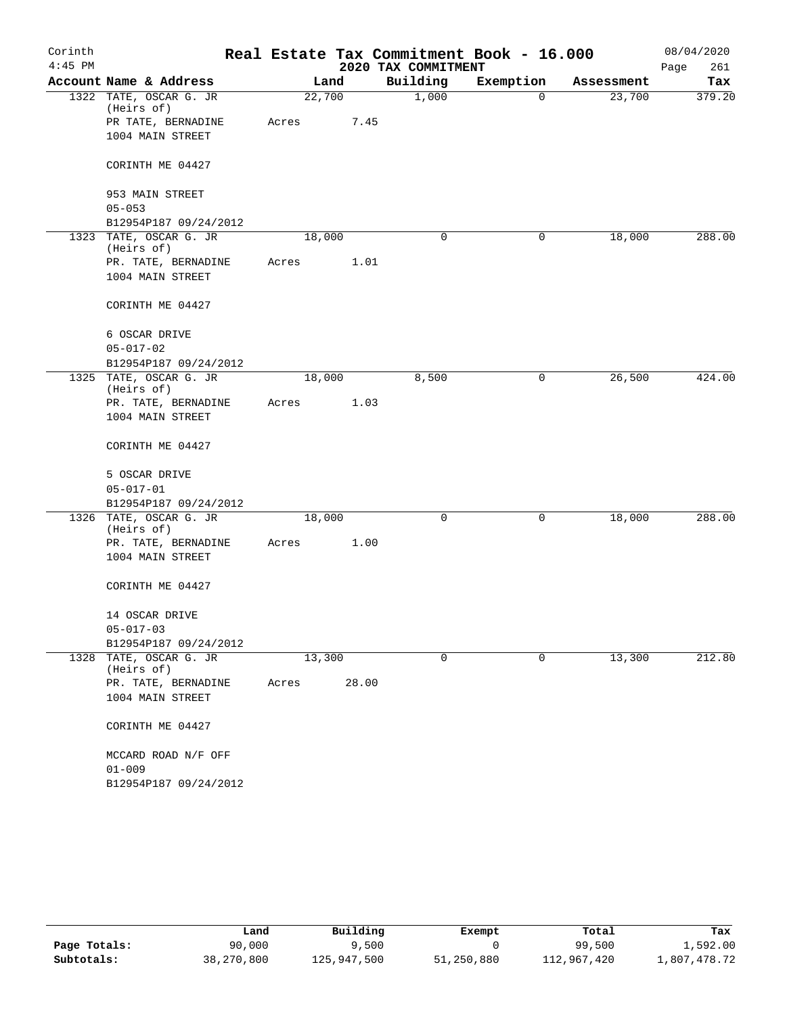| Corinth<br>$4:45$ PM |                                      |        |       | 2020 TAX COMMITMENT | Real Estate Tax Commitment Book - 16.000 |            | 08/04/2020<br>261<br>Page |
|----------------------|--------------------------------------|--------|-------|---------------------|------------------------------------------|------------|---------------------------|
|                      | Account Name & Address               |        | Land  | Building            | Exemption                                | Assessment | Tax                       |
|                      | 1322 TATE, OSCAR G. JR<br>(Heirs of) | 22,700 |       | 1,000               | 0                                        | 23,700     | 379.20                    |
|                      | PR TATE, BERNADINE                   | Acres  | 7.45  |                     |                                          |            |                           |
|                      | 1004 MAIN STREET                     |        |       |                     |                                          |            |                           |
|                      | CORINTH ME 04427                     |        |       |                     |                                          |            |                           |
|                      | 953 MAIN STREET                      |        |       |                     |                                          |            |                           |
|                      | $05 - 053$                           |        |       |                     |                                          |            |                           |
|                      | B12954P187 09/24/2012                |        |       |                     |                                          |            |                           |
|                      | 1323 TATE, OSCAR G. JR<br>(Heirs of) | 18,000 |       | $\mathbf 0$         | 0                                        | 18,000     | 288.00                    |
|                      | PR. TATE, BERNADINE                  | Acres  | 1.01  |                     |                                          |            |                           |
|                      | 1004 MAIN STREET                     |        |       |                     |                                          |            |                           |
|                      | CORINTH ME 04427                     |        |       |                     |                                          |            |                           |
|                      | 6 OSCAR DRIVE                        |        |       |                     |                                          |            |                           |
|                      | $05 - 017 - 02$                      |        |       |                     |                                          |            |                           |
|                      | B12954P187 09/24/2012                |        |       |                     |                                          |            |                           |
|                      | 1325 TATE, OSCAR G. JR               | 18,000 |       | 8,500               | 0                                        | 26,500     | 424.00                    |
|                      | (Heirs of)<br>PR. TATE, BERNADINE    | Acres  | 1.03  |                     |                                          |            |                           |
|                      | 1004 MAIN STREET                     |        |       |                     |                                          |            |                           |
|                      | CORINTH ME 04427                     |        |       |                     |                                          |            |                           |
|                      | 5 OSCAR DRIVE                        |        |       |                     |                                          |            |                           |
|                      | $05 - 017 - 01$                      |        |       |                     |                                          |            |                           |
|                      | B12954P187 09/24/2012                |        |       |                     |                                          |            |                           |
|                      | 1326 TATE, OSCAR G. JR               | 18,000 |       | $\mathbf 0$         | 0                                        | 18,000     | 288.00                    |
|                      | (Heirs of)                           |        |       |                     |                                          |            |                           |
|                      | PR. TATE, BERNADINE                  | Acres  | 1.00  |                     |                                          |            |                           |
|                      | 1004 MAIN STREET                     |        |       |                     |                                          |            |                           |
|                      | CORINTH ME 04427                     |        |       |                     |                                          |            |                           |
|                      | 14 OSCAR DRIVE                       |        |       |                     |                                          |            |                           |
|                      | $05 - 017 - 03$                      |        |       |                     |                                          |            |                           |
|                      | B12954P187 09/24/2012                |        |       |                     |                                          |            |                           |
| 1328                 | TATE, OSCAR G. JR<br>(Heirs of)      | 13,300 |       | 0                   | 0                                        | 13,300     | 212.80                    |
|                      | PR. TATE, BERNADINE                  | Acres  | 28.00 |                     |                                          |            |                           |
|                      | 1004 MAIN STREET                     |        |       |                     |                                          |            |                           |
|                      | CORINTH ME 04427                     |        |       |                     |                                          |            |                           |
|                      | MCCARD ROAD N/F OFF                  |        |       |                     |                                          |            |                           |
|                      | $01 - 009$                           |        |       |                     |                                          |            |                           |
|                      | B12954P187 09/24/2012                |        |       |                     |                                          |            |                           |

|              | Land       | Building    | Exempt     | Total       | Tax          |
|--------------|------------|-------------|------------|-------------|--------------|
| Page Totals: | 90,000     | 9,500       |            | 99,500      | 1,592.00     |
| Subtotals:   | 38,270,800 | 125,947,500 | 51,250,880 | 112,967,420 | l,807,478.72 |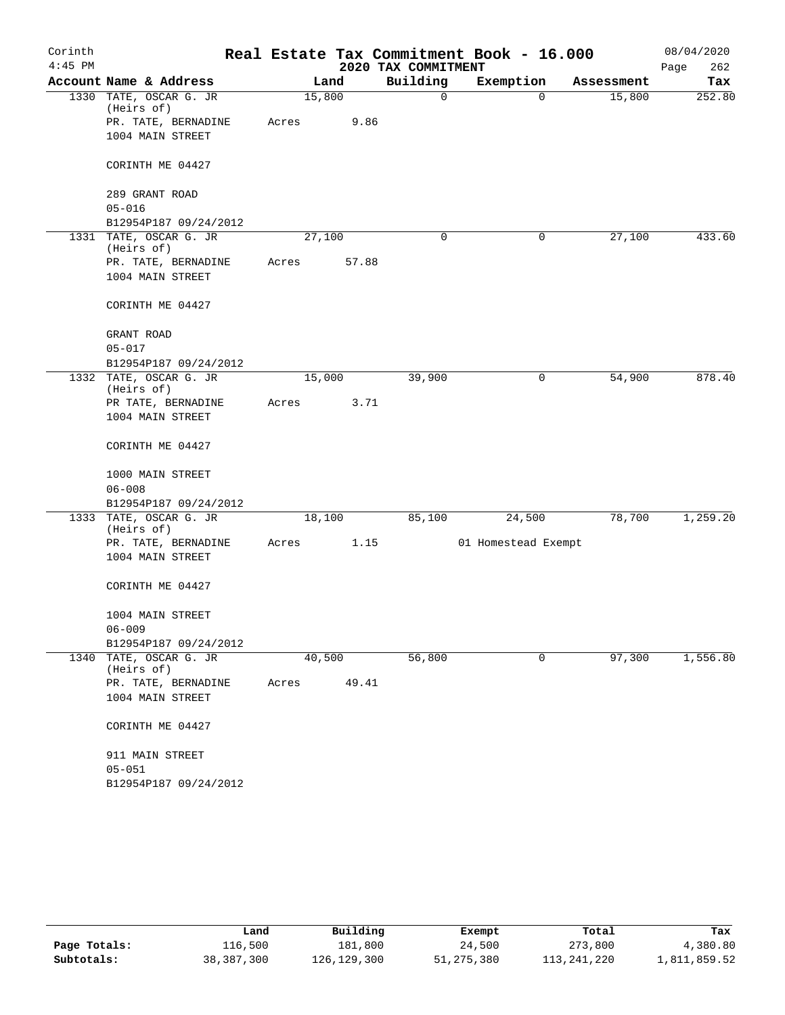| Corinth<br>$4:45$ PM |                                      |        |       | 2020 TAX COMMITMENT | Real Estate Tax Commitment Book - 16.000 |            | 08/04/2020<br>Page<br>262 |
|----------------------|--------------------------------------|--------|-------|---------------------|------------------------------------------|------------|---------------------------|
|                      | Account Name & Address               |        | Land  | Building            | Exemption                                | Assessment | Tax                       |
|                      | 1330 TATE, OSCAR G. JR<br>(Heirs of) | 15,800 |       | $\mathbf 0$         | 0                                        | 15,800     | 252.80                    |
|                      | PR. TATE, BERNADINE                  | Acres  | 9.86  |                     |                                          |            |                           |
|                      | 1004 MAIN STREET                     |        |       |                     |                                          |            |                           |
|                      | CORINTH ME 04427                     |        |       |                     |                                          |            |                           |
|                      | 289 GRANT ROAD                       |        |       |                     |                                          |            |                           |
|                      | $05 - 016$                           |        |       |                     |                                          |            |                           |
|                      | B12954P187 09/24/2012                |        |       |                     |                                          |            |                           |
|                      | 1331 TATE, OSCAR G. JR<br>(Heirs of) | 27,100 |       | $\mathbf 0$         | 0                                        | 27,100     | 433.60                    |
|                      | PR. TATE, BERNADINE                  | Acres  | 57.88 |                     |                                          |            |                           |
|                      | 1004 MAIN STREET                     |        |       |                     |                                          |            |                           |
|                      | CORINTH ME 04427                     |        |       |                     |                                          |            |                           |
|                      | GRANT ROAD                           |        |       |                     |                                          |            |                           |
|                      | $05 - 017$                           |        |       |                     |                                          |            |                           |
|                      | B12954P187 09/24/2012                |        |       |                     |                                          |            |                           |
|                      | 1332 TATE, OSCAR G. JR               | 15,000 |       | 39,900              | 0                                        | 54,900     | 878.40                    |
|                      | (Heirs of)<br>PR TATE, BERNADINE     | Acres  | 3.71  |                     |                                          |            |                           |
|                      | 1004 MAIN STREET                     |        |       |                     |                                          |            |                           |
|                      | CORINTH ME 04427                     |        |       |                     |                                          |            |                           |
|                      | 1000 MAIN STREET                     |        |       |                     |                                          |            |                           |
|                      | $06 - 008$                           |        |       |                     |                                          |            |                           |
|                      | B12954P187 09/24/2012                |        |       |                     |                                          |            |                           |
|                      | 1333 TATE, OSCAR G. JR<br>(Heirs of) | 18,100 |       | 85,100              | 24,500                                   | 78,700     | 1,259.20                  |
|                      | PR. TATE, BERNADINE                  | Acres  | 1.15  |                     | 01 Homestead Exempt                      |            |                           |
|                      | 1004 MAIN STREET                     |        |       |                     |                                          |            |                           |
|                      | CORINTH ME 04427                     |        |       |                     |                                          |            |                           |
|                      | 1004 MAIN STREET                     |        |       |                     |                                          |            |                           |
|                      | $06 - 009$                           |        |       |                     |                                          |            |                           |
|                      | B12954P187 09/24/2012                |        |       |                     |                                          |            |                           |
|                      | 1340 TATE, OSCAR G. JR<br>(Heirs of) | 40,500 |       | 56,800              | 0                                        | 97,300     | 1,556.80                  |
|                      | PR. TATE, BERNADINE                  | Acres  | 49.41 |                     |                                          |            |                           |
|                      | 1004 MAIN STREET                     |        |       |                     |                                          |            |                           |
|                      | CORINTH ME 04427                     |        |       |                     |                                          |            |                           |
|                      | 911 MAIN STREET                      |        |       |                     |                                          |            |                           |
|                      | $05 - 051$                           |        |       |                     |                                          |            |                           |
|                      | B12954P187 09/24/2012                |        |       |                     |                                          |            |                           |

|              | Land       | Building    | Exempt     | Total       | Tax          |
|--------------|------------|-------------|------------|-------------|--------------|
| Page Totals: | 116,500    | 181,800     | 24,500     | 273,800     | 4,380.80     |
| Subtotals:   | 38,387,300 | 126,129,300 | 51,275,380 | 113,241,220 | 1,811,859.52 |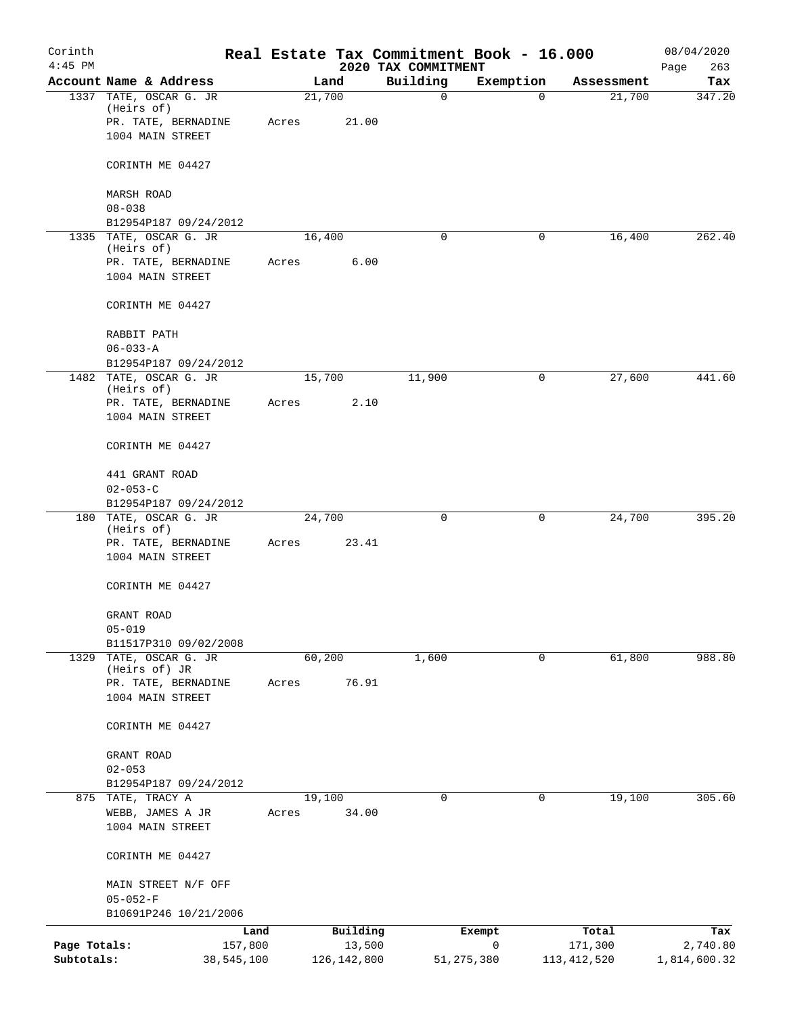| Corinth<br>$4:45$ PM       |                                         |       |                         |                                 | Real Estate Tax Commitment Book - 16.000 |                          | 08/04/2020               |
|----------------------------|-----------------------------------------|-------|-------------------------|---------------------------------|------------------------------------------|--------------------------|--------------------------|
|                            | Account Name & Address                  |       | Land                    | 2020 TAX COMMITMENT<br>Building | Exemption                                | Assessment               | 263<br>Page<br>Tax       |
|                            | 1337 TATE, OSCAR G. JR                  |       | 21,700                  | $\mathbf 0$                     | $\Omega$                                 | 21,700                   | 347.20                   |
|                            | (Heirs of)                              |       |                         |                                 |                                          |                          |                          |
|                            | PR. TATE, BERNADINE<br>1004 MAIN STREET | Acres | 21.00                   |                                 |                                          |                          |                          |
|                            |                                         |       |                         |                                 |                                          |                          |                          |
|                            | CORINTH ME 04427                        |       |                         |                                 |                                          |                          |                          |
|                            | <b>MARSH ROAD</b>                       |       |                         |                                 |                                          |                          |                          |
|                            | $08 - 038$<br>B12954P187 09/24/2012     |       |                         |                                 |                                          |                          |                          |
|                            | 1335 TATE, OSCAR G. JR                  |       | 16,400                  | $\mathbf 0$                     | 0                                        | 16,400                   | 262.40                   |
|                            | (Heirs of)                              |       |                         |                                 |                                          |                          |                          |
|                            | PR. TATE, BERNADINE<br>1004 MAIN STREET | Acres | 6.00                    |                                 |                                          |                          |                          |
|                            | CORINTH ME 04427                        |       |                         |                                 |                                          |                          |                          |
|                            | RABBIT PATH                             |       |                         |                                 |                                          |                          |                          |
|                            | $06 - 033 - A$                          |       |                         |                                 |                                          |                          |                          |
|                            | B12954P187 09/24/2012                   |       |                         |                                 |                                          |                          |                          |
|                            | 1482 TATE, OSCAR G. JR<br>(Heirs of)    |       | 15,700                  | 11,900                          | 0                                        | 27,600                   | 441.60                   |
|                            | PR. TATE, BERNADINE                     | Acres | 2.10                    |                                 |                                          |                          |                          |
|                            | 1004 MAIN STREET                        |       |                         |                                 |                                          |                          |                          |
|                            | CORINTH ME 04427                        |       |                         |                                 |                                          |                          |                          |
|                            | 441 GRANT ROAD                          |       |                         |                                 |                                          |                          |                          |
|                            | $02 - 053 - C$                          |       |                         |                                 |                                          |                          |                          |
|                            | B12954P187 09/24/2012                   |       |                         |                                 |                                          |                          |                          |
|                            | 180 TATE, OSCAR G. JR<br>(Heirs of)     |       | 24,700                  | 0                               | 0                                        | 24,700                   | 395.20                   |
|                            | PR. TATE, BERNADINE                     | Acres | 23.41                   |                                 |                                          |                          |                          |
|                            | 1004 MAIN STREET                        |       |                         |                                 |                                          |                          |                          |
|                            | CORINTH ME 04427                        |       |                         |                                 |                                          |                          |                          |
|                            | GRANT ROAD                              |       |                         |                                 |                                          |                          |                          |
|                            | $05 - 019$                              |       |                         |                                 |                                          |                          |                          |
|                            | B11517P310 09/02/2008                   |       |                         |                                 |                                          |                          |                          |
|                            | 1329 TATE, OSCAR G. JR<br>(Heirs of) JR |       | 60,200                  | 1,600                           | 0                                        | 61,800                   | 988.80                   |
|                            | PR. TATE, BERNADINE                     | Acres | 76.91                   |                                 |                                          |                          |                          |
|                            | 1004 MAIN STREET                        |       |                         |                                 |                                          |                          |                          |
|                            | CORINTH ME 04427                        |       |                         |                                 |                                          |                          |                          |
|                            | GRANT ROAD                              |       |                         |                                 |                                          |                          |                          |
|                            | $02 - 053$                              |       |                         |                                 |                                          |                          |                          |
|                            | B12954P187 09/24/2012                   |       |                         |                                 |                                          |                          |                          |
|                            | 875 TATE, TRACY A                       |       | 19,100                  | $\mathbf 0$                     | $\mathbf 0$                              | 19,100                   | 305.60                   |
|                            | WEBB, JAMES A JR<br>1004 MAIN STREET    | Acres | 34.00                   |                                 |                                          |                          |                          |
|                            |                                         |       |                         |                                 |                                          |                          |                          |
|                            | CORINTH ME 04427                        |       |                         |                                 |                                          |                          |                          |
|                            | MAIN STREET N/F OFF                     |       |                         |                                 |                                          |                          |                          |
|                            | $05 - 052 - F$                          |       |                         |                                 |                                          |                          |                          |
|                            | B10691P246 10/21/2006                   |       |                         |                                 |                                          |                          |                          |
|                            | Land                                    |       | Building                |                                 | Exempt<br>0                              | Total                    | Tax                      |
| Page Totals:<br>Subtotals: | 157,800<br>38,545,100                   |       | 13,500<br>126, 142, 800 |                                 | 51, 275, 380                             | 171,300<br>113, 412, 520 | 2,740.80<br>1,814,600.32 |
|                            |                                         |       |                         |                                 |                                          |                          |                          |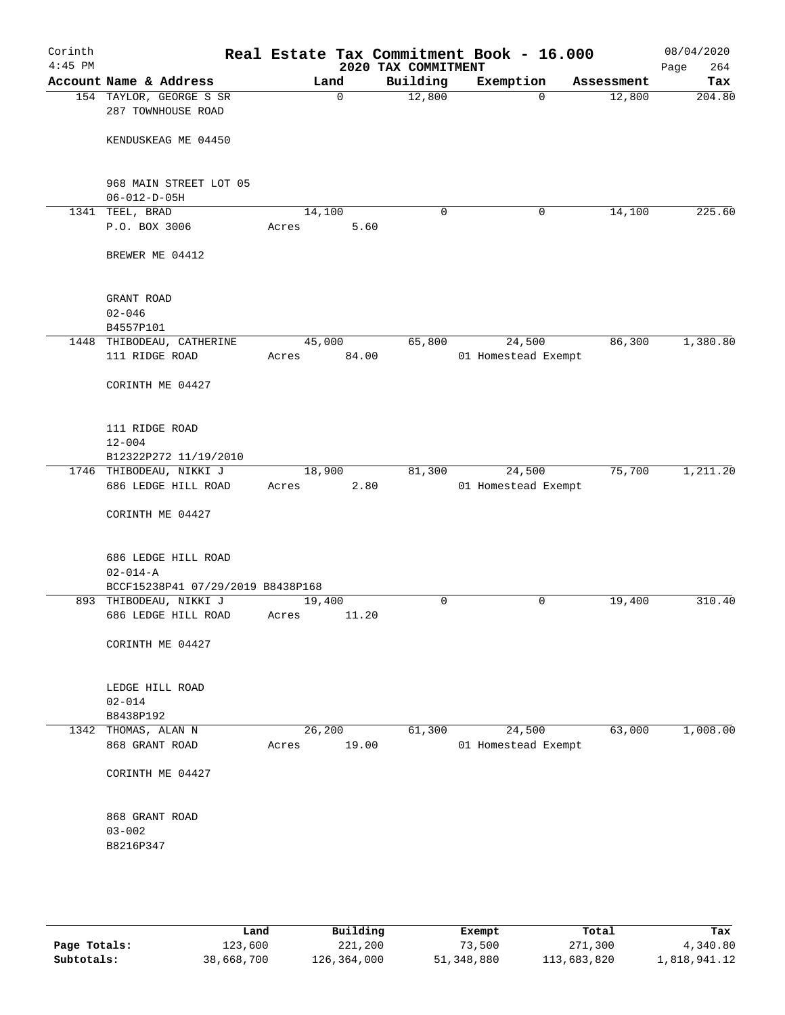| Corinth<br>$4:45$ PM |                                                |                 |        | 2020 TAX COMMITMENT | Real Estate Tax Commitment Book - 16.000 |            | 08/04/2020<br>Page<br>264 |
|----------------------|------------------------------------------------|-----------------|--------|---------------------|------------------------------------------|------------|---------------------------|
|                      | Account Name & Address                         |                 | Land   | Building            | Exemption                                | Assessment | Tax                       |
|                      | 154 TAYLOR, GEORGE S SR<br>287 TOWNHOUSE ROAD  |                 | 0      | 12,800              | $\mathbf 0$                              | 12,800     | 204.80                    |
|                      | KENDUSKEAG ME 04450                            |                 |        |                     |                                          |            |                           |
|                      | 968 MAIN STREET LOT 05<br>$06 - 012 - D - 05H$ |                 |        |                     |                                          |            |                           |
|                      | 1341 TEEL, BRAD                                | 14,100          |        | $\mathbf 0$         | 0                                        | 14,100     | 225.60                    |
|                      | P.O. BOX 3006                                  | Acres           | 5.60   |                     |                                          |            |                           |
|                      | BREWER ME 04412                                |                 |        |                     |                                          |            |                           |
|                      | GRANT ROAD<br>$02 - 046$                       |                 |        |                     |                                          |            |                           |
|                      | B4557P101                                      |                 |        |                     |                                          |            |                           |
|                      | 1448 THIBODEAU, CATHERINE                      | 45,000          |        | 65,800              | 24,500                                   | 86,300     | 1,380.80                  |
|                      | 111 RIDGE ROAD                                 | Acres           | 84.00  |                     | 01 Homestead Exempt                      |            |                           |
|                      | CORINTH ME 04427                               |                 |        |                     |                                          |            |                           |
|                      | 111 RIDGE ROAD<br>$12 - 004$                   |                 |        |                     |                                          |            |                           |
|                      | B12322P272 11/19/2010                          |                 |        |                     |                                          |            |                           |
|                      | 1746 THIBODEAU, NIKKI J                        | 18,900          |        | 81,300              | 24,500                                   | 75,700     | 1,211.20                  |
|                      | 686 LEDGE HILL ROAD                            | Acres           | 2.80   |                     | 01 Homestead Exempt                      |            |                           |
|                      | CORINTH ME 04427                               |                 |        |                     |                                          |            |                           |
|                      | 686 LEDGE HILL ROAD<br>$02 - 014 - A$          |                 |        |                     |                                          |            |                           |
|                      | BCCF15238P41 07/29/2019 B8438P168              |                 |        |                     |                                          |            |                           |
|                      | 893 THIBODEAU, NIKKI J<br>686 LEDGE HILL ROAD  | 19,400<br>Acres | 11.20  | $\mathbf 0$         | 0                                        | 19,400     | 310.40                    |
|                      | CORINTH ME 04427                               |                 |        |                     |                                          |            |                           |
|                      |                                                |                 |        |                     |                                          |            |                           |
|                      | LEDGE HILL ROAD                                |                 |        |                     |                                          |            |                           |
|                      | $02 - 014$                                     |                 |        |                     |                                          |            |                           |
|                      | B8438P192                                      |                 |        |                     |                                          |            |                           |
|                      | 1342 THOMAS, ALAN N                            |                 | 26,200 | 61,300              | 24,500                                   | 63,000     | 1,008.00                  |
|                      | 868 GRANT ROAD                                 | Acres           | 19.00  |                     | 01 Homestead Exempt                      |            |                           |
|                      | CORINTH ME 04427                               |                 |        |                     |                                          |            |                           |
|                      | 868 GRANT ROAD                                 |                 |        |                     |                                          |            |                           |
|                      | $03 - 002$                                     |                 |        |                     |                                          |            |                           |
|                      | B8216P347                                      |                 |        |                     |                                          |            |                           |
|                      |                                                |                 |        |                     |                                          |            |                           |
|                      |                                                |                 |        |                     |                                          |            |                           |

|              | Land       | Building    | Exempt     | Total       | Tax          |
|--------------|------------|-------------|------------|-------------|--------------|
| Page Totals: | 123,600    | 221,200     | 73,500     | 271,300     | 4,340.80     |
| Subtotals:   | 38,668,700 | 126,364,000 | 51,348,880 | 113,683,820 | 1,818,941.12 |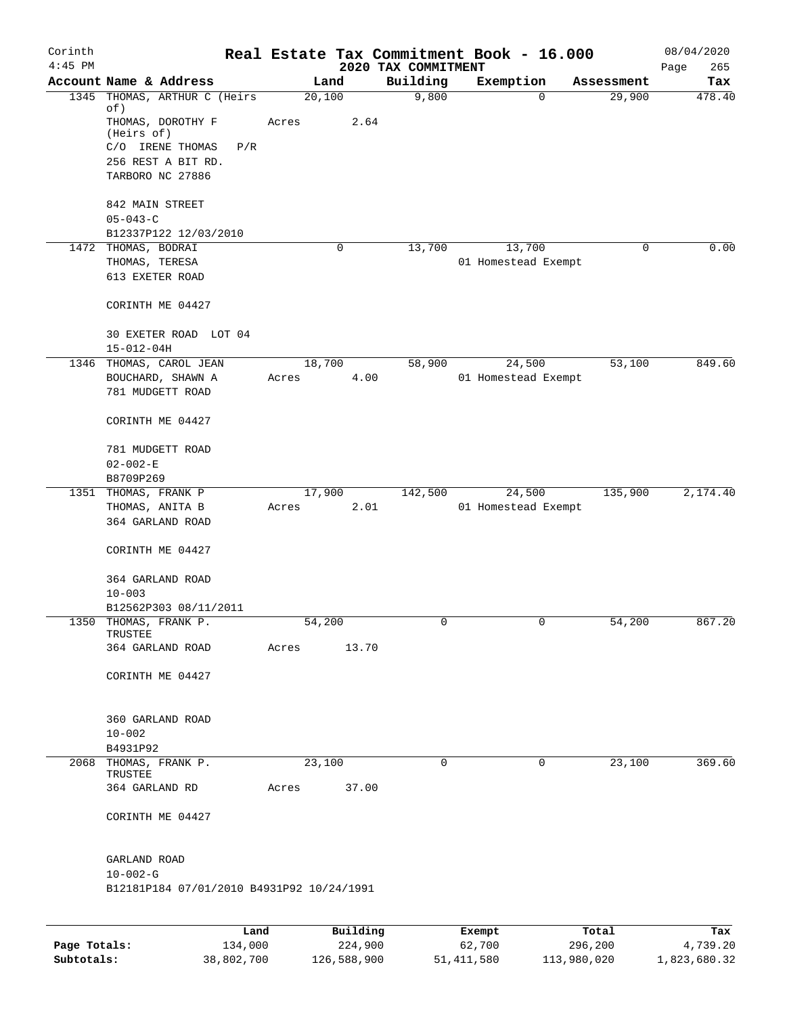| Corinth<br>$4:45$ PM |                                                             |             |                 | 2020 TAX COMMITMENT | Real Estate Tax Commitment Book - 16.000 |            | 08/04/2020<br>265<br>Page |
|----------------------|-------------------------------------------------------------|-------------|-----------------|---------------------|------------------------------------------|------------|---------------------------|
|                      | Account Name & Address                                      |             | Land            | Building            | Exemption                                | Assessment | Tax                       |
| 1345                 | THOMAS, ARTHUR C (Heirs<br>of)                              | 20,100      |                 | 9,800               | 0                                        | 29,900     | 478.40                    |
|                      | THOMAS, DOROTHY F<br>(Heirs of)                             | Acres       | 2.64            |                     |                                          |            |                           |
|                      | C/O IRENE THOMAS<br>P/R<br>256 REST A BIT RD.               |             |                 |                     |                                          |            |                           |
|                      | TARBORO NC 27886                                            |             |                 |                     |                                          |            |                           |
|                      | 842 MAIN STREET<br>$05 - 043 - C$                           |             |                 |                     |                                          |            |                           |
|                      | B12337P122 12/03/2010                                       |             |                 |                     |                                          |            |                           |
|                      | 1472 THOMAS, BODRAI                                         |             | 0               | 13,700              | 13,700                                   | 0          | 0.00                      |
|                      | THOMAS, TERESA                                              |             |                 |                     | 01 Homestead Exempt                      |            |                           |
|                      | 613 EXETER ROAD                                             |             |                 |                     |                                          |            |                           |
|                      | CORINTH ME 04427                                            |             |                 |                     |                                          |            |                           |
|                      | 30 EXETER ROAD LOT 04<br>$15 - 012 - 04H$                   |             |                 |                     |                                          |            |                           |
|                      | 1346 THOMAS, CAROL JEAN                                     | 18,700      |                 | 58,900              | 24,500                                   | 53,100     | 849.60                    |
|                      | BOUCHARD, SHAWN A                                           | Acres       | 4.00            |                     | 01 Homestead Exempt                      |            |                           |
|                      | 781 MUDGETT ROAD                                            |             |                 |                     |                                          |            |                           |
|                      | CORINTH ME 04427                                            |             |                 |                     |                                          |            |                           |
|                      | 781 MUDGETT ROAD                                            |             |                 |                     |                                          |            |                           |
|                      | $02 - 002 - E$                                              |             |                 |                     |                                          |            |                           |
|                      | B8709P269                                                   |             |                 |                     |                                          |            |                           |
|                      | 1351 THOMAS, FRANK P                                        | 17,900      |                 | 142,500             | 24,500                                   | 135,900    | 2,174.40                  |
|                      | THOMAS, ANITA B                                             | Acres       | 2.01            |                     | 01 Homestead Exempt                      |            |                           |
|                      | 364 GARLAND ROAD                                            |             |                 |                     |                                          |            |                           |
|                      | CORINTH ME 04427                                            |             |                 |                     |                                          |            |                           |
|                      | 364 GARLAND ROAD                                            |             |                 |                     |                                          |            |                           |
|                      | $10 - 003$                                                  |             |                 |                     |                                          |            |                           |
|                      | B12562P303 08/11/2011                                       |             |                 |                     |                                          |            |                           |
|                      | 1350 THOMAS, FRANK P.                                       | 54,200      |                 | 0                   |                                          | 54,200     | 867.20                    |
|                      | TRUSTEE<br>364 GARLAND ROAD                                 | Acres       | 13.70           |                     |                                          |            |                           |
|                      |                                                             |             |                 |                     |                                          |            |                           |
|                      | CORINTH ME 04427                                            |             |                 |                     |                                          |            |                           |
|                      | 360 GARLAND ROAD                                            |             |                 |                     |                                          |            |                           |
|                      | $10 - 002$                                                  |             |                 |                     |                                          |            |                           |
|                      | B4931P92                                                    |             |                 |                     |                                          |            |                           |
|                      | 2068 THOMAS, FRANK P.<br>TRUSTEE                            | 23,100      |                 | $\mathbf 0$         | 0                                        | 23,100     | 369.60                    |
|                      | 364 GARLAND RD                                              | Acres 37.00 |                 |                     |                                          |            |                           |
|                      |                                                             |             |                 |                     |                                          |            |                           |
|                      | CORINTH ME 04427                                            |             |                 |                     |                                          |            |                           |
|                      | GARLAND ROAD                                                |             |                 |                     |                                          |            |                           |
|                      | $10 - 002 - G$<br>B12181P184 07/01/2010 B4931P92 10/24/1991 |             |                 |                     |                                          |            |                           |
|                      |                                                             |             |                 |                     |                                          |            |                           |
|                      | Land J                                                      |             | $P_{11}$ ilding |                     | <b>Fromnt</b>                            | $T$ otal   |                           |

|              | Land       | Building    | Exempt       | Total       | Tax          |
|--------------|------------|-------------|--------------|-------------|--------------|
| Page Totals: | 134,000    | 224,900     | 62,700       | 296,200     | 4,739.20     |
| Subtotals:   | 38,802,700 | 126,588,900 | 51, 411, 580 | 113,980,020 | 1,823,680.32 |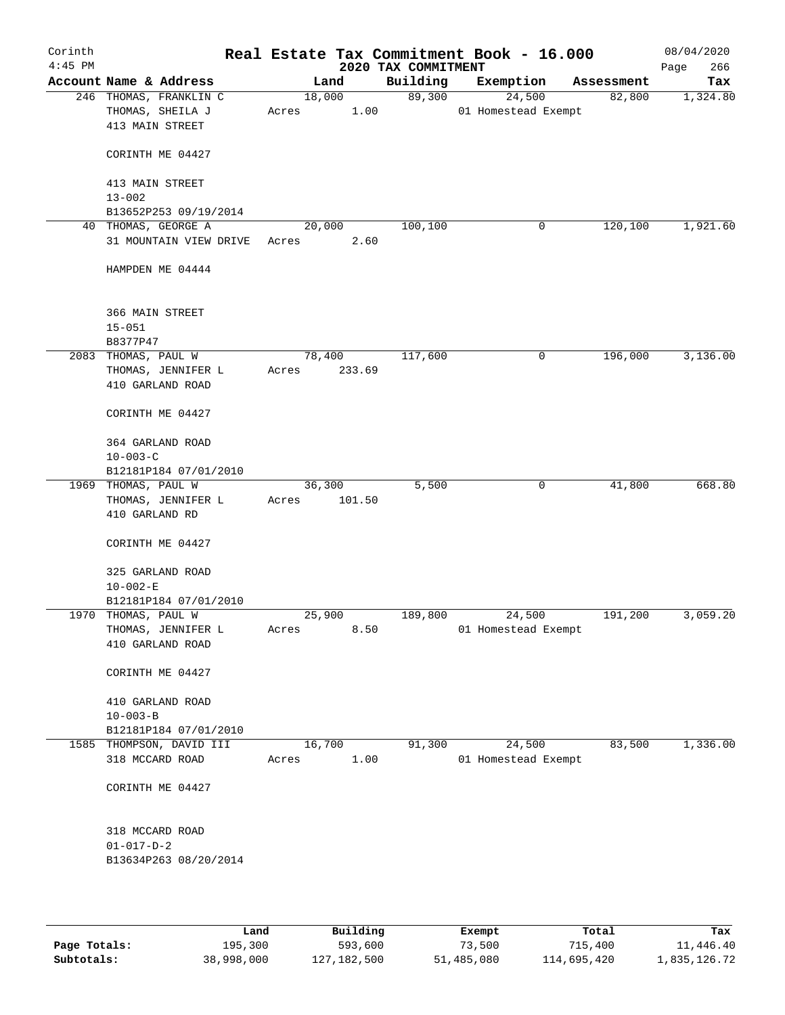| Corinth<br>$4:45$ PM |                                                               |       |                | Real Estate Tax Commitment Book - 16.000<br>2020 TAX COMMITMENT |                     |        |            | 08/04/2020<br>266<br>Page |
|----------------------|---------------------------------------------------------------|-------|----------------|-----------------------------------------------------------------|---------------------|--------|------------|---------------------------|
|                      | Account Name & Address                                        |       | Land           | Building                                                        | Exemption           |        | Assessment | Tax                       |
|                      | 246 THOMAS, FRANKLIN C<br>THOMAS, SHEILA J<br>413 MAIN STREET | Acres | 18,000<br>1.00 | 89,300                                                          | 01 Homestead Exempt | 24,500 | 82,800     | 1,324.80                  |
|                      | CORINTH ME 04427                                              |       |                |                                                                 |                     |        |            |                           |
|                      | 413 MAIN STREET<br>$13 - 002$                                 |       |                |                                                                 |                     |        |            |                           |
|                      | B13652P253 09/19/2014                                         |       |                |                                                                 |                     |        |            |                           |
|                      | 40 THOMAS, GEORGE A                                           |       | 20,000         | 100,100                                                         |                     | 0      | 120,100    | 1,921.60                  |
|                      | 31 MOUNTAIN VIEW DRIVE                                        | Acres | 2.60           |                                                                 |                     |        |            |                           |
|                      | HAMPDEN ME 04444                                              |       |                |                                                                 |                     |        |            |                           |
|                      | 366 MAIN STREET                                               |       |                |                                                                 |                     |        |            |                           |
|                      | $15 - 051$<br>B8377P47                                        |       |                |                                                                 |                     |        |            |                           |
|                      | 2083 THOMAS, PAUL W                                           |       | 78,400         | 117,600                                                         |                     | 0      | 196,000    | 3,136.00                  |
|                      | THOMAS, JENNIFER L<br>410 GARLAND ROAD                        | Acres | 233.69         |                                                                 |                     |        |            |                           |
|                      | CORINTH ME 04427                                              |       |                |                                                                 |                     |        |            |                           |
|                      | 364 GARLAND ROAD                                              |       |                |                                                                 |                     |        |            |                           |
|                      | $10 - 003 - C$                                                |       |                |                                                                 |                     |        |            |                           |
|                      | B12181P184 07/01/2010                                         |       |                |                                                                 |                     |        |            |                           |
|                      | 1969 THOMAS, PAUL W                                           |       | 36,300         | 5,500                                                           |                     | 0      | 41,800     | 668.80                    |
|                      | THOMAS, JENNIFER L<br>410 GARLAND RD                          | Acres | 101.50         |                                                                 |                     |        |            |                           |
|                      | CORINTH ME 04427                                              |       |                |                                                                 |                     |        |            |                           |
|                      | 325 GARLAND ROAD<br>$10 - 002 - E$                            |       |                |                                                                 |                     |        |            |                           |
|                      | B12181P184 07/01/2010                                         |       |                |                                                                 |                     |        |            |                           |
|                      | 1970 THOMAS, PAUL W                                           |       | 25,900         | 189,800                                                         |                     | 24,500 | 191,200    | 3,059.20                  |
|                      | THOMAS, JENNIFER L                                            | Acres | 8.50           |                                                                 | 01 Homestead Exempt |        |            |                           |
|                      | 410 GARLAND ROAD                                              |       |                |                                                                 |                     |        |            |                           |
|                      | CORINTH ME 04427                                              |       |                |                                                                 |                     |        |            |                           |
|                      | 410 GARLAND ROAD                                              |       |                |                                                                 |                     |        |            |                           |
|                      | $10 - 003 - B$                                                |       |                |                                                                 |                     |        |            |                           |
|                      | B12181P184 07/01/2010                                         |       |                |                                                                 |                     |        |            |                           |
|                      | 1585 THOMPSON, DAVID III                                      |       | 16,700         | 91,300                                                          |                     | 24,500 | 83,500     | 1,336.00                  |
|                      | 318 MCCARD ROAD                                               | Acres | 1.00           |                                                                 | 01 Homestead Exempt |        |            |                           |
|                      | CORINTH ME 04427                                              |       |                |                                                                 |                     |        |            |                           |
|                      | 318 MCCARD ROAD                                               |       |                |                                                                 |                     |        |            |                           |
|                      | $01 - 017 - D - 2$<br>B13634P263 08/20/2014                   |       |                |                                                                 |                     |        |            |                           |
|                      |                                                               |       |                |                                                                 |                     |        |            |                           |

|              | Land       | Building    | Exempt     | Total       | Tax          |
|--------------|------------|-------------|------------|-------------|--------------|
| Page Totals: | 195,300    | 593,600     | 73,500     | 715,400     | 11,446.40    |
| Subtotals:   | 38,998,000 | 127,182,500 | 51,485,080 | 114,695,420 | 1,835,126.72 |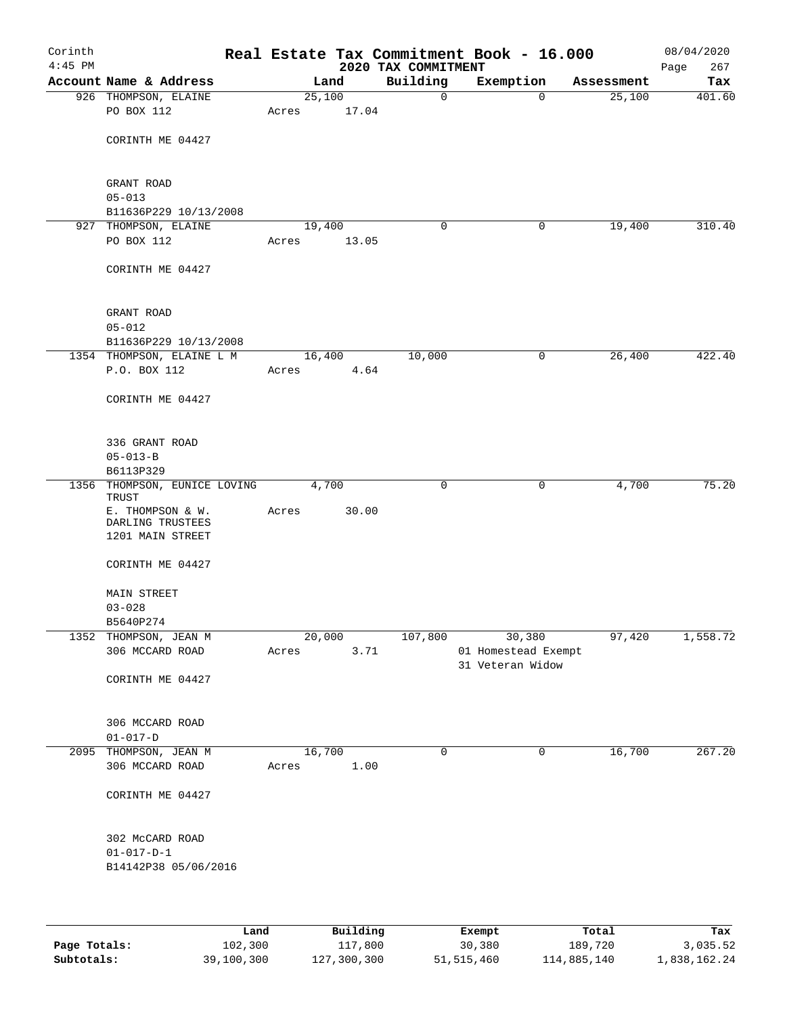| Corinth<br>$4:45$ PM |                                       |        |       | 2020 TAX COMMITMENT | Real Estate Tax Commitment Book - 16.000 |            | 08/04/2020<br>267<br>Page |
|----------------------|---------------------------------------|--------|-------|---------------------|------------------------------------------|------------|---------------------------|
|                      | Account Name & Address                | Land   |       | Building            | Exemption                                | Assessment | Tax                       |
|                      | 926 THOMPSON, ELAINE                  | 25,100 |       | $\mathbf 0$         | $\mathbf 0$                              | 25,100     | 401.60                    |
|                      | PO BOX 112                            | Acres  | 17.04 |                     |                                          |            |                           |
|                      | CORINTH ME 04427                      |        |       |                     |                                          |            |                           |
|                      | GRANT ROAD                            |        |       |                     |                                          |            |                           |
|                      | $05 - 013$                            |        |       |                     |                                          |            |                           |
|                      | B11636P229 10/13/2008                 |        |       |                     |                                          |            |                           |
|                      | 927 THOMPSON, ELAINE                  | 19,400 |       | 0                   | 0                                        | 19,400     | 310.40                    |
|                      | PO BOX 112                            | Acres  | 13.05 |                     |                                          |            |                           |
|                      | CORINTH ME 04427                      |        |       |                     |                                          |            |                           |
|                      | GRANT ROAD                            |        |       |                     |                                          |            |                           |
|                      | $05 - 012$                            |        |       |                     |                                          |            |                           |
|                      | B11636P229 10/13/2008                 |        |       |                     |                                          |            |                           |
|                      | 1354 THOMPSON, ELAINE L M             | 16,400 |       | 10,000              | 0                                        | 26,400     | 422.40                    |
|                      | P.O. BOX 112                          | Acres  | 4.64  |                     |                                          |            |                           |
|                      | CORINTH ME 04427                      |        |       |                     |                                          |            |                           |
|                      | 336 GRANT ROAD                        |        |       |                     |                                          |            |                           |
|                      | $05 - 013 - B$                        |        |       |                     |                                          |            |                           |
|                      | B6113P329                             |        |       |                     |                                          |            |                           |
|                      | 1356 THOMPSON, EUNICE LOVING<br>TRUST | 4,700  |       | $\mathbf 0$         | 0                                        | 4,700      | 75.20                     |
|                      | E. THOMPSON & W.<br>DARLING TRUSTEES  | Acres  | 30.00 |                     |                                          |            |                           |
|                      | 1201 MAIN STREET                      |        |       |                     |                                          |            |                           |
|                      | CORINTH ME 04427                      |        |       |                     |                                          |            |                           |
|                      | MAIN STREET<br>$03 - 028$             |        |       |                     |                                          |            |                           |
|                      | B5640P274                             |        |       |                     |                                          |            |                           |
|                      | 1352 THOMPSON, JEAN M                 | 20,000 |       | 107,800             | 30,380                                   | 97,420     | 1,558.72                  |
|                      | 306 MCCARD ROAD                       | Acres  | 3.71  |                     | 01 Homestead Exempt                      |            |                           |
|                      |                                       |        |       |                     | 31 Veteran Widow                         |            |                           |
|                      | CORINTH ME 04427                      |        |       |                     |                                          |            |                           |
|                      | 306 MCCARD ROAD                       |        |       |                     |                                          |            |                           |
|                      | $01 - 017 - D$                        |        |       |                     |                                          |            |                           |
|                      | 2095 THOMPSON, JEAN M                 | 16,700 |       | $\mathbf 0$         | $\mathbf 0$                              | 16,700     | 267.20                    |
|                      | 306 MCCARD ROAD                       | Acres  | 1.00  |                     |                                          |            |                           |
|                      | CORINTH ME 04427                      |        |       |                     |                                          |            |                           |
|                      | 302 McCARD ROAD                       |        |       |                     |                                          |            |                           |
|                      | $01 - 017 - D - 1$                    |        |       |                     |                                          |            |                           |
|                      | B14142P38 05/06/2016                  |        |       |                     |                                          |            |                           |
|                      |                                       |        |       |                     |                                          |            |                           |
|                      |                                       |        |       |                     |                                          |            |                           |

|              | Land       | Building    | Exempt     | Total       | Tax          |
|--------------|------------|-------------|------------|-------------|--------------|
| Page Totals: | 102,300    | 117,800     | 30,380     | 189,720     | 3,035.52     |
| Subtotals:   | 39,100,300 | 127,300,300 | 51,515,460 | 114,885,140 | 1,838,162.24 |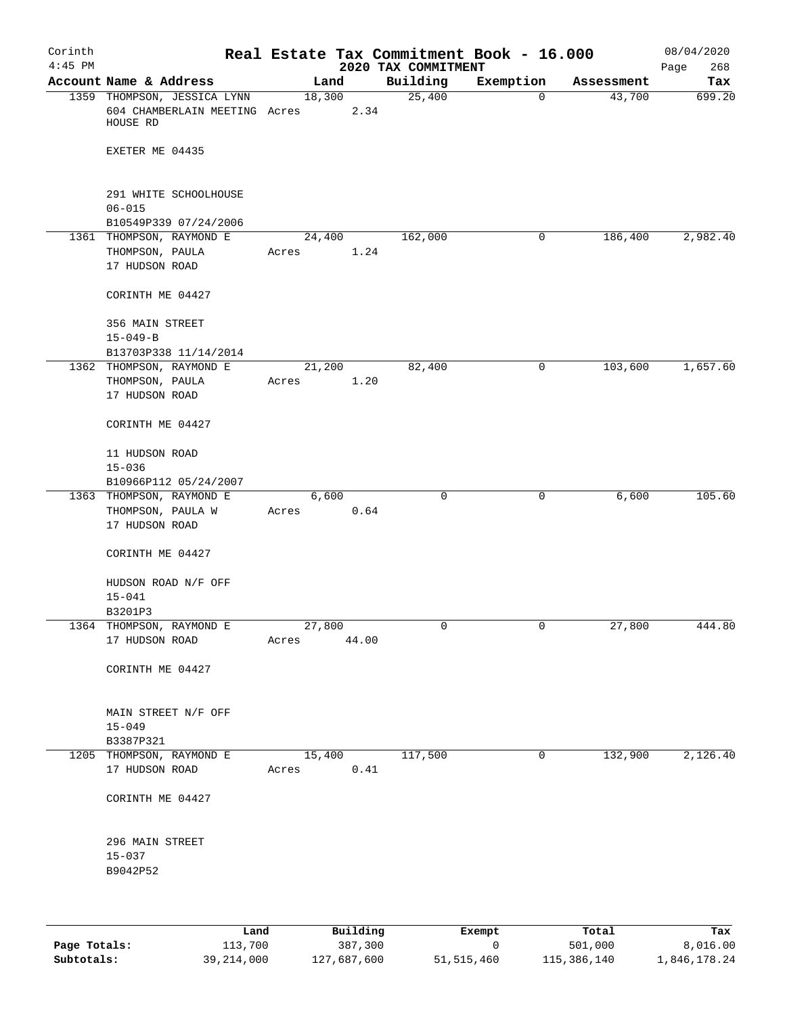| Corinth   |                                                                          |       |                |                     | Real Estate Tax Commitment Book - 16.000 |            | 08/04/2020  |
|-----------|--------------------------------------------------------------------------|-------|----------------|---------------------|------------------------------------------|------------|-------------|
| $4:45$ PM |                                                                          |       |                | 2020 TAX COMMITMENT |                                          |            | 268<br>Page |
|           | Account Name & Address                                                   |       | Land           | Building            | Exemption                                | Assessment | Tax         |
|           | 1359 THOMPSON, JESSICA LYNN<br>604 CHAMBERLAIN MEETING Acres<br>HOUSE RD |       | 18,300<br>2.34 | 25,400              | $\mathbf 0$                              | 43,700     | 699.20      |
|           | EXETER ME 04435                                                          |       |                |                     |                                          |            |             |
|           | 291 WHITE SCHOOLHOUSE                                                    |       |                |                     |                                          |            |             |
|           | $06 - 015$<br>B10549P339 07/24/2006                                      |       |                |                     |                                          |            |             |
|           | 1361 THOMPSON, RAYMOND E                                                 |       | 24,400         | 162,000             | $\mathbf 0$                              | 186,400    | 2,982.40    |
|           | THOMPSON, PAULA                                                          | Acres | 1.24           |                     |                                          |            |             |
|           | 17 HUDSON ROAD                                                           |       |                |                     |                                          |            |             |
|           | CORINTH ME 04427                                                         |       |                |                     |                                          |            |             |
|           | 356 MAIN STREET                                                          |       |                |                     |                                          |            |             |
|           | $15 - 049 - B$                                                           |       |                |                     |                                          |            |             |
|           | B13703P338 11/14/2014                                                    |       |                |                     |                                          |            |             |
|           | 1362 THOMPSON, RAYMOND E                                                 |       | 21,200         | 82,400              | 0                                        | 103,600    | 1,657.60    |
|           | THOMPSON, PAULA                                                          | Acres | 1.20           |                     |                                          |            |             |
|           | 17 HUDSON ROAD                                                           |       |                |                     |                                          |            |             |
|           | CORINTH ME 04427                                                         |       |                |                     |                                          |            |             |
|           | 11 HUDSON ROAD<br>$15 - 036$                                             |       |                |                     |                                          |            |             |
|           | B10966P112 05/24/2007                                                    |       |                |                     |                                          |            |             |
|           | 1363 THOMPSON, RAYMOND E                                                 |       | 6,600          | $\mathbf 0$         | 0                                        | 6,600      | 105.60      |
|           | THOMPSON, PAULA W<br>17 HUDSON ROAD                                      | Acres | 0.64           |                     |                                          |            |             |
|           | CORINTH ME 04427                                                         |       |                |                     |                                          |            |             |
|           | HUDSON ROAD N/F OFF<br>$15 - 041$                                        |       |                |                     |                                          |            |             |
|           | B3201P3                                                                  |       |                |                     |                                          |            |             |
|           | 1364 THOMPSON, RAYMOND E                                                 |       | 27,800         | 0                   | $\overline{0}$                           | 27,800     | 444.80      |
|           | 17 HUDSON ROAD                                                           | Acres | 44.00          |                     |                                          |            |             |
|           | CORINTH ME 04427                                                         |       |                |                     |                                          |            |             |
|           | MAIN STREET N/F OFF                                                      |       |                |                     |                                          |            |             |
|           | $15 - 049$                                                               |       |                |                     |                                          |            |             |
|           | B3387P321<br>1205 THOMPSON, RAYMOND E                                    |       | 15,400         | 117,500             | $\mathbf 0$                              | 132,900    | 2,126.40    |
|           | 17 HUDSON ROAD                                                           | Acres | 0.41           |                     |                                          |            |             |
|           | CORINTH ME 04427                                                         |       |                |                     |                                          |            |             |
|           | 296 MAIN STREET                                                          |       |                |                     |                                          |            |             |
|           | $15 - 037$                                                               |       |                |                     |                                          |            |             |
|           | B9042P52                                                                 |       |                |                     |                                          |            |             |
|           |                                                                          |       |                |                     |                                          |            |             |
|           |                                                                          |       |                |                     |                                          |            |             |
|           |                                                                          |       |                |                     |                                          |            |             |

|              | Land         | Building    | Exempt       | Total       | Tax          |
|--------------|--------------|-------------|--------------|-------------|--------------|
| Page Totals: | 113,700      | 387,300     |              | 501,000     | 8.016.00     |
| Subtotals:   | 39, 214, 000 | 127,687,600 | 51, 515, 460 | 115,386,140 | 1,846,178.24 |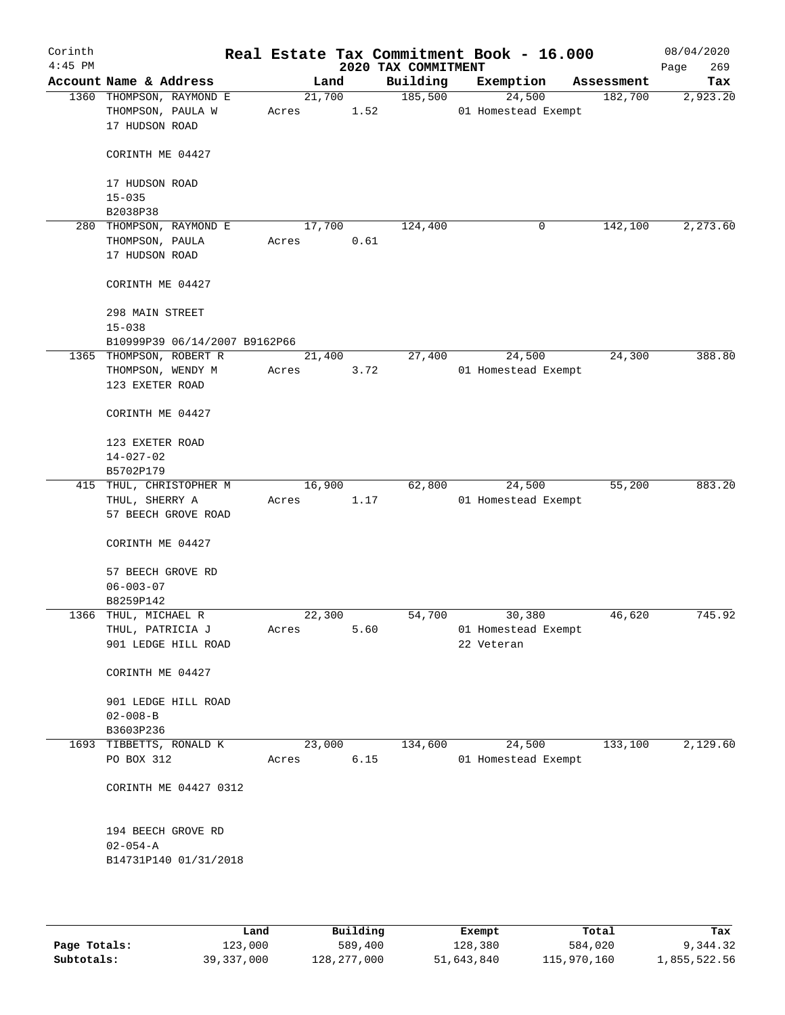| Corinth<br>$4:45$ PM |                               |        |        | 2020 TAX COMMITMENT | Real Estate Tax Commitment Book - 16.000 |            | 08/04/2020<br>269<br>Page |
|----------------------|-------------------------------|--------|--------|---------------------|------------------------------------------|------------|---------------------------|
|                      | Account Name & Address        | Land   |        | Building            | Exemption                                | Assessment | Tax                       |
|                      | 1360 THOMPSON, RAYMOND E      | 21,700 |        | 185,500             | 24,500                                   | 182,700    | 2,923.20                  |
|                      | THOMPSON, PAULA W             | Acres  | 1.52   |                     | 01 Homestead Exempt                      |            |                           |
|                      | 17 HUDSON ROAD                |        |        |                     |                                          |            |                           |
|                      | CORINTH ME 04427              |        |        |                     |                                          |            |                           |
|                      | 17 HUDSON ROAD                |        |        |                     |                                          |            |                           |
|                      | $15 - 035$                    |        |        |                     |                                          |            |                           |
|                      | B2038P38                      |        |        |                     |                                          |            |                           |
| 280                  | THOMPSON, RAYMOND E           | 17,700 |        | 124,400             | 0                                        | 142,100    | 2,273.60                  |
|                      | THOMPSON, PAULA               | Acres  | 0.61   |                     |                                          |            |                           |
|                      | 17 HUDSON ROAD                |        |        |                     |                                          |            |                           |
|                      | CORINTH ME 04427              |        |        |                     |                                          |            |                           |
|                      | 298 MAIN STREET               |        |        |                     |                                          |            |                           |
|                      | $15 - 038$                    |        |        |                     |                                          |            |                           |
|                      | B10999P39 06/14/2007 B9162P66 |        |        |                     |                                          |            |                           |
|                      | 1365 THOMPSON, ROBERT R       | 21,400 |        | 27,400              | 24,500                                   | 24,300     | 388.80                    |
|                      | THOMPSON, WENDY M             | Acres  | 3.72   |                     | 01 Homestead Exempt                      |            |                           |
|                      | 123 EXETER ROAD               |        |        |                     |                                          |            |                           |
|                      | CORINTH ME 04427              |        |        |                     |                                          |            |                           |
|                      | 123 EXETER ROAD               |        |        |                     |                                          |            |                           |
|                      | $14 - 027 - 02$               |        |        |                     |                                          |            |                           |
|                      | B5702P179                     |        |        |                     |                                          |            |                           |
|                      | 415 THUL, CHRISTOPHER M       | 16,900 |        | 62,800              | 24,500                                   | 55,200     | 883.20                    |
|                      | THUL, SHERRY A                | Acres  | 1.17   |                     | 01 Homestead Exempt                      |            |                           |
|                      | 57 BEECH GROVE ROAD           |        |        |                     |                                          |            |                           |
|                      | CORINTH ME 04427              |        |        |                     |                                          |            |                           |
|                      | 57 BEECH GROVE RD             |        |        |                     |                                          |            |                           |
|                      | $06 - 003 - 07$               |        |        |                     |                                          |            |                           |
|                      | B8259P142                     |        |        |                     |                                          |            |                           |
|                      | 1366 THUL, MICHAEL R          | 22,300 |        | 54,700              | 30,380                                   | 46,620     | 745.92                    |
|                      | THUL, PATRICIA J              | Acres  | 5.60   |                     | 01 Homestead Exempt                      |            |                           |
|                      | 901 LEDGE HILL ROAD           |        |        |                     | 22 Veteran                               |            |                           |
|                      | CORINTH ME 04427              |        |        |                     |                                          |            |                           |
|                      | 901 LEDGE HILL ROAD           |        |        |                     |                                          |            |                           |
|                      | $02 - 008 - B$                |        |        |                     |                                          |            |                           |
|                      | B3603P236                     |        |        |                     |                                          |            |                           |
|                      | 1693 TIBBETTS, RONALD K       | 23,000 |        | 134,600             | 24,500                                   | 133,100    | 2,129.60                  |
|                      | PO BOX 312                    | Acres  | $6.15$ |                     | 01 Homestead Exempt                      |            |                           |
|                      | CORINTH ME 04427 0312         |        |        |                     |                                          |            |                           |
|                      | 194 BEECH GROVE RD            |        |        |                     |                                          |            |                           |
|                      | $02 - 054 - A$                |        |        |                     |                                          |            |                           |
|                      | B14731P140 01/31/2018         |        |        |                     |                                          |            |                           |
|                      |                               |        |        |                     |                                          |            |                           |
|                      |                               |        |        |                     |                                          |            |                           |

|              | Land       | Building    | Exempt     | Total       | Tax          |
|--------------|------------|-------------|------------|-------------|--------------|
| Page Totals: | 123,000    | 589,400     | 128,380    | 584,020     | 9,344.32     |
| Subtotals:   | 39,337,000 | 128,277,000 | 51,643,840 | 115,970,160 | 1,855,522.56 |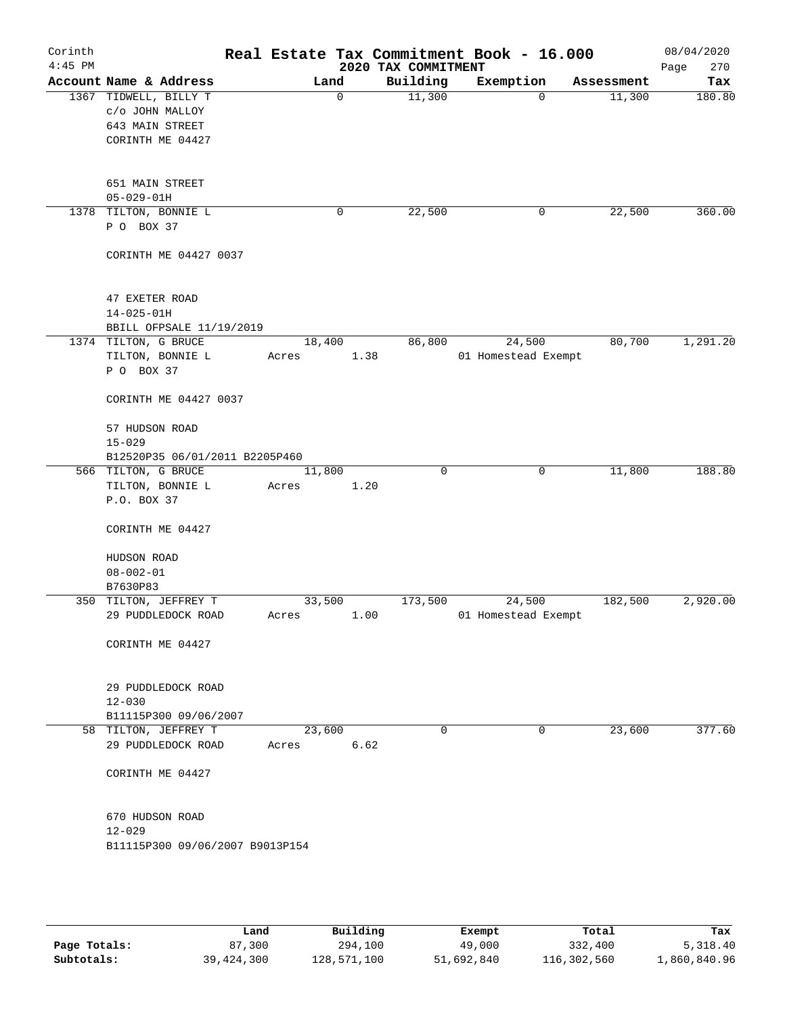| Corinth   |                                    |        |      |                     | Real Estate Tax Commitment Book - 16.000 |            | 08/04/2020  |
|-----------|------------------------------------|--------|------|---------------------|------------------------------------------|------------|-------------|
| $4:45$ PM |                                    |        |      | 2020 TAX COMMITMENT |                                          |            | 270<br>Page |
|           | Account Name & Address             | Land   |      | Building            | Exemption                                | Assessment | Tax         |
|           | 1367 TIDWELL, BILLY T              |        | 0    | 11,300              | $\Omega$                                 | 11,300     | 180.80      |
|           | c/o JOHN MALLOY<br>643 MAIN STREET |        |      |                     |                                          |            |             |
|           | CORINTH ME 04427                   |        |      |                     |                                          |            |             |
|           |                                    |        |      |                     |                                          |            |             |
|           | 651 MAIN STREET                    |        |      |                     |                                          |            |             |
|           | $05 - 029 - 01H$                   |        |      |                     |                                          |            |             |
|           | 1378 TILTON, BONNIE L              |        | 0    | 22,500              | 0                                        | 22,500     | 360.00      |
|           | P O BOX 37                         |        |      |                     |                                          |            |             |
|           | CORINTH ME 04427 0037              |        |      |                     |                                          |            |             |
|           | 47 EXETER ROAD                     |        |      |                     |                                          |            |             |
|           | $14 - 025 - 01H$                   |        |      |                     |                                          |            |             |
|           | BBILL OFPSALE 11/19/2019           |        |      |                     |                                          |            |             |
|           | 1374 TILTON, G BRUCE               | 18,400 |      | 86,800              | 24,500                                   | 80,700     | 1,291.20    |
|           | TILTON, BONNIE L                   | Acres  | 1.38 |                     | 01 Homestead Exempt                      |            |             |
|           | P O BOX 37                         |        |      |                     |                                          |            |             |
|           | CORINTH ME 04427 0037              |        |      |                     |                                          |            |             |
|           | 57 HUDSON ROAD                     |        |      |                     |                                          |            |             |
|           | $15 - 029$                         |        |      |                     |                                          |            |             |
|           | B12520P35 06/01/2011 B2205P460     |        |      |                     |                                          |            |             |
|           | 566 TILTON, G BRUCE                | 11,800 |      | $\mathbf 0$         | 0                                        | 11,800     | 188.80      |
|           | TILTON, BONNIE L                   | Acres  | 1.20 |                     |                                          |            |             |
|           | P.O. BOX 37                        |        |      |                     |                                          |            |             |
|           | CORINTH ME 04427                   |        |      |                     |                                          |            |             |
|           | HUDSON ROAD                        |        |      |                     |                                          |            |             |
|           | $08 - 002 - 01$                    |        |      |                     |                                          |            |             |
|           | B7630P83                           |        |      |                     |                                          |            |             |
|           | 350 TILTON, JEFFREY T              | 33,500 |      | 173,500             | 24,500                                   | 182,500    | 2,920.00    |
|           | 29 PUDDLEDOCK ROAD                 | Acres  | 1.00 |                     | 01 Homestead Exempt                      |            |             |
|           | CORINTH ME 04427                   |        |      |                     |                                          |            |             |
|           |                                    |        |      |                     |                                          |            |             |
|           | 29 PUDDLEDOCK ROAD                 |        |      |                     |                                          |            |             |
|           | $12 - 030$                         |        |      |                     |                                          |            |             |
|           | B11115P300 09/06/2007              |        |      |                     |                                          |            |             |
|           | 58 TILTON, JEFFREY T               | 23,600 |      | $\mathbf 0$         | 0                                        | 23,600     | 377.60      |
|           | 29 PUDDLEDOCK ROAD                 | Acres  | 6.62 |                     |                                          |            |             |
|           | CORINTH ME 04427                   |        |      |                     |                                          |            |             |
|           | 670 HUDSON ROAD                    |        |      |                     |                                          |            |             |
|           | $12 - 029$                         |        |      |                     |                                          |            |             |
|           | B11115P300 09/06/2007 B9013P154    |        |      |                     |                                          |            |             |
|           |                                    |        |      |                     |                                          |            |             |
|           |                                    |        |      |                     |                                          |            |             |
|           |                                    |        |      |                     |                                          |            |             |
|           |                                    |        |      |                     |                                          |            |             |

|              | Land       | Building    | Exempt     | Total       | Tax          |
|--------------|------------|-------------|------------|-------------|--------------|
| Page Totals: | 87,300     | 294,100     | 49,000     | 332,400     | 5,318.40     |
| Subtotals:   | 39,424,300 | 128,571,100 | 51,692,840 | 116,302,560 | 1,860,840.96 |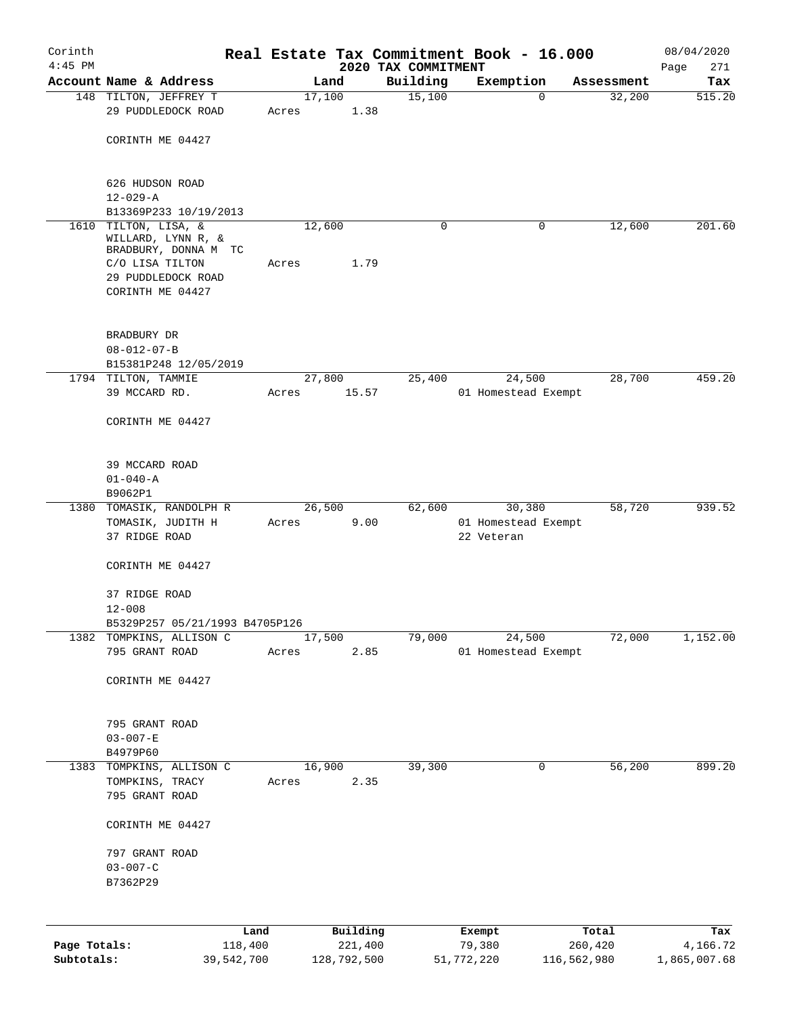| Corinth                    |                                                               |         |             |          |                                 | Real Estate Tax Commitment Book - 16.000 |                        |            | 08/04/2020               |
|----------------------------|---------------------------------------------------------------|---------|-------------|----------|---------------------------------|------------------------------------------|------------------------|------------|--------------------------|
| $4:45$ PM                  | Account Name & Address                                        |         | Land        |          | 2020 TAX COMMITMENT<br>Building | Exemption                                |                        | Assessment | Page<br>271<br>Tax       |
|                            | 148 TILTON, JEFFREY T                                         |         | 17,100      |          | 15,100                          |                                          | $\mathbf 0$            | 32,200     | 515.20                   |
|                            | 29 PUDDLEDOCK ROAD                                            | Acres   |             | 1.38     |                                 |                                          |                        |            |                          |
|                            | CORINTH ME 04427                                              |         |             |          |                                 |                                          |                        |            |                          |
|                            | 626 HUDSON ROAD<br>$12 - 029 - A$                             |         |             |          |                                 |                                          |                        |            |                          |
|                            | B13369P233 10/19/2013                                         |         |             |          |                                 |                                          |                        |            |                          |
| 1610                       | TILTON, LISA, &<br>WILLARD, LYNN R, &                         |         | 12,600      |          | 0                               |                                          | 0                      | 12,600     | 201.60                   |
|                            | BRADBURY, DONNA M TC<br>C/O LISA TILTON<br>29 PUDDLEDOCK ROAD | Acres   |             | 1.79     |                                 |                                          |                        |            |                          |
|                            | CORINTH ME 04427                                              |         |             |          |                                 |                                          |                        |            |                          |
|                            | BRADBURY DR                                                   |         |             |          |                                 |                                          |                        |            |                          |
|                            | $08 - 012 - 07 - B$                                           |         |             |          |                                 |                                          |                        |            |                          |
|                            | B15381P248 12/05/2019<br>1794 TILTON, TAMMIE                  |         | 27,800      |          | 25,400                          | 24,500                                   |                        | 28,700     | 459.20                   |
|                            | 39 MCCARD RD.                                                 | Acres   |             | 15.57    |                                 | 01 Homestead Exempt                      |                        |            |                          |
|                            | CORINTH ME 04427                                              |         |             |          |                                 |                                          |                        |            |                          |
|                            | 39 MCCARD ROAD                                                |         |             |          |                                 |                                          |                        |            |                          |
|                            | $01 - 040 - A$<br>B9062P1                                     |         |             |          |                                 |                                          |                        |            |                          |
|                            | 1380 TOMASIK, RANDOLPH R                                      |         | 26,500      |          | 62,600                          | 30,380                                   |                        | 58,720     | 939.52                   |
|                            | TOMASIK, JUDITH H<br>37 RIDGE ROAD                            | Acres   |             | 9.00     |                                 | 01 Homestead Exempt<br>22 Veteran        |                        |            |                          |
|                            | CORINTH ME 04427                                              |         |             |          |                                 |                                          |                        |            |                          |
|                            | 37 RIDGE ROAD<br>$12 - 008$                                   |         |             |          |                                 |                                          |                        |            |                          |
|                            | B5329P257 05/21/1993 B4705P126                                |         |             |          |                                 |                                          |                        |            |                          |
|                            | 1382 TOMPKINS, ALLISON C<br>795 GRANT ROAD                    | Acres   | 17,500      | 2.85     | 79,000                          | 24,500<br>01 Homestead Exempt            |                        | 72,000     | 1,152.00                 |
|                            | CORINTH ME 04427                                              |         |             |          |                                 |                                          |                        |            |                          |
|                            | 795 GRANT ROAD                                                |         |             |          |                                 |                                          |                        |            |                          |
|                            | $03 - 007 - E$                                                |         |             |          |                                 |                                          |                        |            |                          |
|                            | B4979P60                                                      |         |             |          |                                 |                                          |                        |            |                          |
| 1383                       | TOMPKINS, ALLISON C                                           |         | 16,900      |          | 39,300                          |                                          | 0                      | 56,200     | 899.20                   |
|                            | TOMPKINS, TRACY<br>795 GRANT ROAD                             | Acres   |             | 2.35     |                                 |                                          |                        |            |                          |
|                            | CORINTH ME 04427                                              |         |             |          |                                 |                                          |                        |            |                          |
|                            | 797 GRANT ROAD<br>$03 - 007 - C$                              |         |             |          |                                 |                                          |                        |            |                          |
|                            | B7362P29                                                      |         |             |          |                                 |                                          |                        |            |                          |
|                            |                                                               | Land    |             | Building |                                 | Exempt                                   | Total                  |            | Tax                      |
| Page Totals:<br>Subtotals: | 39,542,700                                                    | 118,400 | 128,792,500 | 221,400  |                                 | 79,380<br>51,772,220                     | 260,420<br>116,562,980 |            | 4,166.72<br>1,865,007.68 |
|                            |                                                               |         |             |          |                                 |                                          |                        |            |                          |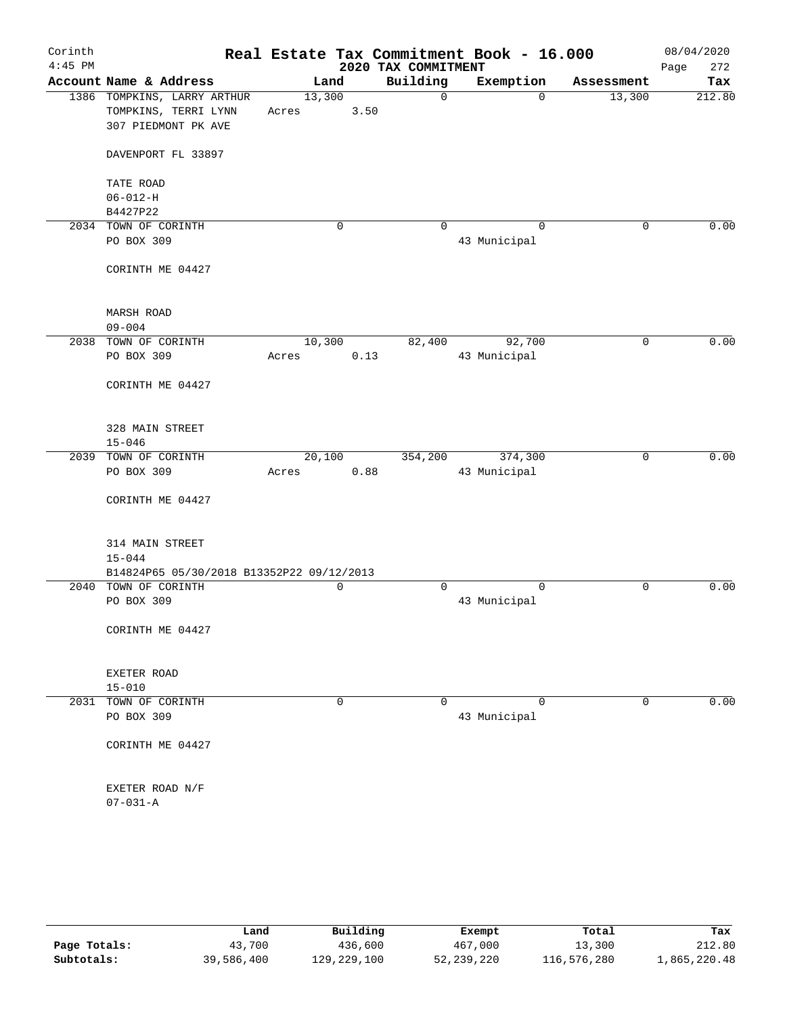| Corinth   |                                           |        |             |                     | Real Estate Tax Commitment Book - 16.000 |             | 08/04/2020  |
|-----------|-------------------------------------------|--------|-------------|---------------------|------------------------------------------|-------------|-------------|
| $4:45$ PM |                                           |        |             | 2020 TAX COMMITMENT |                                          |             | Page<br>272 |
|           | Account Name & Address                    | Land   |             | Building            | Exemption                                | Assessment  | Tax         |
|           | 1386 TOMPKINS, LARRY ARTHUR               | 13,300 |             | $\mathsf{O}$        | $\Omega$                                 | 13,300      | 212.80      |
|           | TOMPKINS, TERRI LYNN                      | Acres  | 3.50        |                     |                                          |             |             |
|           | 307 PIEDMONT PK AVE                       |        |             |                     |                                          |             |             |
|           | DAVENPORT FL 33897                        |        |             |                     |                                          |             |             |
|           | TATE ROAD                                 |        |             |                     |                                          |             |             |
|           | $06 - 012 - H$                            |        |             |                     |                                          |             |             |
|           | B4427P22                                  |        |             |                     |                                          |             |             |
|           | 2034 TOWN OF CORINTH                      |        | $\mathbf 0$ | $\Omega$            | $\mathbf 0$                              | $\mathbf 0$ | 0.00        |
|           | PO BOX 309                                |        |             |                     | 43 Municipal                             |             |             |
|           | CORINTH ME 04427                          |        |             |                     |                                          |             |             |
|           | MARSH ROAD                                |        |             |                     |                                          |             |             |
|           | $09 - 004$                                |        |             |                     |                                          |             |             |
| 2038      | TOWN OF CORINTH                           | 10,300 |             | 82,400              | 92,700                                   | 0           | 0.00        |
|           | PO BOX 309                                | Acres  | 0.13        |                     | 43 Municipal                             |             |             |
|           | CORINTH ME 04427                          |        |             |                     |                                          |             |             |
|           | 328 MAIN STREET                           |        |             |                     |                                          |             |             |
|           | $15 - 046$                                |        |             |                     |                                          |             |             |
| 2039      | TOWN OF CORINTH                           | 20,100 |             | 354,200             | 374,300                                  | 0           | 0.00        |
|           | PO BOX 309                                | Acres  | 0.88        |                     | 43 Municipal                             |             |             |
|           | CORINTH ME 04427                          |        |             |                     |                                          |             |             |
|           | 314 MAIN STREET                           |        |             |                     |                                          |             |             |
|           | $15 - 044$                                |        |             |                     |                                          |             |             |
|           | B14824P65 05/30/2018 B13352P22 09/12/2013 |        |             |                     |                                          |             |             |
|           | 2040 TOWN OF CORINTH                      |        | 0           | 0                   | $\mathbf 0$                              | 0           | 0.00        |
|           | PO BOX 309                                |        |             |                     | 43 Municipal                             |             |             |
|           | CORINTH ME 04427                          |        |             |                     |                                          |             |             |
|           |                                           |        |             |                     |                                          |             |             |
|           | EXETER ROAD                               |        |             |                     |                                          |             |             |
|           | $15 - 010$                                |        |             |                     |                                          |             |             |
|           | 2031 TOWN OF CORINTH                      |        | 0           | $\Omega$            | $\Omega$                                 | 0           | 0.00        |
|           | PO BOX 309                                |        |             |                     | 43 Municipal                             |             |             |
|           | CORINTH ME 04427                          |        |             |                     |                                          |             |             |
|           | EXETER ROAD N/F                           |        |             |                     |                                          |             |             |
|           | $07 - 031 - A$                            |        |             |                     |                                          |             |             |
|           |                                           |        |             |                     |                                          |             |             |

|              | Land       | Building    | Exempt       | Total       | Tax          |
|--------------|------------|-------------|--------------|-------------|--------------|
| Page Totals: | 43,700     | 436,600     | 467,000      | 13,300      | 212.80       |
| Subtotals:   | 39,586,400 | 129,229,100 | 52, 239, 220 | 116,576,280 | 1,865,220.48 |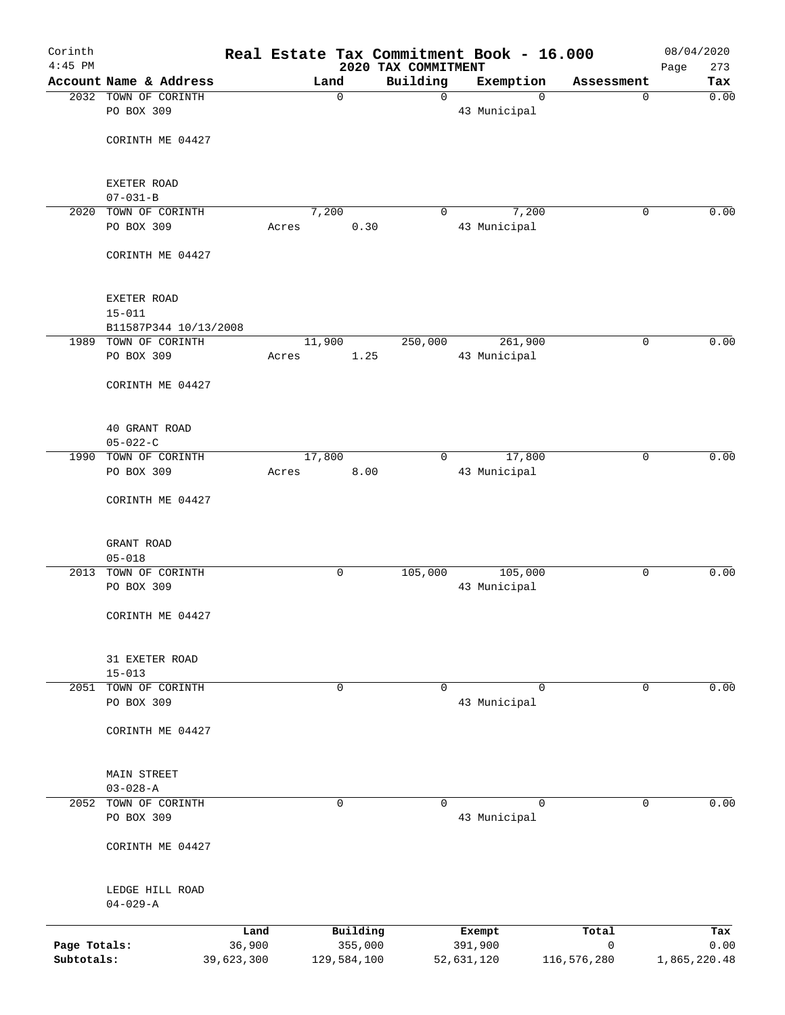| Corinth<br>$4:45$ PM |                                    |            |                 |             | Real Estate Tax Commitment Book - 16.000<br>2020 TAX COMMITMENT |              |             |              | 08/04/2020         |
|----------------------|------------------------------------|------------|-----------------|-------------|-----------------------------------------------------------------|--------------|-------------|--------------|--------------------|
|                      | Account Name & Address             |            |                 | Land        | Building                                                        |              | Exemption   | Assessment   | Page<br>273<br>Tax |
|                      | 2032 TOWN OF CORINTH               |            |                 | $\mathbf 0$ | $\mathbf 0$                                                     |              | $\Omega$    | $\mathbf 0$  | 0.00               |
|                      | PO BOX 309                         |            |                 |             |                                                                 | 43 Municipal |             |              |                    |
|                      | CORINTH ME 04427                   |            |                 |             |                                                                 |              |             |              |                    |
|                      |                                    |            |                 |             |                                                                 |              |             |              |                    |
|                      | EXETER ROAD                        |            |                 |             |                                                                 |              |             |              |                    |
|                      | $07 - 031 - B$                     |            |                 |             |                                                                 |              |             |              |                    |
| 2020                 | TOWN OF CORINTH                    |            | 7,200           |             | 0                                                               |              | 7,200       | 0            | 0.00               |
|                      | PO BOX 309                         |            | Acres           | 0.30        |                                                                 | 43 Municipal |             |              |                    |
|                      | CORINTH ME 04427                   |            |                 |             |                                                                 |              |             |              |                    |
|                      | EXETER ROAD                        |            |                 |             |                                                                 |              |             |              |                    |
|                      | $15 - 011$                         |            |                 |             |                                                                 |              |             |              |                    |
|                      | B11587P344 10/13/2008              |            |                 |             |                                                                 |              |             |              |                    |
|                      | 1989 TOWN OF CORINTH<br>PO BOX 309 |            | 11,900<br>Acres | 1.25        | 250,000                                                         | 43 Municipal | 261,900     | 0            | 0.00               |
|                      | CORINTH ME 04427                   |            |                 |             |                                                                 |              |             |              |                    |
|                      |                                    |            |                 |             |                                                                 |              |             |              |                    |
|                      | 40 GRANT ROAD<br>$05 - 022 - C$    |            |                 |             |                                                                 |              |             |              |                    |
| 1990                 | TOWN OF CORINTH                    |            | 17,800          |             | 0                                                               |              | 17,800      | $\mathbf 0$  | 0.00               |
|                      | PO BOX 309                         |            | Acres           | 8.00        |                                                                 | 43 Municipal |             |              |                    |
|                      | CORINTH ME 04427                   |            |                 |             |                                                                 |              |             |              |                    |
|                      | GRANT ROAD                         |            |                 |             |                                                                 |              |             |              |                    |
|                      | $05 - 018$                         |            |                 |             |                                                                 |              |             |              |                    |
| 2013                 | TOWN OF CORINTH                    |            |                 | 0           | 105,000                                                         |              | 105,000     | 0            | 0.00               |
|                      | PO BOX 309                         |            |                 |             |                                                                 | 43 Municipal |             |              |                    |
|                      | CORINTH ME 04427                   |            |                 |             |                                                                 |              |             |              |                    |
|                      | 31 EXETER ROAD                     |            |                 |             |                                                                 |              |             |              |                    |
|                      | $15 - 013$                         |            |                 |             |                                                                 |              |             |              |                    |
| 2051                 | TOWN OF CORINTH                    |            |                 | $\mathbf 0$ | $\mathbf 0$                                                     |              | $\mathbf 0$ | $\mathbf 0$  | 0.00               |
|                      | PO BOX 309                         |            |                 |             |                                                                 | 43 Municipal |             |              |                    |
|                      | CORINTH ME 04427                   |            |                 |             |                                                                 |              |             |              |                    |
|                      | MAIN STREET                        |            |                 |             |                                                                 |              |             |              |                    |
|                      | $03 - 028 - A$                     |            |                 |             |                                                                 |              |             |              |                    |
| 2052                 | TOWN OF CORINTH                    |            |                 | $\mathbf 0$ | $\Omega$                                                        | 43 Municipal | $\Omega$    | 0            | 0.00               |
|                      | PO BOX 309                         |            |                 |             |                                                                 |              |             |              |                    |
|                      | CORINTH ME 04427                   |            |                 |             |                                                                 |              |             |              |                    |
|                      | LEDGE HILL ROAD                    |            |                 |             |                                                                 |              |             |              |                    |
|                      | $04 - 029 - A$                     |            |                 |             |                                                                 |              |             |              |                    |
|                      |                                    | Land       |                 | Building    |                                                                 | Exempt       |             | Total        | Tax                |
| Page Totals:         |                                    | 36,900     |                 | 355,000     |                                                                 | 391,900      |             | $\mathsf{O}$ | 0.00               |
| Subtotals:           |                                    | 39,623,300 |                 | 129,584,100 |                                                                 | 52,631,120   |             | 116,576,280  | 1,865,220.48       |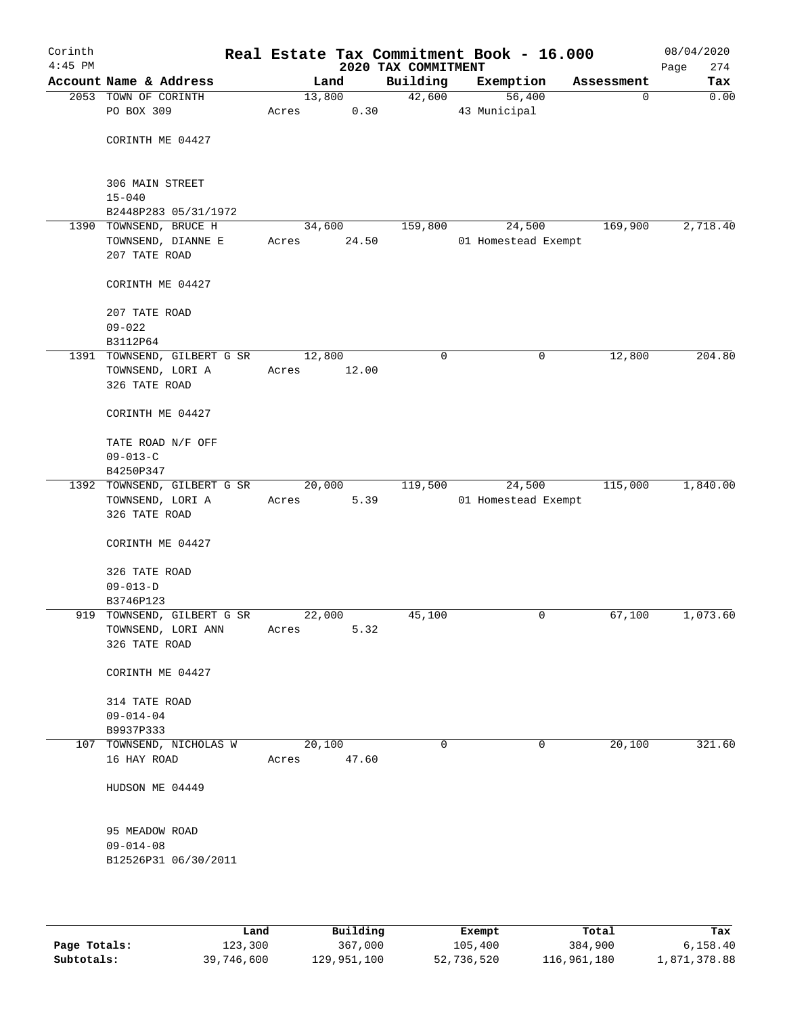| Corinth<br>$4:45$ PM |                             |       |        | 2020 TAX COMMITMENT | Real Estate Tax Commitment Book - 16.000 |             | 08/04/2020<br>274<br>Page |
|----------------------|-----------------------------|-------|--------|---------------------|------------------------------------------|-------------|---------------------------|
|                      | Account Name & Address      |       | Land   | Building            | Exemption                                | Assessment  | Tax                       |
|                      | 2053 TOWN OF CORINTH        |       | 13,800 | 42,600              | 56,400                                   | $\mathbf 0$ | 0.00                      |
|                      | PO BOX 309                  | Acres | 0.30   |                     | 43 Municipal                             |             |                           |
|                      |                             |       |        |                     |                                          |             |                           |
|                      | CORINTH ME 04427            |       |        |                     |                                          |             |                           |
|                      |                             |       |        |                     |                                          |             |                           |
|                      | 306 MAIN STREET             |       |        |                     |                                          |             |                           |
|                      | $15 - 040$                  |       |        |                     |                                          |             |                           |
|                      | B2448P283 05/31/1972        |       |        |                     |                                          |             |                           |
|                      | 1390 TOWNSEND, BRUCE H      |       | 34,600 | 159,800             | 24,500                                   | 169,900     | 2,718.40                  |
|                      | TOWNSEND, DIANNE E          | Acres | 24.50  |                     | 01 Homestead Exempt                      |             |                           |
|                      | 207 TATE ROAD               |       |        |                     |                                          |             |                           |
|                      | CORINTH ME 04427            |       |        |                     |                                          |             |                           |
|                      | 207 TATE ROAD               |       |        |                     |                                          |             |                           |
|                      | $09 - 022$                  |       |        |                     |                                          |             |                           |
|                      | B3112P64                    |       |        |                     |                                          |             |                           |
|                      | 1391 TOWNSEND, GILBERT G SR |       | 12,800 | $\mathbf 0$         | 0                                        | 12,800      | 204.80                    |
|                      | TOWNSEND, LORI A            | Acres | 12.00  |                     |                                          |             |                           |
|                      | 326 TATE ROAD               |       |        |                     |                                          |             |                           |
|                      | CORINTH ME 04427            |       |        |                     |                                          |             |                           |
|                      | TATE ROAD N/F OFF           |       |        |                     |                                          |             |                           |
|                      | $09 - 013 - C$              |       |        |                     |                                          |             |                           |
|                      | B4250P347                   |       |        |                     |                                          |             |                           |
|                      | 1392 TOWNSEND, GILBERT G SR |       | 20,000 | 119,500             | 24,500                                   | 115,000     | 1,840.00                  |
|                      | TOWNSEND, LORI A            | Acres | 5.39   |                     | 01 Homestead Exempt                      |             |                           |
|                      | 326 TATE ROAD               |       |        |                     |                                          |             |                           |
|                      | CORINTH ME 04427            |       |        |                     |                                          |             |                           |
|                      |                             |       |        |                     |                                          |             |                           |
|                      | 326 TATE ROAD               |       |        |                     |                                          |             |                           |
|                      | $09 - 013 - D$              |       |        |                     |                                          |             |                           |
|                      | B3746P123                   |       |        |                     |                                          |             |                           |
|                      | 919 TOWNSEND, GILBERT G SR  |       | 22,000 | 45,100              | 0                                        | 67,100      | 1,073.60                  |
|                      | TOWNSEND, LORI ANN          | Acres | 5.32   |                     |                                          |             |                           |
|                      | 326 TATE ROAD               |       |        |                     |                                          |             |                           |
|                      | CORINTH ME 04427            |       |        |                     |                                          |             |                           |
|                      | 314 TATE ROAD               |       |        |                     |                                          |             |                           |
|                      | $09 - 014 - 04$             |       |        |                     |                                          |             |                           |
|                      | B9937P333                   |       |        |                     |                                          |             |                           |
|                      | 107 TOWNSEND, NICHOLAS W    |       | 20,100 | 0                   | 0                                        | 20,100      | 321.60                    |
|                      | 16 HAY ROAD                 | Acres | 47.60  |                     |                                          |             |                           |
|                      | HUDSON ME 04449             |       |        |                     |                                          |             |                           |
|                      |                             |       |        |                     |                                          |             |                           |
|                      | 95 MEADOW ROAD              |       |        |                     |                                          |             |                           |
|                      | $09 - 014 - 08$             |       |        |                     |                                          |             |                           |
|                      | B12526P31 06/30/2011        |       |        |                     |                                          |             |                           |
|                      |                             |       |        |                     |                                          |             |                           |
|                      |                             |       |        |                     |                                          |             |                           |

|              | Land       | Building    | Exempt     | Total       | Tax          |
|--------------|------------|-------------|------------|-------------|--------------|
| Page Totals: | 123,300    | 367,000     | 105,400    | 384,900     | 6.158.40     |
| Subtotals:   | 39,746,600 | 129,951,100 | 52,736,520 | 116,961,180 | 1,871,378.88 |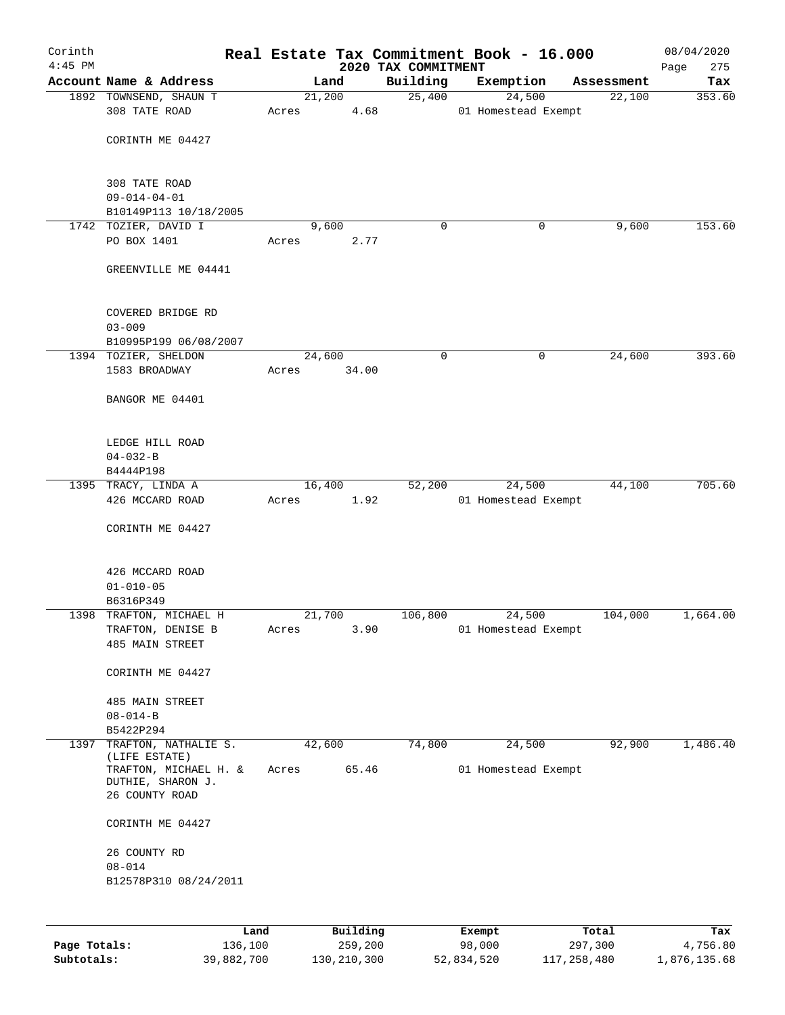| Corinth<br>$4:45$ PM |                                               |       |        | 2020 TAX COMMITMENT | Real Estate Tax Commitment Book - 16.000 |            | 08/04/2020<br>275<br>Page |
|----------------------|-----------------------------------------------|-------|--------|---------------------|------------------------------------------|------------|---------------------------|
|                      | Account Name & Address                        |       | Land   | Building            | Exemption                                | Assessment | Tax                       |
|                      | 1892 TOWNSEND, SHAUN T                        |       | 21,200 | 25,400              | 24,500                                   | 22,100     | 353.60                    |
|                      | 308 TATE ROAD                                 | Acres | 4.68   |                     | 01 Homestead Exempt                      |            |                           |
|                      | CORINTH ME 04427                              |       |        |                     |                                          |            |                           |
|                      | 308 TATE ROAD                                 |       |        |                     |                                          |            |                           |
|                      | $09 - 014 - 04 - 01$                          |       |        |                     |                                          |            |                           |
|                      | B10149P113 10/18/2005<br>1742 TOZIER, DAVID I |       | 9,600  | $\mathbf 0$         | 0                                        | 9,600      | 153.60                    |
|                      | PO BOX 1401                                   | Acres | 2.77   |                     |                                          |            |                           |
|                      | GREENVILLE ME 04441                           |       |        |                     |                                          |            |                           |
|                      | COVERED BRIDGE RD                             |       |        |                     |                                          |            |                           |
|                      | $03 - 009$                                    |       |        |                     |                                          |            |                           |
|                      | B10995P199 06/08/2007<br>1394 TOZIER, SHELDON |       | 24,600 | $\mathbf 0$         | 0                                        | 24,600     | 393.60                    |
|                      | 1583 BROADWAY                                 | Acres | 34.00  |                     |                                          |            |                           |
|                      | BANGOR ME 04401                               |       |        |                     |                                          |            |                           |
|                      | LEDGE HILL ROAD                               |       |        |                     |                                          |            |                           |
|                      | $04 - 032 - B$                                |       |        |                     |                                          |            |                           |
|                      | B4444P198                                     |       |        |                     |                                          |            |                           |
|                      | 1395 TRACY, LINDA A                           |       | 16,400 | 52,200              | 24,500                                   | 44,100     | 705.60                    |
|                      | 426 MCCARD ROAD                               | Acres | 1.92   |                     | 01 Homestead Exempt                      |            |                           |
|                      | CORINTH ME 04427                              |       |        |                     |                                          |            |                           |
|                      | 426 MCCARD ROAD                               |       |        |                     |                                          |            |                           |
|                      | $01 - 010 - 05$                               |       |        |                     |                                          |            |                           |
|                      | B6316P349<br>1398 TRAFTON, MICHAEL H          |       | 21,700 | 106,800             | 24,500                                   | 104,000    | 1,664.00                  |
|                      | TRAFTON, DENISE B                             | Acres | 3.90   |                     | 01 Homestead Exempt                      |            |                           |
|                      | 485 MAIN STREET                               |       |        |                     |                                          |            |                           |
|                      | CORINTH ME 04427                              |       |        |                     |                                          |            |                           |
|                      | 485 MAIN STREET                               |       |        |                     |                                          |            |                           |
|                      | $08 - 014 - B$                                |       |        |                     |                                          |            |                           |
| 1397                 | B5422P294<br>TRAFTON, NATHALIE S.             |       | 42,600 | 74,800              | 24,500                                   | 92,900     | 1,486.40                  |
|                      | (LIFE ESTATE)                                 |       |        |                     |                                          |            |                           |
|                      | TRAFTON, MICHAEL H. &<br>DUTHIE, SHARON J.    | Acres | 65.46  |                     | 01 Homestead Exempt                      |            |                           |
|                      | 26 COUNTY ROAD                                |       |        |                     |                                          |            |                           |
|                      | CORINTH ME 04427                              |       |        |                     |                                          |            |                           |
|                      | 26 COUNTY RD                                  |       |        |                     |                                          |            |                           |
|                      | $08 - 014$<br>B12578P310 08/24/2011           |       |        |                     |                                          |            |                           |
|                      |                                               |       |        |                     |                                          |            |                           |
|                      |                                               |       |        |                     |                                          |            |                           |
|                      |                                               |       |        |                     |                                          |            |                           |

|              | Land       | Building    | Exempt     | Total       | Tax          |
|--------------|------------|-------------|------------|-------------|--------------|
| Page Totals: | 136,100    | 259,200     | 98,000     | 297,300     | 4,756.80     |
| Subtotals:   | 39,882,700 | 130,210,300 | 52,834,520 | 117,258,480 | 1,876,135.68 |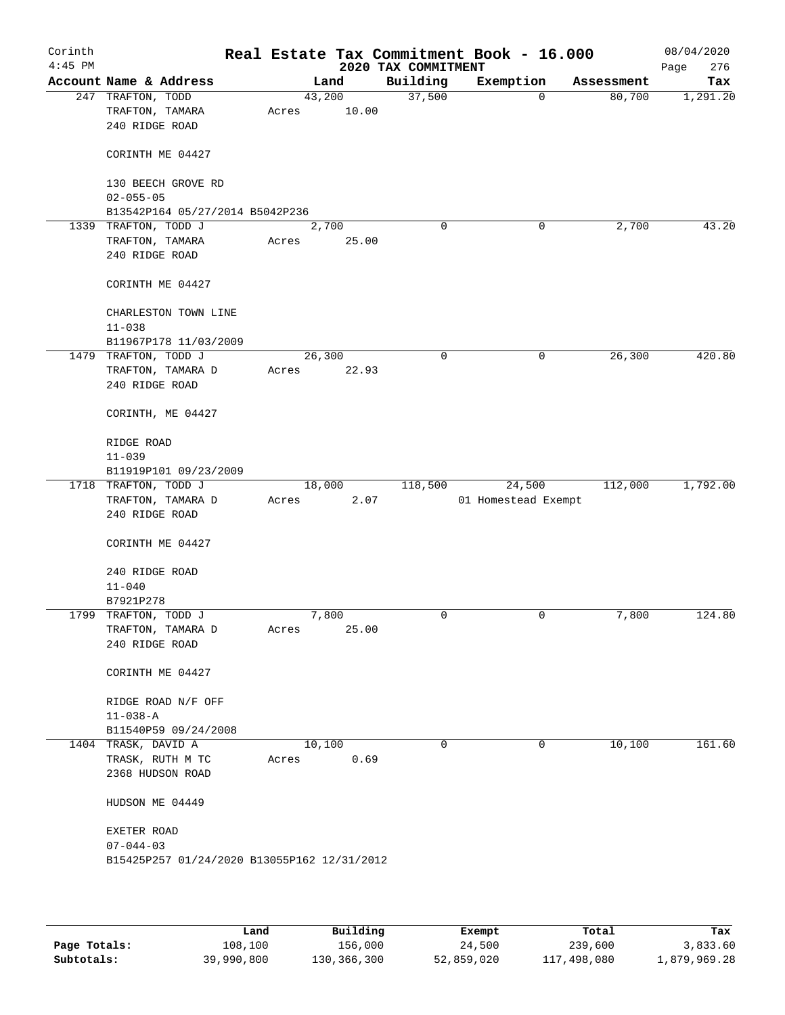| Corinth<br>$4:45$ PM |                                                                |       |         |       | 2020 TAX COMMITMENT | Real Estate Tax Commitment Book - 16.000 |            | 08/04/2020<br>276<br>Page |
|----------------------|----------------------------------------------------------------|-------|---------|-------|---------------------|------------------------------------------|------------|---------------------------|
|                      | Account Name & Address                                         |       | Land    |       | Building            | Exemption                                | Assessment | Tax                       |
|                      | 247 TRAFTON, TODD<br>TRAFTON, TAMARA<br>240 RIDGE ROAD         | Acres | 43,200  | 10.00 | 37,500              | 0                                        | 80,700     | 1,291.20                  |
|                      | CORINTH ME 04427                                               |       |         |       |                     |                                          |            |                           |
|                      | 130 BEECH GROVE RD<br>$02 - 055 - 05$                          |       |         |       |                     |                                          |            |                           |
|                      | B13542P164 05/27/2014 B5042P236                                |       |         |       |                     |                                          |            |                           |
|                      | 1339 TRAFTON, TODD J                                           |       | 2,700   |       | 0                   | 0                                        | 2,700      | 43.20                     |
|                      | TRAFTON, TAMARA                                                | Acres |         | 25.00 |                     |                                          |            |                           |
|                      | 240 RIDGE ROAD                                                 |       |         |       |                     |                                          |            |                           |
|                      | CORINTH ME 04427                                               |       |         |       |                     |                                          |            |                           |
|                      | CHARLESTON TOWN LINE                                           |       |         |       |                     |                                          |            |                           |
|                      | $11 - 038$                                                     |       |         |       |                     |                                          |            |                           |
|                      | B11967P178 11/03/2009<br>1479 TRAFTON, TODD J                  |       | 26, 300 |       | 0                   | 0                                        | 26,300     | 420.80                    |
|                      | TRAFTON, TAMARA D                                              | Acres |         | 22.93 |                     |                                          |            |                           |
|                      | 240 RIDGE ROAD                                                 |       |         |       |                     |                                          |            |                           |
|                      | CORINTH, ME 04427                                              |       |         |       |                     |                                          |            |                           |
|                      | RIDGE ROAD                                                     |       |         |       |                     |                                          |            |                           |
|                      | $11 - 039$                                                     |       |         |       |                     |                                          |            |                           |
|                      | B11919P101 09/23/2009                                          |       |         |       |                     |                                          |            |                           |
|                      | 1718 TRAFTON, TODD J                                           |       | 18,000  |       | 118,500             | 24,500                                   | 112,000    | 1,792.00                  |
|                      | TRAFTON, TAMARA D<br>240 RIDGE ROAD                            | Acres |         | 2.07  |                     | 01 Homestead Exempt                      |            |                           |
|                      | CORINTH ME 04427                                               |       |         |       |                     |                                          |            |                           |
|                      | 240 RIDGE ROAD                                                 |       |         |       |                     |                                          |            |                           |
|                      | $11 - 040$                                                     |       |         |       |                     |                                          |            |                           |
|                      | B7921P278                                                      |       |         |       |                     |                                          |            |                           |
|                      | 1799 TRAFTON, TODD J                                           |       | 7,800   |       | 0                   | 0                                        | 7,800      | 124.80                    |
|                      | TRAFTON, TAMARA D                                              | Acres |         | 25.00 |                     |                                          |            |                           |
|                      | 240 RIDGE ROAD                                                 |       |         |       |                     |                                          |            |                           |
|                      | CORINTH ME 04427                                               |       |         |       |                     |                                          |            |                           |
|                      | RIDGE ROAD N/F OFF                                             |       |         |       |                     |                                          |            |                           |
|                      | $11 - 038 - A$                                                 |       |         |       |                     |                                          |            |                           |
|                      | B11540P59 09/24/2008                                           |       |         |       |                     |                                          |            |                           |
|                      | 1404 TRASK, DAVID A                                            |       | 10,100  |       | 0                   | 0                                        | 10,100     | 161.60                    |
|                      | TRASK, RUTH M TC                                               | Acres |         | 0.69  |                     |                                          |            |                           |
|                      | 2368 HUDSON ROAD                                               |       |         |       |                     |                                          |            |                           |
|                      | HUDSON ME 04449                                                |       |         |       |                     |                                          |            |                           |
|                      | EXETER ROAD                                                    |       |         |       |                     |                                          |            |                           |
|                      | $07 - 044 - 03$<br>B15425P257 01/24/2020 B13055P162 12/31/2012 |       |         |       |                     |                                          |            |                           |
|                      |                                                                |       |         |       |                     |                                          |            |                           |
|                      |                                                                |       |         |       |                     |                                          |            |                           |

|              | Land       | Building    | Exempt     | Total       | Tax          |
|--------------|------------|-------------|------------|-------------|--------------|
| Page Totals: | 108,100    | 156,000     | 24,500     | 239,600     | 3,833.60     |
| Subtotals:   | 39,990,800 | 130,366,300 | 52,859,020 | 117,498,080 | 1,879,969.28 |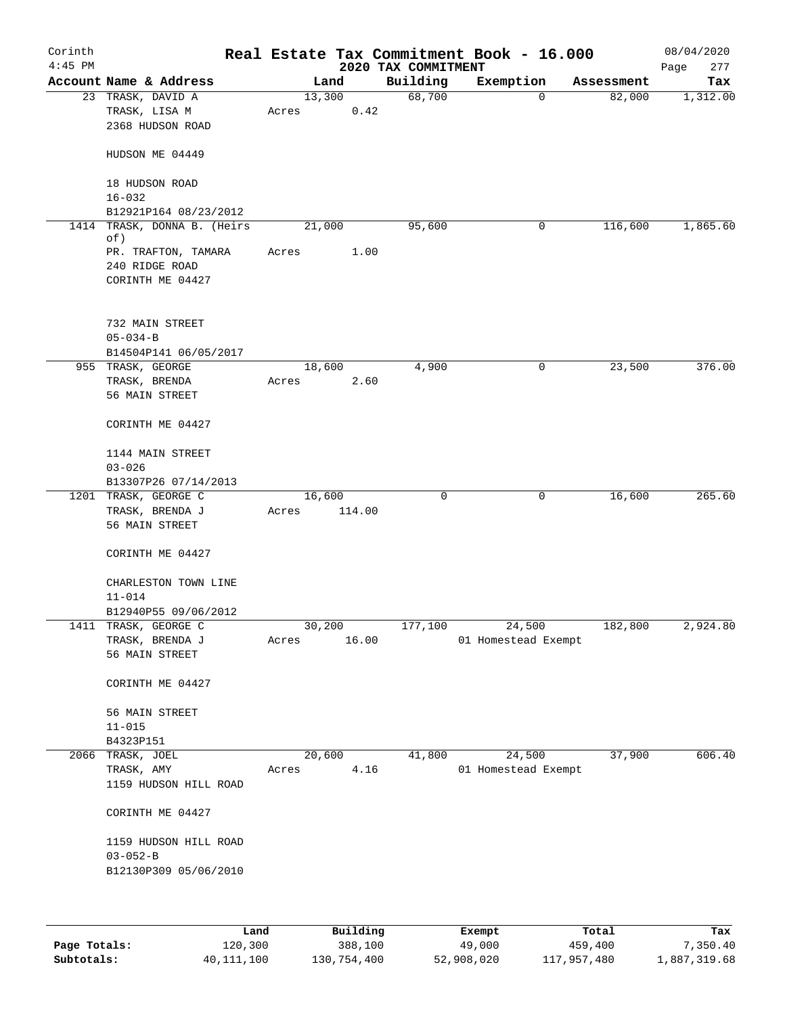| Corinth<br>$4:45$ PM |                                                                               |       |                   | 2020 TAX COMMITMENT | Real Estate Tax Commitment Book - 16.000 |            | 08/04/2020<br>277<br>Page |
|----------------------|-------------------------------------------------------------------------------|-------|-------------------|---------------------|------------------------------------------|------------|---------------------------|
|                      | Account Name & Address                                                        |       | Land              | Building            | Exemption                                | Assessment | Tax                       |
|                      | 23 TRASK, DAVID A<br>TRASK, LISA M<br>2368 HUDSON ROAD                        | Acres | 13,300<br>0.42    | 68,700              | 0                                        | 82,000     | 1,312.00                  |
|                      | HUDSON ME 04449                                                               |       |                   |                     |                                          |            |                           |
|                      | 18 HUDSON ROAD<br>$16 - 032$                                                  |       |                   |                     |                                          |            |                           |
|                      | B12921P164 08/23/2012                                                         |       |                   |                     |                                          |            |                           |
|                      | 1414 TRASK, DONNA B. (Heirs<br>of)                                            |       | 21,000            | 95,600              | 0                                        | 116,600    | 1,865.60                  |
|                      | PR. TRAFTON, TAMARA<br>240 RIDGE ROAD<br>CORINTH ME 04427                     | Acres | 1.00              |                     |                                          |            |                           |
|                      | 732 MAIN STREET<br>$05 - 034 - B$<br>B14504P141 06/05/2017                    |       |                   |                     |                                          |            |                           |
|                      | 955 TRASK, GEORGE                                                             |       | 18,600            | 4,900               | 0                                        | 23,500     | 376.00                    |
|                      | TRASK, BRENDA<br>56 MAIN STREET                                               | Acres | 2.60              |                     |                                          |            |                           |
|                      | CORINTH ME 04427                                                              |       |                   |                     |                                          |            |                           |
|                      | 1144 MAIN STREET<br>$03 - 026$                                                |       |                   |                     |                                          |            |                           |
|                      | B13307P26 07/14/2013                                                          |       |                   |                     |                                          |            |                           |
|                      | 1201 TRASK, GEORGE C<br>TRASK, BRENDA J<br>56 MAIN STREET<br>CORINTH ME 04427 | Acres | 16, 600<br>114.00 | 0                   | 0                                        | 16,600     | 265.60                    |
|                      | CHARLESTON TOWN LINE<br>$11 - 014$                                            |       |                   |                     |                                          |            |                           |
|                      | B12940P55 09/06/2012                                                          |       |                   |                     |                                          |            |                           |
| 1411                 | TRASK, GEORGE C<br>TRASK, BRENDA J<br>56 MAIN STREET                          | Acres | 30,200<br>16.00   | 177,100             | 24,500<br>01 Homestead Exempt            | 182,800    | 2,924.80                  |
|                      | CORINTH ME 04427                                                              |       |                   |                     |                                          |            |                           |
|                      | 56 MAIN STREET<br>$11 - 015$                                                  |       |                   |                     |                                          |            |                           |
|                      | B4323P151                                                                     |       |                   |                     |                                          |            |                           |
|                      | 2066 TRASK, JOEL                                                              |       | 20,600            | 41,800              | 24,500                                   | 37,900     | 606.40                    |
|                      | TRASK, AMY                                                                    | Acres | 4.16              |                     | 01 Homestead Exempt                      |            |                           |
|                      | 1159 HUDSON HILL ROAD                                                         |       |                   |                     |                                          |            |                           |
|                      | CORINTH ME 04427                                                              |       |                   |                     |                                          |            |                           |
|                      | 1159 HUDSON HILL ROAD<br>$03 - 052 - B$                                       |       |                   |                     |                                          |            |                           |
|                      | B12130P309 05/06/2010                                                         |       |                   |                     |                                          |            |                           |
|                      |                                                                               |       |                   |                     |                                          |            |                           |

|              | Land       | Building    | Exempt     | Total       | Tax          |
|--------------|------------|-------------|------------|-------------|--------------|
| Page Totals: | 120,300    | 388,100     | 49,000     | 459,400     | 7,350.40     |
| Subtotals:   | 40,111,100 | 130,754,400 | 52,908,020 | 117,957,480 | 1,887,319.68 |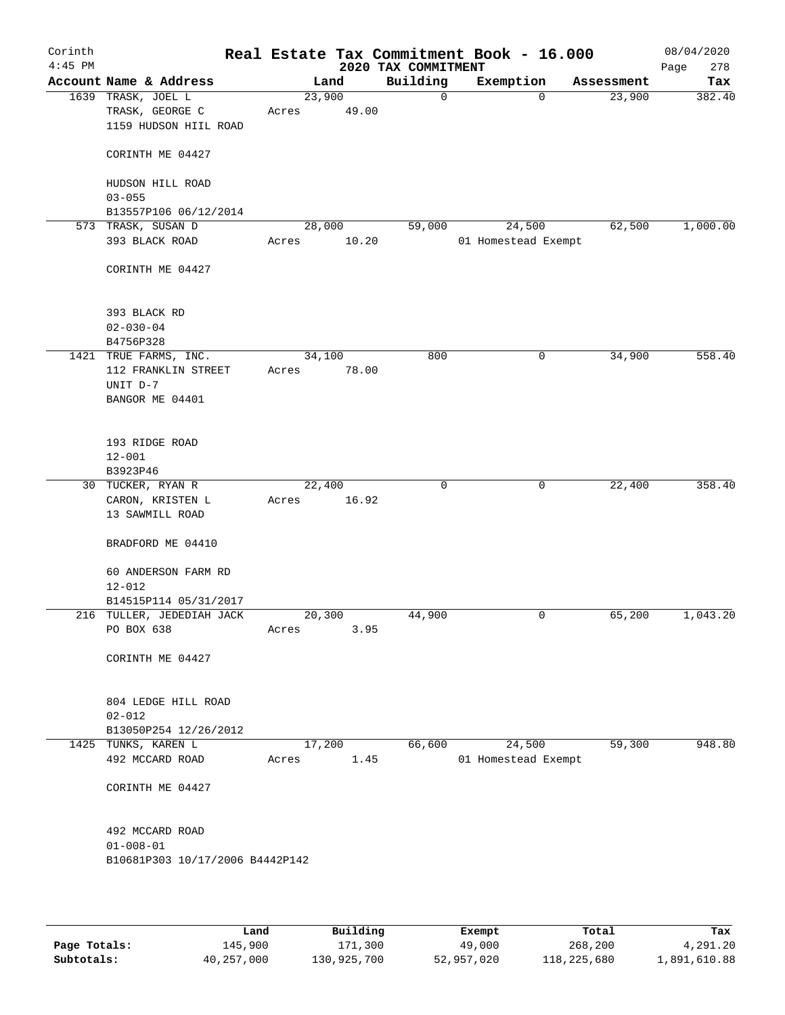| Corinth<br>$4:45$ PM |                                 |       |        | Real Estate Tax Commitment Book - 16.000<br>2020 TAX COMMITMENT |                     |            | 08/04/2020<br>278<br>Page |
|----------------------|---------------------------------|-------|--------|-----------------------------------------------------------------|---------------------|------------|---------------------------|
|                      | Account Name & Address          |       | Land   | Building                                                        | Exemption           | Assessment | Tax                       |
|                      | 1639 TRASK, JOEL L              |       | 23,900 | $\mathbf 0$                                                     | $\mathbf 0$         | 23,900     | 382.40                    |
|                      | TRASK, GEORGE C                 | Acres | 49.00  |                                                                 |                     |            |                           |
|                      | 1159 HUDSON HIIL ROAD           |       |        |                                                                 |                     |            |                           |
|                      |                                 |       |        |                                                                 |                     |            |                           |
|                      | CORINTH ME 04427                |       |        |                                                                 |                     |            |                           |
|                      |                                 |       |        |                                                                 |                     |            |                           |
|                      | HUDSON HILL ROAD                |       |        |                                                                 |                     |            |                           |
|                      | $03 - 055$                      |       |        |                                                                 |                     |            |                           |
|                      | B13557P106 06/12/2014           |       |        |                                                                 |                     |            |                           |
|                      | 573 TRASK, SUSAN D              |       | 28,000 | 59,000                                                          | 24,500              | 62,500     | 1,000.00                  |
|                      | 393 BLACK ROAD                  | Acres | 10.20  |                                                                 | 01 Homestead Exempt |            |                           |
|                      |                                 |       |        |                                                                 |                     |            |                           |
|                      | CORINTH ME 04427                |       |        |                                                                 |                     |            |                           |
|                      |                                 |       |        |                                                                 |                     |            |                           |
|                      |                                 |       |        |                                                                 |                     |            |                           |
|                      | 393 BLACK RD                    |       |        |                                                                 |                     |            |                           |
|                      | $02 - 030 - 04$                 |       |        |                                                                 |                     |            |                           |
|                      | B4756P328                       |       |        |                                                                 |                     |            |                           |
|                      | 1421 TRUE FARMS, INC.           |       | 34,100 | 800                                                             | $\mathbf 0$         | 34,900     | 558.40                    |
|                      | 112 FRANKLIN STREET             | Acres | 78.00  |                                                                 |                     |            |                           |
|                      | UNIT D-7                        |       |        |                                                                 |                     |            |                           |
|                      | BANGOR ME 04401                 |       |        |                                                                 |                     |            |                           |
|                      |                                 |       |        |                                                                 |                     |            |                           |
|                      |                                 |       |        |                                                                 |                     |            |                           |
|                      | 193 RIDGE ROAD<br>$12 - 001$    |       |        |                                                                 |                     |            |                           |
|                      | B3923P46                        |       |        |                                                                 |                     |            |                           |
|                      | 30 TUCKER, RYAN R               |       | 22,400 | 0                                                               | 0                   | 22,400     | 358.40                    |
|                      | CARON, KRISTEN L                | Acres | 16.92  |                                                                 |                     |            |                           |
|                      | 13 SAWMILL ROAD                 |       |        |                                                                 |                     |            |                           |
|                      |                                 |       |        |                                                                 |                     |            |                           |
|                      | BRADFORD ME 04410               |       |        |                                                                 |                     |            |                           |
|                      |                                 |       |        |                                                                 |                     |            |                           |
|                      | 60 ANDERSON FARM RD             |       |        |                                                                 |                     |            |                           |
|                      | $12 - 012$                      |       |        |                                                                 |                     |            |                           |
|                      | B14515P114 05/31/2017           |       |        |                                                                 |                     |            |                           |
|                      | 216 TULLER, JEDEDIAH JACK       |       | 20,300 | 44,900                                                          | 0                   | 65,200     | 1,043.20                  |
|                      | PO BOX 638                      | Acres | 3.95   |                                                                 |                     |            |                           |
|                      |                                 |       |        |                                                                 |                     |            |                           |
|                      | CORINTH ME 04427                |       |        |                                                                 |                     |            |                           |
|                      |                                 |       |        |                                                                 |                     |            |                           |
|                      |                                 |       |        |                                                                 |                     |            |                           |
|                      | 804 LEDGE HILL ROAD             |       |        |                                                                 |                     |            |                           |
|                      | $02 - 012$                      |       |        |                                                                 |                     |            |                           |
|                      | B13050P254 12/26/2012           |       |        |                                                                 |                     |            |                           |
|                      | 1425 TUNKS, KAREN L             |       | 17,200 | 66,600                                                          | 24,500              | 59,300     | 948.80                    |
|                      | 492 MCCARD ROAD                 | Acres | 1.45   |                                                                 | 01 Homestead Exempt |            |                           |
|                      |                                 |       |        |                                                                 |                     |            |                           |
|                      | CORINTH ME 04427                |       |        |                                                                 |                     |            |                           |
|                      |                                 |       |        |                                                                 |                     |            |                           |
|                      |                                 |       |        |                                                                 |                     |            |                           |
|                      | 492 MCCARD ROAD                 |       |        |                                                                 |                     |            |                           |
|                      | $01 - 008 - 01$                 |       |        |                                                                 |                     |            |                           |
|                      | B10681P303 10/17/2006 B4442P142 |       |        |                                                                 |                     |            |                           |
|                      |                                 |       |        |                                                                 |                     |            |                           |
|                      |                                 |       |        |                                                                 |                     |            |                           |
|                      |                                 |       |        |                                                                 |                     |            |                           |

|              | Land       | Building    | Exempt     | Total       | Tax          |
|--------------|------------|-------------|------------|-------------|--------------|
| Page Totals: | 145,900    | 171,300     | 49,000     | 268,200     | 4,291.20     |
| Subtotals:   | 40,257,000 | 130,925,700 | 52,957,020 | 118,225,680 | 1,891,610.88 |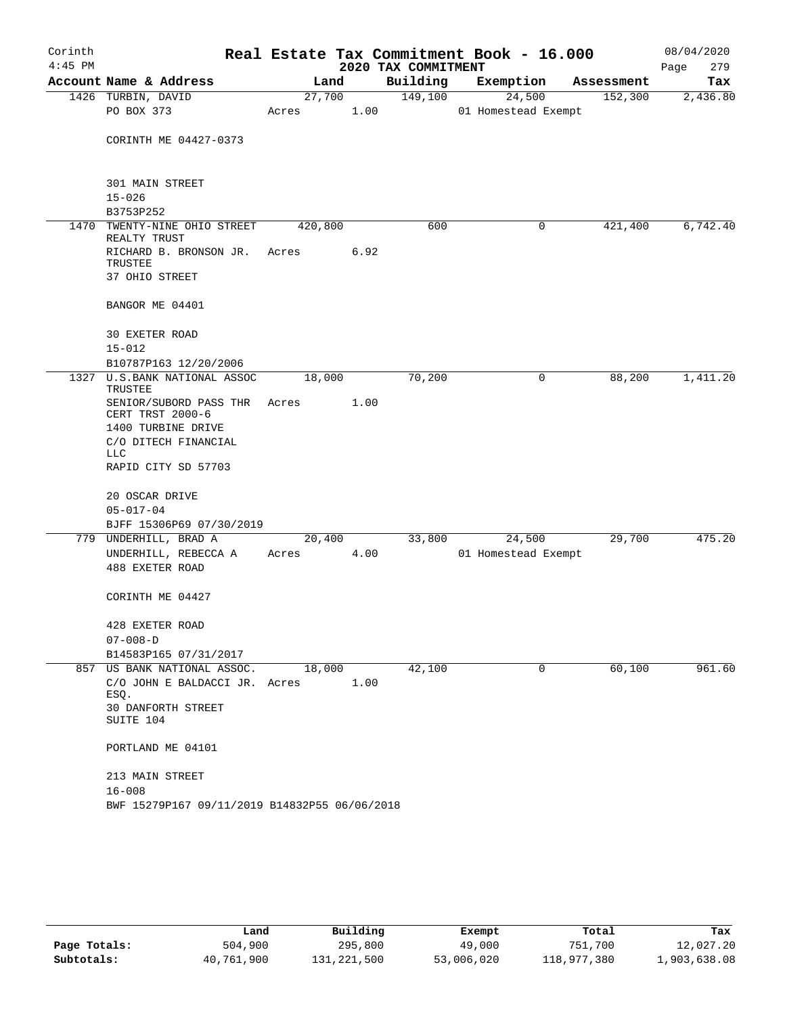| Corinth<br>$4:45$ PM |                                               |         |        | 2020 TAX COMMITMENT | Real Estate Tax Commitment Book - 16.000 |            | 08/04/2020<br>Page<br>279 |
|----------------------|-----------------------------------------------|---------|--------|---------------------|------------------------------------------|------------|---------------------------|
|                      | Account Name & Address                        | Land    |        | Building            | Exemption                                | Assessment | Tax                       |
|                      | 1426 TURBIN, DAVID                            | 27,700  |        | 149,100             | 24,500                                   | 152,300    | 2,436.80                  |
|                      | PO BOX 373                                    | Acres   | 1.00   |                     | 01 Homestead Exempt                      |            |                           |
|                      | CORINTH ME 04427-0373                         |         |        |                     |                                          |            |                           |
|                      | 301 MAIN STREET                               |         |        |                     |                                          |            |                           |
|                      | $15 - 026$                                    |         |        |                     |                                          |            |                           |
|                      | B3753P252                                     |         |        |                     |                                          |            |                           |
|                      | 1470 TWENTY-NINE OHIO STREET<br>REALTY TRUST  | 420,800 |        | 600                 | 0                                        | 421,400    | 6,742.40                  |
|                      | RICHARD B. BRONSON JR.<br>TRUSTEE             | Acres   | 6.92   |                     |                                          |            |                           |
|                      | 37 OHIO STREET                                |         |        |                     |                                          |            |                           |
|                      | BANGOR ME 04401                               |         |        |                     |                                          |            |                           |
|                      | 30 EXETER ROAD                                |         |        |                     |                                          |            |                           |
|                      | $15 - 012$                                    |         |        |                     |                                          |            |                           |
|                      | B10787P163 12/20/2006                         |         |        |                     |                                          |            |                           |
|                      | 1327 U.S.BANK NATIONAL ASSOC<br>TRUSTEE       | 18,000  |        | 70,200              | 0                                        | 88,200     | 1,411.20                  |
|                      | SENIOR/SUBORD PASS THR<br>CERT TRST 2000-6    | Acres   | 1.00   |                     |                                          |            |                           |
|                      | 1400 TURBINE DRIVE                            |         |        |                     |                                          |            |                           |
|                      | C/O DITECH FINANCIAL<br><b>LLC</b>            |         |        |                     |                                          |            |                           |
|                      | RAPID CITY SD 57703                           |         |        |                     |                                          |            |                           |
|                      | 20 OSCAR DRIVE                                |         |        |                     |                                          |            |                           |
|                      | $05 - 017 - 04$                               |         |        |                     |                                          |            |                           |
|                      | BJFF 15306P69 07/30/2019                      |         |        |                     |                                          |            |                           |
|                      | 779 UNDERHILL, BRAD A                         |         | 20,400 | 33,800              | 24,500                                   | 29,700     | 475.20                    |
|                      | UNDERHILL, REBECCA A                          | Acres   | 4.00   |                     | 01 Homestead Exempt                      |            |                           |
|                      | 488 EXETER ROAD                               |         |        |                     |                                          |            |                           |
|                      | CORINTH ME 04427                              |         |        |                     |                                          |            |                           |
|                      | 428 EXETER ROAD                               |         |        |                     |                                          |            |                           |
|                      | $07 - 008 - D$                                |         |        |                     |                                          |            |                           |
|                      | B14583P165 07/31/2017                         |         |        |                     |                                          |            |                           |
|                      | 857 US BANK NATIONAL ASSOC.                   | 18,000  |        | 42,100              | 0                                        | 60,100     | 961.60                    |
|                      | C/O JOHN E BALDACCI JR. Acres<br>ESQ.         |         | 1.00   |                     |                                          |            |                           |
|                      | 30 DANFORTH STREET<br>SUITE 104               |         |        |                     |                                          |            |                           |
|                      | PORTLAND ME 04101                             |         |        |                     |                                          |            |                           |
|                      | 213 MAIN STREET                               |         |        |                     |                                          |            |                           |
|                      | $16 - 008$                                    |         |        |                     |                                          |            |                           |
|                      | BWF 15279P167 09/11/2019 B14832P55 06/06/2018 |         |        |                     |                                          |            |                           |

|              | Land       | Building    | Exempt     | Total       | Tax          |
|--------------|------------|-------------|------------|-------------|--------------|
| Page Totals: | 504,900    | 295,800     | 49,000     | 751,700     | 12,027.20    |
| Subtotals:   | 40,761,900 | 131,221,500 | 53,006,020 | 118,977,380 | 1,903,638.08 |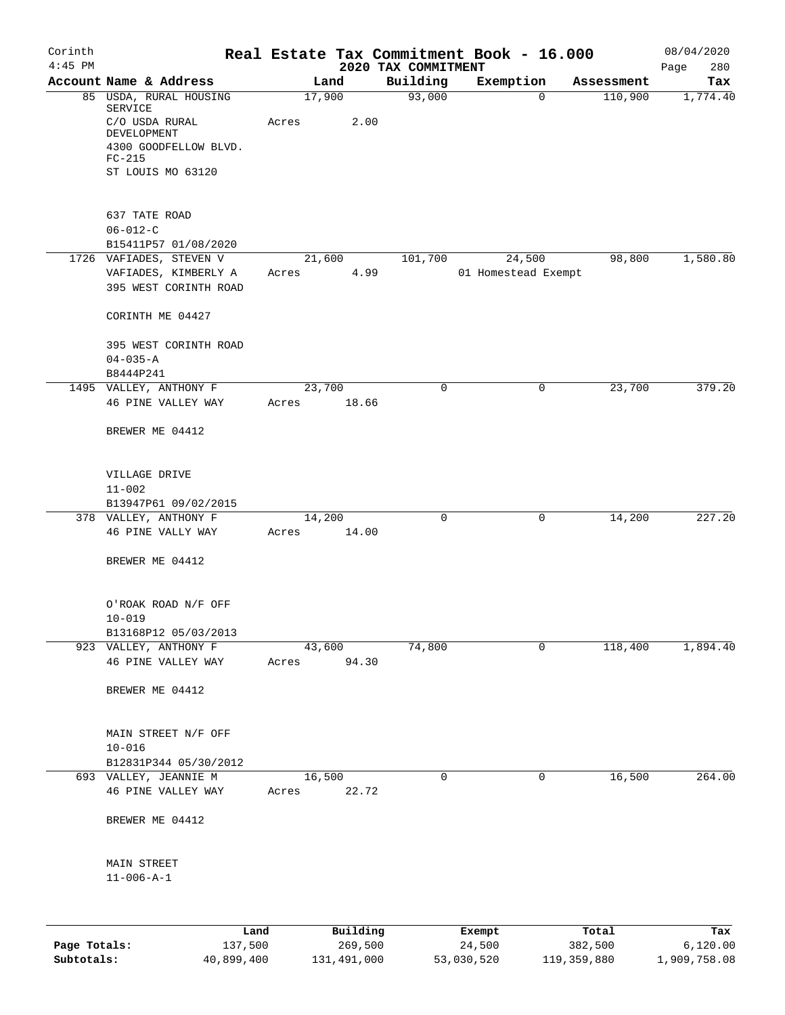| $4:45$ PM<br>2020 TAX COMMITMENT<br>Page<br>Account Name & Address<br>Building<br>Exemption<br>Land<br>Assessment<br>17,900<br>93,000<br>85 USDA, RURAL HOUSING<br>110,900<br>$\mathbf 0$<br><b>SERVICE</b><br>2.00<br>C/O USDA RURAL<br>Acres<br>DEVELOPMENT<br>4300 GOODFELLOW BLVD.<br>$FC-215$<br>ST LOUIS MO 63120<br>637 TATE ROAD<br>$06 - 012 - C$<br>B15411P57 01/08/2020<br>1726 VAFIADES, STEVEN V<br>21,600<br>101,700<br>24,500<br>98,800<br>VAFIADES, KIMBERLY A<br>4.99<br>01 Homestead Exempt<br>Acres<br>395 WEST CORINTH ROAD<br>CORINTH ME 04427<br>395 WEST CORINTH ROAD<br>$04 - 035 - A$<br>B8444P241<br>1495 VALLEY, ANTHONY F<br>23,700<br>23,700<br>0<br>0<br>46 PINE VALLEY WAY<br>18.66<br>Acres<br>BREWER ME 04412<br>VILLAGE DRIVE<br>$11 - 002$<br>B13947P61 09/02/2015<br>14,200<br>14,200<br>378 VALLEY, ANTHONY F<br>0<br>0<br>46 PINE VALLY WAY<br>14.00<br>Acres<br>BREWER ME 04412<br>O'ROAK ROAD N/F OFF<br>$10 - 019$<br>B13168P12 05/03/2013<br>74,800<br>923 VALLEY, ANTHONY F<br>43,600<br>0<br>118,400<br>1,894.40<br>94.30<br>46 PINE VALLEY WAY<br>Acres<br>BREWER ME 04412<br>MAIN STREET N/F OFF<br>$10 - 016$<br>B12831P344 05/30/2012<br>16,500<br>16,500<br>693 VALLEY, JEANNIE M<br>0<br>0<br>46 PINE VALLEY WAY<br>22.72<br>Acres<br>BREWER ME 04412<br>MAIN STREET<br>$11 - 006 - A - 1$<br>Building<br>Total<br>Land<br>Exempt<br>Page Totals:<br>137,500<br>269,500 | Corinth | Real Estate Tax Commitment Book - 16.000 |        |         | 08/04/2020      |
|---------------------------------------------------------------------------------------------------------------------------------------------------------------------------------------------------------------------------------------------------------------------------------------------------------------------------------------------------------------------------------------------------------------------------------------------------------------------------------------------------------------------------------------------------------------------------------------------------------------------------------------------------------------------------------------------------------------------------------------------------------------------------------------------------------------------------------------------------------------------------------------------------------------------------------------------------------------------------------------------------------------------------------------------------------------------------------------------------------------------------------------------------------------------------------------------------------------------------------------------------------------------------------------------------------------------------------------------------------------------------------------------------------------------------|---------|------------------------------------------|--------|---------|-----------------|
|                                                                                                                                                                                                                                                                                                                                                                                                                                                                                                                                                                                                                                                                                                                                                                                                                                                                                                                                                                                                                                                                                                                                                                                                                                                                                                                                                                                                                           |         |                                          |        |         | 280<br>Tax      |
|                                                                                                                                                                                                                                                                                                                                                                                                                                                                                                                                                                                                                                                                                                                                                                                                                                                                                                                                                                                                                                                                                                                                                                                                                                                                                                                                                                                                                           |         |                                          |        |         | 1,774.40        |
|                                                                                                                                                                                                                                                                                                                                                                                                                                                                                                                                                                                                                                                                                                                                                                                                                                                                                                                                                                                                                                                                                                                                                                                                                                                                                                                                                                                                                           |         |                                          |        |         |                 |
|                                                                                                                                                                                                                                                                                                                                                                                                                                                                                                                                                                                                                                                                                                                                                                                                                                                                                                                                                                                                                                                                                                                                                                                                                                                                                                                                                                                                                           |         |                                          |        |         |                 |
|                                                                                                                                                                                                                                                                                                                                                                                                                                                                                                                                                                                                                                                                                                                                                                                                                                                                                                                                                                                                                                                                                                                                                                                                                                                                                                                                                                                                                           |         |                                          |        |         |                 |
|                                                                                                                                                                                                                                                                                                                                                                                                                                                                                                                                                                                                                                                                                                                                                                                                                                                                                                                                                                                                                                                                                                                                                                                                                                                                                                                                                                                                                           |         |                                          |        |         |                 |
|                                                                                                                                                                                                                                                                                                                                                                                                                                                                                                                                                                                                                                                                                                                                                                                                                                                                                                                                                                                                                                                                                                                                                                                                                                                                                                                                                                                                                           |         |                                          |        |         |                 |
|                                                                                                                                                                                                                                                                                                                                                                                                                                                                                                                                                                                                                                                                                                                                                                                                                                                                                                                                                                                                                                                                                                                                                                                                                                                                                                                                                                                                                           |         |                                          |        |         |                 |
|                                                                                                                                                                                                                                                                                                                                                                                                                                                                                                                                                                                                                                                                                                                                                                                                                                                                                                                                                                                                                                                                                                                                                                                                                                                                                                                                                                                                                           |         |                                          |        |         | 1,580.80        |
|                                                                                                                                                                                                                                                                                                                                                                                                                                                                                                                                                                                                                                                                                                                                                                                                                                                                                                                                                                                                                                                                                                                                                                                                                                                                                                                                                                                                                           |         |                                          |        |         |                 |
|                                                                                                                                                                                                                                                                                                                                                                                                                                                                                                                                                                                                                                                                                                                                                                                                                                                                                                                                                                                                                                                                                                                                                                                                                                                                                                                                                                                                                           |         |                                          |        |         |                 |
|                                                                                                                                                                                                                                                                                                                                                                                                                                                                                                                                                                                                                                                                                                                                                                                                                                                                                                                                                                                                                                                                                                                                                                                                                                                                                                                                                                                                                           |         |                                          |        |         |                 |
|                                                                                                                                                                                                                                                                                                                                                                                                                                                                                                                                                                                                                                                                                                                                                                                                                                                                                                                                                                                                                                                                                                                                                                                                                                                                                                                                                                                                                           |         |                                          |        |         |                 |
|                                                                                                                                                                                                                                                                                                                                                                                                                                                                                                                                                                                                                                                                                                                                                                                                                                                                                                                                                                                                                                                                                                                                                                                                                                                                                                                                                                                                                           |         |                                          |        |         |                 |
|                                                                                                                                                                                                                                                                                                                                                                                                                                                                                                                                                                                                                                                                                                                                                                                                                                                                                                                                                                                                                                                                                                                                                                                                                                                                                                                                                                                                                           |         |                                          |        |         | 379.20          |
|                                                                                                                                                                                                                                                                                                                                                                                                                                                                                                                                                                                                                                                                                                                                                                                                                                                                                                                                                                                                                                                                                                                                                                                                                                                                                                                                                                                                                           |         |                                          |        |         |                 |
|                                                                                                                                                                                                                                                                                                                                                                                                                                                                                                                                                                                                                                                                                                                                                                                                                                                                                                                                                                                                                                                                                                                                                                                                                                                                                                                                                                                                                           |         |                                          |        |         |                 |
|                                                                                                                                                                                                                                                                                                                                                                                                                                                                                                                                                                                                                                                                                                                                                                                                                                                                                                                                                                                                                                                                                                                                                                                                                                                                                                                                                                                                                           |         |                                          |        |         |                 |
|                                                                                                                                                                                                                                                                                                                                                                                                                                                                                                                                                                                                                                                                                                                                                                                                                                                                                                                                                                                                                                                                                                                                                                                                                                                                                                                                                                                                                           |         |                                          |        |         |                 |
|                                                                                                                                                                                                                                                                                                                                                                                                                                                                                                                                                                                                                                                                                                                                                                                                                                                                                                                                                                                                                                                                                                                                                                                                                                                                                                                                                                                                                           |         |                                          |        |         |                 |
|                                                                                                                                                                                                                                                                                                                                                                                                                                                                                                                                                                                                                                                                                                                                                                                                                                                                                                                                                                                                                                                                                                                                                                                                                                                                                                                                                                                                                           |         |                                          |        |         | 227.20          |
|                                                                                                                                                                                                                                                                                                                                                                                                                                                                                                                                                                                                                                                                                                                                                                                                                                                                                                                                                                                                                                                                                                                                                                                                                                                                                                                                                                                                                           |         |                                          |        |         |                 |
|                                                                                                                                                                                                                                                                                                                                                                                                                                                                                                                                                                                                                                                                                                                                                                                                                                                                                                                                                                                                                                                                                                                                                                                                                                                                                                                                                                                                                           |         |                                          |        |         |                 |
|                                                                                                                                                                                                                                                                                                                                                                                                                                                                                                                                                                                                                                                                                                                                                                                                                                                                                                                                                                                                                                                                                                                                                                                                                                                                                                                                                                                                                           |         |                                          |        |         |                 |
|                                                                                                                                                                                                                                                                                                                                                                                                                                                                                                                                                                                                                                                                                                                                                                                                                                                                                                                                                                                                                                                                                                                                                                                                                                                                                                                                                                                                                           |         |                                          |        |         |                 |
|                                                                                                                                                                                                                                                                                                                                                                                                                                                                                                                                                                                                                                                                                                                                                                                                                                                                                                                                                                                                                                                                                                                                                                                                                                                                                                                                                                                                                           |         |                                          |        |         |                 |
|                                                                                                                                                                                                                                                                                                                                                                                                                                                                                                                                                                                                                                                                                                                                                                                                                                                                                                                                                                                                                                                                                                                                                                                                                                                                                                                                                                                                                           |         |                                          |        |         |                 |
|                                                                                                                                                                                                                                                                                                                                                                                                                                                                                                                                                                                                                                                                                                                                                                                                                                                                                                                                                                                                                                                                                                                                                                                                                                                                                                                                                                                                                           |         |                                          |        |         |                 |
|                                                                                                                                                                                                                                                                                                                                                                                                                                                                                                                                                                                                                                                                                                                                                                                                                                                                                                                                                                                                                                                                                                                                                                                                                                                                                                                                                                                                                           |         |                                          |        |         |                 |
|                                                                                                                                                                                                                                                                                                                                                                                                                                                                                                                                                                                                                                                                                                                                                                                                                                                                                                                                                                                                                                                                                                                                                                                                                                                                                                                                                                                                                           |         |                                          |        |         |                 |
|                                                                                                                                                                                                                                                                                                                                                                                                                                                                                                                                                                                                                                                                                                                                                                                                                                                                                                                                                                                                                                                                                                                                                                                                                                                                                                                                                                                                                           |         |                                          |        |         | 264.00          |
|                                                                                                                                                                                                                                                                                                                                                                                                                                                                                                                                                                                                                                                                                                                                                                                                                                                                                                                                                                                                                                                                                                                                                                                                                                                                                                                                                                                                                           |         |                                          |        |         |                 |
|                                                                                                                                                                                                                                                                                                                                                                                                                                                                                                                                                                                                                                                                                                                                                                                                                                                                                                                                                                                                                                                                                                                                                                                                                                                                                                                                                                                                                           |         |                                          |        |         |                 |
|                                                                                                                                                                                                                                                                                                                                                                                                                                                                                                                                                                                                                                                                                                                                                                                                                                                                                                                                                                                                                                                                                                                                                                                                                                                                                                                                                                                                                           |         |                                          |        |         |                 |
|                                                                                                                                                                                                                                                                                                                                                                                                                                                                                                                                                                                                                                                                                                                                                                                                                                                                                                                                                                                                                                                                                                                                                                                                                                                                                                                                                                                                                           |         |                                          |        |         |                 |
|                                                                                                                                                                                                                                                                                                                                                                                                                                                                                                                                                                                                                                                                                                                                                                                                                                                                                                                                                                                                                                                                                                                                                                                                                                                                                                                                                                                                                           |         |                                          |        |         |                 |
|                                                                                                                                                                                                                                                                                                                                                                                                                                                                                                                                                                                                                                                                                                                                                                                                                                                                                                                                                                                                                                                                                                                                                                                                                                                                                                                                                                                                                           |         |                                          | 24,500 | 382,500 | Tax<br>6,120.00 |

**Subtotals:** 40,899,400 131,491,000 53,030,520 119,359,880 1,909,758.08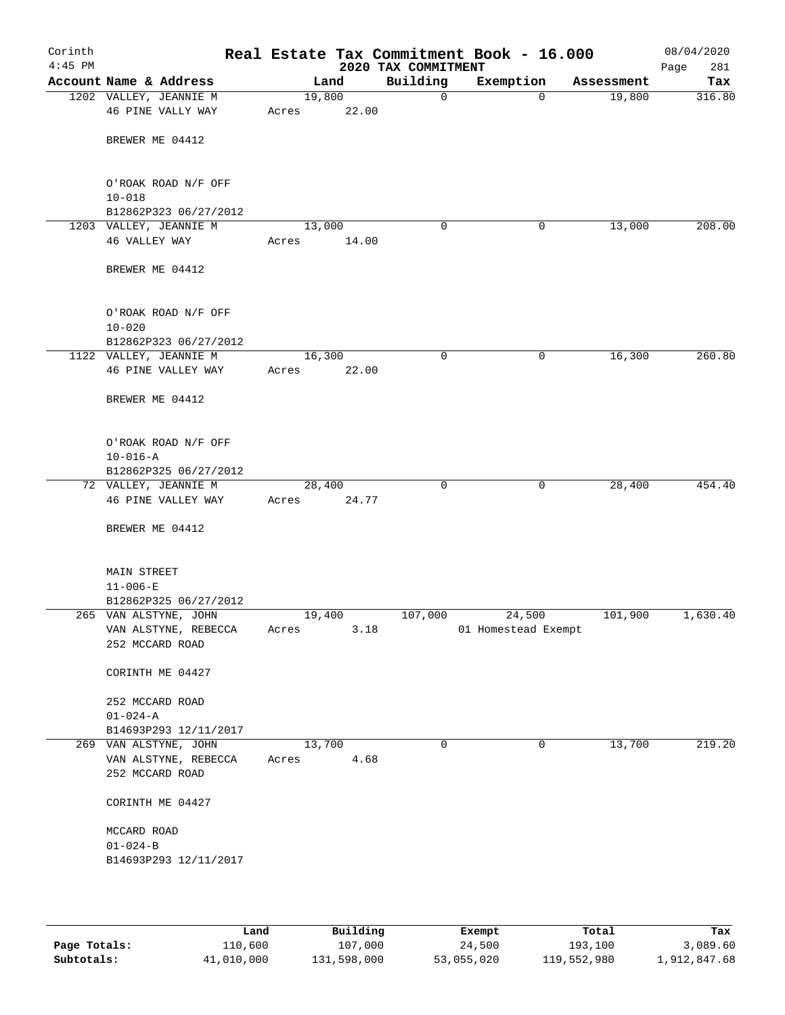| Corinth<br>$4:45$ PM |                                         |        |       | 2020 TAX COMMITMENT | Real Estate Tax Commitment Book - 16.000 |            | 08/04/2020<br>281<br>Page |
|----------------------|-----------------------------------------|--------|-------|---------------------|------------------------------------------|------------|---------------------------|
|                      | Account Name & Address                  |        | Land  | Building            | Exemption                                | Assessment | Tax                       |
|                      | 1202 VALLEY, JEANNIE M                  | 19,800 |       | $\mathsf{O}$        | $\Omega$                                 | 19,800     | 316.80                    |
|                      | 46 PINE VALLY WAY                       | Acres  | 22.00 |                     |                                          |            |                           |
|                      | BREWER ME 04412                         |        |       |                     |                                          |            |                           |
|                      |                                         |        |       |                     |                                          |            |                           |
|                      | O'ROAK ROAD N/F OFF                     |        |       |                     |                                          |            |                           |
|                      | $10 - 018$<br>B12862P323 06/27/2012     |        |       |                     |                                          |            |                           |
|                      | 1203 VALLEY, JEANNIE M                  | 13,000 |       | 0                   | 0                                        | 13,000     | 208.00                    |
|                      | 46 VALLEY WAY                           | Acres  | 14.00 |                     |                                          |            |                           |
|                      | BREWER ME 04412                         |        |       |                     |                                          |            |                           |
|                      | O'ROAK ROAD N/F OFF                     |        |       |                     |                                          |            |                           |
|                      | $10 - 020$                              |        |       |                     |                                          |            |                           |
|                      | B12862P323 06/27/2012                   |        |       |                     |                                          |            |                           |
|                      | 1122 VALLEY, JEANNIE M                  | 16,300 |       | $\mathbf 0$         | $\mathbf 0$                              | 16,300     | 260.80                    |
|                      | 46 PINE VALLEY WAY                      | Acres  | 22.00 |                     |                                          |            |                           |
|                      | BREWER ME 04412                         |        |       |                     |                                          |            |                           |
|                      | O'ROAK ROAD N/F OFF                     |        |       |                     |                                          |            |                           |
|                      | $10 - 016 - A$                          |        |       |                     |                                          |            |                           |
|                      | B12862P325 06/27/2012                   |        |       |                     |                                          |            |                           |
|                      | 72 VALLEY, JEANNIE M                    | 28,400 |       | 0                   | 0                                        | 28,400     | 454.40                    |
|                      | 46 PINE VALLEY WAY                      | Acres  | 24.77 |                     |                                          |            |                           |
|                      | BREWER ME 04412                         |        |       |                     |                                          |            |                           |
|                      | <b>MAIN STREET</b>                      |        |       |                     |                                          |            |                           |
|                      | $11 - 006 - E$                          |        |       |                     |                                          |            |                           |
|                      | B12862P325 06/27/2012                   |        |       |                     |                                          |            |                           |
|                      | 265 VAN ALSTYNE, JOHN                   | 19,400 |       | 107,000             | 24,500                                   | 101,900    | 1,630.40                  |
|                      | VAN ALSTYNE, REBECCA<br>252 MCCARD ROAD | Acres  | 3.18  |                     | 01 Homestead Exempt                      |            |                           |
|                      | CORINTH ME 04427                        |        |       |                     |                                          |            |                           |
|                      | 252 MCCARD ROAD                         |        |       |                     |                                          |            |                           |
|                      | $01 - 024 - A$                          |        |       |                     |                                          |            |                           |
|                      | B14693P293 12/11/2017                   |        |       |                     |                                          |            |                           |
|                      | 269 VAN ALSTYNE, JOHN                   | 13,700 |       | $\mathbf 0$         | 0                                        | 13,700     | 219.20                    |
|                      | VAN ALSTYNE, REBECCA                    | Acres  | 4.68  |                     |                                          |            |                           |
|                      | 252 MCCARD ROAD                         |        |       |                     |                                          |            |                           |
|                      | CORINTH ME 04427                        |        |       |                     |                                          |            |                           |
|                      | MCCARD ROAD                             |        |       |                     |                                          |            |                           |
|                      | $01 - 024 - B$                          |        |       |                     |                                          |            |                           |
|                      | B14693P293 12/11/2017                   |        |       |                     |                                          |            |                           |
|                      |                                         |        |       |                     |                                          |            |                           |
|                      |                                         |        |       |                     |                                          |            |                           |

|              | Land       | Building    | Exempt     | Total       | Tax          |
|--------------|------------|-------------|------------|-------------|--------------|
| Page Totals: | 110,600    | 107,000     | 24,500     | 193,100     | 3,089.60     |
| Subtotals:   | 41,010,000 | 131,598,000 | 53,055,020 | 119,552,980 | 1,912,847.68 |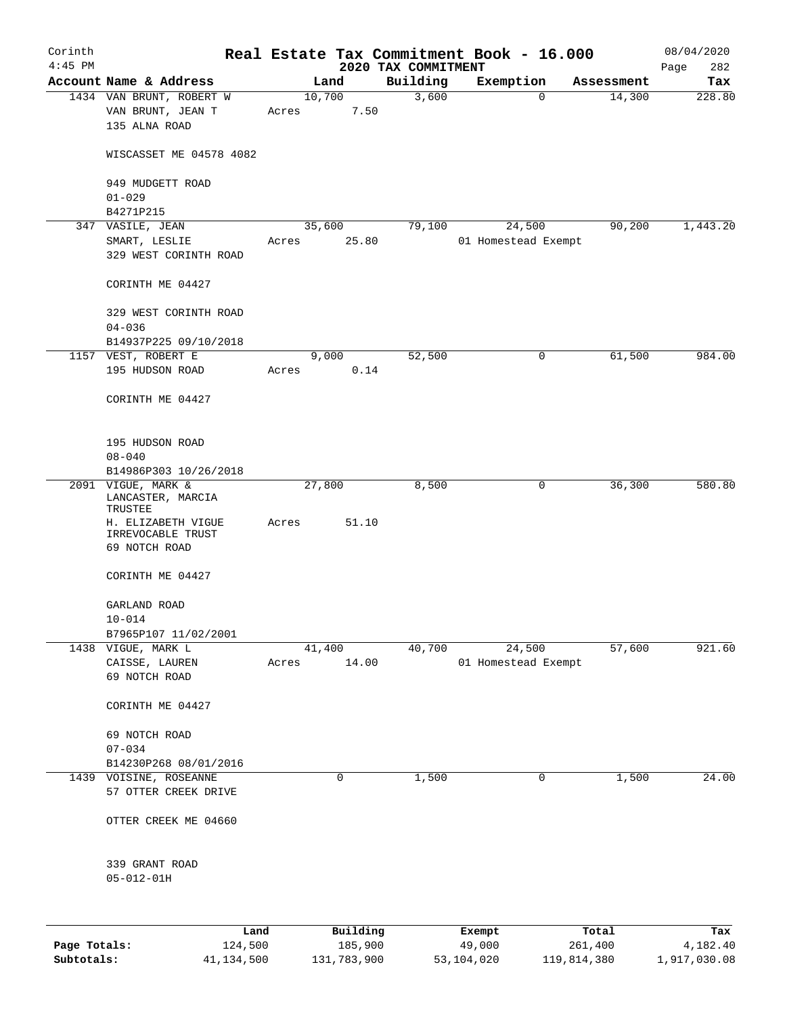| Corinth<br>$4:45$ PM |                                                    |       |          |                                 | Real Estate Tax Commitment Book - 16.000 |                       | 08/04/2020         |
|----------------------|----------------------------------------------------|-------|----------|---------------------------------|------------------------------------------|-----------------------|--------------------|
|                      | Account Name & Address                             |       | Land     | 2020 TAX COMMITMENT<br>Building | Exemption                                | Assessment            | 282<br>Page<br>Tax |
|                      | 1434 VAN BRUNT, ROBERT W                           |       | 10,700   | 3,600                           |                                          | 14,300<br>$\mathbf 0$ | 228.80             |
|                      | VAN BRUNT, JEAN T<br>135 ALNA ROAD                 | Acres | 7.50     |                                 |                                          |                       |                    |
|                      | WISCASSET ME 04578 4082                            |       |          |                                 |                                          |                       |                    |
|                      | 949 MUDGETT ROAD<br>$01 - 029$                     |       |          |                                 |                                          |                       |                    |
|                      | B4271P215                                          |       |          |                                 |                                          |                       |                    |
|                      | 347 VASILE, JEAN                                   |       | 35,600   | 79,100                          | 24,500                                   | 90,200                | 1,443.20           |
|                      | SMART, LESLIE<br>329 WEST CORINTH ROAD             | Acres | 25.80    |                                 | 01 Homestead Exempt                      |                       |                    |
|                      | CORINTH ME 04427                                   |       |          |                                 |                                          |                       |                    |
|                      | 329 WEST CORINTH ROAD<br>$04 - 036$                |       |          |                                 |                                          |                       |                    |
|                      | B14937P225 09/10/2018                              |       |          |                                 |                                          |                       |                    |
|                      | 1157 VEST, ROBERT E                                |       | 9,000    | 52,500                          |                                          | 61,500<br>0           | 984.00             |
|                      | 195 HUDSON ROAD                                    | Acres | 0.14     |                                 |                                          |                       |                    |
|                      | CORINTH ME 04427                                   |       |          |                                 |                                          |                       |                    |
|                      | 195 HUDSON ROAD                                    |       |          |                                 |                                          |                       |                    |
|                      | $08 - 040$<br>B14986P303 10/26/2018                |       |          |                                 |                                          |                       |                    |
|                      | 2091 VIGUE, MARK &<br>LANCASTER, MARCIA<br>TRUSTEE |       | 27,800   | 8,500                           |                                          | 36,300<br>0           | 580.80             |
|                      | H. ELIZABETH VIGUE<br>IRREVOCABLE TRUST            | Acres | 51.10    |                                 |                                          |                       |                    |
|                      | 69 NOTCH ROAD                                      |       |          |                                 |                                          |                       |                    |
|                      | CORINTH ME 04427                                   |       |          |                                 |                                          |                       |                    |
|                      | GARLAND ROAD<br>$10 - 014$                         |       |          |                                 |                                          |                       |                    |
|                      | B7965P107 11/02/2001                               |       |          |                                 |                                          |                       |                    |
|                      | 1438 VIGUE, MARK L                                 |       | 41,400   | 40,700                          | 24,500                                   | 57,600                | 921.60             |
|                      | CAISSE, LAUREN<br>69 NOTCH ROAD                    | Acres | 14.00    |                                 | 01 Homestead Exempt                      |                       |                    |
|                      | CORINTH ME 04427                                   |       |          |                                 |                                          |                       |                    |
|                      | 69 NOTCH ROAD<br>$07 - 034$                        |       |          |                                 |                                          |                       |                    |
|                      | B14230P268 08/01/2016                              |       |          |                                 |                                          |                       |                    |
|                      | 1439 VOISINE, ROSEANNE                             |       | 0        | 1,500                           |                                          | 0<br>1,500            | 24.00              |
|                      | 57 OTTER CREEK DRIVE                               |       |          |                                 |                                          |                       |                    |
|                      | OTTER CREEK ME 04660                               |       |          |                                 |                                          |                       |                    |
|                      | 339 GRANT ROAD<br>$05 - 012 - 01H$                 |       |          |                                 |                                          |                       |                    |
|                      | Land                                               |       | Building |                                 | Exempt                                   | Total                 | Tax                |
| Page Totals:         | 124,500                                            |       | 185,900  |                                 | 49,000                                   | 261,400               | 4,182.40           |

**Subtotals:** 41,134,500 131,783,900 53,104,020 119,814,380 1,917,030.08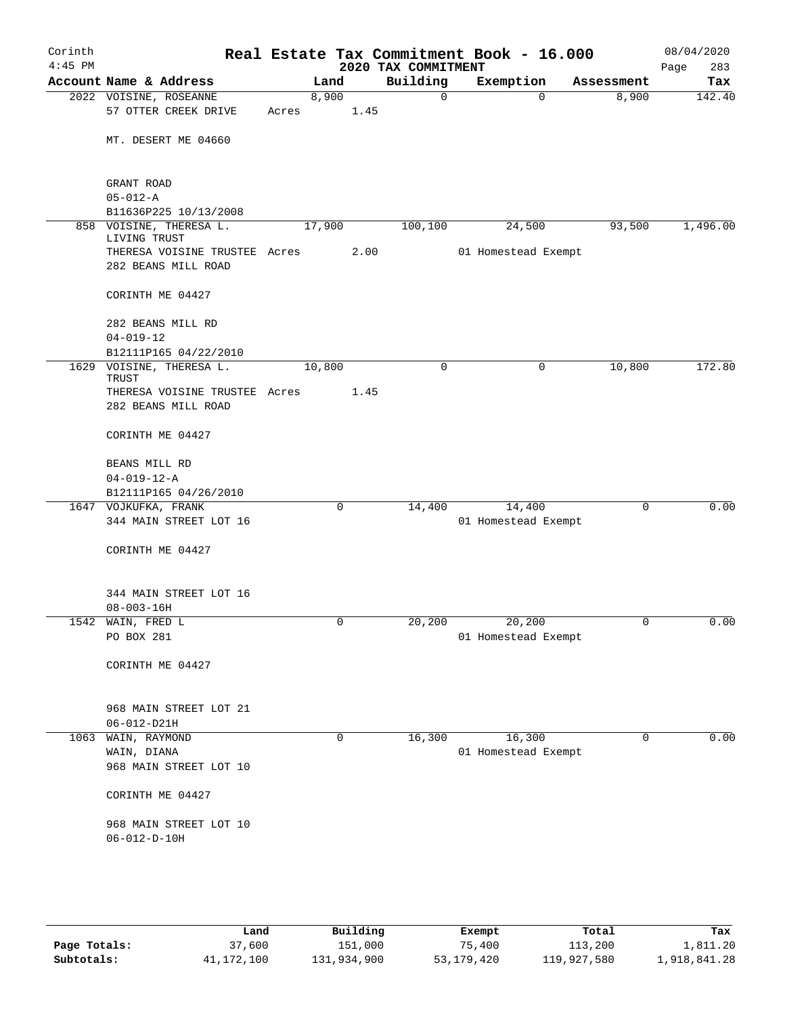| Corinth<br>$4:45$ PM |                                         |       |        |      | Real Estate Tax Commitment Book - 16.000<br>2020 TAX COMMITMENT |                     |              |             | 08/04/2020<br>283<br>Page |
|----------------------|-----------------------------------------|-------|--------|------|-----------------------------------------------------------------|---------------------|--------------|-------------|---------------------------|
|                      | Account Name & Address                  |       | Land   |      | Building                                                        | Exemption           |              | Assessment  | Tax                       |
|                      | 2022 VOISINE, ROSEANNE                  |       | 8,900  |      | $\mathbf 0$                                                     |                     | $\Omega$     | 8,900       | 142.40                    |
|                      | 57 OTTER CREEK DRIVE                    | Acres |        | 1.45 |                                                                 |                     |              |             |                           |
|                      |                                         |       |        |      |                                                                 |                     |              |             |                           |
|                      | MT. DESERT ME 04660                     |       |        |      |                                                                 |                     |              |             |                           |
|                      |                                         |       |        |      |                                                                 |                     |              |             |                           |
|                      | GRANT ROAD                              |       |        |      |                                                                 |                     |              |             |                           |
|                      | $05 - 012 - A$                          |       |        |      |                                                                 |                     |              |             |                           |
|                      | B11636P225 10/13/2008                   |       |        |      |                                                                 |                     |              |             |                           |
|                      | 858 VOISINE, THERESA L.<br>LIVING TRUST |       | 17,900 |      | 100,100                                                         | 24,500              |              | 93,500      | 1,496.00                  |
|                      | THERESA VOISINE TRUSTEE Acres           |       |        | 2.00 |                                                                 | 01 Homestead Exempt |              |             |                           |
|                      | 282 BEANS MILL ROAD                     |       |        |      |                                                                 |                     |              |             |                           |
|                      | CORINTH ME 04427                        |       |        |      |                                                                 |                     |              |             |                           |
|                      | 282 BEANS MILL RD                       |       |        |      |                                                                 |                     |              |             |                           |
|                      | $04 - 019 - 12$                         |       |        |      |                                                                 |                     |              |             |                           |
|                      | B12111P165 04/22/2010                   |       |        |      |                                                                 |                     |              |             |                           |
| 1629                 | VOISINE, THERESA L.                     |       | 10,800 |      | $\mathbf 0$                                                     |                     | $\mathsf{O}$ | 10,800      | 172.80                    |
|                      | TRUST                                   |       |        |      |                                                                 |                     |              |             |                           |
|                      | THERESA VOISINE TRUSTEE Acres           |       |        | 1.45 |                                                                 |                     |              |             |                           |
|                      | 282 BEANS MILL ROAD                     |       |        |      |                                                                 |                     |              |             |                           |
|                      | CORINTH ME 04427                        |       |        |      |                                                                 |                     |              |             |                           |
|                      | BEANS MILL RD                           |       |        |      |                                                                 |                     |              |             |                           |
|                      | $04 - 019 - 12 - A$                     |       |        |      |                                                                 |                     |              |             |                           |
|                      | B12111P165 04/26/2010                   |       |        |      |                                                                 |                     |              |             |                           |
|                      | 1647 VOJKUFKA, FRANK                    |       |        | 0    | 14,400                                                          | 14,400              |              | $\mathbf 0$ | 0.00                      |
|                      | 344 MAIN STREET LOT 16                  |       |        |      |                                                                 | 01 Homestead Exempt |              |             |                           |
|                      | CORINTH ME 04427                        |       |        |      |                                                                 |                     |              |             |                           |
|                      |                                         |       |        |      |                                                                 |                     |              |             |                           |
|                      | 344 MAIN STREET LOT 16                  |       |        |      |                                                                 |                     |              |             |                           |
|                      | $08 - 003 - 16H$                        |       |        |      |                                                                 |                     |              |             |                           |
|                      | 1542 WAIN, FRED L                       |       |        |      | 20,200                                                          | 20,200              |              | 0           | 0.00                      |
|                      | PO BOX 281                              |       |        |      |                                                                 | 01 Homestead Exempt |              |             |                           |
|                      | CORINTH ME 04427                        |       |        |      |                                                                 |                     |              |             |                           |
|                      |                                         |       |        |      |                                                                 |                     |              |             |                           |
|                      | 968 MAIN STREET LOT 21                  |       |        |      |                                                                 |                     |              |             |                           |
|                      | $06 - 012 - D21H$                       |       |        |      |                                                                 |                     |              |             |                           |
|                      | 1063 WAIN, RAYMOND                      |       |        | 0    | 16,300                                                          | 16,300              |              | $\mathbf 0$ | 0.00                      |
|                      | WAIN, DIANA                             |       |        |      |                                                                 | 01 Homestead Exempt |              |             |                           |
|                      | 968 MAIN STREET LOT 10                  |       |        |      |                                                                 |                     |              |             |                           |
|                      | CORINTH ME 04427                        |       |        |      |                                                                 |                     |              |             |                           |
|                      |                                         |       |        |      |                                                                 |                     |              |             |                           |
|                      | 968 MAIN STREET LOT 10                  |       |        |      |                                                                 |                     |              |             |                           |
|                      | $06 - 012 - D - 10H$                    |       |        |      |                                                                 |                     |              |             |                           |
|                      |                                         |       |        |      |                                                                 |                     |              |             |                           |
|                      |                                         |       |        |      |                                                                 |                     |              |             |                           |

|              | Land       | Building    | Exempt     | Total       | Tax          |
|--------------|------------|-------------|------------|-------------|--------------|
| Page Totals: | 37,600     | 151,000     | 75,400     | 113,200     | 1,811.20     |
| Subtotals:   | 41,172,100 | 131,934,900 | 53,179,420 | 119,927,580 | 1,918,841.28 |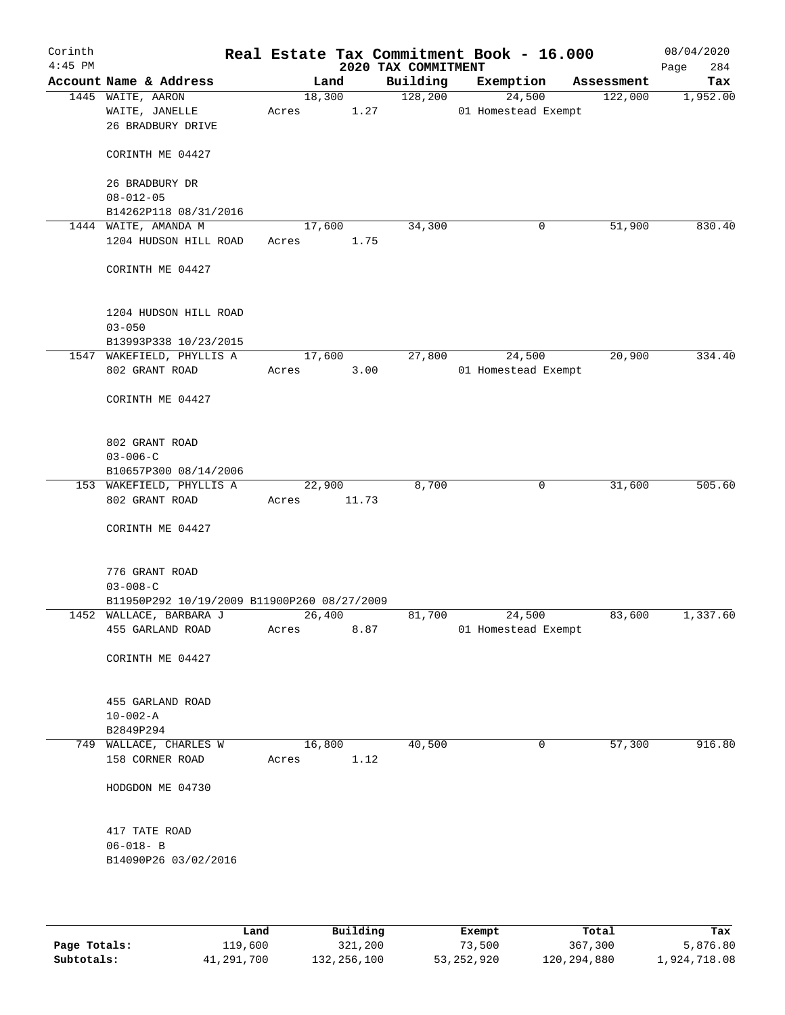| Corinth<br>$4:45$ PM |                                             |        |        | 2020 TAX COMMITMENT | Real Estate Tax Commitment Book - 16.000 |            | 08/04/2020<br>284<br>Page |
|----------------------|---------------------------------------------|--------|--------|---------------------|------------------------------------------|------------|---------------------------|
|                      | Account Name & Address                      |        | Land   | Building            | Exemption                                | Assessment | Tax                       |
|                      | 1445 WAITE, AARON                           |        | 18,300 | 128,200             | 24,500                                   | 122,000    | 1,952.00                  |
|                      | WAITE, JANELLE                              | Acres  | 1.27   |                     | 01 Homestead Exempt                      |            |                           |
|                      | 26 BRADBURY DRIVE                           |        |        |                     |                                          |            |                           |
|                      |                                             |        |        |                     |                                          |            |                           |
|                      | CORINTH ME 04427                            |        |        |                     |                                          |            |                           |
|                      |                                             |        |        |                     |                                          |            |                           |
|                      | 26 BRADBURY DR                              |        |        |                     |                                          |            |                           |
|                      | $08 - 012 - 05$                             |        |        |                     |                                          |            |                           |
|                      | B14262P118 08/31/2016                       |        |        |                     |                                          |            |                           |
|                      | 1444 WAITE, AMANDA M                        | 17,600 |        | 34,300              | 0                                        | 51,900     | 830.40                    |
|                      | 1204 HUDSON HILL ROAD                       | Acres  | 1.75   |                     |                                          |            |                           |
|                      |                                             |        |        |                     |                                          |            |                           |
|                      | CORINTH ME 04427                            |        |        |                     |                                          |            |                           |
|                      |                                             |        |        |                     |                                          |            |                           |
|                      |                                             |        |        |                     |                                          |            |                           |
|                      | 1204 HUDSON HILL ROAD                       |        |        |                     |                                          |            |                           |
|                      | $03 - 050$                                  |        |        |                     |                                          |            |                           |
|                      | B13993P338 10/23/2015                       |        |        |                     |                                          |            |                           |
|                      | 1547 WAKEFIELD, PHYLLIS A                   | 17,600 |        | 27,800              | 24,500                                   | 20,900     | 334.40                    |
|                      | 802 GRANT ROAD                              | Acres  | 3.00   |                     | 01 Homestead Exempt                      |            |                           |
|                      |                                             |        |        |                     |                                          |            |                           |
|                      | CORINTH ME 04427                            |        |        |                     |                                          |            |                           |
|                      |                                             |        |        |                     |                                          |            |                           |
|                      |                                             |        |        |                     |                                          |            |                           |
|                      | 802 GRANT ROAD                              |        |        |                     |                                          |            |                           |
|                      | $03 - 006 - C$                              |        |        |                     |                                          |            |                           |
|                      | B10657P300 08/14/2006                       |        |        |                     |                                          |            |                           |
|                      | 153 WAKEFIELD, PHYLLIS A                    | 22,900 |        | 8,700               | 0                                        | 31,600     | 505.60                    |
|                      | 802 GRANT ROAD                              | Acres  | 11.73  |                     |                                          |            |                           |
|                      |                                             |        |        |                     |                                          |            |                           |
|                      | CORINTH ME 04427                            |        |        |                     |                                          |            |                           |
|                      |                                             |        |        |                     |                                          |            |                           |
|                      |                                             |        |        |                     |                                          |            |                           |
|                      | 776 GRANT ROAD                              |        |        |                     |                                          |            |                           |
|                      | $03 - 008 - C$                              |        |        |                     |                                          |            |                           |
|                      | B11950P292 10/19/2009 B11900P260 08/27/2009 |        |        |                     |                                          |            |                           |
|                      | 1452 WALLACE, BARBARA J                     | 26,400 |        | 81,700              | 24,500                                   | 83,600     | 1,337.60                  |
|                      | 455 GARLAND ROAD                            | Acres  | 8.87   |                     | 01 Homestead Exempt                      |            |                           |
|                      |                                             |        |        |                     |                                          |            |                           |
|                      | CORINTH ME 04427                            |        |        |                     |                                          |            |                           |
|                      |                                             |        |        |                     |                                          |            |                           |
|                      |                                             |        |        |                     |                                          |            |                           |
|                      | 455 GARLAND ROAD                            |        |        |                     |                                          |            |                           |
|                      | $10 - 002 - A$                              |        |        |                     |                                          |            |                           |
|                      | B2849P294                                   |        |        |                     |                                          |            |                           |
|                      | 749 WALLACE, CHARLES W                      | 16,800 |        | 40,500              | 0                                        | 57,300     | 916.80                    |
|                      | 158 CORNER ROAD                             | Acres  | 1.12   |                     |                                          |            |                           |
|                      |                                             |        |        |                     |                                          |            |                           |
|                      | HODGDON ME 04730                            |        |        |                     |                                          |            |                           |
|                      |                                             |        |        |                     |                                          |            |                           |
|                      |                                             |        |        |                     |                                          |            |                           |
|                      | 417 TATE ROAD                               |        |        |                     |                                          |            |                           |
|                      | $06 - 018 - B$                              |        |        |                     |                                          |            |                           |
|                      | B14090P26 03/02/2016                        |        |        |                     |                                          |            |                           |
|                      |                                             |        |        |                     |                                          |            |                           |
|                      |                                             |        |        |                     |                                          |            |                           |
|                      |                                             |        |        |                     |                                          |            |                           |

|              | Land           | Building    | Exempt     | Total       | Tax          |
|--------------|----------------|-------------|------------|-------------|--------------|
| Page Totals: | <b>119,600</b> | 321,200     | 73,500     | 367,300     | 5,876.80     |
| Subtotals:   | 41,291,700     | 132,256,100 | 53,252,920 | 120,294,880 | 1,924,718.08 |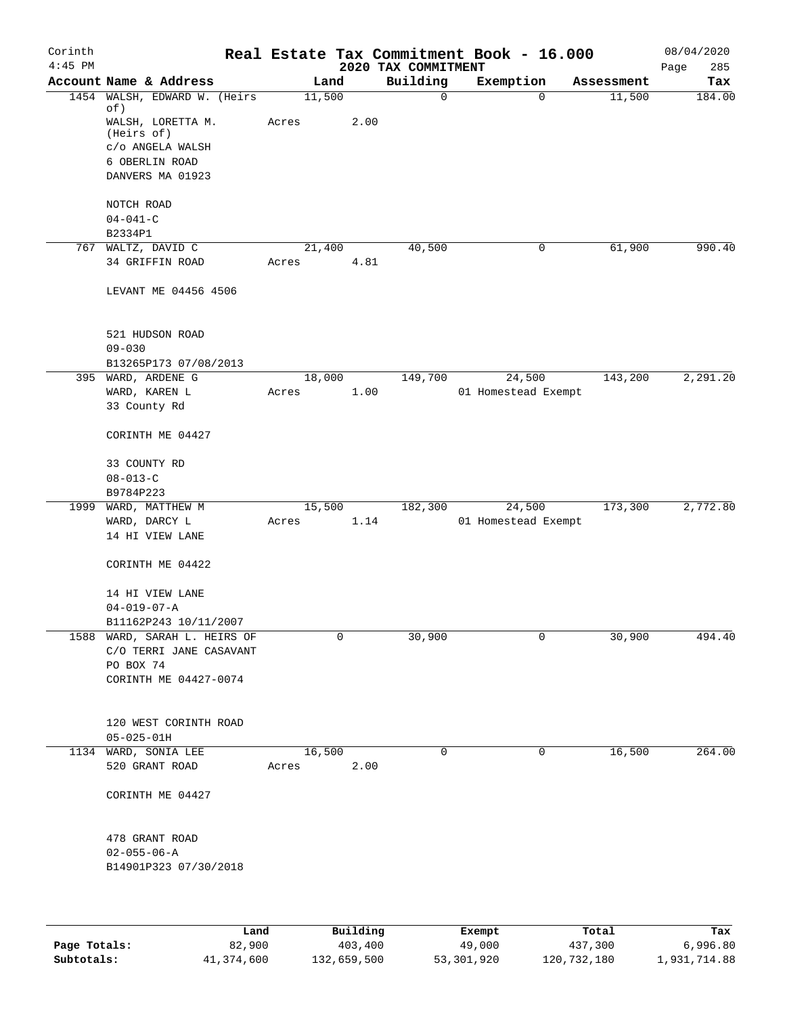| Corinth<br>$4:45$ PM |                                        |                 |        | 2020 TAX COMMITMENT | Real Estate Tax Commitment Book - 16.000 |            | 08/04/2020<br>285<br>Page |
|----------------------|----------------------------------------|-----------------|--------|---------------------|------------------------------------------|------------|---------------------------|
|                      | Account Name & Address                 | Land            |        | Building            | Exemption                                | Assessment | Tax                       |
|                      | 1454 WALSH, EDWARD W. (Heirs           | 11,500          |        | $\mathbf 0$         | $\mathbf 0$                              | 11,500     | 184.00                    |
|                      | of)<br>WALSH, LORETTA M.               | Acres           | 2.00   |                     |                                          |            |                           |
|                      | (Heirs of)<br>c/o ANGELA WALSH         |                 |        |                     |                                          |            |                           |
|                      | 6 OBERLIN ROAD                         |                 |        |                     |                                          |            |                           |
|                      | DANVERS MA 01923                       |                 |        |                     |                                          |            |                           |
|                      |                                        |                 |        |                     |                                          |            |                           |
|                      | NOTCH ROAD                             |                 |        |                     |                                          |            |                           |
|                      | $04 - 041 - C$                         |                 |        |                     |                                          |            |                           |
|                      | B2334P1                                |                 |        |                     |                                          |            |                           |
|                      | 767 WALTZ, DAVID C                     | 21,400          |        | 40,500              | 0                                        | 61,900     | 990.40                    |
|                      | 34 GRIFFIN ROAD                        | Acres           | 4.81   |                     |                                          |            |                           |
|                      |                                        |                 |        |                     |                                          |            |                           |
|                      | LEVANT ME 04456 4506                   |                 |        |                     |                                          |            |                           |
|                      | 521 HUDSON ROAD                        |                 |        |                     |                                          |            |                           |
|                      | $09 - 030$                             |                 |        |                     |                                          |            |                           |
|                      | B13265P173 07/08/2013                  |                 |        |                     |                                          |            |                           |
|                      | 395 WARD, ARDENE G                     | 18,000          |        | 149,700             | 24,500                                   | 143,200    | 2,291.20                  |
|                      | WARD, KAREN L                          | Acres           | 1.00   |                     | 01 Homestead Exempt                      |            |                           |
|                      | 33 County Rd                           |                 |        |                     |                                          |            |                           |
|                      | CORINTH ME 04427                       |                 |        |                     |                                          |            |                           |
|                      | 33 COUNTY RD                           |                 |        |                     |                                          |            |                           |
|                      | $08 - 013 - C$                         |                 |        |                     |                                          |            |                           |
|                      | B9784P223                              |                 |        |                     |                                          |            |                           |
|                      | 1999 WARD, MATTHEW M                   |                 | 15,500 | 182,300             | 24,500                                   | 173,300    | 2,772.80                  |
|                      | WARD, DARCY L                          | Acres           | 1.14   |                     | 01 Homestead Exempt                      |            |                           |
|                      | 14 HI VIEW LANE                        |                 |        |                     |                                          |            |                           |
|                      | CORINTH ME 04422                       |                 |        |                     |                                          |            |                           |
|                      | 14 HI VIEW LANE                        |                 |        |                     |                                          |            |                           |
|                      | $04 - 019 - 07 - A$                    |                 |        |                     |                                          |            |                           |
|                      | B11162P243 10/11/2007                  |                 |        |                     |                                          |            |                           |
|                      | 1588 WARD, SARAH L. HEIRS OF           |                 | 0      | 30,900              | 0                                        | 30,900     | 494.40                    |
|                      | C/O TERRI JANE CASAVANT                |                 |        |                     |                                          |            |                           |
|                      | PO BOX 74                              |                 |        |                     |                                          |            |                           |
|                      | CORINTH ME 04427-0074                  |                 |        |                     |                                          |            |                           |
|                      |                                        |                 |        |                     |                                          |            |                           |
|                      |                                        |                 |        |                     |                                          |            |                           |
|                      | 120 WEST CORINTH ROAD                  |                 |        |                     |                                          |            |                           |
|                      | $05 - 025 - 01H$                       |                 |        | $\mathbf 0$         |                                          |            |                           |
|                      | 1134 WARD, SONIA LEE<br>520 GRANT ROAD | 16,500<br>Acres | 2.00   |                     | 0                                        | 16,500     | 264.00                    |
|                      |                                        |                 |        |                     |                                          |            |                           |
|                      | CORINTH ME 04427                       |                 |        |                     |                                          |            |                           |
|                      | 478 GRANT ROAD                         |                 |        |                     |                                          |            |                           |
|                      | $02 - 055 - 06 - A$                    |                 |        |                     |                                          |            |                           |
|                      | B14901P323 07/30/2018                  |                 |        |                     |                                          |            |                           |
|                      |                                        |                 |        |                     |                                          |            |                           |
|                      |                                        |                 |        |                     |                                          |            |                           |
|                      |                                        |                 |        |                     |                                          |            |                           |

|              | Land       | Building    | Exempt     | Total       | Tax          |
|--------------|------------|-------------|------------|-------------|--------------|
| Page Totals: | 82,900     | 403,400     | 49,000     | 437,300     | 6,996.80     |
| Subtotals:   | 41,374,600 | 132,659,500 | 53,301,920 | 120,732,180 | 1,931,714.88 |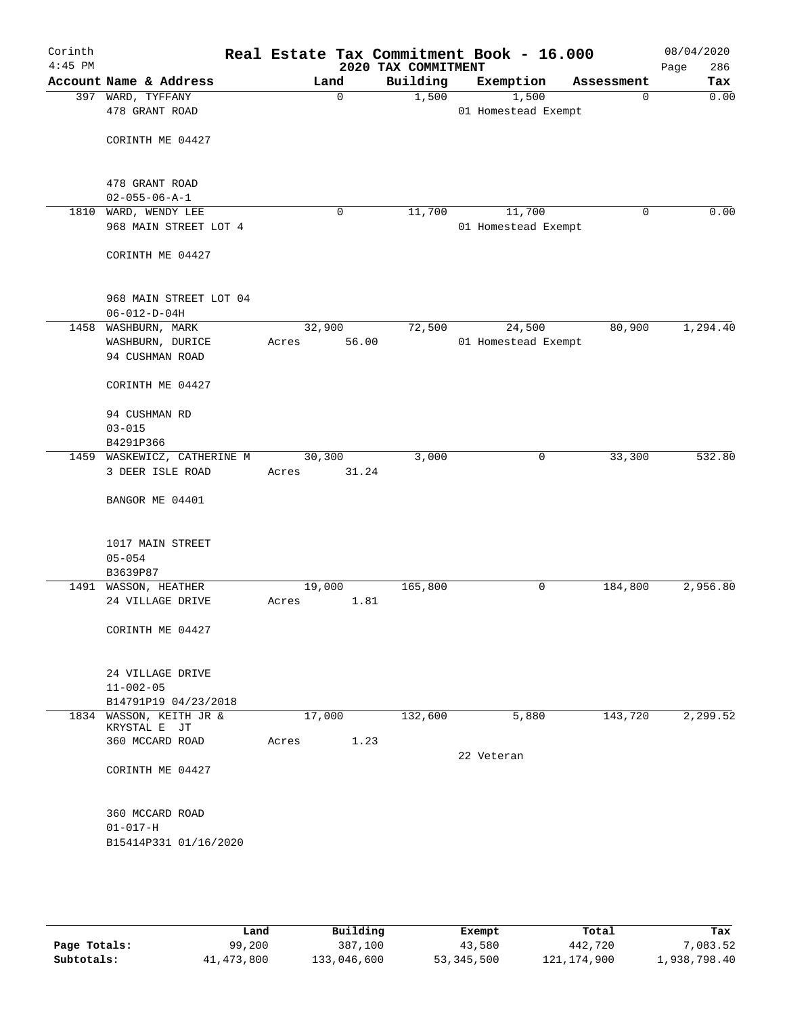| Corinth<br>$4:45$ PM |                                     |        |             | Real Estate Tax Commitment Book - 16.000<br>2020 TAX COMMITMENT |            |                     |            | 08/04/2020<br>Page<br>286 |
|----------------------|-------------------------------------|--------|-------------|-----------------------------------------------------------------|------------|---------------------|------------|---------------------------|
|                      | Account Name & Address              | Land   |             | Building                                                        |            | Exemption           | Assessment | Tax                       |
|                      | 397 WARD, TYFFANY                   |        | $\mathbf 0$ | 1,500                                                           |            | 1,500               | 0          | 0.00                      |
|                      | 478 GRANT ROAD                      |        |             |                                                                 |            | 01 Homestead Exempt |            |                           |
|                      |                                     |        |             |                                                                 |            |                     |            |                           |
|                      | CORINTH ME 04427                    |        |             |                                                                 |            |                     |            |                           |
|                      |                                     |        |             |                                                                 |            |                     |            |                           |
|                      | 478 GRANT ROAD                      |        |             |                                                                 |            |                     |            |                           |
|                      | $02 - 055 - 06 - A - 1$             |        |             |                                                                 |            |                     |            |                           |
|                      | 1810 WARD, WENDY LEE                |        | 0           | 11,700                                                          |            | 11,700              | 0          | 0.00                      |
|                      | 968 MAIN STREET LOT 4               |        |             |                                                                 |            | 01 Homestead Exempt |            |                           |
|                      |                                     |        |             |                                                                 |            |                     |            |                           |
|                      | CORINTH ME 04427                    |        |             |                                                                 |            |                     |            |                           |
|                      |                                     |        |             |                                                                 |            |                     |            |                           |
|                      |                                     |        |             |                                                                 |            |                     |            |                           |
|                      | 968 MAIN STREET LOT 04              |        |             |                                                                 |            |                     |            |                           |
|                      | $06 - 012 - D - 04H$                |        |             |                                                                 |            |                     |            |                           |
|                      | 1458 WASHBURN, MARK                 | 32,900 | 56.00       | 72,500                                                          |            | 24,500              | 80,900     | 1,294.40                  |
|                      | WASHBURN, DURICE<br>94 CUSHMAN ROAD | Acres  |             |                                                                 |            | 01 Homestead Exempt |            |                           |
|                      |                                     |        |             |                                                                 |            |                     |            |                           |
|                      | CORINTH ME 04427                    |        |             |                                                                 |            |                     |            |                           |
|                      |                                     |        |             |                                                                 |            |                     |            |                           |
|                      | 94 CUSHMAN RD                       |        |             |                                                                 |            |                     |            |                           |
|                      | $03 - 015$                          |        |             |                                                                 |            |                     |            |                           |
|                      | B4291P366                           |        |             |                                                                 |            |                     |            |                           |
|                      | 1459 WASKEWICZ, CATHERINE M         | 30,300 |             | 3,000                                                           |            | 0                   | 33,300     | 532.80                    |
|                      | 3 DEER ISLE ROAD                    | Acres  | 31.24       |                                                                 |            |                     |            |                           |
|                      | BANGOR ME 04401                     |        |             |                                                                 |            |                     |            |                           |
|                      |                                     |        |             |                                                                 |            |                     |            |                           |
|                      |                                     |        |             |                                                                 |            |                     |            |                           |
|                      | 1017 MAIN STREET                    |        |             |                                                                 |            |                     |            |                           |
|                      | $05 - 054$                          |        |             |                                                                 |            |                     |            |                           |
|                      | B3639P87                            |        |             |                                                                 |            |                     |            |                           |
|                      | 1491 WASSON, HEATHER                | 19,000 |             | 165,800                                                         |            | 0                   | 184,800    | 2,956.80                  |
|                      | 24 VILLAGE DRIVE                    | Acres  | 1.81        |                                                                 |            |                     |            |                           |
|                      | CORINTH ME 04427                    |        |             |                                                                 |            |                     |            |                           |
|                      |                                     |        |             |                                                                 |            |                     |            |                           |
|                      |                                     |        |             |                                                                 |            |                     |            |                           |
|                      | 24 VILLAGE DRIVE                    |        |             |                                                                 |            |                     |            |                           |
|                      | $11 - 002 - 05$                     |        |             |                                                                 |            |                     |            |                           |
|                      | B14791P19 04/23/2018                |        |             |                                                                 |            |                     |            |                           |
|                      | 1834 WASSON, KEITH JR &             | 17,000 |             | 132,600                                                         |            | 5,880               | 143,720    | 2,299.52                  |
|                      | KRYSTAL E JT<br>360 MCCARD ROAD     | Acres  | 1.23        |                                                                 |            |                     |            |                           |
|                      |                                     |        |             |                                                                 | 22 Veteran |                     |            |                           |
|                      | CORINTH ME 04427                    |        |             |                                                                 |            |                     |            |                           |
|                      |                                     |        |             |                                                                 |            |                     |            |                           |
|                      |                                     |        |             |                                                                 |            |                     |            |                           |
|                      | 360 MCCARD ROAD                     |        |             |                                                                 |            |                     |            |                           |
|                      | $01 - 017 - H$                      |        |             |                                                                 |            |                     |            |                           |
|                      | B15414P331 01/16/2020               |        |             |                                                                 |            |                     |            |                           |
|                      |                                     |        |             |                                                                 |            |                     |            |                           |
|                      |                                     |        |             |                                                                 |            |                     |            |                           |
|                      |                                     |        |             |                                                                 |            |                     |            |                           |

|              | Land       | Building    | Exempt     | Total         | Tax          |
|--------------|------------|-------------|------------|---------------|--------------|
| Page Totals: | 99,200     | 387,100     | 43,580     | 442,720       | 7,083.52     |
| Subtotals:   | 41,473,800 | 133,046,600 | 53,345,500 | 121, 174, 900 | 1,938,798.40 |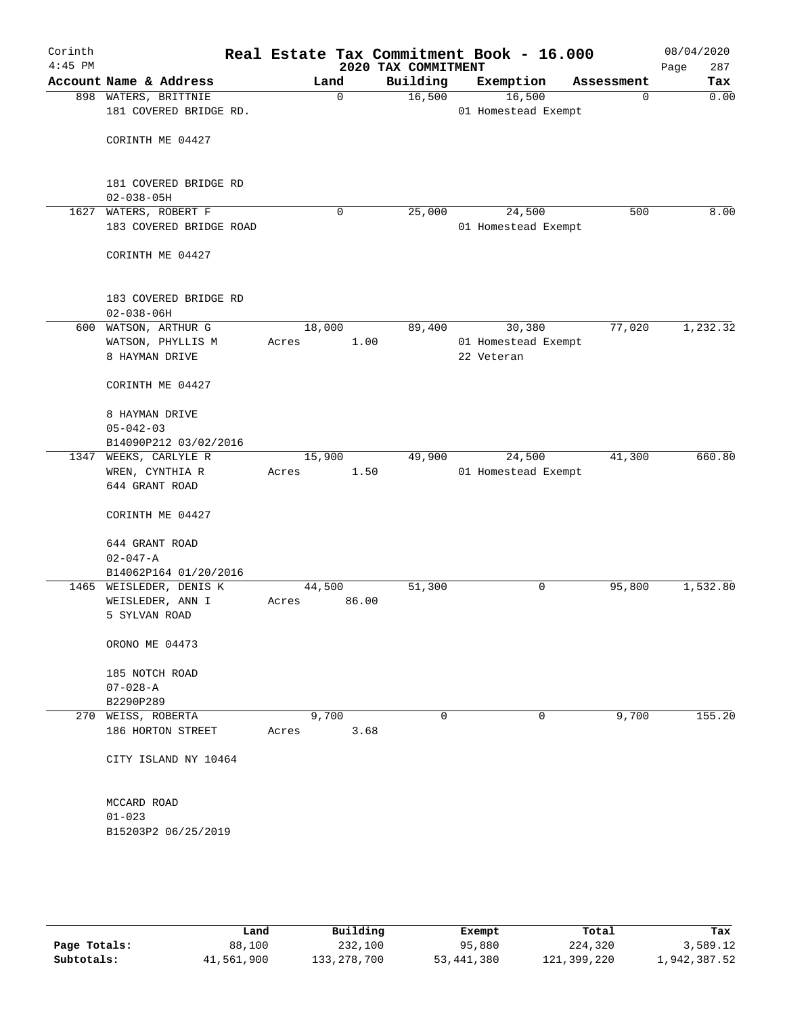| Corinth<br>$4:45$ PM |                                                |               | 2020 TAX COMMITMENT | Real Estate Tax Commitment Book - 16.000 |             | 08/04/2020<br>Page<br>287 |
|----------------------|------------------------------------------------|---------------|---------------------|------------------------------------------|-------------|---------------------------|
|                      | Account Name & Address                         | Land          | Building            | Exemption                                | Assessment  | Tax                       |
|                      | 898 WATERS, BRITTNIE<br>181 COVERED BRIDGE RD. | $\mathbf 0$   | 16,500              | 16,500<br>01 Homestead Exempt            | $\mathbf 0$ | 0.00                      |
|                      | CORINTH ME 04427                               |               |                     |                                          |             |                           |
|                      | 181 COVERED BRIDGE RD                          |               |                     |                                          |             |                           |
|                      | $02 - 038 - 05H$                               |               |                     |                                          |             |                           |
| 1627                 | WATERS, ROBERT F                               | $\mathbf 0$   | 25,000              | 24,500                                   | 500         | 8.00                      |
|                      | 183 COVERED BRIDGE ROAD                        |               |                     | 01 Homestead Exempt                      |             |                           |
|                      | CORINTH ME 04427                               |               |                     |                                          |             |                           |
|                      | 183 COVERED BRIDGE RD<br>$02 - 038 - 06H$      |               |                     |                                          |             |                           |
| 600                  | WATSON, ARTHUR G                               | 18,000        | 89,400              | 30,380                                   | 77,020      | 1,232.32                  |
|                      | WATSON, PHYLLIS M                              | 1.00<br>Acres |                     | 01 Homestead Exempt                      |             |                           |
|                      | 8 HAYMAN DRIVE                                 |               |                     | 22 Veteran                               |             |                           |
|                      | CORINTH ME 04427                               |               |                     |                                          |             |                           |
|                      | 8 HAYMAN DRIVE                                 |               |                     |                                          |             |                           |
|                      | $05 - 042 - 03$                                |               |                     |                                          |             |                           |
|                      | B14090P212 03/02/2016                          |               |                     |                                          |             |                           |
| 1347                 | WEEKS, CARLYLE R                               | 15,900        | 49,900              | 24,500                                   | 41,300      | 660.80                    |
|                      | WREN, CYNTHIA R                                | Acres         | 1.50                | 01 Homestead Exempt                      |             |                           |
|                      | 644 GRANT ROAD                                 |               |                     |                                          |             |                           |
|                      | CORINTH ME 04427                               |               |                     |                                          |             |                           |
|                      | 644 GRANT ROAD                                 |               |                     |                                          |             |                           |
|                      | $02 - 047 - A$                                 |               |                     |                                          |             |                           |
| 1465                 | B14062P164 01/20/2016                          | 44,500        |                     | 0                                        | 95,800      | 1,532.80                  |
|                      | WEISLEDER, DENIS K                             | 86.00         | 51,300              |                                          |             |                           |
|                      | WEISLEDER, ANN I<br>5 SYLVAN ROAD              | Acres         |                     |                                          |             |                           |
|                      |                                                |               |                     |                                          |             |                           |
|                      | ORONO ME 04473                                 |               |                     |                                          |             |                           |
|                      | 185 NOTCH ROAD                                 |               |                     |                                          |             |                           |
|                      | $07 - 028 - A$                                 |               |                     |                                          |             |                           |
|                      | B2290P289                                      |               |                     |                                          |             |                           |
|                      | 270 WEISS, ROBERTA                             | 9,700         | 0                   | 0                                        | 9,700       | 155.20                    |
|                      | 186 HORTON STREET                              | 3.68<br>Acres |                     |                                          |             |                           |
|                      | CITY ISLAND NY 10464                           |               |                     |                                          |             |                           |
|                      | MCCARD ROAD                                    |               |                     |                                          |             |                           |
|                      | $01 - 023$                                     |               |                     |                                          |             |                           |
|                      | B15203P2 06/25/2019                            |               |                     |                                          |             |                           |
|                      |                                                |               |                     |                                          |             |                           |
|                      |                                                |               |                     |                                          |             |                           |
|                      |                                                |               |                     |                                          |             |                           |

|              | Land       | Building    | Exempt     | Total       | Tax          |
|--------------|------------|-------------|------------|-------------|--------------|
| Page Totals: | 88,100     | 232,100     | 95,880     | 224,320     | 3,589.12     |
| Subtotals:   | 41,561,900 | 133,278,700 | 53,441,380 | 121,399,220 | 1,942,387.52 |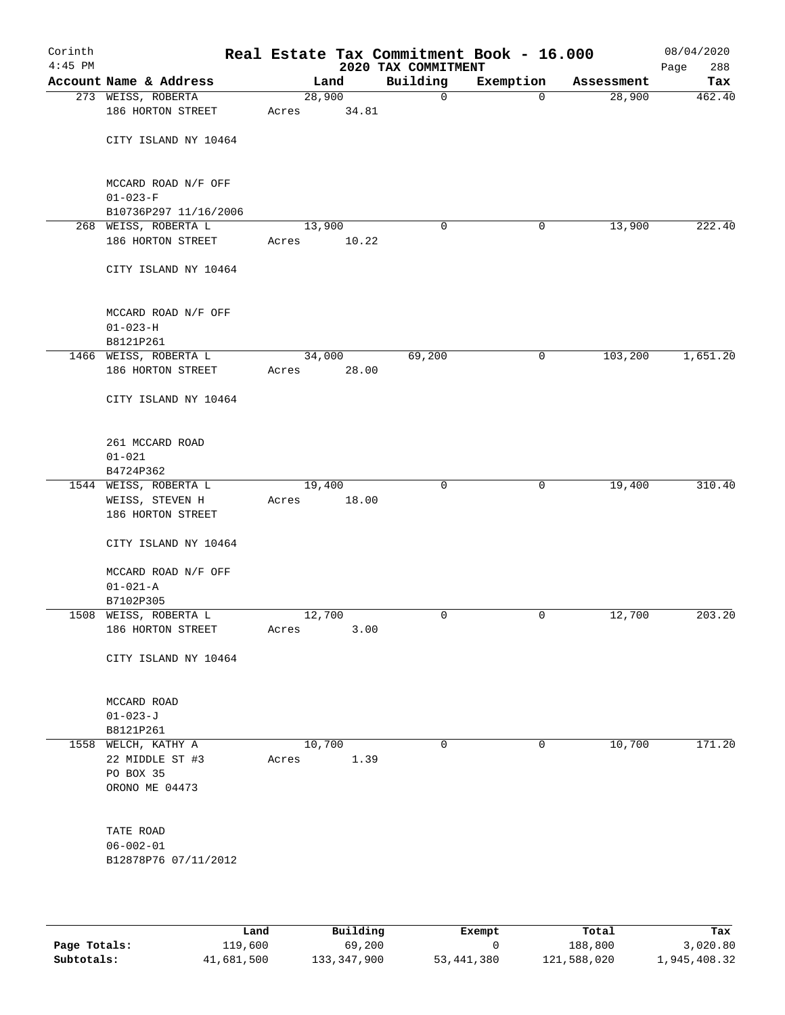| Corinth<br>$4:45$ PM |                                                               |                 |       | Real Estate Tax Commitment Book - 16.000<br>2020 TAX COMMITMENT |             |            | 08/04/2020<br>288<br>Page |
|----------------------|---------------------------------------------------------------|-----------------|-------|-----------------------------------------------------------------|-------------|------------|---------------------------|
|                      | Account Name & Address                                        |                 | Land  | Building                                                        | Exemption   | Assessment | Tax                       |
|                      | 273 WEISS, ROBERTA                                            | 28,900          |       | 0                                                               | $\mathbf 0$ | 28,900     | 462.40                    |
|                      | 186 HORTON STREET                                             | Acres           | 34.81 |                                                                 |             |            |                           |
|                      | CITY ISLAND NY 10464                                          |                 |       |                                                                 |             |            |                           |
|                      | MCCARD ROAD N/F OFF<br>$01 - 023 - F$                         |                 |       |                                                                 |             |            |                           |
|                      | B10736P297 11/16/2006                                         |                 |       |                                                                 |             |            |                           |
|                      | 268 WEISS, ROBERTA L                                          | 13,900          |       | 0                                                               | 0           | 13,900     | 222.40                    |
|                      | 186 HORTON STREET                                             | Acres           | 10.22 |                                                                 |             |            |                           |
|                      | CITY ISLAND NY 10464                                          |                 |       |                                                                 |             |            |                           |
|                      | MCCARD ROAD N/F OFF<br>$01 - 023 - H$                         |                 |       |                                                                 |             |            |                           |
|                      | B8121P261                                                     |                 |       |                                                                 |             |            |                           |
|                      | 1466 WEISS, ROBERTA L                                         | 34,000          |       | 69,200                                                          | 0           | 103,200    | 1,651.20                  |
|                      | 186 HORTON STREET                                             | Acres           | 28.00 |                                                                 |             |            |                           |
|                      | CITY ISLAND NY 10464                                          |                 |       |                                                                 |             |            |                           |
|                      | 261 MCCARD ROAD<br>$01 - 021$                                 |                 |       |                                                                 |             |            |                           |
|                      | B4724P362                                                     |                 |       |                                                                 |             |            |                           |
|                      | 1544 WEISS, ROBERTA L<br>WEISS, STEVEN H<br>186 HORTON STREET | 19,400<br>Acres | 18.00 | $\mathbf 0$                                                     | 0           | 19,400     | 310.40                    |
|                      | CITY ISLAND NY 10464                                          |                 |       |                                                                 |             |            |                           |
|                      | MCCARD ROAD N/F OFF<br>$01 - 021 - A$                         |                 |       |                                                                 |             |            |                           |
|                      | B7102P305                                                     |                 |       |                                                                 |             |            |                           |
|                      | 1508 WEISS, ROBERTA L                                         | 12,700          |       | 0                                                               | 0           | 12,700     | 203.20                    |
|                      | 186 HORTON STREET                                             | Acres           | 3.00  |                                                                 |             |            |                           |
|                      | CITY ISLAND NY 10464                                          |                 |       |                                                                 |             |            |                           |
|                      | MCCARD ROAD                                                   |                 |       |                                                                 |             |            |                           |
|                      | $01 - 023 - J$<br>B8121P261                                   |                 |       |                                                                 |             |            |                           |
|                      | 1558 WELCH, KATHY A                                           | 10,700          |       | 0                                                               | 0           | 10,700     | 171.20                    |
|                      | 22 MIDDLE ST #3<br>PO BOX 35                                  | Acres           | 1.39  |                                                                 |             |            |                           |
|                      | ORONO ME 04473                                                |                 |       |                                                                 |             |            |                           |
|                      | TATE ROAD                                                     |                 |       |                                                                 |             |            |                           |
|                      | $06 - 002 - 01$                                               |                 |       |                                                                 |             |            |                           |
|                      | B12878P76 07/11/2012                                          |                 |       |                                                                 |             |            |                           |
|                      |                                                               |                 |       |                                                                 |             |            |                           |
|                      |                                                               |                 |       |                                                                 |             |            |                           |

|              | Land       | Building    | Exempt     | Total       | Tax          |
|--------------|------------|-------------|------------|-------------|--------------|
| Page Totals: | 119,600    | 69,200      |            | 188,800     | 3,020.80     |
| Subtotals:   | 41,681,500 | 133,347,900 | 53,441,380 | 121,588,020 | 1,945,408.32 |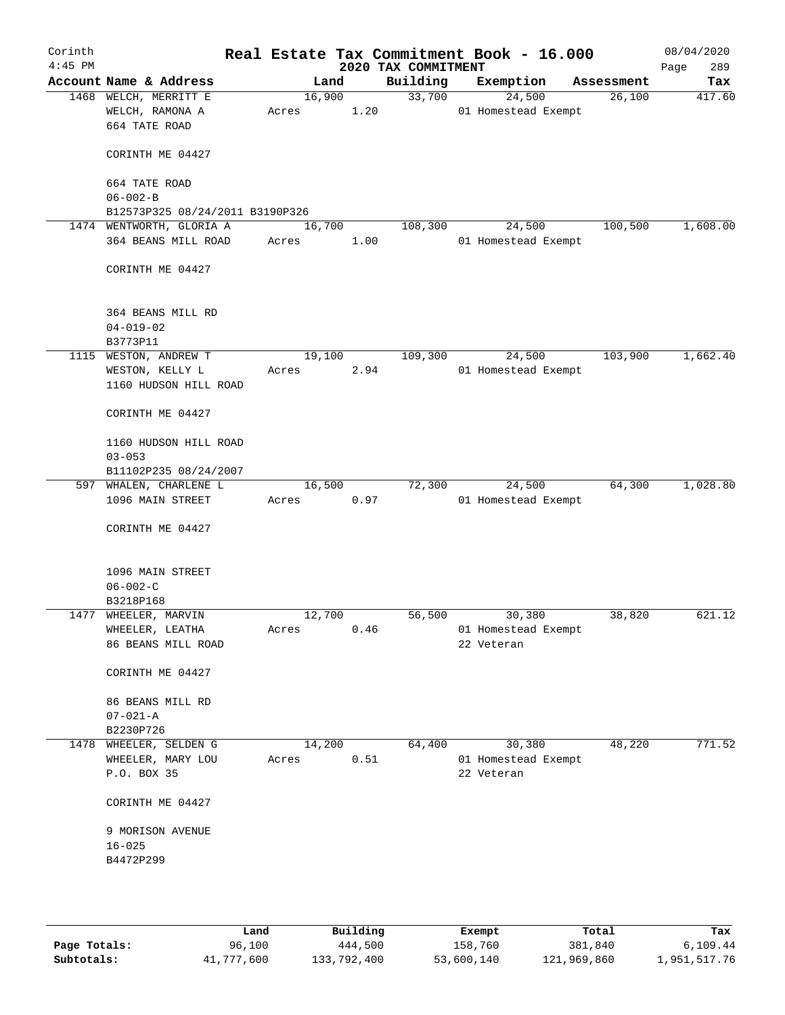| Corinth<br>$4:45$ PM |                                                           |       |        |      | 2020 TAX COMMITMENT | Real Estate Tax Commitment Book - 16.000 |            | 08/04/2020<br>289<br>Page |
|----------------------|-----------------------------------------------------------|-------|--------|------|---------------------|------------------------------------------|------------|---------------------------|
|                      | Account Name & Address                                    |       | Land   |      | Building            | Exemption                                | Assessment | Tax                       |
|                      | 1468 WELCH, MERRITT E<br>WELCH, RAMONA A<br>664 TATE ROAD | Acres | 16,900 | 1.20 | 33,700              | 24,500<br>01 Homestead Exempt            | 26,100     | 417.60                    |
|                      | CORINTH ME 04427                                          |       |        |      |                     |                                          |            |                           |
|                      | 664 TATE ROAD<br>$06 - 002 - B$                           |       |        |      |                     |                                          |            |                           |
|                      | B12573P325 08/24/2011 B3190P326                           |       |        |      |                     |                                          |            |                           |
|                      | 1474 WENTWORTH, GLORIA A                                  |       | 16,700 |      | 108,300             | 24,500                                   | 100,500    | 1,608.00                  |
|                      | 364 BEANS MILL ROAD                                       | Acres |        | 1.00 |                     | 01 Homestead Exempt                      |            |                           |
|                      | CORINTH ME 04427                                          |       |        |      |                     |                                          |            |                           |
|                      | 364 BEANS MILL RD                                         |       |        |      |                     |                                          |            |                           |
|                      | $04 - 019 - 02$<br>B3773P11                               |       |        |      |                     |                                          |            |                           |
| 1115                 | WESTON, ANDREW T                                          |       | 19,100 |      | 109,300             | 24,500                                   | 103,900    | 1,662.40                  |
|                      | WESTON, KELLY L<br>1160 HUDSON HILL ROAD                  | Acres |        | 2.94 |                     | 01 Homestead Exempt                      |            |                           |
|                      | CORINTH ME 04427                                          |       |        |      |                     |                                          |            |                           |
|                      | 1160 HUDSON HILL ROAD                                     |       |        |      |                     |                                          |            |                           |
|                      | $03 - 053$                                                |       |        |      |                     |                                          |            |                           |
|                      | B11102P235 08/24/2007                                     |       |        |      |                     |                                          |            |                           |
|                      | 597 WHALEN, CHARLENE L<br>1096 MAIN STREET                | Acres | 16,500 | 0.97 | 72,300              | 24,500<br>01 Homestead Exempt            | 64,300     | 1,028.80                  |
|                      | CORINTH ME 04427                                          |       |        |      |                     |                                          |            |                           |
|                      | 1096 MAIN STREET                                          |       |        |      |                     |                                          |            |                           |
|                      | $06 - 002 - C$                                            |       |        |      |                     |                                          |            |                           |
|                      | B3218P168                                                 |       |        |      |                     |                                          |            |                           |
|                      | 1477 WHEELER, MARVIN                                      |       | 12,700 |      | 56,500              | 30,380                                   | 38,820     | 621.12                    |
|                      | WHEELER, LEATHA<br>86 BEANS MILL ROAD                     | Acres |        | 0.46 |                     | 01 Homestead Exempt<br>22 Veteran        |            |                           |
|                      | CORINTH ME 04427                                          |       |        |      |                     |                                          |            |                           |
|                      | 86 BEANS MILL RD<br>$07 - 021 - A$                        |       |        |      |                     |                                          |            |                           |
|                      | B2230P726                                                 |       |        |      |                     |                                          |            |                           |
|                      | 1478 WHEELER, SELDEN G                                    |       | 14,200 |      | 64,400              | 30,380                                   | 48,220     | 771.52                    |
|                      | WHEELER, MARY LOU                                         | Acres |        | 0.51 |                     | 01 Homestead Exempt                      |            |                           |
|                      | P.O. BOX 35                                               |       |        |      |                     | 22 Veteran                               |            |                           |
|                      | CORINTH ME 04427                                          |       |        |      |                     |                                          |            |                           |
|                      | 9 MORISON AVENUE<br>$16 - 025$                            |       |        |      |                     |                                          |            |                           |
|                      | B4472P299                                                 |       |        |      |                     |                                          |            |                           |
|                      |                                                           |       |        |      |                     |                                          |            |                           |
|                      |                                                           |       |        |      |                     |                                          |            |                           |

|              | Land       | Building    | Exempt     | Total       | Tax          |
|--------------|------------|-------------|------------|-------------|--------------|
| Page Totals: | 96,100     | 444,500     | 158,760    | 381,840     | 6.109.44     |
| Subtotals:   | 41,777,600 | 133,792,400 | 53,600,140 | 121,969,860 | 1,951,517.76 |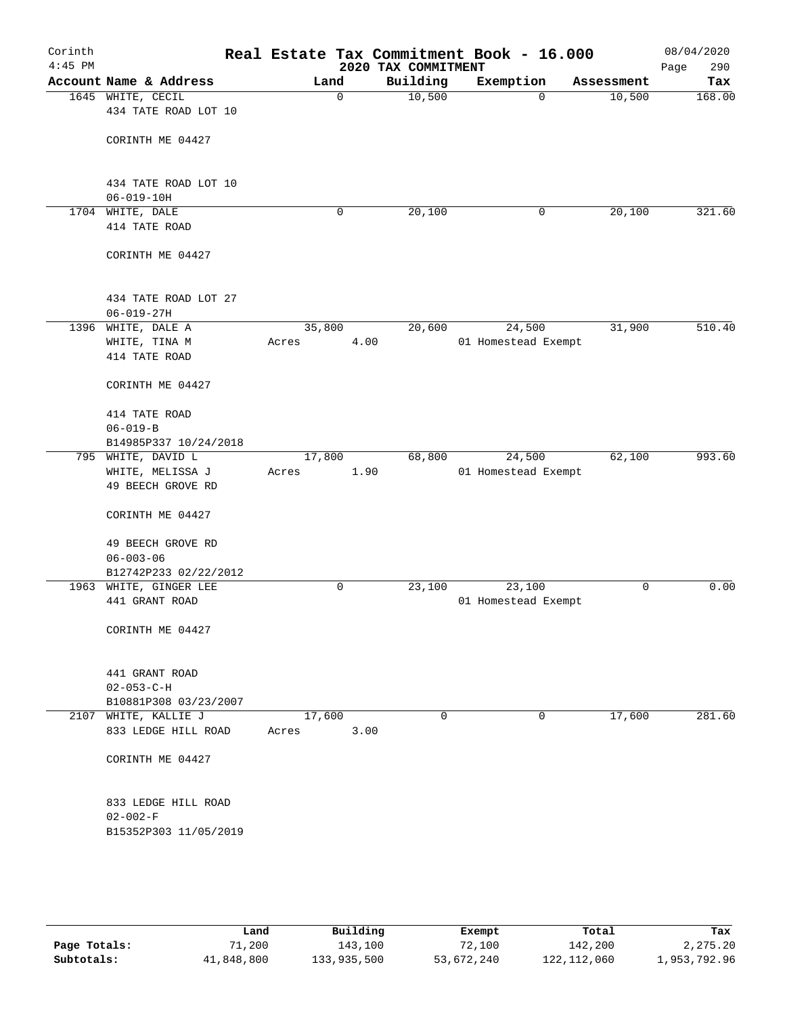| Corinth<br>$4:45$ PM |                                             |        |      | Real Estate Tax Commitment Book - 16.000<br>2020 TAX COMMITMENT |                     |             |            | 08/04/2020<br>Page<br>290 |
|----------------------|---------------------------------------------|--------|------|-----------------------------------------------------------------|---------------------|-------------|------------|---------------------------|
|                      | Account Name & Address                      |        | Land | Building                                                        | Exemption           |             | Assessment | Tax                       |
|                      | 1645 WHITE, CECIL<br>434 TATE ROAD LOT 10   |        | 0    | 10,500                                                          |                     | $\mathbf 0$ | 10,500     | 168.00                    |
|                      | CORINTH ME 04427                            |        |      |                                                                 |                     |             |            |                           |
|                      | 434 TATE ROAD LOT 10<br>$06 - 019 - 10H$    |        |      |                                                                 |                     |             |            |                           |
|                      | 1704 WHITE, DALE                            |        | 0    | 20,100                                                          |                     | 0           | 20,100     | 321.60                    |
|                      | 414 TATE ROAD                               |        |      |                                                                 |                     |             |            |                           |
|                      | CORINTH ME 04427                            |        |      |                                                                 |                     |             |            |                           |
|                      | 434 TATE ROAD LOT 27<br>$06 - 019 - 27H$    |        |      |                                                                 |                     |             |            |                           |
|                      | 1396 WHITE, DALE A                          | 35,800 |      | 20,600                                                          | 24,500              |             | 31,900     | 510.40                    |
|                      | WHITE, TINA M<br>414 TATE ROAD              | Acres  | 4.00 |                                                                 | 01 Homestead Exempt |             |            |                           |
|                      | CORINTH ME 04427                            |        |      |                                                                 |                     |             |            |                           |
|                      | 414 TATE ROAD                               |        |      |                                                                 |                     |             |            |                           |
|                      | $06 - 019 - B$                              |        |      |                                                                 |                     |             |            |                           |
|                      | B14985P337 10/24/2018                       |        |      |                                                                 |                     |             |            |                           |
|                      | 795 WHITE, DAVID L                          | 17,800 |      | 68,800                                                          | 24,500              |             | 62,100     | 993.60                    |
|                      | WHITE, MELISSA J<br>49 BEECH GROVE RD       | Acres  | 1.90 |                                                                 | 01 Homestead Exempt |             |            |                           |
|                      | CORINTH ME 04427                            |        |      |                                                                 |                     |             |            |                           |
|                      | 49 BEECH GROVE RD                           |        |      |                                                                 |                     |             |            |                           |
|                      | $06 - 003 - 06$                             |        |      |                                                                 |                     |             |            |                           |
|                      | B12742P233 02/22/2012                       |        |      |                                                                 |                     |             |            |                           |
|                      | 1963 WHITE, GINGER LEE                      |        | 0    | 23,100                                                          | 23,100              |             | 0          | 0.00                      |
|                      | 441 GRANT ROAD                              |        |      |                                                                 | 01 Homestead Exempt |             |            |                           |
|                      | CORINTH ME 04427                            |        |      |                                                                 |                     |             |            |                           |
|                      | 441 GRANT ROAD                              |        |      |                                                                 |                     |             |            |                           |
|                      | $02 - 053 - C - H$<br>B10881P308 03/23/2007 |        |      |                                                                 |                     |             |            |                           |
|                      | 2107 WHITE, KALLIE J                        | 17,600 |      | 0                                                               |                     | 0           | 17,600     | 281.60                    |
|                      | 833 LEDGE HILL ROAD                         | Acres  | 3.00 |                                                                 |                     |             |            |                           |
|                      | CORINTH ME 04427                            |        |      |                                                                 |                     |             |            |                           |
|                      | 833 LEDGE HILL ROAD<br>$02 - 002 - F$       |        |      |                                                                 |                     |             |            |                           |
|                      | B15352P303 11/05/2019                       |        |      |                                                                 |                     |             |            |                           |
|                      |                                             |        |      |                                                                 |                     |             |            |                           |
|                      |                                             |        |      |                                                                 |                     |             |            |                           |

|              | Land       | Building    | Exempt     | Total         | Tax          |
|--------------|------------|-------------|------------|---------------|--------------|
| Page Totals: | 71,200     | 143,100     | 72,100     | 142,200       | 2,275.20     |
| Subtotals:   | 41,848,800 | 133,935,500 | 53,672,240 | 122, 112, 060 | 1,953,792.96 |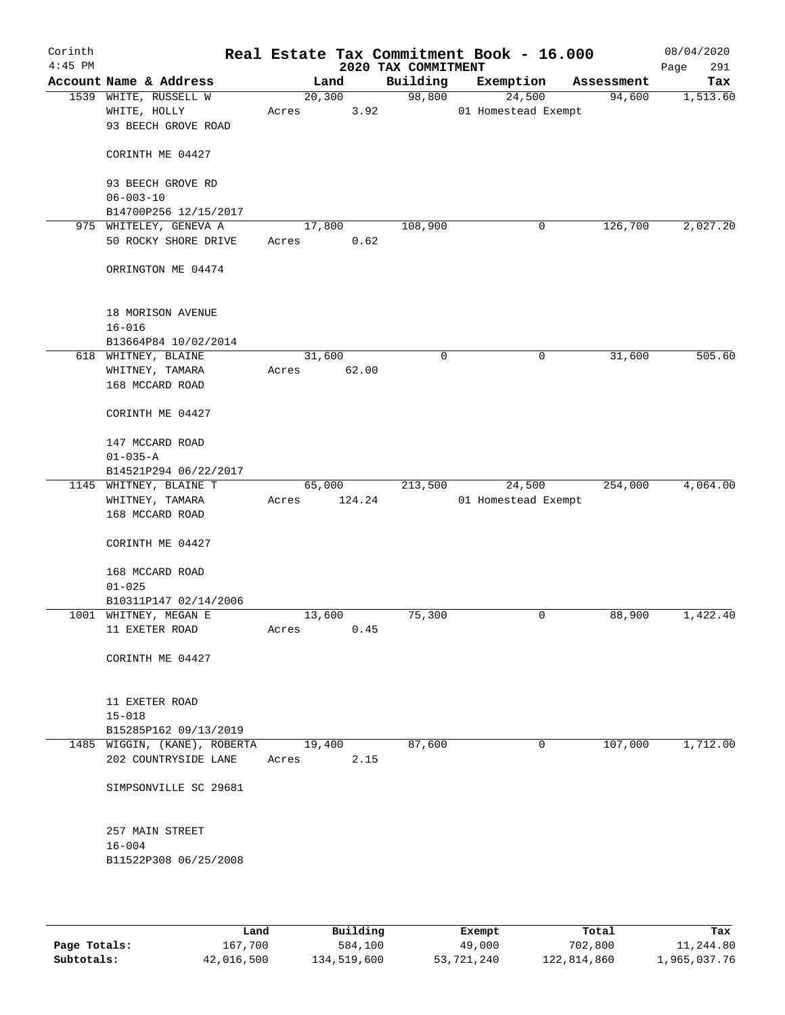| Corinth<br>$4:45$ PM |                              |        |        | 2020 TAX COMMITMENT | Real Estate Tax Commitment Book - 16.000 |            | 08/04/2020<br>291<br>Page |
|----------------------|------------------------------|--------|--------|---------------------|------------------------------------------|------------|---------------------------|
|                      | Account Name & Address       |        | Land   | Building            | Exemption                                | Assessment | Tax                       |
|                      | 1539 WHITE, RUSSELL W        |        | 20,300 | 98,800              | 24,500                                   | 94,600     | 1,513.60                  |
|                      | WHITE, HOLLY                 | Acres  | 3.92   |                     | 01 Homestead Exempt                      |            |                           |
|                      | 93 BEECH GROVE ROAD          |        |        |                     |                                          |            |                           |
|                      | CORINTH ME 04427             |        |        |                     |                                          |            |                           |
|                      | 93 BEECH GROVE RD            |        |        |                     |                                          |            |                           |
|                      | $06 - 003 - 10$              |        |        |                     |                                          |            |                           |
|                      | B14700P256 12/15/2017        |        |        |                     |                                          |            |                           |
|                      | 975 WHITELEY, GENEVA A       | 17,800 |        | 108,900             | 0                                        | 126,700    | 2,027.20                  |
|                      | 50 ROCKY SHORE DRIVE         | Acres  | 0.62   |                     |                                          |            |                           |
|                      | ORRINGTON ME 04474           |        |        |                     |                                          |            |                           |
|                      | 18 MORISON AVENUE            |        |        |                     |                                          |            |                           |
|                      | $16 - 016$                   |        |        |                     |                                          |            |                           |
|                      | B13664P84 10/02/2014         |        |        |                     |                                          |            |                           |
|                      | 618 WHITNEY, BLAINE          | 31,600 |        | $\mathbf 0$         | $\mathbf 0$                              | 31,600     | 505.60                    |
|                      | WHITNEY, TAMARA              | Acres  | 62.00  |                     |                                          |            |                           |
|                      | 168 MCCARD ROAD              |        |        |                     |                                          |            |                           |
|                      | CORINTH ME 04427             |        |        |                     |                                          |            |                           |
|                      | 147 MCCARD ROAD              |        |        |                     |                                          |            |                           |
|                      | $01 - 035 - A$               |        |        |                     |                                          |            |                           |
|                      | B14521P294 06/22/2017        |        |        |                     |                                          |            |                           |
|                      | 1145 WHITNEY, BLAINE T       | 65,000 |        | 213,500             | 24,500                                   | 254,000    | 4,064.00                  |
|                      | WHITNEY, TAMARA              | Acres  | 124.24 |                     | 01 Homestead Exempt                      |            |                           |
|                      | 168 MCCARD ROAD              |        |        |                     |                                          |            |                           |
|                      | CORINTH ME 04427             |        |        |                     |                                          |            |                           |
|                      | 168 MCCARD ROAD              |        |        |                     |                                          |            |                           |
|                      | $01 - 025$                   |        |        |                     |                                          |            |                           |
|                      | B10311P147 02/14/2006        |        |        |                     |                                          |            |                           |
|                      | 1001 WHITNEY, MEGAN E        | 13,600 |        | 75,300              | 0                                        | 88,900     | 1,422.40                  |
|                      | 11 EXETER ROAD               | Acres  | 0.45   |                     |                                          |            |                           |
|                      | CORINTH ME 04427             |        |        |                     |                                          |            |                           |
|                      | 11 EXETER ROAD               |        |        |                     |                                          |            |                           |
|                      | $15 - 018$                   |        |        |                     |                                          |            |                           |
|                      | B15285P162 09/13/2019        |        |        |                     |                                          |            |                           |
|                      | 1485 WIGGIN, (KANE), ROBERTA | 19,400 |        | 87,600              | $\mathbf 0$                              | 107,000    | 1,712.00                  |
|                      | 202 COUNTRYSIDE LANE         | Acres  | 2.15   |                     |                                          |            |                           |
|                      | SIMPSONVILLE SC 29681        |        |        |                     |                                          |            |                           |
|                      | 257 MAIN STREET              |        |        |                     |                                          |            |                           |
|                      | $16 - 004$                   |        |        |                     |                                          |            |                           |
|                      | B11522P308 06/25/2008        |        |        |                     |                                          |            |                           |
|                      |                              |        |        |                     |                                          |            |                           |

|              | Land       | Building    | Exempt     | Total       | Tax          |
|--------------|------------|-------------|------------|-------------|--------------|
| Page Totals: | 167,700    | 584,100     | 49,000     | 702,800     | 11,244.80    |
| Subtotals:   | 42,016,500 | 134,519,600 | 53,721,240 | 122,814,860 | 1,965,037.76 |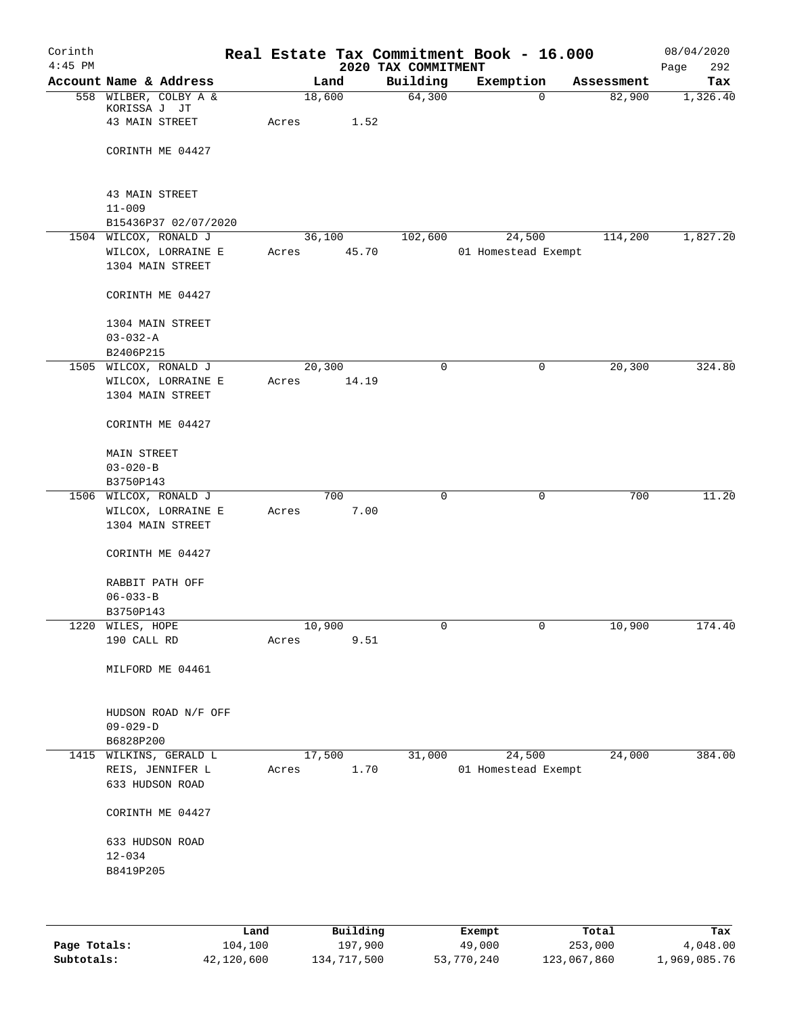| Corinth   |                        |       |       |                |       | Real Estate Tax Commitment Book - 16.000 |                          |   |                      | 08/04/2020      |
|-----------|------------------------|-------|-------|----------------|-------|------------------------------------------|--------------------------|---|----------------------|-----------------|
| $4:45$ PM | Account Name & Address |       |       |                |       | 2020 TAX COMMITMENT                      |                          |   |                      | 292<br>Page     |
|           | 558 WILBER, COLBY A &  |       |       | Land<br>18,600 |       | Building<br>64,300                       | Exemption<br>$\mathbf 0$ |   | Assessment<br>82,900 | Tax<br>1,326.40 |
|           | KORISSA J JT           |       |       |                |       |                                          |                          |   |                      |                 |
|           | 43 MAIN STREET         |       | Acres |                | 1.52  |                                          |                          |   |                      |                 |
|           |                        |       |       |                |       |                                          |                          |   |                      |                 |
|           | CORINTH ME 04427       |       |       |                |       |                                          |                          |   |                      |                 |
|           |                        |       |       |                |       |                                          |                          |   |                      |                 |
|           |                        |       |       |                |       |                                          |                          |   |                      |                 |
|           | 43 MAIN STREET         |       |       |                |       |                                          |                          |   |                      |                 |
|           | $11 - 009$             |       |       |                |       |                                          |                          |   |                      |                 |
|           | B15436P37 02/07/2020   |       |       |                |       |                                          |                          |   |                      |                 |
|           | 1504 WILCOX, RONALD J  |       |       | 36,100         |       | 102,600                                  | 24,500                   |   | 114,200              | 1,827.20        |
|           | WILCOX, LORRAINE E     |       | Acres |                | 45.70 |                                          | 01 Homestead Exempt      |   |                      |                 |
|           | 1304 MAIN STREET       |       |       |                |       |                                          |                          |   |                      |                 |
|           |                        |       |       |                |       |                                          |                          |   |                      |                 |
|           | CORINTH ME 04427       |       |       |                |       |                                          |                          |   |                      |                 |
|           |                        |       |       |                |       |                                          |                          |   |                      |                 |
|           | 1304 MAIN STREET       |       |       |                |       |                                          |                          |   |                      |                 |
|           | $03 - 032 - A$         |       |       |                |       |                                          |                          |   |                      |                 |
|           | B2406P215              |       |       |                |       |                                          |                          |   |                      |                 |
| 1505      | WILCOX, RONALD J       |       |       | 20,300         |       | $\mathsf{O}$                             |                          | 0 | 20,300               | 324.80          |
|           | WILCOX, LORRAINE E     |       | Acres |                | 14.19 |                                          |                          |   |                      |                 |
|           | 1304 MAIN STREET       |       |       |                |       |                                          |                          |   |                      |                 |
|           |                        |       |       |                |       |                                          |                          |   |                      |                 |
|           | CORINTH ME 04427       |       |       |                |       |                                          |                          |   |                      |                 |
|           |                        |       |       |                |       |                                          |                          |   |                      |                 |
|           | MAIN STREET            |       |       |                |       |                                          |                          |   |                      |                 |
|           | $03 - 020 - B$         |       |       |                |       |                                          |                          |   |                      |                 |
|           | B3750P143              |       |       |                |       |                                          |                          |   |                      |                 |
|           | 1506 WILCOX, RONALD J  |       |       | 700            |       | $\mathbf 0$                              | 0                        |   | 700                  | 11.20           |
|           | WILCOX, LORRAINE E     |       | Acres |                | 7.00  |                                          |                          |   |                      |                 |
|           | 1304 MAIN STREET       |       |       |                |       |                                          |                          |   |                      |                 |
|           | CORINTH ME 04427       |       |       |                |       |                                          |                          |   |                      |                 |
|           |                        |       |       |                |       |                                          |                          |   |                      |                 |
|           | RABBIT PATH OFF        |       |       |                |       |                                          |                          |   |                      |                 |
|           | $06 - 033 - B$         |       |       |                |       |                                          |                          |   |                      |                 |
|           | B3750P143              |       |       |                |       |                                          |                          |   |                      |                 |
|           | 1220 WILES, HOPE       |       |       | 10,900         |       | 0                                        | 0                        |   | 10,900               | 174.40          |
|           | 190 CALL RD            |       | Acres |                | 9.51  |                                          |                          |   |                      |                 |
|           |                        |       |       |                |       |                                          |                          |   |                      |                 |
|           | MILFORD ME 04461       |       |       |                |       |                                          |                          |   |                      |                 |
|           |                        |       |       |                |       |                                          |                          |   |                      |                 |
|           |                        |       |       |                |       |                                          |                          |   |                      |                 |
|           | HUDSON ROAD N/F OFF    |       |       |                |       |                                          |                          |   |                      |                 |
|           | $09 - 029 - D$         |       |       |                |       |                                          |                          |   |                      |                 |
|           | B6828P200              |       |       |                |       |                                          |                          |   |                      |                 |
|           | 1415 WILKINS, GERALD L |       |       | 17,500         |       | 31,000                                   | 24,500                   |   | 24,000               | 384.00          |
|           | REIS, JENNIFER L       |       | Acres |                | 1.70  |                                          | 01 Homestead Exempt      |   |                      |                 |
|           | 633 HUDSON ROAD        |       |       |                |       |                                          |                          |   |                      |                 |
|           |                        |       |       |                |       |                                          |                          |   |                      |                 |
|           | CORINTH ME 04427       |       |       |                |       |                                          |                          |   |                      |                 |
|           |                        |       |       |                |       |                                          |                          |   |                      |                 |
|           | 633 HUDSON ROAD        |       |       |                |       |                                          |                          |   |                      |                 |
|           | $12 - 034$             |       |       |                |       |                                          |                          |   |                      |                 |
|           | B8419P205              |       |       |                |       |                                          |                          |   |                      |                 |
|           |                        |       |       |                |       |                                          |                          |   |                      |                 |
|           |                        |       |       |                |       |                                          |                          |   |                      |                 |
|           |                        |       |       |                |       |                                          |                          |   |                      |                 |
|           |                        | Land, |       | Building       |       |                                          | <b>Exempt</b>            |   | Total                | Tax             |

|              | Land       | Building    | Exempt     | Total       | Tax          |
|--------------|------------|-------------|------------|-------------|--------------|
| Page Totals: | 104,100    | 197,900     | 49,000     | 253,000     | 4,048.00     |
| Subtotals:   | 42,120,600 | 134,717,500 | 53,770,240 | 123,067,860 | 1,969,085.76 |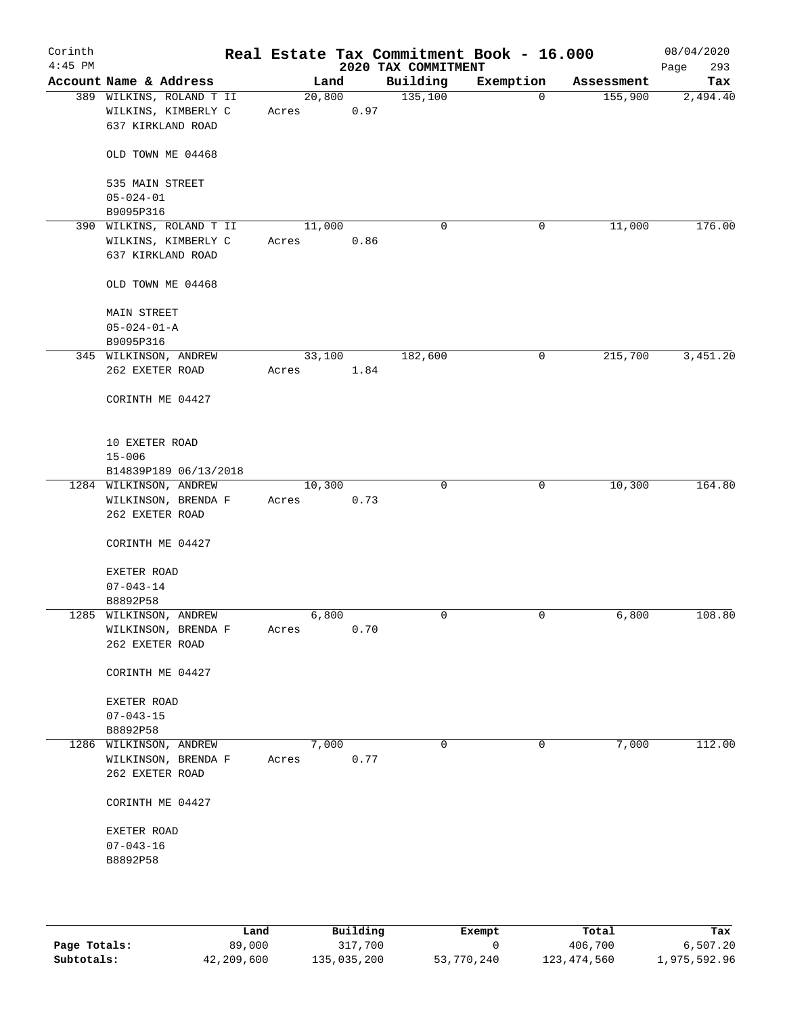| Corinth<br>$4:45$ PM |                                                                      |                 |            | 2020 TAX COMMITMENT | Real Estate Tax Commitment Book - 16.000 |            | 08/04/2020<br>293<br>Page |
|----------------------|----------------------------------------------------------------------|-----------------|------------|---------------------|------------------------------------------|------------|---------------------------|
|                      | Account Name & Address                                               | Land            |            | Building            | Exemption                                | Assessment | Tax                       |
|                      | 389 WILKINS, ROLAND T II<br>WILKINS, KIMBERLY C<br>637 KIRKLAND ROAD | 20,800<br>Acres | 0.97       | 135,100             | 0                                        | 155,900    | 2,494.40                  |
|                      | OLD TOWN ME 04468                                                    |                 |            |                     |                                          |            |                           |
|                      | 535 MAIN STREET<br>$05 - 024 - 01$                                   |                 |            |                     |                                          |            |                           |
|                      | B9095P316                                                            |                 |            |                     |                                          |            |                           |
|                      | 390 WILKINS, ROLAND T II<br>WILKINS, KIMBERLY C<br>637 KIRKLAND ROAD | 11,000<br>Acres | 0.86       | 0                   | 0                                        | 11,000     | 176.00                    |
|                      | OLD TOWN ME 04468                                                    |                 |            |                     |                                          |            |                           |
|                      | <b>MAIN STREET</b><br>$05 - 024 - 01 - A$                            |                 |            |                     |                                          |            |                           |
|                      | B9095P316                                                            |                 |            |                     |                                          |            |                           |
|                      | 345 WILKINSON, ANDREW                                                | 33,100          |            | 182,600             | 0                                        | 215,700    | 3,451.20                  |
|                      | 262 EXETER ROAD                                                      | Acres           | 1.84       |                     |                                          |            |                           |
|                      | CORINTH ME 04427                                                     |                 |            |                     |                                          |            |                           |
|                      | 10 EXETER ROAD                                                       |                 |            |                     |                                          |            |                           |
|                      | $15 - 006$<br>B14839P189 06/13/2018                                  |                 |            |                     |                                          |            |                           |
|                      | 1284 WILKINSON, ANDREW                                               | 10,300          |            | 0                   | 0                                        | 10,300     | 164.80                    |
|                      | WILKINSON, BRENDA F                                                  | Acres           | 0.73       |                     |                                          |            |                           |
|                      | 262 EXETER ROAD                                                      |                 |            |                     |                                          |            |                           |
|                      | CORINTH ME 04427                                                     |                 |            |                     |                                          |            |                           |
|                      | EXETER ROAD                                                          |                 |            |                     |                                          |            |                           |
|                      | $07 - 043 - 14$                                                      |                 |            |                     |                                          |            |                           |
|                      | B8892P58                                                             |                 |            |                     |                                          |            |                           |
|                      | 1285 WILKINSON, ANDREW                                               | 6,800           |            | $\mathbf 0$         | 0                                        | 6,800      | 108.80                    |
|                      | WILKINSON, BRENDA F                                                  | Acres           | $0\,.\,70$ |                     |                                          |            |                           |
|                      | 262 EXETER ROAD                                                      |                 |            |                     |                                          |            |                           |
|                      | CORINTH ME 04427                                                     |                 |            |                     |                                          |            |                           |
|                      | EXETER ROAD                                                          |                 |            |                     |                                          |            |                           |
|                      | $07 - 043 - 15$                                                      |                 |            |                     |                                          |            |                           |
|                      | B8892P58                                                             |                 |            |                     |                                          |            |                           |
|                      | 1286 WILKINSON, ANDREW                                               | 7,000           |            | $\mathbf 0$         | 0                                        | 7,000      | 112.00                    |
|                      | WILKINSON, BRENDA F<br>262 EXETER ROAD                               | Acres           | 0.77       |                     |                                          |            |                           |
|                      | CORINTH ME 04427                                                     |                 |            |                     |                                          |            |                           |
|                      | EXETER ROAD                                                          |                 |            |                     |                                          |            |                           |
|                      | $07 - 043 - 16$                                                      |                 |            |                     |                                          |            |                           |
|                      | B8892P58                                                             |                 |            |                     |                                          |            |                           |
|                      |                                                                      |                 |            |                     |                                          |            |                           |
|                      |                                                                      |                 |            |                     |                                          |            |                           |

|              | Land       | Building    | Exempt     | Total       | Tax          |
|--------------|------------|-------------|------------|-------------|--------------|
| Page Totals: | 89,000     | 317,700     |            | 406,700     | 6,507.20     |
| Subtotals:   | 42,209,600 | 135,035,200 | 53,770,240 | 123,474,560 | 1,975,592.96 |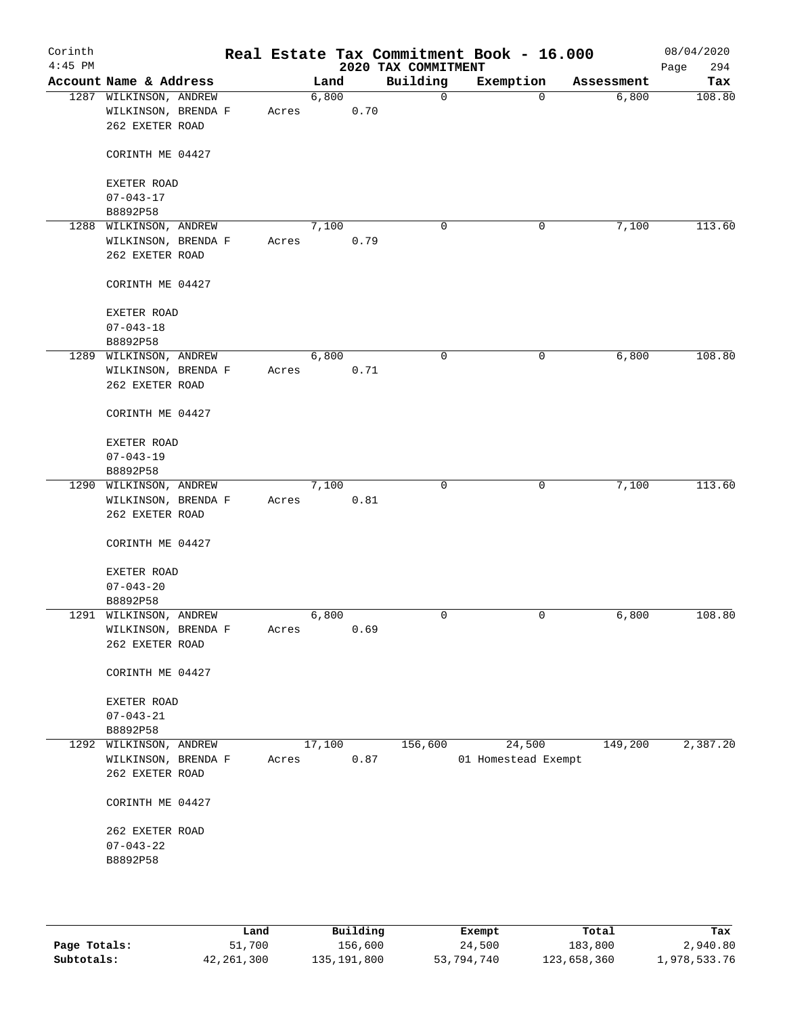| Corinth<br>$4:45$ PM |                                    |  |       |        |      | 2020 TAX COMMITMENT | Real Estate Tax Commitment Book - 16.000 |            | 08/04/2020<br>294<br>Page |
|----------------------|------------------------------------|--|-------|--------|------|---------------------|------------------------------------------|------------|---------------------------|
|                      | Account Name & Address             |  |       | Land   |      | Building            | Exemption                                | Assessment | Tax                       |
|                      | 1287 WILKINSON, ANDREW             |  |       | 6,800  |      | 0                   | $\mathbf 0$                              | 6,800      | 108.80                    |
|                      | WILKINSON, BRENDA F                |  | Acres |        | 0.70 |                     |                                          |            |                           |
|                      | 262 EXETER ROAD                    |  |       |        |      |                     |                                          |            |                           |
|                      |                                    |  |       |        |      |                     |                                          |            |                           |
|                      | CORINTH ME 04427                   |  |       |        |      |                     |                                          |            |                           |
|                      |                                    |  |       |        |      |                     |                                          |            |                           |
|                      | EXETER ROAD                        |  |       |        |      |                     |                                          |            |                           |
|                      | $07 - 043 - 17$                    |  |       |        |      |                     |                                          |            |                           |
|                      | B8892P58                           |  |       |        |      |                     |                                          |            |                           |
|                      | 1288 WILKINSON, ANDREW             |  |       | 7,100  |      | 0                   | 0                                        | 7,100      | 113.60                    |
|                      | WILKINSON, BRENDA F                |  | Acres |        | 0.79 |                     |                                          |            |                           |
|                      | 262 EXETER ROAD                    |  |       |        |      |                     |                                          |            |                           |
|                      |                                    |  |       |        |      |                     |                                          |            |                           |
|                      | CORINTH ME 04427                   |  |       |        |      |                     |                                          |            |                           |
|                      |                                    |  |       |        |      |                     |                                          |            |                           |
|                      | EXETER ROAD                        |  |       |        |      |                     |                                          |            |                           |
|                      | $07 - 043 - 18$                    |  |       |        |      |                     |                                          |            |                           |
|                      | B8892P58                           |  |       |        |      |                     |                                          |            |                           |
|                      | 1289 WILKINSON, ANDREW             |  |       | 6,800  |      | 0                   | 0                                        | 6,800      | 108.80                    |
|                      | WILKINSON, BRENDA F                |  | Acres |        | 0.71 |                     |                                          |            |                           |
|                      | 262 EXETER ROAD                    |  |       |        |      |                     |                                          |            |                           |
|                      |                                    |  |       |        |      |                     |                                          |            |                           |
|                      | CORINTH ME 04427                   |  |       |        |      |                     |                                          |            |                           |
|                      |                                    |  |       |        |      |                     |                                          |            |                           |
|                      | EXETER ROAD                        |  |       |        |      |                     |                                          |            |                           |
|                      | $07 - 043 - 19$                    |  |       |        |      |                     |                                          |            |                           |
|                      | B8892P58                           |  |       |        |      |                     |                                          |            |                           |
|                      | 1290 WILKINSON, ANDREW             |  |       | 7,100  |      | $\mathbf 0$         | $\mathbf 0$                              | 7,100      | 113.60                    |
|                      | WILKINSON, BRENDA F                |  | Acres |        | 0.81 |                     |                                          |            |                           |
|                      | 262 EXETER ROAD                    |  |       |        |      |                     |                                          |            |                           |
|                      |                                    |  |       |        |      |                     |                                          |            |                           |
|                      | CORINTH ME 04427                   |  |       |        |      |                     |                                          |            |                           |
|                      |                                    |  |       |        |      |                     |                                          |            |                           |
|                      | EXETER ROAD                        |  |       |        |      |                     |                                          |            |                           |
|                      | $07 - 043 - 20$                    |  |       |        |      |                     |                                          |            |                           |
|                      | B8892P58                           |  |       |        |      |                     |                                          |            |                           |
|                      | 1291 WILKINSON, ANDREW             |  |       | 6,800  |      | $\mathbf 0$         | $\mathbf 0$                              | 6,800      | 108.80                    |
|                      | WILKINSON, BRENDA F                |  | Acres |        | 0.69 |                     |                                          |            |                           |
|                      | 262 EXETER ROAD                    |  |       |        |      |                     |                                          |            |                           |
|                      |                                    |  |       |        |      |                     |                                          |            |                           |
|                      | CORINTH ME 04427                   |  |       |        |      |                     |                                          |            |                           |
|                      |                                    |  |       |        |      |                     |                                          |            |                           |
|                      | EXETER ROAD                        |  |       |        |      |                     |                                          |            |                           |
|                      | $07 - 043 - 21$                    |  |       |        |      |                     |                                          |            |                           |
|                      | B8892P58                           |  |       |        |      |                     |                                          |            |                           |
|                      | 1292 WILKINSON, ANDREW             |  |       | 17,100 |      | 156,600             | 24,500                                   | 149,200    | 2,387.20                  |
|                      | WILKINSON, BRENDA F                |  | Acres |        | 0.87 |                     | 01 Homestead Exempt                      |            |                           |
|                      | 262 EXETER ROAD                    |  |       |        |      |                     |                                          |            |                           |
|                      |                                    |  |       |        |      |                     |                                          |            |                           |
|                      | CORINTH ME 04427                   |  |       |        |      |                     |                                          |            |                           |
|                      |                                    |  |       |        |      |                     |                                          |            |                           |
|                      | 262 EXETER ROAD<br>$07 - 043 - 22$ |  |       |        |      |                     |                                          |            |                           |
|                      |                                    |  |       |        |      |                     |                                          |            |                           |
|                      | B8892P58                           |  |       |        |      |                     |                                          |            |                           |
|                      |                                    |  |       |        |      |                     |                                          |            |                           |
|                      |                                    |  |       |        |      |                     |                                          |            |                           |
|                      |                                    |  |       |        |      |                     |                                          |            |                           |

|              | Land         | Building    | Exempt     | Total       | Tax          |
|--------------|--------------|-------------|------------|-------------|--------------|
| Page Totals: | 51,700       | 156,600     | 24,500     | 183,800     | 2,940.80     |
| Subtotals:   | 42, 261, 300 | 135,191,800 | 53,794,740 | 123,658,360 | 1,978,533.76 |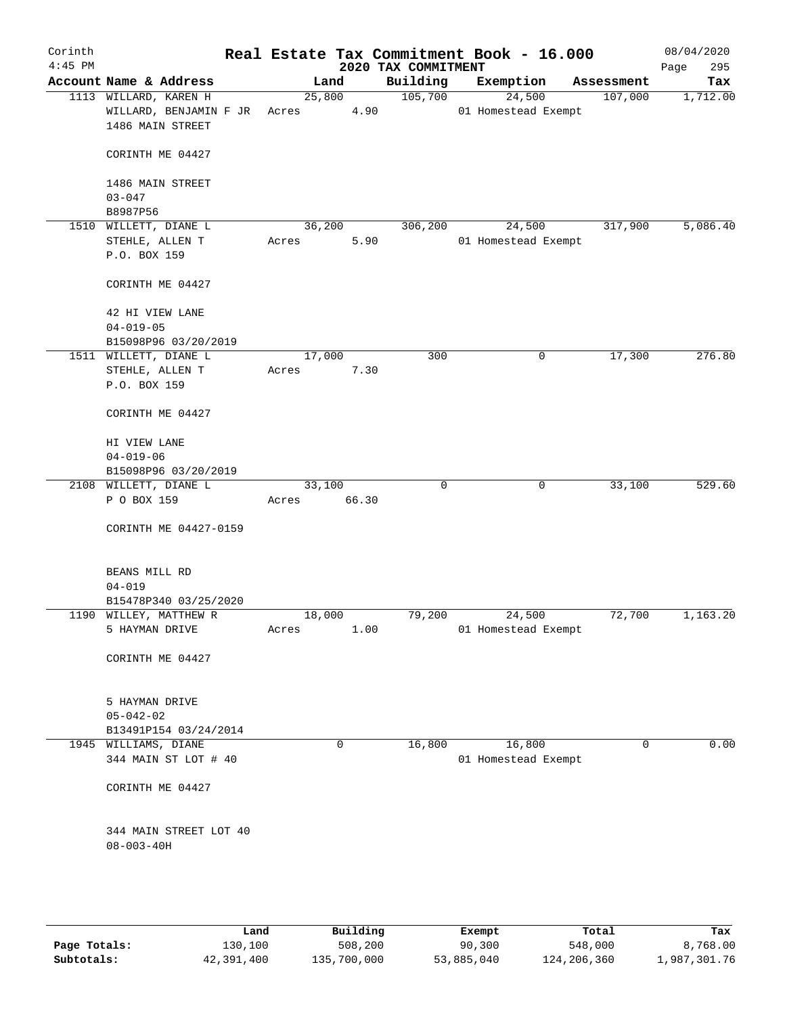| Corinth<br>$4:45$ PM |                                                                     |                 |       | 2020 TAX COMMITMENT | Real Estate Tax Commitment Book - 16.000 |            | 08/04/2020<br>295<br>Page |
|----------------------|---------------------------------------------------------------------|-----------------|-------|---------------------|------------------------------------------|------------|---------------------------|
|                      | Account Name & Address                                              |                 | Land  | Building            | Exemption                                | Assessment | Tax                       |
|                      | 1113 WILLARD, KAREN H<br>WILLARD, BENJAMIN F JR<br>1486 MAIN STREET | 25,800<br>Acres | 4.90  | 105,700             | 24,500<br>01 Homestead Exempt            | 107,000    | 1,712.00                  |
|                      | CORINTH ME 04427                                                    |                 |       |                     |                                          |            |                           |
|                      | 1486 MAIN STREET<br>$03 - 047$                                      |                 |       |                     |                                          |            |                           |
|                      | B8987P56                                                            |                 |       |                     |                                          |            |                           |
|                      | 1510 WILLETT, DIANE L<br>STEHLE, ALLEN T<br>P.O. BOX 159            | 36,200<br>Acres | 5.90  | 306, 200            | 24,500<br>01 Homestead Exempt            | 317,900    | 5,086.40                  |
|                      | CORINTH ME 04427                                                    |                 |       |                     |                                          |            |                           |
|                      | 42 HI VIEW LANE<br>$04 - 019 - 05$                                  |                 |       |                     |                                          |            |                           |
|                      | B15098P96 03/20/2019<br>1511 WILLETT, DIANE L                       | 17,000          |       | 300                 | 0                                        | 17,300     | 276.80                    |
|                      | STEHLE, ALLEN T<br>P.O. BOX 159                                     | Acres           | 7.30  |                     |                                          |            |                           |
|                      | CORINTH ME 04427                                                    |                 |       |                     |                                          |            |                           |
|                      | HI VIEW LANE<br>$04 - 019 - 06$                                     |                 |       |                     |                                          |            |                           |
|                      | B15098P96 03/20/2019                                                |                 |       |                     |                                          |            |                           |
|                      | 2108 WILLETT, DIANE L<br>P O BOX 159                                | 33,100<br>Acres | 66.30 | $\mathbf 0$         | 0                                        | 33,100     | 529.60                    |
|                      | CORINTH ME 04427-0159                                               |                 |       |                     |                                          |            |                           |
|                      | BEANS MILL RD<br>$04 - 019$                                         |                 |       |                     |                                          |            |                           |
|                      | B15478P340 03/25/2020                                               |                 |       |                     |                                          |            |                           |
|                      | 1190 WILLEY, MATTHEW R                                              | 18,000          |       | 79,200              | 24,500                                   | 72,700     | 1,163.20                  |
|                      | 5 HAYMAN DRIVE                                                      | Acres           | 1.00  |                     | 01 Homestead Exempt                      |            |                           |
|                      | CORINTH ME 04427                                                    |                 |       |                     |                                          |            |                           |
|                      | 5 HAYMAN DRIVE                                                      |                 |       |                     |                                          |            |                           |
|                      | $05 - 042 - 02$<br>B13491P154 03/24/2014                            |                 |       |                     |                                          |            |                           |
|                      | 1945 WILLIAMS, DIANE                                                |                 | 0     | 16,800              | 16,800                                   | $\Omega$   | 0.00                      |
|                      | 344 MAIN ST LOT # 40                                                |                 |       |                     | 01 Homestead Exempt                      |            |                           |
|                      | CORINTH ME 04427                                                    |                 |       |                     |                                          |            |                           |
|                      | 344 MAIN STREET LOT 40<br>$08 - 003 - 40H$                          |                 |       |                     |                                          |            |                           |
|                      |                                                                     |                 |       |                     |                                          |            |                           |

|              | Land       | Building    | Exempt     | Total       | Tax          |
|--------------|------------|-------------|------------|-------------|--------------|
| Page Totals: | 130,100    | 508,200     | 90,300     | 548,000     | 8,768.00     |
| Subtotals:   | 42,391,400 | 135,700,000 | 53,885,040 | 124,206,360 | 1,987,301.76 |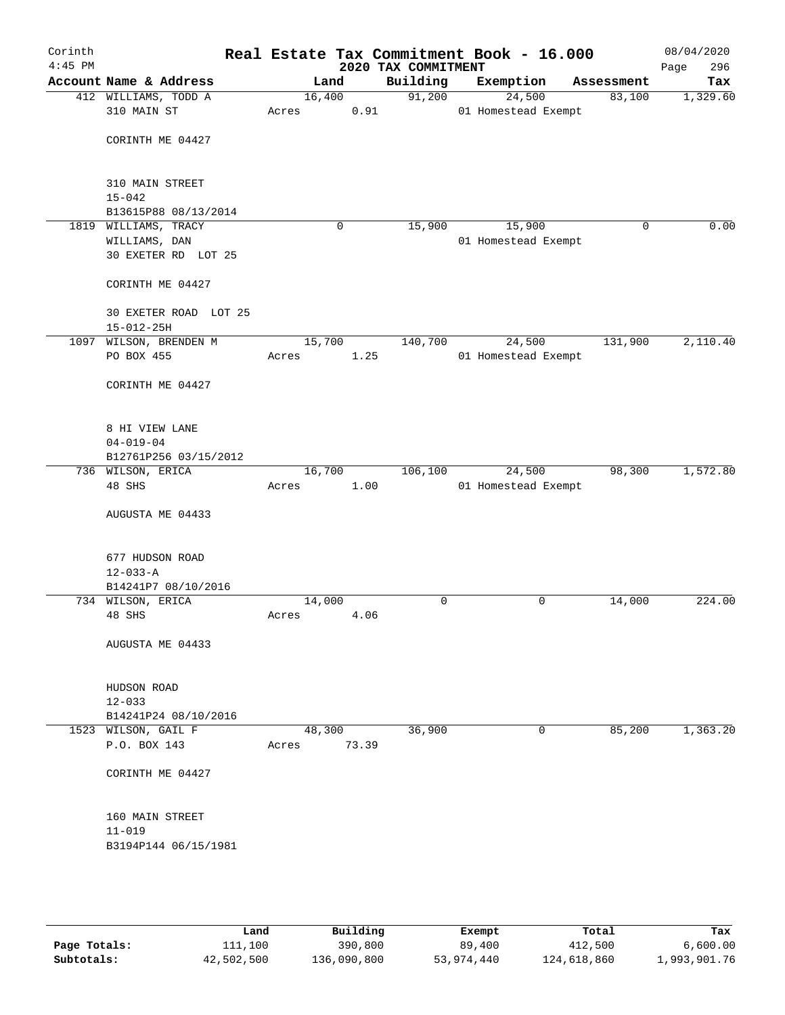| Corinth<br>$4:45$ PM |                                            |        |             | 2020 TAX COMMITMENT | Real Estate Tax Commitment Book - 16.000 |            | 08/04/2020<br>Page<br>296 |
|----------------------|--------------------------------------------|--------|-------------|---------------------|------------------------------------------|------------|---------------------------|
|                      | Account Name & Address                     |        | Land        | Building            | Exemption                                | Assessment | Tax                       |
|                      | 412 WILLIAMS, TODD A                       | 16,400 |             | 91,200              | 24,500                                   | 83,100     | 1,329.60                  |
|                      | 310 MAIN ST                                | Acres  | 0.91        |                     | 01 Homestead Exempt                      |            |                           |
|                      |                                            |        |             |                     |                                          |            |                           |
|                      | CORINTH ME 04427                           |        |             |                     |                                          |            |                           |
|                      |                                            |        |             |                     |                                          |            |                           |
|                      | 310 MAIN STREET                            |        |             |                     |                                          |            |                           |
|                      | $15 - 042$                                 |        |             |                     |                                          |            |                           |
|                      | B13615P88 08/13/2014                       |        |             |                     |                                          |            |                           |
|                      | 1819 WILLIAMS, TRACY                       |        | $\mathbf 0$ | 15,900              | 15,900                                   | 0          | 0.00                      |
|                      | WILLIAMS, DAN                              |        |             |                     | 01 Homestead Exempt                      |            |                           |
|                      | 30 EXETER RD LOT 25                        |        |             |                     |                                          |            |                           |
|                      | CORINTH ME 04427                           |        |             |                     |                                          |            |                           |
|                      |                                            |        |             |                     |                                          |            |                           |
|                      | 30 EXETER ROAD LOT 25                      |        |             |                     |                                          |            |                           |
|                      | $15 - 012 - 25H$                           |        |             |                     |                                          |            |                           |
|                      | 1097 WILSON, BRENDEN M                     | 15,700 |             | 140,700             | 24,500                                   | 131,900    | 2,110.40                  |
|                      | PO BOX 455                                 | Acres  | 1.25        |                     | 01 Homestead Exempt                      |            |                           |
|                      | CORINTH ME 04427                           |        |             |                     |                                          |            |                           |
|                      |                                            |        |             |                     |                                          |            |                           |
|                      |                                            |        |             |                     |                                          |            |                           |
|                      | 8 HI VIEW LANE                             |        |             |                     |                                          |            |                           |
|                      | $04 - 019 - 04$                            |        |             |                     |                                          |            |                           |
|                      | B12761P256 03/15/2012<br>736 WILSON, ERICA | 16,700 |             | 106,100             | 24,500                                   | 98,300     | 1,572.80                  |
|                      | 48 SHS                                     | Acres  | 1.00        |                     | 01 Homestead Exempt                      |            |                           |
|                      |                                            |        |             |                     |                                          |            |                           |
|                      | AUGUSTA ME 04433                           |        |             |                     |                                          |            |                           |
|                      |                                            |        |             |                     |                                          |            |                           |
|                      | 677 HUDSON ROAD                            |        |             |                     |                                          |            |                           |
|                      | $12 - 033 - A$                             |        |             |                     |                                          |            |                           |
|                      | B14241P7 08/10/2016                        |        |             |                     |                                          |            |                           |
|                      | 734 WILSON, ERICA                          | 14,000 |             | 0                   | 0                                        | 14,000     | 224.00                    |
|                      | 48 SHS                                     | Acres  | 4.06        |                     |                                          |            |                           |
|                      |                                            |        |             |                     |                                          |            |                           |
|                      | AUGUSTA ME 04433                           |        |             |                     |                                          |            |                           |
|                      |                                            |        |             |                     |                                          |            |                           |
|                      | HUDSON ROAD                                |        |             |                     |                                          |            |                           |
|                      | $12 - 033$                                 |        |             |                     |                                          |            |                           |
|                      | B14241P24 08/10/2016                       |        |             |                     |                                          |            |                           |
|                      | 1523 WILSON, GAIL F                        | 48,300 |             | 36,900              | 0                                        | 85,200     | 1,363.20                  |
|                      | P.O. BOX 143                               | Acres  | 73.39       |                     |                                          |            |                           |
|                      | CORINTH ME 04427                           |        |             |                     |                                          |            |                           |
|                      |                                            |        |             |                     |                                          |            |                           |
|                      |                                            |        |             |                     |                                          |            |                           |
|                      | 160 MAIN STREET                            |        |             |                     |                                          |            |                           |
|                      | $11 - 019$                                 |        |             |                     |                                          |            |                           |
|                      | B3194P144 06/15/1981                       |        |             |                     |                                          |            |                           |
|                      |                                            |        |             |                     |                                          |            |                           |
|                      |                                            |        |             |                     |                                          |            |                           |
|                      |                                            |        |             |                     |                                          |            |                           |

|              | Land       | Building    | Exempt     | Total       | Tax          |
|--------------|------------|-------------|------------|-------------|--------------|
| Page Totals: | 111,100    | 390,800     | 89,400     | 412,500     | 6,600.00     |
| Subtotals:   | 42,502,500 | 136,090,800 | 53,974,440 | 124,618,860 | 1,993,901.76 |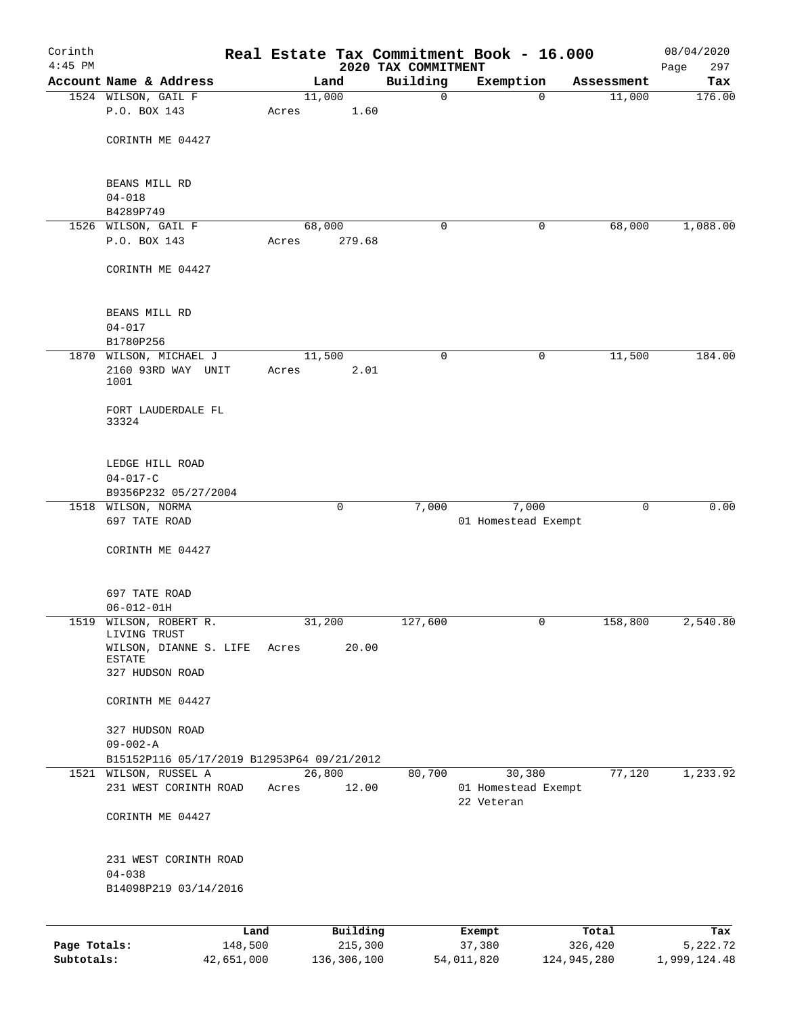| Corinth<br>$4:45$ PM |                                            |            |       |        |             | Real Estate Tax Commitment Book - 16.000 |            |                     |             | 08/04/2020         |
|----------------------|--------------------------------------------|------------|-------|--------|-------------|------------------------------------------|------------|---------------------|-------------|--------------------|
|                      | Account Name & Address                     |            |       | Land   |             | 2020 TAX COMMITMENT<br>Building          | Exemption  |                     | Assessment  | 297<br>Page<br>Tax |
|                      | 1524 WILSON, GAIL F                        |            |       | 11,000 |             | $\mathbf 0$                              |            | $\Omega$            | 11,000      | 176.00             |
|                      | P.O. BOX 143                               |            | Acres |        | 1.60        |                                          |            |                     |             |                    |
|                      |                                            |            |       |        |             |                                          |            |                     |             |                    |
|                      | CORINTH ME 04427                           |            |       |        |             |                                          |            |                     |             |                    |
|                      |                                            |            |       |        |             |                                          |            |                     |             |                    |
|                      | BEANS MILL RD                              |            |       |        |             |                                          |            |                     |             |                    |
|                      | $04 - 018$<br>B4289P749                    |            |       |        |             |                                          |            |                     |             |                    |
|                      | 1526 WILSON, GAIL F                        |            |       | 68,000 |             | 0                                        |            | 0                   | 68,000      | 1,088.00           |
|                      | P.O. BOX 143                               |            | Acres |        | 279.68      |                                          |            |                     |             |                    |
|                      | CORINTH ME 04427                           |            |       |        |             |                                          |            |                     |             |                    |
|                      | BEANS MILL RD                              |            |       |        |             |                                          |            |                     |             |                    |
|                      | $04 - 017$                                 |            |       |        |             |                                          |            |                     |             |                    |
|                      | B1780P256<br>1870 WILSON, MICHAEL J        |            |       | 11,500 |             | $\mathbf 0$                              |            | 0                   | 11,500      | 184.00             |
|                      | 2160 93RD WAY UNIT                         |            | Acres |        | 2.01        |                                          |            |                     |             |                    |
|                      | 1001                                       |            |       |        |             |                                          |            |                     |             |                    |
|                      | FORT LAUDERDALE FL<br>33324                |            |       |        |             |                                          |            |                     |             |                    |
|                      | LEDGE HILL ROAD                            |            |       |        |             |                                          |            |                     |             |                    |
|                      | $04 - 017 - C$                             |            |       |        |             |                                          |            |                     |             |                    |
|                      | B9356P232 05/27/2004                       |            |       |        |             |                                          |            |                     |             |                    |
|                      | 1518 WILSON, NORMA                         |            |       |        | 0           | 7,000                                    |            | 7,000               | $\mathbf 0$ | 0.00               |
|                      | 697 TATE ROAD                              |            |       |        |             |                                          |            | 01 Homestead Exempt |             |                    |
|                      | CORINTH ME 04427                           |            |       |        |             |                                          |            |                     |             |                    |
|                      |                                            |            |       |        |             |                                          |            |                     |             |                    |
|                      | 697 TATE ROAD                              |            |       |        |             |                                          |            |                     |             |                    |
|                      | $06 - 012 - 01H$                           |            |       |        |             |                                          |            |                     |             |                    |
|                      | 1519 WILSON, ROBERT R.<br>LIVING TRUST     |            |       | 31,200 |             | 127,600                                  |            | 0                   | 158,800     | 2,540.80           |
|                      | WILSON, DIANNE S. LIFE<br>ESTATE           |            | Acres |        | 20.00       |                                          |            |                     |             |                    |
|                      | 327 HUDSON ROAD                            |            |       |        |             |                                          |            |                     |             |                    |
|                      | CORINTH ME 04427                           |            |       |        |             |                                          |            |                     |             |                    |
|                      | 327 HUDSON ROAD                            |            |       |        |             |                                          |            |                     |             |                    |
|                      | $09 - 002 - A$                             |            |       |        |             |                                          |            |                     |             |                    |
|                      | B15152P116 05/17/2019 B12953P64 09/21/2012 |            |       |        |             |                                          |            |                     |             |                    |
|                      | 1521 WILSON, RUSSEL A                      |            |       | 26,800 |             | 80,700                                   |            | 30,380              | 77,120      | 1,233.92           |
|                      | 231 WEST CORINTH ROAD                      |            | Acres |        | 12.00       |                                          | 22 Veteran | 01 Homestead Exempt |             |                    |
|                      | CORINTH ME 04427                           |            |       |        |             |                                          |            |                     |             |                    |
|                      | 231 WEST CORINTH ROAD                      |            |       |        |             |                                          |            |                     |             |                    |
|                      | $04 - 038$                                 |            |       |        |             |                                          |            |                     |             |                    |
|                      | B14098P219 03/14/2016                      |            |       |        |             |                                          |            |                     |             |                    |
|                      |                                            | Land       |       |        | Building    |                                          | Exempt     |                     | Total       | Tax                |
| Page Totals:         |                                            | 148,500    |       |        | 215,300     |                                          | 37,380     |                     | 326,420     | 5, 222.72          |
| Subtotals:           |                                            | 42,651,000 |       |        | 136,306,100 |                                          | 54,011,820 | 124,945,280         |             | 1,999,124.48       |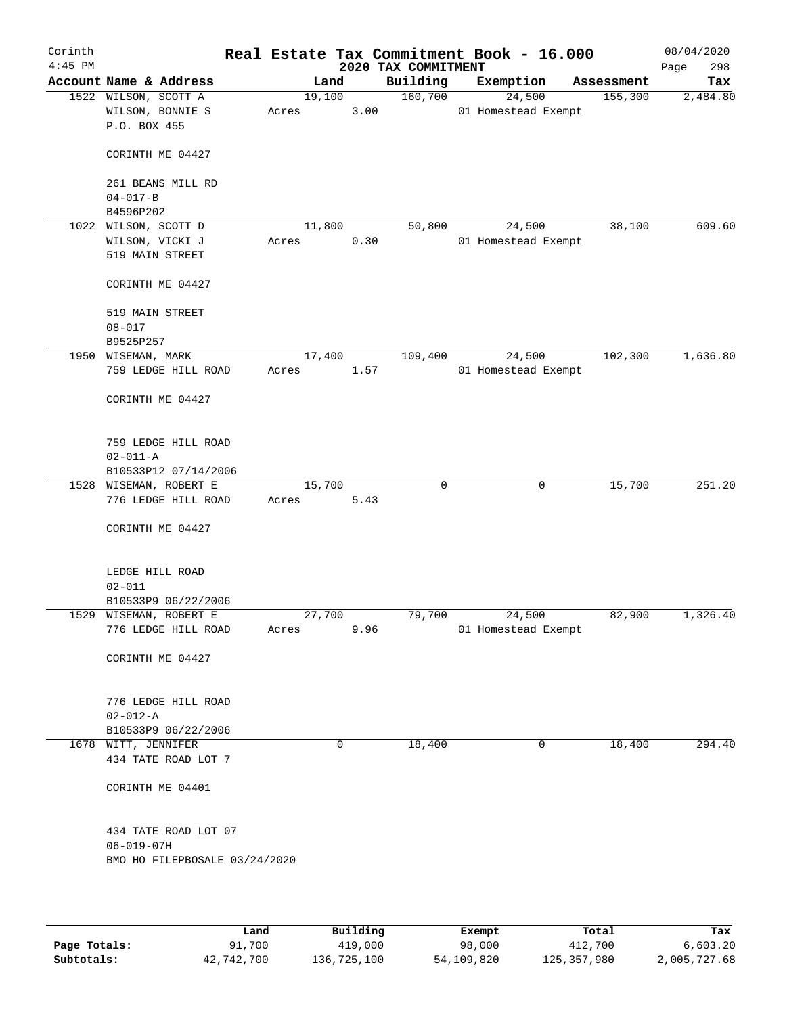| Corinth<br>$4:45$ PM |                                      |                                               |                 |          | 2020 TAX COMMITMENT | Real Estate Tax Commitment Book - 16.000 |              |            | 08/04/2020<br>298<br>Page |
|----------------------|--------------------------------------|-----------------------------------------------|-----------------|----------|---------------------|------------------------------------------|--------------|------------|---------------------------|
|                      |                                      | Account Name & Address                        |                 | Land     | Building            | Exemption                                |              | Assessment | Tax                       |
|                      | 1522 WILSON, SCOTT A<br>P.O. BOX 455 | WILSON, BONNIE S                              | 19,100<br>Acres | 3.00     | 160,700             | 24,500<br>01 Homestead Exempt            |              | 155,300    | 2,484.80                  |
|                      |                                      | CORINTH ME 04427                              |                 |          |                     |                                          |              |            |                           |
|                      |                                      | 261 BEANS MILL RD                             |                 |          |                     |                                          |              |            |                           |
|                      | $04 - 017 - B$<br>B4596P202          |                                               |                 |          |                     |                                          |              |            |                           |
| 1022                 | WILSON, SCOTT D                      |                                               | 11,800          |          | 50,800              | 24,500                                   |              | 38,100     | 609.60                    |
|                      |                                      | WILSON, VICKI J<br>519 MAIN STREET            | Acres           | 0.30     |                     | 01 Homestead Exempt                      |              |            |                           |
|                      |                                      | CORINTH ME 04427                              |                 |          |                     |                                          |              |            |                           |
|                      | $08 - 017$                           | 519 MAIN STREET                               |                 |          |                     |                                          |              |            |                           |
|                      | B9525P257                            |                                               |                 |          |                     |                                          |              |            |                           |
|                      | 1950 WISEMAN, MARK                   |                                               | 17,400          |          | 109,400             | 24,500                                   |              | 102,300    | 1,636.80                  |
|                      |                                      | 759 LEDGE HILL ROAD                           | Acres           | 1.57     |                     | 01 Homestead Exempt                      |              |            |                           |
|                      |                                      | CORINTH ME 04427                              |                 |          |                     |                                          |              |            |                           |
|                      |                                      | 759 LEDGE HILL ROAD                           |                 |          |                     |                                          |              |            |                           |
|                      | $02 - 011 - A$                       | B10533P12 07/14/2006                          |                 |          |                     |                                          |              |            |                           |
|                      |                                      | 1528 WISEMAN, ROBERT E                        | 15,700          |          | $\mathbf 0$         |                                          | 0            | 15,700     | 251.20                    |
|                      |                                      | 776 LEDGE HILL ROAD                           | Acres           | 5.43     |                     |                                          |              |            |                           |
|                      |                                      | CORINTH ME 04427                              |                 |          |                     |                                          |              |            |                           |
|                      |                                      | LEDGE HILL ROAD                               |                 |          |                     |                                          |              |            |                           |
|                      | $02 - 011$                           |                                               |                 |          |                     |                                          |              |            |                           |
|                      |                                      | B10533P9 06/22/2006<br>1529 WISEMAN, ROBERT E | 27,700          |          | 79,700              | 24,500                                   |              | 82,900     | 1,326.40                  |
|                      |                                      | 776 LEDGE HILL ROAD                           | Acres           | 9.96     |                     | 01 Homestead Exempt                      |              |            |                           |
|                      |                                      | CORINTH ME 04427                              |                 |          |                     |                                          |              |            |                           |
|                      |                                      | 776 LEDGE HILL ROAD                           |                 |          |                     |                                          |              |            |                           |
|                      | $02 - 012 - A$                       |                                               |                 |          |                     |                                          |              |            |                           |
|                      | 1678 WITT, JENNIFER                  | B10533P9 06/22/2006                           |                 | $\Omega$ | 18,400              |                                          | $\mathbf{0}$ | 18,400     | 294.40                    |
|                      |                                      | 434 TATE ROAD LOT 7                           |                 |          |                     |                                          |              |            |                           |
|                      |                                      | CORINTH ME 04401                              |                 |          |                     |                                          |              |            |                           |
|                      |                                      | 434 TATE ROAD LOT 07                          |                 |          |                     |                                          |              |            |                           |
|                      | $06 - 019 - 07H$                     |                                               |                 |          |                     |                                          |              |            |                           |
|                      |                                      | BMO HO FILEPBOSALE 03/24/2020                 |                 |          |                     |                                          |              |            |                           |
|                      |                                      |                                               |                 |          |                     |                                          |              |            |                           |

|              | Land       | Building    | Exempt     | Total       | Tax          |
|--------------|------------|-------------|------------|-------------|--------------|
| Page Totals: | 91,700     | 419,000     | 98,000     | 412,700     | 6,603.20     |
| Subtotals:   | 42,742,700 | 136,725,100 | 54,109,820 | 125,357,980 | 2,005,727.68 |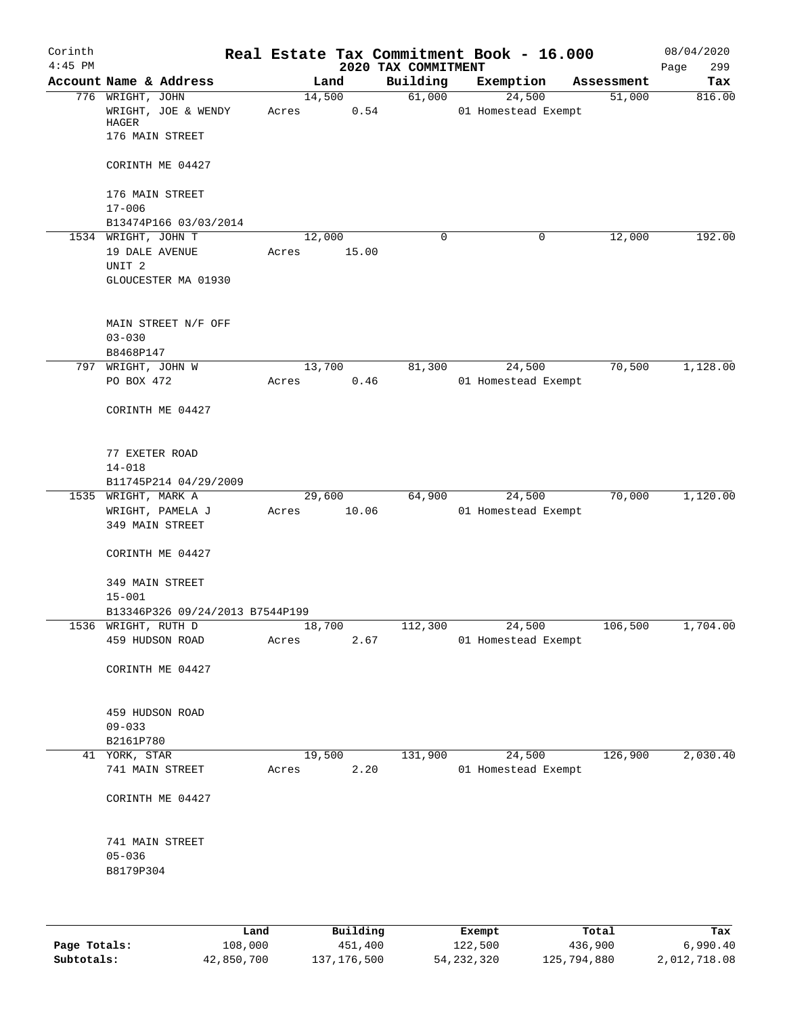| Corinth<br>$4:45$ PM |                                     |       |        | 2020 TAX COMMITMENT | Real Estate Tax Commitment Book - 16.000 |            | 08/04/2020<br>299 |
|----------------------|-------------------------------------|-------|--------|---------------------|------------------------------------------|------------|-------------------|
|                      | Account Name & Address              |       | Land   | Building            | Exemption                                | Assessment | Page<br>Tax       |
|                      | 776 WRIGHT, JOHN                    |       | 14,500 | 61,000              | 24,500                                   | 51,000     | 816.00            |
|                      | WRIGHT, JOE & WENDY<br>HAGER        | Acres | 0.54   |                     | 01 Homestead Exempt                      |            |                   |
|                      | 176 MAIN STREET                     |       |        |                     |                                          |            |                   |
|                      | CORINTH ME 04427                    |       |        |                     |                                          |            |                   |
|                      | 176 MAIN STREET<br>$17 - 006$       |       |        |                     |                                          |            |                   |
|                      | B13474P166 03/03/2014               |       |        |                     |                                          |            |                   |
|                      | 1534 WRIGHT, JOHN T                 |       | 12,000 | $\mathbf 0$         | 0                                        | 12,000     | 192.00            |
|                      | 19 DALE AVENUE<br>UNIT <sub>2</sub> | Acres | 15.00  |                     |                                          |            |                   |
|                      | GLOUCESTER MA 01930                 |       |        |                     |                                          |            |                   |
|                      | MAIN STREET N/F OFF<br>$03 - 030$   |       |        |                     |                                          |            |                   |
|                      | B8468P147                           |       |        |                     |                                          |            |                   |
| 797                  | WRIGHT, JOHN W                      |       | 13,700 | 81,300              | 24,500                                   | 70,500     | 1,128.00          |
|                      | PO BOX 472                          | Acres | 0.46   |                     | 01 Homestead Exempt                      |            |                   |
|                      | CORINTH ME 04427                    |       |        |                     |                                          |            |                   |
|                      | 77 EXETER ROAD<br>$14 - 018$        |       |        |                     |                                          |            |                   |
|                      | B11745P214 04/29/2009               |       |        |                     |                                          |            |                   |
|                      | 1535 WRIGHT, MARK A                 |       | 29,600 | 64,900              | 24,500                                   | 70,000     | 1,120.00          |
|                      | WRIGHT, PAMELA J<br>349 MAIN STREET | Acres | 10.06  |                     | 01 Homestead Exempt                      |            |                   |
|                      | CORINTH ME 04427                    |       |        |                     |                                          |            |                   |
|                      | 349 MAIN STREET<br>$15 - 001$       |       |        |                     |                                          |            |                   |
|                      | B13346P326 09/24/2013 B7544P199     |       |        |                     |                                          |            |                   |
|                      | 1536 WRIGHT, RUTH D                 |       | 18,700 | 112,300             | 24,500                                   | 106,500    | 1,704.00          |
|                      | 459 HUDSON ROAD                     | Acres | 2.67   |                     | 01 Homestead Exempt                      |            |                   |
|                      | CORINTH ME 04427                    |       |        |                     |                                          |            |                   |
|                      | 459 HUDSON ROAD                     |       |        |                     |                                          |            |                   |
|                      | $09 - 033$                          |       |        |                     |                                          |            |                   |
|                      | B2161P780                           |       |        |                     |                                          |            |                   |
|                      | 41 YORK, STAR                       |       | 19,500 | 131,900             | 24,500                                   | 126,900    | 2,030.40          |
|                      | 741 MAIN STREET                     | Acres | 2.20   |                     | 01 Homestead Exempt                      |            |                   |
|                      | CORINTH ME 04427                    |       |        |                     |                                          |            |                   |
|                      | 741 MAIN STREET                     |       |        |                     |                                          |            |                   |
|                      | $05 - 036$                          |       |        |                     |                                          |            |                   |
|                      | B8179P304                           |       |        |                     |                                          |            |                   |
|                      |                                     |       |        |                     |                                          |            |                   |
|                      |                                     |       |        |                     |                                          |            |                   |

|              | Land       | Building    | Exempt     | Total       | Tax          |
|--------------|------------|-------------|------------|-------------|--------------|
| Page Totals: | 108,000    | 451,400     | 122,500    | 436,900     | 6.990.40     |
| Subtotals:   | 42,850,700 | 137,176,500 | 54,232,320 | 125,794,880 | 2,012,718.08 |